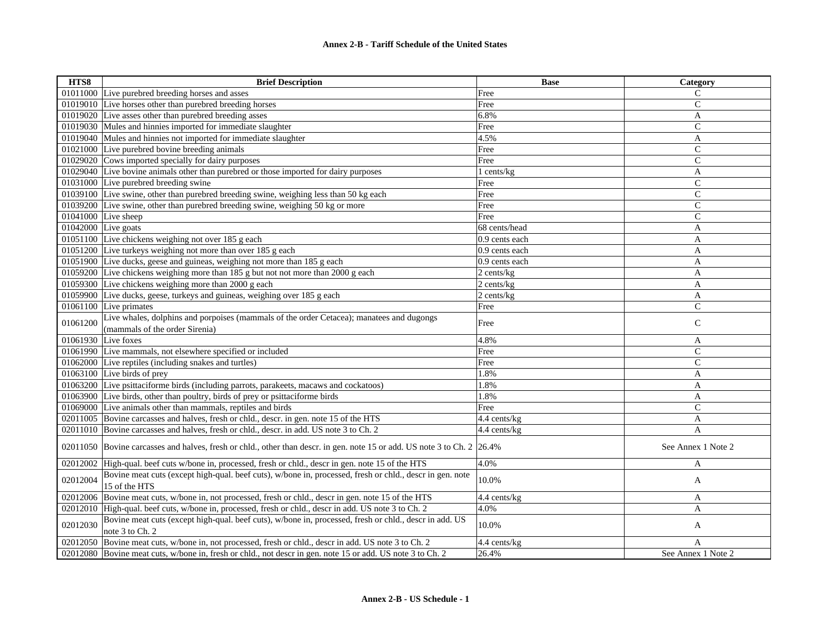| HTS8                | <b>Brief Description</b>                                                                                                   | <b>Base</b>     | Category           |
|---------------------|----------------------------------------------------------------------------------------------------------------------------|-----------------|--------------------|
|                     | 01011000 Live purebred breeding horses and asses                                                                           | Free            | $\mathsf{C}$       |
|                     | 01019010 Live horses other than purebred breeding horses                                                                   | Free            | $\mathsf{C}$       |
|                     | 01019020 Live asses other than purebred breeding asses                                                                     | 6.8%            | A                  |
|                     | 01019030 Mules and hinnies imported for immediate slaughter                                                                | Free            | $\mathsf{C}$       |
|                     | 01019040 Mules and hinnies not imported for immediate slaughter                                                            | 4.5%            | A                  |
|                     | 01021000 Live purebred bovine breeding animals                                                                             | Free            | $\mathsf{C}$       |
|                     | 01029020 Cows imported specially for dairy purposes                                                                        | Free            | $\mathsf{C}$       |
|                     | 01029040 Live bovine animals other than purebred or those imported for dairy purposes                                      | 1 cents/kg      | A                  |
|                     | 01031000 Live purebred breeding swine                                                                                      | Free            | $\mathsf{C}$       |
|                     | 01039100 Live swine, other than purebred breeding swine, weighing less than 50 kg each                                     | Free            | $\mathsf{C}$       |
|                     | 01039200 Live swine, other than purebred breeding swine, weighing 50 kg or more                                            | Free            | $\mathsf{C}$       |
|                     | 01041000 Live sheep                                                                                                        | Free            | $\overline{C}$     |
| 01042000 Live goats |                                                                                                                            | 68 cents/head   | A                  |
|                     | 01051100 Live chickens weighing not over 185 g each                                                                        | 0.9 cents each  | A                  |
|                     | 01051200 Live turkeys weighing not more than over 185 g each                                                               | 0.9 cents each  | A                  |
|                     | 01051900 Live ducks, geese and guineas, weighing not more than 185 g each                                                  | 0.9 cents each  | A                  |
|                     | 01059200 Live chickens weighing more than 185 g but not not more than 2000 g each                                          | 2 cents/kg      | A                  |
|                     | 01059300 Live chickens weighing more than 2000 g each                                                                      | $2$ cents/ $kg$ | A                  |
|                     | 01059900 Live ducks, geese, turkeys and guineas, weighing over 185 g each                                                  | 2 cents/kg      | A                  |
|                     | 01061100 Live primates                                                                                                     | Free            | $\overline{C}$     |
| 01061200            | Live whales, dolphins and porpoises (mammals of the order Cetacea); manatees and dugongs<br>(mammals of the order Sirenia) | Free            | $\mathsf{C}$       |
| 01061930 Live foxes |                                                                                                                            | 4.8%            | A                  |
|                     | 01061990 Live mammals, not elsewhere specified or included                                                                 | Free            | $\mathsf{C}$       |
|                     | 01062000 Live reptiles (including snakes and turtles)                                                                      | Free            | $\mathsf{C}$       |
|                     | 01063100 Live birds of prey                                                                                                | 1.8%            | A                  |
|                     | 01063200 Live psittaciforme birds (including parrots, parakeets, macaws and cockatoos)                                     | 1.8%            | A                  |
|                     | 01063900 Live birds, other than poultry, birds of prey or psittaciforme birds                                              | 1.8%            | A                  |
|                     | 01069000 Live animals other than mammals, reptiles and birds                                                               | Free            | $\mathsf{C}$       |
|                     | 02011005 Bovine carcasses and halves, fresh or chld., descr. in gen. note 15 of the HTS                                    | 4.4 cents/kg    | A                  |
|                     | 02011010 Bovine carcasses and halves, fresh or chld., descr. in add. US note 3 to Ch. 2                                    | 4.4 cents/kg    | $\mathbf{A}$       |
|                     | 02011050 Bovine carcasses and halves, fresh or chld., other than descr. in gen. note 15 or add. US note 3 to Ch. 2 26.4%   |                 | See Annex 1 Note 2 |
|                     | 02012002 High-qual. beef cuts w/bone in, processed, fresh or chld., descr in gen. note 15 of the HTS                       | 4.0%            | A                  |
| 02012004            | Bovine meat cuts (except high-qual. beef cuts), w/bone in, processed, fresh or chld., descr in gen. note<br>15 of the HTS  | 10.0%           | A                  |
| 02012006            | Bovine meat cuts, w/bone in, not processed, fresh or chld., descr in gen. note 15 of the HTS                               | 4.4 cents/kg    | A                  |
|                     | 02012010 High-qual. beef cuts, w/bone in, processed, fresh or chld., descr in add. US note 3 to Ch. 2                      | 4.0%            | A                  |
| 02012030            | Bovine meat cuts (except high-qual. beef cuts), w/bone in, processed, fresh or chld., descr in add. US<br>note 3 to Ch. 2  | 10.0%           | A                  |
|                     | 02012050 Bovine meat cuts, w/bone in, not processed, fresh or chld., descr in add. US note 3 to Ch. 2                      | 4.4 cents/kg    | A                  |
|                     | 02012080 Bovine meat cuts, w/bone in, fresh or chld., not descr in gen. note 15 or add. US note 3 to Ch. 2                 | 26.4%           | See Annex 1 Note 2 |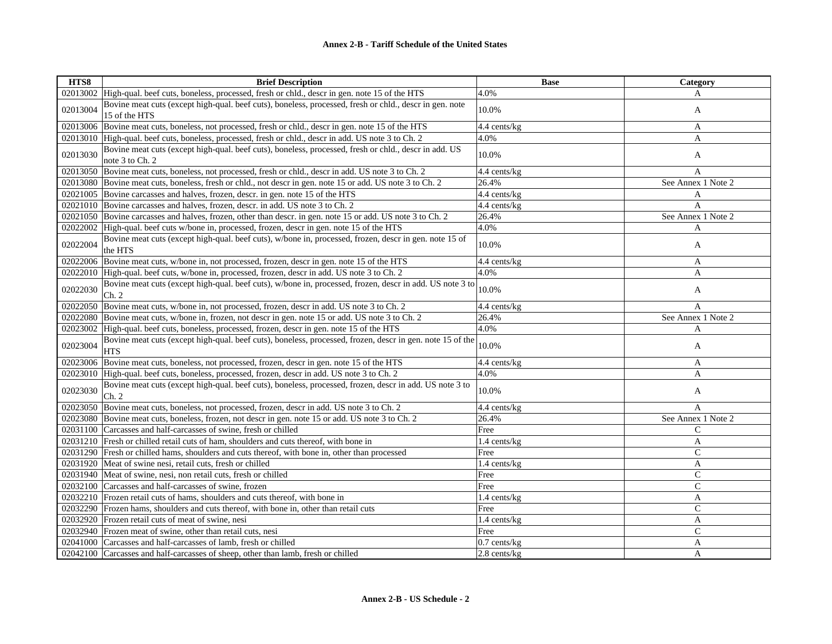| HTS8     | <b>Brief Description</b>                                                                                                 | <b>Base</b>       | Category           |
|----------|--------------------------------------------------------------------------------------------------------------------------|-------------------|--------------------|
|          | 02013002 High-qual. beef cuts, boneless, processed, fresh or chld., descr in gen. note 15 of the HTS                     | 4.0%              | A                  |
| 02013004 | Bovine meat cuts (except high-qual. beef cuts), boneless, processed, fresh or chld., descr in gen. note<br>15 of the HTS | 10.0%             | A                  |
|          | 02013006 Bovine meat cuts, boneless, not processed, fresh or chld., descr in gen. note 15 of the HTS                     | 4.4 cents/kg      | A                  |
|          | 02013010 High-qual. beef cuts, boneless, processed, fresh or chld., descr in add. US note 3 to Ch. 2                     | 4.0%              | A                  |
| 02013030 | Bovine meat cuts (except high-qual. beef cuts), boneless, processed, fresh or chld., descr in add. US<br>note 3 to Ch. 2 | 10.0%             | A                  |
|          | 02013050 Bovine meat cuts, boneless, not processed, fresh or chld., descr in add. US note 3 to Ch. 2                     | 4.4 cents/kg      | A                  |
|          | 02013080 Bovine meat cuts, boneless, fresh or chld., not descr in gen. note 15 or add. US note 3 to Ch. 2                | 26.4%             | See Annex 1 Note 2 |
|          | 02021005 Bovine carcasses and halves, frozen, descr. in gen. note 15 of the HTS                                          | 4.4 cents/kg      | A                  |
|          | 02021010 Bovine carcasses and halves, frozen, descr. in add. US note 3 to Ch. 2                                          | 4.4 cents/kg      | A                  |
|          | 02021050 Bovine carcasses and halves, frozen, other than descr. in gen. note 15 or add. US note 3 to Ch. 2               | 26.4%             | See Annex 1 Note 2 |
|          | 02022002 High-qual. beef cuts w/bone in, processed, frozen, descr in gen. note 15 of the HTS                             | 4.0%              | A                  |
| 02022004 | Bovine meat cuts (except high-qual. beef cuts), w/bone in, processed, frozen, descr in gen. note 15 of<br>the HTS        | 10.0%             | A                  |
|          | 02022006 Bovine meat cuts, w/bone in, not processed, frozen, descr in gen. note 15 of the HTS                            | 4.4 cents/kg      | A                  |
|          | 02022010 High-qual. beef cuts, w/bone in, processed, frozen, descr in add. US note 3 to Ch. 2                            | 4.0%              | A                  |
| 02022030 | Bovine meat cuts (except high-qual. beef cuts), w/bone in, processed, frozen, descr in add. US note 3 to<br>Ch. 2        | 10.0%             | A                  |
|          | 02022050 Bovine meat cuts, w/bone in, not processed, frozen, descr in add. US note 3 to Ch. 2                            | 4.4 cents/kg      | A                  |
|          | 02022080 Bovine meat cuts, w/bone in, frozen, not descr in gen. note 15 or add. US note 3 to Ch. 2                       | 26.4%             | See Annex 1 Note 2 |
|          | 02023002 High-qual. beef cuts, boneless, processed, frozen, descr in gen. note 15 of the HTS                             | 4.0%              | A                  |
| 02023004 | Bovine meat cuts (except high-qual. beef cuts), boneless, processed, frozen, descr in gen. note 15 of the<br><b>HTS</b>  | 10.0%             | A                  |
|          | 02023006 Bovine meat cuts, boneless, not processed, frozen, descr in gen. note 15 of the HTS                             | $4.4$ cents/kg    | A                  |
|          | 02023010 High-qual. beef cuts, boneless, processed, frozen, descr in add. US note 3 to Ch. 2                             | 4.0%              | A                  |
| 02023030 | Bovine meat cuts (except high-qual. beef cuts), boneless, processed, frozen, descr in add. US note 3 to<br>Ch. 2         | 10.0%             | A                  |
|          | 02023050 Bovine meat cuts, boneless, not processed, frozen, descr in add. US note 3 to Ch. 2                             | 4.4 cents/kg      | A                  |
|          | 02023080 Bovine meat cuts, boneless, frozen, not descr in gen. note 15 or add. US note 3 to Ch. 2                        | 26.4%             | See Annex 1 Note 2 |
|          | 02031100 Carcasses and half-carcasses of swine, fresh or chilled                                                         | Free              | $\mathsf{C}$       |
|          | 02031210 Fresh or chilled retail cuts of ham, shoulders and cuts thereof, with bone in                                   | 1.4 cents/kg      | A                  |
|          | 02031290 Fresh or chilled hams, shoulders and cuts thereof, with bone in, other than processed                           | Free              | $\mathsf{C}$       |
|          | 02031920 Meat of swine nesi, retail cuts, fresh or chilled                                                               | $1.4$ cents/kg    | A                  |
|          | 02031940 Meat of swine, nesi, non retail cuts, fresh or chilled                                                          | Free              | $\mathcal{C}$      |
|          | 02032100 Carcasses and half-carcasses of swine, frozen                                                                   | Free              | $\mathcal{C}$      |
|          | 02032210 Frozen retail cuts of hams, shoulders and cuts thereof, with bone in                                            | 1.4 cents/kg      | A                  |
|          | 02032290 Frozen hams, shoulders and cuts thereof, with bone in, other than retail cuts                                   | Free              | $\mathsf{C}$       |
|          | 02032920 Frozen retail cuts of meat of swine, nesi                                                                       | 1.4 cents/kg      | A                  |
|          | 02032940 Frozen meat of swine, other than retail cuts, nesi                                                              | Free              | $\mathsf{C}$       |
|          | 02041000 Carcasses and half-carcasses of lamb, fresh or chilled                                                          | $0.7$ cents/ $kg$ | A                  |
|          | 02042100 Carcasses and half-carcasses of sheep, other than lamb, fresh or chilled                                        | 2.8 cents/kg      | A                  |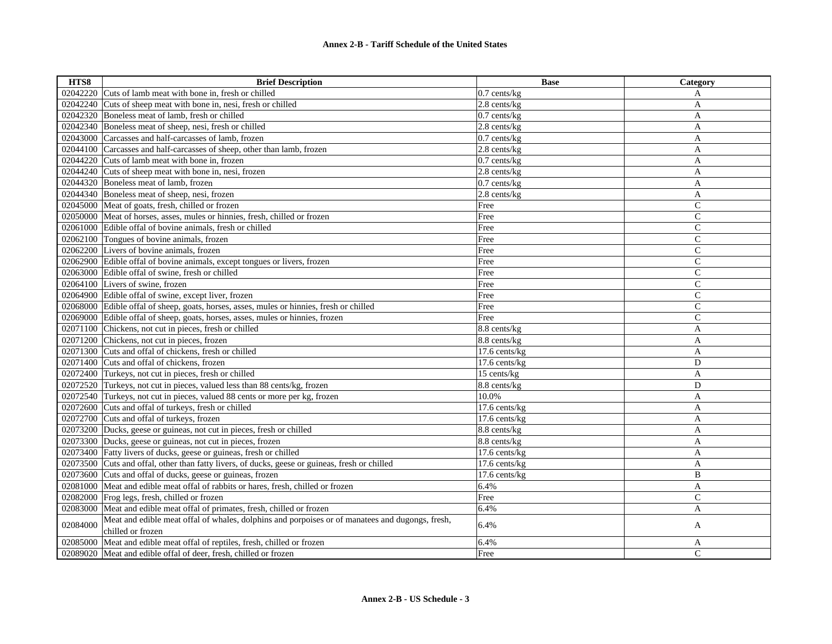| HTS8     | <b>Brief Description</b>                                                                        | <b>Base</b>               | Category       |
|----------|-------------------------------------------------------------------------------------------------|---------------------------|----------------|
|          | 02042220 Cuts of lamb meat with bone in, fresh or chilled                                       | $0.7$ cents/kg            | A              |
|          | 02042240 Cuts of sheep meat with bone in, nesi, fresh or chilled                                | $\overline{2.8}$ cents/kg | A              |
|          | 02042320 Boneless meat of lamb, fresh or chilled                                                | $0.7$ cents/ $kg$         | A              |
|          | 02042340 Boneless meat of sheep, nesi, fresh or chilled                                         | 2.8 cents/kg              | A              |
|          | 02043000 Carcasses and half-carcasses of lamb, frozen                                           | 0.7 cents/kg              | A              |
|          | 02044100 Carcasses and half-carcasses of sheep, other than lamb, frozen                         | $2.8$ cents/ $kg$         | A              |
|          | 02044220 Cuts of lamb meat with bone in, frozen                                                 | $0.7$ cents/ $kg$         | A              |
|          | 02044240 Cuts of sheep meat with bone in, nesi, frozen                                          | 2.8 cents/kg              | A              |
|          | 02044320 Boneless meat of lamb, frozen                                                          | $0.7$ cents/ $kg$         | A              |
|          | 02044340 Boneless meat of sheep, nesi, frozen                                                   | 2.8 cents/kg              | A              |
|          | 02045000 Meat of goats, fresh, chilled or frozen                                                | Free                      | $\mathsf{C}$   |
|          | 02050000 Meat of horses, asses, mules or hinnies, fresh, chilled or frozen                      | Free                      | $\mathbf C$    |
|          | 02061000 Edible offal of bovine animals, fresh or chilled                                       | Free                      | $\mathbf C$    |
|          | 02062100 Tongues of bovine animals, frozen                                                      | Free                      | $\mathbf C$    |
|          | 02062200 Livers of bovine animals, frozen                                                       | Free                      | $\mathsf{C}$   |
|          | 02062900 Edible offal of bovine animals, except tongues or livers, frozen                       | Free                      | $\overline{C}$ |
|          | 02063000 Edible offal of swine, fresh or chilled                                                | Free                      | $\mathbf C$    |
|          | 02064100 Livers of swine, frozen                                                                | Free                      | $\mathsf{C}$   |
|          | 02064900 Edible offal of swine, except liver, frozen                                            | Free                      | $\overline{C}$ |
|          | 02068000 Edible offal of sheep, goats, horses, asses, mules or hinnies, fresh or chilled        | Free                      | $\mathsf{C}$   |
|          | 02069000 Edible offal of sheep, goats, horses, asses, mules or hinnies, frozen                  | Free                      | $\mathcal{C}$  |
|          | 02071100 Chickens, not cut in pieces, fresh or chilled                                          | 8.8 cents/kg              | A              |
|          | 02071200 Chickens, not cut in pieces, frozen                                                    | 8.8 cents/kg              | A              |
|          | 02071300 Cuts and offal of chickens, fresh or chilled                                           | 17.6 cents/kg             | A              |
|          | 02071400 Cuts and offal of chickens, frozen                                                     | 17.6 cents/kg             | D              |
|          | 02072400 Turkeys, not cut in pieces, fresh or chilled                                           | 15 cents/kg               | A              |
|          | 02072520 Turkeys, not cut in pieces, valued less than 88 cents/kg, frozen                       | 8.8 cents/kg              | D              |
|          | 02072540 Turkeys, not cut in pieces, valued 88 cents or more per kg, frozen                     | 10.0%                     | A              |
|          | 02072600 Cuts and offal of turkeys, fresh or chilled                                            | 17.6 cents/kg             | A              |
|          | 02072700 Cuts and offal of turkeys, frozen                                                      | 17.6 cents/kg             | A              |
|          | 02073200 Ducks, geese or guineas, not cut in pieces, fresh or chilled                           | 8.8 cents/kg              | A              |
|          | 02073300 Ducks, geese or guineas, not cut in pieces, frozen                                     | 8.8 cents/kg              | A              |
|          | 02073400 Fatty livers of ducks, geese or guineas, fresh or chilled                              | 17.6 cents/kg             | A              |
|          | 02073500 Cuts and offal, other than fatty livers, of ducks, geese or guineas, fresh or chilled  | 17.6 cents/kg             | A              |
|          | 02073600 Cuts and offal of ducks, geese or guineas, frozen                                      | 17.6 cents/kg             | B              |
|          | 02081000 Meat and edible meat offal of rabbits or hares, fresh, chilled or frozen               | 6.4%                      | A              |
|          | 02082000 Frog legs, fresh, chilled or frozen                                                    | Free                      | C              |
|          | 02083000 Meat and edible meat offal of primates, fresh, chilled or frozen                       | 6.4%                      | A              |
| 02084000 | Meat and edible meat offal of whales, dolphins and porpoises or of manatees and dugongs, fresh, | 6.4%                      | A              |
|          | chilled or frozen                                                                               |                           |                |
| 02085000 | Meat and edible meat offal of reptiles, fresh, chilled or frozen                                | 6.4%                      | A              |
|          | 02089020 Meat and edible offal of deer, fresh, chilled or frozen                                | Free                      | $\mathcal{C}$  |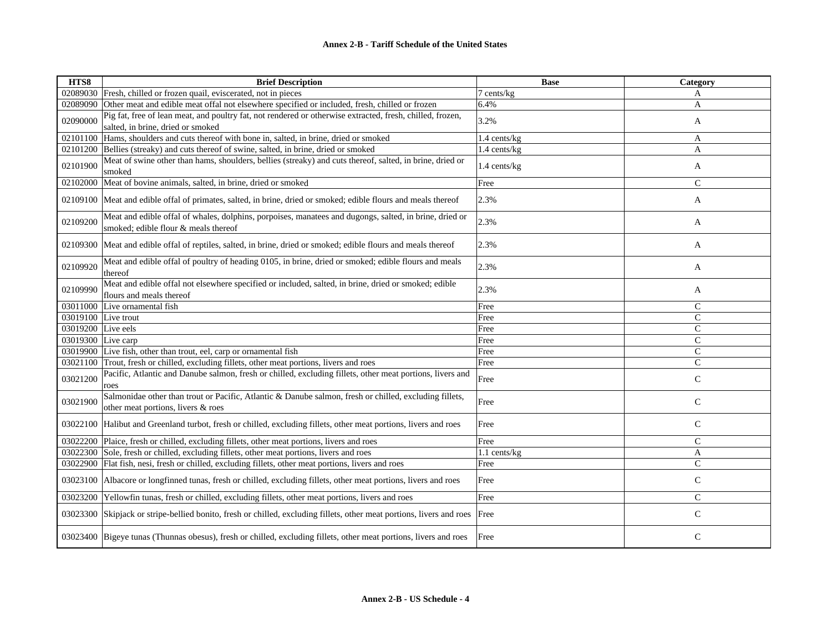| HTS8                             | <b>Brief Description</b>                                                                                                                       | <b>Base</b>  | Category       |
|----------------------------------|------------------------------------------------------------------------------------------------------------------------------------------------|--------------|----------------|
|                                  | 02089030 Fresh, chilled or frozen quail, eviscerated, not in pieces                                                                            | 7 cents/kg   | A              |
|                                  | 02089090 Other meat and edible meat offal not elsewhere specified or included, fresh, chilled or frozen                                        | 6.4%         | A              |
| 02090000                         | Pig fat, free of lean meat, and poultry fat, not rendered or otherwise extracted, fresh, chilled, frozen,<br>salted, in brine, dried or smoked | 3.2%         | A              |
| 02101100                         | Hams, shoulders and cuts thereof with bone in, salted, in brine, dried or smoked                                                               | 1.4 cents/kg | A              |
|                                  | 02101200 Bellies (streaky) and cuts thereof of swine, salted, in brine, dried or smoked                                                        | 1.4 cents/kg | A              |
| 02101900                         | Meat of swine other than hams, shoulders, bellies (streaky) and cuts thereof, salted, in brine, dried or<br>smoked                             | 1.4 cents/kg | A              |
| 02102000                         | Meat of bovine animals, salted, in brine, dried or smoked                                                                                      | Free         | $\mathsf{C}$   |
|                                  | 02109100 Meat and edible offal of primates, salted, in brine, dried or smoked; edible flours and meals thereof                                 | 2.3%         | A              |
| 02109200                         | Meat and edible offal of whales, dolphins, porpoises, manatees and dugongs, salted, in brine, dried or<br>smoked; edible flour & meals thereof | 2.3%         | A              |
|                                  | 02109300 Meat and edible offal of reptiles, salted, in brine, dried or smoked; edible flours and meals thereof                                 | 2.3%         | A              |
| 02109920                         | Meat and edible offal of poultry of heading 0105, in brine, dried or smoked; edible flours and meals<br>thereof                                | 2.3%         | A              |
| 02109990                         | Meat and edible offal not elsewhere specified or included, salted, in brine, dried or smoked; edible<br>flours and meals thereof               | 2.3%         | A              |
|                                  | 03011000 Live ornamental fish                                                                                                                  | Free         | ${\bf C}$      |
| $\overline{03019100}$ Live trout |                                                                                                                                                | Free         | $\mathcal{C}$  |
| 03019200 Live eels               |                                                                                                                                                | Free         | $\mathsf{C}$   |
| 03019300 Live carp               |                                                                                                                                                | Free         | $\mathsf{C}$   |
|                                  | 03019900 Live fish, other than trout, eel, carp or ornamental fish                                                                             | Free         | $\overline{C}$ |
|                                  | 03021100 Trout, fresh or chilled, excluding fillets, other meat portions, livers and roes                                                      | Free         | $\mathcal{C}$  |
| 03021200                         | Pacific, Atlantic and Danube salmon, fresh or chilled, excluding fillets, other meat portions, livers and<br>roes                              | Free         | $\mathsf{C}$   |
| 03021900                         | Salmonidae other than trout or Pacific, Atlantic & Danube salmon, fresh or chilled, excluding fillets,<br>other meat portions, livers & roes   | Free         | ${\bf C}$      |
|                                  | 03022100 Halibut and Greenland turbot, fresh or chilled, excluding fillets, other meat portions, livers and roes                               | Free         | $\mathsf{C}$   |
|                                  | 03022200 Plaice, fresh or chilled, excluding fillets, other meat portions, livers and roes                                                     | Free         | $\mathcal{C}$  |
|                                  | 03022300 Sole, fresh or chilled, excluding fillets, other meat portions, livers and roes                                                       | 1.1 cents/kg | $\mathbf{A}$   |
|                                  | 03022900 Flat fish, nesi, fresh or chilled, excluding fillets, other meat portions, livers and roes                                            | Free         | $\mathcal{C}$  |
|                                  | 03023100 Albacore or longfinned tunas, fresh or chilled, excluding fillets, other meat portions, livers and roes                               | Free         | $\mathsf{C}$   |
|                                  | 03023200 Yellowfin tunas, fresh or chilled, excluding fillets, other meat portions, livers and roes                                            | Free         | $\mathcal{C}$  |
|                                  | 03023300 Skipjack or stripe-bellied bonito, fresh or chilled, excluding fillets, other meat portions, livers and roes                          | Free         | $\mathcal{C}$  |
|                                  | 03023400 Bigeye tunas (Thunnas obesus), fresh or chilled, excluding fillets, other meat portions, livers and roes                              | Free         | $\mathsf{C}$   |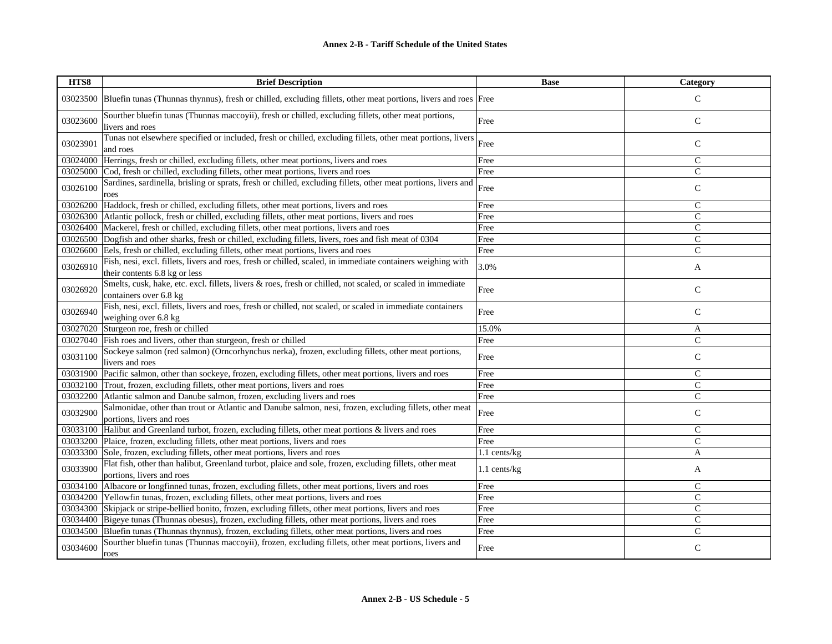| HTS8     | <b>Brief Description</b>                                                                                                                     | <b>Base</b>    | Category      |
|----------|----------------------------------------------------------------------------------------------------------------------------------------------|----------------|---------------|
|          | 03023500 Bluefin tunas (Thunnas thynnus), fresh or chilled, excluding fillets, other meat portions, livers and roes Free                     |                | $\mathsf{C}$  |
| 03023600 | Sourther bluefin tunas (Thunnas maccoyii), fresh or chilled, excluding fillets, other meat portions,<br>livers and roes                      | Free           | $\mathsf C$   |
| 03023901 | Tunas not elsewhere specified or included, fresh or chilled, excluding fillets, other meat portions, livers<br>and roes                      | Free           | $\mathsf{C}$  |
| 03024000 | Herrings, fresh or chilled, excluding fillets, other meat portions, livers and roes                                                          | Free           | $\mathsf{C}$  |
| 03025000 | Cod, fresh or chilled, excluding fillets, other meat portions, livers and roes                                                               | Free           | $\mathcal{C}$ |
| 03026100 | Sardines, sardinella, brisling or sprats, fresh or chilled, excluding fillets, other meat portions, livers and<br>roes                       | Free           | $\mathsf{C}$  |
| 03026200 | Haddock, fresh or chilled, excluding fillets, other meat portions, livers and roes                                                           | Free           | $\mathsf{C}$  |
|          | 03026300 Atlantic pollock, fresh or chilled, excluding fillets, other meat portions, livers and roes                                         | Free           | $\mathsf{C}$  |
| 03026400 | Mackerel, fresh or chilled, excluding fillets, other meat portions, livers and roes                                                          | Free           | $\mathcal{C}$ |
|          | 03026500 Dogfish and other sharks, fresh or chilled, excluding fillets, livers, roes and fish meat of 0304                                   | Free           | $\mathsf{C}$  |
| 03026600 | Eels, fresh or chilled, excluding fillets, other meat portions, livers and roes                                                              | Free           | $\mathsf{C}$  |
| 03026910 | Fish, nesi, excl. fillets, livers and roes, fresh or chilled, scaled, in immediate containers weighing with<br>their contents 6.8 kg or less | 3.0%           | A             |
| 03026920 | Smelts, cusk, hake, etc. excl. fillets, livers & roes, fresh or chilled, not scaled, or scaled in immediate<br>containers over 6.8 kg        | Free           | $\mathbf C$   |
| 03026940 | Fish, nesi, excl. fillets, livers and roes, fresh or chilled, not scaled, or scaled in immediate containers<br>weighing over 6.8 kg          | Free           | $\mathsf{C}$  |
| 03027020 | Sturgeon roe, fresh or chilled                                                                                                               | 15.0%          | A             |
|          | 03027040 Fish roes and livers, other than sturgeon, fresh or chilled                                                                         | Free           | $\mathcal{C}$ |
| 03031100 | Sockeye salmon (red salmon) (Orncorhynchus nerka), frozen, excluding fillets, other meat portions,<br>livers and roes                        | Free           | $\mathsf{C}$  |
| 03031900 | Pacific salmon, other than sockeye, frozen, excluding fillets, other meat portions, livers and roes                                          | Free           | $\mathsf{C}$  |
|          | 03032100 Trout, frozen, excluding fillets, other meat portions, livers and roes                                                              | Free           | $\mathsf{C}$  |
| 03032200 | Atlantic salmon and Danube salmon, frozen, excluding livers and roes                                                                         | Free           | $\mathbf C$   |
| 03032900 | Salmonidae, other than trout or Atlantic and Danube salmon, nesi, frozen, excluding fillets, other meat<br>portions, livers and roes         | Free           | $\mathsf C$   |
|          | 03033100 Halibut and Greenland turbot, frozen, excluding fillets, other meat portions & livers and roes                                      | Free           | $\mathsf{C}$  |
| 03033200 | Plaice, frozen, excluding fillets, other meat portions, livers and roes                                                                      | Free           | $\mathcal{C}$ |
| 03033300 | Sole, frozen, excluding fillets, other meat portions, livers and roes                                                                        | $1.1$ cents/kg | A             |
| 03033900 | Flat fish, other than halibut, Greenland turbot, plaice and sole, frozen, excluding fillets, other meat<br>portions, livers and roes         | 1.1 cents/kg   | A             |
| 03034100 | Albacore or longfinned tunas, frozen, excluding fillets, other meat portions, livers and roes                                                | Free           | $\mathcal{C}$ |
|          | 03034200 Yellowfin tunas, frozen, excluding fillets, other meat portions, livers and roes                                                    | Free           | $\mathsf C$   |
|          | 03034300 Skipjack or stripe-bellied bonito, frozen, excluding fillets, other meat portions, livers and roes                                  | Free           | $\mathsf{C}$  |
|          | 03034400 Bigeye tunas (Thunnas obesus), frozen, excluding fillets, other meat portions, livers and roes                                      | Free           | $\mathsf{C}$  |
| 03034500 | Bluefin tunas (Thunnas thynnus), frozen, excluding fillets, other meat portions, livers and roes                                             | Free           | $\mathsf{C}$  |
| 03034600 | Sourther bluefin tunas (Thunnas maccoyii), frozen, excluding fillets, other meat portions, livers and<br>roes                                | Free           | $\mathsf{C}$  |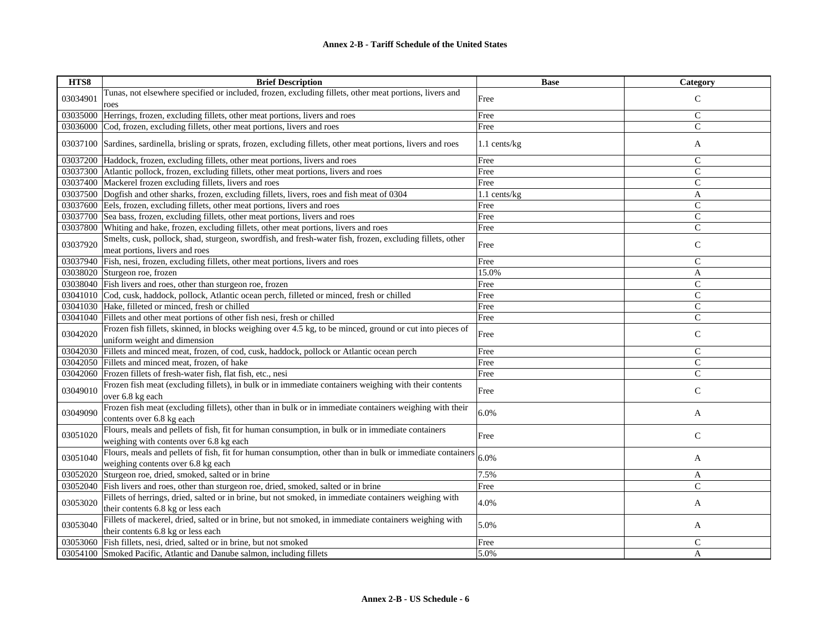| HTS8     | <b>Brief Description</b>                                                                                                                       | <b>Base</b>    | Category      |
|----------|------------------------------------------------------------------------------------------------------------------------------------------------|----------------|---------------|
| 03034901 | Tunas, not elsewhere specified or included, frozen, excluding fillets, other meat portions, livers and                                         | Free           | $\mathsf{C}$  |
|          | roes                                                                                                                                           |                |               |
| 03035000 | Herrings, frozen, excluding fillets, other meat portions, livers and roes                                                                      | Free           | $\mathsf{C}$  |
|          | 03036000 Cod, frozen, excluding fillets, other meat portions, livers and roes                                                                  | Free           | $\mathsf{C}$  |
|          | 03037100 Sardines, sardinella, brisling or sprats, frozen, excluding fillets, other meat portions, livers and roes                             | $1.1$ cents/kg | A             |
|          | 03037200 Haddock, frozen, excluding fillets, other meat portions, livers and roes                                                              | Free           | $\mathsf C$   |
|          | 03037300 Atlantic pollock, frozen, excluding fillets, other meat portions, livers and roes                                                     | Free           | $\mathsf{C}$  |
|          | 03037400 Mackerel frozen excluding fillets, livers and roes                                                                                    | Free           | $\mathcal{C}$ |
|          | 03037500 Dogfish and other sharks, frozen, excluding fillets, livers, roes and fish meat of 0304                                               | $1.1$ cents/kg | $\mathbf{A}$  |
|          | 03037600 Eels, frozen, excluding fillets, other meat portions, livers and roes                                                                 | Free           | $\mathsf{C}$  |
|          | 03037700 Sea bass, frozen, excluding fillets, other meat portions, livers and roes                                                             | Free           | $\mathbf C$   |
|          | 03037800 Whiting and hake, frozen, excluding fillets, other meat portions, livers and roes                                                     | Free           | $\mathsf{C}$  |
| 03037920 | Smelts, cusk, pollock, shad, sturgeon, swordfish, and fresh-water fish, frozen, excluding fillets, other<br>meat portions, livers and roes     | Free           | $\mathbf C$   |
|          | 03037940 Fish, nesi, frozen, excluding fillets, other meat portions, livers and roes                                                           | Free           | $\mathsf{C}$  |
|          | 03038020 Sturgeon roe, frozen                                                                                                                  | 15.0%          | A             |
|          | 03038040 Fish livers and roes, other than sturgeon roe, frozen                                                                                 | Free           | $\mathsf{C}$  |
|          | 03041010 Cod, cusk, haddock, pollock, Atlantic ocean perch, filleted or minced, fresh or chilled                                               | Free           | $\mathsf{C}$  |
|          | 03041030 Hake, filleted or minced, fresh or chilled                                                                                            | Free           | $\mathbf C$   |
|          | 03041040 Fillets and other meat portions of other fish nesi, fresh or chilled                                                                  | Free           | $\mathcal{C}$ |
| 03042020 | Frozen fish fillets, skinned, in blocks weighing over 4.5 kg, to be minced, ground or cut into pieces of<br>uniform weight and dimension       | Free           | $\mathsf{C}$  |
|          | 03042030 Fillets and minced meat, frozen, of cod, cusk, haddock, pollock or Atlantic ocean perch                                               | Free           | $\mathsf{C}$  |
|          | 03042050 Fillets and minced meat, frozen, of hake                                                                                              | Free           | $\mathcal{C}$ |
|          | 03042060 Frozen fillets of fresh-water fish, flat fish, etc., nesi                                                                             | Free           | $\mathsf{C}$  |
| 03049010 | Frozen fish meat (excluding fillets), in bulk or in immediate containers weighing with their contents<br>over 6.8 kg each                      | Free           | $\mathbf C$   |
| 03049090 | Frozen fish meat (excluding fillets), other than in bulk or in immediate containers weighing with their<br>contents over 6.8 kg each           | 6.0%           | A             |
| 03051020 | Flours, meals and pellets of fish, fit for human consumption, in bulk or in immediate containers<br>weighing with contents over 6.8 kg each    | Free           | $\mathsf{C}$  |
| 03051040 | Flours, meals and pellets of fish, fit for human consumption, other than in bulk or immediate containers<br>weighing contents over 6.8 kg each | 6.0%           | A             |
|          | 03052020 Sturgeon roe, dried, smoked, salted or in brine                                                                                       | 7.5%           | A             |
|          | 03052040 Fish livers and roes, other than sturgeon roe, dried, smoked, salted or in brine                                                      | Free           | $\mathsf{C}$  |
| 03053020 | Fillets of herrings, dried, salted or in brine, but not smoked, in immediate containers weighing with<br>their contents 6.8 kg or less each    | 4.0%           | A             |
| 03053040 | Fillets of mackerel, dried, salted or in brine, but not smoked, in immediate containers weighing with<br>their contents 6.8 kg or less each    | 5.0%           | A             |
|          | 03053060 Fish fillets, nesi, dried, salted or in brine, but not smoked                                                                         | Free           | C             |
|          | 03054100 Smoked Pacific, Atlantic and Danube salmon, including fillets                                                                         | 5.0%           | A             |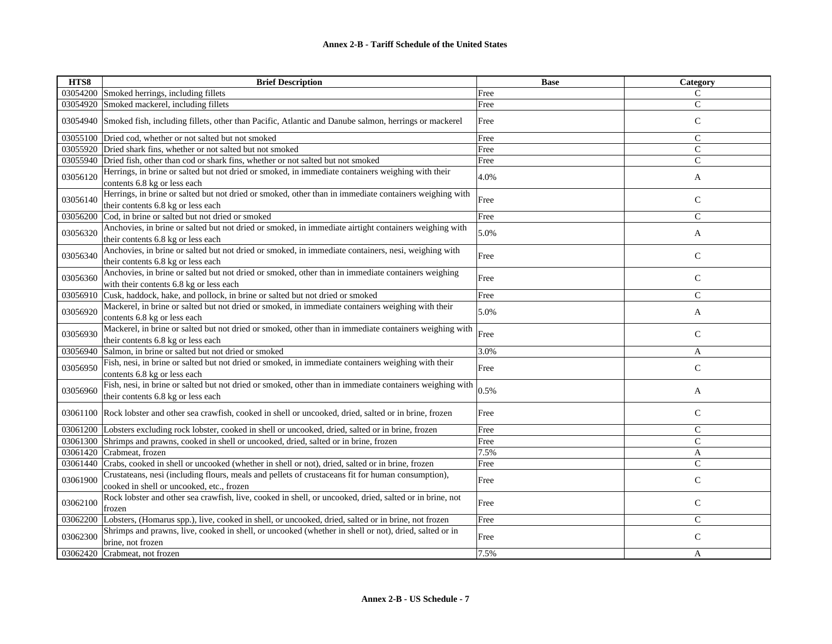| HTS8     | <b>Brief Description</b>                                                                                                                       | <b>Base</b> | Category      |
|----------|------------------------------------------------------------------------------------------------------------------------------------------------|-------------|---------------|
|          | 03054200 Smoked herrings, including fillets                                                                                                    | Free        | $\mathcal{C}$ |
|          | 03054920 Smoked mackerel, including fillets                                                                                                    | Free        | ${\bf C}$     |
|          | 03054940 Smoked fish, including fillets, other than Pacific, Atlantic and Danube salmon, herrings or mackerel                                  | Free        | $\mathsf{C}$  |
|          | 03055100 Dried cod, whether or not salted but not smoked                                                                                       | Free        | $\mathsf{C}$  |
|          | 03055920 Dried shark fins, whether or not salted but not smoked                                                                                | Free        | $\mathcal{C}$ |
|          | 03055940 Dried fish, other than cod or shark fins, whether or not salted but not smoked                                                        | Free        | $\mathcal{C}$ |
| 03056120 | Herrings, in brine or salted but not dried or smoked, in immediate containers weighing with their<br>contents 6.8 kg or less each              | 4.0%        | A             |
| 03056140 | Herrings, in brine or salted but not dried or smoked, other than in immediate containers weighing with<br>their contents 6.8 kg or less each   | Free        | $\mathsf{C}$  |
| 03056200 | Cod, in brine or salted but not dried or smoked                                                                                                | Free        | $\mathbf C$   |
| 03056320 | Anchovies, in brine or salted but not dried or smoked, in immediate airtight containers weighing with<br>their contents 6.8 kg or less each    | 5.0%        | A             |
| 03056340 | Anchovies, in brine or salted but not dried or smoked, in immediate containers, nesi, weighing with<br>their contents 6.8 kg or less each      | Free        | $\mathsf C$   |
| 03056360 | Anchovies, in brine or salted but not dried or smoked, other than in immediate containers weighing<br>with their contents 6.8 kg or less each  | Free        | $\mathcal{C}$ |
| 03056910 | Cusk, haddock, hake, and pollock, in brine or salted but not dried or smoked                                                                   | Free        | $\mathcal{C}$ |
| 03056920 | Mackerel, in brine or salted but not dried or smoked, in immediate containers weighing with their<br>contents 6.8 kg or less each              | 5.0%        | A             |
| 03056930 | Mackerel, in brine or salted but not dried or smoked, other than in immediate containers weighing with<br>their contents 6.8 kg or less each   | Free        | $\mathsf{C}$  |
| 03056940 | Salmon, in brine or salted but not dried or smoked                                                                                             | 3.0%        | A             |
| 03056950 | Fish, nesi, in brine or salted but not dried or smoked, in immediate containers weighing with their<br>contents 6.8 kg or less each            | Free        | $\mathsf{C}$  |
| 03056960 | Fish, nesi, in brine or salted but not dried or smoked, other than in immediate containers weighing with<br>their contents 6.8 kg or less each | 0.5%        | A             |
|          | 03061100 Rock lobster and other sea crawfish, cooked in shell or uncooked, dried, salted or in brine, frozen                                   | Free        | $\mathbf C$   |
|          | 03061200 Lobsters excluding rock lobster, cooked in shell or uncooked, dried, salted or in brine, frozen                                       | Free        | $\mathbf C$   |
|          | 03061300 Shrimps and prawns, cooked in shell or uncooked, dried, salted or in brine, frozen                                                    | Free        | $\mathcal{C}$ |
|          | 03061420 Crabmeat, frozen                                                                                                                      | 7.5%        | A             |
|          | 03061440 Crabs, cooked in shell or uncooked (whether in shell or not), dried, salted or in brine, frozen                                       | Free        | $\mathsf{C}$  |
| 03061900 | Crustateans, nesi (including flours, meals and pellets of crustaceans fit for human consumption),<br>cooked in shell or uncooked, etc., frozen | Free        | ${\bf C}$     |
| 03062100 | Rock lobster and other sea crawfish, live, cooked in shell, or uncooked, dried, salted or in brine, not<br>frozen                              | Free        | $\mathsf{C}$  |
|          | 03062200 Lobsters, (Homarus spp.), live, cooked in shell, or uncooked, dried, salted or in brine, not frozen                                   | Free        | $\mathcal{C}$ |
| 03062300 | Shrimps and prawns, live, cooked in shell, or uncooked (whether in shell or not), dried, salted or in<br>brine, not frozen                     | Free        | $\mathsf{C}$  |
|          | 03062420 Crabmeat, not frozen                                                                                                                  | 7.5%        | A             |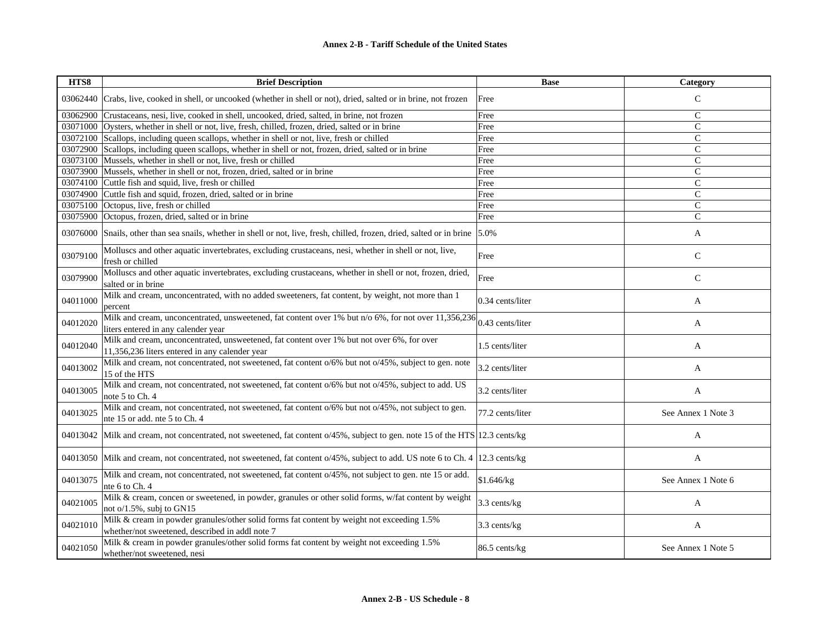## **Annex 2-B - Tariff Schedule of the United States**

| HTS8     | <b>Brief Description</b>                                                                                                                      | <b>Base</b>      | Category           |
|----------|-----------------------------------------------------------------------------------------------------------------------------------------------|------------------|--------------------|
| 03062440 | Crabs, live, cooked in shell, or uncooked (whether in shell or not), dried, salted or in brine, not frozen                                    | Free             | $\mathsf{C}$       |
|          | 03062900 Crustaceans, nesi, live, cooked in shell, uncooked, dried, salted, in brine, not frozen                                              | Free             | $\mathsf{C}$       |
|          | 03071000 Oysters, whether in shell or not, live, fresh, chilled, frozen, dried, salted or in brine                                            | Free             | $\mathsf{C}$       |
|          | 03072100 Scallops, including queen scallops, whether in shell or not, live, fresh or chilled                                                  | Free             | $\mathsf{C}$       |
|          | 03072900 Scallops, including queen scallops, whether in shell or not, frozen, dried, salted or in brine                                       | Free             | $\mathsf{C}$       |
|          | 03073100 Mussels, whether in shell or not, live, fresh or chilled                                                                             | Free             | C                  |
| 03073900 | Mussels, whether in shell or not, frozen, dried, salted or in brine                                                                           | Free             | $\mathsf{C}$       |
| 03074100 | Cuttle fish and squid, live, fresh or chilled                                                                                                 | Free             | $\overline{C}$     |
| 03074900 | Cuttle fish and squid, frozen, dried, salted or in brine                                                                                      | Free             | $\mathsf{C}$       |
| 03075100 | Octopus, live, fresh or chilled                                                                                                               | Free             | $\mathsf{C}$       |
| 03075900 | Octopus, frozen, dried, salted or in brine                                                                                                    | Free             | $\mathcal{C}$      |
| 03076000 | Snails, other than sea snails, whether in shell or not, live, fresh, chilled, frozen, dried, salted or in brine 5.0%                          |                  | A                  |
| 03079100 | Molluscs and other aquatic invertebrates, excluding crustaceans, nesi, whether in shell or not, live,<br>fresh or chilled                     | Free             | $\mathsf{C}$       |
| 03079900 | Molluscs and other aquatic invertebrates, excluding crustaceans, whether in shell or not, frozen, dried,<br>salted or in brine                | Free             | $\mathsf{C}$       |
| 04011000 | Milk and cream, unconcentrated, with no added sweeteners, fat content, by weight, not more than 1<br>percent                                  | 0.34 cents/liter | A                  |
| 04012020 | Milk and cream, unconcentrated, unsweetened, fat content over 1% but n/o 6%, for not over 11,356,236<br>liters entered in any calender year   | 0.43 cents/liter | A                  |
| 04012040 | Milk and cream, unconcentrated, unsweetened, fat content over 1% but not over 6%, for over<br>11,356,236 liters entered in any calender year  | 1.5 cents/liter  | A                  |
| 04013002 | Milk and cream, not concentrated, not sweetened, fat content o/6% but not o/45%, subject to gen. note<br>15 of the HTS                        | 3.2 cents/liter  | A                  |
| 04013005 | Milk and cream, not concentrated, not sweetened, fat content o/6% but not o/45%, subject to add. US<br>note 5 to Ch. 4                        | 3.2 cents/liter  | A                  |
| 04013025 | Milk and cream, not concentrated, not sweetened, fat content o/6% but not o/45%, not subject to gen.<br>nte 15 or add, nte 5 to Ch, 4         | 77.2 cents/liter | See Annex 1 Note 3 |
| 04013042 | Milk and cream, not concentrated, not sweetened, fat content o/45%, subject to gen. note 15 of the HTS 12.3 cents/kg                          |                  | A                  |
| 04013050 | Milk and cream, not concentrated, not sweetened, fat content o/45%, subject to add. US note 6 to Ch. 4 12.3 cents/kg                          |                  | A                  |
| 04013075 | Milk and cream, not concentrated, not sweetened, fat content o/45%, not subject to gen. nte 15 or add.<br>nte 6 to Ch. 4                      | \$1.646/kg       | See Annex 1 Note 6 |
| 04021005 | Milk & cream, concen or sweetened, in powder, granules or other solid forms, w/fat content by weight<br>not $o/1.5\%$ , subj to GN15          | 3.3 cents/kg     | A                  |
| 04021010 | Milk & cream in powder granules/other solid forms fat content by weight not exceeding 1.5%<br>whether/not sweetened, described in addl note 7 | 3.3 cents/kg     | A                  |
| 04021050 | Milk & cream in powder granules/other solid forms fat content by weight not exceeding 1.5%<br>whether/not sweetened, nesi                     | 86.5 cents/kg    | See Annex 1 Note 5 |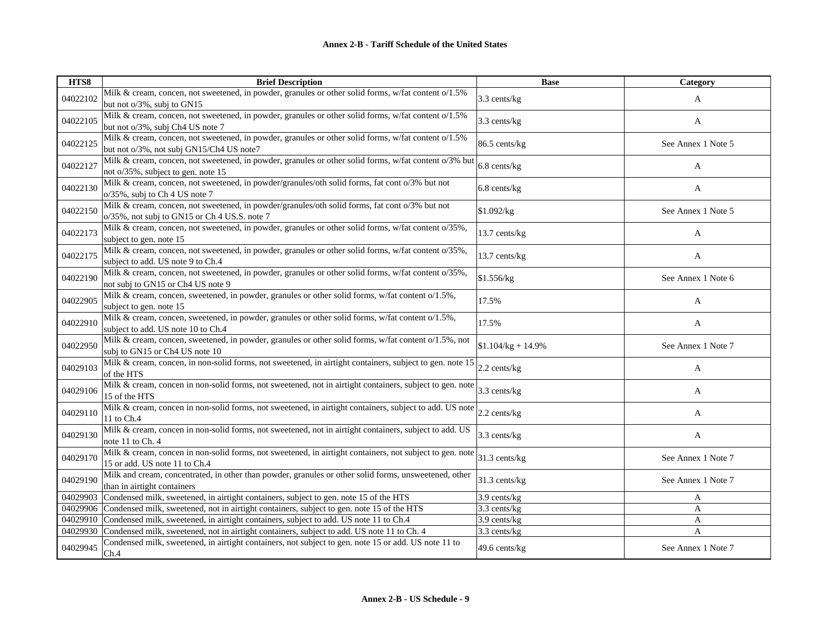| HTS8     | <b>Brief Description</b>                                                                                                                        | <b>Base</b>         | Category           |
|----------|-------------------------------------------------------------------------------------------------------------------------------------------------|---------------------|--------------------|
| 04022102 | Milk & cream, concen, not sweetened, in powder, granules or other solid forms, w/fat content o/1.5%<br>but not o/3%, subj to GN15               | 3.3 cents/kg        | A                  |
| 04022105 | Milk & cream, concen, not sweetened, in powder, granules or other solid forms, w/fat content o/1.5%<br>but not o/3%, subj Ch4 US note 7         | 3.3 cents/kg        | A                  |
| 04022125 | Milk & cream, concen, not sweetened, in powder, granules or other solid forms, w/fat content o/1.5%<br>but not o/3%, not subj GN15/Ch4 US note7 | 86.5 cents/kg       | See Annex 1 Note 5 |
| 04022127 | Milk & cream, concen, not sweetened, in powder, granules or other solid forms, w/fat content o/3% but<br>not o/35%, subject to gen. note 15     | 6.8 cents/kg        | A                  |
| 04022130 | Milk & cream, concen, not sweetened, in powder/granules/oth solid forms, fat cont o/3% but not<br>o/35%, subj to Ch 4 US note 7                 | 6.8 cents/kg        | A                  |
| 04022150 | Milk & cream, concen, not sweetened, in powder/granules/oth solid forms, fat cont o/3% but not<br>o/35%, not subj to GN15 or Ch 4 US.S. note 7  | \$1.092/kg          | See Annex 1 Note 5 |
| 04022173 | Milk & cream, concen, not sweetened, in powder, granules or other solid forms, w/fat content o/35%,<br>subject to gen. note 15                  | 13.7 cents/kg       | A                  |
| 04022175 | Milk & cream, concen, not sweetened, in powder, granules or other solid forms, w/fat content o/35%,<br>subject to add. US note 9 to Ch.4        | 13.7 cents/kg       | A                  |
| 04022190 | Milk & cream, concen, not sweetened, in powder, granules or other solid forms, w/fat content o/35%,<br>not subj to GN15 or Ch4 US note 9        | \$1.556/kg          | See Annex 1 Note 6 |
| 04022905 | Milk & cream, concen, sweetened, in powder, granules or other solid forms, w/fat content o/1.5%,<br>subject to gen. note 15                     | 17.5%               | A                  |
| 04022910 | Milk & cream, concen, sweetened, in powder, granules or other solid forms, w/fat content o/1.5%,<br>subject to add. US note 10 to Ch.4          | 17.5%               | A                  |
| 04022950 | Milk & cream, concen, sweetened, in powder, granules or other solid forms, w/fat content o/1.5%, not<br>subj to GN15 or Ch4 US note 10          | $$1.104/kg + 14.9%$ | See Annex 1 Note 7 |
| 04029103 | Milk & cream, concen, in non-solid forms, not sweetened, in airtight containers, subject to gen. note 15<br>of the HTS                          | $2.2$ cents/kg      | A                  |
| 04029106 | Milk & cream, concen in non-solid forms, not sweetened, not in airtight containers, subject to gen. note<br>15 of the HTS                       | 3.3 cents/kg        | A                  |
| 04029110 | Milk & cream, concen in non-solid forms, not sweetened, in airtight containers, subject to add. US note<br>11 to Ch.4                           | $2.2$ cents/kg      | A                  |
| 04029130 | Milk & cream, concen in non-solid forms, not sweetened, not in airtight containers, subject to add. US<br>note 11 to Ch. 4                      | 3.3 cents/kg        | A                  |
| 04029170 | Milk & cream, concen in non-solid forms, not sweetened, in airtight containers, not subject to gen. note<br>15 or add. US note 11 to Ch.4       | 31.3 cents/kg       | See Annex 1 Note 7 |
| 04029190 | Milk and cream, concentrated, in other than powder, granules or other solid forms, unsweetened, other<br>than in airtight containers            | 31.3 cents/kg       | See Annex 1 Note 7 |
| 04029903 | Condensed milk, sweetened, in airtight containers, subject to gen. note 15 of the HTS                                                           | 3.9 cents/kg        | A                  |
| 04029906 | Condensed milk, sweetened, not in airtight containers, subject to gen. note 15 of the HTS                                                       | 3.3 cents/kg        | A                  |
| 04029910 | Condensed milk, sweetened, in airtight containers, subject to add. US note 11 to Ch.4                                                           | 3.9 cents/kg        | A                  |
| 04029930 | Condensed milk, sweetened, not in airtight containers, subject to add. US note 11 to Ch. 4                                                      | 3.3 cents/kg        | A                  |
| 04029945 | Condensed milk, sweetened, in airtight containers, not subject to gen. note 15 or add. US note 11 to<br>Ch.4                                    | 49.6 cents/kg       | See Annex 1 Note 7 |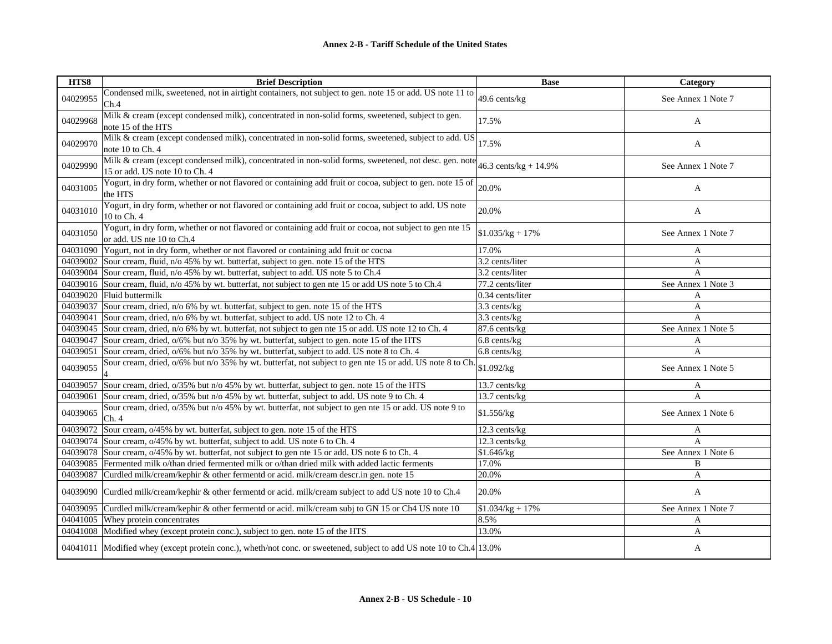| HTS8     | <b>Brief Description</b>                                                                                                                | <b>Base</b>             | Category           |
|----------|-----------------------------------------------------------------------------------------------------------------------------------------|-------------------------|--------------------|
| 04029955 | Condensed milk, sweetened, not in airtight containers, not subject to gen. note 15 or add. US note 11 to<br>Ch.4                        | 49.6 cents/kg           | See Annex 1 Note 7 |
| 04029968 | Milk & cream (except condensed milk), concentrated in non-solid forms, sweetened, subject to gen.<br>note 15 of the HTS                 | 17.5%                   | A                  |
| 04029970 | Milk & cream (except condensed milk), concentrated in non-solid forms, sweetened, subject to add. US<br>note 10 to Ch. 4                | 17.5%                   | A                  |
| 04029990 | Milk & cream (except condensed milk), concentrated in non-solid forms, sweetened, not desc. gen. note<br>15 or add. US note 10 to Ch. 4 | 46.3 cents/kg + $14.9%$ | See Annex 1 Note 7 |
| 04031005 | Yogurt, in dry form, whether or not flavored or containing add fruit or cocoa, subject to gen. note 15 of<br>the HTS                    | 20.0%                   | A                  |
| 04031010 | Yogurt, in dry form, whether or not flavored or containing add fruit or cocoa, subject to add. US note<br>10 to Ch. 4                   | 20.0%                   | $\mathbf{A}$       |
| 04031050 | Yogurt, in dry form, whether or not flavored or containing add fruit or cocoa, not subject to gen nte 15<br>or add. US nte 10 to Ch.4   | $$1.035/kg + 17\%$      | See Annex 1 Note 7 |
|          | 04031090 Yogurt, not in dry form, whether or not flavored or containing add fruit or cocoa                                              | 17.0%                   | A                  |
|          | 04039002 Sour cream, fluid, n/o 45% by wt. butterfat, subject to gen. note 15 of the HTS                                                | 3.2 cents/liter         | A                  |
|          | 04039004 Sour cream, fluid, n/o 45% by wt. butterfat, subject to add. US note 5 to Ch.4                                                 | 3.2 cents/liter         | $\mathsf{A}$       |
|          | 04039016 Sour cream, fluid, n/o 45% by wt. butterfat, not subject to gen nte 15 or add US note 5 to Ch.4                                | 77.2 cents/liter        | See Annex 1 Note 3 |
|          | 04039020 Fluid buttermilk                                                                                                               | 0.34 cents/liter        | A                  |
|          | 04039037 Sour cream, dried, n/o 6% by wt. butterfat, subject to gen. note 15 of the HTS                                                 | 3.3 cents/kg            | A                  |
| 04039041 | Sour cream, dried, n/o 6% by wt. butterfat, subject to add. US note 12 to Ch. 4                                                         | 3.3 cents/kg            | $\mathsf{A}$       |
| 04039045 | Sour cream, dried, n/o 6% by wt. butterfat, not subject to gen nte 15 or add. US note 12 to Ch. 4                                       | 87.6 cents/kg           | See Annex 1 Note 5 |
| 04039047 | Sour cream, dried, $o/6\%$ but n/o 35% by wt. butterfat, subject to gen. note 15 of the HTS                                             | 6.8 cents/kg            | A                  |
| 04039051 | Sour cream, dried, $o/6\%$ but n/o 35% by wt. butterfat, subject to add. US note 8 to Ch. 4                                             | 6.8 cents/kg            | $\mathbf{A}$       |
| 04039055 | Sour cream, dried, o/6% but n/o 35% by wt. butterfat, not subject to gen nte 15 or add. US note 8 to Ch.                                | \$1.092/kg              | See Annex 1 Note 5 |
| 04039057 | Sour cream, dried, $o/35\%$ but n/o 45% by wt. butterfat, subject to gen. note 15 of the HTS                                            | 13.7 cents/kg           | A                  |
| 04039061 | Sour cream, dried, o/35% but n/o 45% by wt. butterfat, subject to add. US note 9 to Ch. 4                                               | 13.7 cents/kg           | $\overline{A}$     |
| 04039065 | Sour cream, dried, $o/35\%$ but n/o 45% by wt. butterfat, not subject to gen nte 15 or add. US note 9 to<br>Ch.4                        | \$1.556/kg              | See Annex 1 Note 6 |
|          | 04039072 Sour cream, o/45% by wt. butterfat, subject to gen. note 15 of the HTS                                                         | 12.3 cents/kg           | A                  |
|          | 04039074 Sour cream, $o/45\%$ by wt. butterfat, subject to add. US note 6 to Ch. 4                                                      | 12.3 cents/kg           | $\mathsf{A}$       |
|          | 04039078 Sour cream, $o/45\%$ by wt. butterfat, not subject to gen nte 15 or add. US note 6 to Ch. 4                                    | \$1.646/kg              | See Annex 1 Note 6 |
| 04039085 | Fermented milk o/than dried fermented milk or o/than dried milk with added lactic ferments                                              | 17.0%                   | B                  |
| 04039087 | Curdled milk/cream/kephir & other fermentd or acid. milk/cream descr.in gen. note 15                                                    | 20.0%                   | A                  |
|          | 04039090 Curdled milk/cream/kephir & other fermentd or acid. milk/cream subject to add US note 10 to Ch.4                               | 20.0%                   | A                  |
|          | 04039095 Curdled milk/cream/kephir & other fermentd or acid. milk/cream subj to GN 15 or Ch4 US note 10                                 | $$1.034/kg + 17\%$      | See Annex 1 Note 7 |
|          | 04041005 Whey protein concentrates                                                                                                      | 8.5%                    | A                  |
|          | 04041008 Modified whey (except protein conc.), subject to gen. note 15 of the HTS                                                       | 13.0%                   | A                  |
|          | 04041011 Modified whey (except protein conc.), wheth/not conc. or sweetened, subject to add US note 10 to Ch.4 13.0%                    |                         | A                  |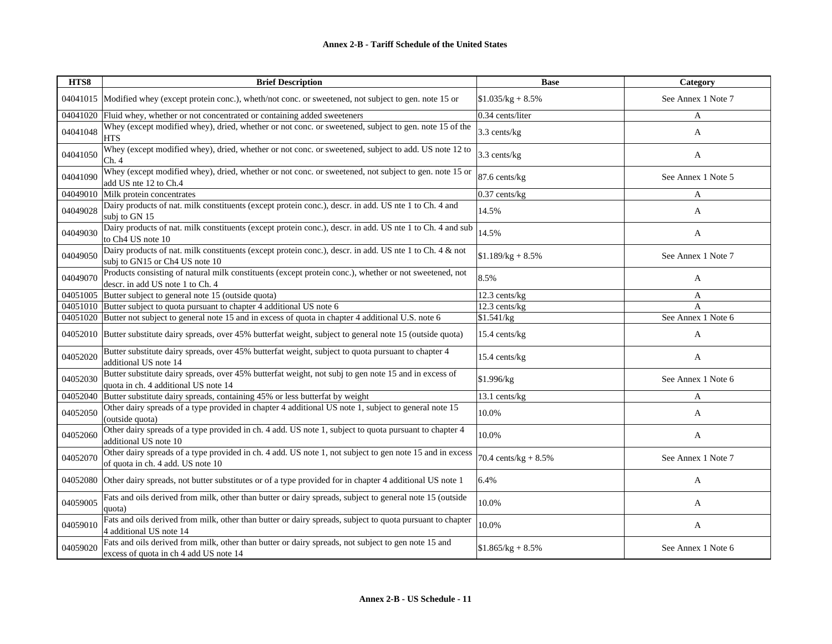| HTS8     | <b>Brief Description</b>                                                                                                                      | <b>Base</b>             | Category           |
|----------|-----------------------------------------------------------------------------------------------------------------------------------------------|-------------------------|--------------------|
| 04041015 | Modified whey (except protein conc.), wheth/not conc. or sweetened, not subject to gen. note 15 or                                            | $$1.035/kg + 8.5\%$     | See Annex 1 Note 7 |
| 04041020 | Fluid whey, whether or not concentrated or containing added sweeteners                                                                        | 0.34 cents/liter        | A                  |
| 04041048 | Whey (except modified whey), dried, whether or not conc. or sweetened, subject to gen. note 15 of the<br><b>HTS</b>                           | 3.3 cents/kg            | A                  |
| 04041050 | Whey (except modified whey), dried, whether or not conc. or sweetened, subject to add. US note 12 to<br>Ch.4                                  | 3.3 cents/kg            | A                  |
| 04041090 | Whey (except modified whey), dried, whether or not conc. or sweetened, not subject to gen. note 15 or<br>add US nte 12 to Ch.4                | 87.6 cents/kg           | See Annex 1 Note 5 |
| 04049010 | Milk protein concentrates                                                                                                                     | $0.37$ cents/kg         | A                  |
| 04049028 | Dairy products of nat. milk constituents (except protein conc.), descr. in add. US nte 1 to Ch. 4 and<br>subj to GN 15                        | 14.5%                   | A                  |
| 04049030 | Dairy products of nat. milk constituents (except protein conc.), descr. in add. US nte 1 to Ch. 4 and sub<br>to Ch4 US note 10                | 14.5%                   | A                  |
| 04049050 | Dairy products of nat. milk constituents (except protein conc.), descr. in add. US nte 1 to Ch. 4 & not<br>subj to GN15 or Ch4 US note 10     | $$1.189/kg + 8.5\%$     | See Annex 1 Note 7 |
| 04049070 | Products consisting of natural milk constituents (except protein conc.), whether or not sweetened, not<br>descr. in add US note 1 to Ch. 4    | 8.5%                    | A                  |
| 04051005 | Butter subject to general note 15 (outside quota)                                                                                             | 12.3 cents/kg           | A                  |
| 04051010 | Butter subject to quota pursuant to chapter 4 additional US note 6                                                                            | 12.3 cents/kg           | A                  |
| 04051020 | Butter not subject to general note 15 and in excess of quota in chapter 4 additional U.S. note 6                                              | \$1.541/kg              | See Annex 1 Note 6 |
| 04052010 | Butter substitute dairy spreads, over 45% butterfat weight, subject to general note 15 (outside quota)                                        | 15.4 cents/kg           | A                  |
| 04052020 | Butter substitute dairy spreads, over 45% butterfat weight, subject to quota pursuant to chapter 4<br>additional US note 14                   | 15.4 cents/kg           | A                  |
| 04052030 | Butter substitute dairy spreads, over 45% butterfat weight, not subj to gen note 15 and in excess of<br>quota in ch. 4 additional US note 14  | \$1.996/kg              | See Annex 1 Note 6 |
| 04052040 | Butter substitute dairy spreads, containing 45% or less butterfat by weight                                                                   | 13.1 cents/kg           | A                  |
| 04052050 | Other dairy spreads of a type provided in chapter 4 additional US note 1, subject to general note 15<br>(outside quota)                       | 10.0%                   | A                  |
| 04052060 | Other dairy spreads of a type provided in ch. 4 add. US note 1, subject to quota pursuant to chapter 4<br>additional US note 10               | 10.0%                   | A                  |
| 04052070 | Other dairy spreads of a type provided in ch. 4 add. US note 1, not subject to gen note 15 and in excess<br>of quota in ch. 4 add. US note 10 | 70.4 cents/kg + $8.5\%$ | See Annex 1 Note 7 |
| 04052080 | Other dairy spreads, not butter substitutes or of a type provided for in chapter 4 additional US note 1                                       | 6.4%                    | A                  |
| 04059005 | Fats and oils derived from milk, other than butter or dairy spreads, subject to general note 15 (outside<br>quota)                            | 10.0%                   | A                  |
| 04059010 | Fats and oils derived from milk, other than butter or dairy spreads, subject to quota pursuant to chapter<br>4 additional US note 14          | 10.0%                   | A                  |
| 04059020 | Fats and oils derived from milk, other than butter or dairy spreads, not subject to gen note 15 and<br>excess of quota in ch 4 add US note 14 | $$1.865/kg + 8.5\%$     | See Annex 1 Note 6 |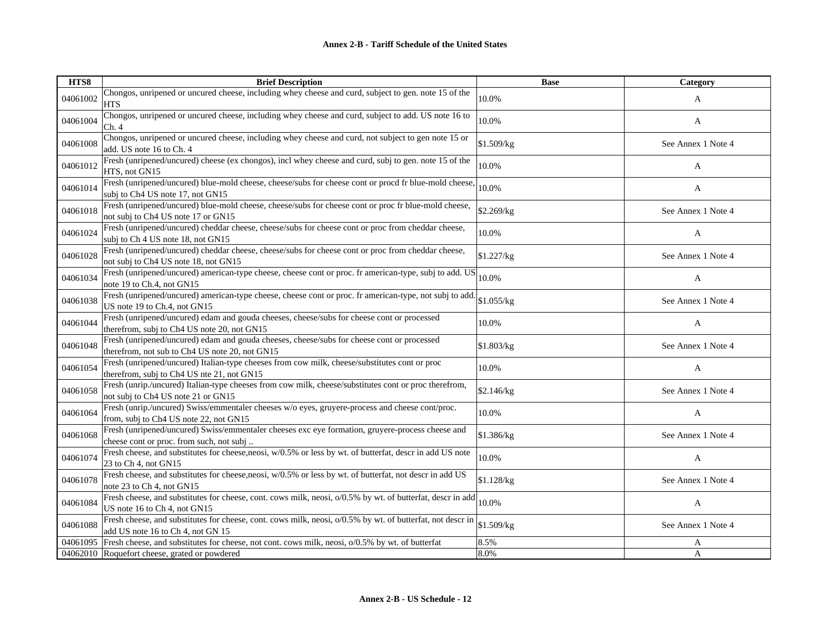| HTS8     | <b>Brief Description</b>                                                                                                                        | <b>Base</b> | Category           |
|----------|-------------------------------------------------------------------------------------------------------------------------------------------------|-------------|--------------------|
| 04061002 | Chongos, unripened or uncured cheese, including whey cheese and curd, subject to gen. note 15 of the<br><b>HTS</b>                              | 10.0%       | A                  |
| 04061004 | Chongos, unripened or uncured cheese, including whey cheese and curd, subject to add. US note 16 to<br>Ch.4                                     | 10.0%       | A                  |
| 04061008 | Chongos, unripened or uncured cheese, including whey cheese and curd, not subject to gen note 15 or<br>add. US note 16 to Ch. 4                 | \$1.509/kg  | See Annex 1 Note 4 |
| 04061012 | Fresh (unripened/uncured) cheese (ex chongos), incl whey cheese and curd, subj to gen. note 15 of the<br>HTS, not GN15                          | 10.0%       | A                  |
| 04061014 | Fresh (unripened/uncured) blue-mold cheese, cheese/subs for cheese cont or procd fr blue-mold cheese,<br>subj to Ch4 US note 17, not GN15       | 10.0%       | A                  |
| 04061018 | Fresh (unripened/uncured) blue-mold cheese, cheese/subs for cheese cont or proc fr blue-mold cheese,<br>not subj to Ch4 US note 17 or GN15      | \$2.269/kg  | See Annex 1 Note 4 |
| 04061024 | Fresh (unripened/uncured) cheddar cheese, cheese/subs for cheese cont or proc from cheddar cheese,<br>subj to Ch 4 US note 18, not GN15         | 10.0%       | A                  |
| 04061028 | Fresh (unripened/uncured) cheddar cheese, cheese/subs for cheese cont or proc from cheddar cheese,<br>not subj to Ch4 US note 18, not GN15      | \$1.227/kg  | See Annex 1 Note 4 |
| 04061034 | Fresh (unripened/uncured) american-type cheese, cheese cont or proc. fr american-type, subj to add. US<br>note 19 to Ch.4, not GN15             | 10.0%       | A                  |
| 04061038 | Fresh (unripened/uncured) american-type cheese, cheese cont or proc. fr american-type, not subj to add.<br>US note 19 to Ch.4, not GN15         | \$1.055/kg  | See Annex 1 Note 4 |
| 04061044 | Fresh (unripened/uncured) edam and gouda cheeses, cheese/subs for cheese cont or processed<br>therefrom, subj to Ch4 US note 20, not GN15       | 10.0%       | A                  |
| 04061048 | Fresh (unripened/uncured) edam and gouda cheeses, cheese/subs for cheese cont or processed<br>therefrom, not sub to Ch4 US note 20, not GN15    | \$1.803/kg  | See Annex 1 Note 4 |
| 04061054 | Fresh (unripened/uncured) Italian-type cheeses from cow milk, cheese/substitutes cont or proc<br>therefrom, subj to Ch4 US nte 21, not GN15     | 10.0%       | A                  |
| 04061058 | Fresh (unrip./uncured) Italian-type cheeses from cow milk, cheese/substitutes cont or proc therefrom,<br>not subj to Ch4 US note 21 or GN15     | \$2.146/kg  | See Annex 1 Note 4 |
| 04061064 | Fresh (unrip./uncured) Swiss/emmentaler cheeses w/o eyes, gruyere-process and cheese cont/proc.<br>from, subj to Ch4 US note 22, not GN15       | 10.0%       | A                  |
| 04061068 | Fresh (unripened/uncured) Swiss/emmentaler cheeses exc eye formation, gruyere-process cheese and<br>cheese cont or proc. from such, not subj    | \$1.386/kg  | See Annex 1 Note 4 |
| 04061074 | Fresh cheese, and substitutes for cheese, neosi, w/0.5% or less by wt. of butterfat, descr in add US note<br>23 to Ch 4, not GN15               | 10.0%       | A                  |
| 04061078 | Fresh cheese, and substitutes for cheese, neosi, w/0.5% or less by wt. of butterfat, not descr in add US<br>note 23 to Ch 4, not GN15           | \$1.128/kg  | See Annex 1 Note 4 |
| 04061084 | Fresh cheese, and substitutes for cheese, cont. cows milk, neosi, o/0.5% by wt. of butterfat, descr in add<br>US note 16 to Ch 4, not GN15      | 10.0%       | A                  |
| 04061088 | Fresh cheese, and substitutes for cheese, cont. cows milk, neosi, o/0.5% by wt. of butterfat, not descr in<br>add US note 16 to Ch 4, not GN 15 | \$1.509/kg  | See Annex 1 Note 4 |
| 04061095 | Fresh cheese, and substitutes for cheese, not cont. cows milk, neosi, o/0.5% by wt. of butterfat                                                | 8.5%        | A                  |
|          | 04062010 Roquefort cheese, grated or powdered                                                                                                   | 8.0%        | A                  |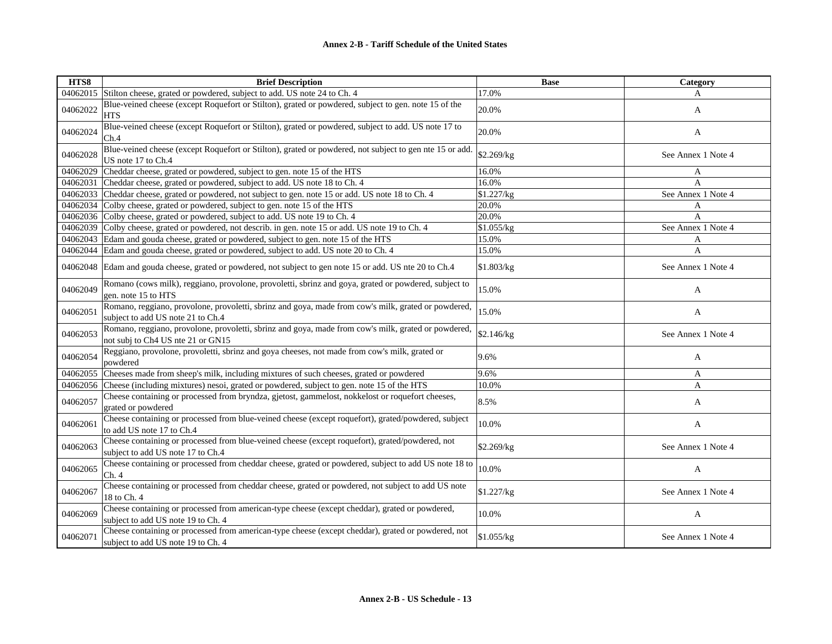| HTS8     | <b>Brief Description</b>                                                                                                                 | <b>Base</b> | Category           |
|----------|------------------------------------------------------------------------------------------------------------------------------------------|-------------|--------------------|
| 04062015 | Stilton cheese, grated or powdered, subject to add. US note 24 to Ch. 4                                                                  | 17.0%       | A                  |
| 04062022 | Blue-veined cheese (except Roquefort or Stilton), grated or powdered, subject to gen. note 15 of the<br><b>HTS</b>                       | 20.0%       | A                  |
| 04062024 | Blue-veined cheese (except Roquefort or Stilton), grated or powdered, subject to add. US note 17 to<br>Ch.4                              | 20.0%       | $\mathbf{A}$       |
| 04062028 | Blue-veined cheese (except Roquefort or Stilton), grated or powdered, not subject to gen nte 15 or add.<br>US note 17 to Ch.4            | \$2.269/kg  | See Annex 1 Note 4 |
| 04062029 | Cheddar cheese, grated or powdered, subject to gen. note 15 of the HTS                                                                   | 16.0%       | A                  |
| 04062031 | Cheddar cheese, grated or powdered, subject to add. US note 18 to Ch. 4                                                                  | 16.0%       | A                  |
|          | 04062033 Cheddar cheese, grated or powdered, not subject to gen. note 15 or add. US note 18 to Ch. 4                                     | \$1.227/kg  | See Annex 1 Note 4 |
| 04062034 | Colby cheese, grated or powdered, subject to gen. note 15 of the HTS                                                                     | 20.0%       | A                  |
|          | 04062036 Colby cheese, grated or powdered, subject to add. US note 19 to Ch. 4                                                           | 20.0%       | A                  |
| 04062039 | Colby cheese, grated or powdered, not describ. in gen. note 15 or add. US note 19 to Ch. 4                                               | \$1.055/kg  | See Annex 1 Note 4 |
|          | 04062043 Edam and gouda cheese, grated or powdered, subject to gen. note 15 of the HTS                                                   | 15.0%       | A                  |
|          | 04062044 Edam and gouda cheese, grated or powdered, subject to add. US note 20 to Ch. 4                                                  | 15.0%       | A                  |
| 04062048 | Edam and gouda cheese, grated or powdered, not subject to gen note 15 or add. US nte 20 to Ch.4                                          | \$1.803/kg  | See Annex 1 Note 4 |
| 04062049 | Romano (cows milk), reggiano, provolone, provoletti, sbrinz and goya, grated or powdered, subject to<br>gen. note 15 to HTS              | 15.0%       | A                  |
| 04062051 | Romano, reggiano, provolone, provoletti, sbrinz and goya, made from cow's milk, grated or powdered,<br>subject to add US note 21 to Ch.4 | 15.0%       | A                  |
| 04062053 | Romano, reggiano, provolone, provoletti, sbrinz and goya, made from cow's milk, grated or powdered,<br>not subj to Ch4 US nte 21 or GN15 | \$2.146/kg  | See Annex 1 Note 4 |
| 04062054 | Reggiano, provolone, provoletti, sbrinz and goya cheeses, not made from cow's milk, grated or<br>powdered                                | 9.6%        | A                  |
| 04062055 | Cheeses made from sheep's milk, including mixtures of such cheeses, grated or powdered                                                   | 9.6%        | A                  |
|          | 04062056 Cheese (including mixtures) nesoi, grated or powdered, subject to gen. note 15 of the HTS                                       | 10.0%       | A                  |
| 04062057 | Cheese containing or processed from bryndza, gjetost, gammelost, nokkelost or roquefort cheeses,<br>grated or powdered                   | 8.5%        | A                  |
| 04062061 | Cheese containing or processed from blue-veined cheese (except roquefort), grated/powdered, subject<br>to add US note 17 to Ch.4         | 10.0%       | A                  |
| 04062063 | Cheese containing or processed from blue-veined cheese (except roquefort), grated/powdered, not<br>subject to add US note 17 to Ch.4     | \$2.269/kg  | See Annex 1 Note 4 |
| 04062065 | Cheese containing or processed from cheddar cheese, grated or powdered, subject to add US note 18 to<br>Ch. 4                            | 10.0%       | A                  |
| 04062067 | Cheese containing or processed from cheddar cheese, grated or powdered, not subject to add US note<br>18 to Ch. 4                        | \$1.227/kg  | See Annex 1 Note 4 |
| 04062069 | Cheese containing or processed from american-type cheese (except cheddar), grated or powdered,<br>subject to add US note 19 to Ch. 4     | 10.0%       | A                  |
| 04062071 | Cheese containing or processed from american-type cheese (except cheddar), grated or powdered, not<br>subject to add US note 19 to Ch. 4 | \$1.055/kg  | See Annex 1 Note 4 |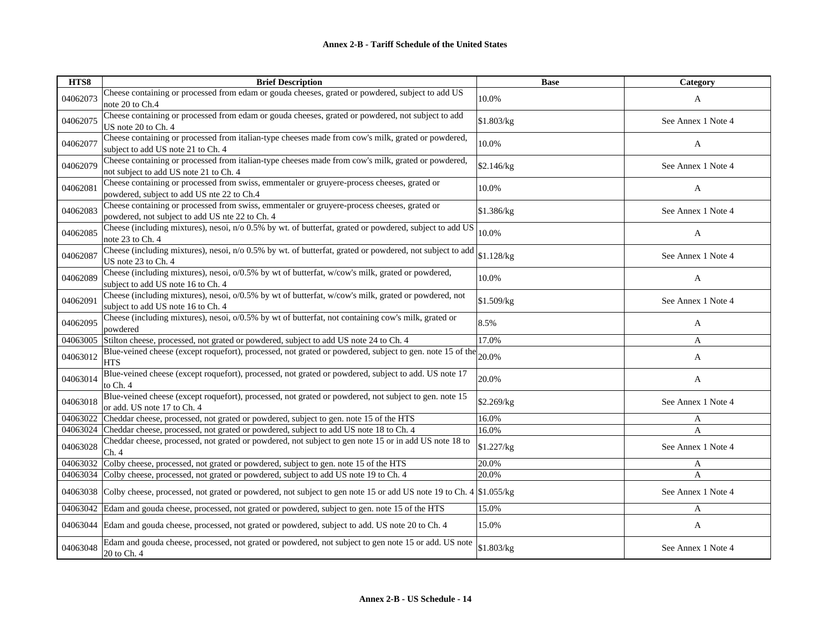| HTS8     | <b>Brief Description</b>                                                                                                                       | <b>Base</b> | Category           |
|----------|------------------------------------------------------------------------------------------------------------------------------------------------|-------------|--------------------|
| 04062073 | Cheese containing or processed from edam or gouda cheeses, grated or powdered, subject to add US<br>note 20 to Ch.4                            | 10.0%       | $\mathbf{A}$       |
| 04062075 | Cheese containing or processed from edam or gouda cheeses, grated or powdered, not subject to add<br>US note 20 to Ch. 4                       | \$1.803/kg  | See Annex 1 Note 4 |
| 04062077 | Cheese containing or processed from italian-type cheeses made from cow's milk, grated or powdered,<br>subject to add US note 21 to Ch. 4       | 10.0%       | A                  |
| 04062079 | Cheese containing or processed from italian-type cheeses made from cow's milk, grated or powdered,<br>not subject to add US note 21 to Ch. 4   | \$2.146/kg  | See Annex 1 Note 4 |
| 04062081 | Cheese containing or processed from swiss, emmentaler or gruyere-process cheeses, grated or<br>powdered, subject to add US nte 22 to Ch.4      | 10.0%       | A                  |
| 04062083 | Cheese containing or processed from swiss, emmentaler or gruyere-process cheeses, grated or<br>powdered, not subject to add US nte 22 to Ch. 4 | \$1.386/kg  | See Annex 1 Note 4 |
| 04062085 | Cheese (including mixtures), nesoi, n/o 0.5% by wt. of butterfat, grated or powdered, subject to add US<br>note 23 to Ch. 4                    | 10.0%       | A                  |
| 04062087 | Cheese (including mixtures), nesoi, n/o 0.5% by wt. of butterfat, grated or powdered, not subject to add<br>US note 23 to Ch. 4                | \$1.128/kg  | See Annex 1 Note 4 |
| 04062089 | Cheese (including mixtures), nesoi, o/0.5% by wt of butterfat, w/cow's milk, grated or powdered,<br>subject to add US note 16 to Ch. 4         | 10.0%       | A                  |
| 04062091 | Cheese (including mixtures), nesoi, o/0.5% by wt of butterfat, w/cow's milk, grated or powdered, not<br>subject to add US note 16 to Ch. 4     | \$1.509/kg  | See Annex 1 Note 4 |
| 04062095 | Cheese (including mixtures), nesoi, o/0.5% by wt of butterfat, not containing cow's milk, grated or<br>powdered                                | 8.5%        | A                  |
| 04063005 | Stilton cheese, processed, not grated or powdered, subject to add US note 24 to Ch. 4                                                          | 17.0%       | A                  |
| 04063012 | Blue-veined cheese (except roquefort), processed, not grated or powdered, subject to gen. note 15 of the 20.0%<br><b>HTS</b>                   |             | A                  |
| 04063014 | Blue-veined cheese (except roquefort), processed, not grated or powdered, subject to add. US note 17<br>to Ch. 4                               | 20.0%       | A                  |
| 04063018 | Blue-veined cheese (except roquefort), processed, not grated or powdered, not subject to gen. note 15<br>or add. US note 17 to Ch. 4           | \$2.269/kg  | See Annex 1 Note 4 |
| 04063022 | Cheddar cheese, processed, not grated or powdered, subject to gen. note 15 of the HTS                                                          | 16.0%       | A                  |
| 04063024 | Cheddar cheese, processed, not grated or powdered, subject to add US note 18 to Ch. 4                                                          | 16.0%       | $\mathbf{A}$       |
| 04063028 | Cheddar cheese, processed, not grated or powdered, not subject to gen note 15 or in add US note 18 to<br>Ch.4                                  | \$1.227/kg  | See Annex 1 Note 4 |
| 04063032 | Colby cheese, processed, not grated or powdered, subject to gen. note 15 of the HTS                                                            | 20.0%       | A                  |
| 04063034 | Colby cheese, processed, not grated or powdered, subject to add US note 19 to Ch. 4                                                            | 20.0%       | $\overline{A}$     |
| 04063038 | Colby cheese, processed, not grated or powdered, not subject to gen note 15 or add US note 19 to Ch. 4 \$1.055/kg                              |             | See Annex 1 Note 4 |
| 04063042 | Edam and gouda cheese, processed, not grated or powdered, subject to gen. note 15 of the HTS                                                   | 15.0%       | A                  |
| 04063044 | Edam and gouda cheese, processed, not grated or powdered, subject to add. US note 20 to Ch. 4                                                  | 15.0%       | A                  |
| 04063048 | Edam and gouda cheese, processed, not grated or powdered, not subject to gen note 15 or add. US note<br>20 to Ch. 4                            | \$1.803/kg  | See Annex 1 Note 4 |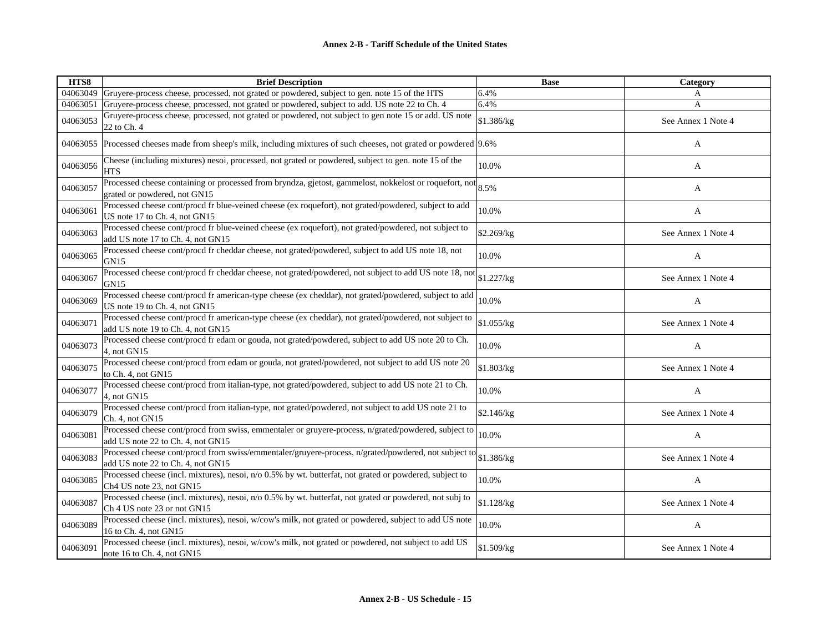| HTS8     | <b>Brief Description</b>                                                                                                                   | <b>Base</b> | Category           |
|----------|--------------------------------------------------------------------------------------------------------------------------------------------|-------------|--------------------|
| 04063049 | Gruyere-process cheese, processed, not grated or powdered, subject to gen. note 15 of the HTS                                              | 6.4%        | A                  |
| 04063051 | Gruyere-process cheese, processed, not grated or powdered, subject to add. US note 22 to Ch. 4                                             | 6.4%        | A                  |
| 04063053 | Gruyere-process cheese, processed, not grated or powdered, not subject to gen note 15 or add. US note<br>22 to Ch. 4                       | \$1.386/kg  | See Annex 1 Note 4 |
|          | 04063055 Processed cheeses made from sheep's milk, including mixtures of such cheeses, not grated or powdered [9.6%]                       |             | A                  |
| 04063056 | Cheese (including mixtures) nesoi, processed, not grated or powdered, subject to gen. note 15 of the<br><b>HTS</b>                         | 10.0%       | A                  |
| 04063057 | Processed cheese containing or processed from bryndza, gjetost, gammelost, nokkelost or roquefort, not<br>grated or powdered, not GN15     | 8.5%        | A                  |
| 04063061 | Processed cheese cont/procd fr blue-veined cheese (ex roquefort), not grated/powdered, subject to add<br>US note 17 to Ch. 4, not GN15     | 10.0%       | A                  |
| 04063063 | Processed cheese cont/procd fr blue-veined cheese (ex roquefort), not grated/powdered, not subject to<br>add US note 17 to Ch. 4, not GN15 | \$2.269/kg  | See Annex 1 Note 4 |
| 04063065 | Processed cheese cont/procd fr cheddar cheese, not grated/powdered, subject to add US note 18, not<br>GN <sub>15</sub>                     | 10.0%       | A                  |
| 04063067 | Processed cheese cont/procd fr cheddar cheese, not grated/powdered, not subject to add US note 18, not<br>GN15                             | \$1.227/kg  | See Annex 1 Note 4 |
| 04063069 | Processed cheese cont/procd fr american-type cheese (ex cheddar), not grated/powdered, subject to add<br>US note 19 to Ch. 4, not GN15     | 10.0%       | A                  |
| 04063071 | Processed cheese cont/procd fr american-type cheese (ex cheddar), not grated/powdered, not subject to<br>add US note 19 to Ch. 4, not GN15 | \$1.055/kg  | See Annex 1 Note 4 |
| 04063073 | Processed cheese cont/procd fr edam or gouda, not grated/powdered, subject to add US note 20 to Ch.<br>4, not GN15                         | 10.0%       | $\mathbf{A}$       |
| 04063075 | Processed cheese cont/procd from edam or gouda, not grated/powdered, not subject to add US note 20<br>to Ch. 4, not GN15                   | \$1.803/kg  | See Annex 1 Note 4 |
| 04063077 | Processed cheese cont/procd from italian-type, not grated/powdered, subject to add US note 21 to Ch.<br>4, not GN15                        | 10.0%       | $\mathbf{A}$       |
| 04063079 | Processed cheese cont/procd from italian-type, not grated/powdered, not subject to add US note 21 to<br>Ch. 4, not GN15                    | \$2.146/kg  | See Annex 1 Note 4 |
| 04063081 | Processed cheese cont/procd from swiss, emmentaler or gruyere-process, n/grated/powdered, subject to<br>add US note 22 to Ch. 4, not GN15  | 10.0%       | A                  |
| 04063083 | Processed cheese cont/procd from swiss/emmentaler/gruyere-process, n/grated/powdered, not subject to<br>add US note 22 to Ch. 4, not GN15  | \$1.386/kg  | See Annex 1 Note 4 |
| 04063085 | Processed cheese (incl. mixtures), nesoi, n/o 0.5% by wt. butterfat, not grated or powdered, subject to<br>Ch4 US note 23, not GN15        | 10.0%       | A                  |
| 04063087 | Processed cheese (incl. mixtures), nesoi, n/o 0.5% by wt. butterfat, not grated or powdered, not subj to<br>Ch 4 US note 23 or not GN15    | \$1.128/kg  | See Annex 1 Note 4 |
| 04063089 | Processed cheese (incl. mixtures), nesoi, w/cow's milk, not grated or powdered, subject to add US note<br>16 to Ch. 4, not GN15            | 10.0%       | A                  |
| 04063091 | Processed cheese (incl. mixtures), nesoi, w/cow's milk, not grated or powdered, not subject to add US<br>note 16 to Ch. 4, not GN15        | \$1.509/kg  | See Annex 1 Note 4 |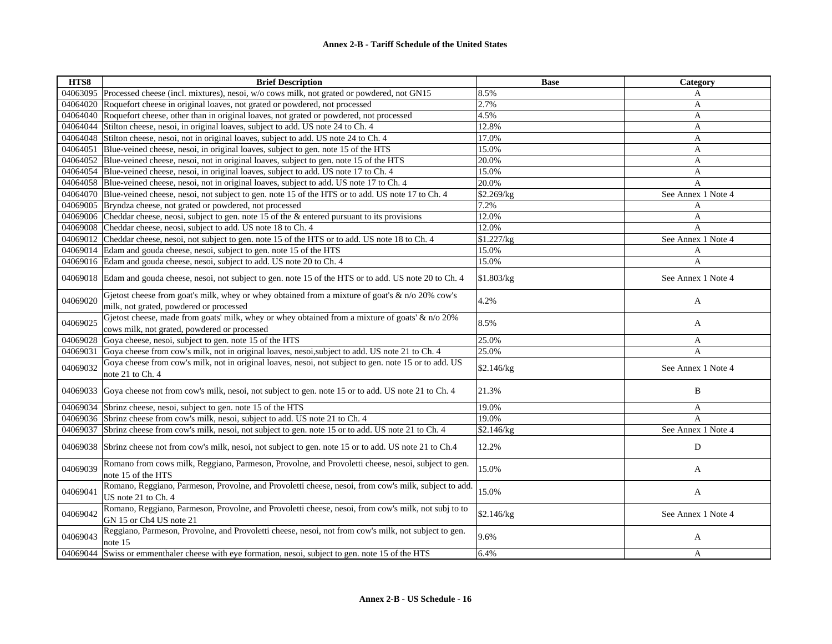| HTS8     | <b>Brief Description</b>                                                                                                                        | <b>Base</b> | Category           |
|----------|-------------------------------------------------------------------------------------------------------------------------------------------------|-------------|--------------------|
| 04063095 | Processed cheese (incl. mixtures), nesoi, w/o cows milk, not grated or powdered, not GN15                                                       | 8.5%        | A                  |
| 04064020 | Roquefort cheese in original loaves, not grated or powdered, not processed                                                                      | 2.7%        | A                  |
| 04064040 | Roquefort cheese, other than in original loaves, not grated or powdered, not processed                                                          | 4.5%        | A                  |
| 04064044 | Stilton cheese, nesoi, in original loaves, subject to add. US note 24 to Ch. 4                                                                  | 12.8%       | A                  |
| 04064048 | Stilton cheese, nesoi, not in original loaves, subject to add. US note 24 to Ch. 4                                                              | 17.0%       | A                  |
| 04064051 | Blue-veined cheese, nesoi, in original loaves, subject to gen. note 15 of the HTS                                                               | 15.0%       | A                  |
| 04064052 | Blue-veined cheese, nesoi, not in original loaves, subject to gen. note 15 of the HTS                                                           | 20.0%       | A                  |
| 04064054 | Blue-veined cheese, nesoi, in original loaves, subject to add. US note 17 to Ch. 4                                                              | 15.0%       | A                  |
|          | 04064058 Blue-veined cheese, nesoi, not in original loaves, subject to add. US note 17 to Ch. 4                                                 | 20.0%       | A                  |
|          | 04064070 Blue-veined cheese, nesoi, not subject to gen. note 15 of the HTS or to add. US note 17 to Ch. 4                                       | \$2.269/kg  | See Annex 1 Note 4 |
| 04069005 | Bryndza cheese, not grated or powdered, not processed                                                                                           | 7.2%        | A                  |
|          | 04069006 Cheddar cheese, neosi, subject to gen. note 15 of the & entered pursuant to its provisions                                             | 12.0%       | A                  |
| 04069008 | Cheddar cheese, neosi, subject to add. US note 18 to Ch. 4                                                                                      | 12.0%       | A                  |
| 04069012 | Cheddar cheese, nesoi, not subject to gen. note 15 of the HTS or to add. US note 18 to Ch. 4                                                    | \$1.227/kg  | See Annex 1 Note 4 |
| 04069014 | Edam and gouda cheese, nesoi, subject to gen. note 15 of the HTS                                                                                | 15.0%       | A                  |
|          | 04069016 Edam and gouda cheese, nesoi, subject to add. US note 20 to Ch. 4                                                                      | 15.0%       | A                  |
|          | 04069018 Edam and gouda cheese, nesoi, not subject to gen. note 15 of the HTS or to add. US note 20 to Ch. 4                                    | \$1.803/kg  | See Annex 1 Note 4 |
| 04069020 | Gjetost cheese from goat's milk, whey or whey obtained from a mixture of goat's & n/o 20% cow's<br>milk, not grated, powdered or processed      | 4.2%        | A                  |
| 04069025 | Gjetost cheese, made from goats' milk, whey or whey obtained from a mixture of goats' & n/o 20%<br>cows milk, not grated, powdered or processed | 8.5%        | A                  |
| 04069028 | Goya cheese, nesoi, subject to gen. note 15 of the HTS                                                                                          | 25.0%       | A                  |
| 04069031 | Goya cheese from cow's milk, not in original loaves, nesoi, subject to add. US note 21 to Ch. 4                                                 | 25.0%       | A                  |
| 04069032 | Goya cheese from cow's milk, not in original loaves, nesoi, not subject to gen. note 15 or to add. US<br>note 21 to Ch. 4                       | \$2.146/kg  | See Annex 1 Note 4 |
| 04069033 | Goya cheese not from cow's milk, nesoi, not subject to gen. note 15 or to add. US note 21 to Ch. 4                                              | 21.3%       | B                  |
| 04069034 | Sbrinz cheese, nesoi, subject to gen. note 15 of the HTS                                                                                        | 19.0%       | A                  |
| 04069036 | Sbrinz cheese from cow's milk, nesoi, subject to add. US note 21 to Ch. 4                                                                       | 19.0%       | A                  |
| 04069037 | Sbrinz cheese from cow's milk, nesoi, not subject to gen. note 15 or to add. US note 21 to Ch. 4                                                | \$2.146/kg  | See Annex 1 Note 4 |
| 04069038 | Sbrinz cheese not from cow's milk, nesoi, not subject to gen. note 15 or to add. US note 21 to Ch.4                                             | 12.2%       | D                  |
| 04069039 | Romano from cows milk, Reggiano, Parmeson, Provolne, and Provoletti cheese, nesoi, subject to gen.<br>note 15 of the HTS                        | 15.0%       | A                  |
| 04069041 | Romano, Reggiano, Parmeson, Provolne, and Provoletti cheese, nesoi, from cow's milk, subject to add.<br>US note 21 to Ch. 4                     | 15.0%       | A                  |
| 04069042 | Romano, Reggiano, Parmeson, Provolne, and Provoletti cheese, nesoi, from cow's milk, not subj to to<br>GN 15 or Ch4 US note 21                  | \$2.146/kg  | See Annex 1 Note 4 |
| 04069043 | Reggiano, Parmeson, Provolne, and Provoletti cheese, nesoi, not from cow's milk, not subject to gen.<br>note 15                                 | 9.6%        | A                  |
| 04069044 | Swiss or emmenthaler cheese with eye formation, nesoi, subject to gen. note 15 of the HTS                                                       | 6.4%        | A                  |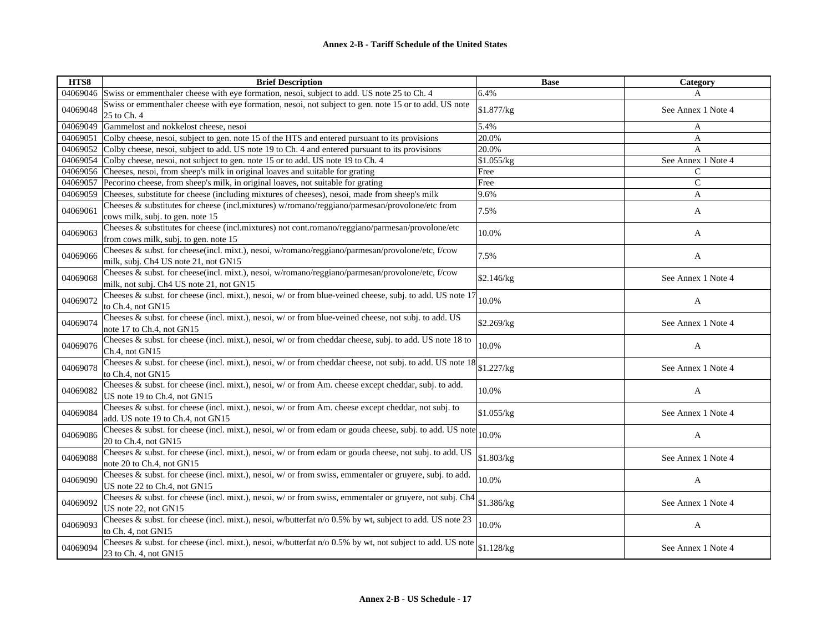| HTS8     | <b>Brief Description</b>                                                                                                                     | <b>Base</b> | Category           |
|----------|----------------------------------------------------------------------------------------------------------------------------------------------|-------------|--------------------|
|          | 04069046 Swiss or emmenthaler cheese with eye formation, nesoi, subject to add. US note 25 to Ch. 4                                          | 6.4%        | A                  |
| 04069048 | Swiss or emmenthaler cheese with eye formation, nesoi, not subject to gen. note 15 or to add. US note<br>25 to Ch. 4                         | \$1.877/kg  | See Annex 1 Note 4 |
|          | 04069049 Gammelost and nokkelost cheese, nesoi                                                                                               | 5.4%        | A                  |
| 04069051 | Colby cheese, nesoi, subject to gen. note 15 of the HTS and entered pursuant to its provisions                                               | 20.0%       | A                  |
|          | 04069052 Colby cheese, nesoi, subject to add. US note 19 to Ch. 4 and entered pursuant to its provisions                                     | 20.0%       | A                  |
|          | 04069054 Colby cheese, nesoi, not subject to gen. note 15 or to add. US note 19 to Ch. 4                                                     | \$1.055/kg  | See Annex 1 Note 4 |
|          | 04069056 Cheeses, nesoi, from sheep's milk in original loaves and suitable for grating                                                       | Free        | $\mathsf{C}$       |
|          | 04069057 Pecorino cheese, from sheep's milk, in original loaves, not suitable for grating                                                    | Free        | $\mathcal{C}$      |
| 04069059 | Cheeses, substitute for cheese (including mixtures of cheeses), nesoi, made from sheep's milk                                                | 9.6%        | A                  |
| 04069061 | Cheeses & substitutes for cheese (incl.mixtures) w/romano/reggiano/parmesan/provolone/etc from<br>cows milk, subj. to gen. note 15           | 7.5%        | A                  |
| 04069063 | Cheeses & substitutes for cheese (incl.mixtures) not cont.romano/reggiano/parmesan/provolone/etc<br>from cows milk, subj. to gen. note 15    | 10.0%       | A                  |
| 04069066 | Cheeses & subst. for cheese(incl. mixt.), nesoi, w/romano/reggiano/parmesan/provolone/etc, f/cow<br>milk, subj. Ch4 US note 21, not GN15     | 7.5%        | A                  |
| 04069068 | Cheeses & subst. for cheese(incl. mixt.), nesoi, w/romano/reggiano/parmesan/provolone/etc, f/cow<br>milk, not subj. Ch4 US note 21, not GN15 | \$2.146/kg  | See Annex 1 Note 4 |
| 04069072 | Cheeses & subst. for cheese (incl. mixt.), nesoi, w/ or from blue-veined cheese, subj. to add. US note 17<br>to Ch.4, not GN15               | 10.0%       | $\mathbf{A}$       |
| 04069074 | Cheeses & subst. for cheese (incl. mixt.), nesoi, w/ or from blue-veined cheese, not subj. to add. US<br>note 17 to Ch.4, not GN15           | \$2.269/kg  | See Annex 1 Note 4 |
| 04069076 | Cheeses & subst. for cheese (incl. mixt.), nesoi, w/ or from cheddar cheese, subj. to add. US note 18 to<br>Ch.4, not GN15                   | 10.0%       | A                  |
| 04069078 | Cheeses & subst. for cheese (incl. mixt.), nesoi, w/ or from cheddar cheese, not subj. to add. US note 18<br>to Ch.4, not GN15               | \$1.227/kg  | See Annex 1 Note 4 |
| 04069082 | Cheeses & subst. for cheese (incl. mixt.), nesoi, w/ or from Am. cheese except cheddar, subj. to add.<br>US note 19 to Ch.4, not GN15        | 10.0%       | A                  |
| 04069084 | Cheeses & subst. for cheese (incl. mixt.), nesoi, w/ or from Am. cheese except cheddar, not subj. to<br>add. US note 19 to Ch.4, not GN15    | \$1.055/kg  | See Annex 1 Note 4 |
| 04069086 | Cheeses & subst. for cheese (incl. mixt.), nesoi, w/ or from edam or gouda cheese, subj. to add. US note<br>20 to Ch.4, not GN15             | 10.0%       | $\mathbf{A}$       |
| 04069088 | Cheeses & subst. for cheese (incl. mixt.), nesoi, w/ or from edam or gouda cheese, not subj. to add. US<br>note 20 to Ch.4, not GN15         | \$1.803/kg  | See Annex 1 Note 4 |
| 04069090 | Cheeses & subst. for cheese (incl. mixt.), nesoi, w/ or from swiss, emmentaler or gruyere, subj. to add.<br>US note 22 to Ch.4, not GN15     | 10.0%       | A                  |
| 04069092 | Cheeses & subst. for cheese (incl. mixt.), nesoi, w/ or from swiss, emmentaler or gruyere, not subj. Ch4<br>US note 22, not GN15             | \$1.386/kg  | See Annex 1 Note 4 |
| 04069093 | Cheeses & subst. for cheese (incl. mixt.), nesoi, w/butterfat n/o 0.5% by wt, subject to add. US note 23<br>to Ch. 4, not GN15               | 10.0%       | A                  |
| 04069094 | Cheeses & subst. for cheese (incl. mixt.), nesoi, w/butterfat n/o 0.5% by wt, not subject to add. US note<br>23 to Ch. 4, not GN15           | \$1.128/kg  | See Annex 1 Note 4 |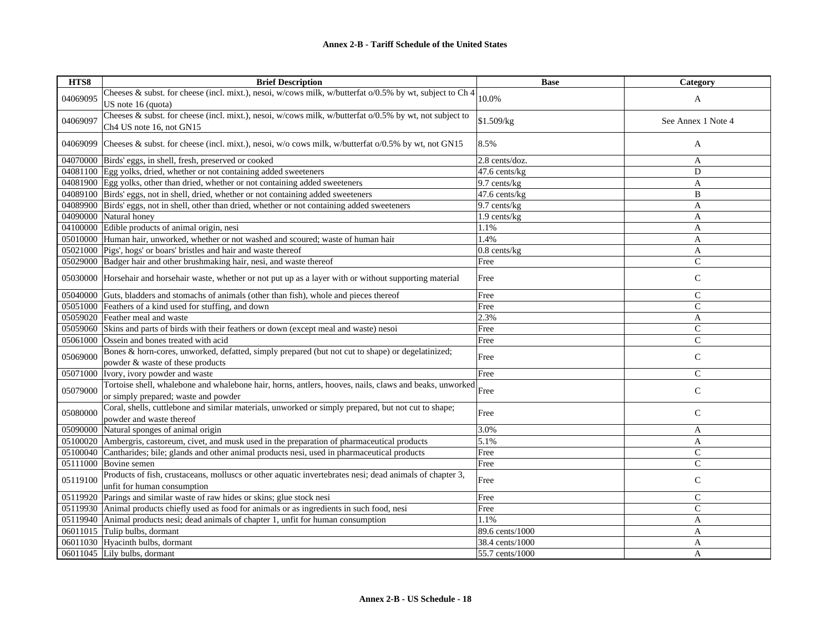| HTS8     | <b>Brief Description</b>                                                                                     | <b>Base</b>     | Category           |
|----------|--------------------------------------------------------------------------------------------------------------|-----------------|--------------------|
| 04069095 | Cheeses & subst. for cheese (incl. mixt.), nesoi, w/cows milk, w/butterfat o/0.5% by wt, subject to Ch 4     | 10.0%           |                    |
|          | US note 16 (quota)                                                                                           |                 | A                  |
|          | Cheeses & subst. for cheese (incl. mixt.), nesoi, w/cows milk, w/butterfat $o/0.5\%$ by wt, not subject to   |                 |                    |
| 04069097 | Ch4 US note 16, not GN15                                                                                     | \$1.509/kg      | See Annex 1 Note 4 |
| 04069099 | Cheeses & subst. for cheese (incl. mixt.), nesoi, w/o cows milk, w/butterfat $o/0.5\%$ by wt, not GN15       | 8.5%            | A                  |
|          |                                                                                                              |                 |                    |
|          | 04070000 Birds' eggs, in shell, fresh, preserved or cooked                                                   | 2.8 cents/doz.  | A                  |
|          | 04081100 Egg yolks, dried, whether or not containing added sweeteners                                        | 47.6 cents/kg   | D                  |
|          | 04081900 Egg yolks, other than dried, whether or not containing added sweeteners                             | 9.7 cents/kg    | A                  |
|          | 04089100 Birds' eggs, not in shell, dried, whether or not containing added sweeteners                        | 47.6 cents/kg   | B                  |
|          | 04089900 Birds' eggs, not in shell, other than dried, whether or not containing added sweeteners             | 9.7 cents/kg    | A                  |
|          | 04090000 Natural honey                                                                                       | 1.9 cents/kg    | A                  |
|          | 04100000 Edible products of animal origin, nesi                                                              | 1.1%            | A                  |
|          | 05010000 Human hair, unworked, whether or not washed and scoured; waste of human hair                        | 1.4%            | A                  |
|          | 05021000 Pigs', hogs' or boars' bristles and hair and waste thereof                                          | $0.8$ cents/kg  | A                  |
|          | 05029000 Badger hair and other brushmaking hair, nesi, and waste thereof                                     | Free            | $\mathsf{C}$       |
|          | 05030000 Horsehair and horsehair waste, whether or not put up as a layer with or without supporting material | Free            | $\mathsf{C}$       |
| 05040000 | Guts, bladders and stomachs of animals (other than fish), whole and pieces thereof                           | Free            | $\mathsf{C}$       |
| 05051000 | Feathers of a kind used for stuffing, and down                                                               | Free            | $\overline{C}$     |
| 05059020 | Feather meal and waste                                                                                       | 2.3%            | A                  |
| 05059060 | Skins and parts of birds with their feathers or down (except meal and waste) nesoi                           | Free            | $\mathsf{C}$       |
| 05061000 | Ossein and bones treated with acid                                                                           | Free            | $\mathsf{C}$       |
|          | Bones & horn-cores, unworked, defatted, simply prepared (but not cut to shape) or degelatinized;             |                 |                    |
| 05069000 | powder & waste of these products                                                                             | Free            | $\mathsf{C}$       |
| 05071000 | Ivory, ivory powder and waste                                                                                | Free            | $\mathsf{C}$       |
|          | Tortoise shell, whalebone and whalebone hair, horns, antlers, hooves, nails, claws and beaks, unworked       |                 |                    |
| 05079000 | or simply prepared; waste and powder                                                                         | Free            | ${\bf C}$          |
|          | Coral, shells, cuttlebone and similar materials, unworked or simply prepared, but not cut to shape;          |                 |                    |
| 05080000 | powder and waste thereof                                                                                     | Free            | $\mathsf{C}$       |
| 05090000 | Natural sponges of animal origin                                                                             | 3.0%            | A                  |
| 05100020 | Ambergris, castoreum, civet, and musk used in the preparation of pharmaceutical products                     | 5.1%            | A                  |
| 05100040 | Cantharides; bile; glands and other animal products nesi, used in pharmaceutical products                    | Free            | $\mathsf{C}$       |
| 05111000 | Bovine semen                                                                                                 | Free            | ${\bf C}$          |
|          | Products of fish, crustaceans, molluscs or other aquatic invertebrates nesi; dead animals of chapter 3,      |                 |                    |
| 05119100 | unfit for human consumption                                                                                  | Free            | ${\bf C}$          |
| 05119920 | Parings and similar waste of raw hides or skins; glue stock nesi                                             | Free            | $\mathbf C$        |
|          | 05119930 Animal products chiefly used as food for animals or as ingredients in such food, nesi               | Free            | $\mathcal{C}$      |
|          | 05119940 Animal products nesi; dead animals of chapter 1, unfit for human consumption                        | 1.1%            | A                  |
| 06011015 | Tulip bulbs, dormant                                                                                         | 89.6 cents/1000 | A                  |
|          | 06011030 Hyacinth bulbs, dormant                                                                             | 38.4 cents/1000 | A                  |
|          | 06011045 Lily bulbs, dormant                                                                                 | 55.7 cents/1000 | A                  |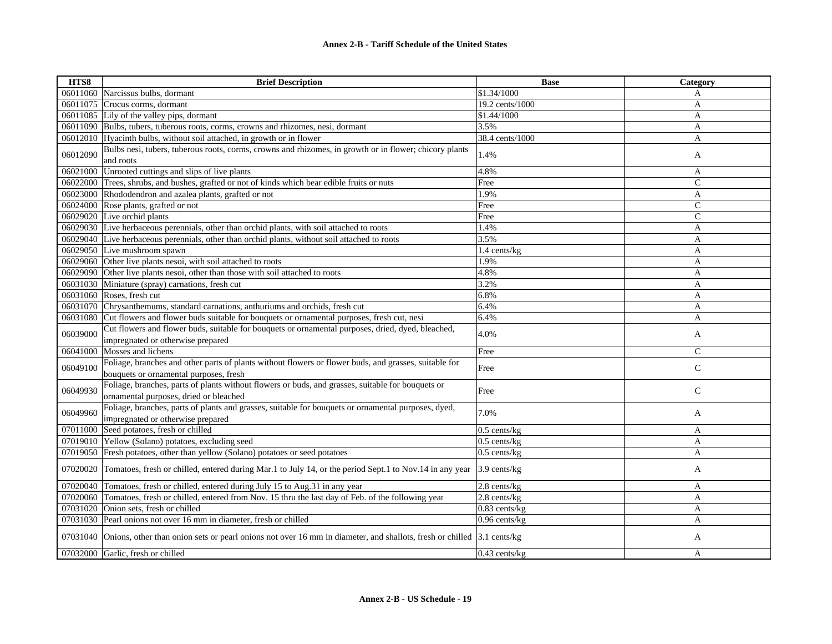| HTS8     | <b>Brief Description</b>                                                                                                                        | <b>Base</b>        | Category      |
|----------|-------------------------------------------------------------------------------------------------------------------------------------------------|--------------------|---------------|
|          | 06011060 Narcissus bulbs, dormant                                                                                                               | \$1.34/1000        | A             |
| 06011075 | Crocus corms, dormant                                                                                                                           | 19.2 cents/1000    | A             |
|          | 06011085 Lily of the valley pips, dormant                                                                                                       | \$1.44/1000        | A             |
|          | 06011090 Bulbs, tubers, tuberous roots, corms, crowns and rhizomes, nesi, dormant                                                               | 3.5%               | A             |
|          | 06012010 Hyacinth bulbs, without soil attached, in growth or in flower                                                                          | 38.4 cents/1000    | A             |
| 06012090 | Bulbs nesi, tubers, tuberous roots, corms, crowns and rhizomes, in growth or in flower; chicory plants<br>and roots                             | 1.4%               | A             |
| 06021000 | Unrooted cuttings and slips of live plants                                                                                                      | 4.8%               | A             |
|          | 06022000 Trees, shrubs, and bushes, grafted or not of kinds which bear edible fruits or nuts                                                    | Free               | $\mathsf{C}$  |
|          | 06023000 Rhododendron and azalea plants, grafted or not                                                                                         | 1.9%               | A             |
| 06024000 | Rose plants, grafted or not                                                                                                                     | Free               | $\mathcal{C}$ |
|          | 06029020 Live orchid plants                                                                                                                     | Free               | $\mathcal{C}$ |
|          | 06029030 Live herbaceous perennials, other than orchid plants, with soil attached to roots                                                      | 1.4%               | A             |
|          | 06029040 Live herbaceous perennials, other than orchid plants, without soil attached to roots                                                   | 3.5%               | A             |
|          | 06029050 Live mushroom spawn                                                                                                                    | 1.4 cents/kg       | A             |
|          | 06029060 Other live plants nesoi, with soil attached to roots                                                                                   | 1.9%               | A             |
| 06029090 | Other live plants nesoi, other than those with soil attached to roots                                                                           | 4.8%               | A             |
| 06031030 | Miniature (spray) carnations, fresh cut                                                                                                         | 3.2%               | A             |
| 06031060 | Roses, fresh cut                                                                                                                                | 6.8%               | A             |
|          | 06031070 Chrysanthemums, standard carnations, anthuriums and orchids, fresh cut                                                                 | 6.4%               | A             |
| 06031080 | Cut flowers and flower buds suitable for bouquets or ornamental purposes, fresh cut, nesi                                                       | 6.4%               | A             |
| 06039000 | Cut flowers and flower buds, suitable for bouquets or ornamental purposes, dried, dyed, bleached,<br>impregnated or otherwise prepared          | 4.0%               | A             |
| 06041000 | Mosses and lichens                                                                                                                              | Free               | $\mathcal{C}$ |
| 06049100 | Foliage, branches and other parts of plants without flowers or flower buds, and grasses, suitable for<br>bouquets or ornamental purposes, fresh | Free               | $\mathsf{C}$  |
| 06049930 | Foliage, branches, parts of plants without flowers or buds, and grasses, suitable for bouquets or<br>ornamental purposes, dried or bleached     | Free               | $\mathbf C$   |
| 06049960 | Foliage, branches, parts of plants and grasses, suitable for bouquets or ornamental purposes, dyed,<br>impregnated or otherwise prepared        | 7.0%               | A             |
|          | 07011000 Seed potatoes, fresh or chilled                                                                                                        | $0.5$ cents/kg     | A             |
| 07019010 | Yellow (Solano) potatoes, excluding seed                                                                                                        | $0.5$ cents/kg     | A             |
| 07019050 | Fresh potatoes, other than yellow (Solano) potatoes or seed potatoes                                                                            | $0.5$ cents/kg     | A             |
|          | 07020020 Tomatoes, fresh or chilled, entered during Mar.1 to July 14, or the period Sept.1 to Nov.14 in any year                                | 3.9 cents/kg       | A             |
| 07020040 | Tomatoes, fresh or chilled, entered during July 15 to Aug.31 in any year                                                                        | 2.8 cents/kg       | A             |
| 07020060 | Tomatoes, fresh or chilled, entered from Nov. 15 thru the last day of Feb. of the following year                                                | 2.8 cents/kg       | A             |
| 07031020 | Onion sets, fresh or chilled                                                                                                                    | 0.83 cents/kg      | A             |
|          | 07031030 Pearl onions not over 16 mm in diameter, fresh or chilled                                                                              | $0.96$ cents/ $kg$ | A             |
| 07031040 | Onions, other than onion sets or pearl onions not over 16 mm in diameter, and shallots, fresh or chilled 3.1 cents/kg                           |                    | A             |
|          | 07032000 Garlic, fresh or chilled                                                                                                               | $0.43$ cents/ $kg$ | A             |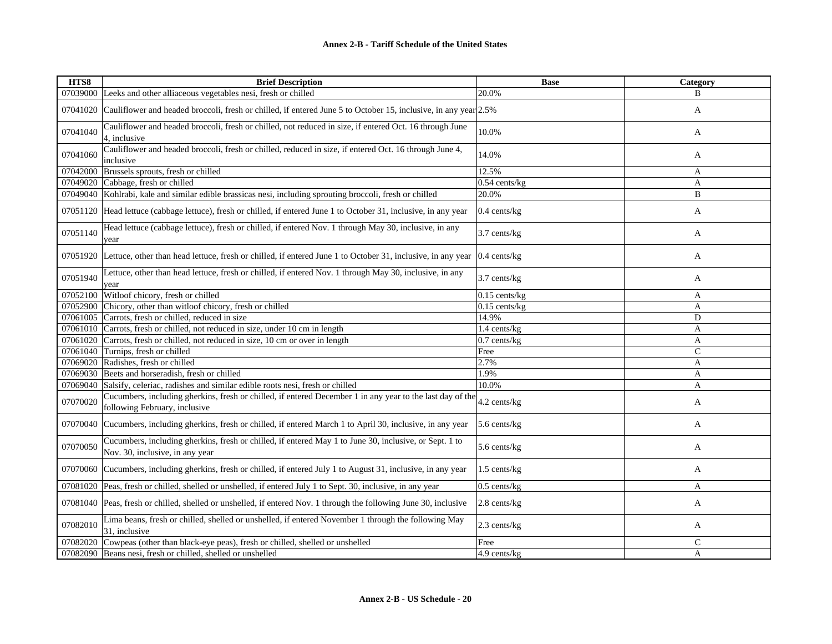| HTS8     | <b>Brief Description</b>                                                                                                                      | <b>Base</b>        | Category      |
|----------|-----------------------------------------------------------------------------------------------------------------------------------------------|--------------------|---------------|
|          | 07039000 Leeks and other alliaceous vegetables nesi, fresh or chilled                                                                         | 20.0%              | В             |
| 07041020 | Cauliflower and headed broccoli, fresh or chilled, if entered June 5 to October 15, inclusive, in any year 2.5%                               |                    | A             |
| 07041040 | Cauliflower and headed broccoli, fresh or chilled, not reduced in size, if entered Oct. 16 through June<br>4, inclusive                       | 10.0%              | A             |
| 07041060 | Cauliflower and headed broccoli, fresh or chilled, reduced in size, if entered Oct. 16 through June 4,<br>inclusive                           | 14.0%              | A             |
| 07042000 | Brussels sprouts, fresh or chilled                                                                                                            | 12.5%              | A             |
|          | 07049020 Cabbage, fresh or chilled                                                                                                            | $0.54$ cents/kg    | $\mathbf{A}$  |
|          | 07049040 Kohlrabi, kale and similar edible brassicas nesi, including sprouting broccoli, fresh or chilled                                     | 20.0%              | B             |
|          | 07051120 Head lettuce (cabbage lettuce), fresh or chilled, if entered June 1 to October 31, inclusive, in any year                            | 0.4 cents/kg       | A             |
| 07051140 | Head lettuce (cabbage lettuce), fresh or chilled, if entered Nov. 1 through May 30, inclusive, in any<br>year                                 | 3.7 cents/kg       | A             |
|          | 07051920 Lettuce, other than head lettuce, fresh or chilled, if entered June 1 to October 31, inclusive, in any year $(0.4 \text{ cents/kg})$ |                    | A             |
| 07051940 | Lettuce, other than head lettuce, fresh or chilled, if entered Nov. 1 through May 30, inclusive, in any<br>year                               | 3.7 cents/kg       | A             |
| 07052100 | Witloof chicory, fresh or chilled                                                                                                             | $0.15$ cents/ $kg$ | A             |
|          | 07052900 Chicory, other than witloof chicory, fresh or chilled                                                                                | $0.15$ cents/kg    | A             |
|          | 07061005 Carrots, fresh or chilled, reduced in size                                                                                           | 14.9%              | D             |
|          | 07061010 Carrots, fresh or chilled, not reduced in size, under 10 cm in length                                                                | 1.4 cents/kg       | A             |
|          | 07061020 Carrots, fresh or chilled, not reduced in size, 10 cm or over in length                                                              | $0.7$ cents/kg     | A             |
|          | 07061040 Turnips, fresh or chilled                                                                                                            | Free               | $\mathcal{C}$ |
|          | 07069020 Radishes, fresh or chilled                                                                                                           | 2.7%               | $\mathbf{A}$  |
| 07069030 | Beets and horseradish, fresh or chilled                                                                                                       | 1.9%               | A             |
|          | 07069040 Salsify, celeriac, radishes and similar edible roots nesi, fresh or chilled                                                          | 10.0%              | A             |
| 07070020 | Cucumbers, including gherkins, fresh or chilled, if entered December 1 in any year to the last day of the<br>following February, inclusive    | 4.2 cents/kg       | A             |
|          | 07070040 Cucumbers, including gherkins, fresh or chilled, if entered March 1 to April 30, inclusive, in any year                              | 5.6 cents/kg       | A             |
| 07070050 | Cucumbers, including gherkins, fresh or chilled, if entered May 1 to June 30, inclusive, or Sept. 1 to<br>Nov. 30, inclusive, in any year     | 5.6 cents/kg       | A             |
|          | 07070060 Cucumbers, including gherkins, fresh or chilled, if entered July 1 to August 31, inclusive, in any year                              | 1.5 cents/kg       | A             |
|          | 07081020 Peas, fresh or chilled, shelled or unshelled, if entered July 1 to Sept. 30, inclusive, in any year                                  | $0.5$ cents/kg     | $\mathbf{A}$  |
|          | 07081040 Peas, fresh or chilled, shelled or unshelled, if entered Nov. 1 through the following June 30, inclusive                             | $2.8$ cents/ $kg$  | A             |
| 07082010 | Lima beans, fresh or chilled, shelled or unshelled, if entered November 1 through the following May<br>31, inclusive                          | 2.3 cents/kg       | A             |
|          | 07082020 Cowpeas (other than black-eye peas), fresh or chilled, shelled or unshelled                                                          | Free               | $\mathbf C$   |
|          | 07082090 Beans nesi, fresh or chilled, shelled or unshelled                                                                                   | 4.9 cents/kg       | A             |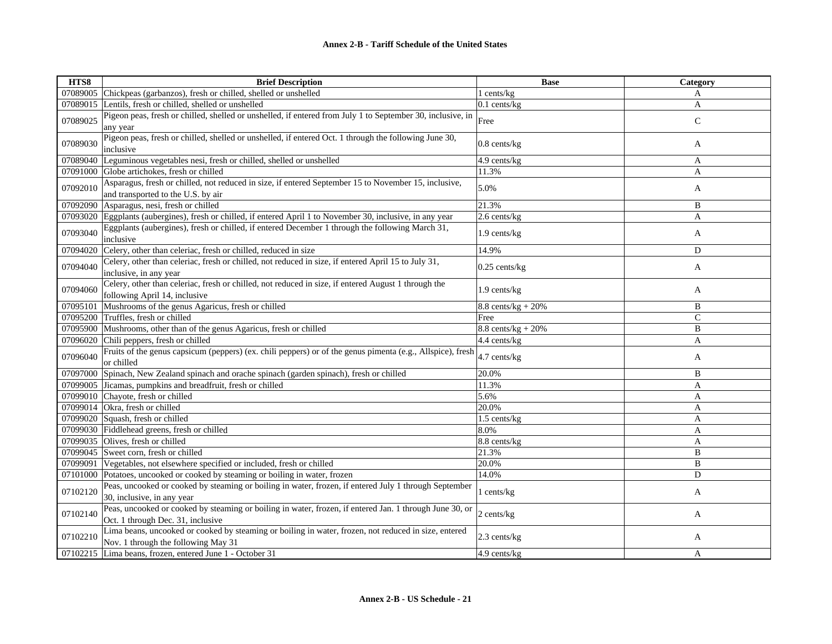| HTS8     | <b>Brief Description</b>                                                                                                                     | <b>Base</b>                   | Category       |
|----------|----------------------------------------------------------------------------------------------------------------------------------------------|-------------------------------|----------------|
|          | 07089005 Chickpeas (garbanzos), fresh or chilled, shelled or unshelled                                                                       | 1 cents/kg                    | A              |
| 07089015 | Lentils, fresh or chilled, shelled or unshelled                                                                                              | $0.1$ cents/kg                | A              |
| 07089025 | Pigeon peas, fresh or chilled, shelled or unshelled, if entered from July 1 to September 30, inclusive, in                                   | Free                          | ${\bf C}$      |
| 07089030 | any year<br>Pigeon peas, fresh or chilled, shelled or unshelled, if entered Oct. 1 through the following June 30,<br>inclusive               | $0.8$ cents/ $kg$             | A              |
| 07089040 | Leguminous vegetables nesi, fresh or chilled, shelled or unshelled                                                                           | 4.9 cents/kg                  |                |
|          | Globe artichokes, fresh or chilled                                                                                                           | 11.3%                         | A<br>A         |
| 07091000 | Asparagus, fresh or chilled, not reduced in size, if entered September 15 to November 15, inclusive,                                         |                               |                |
| 07092010 | and transported to the U.S. by air                                                                                                           | 5.0%                          | A              |
| 07092090 | Asparagus, nesi, fresh or chilled                                                                                                            | 21.3%                         | B              |
| 07093020 | Eggplants (aubergines), fresh or chilled, if entered April 1 to November 30, inclusive, in any year                                          | 2.6 cents/kg                  | $\mathbf{A}$   |
| 07093040 | Eggplants (aubergines), fresh or chilled, if entered December 1 through the following March 31,<br>inclusive                                 | 1.9 cents/kg                  | A              |
| 07094020 | Celery, other than celeriac, fresh or chilled, reduced in size                                                                               | 14.9%                         | D              |
| 07094040 | Celery, other than celeriac, fresh or chilled, not reduced in size, if entered April 15 to July 31,<br>inclusive, in any year                | $0.25$ cents/kg               | A              |
| 07094060 | Celery, other than celeriac, fresh or chilled, not reduced in size, if entered August 1 through the<br>following April 14, inclusive         | 1.9 cents/kg                  | A              |
| 07095101 | Mushrooms of the genus Agaricus, fresh or chilled                                                                                            | $8.8$ cents/kg + 20%          | B              |
| 07095200 | Truffles, fresh or chilled                                                                                                                   | Free                          | $\overline{C}$ |
| 07095900 | Mushrooms, other than of the genus Agaricus, fresh or chilled                                                                                | $8.8 \text{ cents/kg} + 20\%$ | B              |
| 07096020 | Chili peppers, fresh or chilled                                                                                                              | 4.4 cents/kg                  | A              |
| 07096040 | Fruits of the genus capsicum (peppers) (ex. chili peppers) or of the genus pimenta (e.g., Allspice), fresh<br>or chilled                     | 4.7 cents/kg                  | A              |
| 07097000 | Spinach, New Zealand spinach and orache spinach (garden spinach), fresh or chilled                                                           | 20.0%                         | B              |
|          | 07099005 Jicamas, pumpkins and breadfruit, fresh or chilled                                                                                  | 11.3%                         | A              |
|          | 07099010 Chayote, fresh or chilled                                                                                                           | 5.6%                          | A              |
|          | 07099014 Okra, fresh or chilled                                                                                                              | 20.0%                         | A              |
|          | 07099020 Squash, fresh or chilled                                                                                                            | 1.5 cents/kg                  | A              |
|          | 07099030 Fiddlehead greens, fresh or chilled                                                                                                 | 8.0%                          | $\mathbf{A}$   |
|          | 07099035 Olives, fresh or chilled                                                                                                            | 8.8 cents/kg                  | A              |
|          | 07099045 Sweet corn, fresh or chilled                                                                                                        | 21.3%                         | B              |
| 07099091 | Vegetables, not elsewhere specified or included, fresh or chilled                                                                            | 20.0%                         | B              |
|          | 07101000 Potatoes, uncooked or cooked by steaming or boiling in water, frozen                                                                | 14.0%                         | D              |
| 07102120 | Peas, uncooked or cooked by steaming or boiling in water, frozen, if entered July 1 through September<br>30, inclusive, in any year          | l cents/kg                    | A              |
| 07102140 | Peas, uncooked or cooked by steaming or boiling in water, frozen, if entered Jan. 1 through June 30, or<br>Oct. 1 through Dec. 31, inclusive | 2 cents/kg                    | A              |
| 07102210 | Lima beans, uncooked or cooked by steaming or boiling in water, frozen, not reduced in size, entered<br>Nov. 1 through the following May 31  | 2.3 cents/kg                  | A              |
|          | 07102215 Lima beans, frozen, entered June 1 - October 31                                                                                     | 4.9 cents/kg                  | A              |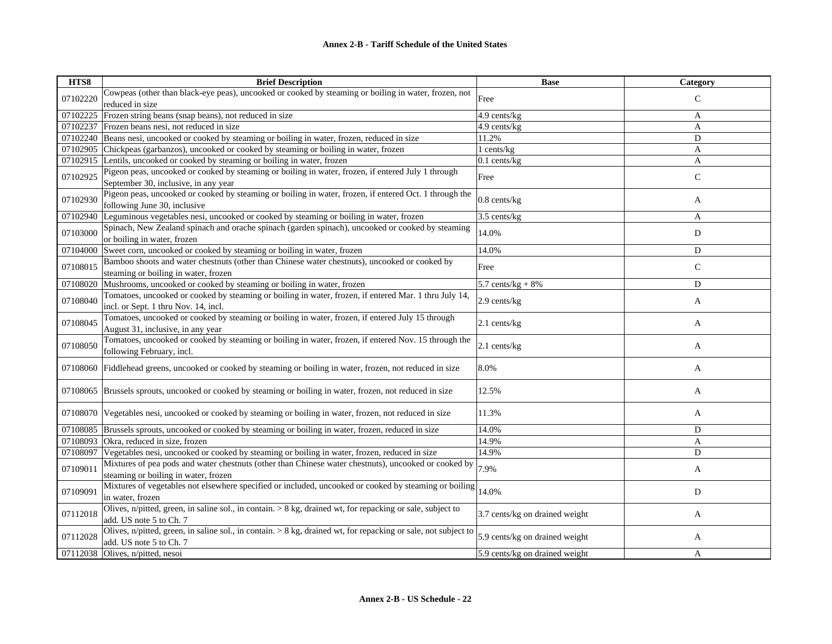| HTS8     | <b>Brief Description</b>                                                                                       | <b>Base</b>                    | Category     |
|----------|----------------------------------------------------------------------------------------------------------------|--------------------------------|--------------|
| 07102220 | Cowpeas (other than black-eye peas), uncooked or cooked by steaming or boiling in water, frozen, not           | Free                           | $\mathsf{C}$ |
|          | reduced in size                                                                                                |                                |              |
| 07102225 | Frozen string beans (snap beans), not reduced in size                                                          | 4.9 cents/kg                   | A            |
| 07102237 | Frozen beans nesi, not reduced in size                                                                         | 4.9 cents/kg                   | A            |
| 07102240 | Beans nesi, uncooked or cooked by steaming or boiling in water, frozen, reduced in size                        | 11.2%                          | D            |
| 07102905 | Chickpeas (garbanzos), uncooked or cooked by steaming or boiling in water, frozen                              | 1 cents/kg                     | A            |
| 07102915 | Lentils, uncooked or cooked by steaming or boiling in water, frozen                                            | $0.1$ cents/kg                 | A            |
| 07102925 | Pigeon peas, uncooked or cooked by steaming or boiling in water, frozen, if entered July 1 through             | Free                           | $\mathsf{C}$ |
|          | September 30, inclusive, in any year                                                                           |                                |              |
| 07102930 | Pigeon peas, uncooked or cooked by steaming or boiling in water, frozen, if entered Oct. 1 through the         | $0.8$ cents/ $kg$              | A            |
|          | following June 30, inclusive                                                                                   |                                |              |
| 07102940 | Leguminous vegetables nesi, uncooked or cooked by steaming or boiling in water, frozen                         | 3.5 cents/kg                   | A            |
| 07103000 | Spinach, New Zealand spinach and orache spinach (garden spinach), uncooked or cooked by steaming               | 14.0%                          | D            |
|          | or boiling in water, frozen                                                                                    |                                |              |
| 07104000 | Sweet corn, uncooked or cooked by steaming or boiling in water, frozen                                         | 14.0%                          | D            |
| 07108015 | Bamboo shoots and water chestnuts (other than Chinese water chestnuts), uncooked or cooked by                  | Free                           | $\mathsf{C}$ |
|          | steaming or boiling in water, frozen                                                                           |                                |              |
| 07108020 | Mushrooms, uncooked or cooked by steaming or boiling in water, frozen                                          | 5.7 cents/ $kg + 8%$           | D            |
| 07108040 | Tomatoes, uncooked or cooked by steaming or boiling in water, frozen, if entered Mar. 1 thru July 14,          | 2.9 cents/kg                   | A            |
|          | incl. or Sept. 1 thru Nov. 14, incl.                                                                           |                                |              |
| 07108045 | Tomatoes, uncooked or cooked by steaming or boiling in water, frozen, if entered July 15 through               | 2.1 cents/kg                   | A            |
|          | August 31, inclusive, in any year                                                                              |                                |              |
| 07108050 | Tomatoes, uncooked or cooked by steaming or boiling in water, frozen, if entered Nov. 15 through the           | $2.1$ cents/kg                 | A            |
|          | following February, incl.                                                                                      |                                |              |
| 07108060 | Fiddlehead greens, uncooked or cooked by steaming or boiling in water, frozen, not reduced in size             | 8.0%                           | A            |
|          |                                                                                                                |                                |              |
| 07108065 | Brussels sprouts, uncooked or cooked by steaming or boiling in water, frozen, not reduced in size              | 12.5%                          | A            |
|          |                                                                                                                |                                |              |
| 07108070 | Vegetables nesi, uncooked or cooked by steaming or boiling in water, frozen, not reduced in size               | 11.3%                          | A            |
|          |                                                                                                                |                                |              |
| 07108085 | Brussels sprouts, uncooked or cooked by steaming or boiling in water, frozen, reduced in size                  | 14.0%                          | D            |
| 07108093 | Okra, reduced in size, frozen                                                                                  | 14.9%                          | $\mathbf{A}$ |
| 07108097 | Vegetables nesi, uncooked or cooked by steaming or boiling in water, frozen, reduced in size                   | 14.9%                          | D            |
| 07109011 | Mixtures of pea pods and water chestnuts (other than Chinese water chestnuts), uncooked or cooked by           | 7.9%                           | A            |
|          | steaming or boiling in water, frozen                                                                           |                                |              |
| 07109091 | Mixtures of vegetables not elsewhere specified or included, uncooked or cooked by steaming or boiling          | 14.0%                          | D            |
|          | in water, frozen                                                                                               |                                |              |
| 07112018 | Olives, n/pitted, green, in saline sol., in contain. $> 8$ kg, drained wt, for repacking or sale, subject to   | 3.7 cents/kg on drained weight | A            |
|          | add. US note 5 to Ch. 7                                                                                        |                                |              |
| 07112028 | Olives, n/pitted, green, in saline sol., in contain. > 8 kg, drained wt, for repacking or sale, not subject to | 5.9 cents/kg on drained weight | A            |
| 07112038 | add. US note 5 to Ch. 7<br>Olives, n/pitted, nesoi                                                             | 5.9 cents/kg on drained weight |              |
|          |                                                                                                                |                                | A            |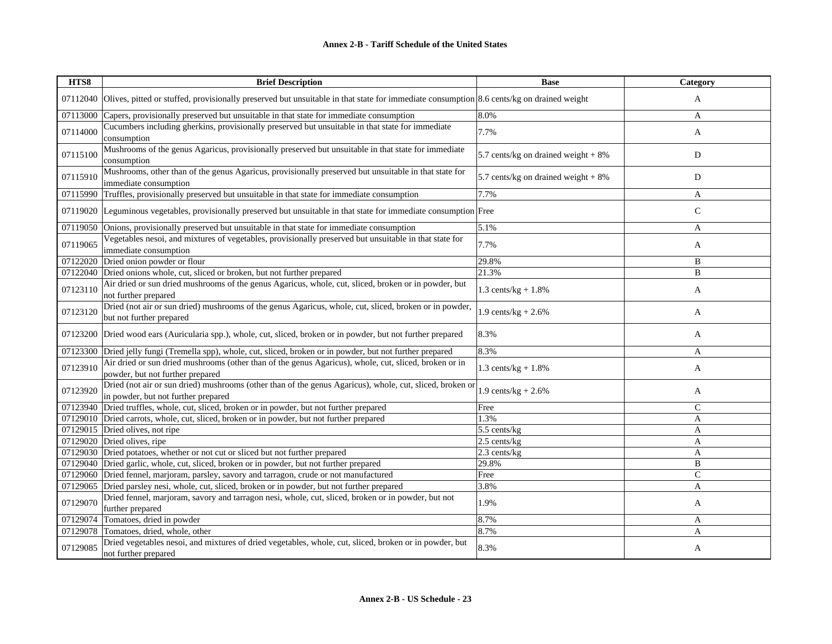| HTS8     | <b>Brief Description</b>                                                                                                                        | <b>Base</b>                           | Category     |
|----------|-------------------------------------------------------------------------------------------------------------------------------------------------|---------------------------------------|--------------|
| 07112040 | Olives, pitted or stuffed, provisionally preserved but unsuitable in that state for immediate consumption 8.6 cents/kg on drained weight        |                                       | $\mathbf{A}$ |
| 07113000 | Capers, provisionally preserved but unsuitable in that state for immediate consumption                                                          | 8.0%                                  | A            |
| 07114000 | Cucumbers including gherkins, provisionally preserved but unsuitable in that state for immediate<br>consumption                                 | 7.7%                                  | A            |
| 07115100 | Mushrooms of the genus Agaricus, provisionally preserved but unsuitable in that state for immediate<br>consumption                              | 5.7 cents/kg on drained weight $+8\%$ | D            |
| 07115910 | Mushrooms, other than of the genus Agaricus, provisionally preserved but unsuitable in that state for<br>immediate consumption                  | 5.7 cents/kg on drained weight $+8\%$ | D            |
| 07115990 | Truffles, provisionally preserved but unsuitable in that state for immediate consumption                                                        | 7.7%                                  | A            |
|          | 07119020 Leguminous vegetables, provisionally preserved but unsuitable in that state for immediate consumption Free                             |                                       | $\mathsf{C}$ |
|          | 07119050 Onions, provisionally preserved but unsuitable in that state for immediate consumption                                                 | 5.1%                                  | A            |
| 07119065 | Vegetables nesoi, and mixtures of vegetables, provisionally preserved but unsuitable in that state for<br>immediate consumption                 | 7.7%                                  | A            |
|          | 07122020 Dried onion powder or flour                                                                                                            | 29.8%                                 | B            |
|          | 07122040 Dried onions whole, cut, sliced or broken, but not further prepared                                                                    | 21.3%                                 | B            |
| 07123110 | Air dried or sun dried mushrooms of the genus Agaricus, whole, cut, sliced, broken or in powder, but<br>not further prepared                    | 1.3 cents/ $kg + 1.8%$                | A            |
| 07123120 | Dried (not air or sun dried) mushrooms of the genus Agaricus, whole, cut, sliced, broken or in powder,<br>but not further prepared              | 1.9 cents/ $kg + 2.6%$                | A            |
| 07123200 | Dried wood ears (Auricularia spp.), whole, cut, sliced, broken or in powder, but not further prepared                                           | 8.3%                                  | A            |
|          | 07123300 Dried jelly fungi (Tremella spp), whole, cut, sliced, broken or in powder, but not further prepared                                    | 8.3%                                  | A            |
| 07123910 | Air dried or sun dried mushrooms (other than of the genus Agaricus), whole, cut, sliced, broken or in<br>powder, but not further prepared       | 1.3 cents/kg + $1.8%$                 | A            |
| 07123920 | Dried (not air or sun dried) mushrooms (other than of the genus Agaricus), whole, cut, sliced, broken or<br>in powder, but not further prepared | 1.9 cents/kg + $2.6\%$                | A            |
|          | 07123940 Dried truffles, whole, cut, sliced, broken or in powder, but not further prepared                                                      | Free                                  | $\mathsf{C}$ |
|          | 07129010 Dried carrots, whole, cut, sliced, broken or in powder, but not further prepared                                                       | 1.3%                                  | A            |
|          | 07129015 Dried olives, not ripe                                                                                                                 | 5.5 cents/kg                          | A            |
|          | 07129020 Dried olives, ripe                                                                                                                     | 2.5 cents/kg                          | $\mathbf{A}$ |
|          | 07129030 Dried potatoes, whether or not cut or sliced but not further prepared                                                                  | 2.3 cents/kg                          | $\mathbf{A}$ |
|          | 07129040 Dried garlic, whole, cut, sliced, broken or in powder, but not further prepared                                                        | 29.8%                                 | B            |
|          | 07129060 Dried fennel, marjoram, parsley, savory and tarragon, crude or not manufactured                                                        | Free                                  | $\mathbf C$  |
| 07129065 | Dried parsley nesi, whole, cut, sliced, broken or in powder, but not further prepared                                                           | 3.8%                                  | A            |
| 07129070 | Dried fennel, marjoram, savory and tarragon nesi, whole, cut, sliced, broken or in powder, but not<br>further prepared                          | 1.9%                                  | A            |
| 07129074 | Tomatoes, dried in powder                                                                                                                       | 8.7%                                  | A            |
| 07129078 | Tomatoes, dried, whole, other                                                                                                                   | 8.7%                                  | A            |
| 07129085 | Dried vegetables nesoi, and mixtures of dried vegetables, whole, cut, sliced, broken or in powder, but<br>not further prepared                  | 8.3%                                  | A            |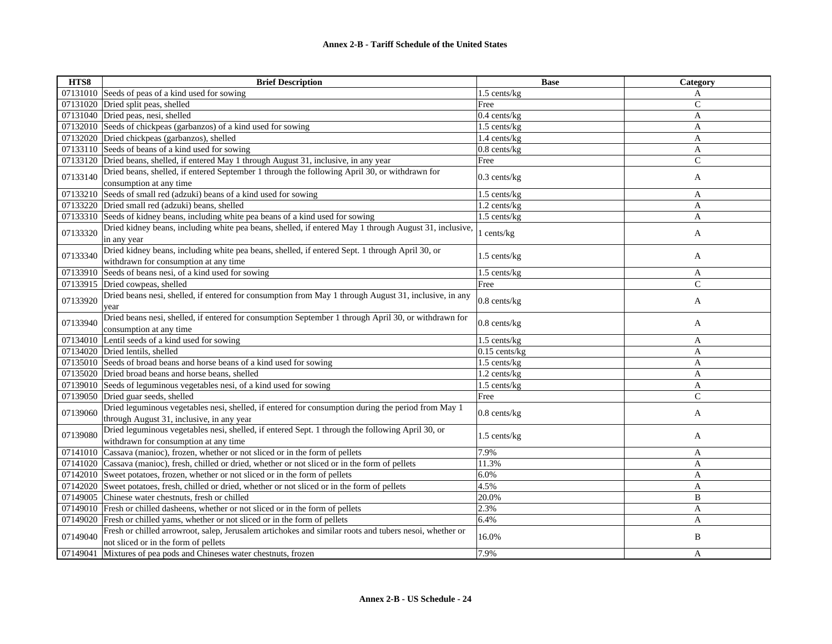| HTS8     | <b>Brief Description</b>                                                                                                                       | <b>Base</b>          | Category      |
|----------|------------------------------------------------------------------------------------------------------------------------------------------------|----------------------|---------------|
|          | 07131010 Seeds of peas of a kind used for sowing                                                                                               | 1.5 cents/kg         | A             |
|          | 07131020 Dried split peas, shelled                                                                                                             | Free                 | $\mathsf{C}$  |
|          | 07131040 Dried peas, nesi, shelled                                                                                                             | $0.4$ cents/kg       | A             |
|          | 07132010 Seeds of chickpeas (garbanzos) of a kind used for sowing                                                                              | 1.5 cents/kg         | A             |
|          | 07132020 Dried chickpeas (garbanzos), shelled                                                                                                  | 1.4 cents/kg         | A             |
|          | 07133110 Seeds of beans of a kind used for sowing                                                                                              | $0.8$ cents/kg       | A             |
|          | 07133120 Dried beans, shelled, if entered May 1 through August 31, inclusive, in any year                                                      | Free                 | $\mathsf{C}$  |
| 07133140 | Dried beans, shelled, if entered September 1 through the following April 30, or withdrawn for<br>consumption at any time                       | $0.3$ cents/kg       | A             |
|          | 07133210 Seeds of small red (adzuki) beans of a kind used for sowing                                                                           | 1.5 cents/kg         | A             |
|          | 07133220 Dried small red (adzuki) beans, shelled                                                                                               | $1.2$ cents/ $kg$    | $\mathbf{A}$  |
|          | 07133310 Seeds of kidney beans, including white pea beans of a kind used for sowing                                                            | 1.5 cents/kg         | A             |
|          | Dried kidney beans, including white pea beans, shelled, if entered May 1 through August 31, inclusive,                                         |                      |               |
| 07133320 | in any year                                                                                                                                    | l cents/kg           | A             |
| 07133340 | Dried kidney beans, including white pea beans, shelled, if entered Sept. 1 through April 30, or<br>withdrawn for consumption at any time       | 1.5 cents/kg         | A             |
|          | 07133910 Seeds of beans nesi, of a kind used for sowing                                                                                        |                      | $\mathbf{A}$  |
|          | 07133915 Dried cowpeas, shelled                                                                                                                | 1.5 cents/kg<br>Free | $\mathsf{C}$  |
|          |                                                                                                                                                |                      |               |
| 07133920 | Dried beans nesi, shelled, if entered for consumption from May 1 through August 31, inclusive, in any<br>year                                  | $0.8$ cents/ $kg$    | A             |
| 07133940 | Dried beans nesi, shelled, if entered for consumption September 1 through April 30, or withdrawn for<br>consumption at any time                | 0.8 cents/kg         | A             |
|          | 07134010 Lentil seeds of a kind used for sowing                                                                                                | 1.5 cents/kg         | A             |
|          | 07134020 Dried lentils, shelled                                                                                                                | $0.15$ cents/kg      | A             |
|          | $07135010$ Seeds of broad beans and horse beans of a kind used for sowing                                                                      | 1.5 cents/kg         | A             |
|          | 07135020 Dried broad beans and horse beans, shelled                                                                                            | 1.2 cents/kg         | A             |
|          | 07139010 Seeds of leguminous vegetables nesi, of a kind used for sowing                                                                        | 1.5 cents/kg         | A             |
|          | 07139050 Dried guar seeds, shelled                                                                                                             | Free                 | $\mathcal{C}$ |
|          | Dried leguminous vegetables nesi, shelled, if entered for consumption during the period from May 1                                             |                      |               |
| 07139060 | through August 31, inclusive, in any year                                                                                                      | $0.8$ cents/ $kg$    | A             |
| 07139080 | Dried leguminous vegetables nesi, shelled, if entered Sept. 1 through the following April 30, or<br>withdrawn for consumption at any time      | 1.5 cents/kg         | A             |
|          | 07141010 Cassava (manioc), frozen, whether or not sliced or in the form of pellets                                                             | 7.9%                 | A             |
|          | 07141020 Cassava (manioc), fresh, chilled or dried, whether or not sliced or in the form of pellets                                            | 11.3%                | $\mathbf{A}$  |
|          | 07142010 Sweet potatoes, frozen, whether or not sliced or in the form of pellets                                                               | 6.0%                 | A             |
|          | 07142020 Sweet potatoes, fresh, chilled or dried, whether or not sliced or in the form of pellets                                              | 4.5%                 | $\mathbf{A}$  |
|          | 07149005 Chinese water chestnuts, fresh or chilled                                                                                             | 20.0%                | B             |
|          | 07149010 Fresh or chilled dasheens, whether or not sliced or in the form of pellets                                                            | 2.3%                 | A             |
|          | 07149020 Fresh or chilled yams, whether or not sliced or in the form of pellets                                                                | 6.4%                 | A             |
| 07149040 | Fresh or chilled arrowroot, salep, Jerusalem artichokes and similar roots and tubers nesoi, whether or<br>not sliced or in the form of pellets | 16.0%                | B             |
| 07149041 | Mixtures of pea pods and Chineses water chestnuts, frozen                                                                                      | 7.9%                 | A             |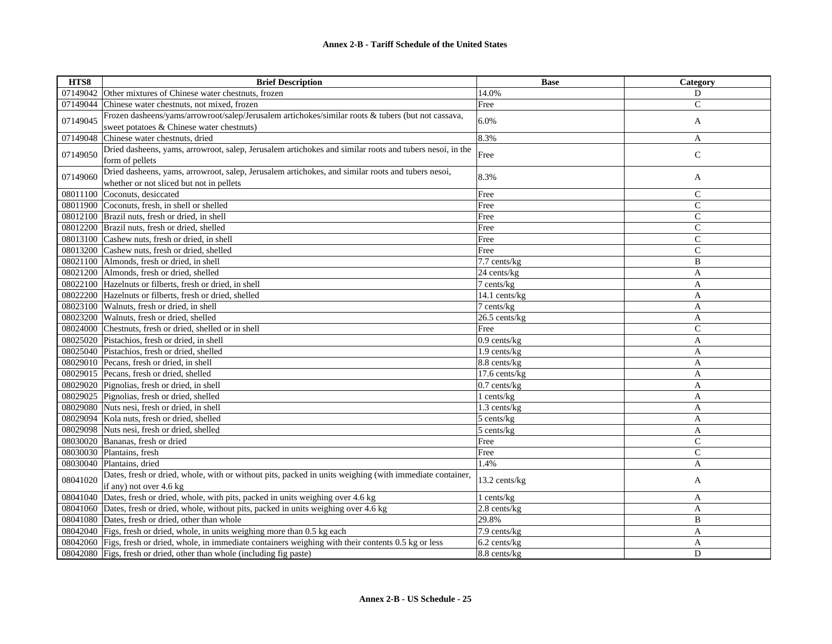| HTS8     | <b>Brief Description</b>                                                                                  | <b>Base</b>       | Category       |
|----------|-----------------------------------------------------------------------------------------------------------|-------------------|----------------|
| 07149042 | Other mixtures of Chinese water chestnuts, frozen                                                         | 14.0%             | D              |
| 07149044 | Chinese water chestnuts, not mixed, frozen                                                                | Free              | $\mathbf C$    |
| 07149045 | Frozen dasheens/yams/arrowroot/salep/Jerusalem artichokes/similar roots & tubers (but not cassava,        | 6.0%              |                |
|          | sweet potatoes & Chinese water chestnuts)                                                                 |                   | A              |
| 07149048 | Chinese water chestnuts, dried                                                                            | 8.3%              | $\mathbf{A}$   |
| 07149050 | Dried dasheens, yams, arrowroot, salep, Jerusalem artichokes and similar roots and tubers nesoi, in the   |                   |                |
|          | form of pellets                                                                                           | Free              | $\mathsf{C}$   |
| 07149060 | Dried dasheens, yams, arrowroot, salep, Jerusalem artichokes, and similar roots and tubers nesoi,         |                   |                |
|          | whether or not sliced but not in pellets                                                                  | 8.3%              | A              |
|          | 08011100 Coconuts, desiccated                                                                             | Free              | $\mathsf{C}$   |
|          | 08011900 Coconuts, fresh, in shell or shelled                                                             | Free              | $\mathsf{C}$   |
|          | 08012100 Brazil nuts, fresh or dried, in shell                                                            | Free              | $\mathsf{C}$   |
|          | 08012200 Brazil nuts, fresh or dried, shelled                                                             | Free              | $\mathsf{C}$   |
|          | 08013100 Cashew nuts, fresh or dried, in shell                                                            | Free              | $\mathsf{C}$   |
|          | 08013200 Cashew nuts, fresh or dried, shelled                                                             | Free              | $\mathsf{C}$   |
|          | 08021100 Almonds, fresh or dried, in shell                                                                | 7.7 cents/kg      | B              |
|          | 08021200 Almonds, fresh or dried, shelled                                                                 | 24 cents/kg       | A              |
|          | 08022100 Hazelnuts or filberts, fresh or dried, in shell                                                  | $7$ cents/ $kg$   | A              |
|          | 08022200 Hazelnuts or filberts, fresh or dried, shelled                                                   | 14.1 cents/kg     | $\mathbf{A}$   |
|          | 08023100 Walnuts, fresh or dried, in shell                                                                | 7 cents/kg        | A              |
|          | 08023200 Walnuts, fresh or dried, shelled                                                                 | 26.5 cents/kg     | $\mathbf{A}$   |
|          | 08024000 Chestnuts, fresh or dried, shelled or in shell                                                   | Free              | $\mathsf{C}$   |
|          | 08025020 Pistachios, fresh or dried, in shell                                                             | $0.9$ cents/kg    | A              |
|          | 08025040 Pistachios, fresh or dried, shelled                                                              | $1.9$ cents/kg    | A              |
|          | 08029010 Pecans, fresh or dried, in shell                                                                 | 8.8 cents/kg      | A              |
|          | 08029015 Pecans, fresh or dried, shelled                                                                  | 17.6 cents/kg     | A              |
|          | 08029020 Pignolias, fresh or dried, in shell                                                              | $0.7$ cents/ $kg$ | A              |
|          | 08029025 Pignolias, fresh or dried, shelled                                                               | $1$ cents/ $kg$   | $\mathbf{A}$   |
|          | 08029080 Nuts nesi, fresh or dried, in shell                                                              | 1.3 cents/kg      | A              |
|          | 08029094 Kola nuts, fresh or dried, shelled                                                               | 5 cents/kg        | A              |
|          | 08029098 Nuts nesi, fresh or dried, shelled                                                               | 5 cents/kg        | A              |
|          | 08030020 Bananas, fresh or dried                                                                          | Free              | $\mathsf{C}$   |
|          | 08030030 Plantains, fresh                                                                                 | Free              | $\mathsf{C}$   |
|          | 08030040 Plantains, dried                                                                                 | 1.4%              | $\overline{A}$ |
| 08041020 | Dates, fresh or dried, whole, with or without pits, packed in units weighing (with immediate container,   | 13.2 cents/kg     | A              |
|          | if any) not over 4.6 kg                                                                                   |                   |                |
|          | 08041040 Dates, fresh or dried, whole, with pits, packed in units weighing over 4.6 kg                    | l cents/kg        | A              |
|          | 08041060 Dates, fresh or dried, whole, without pits, packed in units weighing over 4.6 kg                 | 2.8 cents/kg      | A              |
|          | 08041080 Dates, fresh or dried, other than whole                                                          | 29.8%             | B              |
|          | 08042040 Figs, fresh or dried, whole, in units weighing more than 0.5 kg each                             | 7.9 cents/kg      | A              |
|          | 08042060 Figs, fresh or dried, whole, in immediate containers weighing with their contents 0.5 kg or less | 6.2 cents/kg      | A              |
|          | 08042080 Figs, fresh or dried, other than whole (including fig paste)                                     | 8.8 cents/kg      | D              |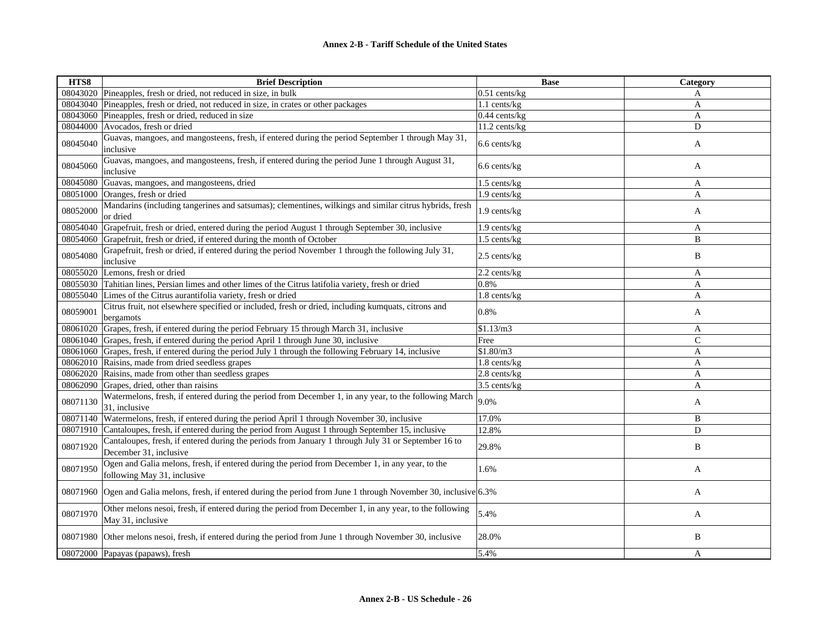| HTS8     | <b>Brief Description</b>                                                                                                       | <b>Base</b>       | Category     |
|----------|--------------------------------------------------------------------------------------------------------------------------------|-------------------|--------------|
|          | 08043020 Pineapples, fresh or dried, not reduced in size, in bulk                                                              | $0.51$ cents/kg   | A            |
|          | 08043040 Pineapples, fresh or dried, not reduced in size, in crates or other packages                                          | 1.1 cents/kg      | $\mathbf{A}$ |
|          | 08043060 Pineapples, fresh or dried, reduced in size                                                                           | $0.44$ cents/kg   | A            |
|          | 08044000 Avocados, fresh or dried                                                                                              | 11.2 cents/kg     | D            |
| 08045040 | Guavas, mangoes, and mangosteens, fresh, if entered during the period September 1 through May 31,<br>inclusive                 | 6.6 cents/kg      | A            |
| 08045060 | Guavas, mangoes, and mangosteens, fresh, if entered during the period June 1 through August 31,<br>inclusive                   | 6.6 cents/kg      | A            |
|          | 08045080 Guavas, mangoes, and mangosteens, dried                                                                               | 1.5 cents/kg      | A            |
|          | 08051000 Oranges, fresh or dried                                                                                               | 1.9 cents/kg      | $\mathbf{A}$ |
| 08052000 | Mandarins (including tangerines and satsumas); clementines, wilkings and similar citrus hybrids, fresh<br>or dried             | 1.9 cents/kg      | A            |
|          | 08054040 Grapefruit, fresh or dried, entered during the period August 1 through September 30, inclusive                        | 1.9 cents/kg      | A            |
|          | 08054060 Grapefruit, fresh or dried, if entered during the month of October                                                    | 1.5 cents/kg      | B            |
| 08054080 | Grapefruit, fresh or dried, if entered during the period November 1 through the following July 31,<br>inclusive                | 2.5 cents/kg      | B            |
|          | 08055020 Lemons, fresh or dried                                                                                                | 2.2 cents/kg      | $\mathbf{A}$ |
|          | 08055030 Tahitian lines, Persian limes and other limes of the Citrus latifolia variety, fresh or dried                         | 0.8%              | A            |
|          | 08055040 Limes of the Citrus aurantifolia variety, fresh or dried                                                              | 1.8 cents/kg      | $\mathbf{A}$ |
| 08059001 | Citrus fruit, not elsewhere specified or included, fresh or dried, including kumquats, citrons and<br>bergamots                | 0.8%              | A            |
|          | 08061020 Grapes, fresh, if entered during the period February 15 through March 31, inclusive                                   | \$1.13/m3         | A            |
|          | 08061040 Grapes, fresh, if entered during the period April 1 through June 30, inclusive                                        | Free              | $\mathsf{C}$ |
|          | 08061060 Grapes, fresh, if entered during the period July 1 through the following February 14, inclusive                       | \$1.80/m3         | $\mathbf{A}$ |
|          | 08062010 Raisins, made from dried seedless grapes                                                                              | $1.8$ cents/ $kg$ | A            |
|          | 08062020 Raisins, made from other than seedless grapes                                                                         | 2.8 cents/kg      | $\mathbf{A}$ |
|          | 08062090 Grapes, dried, other than raisins                                                                                     | 3.5 cents/kg      | A            |
| 08071130 | Watermelons, fresh, if entered during the period from December 1, in any year, to the following March<br>31, inclusive         | 9.0%              | A            |
| 08071140 | Watermelons, fresh, if entered during the period April 1 through November 30, inclusive                                        | 17.0%             | B            |
|          | 08071910 Cantaloupes, fresh, if entered during the period from August 1 through September 15, inclusive                        | 12.8%             | D            |
| 08071920 | Cantaloupes, fresh, if entered during the periods from January 1 through July 31 or September 16 to<br>December 31, inclusive  | 29.8%             | B            |
| 08071950 | Ogen and Galia melons, fresh, if entered during the period from December 1, in any year, to the<br>following May 31, inclusive | 1.6%              | A            |
|          | 08071960 Ogen and Galia melons, fresh, if entered during the period from June 1 through November 30, inclusive 6.3%            |                   | A            |
| 08071970 | Other melons nesoi, fresh, if entered during the period from December 1, in any year, to the following<br>May 31, inclusive    | 5.4%              | $\mathbf{A}$ |
|          | 08071980 Other melons nesoi, fresh, if entered during the period from June 1 through November 30, inclusive                    | 28.0%             | B            |
|          | 08072000 Papayas (papaws), fresh                                                                                               | 5.4%              | A            |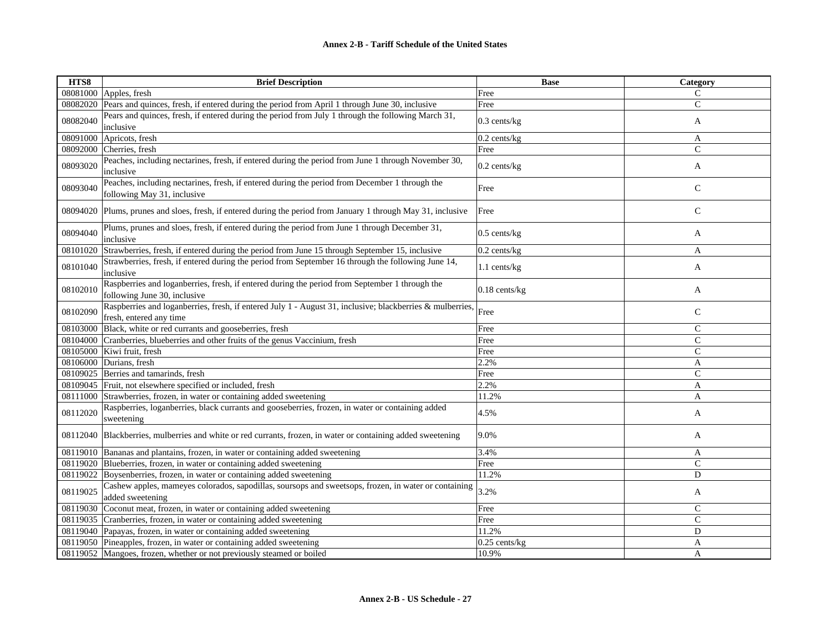| HTS8     | <b>Brief Description</b>                                                                                                             | <b>Base</b>     | Category      |
|----------|--------------------------------------------------------------------------------------------------------------------------------------|-----------------|---------------|
|          | 08081000 Apples, fresh                                                                                                               | Free            | $\mathsf{C}$  |
| 08082020 | Pears and quinces, fresh, if entered during the period from April 1 through June 30, inclusive                                       | Free            | $\mathbf C$   |
| 08082040 | Pears and quinces, fresh, if entered during the period from July 1 through the following March 31,<br>inclusive                      | 0.3 cents/kg    | A             |
| 08091000 | Apricots, fresh                                                                                                                      | 0.2 cents/kg    | A             |
| 08092000 | Cherries, fresh                                                                                                                      | Free            | $\mathcal{C}$ |
| 08093020 | Peaches, including nectarines, fresh, if entered during the period from June 1 through November 30,<br>inclusive                     | $0.2$ cents/kg  | A             |
| 08093040 | Peaches, including nectarines, fresh, if entered during the period from December 1 through the<br>following May 31, inclusive        | Free            | $\mathsf{C}$  |
| 08094020 | Plums, prunes and sloes, fresh, if entered during the period from January 1 through May 31, inclusive                                | Free            | $\mathsf{C}$  |
| 08094040 | Plums, prunes and sloes, fresh, if entered during the period from June 1 through December 31,<br>inclusive                           | $0.5$ cents/kg  | A             |
| 08101020 | Strawberries, fresh, if entered during the period from June 15 through September 15, inclusive                                       | $0.2$ cents/kg  | A             |
| 08101040 | Strawberries, fresh, if entered during the period from September 16 through the following June 14,<br>inclusive                      | 1.1 cents/kg    | A             |
| 08102010 | Raspberries and loganberries, fresh, if entered during the period from September 1 through the<br>following June 30, inclusive       | $0.18$ cents/kg | A             |
| 08102090 | Raspberries and loganberries, fresh, if entered July 1 - August 31, inclusive; blackberries & mulberries,<br>fresh, entered any time | Free            | $\mathsf{C}$  |
| 08103000 | Black, white or red currants and gooseberries, fresh                                                                                 | Free            | $\mathsf{C}$  |
| 08104000 | Cranberries, blueberries and other fruits of the genus Vaccinium, fresh                                                              | Free            | $\mathcal{C}$ |
|          | 08105000 Kiwi fruit, fresh                                                                                                           | Free            | $\mathsf{C}$  |
| 08106000 | Durians, fresh                                                                                                                       | 2.2%            | A             |
| 08109025 | Berries and tamarinds, fresh                                                                                                         | Free            | $\mathsf{C}$  |
|          | 08109045 Fruit, not elsewhere specified or included, fresh                                                                           | 2.2%            | $\mathbf{A}$  |
| 08111000 | Strawberries, frozen, in water or containing added sweetening                                                                        | 11.2%           | A             |
| 08112020 | Raspberries, loganberries, black currants and gooseberries, frozen, in water or containing added<br>sweetening                       | 4.5%            | A             |
|          | 08112040 Blackberries, mulberries and white or red currants, frozen, in water or containing added sweetening                         | 9.0%            | A             |
|          | 08119010 Bananas and plantains, frozen, in water or containing added sweetening                                                      | 3.4%            | A             |
|          | 08119020 Blueberries, frozen, in water or containing added sweetening                                                                | Free            | $\mathsf{C}$  |
|          | 08119022 Boysenberries, frozen, in water or containing added sweetening                                                              | 11.2%           | D             |
| 08119025 | Cashew apples, mameyes colorados, sapodillas, soursops and sweetsops, frozen, in water or containing<br>added sweetening             | 3.2%            | A             |
| 08119030 | Coconut meat, frozen, in water or containing added sweetening                                                                        | Free            | $\mathsf{C}$  |
|          | 08119035 Cranberries, frozen, in water or containing added sweetening                                                                | Free            | $\mathcal{C}$ |
|          | 08119040 Papayas, frozen, in water or containing added sweetening                                                                    | 11.2%           | D             |
|          | 08119050 Pineapples, frozen, in water or containing added sweetening                                                                 | $0.25$ cents/kg | A             |
|          | 08119052 Mangoes, frozen, whether or not previously steamed or boiled                                                                | 10.9%           | A             |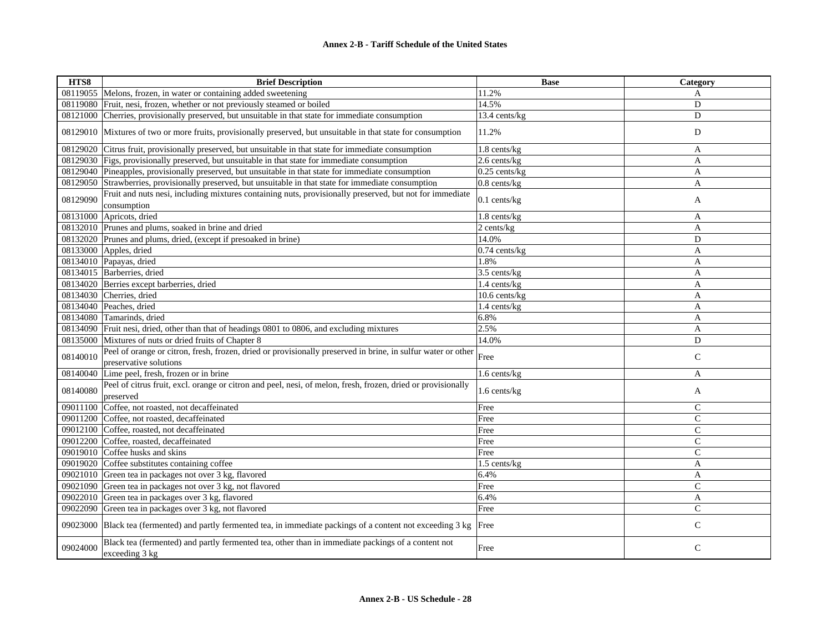| HTS8     | <b>Brief Description</b>                                                                                                               | <b>Base</b>       | Category       |
|----------|----------------------------------------------------------------------------------------------------------------------------------------|-------------------|----------------|
| 08119055 | Melons, frozen, in water or containing added sweetening                                                                                | 11.2%             | A              |
| 08119080 | Fruit, nesi, frozen, whether or not previously steamed or boiled                                                                       | 14.5%             | D              |
| 08121000 | Cherries, provisionally preserved, but unsuitable in that state for immediate consumption                                              | 13.4 cents/kg     | D              |
|          | 08129010 Mixtures of two or more fruits, provisionally preserved, but unsuitable in that state for consumption                         | 11.2%             | D              |
| 08129020 | Citrus fruit, provisionally preserved, but unsuitable in that state for immediate consumption                                          | 1.8 cents/kg      | A              |
|          | 08129030 Figs, provisionally preserved, but unsuitable in that state for immediate consumption                                         | $2.6$ cents/ $kg$ | A              |
|          | 08129040 Pineapples, provisionally preserved, but unsuitable in that state for immediate consumption                                   | $0.25$ cents/kg   | $\mathbf{A}$   |
|          | 08129050 Strawberries, provisionally preserved, but unsuitable in that state for immediate consumption                                 | $0.8$ cents/kg    | A              |
| 08129090 | Fruit and nuts nesi, including mixtures containing nuts, provisionally preserved, but not for immediate<br>consumption                 | $0.1$ cents/kg    | A              |
|          | 08131000 Apricots, dried                                                                                                               | 1.8 cents/kg      | A              |
|          | 08132010 Prunes and plums, soaked in brine and dried                                                                                   | 2 cents/kg        | A              |
|          | 08132020 Prunes and plums, dried, (except if presoaked in brine)                                                                       | 14.0%             | D              |
|          | 08133000 Apples, dried                                                                                                                 | $0.74$ cents/kg   | A              |
|          | 08134010 Papayas, dried                                                                                                                | 1.8%              | A              |
|          | 08134015 Barberries, dried                                                                                                             | 3.5 cents/kg      | A              |
| 08134020 | Berries except barberries, dried                                                                                                       | 1.4 cents/kg      | A              |
| 08134030 | Cherries, dried                                                                                                                        | 10.6 cents/kg     | $\mathbf{A}$   |
|          | 08134040 Peaches, dried                                                                                                                | 1.4 cents/kg      | A              |
|          | 08134080 Tamarinds, dried                                                                                                              | 6.8%              | A              |
| 08134090 | Fruit nesi, dried, other than that of headings 0801 to 0806, and excluding mixtures                                                    | 2.5%              | A              |
|          | 08135000 Mixtures of nuts or dried fruits of Chapter 8                                                                                 | 14.0%             | D              |
| 08140010 | Peel of orange or citron, fresh, frozen, dried or provisionally preserved in brine, in sulfur water or other<br>preservative solutions | Free              | $\mathsf{C}$   |
| 08140040 | Lime peel, fresh, frozen or in brine                                                                                                   | 1.6 cents/kg      | A              |
| 08140080 | Peel of citrus fruit, excl. orange or citron and peel, nesi, of melon, fresh, frozen, dried or provisionally<br>preserved              | 1.6 cents/kg      | A              |
| 09011100 | Coffee, not roasted, not decaffeinated                                                                                                 | Free              | $\mathsf{C}$   |
| 09011200 | Coffee, not roasted, decaffeinated                                                                                                     | Free              | $\mathsf{C}$   |
|          | 09012100 Coffee, roasted, not decaffeinated                                                                                            | Free              | $\overline{C}$ |
| 09012200 | Coffee, roasted, decaffeinated                                                                                                         | Free              | $\mathsf{C}$   |
| 09019010 | Coffee husks and skins                                                                                                                 | Free              | $\mathsf{C}$   |
| 09019020 | Coffee substitutes containing coffee                                                                                                   | $1.5$ cents/kg    | A              |
|          | 09021010 Green tea in packages not over 3 kg, flavored                                                                                 | 6.4%              | A              |
| 09021090 | Green tea in packages not over 3 kg, not flavored                                                                                      | Free              | $\mathsf{C}$   |
| 09022010 | Green tea in packages over 3 kg, flavored                                                                                              | 6.4%              | A              |
| 09022090 | Green tea in packages over 3 kg, not flavored                                                                                          | Free              | $\mathcal{C}$  |
|          | 09023000 Black tea (fermented) and partly fermented tea, in immediate packings of a content not exceeding 3 kg Free                    |                   | $\mathsf{C}$   |
| 09024000 | Black tea (fermented) and partly fermented tea, other than in immediate packings of a content not<br>exceeding 3 kg                    | Free              | $\mathsf{C}$   |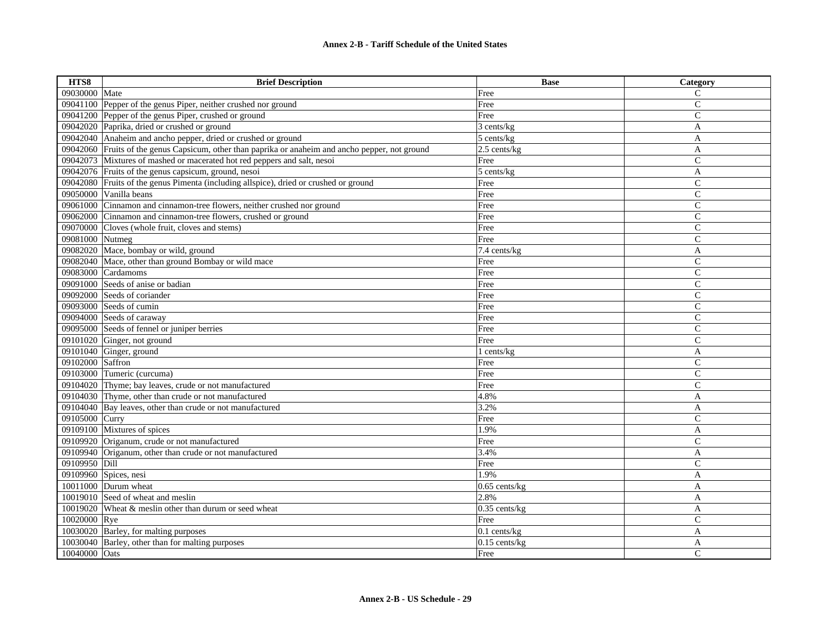| HTS8             | <b>Brief Description</b>                                                                          | <b>Base</b>     | Category       |
|------------------|---------------------------------------------------------------------------------------------------|-----------------|----------------|
| 09030000 Mate    |                                                                                                   | Free            | $\mathsf{C}$   |
|                  | 09041100 Pepper of the genus Piper, neither crushed nor ground                                    | Free            | $\mathbf C$    |
|                  | 09041200 Pepper of the genus Piper, crushed or ground                                             | Free            | $\mathsf{C}$   |
|                  | 09042020 Paprika, dried or crushed or ground                                                      | 3 cents/kg      | A              |
|                  | 09042040 Anaheim and ancho pepper, dried or crushed or ground                                     | 5 cents/kg      | A              |
|                  | 09042060 Fruits of the genus Capsicum, other than paprika or anaheim and ancho pepper, not ground | $2.5$ cents/kg  | A              |
|                  | 09042073 Mixtures of mashed or macerated hot red peppers and salt, nesoi                          | Free            | $\mathsf{C}$   |
|                  | 09042076 Fruits of the genus capsicum, ground, nesoi                                              | 5 cents/kg      | A              |
|                  | 09042080 Fruits of the genus Pimenta (including allspice), dried or crushed or ground             | Free            | $\mathcal{C}$  |
|                  | 09050000 Vanilla beans                                                                            | Free            | $\mathsf{C}$   |
|                  | 09061000 Cinnamon and cinnamon-tree flowers, neither crushed nor ground                           | Free            | $\mathsf{C}$   |
|                  | 09062000 Cinnamon and cinnamon-tree flowers, crushed or ground                                    | Free            | $\mathsf{C}$   |
|                  | 09070000 Cloves (whole fruit, cloves and stems)                                                   | Free            | $\mathsf{C}$   |
| 09081000 Nutmeg  |                                                                                                   | Free            | $\mathsf{C}$   |
|                  | 09082020 Mace, bombay or wild, ground                                                             | 7.4 cents/kg    | A              |
|                  | 09082040 Mace, other than ground Bombay or wild mace                                              | Free            | $\mathcal{C}$  |
| 09083000         | Cardamoms                                                                                         | Free            | $\mathbf C$    |
| 09091000         | Seeds of anise or badian                                                                          | Free            | $\mathcal{C}$  |
|                  | 09092000 Seeds of coriander                                                                       | Free            | $\mathsf{C}$   |
|                  | 09093000 Seeds of cumin                                                                           | Free            | $\mathsf{C}$   |
|                  | 09094000 Seeds of caraway                                                                         | Free            | $\mathsf{C}$   |
|                  | 09095000 Seeds of fennel or juniper berries                                                       | Free            | $\mathsf{C}$   |
|                  | 09101020 Ginger, not ground                                                                       | Free            | $\mathsf{C}$   |
|                  | 09101040 Ginger, ground                                                                           | 1 cents/kg      | $\overline{A}$ |
| 09102000 Saffron |                                                                                                   | Free            | $\mathsf{C}$   |
|                  | 09103000 Tumeric (curcuma)                                                                        | Free            | $\mathsf{C}$   |
|                  | 09104020 Thyme; bay leaves, crude or not manufactured                                             | Free            | $\overline{C}$ |
|                  | 09104030 Thyme, other than crude or not manufactured                                              | 4.8%            | $\overline{A}$ |
|                  | 09104040 Bay leaves, other than crude or not manufactured                                         | 3.2%            | A              |
| 09105000 Curry   |                                                                                                   | Free            | C              |
|                  | 09109100 Mixtures of spices                                                                       | 1.9%            | A              |
|                  | 09109920 Origanum, crude or not manufactured                                                      | Free            | $\mathsf{C}$   |
|                  | 09109940 Origanum, other than crude or not manufactured                                           | 3.4%            | A              |
| 09109950 Dill    |                                                                                                   | Free            | $\mathsf{C}$   |
|                  | 09109960 Spices, nesi                                                                             | 1.9%            | A              |
|                  | 10011000 Durum wheat                                                                              | $0.65$ cents/kg | A              |
|                  | 10019010 Seed of wheat and meslin                                                                 | 2.8%            | A              |
|                  | 10019020 Wheat & meslin other than durum or seed wheat                                            | $0.35$ cents/kg | A              |
| 10020000 Rye     |                                                                                                   | Free            | $\mathsf{C}$   |
|                  | 10030020 Barley, for malting purposes                                                             | $0.1$ cents/kg  | A              |
|                  | 10030040 Barley, other than for malting purposes                                                  | $0.15$ cents/kg | A              |
| 10040000 Oats    |                                                                                                   | Free            | $\mathsf{C}$   |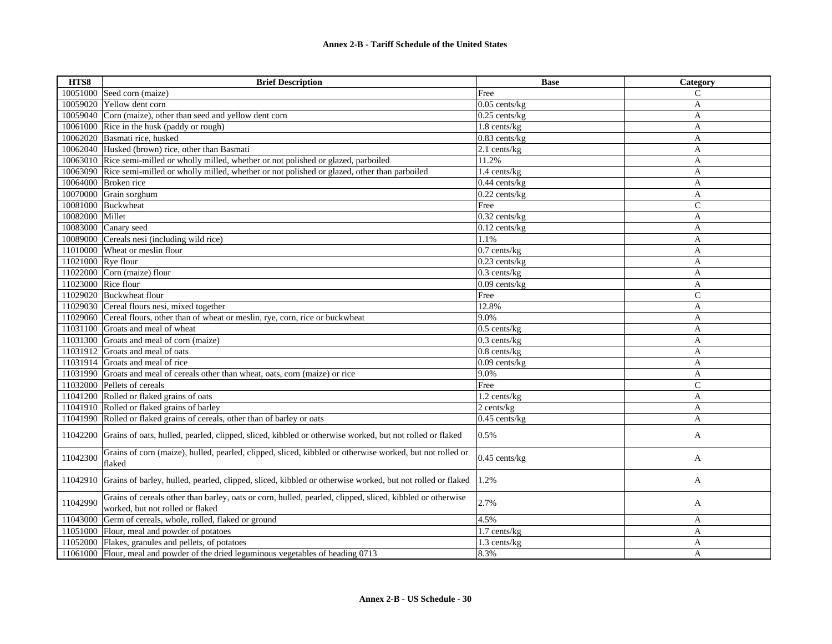| HTS8               | <b>Brief Description</b>                                                                                                                      | <b>Base</b>        | Category     |
|--------------------|-----------------------------------------------------------------------------------------------------------------------------------------------|--------------------|--------------|
|                    | 10051000 Seed corn (maize)                                                                                                                    | Free               | C            |
|                    | 10059020 Yellow dent corn                                                                                                                     | $0.05$ cents/kg    | A            |
| 10059040           | Corn (maize), other than seed and yellow dent corn                                                                                            | $0.25$ cents/ $kg$ | A            |
|                    | 10061000 Rice in the husk (paddy or rough)                                                                                                    | 1.8 cents/kg       | A            |
|                    | 10062020 Basmati rice, husked                                                                                                                 | 0.83 cents/kg      | A            |
|                    | 10062040 Husked (brown) rice, other than Basmati                                                                                              | 2.1 cents/kg       | $\mathbf{A}$ |
|                    | 10063010 Rice semi-milled or wholly milled, whether or not polished or glazed, parboiled                                                      | 11.2%              | A            |
|                    | 10063090 Rice semi-milled or wholly milled, whether or not polished or glazed, other than parboiled                                           | 1.4 cents/kg       | $\mathbf{A}$ |
|                    | 10064000 Broken rice                                                                                                                          | $0.44$ cents/kg    | $\mathbf{A}$ |
|                    | 10070000 Grain sorghum                                                                                                                        | $0.22$ cents/kg    | A            |
|                    | 10081000 Buckwheat                                                                                                                            | Free               | $\mathsf{C}$ |
| 10082000 Millet    |                                                                                                                                               | $0.32$ cents/kg    | A            |
| 10083000           | Canary seed                                                                                                                                   | $0.12$ cents/kg    | $\mathbf{A}$ |
|                    | 10089000 Cereals nesi (including wild rice)                                                                                                   | 1.1%               | A            |
| 11010000           | Wheat or meslin flour                                                                                                                         | $0.7$ cents/kg     | A            |
| 11021000 Rye flour |                                                                                                                                               | 0.23 cents/kg      | $\mathbf{A}$ |
| 11022000           | Corn (maize) flour                                                                                                                            | $0.3$ cents/kg     | A            |
|                    | 11023000 Rice flour                                                                                                                           | $0.09$ cents/kg    | A            |
|                    | 11029020 Buckwheat flour                                                                                                                      | Free               | $\mathsf{C}$ |
|                    | 11029030 Cereal flours nesi, mixed together                                                                                                   | 12.8%              | A            |
|                    | 11029060 Cereal flours, other than of wheat or meslin, rye, corn, rice or buckwheat                                                           | 9.0%               | A            |
|                    | 11031100 Groats and meal of wheat                                                                                                             | $0.5$ cents/kg     | A            |
|                    | 11031300 Groats and meal of corn (maize)                                                                                                      | $0.3$ cents/kg     | A            |
|                    | 11031912 Groats and meal of oats                                                                                                              | $0.8$ cents/kg     | $\mathbf{A}$ |
|                    | 11031914 Groats and meal of rice                                                                                                              | 0.09 cents/kg      | A            |
|                    | 11031990 Groats and meal of cereals other than wheat, oats, corn (maize) or rice                                                              | 9.0%               | A            |
|                    | 11032000 Pellets of cereals                                                                                                                   | Free               | $\mathsf{C}$ |
|                    | 11041200 Rolled or flaked grains of oats                                                                                                      | 1.2 cents/kg       | $\mathbf{A}$ |
|                    | 11041910 Rolled or flaked grains of barley                                                                                                    | 2 cents/kg         | A            |
|                    | 11041990 Rolled or flaked grains of cereals, other than of barley or oats                                                                     | $0.45$ cents/kg    | A            |
| 11042200           | Grains of oats, hulled, pearled, clipped, sliced, kibbled or otherwise worked, but not rolled or flaked                                       | 0.5%               | A            |
| 11042300           | Grains of corn (maize), hulled, pearled, clipped, sliced, kibbled or otherwise worked, but not rolled or<br>flaked                            | 0.45 cents/kg      | A            |
| 11042910           | Grains of barley, hulled, pearled, clipped, sliced, kibbled or otherwise worked, but not rolled or flaked                                     | 1.2%               | A            |
| 11042990           | Grains of cereals other than barley, oats or corn, hulled, pearled, clipped, sliced, kibbled or otherwise<br>worked, but not rolled or flaked | 2.7%               | A            |
| 11043000           | Germ of cereals, whole, rolled, flaked or ground                                                                                              | 4.5%               | A            |
| 11051000           | Flour, meal and powder of potatoes                                                                                                            | 1.7 cents/kg       | A            |
|                    | 11052000 Flakes, granules and pellets, of potatoes                                                                                            | 1.3 cents/kg       | A            |
|                    | 11061000 Flour, meal and powder of the dried leguminous vegetables of heading 0713                                                            | 8.3%               | A            |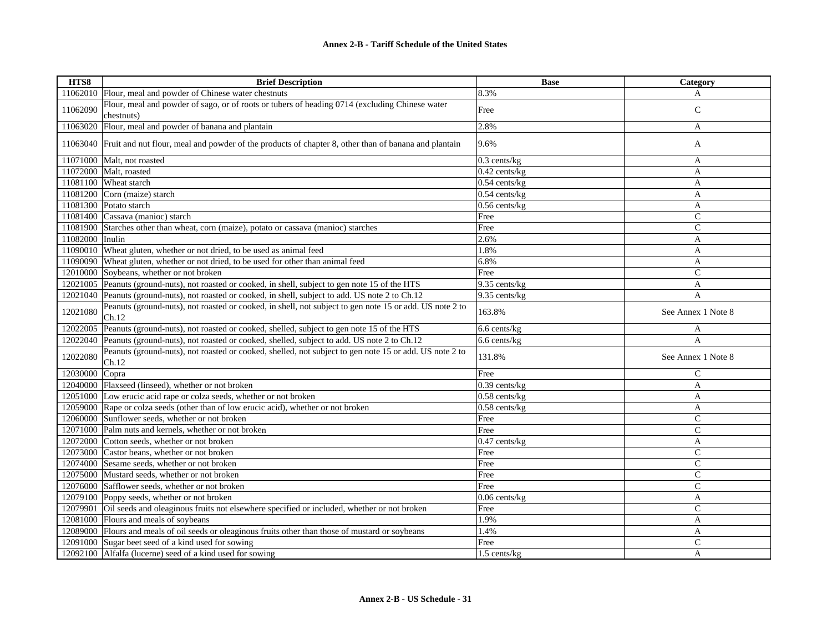| HTS8            | <b>Brief Description</b>                                                                                         | <b>Base</b>            | Category           |
|-----------------|------------------------------------------------------------------------------------------------------------------|------------------------|--------------------|
| 11062010        | Flour, meal and powder of Chinese water chestnuts                                                                | 8.3%                   | A                  |
| 11062090        | Flour, meal and powder of sago, or of roots or tubers of heading 0714 (excluding Chinese water<br>chestnuts)     | Free                   | $\mathsf{C}$       |
| 11063020        | Flour, meal and powder of banana and plantain                                                                    | 2.8%                   | A                  |
|                 | 11063040 Fruit and nut flour, meal and powder of the products of chapter 8, other than of banana and plantain    | 9.6%                   | A                  |
|                 | 11071000 Malt, not roasted                                                                                       | $0.3$ cents/ $kg$      | A                  |
|                 | 11072000 Malt, roasted                                                                                           | 0.42 cents/kg          | A                  |
|                 | 11081100 Wheat starch                                                                                            | $0.54$ cents/kg        | A                  |
|                 | 11081200 Corn (maize) starch                                                                                     | $0.54$ cents/kg        | A                  |
|                 | 11081300 Potato starch                                                                                           | $0.56$ cents/kg        | A                  |
|                 | 11081400 Cassava (manioc) starch                                                                                 | Free                   | $\mathsf{C}$       |
|                 | 11081900 Starches other than wheat, corn (maize), potato or cassava (manioc) starches                            | Free                   | $\mathbf C$        |
| 11082000 Inulin |                                                                                                                  | 2.6%                   | A                  |
|                 | 11090010 Wheat gluten, whether or not dried, to be used as animal feed                                           | 1.8%                   | A                  |
|                 | 11090090 Wheat gluten, whether or not dried, to be used for other than animal feed                               | 6.8%                   | A                  |
| 12010000        | Soybeans, whether or not broken                                                                                  | Free                   | $\mathbf C$        |
| 12021005        | Peanuts (ground-nuts), not roasted or cooked, in shell, subject to gen note 15 of the HTS                        | 9.35 cents/kg          | A                  |
|                 | 12021040 Peanuts (ground-nuts), not roasted or cooked, in shell, subject to add. US note 2 to Ch.12              | 9.35 cents/kg          | A                  |
| 12021080        | Peanuts (ground-nuts), not roasted or cooked, in shell, not subject to gen note 15 or add. US note 2 to<br>Ch.12 | 163.8%                 | See Annex 1 Note 8 |
| 12022005        | Peanuts (ground-nuts), not roasted or cooked, shelled, subject to gen note 15 of the HTS                         | 6.6 cents/kg           | A                  |
| 12022040        | Peanuts (ground-nuts), not roasted or cooked, shelled, subject to add. US note 2 to Ch.12                        | 6.6 cents/kg           | $\overline{A}$     |
| 12022080        | Peanuts (ground-nuts), not roasted or cooked, shelled, not subject to gen note 15 or add. US note 2 to<br>Ch.12  | 131.8%                 | See Annex 1 Note 8 |
| 12030000        | Copra                                                                                                            | Free                   | C                  |
|                 | 12040000 Flaxseed (linseed), whether or not broken                                                               | 0.39 cents/kg          | A                  |
|                 | 12051000 Low erucic acid rape or colza seeds, whether or not broken                                              | $0.58$ cents/kg        | A                  |
|                 | 12059000 Rape or colza seeds (other than of low erucic acid), whether or not broken                              | $0.58$ cents/kg        | A                  |
| 12060000        | Sunflower seeds, whether or not broken                                                                           | Free                   | C                  |
|                 | 12071000 Palm nuts and kernels, whether or not broken                                                            | Free                   | $\overline{C}$     |
|                 | 12072000 Cotton seeds, whether or not broken                                                                     | 0.47 cents/kg          | $\overline{A}$     |
|                 | 12073000 Castor beans, whether or not broken                                                                     | Free                   | $\mathsf{C}$       |
|                 | 12074000 Sesame seeds, whether or not broken                                                                     | Free                   | $\mathbf C$        |
|                 | 12075000 Mustard seeds, whether or not broken                                                                    | Free                   | $\mathsf{C}$       |
|                 | 12076000 Safflower seeds, whether or not broken                                                                  | Free                   | $\mathcal{C}$      |
|                 | 12079100 Poppy seeds, whether or not broken                                                                      | 0.06 cents/kg          | A                  |
| 12079901        | Oil seeds and oleaginous fruits not elsewhere specified or included, whether or not broken                       | Free                   | $\mathsf{C}$       |
|                 | 12081000 Flours and meals of soybeans                                                                            | 1.9%                   | A                  |
|                 | 12089000 Flours and meals of oil seeds or oleaginous fruits other than those of mustard or soybeans              | 1.4%                   | A                  |
|                 | 12091000 Sugar beet seed of a kind used for sowing                                                               | Free                   | C                  |
|                 | 12092100 Alfalfa (lucerne) seed of a kind used for sowing                                                        | $1.5$ cents/ $k\sigma$ | A                  |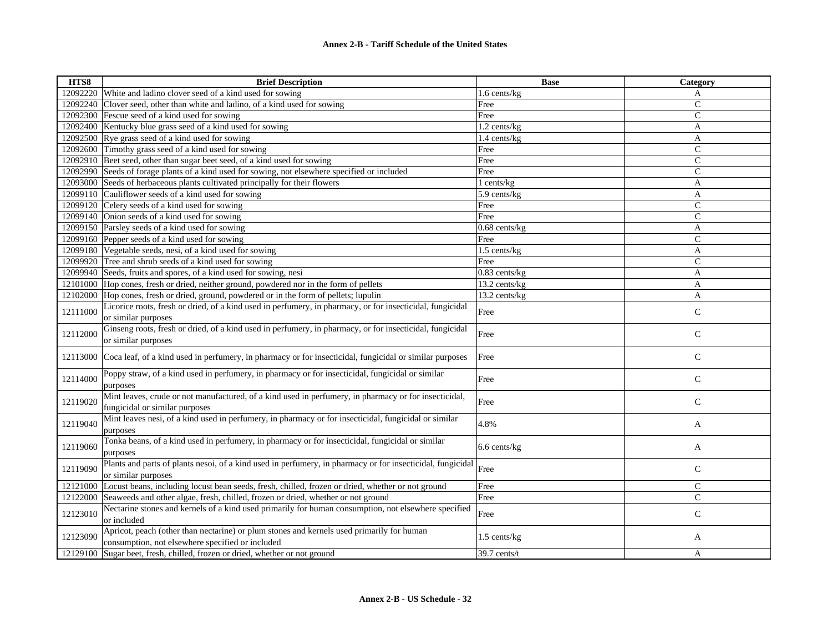| HTS8     | <b>Brief Description</b>                                                                                                                      | <b>Base</b>       | Category      |
|----------|-----------------------------------------------------------------------------------------------------------------------------------------------|-------------------|---------------|
| 12092220 | White and ladino clover seed of a kind used for sowing                                                                                        | 1.6 cents/kg      | A             |
| 12092240 | Clover seed, other than white and ladino, of a kind used for sowing                                                                           | Free              | $\mathsf{C}$  |
| 12092300 | Fescue seed of a kind used for sowing                                                                                                         | Free              | $\mathbf C$   |
| 12092400 | Kentucky blue grass seed of a kind used for sowing                                                                                            | 1.2 cents/kg      | A             |
|          | 12092500 Rye grass seed of a kind used for sowing                                                                                             | 1.4 cents/kg      | A             |
| 12092600 | Timothy grass seed of a kind used for sowing                                                                                                  | Free              | $\mathcal{C}$ |
| 12092910 | Beet seed, other than sugar beet seed, of a kind used for sowing                                                                              | Free              | $\mathcal{C}$ |
|          | 12092990 Seeds of forage plants of a kind used for sowing, not elsewhere specified or included                                                | Free              | $\mathsf{C}$  |
| 12093000 | Seeds of herbaceous plants cultivated principally for their flowers                                                                           | 1 cents/kg        | A             |
| 12099110 | Cauliflower seeds of a kind used for sowing                                                                                                   | $5.9$ cents/ $kg$ | $\mathbf{A}$  |
| 12099120 | Celery seeds of a kind used for sowing                                                                                                        | Free              | $\mathcal{C}$ |
|          | 12099140 Onion seeds of a kind used for sowing                                                                                                | Free              | $\mathsf{C}$  |
|          | 12099150 Parsley seeds of a kind used for sowing                                                                                              | $0.68$ cents/kg   | A             |
|          | 12099160 Pepper seeds of a kind used for sowing                                                                                               | Free              | $\mathcal{C}$ |
|          | 12099180 Vegetable seeds, nesi, of a kind used for sowing                                                                                     | 1.5 cents/kg      | A             |
|          | 12099920 Tree and shrub seeds of a kind used for sowing                                                                                       | Free              | $\mathbf C$   |
|          | 12099940 Seeds, fruits and spores, of a kind used for sowing, nesi                                                                            | $0.83$ cents/kg   | $\mathbf{A}$  |
|          | 12101000 Hop cones, fresh or dried, neither ground, powdered nor in the form of pellets                                                       | 13.2 cents/kg     | A             |
| 12102000 | Hop cones, fresh or dried, ground, powdered or in the form of pellets; lupulin                                                                | 13.2 cents/kg     | A             |
| 12111000 | Licorice roots, fresh or dried, of a kind used in perfumery, in pharmacy, or for insecticidal, fungicidal<br>or similar purposes              | Free              | ${\bf C}$     |
| 12112000 | Ginseng roots, fresh or dried, of a kind used in perfumery, in pharmacy, or for insecticidal, fungicidal<br>or similar purposes               | Free              | $\mathsf{C}$  |
| 12113000 | Coca leaf, of a kind used in perfumery, in pharmacy or for insecticidal, fungicidal or similar purposes                                       | Free              | $\mathsf{C}$  |
| 12114000 | Poppy straw, of a kind used in perfumery, in pharmacy or for insecticidal, fungicidal or similar<br>purposes                                  | Free              | $\mathsf{C}$  |
| 12119020 | Mint leaves, crude or not manufactured, of a kind used in perfumery, in pharmacy or for insecticidal,<br>fungicidal or similar purposes       | Free              | $\mathsf{C}$  |
| 12119040 | Mint leaves nesi, of a kind used in perfumery, in pharmacy or for insecticidal, fungicidal or similar<br>purposes                             | 4.8%              | A             |
| 12119060 | Tonka beans, of a kind used in perfumery, in pharmacy or for insecticidal, fungicidal or similar<br>purposes                                  | 6.6 cents/kg      | A             |
| 12119090 | Plants and parts of plants nesoi, of a kind used in perfumery, in pharmacy or for insecticidal, fungicidal<br>or similar purposes             | Free              | $\mathsf{C}$  |
| 12121000 | Locust beans, including locust bean seeds, fresh, chilled, frozen or dried, whether or not ground                                             | Free              | $\mathsf{C}$  |
| 12122000 | Seaweeds and other algae, fresh, chilled, frozen or dried, whether or not ground                                                              | Free              | $\mathsf{C}$  |
| 12123010 | Nectarine stones and kernels of a kind used primarily for human consumption, not elsewhere specified<br>or included                           | Free              | $\mathbf C$   |
| 12123090 | Apricot, peach (other than nectarine) or plum stones and kernels used primarily for human<br>consumption, not elsewhere specified or included | 1.5 cents/kg      | A             |
| 12129100 | Sugar beet, fresh, chilled, frozen or dried, whether or not ground                                                                            | 39.7 cents/t      | A             |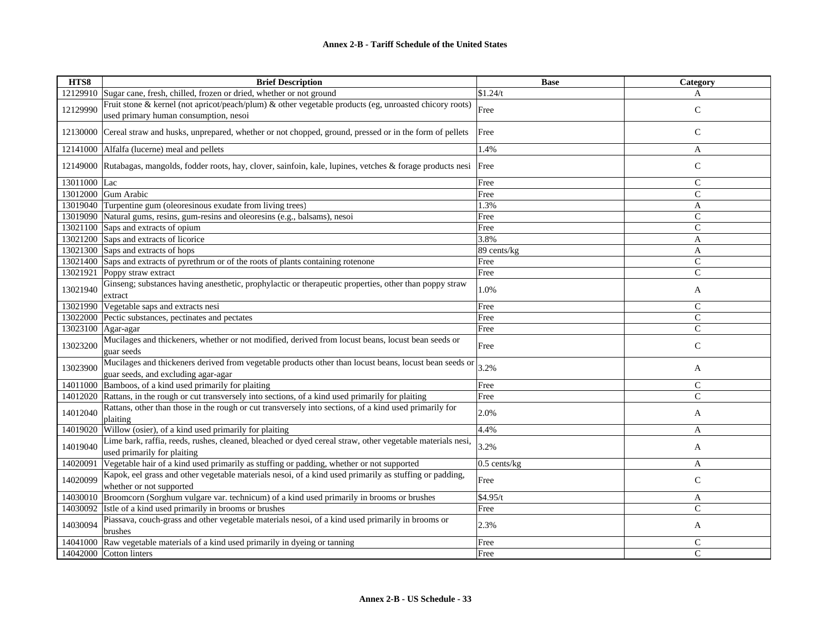| HTS8               | <b>Brief Description</b>                                                                                                                      | <b>Base</b>    | Category      |
|--------------------|-----------------------------------------------------------------------------------------------------------------------------------------------|----------------|---------------|
|                    | 12129910 Sugar cane, fresh, chilled, frozen or dried, whether or not ground                                                                   | \$1.24/t       | A             |
| 12129990           | Fruit stone & kernel (not apricot/peach/plum) & other vegetable products (eg, unroasted chicory roots)                                        | Free           | $\mathsf{C}$  |
|                    | used primary human consumption, nesoi                                                                                                         |                |               |
|                    | 12130000 Cereal straw and husks, unprepared, whether or not chopped, ground, pressed or in the form of pellets                                | Free           | $\mathsf{C}$  |
|                    | 12141000 Alfalfa (lucerne) meal and pellets                                                                                                   | 1.4%           | A             |
|                    | 12149000 Rutabagas, mangolds, fodder roots, hay, clover, sainfoin, kale, lupines, vetches & forage products nesi Free                         |                | $\mathsf{C}$  |
| 13011000 Lac       |                                                                                                                                               | Free           | $\mathcal{C}$ |
|                    | 13012000 Gum Arabic                                                                                                                           | Free           | $\mathsf{C}$  |
|                    | 13019040 Turpentine gum (oleoresinous exudate from living trees)                                                                              | 1.3%           | A             |
|                    | 13019090 Natural gums, resins, gum-resins and oleoresins (e.g., balsams), nesoi                                                               | Free           | $\mathbf C$   |
|                    | 13021100 Saps and extracts of opium                                                                                                           | Free           | $\mathsf{C}$  |
|                    | 13021200 Saps and extracts of licorice                                                                                                        | 3.8%           | A             |
|                    | 13021300 Saps and extracts of hops                                                                                                            | 89 cents/kg    | A             |
|                    | 13021400 Saps and extracts of pyrethrum or of the roots of plants containing rotenone                                                         | Free           | $\mathsf{C}$  |
| 13021921           | Poppy straw extract                                                                                                                           | Free           | $\mathsf{C}$  |
| 13021940           | Ginseng; substances having anesthetic, prophylactic or therapeutic properties, other than poppy straw<br>extract                              | 1.0%           | A             |
|                    | 13021990 Vegetable saps and extracts nesi                                                                                                     | Free           | $\mathsf{C}$  |
|                    | 13022000 Pectic substances, pectinates and pectates                                                                                           | Free           | $\mathcal{C}$ |
| 13023100 Agar-agar |                                                                                                                                               | Free           | $\mathsf{C}$  |
| 13023200           | Mucilages and thickeners, whether or not modified, derived from locust beans, locust bean seeds or<br>guar seeds                              | Free           | $\mathsf{C}$  |
| 13023900           | Mucilages and thickeners derived from vegetable products other than locust beans, locust bean seeds or<br>guar seeds, and excluding agar-agar | 3.2%           | A             |
| 14011000           | Bamboos, of a kind used primarily for plaiting                                                                                                | Free           | $\mathsf{C}$  |
| 14012020           | Rattans, in the rough or cut transversely into sections, of a kind used primarily for plaiting                                                | Free           | $\mathcal{C}$ |
| 14012040           | Rattans, other than those in the rough or cut transversely into sections, of a kind used primarily for<br>plaiting                            | 2.0%           | A             |
| 14019020           | Willow (osier), of a kind used primarily for plaiting                                                                                         | 4.4%           | A             |
| 14019040           | Lime bark, raffia, reeds, rushes, cleaned, bleached or dyed cereal straw, other vegetable materials nesi,<br>used primarily for plaiting      | 3.2%           | A             |
| 14020091           | Vegetable hair of a kind used primarily as stuffing or padding, whether or not supported                                                      | $0.5$ cents/kg | A             |
| 14020099           | Kapok, eel grass and other vegetable materials nesoi, of a kind used primarily as stuffing or padding,<br>whether or not supported            | Free           | $\mathsf{C}$  |
|                    | 14030010 Broomcorn (Sorghum vulgare var. technicum) of a kind used primarily in brooms or brushes                                             | \$4.95/t       | A             |
| 14030092           | Istle of a kind used primarily in brooms or brushes                                                                                           | Free           | $\mathsf{C}$  |
|                    | Piassava, couch-grass and other vegetable materials nesoi, of a kind used primarily in brooms or                                              |                |               |
| 14030094           | brushes                                                                                                                                       | 2.3%           | A             |
|                    | 14041000 Raw vegetable materials of a kind used primarily in dyeing or tanning                                                                | Free           | $\mathsf{C}$  |
|                    | 14042000 Cotton linters                                                                                                                       | Free           | $\mathsf{C}$  |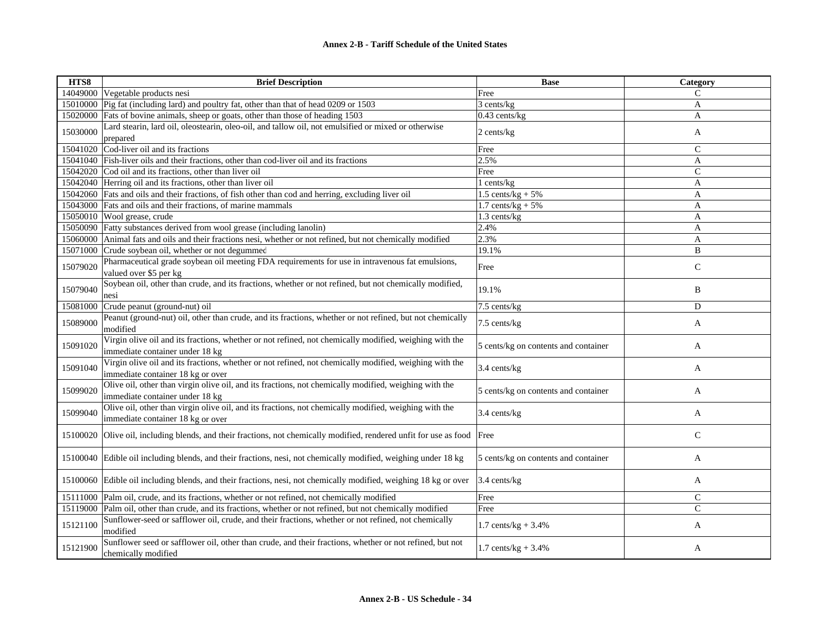| HTS8     | <b>Brief Description</b>                                                                                                                    | <b>Base</b>                          | Category       |
|----------|---------------------------------------------------------------------------------------------------------------------------------------------|--------------------------------------|----------------|
|          | 14049000 Vegetable products nesi                                                                                                            | Free                                 | $\mathsf{C}$   |
|          | 15010000 Pig fat (including lard) and poultry fat, other than that of head 0209 or 1503                                                     | 3 cents/kg                           | $\mathbf{A}$   |
|          | 15020000 Fats of bovine animals, sheep or goats, other than those of heading 1503                                                           | $0.43$ cents/kg                      | A              |
| 15030000 | Lard stearin, lard oil, oleostearin, oleo-oil, and tallow oil, not emulsified or mixed or otherwise<br>prepared                             | 2 cents/kg                           | A              |
|          | 15041020 Cod-liver oil and its fractions                                                                                                    | Free                                 | $\mathsf{C}$   |
|          | 15041040 Fish-liver oils and their fractions, other than cod-liver oil and its fractions                                                    | 2.5%                                 | A              |
|          | 15042020 Cod oil and its fractions, other than liver oil                                                                                    | Free                                 | $\mathsf{C}$   |
|          | 15042040 Herring oil and its fractions, other than liver oil                                                                                | l cents/kg                           | $\overline{A}$ |
|          | 15042060 Fats and oils and their fractions, of fish other than cod and herring, excluding liver oil                                         | 1.5 cents/ $kg + 5%$                 | $\mathbf{A}$   |
|          | 15043000 Fats and oils and their fractions, of marine mammals                                                                               | $1.7$ cents/kg + 5%                  | A              |
|          | 15050010 Wool grease, crude                                                                                                                 | 1.3 cents/kg                         | $\overline{A}$ |
|          | 15050090 Fatty substances derived from wool grease (including lanolin)                                                                      | 2.4%                                 | A              |
|          | 15060000 Animal fats and oils and their fractions nesi, whether or not refined, but not chemically modified                                 | 2.3%                                 | A              |
|          | 15071000 Crude soybean oil, whether or not degummed                                                                                         | 19.1%                                | B              |
| 15079020 | Pharmaceutical grade soybean oil meeting FDA requirements for use in intravenous fat emulsions,<br>valued over \$5 per kg                   | Free                                 | $\mathsf{C}$   |
| 15079040 | Soybean oil, other than crude, and its fractions, whether or not refined, but not chemically modified,<br>nesi                              | 19.1%                                | B              |
| 15081000 | Crude peanut (ground-nut) oil                                                                                                               | 7.5 cents/kg                         | D              |
| 15089000 | Peanut (ground-nut) oil, other than crude, and its fractions, whether or not refined, but not chemically<br>modified                        | 7.5 cents/kg                         | A              |
| 15091020 | Virgin olive oil and its fractions, whether or not refined, not chemically modified, weighing with the<br>immediate container under 18 kg   | 5 cents/kg on contents and container | A              |
| 15091040 | Virgin olive oil and its fractions, whether or not refined, not chemically modified, weighing with the<br>immediate container 18 kg or over | 3.4 cents/kg                         | A              |
| 15099020 | Olive oil, other than virgin olive oil, and its fractions, not chemically modified, weighing with the<br>immediate container under 18 kg    | 5 cents/kg on contents and container | A              |
| 15099040 | Olive oil, other than virgin olive oil, and its fractions, not chemically modified, weighing with the<br>immediate container 18 kg or over  | 3.4 cents/kg                         | A              |
| 15100020 | Olive oil, including blends, and their fractions, not chemically modified, rendered unfit for use as food Free                              |                                      | $\mathsf{C}$   |
|          | 15100040 Edible oil including blends, and their fractions, nesi, not chemically modified, weighing under 18 kg                              | 5 cents/kg on contents and container | A              |
|          | 15100060 Edible oil including blends, and their fractions, nesi, not chemically modified, weighing 18 kg or over                            | 3.4 cents/kg                         | A              |
|          | 15111000 Palm oil, crude, and its fractions, whether or not refined, not chemically modified                                                | Free                                 | $\mathsf{C}$   |
|          | 15119000 Palm oil, other than crude, and its fractions, whether or not refined, but not chemically modified                                 | Free                                 | $\mathsf{C}$   |
| 15121100 | Sunflower-seed or safflower oil, crude, and their fractions, whether or not refined, not chemically<br>modified                             | $1.7 \text{ cents/kg} + 3.4\%$       | A              |
| 15121900 | Sunflower seed or safflower oil, other than crude, and their fractions, whether or not refined, but not<br>chemically modified              | 1.7 cents/kg + $3.4%$                | A              |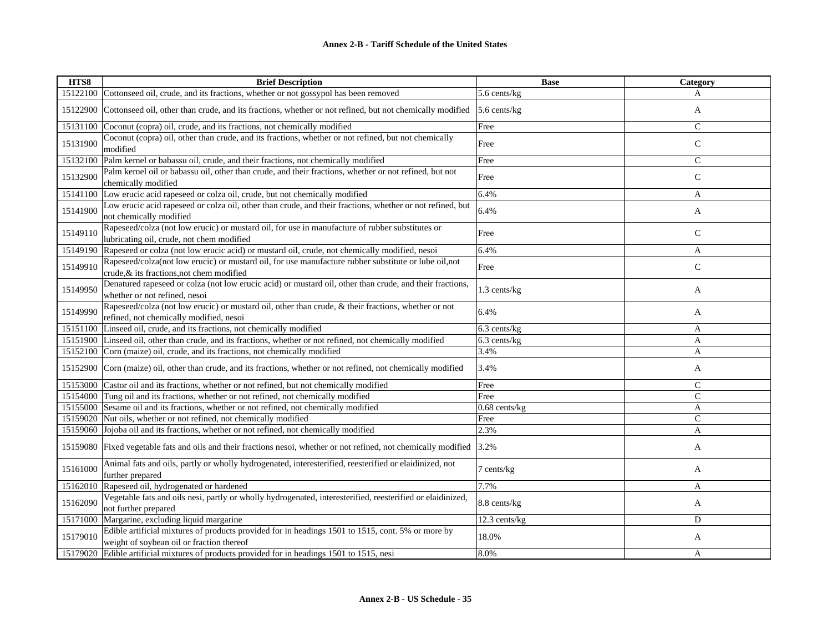| HTS8     | <b>Brief Description</b>                                                                                                                           | <b>Base</b>     | Category     |
|----------|----------------------------------------------------------------------------------------------------------------------------------------------------|-----------------|--------------|
|          | 15122100 Cottonseed oil, crude, and its fractions, whether or not gossypol has been removed                                                        | 5.6 cents/kg    | A            |
| 15122900 | Cottonseed oil, other than crude, and its fractions, whether or not refined, but not chemically modified                                           | 5.6 cents/kg    | A            |
|          | 15131100 Coconut (copra) oil, crude, and its fractions, not chemically modified                                                                    | Free            | $\mathsf{C}$ |
| 15131900 | Coconut (copra) oil, other than crude, and its fractions, whether or not refined, but not chemically<br>modified                                   | Free            | $\mathsf{C}$ |
|          | 15132100 Palm kernel or babassu oil, crude, and their fractions, not chemically modified                                                           | Free            | $\mathsf{C}$ |
| 15132900 | Palm kernel oil or babassu oil, other than crude, and their fractions, whether or not refined, but not<br>chemically modified                      | Free            | $\mathsf{C}$ |
| 15141100 | Low erucic acid rapeseed or colza oil, crude, but not chemically modified                                                                          | 6.4%            | A            |
| 15141900 | Low erucic acid rapeseed or colza oil, other than crude, and their fractions, whether or not refined, but<br>not chemically modified               | 6.4%            | A            |
| 15149110 | Rapeseed/colza (not low erucic) or mustard oil, for use in manufacture of rubber substitutes or<br>lubricating oil, crude, not chem modified       | Free            | $\mathsf{C}$ |
|          | 15149190 Rapeseed or colza (not low erucic acid) or mustard oil, crude, not chemically modified, nesoi                                             | 6.4%            | A            |
| 15149910 | Rapeseed/colza(not low erucic) or mustard oil, for use manufacture rubber substitute or lube oil, not<br>crude, & its fractions, not chem modified | Free            | $\mathsf{C}$ |
| 15149950 | Denatured rapeseed or colza (not low erucic acid) or mustard oil, other than crude, and their fractions,<br>whether or not refined, nesoi          | 1.3 cents/kg    | A            |
| 15149990 | Rapeseed/colza (not low erucic) or mustard oil, other than crude, & their fractions, whether or not<br>refined, not chemically modified, nesoi     | 6.4%            | A            |
|          | 15151100 Linseed oil, crude, and its fractions, not chemically modified                                                                            | 6.3 cents/kg    | A            |
|          | 15151900 Linseed oil, other than crude, and its fractions, whether or not refined, not chemically modified                                         | 6.3 cents/kg    | A            |
|          | 15152100 Corn (maize) oil, crude, and its fractions, not chemically modified                                                                       | 3.4%            | A            |
|          | 15152900 Corn (maize) oil, other than crude, and its fractions, whether or not refined, not chemically modified                                    | 3.4%            | A            |
|          | 15153000 Castor oil and its fractions, whether or not refined, but not chemically modified                                                         | Free            | $\mathsf{C}$ |
|          | 15154000 Tung oil and its fractions, whether or not refined, not chemically modified                                                               | Free            | $\mathsf{C}$ |
|          | 15155000 Sesame oil and its fractions, whether or not refined, not chemically modified                                                             | $0.68$ cents/kg | A            |
|          | 15159020 Nut oils, whether or not refined, not chemically modified                                                                                 | Free            | $\mathsf{C}$ |
|          | 15159060 Jojoba oil and its fractions, whether or not refined, not chemically modified                                                             | 2.3%            | A            |
|          | 15159080 Fixed vegetable fats and oils and their fractions nesoi, whether or not refined, not chemically modified                                  | 3.2%            | A            |
| 15161000 | Animal fats and oils, partly or wholly hydrogenated, interesterified, reesterified or elaidinized, not<br>further prepared                         | 7 cents/kg      | A            |
|          | 15162010 Rapeseed oil, hydrogenated or hardened                                                                                                    | 7.7%            | $\mathbf{A}$ |
| 15162090 | Vegetable fats and oils nesi, partly or wholly hydrogenated, interesterified, reesterified or elaidinized,<br>not further prepared                 | 8.8 cents/kg    | A            |
|          | 15171000 Margarine, excluding liquid margarine                                                                                                     | 12.3 cents/kg   | D            |
| 15179010 | Edible artificial mixtures of products provided for in headings 1501 to 1515, cont. 5% or more by<br>weight of soybean oil or fraction thereof     | 18.0%           | A            |
|          | 15179020 Edible artificial mixtures of products provided for in headings 1501 to 1515, nesi                                                        | 8.0%            | A            |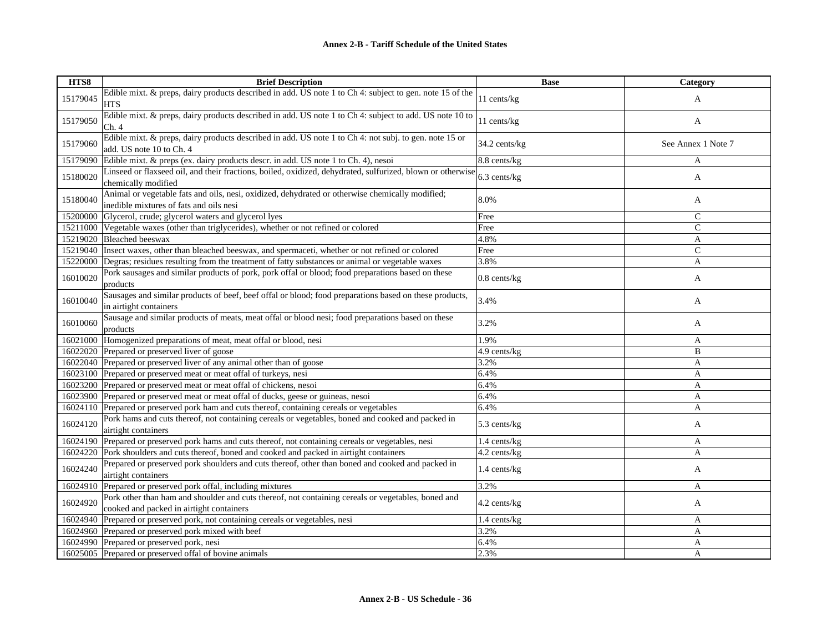| HTS8     | <b>Brief Description</b>                                                                                                                       | <b>Base</b>       | Category           |
|----------|------------------------------------------------------------------------------------------------------------------------------------------------|-------------------|--------------------|
| 15179045 | Edible mixt. & preps, dairy products described in add. US note 1 to Ch 4: subject to gen. note 15 of the<br><b>HTS</b>                         | 11 cents/kg       | A                  |
| 15179050 | Edible mixt. & preps, dairy products described in add. US note 1 to Ch 4: subject to add. US note 10 to<br>Ch. 4                               | 11 cents/kg       | A                  |
| 15179060 | Edible mixt. & preps, dairy products described in add. US note 1 to Ch 4: not subj. to gen. note 15 or<br>add. US note 10 to Ch. 4             | 34.2 cents/kg     | See Annex 1 Note 7 |
| 15179090 | Edible mixt. & preps (ex. dairy products descr. in add. US note 1 to Ch. 4), nesoi                                                             | 8.8 cents/kg      | A                  |
| 15180020 | Linseed or flaxseed oil, and their fractions, boiled, oxidized, dehydrated, sulfurized, blown or otherwise<br>chemically modified              | 6.3 cents/kg      | A                  |
| 15180040 | Animal or vegetable fats and oils, nesi, oxidized, dehydrated or otherwise chemically modified;<br>inedible mixtures of fats and oils nesi     | 8.0%              | A                  |
| 15200000 | Glycerol, crude; glycerol waters and glycerol lyes                                                                                             | Free              | $\mathsf{C}$       |
|          | 15211000 Vegetable waxes (other than triglycerides), whether or not refined or colored                                                         | Free              | $\mathsf{C}$       |
|          | 15219020 Bleached beeswax                                                                                                                      | 4.8%              | A                  |
| 15219040 | Insect waxes, other than bleached beeswax, and spermaceti, whether or not refined or colored                                                   | Free              | $\mathsf{C}$       |
|          | 15220000 Degras; residues resulting from the treatment of fatty substances or animal or vegetable waxes                                        | 3.8%              | A                  |
| 16010020 | Pork sausages and similar products of pork, pork offal or blood; food preparations based on these<br>products                                  | $0.8$ cents/ $kg$ | A                  |
| 16010040 | Sausages and similar products of beef, beef offal or blood; food preparations based on these products,<br>in airtight containers               | 3.4%              | A                  |
| 16010060 | Sausage and similar products of meats, meat offal or blood nesi; food preparations based on these<br>products                                  | 3.2%              | A                  |
| 16021000 | Homogenized preparations of meat, meat offal or blood, nesi                                                                                    | 1.9%              | A                  |
|          | 16022020 Prepared or preserved liver of goose                                                                                                  | 4.9 cents/kg      | B                  |
|          | 16022040 Prepared or preserved liver of any animal other than of goose                                                                         | 3.2%              | A                  |
| 16023100 | Prepared or preserved meat or meat offal of turkeys, nesi                                                                                      | 6.4%              | A                  |
|          | 16023200 Prepared or preserved meat or meat offal of chickens, nesoi                                                                           | 6.4%              | A                  |
|          | 16023900 Prepared or preserved meat or meat offal of ducks, geese or guineas, nesoi                                                            | 6.4%              | A                  |
|          | 16024110 Prepared or preserved pork ham and cuts thereof, containing cereals or vegetables                                                     | 6.4%              | A                  |
| 16024120 | Pork hams and cuts thereof, not containing cereals or vegetables, boned and cooked and packed in<br>airtight containers                        | 5.3 cents/kg      | A                  |
| 16024190 | Prepared or preserved pork hams and cuts thereof, not containing cereals or vegetables, nesi                                                   | 1.4 cents/kg      | A                  |
| 16024220 | Pork shoulders and cuts thereof, boned and cooked and packed in airtight containers                                                            | 4.2 cents/kg      | A                  |
| 16024240 | Prepared or preserved pork shoulders and cuts thereof, other than boned and cooked and packed in<br>airtight containers                        | 1.4 cents/kg      | A                  |
| 16024910 | Prepared or preserved pork offal, including mixtures                                                                                           | 3.2%              | A                  |
| 16024920 | Pork other than ham and shoulder and cuts thereof, not containing cereals or vegetables, boned and<br>cooked and packed in airtight containers | $4.2$ cents/ $kg$ | A                  |
|          | 16024940 Prepared or preserved pork, not containing cereals or vegetables, nesi                                                                | 1.4 cents/kg      | A                  |
|          | 16024960 Prepared or preserved pork mixed with beef                                                                                            | 3.2%              | A                  |
|          | 16024990 Prepared or preserved pork, nesi                                                                                                      | 6.4%              | A                  |
|          | 16025005 Prepared or preserved offal of bovine animals                                                                                         | 2.3%              | A                  |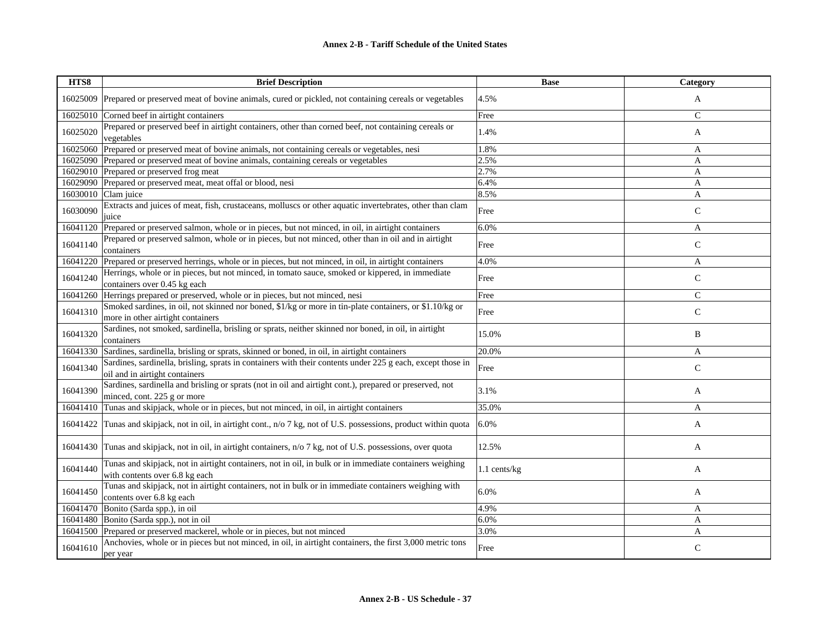| HTS8     | <b>Brief Description</b>                                                                                                                     | <b>Base</b>  | Category      |
|----------|----------------------------------------------------------------------------------------------------------------------------------------------|--------------|---------------|
| 16025009 | Prepared or preserved meat of bovine animals, cured or pickled, not containing cereals or vegetables                                         | 4.5%         | A             |
| 16025010 | Corned beef in airtight containers                                                                                                           | Free         | $\mathsf{C}$  |
| 16025020 | Prepared or preserved beef in airtight containers, other than corned beef, not containing cereals or<br>vegetables                           | 1.4%         | A             |
| 16025060 | Prepared or preserved meat of bovine animals, not containing cereals or vegetables, nesi                                                     | 1.8%         | A             |
| 16025090 | Prepared or preserved meat of bovine animals, containing cereals or vegetables                                                               | 2.5%         | A             |
| 16029010 | Prepared or preserved frog meat                                                                                                              | 2.7%         | A             |
| 16029090 | Prepared or preserved meat, meat offal or blood, nesi                                                                                        | 6.4%         | A             |
| 16030010 | Clam juice                                                                                                                                   | 8.5%         | A             |
| 16030090 | Extracts and juices of meat, fish, crustaceans, molluscs or other aquatic invertebrates, other than clam<br>juice                            | Free         | $\mathsf{C}$  |
| 16041120 | Prepared or preserved salmon, whole or in pieces, but not minced, in oil, in airtight containers                                             | 6.0%         | A             |
| 16041140 | Prepared or preserved salmon, whole or in pieces, but not minced, other than in oil and in airtight<br>containers                            | Free         | $\mathsf C$   |
| 16041220 | Prepared or preserved herrings, whole or in pieces, but not minced, in oil, in airtight containers                                           | 4.0%         | A             |
| 16041240 | Herrings, whole or in pieces, but not minced, in tomato sauce, smoked or kippered, in immediate<br>containers over 0.45 kg each              | Free         | $\mathsf{C}$  |
| 16041260 | Herrings prepared or preserved, whole or in pieces, but not minced, nesi                                                                     | Free         | $\mathcal{C}$ |
| 16041310 | Smoked sardines, in oil, not skinned nor boned, \$1/kg or more in tin-plate containers, or \$1.10/kg or<br>more in other airtight containers | Free         | $\mathsf{C}$  |
| 16041320 | Sardines, not smoked, sardinella, brisling or sprats, neither skinned nor boned, in oil, in airtight<br>containers                           | 15.0%        | B             |
| 16041330 | Sardines, sardinella, brisling or sprats, skinned or boned, in oil, in airtight containers                                                   | 20.0%        | A             |
| 16041340 | Sardines, sardinella, brisling, sprats in containers with their contents under 225 g each, except those in<br>oil and in airtight containers | Free         | $\mathsf{C}$  |
| 16041390 | Sardines, sardinella and brisling or sprats (not in oil and airtight cont.), prepared or preserved, not<br>minced, cont. 225 g or more       | 3.1%         | A             |
| 16041410 | Tunas and skipjack, whole or in pieces, but not minced, in oil, in airtight containers                                                       | 35.0%        | A             |
| 16041422 | Tunas and skipjack, not in oil, in airtight cont., n/o 7 kg, not of U.S. possessions, product within quota                                   | 6.0%         | A             |
| 16041430 | Tunas and skipjack, not in oil, in airtight containers, n/o 7 kg, not of U.S. possessions, over quota                                        | 12.5%        | A             |
| 16041440 | Tunas and skipjack, not in airtight containers, not in oil, in bulk or in immediate containers weighing<br>with contents over 6.8 kg each    | 1.1 cents/kg | A             |
| 16041450 | Tunas and skipjack, not in airtight containers, not in bulk or in immediate containers weighing with<br>contents over 6.8 kg each            | 6.0%         | A             |
| 16041470 | Bonito (Sarda spp.), in oil                                                                                                                  | 4.9%         | A             |
| 16041480 | Bonito (Sarda spp.), not in oil                                                                                                              | 6.0%         | A             |
| 16041500 | Prepared or preserved mackerel, whole or in pieces, but not minced                                                                           | 3.0%         | A             |
| 16041610 | Anchovies, whole or in pieces but not minced, in oil, in airtight containers, the first 3,000 metric tons<br>per year                        | Free         | $\mathsf{C}$  |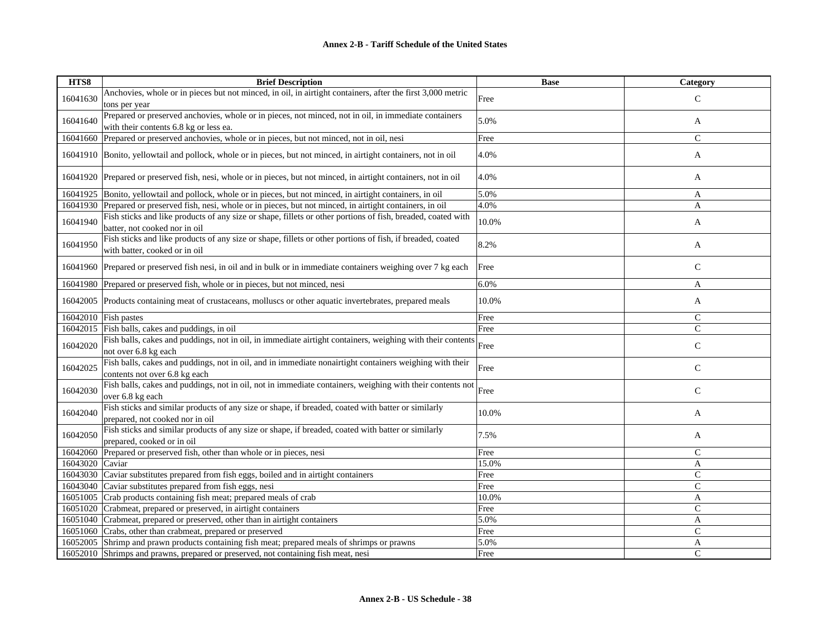| HTS8     | <b>Brief Description</b>                                                                                                                     | <b>Base</b> | Category      |
|----------|----------------------------------------------------------------------------------------------------------------------------------------------|-------------|---------------|
| 16041630 | Anchovies, whole or in pieces but not minced, in oil, in airtight containers, after the first 3,000 metric                                   | Free        | $\mathsf{C}$  |
|          | tons per year                                                                                                                                |             |               |
| 16041640 | Prepared or preserved anchovies, whole or in pieces, not minced, not in oil, in immediate containers                                         | 5.0%        | A             |
|          | with their contents 6.8 kg or less ea.                                                                                                       |             |               |
| 16041660 | Prepared or preserved anchovies, whole or in pieces, but not minced, not in oil, nesi                                                        | Free        | $\mathbf C$   |
| 16041910 | Bonito, yellowtail and pollock, whole or in pieces, but not minced, in airtight containers, not in oil                                       | 4.0%        | A             |
|          | 16041920 Prepared or preserved fish, nesi, whole or in pieces, but not minced, in airtight containers, not in oil                            | 4.0%        | A             |
| 16041925 | Bonito, yellowtail and pollock, whole or in pieces, but not minced, in airtight containers, in oil                                           | 5.0%        | A             |
| 16041930 | Prepared or preserved fish, nesi, whole or in pieces, but not minced, in airtight containers, in oil                                         | 4.0%        | A             |
| 16041940 | Fish sticks and like products of any size or shape, fillets or other portions of fish, breaded, coated with<br>batter, not cooked nor in oil | 10.0%       | A             |
| 16041950 | Fish sticks and like products of any size or shape, fillets or other portions of fish, if breaded, coated<br>with batter, cooked or in oil   | 8.2%        | A             |
|          | 16041960 Prepared or preserved fish nesi, in oil and in bulk or in immediate containers weighing over 7 kg each                              | Free        | $\mathsf{C}$  |
| 16041980 | Prepared or preserved fish, whole or in pieces, but not minced, nesi                                                                         | 6.0%        | A             |
| 16042005 | Products containing meat of crustaceans, molluscs or other aquatic invertebrates, prepared meals                                             | 10.0%       | A             |
| 16042010 | Fish pastes                                                                                                                                  | Free        | $\mathcal{C}$ |
| 16042015 | Fish balls, cakes and puddings, in oil                                                                                                       | Free        | $\mathsf{C}$  |
| 16042020 | Fish balls, cakes and puddings, not in oil, in immediate airtight containers, weighing with their contents<br>not over 6.8 kg each           | Free        | $\mathbf C$   |
| 16042025 | Fish balls, cakes and puddings, not in oil, and in immediate nonairtight containers weighing with their<br>contents not over 6.8 kg each     | Free        | $\mathsf{C}$  |
| 16042030 | Fish balls, cakes and puddings, not in oil, not in immediate containers, weighing with their contents not<br>over 6.8 kg each                | Free        | $\mathbf C$   |
| 16042040 | Fish sticks and similar products of any size or shape, if breaded, coated with batter or similarly<br>prepared, not cooked nor in oil        | 10.0%       | A             |
| 16042050 | Fish sticks and similar products of any size or shape, if breaded, coated with batter or similarly<br>prepared, cooked or in oil             | 7.5%        | A             |
| 16042060 | Prepared or preserved fish, other than whole or in pieces, nesi                                                                              | Free        | $\mathsf{C}$  |
| 16043020 | Caviar                                                                                                                                       | 15.0%       | A             |
| 16043030 | Caviar substitutes prepared from fish eggs, boiled and in airtight containers                                                                | Free        | $\mathsf{C}$  |
| 16043040 | Caviar substitutes prepared from fish eggs, nesi                                                                                             | Free        | $\mathcal{C}$ |
| 16051005 | Crab products containing fish meat; prepared meals of crab                                                                                   | 10.0%       | A             |
| 16051020 | Crabmeat, prepared or preserved, in airtight containers                                                                                      | Free        | $\mathsf{C}$  |
| 16051040 | Crabmeat, prepared or preserved, other than in airtight containers                                                                           | 5.0%        | A             |
| 16051060 | Crabs, other than crabmeat, prepared or preserved                                                                                            | Free        | $\mathsf{C}$  |
| 16052005 | Shrimp and prawn products containing fish meat; prepared meals of shrimps or prawns                                                          | 5.0%        | A             |
| 16052010 | Shrimps and prawns, prepared or preserved, not containing fish meat, nesi                                                                    | Free        | $\mathcal{C}$ |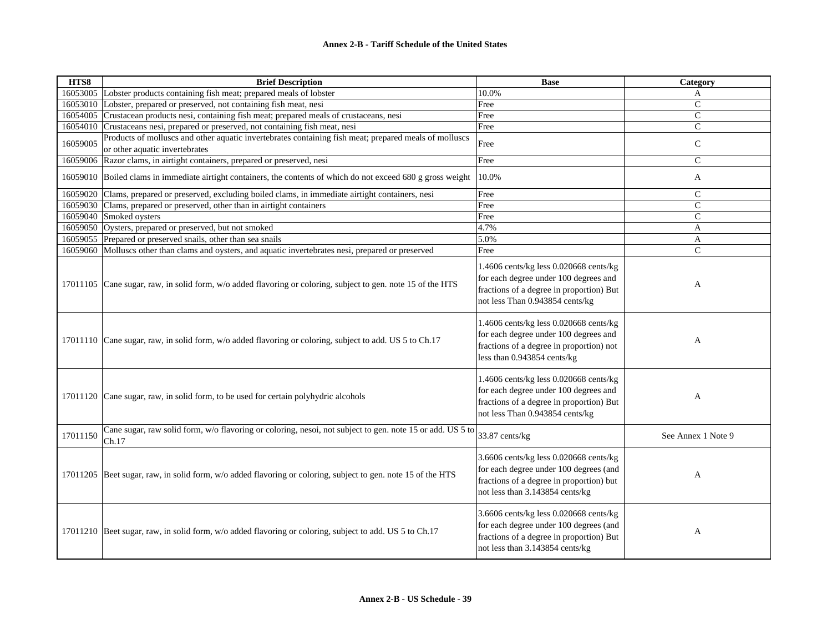| HTS8     | <b>Brief Description</b>                                                                                                                | <b>Base</b>                                                                                                                                                     | Category           |
|----------|-----------------------------------------------------------------------------------------------------------------------------------------|-----------------------------------------------------------------------------------------------------------------------------------------------------------------|--------------------|
|          | 16053005 Lobster products containing fish meat; prepared meals of lobster                                                               | 10.0%                                                                                                                                                           | A                  |
|          | 16053010 Lobster, prepared or preserved, not containing fish meat, nesi                                                                 | Free                                                                                                                                                            | $\mathbf{C}$       |
|          | 16054005 Crustacean products nesi, containing fish meat; prepared meals of crustaceans, nesi                                            | Free                                                                                                                                                            | $\mathsf{C}$       |
|          | 16054010 Crustaceans nesi, prepared or preserved, not containing fish meat, nesi                                                        | Free                                                                                                                                                            | $\mathbf C$        |
| 16059005 | Products of molluscs and other aquatic invertebrates containing fish meat; prepared meals of molluscs<br>or other aquatic invertebrates | Free                                                                                                                                                            | $\mathbf C$        |
|          | 16059006 Razor clams, in airtight containers, prepared or preserved, nesi                                                               | Free                                                                                                                                                            | $\mathbf{C}$       |
|          | 16059010 Boiled clams in immediate airtight containers, the contents of which do not exceed 680 g gross weight                          | 10.0%                                                                                                                                                           | A                  |
|          | 16059020 Clams, prepared or preserved, excluding boiled clams, in immediate airtight containers, nesi                                   | Free                                                                                                                                                            | $\mathsf{C}$       |
|          | 16059030 Clams, prepared or preserved, other than in airtight containers                                                                | Free                                                                                                                                                            | $\mathcal{C}$      |
|          | 16059040 Smoked oysters                                                                                                                 | Free                                                                                                                                                            | $\mathsf{C}$       |
|          | 16059050 Oysters, prepared or preserved, but not smoked                                                                                 | 4.7%                                                                                                                                                            | A                  |
| 16059055 | Prepared or preserved snails, other than sea snails                                                                                     | 5.0%                                                                                                                                                            | A                  |
|          | 16059060 Molluscs other than clams and oysters, and aquatic invertebrates nesi, prepared or preserved                                   | Free                                                                                                                                                            | $\mathsf{C}$       |
| 17011105 | Cane sugar, raw, in solid form, w/o added flavoring or coloring, subject to gen. note 15 of the HTS                                     | 1.4606 cents/kg less 0.020668 cents/kg<br>for each degree under 100 degrees and<br>fractions of a degree in proportion) But<br>not less Than 0.943854 cents/kg  | A                  |
|          | 17011110 Cane sugar, raw, in solid form, w/o added flavoring or coloring, subject to add. US 5 to Ch.17                                 | 1.4606 cents/kg less 0.020668 cents/kg<br>for each degree under 100 degrees and<br>fractions of a degree in proportion) not<br>less than 0.943854 cents/kg      | A                  |
|          | 17011120 Cane sugar, raw, in solid form, to be used for certain polyhydric alcohols                                                     | 1.4606 cents/kg less 0.020668 cents/kg<br>for each degree under 100 degrees and<br>fractions of a degree in proportion) But<br>not less Than 0.943854 cents/kg  | A                  |
| 17011150 | Cane sugar, raw solid form, w/o flavoring or coloring, nesoi, not subject to gen. note 15 or add. US 5 to<br>Ch.17                      | 33.87 cents/kg                                                                                                                                                  | See Annex 1 Note 9 |
|          | 17011205 Beet sugar, raw, in solid form, w/o added flavoring or coloring, subject to gen. note 15 of the HTS                            | 3.6606 cents/kg less 0.020668 cents/kg<br>for each degree under 100 degrees (and<br>fractions of a degree in proportion) but<br>not less than 3.143854 cents/kg | A                  |
|          | 17011210 Beet sugar, raw, in solid form, w/o added flavoring or coloring, subject to add. US 5 to Ch.17                                 | 3.6606 cents/kg less 0.020668 cents/kg<br>for each degree under 100 degrees (and<br>fractions of a degree in proportion) But<br>not less than 3.143854 cents/kg | A                  |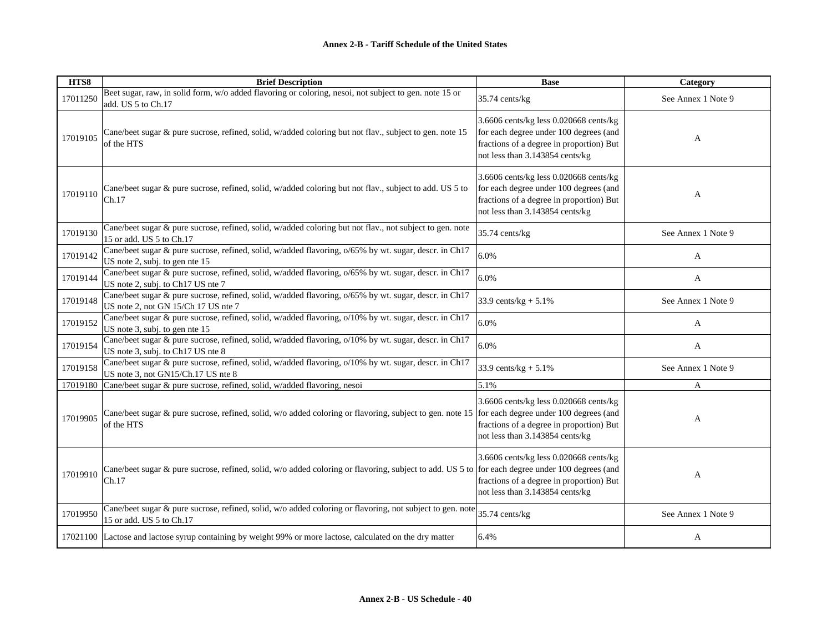| HTS8     | <b>Brief Description</b>                                                                                                                                 | <b>Base</b>                                                                                                                                                     | Category           |
|----------|----------------------------------------------------------------------------------------------------------------------------------------------------------|-----------------------------------------------------------------------------------------------------------------------------------------------------------------|--------------------|
| 17011250 | Beet sugar, raw, in solid form, w/o added flavoring or coloring, nesoi, not subject to gen. note 15 or<br>add. US 5 to Ch.17                             | 35.74 cents/kg                                                                                                                                                  | See Annex 1 Note 9 |
| 17019105 | Cane/beet sugar & pure sucrose, refined, solid, w/added coloring but not flav., subject to gen. note 15<br>of the HTS                                    | 3.6606 cents/kg less 0.020668 cents/kg<br>for each degree under 100 degrees (and<br>fractions of a degree in proportion) But<br>not less than 3.143854 cents/kg | A                  |
| 17019110 | Cane/beet sugar & pure sucrose, refined, solid, w/added coloring but not flav., subject to add. US 5 to<br>Ch.17                                         | 3.6606 cents/kg less 0.020668 cents/kg<br>for each degree under 100 degrees (and<br>fractions of a degree in proportion) But<br>not less than 3.143854 cents/kg | A                  |
| 17019130 | Cane/beet sugar & pure sucrose, refined, solid, w/added coloring but not flav., not subject to gen. note<br>15 or add. US 5 to Ch.17                     | 35.74 cents/kg                                                                                                                                                  | See Annex 1 Note 9 |
| 17019142 | Cane/beet sugar & pure sucrose, refined, solid, w/added flavoring, o/65% by wt. sugar, descr. in Ch17<br>US note 2, subj. to gen nte 15                  | 6.0%                                                                                                                                                            | A                  |
| 17019144 | Cane/beet sugar & pure sucrose, refined, solid, w/added flavoring, o/65% by wt. sugar, descr. in Ch17<br>US note 2, subj. to Ch17 US nte 7               | 6.0%                                                                                                                                                            | A                  |
| 17019148 | Cane/beet sugar & pure sucrose, refined, solid, w/added flavoring, o/65% by wt. sugar, descr. in Ch17<br>US note 2, not GN 15/Ch 17 US nte 7             | 33.9 cents/ $kg + 5.1%$                                                                                                                                         | See Annex 1 Note 9 |
| 17019152 | Cane/beet sugar & pure sucrose, refined, solid, w/added flavoring, o/10% by wt. sugar, descr. in Ch17<br>US note 3, subj. to gen nte 15                  | 6.0%                                                                                                                                                            | A                  |
| 17019154 | Cane/beet sugar & pure sucrose, refined, solid, w/added flavoring, o/10% by wt. sugar, descr. in Ch17<br>US note 3, subj. to Ch17 US nte 8               | 6.0%                                                                                                                                                            | A                  |
| 17019158 | Cane/beet sugar & pure sucrose, refined, solid, w/added flavoring, o/10% by wt. sugar, descr. in Ch17<br>US note 3, not GN15/Ch.17 US nte 8              | 33.9 cents/ $kg + 5.1\%$                                                                                                                                        | See Annex 1 Note 9 |
| 17019180 | Cane/beet sugar & pure sucrose, refined, solid, w/added flavoring, nesoi                                                                                 | 5.1%                                                                                                                                                            | A                  |
| 17019905 | Cane/beet sugar & pure sucrose, refined, solid, w/o added coloring or flavoring, subject to gen. note 15<br>of the HTS                                   | 3.6606 cents/kg less 0.020668 cents/kg<br>for each degree under 100 degrees (and<br>fractions of a degree in proportion) But<br>not less than 3.143854 cents/kg | A                  |
| 17019910 | Cane/beet sugar & pure sucrose, refined, solid, w/o added coloring or flavoring, subject to add. US 5 to for each degree under 100 degrees (and<br>Ch.17 | 3.6606 cents/kg less 0.020668 cents/kg<br>fractions of a degree in proportion) But<br>not less than 3.143854 cents/kg                                           | A                  |
| 17019950 | Cane/beet sugar & pure sucrose, refined, solid, w/o added coloring or flavoring, not subject to gen. note<br>15 or add. US 5 to Ch.17                    | 35.74 cents/kg                                                                                                                                                  | See Annex 1 Note 9 |
|          | 17021100 Lactose and lactose syrup containing by weight 99% or more lactose, calculated on the dry matter                                                | 6.4%                                                                                                                                                            | A                  |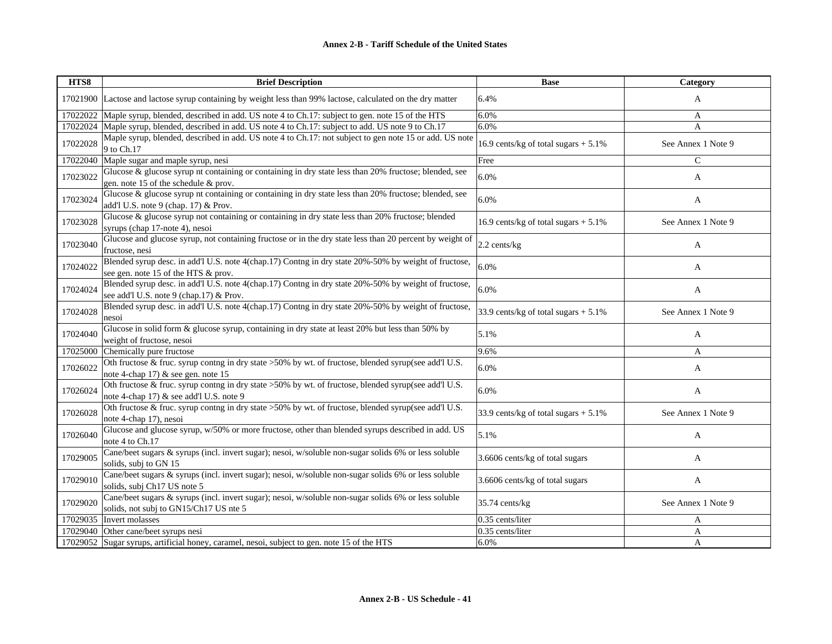| HTS8     | <b>Brief Description</b>                                                                                                                        | <b>Base</b>                             | Category           |
|----------|-------------------------------------------------------------------------------------------------------------------------------------------------|-----------------------------------------|--------------------|
|          | 17021900 Lactose and lactose syrup containing by weight less than 99% lactose, calculated on the dry matter                                     | 6.4%                                    | A                  |
| 17022022 | Maple syrup, blended, described in add. US note 4 to Ch.17: subject to gen. note 15 of the HTS                                                  | 6.0%                                    | A                  |
| 17022024 | Maple syrup, blended, described in add. US note 4 to Ch.17: subject to add. US note 9 to Ch.17                                                  | 6.0%                                    | A                  |
| 17022028 | Maple syrup, blended, described in add. US note 4 to Ch.17: not subject to gen note 15 or add. US note<br>9 to Ch.17                            | 16.9 cents/kg of total sugars $+5.1\%$  | See Annex 1 Note 9 |
| 17022040 | Maple sugar and maple syrup, nesi                                                                                                               | Free                                    | $\mathcal{C}$      |
| 17023022 | Glucose & glucose syrup nt containing or containing in dry state less than 20% fructose; blended, see<br>gen. note 15 of the schedule & prov.   | 6.0%                                    | A                  |
| 17023024 | Glucose & glucose syrup nt containing or containing in dry state less than 20% fructose; blended, see<br>add'l U.S. note 9 (chap. 17) & Prov.   | 6.0%                                    | A                  |
| 17023028 | Glucose & glucose syrup not containing or containing in dry state less than 20% fructose; blended<br>syrups (chap 17-note 4), nesoi             | 16.9 cents/kg of total sugars $+ 5.1\%$ | See Annex 1 Note 9 |
| 17023040 | Glucose and glucose syrup, not containing fructose or in the dry state less than 20 percent by weight of<br>fructose, nesi                      | 2.2 cents/kg                            | A                  |
| 17024022 | Blended syrup desc. in add'l U.S. note 4(chap.17) Contng in dry state 20%-50% by weight of fructose,<br>see gen. note 15 of the HTS & prov.     | 6.0%                                    | A                  |
| 17024024 | Blended syrup desc. in add'l U.S. note 4(chap.17) Contng in dry state 20%-50% by weight of fructose,<br>see add'l U.S. note 9 (chap.17) & Prov. | 6.0%                                    | A                  |
| 17024028 | Blended syrup desc. in add'l U.S. note 4(chap.17) Contng in dry state 20%-50% by weight of fructose,<br>nesoi                                   | 33.9 cents/kg of total sugars $+ 5.1\%$ | See Annex 1 Note 9 |
| 17024040 | Glucose in solid form & glucose syrup, containing in dry state at least 20% but less than 50% by<br>weight of fructose, nesoi                   | 5.1%                                    | A                  |
| 17025000 | Chemically pure fructose                                                                                                                        | 9.6%                                    | A                  |
| 17026022 | Oth fructose & fruc. syrup contng in dry state >50% by wt. of fructose, blended syrup(see add'l U.S.<br>note 4-chap 17) & see gen. note 15      | 6.0%                                    | A                  |
| 17026024 | Oth fructose & fruc. syrup contng in dry state >50% by wt. of fructose, blended syrup(see add'l U.S.<br>note 4-chap 17) & see add'l U.S. note 9 | 6.0%                                    | A                  |
| 17026028 | Oth fructose & fruc. syrup contng in dry state >50% by wt. of fructose, blended syrup(see add'l U.S.<br>note 4-chap 17), nesoi                  | 33.9 cents/kg of total sugars $+ 5.1\%$ | See Annex 1 Note 9 |
| 17026040 | Glucose and glucose syrup, w/50% or more fructose, other than blended syrups described in add. US<br>note 4 to Ch.17                            | 5.1%                                    | A                  |
| 17029005 | Cane/beet sugars & syrups (incl. invert sugar); nesoi, w/soluble non-sugar solids 6% or less soluble<br>solids, subj to GN 15                   | 3.6606 cents/kg of total sugars         | A                  |
| 17029010 | Cane/beet sugars & syrups (incl. invert sugar); nesoi, w/soluble non-sugar solids 6% or less soluble<br>solids, subj Ch17 US note 5             | 3.6606 cents/kg of total sugars         | A                  |
| 17029020 | Cane/beet sugars & syrups (incl. invert sugar); nesoi, w/soluble non-sugar solids 6% or less soluble<br>solids, not subj to GN15/Ch17 US nte 5  | 35.74 cents/kg                          | See Annex 1 Note 9 |
| 17029035 | Invert molasses                                                                                                                                 | 0.35 cents/liter                        | A                  |
| 17029040 | Other cane/beet syrups nesi                                                                                                                     | 0.35 cents/liter                        | A                  |
| 17029052 | Sugar syrups, artificial honey, caramel, nesoi, subject to gen. note 15 of the HTS                                                              | 6.0%                                    | A                  |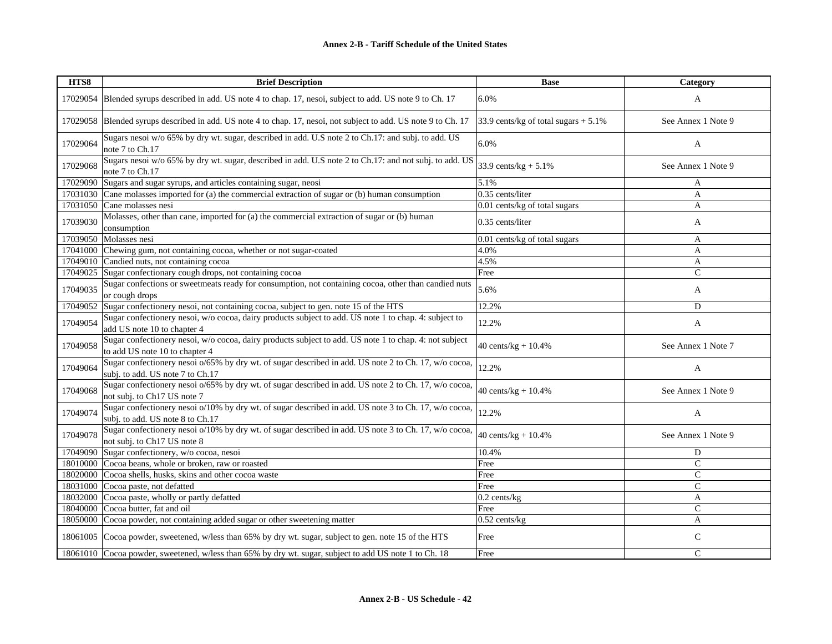| HTS8     | <b>Brief Description</b>                                                                                                                  | <b>Base</b>                             | Category           |
|----------|-------------------------------------------------------------------------------------------------------------------------------------------|-----------------------------------------|--------------------|
| 17029054 | Blended syrups described in add. US note 4 to chap. 17, nesoi, subject to add. US note 9 to Ch. 17                                        | 6.0%                                    | A                  |
|          | 17029058 Blended syrups described in add. US note 4 to chap. 17, nesoi, not subject to add. US note 9 to Ch. 17                           | 33.9 cents/kg of total sugars $+ 5.1\%$ | See Annex 1 Note 9 |
| 17029064 | Sugars nesoi w/o 65% by dry wt. sugar, described in add. U.S note 2 to Ch.17: and subj. to add. US<br>note 7 to Ch.17                     | 6.0%                                    | A                  |
| 17029068 | Sugars nesoi w/o 65% by dry wt. sugar, described in add. U.S note 2 to Ch.17: and not subj. to add. US<br>note 7 to Ch.17                 | 33.9 cents/ $kg + 5.1\%$                | See Annex 1 Note 9 |
|          | 17029090 Sugars and sugar syrups, and articles containing sugar, neosi                                                                    | 5.1%                                    | A                  |
|          | 17031030 Cane molasses imported for (a) the commercial extraction of sugar or (b) human consumption                                       | 0.35 cents/liter                        | A                  |
|          | 17031050 Cane molasses nesi                                                                                                               | 0.01 cents/kg of total sugars           | A                  |
| 17039030 | Molasses, other than cane, imported for (a) the commercial extraction of sugar or (b) human<br>consumption                                | 0.35 cents/liter                        | A                  |
|          | 17039050 Molasses nesi                                                                                                                    | 0.01 cents/kg of total sugars           | A                  |
|          | 17041000 Chewing gum, not containing cocoa, whether or not sugar-coated                                                                   | 4.0%                                    | A                  |
|          | 17049010 Candied nuts, not containing cocoa                                                                                               | 4.5%                                    | A                  |
| 17049025 | Sugar confectionary cough drops, not containing cocoa                                                                                     | Free                                    | $\mathsf{C}$       |
| 17049035 | Sugar confections or sweetmeats ready for consumption, not containing cocoa, other than candied nuts<br>or cough drops                    | 5.6%                                    | A                  |
| 17049052 | Sugar confectionery nesoi, not containing cocoa, subject to gen. note 15 of the HTS                                                       | 12.2%                                   | D                  |
| 17049054 | Sugar confectionery nesoi, w/o cocoa, dairy products subject to add. US note 1 to chap. 4: subject to<br>add US note 10 to chapter 4      | 12.2%                                   | A                  |
| 17049058 | Sugar confectionery nesoi, w/o cocoa, dairy products subject to add. US note 1 to chap. 4: not subject<br>to add US note 10 to chapter 4  | 40 cents/ $kg + 10.4%$                  | See Annex 1 Note 7 |
| 17049064 | Sugar confectionery nesoi o/65% by dry wt. of sugar described in add. US note 2 to Ch. 17, w/o cocoa,<br>subj. to add. US note 7 to Ch.17 | 12.2%                                   | A                  |
| 17049068 | Sugar confectionery nesoi o/65% by dry wt. of sugar described in add. US note 2 to Ch. 17, w/o cocoa,<br>not subj. to Ch17 US note 7      | 40 cents/ $kg + 10.4%$                  | See Annex 1 Note 9 |
| 17049074 | Sugar confectionery nesoi o/10% by dry wt. of sugar described in add. US note 3 to Ch. 17, w/o cocoa,<br>subj. to add. US note 8 to Ch.17 | 12.2%                                   | A                  |
| 17049078 | Sugar confectionery nesoi o/10% by dry wt. of sugar described in add. US note 3 to Ch. 17, w/o cocoa,<br>not subj. to Ch17 US note 8      | 40 cents/ $kg + 10.4%$                  | See Annex 1 Note 9 |
|          | 17049090 Sugar confectionery, w/o cocoa, nesoi                                                                                            | 10.4%                                   | D                  |
|          | 18010000 Cocoa beans, whole or broken, raw or roasted                                                                                     | Free                                    | $\mathcal{C}$      |
|          | 18020000 Cocoa shells, husks, skins and other cocoa waste                                                                                 | Free                                    | $\mathsf{C}$       |
|          | 18031000 Cocoa paste, not defatted                                                                                                        | Free                                    | $\mathcal{C}$      |
|          | 18032000 Cocoa paste, wholly or partly defatted                                                                                           | $0.2$ cents/kg                          | A                  |
|          | 18040000 Cocoa butter, fat and oil                                                                                                        | Free                                    | $\mathcal{C}$      |
|          | 18050000 Cocoa powder, not containing added sugar or other sweetening matter                                                              | $0.52$ cents/kg                         | A                  |
|          | 18061005 Cocoa powder, sweetened, w/less than 65% by dry wt. sugar, subject to gen. note 15 of the HTS                                    | Free                                    | C                  |
|          | 18061010 Cocoa powder, sweetened, w/less than 65% by dry wt. sugar, subject to add US note 1 to Ch. 18                                    | Free                                    | $\mathcal{C}$      |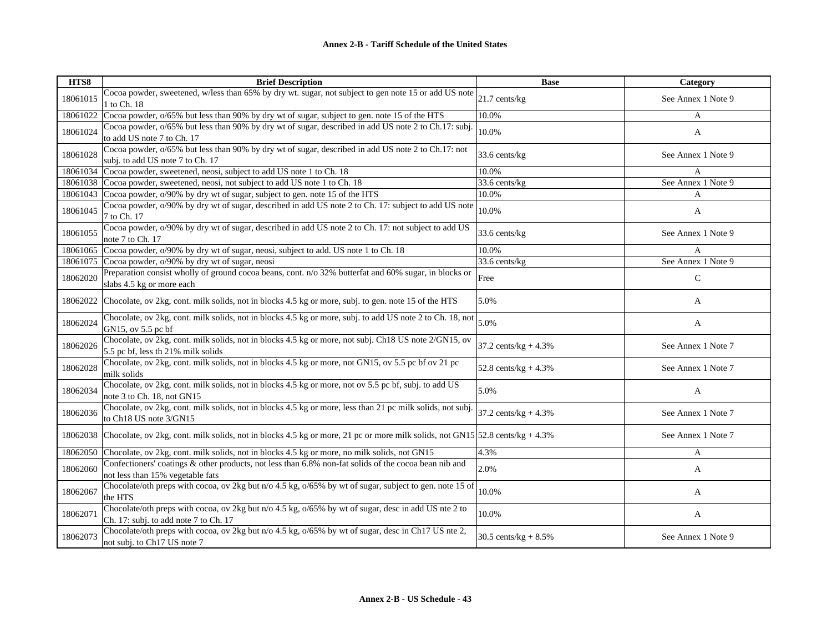| HTS8     | <b>Brief Description</b>                                                                                                                           | <b>Base</b>             | Category           |
|----------|----------------------------------------------------------------------------------------------------------------------------------------------------|-------------------------|--------------------|
| 18061015 | Cocoa powder, sweetened, w/less than 65% by dry wt. sugar, not subject to gen note 15 or add US note<br>1 to Ch. 18                                | 21.7 cents/kg           | See Annex 1 Note 9 |
| 18061022 | Cocoa powder, o/65% but less than 90% by dry wt of sugar, subject to gen. note 15 of the HTS                                                       | 10.0%                   | A                  |
| 18061024 | Cocoa powder, o/65% but less than 90% by dry wt of sugar, described in add US note 2 to Ch.17: subj.<br>to add US note 7 to Ch. 17                 | 10.0%                   | A                  |
| 18061028 | Cocoa powder, o/65% but less than 90% by dry wt of sugar, described in add US note 2 to Ch.17: not<br>subj. to add US note 7 to Ch. 17             | 33.6 cents/kg           | See Annex 1 Note 9 |
|          | 18061034 Cocoa powder, sweetened, neosi, subject to add US note 1 to Ch. 18                                                                        | 10.0%                   | A                  |
|          | 18061038 Cocoa powder, sweetened, neosi, not subject to add US note 1 to Ch. 18                                                                    | 33.6 cents/kg           | See Annex 1 Note 9 |
|          | 18061043 Cocoa powder, o/90% by dry wt of sugar, subject to gen. note 15 of the HTS                                                                | 10.0%                   | A                  |
| 18061045 | Cocoa powder, o/90% by dry wt of sugar, described in add US note 2 to Ch. 17: subject to add US note<br>7 to Ch. 17                                | 10.0%                   | A                  |
| 18061055 | Cocoa powder, o/90% by dry wt of sugar, described in add US note 2 to Ch. 17: not subject to add US<br>note 7 to Ch. 17                            | 33.6 cents/kg           | See Annex 1 Note 9 |
| 18061065 | Cocoa powder, o/90% by dry wt of sugar, neosi, subject to add. US note 1 to Ch. 18                                                                 | 10.0%                   | A                  |
| 18061075 | Cocoa powder, o/90% by dry wt of sugar, neosi                                                                                                      | 33.6 cents/kg           | See Annex 1 Note 9 |
| 18062020 | Preparation consist wholly of ground cocoa beans, cont. n/o 32% butterfat and 60% sugar, in blocks or<br>slabs 4.5 kg or more each                 | Free                    | ${\bf C}$          |
| 18062022 | Chocolate, ov 2kg, cont. milk solids, not in blocks 4.5 kg or more, subj. to gen. note 15 of the HTS                                               | 5.0%                    | A                  |
| 18062024 | Chocolate, ov 2kg, cont. milk solids, not in blocks 4.5 kg or more, subj. to add US note 2 to Ch. 18, not<br>GN15, ov 5.5 pc bf                    | 5.0%                    | A                  |
| 18062026 | Chocolate, ov 2kg, cont. milk solids, not in blocks 4.5 kg or more, not subj. Ch18 US note 2/GN15, ov<br>5.5 pc bf, less th 21% milk solids        | 37.2 cents/ $kg + 4.3%$ | See Annex 1 Note 7 |
| 18062028 | Chocolate, ov 2kg, cont. milk solids, not in blocks 4.5 kg or more, not GN15, ov 5.5 pc bf ov 21 pc<br>milk solids                                 | 52.8 cents/ $kg + 4.3%$ | See Annex 1 Note 7 |
| 18062034 | Chocolate, ov 2kg, cont. milk solids, not in blocks 4.5 kg or more, not ov 5.5 pc bf, subj. to add US<br>note 3 to Ch. 18, not GN15                | 5.0%                    | $\mathbf{A}$       |
| 18062036 | Chocolate, ov 2kg, cont. milk solids, not in blocks 4.5 kg or more, less than 21 pc milk solids, not subj.<br>to Ch18 US note 3/GN15               | 37.2 cents/ $kg + 4.3%$ | See Annex 1 Note 7 |
|          | 18062038 Chocolate, ov 2kg, cont. milk solids, not in blocks 4.5 kg or more, 21 pc or more milk solids, not GN15 52.8 cents/kg + 4.3%              |                         | See Annex 1 Note 7 |
|          | 18062050 Chocolate, ov 2kg, cont. milk solids, not in blocks 4.5 kg or more, no milk solids, not GN15                                              | 4.3%                    | $\mathbf{A}$       |
| 18062060 | Confectioners' coatings & other products, not less than 6.8% non-fat solids of the cocoa bean nib and<br>not less than 15% vegetable fats          | 2.0%                    | A                  |
| 18062067 | Chocolate/oth preps with cocoa, ov 2kg but n/o 4.5 kg, o/65% by wt of sugar, subject to gen. note 15 of<br>the HTS                                 | 10.0%                   | A                  |
| 18062071 | Chocolate/oth preps with cocoa, ov 2kg but $n/0$ 4.5 kg, $0/65\%$ by wt of sugar, desc in add US nte 2 to<br>Ch. 17: subj. to add note 7 to Ch. 17 | 10.0%                   | A                  |
| 18062073 | Chocolate/oth preps with cocoa, ov 2kg but n/o 4.5 kg, o/65% by wt of sugar, desc in Ch17 US nte 2,<br>not subj. to Ch17 US note 7                 | 30.5 cents/ $kg + 8.5%$ | See Annex 1 Note 9 |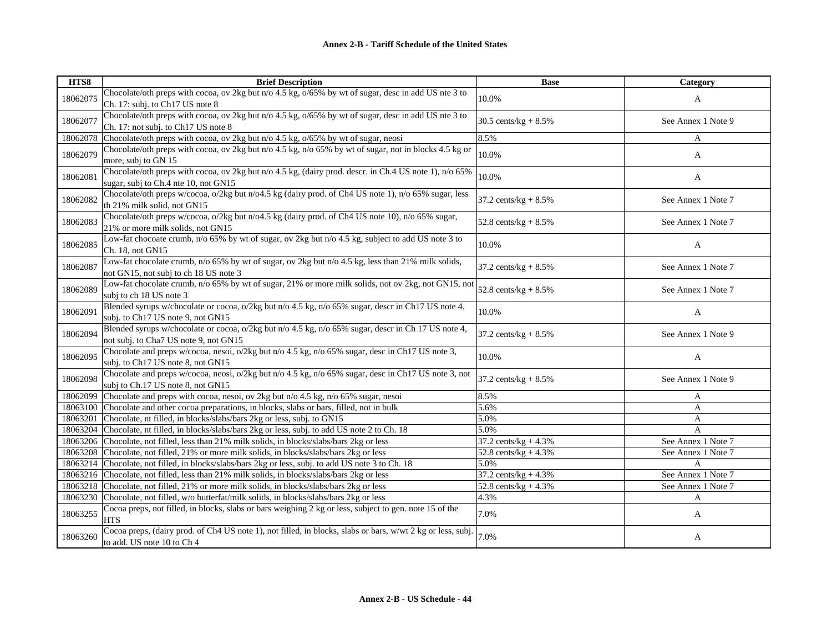| HTS8     | <b>Brief Description</b>                                                                                                                       | <b>Base</b>             | Category           |
|----------|------------------------------------------------------------------------------------------------------------------------------------------------|-------------------------|--------------------|
| 18062075 | Chocolate/oth preps with cocoa, ov 2kg but n/o 4.5 kg, o/65% by wt of sugar, desc in add US nte 3 to<br>Ch. 17: subj. to Ch17 US note 8        | 10.0%                   | A                  |
| 18062077 | Chocolate/oth preps with cocoa, ov 2kg but n/o 4.5 kg, o/65% by wt of sugar, desc in add US nte 3 to<br>Ch. 17: not subj. to Ch17 US note 8    | 30.5 cents/ $kg + 8.5%$ | See Annex 1 Note 9 |
| 18062078 | Chocolate/oth preps with cocoa, ov 2kg but n/o 4.5 kg, o/65% by wt of sugar, neosi                                                             | 8.5%                    | A                  |
| 18062079 | Chocolate/oth preps with cocoa, ov 2kg but n/o 4.5 kg, n/o 65% by wt of sugar, not in blocks 4.5 kg or<br>more, subj to GN 15                  | 10.0%                   | A                  |
| 18062081 | Chocolate/oth preps with cocoa, ov 2kg but n/o 4.5 kg, (dairy prod. descr. in Ch.4 US note 1), n/o 65%<br>sugar, subj to Ch.4 nte 10, not GN15 | 10.0%                   | A                  |
| 18062082 | Chocolate/oth preps w/cocoa, o/2kg but n/o4.5 kg (dairy prod. of Ch4 US note 1), n/o 65% sugar, less<br>th 21% milk solid, not GN15            | 37.2 cents/ $kg + 8.5%$ | See Annex 1 Note 7 |
| 18062083 | Chocolate/oth preps w/cocoa, o/2kg but n/o4.5 kg (dairy prod. of Ch4 US note 10), n/o 65% sugar,<br>21% or more milk solids, not GN15          | 52.8 cents/kg + $8.5\%$ | See Annex 1 Note 7 |
| 18062085 | Low-fat chocoate crumb, n/o 65% by wt of sugar, ov 2kg but n/o 4.5 kg, subject to add US note 3 to<br>Ch. 18, not GN15                         | 10.0%                   | A                  |
| 18062087 | Low-fat chocolate crumb, n/o 65% by wt of sugar, ov 2kg but n/o 4.5 kg, less than 21% milk solids,<br>not GN15, not subj to ch 18 US note 3    | $37.2$ cents/kg + 8.5%  | See Annex 1 Note 7 |
| 18062089 | Low-fat chocolate crumb, n/o 65% by wt of sugar, 21% or more milk solids, not ov 2kg, not GN15, not<br>subj to ch 18 US note 3                 | 52.8 cents/ $kg + 8.5%$ | See Annex 1 Note 7 |
| 18062091 | Blended syrups w/chocolate or cocoa, o/2kg but n/o 4.5 kg, n/o 65% sugar, descr in Ch17 US note 4,<br>subj. to Ch17 US note 9, not GN15        | 10.0%                   | A                  |
| 18062094 | Blended syrups w/chocolate or cocoa, o/2kg but n/o 4.5 kg, n/o 65% sugar, descr in Ch 17 US note 4,<br>not subj. to Cha7 US note 9, not GN15   | 37.2 cents/ $kg + 8.5%$ | See Annex 1 Note 9 |
| 18062095 | Chocolate and preps w/cocoa, nesoi, o/2kg but n/o 4.5 kg, n/o 65% sugar, desc in Ch17 US note 3,<br>subj. to Ch17 US note 8, not GN15          | 10.0%                   | A                  |
| 18062098 | Chocolate and preps w/cocoa, neosi, o/2kg but n/o 4.5 kg, n/o 65% sugar, desc in Ch17 US note 3, not<br>subj to Ch.17 US note 8, not GN15      | 37.2 cents/ $kg + 8.5%$ | See Annex 1 Note 9 |
| 18062099 | Chocolate and preps with cocoa, nesoi, ov 2kg but n/o 4.5 kg, n/o 65% sugar, nesoi                                                             | 8.5%                    | A                  |
| 18063100 | Chocolate and other cocoa preparations, in blocks, slabs or bars, filled, not in bulk                                                          | 5.6%                    | A                  |
| 18063201 | Chocolate, nt filled, in blocks/slabs/bars 2kg or less, subj. to GN15                                                                          | 5.0%                    | A                  |
| 18063204 | Chocolate, nt filled, in blocks/slabs/bars 2kg or less, subj. to add US note 2 to Ch. 18                                                       | 5.0%                    | A                  |
| 18063206 | Chocolate, not filled, less than 21% milk solids, in blocks/slabs/bars 2kg or less                                                             | 37.2 cents/ $kg + 4.3%$ | See Annex 1 Note 7 |
| 18063208 | Chocolate, not filled, 21% or more milk solids, in blocks/slabs/bars 2kg or less                                                               | 52.8 cents/ $kg + 4.3%$ | See Annex 1 Note 7 |
| 18063214 | Chocolate, not filled, in blocks/slabs/bars 2kg or less, subj. to add US note 3 to Ch. 18                                                      | 5.0%                    | A                  |
| 18063216 | Chocolate, not filled, less than 21% milk solids, in blocks/slabs/bars 2kg or less                                                             | 37.2 cents/kg + $4.3%$  | See Annex 1 Note 7 |
| 18063218 | Chocolate, not filled, 21% or more milk solids, in blocks/slabs/bars 2kg or less                                                               | 52.8 cents/kg + $4.3%$  | See Annex 1 Note 7 |
| 18063230 | Chocolate, not filled, w/o butterfat/milk solids, in blocks/slabs/bars 2kg or less                                                             | 4.3%                    | A                  |
| 18063255 | Cocoa preps, not filled, in blocks, slabs or bars weighing 2 kg or less, subject to gen. note 15 of the<br><b>HTS</b>                          | 7.0%                    | A                  |
| 18063260 | Cocoa preps, (dairy prod. of Ch4 US note 1), not filled, in blocks, slabs or bars, w/wt 2 kg or less, subj.<br>to add. US note 10 to Ch 4      | 7.0%                    | A                  |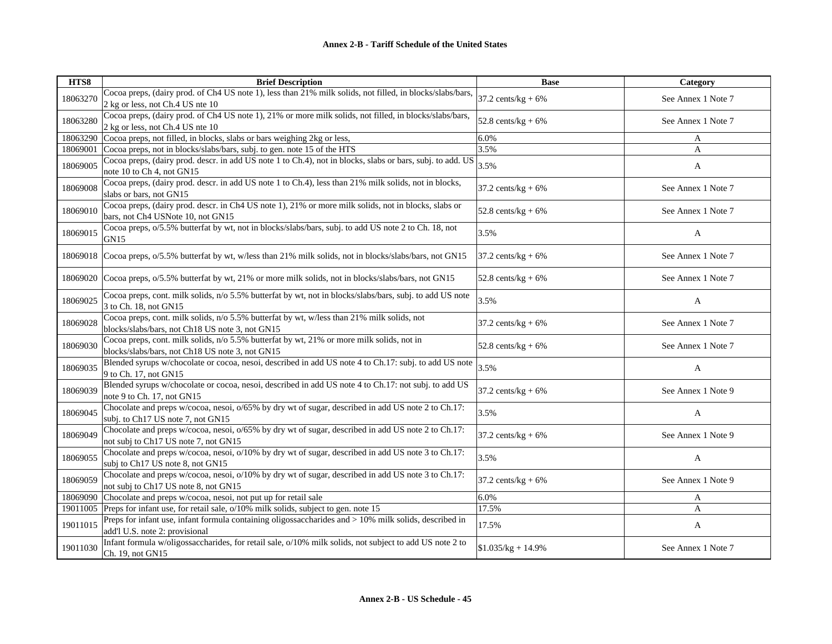| HTS8     | <b>Brief Description</b>                                                                                                                      | <b>Base</b>           | Category           |
|----------|-----------------------------------------------------------------------------------------------------------------------------------------------|-----------------------|--------------------|
| 18063270 | Cocoa preps, (dairy prod. of Ch4 US note 1), less than 21% milk solids, not filled, in blocks/slabs/bars,<br>2 kg or less, not Ch.4 US nte 10 | 37.2 cents/ $kg + 6%$ | See Annex 1 Note 7 |
| 18063280 | Cocoa preps, (dairy prod. of Ch4 US note 1), 21% or more milk solids, not filled, in blocks/slabs/bars,<br>2 kg or less, not Ch.4 US nte 10   | 52.8 cents/kg + $6\%$ | See Annex 1 Note 7 |
| 18063290 | Cocoa preps, not filled, in blocks, slabs or bars weighing 2kg or less,                                                                       | 6.0%                  | A                  |
| 18069001 | Cocoa preps, not in blocks/slabs/bars, subj. to gen. note 15 of the HTS                                                                       | 3.5%                  | A                  |
| 18069005 | Cocoa preps, (dairy prod. descr. in add US note 1 to Ch.4), not in blocks, slabs or bars, subj. to add. US<br>note 10 to Ch 4, not GN15       | 3.5%                  | A                  |
| 18069008 | Cocoa preps, (dairy prod. descr. in add US note 1 to Ch.4), less than 21% milk solids, not in blocks,<br>slabs or bars, not GN15              | $37.2$ cents/kg + 6%  | See Annex 1 Note 7 |
| 18069010 | Cocoa preps, (dairy prod. descr. in Ch4 US note 1), 21% or more milk solids, not in blocks, slabs or<br>bars, not Ch4 USNote 10, not GN15     | $52.8$ cents/kg + 6%  | See Annex 1 Note 7 |
| 18069015 | Cocoa preps, o/5.5% butterfat by wt, not in blocks/slabs/bars, subj. to add US note 2 to Ch. 18, not<br>GN15                                  | 3.5%                  | A                  |
| 18069018 | Cocoa preps, $o/5.5\%$ butterfat by wt, w/less than 21% milk solids, not in blocks/slabs/bars, not GN15                                       | 37.2 cents/ $kg + 6%$ | See Annex 1 Note 7 |
| 18069020 | Cocoa preps, o/5.5% butterfat by wt, 21% or more milk solids, not in blocks/slabs/bars, not GN15                                              | 52.8 cents/ $kg + 6%$ | See Annex 1 Note 7 |
| 18069025 | Cocoa preps, cont. milk solids, n/o 5.5% butterfat by wt, not in blocks/slabs/bars, subj. to add US note<br>3 to Ch. 18, not GN15             | 3.5%                  | $\mathbf{A}$       |
| 18069028 | Cocoa preps, cont. milk solids, n/o 5.5% butterfat by wt, w/less than 21% milk solids, not<br>blocks/slabs/bars, not Ch18 US note 3, not GN15 | 37.2 cents/ $kg + 6%$ | See Annex 1 Note 7 |
| 18069030 | Cocoa preps, cont. milk solids, n/o 5.5% butterfat by wt, 21% or more milk solids, not in<br>blocks/slabs/bars, not Ch18 US note 3, not GN15  | 52.8 cents/ $kg + 6%$ | See Annex 1 Note 7 |
| 18069035 | Blended syrups w/chocolate or cocoa, nesoi, described in add US note 4 to Ch.17: subj. to add US note<br>9 to Ch. 17, not GN15                | 3.5%                  | A                  |
| 18069039 | Blended syrups w/chocolate or cocoa, nesoi, described in add US note 4 to Ch.17: not subj. to add US<br>note 9 to Ch. 17, not GN15            | 37.2 cents/ $kg + 6%$ | See Annex 1 Note 9 |
| 18069045 | Chocolate and preps w/cocoa, nesoi, o/65% by dry wt of sugar, described in add US note 2 to Ch.17:<br>subj. to Ch17 US note 7, not GN15       | 3.5%                  | A                  |
| 18069049 | Chocolate and preps w/cocoa, nesoi, o/65% by dry wt of sugar, described in add US note 2 to Ch.17:<br>not subj to Ch17 US note 7, not GN15    | 37.2 cents/ $kg + 6%$ | See Annex 1 Note 9 |
| 18069055 | Chocolate and preps w/cocoa, nesoi, o/10% by dry wt of sugar, described in add US note 3 to Ch.17:<br>subj to Ch17 US note 8, not GN15        | 3.5%                  | A                  |
| 18069059 | Chocolate and preps w/cocoa, nesoi, o/10% by dry wt of sugar, described in add US note 3 to Ch.17:<br>not subj to Ch17 US note 8, not GN15    | 37.2 cents/ $kg + 6%$ | See Annex 1 Note 9 |
| 18069090 | Chocolate and preps w/cocoa, nesoi, not put up for retail sale                                                                                | 6.0%                  | A                  |
| 19011005 | Preps for infant use, for retail sale, o/10% milk solids, subject to gen. note 15                                                             | 17.5%                 | A                  |
| 19011015 | Preps for infant use, infant formula containing oligossaccharides and > 10% milk solids, described in<br>add'l U.S. note 2: provisional       | 17.5%                 | A                  |
| 19011030 | Infant formula w/oligossaccharides, for retail sale, o/10% milk solids, not subject to add US note 2 to<br>Ch. 19, not GN15                   | $$1.035/kg + 14.9\%$  | See Annex 1 Note 7 |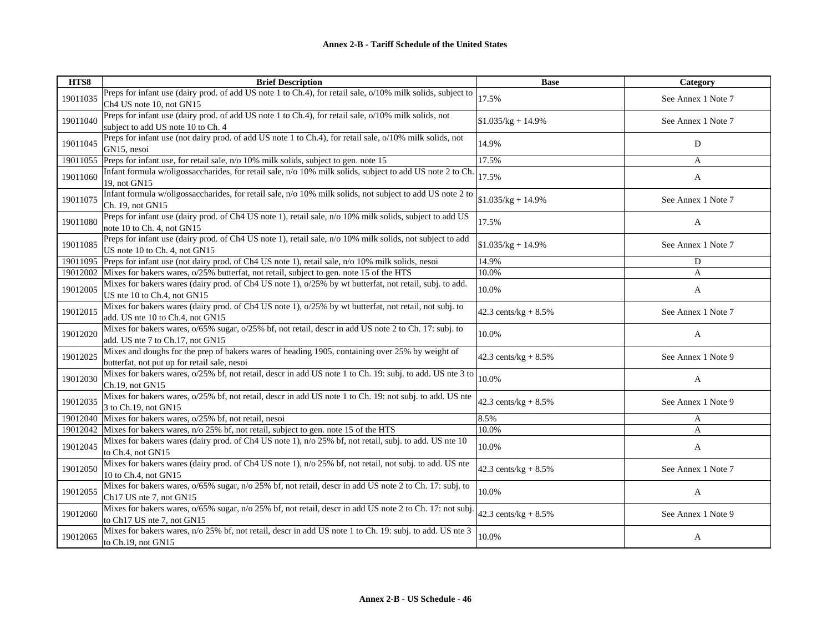| HTS8     | <b>Brief Description</b>                                                                                                                                          | <b>Base</b>             | Category           |
|----------|-------------------------------------------------------------------------------------------------------------------------------------------------------------------|-------------------------|--------------------|
| 19011035 | Preps for infant use (dairy prod. of add US note 1 to Ch.4), for retail sale, o/10% milk solids, subject to<br>Ch <sub>4</sub> US note 10, not GN15               | 17.5%                   | See Annex 1 Note 7 |
| 19011040 | Preps for infant use (dairy prod. of add US note 1 to Ch.4), for retail sale, o/10% milk solids, not<br>subject to add US note 10 to Ch. 4                        | $$1.035/kg + 14.9\%$    | See Annex 1 Note 7 |
| 19011045 | Preps for infant use (not dairy prod. of add US note 1 to Ch.4), for retail sale, o/10% milk solids, not<br>GN15, nesoi                                           | 14.9%                   | D                  |
| 19011055 | Preps for infant use, for retail sale, n/o 10% milk solids, subject to gen. note 15                                                                               | 17.5%                   | A                  |
| 19011060 | Infant formula w/oligossaccharides, for retail sale, n/o 10% milk solids, subject to add US note 2 to Ch<br>19. not GN15                                          | 17.5%                   | A                  |
| 19011075 | Infant formula w/oligossaccharides, for retail sale, n/o 10% milk solids, not subject to add US note 2 to<br>Ch. 19, not GN15                                     | $$1.035/kg + 14.9\%$    | See Annex 1 Note 7 |
| 19011080 | Preps for infant use (dairy prod. of Ch4 US note 1), retail sale, n/o 10% milk solids, subject to add US<br>note 10 to Ch. 4, not GN15                            | 17.5%                   | A                  |
| 19011085 | Preps for infant use (dairy prod. of Ch4 US note 1), retail sale, n/o 10% milk solids, not subject to add<br>US note 10 to Ch. 4, not GN15                        | $$1.035/kg + 14.9\%$    | See Annex 1 Note 7 |
| 19011095 | Preps for infant use (not dairy prod. of Ch4 US note 1), retail sale, n/o 10% milk solids, nesoi                                                                  | 14.9%                   | D                  |
| 19012002 | Mixes for bakers wares, $o/25\%$ butterfat, not retail, subject to gen. note 15 of the HTS                                                                        | 10.0%                   | A                  |
| 19012005 | Mixes for bakers wares (dairy prod. of Ch4 US note 1), o/25% by wt butterfat, not retail, subj. to add.<br>US nte 10 to Ch.4, not GN15                            | 10.0%                   | A                  |
| 19012015 | Mixes for bakers wares (dairy prod. of Ch4 US note 1), o/25% by wt butterfat, not retail, not subj. to<br>add. US nte 10 to Ch.4, not GN15                        | 42.3 cents/ $kg + 8.5%$ | See Annex 1 Note 7 |
| 19012020 | Mixes for bakers wares, o/65% sugar, o/25% bf, not retail, descr in add US note 2 to Ch. 17: subj. to<br>add. US nte 7 to Ch.17, not GN15                         | 10.0%                   | A                  |
| 19012025 | Mixes and doughs for the prep of bakers wares of heading 1905, containing over 25% by weight of<br>butterfat, not put up for retail sale, nesoi                   | 42.3 cents/ $kg + 8.5%$ | See Annex 1 Note 9 |
| 19012030 | Mixes for bakers wares, $o/25\%$ bf, not retail, descr in add US note 1 to Ch. 19: subj. to add. US nte 3 to<br>Ch.19, not GN15                                   | 10.0%                   | A                  |
| 19012035 | Mixes for bakers wares, $o/25\%$ bf, not retail, descr in add US note 1 to Ch. 19: not subj. to add. US nte<br>3 to Ch.19, not GN15                               | 42.3 cents/kg + $8.5\%$ | See Annex 1 Note 9 |
| 19012040 | Mixes for bakers wares, o/25% bf, not retail, nesoi                                                                                                               | 8.5%                    | A                  |
| 19012042 | Mixes for bakers wares, n/o 25% bf, not retail, subject to gen. note 15 of the HTS                                                                                | 10.0%                   | A                  |
| 19012045 | Mixes for bakers wares (dairy prod. of Ch4 US note 1), n/o 25% bf, not retail, subj. to add. US nte 10<br>to Ch.4, not GN15                                       | 10.0%                   | A                  |
| 19012050 | Mixes for bakers wares (dairy prod. of Ch4 US note 1), n/o 25% bf, not retail, not subj. to add. US nte<br>10 to Ch.4, not GN15                                   | 42.3 cents/kg + $8.5\%$ | See Annex 1 Note 7 |
| 19012055 | Mixes for bakers wares, $o/65\%$ sugar, $\frac{\overline{n}}{\sqrt{0}}$ 25% bf, not retail, descr in add US note 2 to Ch. 17: subj. to<br>Ch17 US nte 7, not GN15 | 10.0%                   | A                  |
| 19012060 | Mixes for bakers wares, $o/65\%$ sugar, n/o 25% bf, not retail, descr in add US note 2 to Ch. 17: not subj.<br>to Ch17 US nte 7, not GN15                         | 42.3 cents/kg + $8.5\%$ | See Annex 1 Note 9 |
| 19012065 | Mixes for bakers wares, n/o 25% bf, not retail, descr in add US note 1 to Ch. 19: subj. to add. US nte 3<br>to Ch.19, not GN15                                    | 10.0%                   | A                  |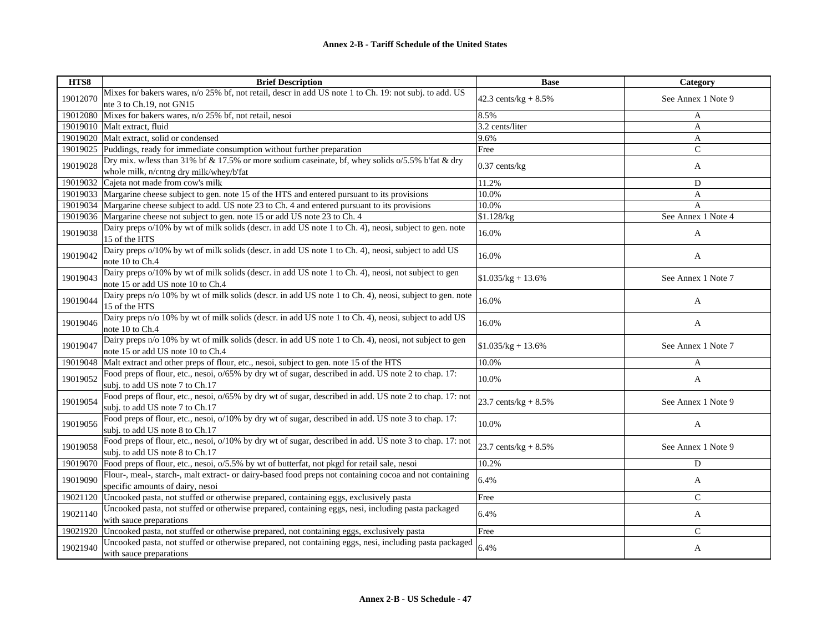| HTS8     | <b>Brief Description</b>                                                                                                                       | <b>Base</b>             | Category           |
|----------|------------------------------------------------------------------------------------------------------------------------------------------------|-------------------------|--------------------|
| 19012070 | Mixes for bakers wares, n/o 25% bf, not retail, descr in add US note 1 to Ch. 19: not subj. to add. US<br>nte 3 to Ch.19, not GN15             | 42.3 cents/kg + $8.5\%$ | See Annex 1 Note 9 |
| 19012080 | Mixes for bakers wares, n/o 25% bf, not retail, nesoi                                                                                          | 8.5%                    | A                  |
| 19019010 | Malt extract, fluid                                                                                                                            | 3.2 cents/liter         | A                  |
|          | 19019020 Malt extract, solid or condensed                                                                                                      | 9.6%                    | A                  |
| 19019025 | Puddings, ready for immediate consumption without further preparation                                                                          | Free                    | $\mathsf{C}$       |
| 19019028 | Dry mix. w/less than 31% bf & 17.5% or more sodium caseinate, bf, whey solids o/5.5% b'fat & dry<br>whole milk, n/cntng dry milk/whey/b'fat    | $0.37$ cents/kg         | A                  |
| 19019032 | Cajeta not made from cow's milk                                                                                                                | 11.2%                   | D                  |
| 19019033 | Margarine cheese subject to gen. note 15 of the HTS and entered pursuant to its provisions                                                     | 10.0%                   | A                  |
| 19019034 | Margarine cheese subject to add. US note 23 to Ch. 4 and entered pursuant to its provisions                                                    | 10.0%                   | A                  |
|          | 19019036 Margarine cheese not subject to gen. note 15 or add US note 23 to Ch. 4                                                               | \$1.128/kg              | See Annex 1 Note 4 |
| 19019038 | Dairy preps o/10% by wt of milk solids (descr. in add US note 1 to Ch. 4), neosi, subject to gen. note<br>15 of the HTS                        | 16.0%                   | A                  |
| 19019042 | Dairy preps o/10% by wt of milk solids (descr. in add US note 1 to Ch. 4), neosi, subject to add US<br>note 10 to Ch.4                         | 16.0%                   | A                  |
| 19019043 | Dairy preps o/10% by wt of milk solids (descr. in add US note 1 to Ch. 4), neosi, not subject to gen<br>note 15 or add US note 10 to Ch.4      | $$1.035/kg + 13.6%$     | See Annex 1 Note 7 |
| 19019044 | Dairy preps n/o 10% by wt of milk solids (descr. in add US note 1 to Ch. 4), neosi, subject to gen. note<br>15 of the HTS                      | 16.0%                   | A                  |
| 19019046 | Dairy preps n/o 10% by wt of milk solids (descr. in add US note 1 to Ch. 4), neosi, subject to add US<br>note 10 to Ch.4                       | 16.0%                   | A                  |
| 19019047 | Dairy preps n/o 10% by wt of milk solids (descr. in add US note 1 to Ch. 4), neosi, not subject to gen<br>note 15 or add US note 10 to Ch.4    | $$1.035/kg + 13.6\%$    | See Annex 1 Note 7 |
| 19019048 | Malt extract and other preps of flour, etc., nesoi, subject to gen. note 15 of the HTS                                                         | 10.0%                   | A                  |
| 19019052 | Food preps of flour, etc., nesoi, $o/65\%$ by dry wt of sugar, described in add. US note 2 to chap. 17:<br>subj. to add US note 7 to Ch.17     | 10.0%                   | A                  |
| 19019054 | Food preps of flour, etc., nesoi, $o/65\%$ by dry wt of sugar, described in add. US note 2 to chap. 17: not<br>subj. to add US note 7 to Ch.17 | 23.7 cents/ $kg + 8.5%$ | See Annex 1 Note 9 |
| 19019056 | Food preps of flour, etc., nesoi, o/10% by dry wt of sugar, described in add. US note 3 to chap. 17:<br>subj. to add US note 8 to Ch.17        | 10.0%                   | A                  |
| 19019058 | Food preps of flour, etc., nesoi, o/10% by dry wt of sugar, described in add. US note 3 to chap. 17: not<br>subj. to add US note 8 to Ch.17    | 23.7 cents/kg + $8.5\%$ | See Annex 1 Note 9 |
| 19019070 | Food preps of flour, etc., nesoi, o/5.5% by wt of butterfat, not pkgd for retail sale, nesoi                                                   | 10.2%                   | D                  |
| 19019090 | Flour-, meal-, starch-, malt extract- or dairy-based food preps not containing cocoa and not containing<br>specific amounts of dairy, nesoi    | 6.4%                    | A                  |
| 19021120 | Uncooked pasta, not stuffed or otherwise prepared, containing eggs, exclusively pasta                                                          | Free                    | $\mathsf{C}$       |
| 19021140 | Uncooked pasta, not stuffed or otherwise prepared, containing eggs, nesi, including pasta packaged<br>with sauce preparations                  | 6.4%                    | A                  |
| 19021920 | Uncooked pasta, not stuffed or otherwise prepared, not containing eggs, exclusively pasta                                                      | Free                    | $\mathcal{C}$      |
| 19021940 | Uncooked pasta, not stuffed or otherwise prepared, not containing eggs, nesi, including pasta packaged<br>with sauce preparations              | 6.4%                    | A                  |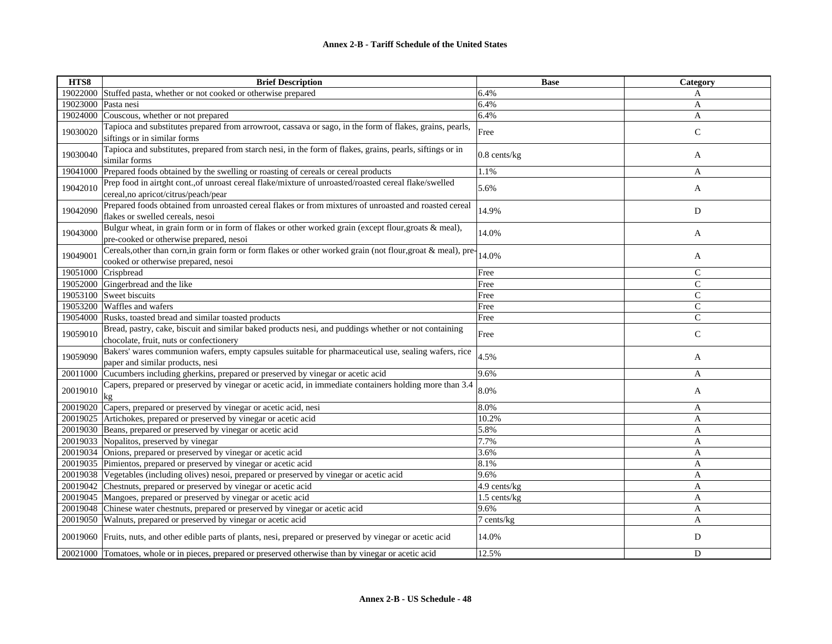| HTS8     | <b>Brief Description</b>                                                                                                                            | <b>Base</b>       | Category      |
|----------|-----------------------------------------------------------------------------------------------------------------------------------------------------|-------------------|---------------|
|          | 19022000 Stuffed pasta, whether or not cooked or otherwise prepared                                                                                 | 6.4%              | A             |
| 19023000 | Pasta nesi                                                                                                                                          | 6.4%              | A             |
| 19024000 | Couscous, whether or not prepared                                                                                                                   | 6.4%              | A             |
| 19030020 | Tapioca and substitutes prepared from arrowroot, cassava or sago, in the form of flakes, grains, pearls,<br>siftings or in similar forms            | Free              | $\mathbf C$   |
| 19030040 | Tapioca and substitutes, prepared from starch nesi, in the form of flakes, grains, pearls, siftings or in<br>similar forms                          | $0.8$ cents/ $kg$ | A             |
|          | 19041000 Prepared foods obtained by the swelling or roasting of cereals or cereal products                                                          | 1.1%              | A             |
| 19042010 | Prep food in airtght cont., of unroast cereal flake/mixture of unroasted/roasted cereal flake/swelled<br>cereal, no apricot/citrus/peach/pear       | 5.6%              | A             |
| 19042090 | Prepared foods obtained from unroasted cereal flakes or from mixtures of unroasted and roasted cereal<br>flakes or swelled cereals, nesoi           | 14.9%             | ${\bf D}$     |
| 19043000 | Bulgur wheat, in grain form or in form of flakes or other worked grain (except flour, groats & meal),<br>pre-cooked or otherwise prepared, nesoi    | 14.0%             | A             |
| 19049001 | Cereals, other than corn, in grain form or form flakes or other worked grain (not flour, groat & meal), pre-<br>cooked or otherwise prepared, nesoi | 14.0%             | A             |
| 19051000 | Crispbread                                                                                                                                          | Free              | $\mathsf{C}$  |
| 19052000 | Gingerbread and the like                                                                                                                            | Free              | $\mathsf{C}$  |
|          | 19053100 Sweet biscuits                                                                                                                             | Free              | $\mathcal{C}$ |
|          | 19053200 Waffles and wafers                                                                                                                         | Free              | $\mathsf{C}$  |
|          | 19054000 Rusks, toasted bread and similar toasted products                                                                                          | Free              | $\mathsf{C}$  |
| 19059010 | Bread, pastry, cake, biscuit and similar baked products nesi, and puddings whether or not containing<br>chocolate, fruit, nuts or confectionery     | Free              | $\mathbf C$   |
| 19059090 | Bakers' wares communion wafers, empty capsules suitable for pharmaceutical use, sealing wafers, rice<br>paper and similar products, nesi            | 4.5%              | A             |
|          | 20011000 Cucumbers including gherkins, prepared or preserved by vinegar or acetic acid                                                              | 9.6%              | A             |
| 20019010 | Capers, prepared or preserved by vinegar or acetic acid, in immediate containers holding more than 3.4<br>kg                                        | 8.0%              | A             |
|          | 20019020 Capers, prepared or preserved by vinegar or acetic acid, nesi                                                                              | 8.0%              | A             |
|          | 20019025 Artichokes, prepared or preserved by vinegar or acetic acid                                                                                | 10.2%             | A             |
|          | 20019030 Beans, prepared or preserved by vinegar or acetic acid                                                                                     | 5.8%              | $\mathbf{A}$  |
|          | 20019033 Nopalitos, preserved by vinegar                                                                                                            | 7.7%              | A             |
|          | 20019034 Onions, prepared or preserved by vinegar or acetic acid                                                                                    | 3.6%              | A             |
|          | 20019035 Pimientos, prepared or preserved by vinegar or acetic acid                                                                                 | 8.1%              | A             |
|          | 20019038 Vegetables (including olives) nesoi, prepared or preserved by vinegar or acetic acid                                                       | 9.6%              | $\mathbf{A}$  |
|          | 20019042 Chestnuts, prepared or preserved by vinegar or acetic acid                                                                                 | 4.9 cents/kg      | A             |
|          | 20019045 Mangoes, prepared or preserved by vinegar or acetic acid                                                                                   | 1.5 cents/kg      | A             |
|          | 20019048 Chinese water chestnuts, prepared or preserved by vinegar or acetic acid                                                                   | 9.6%              | $\mathbf{A}$  |
|          | 20019050 Walnuts, prepared or preserved by vinegar or acetic acid                                                                                   | 7 cents/kg        | A             |
|          | 20019060 Fruits, nuts, and other edible parts of plants, nesi, prepared or preserved by vinegar or acetic acid                                      | 14.0%             | D             |
|          | 20021000 Tomatoes, whole or in pieces, prepared or preserved otherwise than by vinegar or acetic acid                                               | 12.5%             | D             |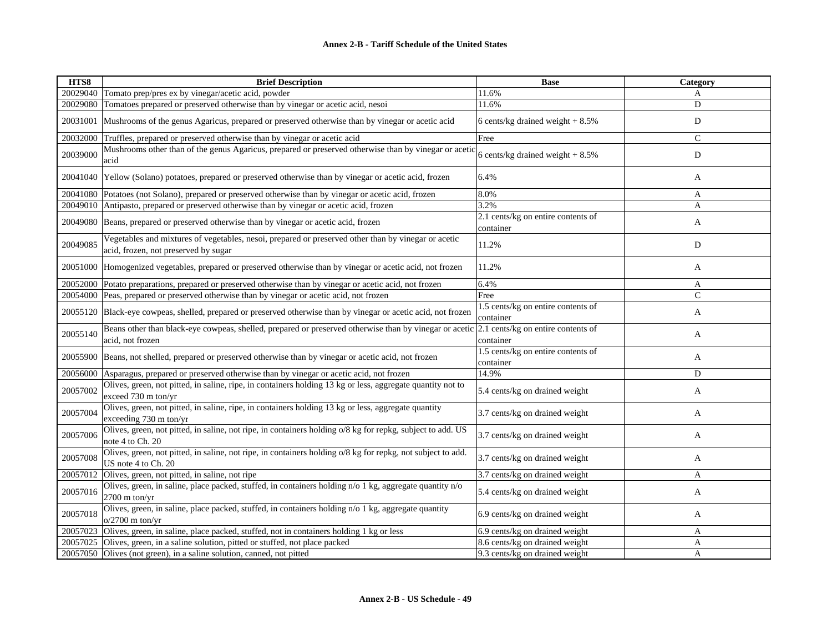| HTS8     | <b>Brief Description</b>                                                                                                                    | <b>Base</b>                                     | Category     |
|----------|---------------------------------------------------------------------------------------------------------------------------------------------|-------------------------------------------------|--------------|
|          | 20029040 Tomato prep/pres ex by vinegar/acetic acid, powder                                                                                 | 11.6%                                           | A            |
| 20029080 | Tomatoes prepared or preserved otherwise than by vinegar or acetic acid, nesoi                                                              | 11.6%                                           | D            |
| 20031001 | Mushrooms of the genus Agaricus, prepared or preserved otherwise than by vinegar or acetic acid                                             | 6 cents/kg drained weight $+8.5%$               | D            |
| 20032000 | Truffles, prepared or preserved otherwise than by vinegar or acetic acid                                                                    | Free                                            | $\mathbf C$  |
| 20039000 | Mushrooms other than of the genus Agaricus, prepared or preserved otherwise than by vinegar or acetic<br>acid                               | 6 cents/kg drained weight $+8.5\%$              | ${\bf D}$    |
|          | 20041040 Yellow (Solano) potatoes, prepared or preserved otherwise than by vinegar or acetic acid, frozen                                   | 6.4%                                            | A            |
| 20041080 | Potatoes (not Solano), prepared or preserved otherwise than by vinegar or acetic acid, frozen                                               | 8.0%                                            | A            |
|          | 20049010 Antipasto, prepared or preserved otherwise than by vinegar or acetic acid, frozen                                                  | 3.2%                                            | A            |
|          | 20049080 Beans, prepared or preserved otherwise than by vinegar or acetic acid, frozen                                                      | 2.1 cents/kg on entire contents of<br>container | A            |
| 20049085 | Vegetables and mixtures of vegetables, nesoi, prepared or preserved other than by vinegar or acetic<br>acid, frozen, not preserved by sugar | 11.2%                                           | D            |
| 20051000 | Homogenized vegetables, prepared or preserved otherwise than by vinegar or acetic acid, not frozen                                          | 11.2%                                           | A            |
| 20052000 | Potato preparations, prepared or preserved otherwise than by vinegar or acetic acid, not frozen                                             | 6.4%                                            | A            |
| 20054000 | Peas, prepared or preserved otherwise than by vinegar or acetic acid, not frozen                                                            | Free                                            | $\mathsf{C}$ |
| 20055120 | Black-eye cowpeas, shelled, prepared or preserved otherwise than by vinegar or acetic acid, not frozen                                      | 1.5 cents/kg on entire contents of<br>container | A            |
| 20055140 | Beans other than black-eye cowpeas, shelled, prepared or preserved otherwise than by vinegar or acetic<br>acid, not frozen                  | 2.1 cents/kg on entire contents of<br>container | A            |
|          | 20055900 Beans, not shelled, prepared or preserved otherwise than by vinegar or acetic acid, not frozen                                     | 1.5 cents/kg on entire contents of<br>container | A            |
| 20056000 | Asparagus, prepared or preserved otherwise than by vinegar or acetic acid, not frozen                                                       | 14.9%                                           | D            |
| 20057002 | Olives, green, not pitted, in saline, ripe, in containers holding 13 kg or less, aggregate quantity not to<br>exceed 730 m ton/yr           | 5.4 cents/kg on drained weight                  | A            |
| 20057004 | Olives, green, not pitted, in saline, ripe, in containers holding 13 kg or less, aggregate quantity<br>exceeding $730 \text{ m}$ ton/yr     | 3.7 cents/kg on drained weight                  | A            |
| 20057006 | Olives, green, not pitted, in saline, not ripe, in containers holding o/8 kg for repkg, subject to add. US<br>note 4 to Ch. 20              | 3.7 cents/kg on drained weight                  | A            |
| 20057008 | Olives, green, not pitted, in saline, not ripe, in containers holding o/8 kg for repkg, not subject to add.<br>US note 4 to Ch. 20          | 3.7 cents/kg on drained weight                  | A            |
| 20057012 | Olives, green, not pitted, in saline, not ripe                                                                                              | 3.7 cents/kg on drained weight                  | A            |
| 20057016 | Olives, green, in saline, place packed, stuffed, in containers holding n/o 1 kg, aggregate quantity n/o<br>2700 m ton/yr                    | 5.4 cents/kg on drained weight                  | A            |
| 20057018 | Olives, green, in saline, place packed, stuffed, in containers holding n/o 1 kg, aggregate quantity<br>$o/2700$ m ton/yr                    | 6.9 cents/kg on drained weight                  | A            |
| 20057023 | Olives, green, in saline, place packed, stuffed, not in containers holding 1 kg or less                                                     | 6.9 cents/kg on drained weight                  | A            |
| 20057025 | Olives, green, in a saline solution, pitted or stuffed, not place packed                                                                    | 8.6 cents/kg on drained weight                  | A            |
|          | 20057050 Olives (not green), in a saline solution, canned, not pitted                                                                       | 9.3 cents/kg on drained weight                  | A            |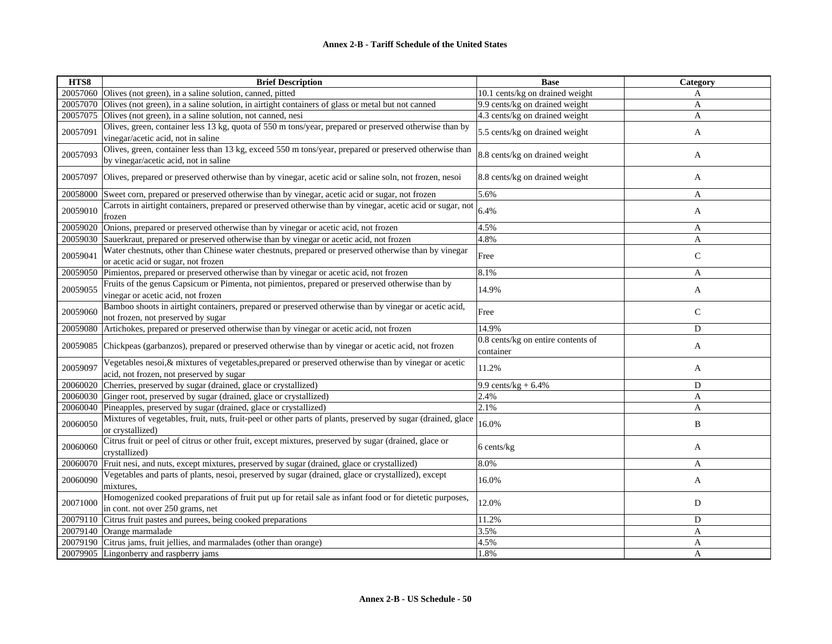| HTS8     | <b>Brief Description</b>                                                                                                                          | <b>Base</b>                                     | Category     |
|----------|---------------------------------------------------------------------------------------------------------------------------------------------------|-------------------------------------------------|--------------|
|          | 20057060 Olives (not green), in a saline solution, canned, pitted                                                                                 | 10.1 cents/kg on drained weight                 | A            |
| 20057070 | Olives (not green), in a saline solution, in airtight containers of glass or metal but not canned                                                 | 9.9 cents/kg on drained weight                  | $\mathbf{A}$ |
| 20057075 | Olives (not green), in a saline solution, not canned, nesi                                                                                        | 4.3 cents/kg on drained weight                  | A            |
| 20057091 | Olives, green, container less 13 kg, quota of 550 m tons/year, prepared or preserved otherwise than by<br>vinegar/acetic acid, not in saline      | 5.5 cents/kg on drained weight                  | A            |
| 20057093 | Olives, green, container less than 13 kg, exceed 550 m tons/year, prepared or preserved otherwise than<br>by vinegar/acetic acid, not in saline   | 8.8 cents/kg on drained weight                  | A            |
| 20057097 | Olives, prepared or preserved otherwise than by vinegar, acetic acid or saline soln, not frozen, nesoi                                            | 8.8 cents/kg on drained weight                  | A            |
| 20058000 | Sweet corn, prepared or preserved otherwise than by vinegar, acetic acid or sugar, not frozen                                                     | 5.6%                                            | A            |
| 20059010 | Carrots in airtight containers, prepared or preserved otherwise than by vinegar, acetic acid or sugar, not<br>frozen                              | 6.4%                                            | A            |
|          | 20059020 Onions, prepared or preserved otherwise than by vinegar or acetic acid, not frozen                                                       | 4.5%                                            | A            |
|          | 20059030 Sauerkraut, prepared or preserved otherwise than by vinegar or acetic acid, not frozen                                                   | 4.8%                                            | A            |
| 20059041 | Water chestnuts, other than Chinese water chestnuts, prepared or preserved otherwise than by vinegar<br>or acetic acid or sugar, not frozen       | Free                                            | $\mathbf C$  |
| 20059050 | Pimientos, prepared or preserved otherwise than by vinegar or acetic acid, not frozen                                                             | 8.1%                                            | $\mathbf{A}$ |
| 20059055 | Fruits of the genus Capsicum or Pimenta, not pimientos, prepared or preserved otherwise than by<br>vinegar or acetic acid, not frozen             | 14.9%                                           | A            |
| 20059060 | Bamboo shoots in airtight containers, prepared or preserved otherwise than by vinegar or acetic acid,<br>not frozen, not preserved by sugar       | Free                                            | $\mathsf{C}$ |
| 20059080 | Artichokes, prepared or preserved otherwise than by vinegar or acetic acid, not frozen                                                            | 14.9%                                           | D            |
| 20059085 | Chickpeas (garbanzos), prepared or preserved otherwise than by vinegar or acetic acid, not frozen                                                 | 0.8 cents/kg on entire contents of<br>container | A            |
| 20059097 | Vegetables nesoi, & mixtures of vegetables, prepared or preserved otherwise than by vinegar or acetic<br>acid, not frozen, not preserved by sugar | 11.2%                                           | A            |
| 20060020 | Cherries, preserved by sugar (drained, glace or crystallized)                                                                                     | 9.9 cents/ $kg + 6.4%$                          | D            |
|          | 20060030 Ginger root, preserved by sugar (drained, glace or crystallized)                                                                         | 2.4%                                            | A            |
| 20060040 | Pineapples, preserved by sugar (drained, glace or crystallized)                                                                                   | 2.1%                                            | $\mathbf{A}$ |
| 20060050 | Mixtures of vegetables, fruit, nuts, fruit-peel or other parts of plants, preserved by sugar (drained, glace<br>or crystallized)                  | 16.0%                                           | B            |
| 20060060 | Citrus fruit or peel of citrus or other fruit, except mixtures, preserved by sugar (drained, glace or<br>crystallized)                            | 6 cents/kg                                      | A            |
| 20060070 | Fruit nesi, and nuts, except mixtures, preserved by sugar (drained, glace or crystallized)                                                        | 8.0%                                            | $\mathbf{A}$ |
| 20060090 | Vegetables and parts of plants, nesoi, preserved by sugar (drained, glace or crystallized), except<br>mixtures.                                   | 16.0%                                           | A            |
| 20071000 | Homogenized cooked preparations of fruit put up for retail sale as infant food or for dietetic purposes,<br>in cont. not over 250 grams, net      | 12.0%                                           | D            |
|          | 20079110 Citrus fruit pastes and purees, being cooked preparations                                                                                | 11.2%                                           | D            |
|          | 20079140 Orange marmalade                                                                                                                         | 3.5%                                            | A            |
|          | 20079190 Citrus jams, fruit jellies, and marmalades (other than orange)                                                                           | 4.5%                                            | A            |
|          | 20079905 Lingonberry and raspberry jams                                                                                                           | 1.8%                                            | A            |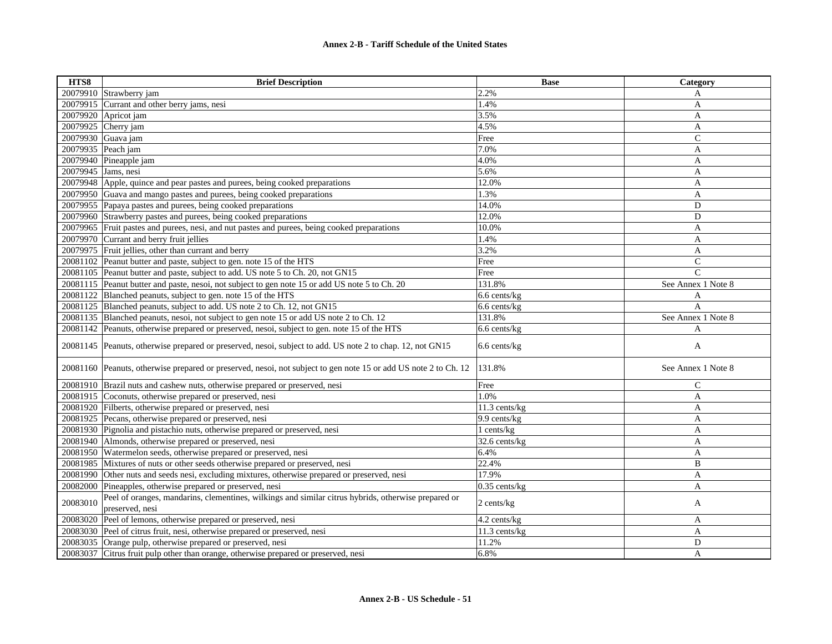| HTS8               | <b>Brief Description</b>                                                                                               | <b>Base</b>     | Category           |
|--------------------|------------------------------------------------------------------------------------------------------------------------|-----------------|--------------------|
|                    | 20079910 Strawberry jam                                                                                                | 2.2%            | A                  |
|                    | 20079915 Currant and other berry jams, nesi                                                                            | 1.4%            | A                  |
| 20079920           | Apricot jam                                                                                                            | 3.5%            | A                  |
|                    | 20079925 Cherry jam                                                                                                    | 4.5%            | A                  |
|                    | 20079930 Guava jam                                                                                                     | Free            | $\mathsf{C}$       |
| 20079935 Peach jam |                                                                                                                        | 7.0%            | A                  |
|                    | 20079940 Pineapple jam                                                                                                 | 4.0%            | A                  |
| 20079945           | Jams, nesi                                                                                                             | 5.6%            | $\mathbf{A}$       |
|                    | 20079948 Apple, quince and pear pastes and purees, being cooked preparations                                           | 12.0%           | $\mathbf{A}$       |
|                    | 20079950 Guava and mango pastes and purees, being cooked preparations                                                  | 1.3%            | A                  |
|                    | 20079955 Papaya pastes and purees, being cooked preparations                                                           | 14.0%           | D                  |
|                    | 20079960 Strawberry pastes and purees, being cooked preparations                                                       | 12.0%           | D                  |
|                    | 20079965 Fruit pastes and purees, nesi, and nut pastes and purees, being cooked preparations                           | 10.0%           | A                  |
|                    | 20079970 Currant and berry fruit jellies                                                                               | 1.4%            | A                  |
|                    | 20079975 Fruit jellies, other than currant and berry                                                                   | 3.2%            | A                  |
|                    | 20081102 Peanut butter and paste, subject to gen. note 15 of the HTS                                                   | Free            | $\mathsf{C}$       |
|                    | 20081105 Peanut butter and paste, subject to add. US note 5 to Ch. 20, not GN15                                        | Free            | $\mathcal{C}$      |
|                    | 20081115 Peanut butter and paste, nesoi, not subject to gen note 15 or add US note 5 to Ch. 20                         | 131.8%          | See Annex 1 Note 8 |
|                    | 20081122 Blanched peanuts, subject to gen. note 15 of the HTS                                                          | 6.6 cents/kg    | A                  |
|                    | 20081125 Blanched peanuts, subject to add. US note 2 to Ch. 12, not GN15                                               | 6.6 cents/kg    | $\overline{A}$     |
|                    | 20081135 Blanched peanuts, nesoi, not subject to gen note 15 or add US note 2 to Ch. 12                                | 131.8%          | See Annex 1 Note 8 |
|                    | 20081142 Peanuts, otherwise prepared or preserved, nesoi, subject to gen. note 15 of the HTS                           | 6.6 cents/kg    | A                  |
|                    | 20081145 Peanuts, otherwise prepared or preserved, nesoi, subject to add. US note 2 to chap. 12, not GN15              | 6.6 cents/kg    | A                  |
|                    | 20081160 Peanuts, otherwise prepared or preserved, nesoi, not subject to gen note 15 or add US note 2 to Ch. 12        | 131.8%          | See Annex 1 Note 8 |
|                    | 20081910 Brazil nuts and cashew nuts, otherwise prepared or preserved, nesi                                            | Free            | $\mathsf{C}$       |
|                    | 20081915 Coconuts, otherwise prepared or preserved, nesi                                                               | 1.0%            | A                  |
|                    | 20081920 Filberts, otherwise prepared or preserved, nesi                                                               | 11.3 cents/kg   | A                  |
|                    | 20081925 Pecans, otherwise prepared or preserved, nesi                                                                 | 9.9 cents/kg    | A                  |
|                    | 20081930 Pignolia and pistachio nuts, otherwise prepared or preserved, nesi                                            | 1 cents/kg      | A                  |
|                    | 20081940 Almonds, otherwise prepared or preserved, nesi                                                                | 32.6 cents/kg   | A                  |
|                    | 20081950 Watermelon seeds, otherwise prepared or preserved, nesi                                                       | 6.4%            | A                  |
|                    | 20081985 Mixtures of nuts or other seeds otherwise prepared or preserved, nesi                                         | 22.4%           | B                  |
|                    | 20081990 Other nuts and seeds nesi, excluding mixtures, otherwise prepared or preserved, nesi                          | 17.9%           | $\mathbf{A}$       |
| 20082000           | Pineapples, otherwise prepared or preserved, nesi                                                                      | $0.35$ cents/kg | A                  |
| 20083010           | Peel of oranges, mandarins, clementines, wilkings and similar citrus hybrids, otherwise prepared or<br>preserved, nesi | 2 cents/kg      | A                  |
| 20083020           | Peel of lemons, otherwise prepared or preserved, nesi                                                                  | 4.2 cents/kg    | A                  |
|                    | 20083030 Peel of citrus fruit, nesi, otherwise prepared or preserved, nesi                                             | 11.3 cents/kg   | A                  |
|                    | 20083035 Orange pulp, otherwise prepared or preserved, nesi                                                            | 11.2%           | D                  |
|                    | 20083037 Citrus fruit pulp other than orange, otherwise prepared or preserved, nesi                                    | 6.8%            | A                  |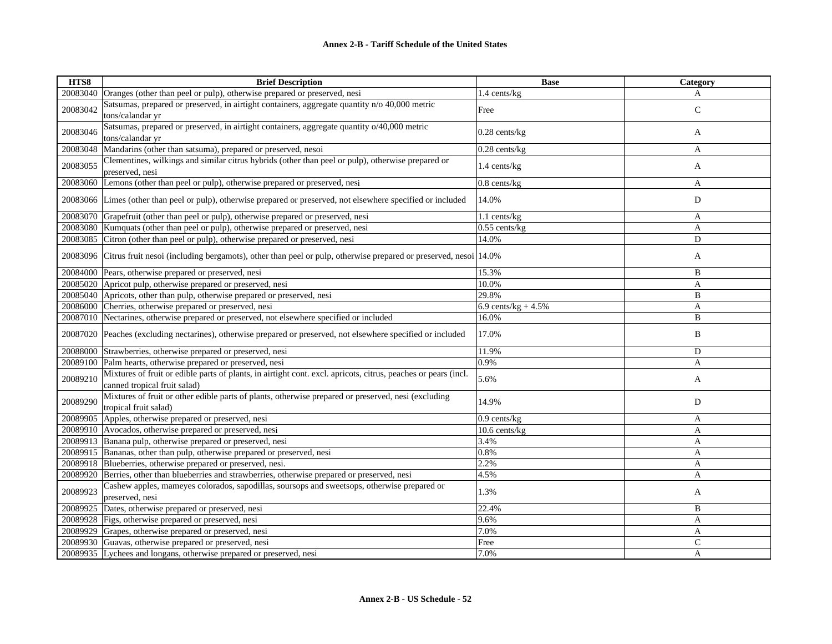| HTS8     | <b>Brief Description</b>                                                                                                                       | <b>Base</b>            | Category     |
|----------|------------------------------------------------------------------------------------------------------------------------------------------------|------------------------|--------------|
| 20083040 | Oranges (other than peel or pulp), otherwise prepared or preserved, nesi                                                                       | 1.4 cents/kg           | A            |
| 20083042 | Satsumas, prepared or preserved, in airtight containers, aggregate quantity n/o 40,000 metric<br>tons/calandar yr                              | Free                   | $\mathsf{C}$ |
| 20083046 | Satsumas, prepared or preserved, in airtight containers, aggregate quantity o/40,000 metric<br>tons/calandar yr                                | $0.28$ cents/kg        | A            |
| 20083048 | Mandarins (other than satsuma), prepared or preserved, nesoi                                                                                   | $0.28$ cents/kg        | A            |
| 20083055 | Clementines, wilkings and similar citrus hybrids (other than peel or pulp), otherwise prepared or<br>preserved, nesi                           | 1.4 cents/kg           | A            |
| 20083060 | Lemons (other than peel or pulp), otherwise prepared or preserved, nesi                                                                        | $0.8$ cents/ $kg$      | A            |
|          | 20083066 Limes (other than peel or pulp), otherwise prepared or preserved, not elsewhere specified or included                                 | 14.0%                  | D            |
| 20083070 | Grapefruit (other than peel or pulp), otherwise prepared or preserved, nesi                                                                    | 1.1 cents/kg           | A            |
| 20083080 | Kumquats (other than peel or pulp), otherwise prepared or preserved, nesi                                                                      | $0.55$ cents/kg        | A            |
| 20083085 | Citron (other than peel or pulp), otherwise prepared or preserved, nesi                                                                        | 14.0%                  | D            |
| 20083096 | Citrus fruit nesoi (including bergamots), other than peel or pulp, otherwise prepared or preserved, nesoi 14.0%                                |                        | A            |
| 20084000 | Pears, otherwise prepared or preserved, nesi                                                                                                   | 15.3%                  | B            |
| 20085020 | Apricot pulp, otherwise prepared or preserved, nesi                                                                                            | 10.0%                  | A            |
| 20085040 | Apricots, other than pulp, otherwise prepared or preserved, nesi                                                                               | 29.8%                  | B            |
| 20086000 | Cherries, otherwise prepared or preserved, nesi                                                                                                | 6.9 cents/ $kg + 4.5%$ | A            |
| 20087010 | Nectarines, otherwise prepared or preserved, not elsewhere specified or included                                                               | 16.0%                  | B            |
| 20087020 | Peaches (excluding nectarines), otherwise prepared or preserved, not elsewhere specified or included                                           | 17.0%                  | B            |
| 20088000 | Strawberries, otherwise prepared or preserved, nesi                                                                                            | 11.9%                  | D            |
| 20089100 | Palm hearts, otherwise prepared or preserved, nesi                                                                                             | 0.9%                   | A            |
| 20089210 | Mixtures of fruit or edible parts of plants, in airtight cont. excl. apricots, citrus, peaches or pears (incl.<br>canned tropical fruit salad) | 5.6%                   | A            |
| 20089290 | Mixtures of fruit or other edible parts of plants, otherwise prepared or preserved, nesi (excluding<br>tropical fruit salad)                   | 14.9%                  | D            |
| 20089905 | Apples, otherwise prepared or preserved, nesi                                                                                                  | $0.9$ cents/ $kg$      | A            |
|          | 20089910 Avocados, otherwise prepared or preserved, nesi                                                                                       | 10.6 cents/kg          | $\mathbf{A}$ |
| 20089913 | Banana pulp, otherwise prepared or preserved, nesi                                                                                             | 3.4%                   | $\mathbf{A}$ |
| 20089915 | Bananas, other than pulp, otherwise prepared or preserved, nesi                                                                                | 0.8%                   | A            |
| 20089918 | Blueberries, otherwise prepared or preserved, nesi.                                                                                            | 2.2%                   | A            |
| 20089920 | Berries, other than blueberries and strawberries, otherwise prepared or preserved, nesi                                                        | 4.5%                   | A            |
| 20089923 | Cashew apples, mameyes colorados, sapodillas, soursops and sweetsops, otherwise prepared or<br>preserved, nesi                                 | 1.3%                   | A            |
| 20089925 | Dates, otherwise prepared or preserved, nesi                                                                                                   | 22.4%                  | B            |
|          | 20089928 Figs, otherwise prepared or preserved, nesi                                                                                           | 9.6%                   | A            |
| 20089929 | Grapes, otherwise prepared or preserved, nesi                                                                                                  | 7.0%                   | A            |
| 20089930 | Guavas, otherwise prepared or preserved, nesi                                                                                                  | Free                   | $\mathsf{C}$ |
|          | 20089935 Lychees and longans, otherwise prepared or preserved, nesi                                                                            | 7.0%                   | A            |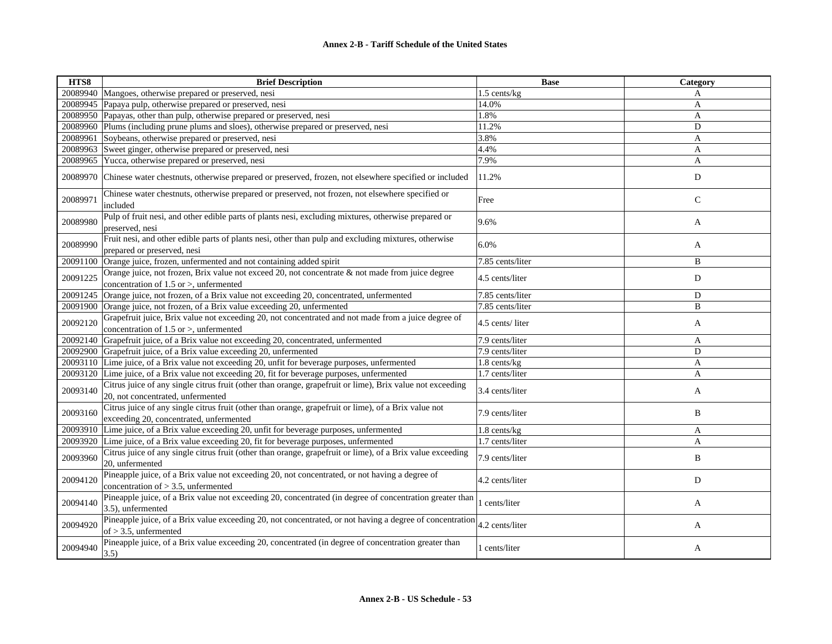| HTS8     | <b>Brief Description</b>                                                                                                                           | <b>Base</b>       | Category     |
|----------|----------------------------------------------------------------------------------------------------------------------------------------------------|-------------------|--------------|
| 20089940 | Mangoes, otherwise prepared or preserved, nesi                                                                                                     | 1.5 cents/kg      | A            |
| 20089945 | Papaya pulp, otherwise prepared or preserved, nesi                                                                                                 | 14.0%             | A            |
| 20089950 | Papayas, other than pulp, otherwise prepared or preserved, nesi                                                                                    | 1.8%              | A            |
| 20089960 | Plums (including prune plums and sloes), otherwise prepared or preserved, nesi                                                                     | 11.2%             | D            |
| 20089961 | Soybeans, otherwise prepared or preserved, nesi                                                                                                    | 3.8%              | A            |
| 20089963 | Sweet ginger, otherwise prepared or preserved, nesi                                                                                                | 4.4%              | A            |
| 20089965 | Yucca, otherwise prepared or preserved, nesi                                                                                                       | 7.9%              | A            |
| 20089970 | Chinese water chestnuts, otherwise prepared or preserved, frozen, not elsewhere specified or included                                              | 11.2%             | D            |
| 20089971 | Chinese water chestnuts, otherwise prepared or preserved, not frozen, not elsewhere specified or<br>included                                       | Free              | $\mathsf{C}$ |
| 20089980 | Pulp of fruit nesi, and other edible parts of plants nesi, excluding mixtures, otherwise prepared or<br>preserved, nesi                            | 9.6%              | A            |
| 20089990 | Fruit nesi, and other edible parts of plants nesi, other than pulp and excluding mixtures, otherwise<br>prepared or preserved, nesi                | 6.0%              | A            |
| 20091100 | Orange juice, frozen, unfermented and not containing added spirit                                                                                  | 7.85 cents/liter  | B            |
| 20091225 | Orange juice, not frozen, Brix value not exceed 20, not concentrate & not made from juice degree<br>concentration of $1.5$ or $>$ , unfermented    | 4.5 cents/liter   | D            |
| 20091245 | Orange juice, not frozen, of a Brix value not exceeding 20, concentrated, unfermented                                                              | 7.85 cents/liter  | D            |
| 20091900 | Orange juice, not frozen, of a Brix value exceeding 20, unfermented                                                                                | 7.85 cents/liter  | B            |
| 20092120 | Grapefruit juice, Brix value not exceeding 20, not concentrated and not made from a juice degree of<br>concentration of $1.5$ or $>$ , unfermented | 4.5 cents/liter   | A            |
| 20092140 | Grapefruit juice, of a Brix value not exceeding 20, concentrated, unfermented                                                                      | 7.9 cents/liter   | A            |
| 20092900 | Grapefruit juice, of a Brix value exceeding 20, unfermented                                                                                        | 7.9 cents/liter   | D            |
| 20093110 | Lime juice, of a Brix value not exceeding 20, unfit for beverage purposes, unfermented                                                             | $1.8$ cents/ $kg$ | A            |
| 20093120 | Lime juice, of a Brix value not exceeding 20, fit for beverage purposes, unfermented                                                               | 1.7 cents/liter   | A            |
| 20093140 | Citrus juice of any single citrus fruit (other than orange, grapefruit or lime), Brix value not exceeding<br>20, not concentrated, unfermented     | 3.4 cents/liter   | A            |
| 20093160 | Citrus juice of any single citrus fruit (other than orange, grapefruit or lime), of a Brix value not<br>exceeding 20, concentrated, unfermented    | 7.9 cents/liter   | B            |
| 20093910 | Lime juice, of a Brix value exceeding 20, unfit for beverage purposes, unfermented                                                                 | 1.8 cents/kg      | A            |
| 20093920 | Lime juice, of a Brix value exceeding 20, fit for beverage purposes, unfermented                                                                   | 1.7 cents/liter   | A            |
| 20093960 | Citrus juice of any single citrus fruit (other than orange, grapefruit or lime), of a Brix value exceeding<br>20, unfermented                      | 7.9 cents/liter   | B            |
| 20094120 | Pineapple juice, of a Brix value not exceeding 20, not concentrated, or not having a degree of<br>concentration of $> 3.5$ , unfermented           | 4.2 cents/liter   | D            |
| 20094140 | Pineapple juice, of a Brix value not exceeding 20, concentrated (in degree of concentration greater than<br>3.5), unfermented                      | cents/liter       | A            |
| 20094920 | Pineapple juice, of a Brix value exceeding 20, not concentrated, or not having a degree of concentration<br>of $> 3.5$ , unfermented               | 4.2 cents/liter   | A            |
| 20094940 | Pineapple juice, of a Brix value exceeding 20, concentrated (in degree of concentration greater than<br>3.5)                                       | 1 cents/liter     | A            |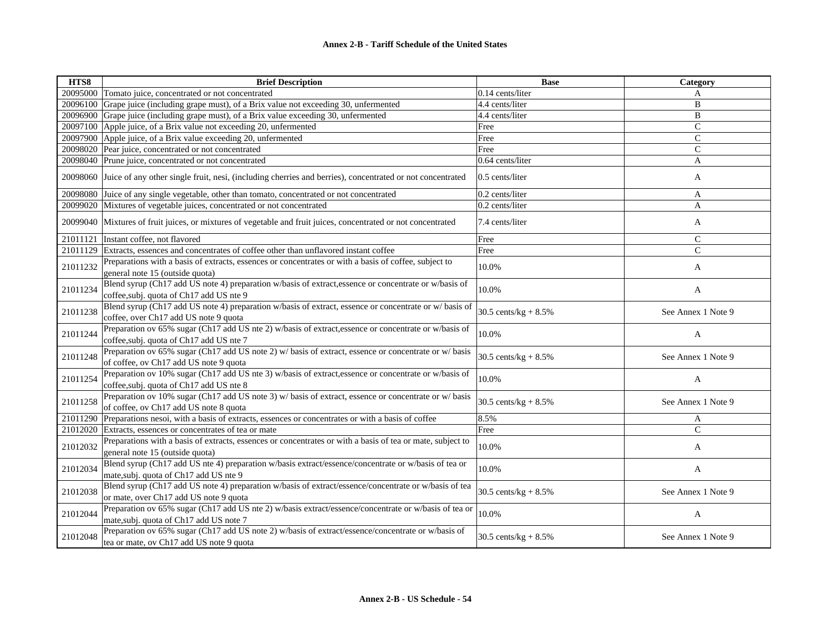| HTS8     | <b>Brief Description</b>                                                                                                                          | <b>Base</b>             | Category           |
|----------|---------------------------------------------------------------------------------------------------------------------------------------------------|-------------------------|--------------------|
| 20095000 | Tomato juice, concentrated or not concentrated                                                                                                    | 0.14 cents/liter        | A                  |
| 20096100 | Grape juice (including grape must), of a Brix value not exceeding 30, unfermented                                                                 | 4.4 cents/liter         | B                  |
| 20096900 | Grape juice (including grape must), of a Brix value exceeding 30, unfermented                                                                     | 4.4 cents/liter         | B                  |
| 20097100 | Apple juice, of a Brix value not exceeding 20, unfermented                                                                                        | Free                    | $\mathcal{C}$      |
| 20097900 | Apple juice, of a Brix value exceeding 20, unfermented                                                                                            | Free                    | $\mathcal{C}$      |
| 20098020 | Pear juice, concentrated or not concentrated                                                                                                      | Free                    | $\mathcal{C}$      |
| 20098040 | Prune juice, concentrated or not concentrated                                                                                                     | 0.64 cents/liter        | A                  |
| 20098060 | Juice of any other single fruit, nesi, (including cherries and berries), concentrated or not concentrated                                         | $0.5$ cents/liter       | A                  |
| 20098080 | Juice of any single vegetable, other than tomato, concentrated or not concentrated                                                                | 0.2 cents/liter         | A                  |
| 20099020 | Mixtures of vegetable juices, concentrated or not concentrated                                                                                    | 0.2 cents/liter         | A                  |
| 20099040 | Mixtures of fruit juices, or mixtures of vegetable and fruit juices, concentrated or not concentrated                                             | 7.4 cents/liter         | A                  |
| 21011121 | Instant coffee, not flavored                                                                                                                      | Free                    | $\mathcal{C}$      |
| 21011129 | Extracts, essences and concentrates of coffee other than unflavored instant coffee                                                                | Free                    | $\mathbf C$        |
| 21011232 | Preparations with a basis of extracts, essences or concentrates or with a basis of coffee, subject to<br>general note 15 (outside quota)          | 10.0%                   | A                  |
| 21011234 | Blend syrup (Ch17 add US note 4) preparation w/basis of extract, essence or concentrate or w/basis of<br>coffee, subj. quota of Ch17 add US nte 9 | 10.0%                   | A                  |
| 21011238 | Blend syrup (Ch17 add US note 4) preparation w/basis of extract, essence or concentrate or w/ basis of<br>coffee, over Ch17 add US note 9 quota   | 30.5 cents/kg + $8.5\%$ | See Annex 1 Note 9 |
| 21011244 | Preparation ov 65% sugar (Ch17 add US nte 2) w/basis of extract, essence or concentrate or w/basis of<br>coffee, subj. quota of Ch17 add US nte 7 | 10.0%                   | A                  |
| 21011248 | Preparation ov 65% sugar (Ch17 add US note 2) w/ basis of extract, essence or concentrate or w/ basis<br>of coffee, ov Ch17 add US note 9 quota   | 30.5 cents/kg + $8.5\%$ | See Annex 1 Note 9 |
| 21011254 | Preparation ov 10% sugar (Ch17 add US nte 3) w/basis of extract, essence or concentrate or w/basis of<br>coffee, subj. quota of Ch17 add US nte 8 | 10.0%                   | $\mathbf{A}$       |
| 21011258 | Preparation ov 10% sugar (Ch17 add US note 3) w/ basis of extract, essence or concentrate or w/ basis<br>of coffee, ov Ch17 add US note 8 quota   | 30.5 cents/ $kg + 8.5%$ | See Annex 1 Note 9 |
| 21011290 | Preparations nesoi, with a basis of extracts, essences or concentrates or with a basis of coffee                                                  | 8.5%                    | A                  |
| 21012020 | Extracts, essences or concentrates of tea or mate                                                                                                 | Free                    | $\mathcal{C}$      |
| 21012032 | Preparations with a basis of extracts, essences or concentrates or with a basis of tea or mate, subject to<br>general note 15 (outside quota)     | 10.0%                   | A                  |
| 21012034 | Blend syrup (Ch17 add US nte 4) preparation w/basis extract/essence/concentrate or w/basis of tea or<br>mate, subj. quota of Ch17 add US nte 9    | 10.0%                   | A                  |
| 21012038 | Blend syrup (Ch17 add US note 4) preparation w/basis of extract/essence/concentrate or w/basis of tea<br>or mate, over Ch17 add US note 9 quota   | 30.5 cents/ $kg + 8.5%$ | See Annex 1 Note 9 |
| 21012044 | Preparation ov 65% sugar (Ch17 add US nte 2) w/basis extract/essence/concentrate or w/basis of tea or<br>mate, subj. quota of Ch17 add US note 7  | 10.0%                   | A                  |
| 21012048 | Preparation ov 65% sugar (Ch17 add US note 2) w/basis of extract/essence/concentrate or w/basis of<br>tea or mate, ov Ch17 add US note 9 quota    | 30.5 cents/kg + $8.5\%$ | See Annex 1 Note 9 |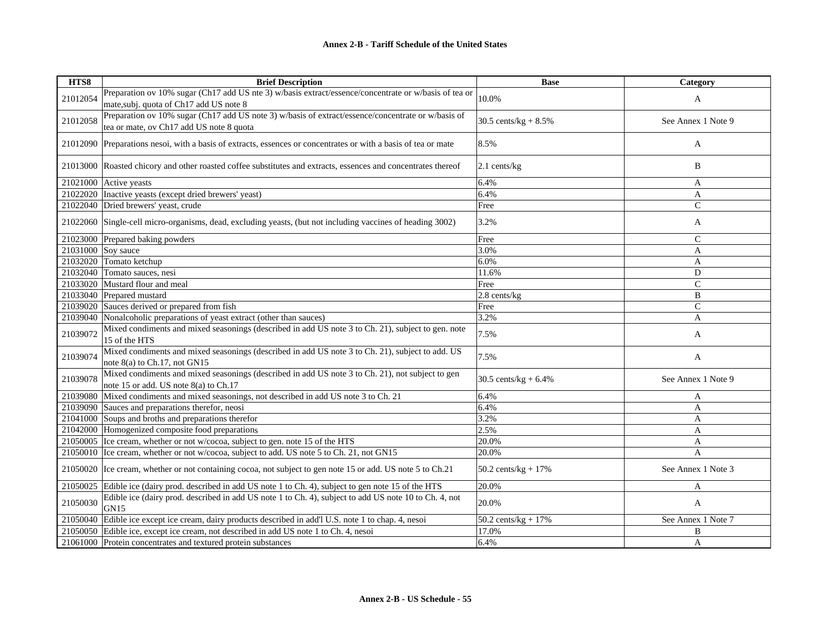| HTS8     | <b>Brief Description</b>                                                                                                                         | <b>Base</b>                    | Category           |
|----------|--------------------------------------------------------------------------------------------------------------------------------------------------|--------------------------------|--------------------|
| 21012054 | Preparation ov 10% sugar (Ch17 add US nte 3) w/basis extract/essence/concentrate or w/basis of tea or<br>mate, subj. quota of Ch17 add US note 8 | 10.0%                          | A                  |
| 21012058 | Preparation ov 10% sugar (Ch17 add US note 3) w/basis of extract/essence/concentrate or w/basis of<br>tea or mate, ov Ch17 add US note 8 quota   | 30.5 cents/kg + $8.5\%$        | See Annex 1 Note 9 |
|          | 21012090 Preparations nesol, with a basis of extracts, essences or concentrates or with a basis of tea or mate                                   | 8.5%                           | A                  |
|          | 21013000 Roasted chicory and other roasted coffee substitutes and extracts, essences and concentrates thereof                                    | $2.1$ cents/kg                 | B                  |
| 21021000 | Active yeasts                                                                                                                                    | 6.4%                           | A                  |
|          | 21022020 Inactive yeasts (except dried brewers' yeast)                                                                                           | 6.4%                           | A                  |
| 21022040 | Dried brewers' yeast, crude                                                                                                                      | Free                           | $\mathbf C$        |
| 21022060 | Single-cell micro-organisms, dead, excluding yeasts, (but not including vaccines of heading 3002)                                                | 3.2%                           | A                  |
|          | 21023000 Prepared baking powders                                                                                                                 | Free                           | C                  |
| 21031000 | Soy sauce                                                                                                                                        | 3.0%                           | A                  |
|          | 21032020 Tomato ketchup                                                                                                                          | 6.0%                           | A                  |
| 21032040 | Tomato sauces, nesi                                                                                                                              | 11.6%                          | D                  |
| 21033020 | Mustard flour and meal                                                                                                                           | Free                           | $\mathcal{C}$      |
|          | 21033040 Prepared mustard                                                                                                                        | 2.8 cents/kg                   | B                  |
| 21039020 | Sauces derived or prepared from fish                                                                                                             | Free                           | $\mathcal{C}$      |
| 21039040 | Nonalcoholic preparations of yeast extract (other than sauces)                                                                                   | 3.2%                           | A                  |
| 21039072 | Mixed condiments and mixed seasonings (described in add US note 3 to Ch. 21), subject to gen. note<br>15 of the HTS                              | 7.5%                           | A                  |
| 21039074 | Mixed condiments and mixed seasonings (described in add US note 3 to Ch. 21), subject to add. US<br>note 8(a) to Ch.17, not GN15                 | 7.5%                           | A                  |
| 21039078 | Mixed condiments and mixed seasonings (described in add US note 3 to Ch. 21), not subject to gen<br>note 15 or add. US note 8(a) to Ch.17        | 30.5 cents/kg + $6.4\%$        | See Annex 1 Note 9 |
| 21039080 | Mixed condiments and mixed seasonings, not described in add US note 3 to Ch. 21                                                                  | 6.4%                           | A                  |
| 21039090 | Sauces and preparations therefor, neosi                                                                                                          | 6.4%                           | A                  |
|          | 21041000 Soups and broths and preparations therefor                                                                                              | 3.2%                           | A                  |
|          | 21042000 Homogenized composite food preparations                                                                                                 | 2.5%                           | A                  |
|          | 21050005 Ice cream, whether or not w/cocoa, subject to gen. note 15 of the HTS                                                                   | 20.0%                          | A                  |
|          | 21050010 Ice cream, whether or not w/cocoa, subject to add. US note 5 to Ch. 21, not GN15                                                        | 20.0%                          | $\overline{A}$     |
|          | 21050020 Ice cream, whether or not containing cocoa, not subject to gen note 15 or add. US note 5 to Ch.21                                       | $50.2 \text{ cents/kg} + 17\%$ | See Annex 1 Note 3 |
| 21050025 | Edible ice (dairy prod. described in add US note 1 to Ch. 4), subject to gen note 15 of the HTS                                                  | 20.0%                          | A                  |
| 21050030 | Edible ice (dairy prod. described in add US note 1 to Ch. 4), subject to add US note 10 to Ch. 4, not<br>GN15                                    | 20.0%                          | A                  |
| 21050040 | Edible ice except ice cream, dairy products described in add'l U.S. note 1 to chap. 4, nesoi                                                     | $50.2$ cents/kg + 17%          | See Annex 1 Note 7 |
|          | 21050050 Edible ice, except ice cream, not described in add US note 1 to Ch. 4, nesoi                                                            | 17.0%                          | B                  |
|          | 21061000 Protein concentrates and textured protein substances                                                                                    | 6.4%                           | A                  |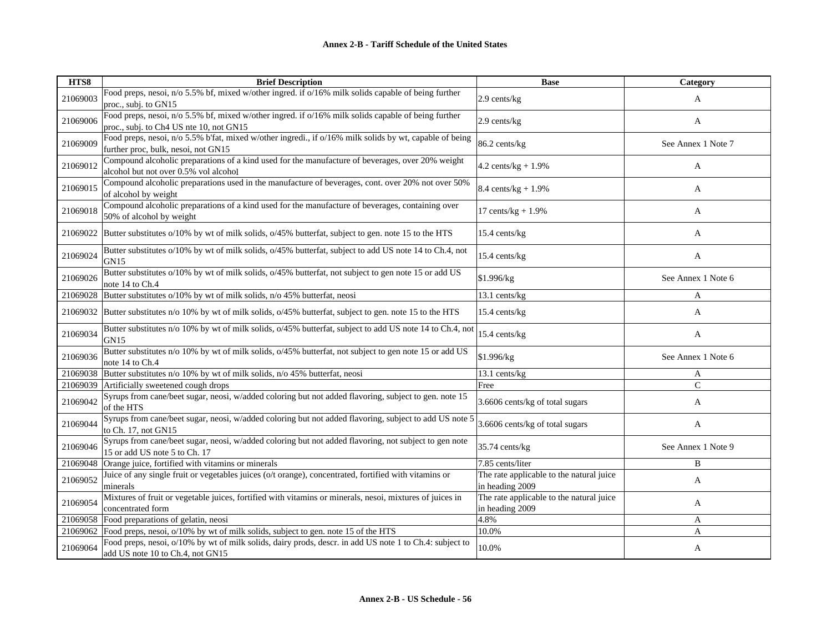| HTS8     | <b>Brief Description</b>                                                                                                                       | <b>Base</b>                                                 | Category           |
|----------|------------------------------------------------------------------------------------------------------------------------------------------------|-------------------------------------------------------------|--------------------|
| 21069003 | Food preps, nesoi, n/o 5.5% bf, mixed w/other ingred. if o/16% milk solids capable of being further<br>proc., subj. to GN15                    | 2.9 cents/kg                                                | A                  |
| 21069006 | Food preps, nesoi, n/o 5.5% bf, mixed w/other ingred. if o/16% milk solids capable of being further<br>proc., subj. to Ch4 US nte 10, not GN15 | 2.9 cents/kg                                                | A                  |
| 21069009 | Food preps, nesoi, n/o 5.5% b'fat, mixed w/other ingredi., if o/16% milk solids by wt, capable of being<br>further proc, bulk, nesoi, not GN15 | 86.2 cents/kg                                               | See Annex 1 Note 7 |
| 21069012 | Compound alcoholic preparations of a kind used for the manufacture of beverages, over 20% weight<br>alcohol but not over 0.5% vol alcohol      | 4.2 cents/ $kg + 1.9%$                                      | A                  |
| 21069015 | Compound alcoholic preparations used in the manufacture of beverages, cont. over 20% not over 50%<br>of alcohol by weight                      | $8.4 \text{ cents/kg} + 1.9\%$                              | A                  |
| 21069018 | Compound alcoholic preparations of a kind used for the manufacture of beverages, containing over<br>50% of alcohol by weight                   | 17 cents/ $kg + 1.9%$                                       | A                  |
| 21069022 | Butter substitutes o/10% by wt of milk solids, o/45% butterfat, subject to gen. note 15 to the HTS                                             | 15.4 cents/kg                                               | A                  |
| 21069024 | Butter substitutes o/10% by wt of milk solids, o/45% butterfat, subject to add US note 14 to Ch.4, not<br>GN15                                 | 15.4 cents/kg                                               | A                  |
| 21069026 | Butter substitutes o/10% by wt of milk solids, o/45% butterfat, not subject to gen note 15 or add US<br>note 14 to Ch.4                        | \$1.996/kg                                                  | See Annex 1 Note 6 |
| 21069028 | Butter substitutes o/10% by wt of milk solids, n/o 45% butterfat, neosi                                                                        | 13.1 cents/kg                                               | A                  |
| 21069032 | Butter substitutes n/o 10% by wt of milk solids, o/45% butterfat, subject to gen. note 15 to the HTS                                           | 15.4 cents/kg                                               | A                  |
| 21069034 | Butter substitutes n/o 10% by wt of milk solids, o/45% butterfat, subject to add US note 14 to Ch.4, not<br>GN <sub>15</sub>                   | 15.4 cents/kg                                               | A                  |
| 21069036 | Butter substitutes n/o 10% by wt of milk solids, o/45% butterfat, not subject to gen note 15 or add US<br>note 14 to Ch.4                      | \$1.996/kg                                                  | See Annex 1 Note 6 |
| 21069038 | Butter substitutes n/o 10% by wt of milk solids, n/o 45% butterfat, neosi                                                                      | 13.1 cents/kg                                               | A                  |
| 21069039 | Artificially sweetened cough drops                                                                                                             | Free                                                        | $\mathbf{C}$       |
| 21069042 | Syrups from cane/beet sugar, neosi, w/added coloring but not added flavoring, subject to gen. note 15<br>of the HTS                            | 3.6606 cents/kg of total sugars                             | A                  |
| 21069044 | Syrups from cane/beet sugar, neosi, w/added coloring but not added flavoring, subject to add US note 5<br>to Ch. 17, not GN15                  | 3.6606 cents/kg of total sugars                             | A                  |
| 21069046 | Syrups from cane/beet sugar, neosi, w/added coloring but not added flavoring, not subject to gen note<br>15 or add US note 5 to Ch. 17         | 35.74 cents/kg                                              | See Annex 1 Note 9 |
| 21069048 | Orange juice, fortified with vitamins or minerals                                                                                              | 7.85 cents/liter                                            | B                  |
| 21069052 | Juice of any single fruit or vegetables juices (o/t orange), concentrated, fortified with vitamins or<br>minerals                              | The rate applicable to the natural juice<br>in heading 2009 | A                  |
| 21069054 | Mixtures of fruit or vegetable juices, fortified with vitamins or minerals, nesoi, mixtures of juices in<br>concentrated form                  | The rate applicable to the natural juice<br>in heading 2009 | A                  |
| 21069058 | Food preparations of gelatin, neosi                                                                                                            | 4.8%                                                        | A                  |
| 21069062 | Food preps, nesoi, o/10% by wt of milk solids, subject to gen. note 15 of the HTS                                                              | 10.0%                                                       | A                  |
| 21069064 | Food preps, nesoi, o/10% by wt of milk solids, dairy prods, descr. in add US note 1 to Ch.4: subject to<br>add US note 10 to Ch.4, not GN15    | 10.0%                                                       | A                  |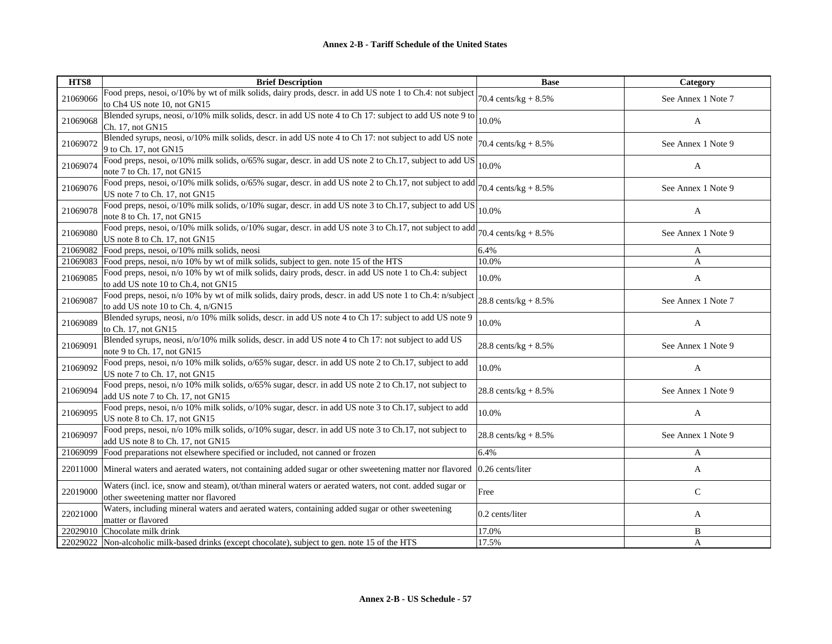| HTS8     | <b>Brief Description</b>                                                                                                                                                           | <b>Base</b>                     | Category           |
|----------|------------------------------------------------------------------------------------------------------------------------------------------------------------------------------------|---------------------------------|--------------------|
| 21069066 | Food preps, nesoi, $o/10\%$ by wt of milk solids, dairy prods, descr. in add US note 1 to Ch.4: not subject $\vert_{70.4 \text{ cents/kg} + 8.5\%}$<br>to Ch4 US note 10, not GN15 |                                 | See Annex 1 Note 7 |
| 21069068 | Blended syrups, neosi, o/10% milk solids, descr. in add US note 4 to Ch 17: subject to add US note 9 to<br>Ch. 17, not GN15                                                        | 10.0%                           | A                  |
| 21069072 | Blended syrups, neosi, o/10% milk solids, descr. in add US note 4 to Ch 17: not subject to add US note<br>9 to Ch. 17, not GN15                                                    | 70.4 cents/ $kg + 8.5%$         | See Annex 1 Note 9 |
| 21069074 | Food preps, nesoi, o/10% milk solids, o/65% sugar, descr. in add US note 2 to Ch.17, subject to add US<br>note 7 to Ch. 17, not GN15                                               | 10.0%                           | A                  |
| 21069076 | Food preps, nesoi, o/10% milk solids, o/65% sugar, descr. in add US note 2 to Ch.17, not subject to add<br>US note 7 to Ch. 17, not GN15                                           | 70.4 cents/ $kg + 8.5%$         | See Annex 1 Note 9 |
| 21069078 | Food preps, nesoi, o/10% milk solids, o/10% sugar, descr. in add US note 3 to Ch.17, subject to add US<br>note 8 to Ch. 17, not GN15                                               | 10.0%                           | A                  |
| 21069080 | Food preps, nesoi, o/10% milk solids, o/10% sugar, descr. in add US note 3 to Ch.17, not subject to add<br>US note 8 to Ch. 17, not GN15                                           | 70.4 cents/kg + $8.5\%$         | See Annex 1 Note 9 |
| 21069082 | Food preps, nesoi, o/10% milk solids, neosi                                                                                                                                        | 6.4%                            | A                  |
| 21069083 | Food preps, nesoi, n/o 10% by wt of milk solids, subject to gen. note 15 of the HTS                                                                                                | 10.0%                           | A                  |
| 21069085 | Food preps, nesoi, n/o 10% by wt of milk solids, dairy prods, descr. in add US note 1 to Ch.4: subject<br>to add US note 10 to Ch.4, not GN15                                      | 10.0%                           | A                  |
| 21069087 | Food preps, nesoi, n/o 10% by wt of milk solids, dairy prods, descr. in add US note 1 to Ch.4: n/subject<br>to add US note 10 to Ch. 4, n/GN15                                     | $28.8 \text{ cents/kg} + 8.5\%$ | See Annex 1 Note 7 |
| 21069089 | Blended syrups, neosi, n/o 10% milk solids, descr. in add US note 4 to Ch 17: subject to add US note 9<br>to Ch. 17, not GN15                                                      | 10.0%                           | A                  |
| 21069091 | Blended syrups, neosi, n/o/10% milk solids, descr. in add US note 4 to Ch 17: not subject to add US<br>note 9 to Ch. 17, not GN15                                                  | 28.8 cents/ $kg + 8.5%$         | See Annex 1 Note 9 |
| 21069092 | Food preps, nesoi, n/o 10% milk solids, o/65% sugar, descr. in add US note 2 to Ch.17, subject to add<br>US note 7 to Ch. 17, not GN15                                             | 10.0%                           | A                  |
| 21069094 | Food preps, nesoi, n/o 10% milk solids, o/65% sugar, descr. in add US note 2 to Ch.17, not subject to<br>add US note 7 to Ch. 17, not GN15                                         | 28.8 cents/kg + $8.5\%$         | See Annex 1 Note 9 |
| 21069095 | Food preps, nesoi, n/o 10% milk solids, o/10% sugar, descr. in add US note 3 to Ch.17, subject to add<br>US note 8 to Ch. 17, not GN15                                             | 10.0%                           | A                  |
| 21069097 | Food preps, nesoi, n/o 10% milk solids, o/10% sugar, descr. in add US note 3 to Ch.17, not subject to<br>add US note 8 to Ch. 17, not GN15                                         | 28.8 cents/ $kg + 8.5%$         | See Annex 1 Note 9 |
| 21069099 | Food preparations not elsewhere specified or included, not canned or frozen                                                                                                        | 6.4%                            | A                  |
| 22011000 | Mineral waters and aerated waters, not containing added sugar or other sweetening matter nor flavored 0.26 cents/liter                                                             |                                 | A                  |
| 22019000 | Waters (incl. ice, snow and steam), ot/than mineral waters or aerated waters, not cont. added sugar or<br>other sweetening matter nor flavored                                     | Free                            | $\mathsf{C}$       |
| 22021000 | Waters, including mineral waters and aerated waters, containing added sugar or other sweetening<br>matter or flavored                                                              | 0.2 cents/liter                 | A                  |
| 22029010 | Chocolate milk drink                                                                                                                                                               | 17.0%                           | B                  |
| 22029022 | Non-alcoholic milk-based drinks (except chocolate), subject to gen. note 15 of the HTS                                                                                             | 17.5%                           | A                  |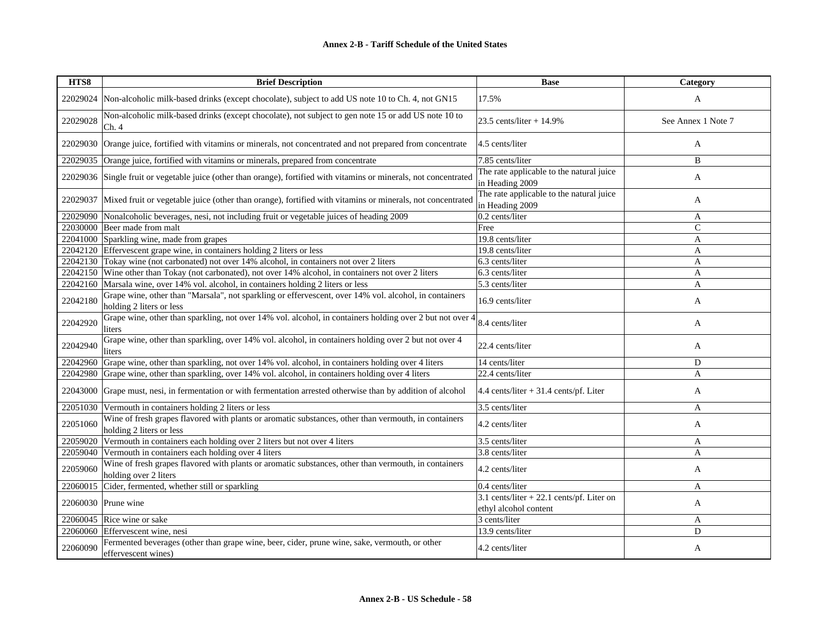| HTS8     | <b>Brief Description</b>                                                                                                          | <b>Base</b>                                                          | Category           |
|----------|-----------------------------------------------------------------------------------------------------------------------------------|----------------------------------------------------------------------|--------------------|
| 22029024 | Non-alcoholic milk-based drinks (except chocolate), subject to add US note 10 to Ch. 4, not GN15                                  | 17.5%                                                                | $\mathbf{A}$       |
| 22029028 | Non-alcoholic milk-based drinks (except chocolate), not subject to gen note 15 or add US note 10 to<br>Ch.4                       | 23.5 cents/liter + $14.9\%$                                          | See Annex 1 Note 7 |
| 22029030 | Orange juice, fortified with vitamins or minerals, not concentrated and not prepared from concentrate                             | 4.5 cents/liter                                                      | A                  |
| 22029035 | Orange juice, fortified with vitamins or minerals, prepared from concentrate                                                      | 7.85 cents/liter                                                     | B                  |
|          | 22029036 Single fruit or vegetable juice (other than orange), fortified with vitamins or minerals, not concentrated               | The rate applicable to the natural juice<br>in Heading 2009          | A                  |
| 22029037 | Mixed fruit or vegetable juice (other than orange), fortified with vitamins or minerals, not concentrated                         | The rate applicable to the natural juice<br>in Heading 2009          | A                  |
| 22029090 | Nonalcoholic beverages, nesi, not including fruit or vegetable juices of heading 2009                                             | 0.2 cents/liter                                                      | A                  |
|          | 22030000 Beer made from malt                                                                                                      | Free                                                                 | $\mathcal{C}$      |
| 22041000 | Sparkling wine, made from grapes                                                                                                  | 19.8 cents/liter                                                     | A                  |
| 22042120 | Effervescent grape wine, in containers holding 2 liters or less                                                                   | 19.8 cents/liter                                                     | A                  |
|          | 22042130 Tokay wine (not carbonated) not over 14% alcohol, in containers not over 2 liters                                        | 6.3 cents/liter                                                      | A                  |
| 22042150 | Wine other than Tokay (not carbonated), not over 14% alcohol, in containers not over 2 liters                                     | 6.3 cents/liter                                                      | A                  |
| 22042160 | Marsala wine, over 14% vol. alcohol, in containers holding 2 liters or less                                                       | 5.3 cents/liter                                                      | A                  |
| 22042180 | Grape wine, other than "Marsala", not sparkling or effervescent, over 14% vol. alcohol, in containers<br>holding 2 liters or less | 16.9 cents/liter                                                     | A                  |
| 22042920 | Grape wine, other than sparkling, not over 14% vol. alcohol, in containers holding over 2 but not over 4<br>liters                | 8.4 cents/liter                                                      | A                  |
| 22042940 | Grape wine, other than sparkling, over 14% vol. alcohol, in containers holding over 2 but not over 4<br>liters                    | 22.4 cents/liter                                                     | A                  |
| 22042960 | Grape wine, other than sparkling, not over 14% vol. alcohol, in containers holding over 4 liters                                  | 14 cents/liter                                                       | D                  |
| 22042980 | Grape wine, other than sparkling, over 14% vol. alcohol, in containers holding over 4 liters                                      | 22.4 cents/liter                                                     | A                  |
| 22043000 | Grape must, nesi, in fermentation or with fermentation arrested otherwise than by addition of alcohol                             | 4.4 cents/liter $+31.4$ cents/pf. Liter                              | A                  |
| 22051030 | Vermouth in containers holding 2 liters or less                                                                                   | 3.5 cents/liter                                                      | A                  |
| 22051060 | Wine of fresh grapes flavored with plants or aromatic substances, other than vermouth, in containers<br>holding 2 liters or less  | 4.2 cents/liter                                                      | A                  |
| 22059020 | Vermouth in containers each holding over 2 liters but not over 4 liters                                                           | 3.5 cents/liter                                                      | A                  |
| 22059040 | Vermouth in containers each holding over 4 liters                                                                                 | 3.8 cents/liter                                                      | A                  |
| 22059060 | Wine of fresh grapes flavored with plants or aromatic substances, other than vermouth, in containers<br>holding over 2 liters     | 4.2 cents/liter                                                      | A                  |
| 22060015 | Cider, fermented, whether still or sparkling                                                                                      | 0.4 cents/liter                                                      | A                  |
|          | 22060030 Prune wine                                                                                                               | $3.1$ cents/liter + 22.1 cents/pf. Liter on<br>ethyl alcohol content | A                  |
| 22060045 | Rice wine or sake                                                                                                                 | 3 cents/liter                                                        | A                  |
| 22060060 | Effervescent wine, nesi                                                                                                           | 13.9 cents/liter                                                     | D                  |
| 22060090 | Fermented beverages (other than grape wine, beer, cider, prune wine, sake, vermouth, or other<br>effervescent wines)              | 4.2 cents/liter                                                      | A                  |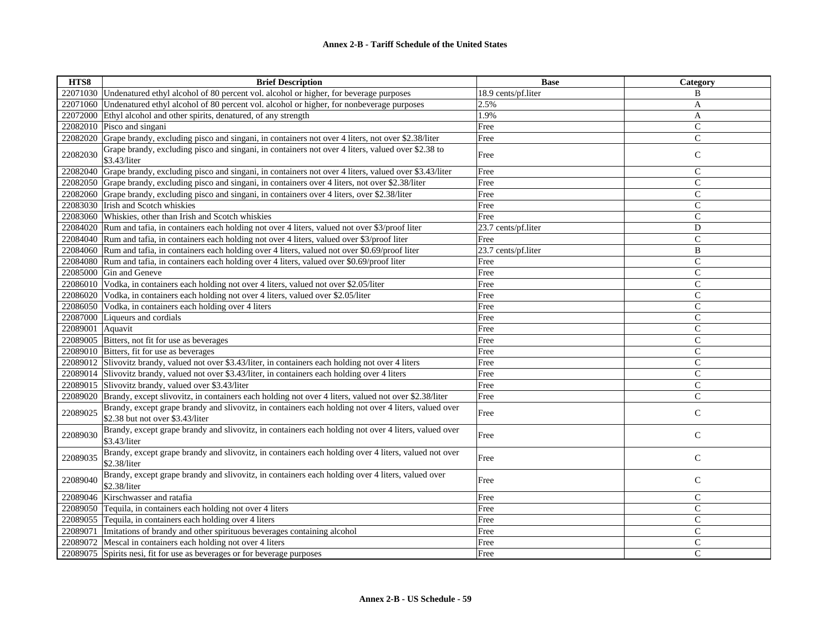| HTS8     | <b>Brief Description</b>                                                                                                                 | <b>Base</b>         | Category       |
|----------|------------------------------------------------------------------------------------------------------------------------------------------|---------------------|----------------|
| 22071030 | Undenatured ethyl alcohol of 80 percent vol. alcohol or higher, for beverage purposes                                                    | 18.9 cents/pf.liter | B              |
| 22071060 | Undenatured ethyl alcohol of 80 percent vol. alcohol or higher, for nonbeverage purposes                                                 | 2.5%                | A              |
| 22072000 | Ethyl alcohol and other spirits, denatured, of any strength                                                                              | 1.9%                | A              |
|          | 22082010 Pisco and singani                                                                                                               | Free                | ${\bf C}$      |
| 22082020 | Grape brandy, excluding pisco and singani, in containers not over 4 liters, not over \$2.38/liter                                        | Free                | $\mathbf{C}$   |
| 22082030 | Grape brandy, excluding pisco and singani, in containers not over 4 liters, valued over \$2.38 to<br>\$3.43/liter                        | Free                | $\mathsf{C}$   |
| 22082040 | Grape brandy, excluding pisco and singani, in containers not over 4 liters, valued over \$3.43/liter                                     | Free                | $\mathcal{C}$  |
|          | 22082050 Grape brandy, excluding pisco and singani, in containers over 4 liters, not over \$2.38/liter                                   | Free                | $\mathcal{C}$  |
|          | 22082060 Grape brandy, excluding pisco and singani, in containers over 4 liters, over \$2.38/liter                                       | Free                | $\mathsf{C}$   |
|          | 22083030 Irish and Scotch whiskies                                                                                                       | Free                | $\mathcal{C}$  |
| 22083060 | Whiskies, other than Irish and Scotch whiskies                                                                                           | Free                | $\overline{C}$ |
| 22084020 | Rum and tafia, in containers each holding not over 4 liters, valued not over \$3/proof liter                                             | 23.7 cents/pf.liter | D              |
| 22084040 | Rum and tafia, in containers each holding not over 4 liters, valued over \$3/proof liter                                                 | Free                | $\mathbf C$    |
| 22084060 | Rum and tafia, in containers each holding over 4 liters, valued not over \$0.69/proof liter                                              | 23.7 cents/pf.liter | B              |
|          | 22084080 Rum and tafia, in containers each holding over 4 liters, valued over \$0.69/proof liter                                         | Free                | $\mathbf C$    |
| 22085000 | Gin and Geneve                                                                                                                           | Free                | $\mathcal{C}$  |
| 22086010 | Vodka, in containers each holding not over 4 liters, valued not over \$2.05/liter                                                        | Free                | $\mathbf C$    |
| 22086020 | Vodka, in containers each holding not over 4 liters, valued over \$2.05/liter                                                            | Free                | $\mathcal{C}$  |
| 22086050 | Vodka, in containers each holding over 4 liters                                                                                          | Free                | $\mathsf{C}$   |
|          | 22087000 Liqueurs and cordials                                                                                                           | Free                | $\mathsf{C}$   |
| 22089001 | Aquavit                                                                                                                                  | Free                | $\mathcal{C}$  |
| 22089005 | Bitters, not fit for use as beverages                                                                                                    | Free                | $\mathcal{C}$  |
|          | 22089010 Bitters, fit for use as beverages                                                                                               | Free                | $\mathsf{C}$   |
| 22089012 | Slivovitz brandy, valued not over \$3.43/liter, in containers each holding not over 4 liters                                             | Free                | $\mathcal{C}$  |
| 22089014 | Slivovitz brandy, valued not over \$3.43/liter, in containers each holding over 4 liters                                                 | Free                | $\mathsf{C}$   |
|          | 22089015 Slivovitz brandy, valued over \$3.43/liter                                                                                      | Free                | $\mathsf{C}$   |
| 22089020 | Brandy, except slivovitz, in containers each holding not over 4 liters, valued not over \$2.38/liter                                     | Free                | $\mathsf{C}$   |
| 22089025 | Brandy, except grape brandy and slivovitz, in containers each holding not over 4 liters, valued over<br>\$2.38 but not over \$3.43/liter | Free                | $\mathsf{C}$   |
| 22089030 | Brandy, except grape brandy and slivovitz, in containers each holding not over 4 liters, valued over<br>\$3.43/liter                     | Free                | ${\bf C}$      |
| 22089035 | Brandy, except grape brandy and slivovitz, in containers each holding over 4 liters, valued not over<br>\$2.38/liter                     | Free                | $\mathsf C$    |
| 22089040 | Brandy, except grape brandy and slivovitz, in containers each holding over 4 liters, valued over<br>\$2.38/liter                         | Free                | $\mathsf{C}$   |
| 22089046 | Kirschwasser and ratafia                                                                                                                 | Free                | $\mathsf{C}$   |
| 22089050 | Tequila, in containers each holding not over 4 liters                                                                                    | Free                | ${\bf C}$      |
|          | 22089055 Tequila, in containers each holding over 4 liters                                                                               | Free                | $\mathsf{C}$   |
| 22089071 | Imitations of brandy and other spirituous beverages containing alcohol                                                                   | Free                | $\mathcal{C}$  |
| 22089072 | Mescal in containers each holding not over 4 liters                                                                                      | Free                | $\mathsf C$    |
| 22089075 | Spirits nesi, fit for use as beverages or for beverage purposes                                                                          | Free                | $\mathsf{C}$   |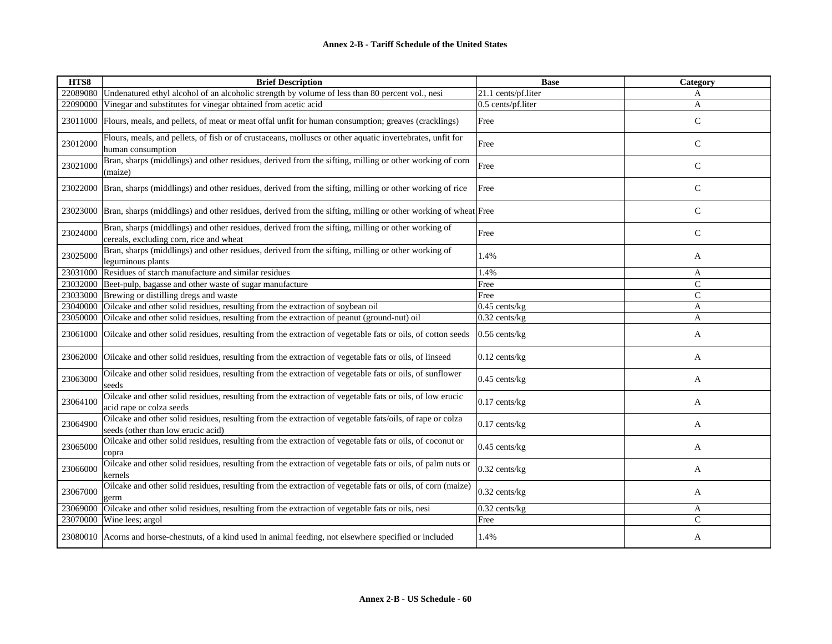| HTS8     | <b>Brief Description</b>                                                                                                                       | <b>Base</b>         | <b>Category</b> |
|----------|------------------------------------------------------------------------------------------------------------------------------------------------|---------------------|-----------------|
| 22089080 | Undenatured ethyl alcohol of an alcoholic strength by volume of less than 80 percent vol., nesi                                                | 21.1 cents/pf.liter | A               |
| 22090000 | Vinegar and substitutes for vinegar obtained from acetic acid                                                                                  | 0.5 cents/pf.liter  | A               |
| 23011000 | Flours, meals, and pellets, of meat or meat offal unfit for human consumption; greaves (cracklings)                                            | Free                | C               |
| 23012000 | Flours, meals, and pellets, of fish or of crustaceans, molluscs or other aquatic invertebrates, unfit for<br>human consumption                 | Free                | $\mathsf{C}$    |
| 23021000 | Bran, sharps (middlings) and other residues, derived from the sifting, milling or other working of corn<br>(maize)                             | Free                | $\mathsf{C}$    |
| 23022000 | Bran, sharps (middlings) and other residues, derived from the sifting, milling or other working of rice                                        | Free                | C               |
| 23023000 | Bran, sharps (middlings) and other residues, derived from the sifting, milling or other working of wheat Free                                  |                     | $\mathsf{C}$    |
| 23024000 | Bran, sharps (middlings) and other residues, derived from the sifting, milling or other working of<br>cereals, excluding corn, rice and wheat  | Free                | $\mathsf{C}$    |
| 23025000 | Bran, sharps (middlings) and other residues, derived from the sifting, milling or other working of<br>leguminous plants                        | 1.4%                | A               |
| 23031000 | Residues of starch manufacture and similar residues                                                                                            | 1.4%                | A               |
| 23032000 | Beet-pulp, bagasse and other waste of sugar manufacture                                                                                        | Free                | $\mathcal{C}$   |
| 23033000 | Brewing or distilling dregs and waste                                                                                                          | Free                | $\mathbf C$     |
| 23040000 | Oilcake and other solid residues, resulting from the extraction of soybean oil                                                                 | $0.45$ cents/kg     | A               |
| 23050000 | Oilcake and other solid residues, resulting from the extraction of peanut (ground-nut) oil                                                     | $0.32$ cents/kg     | A               |
| 23061000 | Oilcake and other solid residues, resulting from the extraction of vegetable fats or oils, of cotton seeds                                     | $0.56$ cents/kg     | A               |
| 23062000 | Oilcake and other solid residues, resulting from the extraction of vegetable fats or oils, of linseed                                          | $0.12$ cents/kg     | A               |
| 23063000 | Oilcake and other solid residues, resulting from the extraction of vegetable fats or oils, of sunflower<br>seeds                               | $0.45$ cents/kg     | A               |
| 23064100 | Oilcake and other solid residues, resulting from the extraction of vegetable fats or oils, of low erucic<br>acid rape or colza seeds           | $0.17$ cents/kg     | A               |
| 23064900 | Oilcake and other solid residues, resulting from the extraction of vegetable fats/oils, of rape or colza<br>seeds (other than low erucic acid) | $0.17$ cents/kg     | A               |
| 23065000 | Oilcake and other solid residues, resulting from the extraction of vegetable fats or oils, of coconut or<br>copra                              | $0.45$ cents/kg     | A               |
| 23066000 | Oilcake and other solid residues, resulting from the extraction of vegetable fats or oils, of palm nuts or<br>kernels                          | $0.32$ cents/kg     | A               |
| 23067000 | Oilcake and other solid residues, resulting from the extraction of vegetable fats or oils, of corn (maize)<br>germ                             | $0.32$ cents/kg     | A               |
| 23069000 | Oilcake and other solid residues, resulting from the extraction of vegetable fats or oils, nesi                                                | 0.32 cents/kg       | A               |
| 23070000 | Wine lees; argol                                                                                                                               | Free                | $\mathcal{C}$   |
|          | 23080010 Acorns and horse-chestnuts, of a kind used in animal feeding, not elsewhere specified or included                                     | 1.4%                | A               |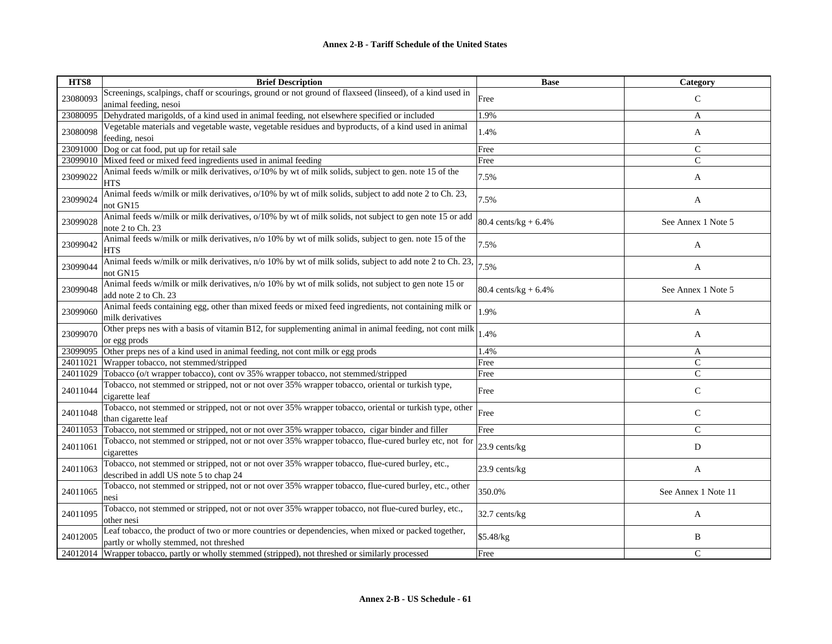| HTS8     | <b>Brief Description</b>                                                                                                                     | <b>Base</b>             | Category            |
|----------|----------------------------------------------------------------------------------------------------------------------------------------------|-------------------------|---------------------|
| 23080093 | Screenings, scalpings, chaff or scourings, ground or not ground of flaxseed (linseed), of a kind used in                                     | Free                    | $\mathcal{C}$       |
|          | animal feeding, nesoi                                                                                                                        |                         |                     |
| 23080095 | Dehydrated marigolds, of a kind used in animal feeding, not elsewhere specified or included                                                  | 1.9%                    | A                   |
| 23080098 | Vegetable materials and vegetable waste, vegetable residues and byproducts, of a kind used in animal                                         | 1.4%                    | A                   |
|          | feeding, nesoi                                                                                                                               |                         |                     |
| 23091000 | Dog or cat food, put up for retail sale                                                                                                      | Free                    | $\mathcal{C}$       |
| 23099010 | Mixed feed or mixed feed ingredients used in animal feeding                                                                                  | Free                    | C                   |
| 23099022 | Animal feeds w/milk or milk derivatives, o/10% by wt of milk solids, subject to gen. note 15 of the<br><b>HTS</b>                            | 7.5%                    | A                   |
| 23099024 | Animal feeds w/milk or milk derivatives, $o/10\%$ by wt of milk solids, subject to add note 2 to Ch. 23,<br>not GN15                         | 7.5%                    | A                   |
| 23099028 | Animal feeds w/milk or milk derivatives, o/10% by wt of milk solids, not subject to gen note 15 or add<br>note 2 to Ch. 23                   | 80.4 cents/kg + $6.4\%$ | See Annex 1 Note 5  |
| 23099042 | Animal feeds w/milk or milk derivatives, n/o 10% by wt of milk solids, subject to gen. note 15 of the<br>HTS                                 | 7.5%                    | A                   |
| 23099044 | Animal feeds w/milk or milk derivatives, n/o 10% by wt of milk solids, subject to add note 2 to Ch. 23,<br>not GN15                          | 7.5%                    | A                   |
| 23099048 | Animal feeds w/milk or milk derivatives, n/o 10% by wt of milk solids, not subject to gen note 15 or<br>add note 2 to Ch. 23                 | 80.4 cents/ $kg + 6.4%$ | See Annex 1 Note 5  |
| 23099060 | Animal feeds containing egg, other than mixed feeds or mixed feed ingredients, not containing milk or<br>milk derivatives                    | 1.9%                    | A                   |
| 23099070 | Other preps nes with a basis of vitamin B12, for supplementing animal in animal feeding, not cont milk<br>or egg prods                       | 1.4%                    | A                   |
| 23099095 | Other preps nes of a kind used in animal feeding, not cont milk or egg prods                                                                 | 1.4%                    | A                   |
| 24011021 | Wrapper tobacco, not stemmed/stripped                                                                                                        | Free                    | $\mathcal{C}$       |
| 24011029 | Tobacco (o/t wrapper tobacco), cont ov 35% wrapper tobacco, not stemmed/stripped                                                             | Free                    | $\mathcal{C}$       |
| 24011044 | Tobacco, not stemmed or stripped, not or not over 35% wrapper tobacco, oriental or turkish type,<br>cigarette leaf                           | Free                    | $\mathsf{C}$        |
| 24011048 | Tobacco, not stemmed or stripped, not or not over 35% wrapper tobacco, oriental or turkish type, other<br>than cigarette leaf                | Free                    | C                   |
| 24011053 | Tobacco, not stemmed or stripped, not or not over 35% wrapper tobacco, cigar binder and filler                                               | Free                    | $\mathcal{C}$       |
| 24011061 | Tobacco, not stemmed or stripped, not or not over 35% wrapper tobacco, flue-cured burley etc, not for<br>cigarettes                          | 23.9 cents/kg           | D                   |
| 24011063 | Tobacco, not stemmed or stripped, not or not over 35% wrapper tobacco, flue-cured burley, etc.,<br>described in addl US note 5 to chap 24    | 23.9 cents/kg           | A                   |
| 24011065 | Tobacco, not stemmed or stripped, not or not over 35% wrapper tobacco, flue-cured burley, etc., other<br>nesi                                | 350.0%                  | See Annex 1 Note 11 |
| 24011095 | Tobacco, not stemmed or stripped, not or not over 35% wrapper tobacco, not flue-cured burley, etc.,<br>other nesi                            | 32.7 cents/kg           | A                   |
| 24012005 | Leaf tobacco, the product of two or more countries or dependencies, when mixed or packed together,<br>partly or wholly stemmed, not threshed | \$5.48/kg               | B                   |
| 24012014 | Wrapper tobacco, partly or wholly stemmed (stripped), not threshed or similarly processed                                                    | Free                    | $\mathcal{C}$       |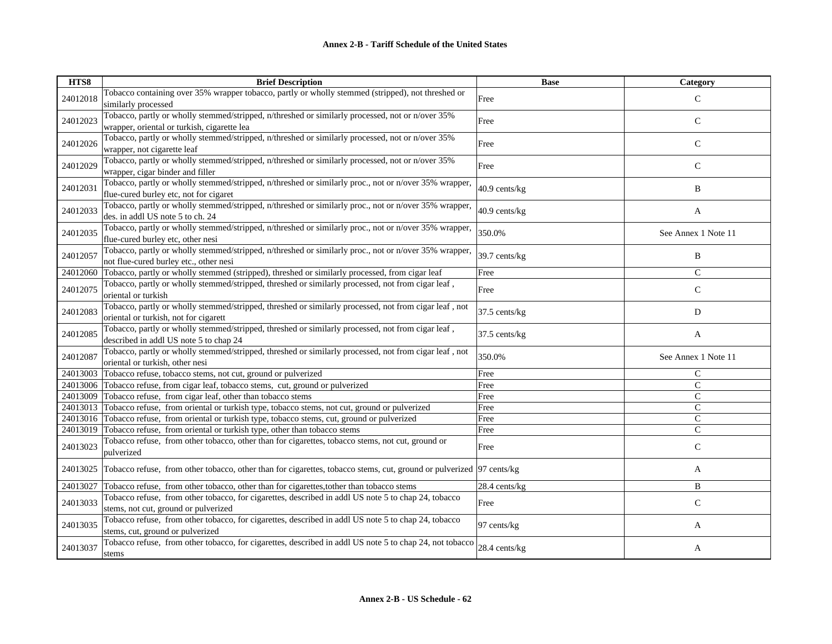| HTS8     | <b>Brief Description</b>                                                                                                                        | <b>Base</b>   | Category            |
|----------|-------------------------------------------------------------------------------------------------------------------------------------------------|---------------|---------------------|
| 24012018 | Tobacco containing over 35% wrapper tobacco, partly or wholly stemmed (stripped), not threshed or<br>similarly processed                        | Free          | $\mathcal{C}$       |
| 24012023 | Tobacco, partly or wholly stemmed/stripped, n/threshed or similarly processed, not or n/over 35%<br>wrapper, oriental or turkish, cigarette lea | Free          | $\mathsf{C}$        |
| 24012026 | Tobacco, partly or wholly stemmed/stripped, n/threshed or similarly processed, not or n/over 35%<br>wrapper, not cigarette leaf                 | Free          | $\mathsf{C}$        |
| 24012029 | Tobacco, partly or wholly stemmed/stripped, n/threshed or similarly processed, not or n/over 35%<br>wrapper, cigar binder and filler            | Free          | $\mathsf{C}$        |
| 24012031 | Tobacco, partly or wholly stemmed/stripped, n/threshed or similarly proc., not or n/over 35% wrapper,<br>flue-cured burley etc, not for cigaret | 40.9 cents/kg | B                   |
| 24012033 | Tobacco, partly or wholly stemmed/stripped, n/threshed or similarly proc., not or n/over 35% wrapper,<br>des. in addl US note 5 to ch. 24       | 40.9 cents/kg | A                   |
| 24012035 | Tobacco, partly or wholly stemmed/stripped, n/threshed or similarly proc., not or n/over 35% wrapper,<br>flue-cured burley etc, other nesi      | 350.0%        | See Annex 1 Note 11 |
| 24012057 | Tobacco, partly or wholly stemmed/stripped, n/threshed or similarly proc., not or n/over 35% wrapper,<br>not flue-cured burley etc., other nesi | 39.7 cents/kg | B                   |
| 24012060 | Tobacco, partly or wholly stemmed (stripped), threshed or similarly processed, from cigar leaf                                                  | Free          | $\mathsf{C}$        |
| 24012075 | Tobacco, partly or wholly stemmed/stripped, threshed or similarly processed, not from cigar leaf,<br>oriental or turkish                        | Free          | $\mathsf{C}$        |
| 24012083 | Tobacco, partly or wholly stemmed/stripped, threshed or similarly processed, not from cigar leaf, not<br>oriental or turkish, not for cigarett  | 37.5 cents/kg | D                   |
| 24012085 | Tobacco, partly or wholly stemmed/stripped, threshed or similarly processed, not from cigar leaf,<br>described in addl US note 5 to chap 24     | 37.5 cents/kg | A                   |
| 24012087 | Tobacco, partly or wholly stemmed/stripped, threshed or similarly processed, not from cigar leaf, not<br>oriental or turkish, other nesi        | 350.0%        | See Annex 1 Note 11 |
| 24013003 | Tobacco refuse, tobacco stems, not cut, ground or pulverized                                                                                    | Free          | $\mathbf C$         |
|          | 24013006 Tobacco refuse, from cigar leaf, tobacco stems, cut, ground or pulverized                                                              | Free          | $\mathcal{C}$       |
|          | 24013009 Tobacco refuse, from cigar leaf, other than tobacco stems                                                                              | Free          | $\mathsf{C}$        |
| 24013013 | Tobacco refuse, from oriental or turkish type, tobacco stems, not cut, ground or pulverized                                                     | Free          | $\mathsf{C}$        |
|          | 24013016 Tobacco refuse, from oriental or turkish type, tobacco stems, cut, ground or pulverized                                                | Free          | $\mathcal{C}$       |
| 24013019 | Tobacco refuse, from oriental or turkish type, other than tobacco stems                                                                         | Free          | $\mathcal{C}$       |
| 24013023 | Tobacco refuse, from other tobacco, other than for cigarettes, tobacco stems, not cut, ground or<br>pulverized                                  | Free          | $\mathsf{C}$        |
|          | 24013025 Tobacco refuse, from other tobacco, other than for cigarettes, tobacco stems, cut, ground or pulverized 97 cents/kg                    |               | A                   |
| 24013027 | Tobacco refuse, from other tobacco, other than for cigarettes, to the r than tobacco stems                                                      | 28.4 cents/kg | B                   |
| 24013033 | Tobacco refuse, from other tobacco, for cigarettes, described in addl US note 5 to chap 24, tobacco<br>stems, not cut, ground or pulverized     | Free          | $\mathcal{C}$       |
| 24013035 | Tobacco refuse, from other tobacco, for cigarettes, described in addl US note 5 to chap 24, tobacco<br>stems, cut, ground or pulverized         | 97 cents/kg   | A                   |
| 24013037 | Tobacco refuse, from other tobacco, for cigarettes, described in addl US note 5 to chap 24, not tobacco<br>stems                                | 28.4 cents/kg | A                   |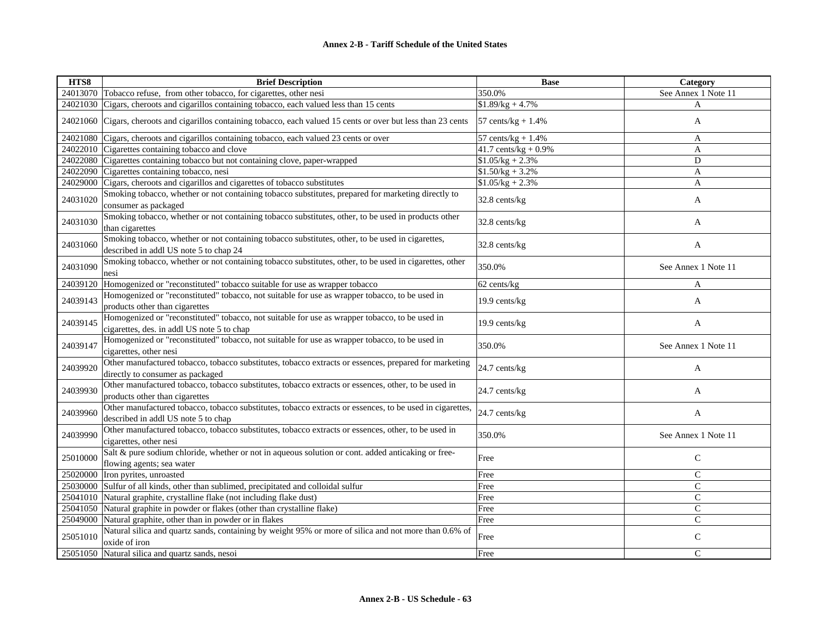| HTS8     | <b>Brief Description</b>                                                                                                                        | <b>Base</b>                   | Category            |
|----------|-------------------------------------------------------------------------------------------------------------------------------------------------|-------------------------------|---------------------|
| 24013070 | Tobacco refuse, from other tobacco, for cigarettes, other nesi                                                                                  | 350.0%                        | See Annex 1 Note 11 |
| 24021030 | Cigars, cheroots and cigarillos containing tobacco, each valued less than 15 cents                                                              | $$1.89/kg + 4.7\%$            | A                   |
| 24021060 | Cigars, cheroots and cigarillos containing tobacco, each valued 15 cents or over but less than 23 cents                                         | 57 cents/ $kg + 1.4%$         | A                   |
| 24021080 | Cigars, cheroots and cigarillos containing tobacco, each valued 23 cents or over                                                                | $57 \text{ cents/kg} + 1.4\%$ | A                   |
| 24022010 | Cigarettes containing tobacco and clove                                                                                                         | 41.7 cents/kg + $0.9\%$       | A                   |
| 24022080 | Cigarettes containing tobacco but not containing clove, paper-wrapped                                                                           | $$1.05/kg + 2.3\%$            | D                   |
| 24022090 | Cigarettes containing tobacco, nesi                                                                                                             | $$1.50/kg + 3.2\%$            | A                   |
| 24029000 | Cigars, cheroots and cigarillos and cigarettes of tobacco substitutes                                                                           | $$1.05/kg + 2.3\%$            | A                   |
| 24031020 | Smoking tobacco, whether or not containing tobacco substitutes, prepared for marketing directly to<br>consumer as packaged                      | 32.8 cents/kg                 | A                   |
| 24031030 | Smoking tobacco, whether or not containing tobacco substitutes, other, to be used in products other<br>than cigarettes                          | 32.8 cents/kg                 | A                   |
| 24031060 | Smoking tobacco, whether or not containing tobacco substitutes, other, to be used in cigarettes,<br>described in addl US note 5 to chap 24      | 32.8 cents/kg                 | A                   |
| 24031090 | Smoking tobacco, whether or not containing tobacco substitutes, other, to be used in cigarettes, other<br>nesi                                  | 350.0%                        | See Annex 1 Note 11 |
| 24039120 | Homogenized or "reconstituted" tobacco suitable for use as wrapper tobacco                                                                      | 62 cents/kg                   | A                   |
| 24039143 | Homogenized or "reconstituted" tobacco, not suitable for use as wrapper tobacco, to be used in<br>products other than cigarettes                | 19.9 cents/kg                 | A                   |
| 24039145 | Homogenized or "reconstituted" tobacco, not suitable for use as wrapper tobacco, to be used in<br>cigarettes, des. in addl US note 5 to chap    | 19.9 cents/kg                 | A                   |
| 24039147 | Homogenized or "reconstituted" tobacco, not suitable for use as wrapper tobacco, to be used in<br>cigarettes, other nesi                        | 350.0%                        | See Annex 1 Note 11 |
| 24039920 | Other manufactured tobacco, tobacco substitutes, tobacco extracts or essences, prepared for marketing<br>directly to consumer as packaged       | 24.7 cents/kg                 | A                   |
| 24039930 | Other manufactured tobacco, tobacco substitutes, tobacco extracts or essences, other, to be used in<br>products other than cigarettes           | 24.7 cents/kg                 | $\mathbf{A}$        |
| 24039960 | Other manufactured tobacco, tobacco substitutes, tobacco extracts or essences, to be used in cigarettes,<br>described in addl US note 5 to chap | 24.7 cents/kg                 | A                   |
| 24039990 | Other manufactured tobacco, tobacco substitutes, tobacco extracts or essences, other, to be used in<br>cigarettes, other nesi                   | 350.0%                        | See Annex 1 Note 11 |
| 25010000 | Salt & pure sodium chloride, whether or not in aqueous solution or cont. added anticaking or free-<br>flowing agents; sea water                 | Free                          | C                   |
| 25020000 | Iron pyrites, unroasted                                                                                                                         | Free                          | $\mathsf{C}$        |
| 25030000 | Sulfur of all kinds, other than sublimed, precipitated and colloidal sulfur                                                                     | Free                          | $\mathcal{C}$       |
| 25041010 | Natural graphite, crystalline flake (not including flake dust)                                                                                  | Free                          | C                   |
| 25041050 | Natural graphite in powder or flakes (other than crystalline flake)                                                                             | Free                          | $\mathsf{C}$        |
| 25049000 | Natural graphite, other than in powder or in flakes                                                                                             | Free                          | $\mathbf C$         |
| 25051010 | Natural silica and quartz sands, containing by weight 95% or more of silica and not more than 0.6% of<br>oxide of iron                          | Free                          | $\mathcal{C}$       |
| 25051050 | Natural silica and quartz sands, nesoi                                                                                                          | Free                          | $\mathsf{C}$        |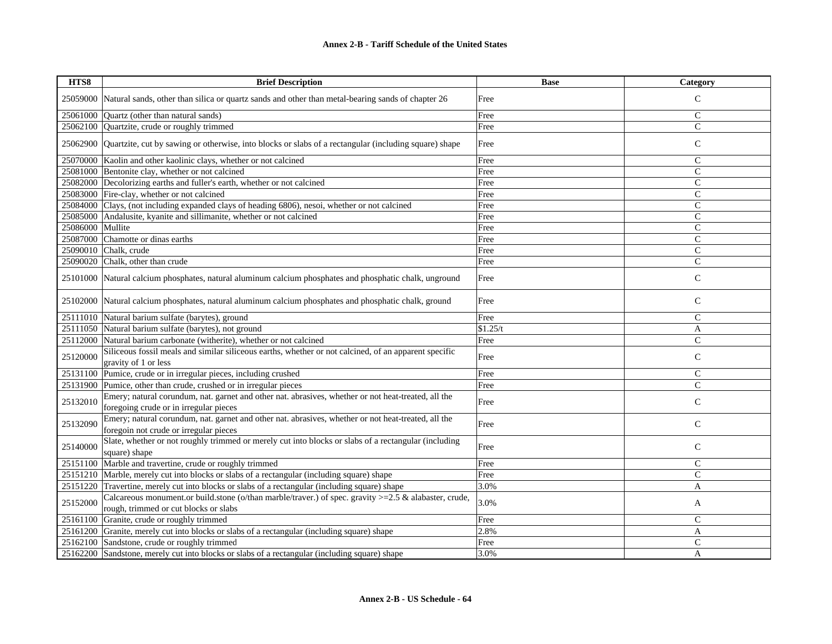| HTS8     | <b>Brief Description</b>                                                                                                                         | <b>Base</b> | Category       |
|----------|--------------------------------------------------------------------------------------------------------------------------------------------------|-------------|----------------|
| 25059000 | Natural sands, other than silica or quartz sands and other than metal-bearing sands of chapter 26                                                | Free        | $\mathcal{C}$  |
| 25061000 | Ouartz (other than natural sands)                                                                                                                | Free        | $\mathsf{C}$   |
| 25062100 | Quartzite, crude or roughly trimmed                                                                                                              | Free        | $\mathcal{C}$  |
| 25062900 | Quartzite, cut by sawing or otherwise, into blocks or slabs of a rectangular (including square) shape                                            | Free        | $\mathsf{C}$   |
| 25070000 | Kaolin and other kaolinic clays, whether or not calcined                                                                                         | Free        | $\mathcal{C}$  |
| 25081000 | Bentonite clay, whether or not calcined                                                                                                          | Free        | $\mathcal{C}$  |
| 25082000 | Decolorizing earths and fuller's earth, whether or not calcined                                                                                  | Free        | $\mathsf{C}$   |
|          | 25083000 Fire-clay, whether or not calcined                                                                                                      | Free        | $\mathsf{C}$   |
| 25084000 | Clays, (not including expanded clays of heading 6806), nesoi, whether or not calcined                                                            | Free        | $\mathcal{C}$  |
| 25085000 | Andalusite, kyanite and sillimanite, whether or not calcined                                                                                     | Free        | $\mathsf{C}$   |
| 25086000 | Mullite                                                                                                                                          | Free        | $\mathbf C$    |
| 25087000 | Chamotte or dinas earths                                                                                                                         | Free        | $\mathsf{C}$   |
| 25090010 | Chalk, crude                                                                                                                                     | Free        | $\mathcal{C}$  |
|          | 25090020 Chalk, other than crude                                                                                                                 | Free        | $\overline{C}$ |
| 25101000 | Natural calcium phosphates, natural aluminum calcium phosphates and phosphatic chalk, unground                                                   | Free        | $\mathsf{C}$   |
|          | 25102000 Natural calcium phosphates, natural aluminum calcium phosphates and phosphatic chalk, ground                                            | Free        | $\mathsf{C}$   |
| 25111010 | Natural barium sulfate (barytes), ground                                                                                                         | Free        | $\mathsf{C}$   |
| 25111050 | Natural barium sulfate (barytes), not ground                                                                                                     | \$1.25/t    | A              |
| 25112000 | Natural barium carbonate (witherite), whether or not calcined                                                                                    | Free        | $\mathsf{C}$   |
| 25120000 | Siliceous fossil meals and similar siliceous earths, whether or not calcined, of an apparent specific<br>gravity of 1 or less                    | Free        | $\mathcal{C}$  |
| 25131100 | Pumice, crude or in irregular pieces, including crushed                                                                                          | Free        | $\mathbf C$    |
| 25131900 | Pumice, other than crude, crushed or in irregular pieces                                                                                         | Free        | $\overline{C}$ |
| 25132010 | Emery; natural corundum, nat. garnet and other nat. abrasives, whether or not heat-treated, all the<br>foregoing crude or in irregular pieces    | Free        | $\mathcal{C}$  |
| 25132090 | Emery; natural corundum, nat. garnet and other nat. abrasives, whether or not heat-treated, all the<br>foregoin not crude or irregular pieces    | Free        | ${\bf C}$      |
| 25140000 | Slate, whether or not roughly trimmed or merely cut into blocks or slabs of a rectangular (including<br>square) shape                            | Free        | $\mathsf{C}$   |
| 25151100 | Marble and travertine, crude or roughly trimmed                                                                                                  | Free        | $\mathcal{C}$  |
| 25151210 | Marble, merely cut into blocks or slabs of a rectangular (including square) shape                                                                | Free        | $\mathcal{C}$  |
| 25151220 | Travertine, merely cut into blocks or slabs of a rectangular (including square) shape                                                            | 3.0%        | A              |
| 25152000 | Calcareous monument or build stone (o/than marble/traver.) of spec. gravity $>=2.5$ & alabaster, crude,<br>rough, trimmed or cut blocks or slabs | 3.0%        | A              |
| 25161100 | Granite, crude or roughly trimmed                                                                                                                | Free        | $\mathcal{C}$  |
| 25161200 | Granite, merely cut into blocks or slabs of a rectangular (including square) shape                                                               | 2.8%        | A              |
| 25162100 | Sandstone, crude or roughly trimmed                                                                                                              | Free        | $\mathsf{C}$   |
|          | 25162200 Sandstone, merely cut into blocks or slabs of a rectangular (including square) shape                                                    | 3.0%        | A              |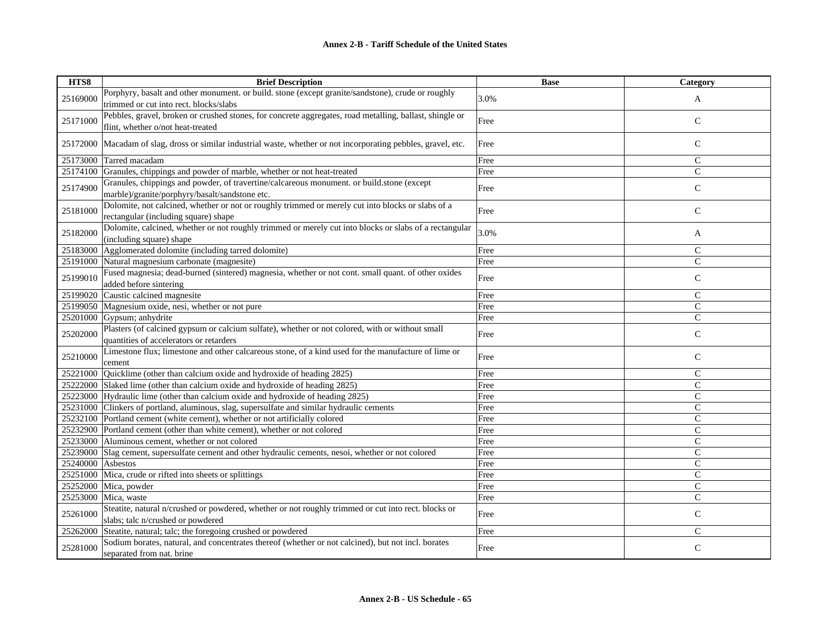| HTS8     | <b>Brief Description</b>                                                                                | <b>Base</b> | Category      |
|----------|---------------------------------------------------------------------------------------------------------|-------------|---------------|
| 25169000 | Porphyry, basalt and other monument. or build. stone (except granite/sandstone), crude or roughly       | 3.0%        | A             |
|          | trimmed or cut into rect. blocks/slabs                                                                  |             |               |
| 25171000 | Pebbles, gravel, broken or crushed stones, for concrete aggregates, road metalling, ballast, shingle or | Free        | $\mathsf{C}$  |
|          | flint, whether o/not heat-treated                                                                       |             |               |
| 25172000 | Macadam of slag, dross or similar industrial waste, whether or not incorporating pebbles, gravel, etc.  | Free        | $\mathsf{C}$  |
| 25173000 | Tarred macadam                                                                                          | Free        | $\mathcal{C}$ |
| 25174100 | Granules, chippings and powder of marble, whether or not heat-treated                                   | Free        | $\mathbf C$   |
|          | Granules, chippings and powder, of travertine/calcareous monument. or build.stone (except               |             |               |
| 25174900 | marble)/granite/porphyry/basalt/sandstone etc.                                                          | Free        | $\mathsf{C}$  |
|          | Dolomite, not calcined, whether or not or roughly trimmed or merely cut into blocks or slabs of a       |             |               |
| 25181000 | rectangular (including square) shape                                                                    | Free        | $\mathsf{C}$  |
| 25182000 | Dolomite, calcined, whether or not roughly trimmed or merely cut into blocks or slabs of a rectangular  | 3.0%        |               |
|          | (including square) shape                                                                                |             | A             |
| 25183000 | Agglomerated dolomite (including tarred dolomite)                                                       | Free        | $\mathcal{C}$ |
| 25191000 | Natural magnesium carbonate (magnesite)                                                                 | Free        | $\mathsf{C}$  |
| 25199010 | Fused magnesia; dead-burned (sintered) magnesia, whether or not cont. small quant. of other oxides      | Free        | $\mathsf{C}$  |
|          | added before sintering                                                                                  |             |               |
| 25199020 | Caustic calcined magnesite                                                                              | Free        | $\mathsf{C}$  |
| 25199050 | Magnesium oxide, nesi, whether or not pure                                                              | Free        | $\mathcal{C}$ |
| 25201000 | Gypsum; anhydrite                                                                                       | Free        | $\mathsf{C}$  |
| 25202000 | Plasters (of calcined gypsum or calcium sulfate), whether or not colored, with or without small         | Free        | $\mathsf{C}$  |
|          | quantities of accelerators or retarders                                                                 |             |               |
| 25210000 | Limestone flux; limestone and other calcareous stone, of a kind used for the manufacture of lime or     | Free        | $\mathsf{C}$  |
|          | cement                                                                                                  |             |               |
| 25221000 | Quicklime (other than calcium oxide and hydroxide of heading 2825)                                      | Free        | $\mathcal{C}$ |
| 25222000 | Slaked lime (other than calcium oxide and hydroxide of heading 2825)                                    | Free        | $\mathcal{C}$ |
| 25223000 | Hydraulic lime (other than calcium oxide and hydroxide of heading 2825)                                 | Free        | $\mathsf{C}$  |
| 25231000 | Clinkers of portland, aluminous, slag, supersulfate and similar hydraulic cements                       | Free        | C             |
| 25232100 | Portland cement (white cement), whether or not artificially colored                                     | Free        | $\mathcal{C}$ |
| 25232900 | Portland cement (other than white cement), whether or not colored                                       | Free        | $\mathcal{C}$ |
| 25233000 | Aluminous cement, whether or not colored                                                                | Free        | $\mathsf{C}$  |
| 25239000 | Slag cement, supersulfate cement and other hydraulic cements, nesoi, whether or not colored             | Free        | $\mathsf{C}$  |
| 25240000 | Asbestos                                                                                                | Free        | $\mathcal{C}$ |
| 25251000 | Mica, crude or rifted into sheets or splittings                                                         | Free        | $\mathcal{C}$ |
| 25252000 | Mica, powder                                                                                            | Free        | $\mathcal{C}$ |
| 25253000 | Mica, waste                                                                                             | Free        | $\mathsf{C}$  |
| 25261000 | Steatite, natural n/crushed or powdered, whether or not roughly trimmed or cut into rect. blocks or     |             | $\mathsf{C}$  |
|          | slabs; talc n/crushed or powdered                                                                       | Free        |               |
| 25262000 | Steatite, natural; talc; the foregoing crushed or powdered                                              | Free        | $\mathsf{C}$  |
| 25281000 | Sodium borates, natural, and concentrates thereof (whether or not calcined), but not incl. borates      | Free        | $\mathsf{C}$  |
|          | separated from nat. brine                                                                               |             |               |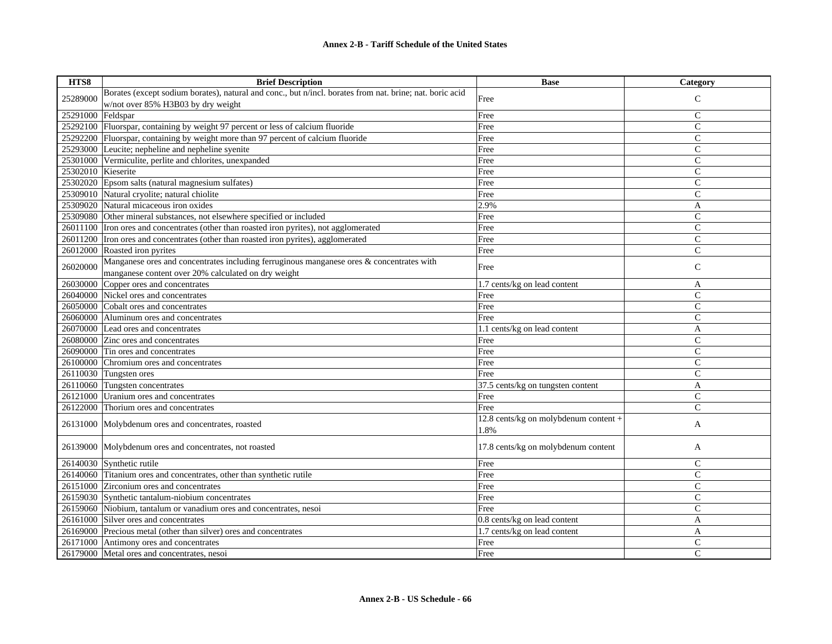| HTS8               | <b>Brief Description</b>                                                                                 | <b>Base</b>                           | <b>Category</b> |
|--------------------|----------------------------------------------------------------------------------------------------------|---------------------------------------|-----------------|
| 25289000           | Borates (except sodium borates), natural and conc., but n/incl. borates from nat. brine; nat. boric acid | Free                                  | $\mathsf{C}$    |
|                    | w/not over 85% H3B03 by dry weight                                                                       |                                       |                 |
| 25291000           | Feldspar                                                                                                 | Free                                  | C               |
| 25292100           | Fluorspar, containing by weight 97 percent or less of calcium fluoride                                   | Free                                  | $\overline{C}$  |
|                    | 25292200 Fluorspar, containing by weight more than 97 percent of calcium fluoride                        | Free                                  | $\mathsf{C}$    |
| 25293000           | Leucite; nepheline and nepheline syenite                                                                 | Free                                  | C               |
| 25301000           | Vermiculite, perlite and chlorites, unexpanded                                                           | Free                                  | $\mathsf{C}$    |
| 25302010 Kieserite |                                                                                                          | Free                                  | $\overline{C}$  |
|                    | 25302020 Epsom salts (natural magnesium sulfates)                                                        | Free                                  | C               |
| 25309010           | Natural cryolite; natural chiolite                                                                       | Free                                  | $\mathsf{C}$    |
| 25309020           | Natural micaceous iron oxides                                                                            | 2.9%                                  | A               |
| 25309080           | Other mineral substances, not elsewhere specified or included                                            | Free                                  | $\mathsf{C}$    |
|                    | 26011100 Tron ores and concentrates (other than roasted iron pyrites), not agglomerated                  | Free                                  | $\overline{C}$  |
| 26011200           | Iron ores and concentrates (other than roasted iron pyrites), agglomerated                               | Free                                  | $\overline{C}$  |
|                    | 26012000 Roasted iron pyrites                                                                            | Free                                  | $\mathsf{C}$    |
| 26020000           | Manganese ores and concentrates including ferruginous manganese ores & concentrates with                 |                                       | $\mathsf{C}$    |
|                    | manganese content over 20% calculated on dry weight                                                      | Free                                  |                 |
| 26030000           | Copper ores and concentrates                                                                             | 1.7 cents/kg on lead content          | A               |
| 26040000           | Nickel ores and concentrates                                                                             | Free                                  | C               |
| 26050000           | Cobalt ores and concentrates                                                                             | Free                                  | $\overline{C}$  |
| 26060000           | Aluminum ores and concentrates                                                                           | Free                                  | $\mathsf{C}$    |
| 26070000           | Lead ores and concentrates                                                                               | 1.1 cents/kg on lead content          | A               |
| 26080000           | Zinc ores and concentrates                                                                               | Free                                  | $\overline{C}$  |
| 26090000           | Tin ores and concentrates                                                                                | Free                                  | $\overline{C}$  |
| 26100000           | Chromium ores and concentrates                                                                           | Free                                  | $\overline{C}$  |
| 26110030           | Tungsten ores                                                                                            | Free                                  | C               |
| 26110060           | Tungsten concentrates                                                                                    | 37.5 cents/kg on tungsten content     | A               |
| 26121000           | Uranium ores and concentrates                                                                            | Free                                  | $\overline{C}$  |
| 26122000           | Thorium ores and concentrates                                                                            | Free                                  | C               |
| 26131000           |                                                                                                          | 12.8 cents/kg on molybdenum content + |                 |
|                    | Molybdenum ores and concentrates, roasted                                                                | 1.8%                                  | A               |
|                    | 26139000 Molybdenum ores and concentrates, not roasted                                                   | 17.8 cents/kg on molybdenum content   | A               |
|                    |                                                                                                          |                                       |                 |
|                    | 26140030 Synthetic rutile                                                                                | Free                                  | $\mathsf{C}$    |
|                    | 26140060 Titanium ores and concentrates, other than synthetic rutile                                     | Free                                  | $\mathsf{C}$    |
|                    | 26151000 Zirconium ores and concentrates                                                                 | Free                                  | C               |
|                    | 26159030 Synthetic tantalum-niobium concentrates                                                         | Free                                  | $\mathsf{C}$    |
|                    | 26159060 Niobium, tantalum or vanadium ores and concentrates, nesoi                                      | Free                                  | $\mathsf{C}$    |
|                    | 26161000 Silver ores and concentrates                                                                    | 0.8 cents/kg on lead content          | A               |
| 26169000           | Precious metal (other than silver) ores and concentrates                                                 | 1.7 cents/kg on lead content          | A               |
|                    | 26171000 Antimony ores and concentrates                                                                  | Free                                  | C               |
|                    | 26179000 Metal ores and concentrates, nesoi                                                              | Free                                  | $\mathsf{C}$    |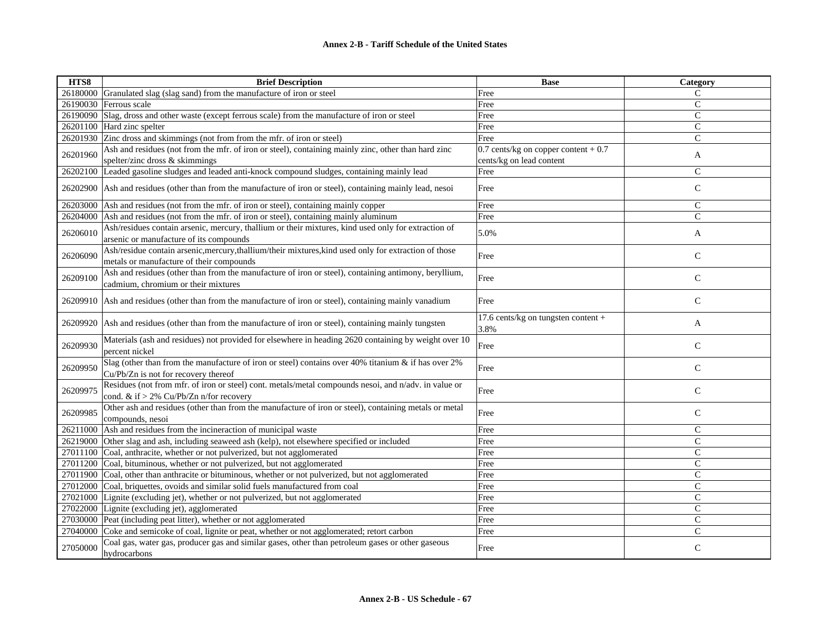| HTS8     | <b>Brief Description</b>                                                                                                                           | <b>Base</b>                                 | Category       |
|----------|----------------------------------------------------------------------------------------------------------------------------------------------------|---------------------------------------------|----------------|
| 26180000 | Granulated slag (slag sand) from the manufacture of iron or steel                                                                                  | Free                                        | $\mathsf{C}$   |
| 26190030 | Ferrous scale                                                                                                                                      | Free                                        | $\mathsf{C}$   |
| 26190090 | Slag, dross and other waste (except ferrous scale) from the manufacture of iron or steel                                                           | Free                                        | $\mathsf{C}$   |
|          | 26201100 Hard zinc spelter                                                                                                                         | Free                                        | $\mathsf{C}$   |
|          | 26201930 Zinc dross and skimmings (not from from the mfr. of iron or steel)                                                                        | Free                                        | $\mathsf{C}$   |
|          | Ash and residues (not from the mfr. of iron or steel), containing mainly zinc, other than hard zinc                                                | 0.7 cents/kg on copper content $+0.7$       |                |
| 26201960 | spelter/zinc dross & skimmings                                                                                                                     | cents/kg on lead content                    | A              |
| 26202100 | Leaded gasoline sludges and leaded anti-knock compound sludges, containing mainly lead                                                             | Free                                        | $\mathcal{C}$  |
|          | 26202900 Ash and residues (other than from the manufacture of iron or steel), containing mainly lead, nesoi                                        | Free                                        | $\mathsf{C}$   |
| 26203000 | Ash and residues (not from the mfr. of iron or steel), containing mainly copper                                                                    | Free                                        | $\mathsf{C}$   |
| 26204000 | Ash and residues (not from the mfr. of iron or steel), containing mainly aluminum                                                                  | Free                                        | $\overline{C}$ |
| 26206010 | Ash/residues contain arsenic, mercury, thallium or their mixtures, kind used only for extraction of<br>arsenic or manufacture of its compounds     | 5.0%                                        | A              |
| 26206090 | Ash/residue contain arsenic, mercury, thallium/their mixtures, kind used only for extraction of those<br>metals or manufacture of their compounds  | Free                                        | $\mathbf C$    |
| 26209100 | Ash and residues (other than from the manufacture of iron or steel), containing antimony, beryllium,<br>cadmium, chromium or their mixtures        | Free                                        | $\mathsf{C}$   |
| 26209910 | Ash and residues (other than from the manufacture of iron or steel), containing mainly vanadium                                                    | Free                                        | $\mathbf C$    |
| 26209920 | Ash and residues (other than from the manufacture of iron or steel), containing mainly tungsten                                                    | 17.6 cents/kg on tungsten content +<br>3.8% | A              |
| 26209930 | Materials (ash and residues) not provided for elsewhere in heading 2620 containing by weight over 10<br>percent nickel                             | Free                                        | $\mathsf{C}$   |
| 26209950 | Slag (other than from the manufacture of iron or steel) contains over 40% titanium & if has over 2%<br>Cu/Pb/Zn is not for recovery thereof        | Free                                        | $\mathsf{C}$   |
| 26209975 | Residues (not from mfr. of iron or steel) cont. metals/metal compounds nesoi, and n/adv. in value or<br>cond. & if $> 2\%$ Cu/Pb/Zn n/for recovery | Free                                        | $\mathsf{C}$   |
| 26209985 | Other ash and residues (other than from the manufacture of iron or steel), containing metals or metal<br>compounds, nesoi                          | Free                                        | $\mathsf C$    |
| 26211000 | Ash and residues from the incineraction of municipal waste                                                                                         | Free                                        | $\mathsf{C}$   |
| 26219000 | Other slag and ash, including seaweed ash (kelp), not elsewhere specified or included                                                              | Free                                        | $\mathsf{C}$   |
|          | 27011100 Coal, anthracite, whether or not pulverized, but not agglomerated                                                                         | Free                                        | $\mathsf{C}$   |
| 27011200 | Coal, bituminous, whether or not pulverized, but not agglomerated                                                                                  | Free                                        | $\mathsf{C}$   |
|          | 27011900 Coal, other than anthracite or bituminous, whether or not pulverized, but not agglomerated                                                | Free                                        | $\overline{C}$ |
| 27012000 | Coal, briquettes, ovoids and similar solid fuels manufactured from coal                                                                            | Free                                        | $\mathsf{C}$   |
|          | 27021000 Lignite (excluding jet), whether or not pulverized, but not agglomerated                                                                  | Free                                        | $\mathsf{C}$   |
|          | 27022000 Lignite (excluding jet), agglomerated                                                                                                     | Free                                        | $\mathsf{C}$   |
|          | 27030000 Peat (including peat litter), whether or not agglomerated                                                                                 | Free                                        | $\mathsf{C}$   |
| 27040000 | Coke and semicoke of coal, lignite or peat, whether or not agglomerated; retort carbon                                                             | Free                                        | $\mathsf{C}$   |
| 27050000 | Coal gas, water gas, producer gas and similar gases, other than petroleum gases or other gaseous<br>hydrocarbons                                   | Free                                        | $\mathsf{C}$   |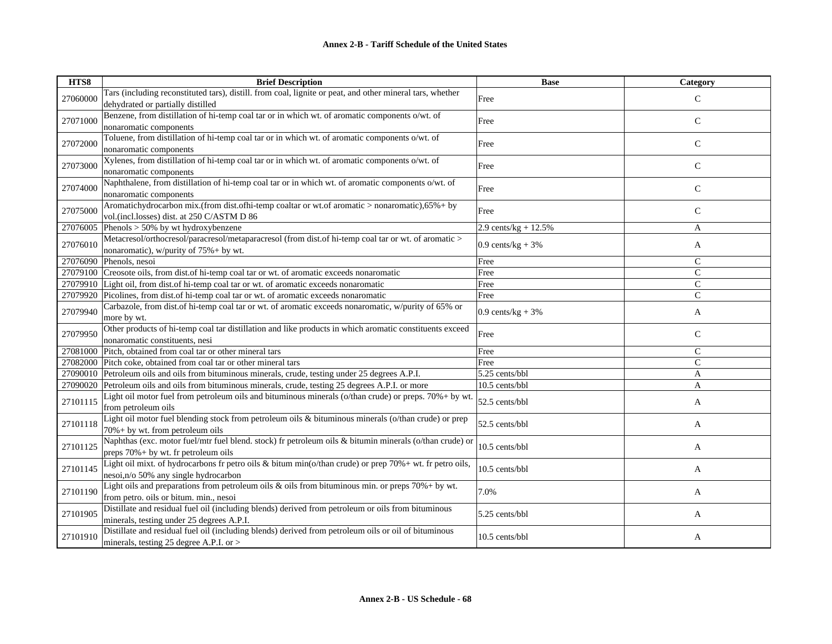| HTS8     | <b>Brief Description</b>                                                                                                                          | <b>Base</b>            | <b>Category</b> |
|----------|---------------------------------------------------------------------------------------------------------------------------------------------------|------------------------|-----------------|
| 27060000 | Tars (including reconstituted tars), distill. from coal, lignite or peat, and other mineral tars, whether<br>dehydrated or partially distilled    | Free                   | $\mathsf{C}$    |
| 27071000 | Benzene, from distillation of hi-temp coal tar or in which wt. of aromatic components o/wt. of<br>nonaromatic components                          | Free                   | $\mathsf{C}$    |
| 27072000 | Toluene, from distillation of hi-temp coal tar or in which wt. of aromatic components o/wt. of<br>nonaromatic components                          | Free                   | $\mathsf{C}$    |
| 27073000 | Xylenes, from distillation of hi-temp coal tar or in which wt. of aromatic components o/wt. of<br>nonaromatic components                          | Free                   | C               |
| 27074000 | Naphthalene, from distillation of hi-temp coal tar or in which wt. of aromatic components o/wt. of<br>nonaromatic components                      | Free                   | $\mathsf{C}$    |
| 27075000 | Aromatichydrocarbon mix.(from dist.ofhi-temp coaltar or wt.of aromatic > nonaromatic),65% + by<br>vol.(incl.losses) dist. at 250 C/ASTM D 86      | Free                   | C               |
| 27076005 | Phenols $> 50\%$ by wt hydroxybenzene                                                                                                             | 2.9 cents/kg + $12.5%$ | A               |
| 27076010 | Metacresol/orthocresol/paracresol/metaparacresol (from dist.of hi-temp coal tar or wt. of aromatic ><br>nonaromatic), w/purity of 75% + by wt.    | $0.9$ cents/kg + 3%    | A               |
| 27076090 | Phenols, nesoi                                                                                                                                    | Free                   | $\mathcal{C}$   |
| 27079100 | Creosote oils, from dist of hi-temp coal tar or wt. of aromatic exceeds nonaromatic                                                               | Free                   | $\mathsf{C}$    |
| 27079910 | Light oil, from dist of hi-temp coal tar or wt. of aromatic exceeds nonaromatic                                                                   | Free                   | $\mathsf{C}$    |
| 27079920 | Picolines, from dist.of hi-temp coal tar or wt. of aromatic exceeds nonaromatic                                                                   | Free                   | $\mathbf C$     |
| 27079940 | Carbazole, from dist of hi-temp coal tar or wt. of aromatic exceeds nonaromatic, w/purity of 65% or<br>more by wt.                                | $0.9$ cents/kg + 3%    | A               |
| 27079950 | Other products of hi-temp coal tar distillation and like products in which aromatic constituents exceed<br>nonaromatic constituents, nesi         | Free                   | C               |
| 27081000 | Pitch, obtained from coal tar or other mineral tars                                                                                               | Free                   | $\mathcal{C}$   |
| 27082000 | Pitch coke, obtained from coal tar or other mineral tars                                                                                          | Free                   | $\mathcal{C}$   |
| 27090010 | Petroleum oils and oils from bituminous minerals, crude, testing under 25 degrees A.P.I.                                                          | 5.25 cents/bbl         | A               |
| 27090020 | Petroleum oils and oils from bituminous minerals, crude, testing 25 degrees A.P.I. or more                                                        | 10.5 cents/bbl         | A               |
| 27101115 | Light oil motor fuel from petroleum oils and bituminous minerals (o/than crude) or preps. 70% + by wt.<br>from petroleum oils                     | 52.5 cents/bbl         | A               |
| 27101118 | Light oil motor fuel blending stock from petroleum oils & bituminous minerals (o/than crude) or prep<br>$70% + by wt.$ from petroleum oils        | 52.5 cents/bbl         | A               |
| 27101125 | Naphthas (exc. motor fuel/mtr fuel blend. stock) fr petroleum oils & bitumin minerals (o/than crude) or<br>preps 70% + by wt. fr petroleum oils   | 10.5 cents/bbl         | A               |
| 27101145 | Light oil mixt. of hydrocarbons fr petro oils & bitum min(o/than crude) or prep 70%+ wt. fr petro oils,<br>nesoi, n/o 50% any single hydrocarbon  | 10.5 cents/bbl         | A               |
| 27101190 | Light oils and preparations from petroleum oils $\&$ oils from bituminous min. or preps 70%+ by wt.<br>from petro. oils or bitum. min., nesoi     | 7.0%                   | A               |
| 27101905 | Distillate and residual fuel oil (including blends) derived from petroleum or oils from bituminous<br>minerals, testing under 25 degrees A.P.I.   | 5.25 cents/bbl         | A               |
| 27101910 | Distillate and residual fuel oil (including blends) derived from petroleum oils or oil of bituminous<br>minerals, testing 25 degree A.P.I. or $>$ | 10.5 cents/bbl         | A               |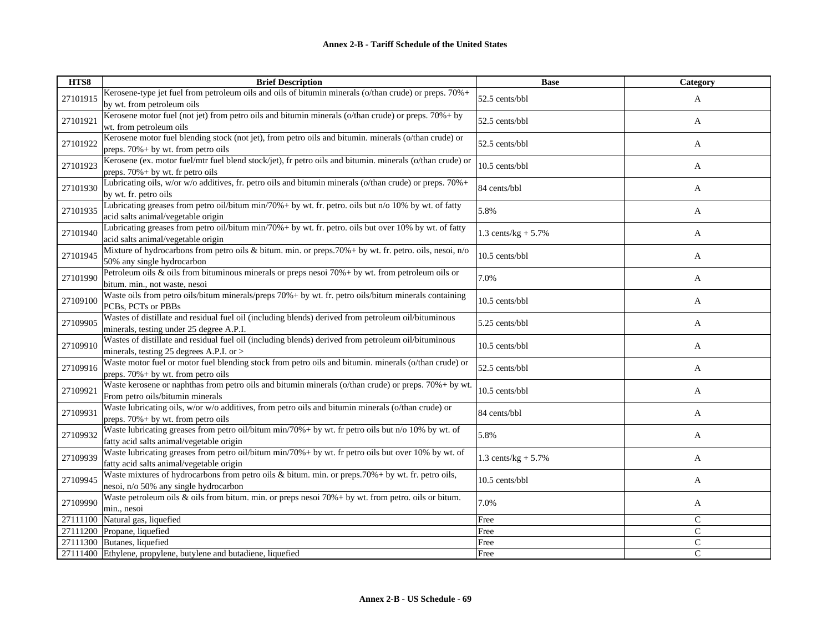| HTS8     | <b>Brief Description</b>                                                                                                                          | <b>Base</b>            | Category      |
|----------|---------------------------------------------------------------------------------------------------------------------------------------------------|------------------------|---------------|
| 27101915 | Kerosene-type jet fuel from petroleum oils and oils of bitumin minerals (o/than crude) or preps. 70%+<br>by wt. from petroleum oils               | 52.5 cents/bbl         | A             |
| 27101921 | Kerosene motor fuel (not jet) from petro oils and bitumin minerals (o/than crude) or preps. 70% + by<br>wt. from petroleum oils                   | 52.5 cents/bbl         | A             |
| 27101922 | Kerosene motor fuel blending stock (not jet), from petro oils and bitumin. minerals (o/than crude) or<br>preps. $70\% + by$ wt. from petro oils   | 52.5 cents/bbl         | A             |
| 27101923 | Kerosene (ex. motor fuel/mtr fuel blend stock/jet), fr petro oils and bitumin. minerals (o/than crude) or<br>preps. $70\% + by$ wt. fr petro oils | 10.5 cents/bbl         | A             |
| 27101930 | Lubricating oils, w/or w/o additives, fr. petro oils and bitumin minerals (o/than crude) or preps. 70%+<br>by wt. fr. petro oils                  | 84 cents/bbl           | A             |
| 27101935 | Lubricating greases from petro oil/bitum min/70% + by wt. fr. petro. oils but n/o 10% by wt. of fatty<br>acid salts animal/vegetable origin       | 5.8%                   | A             |
| 27101940 | Lubricating greases from petro oil/bitum min/70%+ by wt. fr. petro. oils but over 10% by wt. of fatty<br>acid salts animal/vegetable origin       | 1.3 cents/ $kg + 5.7%$ | A             |
| 27101945 | Mixture of hydrocarbons from petro oils & bitum. min. or preps.70% + by wt. fr. petro. oils, nesoi, n/o<br>50% any single hydrocarbon             | 10.5 cents/bbl         | A             |
| 27101990 | Petroleum oils & oils from bituminous minerals or preps nesoi $70% + by$ wt. from petroleum oils or<br>bitum. min., not waste, nesoi              | 7.0%                   | A             |
| 27109100 | Waste oils from petro oils/bitum minerals/preps 70% + by wt. fr. petro oils/bitum minerals containing<br>PCBs, PCTs or PBBs                       | 10.5 cents/bbl         | A             |
| 27109905 | Wastes of distillate and residual fuel oil (including blends) derived from petroleum oil/bituminous<br>minerals, testing under 25 degree A.P.I.   | 5.25 cents/bbl         | A             |
| 27109910 | Wastes of distillate and residual fuel oil (including blends) derived from petroleum oil/bituminous<br>minerals, testing 25 degrees A.P.I. or >   | 10.5 cents/bbl         | A             |
| 27109916 | Waste motor fuel or motor fuel blending stock from petro oils and bitumin. minerals (o/than crude) or<br>preps. $70\% + by$ wt. from petro oils   | 52.5 cents/bbl         | A             |
| 27109921 | Waste kerosene or naphthas from petro oils and bitumin minerals (o/than crude) or preps. 70% + by wt.<br>From petro oils/bitumin minerals         | 10.5 cents/bbl         | A             |
| 27109931 | Waste lubricating oils, w/or w/o additives, from petro oils and bitumin minerals (o/than crude) or<br>preps. $70\% + by$ wt. from petro oils      | 84 cents/bbl           | A             |
| 27109932 | Waste lubricating greases from petro oil/bitum min/70% + by wt. fr petro oils but n/o 10% by wt. of<br>fatty acid salts animal/vegetable origin   | 5.8%                   | A             |
| 27109939 | Waste lubricating greases from petro oil/bitum min/70%+ by wt. fr petro oils but over 10% by wt. of<br>fatty acid salts animal/vegetable origin   | 1.3 cents/kg + $5.7\%$ | A             |
| 27109945 | Waste mixtures of hydrocarbons from petro oils & bitum. min. or preps.70%+ by wt. fr. petro oils,<br>nesoi, n/o 50% any single hydrocarbon        | 10.5 cents/bbl         | A             |
| 27109990 | Waste petroleum oils & oils from bitum. min. or preps nesoi 70% + by wt. from petro. oils or bitum.<br>min., nesoi                                | 7.0%                   | A             |
| 27111100 | Natural gas, liquefied                                                                                                                            | Free                   | $\mathsf{C}$  |
| 27111200 | Propane, liquefied                                                                                                                                | Free                   | $\mathbf C$   |
|          | 27111300 Butanes, liquefied                                                                                                                       | Free                   | $\mathsf{C}$  |
|          | 27111400 Ethylene, propylene, butylene and butadiene, liquefied                                                                                   | Free                   | $\mathcal{C}$ |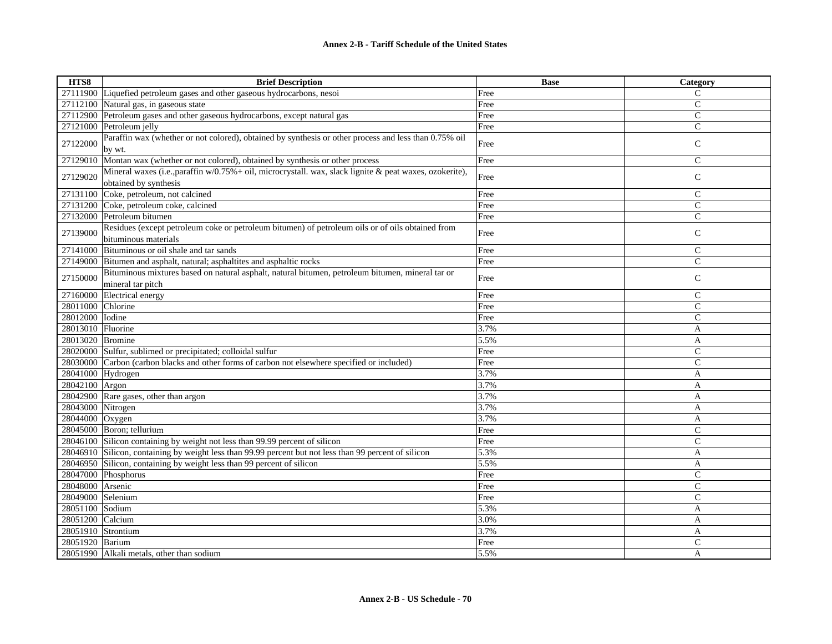| HTS8               | <b>Brief Description</b>                                                                                                          | <b>Base</b> | Category       |
|--------------------|-----------------------------------------------------------------------------------------------------------------------------------|-------------|----------------|
| 27111900           | Liquefied petroleum gases and other gaseous hydrocarbons, nesoi                                                                   | Free        | C              |
| 27112100           | Natural gas, in gaseous state                                                                                                     | Free        | $\mathsf{C}$   |
| 27112900           | Petroleum gases and other gaseous hydrocarbons, except natural gas                                                                | Free        | $\mathsf{C}$   |
|                    | 27121000 Petroleum jelly                                                                                                          | Free        | $\mathsf{C}$   |
| 27122000           | Paraffin wax (whether or not colored), obtained by synthesis or other process and less than 0.75% oil<br>by wt.                   | Free        | $\mathsf{C}$   |
| 27129010           | Montan wax (whether or not colored), obtained by synthesis or other process                                                       | Free        | $\mathsf{C}$   |
| 27129020           | Mineral waxes (i.e., paraffin w/0.75% + oil, microcrystall. wax, slack lignite & peat waxes, ozokerite),<br>obtained by synthesis | Free        | $\mathsf{C}$   |
| 27131100           | Coke, petroleum, not calcined                                                                                                     | Free        | $\mathsf{C}$   |
|                    | 27131200 Coke, petroleum coke, calcined                                                                                           | Free        | $\mathsf{C}$   |
|                    | 27132000 Petroleum bitumen                                                                                                        | Free        | $\mathsf{C}$   |
| 27139000           | Residues (except petroleum coke or petroleum bitumen) of petroleum oils or of oils obtained from<br>bituminous materials          | Free        | $\mathsf{C}$   |
| 27141000           | Bituminous or oil shale and tar sands                                                                                             | Free        | $\mathsf{C}$   |
| 27149000           | Bitumen and asphalt, natural; asphaltites and asphaltic rocks                                                                     | Free        | $\overline{C}$ |
| 27150000           | Bituminous mixtures based on natural asphalt, natural bitumen, petroleum bitumen, mineral tar or<br>mineral tar pitch             | Free        | $\mathcal{C}$  |
| 27160000           | Electrical energy                                                                                                                 | Free        | $\mathsf{C}$   |
| 28011000           | Chlorine                                                                                                                          | Free        | $\overline{C}$ |
| 28012000           | Iodine                                                                                                                            | Free        | $\mathsf{C}$   |
| 28013010           | Fluorine                                                                                                                          | 3.7%        | A              |
| 28013020           | Bromine                                                                                                                           | 5.5%        | A              |
| 28020000           | Sulfur, sublimed or precipitated; colloidal sulfur                                                                                | Free        | $\mathsf{C}$   |
| 28030000           | Carbon (carbon blacks and other forms of carbon not elsewhere specified or included)                                              | Free        | $\mathcal{C}$  |
| 28041000           | Hydrogen                                                                                                                          | 3.7%        | A              |
| 28042100           | Argon                                                                                                                             | 3.7%        | A              |
| 28042900           | Rare gases, other than argon                                                                                                      | 3.7%        | A              |
| 28043000           | Nitrogen                                                                                                                          | 3.7%        | A              |
| 28044000           | Oxygen                                                                                                                            | 3.7%        | A              |
|                    | 28045000 Boron; tellurium                                                                                                         | Free        | $\mathsf{C}$   |
|                    | 28046100 Silicon containing by weight not less than 99.99 percent of silicon                                                      | Free        | $\mathsf{C}$   |
|                    | 28046910 Silicon, containing by weight less than 99.99 percent but not less than 99 percent of silicon                            | 5.3%        | A              |
| 28046950           | Silicon, containing by weight less than 99 percent of silicon                                                                     | 5.5%        | A              |
|                    | 28047000 Phosphorus                                                                                                               | Free        | $\mathsf{C}$   |
| 28048000 Arsenic   |                                                                                                                                   | Free        | $\mathsf{C}$   |
| 28049000 Selenium  |                                                                                                                                   | Free        | $\overline{C}$ |
| 28051100           | Sodium                                                                                                                            | 5.3%        | A              |
| 28051200 Calcium   |                                                                                                                                   | 3.0%        | A              |
| 28051910 Strontium |                                                                                                                                   | 3.7%        | A              |
| 28051920 Barium    |                                                                                                                                   | Free        | $\mathsf{C}$   |
|                    | 28051990 Alkali metals, other than sodium                                                                                         | 5.5%        | A              |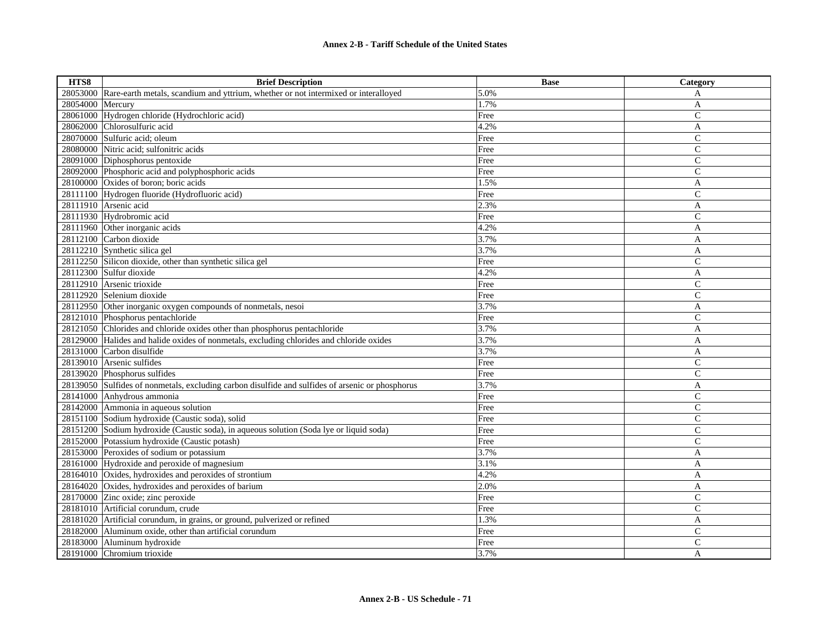| HTS8     | <b>Brief Description</b>                                                                         | <b>Base</b> | Category       |
|----------|--------------------------------------------------------------------------------------------------|-------------|----------------|
| 28053000 | Rare-earth metals, scandium and yttrium, whether or not intermixed or interalloyed               | 5.0%        | A              |
| 28054000 | Mercury                                                                                          | 1.7%        | A              |
| 28061000 | Hydrogen chloride (Hydrochloric acid)                                                            | Free        | C              |
| 28062000 | Chlorosulfuric acid                                                                              | 4.2%        | A              |
|          | 28070000 Sulfuric acid; oleum                                                                    | Free        | $\overline{C}$ |
| 28080000 | Nitric acid; sulfonitric acids                                                                   | Free        | $\mathsf{C}$   |
|          | 28091000 Diphosphorus pentoxide                                                                  | Free        | $\overline{C}$ |
|          | 28092000 Phosphoric acid and polyphosphoric acids                                                | Free        | $\overline{C}$ |
|          | 28100000 Oxides of boron; boric acids                                                            | 1.5%        | $\overline{A}$ |
|          | 28111100 Hydrogen fluoride (Hydrofluoric acid)                                                   | Free        | $\overline{C}$ |
|          | 28111910 Arsenic acid                                                                            | 2.3%        | A              |
|          | 28111930 Hydrobromic acid                                                                        | Free        | $\mathsf{C}$   |
|          | 28111960 Other inorganic acids                                                                   | 4.2%        | A              |
|          | 28112100 Carbon dioxide                                                                          | 3.7%        | A              |
|          | 28112210 Synthetic silica gel                                                                    | 3.7%        | A              |
|          | 28112250 Silicon dioxide, other than synthetic silica gel                                        | Free        | $\overline{C}$ |
|          | 28112300 Sulfur dioxide                                                                          | 4.2%        | A              |
| 28112910 | Arsenic trioxide                                                                                 | Free        | $\mathsf{C}$   |
|          | 28112920 Selenium dioxide                                                                        | Free        | C              |
|          | 28112950 Other inorganic oxygen compounds of nonmetals, nesoi                                    | 3.7%        | A              |
|          | 28121010 Phosphorus pentachloride                                                                | Free        | $\overline{C}$ |
|          | 28121050 Chlorides and chloride oxides other than phosphorus pentachloride                       | 3.7%        | A              |
| 28129000 | Halides and halide oxides of nonmetals, excluding chlorides and chloride oxides                  | 3.7%        | A              |
|          | 28131000 Carbon disulfide                                                                        | 3.7%        | A              |
| 28139010 | Arsenic sulfides                                                                                 | Free        | $\mathsf{C}$   |
|          | 28139020 Phosphorus sulfides                                                                     | Free        | $\overline{C}$ |
|          | 28139050 Sulfides of nonmetals, excluding carbon disulfide and sulfides of arsenic or phosphorus | 3.7%        | A              |
|          | 28141000 Anhydrous ammonia                                                                       | Free        | $\mathsf{C}$   |
|          | 28142000 Ammonia in aqueous solution                                                             | Free        | $\mathsf{C}$   |
|          | 28151100 Sodium hydroxide (Caustic soda), solid                                                  | Free        | $\mathsf{C}$   |
|          | 28151200 Sodium hydroxide (Caustic soda), in aqueous solution (Soda lye or liquid soda)          | Free        | $\overline{C}$ |
|          | 28152000 Potassium hydroxide (Caustic potash)                                                    | Free        | $\overline{C}$ |
|          | 28153000 Peroxides of sodium or potassium                                                        | 3.7%        | A              |
|          | 28161000 Hydroxide and peroxide of magnesium                                                     | 3.1%        | A              |
|          | 28164010 Oxides, hydroxides and peroxides of strontium                                           | 4.2%        | A              |
|          | 28164020 Oxides, hydroxides and peroxides of barium                                              | 2.0%        | A              |
|          | 28170000 Zinc oxide; zinc peroxide                                                               | Free        | $\mathsf{C}$   |
|          | 28181010 Artificial corundum, crude                                                              | Free        | $\overline{C}$ |
|          | 28181020 Artificial corundum, in grains, or ground, pulverized or refined                        | 1.3%        | A              |
| 28182000 | Aluminum oxide, other than artificial corundum                                                   | Free        | $\overline{C}$ |
| 28183000 | Aluminum hydroxide                                                                               | Free        | $\overline{C}$ |
|          | 28191000 Chromium trioxide                                                                       | 3.7%        | A              |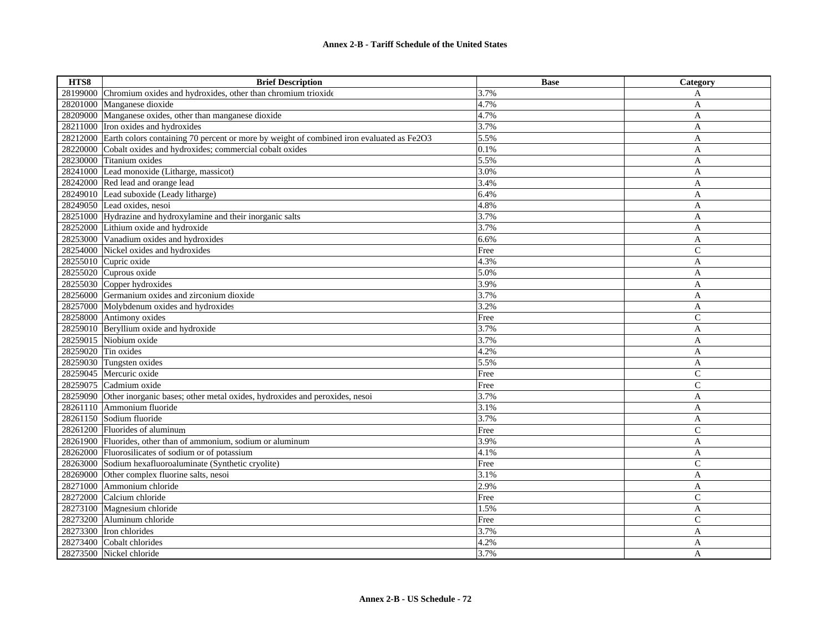| HTS8     | <b>Brief Description</b>                                                                          | <b>Base</b> | Category       |
|----------|---------------------------------------------------------------------------------------------------|-------------|----------------|
| 28199000 | Chromium oxides and hydroxides, other than chromium trioxide                                      | 3.7%        | A              |
| 28201000 | Manganese dioxide                                                                                 | 4.7%        | $\mathbf{A}$   |
| 28209000 | Manganese oxides, other than manganese dioxide                                                    | 4.7%        | A              |
|          | 28211000 Iron oxides and hydroxides                                                               | 3.7%        | $\mathbf{A}$   |
|          | 28212000 Earth colors containing 70 percent or more by weight of combined iron evaluated as Fe2O3 | 5.5%        | A              |
| 28220000 | Cobalt oxides and hydroxides; commercial cobalt oxides                                            | 0.1%        | A              |
| 28230000 | Titanium oxides                                                                                   | 5.5%        | A              |
|          | 28241000 Lead monoxide (Litharge, massicot)                                                       | 3.0%        | A              |
|          | 28242000 Red lead and orange lead                                                                 | 3.4%        | $\mathbf{A}$   |
|          | 28249010 Lead suboxide (Leady litharge)                                                           | 6.4%        | A              |
|          | 28249050 Lead oxides, nesoi                                                                       | 4.8%        | A              |
|          | 28251000 Hydrazine and hydroxylamine and their inorganic salts                                    | 3.7%        | A              |
|          | 28252000 Lithium oxide and hydroxide                                                              | 3.7%        | A              |
|          | 28253000 Vanadium oxides and hydroxides                                                           | 6.6%        | A              |
| 28254000 | Nickel oxides and hydroxides                                                                      | Free        | $\overline{C}$ |
|          | 28255010 Cupric oxide                                                                             | 4.3%        | A              |
| 28255020 | Cuprous oxide                                                                                     | 5.0%        | A              |
|          | 28255030 Copper hydroxides                                                                        | 3.9%        | A              |
| 28256000 | Germanium oxides and zirconium dioxide                                                            | 3.7%        | A              |
| 28257000 | Molybdenum oxides and hydroxides                                                                  | 3.2%        | A              |
| 28258000 | Antimony oxides                                                                                   | Free        | $\mathsf{C}$   |
| 28259010 | Beryllium oxide and hydroxide                                                                     | 3.7%        | A              |
| 28259015 | Niobium oxide                                                                                     | 3.7%        | A              |
| 28259020 | Tin oxides                                                                                        | 4.2%        | $\mathbf{A}$   |
| 28259030 | Tungsten oxides                                                                                   | 5.5%        | A              |
| 28259045 | Mercuric oxide                                                                                    | Free        | $\mathsf{C}$   |
| 28259075 | Cadmium oxide                                                                                     | Free        | $\overline{C}$ |
| 28259090 | Other inorganic bases; other metal oxides, hydroxides and peroxides, nesoi                        | 3.7%        | A              |
| 28261110 | Ammonium fluoride                                                                                 | 3.1%        | A              |
|          | 28261150 Sodium fluoride                                                                          | 3.7%        | A              |
|          | 28261200 Fluorides of aluminum                                                                    | Free        | $\overline{C}$ |
|          | 28261900 Fluorides, other than of ammonium, sodium or aluminum                                    | 3.9%        | A              |
|          | 28262000 Fluorosilicates of sodium or of potassium                                                | 4.1%        | A              |
| 28263000 | Sodium hexafluoroaluminate (Synthetic cryolite)                                                   | Free        | $\overline{C}$ |
| 28269000 | Other complex fluorine salts, nesoi                                                               | 3.1%        | A              |
| 28271000 | Ammonium chloride                                                                                 | 2.9%        | A              |
| 28272000 | Calcium chloride                                                                                  | Free        | C              |
| 28273100 | Magnesium chloride                                                                                | 1.5%        | A              |
| 28273200 | Aluminum chloride                                                                                 | Free        | C              |
| 28273300 | Iron chlorides                                                                                    | 3.7%        | A              |
| 28273400 | Cobalt chlorides                                                                                  | 4.2%        | A              |
|          | 28273500 Nickel chloride                                                                          | 3.7%        | A              |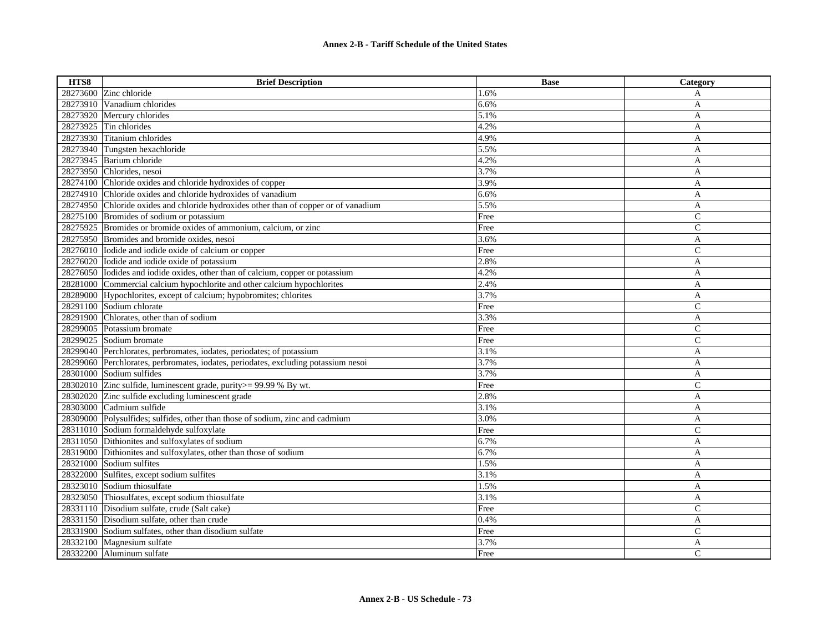| HTS8     | <b>Brief Description</b>                                                           | <b>Base</b> | Category       |
|----------|------------------------------------------------------------------------------------|-------------|----------------|
|          | 28273600 Zinc chloride                                                             | 1.6%        | A              |
| 28273910 | Vanadium chlorides                                                                 | 6.6%        | A              |
| 28273920 | Mercury chlorides                                                                  | 5.1%        | A              |
| 28273925 | Tin chlorides                                                                      | 4.2%        | A              |
| 28273930 | Titanium chlorides                                                                 | 4.9%        | A              |
|          | 28273940 Tungsten hexachloride                                                     | 5.5%        | A              |
| 28273945 | Barium chloride                                                                    | 4.2%        | A              |
|          | 28273950 Chlorides, nesoi                                                          | 3.7%        | A              |
| 28274100 | Chloride oxides and chloride hydroxides of copper                                  | 3.9%        | A              |
| 28274910 | Chloride oxides and chloride hydroxides of vanadium                                | 6.6%        | A              |
| 28274950 | Chloride oxides and chloride hydroxides other than of copper or of vanadium        | 5.5%        | A              |
|          | 28275100 Bromides of sodium or potassium                                           | Free        | $\mathbf C$    |
| 28275925 | Bromides or bromide oxides of ammonium, calcium, or zinc                           | Free        | $\mathsf{C}$   |
|          | 28275950 Bromides and bromide oxides, nesoi                                        | 3.6%        | A              |
|          | 28276010 Iodide and iodide oxide of calcium or copper                              | Free        | $\mathsf{C}$   |
|          | 28276020 Iodide and iodide oxide of potassium                                      | 2.8%        | A              |
|          | 28276050 Iodides and iodide oxides, other than of calcium, copper or potassium     | 4.2%        | A              |
| 28281000 | Commercial calcium hypochlorite and other calcium hypochlorites                    | 2.4%        | A              |
|          | 28289000 Hypochlorites, except of calcium; hypobromites; chlorites                 | 3.7%        | A              |
|          | 28291100 Sodium chlorate                                                           | Free        | $\mathbf C$    |
| 28291900 | Chlorates, other than of sodium                                                    | 3.3%        | A              |
| 28299005 | Potassium bromate                                                                  | Free        | $\mathbf C$    |
|          | 28299025 Sodium bromate                                                            | Free        | $\mathsf{C}$   |
|          | 28299040 Perchlorates, perbromates, iodates, periodates; of potassium              | 3.1%        | A              |
|          | 28299060 Perchlorates, perbromates, iodates, periodates, excluding potassium nesoi | 3.7%        | A              |
|          | 28301000 Sodium sulfides                                                           | 3.7%        | A              |
|          | 28302010 Zinc sulfide, luminescent grade, purity >= 99.99 % By wt.                 | Free        | $\mathsf{C}$   |
| 28302020 | Zinc sulfide excluding luminescent grade                                           | 2.8%        | A              |
| 28303000 | Cadmium sulfide                                                                    | 3.1%        | A              |
|          | 28309000 Polysulfides; sulfides, other than those of sodium, zinc and cadmium      | 3.0%        | A              |
|          | 28311010 Sodium formaldehyde sulfoxylate                                           | Free        | $\mathsf{C}$   |
|          | 28311050 Dithionites and sulfoxylates of sodium                                    | 6.7%        | A              |
| 28319000 | Dithionites and sulfoxylates, other than those of sodium                           | 6.7%        | A              |
| 28321000 | Sodium sulfites                                                                    | 1.5%        | A              |
|          | 28322000 Sulfites, except sodium sulfites                                          | 3.1%        | A              |
|          | 28323010 Sodium thiosulfate                                                        | 1.5%        | A              |
|          | 28323050 Thiosulfates, except sodium thiosulfate                                   | 3.1%        | A              |
|          | 28331110 Disodium sulfate, crude (Salt cake)                                       | Free        | $\mathsf{C}$   |
|          | 28331150 Disodium sulfate, other than crude                                        | 0.4%        | $\mathbf{A}$   |
|          | 28331900 Sodium sulfates, other than disodium sulfate                              | Free        | $\overline{C}$ |
|          | 28332100 Magnesium sulfate                                                         | 3.7%        | A              |
|          | 28332200 Aluminum sulfate                                                          | Free        | C              |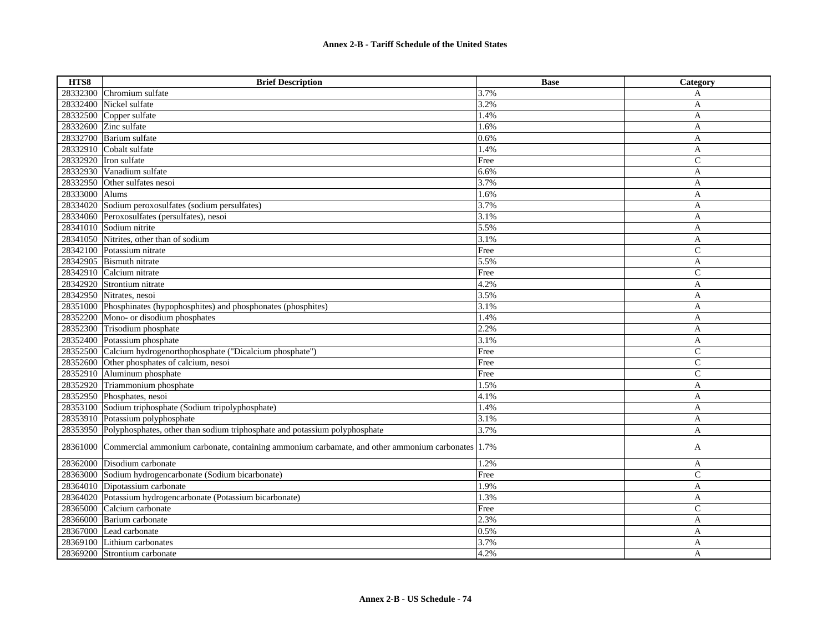| HTS8           | <b>Brief Description</b>                                                                    | <b>Base</b> | Category       |
|----------------|---------------------------------------------------------------------------------------------|-------------|----------------|
| 28332300       | Chromium sulfate                                                                            | 3.7%        | A              |
| 28332400       | Nickel sulfate                                                                              | 3.2%        | A              |
| 28332500       | Copper sulfate                                                                              | 1.4%        | A              |
| 28332600       | Zinc sulfate                                                                                | 1.6%        | A              |
| 28332700       | Barium sulfate                                                                              | 0.6%        | A              |
|                | 28332910 Cobalt sulfate                                                                     | 1.4%        | A              |
|                | 28332920 Tron sulfate                                                                       | Free        | $\mathsf{C}$   |
|                | 28332930 Vanadium sulfate                                                                   | 6.6%        | A              |
|                | 28332950 Other sulfates nesoi                                                               | 3.7%        | A              |
| 28333000 Alums |                                                                                             | 1.6%        | A              |
|                | 28334020 Sodium peroxosulfates (sodium persulfates)                                         | 3.7%        | A              |
|                | 28334060 Peroxosulfates (persulfates), nesoi                                                | 3.1%        | A              |
|                | 28341010 Sodium nitrite                                                                     | 5.5%        | A              |
| 28341050       | Nitrites, other than of sodium                                                              | 3.1%        | A              |
| 28342100       | Potassium nitrate                                                                           | Free        | $\overline{C}$ |
| 28342905       | <b>Bismuth</b> nitrate                                                                      | 5.5%        | A              |
| 28342910       | Calcium nitrate                                                                             | Free        | $\overline{C}$ |
| 28342920       | Strontium nitrate                                                                           | 4.2%        | A              |
| 28342950       | Nitrates, nesoi                                                                             | 3.5%        | A              |
| 28351000       | Phosphinates (hypophosphites) and phosphonates (phosphites)                                 | $3.1\%$     | A              |
| 28352200       | Mono- or disodium phosphates                                                                | 1.4%        | A              |
| 28352300       | Trisodium phosphate                                                                         | 2.2%        | A              |
| 28352400       | Potassium phosphate                                                                         | 3.1%        | A              |
| 28352500       | Calcium hydrogenorthophosphate ("Dicalcium phosphate")                                      | Free        | $\overline{C}$ |
| 28352600       | Other phosphates of calcium, nesoi                                                          | Free        | C              |
| 28352910       | Aluminum phosphate                                                                          | Free        | $\mathsf{C}$   |
| 28352920       | Triammonium phosphate                                                                       | 1.5%        | A              |
|                | 28352950 Phosphates, nesoi                                                                  | 4.1%        | A              |
|                | 28353100 Sodium triphosphate (Sodium tripolyphosphate)                                      | 1.4%        | A              |
|                | 28353910 Potassium polyphosphate                                                            | 3.1%        | A              |
|                | 28353950 Polyphosphates, other than sodium triphosphate and potassium polyphosphate         | 3.7%        | $\mathbf{A}$   |
| 28361000       | Commercial ammonium carbonate, containing ammonium carbamate, and other ammonium carbonates | 1.7%        | A              |
| 28362000       | Disodium carbonate                                                                          | 1.2%        | A              |
|                | 28363000 Sodium hydrogencarbonate (Sodium bicarbonate)                                      | Free        | $\mathsf{C}$   |
| 28364010       | Dipotassium carbonate                                                                       | 1.9%        | $\mathbf{A}$   |
|                | 28364020 Potassium hydrogencarbonate (Potassium bicarbonate)                                | 1.3%        | A              |
| 28365000       | Calcium carbonate                                                                           | Free        | $\mathsf{C}$   |
|                | 28366000 Barium carbonate                                                                   | 2.3%        | A              |
| 28367000       | Lead carbonate                                                                              | 0.5%        | A              |
|                | 28369100 Lithium carbonates                                                                 | 3.7%        | A              |
|                | 28369200 Strontium carbonate                                                                | 4.2%        | A              |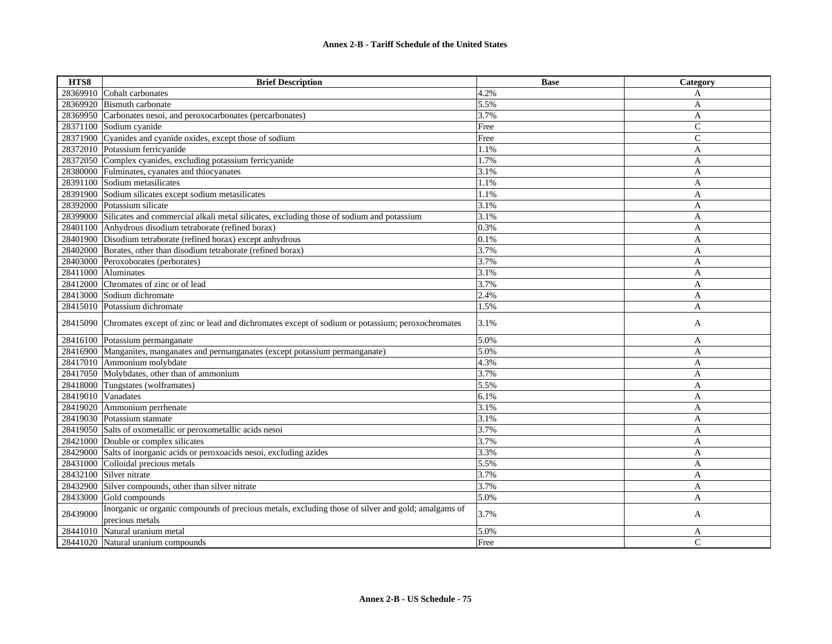| HTS8     | <b>Brief Description</b>                                                                                              | <b>Base</b> | Category       |
|----------|-----------------------------------------------------------------------------------------------------------------------|-------------|----------------|
|          | 28369910 Cobalt carbonates                                                                                            | 4.2%        | A              |
|          | 28369920 Bismuth carbonate                                                                                            | 5.5%        | A              |
| 28369950 | Carbonates nesoi, and peroxocarbonates (percarbonates)                                                                | 3.7%        | A              |
| 28371100 | Sodium cyanide                                                                                                        | Free        | $\mathcal{C}$  |
| 28371900 | Cyanides and cyanide oxides, except those of sodium                                                                   | Free        | $\overline{C}$ |
|          | 28372010 Potassium ferricyanide                                                                                       | 1.1%        | A              |
| 28372050 | Complex cyanides, excluding potassium ferricyanide                                                                    | 1.7%        | A              |
| 28380000 | Fulminates, cyanates and thiocyanates                                                                                 | 3.1%        | A              |
| 28391100 | Sodium metasilicates                                                                                                  | 1.1%        | A              |
|          | 28391900 Sodium silicates except sodium metasilicates                                                                 | 1.1%        | A              |
| 28392000 | Potassium silicate                                                                                                    | 3.1%        | A              |
|          | 28399000 Silicates and commercial alkali metal silicates, excluding those of sodium and potassium                     | 3.1%        | A              |
| 28401100 | Anhydrous disodium tetraborate (refined borax)                                                                        | 0.3%        | A              |
| 28401900 | Disodium tetraborate (refined borax) except anhydrous                                                                 | 0.1%        | A              |
| 28402000 | Borates, other than disodium tetraborate (refined borax)                                                              | 3.7%        | A              |
| 28403000 | Peroxoborates (perborates)                                                                                            | 3.7%        | A              |
| 28411000 | Aluminates                                                                                                            | 3.1%        | A              |
| 28412000 | Chromates of zinc or of lead                                                                                          | 3.7%        | A              |
|          | 28413000 Sodium dichromate                                                                                            | 2.4%        | A              |
|          | 28415010 Potassium dichromate                                                                                         | 1.5%        | A              |
|          | 28415090 Chromates except of zinc or lead and dichromates except of sodium or potassium; peroxochromates              | 3.1%        | A              |
|          | 28416100 Potassium permanganate                                                                                       | 5.0%        | A              |
| 28416900 | Manganites, manganates and permanganates (except potassium permanganate)                                              | 5.0%        | A              |
|          | 28417010 Ammonium molybdate                                                                                           | 4.3%        | A              |
|          | 28417050 Molybdates, other than of ammonium                                                                           | 3.7%        | A              |
|          | 28418000 Tungstates (wolframates)                                                                                     | 5.5%        | A              |
|          | 28419010 Vanadates                                                                                                    | 6.1%        | A              |
| 28419020 | Ammonium perrhenate                                                                                                   | 3.1%        | A              |
|          | 28419030 Potassium stannate                                                                                           | 3.1%        | A              |
|          | 28419050 Salts of oxometallic or peroxometallic acids nesoi                                                           | 3.7%        | $\mathbf{A}$   |
|          | 28421000 Double or complex silicates                                                                                  | 3.7%        | A              |
| 28429000 | Salts of inorganic acids or peroxoacids nesoi, excluding azides                                                       | 3.3%        | A              |
| 28431000 | Colloidal precious metals                                                                                             | 5.5%        | A              |
| 28432100 | Silver nitrate                                                                                                        | 3.7%        | A              |
|          | 28432900 Silver compounds, other than silver nitrate                                                                  | 3.7%        | A              |
| 28433000 | Gold compounds                                                                                                        | 5.0%        | A              |
| 28439000 | Inorganic or organic compounds of precious metals, excluding those of silver and gold; amalgams of<br>precious metals | 3.7%        | A              |
| 28441010 | Natural uranium metal                                                                                                 | 5.0%        | A              |
|          | 28441020 Natural uranium compounds                                                                                    | Free        | $\mathcal{C}$  |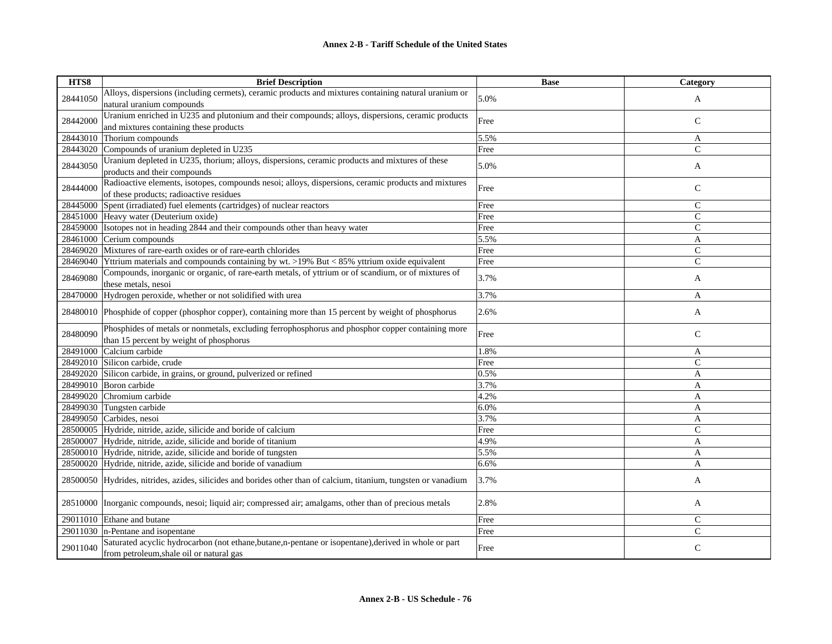| HTS8     | <b>Brief Description</b>                                                                                                                          | <b>Base</b> | Category       |
|----------|---------------------------------------------------------------------------------------------------------------------------------------------------|-------------|----------------|
| 28441050 | Alloys, dispersions (including cermets), ceramic products and mixtures containing natural uranium or                                              | 5.0%        |                |
|          | natural uranium compounds                                                                                                                         |             | A              |
|          | Uranium enriched in U235 and plutonium and their compounds; alloys, dispersions, ceramic products                                                 |             |                |
| 28442000 | and mixtures containing these products                                                                                                            | Free        | $\mathbf C$    |
| 28443010 | Thorium compounds                                                                                                                                 | 5.5%        | A              |
| 28443020 | Compounds of uranium depleted in U235                                                                                                             | Free        | $\mathcal{C}$  |
|          | Uranium depleted in U235, thorium; alloys, dispersions, ceramic products and mixtures of these                                                    |             |                |
| 28443050 | products and their compounds                                                                                                                      | 5.0%        | A              |
|          | Radioactive elements, isotopes, compounds nesoi; alloys, dispersions, ceramic products and mixtures                                               |             |                |
| 28444000 | of these products; radioactive residues                                                                                                           | Free        | $\mathsf{C}$   |
| 28445000 | Spent (irradiated) fuel elements (cartridges) of nuclear reactors                                                                                 | Free        | $\mathsf{C}$   |
| 28451000 | Heavy water (Deuterium oxide)                                                                                                                     | Free        | $\mathcal{C}$  |
| 28459000 | Isotopes not in heading 2844 and their compounds other than heavy water                                                                           | Free        | $\mathsf{C}$   |
| 28461000 | Cerium compounds                                                                                                                                  | 5.5%        | A              |
| 28469020 | Mixtures of rare-earth oxides or of rare-earth chlorides                                                                                          | Free        | $\mathsf{C}$   |
| 28469040 | Yttrium materials and compounds containing by wt. >19% But < 85% yttrium oxide equivalent                                                         | Free        | $\overline{C}$ |
| 28469080 | Compounds, inorganic or organic, of rare-earth metals, of yttrium or of scandium, or of mixtures of                                               |             |                |
|          | these metals, nesoi                                                                                                                               | 3.7%        | A              |
| 28470000 | Hydrogen peroxide, whether or not solidified with urea                                                                                            | 3.7%        | A              |
|          |                                                                                                                                                   |             |                |
| 28480010 | Phosphide of copper (phosphor copper), containing more than 15 percent by weight of phosphorus                                                    | 2.6%        | A              |
|          | Phosphides of metals or nonmetals, excluding ferrophosphorus and phosphor copper containing more                                                  | Free        | $\mathsf{C}$   |
| 28480090 | than 15 percent by weight of phosphorus                                                                                                           |             |                |
| 28491000 | Calcium carbide                                                                                                                                   | 1.8%        | A              |
| 28492010 | Silicon carbide, crude                                                                                                                            | Free        | $\mathcal{C}$  |
| 28492020 | Silicon carbide, in grains, or ground, pulverized or refined                                                                                      | 0.5%        | A              |
| 28499010 | Boron carbide                                                                                                                                     | 3.7%        | A              |
| 28499020 | Chromium carbide                                                                                                                                  | 4.2%        | A              |
| 28499030 | Tungsten carbide                                                                                                                                  | 6.0%        | A              |
| 28499050 | Carbides, nesoi                                                                                                                                   | 3.7%        | A              |
| 28500005 | Hydride, nitride, azide, silicide and boride of calcium                                                                                           | Free        | $\mathcal{C}$  |
| 28500007 | Hydride, nitride, azide, silicide and boride of titanium                                                                                          | 4.9%        | A              |
| 28500010 | Hydride, nitride, azide, silicide and boride of tungsten                                                                                          | 5.5%        | A              |
| 28500020 | Hydride, nitride, azide, silicide and boride of vanadium                                                                                          | 6.6%        | A              |
|          | 28500050 Hydrides, nitrides, azides, silicides and borides other than of calcium, titanium, tungsten or vanadium                                  | 3.7%        | A              |
| 28510000 | Inorganic compounds, nesoi; liquid air; compressed air; amalgams, other than of precious metals                                                   | 2.8%        | A              |
|          | 29011010 Ethane and butane                                                                                                                        | Free        | $\mathsf{C}$   |
|          | $29011030$ n-Pentane and isopentane                                                                                                               | Free        | $\mathcal{C}$  |
| 29011040 | Saturated acyclic hydrocarbon (not ethane, butane, n-pentane or isopentane), derived in whole or part<br>from petroleum, shale oil or natural gas | Free        | $\mathsf{C}$   |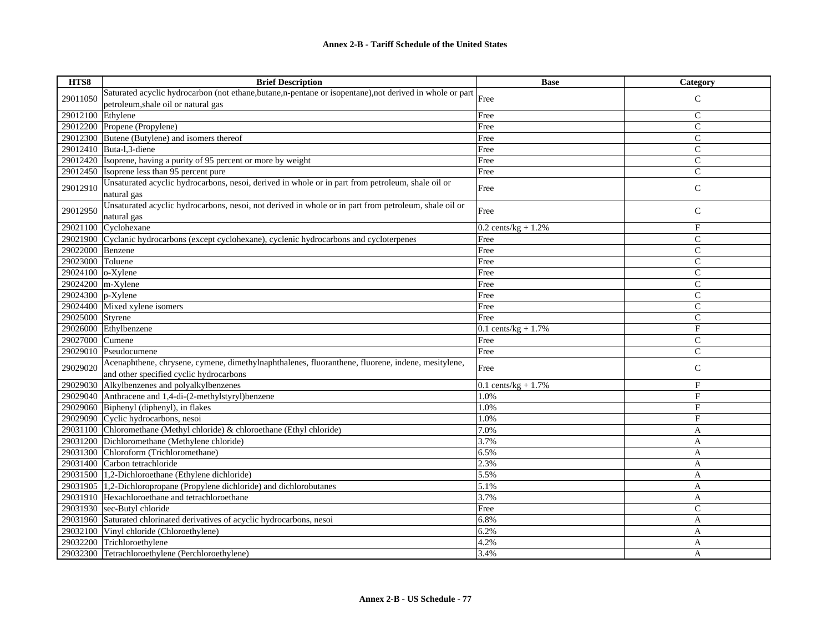## **Annex 2-B - Tariff Schedule of the United States**

| HTS8                 | <b>Brief Description</b>                                                                                  | <b>Base</b>             | Category       |
|----------------------|-----------------------------------------------------------------------------------------------------------|-------------------------|----------------|
| 29011050             | Saturated acyclic hydrocarbon (not ethane, butane, n-pentane or isopentane), not derived in whole or part | Free                    | $\mathsf{C}$   |
|                      | petroleum, shale oil or natural gas                                                                       |                         |                |
| 29012100             | Ethylene                                                                                                  | Free                    | $\mathsf{C}$   |
|                      | 29012200 Propene (Propylene)                                                                              | Free                    | $\mathsf{C}$   |
|                      | 29012300 Butene (Butylene) and isomers thereof                                                            | Free                    | $\mathsf{C}$   |
|                      | 29012410 Buta-1,3-diene                                                                                   | Free                    | $\mathsf{C}$   |
|                      | 29012420 Isoprene, having a purity of 95 percent or more by weight                                        | Free                    | $\mathsf{C}$   |
|                      | 29012450 Isoprene less than 95 percent pure                                                               | Free                    | $\mathsf{C}$   |
| 29012910             | Unsaturated acyclic hydrocarbons, nesoi, derived in whole or in part from petroleum, shale oil or         | Free                    | $\mathsf{C}$   |
|                      | natural gas                                                                                               |                         |                |
| 29012950             | Unsaturated acyclic hydrocarbons, nesoi, not derived in whole or in part from petroleum, shale oil or     | Free                    | $\mathcal{C}$  |
|                      | natural gas                                                                                               |                         |                |
| 29021100             | Cyclohexane                                                                                               | $0.2$ cents/kg + $1.2%$ | F              |
|                      | 29021900 Cyclanic hydrocarbons (except cyclohexane), cyclenic hydrocarbons and cycloterpenes              | Free                    | $\mathsf{C}$   |
| 29022000 Benzene     |                                                                                                           | Free                    | $\mathsf{C}$   |
| 29023000 Toluene     |                                                                                                           | Free                    | $\mathsf{C}$   |
| $29024100$ o-Xylene  |                                                                                                           | Free                    | $\mathsf{C}$   |
| $29024200$  m-Xylene |                                                                                                           | Free                    | $\mathsf{C}$   |
| 29024300 p-Xylene    |                                                                                                           | Free                    | $\mathsf{C}$   |
|                      | 29024400 Mixed xylene isomers                                                                             | Free                    | $\mathsf{C}$   |
| 29025000 Styrene     |                                                                                                           | Free                    | $\mathsf{C}$   |
|                      | 29026000 Ethylbenzene                                                                                     | $0.1$ cents/kg + 1.7%   | $_{\rm F}$     |
| 29027000 Cumene      |                                                                                                           | Free                    | $\overline{C}$ |
| 29029010             | Pseudocumene                                                                                              | Free                    | $\mathsf{C}$   |
| 29029020             | Acenaphthene, chrysene, cymene, dimethylnaphthalenes, fluoranthene, fluorene, indene, mesitylene,         | Free                    | $\mathsf{C}$   |
|                      | and other specified cyclic hydrocarbons                                                                   |                         |                |
|                      | 29029030 Alkylbenzenes and polyalkylbenzenes                                                              | $0.1$ cents/kg + 1.7%   | $_{\rm F}$     |
|                      | 29029040 Anthracene and 1,4-di-(2-methylstyryl)benzene                                                    | 1.0%                    | F              |
|                      | 29029060 Biphenyl (diphenyl), in flakes                                                                   | 1.0%                    | F              |
|                      | 29029090 Cyclic hydrocarbons, nesoi                                                                       | 1.0%                    | $\mathbf{F}$   |
|                      | 29031100 Chloromethane (Methyl chloride) & chloroethane (Ethyl chloride)                                  | 7.0%                    | A              |
|                      | 29031200 Dichloromethane (Methylene chloride)                                                             | 3.7%                    | A              |
|                      | 29031300 Chloroform (Trichloromethane)                                                                    | 6.5%                    | A              |
|                      | 29031400 Carbon tetrachloride                                                                             | 2.3%                    | $\overline{A}$ |
|                      | 29031500 1,2-Dichloroethane (Ethylene dichloride)                                                         | 5.5%                    | A              |
|                      | 29031905 1,2-Dichloropropane (Propylene dichloride) and dichlorobutanes                                   | 5.1%                    | A              |
|                      | 29031910 Hexachloroethane and tetrachloroethane                                                           | 3.7%                    | A              |
|                      | $29031930$ sec-Butyl chloride                                                                             | Free                    | $\overline{C}$ |
|                      | 29031960 Saturated chlorinated derivatives of acyclic hydrocarbons, nesoi                                 | 6.8%                    | A              |
|                      | 29032100 Vinyl chloride (Chloroethylene)                                                                  | 6.2%                    | A              |
|                      | 29032200 Trichloroethylene                                                                                | 4.2%                    | A              |
|                      | 29032300 Tetrachloroethylene (Perchloroethylene)                                                          | 3.4%                    | A              |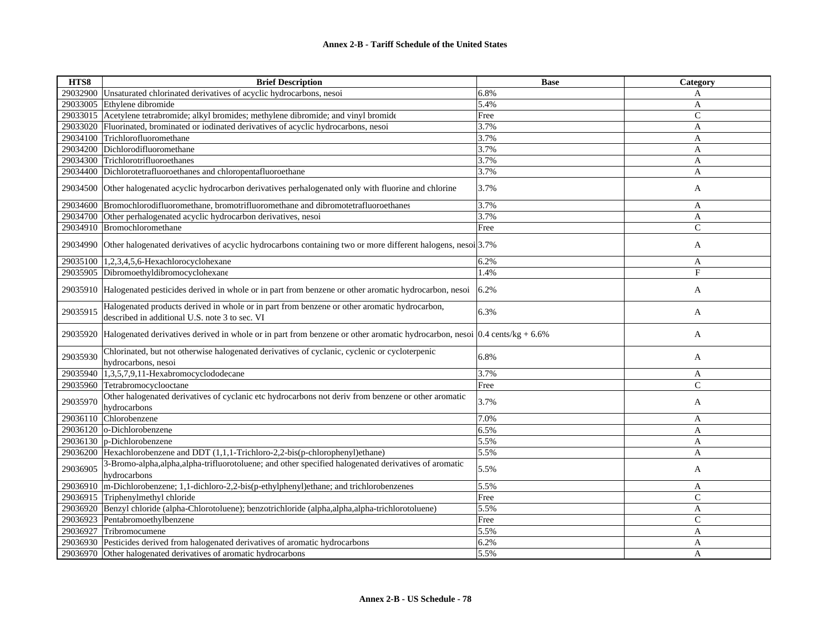| HTS8     | <b>Brief Description</b>                                                                                                                       | <b>Base</b> | Category      |
|----------|------------------------------------------------------------------------------------------------------------------------------------------------|-------------|---------------|
| 29032900 | Unsaturated chlorinated derivatives of acyclic hydrocarbons, nesoi                                                                             | 6.8%        | A             |
| 29033005 | Ethylene dibromide                                                                                                                             | 5.4%        | A             |
| 29033015 | Acetylene tetrabromide; alkyl bromides; methylene dibromide; and vinyl bromide                                                                 | Free        | $\mathsf{C}$  |
| 29033020 | Fluorinated, brominated or iodinated derivatives of acyclic hydrocarbons, nesoi                                                                | 3.7%        | A             |
| 29034100 | Trichlorofluoromethane                                                                                                                         | 3.7%        | A             |
| 29034200 | Dichlorodifluoromethane                                                                                                                        | 3.7%        | A             |
| 29034300 | Trichlorotrifluoroethanes                                                                                                                      | 3.7%        | A             |
| 29034400 | Dichlorotetrafluoroethanes and chloropentafluoroethane                                                                                         | 3.7%        | A             |
| 29034500 | Other halogenated acyclic hydrocarbon derivatives perhalogenated only with fluorine and chlorine                                               | 3.7%        | A             |
| 29034600 | Bromochlorodifluoromethane, bromotrifluoromethane and dibromotetrafluoroethanes                                                                | 3.7%        | A             |
| 29034700 | Other perhalogenated acyclic hydrocarbon derivatives, nesoi                                                                                    | 3.7%        | A             |
|          | 29034910 Bromochloromethane                                                                                                                    | Free        | $\mathsf{C}$  |
| 29034990 | Other halogenated derivatives of acyclic hydrocarbons containing two or more different halogens, nesoi 3.7%                                    |             | A             |
| 29035100 | 1,2,3,4,5,6-Hexachlorocyclohexane                                                                                                              | 6.2%        | A             |
|          | 29035905 Dibromoethyldibromocyclohexane                                                                                                        | 1.4%        | F             |
|          | 29035910 Halogenated pesticides derived in whole or in part from benzene or other aromatic hydrocarbon, nesoi                                  | 6.2%        | A             |
| 29035915 | Halogenated products derived in whole or in part from benzene or other aromatic hydrocarbon,<br>described in additional U.S. note 3 to sec. VI | 6.3%        | A             |
| 29035920 | Halogenated derivatives derived in whole or in part from benzene or other aromatic hydrocarbon, nesoi $0.4$ cents/kg + 6.6%                    |             | A             |
| 29035930 | Chlorinated, but not otherwise halogenated derivatives of cyclanic, cyclenic or cycloterpenic<br>hydrocarbons, nesoi                           | 6.8%        | A             |
| 29035940 | 1,3,5,7,9,11-Hexabromocyclododecane                                                                                                            | 3.7%        | A             |
| 29035960 | Tetrabromocyclooctane                                                                                                                          | Free        | $\mathcal{C}$ |
| 29035970 | Other halogenated derivatives of cyclanic etc hydrocarbons not deriv from benzene or other aromatic<br>hydrocarbons                            | 3.7%        | A             |
| 29036110 | Chlorobenzene                                                                                                                                  | 7.0%        | A             |
| 29036120 | o-Dichlorobenzene                                                                                                                              | 6.5%        | A             |
|          | 29036130 p-Dichlorobenzene                                                                                                                     | 5.5%        | $\mathbf{A}$  |
| 29036200 | Hexachlorobenzene and DDT (1,1,1-Trichloro-2,2-bis(p-chlorophenyl)ethane)                                                                      | 5.5%        | A             |
| 29036905 | 3-Bromo-alpha, alpha, alpha-trifluorotoluene; and other specified halogenated derivatives of aromatic<br>hydrocarbons                          | 5.5%        | A             |
| 29036910 | m-Dichlorobenzene; 1,1-dichloro-2,2-bis(p-ethylphenyl)ethane; and trichlorobenzenes                                                            | 5.5%        | A             |
| 29036915 | Triphenylmethyl chloride                                                                                                                       | Free        | $\mathsf{C}$  |
| 29036920 | Benzyl chloride (alpha-Chlorotoluene); benzotrichloride (alpha,alpha,alpha-trichlorotoluene)                                                   | 5.5%        | A             |
| 29036923 | Pentabromoethylbenzene                                                                                                                         | Free        | $\mathsf{C}$  |
| 29036927 | Tribromocumene                                                                                                                                 | 5.5%        | A             |
|          | 29036930 Pesticides derived from halogenated derivatives of aromatic hydrocarbons                                                              | 6.2%        | A             |
|          | 29036970 Other halogenated derivatives of aromatic hydrocarbons                                                                                | 5.5%        | A             |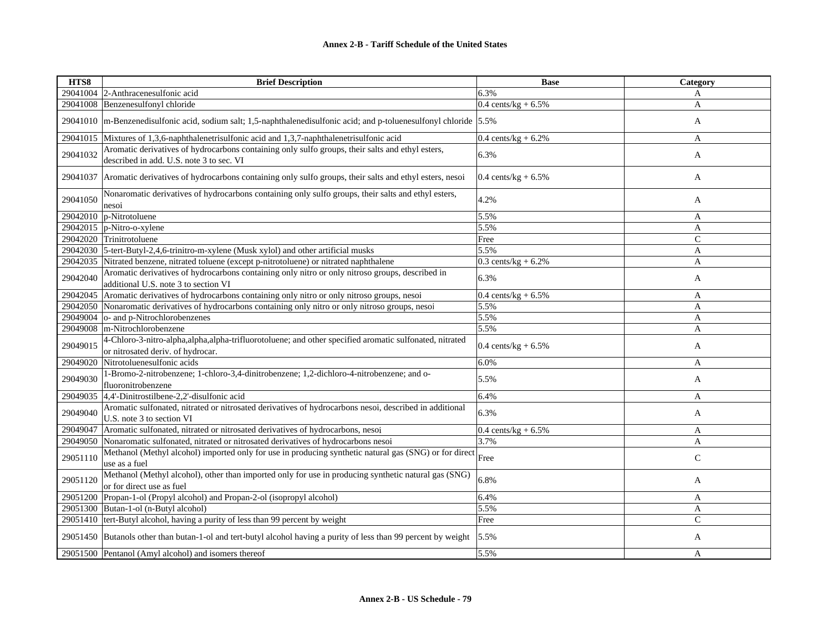| HTS8     | <b>Brief Description</b>                                                                                                                     | <b>Base</b>                    | <b>Category</b> |
|----------|----------------------------------------------------------------------------------------------------------------------------------------------|--------------------------------|-----------------|
|          | 29041004 2-Anthracenesulfonic acid                                                                                                           | 6.3%                           | A               |
|          | 29041008 Benzenesulfonyl chloride                                                                                                            | $0.4 \text{ cents/kg} + 6.5\%$ | $\mathbf{A}$    |
|          | 29041010  m-Benzenedisulfonic acid, sodium salt; 1,5-naphthalenedisulfonic acid; and p-toluenesulfonyl chloride   5.5%                       |                                | A               |
|          | 29041015 Mixtures of 1,3,6-naphthalenetrisulfonic acid and 1,3,7-naphthalenetrisulfonic acid                                                 | 0.4 cents/ $kg + 6.2%$         | A               |
| 29041032 | Aromatic derivatives of hydrocarbons containing only sulfo groups, their salts and ethyl esters,<br>described in add. U.S. note 3 to sec. VI | 6.3%                           | A               |
| 29041037 | Aromatic derivatives of hydrocarbons containing only sulfo groups, their salts and ethyl esters, nesoi                                       | 0.4 cents/kg + $6.5\%$         | A               |
| 29041050 | Nonaromatic derivatives of hydrocarbons containing only sulfo groups, their salts and ethyl esters,<br>nesoi                                 | 4.2%                           | A               |
|          | 29042010 $ p\text{-Nitrotoluene} $                                                                                                           | 5.5%                           | A               |
|          | $29042015$ p-Nitro-o-xylene                                                                                                                  | 5.5%                           | A               |
|          | 29042020 Trinitrotoluene                                                                                                                     | Free                           | $\mathbf C$     |
|          | 29042030 5-tert-Butyl-2,4,6-trinitro-m-xylene (Musk xylol) and other artificial musks                                                        | 5.5%                           | A               |
|          | 29042035 Nitrated benzene, nitrated toluene (except p-nitrotoluene) or nitrated naphthalene                                                  | $0.3$ cents/kg + $6.2\%$       | A               |
| 29042040 | Aromatic derivatives of hydrocarbons containing only nitro or only nitroso groups, described in<br>additional U.S. note 3 to section VI      | 6.3%                           | A               |
| 29042045 | Aromatic derivatives of hydrocarbons containing only nitro or only nitroso groups, nesoi                                                     | 0.4 cents/kg + $6.5\%$         | A               |
|          | 29042050 Nonaromatic derivatives of hydrocarbons containing only nitro or only nitroso groups, nesoi                                         | 5.5%                           | A               |
|          | 29049004 o- and p-Nitrochlorobenzenes                                                                                                        | 5.5%                           | A               |
|          | 29049008 m-Nitrochlorobenzene                                                                                                                | 5.5%                           | A               |
| 29049015 | 4-Chloro-3-nitro-alpha,alpha,alpha-trifluorotoluene; and other specified aromatic sulfonated, nitrated<br>or nitrosated deriv. of hydrocar.  | 0.4 cents/kg + $6.5\%$         | A               |
|          | 29049020 Nitrotoluenesulfonic acids                                                                                                          | 6.0%                           | A               |
| 29049030 | 1-Bromo-2-nitrobenzene; 1-chloro-3,4-dinitrobenzene; 1,2-dichloro-4-nitrobenzene; and o-<br>fluoronitrobenzene                               | 5.5%                           | A               |
|          | 29049035 4,4'-Dinitrostilbene-2,2'-disulfonic acid                                                                                           | 6.4%                           | A               |
| 29049040 | Aromatic sulfonated, nitrated or nitrosated derivatives of hydrocarbons nesoi, described in additional<br>U.S. note 3 to section VI          | 6.3%                           | A               |
| 29049047 | Aromatic sulfonated, nitrated or nitrosated derivatives of hydrocarbons, nesoi                                                               | $0.4 \text{ cents/kg} + 6.5\%$ | A               |
|          | 29049050 Nonaromatic sulfonated, nitrated or nitrosated derivatives of hydrocarbons nesoi                                                    | 3.7%                           | A               |
| 29051110 | Methanol (Methyl alcohol) imported only for use in producing synthetic natural gas (SNG) or for direct<br>use as a fuel                      | Free                           | $\mathsf{C}$    |
| 29051120 | Methanol (Methyl alcohol), other than imported only for use in producing synthetic natural gas (SNG)<br>or for direct use as fuel            | 6.8%                           | A               |
| 29051200 | Propan-1-ol (Propyl alcohol) and Propan-2-ol (isopropyl alcohol)                                                                             | 6.4%                           | A               |
|          | 29051300 Butan-1-ol (n-Butyl alcohol)                                                                                                        | 5.5%                           | A               |
|          | 29051410   tert-Butyl alcohol, having a purity of less than 99 percent by weight                                                             | Free                           | $\mathcal{C}$   |
|          | 29051450 Butanols other than butan-1-ol and tert-butyl alcohol having a purity of less than 99 percent by weight                             | 5.5%                           | A               |
|          | 29051500 Pentanol (Amyl alcohol) and isomers thereof                                                                                         | 5.5%                           | A               |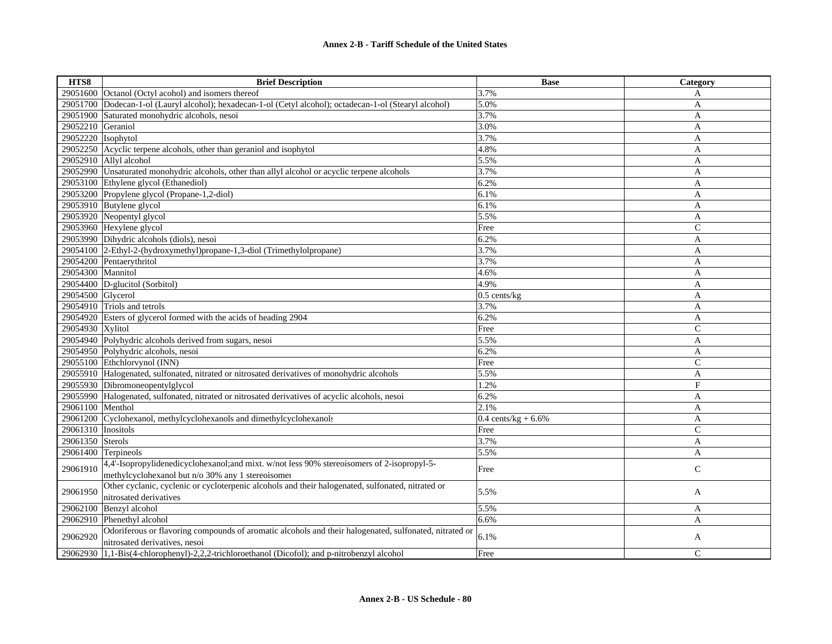| HTS8               | <b>Brief Description</b>                                                                                                                | <b>Base</b>                    | Category      |
|--------------------|-----------------------------------------------------------------------------------------------------------------------------------------|--------------------------------|---------------|
| 29051600           | Octanol (Octyl acohol) and isomers thereof                                                                                              | 3.7%                           | A             |
| 29051700           | Dodecan-1-ol (Lauryl alcohol); hexadecan-1-ol (Cetyl alcohol); octadecan-1-ol (Stearyl alcohol)                                         | 5.0%                           | A             |
| 29051900           | Saturated monohydric alcohols, nesoi                                                                                                    | 3.7%                           | A             |
| 29052210           | Geraniol                                                                                                                                | 3.0%                           | A             |
| 29052220 Isophytol |                                                                                                                                         | 3.7%                           | $\mathbf{A}$  |
|                    | 29052250 Acyclic terpene alcohols, other than geraniol and isophytol                                                                    | 4.8%                           | A             |
|                    | 29052910 Allyl alcohol                                                                                                                  | 5.5%                           | A             |
|                    | 29052990 Unsaturated monohydric alcohols, other than allyl alcohol or acyclic terpene alcohols                                          | 3.7%                           | A             |
| 29053100           | Ethylene glycol (Ethanediol)                                                                                                            | 6.2%                           | A             |
|                    | 29053200 Propylene glycol (Propane-1,2-diol)                                                                                            | 6.1%                           | A             |
|                    | 29053910 Butylene glycol                                                                                                                | 6.1%                           | A             |
|                    | 29053920 Neopentyl glycol                                                                                                               | 5.5%                           | A             |
|                    | 29053960 Hexylene glycol                                                                                                                | Free                           | $\mathsf{C}$  |
|                    | 29053990 Dihydric alcohols (diols), nesoi                                                                                               | 6.2%                           | A             |
|                    | 29054100 2-Ethyl-2-(hydroxymethyl)propane-1,3-diol (Trimethylolpropane)                                                                 | 3.7%                           | A             |
|                    | 29054200 Pentaerythritol                                                                                                                | 3.7%                           | A             |
| 29054300           | Mannitol                                                                                                                                | 4.6%                           | A             |
| 29054400           | D-glucitol (Sorbitol)                                                                                                                   | 4.9%                           | A             |
| 29054500 Glycerol  |                                                                                                                                         | $0.5$ cents/ $kg$              | A             |
|                    | 29054910 Triols and tetrols                                                                                                             | 3.7%                           | A             |
|                    | 29054920 Esters of glycerol formed with the acids of heading 2904                                                                       | 6.2%                           | A             |
| 29054930 Xylitol   |                                                                                                                                         | Free                           | $\mathcal{C}$ |
|                    | 29054940 Polyhydric alcohols derived from sugars, nesoi                                                                                 | 5.5%                           | A             |
|                    | 29054950 Polyhydric alcohols, nesoi                                                                                                     | 6.2%                           | A             |
|                    | 29055100 Ethchlorvynol (INN)                                                                                                            | Free                           | $\mathcal{C}$ |
|                    | 29055910 Halogenated, sulfonated, nitrated or nitrosated derivatives of monohydric alcohols                                             | 5.5%                           | A             |
|                    | 29055930 Dibromoneopentylglycol                                                                                                         | 1.2%                           | F             |
|                    | 29055990 Halogenated, sulfonated, nitrated or nitrosated derivatives of acyclic alcohols, nesoi                                         | 6.2%                           | $\mathbf{A}$  |
| 29061100           | Menthol                                                                                                                                 | 2.1%                           | A             |
| 29061200           | Cyclohexanol, methylcyclohexanols and dimethylcyclohexanols                                                                             | $0.4 \text{ cents/kg} + 6.6\%$ | A             |
| 29061310 Inositols |                                                                                                                                         | Free                           | $\mathsf{C}$  |
| 29061350 Sterols   |                                                                                                                                         | 3.7%                           | A             |
| 29061400           | Terpineols                                                                                                                              | 5.5%                           | A             |
| 29061910           | 4,4'-Isopropylidenedicyclohexanol;and mixt. w/not less 90% stereoisomers of 2-isopropyl-5-                                              | Free                           | $\mathbf C$   |
|                    | methylcyclohexanol but n/o 30% any 1 stereoisomer                                                                                       |                                |               |
| 29061950           | Other cyclanic, cyclenic or cycloterpenic alcohols and their halogenated, sulfonated, nitrated or                                       | 5.5%                           | A             |
|                    | nitrosated derivatives                                                                                                                  |                                |               |
| 29062100           | Benzyl alcohol                                                                                                                          | 5.5%                           | A             |
|                    | 29062910 Phenethyl alcohol                                                                                                              | 6.6%                           | A             |
| 29062920           | Odoriferous or flavoring compounds of aromatic alcohols and their halogenated, sulfonated, nitrated or<br>nitrosated derivatives, nesoi | 6.1%                           | A             |
| 29062930           | 1,1-Bis(4-chlorophenyl)-2,2,2-trichloroethanol (Dicofol); and p-nitrobenzyl alcohol                                                     | Free                           | $\mathsf{C}$  |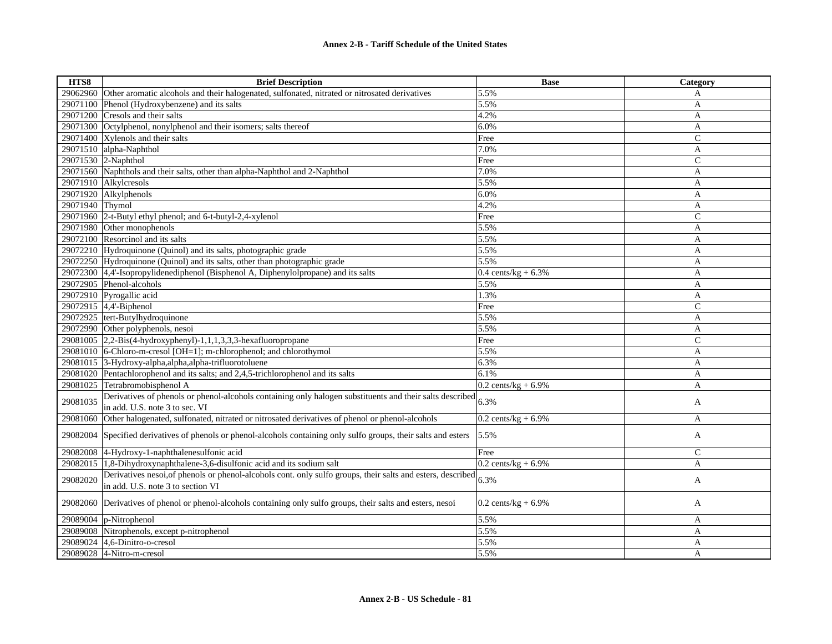| HTS8            | <b>Brief Description</b>                                                                                    | <b>Base</b>                    | Category       |
|-----------------|-------------------------------------------------------------------------------------------------------------|--------------------------------|----------------|
| 29062960        | Other aromatic alcohols and their halogenated, sulfonated, nitrated or nitrosated derivatives               | 5.5%                           | A              |
| 29071100        | Phenol (Hydroxybenzene) and its salts                                                                       | 5.5%                           | A              |
| 29071200        | Cresols and their salts                                                                                     | 4.2%                           | A              |
| 29071300        | Octylphenol, nonylphenol and their isomers; salts thereof                                                   | 6.0%                           | A              |
|                 | 29071400 Xylenols and their salts                                                                           | Free                           | $\mathbf C$    |
|                 | 29071510 alpha-Naphthol                                                                                     | 7.0%                           | A              |
|                 | 29071530 2-Naphthol                                                                                         | Free                           | $\mathcal{C}$  |
|                 | 29071560 Naphthols and their salts, other than alpha-Naphthol and 2-Naphthol                                | 7.0%                           | A              |
|                 | 29071910 Alkylcresols                                                                                       | 5.5%                           | A              |
|                 | 29071920 Alkylphenols                                                                                       | 6.0%                           | A              |
| 29071940 Thymol |                                                                                                             | 4.2%                           | A              |
|                 | 29071960 2-t-Butyl ethyl phenol; and 6-t-butyl-2,4-xylenol                                                  | Free                           | ${\bf C}$      |
|                 | 29071980 Other monophenols                                                                                  | 5.5%                           | A              |
|                 | 29072100 Resorcinol and its salts                                                                           | 5.5%                           | A              |
|                 | 29072210 Hydroquinone (Quinol) and its salts, photographic grade                                            | 5.5%                           | A              |
|                 | 29072250 Hydroquinone (Quinol) and its salts, other than photographic grade                                 | 5.5%                           | A              |
|                 | 29072300 4,4'-Isopropylidenediphenol (Bisphenol A, Diphenylolpropane) and its salts                         | $0.4$ cents/kg + 6.3%          | A              |
|                 | 29072905 Phenol-alcohols                                                                                    | 5.5%                           | A              |
|                 | 29072910 Pyrogallic acid                                                                                    | 1.3%                           | A              |
|                 | 29072915 4,4'-Biphenol                                                                                      | Free                           | $\overline{C}$ |
|                 | 29072925 tert-Butylhydroquinone                                                                             | 5.5%                           | A              |
|                 | 29072990 Other polyphenols, nesoi                                                                           | 5.5%                           | A              |
|                 | $29081005$ 2,2-Bis(4-hydroxyphenyl)-1,1,1,3,3,3-hexafluoropropane                                           | Free                           | $\mathcal{C}$  |
|                 | 29081010 6-Chloro-m-cresol [OH=1]; m-chlorophenol; and chlorothymol                                         | 5.5%                           | A              |
| 29081015        | 3-Hydroxy-alpha, alpha, alpha-trifluorotoluene                                                              | 6.3%                           | A              |
|                 | 29081020 Pentachlorophenol and its salts; and 2,4,5-trichlorophenol and its salts                           | 6.1%                           | A              |
| 29081025        | Tetrabromobisphenol A                                                                                       | $0.2$ cents/kg + 6.9%          | A              |
| 29081035        | Derivatives of phenols or phenol-alcohols containing only halogen substituents and their salts described    | 6.3%                           | A              |
|                 | in add. U.S. note 3 to sec. VI                                                                              |                                |                |
| 29081060        | Other halogenated, sulfonated, nitrated or nitrosated derivatives of phenol or phenol-alcohols              | $0.2$ cents/kg + 6.9%          | A              |
| 29082004        | Specified derivatives of phenols or phenol-alcohols containing only sulfo groups, their salts and esters    | 5.5%                           | A              |
| 29082008        | 4-Hydroxy-1-naphthalenesulfonic acid                                                                        | Free                           | C              |
| 29082015        | 1,8-Dihydroxynaphthalene-3,6-disulfonic acid and its sodium salt                                            | $0.2 \text{ cents/kg} + 6.9\%$ | A              |
| 29082020        | Derivatives nesoi, of phenols or phenol-alcohols cont. only sulfo groups, their salts and esters, described | 6.3%                           | A              |
|                 | in add. U.S. note 3 to section VI                                                                           |                                |                |
| 29082060        | Derivatives of phenol or phenol-alcohols containing only sulfo groups, their salts and esters, nesoi        | $0.2$ cents/kg + 6.9%          | A              |
| 29089004        | p-Nitrophenol                                                                                               | 5.5%                           | A              |
| 29089008        | Nitrophenols, except p-nitrophenol                                                                          | 5.5%                           | A              |
|                 | 29089024 4,6-Dinitro-o-cresol                                                                               | 5.5%                           | A              |
|                 | 29089028 4-Nitro-m-cresol                                                                                   | 5.5%                           | A              |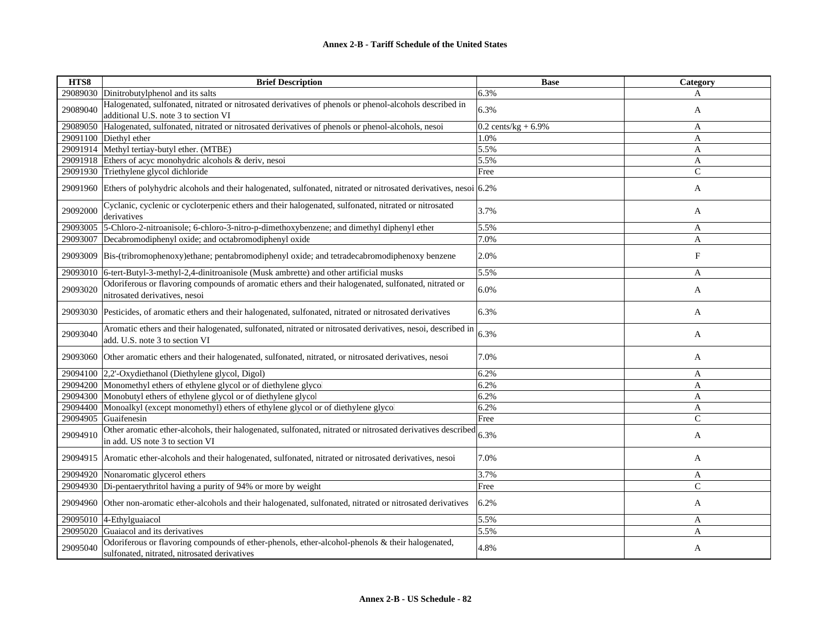| HTS8     | <b>Brief Description</b>                                                                                                                        | <b>Base</b>           | Category                  |
|----------|-------------------------------------------------------------------------------------------------------------------------------------------------|-----------------------|---------------------------|
| 29089030 | Dinitrobutylphenol and its salts                                                                                                                | 6.3%                  | A                         |
| 29089040 | Halogenated, sulfonated, nitrated or nitrosated derivatives of phenols or phenol-alcohols described in<br>additional U.S. note 3 to section VI  | 6.3%                  | A                         |
| 29089050 | Halogenated, sulfonated, nitrated or nitrosated derivatives of phenols or phenol-alcohols, nesoi                                                | $0.2$ cents/kg + 6.9% | A                         |
|          | 29091100 Diethyl ether                                                                                                                          | 1.0%                  | A                         |
|          | 29091914 Methyl tertiay-butyl ether. (MTBE)                                                                                                     | 5.5%                  | A                         |
| 29091918 | Ethers of acyc monohydric alcohols & deriv, nesoi                                                                                               | 5.5%                  | A                         |
| 29091930 | Triethylene glycol dichloride                                                                                                                   | Free                  | $\mathcal{C}$             |
| 29091960 | Ethers of polyhydric alcohols and their halogenated, sulfonated, nitrated or nitrosated derivatives, nesoi 6.2%                                 |                       | A                         |
| 29092000 | Cyclanic, cyclenic or cycloterpenic ethers and their halogenated, sulfonated, nitrated or nitrosated<br>derivatives                             | 3.7%                  | A                         |
| 29093005 | 5-Chloro-2-nitroanisole; 6-chloro-3-nitro-p-dimethoxybenzene; and dimethyl diphenyl ether                                                       | 5.5%                  | A                         |
| 29093007 | Decabromodiphenyl oxide; and octabromodiphenyl oxide                                                                                            | 7.0%                  | A                         |
| 29093009 | Bis-(tribromophenoxy)ethane; pentabromodiphenyl oxide; and tetradecabromodiphenoxy benzene                                                      | 2.0%                  | $\boldsymbol{\mathrm{F}}$ |
| 29093010 | 6-tert-Butyl-3-methyl-2,4-dinitroanisole (Musk ambrette) and other artificial musks                                                             | 5.5%                  | A                         |
| 29093020 | Odoriferous or flavoring compounds of aromatic ethers and their halogenated, sulfonated, nitrated or<br>nitrosated derivatives, nesoi           | 6.0%                  | A                         |
| 29093030 | Pesticides, of aromatic ethers and their halogenated, sulfonated, nitrated or nitrosated derivatives                                            | 6.3%                  | A                         |
| 29093040 | Aromatic ethers and their halogenated, sulfonated, nitrated or nitrosated derivatives, nesoi, described in<br>add. U.S. note 3 to section VI    | 6.3%                  | A                         |
| 29093060 | Other aromatic ethers and their halogenated, sulfonated, nitrated, or nitrosated derivatives, nesoi                                             | 7.0%                  | A                         |
| 29094100 | 2,2'-Oxydiethanol (Diethylene glycol, Digol)                                                                                                    | 6.2%                  | A                         |
| 29094200 | Monomethyl ethers of ethylene glycol or of diethylene glycol                                                                                    | 6.2%                  | A                         |
| 29094300 | Monobutyl ethers of ethylene glycol or of diethylene glycol                                                                                     | 6.2%                  | A                         |
| 29094400 | Monoalkyl (except monomethyl) ethers of ethylene glycol or of diethylene glycol                                                                 | 6.2%                  | A                         |
| 29094905 | Guaifenesin                                                                                                                                     | Free                  | $\mathsf{C}$              |
| 29094910 | Other aromatic ether-alcohols, their halogenated, sulfonated, nitrated or nitrosated derivatives described<br>in add. US note 3 to section VI   | 6.3%                  | A                         |
| 29094915 | Aromatic ether-alcohols and their halogenated, sulfonated, nitrated or nitrosated derivatives, nesoi                                            | 7.0%                  | A                         |
| 29094920 | Nonaromatic glycerol ethers                                                                                                                     | 3.7%                  | A                         |
|          | 29094930 Di-pentaerythritol having a purity of 94% or more by weight                                                                            | Free                  | $\mathsf{C}$              |
| 29094960 | Other non-aromatic ether-alcohols and their halogenated, sulfonated, nitrated or nitrosated derivatives                                         | 6.2%                  | A                         |
| 29095010 | 4-Ethylguaiacol                                                                                                                                 | 5.5%                  | A                         |
| 29095020 | Guaiacol and its derivatives                                                                                                                    | 5.5%                  | A                         |
| 29095040 | Odoriferous or flavoring compounds of ether-phenols, ether-alcohol-phenols & their halogenated,<br>sulfonated, nitrated, nitrosated derivatives | 4.8%                  | A                         |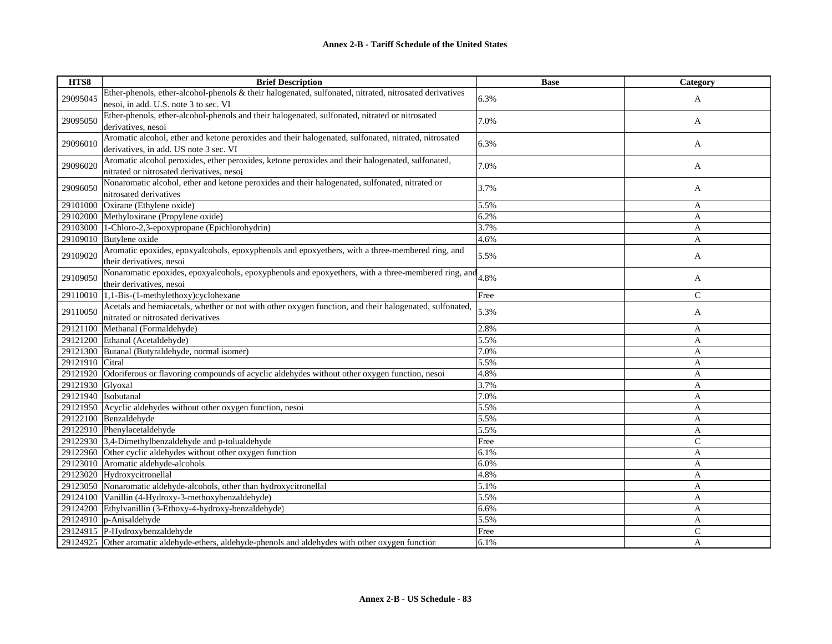| HTS8                | <b>Brief Description</b>                                                                               | <b>Base</b> | Category       |
|---------------------|--------------------------------------------------------------------------------------------------------|-------------|----------------|
| 29095045            | Ether-phenols, ether-alcohol-phenols & their halogenated, sulfonated, nitrated, nitrosated derivatives | 6.3%        |                |
|                     | nesoi, in add. U.S. note 3 to sec. VI                                                                  |             | A              |
|                     | Ether-phenols, ether-alcohol-phenols and their halogenated, sulfonated, nitrated or nitrosated         | 7.0%        |                |
| 29095050            | derivatives, nesoi                                                                                     |             | A              |
|                     | Aromatic alcohol, ether and ketone peroxides and their halogenated, sulfonated, nitrated, nitrosated   | 6.3%        |                |
| 29096010            | derivatives, in add. US note 3 sec. VI                                                                 |             | A              |
| 29096020            | Aromatic alcohol peroxides, ether peroxides, ketone peroxides and their halogenated, sulfonated,       | 7.0%        |                |
|                     | nitrated or nitrosated derivatives, nesoi                                                              |             | A              |
| 29096050            | Nonaromatic alcohol, ether and ketone peroxides and their halogenated, sulfonated, nitrated or         | 3.7%        | A              |
|                     | nitrosated derivatives                                                                                 |             |                |
| 29101000            | Oxirane (Ethylene oxide)                                                                               | 5.5%        | A              |
| 29102000            | Methyloxirane (Propylene oxide)                                                                        | 6.2%        | A              |
| 29103000            | 1-Chloro-2,3-epoxypropane (Epichlorohydrin)                                                            | 3.7%        | A              |
|                     | 29109010 Butylene oxide                                                                                | 4.6%        | $\mathbf{A}$   |
| 29109020            | Aromatic epoxides, epoxyalcohols, epoxyphenols and epoxyethers, with a three-membered ring, and        | 5.5%        | A              |
|                     | their derivatives, nesoi                                                                               |             |                |
| 29109050            | Nonaromatic epoxides, epoxyalcohols, epoxyphenols and epoxyethers, with a three-membered ring, and     | 4.8%        | A              |
|                     | their derivatives, nesoi                                                                               |             |                |
| 29110010            | 1,1-Bis-(1-methylethoxy)cyclohexane                                                                    | Free        | $\mathsf{C}$   |
| 29110050            | Acetals and hemiacetals, whether or not with other oxygen function, and their halogenated, sulfonated, | 5.3%        | A              |
|                     | nitrated or nitrosated derivatives                                                                     |             |                |
| 29121100            | Methanal (Formaldehyde)                                                                                | 2.8%        | A              |
|                     | 29121200 Ethanal (Acetaldehyde)                                                                        | 5.5%        | A              |
|                     | 29121300 Butanal (Butyraldehyde, normal isomer)                                                        | 7.0%        | A              |
| 29121910            | Citral                                                                                                 | 5.5%        | A              |
| 29121920            | Odoriferous or flavoring compounds of acyclic aldehydes without other oxygen function, nesoi           | 4.8%        | A              |
| 29121930 Glyoxal    |                                                                                                        | 3.7%        | A              |
| 29121940 Isobutanal |                                                                                                        | 7.0%        | A              |
|                     | 29121950 Acyclic aldehydes without other oxygen function, nesoi                                        | 5.5%        | A              |
|                     | 29122100 Benzaldehyde                                                                                  | 5.5%        | A              |
|                     | 29122910 Phenylacetaldehyde                                                                            | 5.5%        | A              |
|                     | 29122930 3,4-Dimethylbenzaldehyde and p-tolualdehyde                                                   | Free        | $\mathsf{C}$   |
|                     | 29122960 Other cyclic aldehydes without other oxygen function                                          | 6.1%        | $\mathbf{A}$   |
|                     | 29123010 Aromatic aldehyde-alcohols                                                                    | 6.0%        | A              |
|                     | 29123020 Hydroxycitronellal                                                                            | 4.8%        | A              |
|                     | 29123050 Nonaromatic aldehyde-alcohols, other than hydroxycitronellal                                  | 5.1%        | A              |
|                     | 29124100 Vanillin (4-Hydroxy-3-methoxybenzaldehyde)                                                    | 5.5%        | A              |
|                     | 29124200 Ethylvanillin (3-Ethoxy-4-hydroxy-benzaldehyde)                                               | 6.6%        | $\mathbf{A}$   |
|                     | 29124910 $ p$ -Anisaldehyde                                                                            | 5.5%        | A              |
|                     | 29124915 P-Hydroxybenzaldehyde                                                                         | Free        | $\mathsf{C}$   |
|                     | 29124925 Other aromatic aldehyde-ethers, aldehyde-phenols and aldehydes with other oxygen function     | 6.1%        | $\overline{A}$ |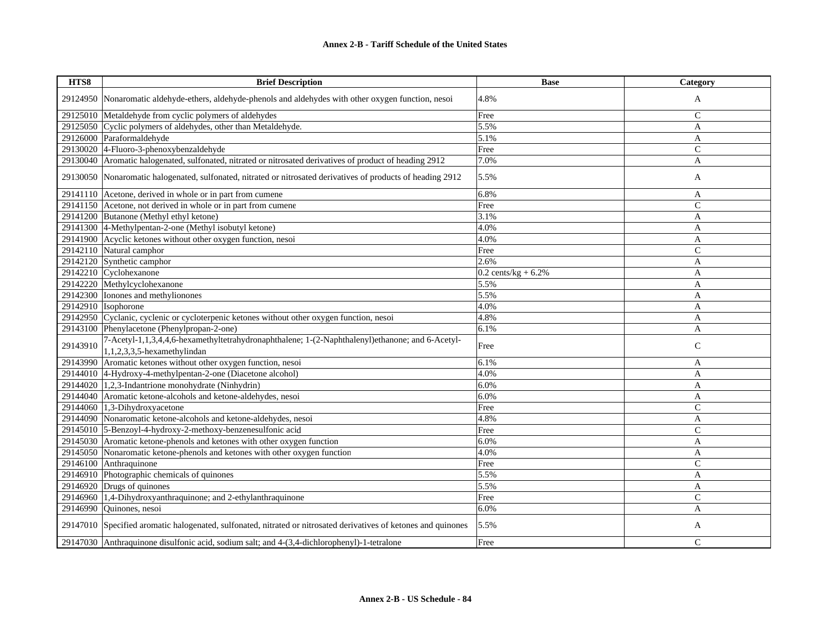| HTS8     | <b>Brief Description</b>                                                                                                          | <b>Base</b>             | Category     |
|----------|-----------------------------------------------------------------------------------------------------------------------------------|-------------------------|--------------|
|          | 29124950 Nonaromatic aldehyde-ethers, aldehyde-phenols and aldehydes with other oxygen function, nesoi                            | 4.8%                    | A            |
|          | 29125010 Metaldehyde from cyclic polymers of aldehydes                                                                            | Free                    | $\mathsf{C}$ |
|          | 29125050 Cyclic polymers of aldehydes, other than Metaldehyde.                                                                    | 5.5%                    | A            |
|          | 29126000 Paraformaldehyde                                                                                                         | 5.1%                    | $\mathbf{A}$ |
|          | 29130020 4-Fluoro-3-phenoxybenzaldehyde                                                                                           | Free                    | $\mathsf{C}$ |
|          | 29130040 Aromatic halogenated, sulfonated, nitrated or nitrosated derivatives of product of heading 2912                          | 7.0%                    | A            |
|          | 29130050 Nonaromatic halogenated, sulfonated, nitrated or nitrosated derivatives of products of heading 2912                      | 5.5%                    | A            |
|          | 29141110 Acetone, derived in whole or in part from cumene                                                                         | 6.8%                    | A            |
|          | 29141150 Acetone, not derived in whole or in part from cumene                                                                     | Free                    | $\mathsf{C}$ |
|          | 29141200 Butanone (Methyl ethyl ketone)                                                                                           | 3.1%                    | A            |
|          | 29141300 4-Methylpentan-2-one (Methyl isobutyl ketone)                                                                            | 4.0%                    | A            |
|          | 29141900 Acyclic ketones without other oxygen function, nesoi                                                                     | 4.0%                    | A            |
|          | 29142110 Natural camphor                                                                                                          | Free                    | $\mathsf{C}$ |
|          | 29142120 Synthetic camphor                                                                                                        | 2.6%                    | A            |
|          | 29142210 Cyclohexanone                                                                                                            | $0.2$ cents/kg + $6.2%$ | A            |
|          | 29142220 Methylcyclohexanone                                                                                                      | 5.5%                    | A            |
|          | 29142300 Ionones and methylionones                                                                                                | 5.5%                    | A            |
|          | 29142910 Isophorone                                                                                                               | 4.0%                    | A            |
|          | 29142950 Cyclanic, cyclenic or cycloterpenic ketones without other oxygen function, nesoi                                         | 4.8%                    | A            |
|          | 29143100 Phenylacetone (Phenylpropan-2-one)                                                                                       | 6.1%                    | A            |
| 29143910 | 7-Acetyl-1,1,3,4,4,6-hexamethyltetrahydronaphthalene; 1-(2-Naphthalenyl)ethanone; and 6-Acetyl-<br>$1,1,2,3,3,5$ -hexamethylindan | Free                    | $\mathsf{C}$ |
| 29143990 | Aromatic ketones without other oxygen function, nesoi                                                                             | 6.1%                    | A            |
|          | 29144010 4-Hydroxy-4-methylpentan-2-one (Diacetone alcohol)                                                                       | 4.0%                    | A            |
|          | $29144020$ 1,2,3-Indantrione monohydrate (Ninhydrin)                                                                              | 6.0%                    | A            |
|          | 29144040 Aromatic ketone-alcohols and ketone-aldehydes, nesoi                                                                     | 6.0%                    | A            |
|          | $29144060$ 1,3-Dihydroxyacetone                                                                                                   | Free                    | $\mathsf{C}$ |
|          | 29144090 Nonaromatic ketone-alcohols and ketone-aldehydes, nesoi                                                                  | 4.8%                    | A            |
|          | 29145010 5-Benzoyl-4-hydroxy-2-methoxy-benzenesulfonic acid                                                                       | Free                    | $\mathsf{C}$ |
|          | 29145030 Aromatic ketone-phenols and ketones with other oxygen function                                                           | 6.0%                    | A            |
| 29145050 | Nonaromatic ketone-phenols and ketones with other oxygen function                                                                 | 4.0%                    | A            |
| 29146100 | Anthraquinone                                                                                                                     | Free                    | $\mathsf{C}$ |
|          | 29146910 Photographic chemicals of quinones                                                                                       | 5.5%                    | A            |
|          | 29146920 Drugs of quinones                                                                                                        | 5.5%                    | A            |
|          | 29146960 1,4-Dihydroxyanthraquinone; and 2-ethylanthraquinone                                                                     | Free                    | $\mathsf{C}$ |
| 29146990 | Quinones, nesoi                                                                                                                   | 6.0%                    | A            |
|          | 29147010 Specified aromatic halogenated, sulfonated, nitrated or nitrosated derivatives of ketones and quinones                   | 5.5%                    | A            |
|          | 29147030 Anthraquinone disulfonic acid, sodium salt; and 4-(3,4-dichlorophenyl)-1-tetralone                                       | Free                    | C            |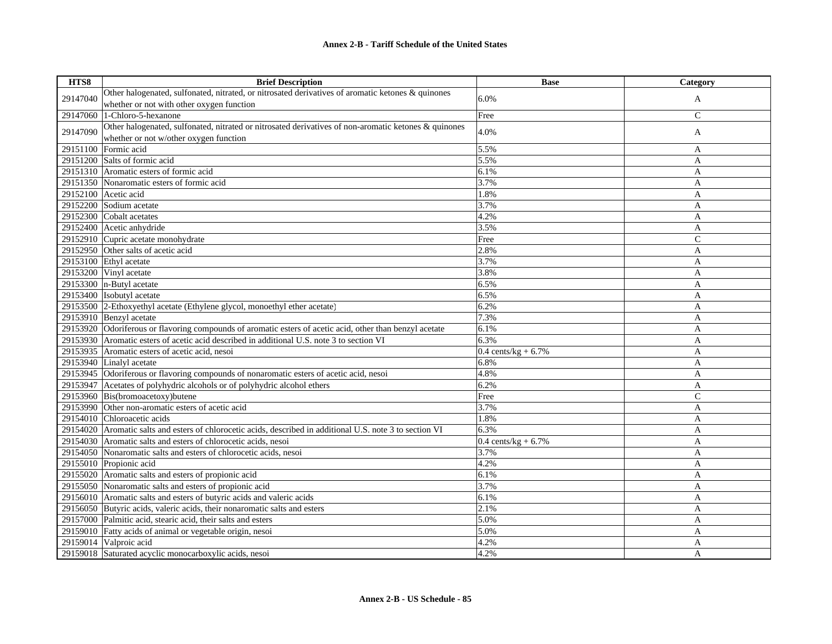| HTS8     | <b>Brief Description</b>                                                                                   | <b>Base</b>                    | Category     |
|----------|------------------------------------------------------------------------------------------------------------|--------------------------------|--------------|
| 29147040 | Other halogenated, sulfonated, nitrated, or nitrosated derivatives of aromatic ketones & quinones          | 6.0%                           | A            |
|          | whether or not with other oxygen function                                                                  |                                |              |
| 29147060 | 1-Chloro-5-hexanone                                                                                        | Free                           | $\mathsf{C}$ |
| 29147090 | Other halogenated, sulfonated, nitrated or nitrosated derivatives of non-aromatic ketones & quinones       | 4.0%                           | A            |
|          | whether or not w/other oxygen function                                                                     |                                |              |
|          | 29151100 Formic acid                                                                                       | 5.5%                           | A            |
|          | 29151200 Salts of formic acid                                                                              | 5.5%                           | A            |
|          | 29151310 Aromatic esters of formic acid                                                                    | 6.1%                           | A            |
|          | 29151350 Nonaromatic esters of formic acid                                                                 | 3.7%                           | A            |
|          | 29152100 Acetic acid                                                                                       | 1.8%                           | A            |
|          | 29152200 Sodium acetate                                                                                    | 3.7%                           | A            |
|          | 29152300 Cobalt acetates                                                                                   | 4.2%                           | A            |
|          | 29152400 Acetic anhydride                                                                                  | 3.5%                           | A            |
|          | 29152910 Cupric acetate monohydrate                                                                        | Free                           | $\mathbf C$  |
|          | 29152950 Other salts of acetic acid                                                                        | 2.8%                           | A            |
|          | 29153100 Ethyl acetate                                                                                     | 3.7%                           | A            |
|          | 29153200 Vinyl acetate                                                                                     | 3.8%                           | A            |
|          | 29153300 $n$ -Butyl acetate                                                                                | 6.5%                           | A            |
|          | 29153400 Isobutyl acetate                                                                                  | 6.5%                           | A            |
|          | 29153500 2-Ethoxyethyl acetate (Ethylene glycol, monoethyl ether acetate)                                  | 6.2%                           | A            |
|          | 29153910 Benzyl acetate                                                                                    | 7.3%                           | A            |
|          | 29153920 Odoriferous or flavoring compounds of aromatic esters of acetic acid, other than benzyl acetate   | 6.1%                           | A            |
|          | 29153930 Aromatic esters of acetic acid described in additional U.S. note 3 to section VI                  | 6.3%                           | A            |
|          | 29153935 Aromatic esters of acetic acid, nesoi                                                             | $0.4 \text{ cents/kg} + 6.7\%$ | A            |
|          | 29153940 Linalyl acetate                                                                                   | 6.8%                           | A            |
|          | 29153945 Odoriferous or flavoring compounds of nonaromatic esters of acetic acid, nesoi                    | 4.8%                           | A            |
|          | 29153947 Acetates of polyhydric alcohols or of polyhydric alcohol ethers                                   | 6.2%                           | A            |
|          | 29153960 Bis(bromoacetoxy)butene                                                                           | Free                           | $\mathbf C$  |
|          | 29153990 Other non-aromatic esters of acetic acid                                                          | 3.7%                           | A            |
|          | 29154010 Chloroacetic acids                                                                                | 1.8%                           | A            |
|          | 29154020 Aromatic salts and esters of chlorocetic acids, described in additional U.S. note 3 to section VI | 6.3%                           | A            |
|          | 29154030 Aromatic salts and esters of chlorocetic acids, nesoi                                             | 0.4 cents/kg + $6.7\%$         | A            |
|          | 29154050 Nonaromatic salts and esters of chlorocetic acids, nesoi                                          | 3.7%                           | A            |
|          | 29155010 Propionic acid                                                                                    | 4.2%                           | A            |
|          | 29155020 Aromatic salts and esters of propionic acid                                                       | 6.1%                           | A            |
|          | 29155050 Nonaromatic salts and esters of propionic acid                                                    | 3.7%                           | A            |
|          | 29156010 Aromatic salts and esters of butyric acids and valeric acids                                      | 6.1%                           | A            |
|          | 29156050 Butyric acids, valeric acids, their nonaromatic salts and esters                                  | 2.1%                           | A            |
|          | 29157000 Palmitic acid, stearic acid, their salts and esters                                               | 5.0%                           | A            |
|          | 29159010 Fatty acids of animal or vegetable origin, nesoi                                                  | 5.0%                           | A            |
|          | 29159014 Valproic acid                                                                                     | 4.2%                           | A            |
|          | 29159018 Saturated acyclic monocarboxylic acids, nesoi                                                     | 4.2%                           | A            |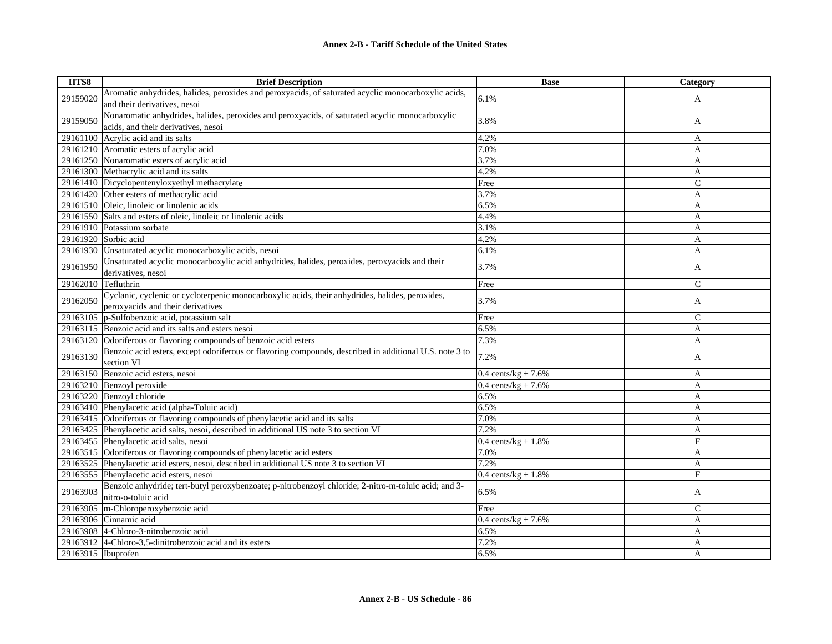| HTS8     | <b>Brief Description</b>                                                                               | <b>Base</b>                    | Category      |
|----------|--------------------------------------------------------------------------------------------------------|--------------------------------|---------------|
| 29159020 | Aromatic anhydrides, halides, peroxides and peroxyacids, of saturated acyclic monocarboxylic acids,    | 6.1%                           |               |
|          | and their derivatives, nesoi                                                                           |                                | A             |
|          | Nonaromatic anhydrides, halides, peroxides and peroxyacids, of saturated acyclic monocarboxylic        |                                |               |
| 29159050 | acids, and their derivatives, nesoi                                                                    | 3.8%                           | A             |
|          | 29161100 Acrylic acid and its salts                                                                    | 4.2%                           | A             |
|          | 29161210 Aromatic esters of acrylic acid                                                               | 7.0%                           | A             |
|          | 29161250 Nonaromatic esters of acrylic acid                                                            | 3.7%                           | A             |
|          | 29161300 Methacrylic acid and its salts                                                                | 4.2%                           | A             |
|          | 29161410 Dicyclopentenyloxyethyl methacrylate                                                          | Free                           | $\mathcal{C}$ |
|          | 29161420 Other esters of methacrylic acid                                                              | 3.7%                           | A             |
|          | 29161510 Oleic, linoleic or linolenic acids                                                            | 6.5%                           | A             |
|          | 29161550 Salts and esters of oleic, linoleic or linolenic acids                                        | 4.4%                           | $\mathbf{A}$  |
|          | 29161910 Potassium sorbate                                                                             | 3.1%                           | A             |
|          | 29161920 Sorbic acid                                                                                   | 4.2%                           | A             |
|          | 29161930 Unsaturated acyclic monocarboxylic acids, nesoi                                               | 6.1%                           | A             |
|          | Unsaturated acyclic monocarboxylic acid anhydrides, halides, peroxides, peroxyacids and their          |                                |               |
| 29161950 | derivatives, nesoi                                                                                     | 3.7%                           | A             |
| 29162010 | Tefluthrin                                                                                             | Free                           | $\mathcal{C}$ |
|          | Cyclanic, cyclenic or cycloterpenic monocarboxylic acids, their anhydrides, halides, peroxides,        |                                |               |
| 29162050 | peroxyacids and their derivatives                                                                      | 3.7%                           | A             |
| 29163105 | p-Sulfobenzoic acid, potassium salt                                                                    | Free                           | $\mathcal{C}$ |
| 29163115 | Benzoic acid and its salts and esters nesoi                                                            | 6.5%                           | A             |
|          | 29163120 Odoriferous or flavoring compounds of benzoic acid esters                                     | 7.3%                           | A             |
|          | Benzoic acid esters, except odoriferous or flavoring compounds, described in additional U.S. note 3 to |                                |               |
| 29163130 | section VI                                                                                             | 7.2%                           | A             |
| 29163150 | Benzoic acid esters, nesoi                                                                             | $0.4 \text{ cents/kg} + 7.6\%$ | A             |
|          | 29163210 Benzoyl peroxide                                                                              | $0.4 \text{ cents/kg} + 7.6\%$ | A             |
|          | 29163220 Benzoyl chloride                                                                              | 6.5%                           | A             |
|          | 29163410 Phenylacetic acid (alpha-Toluic acid)                                                         | 6.5%                           | A             |
|          | 29163415 Odoriferous or flavoring compounds of phenylacetic acid and its salts                         | 7.0%                           | A             |
|          | 29163425 Phenylacetic acid salts, nesoi, described in additional US note 3 to section VI               | 7.2%                           | A             |
|          | 29163455 Phenylacetic acid salts, nesoi                                                                | $0.4 \text{ cents/kg} + 1.8\%$ | $\mathbf F$   |
|          | 29163515 Odoriferous or flavoring compounds of phenylacetic acid esters                                | 7.0%                           | A             |
|          | 29163525 Phenylacetic acid esters, nesoi, described in additional US note 3 to section VI              | 7.2%                           | A             |
| 29163555 | Phenylacetic acid esters, nesoi                                                                        | $0.4 \text{ cents/kg} + 1.8\%$ | $\mathbf{F}$  |
|          | Benzoic anhydride; tert-butyl peroxybenzoate; p-nitrobenzoyl chloride; 2-nitro-m-toluic acid; and 3-   |                                |               |
| 29163903 | nitro-o-toluic acid                                                                                    | 6.5%                           | A             |
| 29163905 | m-Chloroperoxybenzoic acid                                                                             | Free                           | $\mathsf{C}$  |
|          | 29163906 Cinnamic acid                                                                                 | $0.4 \text{ cents/kg} + 7.6\%$ | $\mathbf{A}$  |
| 29163908 | 4-Chloro-3-nitrobenzoic acid                                                                           | 6.5%                           | A             |
|          | 29163912 $ 4$ -Chloro-3,5-dinitrobenzoic acid and its esters                                           | 7.2%                           | A             |
|          | 29163915   Ibuprofen                                                                                   | 6.5%                           | A             |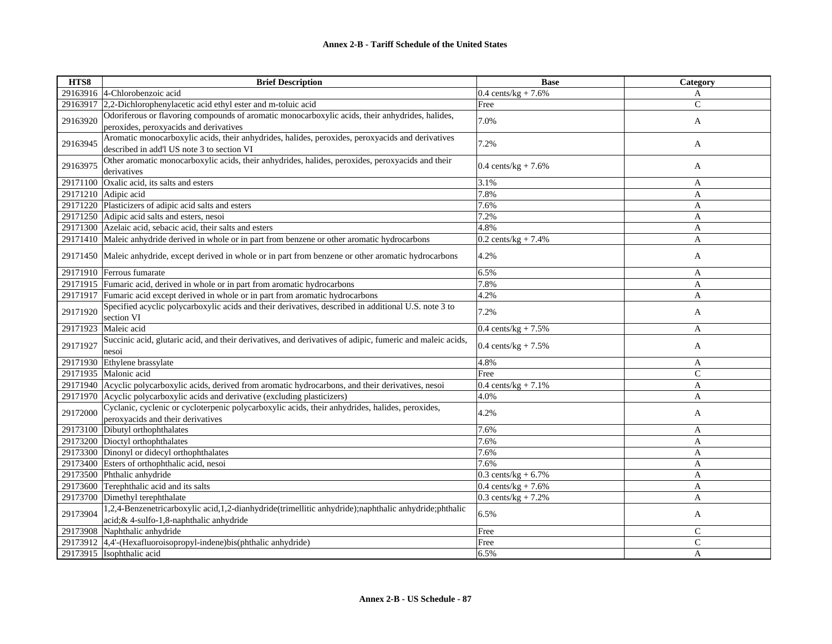| HTS8     | <b>Brief Description</b>                                                                                  | <b>Base</b>                    | Category     |
|----------|-----------------------------------------------------------------------------------------------------------|--------------------------------|--------------|
|          | 29163916 4-Chlorobenzoic acid                                                                             | $0.4 \text{ cents/kg} + 7.6\%$ | A            |
|          | 29163917 2,2-Dichlorophenylacetic acid ethyl ester and m-toluic acid                                      | Free                           | $\mathbf C$  |
|          | Odoriferous or flavoring compounds of aromatic monocarboxylic acids, their anhydrides, halides,           |                                |              |
| 29163920 | peroxides, peroxyacids and derivatives                                                                    | 7.0%                           | A            |
|          | Aromatic monocarboxylic acids, their anhydrides, halides, peroxides, peroxyacids and derivatives          |                                |              |
| 29163945 | described in add'l US note 3 to section VI                                                                | 7.2%                           | A            |
|          | Other aromatic monocarboxylic acids, their anhydrides, halides, peroxides, peroxyacids and their          |                                |              |
| 29163975 | derivatives                                                                                               | 0.4 cents/ $kg + 7.6%$         | A            |
|          | 29171100 Oxalic acid, its salts and esters                                                                | 3.1%                           | A            |
|          | 29171210 Adipic acid                                                                                      | 7.8%                           | A            |
|          | 29171220 Plasticizers of adipic acid salts and esters                                                     | 7.6%                           | A            |
|          | 29171250 Adipic acid salts and esters, nesoi                                                              | 7.2%                           | $\mathbf{A}$ |
|          | 29171300 Azelaic acid, sebacic acid, their salts and esters                                               | 4.8%                           | A            |
|          | 29171410 Maleic anhydride derived in whole or in part from benzene or other aromatic hydrocarbons         | $0.2 \text{ cents/kg} + 7.4\%$ | A            |
|          |                                                                                                           |                                |              |
|          | 29171450 Maleic anhydride, except derived in whole or in part from benzene or other aromatic hydrocarbons | 4.2%                           | A            |
|          | 29171910 Ferrous fumarate                                                                                 | 6.5%                           | A            |
|          | 29171915 Fumaric acid, derived in whole or in part from aromatic hydrocarbons                             | 7.8%                           | A            |
|          | 29171917 Fumaric acid except derived in whole or in part from aromatic hydrocarbons                       | 4.2%                           | $\mathbf{A}$ |
| 29171920 | Specified acyclic polycarboxylic acids and their derivatives, described in additional U.S. note 3 to      | 7.2%                           |              |
|          | section VI                                                                                                |                                | A            |
| 29171923 | Maleic acid                                                                                               | $0.4 \text{ cents/kg} + 7.5\%$ | A            |
| 29171927 | Succinic acid, glutaric acid, and their derivatives, and derivatives of adipic, fumeric and maleic acids, | $0.4 \text{ cents/kg} + 7.5\%$ |              |
|          | nesoi                                                                                                     |                                | A            |
|          | 29171930 Ethylene brassylate                                                                              | 4.8%                           | A            |
|          | 29171935 Malonic acid                                                                                     | Free                           | $\mathsf{C}$ |
|          | 29171940 Acyclic polycarboxylic acids, derived from aromatic hydrocarbons, and their derivatives, nesoi   | $0.4 \text{ cents/kg} + 7.1\%$ | A            |
|          | 29171970 Acyclic polycarboxylic acids and derivative (excluding plasticizers)                             | 4.0%                           | A            |
| 29172000 | Cyclanic, cyclenic or cycloterpenic polycarboxylic acids, their anhydrides, halides, peroxides,           | 4.2%                           | A            |
|          | peroxyacids and their derivatives                                                                         |                                |              |
|          | 29173100 Dibutyl orthophthalates                                                                          | 7.6%                           | A            |
|          | 29173200 Dioctyl orthophthalates                                                                          | 7.6%                           | A            |
|          | 29173300 Dinonyl or didecyl orthophthalates                                                               | 7.6%                           | A            |
|          | 29173400 Esters of orthophthalic acid, nesoi                                                              | 7.6%                           | A            |
|          | 29173500 Phthalic anhydride                                                                               | $0.3$ cents/kg + $6.7\%$       | A            |
|          | 29173600 Terephthalic acid and its salts                                                                  | 0.4 cents/kg + $7.6\%$         | A            |
|          | 29173700 Dimethyl terephthalate                                                                           | $0.3$ cents/kg + 7.2%          | A            |
| 29173904 | 1,2,4-Benzenetricarboxylic acid,1,2-dianhydride(trimellitic anhydride);naphthalic anhydride;phthalic      | 6.5%                           |              |
|          | acid; & 4-sulfo-1,8-naphthalic anhydride                                                                  |                                | A            |
|          | 29173908 Naphthalic anhydride                                                                             | Free                           | $\mathsf{C}$ |
|          | 29173912 4,4'-(Hexafluoroisopropyl-indene)bis(phthalic anhydride)                                         | Free                           | $\mathsf{C}$ |
|          | 29173915 Isophthalic acid                                                                                 | 6.5%                           | A            |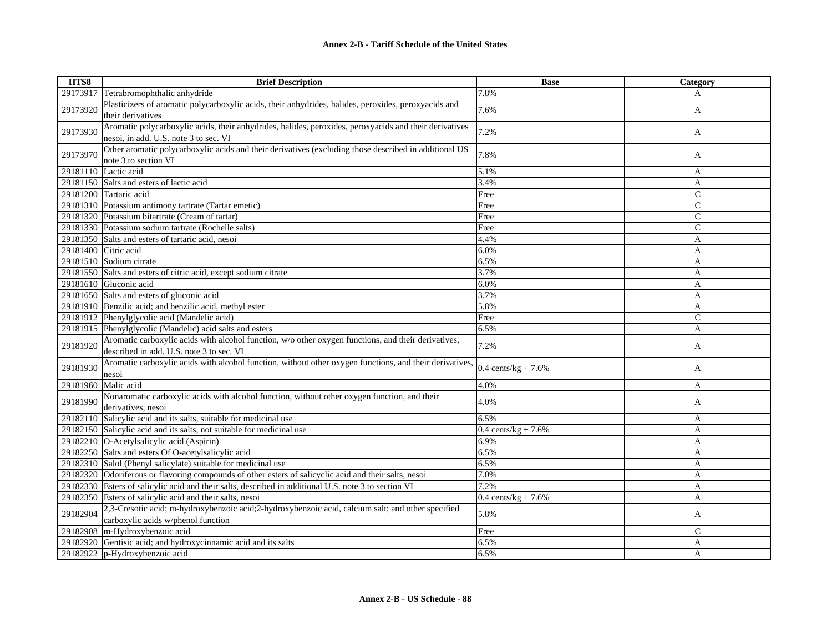| HTS8     | <b>Brief Description</b>                                                                                                                        | <b>Base</b>                    | Category       |
|----------|-------------------------------------------------------------------------------------------------------------------------------------------------|--------------------------------|----------------|
| 29173917 | Tetrabromophthalic anhydride                                                                                                                    | 7.8%                           | A              |
| 29173920 | Plasticizers of aromatic polycarboxylic acids, their anhydrides, halides, peroxides, peroxyacids and<br>their derivatives                       | 7.6%                           | A              |
| 29173930 | Aromatic polycarboxylic acids, their anhydrides, halides, peroxides, peroxyacids and their derivatives<br>nesoi, in add. U.S. note 3 to sec. VI | 7.2%                           | A              |
| 29173970 | Other aromatic polycarboxylic acids and their derivatives (excluding those described in additional US<br>note 3 to section VI                   | 7.8%                           | A              |
| 29181110 | Lactic acid                                                                                                                                     | 5.1%                           | A              |
|          | 29181150 Salts and esters of lactic acid                                                                                                        | 3.4%                           | A              |
|          | 29181200 Tartaric acid                                                                                                                          | Free                           | $\mathcal{C}$  |
|          | 29181310 Potassium antimony tartrate (Tartar emetic)                                                                                            | Free                           | $\mathcal{C}$  |
|          | 29181320 Potassium bitartrate (Cream of tartar)                                                                                                 | Free                           | $\overline{C}$ |
|          | 29181330 Potassium sodium tartrate (Rochelle salts)                                                                                             | Free                           | $\mathcal{C}$  |
|          | 29181350 Salts and esters of tartaric acid, nesoi                                                                                               | 4.4%                           | A              |
|          | 29181400 Citric acid                                                                                                                            | 6.0%                           | A              |
|          | 29181510 Sodium citrate                                                                                                                         | 6.5%                           | A              |
|          | 29181550 Salts and esters of citric acid, except sodium citrate                                                                                 | 3.7%                           | A              |
|          | 29181610 Gluconic acid                                                                                                                          | 6.0%                           | A              |
|          | 29181650 Salts and esters of gluconic acid                                                                                                      | 3.7%                           | A              |
|          | 29181910 Benzilic acid; and benzilic acid, methyl ester                                                                                         | 5.8%                           | A              |
|          | 29181912 Phenylglycolic acid (Mandelic acid)                                                                                                    | Free                           | $\mathcal{C}$  |
|          | 29181915 Phenylglycolic (Mandelic) acid salts and esters                                                                                        | 6.5%                           | A              |
| 29181920 | Aromatic carboxylic acids with alcohol function, w/o other oxygen functions, and their derivatives,<br>described in add. U.S. note 3 to sec. VI | 7.2%                           | A              |
| 29181930 | Aromatic carboxylic acids with alcohol function, without other oxygen functions, and their derivatives,<br>nesoi                                | $0.4 \text{ cents/kg} + 7.6\%$ | A              |
| 29181960 | Malic acid                                                                                                                                      | 4.0%                           | A              |
| 29181990 | Nonaromatic carboxylic acids with alcohol function, without other oxygen function, and their<br>derivatives, nesoi                              | 4.0%                           | A              |
| 29182110 | Salicylic acid and its salts, suitable for medicinal use                                                                                        | 6.5%                           | A              |
|          | 29182150 Salicylic acid and its salts, not suitable for medicinal use                                                                           | 0.4 cents/ $kg + 7.6%$         | $\mathbf{A}$   |
|          | 29182210 O-Acetylsalicylic acid (Aspirin)                                                                                                       | 6.9%                           | A              |
|          | 29182250 Salts and esters Of O-acetylsalicylic acid                                                                                             | 6.5%                           | A              |
|          | 29182310 Salol (Phenyl salicylate) suitable for medicinal use                                                                                   | 6.5%                           | A              |
|          | 29182320 Odoriferous or flavoring compounds of other esters of salicyclic acid and their salts, nesoi                                           | 7.0%                           | A              |
|          | 29182330 Esters of salicylic acid and their salts, described in additional U.S. note 3 to section VI                                            | 7.2%                           | A              |
|          | 29182350 Esters of salicylic acid and their salts, nesoi                                                                                        | $0.4 \text{ cents/kg} + 7.6\%$ | A              |
| 29182904 | 2,3-Cresotic acid; m-hydroxybenzoic acid;2-hydroxybenzoic acid, calcium salt; and other specified<br>carboxylic acids w/phenol function         | 5.8%                           | A              |
| 29182908 | m-Hydroxybenzoic acid                                                                                                                           | Free                           | $\mathcal{C}$  |
| 29182920 | Gentisic acid; and hydroxycinnamic acid and its salts                                                                                           | 6.5%                           | A              |
| 29182922 | p-Hydroxybenzoic acid                                                                                                                           | 6.5%                           | A              |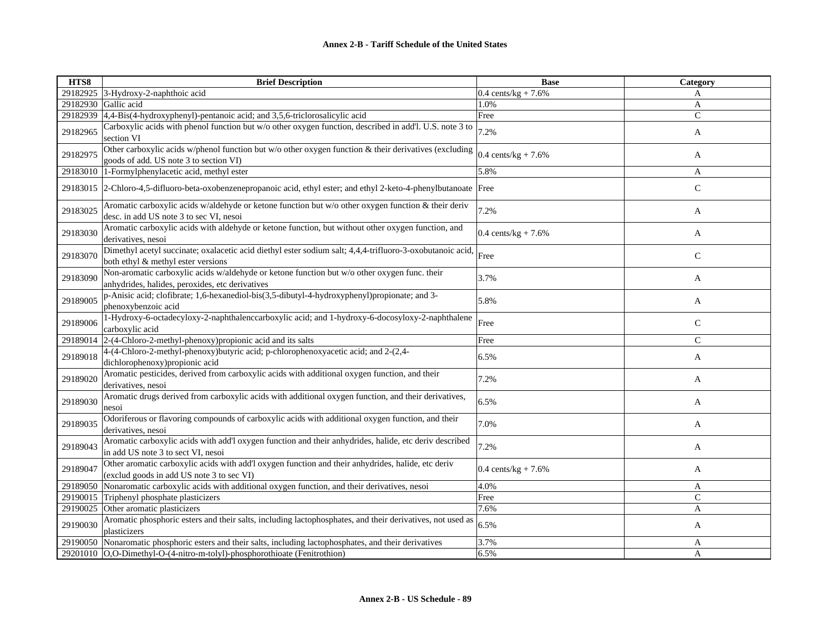| HTS8     | <b>Brief Description</b>                                                                                                                        | <b>Base</b>                    | Category     |
|----------|-------------------------------------------------------------------------------------------------------------------------------------------------|--------------------------------|--------------|
|          | 29182925 3-Hydroxy-2-naphthoic acid                                                                                                             | $0.4 \text{ cents/kg} + 7.6\%$ | A            |
|          | 29182930 Gallic acid                                                                                                                            | 1.0%                           | A            |
| 29182939 | 4,4-Bis(4-hydroxyphenyl)-pentanoic acid; and 3,5,6-triclorosalicylic acid                                                                       | Free                           | $\mathsf{C}$ |
| 29182965 | Carboxylic acids with phenol function but w/o other oxygen function, described in add'l. U.S. note 3 to<br>section VI                           | 7.2%                           | A            |
| 29182975 | Other carboxylic acids w/phenol function but w/o other oxygen function & their derivatives (excluding<br>goods of add. US note 3 to section VI) | 0.4 cents/kg + $7.6%$          | A            |
| 29183010 | 1-Formylphenylacetic acid, methyl ester                                                                                                         | 5.8%                           | A            |
|          | 29183015 2-Chloro-4,5-difluoro-beta-oxobenzenepropanoic acid, ethyl ester; and ethyl 2-keto-4-phenylbutanoate Free                              |                                | $\mathsf{C}$ |
| 29183025 | Aromatic carboxylic acids w/aldehyde or ketone function but w/o other oxygen function & their deriv<br>desc. in add US note 3 to sec VI, nesoi  | 7.2%                           | A            |
| 29183030 | Aromatic carboxylic acids with aldehyde or ketone function, but without other oxygen function, and<br>derivatives, nesoi                        | 0.4 cents/ $kg + 7.6%$         | A            |
| 29183070 | Dimethyl acetyl succinate; oxalacetic acid diethyl ester sodium salt; 4,4,4-trifluoro-3-oxobutanoic acid,<br>both ethyl & methyl ester versions | Free                           | $\mathbf C$  |
| 29183090 | Non-aromatic carboxylic acids w/aldehyde or ketone function but w/o other oxygen func. their<br>anhydrides, halides, peroxides, etc derivatives | 3.7%                           | A            |
| 29189005 | p-Anisic acid; clofibrate; 1,6-hexanediol-bis(3,5-dibutyl-4-hydroxyphenyl)propionate; and 3-<br>phenoxybenzoic acid                             | 5.8%                           | A            |
| 29189006 | 1-Hydroxy-6-octadecyloxy-2-naphthalenccarboxylic acid; and 1-hydroxy-6-docosyloxy-2-naphthalene<br>carboxylic acid                              | Free                           | $\mathsf{C}$ |
| 29189014 | $2-(4-Chloro-2-methyl-phenoxy)$ propionic acid and its salts                                                                                    | Free                           | $\mathsf{C}$ |
| 29189018 | 4-(4-Chloro-2-methyl-phenoxy)butyric acid; p-chlorophenoxyacetic acid; and 2-(2,4-<br>dichlorophenoxy) propionic acid                           | 6.5%                           | A            |
| 29189020 | Aromatic pesticides, derived from carboxylic acids with additional oxygen function, and their<br>derivatives, nesoi                             | 7.2%                           | A            |
| 29189030 | Aromatic drugs derived from carboxylic acids with additional oxygen function, and their derivatives,<br>nesoi                                   | 6.5%                           | A            |
| 29189035 | Odoriferous or flavoring compounds of carboxylic acids with additional oxygen function, and their<br>derivatives, nesoi                         | 7.0%                           | A            |
| 29189043 | Aromatic carboxylic acids with add'l oxygen function and their anhydrides, halide, etc deriv described<br>in add US note 3 to sect VI, nesoi    | 7.2%                           | A            |
| 29189047 | Other aromatic carboxylic acids with add'l oxygen function and their anhydrides, halide, etc deriv<br>(exclud goods in add US note 3 to sec VI) | $0.4 \text{ cents/kg} + 7.6\%$ | A            |
| 29189050 | Nonaromatic carboxylic acids with additional oxygen function, and their derivatives, nesoi                                                      | 4.0%                           | A            |
| 29190015 | Triphenyl phosphate plasticizers                                                                                                                | Free                           | $\mathsf{C}$ |
| 29190025 | Other aromatic plasticizers                                                                                                                     | 7.6%                           | A            |
| 29190030 | Aromatic phosphoric esters and their salts, including lactophosphates, and their derivatives, not used as<br>plasticizers                       | 6.5%                           | A            |
|          | 29190050 Nonaromatic phosphoric esters and their salts, including lactophosphates, and their derivatives                                        | 3.7%                           | A            |
|          | 29201010 O,O-Dimethyl-O-(4-nitro-m-tolyl)-phosphorothioate (Fenitrothion)                                                                       | 6.5%                           | A            |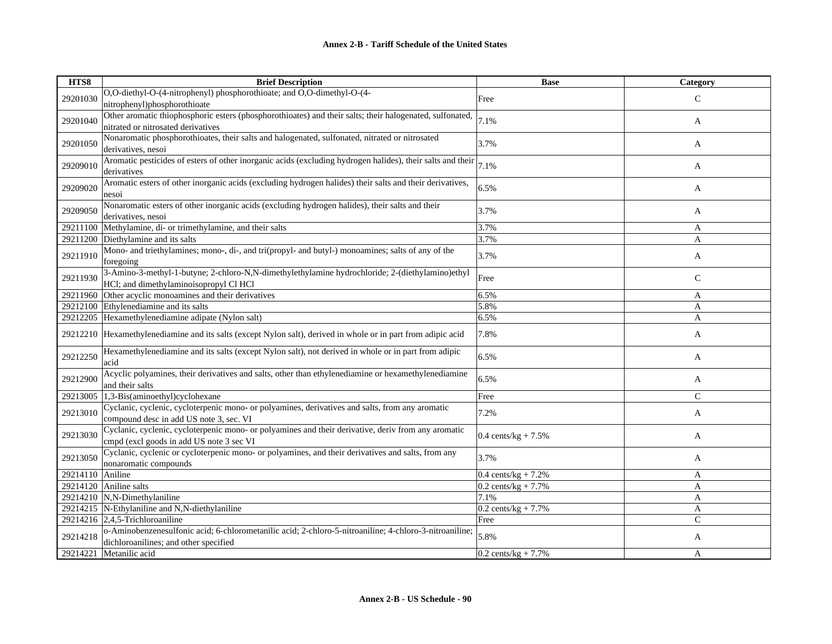| HTS8             | <b>Brief Description</b>                                                                                                                        | <b>Base</b>                    | Category      |
|------------------|-------------------------------------------------------------------------------------------------------------------------------------------------|--------------------------------|---------------|
| 29201030         | O,O-diethyl-O-(4-nitrophenyl) phosphorothioate; and O,O-dimethyl-O-(4-                                                                          | Free                           | $\mathcal{C}$ |
|                  | nitrophenyl)phosphorothioate                                                                                                                    |                                |               |
| 29201040         | Other aromatic thiophosphoric esters (phosphorothioates) and their salts; their halogenated, sulfonated,                                        | 7.1%                           | A             |
|                  | nitrated or nitrosated derivatives                                                                                                              |                                |               |
| 29201050         | Nonaromatic phosphorothioates, their salts and halogenated, sulfonated, nitrated or nitrosated                                                  | 3.7%                           | A             |
|                  | derivatives, nesoi                                                                                                                              |                                |               |
| 29209010         | Aromatic pesticides of esters of other inorganic acids (excluding hydrogen halides), their salts and their                                      | 7.1%                           | A             |
|                  | derivatives                                                                                                                                     |                                |               |
| 29209020         | Aromatic esters of other inorganic acids (excluding hydrogen halides) their salts and their derivatives,                                        | 6.5%                           | A             |
|                  | nesoi                                                                                                                                           |                                |               |
| 29209050         | Nonaromatic esters of other inorganic acids (excluding hydrogen halides), their salts and their                                                 | 3.7%                           | A             |
|                  | derivatives, nesoi                                                                                                                              |                                |               |
|                  | 29211100 Methylamine, di- or trimethylamine, and their salts                                                                                    | 3.7%                           | A             |
| 29211200         | Diethylamine and its salts                                                                                                                      | 3.7%                           | A             |
| 29211910         | Mono- and triethylamines; mono-, di-, and tri(propyl- and butyl-) monoamines; salts of any of the                                               | 3.7%                           | A             |
|                  | foregoing                                                                                                                                       |                                |               |
| 29211930         | 3-Amino-3-methyl-1-butyne; 2-chloro-N,N-dimethylethylamine hydrochloride; 2-(diethylamino)ethyl                                                 | Free                           | C             |
|                  | HCl; and dimethylaminoisopropyl Cl HCl<br>Other acyclic monoamines and their derivatives                                                        |                                |               |
| 29211960         |                                                                                                                                                 | 6.5%                           | A             |
| 29212205         | 29212100 Ethylenediamine and its salts<br>Hexamethylenediamine adipate (Nylon salt)                                                             | 5.8%<br>6.5%                   | A<br>A        |
|                  |                                                                                                                                                 |                                |               |
| 29212210         | Hexamethylenediamine and its salts (except Nylon salt), derived in whole or in part from adipic acid                                            | 7.8%                           | A             |
| 29212250         | Hexamethylenediamine and its salts (except Nylon salt), not derived in whole or in part from adipic                                             | 6.5%                           | A             |
|                  | acid                                                                                                                                            |                                |               |
| 29212900         | Acyclic polyamines, their derivatives and salts, other than ethylenediamine or hexamethylenediamine                                             | 6.5%                           | A             |
|                  | and their salts                                                                                                                                 |                                |               |
| 29213005         | 1,3-Bis(aminoethyl)cyclohexane                                                                                                                  | Free                           | $\mathcal{C}$ |
| 29213010         | Cyclanic, cyclenic, cycloterpenic mono- or polyamines, derivatives and salts, from any aromatic<br>compound desc in add US note 3, sec. VI      | 7.2%                           | A             |
|                  | Cyclanic, cyclenic, cycloterpenic mono- or polyamines and their derivative, deriv from any aromatic                                             |                                |               |
| 29213030         | empd (excl goods in add US note 3 sec VI                                                                                                        | 0.4 cents/kg + $7.5%$          | A             |
|                  | Cyclanic, cyclenic or cycloterpenic mono- or polyamines, and their derivatives and salts, from any                                              | 3.7%                           |               |
| 29213050         | nonaromatic compounds                                                                                                                           |                                | A             |
| 29214110 Aniline |                                                                                                                                                 | $0.4 \text{ cents/kg} + 7.2\%$ | A             |
|                  | 29214120 Aniline salts                                                                                                                          | $0.2$ cents/kg + 7.7%          | A             |
|                  | 29214210 N,N-Dimethylaniline                                                                                                                    | 7.1%                           | A             |
|                  | 29214215 N-Ethylaniline and N,N-diethylaniline                                                                                                  | $0.2 \text{ cents/kg} + 7.7\%$ | A             |
|                  | 29214216 $ 2,4,5$ -Trichloroaniline                                                                                                             | Free                           | $\mathbf C$   |
| 29214218         | o-Aminobenzenesulfonic acid; 6-chlorometanilic acid; 2-chloro-5-nitroaniline; 4-chloro-3-nitroaniline;<br>dichloroanilines; and other specified | 5.8%                           | A             |
| 29214221         | Metanilic acid                                                                                                                                  | $0.2$ cents/kg + 7.7%          | A             |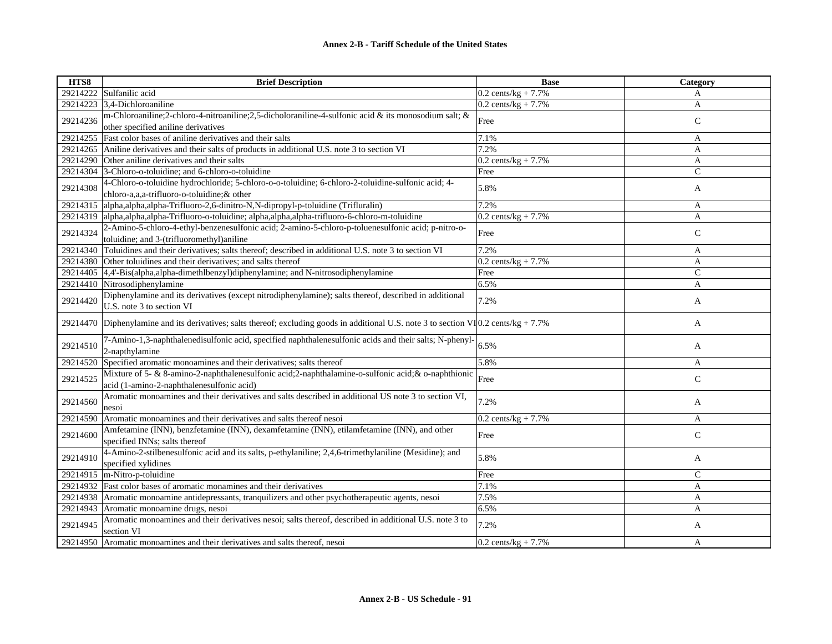| HTS8     | <b>Brief Description</b>                                                                                                                          | <b>Base</b>                    | Category       |
|----------|---------------------------------------------------------------------------------------------------------------------------------------------------|--------------------------------|----------------|
| 29214222 | Sulfanilic acid                                                                                                                                   | $0.2$ cents/kg + 7.7%          | A              |
| 29214223 | 3,4-Dichloroaniline                                                                                                                               | $0.2$ cents/kg + 7.7%          | A              |
| 29214236 | m-Chloroaniline;2-chloro-4-nitroaniline;2,5-dicholoraniline-4-sulfonic acid & its monosodium salt; &<br>other specified aniline derivatives       | Free                           | $\mathsf{C}$   |
| 29214255 | Fast color bases of aniline derivatives and their salts                                                                                           | 7.1%                           | A              |
| 29214265 | Aniline derivatives and their salts of products in additional U.S. note 3 to section VI                                                           | 7.2%                           | A              |
| 29214290 | Other aniline derivatives and their salts                                                                                                         | $0.2$ cents/kg + 7.7%          | A              |
| 29214304 | 3-Chloro-o-toluidine; and 6-chloro-o-toluidine                                                                                                    | Free                           | C              |
| 29214308 | 4-Chloro-o-toluidine hydrochloride; 5-chloro-o-o-toluidine; 6-chloro-2-toluidine-sulfonic acid; 4-<br>chloro-a,a,a-trifluoro-o-toluidine;& other  | 5.8%                           | A              |
| 29214315 | alpha, alpha, alpha-Trifluoro-2, 6-dinitro-N, N-dipropyl-p-toluidine (Trifluralin)                                                                | 7.2%                           | A              |
| 29214319 | alpha, alpha, alpha-Trifluoro-o-toluidine; alpha, alpha, alpha-trifluoro-6-chloro-m-toluidine                                                     | $0.2$ cents/kg + 7.7%          | A              |
| 29214324 | 2-Amino-5-chloro-4-ethyl-benzenesulfonic acid; 2-amino-5-chloro-p-toluenesulfonic acid; p-nitro-o-<br>toluidine; and 3-(trifluoromethyl)aniline   | Free                           | $\mathsf{C}$   |
| 29214340 | Toluidines and their derivatives; salts thereof; described in additional U.S. note 3 to section VI                                                | 7.2%                           | A              |
| 29214380 | Other toluidines and their derivatives; and salts thereof                                                                                         | $0.2$ cents/kg + 7.7%          | A              |
| 29214405 | 4,4'-Bis(alpha,alpha-dimethlbenzyl)diphenylamine; and N-nitrosodiphenylamine                                                                      | Free                           | $\mathsf{C}$   |
| 29214410 | Nitrosodiphenylamine                                                                                                                              | 6.5%                           | A              |
| 29214420 | Diphenylamine and its derivatives (except nitrodiphenylamine); salts thereof, described in additional<br>U.S. note 3 to section VI                | 7.2%                           | A              |
| 29214470 | Diphenylamine and its derivatives; salts thereof; excluding goods in additional U.S. note 3 to section VI $[0.2 \text{ cents/kg} + 7.7\%$         |                                | A              |
| 29214510 | 7-Amino-1,3-naphthalenedisulfonic acid, specified naphthalenesulfonic acids and their salts; N-phenyl-<br>2-napthylamine                          | 6.5%                           | A              |
| 29214520 | Specified aromatic monoamines and their derivatives; salts thereof                                                                                | 5.8%                           | A              |
| 29214525 | Mixture of 5- & 8-amino-2-naphthalenesulfonic acid; 2-naphthalamine-o-sulfonic acid; & o-naphthionic<br>acid (1-amino-2-naphthalenesulfonic acid) | Free                           | $\mathsf{C}$   |
| 29214560 | Aromatic monoamines and their derivatives and salts described in additional US note 3 to section VI,<br>nesoi                                     | 7.2%                           | A              |
| 29214590 | Aromatic monoamines and their derivatives and salts thereof nesoi                                                                                 | $0.2 \text{ cents/kg} + 7.7\%$ | A              |
| 29214600 | Amfetamine (INN), benzfetamine (INN), dexamfetamine (INN), etilamfetamine (INN), and other<br>specified INNs; salts thereof                       | Free                           | $\mathsf{C}$   |
| 29214910 | 4-Amino-2-stilbenesulfonic acid and its salts, p-ethylaniline; 2,4,6-trimethylaniline (Mesidine); and<br>specified xylidines                      | 5.8%                           | A              |
| 29214915 | m-Nitro-p-toluidine                                                                                                                               | Free                           | $\mathcal{C}$  |
| 29214932 | Fast color bases of aromatic monamines and their derivatives                                                                                      | 7.1%                           | $\overline{A}$ |
| 29214938 | Aromatic monoamine antidepressants, tranquilizers and other psychotherapeutic agents, nesoi                                                       | 7.5%                           | $\mathbf{A}$   |
| 29214943 | Aromatic monoamine drugs, nesoi                                                                                                                   | 6.5%                           | A              |
| 29214945 | Aromatic monoamines and their derivatives nesoi; salts thereof, described in additional U.S. note 3 to<br>section VI                              | 7.2%                           | A              |
| 29214950 | Aromatic monoamines and their derivatives and salts thereof, nesoi                                                                                | 0.2 cents/ $kg + 7.7\%$        | A              |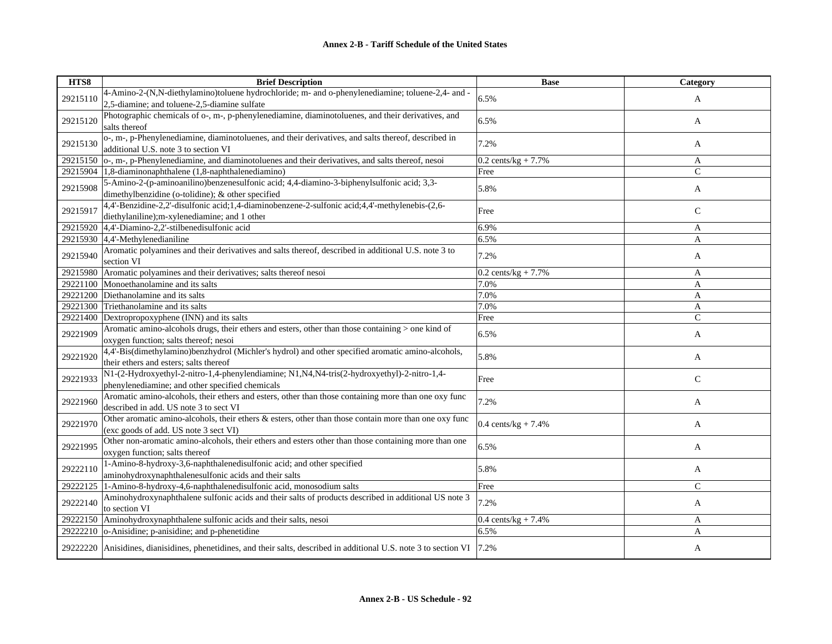| HTS8     | <b>Brief Description</b>                                                                                                 | <b>Base</b>                    | Category      |
|----------|--------------------------------------------------------------------------------------------------------------------------|--------------------------------|---------------|
| 29215110 | 4-Amino-2-(N,N-diethylamino)toluene hydrochloride; m- and o-phenylenediamine; toluene-2,4- and -                         | 6.5%                           | A             |
|          | 2,5-diamine; and toluene-2,5-diamine sulfate                                                                             |                                |               |
| 29215120 | Photographic chemicals of o-, m-, p-phenylenediamine, diaminotoluenes, and their derivatives, and                        | 6.5%                           | A             |
|          | salts thereof                                                                                                            |                                |               |
| 29215130 | o-, m-, p-Phenylenediamine, diaminotoluenes, and their derivatives, and salts thereof, described in                      | 7.2%                           | A             |
|          | additional U.S. note 3 to section VI                                                                                     |                                |               |
| 29215150 | o-, m-, p-Phenylenediamine, and diaminotoluenes and their derivatives, and salts thereof, nesoi                          | $0.2$ cents/kg + 7.7%          | A             |
| 29215904 | 1,8-diaminonaphthalene (1,8-naphthalenediamino)                                                                          | Free                           | C             |
| 29215908 | 5-Amino-2-(p-aminoanilino)benzenesulfonic acid; 4,4-diamino-3-biphenylsulfonic acid; 3,3-                                | 5.8%                           | A             |
|          | dimethylbenzidine (o-tolidine); & other specified                                                                        |                                |               |
| 29215917 | 4,4'-Benzidine-2,2'-disulfonic acid;1,4-diaminobenzene-2-sulfonic acid;4,4'-methylenebis-(2,6-                           | Free                           | $\mathsf{C}$  |
|          | diethylaniline);m-xylenediamine; and 1 other                                                                             |                                |               |
|          | 29215920 4,4'-Diamino-2,2'-stilbenedisulfonic acid                                                                       | 6.9%                           | A             |
| 29215930 | $4,4'$ -Methylenedianiline                                                                                               | 6.5%                           | A             |
| 29215940 | Aromatic polyamines and their derivatives and salts thereof, described in additional U.S. note 3 to                      | 7.2%                           | A             |
|          | section VI                                                                                                               |                                |               |
| 29215980 | Aromatic polyamines and their derivatives; salts thereof nesoi                                                           | $0.2$ cents/kg + 7.7%          | A             |
| 29221100 | Monoethanolamine and its salts                                                                                           | 7.0%                           | A             |
| 29221200 | Diethanolamine and its salts                                                                                             | 7.0%                           | A             |
| 29221300 | Triethanolamine and its salts                                                                                            | 7.0%                           | A             |
| 29221400 | Dextropropoxyphene (INN) and its salts                                                                                   | Free                           | $\mathcal{C}$ |
| 29221909 | Aromatic amino-alcohols drugs, their ethers and esters, other than those containing > one kind of                        | 6.5%                           | A             |
|          | oxygen function; salts thereof; nesoi                                                                                    |                                |               |
| 29221920 | 4,4'-Bis(dimethylamino)benzhydrol (Michler's hydrol) and other specified aromatic amino-alcohols,                        | 5.8%                           | A             |
|          | their ethers and esters; salts thereof                                                                                   |                                |               |
| 29221933 | N1-(2-Hydroxyethyl-2-nitro-1,4-phenylendiamine; N1,N4,N4-tris(2-hydroxyethyl)-2-nitro-1,4-                               | Free                           | $\mathsf{C}$  |
|          | phenylenediamine; and other specified chemicals                                                                          |                                |               |
| 29221960 | Aromatic amino-alcohols, their ethers and esters, other than those containing more than one oxy func                     | 7.2%                           | A             |
|          | described in add. US note 3 to sect VI                                                                                   |                                |               |
| 29221970 | Other aromatic amino-alcohols, their ethers & esters, other than those contain more than one oxy func                    | 0.4 cents/kg + $7.4%$          | A             |
|          | (exc goods of add. US note 3 sect VI)                                                                                    |                                |               |
| 29221995 | Other non-aromatic amino-alcohols, their ethers and esters other than those containing more than one                     | 6.5%                           | A             |
|          | oxygen function; salts thereof                                                                                           |                                |               |
| 29222110 | 1-Amino-8-hydroxy-3,6-naphthalenedisulfonic acid; and other specified                                                    | 5.8%                           | A             |
|          | aminohydroxynaphthalenesulfonic acids and their salts                                                                    |                                |               |
| 29222125 | 1-Amino-8-hydroxy-4,6-naphthalenedisulfonic acid, monosodium salts                                                       | Free                           | $\mathbf C$   |
| 29222140 | Aminohydroxynaphthalene sulfonic acids and their salts of products described in additional US note 3                     | 7.2%                           | A             |
|          | to section VI                                                                                                            |                                |               |
| 29222150 | Aminohydroxynaphthalene sulfonic acids and their salts, nesoi                                                            | $0.4 \text{ cents/kg} + 7.4\%$ | A             |
|          | 29222210 o-Anisidine; p-anisidine; and p-phenetidine                                                                     | 6.5%                           | A             |
|          | 29222220 Anisidines, dianisidines, phenetidines, and their salts, described in additional U.S. note 3 to section VI 7.2% |                                | A             |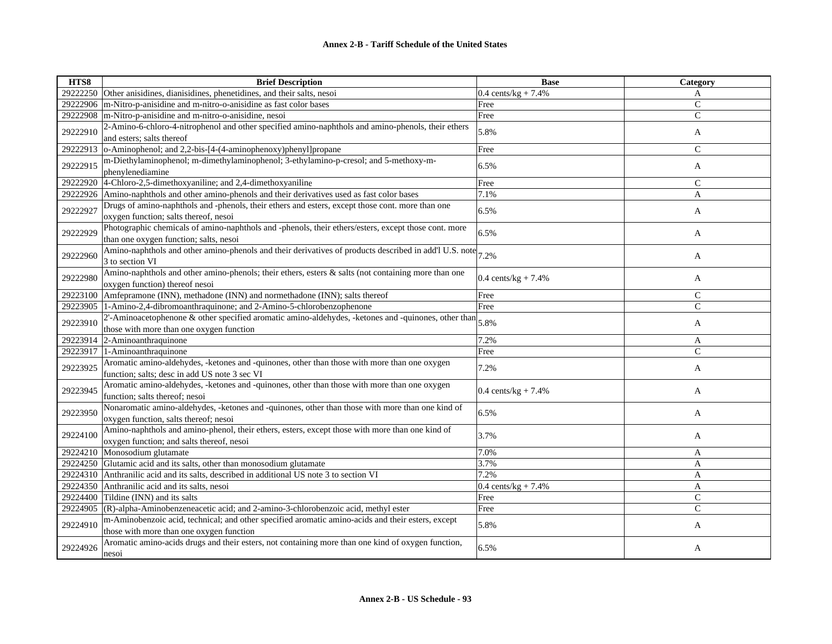| HTS8     | <b>Brief Description</b>                                                                                                                           | <b>Base</b>                    | Category       |
|----------|----------------------------------------------------------------------------------------------------------------------------------------------------|--------------------------------|----------------|
| 29222250 | Other anisidines, dianisidines, phenetidines, and their salts, nesoi                                                                               | $0.4 \text{ cents/kg} + 7.4\%$ | A              |
| 29222906 | m-Nitro-p-anisidine and m-nitro-o-anisidine as fast color bases                                                                                    | Free                           | $\mathsf{C}$   |
| 29222908 | m-Nitro-p-anisidine and m-nitro-o-anisidine, nesoi                                                                                                 | Free                           | $\mathsf{C}$   |
| 29222910 | 2-Amino-6-chloro-4-nitrophenol and other specified amino-naphthols and amino-phenols, their ethers<br>and esters; salts thereof                    | 5.8%                           | A              |
| 29222913 | o-Aminophenol; and 2,2-bis-[4-(4-aminophenoxy)phenyl]propane                                                                                       | Free                           | $\mathcal{C}$  |
| 29222915 | m-Diethylaminophenol; m-dimethylaminophenol; 3-ethylamino-p-cresol; and 5-methoxy-m-<br>phenylenediamine                                           | 6.5%                           | A              |
| 29222920 | 4-Chloro-2,5-dimethoxyaniline; and 2,4-dimethoxyaniline                                                                                            | Free                           | $\mathsf{C}$   |
| 29222926 | Amino-naphthols and other amino-phenols and their derivatives used as fast color bases                                                             | 7.1%                           | A              |
| 29222927 | Drugs of amino-naphthols and -phenols, their ethers and esters, except those cont. more than one<br>oxygen function; salts thereof, nesoi          | 6.5%                           | A              |
| 29222929 | Photographic chemicals of amino-naphthols and -phenols, their ethers/esters, except those cont. more<br>than one oxygen function; salts, nesoi     | 6.5%                           | A              |
| 29222960 | Amino-naphthols and other amino-phenols and their derivatives of products described in add'l U.S. note $7.2\%$<br>3 to section VI                  |                                | A              |
| 29222980 | Amino-naphthols and other amino-phenols; their ethers, esters & salts (not containing more than one<br>oxygen function) thereof nesoi              | 0.4 cents/kg + $7.4%$          | A              |
| 29223100 | Amfepramone (INN), methadone (INN) and normethadone (INN); salts thereof                                                                           | Free                           | $\mathsf{C}$   |
| 29223905 | 1-Amino-2,4-dibromoanthraquinone; and 2-Amino-5-chlorobenzophenone                                                                                 | Free                           | $\overline{C}$ |
| 29223910 | 2'-Aminoacetophenone $\&$ other specified aromatic amino-aldehydes, -ketones and -quinones, other than<br>those with more than one oxygen function | 5.8%                           | A              |
| 29223914 | 2-Aminoanthraquinone                                                                                                                               | 7.2%                           | A              |
| 29223917 | 1-Aminoanthraquinone                                                                                                                               | Free                           | $\overline{C}$ |
| 29223925 | Aromatic amino-aldehydes, -ketones and -quinones, other than those with more than one oxygen<br>function; salts; desc in add US note 3 sec VI      | 7.2%                           | A              |
| 29223945 | Aromatic amino-aldehydes, -ketones and -quinones, other than those with more than one oxygen<br>function; salts thereof; nesoi                     | 0.4 cents/kg + $7.4%$          | A              |
| 29223950 | Nonaromatic amino-aldehydes, -ketones and -quinones, other than those with more than one kind of<br>oxygen function, salts thereof; nesoi          | 6.5%                           | A              |
| 29224100 | Amino-naphthols and amino-phenol, their ethers, esters, except those with more than one kind of<br>oxygen function; and salts thereof, nesoi       | 3.7%                           | A              |
| 29224210 | Monosodium glutamate                                                                                                                               | 7.0%                           | A              |
| 29224250 | Glutamic acid and its salts, other than monosodium glutamate                                                                                       | 3.7%                           | A              |
| 29224310 | Anthranilic acid and its salts, described in additional US note 3 to section VI                                                                    | 7.2%                           | A              |
|          | 29224350 Anthranilic acid and its salts, nesoi                                                                                                     | 0.4 cents/ $kg + 7.4%$         | A              |
| 29224400 | Tildine (INN) and its salts                                                                                                                        | Free                           | $\mathcal{C}$  |
| 29224905 | $(R)$ -alpha-Aminobenzeneacetic acid; and 2-amino-3-chlorobenzoic acid, methyl ester                                                               | Free                           | $\mathcal{C}$  |
| 29224910 | m-Aminobenzoic acid, technical; and other specified aromatic amino-acids and their esters, except<br>those with more than one oxygen function      | 5.8%                           | A              |
| 29224926 | Aromatic amino-acids drugs and their esters, not containing more than one kind of oxygen function,<br>nesoi                                        | 6.5%                           | A              |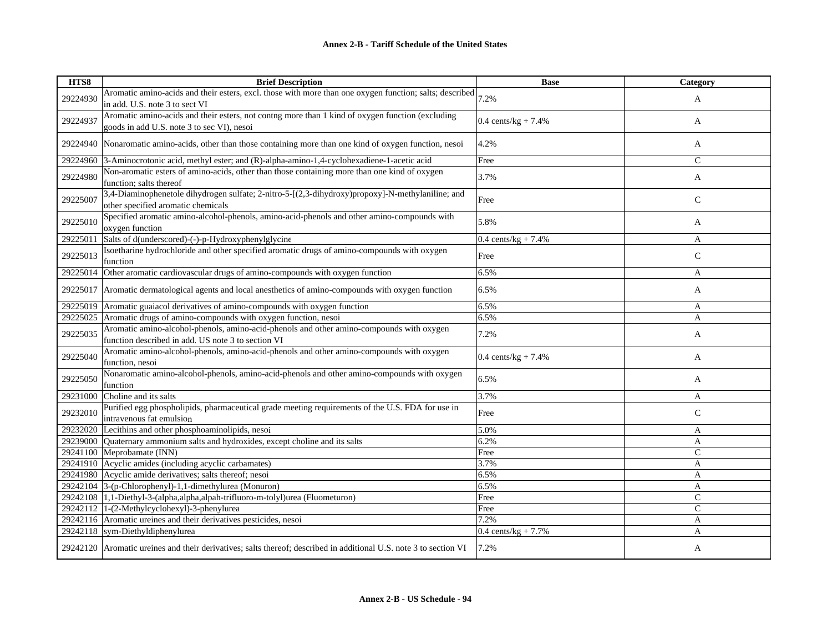| HTS8     | <b>Brief Description</b>                                                                                                                                  | <b>Base</b>                    | Category      |
|----------|-----------------------------------------------------------------------------------------------------------------------------------------------------------|--------------------------------|---------------|
| 29224930 | Aromatic amino-acids and their esters, excl. those with more than one oxygen function; salts; described $\vert_{7.2\%}$<br>in add. U.S. note 3 to sect VI |                                | A             |
| 29224937 | Aromatic amino-acids and their esters, not contng more than 1 kind of oxygen function (excluding<br>goods in add U.S. note 3 to sec VI), nesoi            | $0.4 \text{ cents/kg} + 7.4\%$ | A             |
| 29224940 | Nonaromatic amino-acids, other than those containing more than one kind of oxygen function, nesoi                                                         | 4.2%                           | A             |
| 29224960 | 3-Aminocrotonic acid, methyl ester; and (R)-alpha-amino-1,4-cyclohexadiene-1-acetic acid                                                                  | Free                           | $\mathsf{C}$  |
| 29224980 | Non-aromatic esters of amino-acids, other than those containing more than one kind of oxygen<br>function; salts thereof                                   | 3.7%                           | A             |
| 29225007 | 3,4-Diaminophenetole dihydrogen sulfate; 2-nitro-5-[(2,3-dihydroxy)propoxy]-N-methylaniline; and<br>other specified aromatic chemicals                    | Free                           | $\mathsf{C}$  |
| 29225010 | Specified aromatic amino-alcohol-phenols, amino-acid-phenols and other amino-compounds with<br>oxygen function                                            | 5.8%                           | A             |
| 29225011 | Salts of d(underscored)-(-)-p-Hydroxyphenylglycine                                                                                                        | $0.4 \text{ cents/kg} + 7.4\%$ | A             |
| 29225013 | Isoetharine hydrochloride and other specified aromatic drugs of amino-compounds with oxygen<br>function                                                   | Free                           | $\mathsf{C}$  |
| 29225014 | Other aromatic cardiovascular drugs of amino-compounds with oxygen function                                                                               | 6.5%                           | A             |
| 29225017 | Aromatic dermatological agents and local anesthetics of amino-compounds with oxygen function                                                              | 6.5%                           | A             |
| 29225019 | Aromatic guaiacol derivatives of amino-compounds with oxygen function                                                                                     | 6.5%                           | A             |
| 29225025 | Aromatic drugs of amino-compounds with oxygen function, nesoi                                                                                             | 6.5%                           | A             |
| 29225035 | Aromatic amino-alcohol-phenols, amino-acid-phenols and other amino-compounds with oxygen<br>function described in add. US note 3 to section VI            | 7.2%                           | A             |
| 29225040 | Aromatic amino-alcohol-phenols, amino-acid-phenols and other amino-compounds with oxygen<br>function, nesoi                                               | 0.4 cents/kg + $7.4%$          | A             |
| 29225050 | Nonaromatic amino-alcohol-phenols, amino-acid-phenols and other amino-compounds with oxygen<br>function                                                   | 6.5%                           | A             |
| 29231000 | Choline and its salts                                                                                                                                     | 3.7%                           | A             |
| 29232010 | Purified egg phospholipids, pharmaceutical grade meeting requirements of the U.S. FDA for use in<br>intravenous fat emulsion                              | Free                           | $\mathsf{C}$  |
| 29232020 | Lecithins and other phosphoaminolipids, nesoi                                                                                                             | 5.0%                           | A             |
| 29239000 | Quaternary ammonium salts and hydroxides, except choline and its salts                                                                                    | 6.2%                           | A             |
| 29241100 | Meprobamate (INN)                                                                                                                                         | Free                           | $\mathcal{C}$ |
| 29241910 | Acyclic amides (including acyclic carbamates)                                                                                                             | 3.7%                           | A             |
|          | 29241980 Acyclic amide derivatives; salts thereof; nesoi                                                                                                  | 6.5%                           | A             |
|          | 29242104 3-(p-Chlorophenyl)-1,1-dimethylurea (Monuron)                                                                                                    | 6.5%                           | A             |
|          | 29242108 1,1-Diethyl-3-(alpha,alpha,alpah-trifluoro-m-tolyl)urea (Fluometuron)                                                                            | Free                           | $\mathsf{C}$  |
|          | 29242112 1-(2-Methylcyclohexyl)-3-phenylurea                                                                                                              | Free                           | $\mathsf{C}$  |
|          | 29242116 Aromatic ureines and their derivatives pesticides, nesoi                                                                                         | 7.2%                           | A             |
|          | 29242118 sym-Diethyldiphenylurea                                                                                                                          | 0.4 cents/ $kg + 7.7%$         | A             |
|          | 29242120 Aromatic ureines and their derivatives; salts thereof; described in additional U.S. note 3 to section VI                                         | 7.2%                           | A             |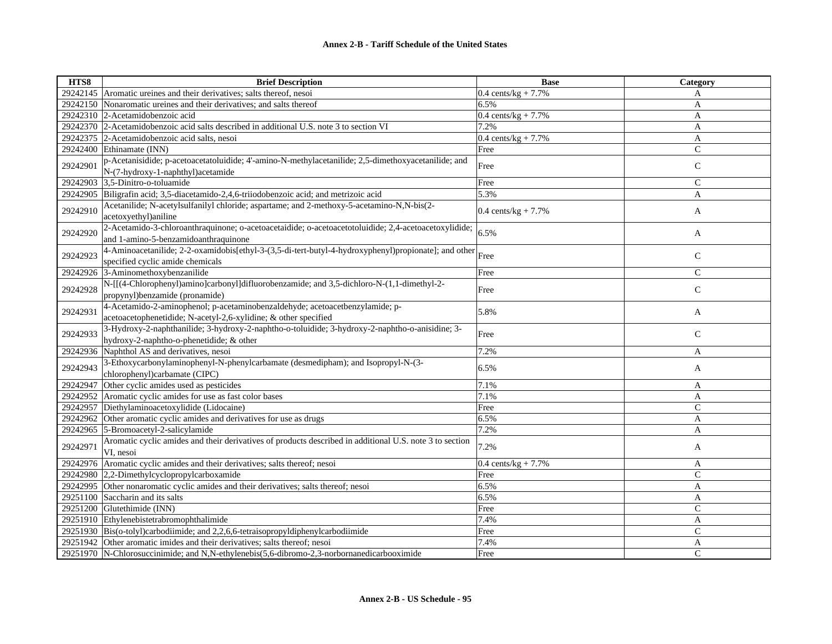| HTS8     | <b>Brief Description</b>                                                                                                                        | <b>Base</b>                    | Category      |
|----------|-------------------------------------------------------------------------------------------------------------------------------------------------|--------------------------------|---------------|
| 29242145 | Aromatic ureines and their derivatives; salts thereof, nesoi                                                                                    | $0.4 \text{ cents/kg} + 7.7\%$ | A             |
| 29242150 | Nonaromatic ureines and their derivatives; and salts thereof                                                                                    | 6.5%                           | A             |
| 29242310 | 2-Acetamidobenzoic acid                                                                                                                         | 0.4 cents/ $kg + 7.7%$         | A             |
|          | 29242370 2-Acetamidobenzoic acid salts described in additional U.S. note 3 to section VI                                                        | 7.2%                           | A             |
| 29242375 | 2-Acetamidobenzoic acid salts, nesoi                                                                                                            | $0.4 \text{ cents/kg} + 7.7\%$ | A             |
| 29242400 | Ethinamate (INN)                                                                                                                                | Free                           | $\mathsf{C}$  |
| 29242901 | p-Acetanisidide; p-acetoacetatoluidide; 4'-amino-N-methylacetanilide; 2,5-dimethoxyacetanilide; and<br>N-(7-hydroxy-1-naphthyl) acetamide       | Free                           | $\mathbf C$   |
| 29242903 | 3,5-Dinitro-o-toluamide                                                                                                                         | Free                           | $\mathsf{C}$  |
| 29242905 | Biligrafin acid; 3,5-diacetamido-2,4,6-triiodobenzoic acid; and metrizoic acid                                                                  | 5.3%                           | A             |
| 29242910 | Acetanilide; N-acetylsulfanilyl chloride; aspartame; and 2-methoxy-5-acetamino-N,N-bis(2-<br>acetoxyethyl)aniline                               | $0.4 \text{ cents/kg} + 7.7\%$ | A             |
| 29242920 | 2-Acetamido-3-chloroanthraquinone; o-acetoacetaidide; o-acetoacetotoluidide; 2,4-acetoacetoxylidide;<br>and 1-amino-5-benzamidoanthraquinone    | 6.5%                           | A             |
| 29242923 | 4-Aminoacetanilide; 2-2-oxamidobis[ethyl-3-(3,5-di-tert-butyl-4-hydroxyphenyl)propionate]; and other<br>specified cyclic amide chemicals        | Free                           | $\mathsf{C}$  |
| 29242926 | 3-Aminomethoxybenzanilide                                                                                                                       | Free                           | $\mathcal{C}$ |
| 29242928 | N-[[(4-Chlorophenyl)amino]carbonyl]difluorobenzamide; and 3,5-dichloro-N-(1,1-dimethyl-2-<br>propynyl)benzamide (pronamide)                     | Free                           | $\mathbf C$   |
| 29242931 | 4-Acetamido-2-aminophenol; p-acetaminobenzaldehyde; acetoacetbenzylamide; p-<br>acetoacetophenetidide; N-acetyl-2,6-xylidine; & other specified | 5.8%                           | A             |
| 29242933 | 3-Hydroxy-2-naphthanilide; 3-hydroxy-2-naphtho-o-toluidide; 3-hydroxy-2-naphtho-o-anisidine; 3-<br>hydroxy-2-naphtho-o-phenetidide; & other     | Free                           | $\mathsf{C}$  |
| 29242936 | Naphthol AS and derivatives, nesoi                                                                                                              | 7.2%                           | A             |
| 29242943 | 3-Ethoxycarbonylaminophenyl-N-phenylcarbamate (desmedipham); and Isopropyl-N-(3-<br>chlorophenyl)carbamate (CIPC)                               | 6.5%                           | A             |
| 29242947 | Other cyclic amides used as pesticides                                                                                                          | 7.1%                           | A             |
| 29242952 | Aromatic cyclic amides for use as fast color bases                                                                                              | 7.1%                           | A             |
| 29242957 | Diethylaminoacetoxylidide (Lidocaine)                                                                                                           | Free                           | $\mathsf{C}$  |
| 29242962 | Other aromatic cyclic amides and derivatives for use as drugs                                                                                   | 6.5%                           | A             |
| 29242965 | 5-Bromoacetyl-2-salicylamide                                                                                                                    | 7.2%                           | $\mathbf{A}$  |
| 29242971 | Aromatic cyclic amides and their derivatives of products described in additional U.S. note 3 to section<br>VI, nesoi                            | 7.2%                           | A             |
| 29242976 | Aromatic cyclic amides and their derivatives; salts thereof; nesoi                                                                              | 0.4 cents/ $kg + 7.7%$         | A             |
| 29242980 | 2,2-Dimethylcyclopropylcarboxamide                                                                                                              | Free                           | $\mathsf{C}$  |
| 29242995 | Other nonaromatic cyclic amides and their derivatives; salts thereof; nesoi                                                                     | 6.5%                           | A             |
| 29251100 | Saccharin and its salts                                                                                                                         | 6.5%                           | A             |
| 29251200 | Glutethimide (INN)                                                                                                                              | Free                           | $\mathsf{C}$  |
|          | 29251910 Ethylenebistetrabromophthalimide                                                                                                       | 7.4%                           | A             |
|          | 29251930 Bis(o-tolyl)carbodiimide; and 2,2,6,6-tetraisopropyldiphenylcarbodiimide                                                               | Free                           | $\mathsf{C}$  |
|          | 29251942 Other aromatic imides and their derivatives; salts thereof; nesoi                                                                      | 7.4%                           | A             |
|          | 29251970 N-Chlorosuccinimide; and N,N-ethylenebis(5,6-dibromo-2,3-norbornanedicarbooximide                                                      | Free                           | $\mathcal{C}$ |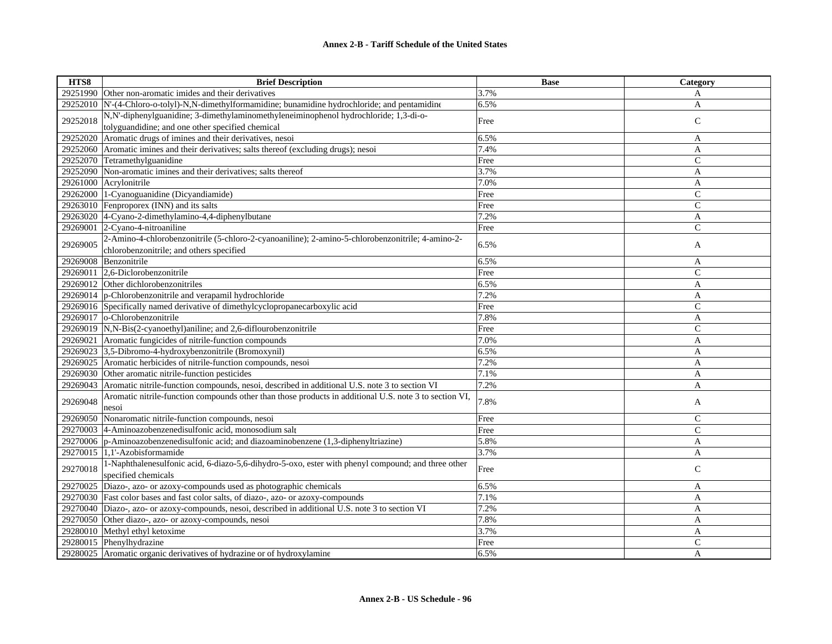| HTS8     | <b>Brief Description</b>                                                                               | <b>Base</b> | Category       |
|----------|--------------------------------------------------------------------------------------------------------|-------------|----------------|
|          | 29251990 Other non-aromatic imides and their derivatives                                               | 3.7%        | A              |
| 29252010 | N'-(4-Chloro-o-tolyl)-N,N-dimethylformamidine; bunamidine hydrochloride; and pentamidine               | 6.5%        | A              |
|          | N,N'-diphenylguanidine; 3-dimethylaminomethyleneiminophenol hydrochloride; 1,3-di-o-                   |             |                |
| 29252018 | tolyguandidine; and one other specified chemical                                                       | Free        | ${\bf C}$      |
| 29252020 | Aromatic drugs of imines and their derivatives, nesoi                                                  | 6.5%        | A              |
| 29252060 | Aromatic imines and their derivatives; salts thereof (excluding drugs); nesoi                          | 7.4%        | A              |
| 29252070 | Tetramethylguanidine                                                                                   | Free        | $\mathsf{C}$   |
| 29252090 | Non-aromatic imines and their derivatives; salts thereof                                               | 3.7%        | A              |
|          | 29261000 Acrylonitrile                                                                                 | 7.0%        | $\mathbf{A}$   |
| 29262000 | 1-Cyanoguanidine (Dicyandiamide)                                                                       | Free        | $\mathsf{C}$   |
|          | 29263010 Fenproporex (INN) and its salts                                                               | Free        | $\mathsf{C}$   |
|          | 29263020 4-Cyano-2-dimethylamino-4,4-diphenylbutane                                                    | 7.2%        | $\mathbf{A}$   |
|          | 29269001 2-Cyano-4-nitroaniline                                                                        | Free        | $\mathsf{C}$   |
| 29269005 | 2-Amino-4-chlorobenzonitrile (5-chloro-2-cyanoaniline); 2-amino-5-chlorobenzonitrile; 4-amino-2-       |             |                |
|          | chlorobenzonitrile; and others specified                                                               | 6.5%        | A              |
|          | 29269008 Benzonitrile                                                                                  | 6.5%        | A              |
|          | 29269011 2,6-Diclorobenzonitrile                                                                       | Free        | $\mathsf{C}$   |
|          | 29269012 Other dichlorobenzonitriles                                                                   | 6.5%        | A              |
|          | 29269014 p-Chlorobenzonitrile and verapamil hydrochloride                                              | 7.2%        | A              |
|          | 29269016 Specifically named derivative of dimethylcyclopropanecarboxylic acid                          | Free        | $\overline{C}$ |
| 29269017 | o-Chlorobenzonitrile                                                                                   | 7.8%        | A              |
| 29269019 | N,N-Bis(2-cyanoethyl)aniline; and 2,6-diflourobenzonitrile                                             | Free        | $\mathsf{C}$   |
| 29269021 | Aromatic fungicides of nitrile-function compounds                                                      | 7.0%        | A              |
| 29269023 | 3,5-Dibromo-4-hydroxybenzonitrile (Bromoxynil)                                                         | 6.5%        | A              |
| 29269025 | Aromatic herbicides of nitrile-function compounds, nesoi                                               | 7.2%        | A              |
|          | 29269030 Other aromatic nitrile-function pesticides                                                    | 7.1%        | A              |
| 29269043 | Aromatic nitrile-function compounds, nesoi, described in additional U.S. note 3 to section VI          | 7.2%        | A              |
| 29269048 | Aromatic nitrile-function compounds other than those products in additional U.S. note 3 to section VI, | 7.8%        | A              |
|          | nesoi                                                                                                  |             |                |
| 29269050 | Nonaromatic nitrile-function compounds, nesoi                                                          | Free        | $\mathsf{C}$   |
| 29270003 | 4-Aminoazobenzenedisulfonic acid, monosodium salt                                                      | Free        | $\mathcal{C}$  |
|          | 29270006  p-Aminoazobenzenedisulfonic acid; and diazoaminobenzene (1,3-diphenyltriazine)               | 5.8%        | A              |
| 29270015 | $1,1'$ -Azobisformamide                                                                                | 3.7%        | A              |
| 29270018 | 1-Naphthalenesulfonic acid, 6-diazo-5,6-dihydro-5-oxo, ester with phenyl compound; and three other     | Free        | $\mathsf{C}$   |
|          | specified chemicals                                                                                    |             |                |
| 29270025 | Diazo-, azo- or azoxy-compounds used as photographic chemicals                                         | 6.5%        | A              |
|          | 29270030 Fast color bases and fast color salts, of diazo-, azo- or azoxy-compounds                     | 7.1%        | A              |
|          | 29270040 Diazo-, azo- or azoxy-compounds, nesoi, described in additional U.S. note 3 to section VI     | 7.2%        | A              |
|          | 29270050 Other diazo-, azo- or azoxy-compounds, nesoi                                                  | 7.8%        | A              |
| 29280010 | Methyl ethyl ketoxime                                                                                  | 3.7%        | A              |
|          | 29280015 Phenylhydrazine                                                                               | Free        | $\mathsf{C}$   |
|          | 29280025 Aromatic organic derivatives of hydrazine or of hydroxylamine                                 | 6.5%        | A              |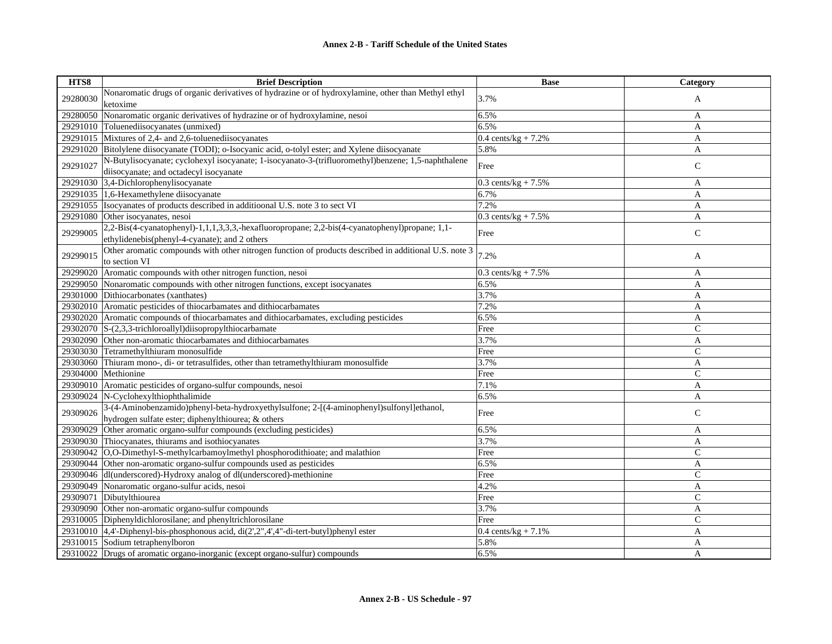| HTS8     | <b>Brief Description</b>                                                                                                                        | <b>Base</b>                    | Category      |
|----------|-------------------------------------------------------------------------------------------------------------------------------------------------|--------------------------------|---------------|
| 29280030 | Nonaromatic drugs of organic derivatives of hydrazine or of hydroxylamine, other than Methyl ethyl                                              | 3.7%                           | A             |
|          | ketoxime                                                                                                                                        |                                |               |
| 29280050 | Nonaromatic organic derivatives of hydrazine or of hydroxylamine, nesoi                                                                         | 6.5%                           | A             |
| 29291010 | Toluenediisocyanates (unmixed)                                                                                                                  | 6.5%                           | A             |
|          | 29291015 Mixtures of 2,4- and 2,6-toluenediisocyanates                                                                                          | $0.4 \text{ cents/kg} + 7.2\%$ | A             |
| 29291020 | Bitolylene diisocyanate (TODI); o-Isocyanic acid, o-tolyl ester; and Xylene diisocyanate                                                        | 5.8%                           | A             |
| 29291027 | N-Butylisocyanate; cyclohexyl isocyanate; 1-isocyanato-3-(trifluoromethyl)benzene; 1,5-naphthalene<br>diisocyanate; and octadecyl isocyanate    | Free                           | $\mathsf{C}$  |
|          | 29291030 3,4-Dichlorophenylisocyanate                                                                                                           | $0.3$ cents/kg + 7.5%          | A             |
|          | 29291035 1,6-Hexamethylene diisocyanate                                                                                                         | 6.7%                           | A             |
| 29291055 | Isocyanates of products described in additioonal U.S. note 3 to sect VI                                                                         | 7.2%                           | A             |
| 29291080 | Other isocyanates, nesoi                                                                                                                        | $0.3$ cents/kg + 7.5%          | A             |
| 29299005 | 2,2-Bis(4-cyanatophenyl)-1,1,1,3,3,3,-hexafluoropropane; 2,2-bis(4-cyanatophenyl)propane; 1,1-<br>ethylidenebis(phenyl-4-cyanate); and 2 others | Free                           | ${\bf C}$     |
| 29299015 | Other aromatic compounds with other nitrogen function of products described in additional U.S. note 3<br>to section VI                          | 7.2%                           | A             |
| 29299020 | Aromatic compounds with other nitrogen function, nesoi                                                                                          | 0.3 cents/kg + $7.5\%$         | A             |
|          | 29299050 Nonaromatic compounds with other nitrogen functions, except isocyanates                                                                | 6.5%                           | A             |
| 29301000 | Dithiocarbonates (xanthates)                                                                                                                    | 3.7%                           | A             |
|          | 29302010 Aromatic pesticides of thiocarbamates and dithiocarbamates                                                                             | 7.2%                           | A             |
| 29302020 | Aromatic compounds of thiocarbamates and dithiocarbamates, excluding pesticides                                                                 | 6.5%                           | A             |
| 29302070 | $S-(2,3,3-trichloroally1)$ diisopropylthiocarbamate                                                                                             | Free                           | $\mathcal{C}$ |
| 29302090 | Other non-aromatic thiocarbamates and dithiocarbamates                                                                                          | 3.7%                           | A             |
| 29303030 | Tetramethylthiuram monosulfide                                                                                                                  | Free                           | $\mathbf C$   |
| 29303060 | Thiuram mono-, di- or tetrasulfides, other than tetramethylthiuram monosulfide                                                                  | 3.7%                           | A             |
| 29304000 | Methionine                                                                                                                                      | Free                           | $\mathsf{C}$  |
| 29309010 | Aromatic pesticides of organo-sulfur compounds, nesoi                                                                                           | 7.1%                           | A             |
| 29309024 | N-Cyclohexylthiophthalimide                                                                                                                     | 6.5%                           | A             |
| 29309026 | 3-(4-Aminobenzamido)phenyl-beta-hydroxyethylsulfone; 2-[(4-aminophenyl)sulfonyl]ethanol,<br>hydrogen sulfate ester; diphenylthiourea; & others  | Free                           | $\mathcal{C}$ |
| 29309029 | Other aromatic organo-sulfur compounds (excluding pesticides)                                                                                   | 6.5%                           | A             |
| 29309030 | Thiocyanates, thiurams and isothiocyanates                                                                                                      | 3.7%                           | A             |
| 29309042 | O,O-Dimethyl-S-methylcarbamoylmethyl phosphorodithioate; and malathion                                                                          | Free                           | $\mathsf{C}$  |
| 29309044 | Other non-aromatic organo-sulfur compounds used as pesticides                                                                                   | 6.5%                           | A             |
|          | 29309046 dl(underscored)-Hydroxy analog of dl(underscored)-methionine                                                                           | Free                           | $\mathcal{C}$ |
|          | 29309049 Nonaromatic organo-sulfur acids, nesoi                                                                                                 | 4.2%                           | A             |
| 29309071 | Dibutylthiourea                                                                                                                                 | Free                           | $\mathsf{C}$  |
| 29309090 | Other non-aromatic organo-sulfur compounds                                                                                                      | 3.7%                           | A             |
|          | 29310005 Diphenyldichlorosilane; and phenyltrichlorosilane                                                                                      | Free                           | $\mathcal{C}$ |
|          | 29310010 $ 4,4$ -Diphenyl-bis-phosphonous acid, di $(2^2,2^2,4^2,4^2)$ -di-tert-butyl)phenyl ester                                              | 0.4 cents/kg + $7.1\%$         | A             |
|          | 29310015 Sodium tetraphenylboron                                                                                                                | 5.8%                           | A             |
|          | 29310022 Drugs of aromatic organo-inorganic (except organo-sulfur) compounds                                                                    | 6.5%                           | A             |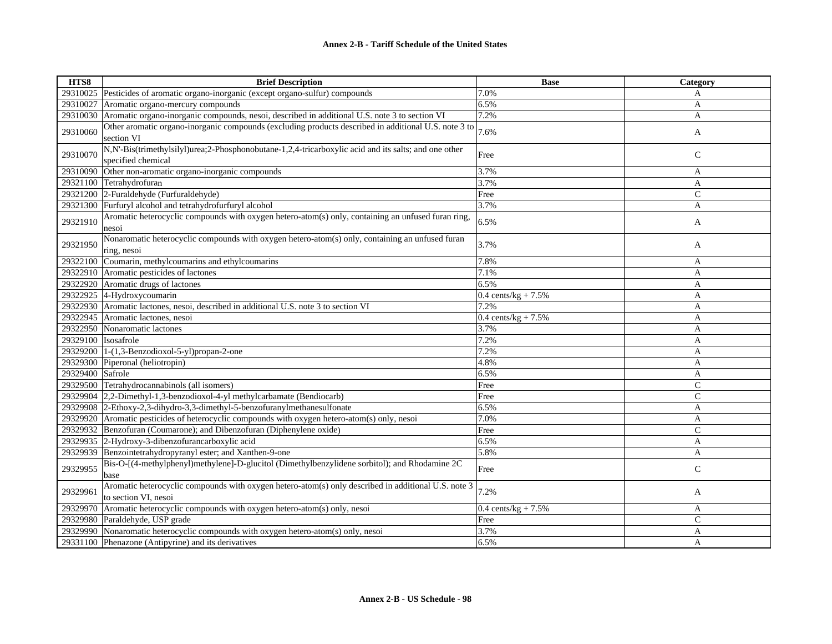| HTS8                | <b>Brief Description</b>                                                                             | <b>Base</b>                    | Category       |
|---------------------|------------------------------------------------------------------------------------------------------|--------------------------------|----------------|
| 29310025            | Pesticides of aromatic organo-inorganic (except organo-sulfur) compounds                             | 7.0%                           | A              |
| 29310027            | Aromatic organo-mercury compounds                                                                    | 6.5%                           | A              |
| 29310030            | Aromatic organo-inorganic compounds, nesoi, described in additional U.S. note 3 to section VI        | 7.2%                           | A              |
|                     | Other aromatic organo-inorganic compounds (excluding products described in additional U.S. note 3 to |                                |                |
| 29310060            | section VI                                                                                           | 7.6%                           | A              |
|                     | N,N'-Bis(trimethylsilyl)urea;2-Phosphonobutane-1,2,4-tricarboxylic acid and its salts; and one other |                                |                |
| 29310070            | specified chemical                                                                                   | Free                           | $\mathsf{C}$   |
| 29310090            | Other non-aromatic organo-inorganic compounds                                                        | 3.7%                           | A              |
| 29321100            | Tetrahydrofuran                                                                                      | 3.7%                           | A              |
|                     | 29321200 2-Furaldehyde (Furfuraldehyde)                                                              | Free                           | $\mathcal{C}$  |
| 29321300            | Furfuryl alcohol and tetrahydrofurfuryl alcohol                                                      | 3.7%                           | A              |
|                     | Aromatic heterocyclic compounds with oxygen hetero-atom(s) only, containing an unfused furan ring    |                                |                |
| 29321910            | nesoi                                                                                                | 6.5%                           | A              |
|                     | Nonaromatic heterocyclic compounds with oxygen hetero-atom(s) only, containing an unfused furan      |                                |                |
| 29321950            | ring, nesoi                                                                                          | 3.7%                           | A              |
| 29322100            | Coumarin, methylcoumarins and ethylcoumarins                                                         | 7.8%                           | A              |
| 29322910            | Aromatic pesticides of lactones                                                                      | 7.1%                           | A              |
|                     | 29322920 Aromatic drugs of lactones                                                                  | 6.5%                           | A              |
|                     | 29322925 4-Hydroxycoumarin                                                                           | $0.4 \text{ cents/kg} + 7.5\%$ | A              |
| 29322930            | Aromatic lactones, nesoi, described in additional U.S. note 3 to section VI                          | 7.2%                           | A              |
| 29322945            | Aromatic lactones, nesoi                                                                             | 0.4 cents/kg + $7.5%$          | A              |
| 29322950            | Nonaromatic lactones                                                                                 | 3.7%                           | A              |
| 29329100 Isosafrole |                                                                                                      | 7.2%                           | A              |
|                     | $29329200$  1-(1,3-Benzodioxol-5-yl)propan-2-one                                                     | 7.2%                           | A              |
|                     | 29329300 Piperonal (heliotropin)                                                                     | 4.8%                           | A              |
| 29329400            | Safrole                                                                                              | 6.5%                           | A              |
| 29329500            | Tetrahydrocannabinols (all isomers)                                                                  | Free                           | $\mathcal{C}$  |
| 29329904            | 2,2-Dimethyl-1,3-benzodioxol-4-yl methylcarbamate (Bendiocarb)                                       | Free                           | $\mathsf{C}$   |
|                     | 29329908 2-Ethoxy-2,3-dihydro-3,3-dimethyl-5-benzofuranylmethanesulfonate                            | 6.5%                           | A              |
| 29329920            | Aromatic pesticides of heterocyclic compounds with oxygen hetero-atom(s) only, nesoi                 | 7.0%                           | A              |
| 29329932            | Benzofuran (Coumarone); and Dibenzofuran (Diphenylene oxide)                                         | Free                           | $\mathsf{C}$   |
|                     | 29329935 2-Hydroxy-3-dibenzofurancarboxylic acid                                                     | 6.5%                           | A              |
| 29329939            | Benzointetrahydropyranyl ester; and Xanthen-9-one                                                    | 5.8%                           | A              |
|                     | Bis-O-[(4-methylphenyl)methylene]-D-glucitol (Dimethylbenzylidene sorbitol); and Rhodamine 2C        |                                |                |
| 29329955            | base                                                                                                 | Free                           | $\mathsf{C}$   |
|                     | Aromatic heterocyclic compounds with oxygen hetero-atom(s) only described in additional U.S. note 3  |                                |                |
| 29329961            | to section VI, nesoi                                                                                 | 7.2%                           | A              |
| 29329970            | Aromatic heterocyclic compounds with oxygen hetero-atom(s) only, nesoi                               | 0.4 cents/kg + $7.5%$          | A              |
| 29329980            | Paraldehyde, USP grade                                                                               | Free                           | $\overline{C}$ |
| 29329990            | Nonaromatic heterocyclic compounds with oxygen hetero-atom(s) only, nesoi                            | 3.7%                           | A              |
|                     | 29331100 Phenazone (Antipyrine) and its derivatives                                                  | 6.5%                           | A              |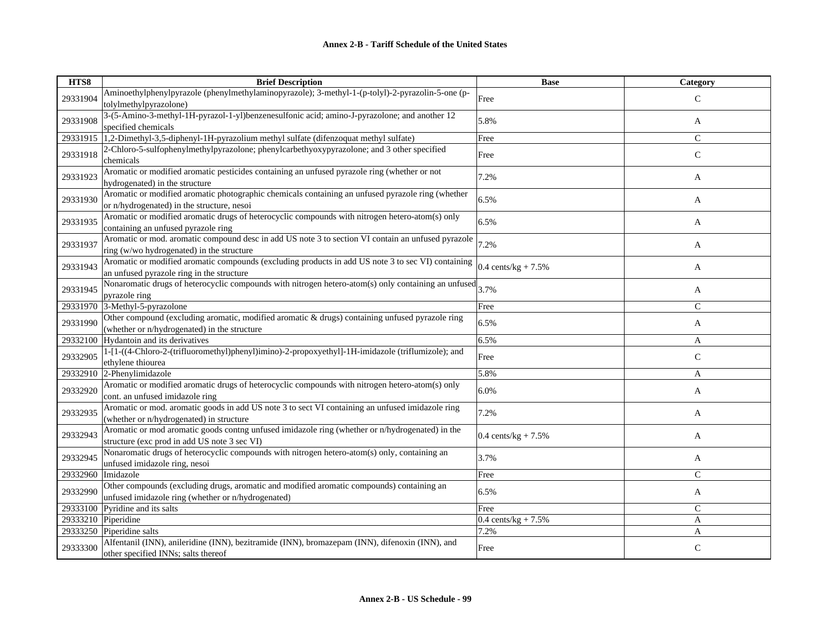| HTS8     | <b>Brief Description</b>                                                                                            | <b>Base</b>                    | <b>Category</b> |
|----------|---------------------------------------------------------------------------------------------------------------------|--------------------------------|-----------------|
| 29331904 | Aminoethylphenylpyrazole (phenylmethylaminopyrazole); 3-methyl-1-(p-tolyl)-2-pyrazolin-5-one (p-                    | Free                           | $\mathcal{C}$   |
|          | tolylmethylpyrazolone)                                                                                              |                                |                 |
| 29331908 | 3-(5-Amino-3-methyl-1H-pyrazol-1-yl)benzenesulfonic acid; amino-J-pyrazolone; and another 12<br>specified chemicals | 5.8%                           | A               |
| 29331915 | 1,2-Dimethyl-3,5-diphenyl-1H-pyrazolium methyl sulfate (difenzoquat methyl sulfate)                                 | Free                           | $\mathsf{C}$    |
|          | 2-Chloro-5-sulfophenylmethylpyrazolone; phenylcarbethyoxypyrazolone; and 3 other specified                          |                                |                 |
| 29331918 | chemicals                                                                                                           | Free                           | $\mathsf{C}$    |
|          | Aromatic or modified aromatic pesticides containing an unfused pyrazole ring (whether or not                        |                                |                 |
| 29331923 | hydrogenated) in the structure                                                                                      | 7.2%                           | A               |
|          | Aromatic or modified aromatic photographic chemicals containing an unfused pyrazole ring (whether                   |                                |                 |
| 29331930 | or n/hydrogenated) in the structure, nesoi                                                                          | 6.5%                           | A               |
|          | Aromatic or modified aromatic drugs of heterocyclic compounds with nitrogen hetero-atom(s) only                     |                                |                 |
| 29331935 | containing an unfused pyrazole ring                                                                                 | 6.5%                           | A               |
|          | Aromatic or mod. aromatic compound desc in add US note 3 to section VI contain an unfused pyrazole                  |                                |                 |
| 29331937 | ring (w/wo hydrogenated) in the structure                                                                           | 7.2%                           | A               |
|          | Aromatic or modified aromatic compounds (excluding products in add US note 3 to sec VI) containing                  |                                |                 |
| 29331943 | an unfused pyrazole ring in the structure                                                                           | $0.4 \text{ cents/kg} + 7.5\%$ | A               |
|          | Nonaromatic drugs of heterocyclic compounds with nitrogen hetero-atom(s) only containing an unfused                 |                                |                 |
| 29331945 | pyrazole ring                                                                                                       | 3.7%                           | A               |
| 29331970 | 3-Methyl-5-pyrazolone                                                                                               | Free                           | $\mathsf{C}$    |
|          | Other compound (excluding aromatic, modified aromatic & drugs) containing unfused pyrazole ring                     |                                |                 |
| 29331990 | (whether or n/hydrogenated) in the structure                                                                        | 6.5%                           | A               |
| 29332100 | Hydantoin and its derivatives                                                                                       | 6.5%                           | A               |
|          | 1-[1-((4-Chloro-2-(trifluoromethyl)phenyl)imino)-2-propoxyethyl]-1H-imidazole (triflumizole); and                   |                                |                 |
| 29332905 | ethylene thiourea                                                                                                   | Free                           | $\mathsf{C}$    |
| 29332910 | 2-Phenylimidazole                                                                                                   | 5.8%                           | A               |
|          | Aromatic or modified aromatic drugs of heterocyclic compounds with nitrogen hetero-atom(s) only                     |                                |                 |
| 29332920 | cont. an unfused imidazole ring                                                                                     | 6.0%                           | A               |
|          | Aromatic or mod. aromatic goods in add US note 3 to sect VI containing an unfused imidazole ring                    |                                |                 |
| 29332935 | (whether or n/hydrogenated) in structure                                                                            | 7.2%                           | A               |
|          | Aromatic or mod aromatic goods contng unfused imidazole ring (whether or n/hydrogenated) in the                     |                                |                 |
| 29332943 | structure (exc prod in add US note 3 sec VI)                                                                        | $0.4 \text{ cents/kg} + 7.5\%$ | A               |
|          | Nonaromatic drugs of heterocyclic compounds with nitrogen hetero-atom(s) only, containing an                        |                                |                 |
| 29332945 | unfused imidazole ring, nesoi                                                                                       | 3.7%                           | A               |
| 29332960 | Imidazole                                                                                                           | Free                           | $\mathsf{C}$    |
|          | Other compounds (excluding drugs, aromatic and modified aromatic compounds) containing an                           |                                |                 |
| 29332990 | unfused imidazole ring (whether or n/hydrogenated)                                                                  | 6.5%                           | A               |
| 29333100 | Pyridine and its salts                                                                                              | Free                           | $\mathsf{C}$    |
| 29333210 | Piperidine                                                                                                          | 0.4 cents/ $kg + 7.5%$         | A               |
| 29333250 | Piperidine salts                                                                                                    | 7.2%                           | A               |
|          | Alfentanil (INN), anileridine (INN), bezitramide (INN), bromazepam (INN), difenoxin (INN), and                      |                                |                 |
| 29333300 | other specified INNs; salts thereof                                                                                 | Free                           | $\mathsf{C}$    |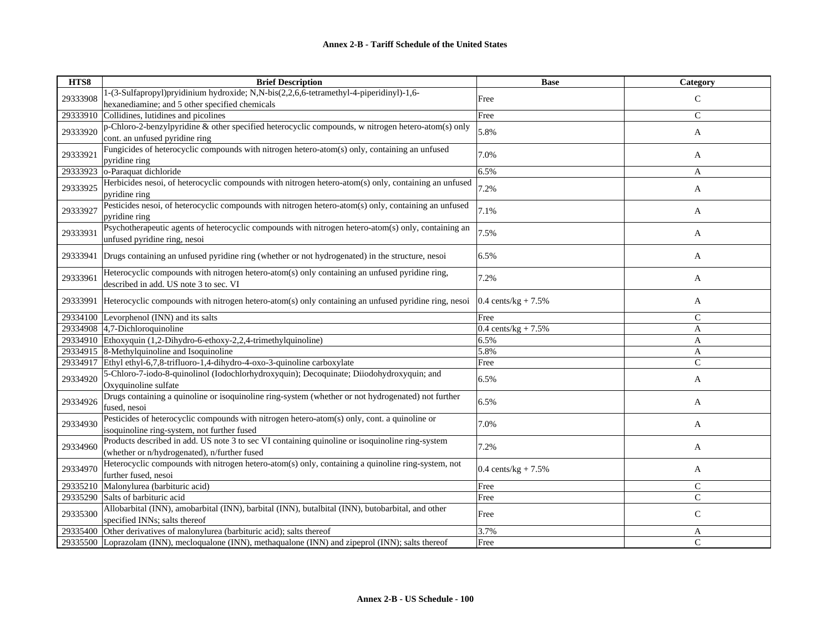| HTS8     | <b>Brief Description</b>                                                                             | <b>Base</b>            | Category      |
|----------|------------------------------------------------------------------------------------------------------|------------------------|---------------|
| 29333908 | 1-(3-Sulfapropyl)pryidinium hydroxide; N,N-bis(2,2,6,6-tetramethyl-4-piperidinyl)-1,6-               | Free                   | $\mathsf{C}$  |
|          | hexanediamine; and 5 other specified chemicals                                                       |                        |               |
| 29333910 | Collidines, lutidines and picolines                                                                  | Free                   | $\mathsf{C}$  |
| 29333920 | p-Chloro-2-benzylpyridine & other specified heterocyclic compounds, w nitrogen hetero-atom(s) only   | 5.8%                   | A             |
|          | cont. an unfused pyridine ring                                                                       |                        |               |
| 29333921 | Fungicides of heterocyclic compounds with nitrogen hetero-atom(s) only, containing an unfused        | 7.0%                   | A             |
|          | pyridine ring                                                                                        |                        |               |
| 29333923 | o-Paraquat dichloride                                                                                | 6.5%                   | A             |
| 29333925 | Herbicides nesoi, of heterocyclic compounds with nitrogen hetero-atom(s) only, containing an unfused | 7.2%                   | A             |
|          | pyridine ring                                                                                        |                        |               |
| 29333927 | Pesticides nesoi, of heterocyclic compounds with nitrogen hetero-atom(s) only, containing an unfused | 7.1%                   | A             |
|          | pyridine ring                                                                                        |                        |               |
| 29333931 | Psychotherapeutic agents of heterocyclic compounds with nitrogen hetero-atom(s) only, containing an  | 7.5%                   | A             |
|          | unfused pyridine ring, nesoi                                                                         |                        |               |
| 29333941 | Drugs containing an unfused pyridine ring (whether or not hydrogenated) in the structure, nesoi      | 6.5%                   | A             |
|          |                                                                                                      |                        |               |
| 29333961 | Heterocyclic compounds with nitrogen hetero-atom(s) only containing an unfused pyridine ring,        | 7.2%                   | A             |
|          | described in add. US note 3 to sec. VI                                                               |                        |               |
| 29333991 | Heterocyclic compounds with nitrogen hetero-atom(s) only containing an unfused pyridine ring, nesoi  | 0.4 cents/kg + $7.5%$  | A             |
|          |                                                                                                      |                        |               |
| 29334100 | Levorphenol (INN) and its salts                                                                      | Free                   | C             |
| 29334908 | 4,7-Dichloroquinoline                                                                                | 0.4 cents/kg + $7.5%$  | A             |
|          | 29334910 Ethoxyquin (1,2-Dihydro-6-ethoxy-2,2,4-trimethylquinoline)                                  | 6.5%                   | A             |
| 29334915 | 8-Methylquinoline and Isoquinoline                                                                   | 5.8%                   | $\mathbf{A}$  |
| 29334917 | Ethyl ethyl-6,7,8-trifluoro-1,4-dihydro-4-oxo-3-quinoline carboxylate                                | Free                   | $\mathcal{C}$ |
| 29334920 | 5-Chloro-7-iodo-8-quinolinol (Iodochlorhydroxyquin); Decoquinate; Diiodohydroxyquin; and             | 6.5%                   | A             |
|          | Oxyquinoline sulfate                                                                                 |                        |               |
| 29334926 | Drugs containing a quinoline or isoquinoline ring-system (whether or not hydrogenated) not further   | 6.5%                   | A             |
|          | fused, nesoi                                                                                         |                        |               |
| 29334930 | Pesticides of heterocyclic compounds with nitrogen hetero-atom(s) only, cont. a quinoline or         | 7.0%                   | A             |
|          | isoquinoline ring-system, not further fused                                                          |                        |               |
| 29334960 | Products described in add. US note 3 to sec VI containing quinoline or isoquinoline ring-system      | 7.2%                   | A             |
|          | (whether or n/hydrogenated), n/further fused                                                         |                        |               |
| 29334970 | Heterocyclic compounds with nitrogen hetero-atom(s) only, containing a quinoline ring-system, not    | 0.4 cents/ $kg + 7.5%$ | A             |
|          | further fused, nesoi                                                                                 |                        |               |
| 29335210 | Malonylurea (barbituric acid)                                                                        | Free                   | $\mathcal{C}$ |
| 29335290 | Salts of barbituric acid                                                                             | Free                   | $\mathcal{C}$ |
| 29335300 | Allobarbital (INN), amobarbital (INN), barbital (INN), butalbital (INN), butobarbital, and other     | Free                   | $\mathcal{C}$ |
|          | specified INNs; salts thereof                                                                        |                        |               |
| 29335400 | Other derivatives of malonylurea (barbituric acid); salts thereof                                    | 3.7%                   | A             |
| 29335500 | Loprazolam (INN), mecloqualone (INN), methaqualone (INN) and zipeprol (INN); salts thereof           | Free                   | $\mathcal{C}$ |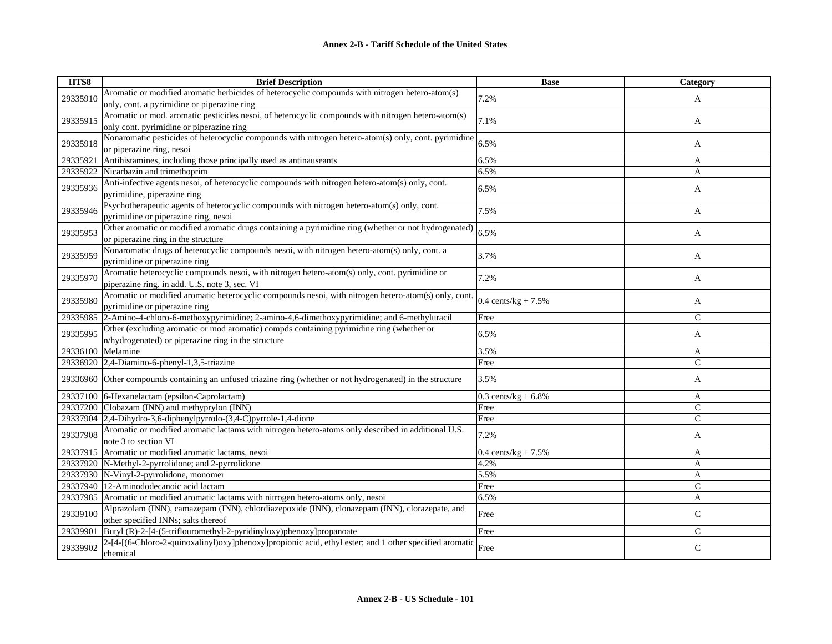| HTS8     | <b>Brief Description</b>                                                                               | <b>Base</b>                    | Category     |
|----------|--------------------------------------------------------------------------------------------------------|--------------------------------|--------------|
| 29335910 | Aromatic or modified aromatic herbicides of heterocyclic compounds with nitrogen hetero-atom(s)        | 7.2%                           | A            |
|          | only, cont. a pyrimidine or piperazine ring                                                            |                                |              |
| 29335915 | Aromatic or mod. aromatic pesticides nesoi, of heterocyclic compounds with nitrogen hetero-atom(s)     | 7.1%                           |              |
|          | only cont. pyrimidine or piperazine ring                                                               |                                | A            |
| 29335918 | Nonaromatic pesticides of heterocyclic compounds with nitrogen hetero-atom(s) only, cont. pyrimidine   | 6.5%                           |              |
|          | or piperazine ring, nesoi                                                                              |                                | A            |
| 29335921 | Antihistamines, including those principally used as antinauseants                                      | 6.5%                           | A            |
| 29335922 | Nicarbazin and trimethoprim                                                                            | 6.5%                           | A            |
| 29335936 | Anti-infective agents nesoi, of heterocyclic compounds with nitrogen hetero-atom(s) only, cont.        | 6.5%                           | A            |
|          | pyrimidine, piperazine ring                                                                            |                                |              |
| 29335946 | Psychotherapeutic agents of heterocyclic compounds with nitrogen hetero-atom(s) only, cont.            | 7.5%                           | A            |
|          | pyrimidine or piperazine ring, nesoi                                                                   |                                |              |
| 29335953 | Other aromatic or modified aromatic drugs containing a pyrimidine ring (whether or not hydrogenated)   | 6.5%                           | A            |
|          | or piperazine ring in the structure                                                                    |                                |              |
| 29335959 | Nonaromatic drugs of heterocyclic compounds nesoi, with nitrogen hetero-atom(s) only, cont. a          | 3.7%                           | A            |
|          | pyrimidine or piperazine ring                                                                          |                                |              |
| 29335970 | Aromatic heterocyclic compounds nesoi, with nitrogen hetero-atom(s) only, cont. pyrimidine or          | 7.2%                           |              |
|          | piperazine ring, in add. U.S. note 3, sec. VI                                                          |                                | A            |
| 29335980 | Aromatic or modified aromatic heterocyclic compounds nesoi, with nitrogen hetero-atom(s) only, cont.   |                                |              |
|          | pyrimidine or piperazine ring                                                                          | $0.4 \text{ cents/kg} + 7.5\%$ | A            |
| 29335985 | 2-Amino-4-chloro-6-methoxypyrimidine; 2-amino-4,6-dimethoxypyrimidine; and 6-methyluracil              | Free                           | $\mathsf{C}$ |
| 29335995 | Other (excluding aromatic or mod aromatic) compds containing pyrimidine ring (whether or               | 6.5%                           | A            |
|          | n/hydrogenated) or piperazine ring in the structure                                                    |                                |              |
| 29336100 | Melamine                                                                                               | 3.5%                           | A            |
| 29336920 | 2,4-Diamino-6-phenyl-1,3,5-triazine                                                                    | Free                           | $\mathsf{C}$ |
| 29336960 | Other compounds containing an unfused triazine ring (whether or not hydrogenated) in the structure     | 3.5%                           | A            |
| 29337100 | 6-Hexanelactam (epsilon-Caprolactam)                                                                   | 0.3 cents/ $kg + 6.8%$         | A            |
| 29337200 | Clobazam (INN) and methyprylon (INN)                                                                   | Free                           | $\mathsf{C}$ |
|          | 29337904 2,4-Dihydro-3,6-diphenylpyrrolo-(3,4-C)pyrrole-1,4-dione                                      | Free                           | $\mathsf{C}$ |
| 29337908 | Aromatic or modified aromatic lactams with nitrogen hetero-atoms only described in additional U.S.     | 7.2%                           |              |
|          | note 3 to section VI                                                                                   |                                | A            |
| 29337915 | Aromatic or modified aromatic lactams, nesoi                                                           | 0.4 cents/kg + $7.5%$          | A            |
| 29337920 | N-Methyl-2-pyrrolidone; and 2-pyrrolidone                                                              | 4.2%                           | A            |
| 29337930 | N-Vinyl-2-pyrrolidone, monomer                                                                         | 5.5%                           | A            |
| 29337940 | 12-Aminododecanoic acid lactam                                                                         | Free                           | $\mathsf{C}$ |
| 29337985 | Aromatic or modified aromatic lactams with nitrogen hetero-atoms only, nesoi                           | 6.5%                           | A            |
|          | Alprazolam (INN), camazepam (INN), chlordiazepoxide (INN), clonazepam (INN), clorazepate, and          |                                |              |
| 29339100 | other specified INNs; salts thereof                                                                    | Free                           | $\mathsf{C}$ |
| 29339901 | Butyl (R)-2-[4-(5-triflouromethyl-2-pyridinyloxy)phenoxy]propanoate                                    | Free                           | $\mathsf{C}$ |
| 29339902 | 2-[4-[(6-Chloro-2-quinoxalinyl)oxy]phenoxy]propionic acid, ethyl ester; and 1 other specified aromatic | Free                           | $\mathsf{C}$ |
|          | chemical                                                                                               |                                |              |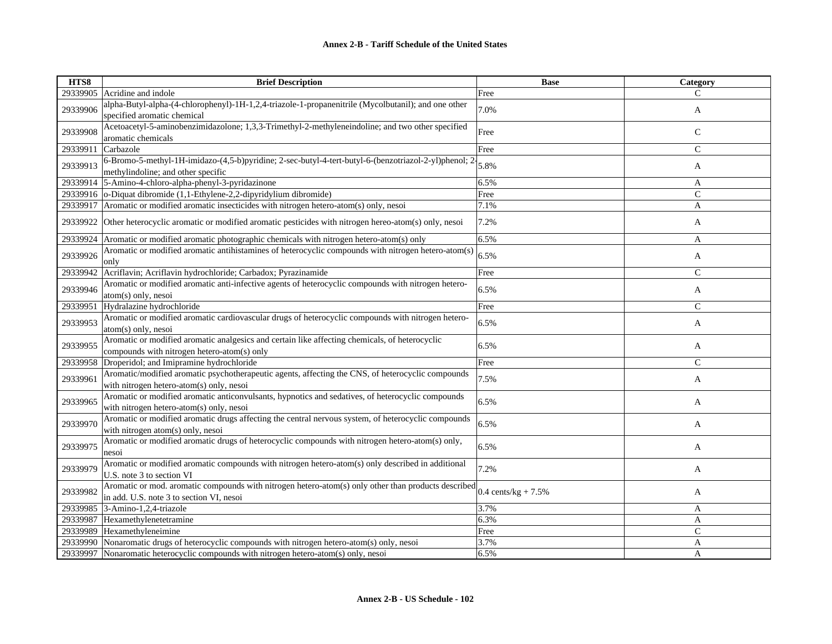| HTS8     | <b>Brief Description</b>                                                                                                                        | <b>Base</b>            | Category      |
|----------|-------------------------------------------------------------------------------------------------------------------------------------------------|------------------------|---------------|
| 29339905 | Acridine and indole                                                                                                                             | Free                   | C             |
| 29339906 | alpha-Butyl-alpha-(4-chlorophenyl)-1H-1,2,4-triazole-1-propanenitrile (Mycolbutanil); and one other<br>specified aromatic chemical              | 7.0%                   | A             |
| 29339908 | Acetoacetyl-5-aminobenzimidazolone; 1,3,3-Trimethyl-2-methyleneindoline; and two other specified<br>aromatic chemicals                          | Free                   | $\mathsf{C}$  |
| 29339911 | Carbazole                                                                                                                                       | Free                   | $\mathsf{C}$  |
| 29339913 | 6-Bromo-5-methyl-1H-imidazo-(4,5-b)pyridine; 2-sec-butyl-4-tert-butyl-6-(benzotriazol-2-yl)phenol; 2-<br>methylindoline; and other specific     | 5.8%                   | A             |
| 29339914 | 5-Amino-4-chloro-alpha-phenyl-3-pyridazinone                                                                                                    | 6.5%                   | A             |
| 29339916 | o-Diquat dibromide (1,1-Ethylene-2,2-dipyridylium dibromide)                                                                                    | Free                   | $\mathsf{C}$  |
| 29339917 | Aromatic or modified aromatic insecticides with nitrogen hetero-atom(s) only, nesoi                                                             | 7.1%                   | A             |
| 29339922 | Other heterocyclic aromatic or modified aromatic pesticides with nitrogen hereo-atom(s) only, nesoi                                             | 7.2%                   | A             |
| 29339924 | Aromatic or modified aromatic photographic chemicals with nitrogen hetero-atom(s) only                                                          | 6.5%                   | A             |
| 29339926 | Aromatic or modified aromatic antihistamines of heterocyclic compounds with nitrogen hetero-atom(s)<br>only                                     | 6.5%                   | A             |
| 29339942 | Acriflavin; Acriflavin hydrochloride; Carbadox; Pyrazinamide                                                                                    | Free                   | $\mathcal{C}$ |
| 29339946 | Aromatic or modified aromatic anti-infective agents of heterocyclic compounds with nitrogen hetero-<br>atom(s) only, nesoi                      | 6.5%                   | A             |
| 29339951 | Hydralazine hydrochloride                                                                                                                       | Free                   | $\mathsf{C}$  |
| 29339953 | Aromatic or modified aromatic cardiovascular drugs of heterocyclic compounds with nitrogen hetero-<br>$atom(s)$ only, nesoi                     | 6.5%                   | A             |
| 29339955 | Aromatic or modified aromatic analgesics and certain like affecting chemicals, of heterocyclic<br>compounds with nitrogen hetero-atom(s) only   | 6.5%                   | A             |
| 29339958 | Droperidol; and Imipramine hydrochloride                                                                                                        | Free                   | $\mathsf{C}$  |
| 29339961 | Aromatic/modified aromatic psychotherapeutic agents, affecting the CNS, of heterocyclic compounds<br>with nitrogen hetero-atom(s) only, nesoi   | 7.5%                   | A             |
| 29339965 | Aromatic or modified aromatic anticonvulsants, hypnotics and sedatives, of heterocyclic compounds<br>with nitrogen hetero-atom(s) only, nesoi   | 6.5%                   | A             |
| 29339970 | Aromatic or modified aromatic drugs affecting the central nervous system, of heterocyclic compounds<br>with nitrogen atom(s) only, nesoi        | 6.5%                   | A             |
| 29339975 | Aromatic or modified aromatic drugs of heterocyclic compounds with nitrogen hetero-atom(s) only,<br>nesoi                                       | 6.5%                   | A             |
| 29339979 | Aromatic or modified aromatic compounds with nitrogen hetero-atom(s) only described in additional<br>U.S. note 3 to section VI                  | 7.2%                   | A             |
| 29339982 | Aromatic or mod. aromatic compounds with nitrogen hetero-atom(s) only other than products described<br>in add. U.S. note 3 to section VI, nesoi | 0.4 cents/ $kg + 7.5%$ | A             |
| 29339985 | 3-Amino-1,2,4-triazole                                                                                                                          | 3.7%                   | A             |
| 29339987 | Hexamethylenetetramine                                                                                                                          | 6.3%                   | A             |
| 29339989 | Hexamethyleneimine                                                                                                                              | Free                   | $\mathsf{C}$  |
| 29339990 | Nonaromatic drugs of heterocyclic compounds with nitrogen hetero-atom(s) only, nesoi                                                            | 3.7%                   | A             |
| 29339997 | Nonaromatic heterocyclic compounds with nitrogen hetero-atom(s) only, nesoi                                                                     | 6.5%                   | A             |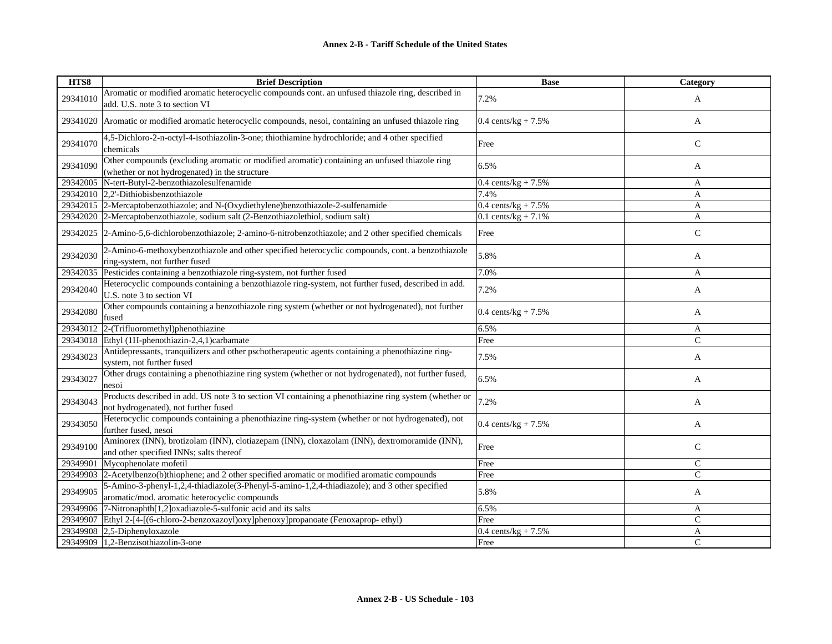| HTS8     | <b>Brief Description</b>                                                                                                                        | <b>Base</b>                    | Category      |
|----------|-------------------------------------------------------------------------------------------------------------------------------------------------|--------------------------------|---------------|
| 29341010 | Aromatic or modified aromatic heterocyclic compounds cont. an unfused thiazole ring, described in<br>add. U.S. note 3 to section VI             | 7.2%                           | A             |
| 29341020 | Aromatic or modified aromatic heterocyclic compounds, nesoi, containing an unfused thiazole ring                                                | 0.4 cents/ $kg + 7.5%$         | A             |
| 29341070 | 4,5-Dichloro-2-n-octyl-4-isothiazolin-3-one; thiothiamine hydrochloride; and 4 other specified<br>chemicals                                     | Free                           | $\mathsf{C}$  |
| 29341090 | Other compounds (excluding aromatic or modified aromatic) containing an unfused thiazole ring<br>(whether or not hydrogenated) in the structure | 6.5%                           | A             |
| 29342005 | N-tert-Butyl-2-benzothiazolesulfenamide                                                                                                         | $0.4 \text{ cents/kg} + 7.5\%$ | A             |
|          | 29342010 2,2'-Dithiobisbenzothiazole                                                                                                            | 7.4%                           | A             |
|          | 29342015 2-Mercaptobenzothiazole; and N-(Oxydiethylene)benzothiazole-2-sulfenamide                                                              | $0.4 \text{ cents/kg} + 7.5\%$ | A             |
| 29342020 | 2-Mercaptobenzothiazole, sodium salt (2-Benzothiazolethiol, sodium salt)                                                                        | $0.1$ cents/kg + 7.1%          | A             |
| 29342025 | 2-Amino-5,6-dichlorobenzothiazole; 2-amino-6-nitrobenzothiazole; and 2 other specified chemicals                                                | Free                           | $\mathsf{C}$  |
| 29342030 | 2-Amino-6-methoxybenzothiazole and other specified heterocyclic compounds, cont. a benzothiazole<br>ring-system, not further fused              | 5.8%                           | A             |
| 29342035 | Pesticides containing a benzothiazole ring-system, not further fused                                                                            | 7.0%                           | A             |
| 29342040 | Heterocyclic compounds containing a benzothiazole ring-system, not further fused, described in add.<br>U.S. note 3 to section VI                | 7.2%                           | A             |
| 29342080 | Other compounds containing a benzothiazole ring system (whether or not hydrogenated), not further<br>fused                                      | $0.4 \text{ cents/kg} + 7.5\%$ | A             |
| 29343012 | 2-(Trifluoromethyl)phenothiazine                                                                                                                | 6.5%                           | A             |
| 29343018 | Ethyl (1H-phenothiazin-2,4,1)carbamate                                                                                                          | Free                           | $\mathcal{C}$ |
| 29343023 | Antidepressants, tranquilizers and other pschotherapeutic agents containing a phenothiazine ring-<br>system, not further fused                  | 7.5%                           | A             |
| 29343027 | Other drugs containing a phenothiazine ring system (whether or not hydrogenated), not further fused,<br>nesoi                                   | 6.5%                           | A             |
| 29343043 | Products described in add. US note 3 to section VI containing a phenothiazine ring system (whether or<br>not hydrogenated), not further fused   | 7.2%                           | A             |
| 29343050 | Heterocyclic compounds containing a phenothiazine ring-system (whether or not hydrogenated), not<br>further fused, nesoi                        | $0.4 \text{ cents/kg} + 7.5\%$ | A             |
| 29349100 | Aminorex (INN), brotizolam (INN), clotiazepam (INN), cloxazolam (INN), dextromoramide (INN),<br>and other specified INNs; salts thereof         | Free                           | $\mathsf{C}$  |
| 29349901 | Mycophenolate mofetil                                                                                                                           | Free                           | $\mathcal{C}$ |
| 29349903 | 2-Acetylbenzo(b)thiophene; and 2 other specified aromatic or modified aromatic compounds                                                        | Free                           | $\mathcal{C}$ |
| 29349905 | 5-Amino-3-phenyl-1,2,4-thiadiazole(3-Phenyl-5-amino-1,2,4-thiadiazole); and 3 other specified<br>aromatic/mod. aromatic heterocyclic compounds  | 5.8%                           | A             |
| 29349906 | 7-Nitronaphth[1,2]oxadiazole-5-sulfonic acid and its salts                                                                                      | 6.5%                           | A             |
| 29349907 | Ethyl 2-[4-[(6-chloro-2-benzoxazoyl)oxy]phenoxy]propanoate (Fenoxaprop-ethyl)                                                                   | Free                           | $\mathcal{C}$ |
| 29349908 | $2,5$ -Diphenyloxazole                                                                                                                          | 0.4 cents/ $kg + 7.5%$         | A             |
| 29349909 | 1,2-Benzisothiazolin-3-one                                                                                                                      | Free                           | $\mathcal{C}$ |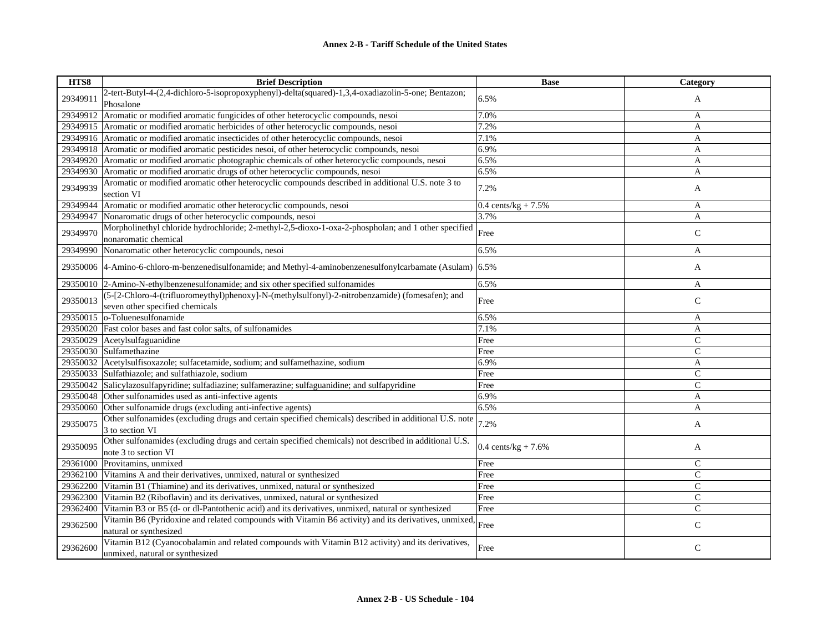| HTS8     | <b>Brief Description</b>                                                                                                             | <b>Base</b>                    | <b>Category</b> |
|----------|--------------------------------------------------------------------------------------------------------------------------------------|--------------------------------|-----------------|
| 29349911 | 2-tert-Butyl-4-(2,4-dichloro-5-isopropoxyphenyl)-delta(squared)-1,3,4-oxadiazolin-5-one; Bentazon;<br>Phosalone                      | 6.5%                           | A               |
| 29349912 | Aromatic or modified aromatic fungicides of other heterocyclic compounds, nesoi                                                      | 7.0%                           | A               |
| 29349915 | Aromatic or modified aromatic herbicides of other heterocyclic compounds, nesoi                                                      | 7.2%                           | A               |
| 29349916 | Aromatic or modified aromatic insecticides of other heterocyclic compounds, nesoi                                                    | 7.1%                           | A               |
| 29349918 | Aromatic or modified aromatic pesticides nesoi, of other heterocyclic compounds, nesoi                                               | 6.9%                           | A               |
| 29349920 | Aromatic or modified aromatic photographic chemicals of other heterocyclic compounds, nesoi                                          | 6.5%                           | A               |
| 29349930 | Aromatic or modified aromatic drugs of other heterocyclic compounds, nesoi                                                           | 6.5%                           | A               |
| 29349939 | Aromatic or modified aromatic other heterocyclic compounds described in additional U.S. note 3 to<br>section VI                      | 7.2%                           | A               |
| 29349944 | Aromatic or modified aromatic other heterocyclic compounds, nesoi                                                                    | $0.4 \text{ cents/kg} + 7.5\%$ | A               |
| 29349947 | Nonaromatic drugs of other heterocyclic compounds, nesoi                                                                             | 3.7%                           | A               |
| 29349970 | Morpholinethyl chloride hydrochloride; 2-methyl-2,5-dioxo-1-oxa-2-phospholan; and 1 other specified<br>nonaromatic chemical          | Free                           | $\mathsf{C}$    |
| 29349990 | Nonaromatic other heterocyclic compounds, nesoi                                                                                      | 6.5%                           | A               |
|          | 29350006 4-Amino-6-chloro-m-benzenedisulfonamide; and Methyl-4-aminobenzenesulfonylcarbamate (Asulam) 6.5%                           |                                | A               |
| 29350010 | 2-Amino-N-ethylbenzenesulfonamide; and six other specified sulfonamides                                                              | 6.5%                           | A               |
| 29350013 | (5-[2-Chloro-4-(trifluoromeythyl)phenoxy]-N-(methylsulfonyl)-2-nitrobenzamide) (fomesafen); and<br>seven other specified chemicals   | Free                           | $\mathsf{C}$    |
| 29350015 | o-Toluenesulfonamide                                                                                                                 | 6.5%                           | A               |
| 29350020 | Fast color bases and fast color salts, of sulfonamides                                                                               | 7.1%                           | A               |
| 29350029 | Acetylsulfaguanidine                                                                                                                 | Free                           | $\mathsf{C}$    |
|          | 29350030 Sulfamethazine                                                                                                              | Free                           | $\mathbf C$     |
| 29350032 | Acetylsulfisoxazole; sulfacetamide, sodium; and sulfamethazine, sodium                                                               | 6.9%                           | A               |
| 29350033 | Sulfathiazole; and sulfathiazole, sodium                                                                                             | Free                           | C               |
| 29350042 | Salicylazosulfapyridine; sulfadiazine; sulfamerazine; sulfaguanidine; and sulfapyridine                                              | Free                           | $\mathsf{C}$    |
| 29350048 | Other sulfonamides used as anti-infective agents                                                                                     | 6.9%                           | A               |
| 29350060 | Other sulfonamide drugs (excluding anti-infective agents)                                                                            | 6.5%                           | A               |
| 29350075 | Other sulfonamides (excluding drugs and certain specified chemicals) described in additional U.S. note<br>3 to section VI            | 7.2%                           | A               |
| 29350095 | Other sulfonamides (excluding drugs and certain specified chemicals) not described in additional U.S.<br>note 3 to section VI        | 0.4 cents/ $kg + 7.6%$         | A               |
| 29361000 | Provitamins, unmixed                                                                                                                 | Free                           | $\mathsf{C}$    |
| 29362100 | Vitamins A and their derivatives, unmixed, natural or synthesized                                                                    | Free                           | $\mathsf{C}$    |
| 29362200 | Vitamin B1 (Thiamine) and its derivatives, unmixed, natural or synthesized                                                           | Free                           | $\mathsf{C}$    |
| 29362300 | Vitamin B2 (Riboflavin) and its derivatives, unmixed, natural or synthesized                                                         | Free                           | $\mathsf{C}$    |
| 29362400 | Vitamin B3 or B5 (d- or dl-Pantothenic acid) and its derivatives, unmixed, natural or synthesized                                    | Free                           | $\mathsf{C}$    |
| 29362500 | Vitamin B6 (Pyridoxine and related compounds with Vitamin B6 activity) and its derivatives, unmixed,<br>natural or synthesized       | Free                           | $\mathsf{C}$    |
| 29362600 | Vitamin B12 (Cyanocobalamin and related compounds with Vitamin B12 activity) and its derivatives,<br>unmixed, natural or synthesized | Free                           | $\mathsf{C}$    |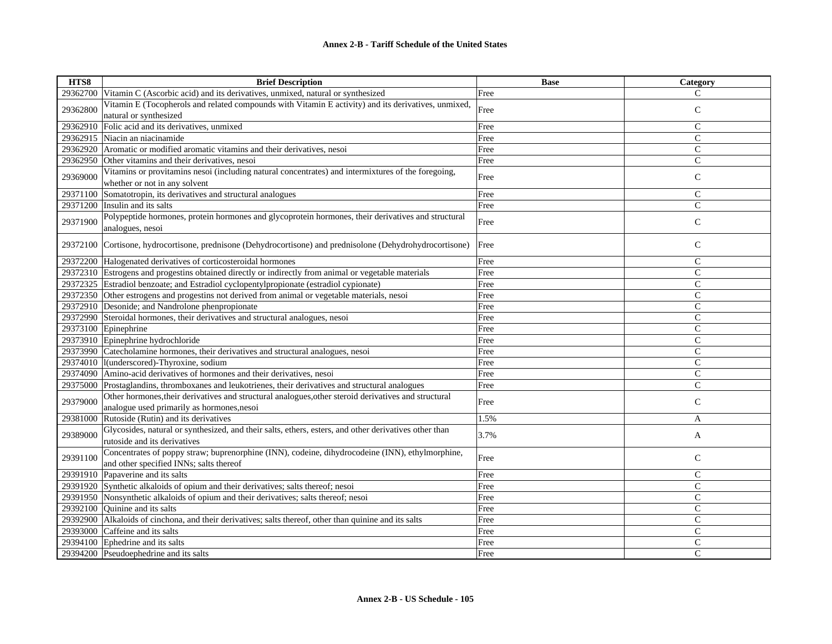| HTS8     | <b>Brief Description</b>                                                                               | <b>Base</b> | Category      |
|----------|--------------------------------------------------------------------------------------------------------|-------------|---------------|
| 29362700 | Vitamin C (Ascorbic acid) and its derivatives, unmixed, natural or synthesized                         | Free        | $\mathcal{C}$ |
| 29362800 | Vitamin E (Tocopherols and related compounds with Vitamin E activity) and its derivatives, unmixed,    | Free        | $\mathsf{C}$  |
|          | natural or synthesized                                                                                 |             |               |
| 29362910 | Folic acid and its derivatives, unmixed                                                                | Free        | $\mathcal{C}$ |
| 29362915 | Niacin an niacinamide                                                                                  | Free        | $\mathsf{C}$  |
| 29362920 | Aromatic or modified aromatic vitamins and their derivatives, nesoi                                    | Free        | $\mathcal{C}$ |
| 29362950 | Other vitamins and their derivatives, nesoi                                                            | Free        | $\mathsf{C}$  |
| 29369000 | Vitamins or provitamins nesoi (including natural concentrates) and intermixtures of the foregoing,     |             | $\mathsf{C}$  |
|          | whether or not in any solvent                                                                          | Free        |               |
| 29371100 | Somatotropin, its derivatives and structural analogues                                                 | Free        | $\mathsf{C}$  |
| 29371200 | Insulin and its salts                                                                                  | Free        | $\mathsf{C}$  |
| 29371900 | Polypeptide hormones, protein hormones and glycoprotein hormones, their derivatives and structural     | Free        | $\mathbf C$   |
|          | analogues, nesoi                                                                                       |             |               |
| 29372100 | Cortisone, hydrocortisone, prednisone (Dehydrocortisone) and prednisolone (Dehydrohydrocortisone)      | Free        | $\mathsf{C}$  |
|          |                                                                                                        |             |               |
|          | 29372200 Halogenated derivatives of corticosteroidal hormones                                          | Free        | $\mathcal{C}$ |
|          | 29372310 Estrogens and progestins obtained directly or indirectly from animal or vegetable materials   | Free        | $\mathcal{C}$ |
| 29372325 | Estradiol benzoate; and Estradiol cyclopentylpropionate (estradiol cypionate)                          | Free        | $\mathsf{C}$  |
|          | 29372350 Other estrogens and progestins not derived from animal or vegetable materials, nesoi          | Free        | $\mathcal{C}$ |
|          | 29372910 Desonide; and Nandrolone phenpropionate                                                       | Free        | $\mathsf{C}$  |
| 29372990 | Steroidal hormones, their derivatives and structural analogues, nesoi                                  | Free        | $\mathcal{C}$ |
| 29373100 | Epinephrine                                                                                            | Free        | $\mathsf{C}$  |
|          | 29373910 Epinephrine hydrochloride                                                                     | Free        | $\mathcal{C}$ |
|          | 29373990 Catecholamine hormones, their derivatives and structural analogues, nesoi                     | Free        | $\mathsf{C}$  |
| 29374010 | l(underscored)-Thyroxine, sodium                                                                       | Free        | $\mathsf{C}$  |
| 29374090 | Amino-acid derivatives of hormones and their derivatives, nesoi                                        | Free        | $\mathcal{C}$ |
| 29375000 | Prostaglandins, thromboxanes and leukotrienes, their derivatives and structural analogues              | Free        | $\mathsf{C}$  |
| 29379000 | Other hormones, their derivatives and structural analogues, other steroid derivatives and structural   | Free        | $\mathsf{C}$  |
|          | analogue used primarily as hormones, nesoi                                                             |             |               |
| 29381000 | Rutoside (Rutin) and its derivatives                                                                   | 1.5%        | A             |
| 29389000 | Glycosides, natural or synthesized, and their salts, ethers, esters, and other derivatives other than  | 3.7%        | A             |
|          | rutoside and its derivatives                                                                           |             |               |
| 29391100 | Concentrates of poppy straw; buprenorphine (INN), codeine, dihydrocodeine (INN), ethylmorphine,        | Free        | $\mathsf{C}$  |
|          | and other specified INNs; salts thereof                                                                |             |               |
|          | 29391910 Papaverine and its salts                                                                      | Free        | $\mathsf{C}$  |
|          | 29391920 Synthetic alkaloids of opium and their derivatives; salts thereof; nesoi                      | Free        | $\mathcal{C}$ |
|          | 29391950 Nonsynthetic alkaloids of opium and their derivatives; salts thereof; nesoi                   | Free        | $\mathsf{C}$  |
|          | 29392100 Quinine and its salts                                                                         | Free        | $\mathsf{C}$  |
|          | 29392900 Alkaloids of cinchona, and their derivatives; salts thereof, other than quinine and its salts | Free        | $\mathcal{C}$ |
| 29393000 | Caffeine and its salts                                                                                 | Free        | $\mathsf{C}$  |
|          | 29394100 Ephedrine and its salts                                                                       | Free        | $\mathsf{C}$  |
|          | 29394200 Pseudoephedrine and its salts                                                                 | Free        | $\mathcal{C}$ |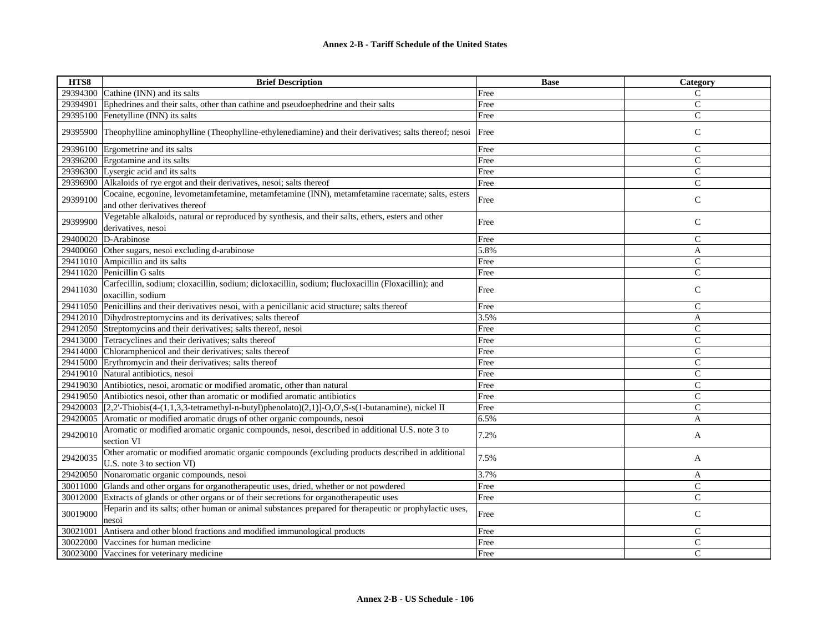| HTS8     | <b>Brief Description</b>                                                                                                          | <b>Base</b> | Category       |
|----------|-----------------------------------------------------------------------------------------------------------------------------------|-------------|----------------|
| 29394300 | Cathine (INN) and its salts                                                                                                       | Free        | C              |
| 29394901 | Ephedrines and their salts, other than cathine and pseudoephedrine and their salts                                                | Free        | $\mathcal{C}$  |
| 29395100 | Fenetylline (INN) its salts                                                                                                       | Free        | $\mathbf C$    |
| 29395900 | Theophylline aminophylline (Theophylline-ethylenediamine) and their derivatives; salts thereof; nesoi                             | Free        | $\mathsf{C}$   |
|          | 29396100 Ergometrine and its salts                                                                                                | Free        | $\mathsf{C}$   |
|          | 29396200 Ergotamine and its salts                                                                                                 | Free        | $\mathcal{C}$  |
|          | 29396300 Lysergic acid and its salts                                                                                              | Free        | $\overline{C}$ |
|          | 29396900 Alkaloids of rye ergot and their derivatives, nesoi; salts thereof                                                       | Free        | $\mathsf{C}$   |
| 29399100 | Cocaine, ecgonine, levometamfetamine, metamfetamine (INN), metamfetamine racemate; salts, esters<br>and other derivatives thereof | Free        | $\mathsf{C}$   |
| 29399900 | Vegetable alkaloids, natural or reproduced by synthesis, and their salts, ethers, esters and other<br>derivatives, nesoi          | Free        | $\mathsf{C}$   |
| 29400020 | D-Arabinose                                                                                                                       | Free        | $\mathsf{C}$   |
| 29400060 | Other sugars, nesoi excluding d-arabinose                                                                                         | 5.8%        | A              |
|          | 29411010 Ampicillin and its salts                                                                                                 | Free        | $\mathsf{C}$   |
| 29411020 | Penicillin G salts                                                                                                                | Free        | $\mathcal{C}$  |
| 29411030 | Carfecillin, sodium; cloxacillin, sodium; dicloxacillin, sodium; flucloxacillin (Floxacillin); and<br>oxacillin, sodium           | Free        | $\mathcal{C}$  |
|          | 29411050 Penicillins and their derivatives nesoi, with a penicillanic acid structure; salts thereof                               | Free        | $\mathcal{C}$  |
|          | 29412010 Dihydrostreptomycins and its derivatives; salts thereof                                                                  | 3.5%        | A              |
|          | 29412050 Streptomycins and their derivatives; salts thereof, nesoi                                                                | Free        | $\mathsf{C}$   |
|          | 29413000 Tetracyclines and their derivatives; salts thereof                                                                       | Free        | $\mathsf{C}$   |
|          | 29414000 Chloramphenicol and their derivatives; salts thereof                                                                     | Free        | $\mathsf{C}$   |
| 29415000 | Erythromycin and their derivatives; salts thereof                                                                                 | Free        | C              |
| 29419010 | Natural antibiotics, nesoi                                                                                                        | Free        | $\mathsf{C}$   |
|          | 29419030 Antibiotics, nesoi, aromatic or modified aromatic, other than natural                                                    | Free        | $\mathsf{C}$   |
|          | 29419050 Antibiotics nesoi, other than aromatic or modified aromatic antibiotics                                                  | Free        | $\mathbf C$    |
| 29420003 | $[2,2]$ -Thiobis(4-(1,1,3,3-tetramethyl-n-butyl)phenolato)(2,1)]-O,O',S-s(1-butanamine), nickel II                                | Free        | C              |
| 29420005 | Aromatic or modified aromatic drugs of other organic compounds, nesoi                                                             | 6.5%        | A              |
| 29420010 | Aromatic or modified aromatic organic compounds, nesoi, described in additional U.S. note 3 to<br>section VI                      | 7.2%        | A              |
| 29420035 | Other aromatic or modified aromatic organic compounds (excluding products described in additional<br>U.S. note 3 to section VI)   | 7.5%        | A              |
| 29420050 | Nonaromatic organic compounds, nesoi                                                                                              | 3.7%        | A              |
| 30011000 | Glands and other organs for organotherapeutic uses, dried, whether or not powdered                                                | Free        | $\mathcal{C}$  |
| 30012000 | Extracts of glands or other organs or of their secretions for organotherapeutic uses                                              | Free        | $\mathcal{C}$  |
| 30019000 | Heparin and its salts; other human or animal substances prepared for therapeutic or prophylactic uses,<br>nesoi                   | Free        | $\mathbf C$    |
| 30021001 | Antisera and other blood fractions and modified immunological products                                                            | Free        | $\mathcal{C}$  |
| 30022000 | Vaccines for human medicine                                                                                                       | Free        | $\mathbf C$    |
| 30023000 | Vaccines for veterinary medicine                                                                                                  | Free        | C              |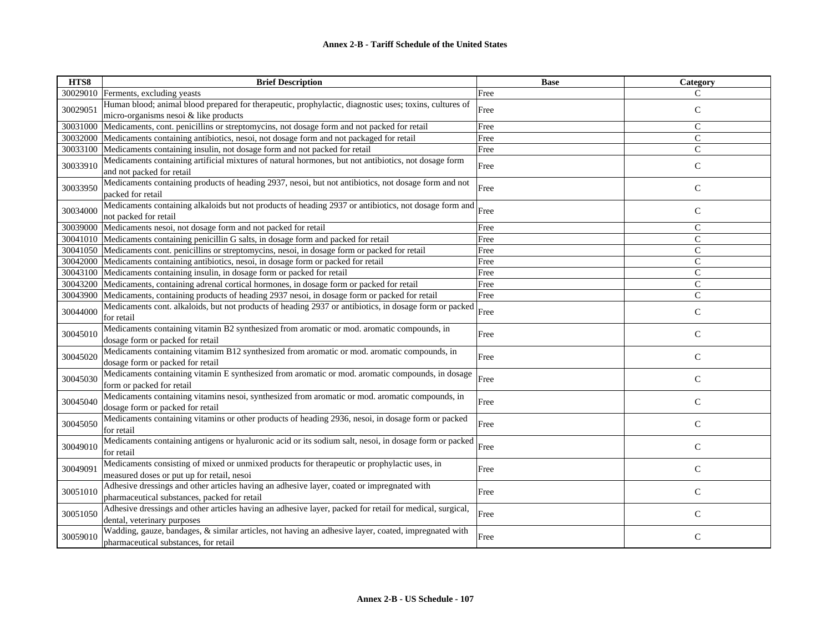| HTS8     | <b>Brief Description</b>                                                                                                                        | <b>Base</b> | Category      |
|----------|-------------------------------------------------------------------------------------------------------------------------------------------------|-------------|---------------|
| 30029010 | Ferments, excluding yeasts                                                                                                                      | Free        | C             |
| 30029051 | Human blood; animal blood prepared for therapeutic, prophylactic, diagnostic uses; toxins, cultures of<br>micro-organisms nesoi & like products | Free        | $\mathsf{C}$  |
| 30031000 | Medicaments, cont. penicillins or streptomycins, not dosage form and not packed for retail                                                      | Free        | $\mathsf{C}$  |
| 30032000 | Medicaments containing antibiotics, nesoi, not dosage form and not packaged for retail                                                          | Free        | $\mathcal{C}$ |
| 30033100 | Medicaments containing insulin, not dosage form and not packed for retail                                                                       | Free        | $\mathbf C$   |
| 30033910 | Medicaments containing artificial mixtures of natural hormones, but not antibiotics, not dosage form<br>and not packed for retail               | Free        | $\mathsf{C}$  |
| 30033950 | Medicaments containing products of heading 2937, nesoi, but not antibiotics, not dosage form and not<br>packed for retail                       | Free        | $\mathsf{C}$  |
| 30034000 | Medicaments containing alkaloids but not products of heading 2937 or antibiotics, not dosage form and<br>not packed for retail                  | Free        | $\mathsf{C}$  |
| 30039000 | Medicaments nesoi, not dosage form and not packed for retail                                                                                    | Free        | $\mathcal{C}$ |
| 30041010 | Medicaments containing penicillin G salts, in dosage form and packed for retail                                                                 | Free        | $\mathsf{C}$  |
| 30041050 | Medicaments cont. penicillins or streptomycins, nesoi, in dosage form or packed for retail                                                      | Free        | $\mathsf{C}$  |
| 30042000 | Medicaments containing antibiotics, nesoi, in dosage form or packed for retail                                                                  | Free        | $\mathcal{C}$ |
| 30043100 | Medicaments containing insulin, in dosage form or packed for retail                                                                             | Free        | $\mathsf{C}$  |
| 30043200 | Medicaments, containing adrenal cortical hormones, in dosage form or packed for retail                                                          | Free        | $\mathsf{C}$  |
| 30043900 | Medicaments, containing products of heading 2937 nesoi, in dosage form or packed for retail                                                     | Free        | $\mathbf C$   |
| 30044000 | Medicaments cont. alkaloids, but not products of heading 2937 or antibiotics, in dosage form or packed<br>for retail                            | Free        | $\mathcal{C}$ |
| 30045010 | Medicaments containing vitamin B2 synthesized from aromatic or mod. aromatic compounds, in<br>dosage form or packed for retail                  | Free        | $\mathsf{C}$  |
| 30045020 | Medicaments containing vitamim B12 synthesized from aromatic or mod. aromatic compounds, in<br>dosage form or packed for retail                 | Free        | $\mathcal{C}$ |
| 30045030 | Medicaments containing vitamin E synthesized from aromatic or mod. aromatic compounds, in dosage<br>form or packed for retail                   | Free        | $\mathsf{C}$  |
| 30045040 | Medicaments containing vitamins nesoi, synthesized from aromatic or mod. aromatic compounds, in<br>dosage form or packed for retail             | Free        | $\mathsf{C}$  |
| 30045050 | Medicaments containing vitamins or other products of heading 2936, nesoi, in dosage form or packed<br>for retail                                | Free        | $\mathsf{C}$  |
| 30049010 | Medicaments containing antigens or hyaluronic acid or its sodium salt, nesoi, in dosage form or packed<br>for retail                            | Free        | $\mathsf{C}$  |
| 30049091 | Medicaments consisting of mixed or unmixed products for therapeutic or prophylactic uses, in<br>measured doses or put up for retail, nesoi      | Free        | $\mathsf{C}$  |
| 30051010 | Adhesive dressings and other articles having an adhesive layer, coated or impregnated with<br>pharmaceutical substances, packed for retail      | Free        | $\mathsf{C}$  |
| 30051050 | Adhesive dressings and other articles having an adhesive layer, packed for retail for medical, surgical,<br>dental, veterinary purposes         | Free        | $\mathsf{C}$  |
| 30059010 | Wadding, gauze, bandages, & similar articles, not having an adhesive layer, coated, impregnated with<br>pharmaceutical substances, for retail   | Free        | $\mathcal{C}$ |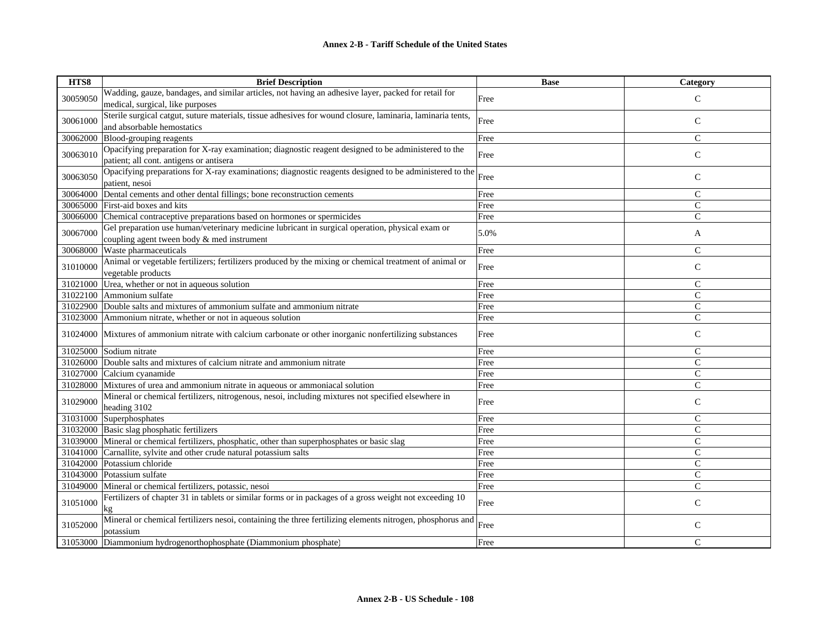| HTS8     | <b>Brief Description</b>                                                                                               | <b>Base</b> | Category       |
|----------|------------------------------------------------------------------------------------------------------------------------|-------------|----------------|
| 30059050 | Wadding, gauze, bandages, and similar articles, not having an adhesive layer, packed for retail for                    | Free        | $\mathsf{C}$   |
|          | medical, surgical, like purposes                                                                                       |             |                |
| 30061000 | Sterile surgical catgut, suture materials, tissue adhesives for wound closure, laminaria, laminaria tents,             | Free        |                |
|          | and absorbable hemostatics                                                                                             |             | $\mathsf{C}$   |
| 30062000 | Blood-grouping reagents                                                                                                | Free        | $\mathcal{C}$  |
| 30063010 | Opacifying preparation for X-ray examination; diagnostic reagent designed to be administered to the                    | Free        | $\mathsf{C}$   |
|          | patient; all cont. antigens or antisera                                                                                |             |                |
| 30063050 | Opacifying preparations for X-ray examinations; diagnostic reagents designed to be administered to the                 | Free        | $\mathsf{C}$   |
|          | patient, nesoi                                                                                                         |             |                |
| 30064000 | Dental cements and other dental fillings; bone reconstruction cements                                                  | Free        | $\mathsf{C}$   |
| 30065000 | First-aid boxes and kits                                                                                               | Free        | $\mathsf{C}$   |
| 30066000 | Chemical contraceptive preparations based on hormones or spermicides                                                   | Free        | $\overline{C}$ |
|          | Gel preparation use human/veterinary medicine lubricant in surgical operation, physical exam or                        |             |                |
| 30067000 | coupling agent tween body & med instrument                                                                             | 5.0%        | A              |
| 30068000 | Waste pharmaceuticals                                                                                                  | Free        | $\mathcal{C}$  |
|          | Animal or vegetable fertilizers; fertilizers produced by the mixing or chemical treatment of animal or                 |             |                |
| 31010000 | vegetable products                                                                                                     | Free        | $\mathsf{C}$   |
| 31021000 | Urea, whether or not in aqueous solution                                                                               | Free        | $\mathsf{C}$   |
|          | 31022100 Ammonium sulfate                                                                                              | Free        | $\overline{C}$ |
| 31022900 | Double salts and mixtures of ammonium sulfate and ammonium nitrate                                                     | Free        | $\mathsf{C}$   |
| 31023000 | Ammonium nitrate, whether or not in aqueous solution                                                                   | Free        | $\mathsf{C}$   |
| 31024000 | Mixtures of ammonium nitrate with calcium carbonate or other inorganic nonfertilizing substances                       | Free        | $\mathsf{C}$   |
| 31025000 | Sodium nitrate                                                                                                         | Free        | $\mathcal{C}$  |
| 31026000 | Double salts and mixtures of calcium nitrate and ammonium nitrate                                                      | Free        | $\mathsf{C}$   |
| 31027000 | Calcium cyanamide                                                                                                      | Free        | $\mathsf{C}$   |
|          | 31028000 Mixtures of urea and ammonium nitrate in aqueous or ammoniacal solution                                       | Free        | $\mathcal{C}$  |
|          | Mineral or chemical fertilizers, nitrogenous, nesoi, including mixtures not specified elsewhere in                     |             |                |
| 31029000 | heading 3102                                                                                                           | Free        | $\mathsf{C}$   |
| 31031000 | Superphosphates                                                                                                        | Free        | $\mathsf{C}$   |
|          | 31032000 Basic slag phosphatic fertilizers                                                                             | Free        | $\mathsf{C}$   |
|          | 31039000 Mineral or chemical fertilizers, phosphatic, other than superphosphates or basic slag                         | Free        | $\overline{C}$ |
| 31041000 | Carnallite, sylvite and other crude natural potassium salts                                                            | Free        | $\mathsf{C}$   |
| 31042000 | Potassium chloride                                                                                                     | Free        | $\mathsf{C}$   |
| 31043000 | Potassium sulfate                                                                                                      | Free        | $\mathsf{C}$   |
| 31049000 | Mineral or chemical fertilizers, potassic, nesoi                                                                       | Free        | $\overline{C}$ |
| 31051000 | Fertilizers of chapter 31 in tablets or similar forms or in packages of a gross weight not exceeding 10<br>kg          | Free        | $\mathsf{C}$   |
| 31052000 | Mineral or chemical fertilizers nesoi, containing the three fertilizing elements nitrogen, phosphorus and<br>potassium | Free        | $\mathsf{C}$   |
|          | 31053000 Diammonium hydrogenorthophosphate (Diammonium phosphate)                                                      | Free        | C              |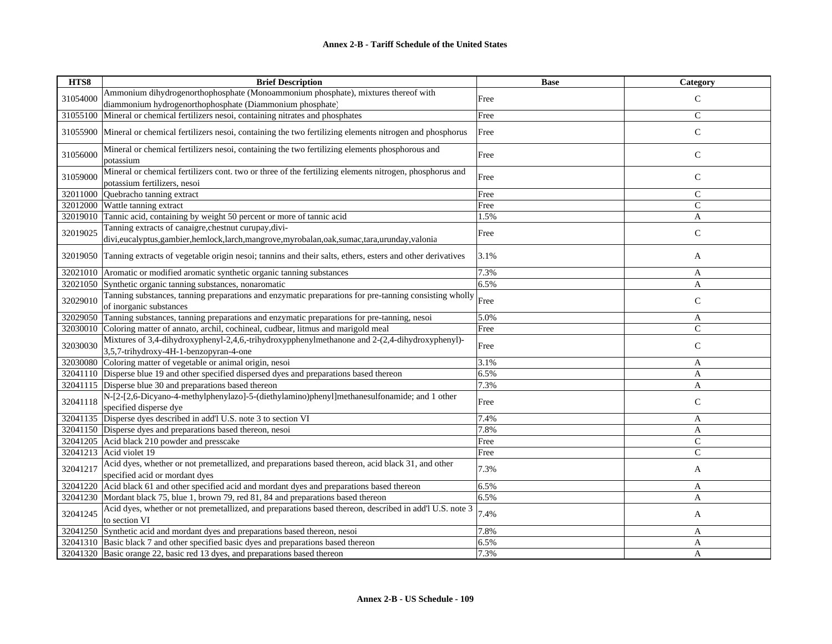| HTS8     | <b>Brief Description</b>                                                                                  | <b>Base</b> | Category      |
|----------|-----------------------------------------------------------------------------------------------------------|-------------|---------------|
| 31054000 | Ammonium dihydrogenorthophosphate (Monoammonium phosphate), mixtures thereof with                         |             | $\mathsf{C}$  |
|          | diammonium hydrogenorthophosphate (Diammonium phosphate)                                                  | Free        |               |
| 31055100 | Mineral or chemical fertilizers nesoi, containing nitrates and phosphates                                 | Free        | $\mathsf{C}$  |
| 31055900 | Mineral or chemical fertilizers nesoi, containing the two fertilizing elements nitrogen and phosphorus    | Free        | $\mathbf C$   |
|          |                                                                                                           |             |               |
| 31056000 | Mineral or chemical fertilizers nesoi, containing the two fertilizing elements phosphorous and            | Free        | $\mathsf{C}$  |
|          | potassium                                                                                                 |             |               |
| 31059000 | Mineral or chemical fertilizers cont. two or three of the fertilizing elements nitrogen, phosphorus and   | Free        | $\mathsf C$   |
|          | potassium fertilizers, nesoi                                                                              |             |               |
| 32011000 | Quebracho tanning extract                                                                                 | Free        | $\mathsf{C}$  |
| 32012000 | Wattle tanning extract                                                                                    | Free        | $\mathcal{C}$ |
| 32019010 | Tannic acid, containing by weight 50 percent or more of tannic acid                                       | 1.5%        | $\mathbf{A}$  |
| 32019025 | Tanning extracts of canaigre, chestnut curupay, divi-                                                     | Free        | $\mathsf{C}$  |
|          | divi,eucalyptus,gambier,hemlock,larch,mangrove,myrobalan,oak,sumac,tara,urunday,valonia                   |             |               |
| 32019050 | Tanning extracts of vegetable origin nesoi; tannins and their salts, ethers, esters and other derivatives | 3.1%        | A             |
| 32021010 | Aromatic or modified aromatic synthetic organic tanning substances                                        | 7.3%        | A             |
| 32021050 | Synthetic organic tanning substances, nonaromatic                                                         | 6.5%        | A             |
| 32029010 | Tanning substances, tanning preparations and enzymatic preparations for pre-tanning consisting wholly     |             | $\mathsf{C}$  |
|          | of inorganic substances                                                                                   | Free        |               |
| 32029050 | Tanning substances, tanning preparations and enzymatic preparations for pre-tanning, nesoi                | 5.0%        | A             |
| 32030010 | Coloring matter of annato, archil, cochineal, cudbear, litmus and marigold meal                           | Free        | $\mathsf{C}$  |
| 32030030 | Mixtures of 3,4-dihydroxyphenyl-2,4,6,-trihydroxypphenylmethanone and 2-(2,4-dihydroxyphenyl)-            | Free        | $\mathbf C$   |
|          | 3,5,7-trihydroxy-4H-1-benzopyran-4-one                                                                    |             |               |
| 32030080 | Coloring matter of vegetable or animal origin, nesoi                                                      | 3.1%        | A             |
| 32041110 | Disperse blue 19 and other specified dispersed dyes and preparations based thereon                        | 6.5%        | A             |
|          | 32041115 Disperse blue 30 and preparations based thereon                                                  | 7.3%        | A             |
| 32041118 | N-[2-[2,6-Dicyano-4-methylphenylazo]-5-(diethylamino)phenyl]methanesulfonamide; and 1 other               |             |               |
|          | specified disperse dye                                                                                    | Free        | $\mathsf{C}$  |
| 32041135 | Disperse dyes described in add'l U.S. note 3 to section VI                                                | 7.4%        | A             |
|          | 32041150 Disperse dyes and preparations based thereon, nesoi                                              | 7.8%        | A             |
| 32041205 | Acid black 210 powder and presscake                                                                       | Free        | $\mathsf{C}$  |
| 32041213 | Acid violet 19                                                                                            | Free        | $\mathsf{C}$  |
|          | Acid dyes, whether or not premetallized, and preparations based thereon, acid black 31, and other         |             |               |
| 32041217 | specified acid or mordant dyes                                                                            | 7.3%        | A             |
| 32041220 | Acid black 61 and other specified acid and mordant dyes and preparations based thereon                    | 6.5%        | A             |
|          | 32041230 Mordant black 75, blue 1, brown 79, red 81, 84 and preparations based thereon                    | 6.5%        | A             |
|          | Acid dyes, whether or not premetallized, and preparations based thereon, described in add'l U.S. note 3   |             |               |
| 32041245 | to section VI                                                                                             | 7.4%        | A             |
|          | 32041250 Synthetic acid and mordant dyes and preparations based thereon, nesoi                            | 7.8%        | A             |
|          | 32041310 Basic black 7 and other specified basic dyes and preparations based thereon                      | 6.5%        | A             |
|          | 32041320 Basic orange 22, basic red 13 dyes, and preparations based thereon                               | 7.3%        | A             |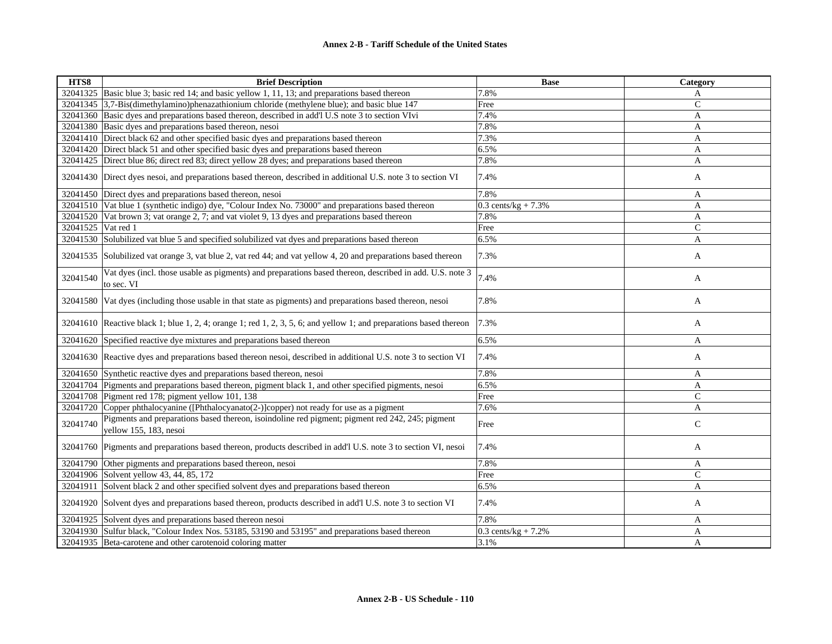| HTS8     | <b>Brief Description</b>                                                                                                  | <b>Base</b>           | Category     |
|----------|---------------------------------------------------------------------------------------------------------------------------|-----------------------|--------------|
|          | 32041325 Basic blue 3; basic red 14; and basic yellow 1, 11, 13; and preparations based thereon                           | 7.8%                  | A            |
|          | 32041345 3,7-Bis(dimethylamino)phenazathionium chloride (methylene blue); and basic blue 147                              | Free                  | $\mathsf{C}$ |
|          | 32041360 Basic dyes and preparations based thereon, described in add'l U.S note 3 to section VIvi                         | 7.4%                  | A            |
|          | 32041380 Basic dyes and preparations based thereon, nesoi                                                                 | 7.8%                  | A            |
|          | 32041410 Direct black 62 and other specified basic dyes and preparations based thereon                                    | 7.3%                  | A            |
|          | 32041420 Direct black 51 and other specified basic dyes and preparations based thereon                                    | 6.5%                  | A            |
| 32041425 | Direct blue 86; direct red 83; direct yellow 28 dyes; and preparations based thereon                                      | 7.8%                  | A            |
|          | 32041430 Direct dyes nesoi, and preparations based thereon, described in additional U.S. note 3 to section VI             | 7.4%                  | A            |
|          | 32041450 Direct dyes and preparations based thereon, nesoi                                                                | 7.8%                  | A            |
|          | 32041510 Vat blue 1 (synthetic indigo) dye, "Colour Index No. 73000" and preparations based thereon                       | $0.3$ cents/kg + 7.3% | $\mathbf{A}$ |
| 32041520 | Vat brown 3; vat orange 2, 7; and vat violet 9, 13 dyes and preparations based thereon                                    | 7.8%                  | A            |
| 32041525 | Vat red 1                                                                                                                 | Free                  | $\mathsf{C}$ |
| 32041530 | Solubilized vat blue 5 and specified solubilized vat dyes and preparations based thereon                                  | 6.5%                  | $\mathbf{A}$ |
|          | 32041535 Solubilized vat orange 3, vat blue 2, vat red 44; and vat yellow 4, 20 and preparations based thereon            | 7.3%                  | A            |
| 32041540 | Vat dyes (incl. those usable as pigments) and preparations based thereon, described in add. U.S. note 3<br>to sec. VI     | 7.4%                  | A            |
|          | 32041580 Vat dyes (including those usable in that state as pigments) and preparations based thereon, nesoi                | 7.8%                  | A            |
|          | 32041610 Reactive black 1; blue 1, 2, 4; orange 1; red 1, 2, 3, 5, 6; and yellow 1; and preparations based thereon        | 7.3%                  | A            |
| 32041620 | Specified reactive dye mixtures and preparations based thereon                                                            | 6.5%                  | A            |
|          | 32041630 Reactive dyes and preparations based thereon nesoi, described in additional U.S. note 3 to section VI            | 7.4%                  | A            |
|          | 32041650 Synthetic reactive dyes and preparations based thereon, nesoi                                                    | 7.8%                  | A            |
|          | 32041704 Pigments and preparations based thereon, pigment black 1, and other specified pigments, nesoi                    | 6.5%                  | A            |
|          | 32041708 Pigment red 178; pigment yellow 101, 138                                                                         | Free                  | $\mathsf{C}$ |
|          | 32041720 Copper phthalocyanine ([Phthalocyanato(2-)]copper) not ready for use as a pigment                                | 7.6%                  | A            |
| 32041740 | Pigments and preparations based thereon, isoindoline red pigment; pigment red 242, 245; pigment<br>yellow 155, 183, nesoi | Free                  | $\mathsf{C}$ |
|          | 32041760 Pigments and preparations based thereon, products described in add'l U.S. note 3 to section VI, nesoi            | 7.4%                  | A            |
| 32041790 | Other pigments and preparations based thereon, nesoi                                                                      | 7.8%                  | A            |
|          | 32041906 Solvent yellow 43, 44, 85, 172                                                                                   | Free                  | $\mathsf{C}$ |
| 32041911 | Solvent black 2 and other specified solvent dyes and preparations based thereon                                           | 6.5%                  | A            |
|          | 32041920 Solvent dyes and preparations based thereon, products described in add'l U.S. note 3 to section VI               | 7.4%                  | A            |
|          | 32041925 Solvent dyes and preparations based thereon nesoi                                                                | 7.8%                  | A            |
|          | 32041930 Sulfur black, "Colour Index Nos. 53185, 53190 and 53195" and preparations based thereon                          | $0.3$ cents/kg + 7.2% | A            |
|          | 32041935 Beta-carotene and other carotenoid coloring matter                                                               | 3.1%                  | $\mathbf{A}$ |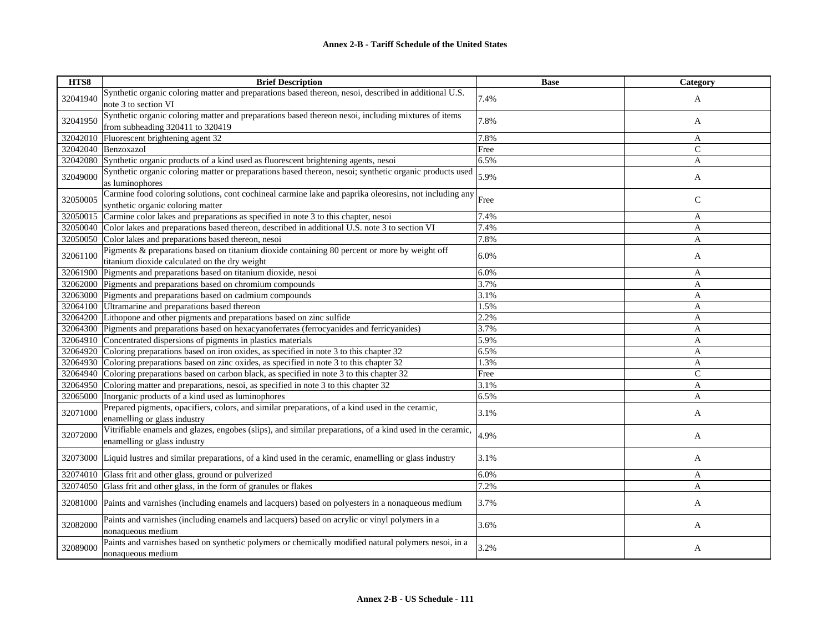| HTS8     | <b>Brief Description</b>                                                                                  | <b>Base</b> | Category     |
|----------|-----------------------------------------------------------------------------------------------------------|-------------|--------------|
| 32041940 | Synthetic organic coloring matter and preparations based thereon, nesoi, described in additional U.S.     | 7.4%        | A            |
|          | note 3 to section VI                                                                                      |             |              |
|          | Synthetic organic coloring matter and preparations based thereon nesoi, including mixtures of items       |             |              |
| 32041950 | from subheading 320411 to 320419                                                                          | 7.8%        | A            |
| 32042010 | Fluorescent brightening agent 32                                                                          | 7.8%        | A            |
| 32042040 | Benzoxazol                                                                                                | Free        | $\mathsf{C}$ |
| 32042080 | Synthetic organic products of a kind used as fluorescent brightening agents, nesoi                        | 6.5%        | A            |
| 32049000 | Synthetic organic coloring matter or preparations based thereon, nesoi; synthetic organic products used   | 5.9%        |              |
|          | as luminophores                                                                                           |             | A            |
|          | Carmine food coloring solutions, cont cochineal carmine lake and paprika oleoresins, not including any    |             |              |
| 32050005 | synthetic organic coloring matter                                                                         | Free        | $\mathsf{C}$ |
| 32050015 | Carmine color lakes and preparations as specified in note 3 to this chapter, nesoi                        | 7.4%        | A            |
| 32050040 | Color lakes and preparations based thereon, described in additional U.S. note 3 to section VI             | 7.4%        | A            |
| 32050050 | Color lakes and preparations based thereon, nesoi                                                         | 7.8%        | A            |
|          | Pigments & preparations based on titanium dioxide containing 80 percent or more by weight off             |             |              |
| 32061100 | titanium dioxide calculated on the dry weight                                                             | 6.0%        | A            |
| 32061900 | Pigments and preparations based on titanium dioxide, nesoi                                                | 6.0%        | A            |
| 32062000 | Pigments and preparations based on chromium compounds                                                     | 3.7%        | A            |
| 32063000 | Pigments and preparations based on cadmium compounds                                                      | 3.1%        | A            |
| 32064100 | Ultramarine and preparations based thereon                                                                | 1.5%        | A            |
| 32064200 | Lithopone and other pigments and preparations based on zinc sulfide                                       | 2.2%        | A            |
| 32064300 | Pigments and preparations based on hexacyanoferrates (ferrocyanides and ferricyanides)                    | 3.7%        | A            |
| 32064910 | Concentrated dispersions of pigments in plastics materials                                                | 5.9%        | A            |
| 32064920 | Coloring preparations based on iron oxides, as specified in note 3 to this chapter 32                     | 6.5%        | A            |
| 32064930 | Coloring preparations based on zinc oxides, as specified in note 3 to this chapter 32                     | 1.3%        | A            |
| 32064940 | Coloring preparations based on carbon black, as specified in note 3 to this chapter 32                    | Free        | $\mathsf{C}$ |
| 32064950 | Coloring matter and preparations, nesoi, as specified in note 3 to this chapter 32                        | 3.1%        | A            |
| 32065000 | Inorganic products of a kind used as luminophores                                                         | 6.5%        | A            |
| 32071000 | Prepared pigments, opacifiers, colors, and similar preparations, of a kind used in the ceramic,           | 3.1%        |              |
|          | enamelling or glass industry                                                                              |             | A            |
|          | Vitrifiable enamels and glazes, engobes (slips), and similar preparations, of a kind used in the ceramic, | 4.9%        |              |
| 32072000 | enamelling or glass industry                                                                              |             | A            |
|          |                                                                                                           |             |              |
| 32073000 | Liquid lustres and similar preparations, of a kind used in the ceramic, enamelling or glass industry      | 3.1%        | A            |
| 32074010 | Glass frit and other glass, ground or pulverized                                                          | 6.0%        | A            |
| 32074050 | Glass frit and other glass, in the form of granules or flakes                                             | 7.2%        | A            |
|          |                                                                                                           |             |              |
| 32081000 | Paints and varnishes (including enamels and lacquers) based on polyesters in a nonaqueous medium          | 3.7%        | A            |
| 32082000 | Paints and varnishes (including enamels and lacquers) based on acrylic or vinyl polymers in a             |             |              |
|          | nonaqueous medium                                                                                         | 3.6%        | A            |
|          | Paints and varnishes based on synthetic polymers or chemically modified natural polymers nesoi, in a      |             |              |
| 32089000 | nonaqueous medium                                                                                         | 3.2%        | A            |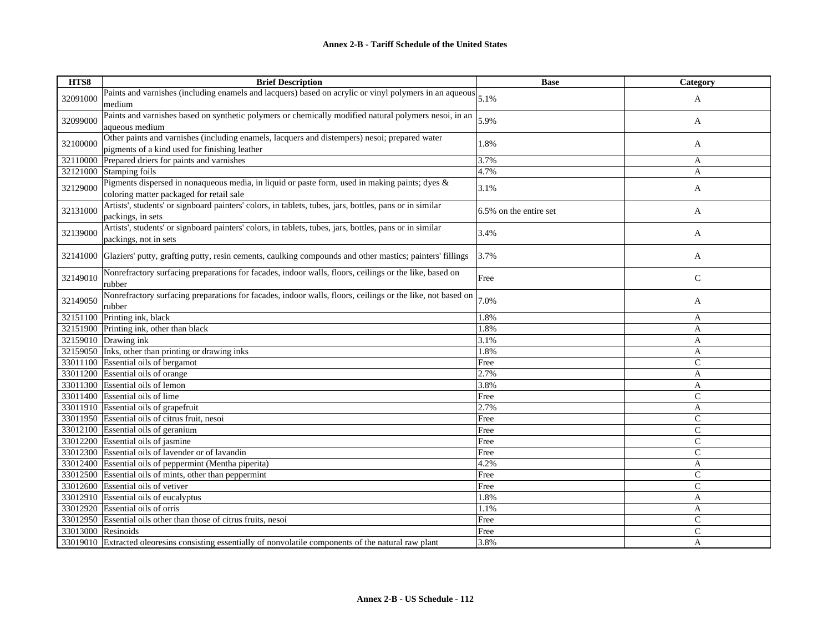| HTS8               | <b>Brief Description</b>                                                                                           | <b>Base</b>            | Category     |
|--------------------|--------------------------------------------------------------------------------------------------------------------|------------------------|--------------|
| 32091000           | Paints and varnishes (including enamels and lacquers) based on acrylic or vinyl polymers in an aqueous $ _{5.1\%}$ |                        |              |
|                    | medium                                                                                                             |                        | A            |
| 32099000           | Paints and varnishes based on synthetic polymers or chemically modified natural polymers nesoi, in an              | 5.9%                   |              |
|                    | aqueous medium                                                                                                     |                        | A            |
| 32100000           | Other paints and varnishes (including enamels, lacquers and distempers) nesoi; prepared water                      | 1.8%                   |              |
|                    | pigments of a kind used for finishing leather                                                                      |                        | A            |
| 32110000           | Prepared driers for paints and varnishes                                                                           | 3.7%                   | A            |
| 32121000           | Stamping foils                                                                                                     | 4.7%                   | A            |
| 32129000           | Pigments dispersed in nonaqueous media, in liquid or paste form, used in making paints; dyes &                     | 3.1%                   | A            |
|                    | coloring matter packaged for retail sale                                                                           |                        |              |
| 32131000           | Artists', students' or signboard painters' colors, in tablets, tubes, jars, bottles, pans or in similar            | 6.5% on the entire set | A            |
|                    | packings, in sets                                                                                                  |                        |              |
| 32139000           | Artists', students' or signboard painters' colors, in tablets, tubes, jars, bottles, pans or in similar            |                        |              |
|                    | packings, not in sets                                                                                              | 3.4%                   | A            |
|                    |                                                                                                                    | 3.7%                   |              |
| 32141000           | Glaziers' putty, grafting putty, resin cements, caulking compounds and other mastics; painters' fillings           |                        | A            |
|                    | Nonrefractory surfacing preparations for facades, indoor walls, floors, ceilings or the like, based on             |                        |              |
| 32149010           | rubber                                                                                                             | Free                   | $\mathbf C$  |
|                    | Nonrefractory surfacing preparations for facades, indoor walls, floors, ceilings or the like, not based on         |                        |              |
| 32149050           | rubber                                                                                                             | 7.0%                   | A            |
| 32151100           | Printing ink, black                                                                                                | 1.8%                   | A            |
| 32151900           | Printing ink, other than black                                                                                     | 1.8%                   | A            |
|                    | 32159010 $Drawingink$                                                                                              | 3.1%                   | A            |
|                    | 32159050 Inks, other than printing or drawing inks                                                                 | 1.8%                   | $\mathbf{A}$ |
|                    | 33011100 Essential oils of bergamot                                                                                | Free                   | $\mathsf{C}$ |
| 33011200           | Essential oils of orange                                                                                           | 2.7%                   | A            |
|                    | 33011300 Essential oils of lemon                                                                                   | 3.8%                   | A            |
|                    | 33011400 Essential oils of lime                                                                                    | Free                   | $\mathsf{C}$ |
|                    | 33011910 Essential oils of grapefruit                                                                              | 2.7%                   | A            |
|                    | 33011950 Essential oils of citrus fruit, nesoi                                                                     | Free                   | $\mathsf{C}$ |
|                    | 33012100 Essential oils of geranium                                                                                | Free                   | $\mathsf{C}$ |
|                    | 33012200 Essential oils of jasmine                                                                                 | Free                   | $\mathsf{C}$ |
|                    | 33012300 Essential oils of lavender or of lavandin                                                                 | Free                   | $\mathsf{C}$ |
|                    | 33012400 Essential oils of peppermint (Mentha piperita)                                                            | 4.2%                   | A            |
|                    | 33012500 Essential oils of mints, other than peppermint                                                            | Free                   | $\mathsf{C}$ |
|                    | 33012600 Essential oils of vetiver                                                                                 | Free                   | $\mathsf{C}$ |
|                    | 33012910 Essential oils of eucalyptus                                                                              | 1.8%                   | A            |
| 33012920           | Essential oils of orris                                                                                            | 1.1%                   | A            |
|                    | 33012950 Essential oils other than those of citrus fruits, nesoi                                                   | Free                   | $\mathsf{C}$ |
| 33013000 Resinoids |                                                                                                                    | Free                   | $\mathsf{C}$ |
|                    | 33019010 Extracted oleoresins consisting essentially of nonvolatile components of the natural raw plant            | 3.8%                   | A            |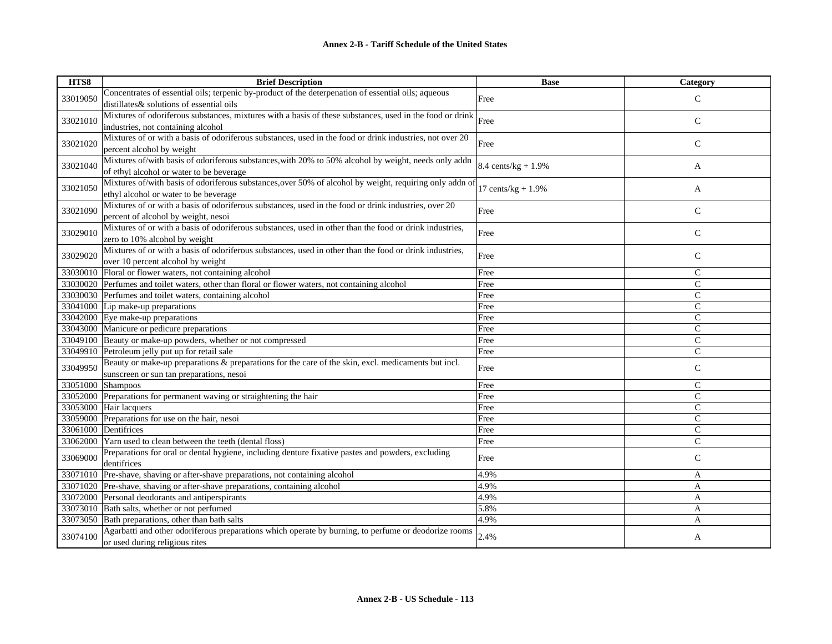| HTS8     | <b>Brief Description</b>                                                                                 | <b>Base</b>            | Category      |
|----------|----------------------------------------------------------------------------------------------------------|------------------------|---------------|
| 33019050 | Concentrates of essential oils; terpenic by-product of the deterpenation of essential oils; aqueous      | Free                   | $\mathsf{C}$  |
|          | distillates & solutions of essential oils                                                                |                        |               |
| 33021010 | Mixtures of odoriferous substances, mixtures with a basis of these substances, used in the food or drink | Free                   | $\mathsf{C}$  |
|          | industries, not containing alcohol                                                                       |                        |               |
| 33021020 | Mixtures of or with a basis of odoriferous substances, used in the food or drink industries, not over 20 | Free                   | $\mathsf{C}$  |
|          | percent alcohol by weight                                                                                |                        |               |
| 33021040 | Mixtures of/with basis of odoriferous substances, with 20% to 50% alcohol by weight, needs only addn     | 8.4 cents/ $kg + 1.9%$ | A             |
|          | of ethyl alcohol or water to be beverage                                                                 |                        |               |
| 33021050 | Mixtures of/with basis of odoriferous substances, over 50% of alcohol by weight, requiring only addn of  | 17 cents/ $kg + 1.9%$  | A             |
|          | ethyl alcohol or water to be beverage                                                                    |                        |               |
| 33021090 | Mixtures of or with a basis of odoriferous substances, used in the food or drink industries, over 20     | Free                   | $\mathsf{C}$  |
|          | percent of alcohol by weight, nesoi                                                                      |                        |               |
| 33029010 | Mixtures of or with a basis of odoriferous substances, used in other than the food or drink industries,  |                        |               |
|          | zero to 10% alcohol by weight                                                                            | Free                   | $\mathbf C$   |
|          | Mixtures of or with a basis of odoriferous substances, used in other than the food or drink industries,  |                        |               |
| 33029020 | over 10 percent alcohol by weight                                                                        | Free                   | $\mathsf{C}$  |
| 33030010 | Floral or flower waters, not containing alcohol                                                          | Free                   | $\mathsf{C}$  |
| 33030020 | Perfumes and toilet waters, other than floral or flower waters, not containing alcohol                   | Free                   | $\mathsf{C}$  |
|          | 33030030 Perfumes and toilet waters, containing alcohol                                                  | Free                   | $\mathsf{C}$  |
| 33041000 | Lip make-up preparations                                                                                 | Free                   | $\mathcal{C}$ |
|          | 33042000 Eye make-up preparations                                                                        | Free                   | $\mathsf{C}$  |
| 33043000 | Manicure or pedicure preparations                                                                        | Free                   | $\mathsf{C}$  |
| 33049100 | Beauty or make-up powders, whether or not compressed                                                     | Free                   | $\mathsf{C}$  |
| 33049910 | Petroleum jelly put up for retail sale                                                                   | Free                   | $\mathcal{C}$ |
| 33049950 | Beauty or make-up preparations & preparations for the care of the skin, excl. medicaments but incl.      | Free                   | $\mathsf{C}$  |
|          | sunscreen or sun tan preparations, nesoi                                                                 |                        |               |
| 33051000 | <b>Shampoos</b>                                                                                          | Free                   | $\mathcal{C}$ |
| 33052000 | Preparations for permanent waving or straightening the hair                                              | Free                   | $\mathsf{C}$  |
| 33053000 | Hair lacquers                                                                                            | Free                   | $\mathsf{C}$  |
| 33059000 | Preparations for use on the hair, nesoi                                                                  | Free                   | $\mathcal{C}$ |
|          | 33061000 Dentifrices                                                                                     | Free                   | $\mathcal{C}$ |
|          | 33062000 Yarn used to clean between the teeth (dental floss)                                             | Free                   | $\mathsf{C}$  |
| 33069000 | Preparations for oral or dental hygiene, including denture fixative pastes and powders, excluding        | Free                   | $\mathsf{C}$  |
|          | dentifrices                                                                                              |                        |               |
| 33071010 | Pre-shave, shaving or after-shave preparations, not containing alcohol                                   | 4.9%                   | A             |
|          | 33071020 Pre-shave, shaving or after-shave preparations, containing alcohol                              | 4.9%                   | A             |
| 33072000 | Personal deodorants and antiperspirants                                                                  | 4.9%                   | A             |
| 33073010 | Bath salts, whether or not perfumed                                                                      | 5.8%                   | A             |
| 33073050 | Bath preparations, other than bath salts                                                                 | 4.9%                   | A             |
|          | Agarbatti and other odoriferous preparations which operate by burning, to perfume or deodorize rooms     |                        |               |
| 33074100 | or used during religious rites                                                                           | 2.4%                   | A             |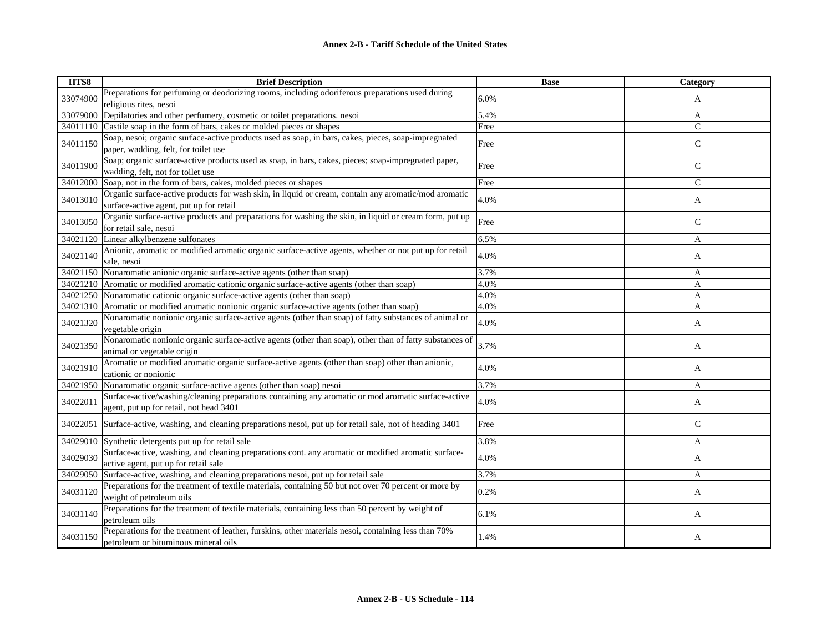| HTS8     | <b>Brief Description</b>                                                                                                                        | <b>Base</b> | <b>Category</b> |
|----------|-------------------------------------------------------------------------------------------------------------------------------------------------|-------------|-----------------|
| 33074900 | Preparations for perfuming or deodorizing rooms, including odoriferous preparations used during<br>religious rites, nesoi                       | 6.0%        | A               |
| 33079000 | Depilatories and other perfumery, cosmetic or toilet preparations. nesoi                                                                        | 5.4%        | A               |
| 34011110 | Castile soap in the form of bars, cakes or molded pieces or shapes                                                                              | Free        | $\mathsf{C}$    |
| 34011150 | Soap, nesoi; organic surface-active products used as soap, in bars, cakes, pieces, soap-impregnated<br>paper, wadding, felt, for toilet use     | Free        | $\mathbf C$     |
| 34011900 | Soap; organic surface-active products used as soap, in bars, cakes, pieces; soap-impregnated paper,<br>wadding, felt, not for toilet use        | Free        | $\mathsf{C}$    |
| 34012000 | Soap, not in the form of bars, cakes, molded pieces or shapes                                                                                   | Free        | $\mathsf{C}$    |
| 34013010 | Organic surface-active products for wash skin, in liquid or cream, contain any aromatic/mod aromatic<br>surface-active agent, put up for retail | 4.0%        | A               |
| 34013050 | Organic surface-active products and preparations for washing the skin, in liquid or cream form, put up<br>for retail sale, nesoi                | Free        | $\mathsf{C}$    |
| 34021120 | Linear alkylbenzene sulfonates                                                                                                                  | 6.5%        | A               |
| 34021140 | Anionic, aromatic or modified aromatic organic surface-active agents, whether or not put up for retail<br>sale, nesoi                           | 4.0%        | A               |
| 34021150 | Nonaromatic anionic organic surface-active agents (other than soap)                                                                             | 3.7%        | A               |
| 34021210 | Aromatic or modified aromatic cationic organic surface-active agents (other than soap)                                                          | 4.0%        | A               |
|          | 34021250 Nonaromatic cationic organic surface-active agents (other than soap)                                                                   | 4.0%        | $\mathbf{A}$    |
| 34021310 | Aromatic or modified aromatic nonionic organic surface-active agents (other than soap)                                                          | 4.0%        | A               |
| 34021320 | Nonaromatic nonionic organic surface-active agents (other than soap) of fatty substances of animal or<br>vegetable origin                       | 4.0%        | A               |
| 34021350 | Nonaromatic nonionic organic surface-active agents (other than soap), other than of fatty substances of<br>animal or vegetable origin           | 3.7%        | A               |
| 34021910 | Aromatic or modified aromatic organic surface-active agents (other than soap) other than anionic,<br>cationic or nonionic                       | 4.0%        | A               |
| 34021950 | Nonaromatic organic surface-active agents (other than soap) nesoi                                                                               | 3.7%        | A               |
| 34022011 | Surface-active/washing/cleaning preparations containing any aromatic or mod aromatic surface-active<br>agent, put up for retail, not head 3401  | 4.0%        | A               |
| 34022051 | Surface-active, washing, and cleaning preparations nesoi, put up for retail sale, not of heading 3401                                           | Free        | $\mathsf{C}$    |
| 34029010 | Synthetic detergents put up for retail sale                                                                                                     | 3.8%        | A               |
| 34029030 | Surface-active, washing, and cleaning preparations cont. any aromatic or modified aromatic surface-<br>active agent, put up for retail sale     | 4.0%        | A               |
| 34029050 | Surface-active, washing, and cleaning preparations nesoi, put up for retail sale                                                                | 3.7%        | A               |
| 34031120 | Preparations for the treatment of textile materials, containing 50 but not over 70 percent or more by<br>weight of petroleum oils               | 0.2%        | A               |
| 34031140 | Preparations for the treatment of textile materials, containing less than 50 percent by weight of<br>petroleum oils                             | 6.1%        | A               |
| 34031150 | Preparations for the treatment of leather, furskins, other materials nesoi, containing less than 70%<br>petroleum or bituminous mineral oils    | 1.4%        | A               |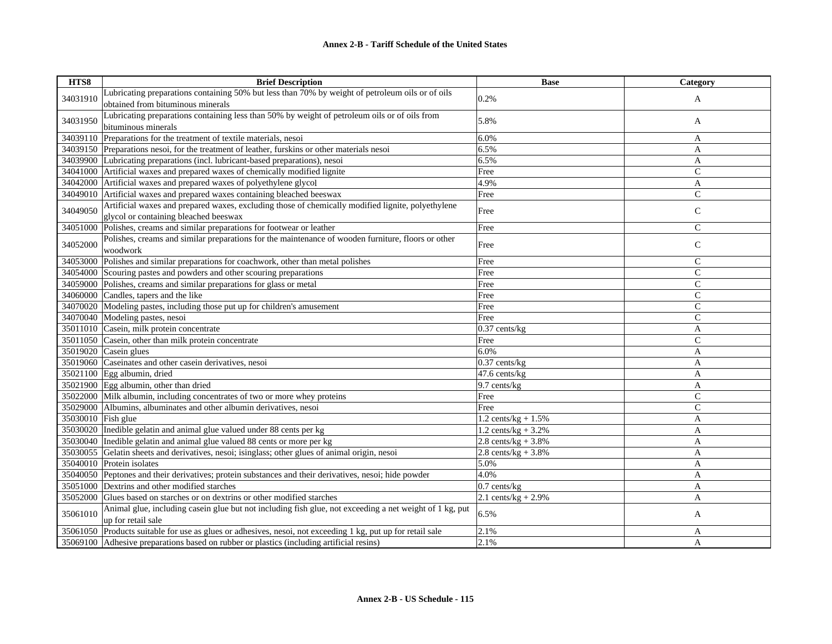| HTS8               | <b>Brief Description</b>                                                                                    | <b>Base</b>            | Category       |
|--------------------|-------------------------------------------------------------------------------------------------------------|------------------------|----------------|
|                    | Lubricating preparations containing 50% but less than 70% by weight of petroleum oils or of oils            |                        |                |
| 34031910           | obtained from bituminous minerals                                                                           | 0.2%                   | A              |
|                    | Lubricating preparations containing less than 50% by weight of petroleum oils or of oils from               |                        |                |
| 34031950           | bituminous minerals                                                                                         | 5.8%                   | A              |
| 34039110           | Preparations for the treatment of textile materials, nesoi                                                  | 6.0%                   | A              |
|                    | 34039150 Preparations nesoi, for the treatment of leather, furskins or other materials nesoi                | 6.5%                   | A              |
| 34039900           | Lubricating preparations (incl. lubricant-based preparations), nesoi                                        | 6.5%                   | A              |
| 34041000           | Artificial waxes and prepared waxes of chemically modified lignite                                          | Free                   | $\mathsf{C}$   |
| 34042000           | Artificial waxes and prepared waxes of polyethylene glycol                                                  | 4.9%                   | A              |
|                    | 34049010 Artificial waxes and prepared waxes containing bleached beeswax                                    | Free                   | $\mathcal{C}$  |
| 34049050           | Artificial waxes and prepared waxes, excluding those of chemically modified lignite, polyethylene           |                        |                |
|                    | glycol or containing bleached beeswax                                                                       | Free                   | $\mathcal{C}$  |
| 34051000           | Polishes, creams and similar preparations for footwear or leather                                           | Free                   | $\mathsf{C}$   |
| 34052000           | Polishes, creams and similar preparations for the maintenance of wooden furniture, floors or other          |                        |                |
|                    | woodwork                                                                                                    | Free                   | $\mathbf C$    |
| 34053000           | Polishes and similar preparations for coachwork, other than metal polishes                                  | Free                   | $\mathsf{C}$   |
|                    | 34054000 Scouring pastes and powders and other scouring preparations                                        | Free                   | $\mathsf{C}$   |
|                    | 34059000 Polishes, creams and similar preparations for glass or metal                                       | Free                   | $\mathsf{C}$   |
|                    | 34060000 Candles, tapers and the like                                                                       | Free                   | $\mathsf{C}$   |
| 34070020           | Modeling pastes, including those put up for children's amusement                                            | Free                   | $\mathsf{C}$   |
|                    | 34070040 Modeling pastes, nesoi                                                                             | Free                   | $\mathsf{C}$   |
|                    | 35011010 Casein, milk protein concentrate                                                                   | $0.37$ cents/ $kg$     | A              |
|                    | 35011050 Casein, other than milk protein concentrate                                                        | Free                   | $\overline{C}$ |
|                    | 35019020 $\vert$ Casein glues                                                                               | 6.0%                   | A              |
|                    | 35019060 Caseinates and other casein derivatives, nesoi                                                     | $0.37$ cents/kg        | A              |
|                    | 35021100 Egg albumin, dried                                                                                 | 47.6 cents/kg          | A              |
|                    | $35021900$ Egg albumin, other than dried                                                                    | 9.7 cents/kg           | A              |
|                    | 35022000 Milk albumin, including concentrates of two or more whey proteins                                  | Free                   | $\mathsf{C}$   |
|                    | 35029000 Albumins, albuminates and other albumin derivatives, nesoi                                         | Free                   | $\mathsf{C}$   |
| 35030010 Fish glue |                                                                                                             | 1.2 cents/ $kg + 1.5%$ | A              |
|                    | 35030020 Inedible gelatin and animal glue valued under 88 cents per kg                                      | 1.2 cents/kg + $3.2%$  | A              |
|                    | 35030040 Inedible gelatin and animal glue valued 88 cents or more per kg                                    | 2.8 cents/kg + $3.8\%$ | A              |
|                    | 35030055 Gelatin sheets and derivatives, nesoi; isinglass; other glues of animal origin, nesoi              | 2.8 cents/ $kg + 3.8%$ | A              |
|                    | 35040010 Protein isolates                                                                                   | 5.0%                   | A              |
|                    | 35040050 Peptones and their derivatives; protein substances and their derivatives, nesoi; hide powder       | 4.0%                   | A              |
|                    | 35051000 Dextrins and other modified starches                                                               | $0.7$ cents/kg         | A              |
| 35052000           | Glues based on starches or on dextrins or other modified starches                                           | 2.1 cents/ $kg + 2.9%$ | A              |
| 35061010           | Animal glue, including casein glue but not including fish glue, not exceeding a net weight of 1 kg, put     | 6.5%                   |                |
|                    | up for retail sale                                                                                          |                        | A              |
|                    | 35061050 Products suitable for use as glues or adhesives, nesoi, not exceeding 1 kg, put up for retail sale | 2.1%                   | A              |
|                    | 35069100 Adhesive preparations based on rubber or plastics (including artificial resins)                    | 2.1%                   | A              |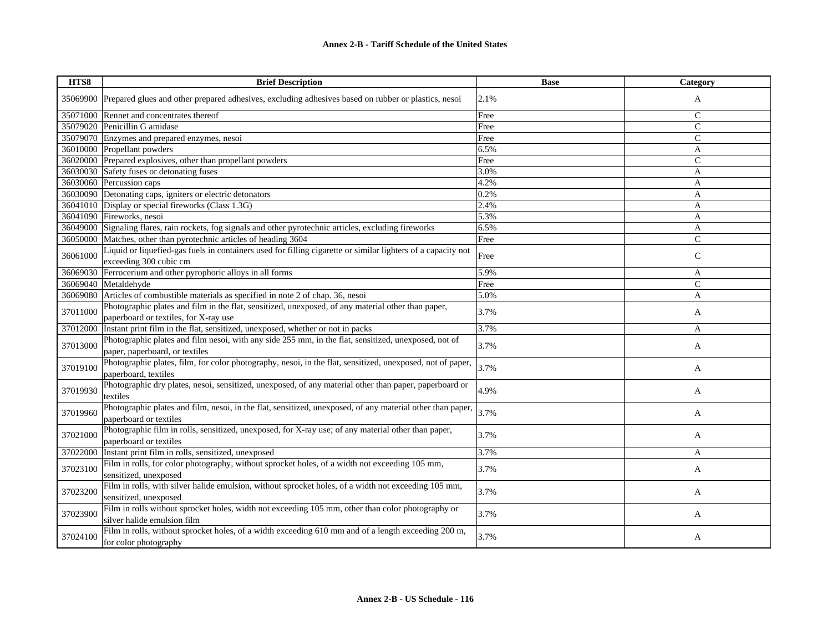## **Annex 2-B - Tariff Schedule of the United States**

| HTS8     | <b>Brief Description</b>                                                                                                                    | <b>Base</b> | Category      |
|----------|---------------------------------------------------------------------------------------------------------------------------------------------|-------------|---------------|
|          | 35069900 Prepared glues and other prepared adhesives, excluding adhesives based on rubber or plastics, nesoi                                | 2.1%        | A             |
| 35071000 | Rennet and concentrates thereof                                                                                                             | Free        | $\mathcal{C}$ |
|          | 35079020 Penicillin G amidase                                                                                                               | Free        | $\mathcal{C}$ |
|          | 35079070 Enzymes and prepared enzymes, nesoi                                                                                                | Free        | ${\bf C}$     |
|          | 36010000 Propellant powders                                                                                                                 | 6.5%        | A             |
| 36020000 | Prepared explosives, other than propellant powders                                                                                          | Free        | $\mathsf{C}$  |
|          | 36030030 Safety fuses or detonating fuses                                                                                                   | 3.0%        | A             |
| 36030060 | Percussion caps                                                                                                                             | 4.2%        | A             |
|          | 36030090 Detonating caps, igniters or electric detonators                                                                                   | 0.2%        | A             |
|          | 36041010 Display or special fireworks (Class 1.3G)                                                                                          | 2.4%        | $\mathbf{A}$  |
|          | 36041090 Fireworks, nesoi                                                                                                                   | 5.3%        | A             |
| 36049000 | Signaling flares, rain rockets, fog signals and other pyrotechnic articles, excluding fireworks                                             | 6.5%        | A             |
| 36050000 | Matches, other than pyrotechnic articles of heading 3604                                                                                    | Free        | $\mathcal{C}$ |
| 36061000 | Liquid or liquefied-gas fuels in containers used for filling cigarette or similar lighters of a capacity not<br>exceeding 300 cubic cm      | Free        | $\mathsf{C}$  |
| 36069030 | Ferrocerium and other pyrophoric alloys in all forms                                                                                        | 5.9%        | A             |
| 36069040 | Metaldehyde                                                                                                                                 | Free        | $\mathsf{C}$  |
| 36069080 | Articles of combustible materials as specified in note 2 of chap. 36, nesoi                                                                 | 5.0%        | A             |
| 37011000 | Photographic plates and film in the flat, sensitized, unexposed, of any material other than paper,<br>paperboard or textiles, for X-ray use | 3.7%        | A             |
| 37012000 | Instant print film in the flat, sensitized, unexposed, whether or not in packs                                                              | 3.7%        | A             |
| 37013000 | Photographic plates and film nesoi, with any side 255 mm, in the flat, sensitized, unexposed, not of                                        | 3.7%        | A             |
|          | paper, paperboard, or textiles                                                                                                              |             |               |
| 37019100 | Photographic plates, film, for color photography, nesoi, in the flat, sensitized, unexposed, not of paper,<br>paperboard, textiles          | 3.7%        | A             |
| 37019930 | Photographic dry plates, nesoi, sensitized, unexposed, of any material other than paper, paperboard or<br>textiles                          | 4.9%        | A             |
| 37019960 | Photographic plates and film, nesoi, in the flat, sensitized, unexposed, of any material other than paper,<br>paperboard or textiles        | 3.7%        | A             |
| 37021000 | Photographic film in rolls, sensitized, unexposed, for X-ray use; of any material other than paper,<br>paperboard or textiles               | 3.7%        | A             |
| 37022000 | Instant print film in rolls, sensitized, unexposed                                                                                          | 3.7%        | A             |
| 37023100 | Film in rolls, for color photography, without sprocket holes, of a width not exceeding 105 mm,<br>sensitized, unexposed                     | 3.7%        | A             |
| 37023200 | Film in rolls, with silver halide emulsion, without sprocket holes, of a width not exceeding 105 mm,<br>sensitized, unexposed               | 3.7%        | A             |
| 37023900 | Film in rolls without sprocket holes, width not exceeding 105 mm, other than color photography or<br>silver halide emulsion film            | 3.7%        | A             |
| 37024100 | Film in rolls, without sprocket holes, of a width exceeding 610 mm and of a length exceeding 200 m,<br>for color photography                | 3.7%        | A             |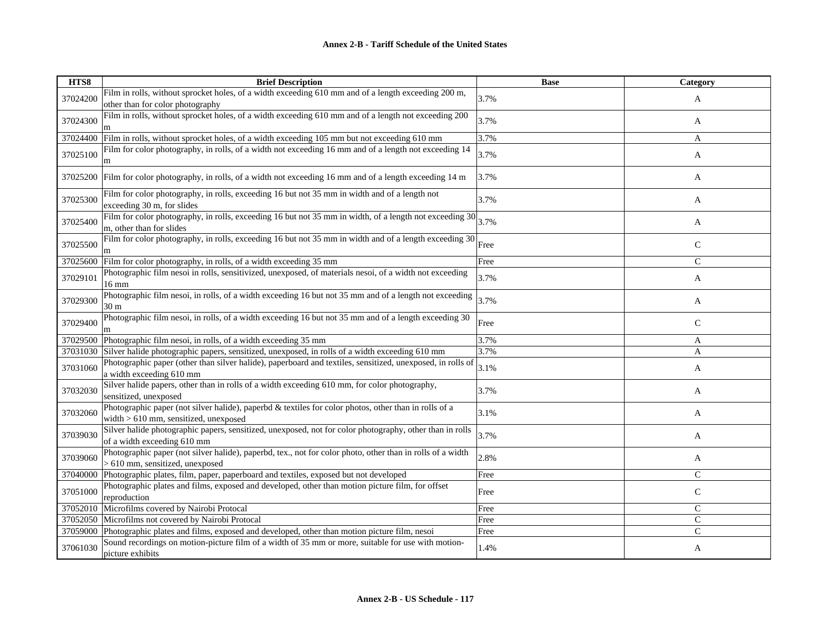| HTS8     | <b>Brief Description</b>                                                                                                                             | <b>Base</b> | Category       |
|----------|------------------------------------------------------------------------------------------------------------------------------------------------------|-------------|----------------|
| 37024200 | Film in rolls, without sprocket holes, of a width exceeding 610 mm and of a length exceeding 200 m,<br>other than for color photography              | 3.7%        | A              |
| 37024300 | Film in rolls, without sprocket holes, of a width exceeding 610 mm and of a length not exceeding 200                                                 | 3.7%        | A              |
| 37024400 | Film in rolls, without sprocket holes, of a width exceeding 105 mm but not exceeding 610 mm                                                          | 3.7%        | A              |
| 37025100 | Film for color photography, in rolls, of a width not exceeding 16 mm and of a length not exceeding 14<br>m                                           | 3.7%        | A              |
| 37025200 | Film for color photography, in rolls, of a width not exceeding 16 mm and of a length exceeding 14 m                                                  | 3.7%        | A              |
| 37025300 | Film for color photography, in rolls, exceeding 16 but not 35 mm in width and of a length not<br>exceeding 30 m, for slides                          | 3.7%        | A              |
| 37025400 | Film for color photography, in rolls, exceeding 16 but not 35 mm in width, of a length not exceeding $30\frac{1}{3.7\%}$<br>m, other than for slides |             | A              |
| 37025500 | Film for color photography, in rolls, exceeding 16 but not 35 mm in width and of a length exceeding 30                                               | Free        | $\mathsf{C}$   |
| 37025600 | Film for color photography, in rolls, of a width exceeding 35 mm                                                                                     | Free        | $\overline{C}$ |
| 37029101 | Photographic film nesoi in rolls, sensitivized, unexposed, of materials nesoi, of a width not exceeding<br>$16 \text{ mm}$                           | 3.7%        | A              |
| 37029300 | Photographic film nesoi, in rolls, of a width exceeding 16 but not 35 mm and of a length not exceeding<br>30 <sub>m</sub>                            | 3.7%        | A              |
| 37029400 | Photographic film nesoi, in rolls, of a width exceeding 16 but not 35 mm and of a length exceeding 30                                                | Free        | $\mathsf{C}$   |
| 37029500 | Photographic film nesoi, in rolls, of a width exceeding 35 mm                                                                                        | 3.7%        | A              |
| 37031030 | Silver halide photographic papers, sensitized, unexposed, in rolls of a width exceeding 610 mm                                                       | 3.7%        | A              |
| 37031060 | Photographic paper (other than silver halide), paperboard and textiles, sensitized, unexposed, in rolls of<br>a width exceeding 610 mm               | 3.1%        | A              |
| 37032030 | Silver halide papers, other than in rolls of a width exceeding 610 mm, for color photography,<br>sensitized, unexposed                               | 3.7%        | A              |
| 37032060 | Photographic paper (not silver halide), paperbd & textiles for color photos, other than in rolls of a<br>width $> 610$ mm, sensitized, unexposed     | 3.1%        | A              |
| 37039030 | Silver halide photographic papers, sensitized, unexposed, not for color photography, other than in rolls<br>of a width exceeding 610 mm              | 3.7%        | A              |
| 37039060 | Photographic paper (not silver halide), paperbd, tex., not for color photo, other than in rolls of a width<br>> 610 mm, sensitized, unexposed        | 2.8%        | A              |
| 37040000 | Photographic plates, film, paper, paperboard and textiles, exposed but not developed                                                                 | Free        | $\mathsf{C}$   |
| 37051000 | Photographic plates and films, exposed and developed, other than motion picture film, for offset<br>reproduction                                     | Free        | $\mathsf{C}$   |
| 37052010 | Microfilms covered by Nairobi Protocal                                                                                                               | Free        | $\mathsf{C}$   |
| 37052050 | Microfilms not covered by Nairobi Protocal                                                                                                           | Free        | $\mathsf{C}$   |
| 37059000 | Photographic plates and films, exposed and developed, other than motion picture film, nesoi                                                          | Free        | $\mathsf{C}$   |
| 37061030 | Sound recordings on motion-picture film of a width of 35 mm or more, suitable for use with motion-<br>picture exhibits                               | 1.4%        | A              |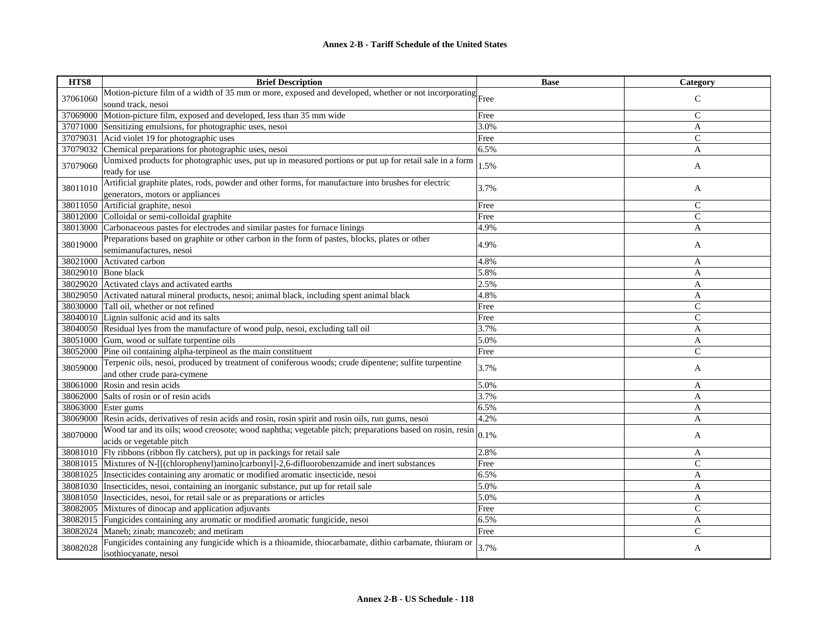| HTS8     | <b>Brief Description</b>                                                                                                                | <b>Base</b> | Category     |
|----------|-----------------------------------------------------------------------------------------------------------------------------------------|-------------|--------------|
|          | Motion-picture film of a width of 35 mm or more, exposed and developed, whether or not incorporating $\vert$ Free                       |             |              |
| 37061060 | sound track, nesoi                                                                                                                      |             | $\mathsf{C}$ |
| 37069000 | Motion-picture film, exposed and developed, less than 35 mm wide                                                                        | Free        | $\mathsf{C}$ |
| 37071000 | Sensitizing emulsions, for photographic uses, nesoi                                                                                     | 3.0%        | A            |
| 37079031 | Acid violet 19 for photographic uses                                                                                                    | Free        | $\mathsf{C}$ |
| 37079032 | Chemical preparations for photographic uses, nesoi                                                                                      | 6.5%        | A            |
| 37079060 | Unmixed products for photographic uses, put up in measured portions or put up for retail sale in a form<br>ready for use                | 1.5%        | A            |
| 38011010 | Artificial graphite plates, rods, powder and other forms, for manufacture into brushes for electric<br>generators, motors or appliances | 3.7%        | A            |
| 38011050 | Artificial graphite, nesoi                                                                                                              | Free        | $\mathsf{C}$ |
|          | 38012000 Colloidal or semi-colloidal graphite                                                                                           | Free        | $\mathsf{C}$ |
| 38013000 | Carbonaceous pastes for electrodes and similar pastes for furnace linings                                                               | 4.9%        | A            |
| 38019000 | Preparations based on graphite or other carbon in the form of pastes, blocks, plates or other<br>semimanufactures, nesoi                | 4.9%        | A            |
| 38021000 | Activated carbon                                                                                                                        | 4.8%        | A            |
| 38029010 | Bone black                                                                                                                              | 5.8%        | A            |
| 38029020 | Activated clays and activated earths                                                                                                    | 2.5%        | A            |
| 38029050 | Activated natural mineral products, nesoi; animal black, including spent animal black                                                   | 4.8%        | A            |
|          | 38030000 Tall oil, whether or not refined                                                                                               | Free        | $\mathsf{C}$ |
|          | 38040010 Lignin sulfonic acid and its salts                                                                                             | Free        | $\mathsf{C}$ |
|          | 38040050 Residual lyes from the manufacture of wood pulp, nesoi, excluding tall oil                                                     | 3.7%        | A            |
| 38051000 | Gum, wood or sulfate turpentine oils                                                                                                    | 5.0%        | A            |
| 38052000 | Pine oil containing alpha-terpineol as the main constituent                                                                             | Free        | $\mathsf{C}$ |
| 38059000 | Terpenic oils, nesoi, produced by treatment of coniferous woods; crude dipentene; sulfite turpentine<br>and other crude para-cymene     | 3.7%        | A            |
| 38061000 | Rosin and resin acids                                                                                                                   | 5.0%        | A            |
| 38062000 | Salts of rosin or of resin acids                                                                                                        | 3.7%        | A            |
|          | 38063000 Ester gums                                                                                                                     | 6.5%        | A            |
| 38069000 | Resin acids, derivatives of resin acids and rosin, rosin spirit and rosin oils, run gums, nesoin                                        | 4.2%        | A            |
| 38070000 | Wood tar and its oils; wood creosote; wood naphtha; vegetable pitch; preparations based on rosin, resin<br>acids or vegetable pitch     | 0.1%        | A            |
|          | 38081010 Fly ribbons (ribbon fly catchers), put up in packings for retail sale                                                          | 2.8%        | A            |
| 38081015 | Mixtures of N-[[(chlorophenyl)amino]carbonyl]-2,6-difluorobenzamide and inert substances                                                | Free        | $\mathsf{C}$ |
| 38081025 | Insecticides containing any aromatic or modified aromatic insecticide, nesoi                                                            | 6.5%        | A            |
| 38081030 | Insecticides, nesoi, containing an inorganic substance, put up for retail sale                                                          | 5.0%        | A            |
| 38081050 | Insecticides, nesoi, for retail sale or as preparations or articles                                                                     | 5.0%        | A            |
| 38082005 | Mixtures of dinocap and application adjuvants                                                                                           | Free        | $\mathsf{C}$ |
| 38082015 | Fungicides containing any aromatic or modified aromatic fungicide, nesoi                                                                | 6.5%        | A            |
| 38082024 | Maneb; zinab; mancozeb; and metiram                                                                                                     | Free        | $\mathsf{C}$ |
| 38082028 | Fungicides containing any fungicide which is a thioamide, thiocarbamate, dithio carbamate, thiuram or<br>isothiocyanate, nesoi          | 3.7%        | A            |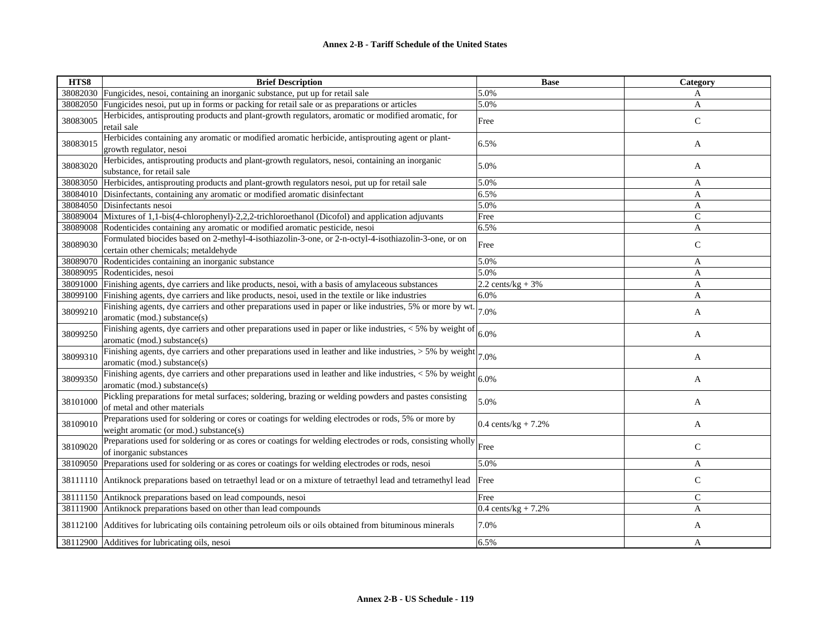| HTS8     | <b>Brief Description</b>                                                                                                                                  | <b>Base</b>                    | Category      |
|----------|-----------------------------------------------------------------------------------------------------------------------------------------------------------|--------------------------------|---------------|
| 38082030 | Fungicides, nesoi, containing an inorganic substance, put up for retail sale                                                                              | 5.0%                           | A             |
| 38082050 | Fungicides nesoi, put up in forms or packing for retail sale or as preparations or articles                                                               | 5.0%                           | A             |
| 38083005 | Herbicides, antisprouting products and plant-growth regulators, aromatic or modified aromatic, for<br>retail sale                                         | Free                           | $\mathsf{C}$  |
| 38083015 | Herbicides containing any aromatic or modified aromatic herbicide, antisprouting agent or plant-<br>growth regulator, nesoi                               | 6.5%                           | A             |
| 38083020 | Herbicides, antisprouting products and plant-growth regulators, nesoi, containing an inorganic<br>substance, for retail sale                              | 5.0%                           | A             |
| 38083050 | Herbicides, antisprouting products and plant-growth regulators nesoi, put up for retail sale                                                              | 5.0%                           | A             |
| 38084010 | Disinfectants, containing any aromatic or modified aromatic disinfectant                                                                                  | 6.5%                           | A             |
| 38084050 | Disinfectants nesoi                                                                                                                                       | 5.0%                           | A             |
| 38089004 | Mixtures of 1,1-bis(4-chlorophenyl)-2,2,2-trichloroethanol (Dicofol) and application adjuvants                                                            | Free                           | $\mathsf{C}$  |
| 38089008 | Rodenticides containing any aromatic or modified aromatic pesticide, nesoi                                                                                | 6.5%                           | A             |
| 38089030 | Formulated biocides based on 2-methyl-4-isothiazolin-3-one, or 2-n-octyl-4-isothiazolin-3-one, or on<br>certain other chemicals; metaldehyde              | Free                           | $\mathsf{C}$  |
| 38089070 | Rodenticides containing an inorganic substance                                                                                                            | 5.0%                           | A             |
| 38089095 | Rodenticides, nesoi                                                                                                                                       | 5.0%                           | A             |
| 38091000 | Finishing agents, dye carriers and like products, nesoi, with a basis of amylaceous substances                                                            | 2.2 cents/kg + $3%$            | A             |
| 38099100 | Finishing agents, dye carriers and like products, nesoi, used in the textile or like industries                                                           | 6.0%                           | A             |
| 38099210 | Finishing agents, dye carriers and other preparations used in paper or like industries, 5% or more by wt. $\vert_{7.0\%}$<br>aromatic (mod.) substance(s) |                                | A             |
| 38099250 | Finishing agents, dye carriers and other preparations used in paper or like industries, $<$ 5% by weight of<br>aromatic (mod.) substance(s)               | 6.0%                           | A             |
| 38099310 | Finishing agents, dye carriers and other preparations used in leather and like industries, $> 5\%$ by weight $ 7.0\%$<br>aromatic (mod.) substance(s)     |                                | A             |
| 38099350 | Finishing agents, dye carriers and other preparations used in leather and like industries, $<$ 5% by weight<br>aromatic (mod.) substance(s)               | 6.0%                           | A             |
| 38101000 | Pickling preparations for metal surfaces; soldering, brazing or welding powders and pastes consisting<br>of metal and other materials                     | 5.0%                           | A             |
| 38109010 | Preparations used for soldering or cores or coatings for welding electrodes or rods, 5% or more by<br>weight aromatic (or mod.) substance(s)              | $0.4 \text{ cents/kg} + 7.2\%$ | A             |
| 38109020 | Preparations used for soldering or as cores or coatings for welding electrodes or rods, consisting wholly Free<br>of inorganic substances                 |                                | $\mathsf{C}$  |
| 38109050 | Preparations used for soldering or as cores or coatings for welding electrodes or rods, nesoi                                                             | 5.0%                           | A             |
| 38111110 | Antiknock preparations based on tetraethyl lead or on a mixture of tetraethyl lead and tetramethyl lead                                                   | Free                           | $\mathsf{C}$  |
| 38111150 | Antiknock preparations based on lead compounds, nesoi                                                                                                     | Free                           | $\mathcal{C}$ |
| 38111900 | Antiknock preparations based on other than lead compounds                                                                                                 | 0.4 cents/ $kg + 7.2%$         | A             |
| 38112100 | Additives for lubricating oils containing petroleum oils or oils obtained from bituminous minerals                                                        | 7.0%                           | A             |
|          | 38112900 Additives for lubricating oils, nesoi                                                                                                            | 6.5%                           | A             |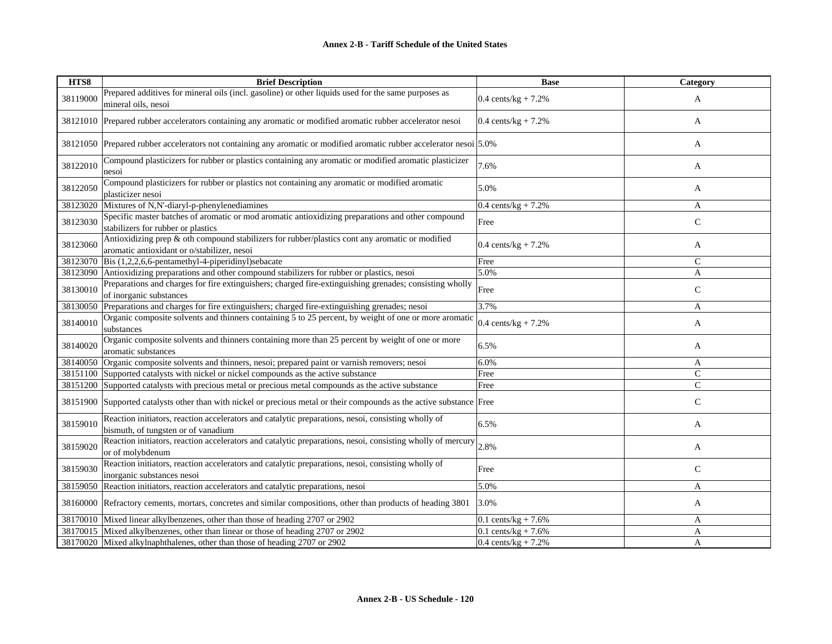| HTS8     | <b>Brief Description</b>                                                                                                                       | <b>Base</b>                    | Category      |
|----------|------------------------------------------------------------------------------------------------------------------------------------------------|--------------------------------|---------------|
| 38119000 | Prepared additives for mineral oils (incl. gasoline) or other liquids used for the same purposes as<br>mineral oils, nesoi                     | $0.4 \text{ cents/kg} + 7.2\%$ | A             |
| 38121010 | Prepared rubber accelerators containing any aromatic or modified aromatic rubber accelerator nesoi                                             | 0.4 cents/kg + $7.2%$          | A             |
|          | 38121050 Prepared rubber accelerators not containing any aromatic or modified aromatic rubber accelerator nesoi 5.0%                           |                                | A             |
| 38122010 | Compound plasticizers for rubber or plastics containing any aromatic or modified aromatic plasticizer<br>nesoi                                 | 7.6%                           | A             |
| 38122050 | Compound plasticizers for rubber or plastics not containing any aromatic or modified aromatic<br>plasticizer nesoi                             | 5.0%                           | A             |
| 38123020 | Mixtures of N,N'-diaryl-p-phenylenediamines                                                                                                    | 0.4 cents/ $kg + 7.2%$         | A             |
| 38123030 | Specific master batches of aromatic or mod aromatic antioxidizing preparations and other compound<br>stabilizers for rubber or plastics        | Free                           | C             |
| 38123060 | Antioxidizing prep & oth compound stabilizers for rubber/plastics cont any aromatic or modified<br>aromatic antioxidant or o/stabilizer, nesoi | 0.4 cents/ $kg + 7.2%$         | A             |
| 38123070 | Bis $(1,2,2,6,6$ -pentamethyl-4-piperidinyl)sebacate                                                                                           | Free                           | C             |
| 38123090 | Antioxidizing preparations and other compound stabilizers for rubber or plastics, nesoi                                                        | 5.0%                           | A             |
| 38130010 | Preparations and charges for fire extinguishers; charged fire-extinguishing grenades; consisting wholly<br>of inorganic substances             | Free                           | $\mathsf{C}$  |
| 38130050 | Preparations and charges for fire extinguishers; charged fire-extinguishing grenades; nesoi                                                    | 3.7%                           | A             |
| 38140010 | Organic composite solvents and thinners containing 5 to 25 percent, by weight of one or more aromatic<br>substances                            | 0.4 cents/kg + $7.2%$          | A             |
| 38140020 | Organic composite solvents and thinners containing more than 25 percent by weight of one or more<br>aromatic substances                        | 6.5%                           | A             |
| 38140050 | Organic composite solvents and thinners, nesoi; prepared paint or varnish removers; nesoi                                                      | 6.0%                           | A             |
| 38151100 | Supported catalysts with nickel or nickel compounds as the active substance                                                                    | Free                           | $\mathsf{C}$  |
| 38151200 | Supported catalysts with precious metal or precious metal compounds as the active substance                                                    | Free                           | $\mathcal{C}$ |
| 38151900 | Supported catalysts other than with nickel or precious metal or their compounds as the active substance Free                                   |                                | $\mathsf{C}$  |
| 38159010 | Reaction initiators, reaction accelerators and catalytic preparations, nesoi, consisting wholly of<br>bismuth, of tungsten or of vanadium      | 6.5%                           | A             |
| 38159020 | Reaction initiators, reaction accelerators and catalytic preparations, nesoi, consisting wholly of mercury<br>or of molybdenum                 | 2.8%                           | A             |
| 38159030 | Reaction initiators, reaction accelerators and catalytic preparations, nesoi, consisting wholly of<br>inorganic substances nesoi               | Free                           | $\mathcal{C}$ |
| 38159050 | Reaction initiators, reaction accelerators and catalytic preparations, nesoi                                                                   | 5.0%                           | A             |
| 38160000 | Refractory cements, mortars, concretes and similar compositions, other than products of heading 3801                                           | 3.0%                           | A             |
| 38170010 | Mixed linear alkylbenzenes, other than those of heading 2707 or 2902                                                                           | 0.1 cents/kg + 7.6%            | A             |
|          | 38170015 Mixed alkylbenzenes, other than linear or those of heading 2707 or 2902                                                               | 0.1 cents/kg + $7.6\%$         | A             |
|          | 38170020 Mixed alkylnaphthalenes, other than those of heading 2707 or 2902                                                                     | $0.4$ cents/kg + 7.2%          | A             |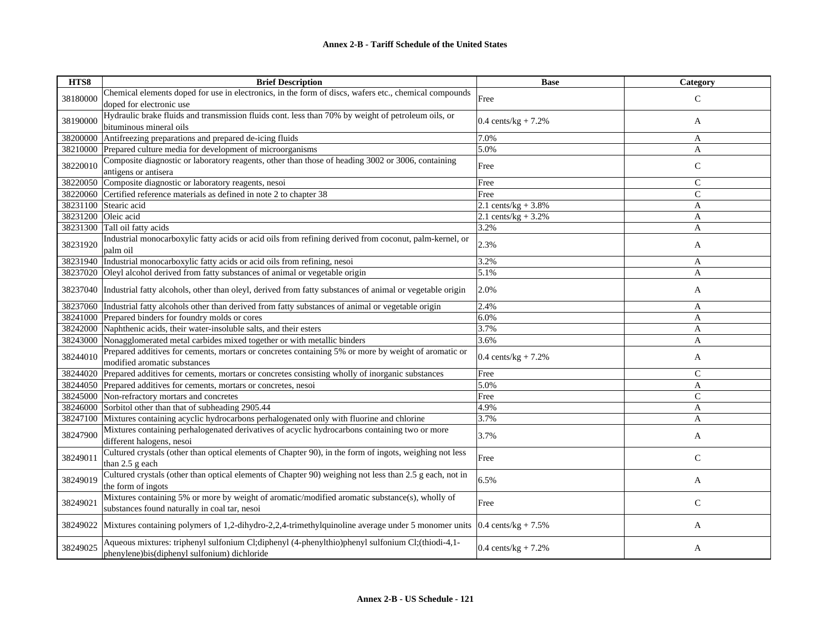| HTS8     | <b>Brief Description</b>                                                                                                 | <b>Base</b>                    | Category      |
|----------|--------------------------------------------------------------------------------------------------------------------------|--------------------------------|---------------|
| 38180000 | Chemical elements doped for use in electronics, in the form of discs, wafers etc., chemical compounds                    | Free                           | $\mathcal{C}$ |
|          | doped for electronic use                                                                                                 |                                |               |
|          | Hydraulic brake fluids and transmission fluids cont. less than 70% by weight of petroleum oils, or                       |                                |               |
| 38190000 | bituminous mineral oils                                                                                                  | $0.4 \text{ cents/kg} + 7.2\%$ | A             |
| 38200000 | Antifreezing preparations and prepared de-icing fluids                                                                   | 7.0%                           | A             |
| 38210000 | Prepared culture media for development of microorganisms                                                                 | 5.0%                           | A             |
|          | Composite diagnostic or laboratory reagents, other than those of heading 3002 or 3006, containing                        |                                |               |
| 38220010 | antigens or antisera                                                                                                     | Free                           | $\mathbf C$   |
| 38220050 | Composite diagnostic or laboratory reagents, nesoi                                                                       | Free                           | $\mathsf{C}$  |
| 38220060 | Certified reference materials as defined in note 2 to chapter 38                                                         | Free                           | $\mathcal{C}$ |
| 38231100 | Stearic acid                                                                                                             | 2.1 cents/kg + $3.8\%$         | A             |
| 38231200 | Oleic acid                                                                                                               | 2.1 cents/ $kg + 3.2%$         | A             |
| 38231300 | Tall oil fatty acids                                                                                                     | 3.2%                           | A             |
| 38231920 | Industrial monocarboxylic fatty acids or acid oils from refining derived from coconut, palm-kernel, or                   | 2.3%                           |               |
|          | palm oil                                                                                                                 |                                | A             |
| 38231940 | Industrial monocarboxylic fatty acids or acid oils from refining, nesoi                                                  | 3.2%                           | A             |
| 38237020 | Oleyl alcohol derived from fatty substances of animal or vegetable origin                                                | 5.1%                           | A             |
| 38237040 | Industrial fatty alcohols, other than oleyl, derived from fatty substances of animal or vegetable origin                 | 2.0%                           | A             |
| 38237060 | Industrial fatty alcohols other than derived from fatty substances of animal or vegetable origin                         | 2.4%                           | A             |
| 38241000 | Prepared binders for foundry molds or cores                                                                              | 6.0%                           | A             |
| 38242000 | Naphthenic acids, their water-insoluble salts, and their esters                                                          | 3.7%                           | A             |
| 38243000 | Nonagglomerated metal carbides mixed together or with metallic binders                                                   | 3.6%                           | A             |
|          | Prepared additives for cements, mortars or concretes containing 5% or more by weight of aromatic or                      |                                |               |
| 38244010 | modified aromatic substances                                                                                             | $0.4 \text{ cents/kg} + 7.2\%$ | A             |
| 38244020 | Prepared additives for cements, mortars or concretes consisting wholly of inorganic substances                           | Free                           | $\mathbf C$   |
| 38244050 | Prepared additives for cements, mortars or concretes, nesoi                                                              | 5.0%                           | A             |
| 38245000 | Non-refractory mortars and concretes                                                                                     | Free                           | $\mathcal{C}$ |
| 38246000 | Sorbitol other than that of subheading 2905.44                                                                           | 4.9%                           | A             |
| 38247100 | Mixtures containing acyclic hydrocarbons perhalogenated only with fluorine and chlorine                                  | 3.7%                           | A             |
|          | Mixtures containing perhalogenated derivatives of acyclic hydrocarbons containing two or more                            |                                |               |
| 38247900 | different halogens, nesoi                                                                                                | 3.7%                           | A             |
|          | Cultured crystals (other than optical elements of Chapter 90), in the form of ingots, weighing not less                  |                                |               |
| 38249011 | than 2.5 g each                                                                                                          | Free                           | $\mathsf{C}$  |
|          | Cultured crystals (other than optical elements of Chapter 90) weighing not less than 2.5 g each, not in                  |                                |               |
| 38249019 | the form of ingots                                                                                                       | 6.5%                           | A             |
|          | Mixtures containing 5% or more by weight of aromatic/modified aromatic substance(s), wholly of                           |                                |               |
| 38249021 | substances found naturally in coal tar, nesoi                                                                            | Free                           | $\mathsf{C}$  |
|          |                                                                                                                          |                                |               |
| 38249022 | Mixtures containing polymers of 1,2-dihydro-2,2,4-trimethylquinoline average under 5 monomer units $0.4$ cents/kg + 7.5% |                                | A             |
|          | Aqueous mixtures: triphenyl sulfonium Cl;diphenyl (4-phenylthio)phenyl sulfonium Cl;(thiodi-4,1-                         |                                |               |
| 38249025 | phenylene)bis(diphenyl sulfonium) dichloride                                                                             | $0.4 \text{ cents/kg} + 7.2\%$ | A             |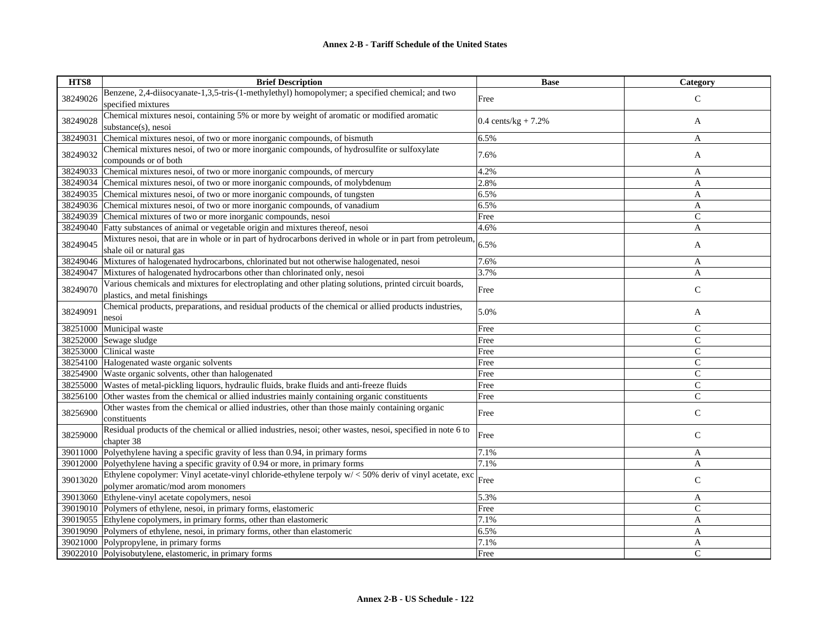| HTS8     | <b>Brief Description</b>                                                                                   | <b>Base</b>                    | Category      |
|----------|------------------------------------------------------------------------------------------------------------|--------------------------------|---------------|
| 38249026 | Benzene, 2,4-diisocyanate-1,3,5-tris-(1-methylethyl) homopolymer; a specified chemical; and two            | Free                           | $\mathcal{C}$ |
|          | specified mixtures                                                                                         |                                |               |
|          | Chemical mixtures nesoi, containing 5% or more by weight of aromatic or modified aromatic                  |                                |               |
| 38249028 | substance(s), nesoi                                                                                        | $0.4 \text{ cents/kg} + 7.2\%$ | A             |
| 38249031 | Chemical mixtures nesoi, of two or more inorganic compounds, of bismuth                                    | 6.5%                           | A             |
|          | Chemical mixtures nesoi, of two or more inorganic compounds, of hydrosulfite or sulfoxylate                |                                |               |
| 38249032 | compounds or of both                                                                                       | 7.6%                           | A             |
| 38249033 | Chemical mixtures nesoi, of two or more inorganic compounds, of mercury                                    | 4.2%                           | A             |
| 38249034 | Chemical mixtures nesoi, of two or more inorganic compounds, of molybdenum                                 | 2.8%                           | A             |
| 38249035 | Chemical mixtures nesoi, of two or more inorganic compounds, of tungsten                                   | 6.5%                           | A             |
| 38249036 | Chemical mixtures nesoi, of two or more inorganic compounds, of vanadium                                   | 6.5%                           | A             |
| 38249039 | Chemical mixtures of two or more inorganic compounds, nesoi                                                | Free                           | $\mathsf{C}$  |
| 38249040 | Fatty substances of animal or vegetable origin and mixtures thereof, nesoi                                 | 4.6%                           | A             |
| 38249045 | Mixtures nesoi, that are in whole or in part of hydrocarbons derived in whole or in part from petroleum,   | 6.5%                           |               |
|          | shale oil or natural gas                                                                                   |                                | A             |
| 38249046 | Mixtures of halogenated hydrocarbons, chlorinated but not otherwise halogenated, nesoi                     | 7.6%                           | A             |
| 38249047 | Mixtures of halogenated hydrocarbons other than chlorinated only, nesoi                                    | 3.7%                           | A             |
| 38249070 | Various chemicals and mixtures for electroplating and other plating solutions, printed circuit boards,     | Free                           | $\mathsf{C}$  |
|          | plastics, and metal finishings                                                                             |                                |               |
| 38249091 | Chemical products, preparations, and residual products of the chemical or allied products industries,      | 5.0%                           |               |
|          | nesoi                                                                                                      |                                | A             |
| 38251000 | Municipal waste                                                                                            | Free                           | $\mathsf{C}$  |
| 38252000 | Sewage sludge                                                                                              | Free                           | $\mathcal{C}$ |
| 38253000 | Clinical waste                                                                                             | Free                           | $\mathbf C$   |
| 38254100 | Halogenated waste organic solvents                                                                         | Free                           | $\mathsf{C}$  |
| 38254900 | Waste organic solvents, other than halogenated                                                             | Free                           | $\mathsf{C}$  |
| 38255000 | Wastes of metal-pickling liquors, hydraulic fluids, brake fluids and anti-freeze fluids                    | Free                           | $\mathsf{C}$  |
| 38256100 | Other wastes from the chemical or allied industries mainly containing organic constituents                 | Free                           | $\mathsf{C}$  |
| 38256900 | Other wastes from the chemical or allied industries, other than those mainly containing organic            | Free                           | $\mathsf C$   |
|          | constituents                                                                                               |                                |               |
| 38259000 | Residual products of the chemical or allied industries, nesoi; other wastes, nesoi, specified in note 6 to | Free                           | $\mathsf{C}$  |
|          | chapter 38                                                                                                 |                                |               |
| 39011000 | Polyethylene having a specific gravity of less than 0.94, in primary forms                                 | 7.1%                           | A             |
| 39012000 | Polyethylene having a specific gravity of 0.94 or more, in primary forms                                   | 7.1%                           | A             |
| 39013020 | Ethylene copolymer: Vinyl acetate-vinyl chloride-ethylene terpoly w/ < 50% deriv of vinyl acetate, exc     | Free                           | $\mathbf C$   |
|          | polymer aromatic/mod arom monomers                                                                         |                                |               |
|          | 39013060 Ethylene-vinyl acetate copolymers, nesoi                                                          | 5.3%                           | A             |
|          | 39019010 Polymers of ethylene, nesoi, in primary forms, elastomeric                                        | Free                           | $\mathsf{C}$  |
|          | 39019055 Ethylene copolymers, in primary forms, other than elastomeric                                     | 7.1%                           | $\mathbf{A}$  |
|          | 39019090 Polymers of ethylene, nesoi, in primary forms, other than elastomeric                             | 6.5%                           | A             |
|          | 39021000 Polypropylene, in primary forms                                                                   | 7.1%                           | A             |
|          | 39022010 Polyisobutylene, elastomeric, in primary forms                                                    | Free                           | $\mathsf{C}$  |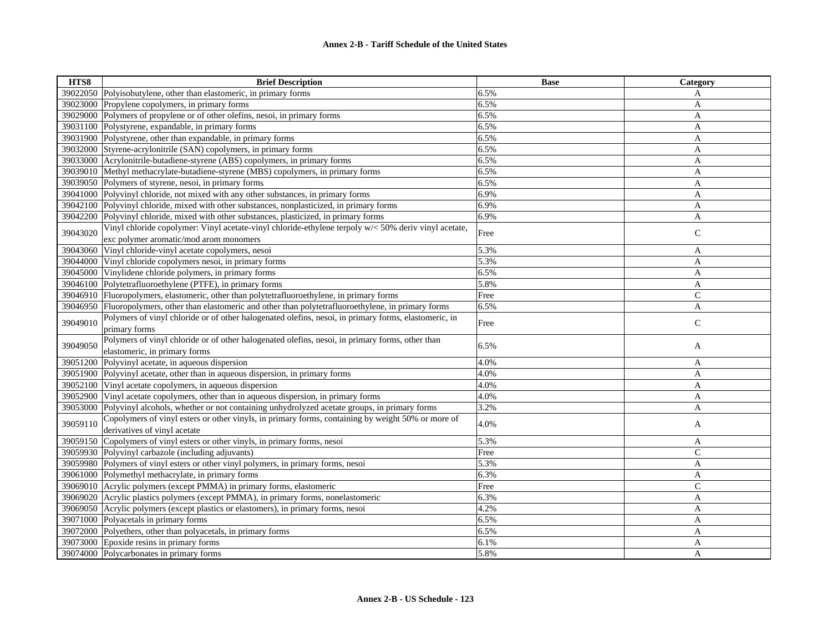| HTS8     | <b>Brief Description</b>                                                                             | <b>Base</b> | Category      |
|----------|------------------------------------------------------------------------------------------------------|-------------|---------------|
|          | 39022050 Polyisobutylene, other than elastomeric, in primary forms                                   | 6.5%        | A             |
| 39023000 | Propylene copolymers, in primary forms                                                               | 6.5%        | A             |
| 39029000 | Polymers of propylene or of other olefins, nesoi, in primary forms                                   | 6.5%        | A             |
| 39031100 | Polystyrene, expandable, in primary forms                                                            | 6.5%        | A             |
| 39031900 | Polystyrene, other than expandable, in primary forms                                                 | 6.5%        | A             |
| 39032000 | Styrene-acrylonitrile (SAN) copolymers, in primary forms                                             | 6.5%        | A             |
| 39033000 | Acrylonitrile-butadiene-styrene (ABS) copolymers, in primary forms                                   | 6.5%        | A             |
| 39039010 | Methyl methacrylate-butadiene-styrene (MBS) copolymers, in primary forms                             | 6.5%        | $\mathbf{A}$  |
|          | 39039050 Polymers of styrene, nesoi, in primary forms                                                | 6.5%        | $\mathbf{A}$  |
| 39041000 | Polyvinyl chloride, not mixed with any other substances, in primary forms                            | 6.9%        | A             |
| 39042100 | Polyvinyl chloride, mixed with other substances, nonplasticized, in primary forms                    | 6.9%        | A             |
| 39042200 | Polyvinyl chloride, mixed with other substances, plasticized, in primary forms                       | 6.9%        | A             |
|          | Vinyl chloride copolymer: Vinyl acetate-vinyl chloride-ethylene terpoly w/< 50% deriv vinyl acetate, |             |               |
| 39043020 | exc polymer aromatic/mod arom monomers                                                               | Free        | ${\bf C}$     |
| 39043060 | Vinyl chloride-vinyl acetate copolymers, nesoi                                                       | 5.3%        | A             |
| 39044000 | Vinyl chloride copolymers nesoi, in primary forms                                                    | 5.3%        | A             |
| 39045000 | Vinylidene chloride polymers, in primary forms                                                       | 6.5%        | A             |
| 39046100 | Polytetrafluoroethylene (PTFE), in primary forms                                                     | 5.8%        | A             |
| 39046910 | Fluoropolymers, elastomeric, other than polytetrafluoroethylene, in primary forms                    | Free        | $\mathcal{C}$ |
| 39046950 | Fluoropolymers, other than elastomeric and other than polytetrafluoroethylene, in primary forms      | 6.5%        | A             |
|          | Polymers of vinyl chloride or of other halogenated olefins, nesoi, in primary forms, elastomeric, in |             |               |
| 39049010 | primary forms                                                                                        | Free        | $\mathsf{C}$  |
| 39049050 | Polymers of vinyl chloride or of other halogenated olefins, nesoi, in primary forms, other than      | 6.5%        |               |
|          | elastomeric, in primary forms                                                                        |             | A             |
| 39051200 | Polyvinyl acetate, in aqueous dispersion                                                             | 4.0%        | A             |
| 39051900 | Polyvinyl acetate, other than in aqueous dispersion, in primary forms                                | 4.0%        | A             |
| 39052100 | Vinyl acetate copolymers, in aqueous dispersion                                                      | 4.0%        | $\mathbf{A}$  |
| 39052900 | Vinyl acetate copolymers, other than in aqueous dispersion, in primary forms                         | 4.0%        | A             |
| 39053000 | Polyvinyl alcohols, whether or not containing unhydrolyzed acetate groups, in primary forms          | 3.2%        | A             |
| 39059110 | Copolymers of vinyl esters or other vinyls, in primary forms, containing by weight 50% or more of    | 4.0%        |               |
|          | derivatives of vinyl acetate                                                                         |             | A             |
|          | 39059150 Copolymers of vinyl esters or other vinyls, in primary forms, nesoi                         | 5.3%        | A             |
| 39059930 | Polyvinyl carbazole (including adjuvants)                                                            | Free        | $\mathsf{C}$  |
| 39059980 | Polymers of vinyl esters or other vinyl polymers, in primary forms, nesoi                            | 5.3%        | A             |
|          | 39061000 Polymethyl methacrylate, in primary forms                                                   | 6.3%        | A             |
| 39069010 | Acrylic polymers (except PMMA) in primary forms, elastomeric                                         | Free        | $\mathcal{C}$ |
|          | 39069020 Acrylic plastics polymers (except PMMA), in primary forms, nonelastomeric                   | 6.3%        | A             |
|          | 39069050 Acrylic polymers (except plastics or elastomers), in primary forms, nesoi                   | 4.2%        | A             |
|          | 39071000 Polyacetals in primary forms                                                                | 6.5%        | A             |
| 39072000 | Polyethers, other than polyacetals, in primary forms                                                 | 6.5%        | A             |
|          | 39073000 Epoxide resins in primary forms                                                             | 6.1%        | A             |
|          | 39074000 Polycarbonates in primary forms                                                             | 5.8%        | A             |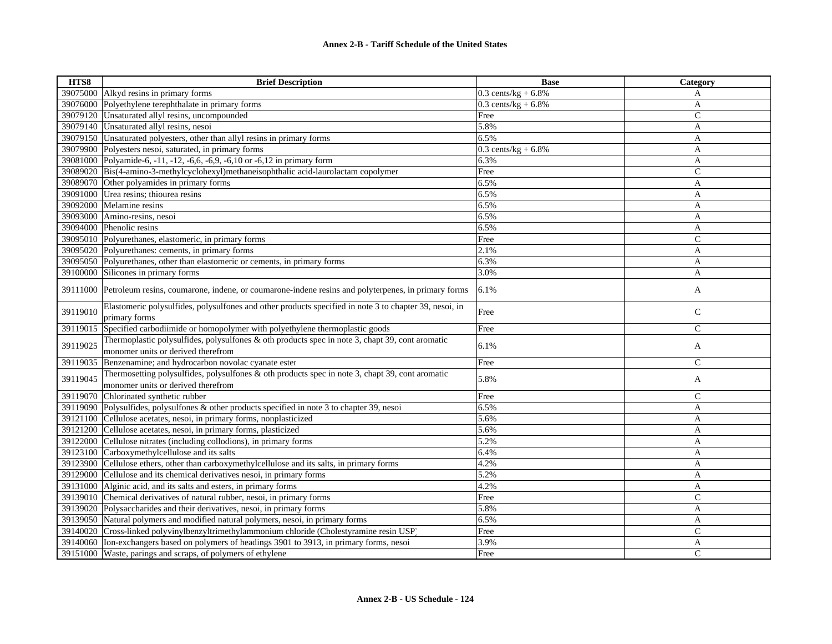| HTS8     | <b>Brief Description</b>                                                                                                                 | <b>Base</b>           | Category      |
|----------|------------------------------------------------------------------------------------------------------------------------------------------|-----------------------|---------------|
|          | 39075000 Alkyd resins in primary forms                                                                                                   | $0.3$ cents/kg + 6.8% | A             |
| 39076000 | Polyethylene terephthalate in primary forms                                                                                              | $0.3$ cents/kg + 6.8% | A             |
| 39079120 | Unsaturated allyl resins, uncompounded                                                                                                   | Free                  | $\mathsf{C}$  |
| 39079140 | Unsaturated allyl resins, nesoi                                                                                                          | 5.8%                  | A             |
|          | 39079150 Unsaturated polyesters, other than allyl resins in primary forms                                                                | 6.5%                  | A             |
|          | 39079900 Polyesters nesoi, saturated, in primary forms                                                                                   | $0.3$ cents/kg + 6.8% | A             |
| 39081000 | Polyamide-6, -11, -12, -6,6, -6,9, -6,10 or -6,12 in primary form                                                                        | 6.3%                  | A             |
|          | 39089020 Bis(4-amino-3-methylcyclohexyl)methaneisophthalic acid-laurolactam copolymer                                                    | Free                  | ${\bf C}$     |
|          | 39089070 Other polyamides in primary forms                                                                                               | 6.5%                  | A             |
| 39091000 | Urea resins; thiourea resins                                                                                                             | 6.5%                  | A             |
| 39092000 | Melamine resins                                                                                                                          | 6.5%                  | A             |
|          | 39093000 Amino-resins, nesoi                                                                                                             | 6.5%                  | A             |
| 39094000 | Phenolic resins                                                                                                                          | 6.5%                  | A             |
| 39095010 | Polyurethanes, elastomeric, in primary forms                                                                                             | Free                  | $\mathcal{C}$ |
| 39095020 | Polyurethanes: cements, in primary forms                                                                                                 | 2.1%                  | A             |
|          | 39095050 Polyurethanes, other than elastomeric or cements, in primary forms                                                              | 6.3%                  | A             |
| 39100000 | Silicones in primary forms                                                                                                               | 3.0%                  | A             |
| 39111000 | Petroleum resins, coumarone, indene, or coumarone-indene resins and polyterpenes, in primary forms                                       | 6.1%                  | A             |
| 39119010 | Elastomeric polysulfides, polysulfones and other products specified in note 3 to chapter 39, nesoi, in<br>primary forms                  | Free                  | $\mathsf{C}$  |
| 39119015 | Specified carbodiimide or homopolymer with polyethylene thermoplastic goods                                                              | Free                  | $\mathcal{C}$ |
| 39119025 | Thermoplastic polysulfides, polysulfones $\&$ oth products spec in note 3, chapt 39, cont aromatic<br>monomer units or derived therefrom | 6.1%                  | A             |
| 39119035 | Benzenamine; and hydrocarbon novolac cyanate ester                                                                                       | Free                  | $\mathcal{C}$ |
| 39119045 | Thermosetting polysulfides, polysulfones & oth products spec in note 3, chapt 39, cont aromatic<br>monomer units or derived therefrom    | 5.8%                  | A             |
| 39119070 | Chlorinated synthetic rubber                                                                                                             | Free                  | $\mathsf{C}$  |
| 39119090 | Polysulfides, polysulfones & other products specified in note 3 to chapter 39, nesoi                                                     | 6.5%                  | A             |
| 39121100 | Cellulose acetates, nesoi, in primary forms, nonplasticized                                                                              | 5.6%                  | A             |
|          | 39121200 Cellulose acetates, nesoi, in primary forms, plasticized                                                                        | 5.6%                  | A             |
| 39122000 | Cellulose nitrates (including collodions), in primary forms                                                                              | 5.2%                  | A             |
| 39123100 | Carboxymethylcellulose and its salts                                                                                                     | 6.4%                  | A             |
|          | 39123900 Cellulose ethers, other than carboxymethylcellulose and its salts, in primary forms                                             | 4.2%                  | A             |
| 39129000 | Cellulose and its chemical derivatives nesoi, in primary forms                                                                           | 5.2%                  | A             |
|          | 39131000 Alginic acid, and its salts and esters, in primary forms                                                                        | 4.2%                  | A             |
| 39139010 | Chemical derivatives of natural rubber, nesoi, in primary forms                                                                          | Free                  | $\mathsf{C}$  |
|          | 39139020 Polysaccharides and their derivatives, nesoi, in primary forms                                                                  | 5.8%                  | A             |
| 39139050 | Natural polymers and modified natural polymers, nesoi, in primary forms                                                                  | 6.5%                  | A             |
| 39140020 | Cross-linked polyvinylbenzyltrimethylammonium chloride (Cholestyramine resin USP)                                                        | Free                  | $\mathcal{C}$ |
| 39140060 | Ion-exchangers based on polymers of headings 3901 to 3913, in primary forms, nesoi                                                       | 3.9%                  | A             |
|          | 39151000 Waste, parings and scraps, of polymers of ethylene                                                                              | Free                  | $\mathcal{C}$ |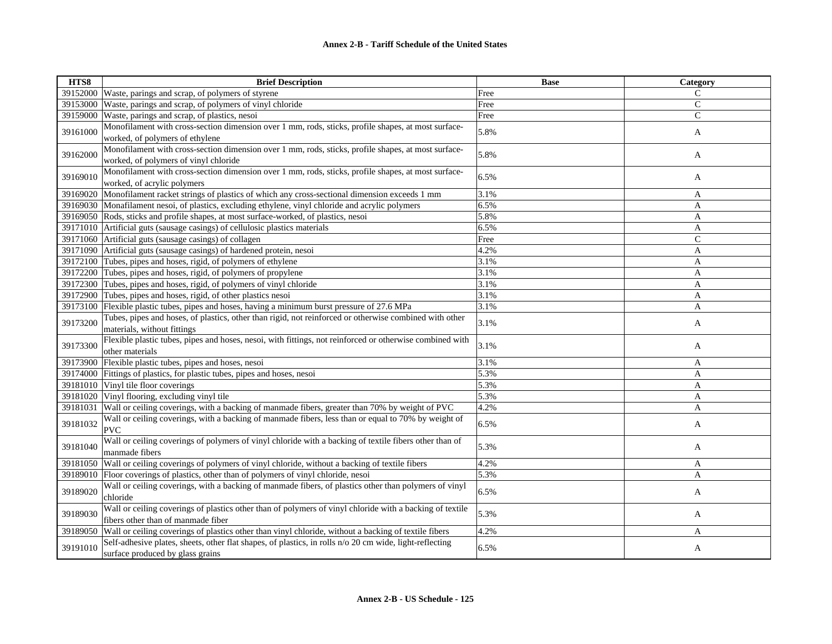| HTS8     | <b>Brief Description</b>                                                                                 | <b>Base</b> | Category     |
|----------|----------------------------------------------------------------------------------------------------------|-------------|--------------|
| 39152000 | Waste, parings and scrap, of polymers of styrene                                                         | Free        | $\mathsf{C}$ |
| 39153000 | Waste, parings and scrap, of polymers of vinyl chloride                                                  | Free        | $\mathbf C$  |
| 39159000 | Waste, parings and scrap, of plastics, nesoi                                                             | Free        | $\mathsf{C}$ |
|          | Monofilament with cross-section dimension over 1 mm, rods, sticks, profile shapes, at most surface-      |             |              |
| 39161000 | worked, of polymers of ethylene                                                                          | 5.8%        | A            |
|          | Monofilament with cross-section dimension over 1 mm, rods, sticks, profile shapes, at most surface-      |             |              |
| 39162000 | worked, of polymers of vinyl chloride                                                                    | 5.8%        | A            |
|          | Monofilament with cross-section dimension over 1 mm, rods, sticks, profile shapes, at most surface-      |             |              |
| 39169010 | worked, of acrylic polymers                                                                              | 6.5%        | A            |
| 39169020 | Monofilament racket strings of plastics of which any cross-sectional dimension exceeds 1 mm              | 3.1%        | A            |
| 39169030 | Monafilament nesoi, of plastics, excluding ethylene, vinyl chloride and acrylic polymers                 | 6.5%        | A            |
|          | 39169050 Rods, sticks and profile shapes, at most surface-worked, of plastics, nesoi                     | 5.8%        | A            |
|          | 39171010 Artificial guts (sausage casings) of cellulosic plastics materials                              | 6.5%        | A            |
|          | 39171060 Artificial guts (sausage casings) of collagen                                                   | Free        | $\mathsf{C}$ |
|          | 39171090 Artificial guts (sausage casings) of hardened protein, nesoi                                    | 4.2%        | A            |
|          | 39172100 Tubes, pipes and hoses, rigid, of polymers of ethylene                                          | 3.1%        | A            |
| 39172200 | Tubes, pipes and hoses, rigid, of polymers of propylene                                                  | 3.1%        | A            |
|          | 39172300 Tubes, pipes and hoses, rigid, of polymers of vinyl chloride                                    | 3.1%        | A            |
|          | 39172900 Tubes, pipes and hoses, rigid, of other plastics nesoi                                          | 3.1%        | A            |
| 39173100 | Flexible plastic tubes, pipes and hoses, having a minimum burst pressure of 27.6 MPa                     | 3.1%        | A            |
|          | Tubes, pipes and hoses, of plastics, other than rigid, not reinforced or otherwise combined with other   |             |              |
| 39173200 | materials, without fittings                                                                              | 3.1%        | A            |
|          | Flexible plastic tubes, pipes and hoses, nesoi, with fittings, not reinforced or otherwise combined with |             |              |
| 39173300 | other materials                                                                                          | 3.1%        | A            |
| 39173900 | Flexible plastic tubes, pipes and hoses, nesoi                                                           | 3.1%        | A            |
| 39174000 | Fittings of plastics, for plastic tubes, pipes and hoses, nesoi                                          | 5.3%        | A            |
| 39181010 | Vinyl tile floor coverings                                                                               | 5.3%        | $\mathbf{A}$ |
| 39181020 | Vinyl flooring, excluding vinyl tile                                                                     | 5.3%        | A            |
| 39181031 | Wall or ceiling coverings, with a backing of manmade fibers, greater than 70% by weight of PVC           | 4.2%        | A            |
|          | Wall or ceiling coverings, with a backing of manmade fibers, less than or equal to 70% by weight of      |             |              |
| 39181032 | <b>PVC</b>                                                                                               | 6.5%        | A            |
|          | Wall or ceiling coverings of polymers of vinyl chloride with a backing of textile fibers other than of   |             |              |
| 39181040 | manmade fibers                                                                                           | 5.3%        | A            |
| 39181050 | Wall or ceiling coverings of polymers of vinyl chloride, without a backing of textile fibers             | 4.2%        | A            |
| 39189010 | Floor coverings of plastics, other than of polymers of vinyl chloride, nesoi                             | 5.3%        | A            |
|          | Wall or ceiling coverings, with a backing of manmade fibers, of plastics other than polymers of vinyl    |             |              |
| 39189020 | chloride                                                                                                 | 6.5%        | A            |
|          | Wall or ceiling coverings of plastics other than of polymers of vinyl chloride with a backing of textile |             |              |
| 39189030 | fibers other than of manmade fiber                                                                       | 5.3%        | A            |
| 39189050 | Wall or ceiling coverings of plastics other than vinyl chloride, without a backing of textile fibers     | 4.2%        | A            |
|          | Self-adhesive plates, sheets, other flat shapes, of plastics, in rolls n/o 20 cm wide, light-reflecting  |             |              |
| 39191010 | surface produced by glass grains                                                                         | 6.5%        | A            |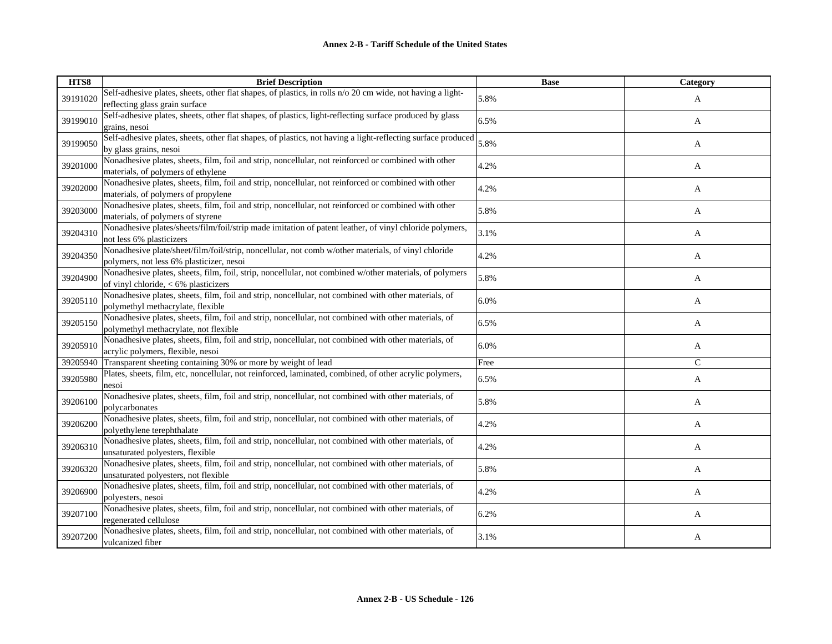| HTS8     | <b>Brief Description</b>                                                                                                                           | <b>Base</b> | <b>Category</b> |
|----------|----------------------------------------------------------------------------------------------------------------------------------------------------|-------------|-----------------|
| 39191020 | Self-adhesive plates, sheets, other flat shapes, of plastics, in rolls n/o 20 cm wide, not having a light-<br>reflecting glass grain surface       | 5.8%        | A               |
| 39199010 | Self-adhesive plates, sheets, other flat shapes, of plastics, light-reflecting surface produced by glass<br>grains, nesoi                          | 6.5%        | A               |
| 39199050 | Self-adhesive plates, sheets, other flat shapes, of plastics, not having a light-reflecting surface produced<br>by glass grains, nesoi             | 5.8%        | A               |
| 39201000 | Nonadhesive plates, sheets, film, foil and strip, noncellular, not reinforced or combined with other<br>materials, of polymers of ethylene         | 4.2%        | A               |
| 39202000 | Nonadhesive plates, sheets, film, foil and strip, noncellular, not reinforced or combined with other<br>materials, of polymers of propylene        | 4.2%        | A               |
| 39203000 | Nonadhesive plates, sheets, film, foil and strip, noncellular, not reinforced or combined with other<br>materials, of polymers of styrene          | 5.8%        | A               |
| 39204310 | Nonadhesive plates/sheets/film/foil/strip made imitation of patent leather, of vinyl chloride polymers,<br>not less 6% plasticizers                | 3.1%        | A               |
| 39204350 | Nonadhesive plate/sheet/film/foil/strip, noncellular, not comb w/other materials, of vinyl chloride<br>polymers, not less 6% plasticizer, nesoi    | 4.2%        | A               |
| 39204900 | Nonadhesive plates, sheets, film, foil, strip, noncellular, not combined w/other materials, of polymers<br>of vinyl chloride, $< 6\%$ plasticizers | 5.8%        | A               |
| 39205110 | Nonadhesive plates, sheets, film, foil and strip, noncellular, not combined with other materials, of<br>polymethyl methacrylate, flexible          | 6.0%        | A               |
| 39205150 | Nonadhesive plates, sheets, film, foil and strip, noncellular, not combined with other materials, of<br>polymethyl methacrylate, not flexible      | 6.5%        | A               |
| 39205910 | Nonadhesive plates, sheets, film, foil and strip, noncellular, not combined with other materials, of<br>acrylic polymers, flexible, nesoi          | 6.0%        | A               |
| 39205940 | Transparent sheeting containing 30% or more by weight of lead                                                                                      | Free        | $\mathcal{C}$   |
| 39205980 | Plates, sheets, film, etc, noncellular, not reinforced, laminated, combined, of other acrylic polymers,<br>nesoi                                   | 6.5%        | A               |
| 39206100 | Nonadhesive plates, sheets, film, foil and strip, noncellular, not combined with other materials, of<br>polycarbonates                             | 5.8%        | A               |
| 39206200 | Nonadhesive plates, sheets, film, foil and strip, noncellular, not combined with other materials, of<br>polyethylene terephthalate                 | 4.2%        | A               |
| 39206310 | Nonadhesive plates, sheets, film, foil and strip, noncellular, not combined with other materials, of<br>unsaturated polyesters, flexible           | 4.2%        | A               |
| 39206320 | Nonadhesive plates, sheets, film, foil and strip, noncellular, not combined with other materials, of<br>unsaturated polyesters, not flexible       | 5.8%        | A               |
| 39206900 | Nonadhesive plates, sheets, film, foil and strip, noncellular, not combined with other materials, of<br>polyesters, nesoi                          | 4.2%        | A               |
| 39207100 | Nonadhesive plates, sheets, film, foil and strip, noncellular, not combined with other materials, of<br>regenerated cellulose                      | 6.2%        | A               |
| 39207200 | Nonadhesive plates, sheets, film, foil and strip, noncellular, not combined with other materials, of<br>vulcanized fiber                           | 3.1%        | A               |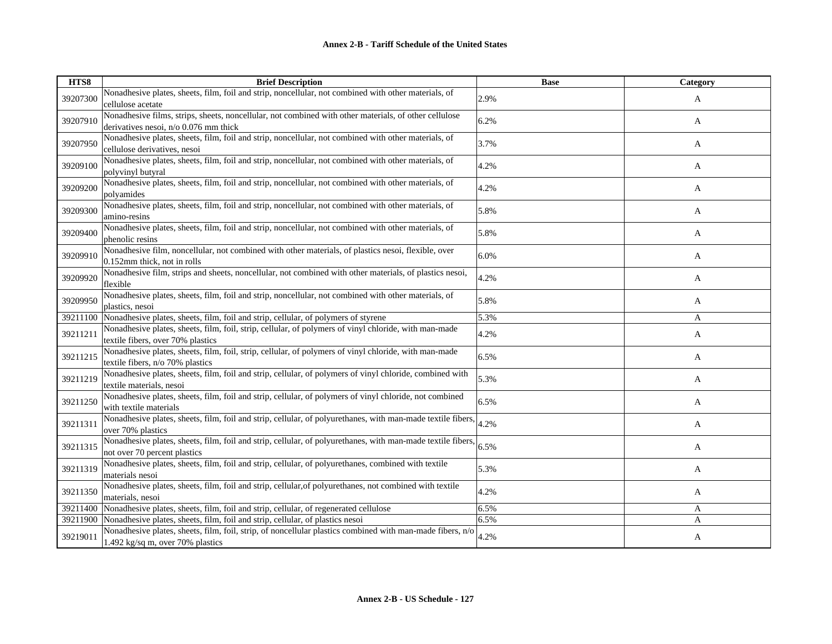| HTS8     | <b>Brief Description</b>                                                                                                                                  | <b>Base</b> | <b>Category</b> |
|----------|-----------------------------------------------------------------------------------------------------------------------------------------------------------|-------------|-----------------|
| 39207300 | Nonadhesive plates, sheets, film, foil and strip, noncellular, not combined with other materials, of<br>cellulose acetate                                 | 2.9%        | A               |
| 39207910 | Nonadhesive films, strips, sheets, noncellular, not combined with other materials, of other cellulose<br>derivatives nesoi, n/o 0.076 mm thick            | 6.2%        | A               |
| 39207950 | Nonadhesive plates, sheets, film, foil and strip, noncellular, not combined with other materials, of<br>cellulose derivatives, nesoi                      | 3.7%        | A               |
| 39209100 | Nonadhesive plates, sheets, film, foil and strip, noncellular, not combined with other materials, of<br>polyvinyl butyral                                 | 4.2%        | A               |
| 39209200 | Nonadhesive plates, sheets, film, foil and strip, noncellular, not combined with other materials, of<br>polyamides                                        | 4.2%        | A               |
| 39209300 | Nonadhesive plates, sheets, film, foil and strip, noncellular, not combined with other materials, of<br>amino-resins                                      | 5.8%        | A               |
| 39209400 | Nonadhesive plates, sheets, film, foil and strip, noncellular, not combined with other materials, of<br>phenolic resins                                   | 5.8%        | A               |
| 39209910 | Nonadhesive film, noncellular, not combined with other materials, of plastics nesoi, flexible, over<br>0.152mm thick, not in rolls                        | 6.0%        | A               |
| 39209920 | Nonadhesive film, strips and sheets, noncellular, not combined with other materials, of plastics nesoi,<br>flexible                                       | 4.2%        | A               |
| 39209950 | Nonadhesive plates, sheets, film, foil and strip, noncellular, not combined with other materials, of<br>plastics, nesoi                                   | 5.8%        | A               |
| 39211100 | Nonadhesive plates, sheets, film, foil and strip, cellular, of polymers of styrene                                                                        | 5.3%        | A               |
| 39211211 | Nonadhesive plates, sheets, film, foil, strip, cellular, of polymers of vinyl chloride, with man-made<br>textile fibers, over 70% plastics                | 4.2%        | A               |
| 39211215 | Nonadhesive plates, sheets, film, foil, strip, cellular, of polymers of vinyl chloride, with man-made<br>textile fibers, n/o 70% plastics                 | 6.5%        | A               |
| 39211219 | Nonadhesive plates, sheets, film, foil and strip, cellular, of polymers of vinyl chloride, combined with<br>textile materials, nesoi                      | 5.3%        | A               |
| 39211250 | Nonadhesive plates, sheets, film, foil and strip, cellular, of polymers of vinyl chloride, not combined<br>with textile materials                         | 6.5%        | A               |
| 39211311 | Nonadhesive plates, sheets, film, foil and strip, cellular, of polyurethanes, with man-made textile fibers,<br>over 70% plastics                          | 4.2%        | A               |
| 39211315 | Nonadhesive plates, sheets, film, foil and strip, cellular, of polyurethanes, with man-made textile fibers, $\Big  6.5\%$<br>not over 70 percent plastics |             | A               |
| 39211319 | Nonadhesive plates, sheets, film, foil and strip, cellular, of polyurethanes, combined with textile<br>materials nesoi                                    | 5.3%        | A               |
| 39211350 | Nonadhesive plates, sheets, film, foil and strip, cellular, of polyurethanes, not combined with textile<br>materials, nesoi                               | 4.2%        | A               |
| 39211400 | Nonadhesive plates, sheets, film, foil and strip, cellular, of regenerated cellulose                                                                      | 6.5%        | A               |
| 39211900 | Nonadhesive plates, sheets, film, foil and strip, cellular, of plastics nesoi                                                                             | 6.5%        | A               |
| 39219011 | Nonadhesive plates, sheets, film, foil, strip, of noncellular plastics combined with man-made fibers, n/o<br>1.492 kg/sq m, over 70% plastics             | 4.2%        | A               |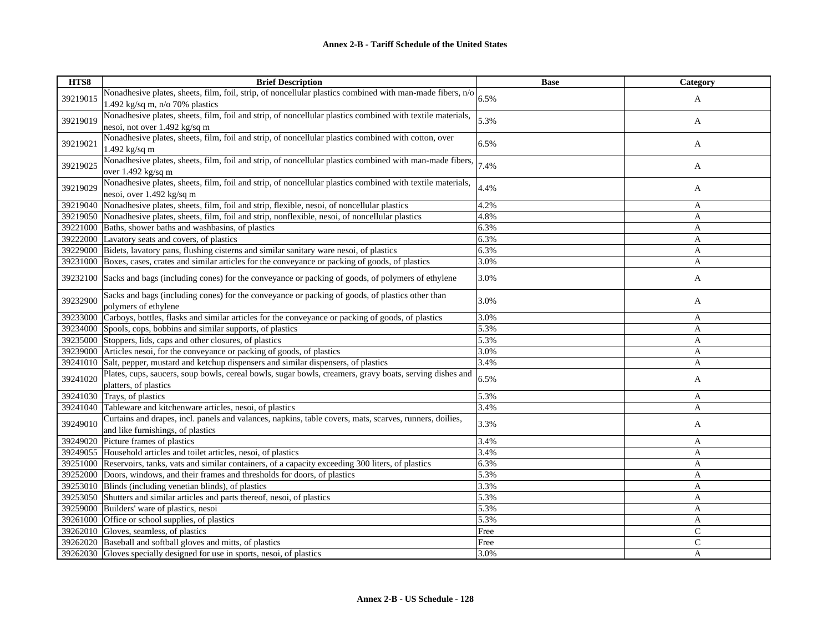| HTS8     | <b>Brief Description</b>                                                                                   | <b>Base</b> | Category     |
|----------|------------------------------------------------------------------------------------------------------------|-------------|--------------|
| 39219015 | Nonadhesive plates, sheets, film, foil, strip, of noncellular plastics combined with man-made fibers, n/o  | 6.5%        |              |
|          | 1.492 kg/sq m, $n/o$ 70% plastics                                                                          |             | A            |
|          | Nonadhesive plates, sheets, film, foil and strip, of noncellular plastics combined with textile materials, |             |              |
| 39219019 | nesoi, not over 1.492 kg/sq m                                                                              | 5.3%        | A            |
|          | Nonadhesive plates, sheets, film, foil and strip, of noncellular plastics combined with cotton, over       |             |              |
| 39219021 | $1.492$ kg/sq m                                                                                            | 6.5%        | A            |
|          | Nonadhesive plates, sheets, film, foil and strip, of noncellular plastics combined with man-made fibers,   | 7.4%        |              |
| 39219025 | over 1.492 kg/sq m                                                                                         |             | A            |
|          | Nonadhesive plates, sheets, film, foil and strip, of noncellular plastics combined with textile materials, |             |              |
| 39219029 | nesoi, over 1.492 kg/sq m                                                                                  | 4.4%        | A            |
| 39219040 | Nonadhesive plates, sheets, film, foil and strip, flexible, nesoi, of noncellular plastics                 | 4.2%        | A            |
| 39219050 | Nonadhesive plates, sheets, film, foil and strip, nonflexible, nesoi, of noncellular plastics              | 4.8%        | A            |
| 39221000 | Baths, shower baths and washbasins, of plastics                                                            | 6.3%        | A            |
| 39222000 | Lavatory seats and covers, of plastics                                                                     | 6.3%        | A            |
| 39229000 | Bidets, lavatory pans, flushing cisterns and similar sanitary ware nesoi, of plastics                      | 6.3%        | A            |
| 39231000 | Boxes, cases, crates and similar articles for the conveyance or packing of goods, of plastics              | 3.0%        | A            |
| 39232100 | Sacks and bags (including cones) for the conveyance or packing of goods, of polymers of ethylene           | 3.0%        | A            |
|          |                                                                                                            |             |              |
| 39232900 | Sacks and bags (including cones) for the conveyance or packing of goods, of plastics other than            | 3.0%        | A            |
|          | polymers of ethylene                                                                                       |             |              |
| 39233000 | Carboys, bottles, flasks and similar articles for the conveyance or packing of goods, of plastics          | 3.0%        | A            |
| 39234000 | Spools, cops, bobbins and similar supports, of plastics                                                    | 5.3%        | A            |
|          | 39235000 Stoppers, lids, caps and other closures, of plastics                                              | 5.3%        | A            |
| 39239000 | Articles nesoi, for the conveyance or packing of goods, of plastics                                        | 3.0%        | A            |
| 39241010 | Salt, pepper, mustard and ketchup dispensers and similar dispensers, of plastics                           | 3.4%        | A            |
| 39241020 | Plates, cups, saucers, soup bowls, cereal bowls, sugar bowls, creamers, gravy boats, serving dishes and    | 6.5%        | A            |
|          | platters, of plastics                                                                                      |             |              |
| 39241030 | Trays, of plastics                                                                                         | 5.3%        | A            |
| 39241040 | Tableware and kitchenware articles, nesoi, of plastics                                                     | 3.4%        | A            |
| 39249010 | Curtains and drapes, incl. panels and valances, napkins, table covers, mats, scarves, runners, doilies,    | 3.3%        | A            |
|          | and like furnishings, of plastics                                                                          |             |              |
| 39249020 | Picture frames of plastics                                                                                 | 3.4%        | A            |
| 39249055 | Household articles and toilet articles, nesoi, of plastics                                                 | 3.4%        | A            |
| 39251000 | Reservoirs, tanks, vats and similar containers, of a capacity exceeding 300 liters, of plastics            | 6.3%        | A            |
| 39252000 | Doors, windows, and their frames and thresholds for doors, of plastics                                     | 5.3%        | A            |
| 39253010 | Blinds (including venetian blinds), of plastics                                                            | 3.3%        | A            |
| 39253050 | Shutters and similar articles and parts thereof, nesoi, of plastics                                        | 5.3%        | A            |
| 39259000 | Builders' ware of plastics, nesoi                                                                          | 5.3%        | A            |
| 39261000 | Office or school supplies, of plastics                                                                     | 5.3%        | A            |
| 39262010 | Gloves, seamless, of plastics                                                                              | Free        | $\mathsf{C}$ |
| 39262020 | Baseball and softball gloves and mitts, of plastics                                                        | Free        | $\mathsf{C}$ |
| 39262030 | Gloves specially designed for use in sports, nesoi, of plastics                                            | 3.0%        | A            |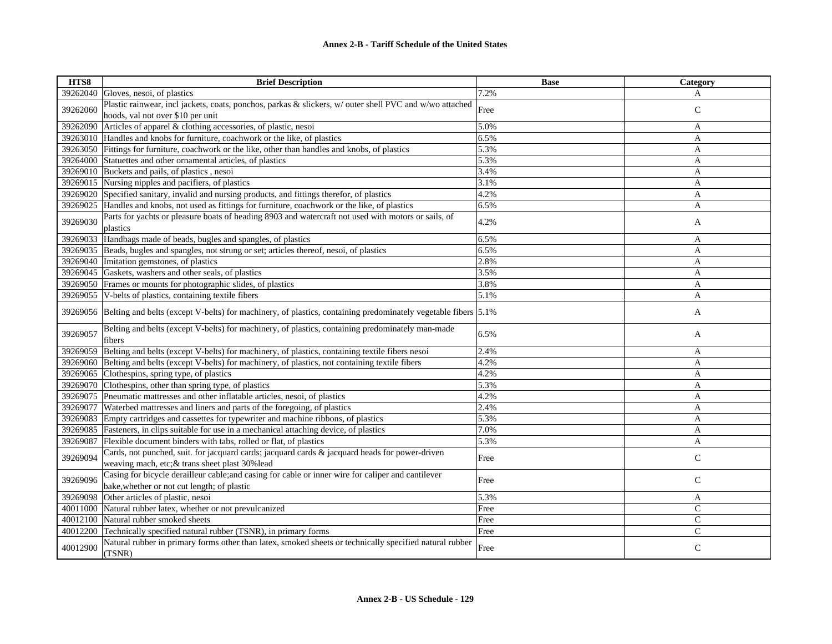| HTS8     | <b>Brief Description</b>                                                                                                                          | <b>Base</b> | Category     |
|----------|---------------------------------------------------------------------------------------------------------------------------------------------------|-------------|--------------|
| 39262040 | Gloves, nesoi, of plastics                                                                                                                        | 7.2%        | A            |
| 39262060 | Plastic rainwear, incl jackets, coats, ponchos, parkas & slickers, w/ outer shell PVC and w/wo attached<br>hoods, val not over \$10 per unit      | Free        | $\mathsf{C}$ |
| 39262090 | Articles of apparel & clothing accessories, of plastic, nesoi                                                                                     | 5.0%        | A            |
| 39263010 | Handles and knobs for furniture, coachwork or the like, of plastics                                                                               | 6.5%        | A            |
| 39263050 | Fittings for furniture, coachwork or the like, other than handles and knobs, of plastics                                                          | 5.3%        | A            |
| 39264000 | Statuettes and other ornamental articles, of plastics                                                                                             | 5.3%        | A            |
| 39269010 | Buckets and pails, of plastics, nesoi                                                                                                             | 3.4%        | A            |
| 39269015 | Nursing nipples and pacifiers, of plastics                                                                                                        | 3.1%        | A            |
| 39269020 | Specified sanitary, invalid and nursing products, and fittings therefor, of plastics                                                              | 4.2%        | $\mathbf{A}$ |
| 39269025 | Handles and knobs, not used as fittings for furniture, coachwork or the like, of plastics                                                         | 6.5%        | A            |
| 39269030 | Parts for yachts or pleasure boats of heading 8903 and watercraft not used with motors or sails, of<br>plastics                                   | 4.2%        | A            |
| 39269033 | Handbags made of beads, bugles and spangles, of plastics                                                                                          | 6.5%        | A            |
| 39269035 | Beads, bugles and spangles, not strung or set; articles thereof, nesoi, of plastics                                                               | 6.5%        | A            |
| 39269040 | Imitation gemstones, of plastics                                                                                                                  | 2.8%        | A            |
| 39269045 | Gaskets, washers and other seals, of plastics                                                                                                     | 3.5%        | A            |
| 39269050 | Frames or mounts for photographic slides, of plastics                                                                                             | 3.8%        | A            |
| 39269055 | V-belts of plastics, containing textile fibers                                                                                                    | 5.1%        | $\mathbf{A}$ |
|          | 39269056 Belting and belts (except V-belts) for machinery, of plastics, containing predominately vegetable fibers [5.1%]                          |             | A            |
| 39269057 | Belting and belts (except V-belts) for machinery, of plastics, containing predominately man-made<br>fibers                                        | 6.5%        | A            |
| 39269059 | Belting and belts (except V-belts) for machinery, of plastics, containing textile fibers nesoi                                                    | 2.4%        | A            |
| 39269060 | Belting and belts (except V-belts) for machinery, of plastics, not containing textile fibers                                                      | 4.2%        | A            |
| 39269065 | Clothespins, spring type, of plastics                                                                                                             | 4.2%        | A            |
| 39269070 | Clothespins, other than spring type, of plastics                                                                                                  | 5.3%        | A            |
| 39269075 | Pneumatic mattresses and other inflatable articles, nesoi, of plastics                                                                            | 4.2%        | $\mathbf{A}$ |
| 39269077 | Waterbed mattresses and liners and parts of the foregoing, of plastics                                                                            | 2.4%        | A            |
| 39269083 | Empty cartridges and cassettes for typewriter and machine ribbons, of plastics                                                                    | 5.3%        | A            |
| 39269085 | Fasteners, in clips suitable for use in a mechanical attaching device, of plastics                                                                | 7.0%        | $\mathbf{A}$ |
| 39269087 | Flexible document binders with tabs, rolled or flat, of plastics                                                                                  | 5.3%        | A            |
| 39269094 | Cards, not punched, suit. for jacquard cards; jacquard cards & jacquard heads for power-driven<br>weaving mach, etc; & trans sheet plast 30% lead | Free        | $\mathsf{C}$ |
| 39269096 | Casing for bicycle derailleur cable; and casing for cable or inner wire for caliper and cantilever<br>bake, whether or not cut length; of plastic | Free        | $\mathsf{C}$ |
| 39269098 | Other articles of plastic, nesoi                                                                                                                  | 5.3%        | A            |
| 40011000 | Natural rubber latex, whether or not prevulcanized                                                                                                | Free        | $\mathsf{C}$ |
| 40012100 | Natural rubber smoked sheets                                                                                                                      | Free        | $\mathsf{C}$ |
| 40012200 | Technically specified natural rubber (TSNR), in primary forms                                                                                     | Free        | $\mathsf{C}$ |
| 40012900 | Natural rubber in primary forms other than latex, smoked sheets or technically specified natural rubber<br>(TSNR)                                 | Free        | $\mathsf{C}$ |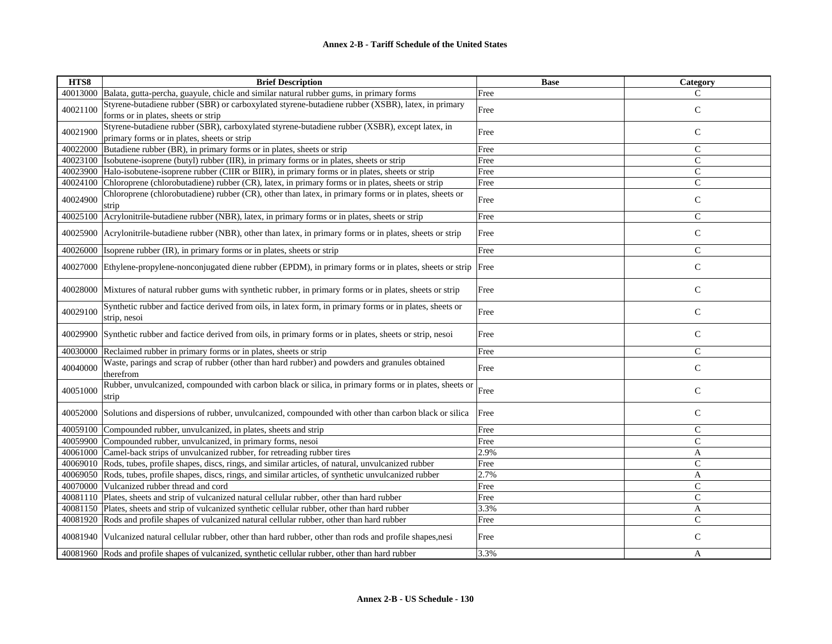| HTS8     | <b>Brief Description</b>                                                                                                                            | <b>Base</b>  | Category       |
|----------|-----------------------------------------------------------------------------------------------------------------------------------------------------|--------------|----------------|
| 40013000 | Balata, gutta-percha, guayule, chicle and similar natural rubber gums, in primary forms                                                             | Free         | C              |
| 40021100 | Styrene-butadiene rubber (SBR) or carboxylated styrene-butadiene rubber (XSBR), latex, in primary                                                   | Free         | $\mathsf{C}$   |
|          | forms or in plates, sheets or strip                                                                                                                 |              |                |
| 40021900 | Styrene-butadiene rubber (SBR), carboxylated styrene-butadiene rubber (XSBR), except latex, in                                                      | Free         | $\mathsf{C}$   |
|          | primary forms or in plates, sheets or strip                                                                                                         |              |                |
| 40022000 | Butadiene rubber (BR), in primary forms or in plates, sheets or strip                                                                               | Free         | $\mathsf{C}$   |
| 40023100 | Isobutene-isoprene (butyl) rubber (IIR), in primary forms or in plates, sheets or strip                                                             | Free         | $\mathsf{C}$   |
| 40023900 | Halo-isobutene-isoprene rubber (CIIR or BIIR), in primary forms or in plates, sheets or strip                                                       | Free         | $\mathsf{C}$   |
| 40024100 | Chloroprene (chlorobutadiene) rubber (CR), latex, in primary forms or in plates, sheets or strip                                                    | Free         | $\mathsf{C}$   |
| 40024900 | Chloroprene (chlorobutadiene) rubber (CR), other than latex, in primary forms or in plates, sheets or                                               | Free         | $\mathsf C$    |
|          | strip                                                                                                                                               |              |                |
| 40025100 | Acrylonitrile-butadiene rubber (NBR), latex, in primary forms or in plates, sheets or strip                                                         | Free         | $\mathbf C$    |
| 40025900 | Acrylonitrile-butadiene rubber (NBR), other than latex, in primary forms or in plates, sheets or strip                                              | Free         | $\mathsf{C}$   |
|          |                                                                                                                                                     |              |                |
| 40026000 | Isoprene rubber (IR), in primary forms or in plates, sheets or strip                                                                                | Free         | $\mathsf{C}$   |
| 40027000 | Ethylene-propylene-nonconjugated diene rubber (EPDM), in primary forms or in plates, sheets or strip Free                                           |              | $\mathsf{C}$   |
|          |                                                                                                                                                     |              |                |
| 40028000 | Mixtures of natural rubber gums with synthetic rubber, in primary forms or in plates, sheets or strip                                               | Free         | $\mathbf C$    |
|          |                                                                                                                                                     |              |                |
| 40029100 | Synthetic rubber and factice derived from oils, in latex form, in primary forms or in plates, sheets or                                             | Free         | $\mathbf C$    |
|          | strip, nesoi                                                                                                                                        |              |                |
| 40029900 | Synthetic rubber and factice derived from oils, in primary forms or in plates, sheets or strip, nesoi                                               | Free         | $\mathsf{C}$   |
|          |                                                                                                                                                     |              |                |
| 40030000 | Reclaimed rubber in primary forms or in plates, sheets or strip                                                                                     | Free         | $\mathsf{C}$   |
| 40040000 | Waste, parings and scrap of rubber (other than hard rubber) and powders and granules obtained                                                       | Free         | $\mathsf C$    |
|          | therefrom                                                                                                                                           |              |                |
| 40051000 | Rubber, unvulcanized, compounded with carbon black or silica, in primary forms or in plates, sheets or                                              | Free         | $\mathbf C$    |
|          | strip                                                                                                                                               |              |                |
| 40052000 | Solutions and dispersions of rubber, unvulcanized, compounded with other than carbon black or silical                                               | Free         | $\mathsf{C}$   |
|          |                                                                                                                                                     |              | $\mathsf{C}$   |
| 40059100 | Compounded rubber, unvulcanized, in plates, sheets and strip                                                                                        | Free         | $\mathsf{C}$   |
|          | 40059900 Compounded rubber, unvulcanized, in primary forms, nesoi<br>40061000 Camel-back strips of unvulcanized rubber, for retreading rubber tires | Free<br>2.9% |                |
|          |                                                                                                                                                     |              | A              |
| 40069010 | Rods, tubes, profile shapes, discs, rings, and similar articles, of natural, unvulcanized rubber                                                    | Free<br>2.7% | $\mathsf{C}$   |
|          | 40069050 Rods, tubes, profile shapes, discs, rings, and similar articles, of synthetic unvulcanized rubber                                          |              | A              |
| 40070000 | Vulcanized rubber thread and cord                                                                                                                   | Free         | $\mathsf{C}$   |
|          | 40081110 Plates, sheets and strip of vulcanized natural cellular rubber, other than hard rubber                                                     | Free         | $\mathsf{C}$   |
|          | 40081150 Plates, sheets and strip of vulcanized synthetic cellular rubber, other than hard rubber                                                   | 3.3%         | A              |
|          | 40081920 Rods and profile shapes of vulcanized natural cellular rubber, other than hard rubber                                                      | Free         | $\overline{C}$ |
|          | 40081940 Vulcanized natural cellular rubber, other than hard rubber, other than rods and profile shapes, nesi                                       | Free         | $\mathsf{C}$   |
|          | 40081960 Rods and profile shapes of vulcanized, synthetic cellular rubber, other than hard rubber                                                   | 3.3%         | A              |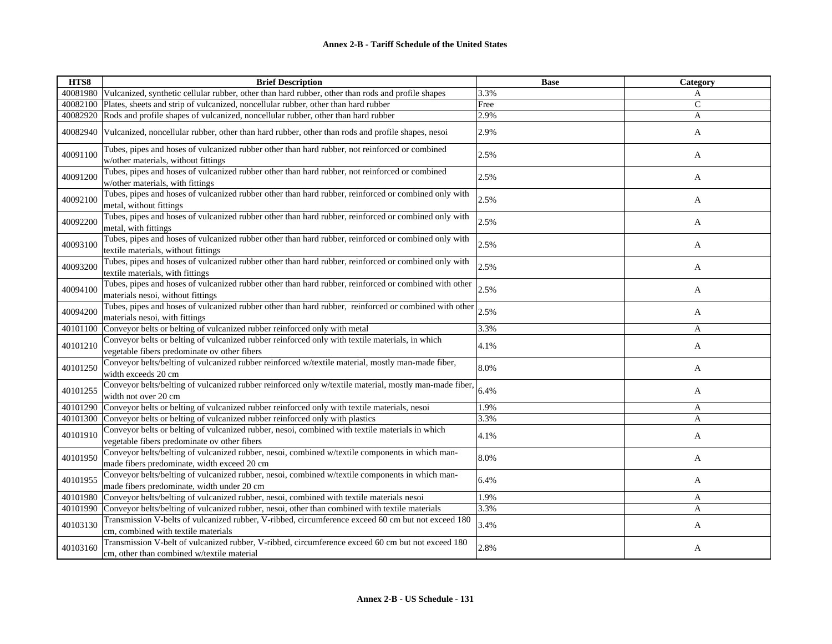| HTS8     | <b>Brief Description</b>                                                                                                                        | <b>Base</b> | Category      |
|----------|-------------------------------------------------------------------------------------------------------------------------------------------------|-------------|---------------|
|          | 40081980 Vulcanized, synthetic cellular rubber, other than hard rubber, other than rods and profile shapes                                      | 3.3%        | A             |
|          | 40082100 Plates, sheets and strip of vulcanized, noncellular rubber, other than hard rubber                                                     | Free        | $\mathcal{C}$ |
|          | 40082920 Rods and profile shapes of vulcanized, noncellular rubber, other than hard rubber                                                      | 2.9%        | $\mathbf{A}$  |
| 40082940 | Vulcanized, noncellular rubber, other than hard rubber, other than rods and profile shapes, nesoi                                               | 2.9%        | A             |
| 40091100 | Tubes, pipes and hoses of vulcanized rubber other than hard rubber, not reinforced or combined<br>w/other materials, without fittings           | 2.5%        | A             |
| 40091200 | Tubes, pipes and hoses of vulcanized rubber other than hard rubber, not reinforced or combined<br>w/other materials, with fittings              | 2.5%        | A             |
| 40092100 | Tubes, pipes and hoses of vulcanized rubber other than hard rubber, reinforced or combined only with<br>metal, without fittings                 | 2.5%        | A             |
| 40092200 | Tubes, pipes and hoses of vulcanized rubber other than hard rubber, reinforced or combined only with<br>metal, with fittings                    | 2.5%        | A             |
| 40093100 | Tubes, pipes and hoses of vulcanized rubber other than hard rubber, reinforced or combined only with<br>textile materials, without fittings     | 2.5%        | A             |
| 40093200 | Tubes, pipes and hoses of vulcanized rubber other than hard rubber, reinforced or combined only with<br>textile materials, with fittings        | 2.5%        | A             |
| 40094100 | Tubes, pipes and hoses of vulcanized rubber other than hard rubber, reinforced or combined with other<br>materials nesoi, without fittings      | 2.5%        | A             |
| 40094200 | Tubes, pipes and hoses of vulcanized rubber other than hard rubber, reinforced or combined with other<br>materials nesoi, with fittings         | 2.5%        | A             |
| 40101100 | Conveyor belts or belting of vulcanized rubber reinforced only with metal                                                                       | 3.3%        | A             |
| 40101210 | Conveyor belts or belting of vulcanized rubber reinforced only with textile materials, in which<br>vegetable fibers predominate ov other fibers | 4.1%        | A             |
| 40101250 | Conveyor belts/belting of vulcanized rubber reinforced w/textile material, mostly man-made fiber,<br>width exceeds 20 cm                        | 8.0%        | A             |
| 40101255 | Conveyor belts/belting of vulcanized rubber reinforced only w/textile material, mostly man-made fiber,<br>width not over 20 cm                  | 6.4%        | A             |
| 40101290 | Conveyor belts or belting of vulcanized rubber reinforced only with textile materials, nesoi                                                    | 1.9%        | A             |
|          | 40101300 Conveyor belts or belting of vulcanized rubber reinforced only with plastics                                                           | 3.3%        | A             |
| 40101910 | Conveyor belts or belting of vulcanized rubber, nesoi, combined with textile materials in which<br>vegetable fibers predominate ov other fibers | 4.1%        | A             |
| 40101950 | Conveyor belts/belting of vulcanized rubber, nesoi, combined w/textile components in which man-<br>made fibers predominate, width exceed 20 cm  | 8.0%        | A             |
| 40101955 | Conveyor belts/belting of vulcanized rubber, nesoi, combined w/textile components in which man-<br>made fibers predominate, width under 20 cm   | 6.4%        | A             |
| 40101980 | Conveyor belts/belting of vulcanized rubber, nesoi, combined with textile materials nesoi                                                       | 1.9%        | A             |
|          | 40101990 Conveyor belts/belting of vulcanized rubber, nesoi, other than combined with textile materials                                         | 3.3%        | $\mathbf{A}$  |
| 40103130 | Transmission V-belts of vulcanized rubber, V-ribbed, circumference exceed 60 cm but not exceed 180<br>cm, combined with textile materials       | 3.4%        | A             |
| 40103160 | Transmission V-belt of vulcanized rubber, V-ribbed, circumference exceed 60 cm but not exceed 180<br>cm, other than combined w/textile material | 2.8%        | A             |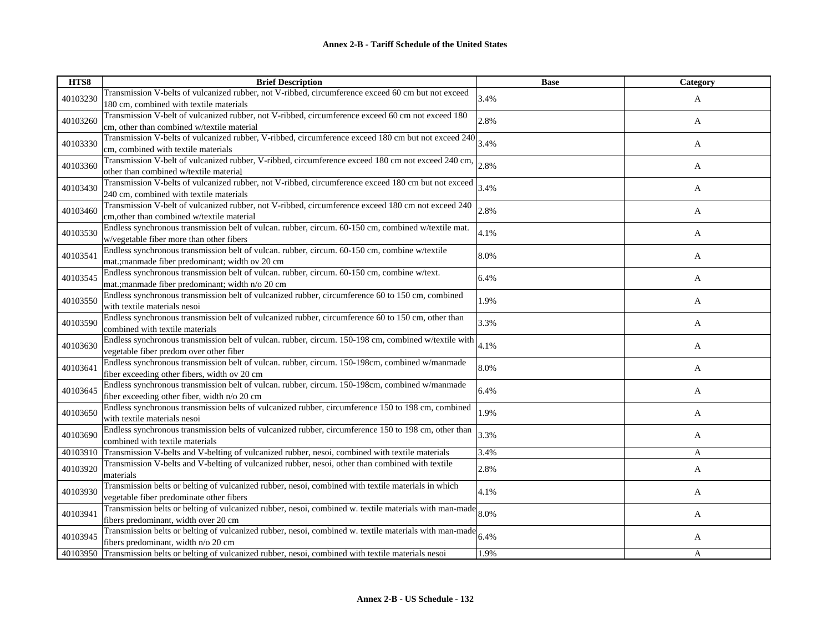| HTS8     | <b>Brief Description</b>                                                                                                                       | <b>Base</b> | Category |
|----------|------------------------------------------------------------------------------------------------------------------------------------------------|-------------|----------|
| 40103230 | Transmission V-belts of vulcanized rubber, not V-ribbed, circumference exceed 60 cm but not exceed                                             | 3.4%        | A        |
|          | 180 cm, combined with textile materials                                                                                                        |             |          |
| 40103260 | Transmission V-belt of vulcanized rubber, not V-ribbed, circumference exceed 60 cm not exceed 180                                              | 2.8%        | A        |
|          | cm, other than combined w/textile material                                                                                                     |             |          |
| 40103330 | Transmission V-belts of vulcanized rubber, V-ribbed, circumference exceed 180 cm but not exceed 240                                            | 3.4%        | A        |
|          | cm, combined with textile materials                                                                                                            |             |          |
| 40103360 | Transmission V-belt of vulcanized rubber, V-ribbed, circumference exceed 180 cm not exceed 240 cm,                                             | 2.8%        | A        |
|          | other than combined w/textile material                                                                                                         |             |          |
| 40103430 | Transmission V-belts of vulcanized rubber, not V-ribbed, circumference exceed 180 cm but not exceed                                            | 3.4%        | A        |
|          | 240 cm, combined with textile materials                                                                                                        |             |          |
| 40103460 | Transmission V-belt of vulcanized rubber, not V-ribbed, circumference exceed 180 cm not exceed 240                                             | 2.8%        | A        |
|          | cm, other than combined w/textile material                                                                                                     |             |          |
| 40103530 | Endless synchronous transmission belt of vulcan. rubber, circum. 60-150 cm, combined w/textile mat.                                            | 4.1%        | A        |
|          | w/vegetable fiber more than other fibers                                                                                                       |             |          |
| 40103541 | Endless synchronous transmission belt of vulcan. rubber, circum. 60-150 cm, combine w/textile                                                  | 8.0%        | A        |
|          | mat.; manmade fiber predominant; width ov 20 cm                                                                                                |             |          |
| 40103545 | Endless synchronous transmission belt of vulcan. rubber, circum. 60-150 cm, combine w/text.                                                    | 6.4%        | A        |
|          | mat.; manmade fiber predominant; width n/o 20 cm                                                                                               |             |          |
| 40103550 | Endless synchronous transmission belt of vulcanized rubber, circumference 60 to 150 cm, combined                                               | 1.9%        | A        |
|          | with textile materials nesoi                                                                                                                   |             |          |
| 40103590 | Endless synchronous transmission belt of vulcanized rubber, circumference 60 to 150 cm, other than                                             | 3.3%        | A        |
|          | combined with textile materials                                                                                                                |             |          |
| 40103630 | Endless synchronous transmission belt of vulcan. rubber, circum. 150-198 cm, combined w/textile with                                           | 4.1%        | A        |
|          | vegetable fiber predom over other fiber                                                                                                        |             |          |
| 40103641 | Endless synchronous transmission belt of vulcan. rubber, circum. 150-198cm, combined w/manmade                                                 | 8.0%        | A        |
|          | fiber exceeding other fibers, width ov 20 cm<br>Endless synchronous transmission belt of vulcan. rubber, circum. 150-198cm, combined w/manmade |             |          |
| 40103645 | fiber exceeding other fiber, width n/o 20 cm                                                                                                   | 6.4%        | A        |
|          | Endless synchronous transmission belts of vulcanized rubber, circumference 150 to 198 cm, combined                                             |             |          |
| 40103650 | with textile materials nesoi                                                                                                                   | 1.9%        | A        |
|          | Endless synchronous transmission belts of vulcanized rubber, circumference 150 to 198 cm, other than                                           |             |          |
| 40103690 | combined with textile materials                                                                                                                | 3.3%        | A        |
| 40103910 | Transmission V-belts and V-belting of vulcanized rubber, nesoi, combined with textile materials                                                | 3.4%        | A        |
|          | Transmission V-belts and V-belting of vulcanized rubber, nesoi, other than combined with textile                                               |             |          |
| 40103920 | materials                                                                                                                                      | 2.8%        | A        |
|          | Transmission belts or belting of vulcanized rubber, nesoi, combined with textile materials in which                                            |             |          |
| 40103930 | vegetable fiber predominate other fibers                                                                                                       | 4.1%        | A        |
|          | Transmission belts or belting of vulcanized rubber, nesoi, combined w. textile materials with man-made                                         |             |          |
| 40103941 | fibers predominant, width over 20 cm                                                                                                           | 8.0%        | A        |
|          | Transmission belts or belting of vulcanized rubber, nesoi, combined w. textile materials with man-made                                         |             |          |
| 40103945 | fibers predominant, width n/o 20 cm                                                                                                            | 6.4%        | A        |
|          | 40103950 Transmission belts or belting of vulcanized rubber, nesoi, combined with textile materials nesoi                                      | 1.9%        | A        |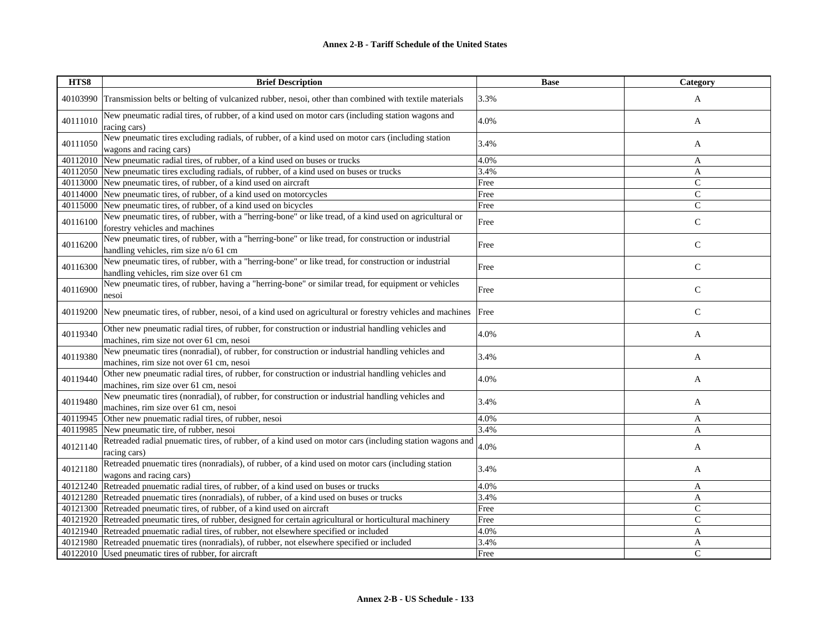| HTS8     | <b>Brief Description</b>                                                                                                                      | <b>Base</b> | Category      |
|----------|-----------------------------------------------------------------------------------------------------------------------------------------------|-------------|---------------|
|          | 40103990 Transmission belts or belting of vulcanized rubber, nesoi, other than combined with textile materials                                | 3.3%        | A             |
| 40111010 | New pneumatic radial tires, of rubber, of a kind used on motor cars (including station wagons and<br>racing cars)                             | 4.0%        | A             |
| 40111050 | New pneumatic tires excluding radials, of rubber, of a kind used on motor cars (including station<br>wagons and racing cars)                  | 3.4%        | A             |
|          | 40112010 New pneumatic radial tires, of rubber, of a kind used on buses or trucks                                                             | 4.0%        | A             |
|          | 40112050 New pneumatic tires excluding radials, of rubber, of a kind used on buses or trucks                                                  | 3.4%        | $\mathbf{A}$  |
|          | 40113000 New pneumatic tires, of rubber, of a kind used on aircraft                                                                           | Free        | $\mathcal{C}$ |
|          | 40114000 New pneumatic tires, of rubber, of a kind used on motorcycles                                                                        | Free        | $\mathsf{C}$  |
|          | 40115000 New pneumatic tires, of rubber, of a kind used on bicycles                                                                           | Free        | $\mathbf C$   |
| 40116100 | New pneumatic tires, of rubber, with a "herring-bone" or like tread, of a kind used on agricultural or<br>forestry vehicles and machines      | Free        | ${\bf C}$     |
| 40116200 | New pneumatic tires, of rubber, with a "herring-bone" or like tread, for construction or industrial<br>handling vehicles, rim size n/o 61 cm  | Free        | $\mathsf{C}$  |
| 40116300 | New pneumatic tires, of rubber, with a "herring-bone" or like tread, for construction or industrial<br>handling vehicles, rim size over 61 cm | Free        | $\mathbf C$   |
| 40116900 | New pneumatic tires, of rubber, having a "herring-bone" or similar tread, for equipment or vehicles<br>nesoi                                  | Free        | $\mathsf{C}$  |
| 40119200 | New pneumatic tires, of rubber, nesoi, of a kind used on agricultural or forestry vehicles and machines                                       | Free        | $\mathsf{C}$  |
| 40119340 | Other new pneumatic radial tires, of rubber, for construction or industrial handling vehicles and<br>machines, rim size not over 61 cm, nesoi | 4.0%        | A             |
| 40119380 | New pneumatic tires (nonradial), of rubber, for construction or industrial handling vehicles and<br>machines, rim size not over 61 cm, nesoi  | 3.4%        | A             |
| 40119440 | Other new pneumatic radial tires, of rubber, for construction or industrial handling vehicles and<br>machines, rim size over 61 cm, nesoi     | 4.0%        | A             |
| 40119480 | New pneumatic tires (nonradial), of rubber, for construction or industrial handling vehicles and<br>machines, rim size over 61 cm, nesoi      | 3.4%        | A             |
| 40119945 | Other new pnuematic radial tires, of rubber, nesoi                                                                                            | 4.0%        | A             |
| 40119985 | New pneumatic tire, of rubber, nesoi                                                                                                          | 3.4%        | A             |
| 40121140 | Retreaded radial pnuematic tires, of rubber, of a kind used on motor cars (including station wagons and<br>racing cars)                       | 4.0%        | A             |
| 40121180 | Retreaded pnuematic tires (nonradials), of rubber, of a kind used on motor cars (including station<br>wagons and racing cars)                 | 3.4%        | A             |
|          | 40121240 Retreaded pnuematic radial tires, of rubber, of a kind used on buses or trucks                                                       | 4.0%        | A             |
|          | 40121280 Retreaded pnuematic tires (nonradials), of rubber, of a kind used on buses or trucks                                                 | 3.4%        | A             |
|          | 40121300 Retreaded pneumatic tires, of rubber, of a kind used on aircraft                                                                     | Free        | $\mathsf{C}$  |
|          | 40121920 Retreaded pneumatic tires, of rubber, designed for certain agricultural or horticultural machinery                                   | Free        | $\mathsf{C}$  |
|          | 40121940 Retreaded pnuematic radial tires, of rubber, not elsewhere specified or included                                                     | 4.0%        | A             |
|          | 40121980 Retreaded pnuematic tires (nonradials), of rubber, not elsewhere specified or included                                               | 3.4%        | A             |
|          | 40122010 Used pneumatic tires of rubber, for aircraft                                                                                         | Free        | $\mathcal{C}$ |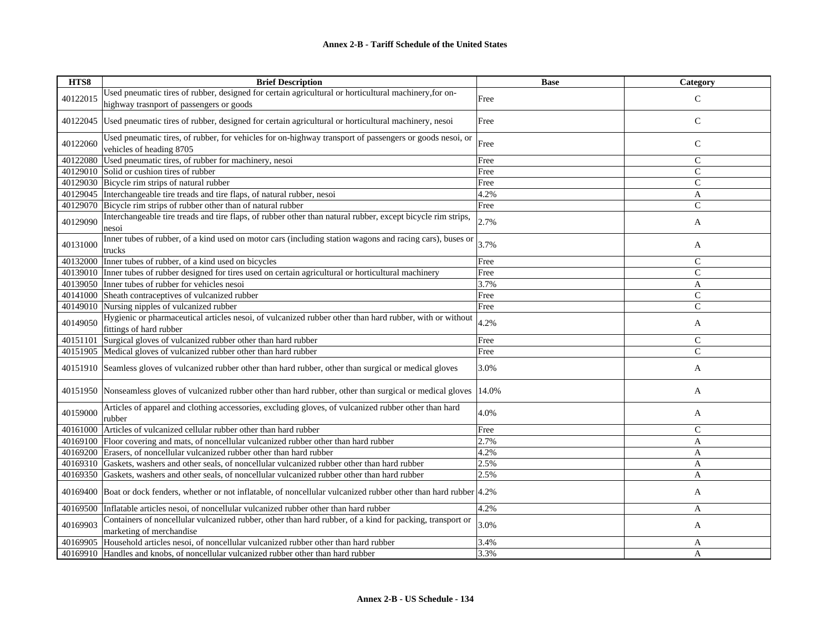| HTS8     | <b>Brief Description</b>                                                                                                             | <b>Base</b> | Category       |
|----------|--------------------------------------------------------------------------------------------------------------------------------------|-------------|----------------|
|          | Used pneumatic tires of rubber, designed for certain agricultural or horticultural machinery, for on-                                |             | $\mathcal{C}$  |
| 40122015 | highway trasnport of passengers or goods                                                                                             | Free        |                |
| 40122045 | Used pneumatic tires of rubber, designed for certain agricultural or horticultural machinery, nesoi                                  | Free        | $\mathbf C$    |
| 40122060 | Used pneumatic tires, of rubber, for vehicles for on-highway transport of passengers or goods nesoi, or<br>vehicles of heading 8705  | Free        | $\mathsf{C}$   |
| 40122080 | Used pneumatic tires, of rubber for machinery, nesoi                                                                                 | Free        | $\mathsf{C}$   |
| 40129010 | Solid or cushion tires of rubber                                                                                                     | Free        | $\mathsf{C}$   |
|          | 40129030 Bicycle rim strips of natural rubber                                                                                        | Free        | $\mathsf{C}$   |
| 40129045 | Interchangeable tire treads and tire flaps, of natural rubber, nesoi                                                                 | 4.2%        | A              |
| 40129070 | Bicycle rim strips of rubber other than of natural rubber                                                                            | Free        | $\mathsf{C}$   |
| 40129090 | Interchangeable tire treads and tire flaps, of rubber other than natural rubber, except bicycle rim strips,<br>nesoi                 | 2.7%        | A              |
| 40131000 | Inner tubes of rubber, of a kind used on motor cars (including station wagons and racing cars), buses or<br>trucks                   | 3.7%        | A              |
| 40132000 | Inner tubes of rubber, of a kind used on bicycles                                                                                    | Free        | $\mathsf{C}$   |
| 40139010 | Inner tubes of rubber designed for tires used on certain agricultural or horticultural machinery                                     | Free        | $\mathsf{C}$   |
| 40139050 | Inner tubes of rubber for vehicles nesoi                                                                                             | 3.7%        | A              |
| 40141000 | Sheath contraceptives of vulcanized rubber                                                                                           | Free        | $\mathsf{C}$   |
| 40149010 | Nursing nipples of vulcanized rubber                                                                                                 | Free        | $\overline{C}$ |
| 40149050 | Hygienic or pharmaceutical articles nesoi, of vulcanized rubber other than hard rubber, with or without<br>fittings of hard rubber   | 4.2%        | A              |
| 40151101 | Surgical gloves of vulcanized rubber other than hard rubber                                                                          | Free        | $\mathsf{C}$   |
| 40151905 | Medical gloves of vulcanized rubber other than hard rubber                                                                           | Free        | $\mathcal{C}$  |
| 40151910 | Seamless gloves of vulcanized rubber other than hard rubber, other than surgical or medical gloves                                   | 3.0%        | A              |
|          | 40151950 Nonseamless gloves of vulcanized rubber other than hard rubber, other than surgical or medical gloves                       | 14.0%       | A              |
| 40159000 | Articles of apparel and clothing accessories, excluding gloves, of vulcanized rubber other than hard<br>rubber                       | 4.0%        | A              |
| 40161000 | Articles of vulcanized cellular rubber other than hard rubber                                                                        | Free        | $\mathsf{C}$   |
|          | 40169100 Floor covering and mats, of noncellular vulcanized rubber other than hard rubber                                            | 2.7%        | $\mathbf{A}$   |
| 40169200 | Erasers, of noncellular vulcanized rubber other than hard rubber                                                                     | 4.2%        | A              |
| 40169310 | Gaskets, washers and other seals, of noncellular vulcanized rubber other than hard rubber                                            | 2.5%        | A              |
| 40169350 | Gaskets, washers and other seals, of noncellular vulcanized rubber other than hard rubber                                            | 2.5%        | A              |
|          | 40169400 Boat or dock fenders, whether or not inflatable, of noncellular vulcanized rubber other than hard rubber 4.2%               |             | A              |
| 40169500 | Inflatable articles nesoi, of noncellular vulcanized rubber other than hard rubber                                                   | 4.2%        | A              |
| 40169903 | Containers of noncellular vulcanized rubber, other than hard rubber, of a kind for packing, transport or<br>marketing of merchandise | 3.0%        | A              |
| 40169905 | Household articles nesoi, of noncellular vulcanized rubber other than hard rubber                                                    | 3.4%        | A              |
|          | 40169910 Handles and knobs, of noncellular vulcanized rubber other than hard rubber                                                  | 3.3%        | A              |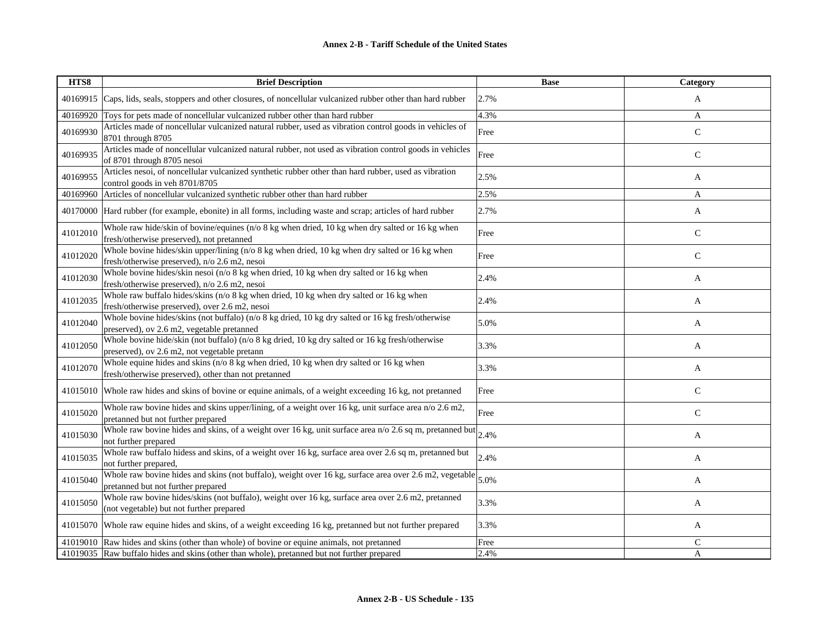| HTS8     | <b>Brief Description</b>                                                                                                                         | <b>Base</b> | Category     |
|----------|--------------------------------------------------------------------------------------------------------------------------------------------------|-------------|--------------|
|          | 40169915 Caps, lids, seals, stoppers and other closures, of noncellular vulcanized rubber other than hard rubber                                 | 2.7%        | A            |
| 40169920 | Toys for pets made of noncellular vulcanized rubber other than hard rubber                                                                       | 4.3%        | A            |
| 40169930 | Articles made of noncellular vulcanized natural rubber, used as vibration control goods in vehicles of<br>8701 through 8705                      | Free        | $\mathbf C$  |
| 40169935 | Articles made of noncellular vulcanized natural rubber, not used as vibration control goods in vehicles<br>of 8701 through 8705 nesoi            | Free        | $\mathsf{C}$ |
| 40169955 | Articles nesoi, of noncellular vulcanized synthetic rubber other than hard rubber, used as vibration<br>control goods in veh 8701/8705           | 2.5%        | A            |
| 40169960 | Articles of noncellular vulcanized synthetic rubber other than hard rubber                                                                       | 2.5%        | A            |
|          | 40170000 Hard rubber (for example, ebonite) in all forms, including waste and scrap; articles of hard rubber                                     | 2.7%        | A            |
| 41012010 | Whole raw hide/skin of bovine/equines (n/o 8 kg when dried, 10 kg when dry salted or 16 kg when<br>fresh/otherwise preserved), not pretanned     | Free        | $\mathsf{C}$ |
| 41012020 | Whole bovine hides/skin upper/lining (n/o 8 kg when dried, 10 kg when dry salted or 16 kg when<br>fresh/otherwise preserved), n/o 2.6 m2, nesoi  | Free        | $\mathbf C$  |
| 41012030 | Whole bovine hides/skin nesoi (n/o 8 kg when dried, 10 kg when dry salted or 16 kg when<br>fresh/otherwise preserved), n/o 2.6 m2, nesoi         | 2.4%        | A            |
| 41012035 | Whole raw buffalo hides/skins (n/o 8 kg when dried, 10 kg when dry salted or 16 kg when<br>fresh/otherwise preserved), over 2.6 m2, nesoi        | 2.4%        | A            |
| 41012040 | Whole bovine hides/skins (not buffalo) (n/o 8 kg dried, 10 kg dry salted or 16 kg fresh/otherwise<br>preserved), ov 2.6 m2, vegetable pretanned  | 5.0%        | A            |
| 41012050 | Whole bovine hide/skin (not buffalo) (n/o 8 kg dried, 10 kg dry salted or 16 kg fresh/otherwise<br>preserved), ov 2.6 m2, not vegetable pretann  | 3.3%        | A            |
| 41012070 | Whole equine hides and skins $(n/O 8 kg$ when dried, 10 kg when dry salted or 16 kg when<br>fresh/otherwise preserved), other than not pretanned | 3.3%        | A            |
|          | 41015010 Whole raw hides and skins of bovine or equine animals, of a weight exceeding 16 kg, not pretanned                                       | Free        | $\mathbf C$  |
| 41015020 | Whole raw bovine hides and skins upper/lining, of a weight over 16 kg, unit surface area $n/0$ 2.6 m2,<br>pretanned but not further prepared     | Free        | $\mathsf{C}$ |
| 41015030 | Whole raw bovine hides and skins, of a weight over 16 kg, unit surface area $n/0$ 2.6 sq m, pretanned but $2.4\%$<br>not further prepared        |             | A            |
| 41015035 | Whole raw buffalo hidess and skins, of a weight over 16 kg, surface area over 2.6 sq m, pretanned but<br>not further prepared,                   | 2.4%        | A            |
| 41015040 | Whole raw bovine hides and skins (not buffalo), weight over 16 kg, surface area over 2.6 m2, vegetable<br>pretanned but not further prepared     | 5.0%        | A            |
| 41015050 | Whole raw bovine hides/skins (not buffalo), weight over 16 kg, surface area over 2.6 m2, pretanned<br>(not vegetable) but not further prepared   | 3.3%        | A            |
|          | 41015070 Whole raw equine hides and skins, of a weight exceeding 16 kg, pretanned but not further prepared                                       | 3.3%        | A            |
|          | 41019010 Raw hides and skins (other than whole) of bovine or equine animals, not pretanned                                                       | Free        | $\mathsf{C}$ |
|          | 41019035 Raw buffalo hides and skins (other than whole), pretanned but not further prepared                                                      | 2.4%        | A            |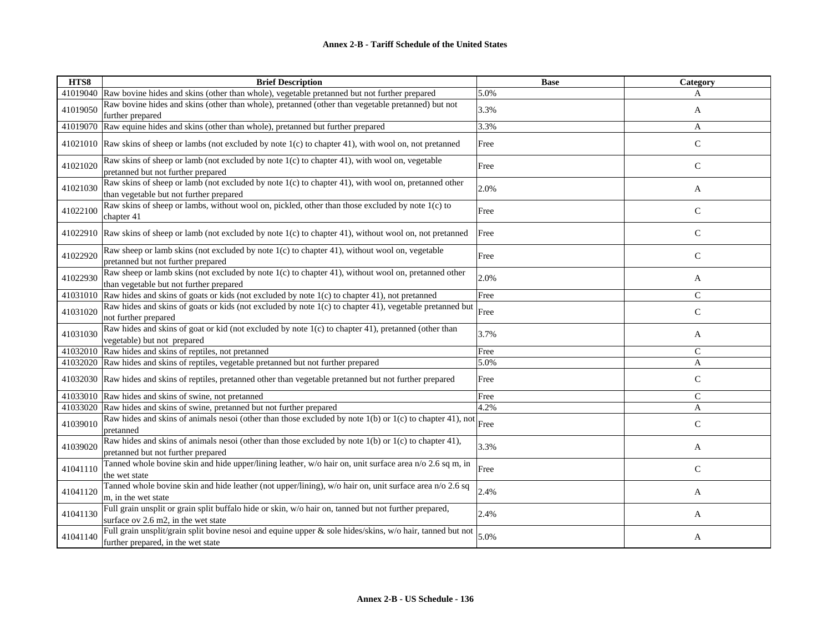| HTS8     | <b>Brief Description</b>                                                                                                                        | <b>Base</b> | Category      |
|----------|-------------------------------------------------------------------------------------------------------------------------------------------------|-------------|---------------|
|          | 41019040 Raw bovine hides and skins (other than whole), vegetable pretanned but not further prepared                                            | 5.0%        | A             |
| 41019050 | Raw bovine hides and skins (other than whole), pretanned (other than vegetable pretanned) but not<br>further prepared                           | 3.3%        | A             |
| 41019070 | Raw equine hides and skins (other than whole), pretanned but further prepared                                                                   | 3.3%        | A             |
|          | 41021010 Raw skins of sheep or lambs (not excluded by note 1(c) to chapter 41), with wool on, not pretanned                                     | Free        | $\mathsf{C}$  |
| 41021020 | Raw skins of sheep or lamb (not excluded by note 1(c) to chapter 41), with wool on, vegetable<br>pretanned but not further prepared             | Free        | $\mathsf{C}$  |
| 41021030 | Raw skins of sheep or lamb (not excluded by note 1(c) to chapter 41), with wool on, pretanned other<br>than vegetable but not further prepared  | 2.0%        | A             |
| 41022100 | Raw skins of sheep or lambs, without wool on, pickled, other than those excluded by note 1(c) to<br>chapter 41                                  | Free        | $\mathsf{C}$  |
|          | 41022910 Raw skins of sheep or lamb (not excluded by note 1(c) to chapter 41), without wool on, not pretanned                                   | Free        | $\mathbf C$   |
| 41022920 | Raw sheep or lamb skins (not excluded by note 1(c) to chapter 41), without wool on, vegetable<br>pretanned but not further prepared             | Free        | $\mathsf{C}$  |
| 41022930 | Raw sheep or lamb skins (not excluded by note 1(c) to chapter 41), without wool on, pretanned other<br>than vegetable but not further prepared  | 2.0%        | A             |
| 41031010 | Raw hides and skins of goats or kids (not excluded by note 1(c) to chapter 41), not pretanned                                                   | Free        | $\mathsf{C}$  |
| 41031020 | Raw hides and skins of goats or kids (not excluded by note 1(c) to chapter 41), vegetable pretanned but<br>not further prepared                 | Free        | $\mathsf{C}$  |
| 41031030 | Raw hides and skins of goat or kid (not excluded by note 1(c) to chapter 41), pretanned (other than<br>vegetable) but not prepared              | 3.7%        | A             |
| 41032010 | Raw hides and skins of reptiles, not pretanned                                                                                                  | Free        | $\mathcal{C}$ |
|          | 41032020 Raw hides and skins of reptiles, vegetable pretanned but not further prepared                                                          | 5.0%        | $\mathbf{A}$  |
| 41032030 | Raw hides and skins of reptiles, pretanned other than vegetable pretanned but not further prepared                                              | Free        | $\mathsf{C}$  |
|          | 41033010 Raw hides and skins of swine, not pretanned                                                                                            | Free        | $\mathsf{C}$  |
| 41033020 | Raw hides and skins of swine, pretanned but not further prepared                                                                                | 4.2%        | A             |
| 41039010 | Raw hides and skins of animals nesoi (other than those excluded by note $1(b)$ or $1(c)$ to chapter 41), not<br>pretanned                       | Free        | $\mathsf C$   |
| 41039020 | Raw hides and skins of animals nesoi (other than those excluded by note 1(b) or 1(c) to chapter 41),<br>pretanned but not further prepared      | 3.3%        | A             |
| 41041110 | Tanned whole bovine skin and hide upper/lining leather, w/o hair on, unit surface area n/o 2.6 sq m, in<br>the wet state                        | Free        | $\mathsf{C}$  |
| 41041120 | Tanned whole bovine skin and hide leather (not upper/lining), w/o hair on, unit surface area n/o 2.6 sq<br>m, in the wet state                  | 2.4%        | A             |
| 41041130 | Full grain unsplit or grain split buffalo hide or skin, w/o hair on, tanned but not further prepared,<br>surface ov 2.6 m2, in the wet state    | 2.4%        | A             |
| 41041140 | Full grain unsplit/grain split bovine nesoi and equine upper & sole hides/skins, w/o hair, tanned but not<br>further prepared, in the wet state | 5.0%        | A             |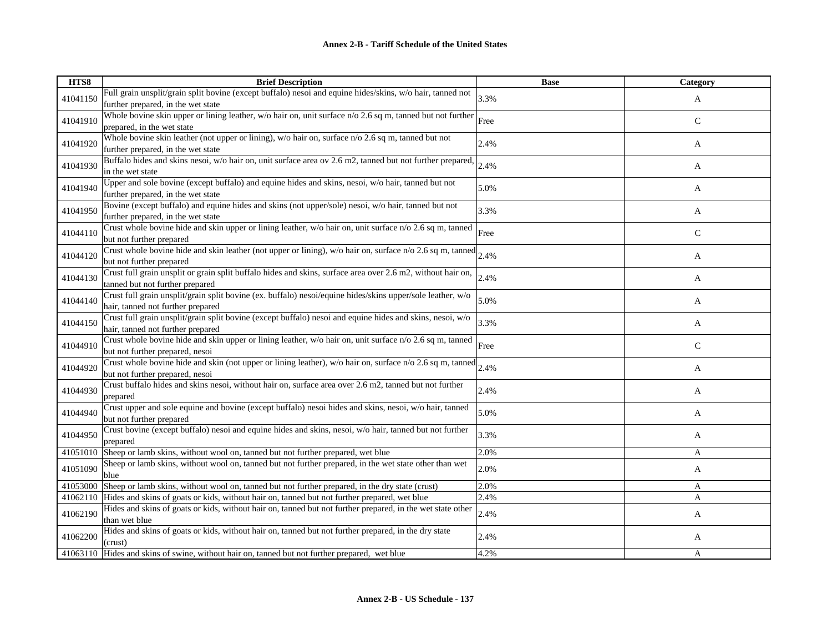| HTS8     | <b>Brief Description</b>                                                                                                           | <b>Base</b> | Category     |
|----------|------------------------------------------------------------------------------------------------------------------------------------|-------------|--------------|
| 41041150 | Full grain unsplit/grain split bovine (except buffalo) nesoi and equine hides/skins, w/o hair, tanned not                          | 3.3%        | A            |
|          | further prepared, in the wet state                                                                                                 |             |              |
| 41041910 | Whole bovine skin upper or lining leather, $w/o$ hair on, unit surface $n/o$ 2.6 sq m, tanned but not further                      | Free        | $\mathsf{C}$ |
|          | prepared, in the wet state                                                                                                         |             |              |
| 41041920 | Whole bovine skin leather (not upper or lining), w/o hair on, surface n/o 2.6 sq m, tanned but not                                 | 2.4%        | A            |
|          | further prepared, in the wet state                                                                                                 |             |              |
| 41041930 | Buffalo hides and skins nesoi, w/o hair on, unit surface area ov 2.6 m2, tanned but not further prepared,<br>in the wet state      | 2.4%        | A            |
|          | Upper and sole bovine (except buffalo) and equine hides and skins, nesoi, w/o hair, tanned but not                                 |             |              |
| 41041940 | further prepared, in the wet state                                                                                                 | 5.0%        | A            |
|          | Bovine (except buffalo) and equine hides and skins (not upper/sole) nesoi, w/o hair, tanned but not                                |             |              |
| 41041950 | further prepared, in the wet state                                                                                                 | 3.3%        | A            |
|          | Crust whole bovine hide and skin upper or lining leather, w/o hair on, unit surface n/o 2.6 sq m, tanned                           |             |              |
| 41044110 | but not further prepared                                                                                                           | Free        | $\mathsf{C}$ |
|          | Crust whole bovine hide and skin leather (not upper or lining), w/o hair on, surface n/o 2.6 sq m, tanned                          |             |              |
| 41044120 | but not further prepared                                                                                                           | 2.4%        | A            |
| 41044130 | Crust full grain unsplit or grain split buffalo hides and skins, surface area over 2.6 m2, without hair on,                        | 2.4%        | A            |
|          | tanned but not further prepared                                                                                                    |             |              |
| 41044140 | Crust full grain unsplit/grain split bovine (ex. buffalo) nesoi/equine hides/skins upper/sole leather, w/o                         | 5.0%        | A            |
|          | hair, tanned not further prepared                                                                                                  |             |              |
| 41044150 | Crust full grain unsplit/grain split bovine (except buffalo) nesoi and equine hides and skins, nesoi, w/o                          | 3.3%        | A            |
|          | hair, tanned not further prepared                                                                                                  |             |              |
| 41044910 | Crust whole bovine hide and skin upper or lining leather, w/o hair on, unit surface n/o 2.6 sq m, tanned                           | Free        | $\mathsf{C}$ |
|          | but not further prepared, nesoi                                                                                                    |             |              |
| 41044920 | Crust whole bovine hide and skin (not upper or lining leather), w/o hair on, surface n/o 2.6 sq m, tanned $2.4\%$                  |             | A            |
|          | but not further prepared, nesoi                                                                                                    |             |              |
| 41044930 | Crust buffalo hides and skins nesoi, without hair on, surface area over 2.6 m2, tanned but not further                             | 2.4%        | A            |
|          | prepared                                                                                                                           |             |              |
| 41044940 | Crust upper and sole equine and bovine (except buffalo) nesoi hides and skins, nesoi, w/o hair, tanned<br>but not further prepared | 5.0%        | A            |
|          | Crust bovine (except buffalo) nesoi and equine hides and skins, nesoi, w/o hair, tanned but not further                            |             |              |
| 41044950 | prepared                                                                                                                           | 3.3%        | A            |
|          | 41051010 Sheep or lamb skins, without wool on, tanned but not further prepared, wet blue                                           | 2.0%        | A            |
|          | Sheep or lamb skins, without wool on, tanned but not further prepared, in the wet state other than wet                             |             |              |
| 41051090 | blue                                                                                                                               | 2.0%        | A            |
| 41053000 | Sheep or lamb skins, without wool on, tanned but not further prepared, in the dry state (crust)                                    | 2.0%        | A            |
|          | 41062110 Hides and skins of goats or kids, without hair on, tanned but not further prepared, wet blue                              | 2.4%        | A            |
| 41062190 | Hides and skins of goats or kids, without hair on, tanned but not further prepared, in the wet state other                         | 2.4%        | A            |
|          | than wet blue                                                                                                                      |             |              |
| 41062200 | Hides and skins of goats or kids, without hair on, tanned but not further prepared, in the dry state                               | 2.4%        | A            |
|          | (crust)                                                                                                                            |             |              |
|          | 41063110 Hides and skins of swine, without hair on, tanned but not further prepared, wet blue                                      | 4.2%        | A            |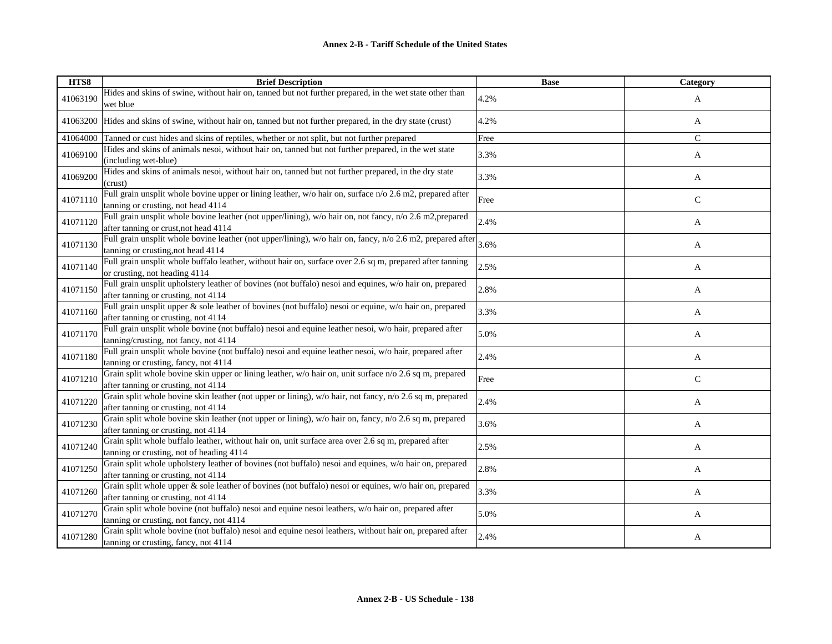| HTS8     | <b>Brief Description</b>                                                                                                                                 | <b>Base</b> | <b>Category</b> |
|----------|----------------------------------------------------------------------------------------------------------------------------------------------------------|-------------|-----------------|
| 41063190 | Hides and skins of swine, without hair on, tanned but not further prepared, in the wet state other than<br>wet blue                                      | 4.2%        | A               |
| 41063200 | Hides and skins of swine, without hair on, tanned but not further prepared, in the dry state (crust)                                                     | 4.2%        | A               |
| 41064000 | Tanned or cust hides and skins of reptiles, whether or not split, but not further prepared                                                               | Free        | $\mathbf C$     |
| 41069100 | Hides and skins of animals nesoi, without hair on, tanned but not further prepared, in the wet state<br>(including wet-blue)                             | 3.3%        | A               |
| 41069200 | Hides and skins of animals nesoi, without hair on, tanned but not further prepared, in the dry state<br>(crust)                                          | 3.3%        | A               |
| 41071110 | Full grain unsplit whole bovine upper or lining leather, w/o hair on, surface n/o 2.6 m2, prepared after<br>tanning or crusting, not head 4114           | Free        | $\mathsf{C}$    |
| 41071120 | Full grain unsplit whole bovine leather (not upper/lining), w/o hair on, not fancy, n/o 2.6 m2, prepared<br>after tanning or crust, not head 4114        | 2.4%        | A               |
| 41071130 | Full grain unsplit whole bovine leather (not upper/lining), w/o hair on, fancy, n/o 2.6 m2, prepared after $3.6\%$<br>tanning or crusting, not head 4114 |             | A               |
| 41071140 | Full grain unsplit whole buffalo leather, without hair on, surface over 2.6 sq m, prepared after tanning<br>or crusting, not heading 4114                | 2.5%        | A               |
| 41071150 | Full grain unsplit upholstery leather of bovines (not buffalo) nesoi and equines, w/o hair on, prepared<br>after tanning or crusting, not 4114           | 2.8%        | A               |
| 41071160 | Full grain unsplit upper & sole leather of bovines (not buffalo) nesoi or equine, w/o hair on, prepared<br>after tanning or crusting, not 4114           | 3.3%        | A               |
| 41071170 | Full grain unsplit whole bovine (not buffalo) nesoi and equine leather nesoi, w/o hair, prepared after<br>tanning/crusting, not fancy, not 4114          | 5.0%        | A               |
| 41071180 | Full grain unsplit whole bovine (not buffalo) nesoi and equine leather nesoi, w/o hair, prepared after<br>tanning or crusting, fancy, not 4114           | 2.4%        | A               |
| 41071210 | Grain split whole bovine skin upper or lining leather, w/o hair on, unit surface n/o 2.6 sq m, prepared<br>after tanning or crusting, not 4114           | Free        | $\mathsf{C}$    |
| 41071220 | Grain split whole bovine skin leather (not upper or lining), w/o hair, not fancy, n/o 2.6 sq m, prepared<br>after tanning or crusting, not 4114          | 2.4%        | A               |
| 41071230 | Grain split whole bovine skin leather (not upper or lining), w/o hair on, fancy, n/o 2.6 sq m, prepared<br>after tanning or crusting, not 4114           | 3.6%        | A               |
| 41071240 | Grain split whole buffalo leather, without hair on, unit surface area over 2.6 sq m, prepared after<br>tanning or crusting, not of heading 4114          | 2.5%        | A               |
| 41071250 | Grain split whole upholstery leather of bovines (not buffalo) nesoi and equines, w/o hair on, prepared<br>after tanning or crusting, not 4114            | 2.8%        | A               |
| 41071260 | Grain split whole upper & sole leather of bovines (not buffalo) nesoi or equines, w/o hair on, prepared<br>after tanning or crusting, not 4114           | 3.3%        | A               |
| 41071270 | Grain split whole bovine (not buffalo) nesoi and equine nesoi leathers, w/o hair on, prepared after<br>tanning or crusting, not fancy, not 4114          | 5.0%        | A               |
| 41071280 | Grain split whole bovine (not buffalo) nesoi and equine nesoi leathers, without hair on, prepared after<br>tanning or crusting, fancy, not 4114          | 2.4%        | A               |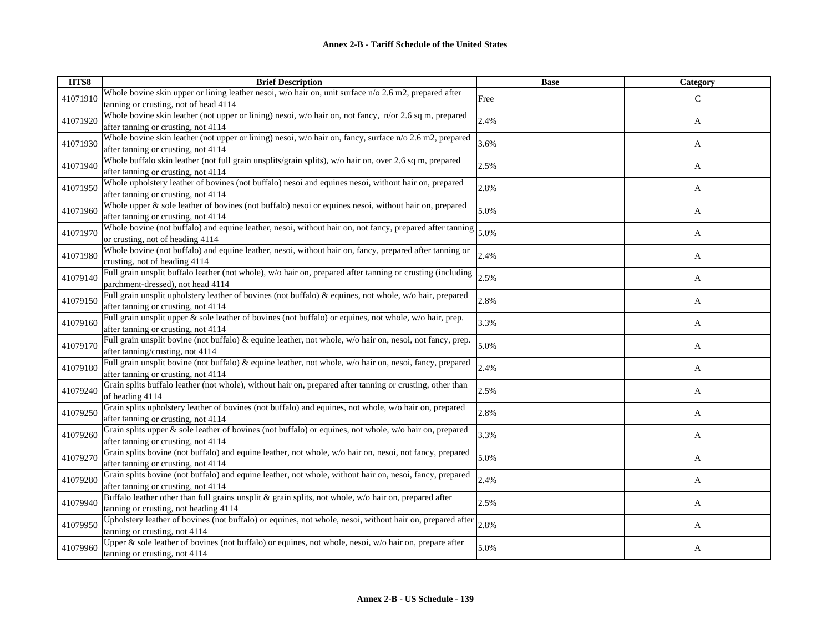| HTS8     | <b>Brief Description</b>                                                                                                                        | <b>Base</b> | Category      |
|----------|-------------------------------------------------------------------------------------------------------------------------------------------------|-------------|---------------|
| 41071910 | Whole bovine skin upper or lining leather nesoi, $w/o$ hair on, unit surface $n/o$ 2.6 m2, prepared after                                       | Free        | $\mathcal{C}$ |
|          | tanning or crusting, not of head 4114                                                                                                           |             |               |
| 41071920 | Whole bovine skin leather (not upper or lining) nesoi, w/o hair on, not fancy, n/or 2.6 sq m, prepared                                          | 2.4%        | A             |
|          | after tanning or crusting, not 4114                                                                                                             |             |               |
| 41071930 | Whole bovine skin leather (not upper or lining) nesoi, w/o hair on, fancy, surface n/o 2.6 m2, prepared<br>after tanning or crusting, not 4114  | 3.6%        | A             |
|          | Whole buffalo skin leather (not full grain unsplits/grain splits), w/o hair on, over 2.6 sq m, prepared                                         |             |               |
| 41071940 | after tanning or crusting, not 4114                                                                                                             | 2.5%        | A             |
|          | Whole upholstery leather of bovines (not buffalo) nesoi and equines nesoi, without hair on, prepared                                            |             |               |
| 41071950 | after tanning or crusting, not 4114                                                                                                             | 2.8%        | A             |
| 41071960 | Whole upper & sole leather of bovines (not buffalo) nesoi or equines nesoi, without hair on, prepared                                           |             |               |
|          | after tanning or crusting, not 4114                                                                                                             | 5.0%        | A             |
| 41071970 | Whole bovine (not buffalo) and equine leather, nesoi, without hair on, not fancy, prepared after tanning                                        | 5.0%        | A             |
|          | or crusting, not of heading 4114                                                                                                                |             |               |
| 41071980 | Whole bovine (not buffalo) and equine leather, nesoi, without hair on, fancy, prepared after tanning or                                         | 2.4%        | A             |
|          | crusting, not of heading 4114                                                                                                                   |             |               |
| 41079140 | Full grain unsplit buffalo leather (not whole), w/o hair on, prepared after tanning or crusting (including                                      | 2.5%        | A             |
|          | parchment-dressed), not head 4114<br>Full grain unsplit upholstery leather of bovines (not buffalo) & equines, not whole, w/o hair, prepared    |             |               |
| 41079150 | after tanning or crusting, not 4114                                                                                                             | 2.8%        | A             |
|          | Full grain unsplit upper & sole leather of bovines (not buffalo) or equines, not whole, w/o hair, prep.                                         |             |               |
| 41079160 | after tanning or crusting, not 4114                                                                                                             | 3.3%        | A             |
|          | Full grain unsplit bovine (not buffalo) & equine leather, not whole, w/o hair on, nesoi, not fancy, prep.                                       |             |               |
| 41079170 | after tanning/crusting, not 4114                                                                                                                | 5.0%        | A             |
| 41079180 | Full grain unsplit bovine (not buffalo) & equine leather, not whole, w/o hair on, nesoi, fancy, prepared                                        | 2.4%        |               |
|          | after tanning or crusting, not 4114                                                                                                             |             | A             |
| 41079240 | Grain splits buffalo leather (not whole), without hair on, prepared after tanning or crusting, other than                                       | 2.5%        | A             |
|          | of heading 4114                                                                                                                                 |             |               |
| 41079250 | Grain splits upholstery leather of bovines (not buffalo) and equines, not whole, w/o hair on, prepared                                          | 2.8%        | A             |
|          | after tanning or crusting, not 4114                                                                                                             |             |               |
| 41079260 | Grain splits upper & sole leather of bovines (not buffalo) or equines, not whole, w/o hair on, prepared                                         | 3.3%        | A             |
|          | after tanning or crusting, not 4114<br>Grain splits bovine (not buffalo) and equine leather, not whole, w/o hair on, nesoi, not fancy, prepared |             |               |
| 41079270 | after tanning or crusting, not 4114                                                                                                             | 5.0%        | A             |
|          | Grain splits bovine (not buffalo) and equine leather, not whole, without hair on, nesoi, fancy, prepared                                        |             |               |
| 41079280 | after tanning or crusting, not 4114                                                                                                             | 2.4%        | A             |
|          | Buffalo leather other than full grains unsplit & grain splits, not whole, w/o hair on, prepared after                                           |             |               |
| 41079940 | tanning or crusting, not heading 4114                                                                                                           | 2.5%        | A             |
| 41079950 | Upholstery leather of bovines (not buffalo) or equines, not whole, nesoi, without hair on, prepared after                                       | 2.8%        |               |
|          | tanning or crusting, not 4114                                                                                                                   |             | A             |
| 41079960 | Upper & sole leather of bovines (not buffalo) or equines, not whole, nesoi, w/o hair on, prepare after                                          | 5.0%        | A             |
|          | tanning or crusting, not 4114                                                                                                                   |             |               |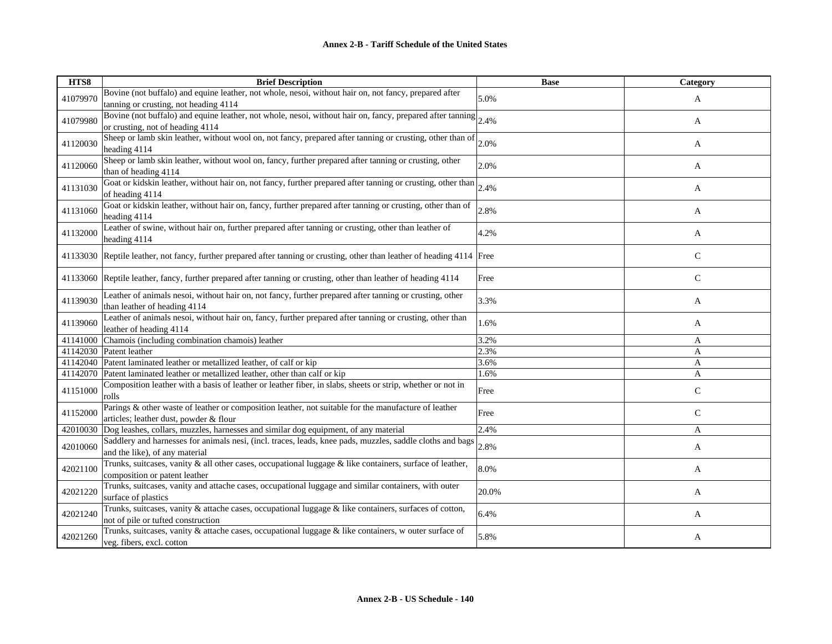| HTS8     | <b>Brief Description</b>                                                                                                                       | <b>Base</b> | Category     |
|----------|------------------------------------------------------------------------------------------------------------------------------------------------|-------------|--------------|
| 41079970 | Bovine (not buffalo) and equine leather, not whole, nesoi, without hair on, not fancy, prepared after<br>tanning or crusting, not heading 4114 | 5.0%        | A            |
| 41079980 | Bovine (not buffalo) and equine leather, not whole, nesoi, without hair on, fancy, prepared after tanning<br>or crusting, not of heading 4114  | 2.4%        | A            |
| 41120030 | Sheep or lamb skin leather, without wool on, not fancy, prepared after tanning or crusting, other than of<br>heading 4114                      | 2.0%        | A            |
| 41120060 | Sheep or lamb skin leather, without wool on, fancy, further prepared after tanning or crusting, other<br>than of heading 4114                  | 2.0%        | A            |
| 41131030 | Goat or kidskin leather, without hair on, not fancy, further prepared after tanning or crusting, other than<br>of heading 4114                 | 2.4%        | A            |
| 41131060 | Goat or kidskin leather, without hair on, fancy, further prepared after tanning or crusting, other than of<br>heading 4114                     | 2.8%        | A            |
| 41132000 | Leather of swine, without hair on, further prepared after tanning or crusting, other than leather of<br>heading 4114                           | 4.2%        | A            |
|          | 41133030 Reptile leather, not fancy, further prepared after tanning or crusting, other than leather of heading 4114 Free                       |             | $\mathsf{C}$ |
|          | 41133060 Reptile leather, fancy, further prepared after tanning or crusting, other than leather of heading 4114                                | Free        | $\mathsf{C}$ |
| 41139030 | Leather of animals nesoi, without hair on, not fancy, further prepared after tanning or crusting, other<br>than leather of heading 4114        | 3.3%        | A            |
| 41139060 | Leather of animals nesoi, without hair on, fancy, further prepared after tanning or crusting, other than<br>leather of heading 4114            | 1.6%        | A            |
| 41141000 | Chamois (including combination chamois) leather                                                                                                | 3.2%        | A            |
|          | 41142030 Patent leather                                                                                                                        | 2.3%        | A            |
|          | 41142040 Patent laminated leather or metallized leather, of calf or kip                                                                        | 3.6%        | A            |
|          | 41142070 Patent laminated leather or metallized leather, other than calf or kip                                                                | 1.6%        | A            |
| 41151000 | Composition leather with a basis of leather or leather fiber, in slabs, sheets or strip, whether or not in<br>rolls                            | Free        | $\mathbf C$  |
| 41152000 | Parings & other waste of leather or composition leather, not suitable for the manufacture of leather<br>articles; leather dust, powder & flour | Free        | $\mathsf{C}$ |
| 42010030 | Dog leashes, collars, muzzles, harnesses and similar dog equipment, of any material                                                            | 2.4%        | A            |
| 42010060 | Saddlery and harnesses for animals nesi, (incl. traces, leads, knee pads, muzzles, saddle cloths and bags<br>and the like), of any material    | 2.8%        | A            |
| 42021100 | Trunks, suitcases, vanity & all other cases, occupational luggage & like containers, surface of leather,<br>composition or patent leather      | 8.0%        | A            |
| 42021220 | Trunks, suitcases, vanity and attache cases, occupational luggage and similar containers, with outer<br>surface of plastics                    | 20.0%       | A            |
| 42021240 | Trunks, suitcases, vanity & attache cases, occupational luggage & like containers, surfaces of cotton,<br>not of pile or tufted construction   | 6.4%        | A            |
| 42021260 | Trunks, suitcases, vanity $\&$ attache cases, occupational luggage $\&$ like containers, w outer surface of<br>veg. fibers, excl. cotton       | 5.8%        | A            |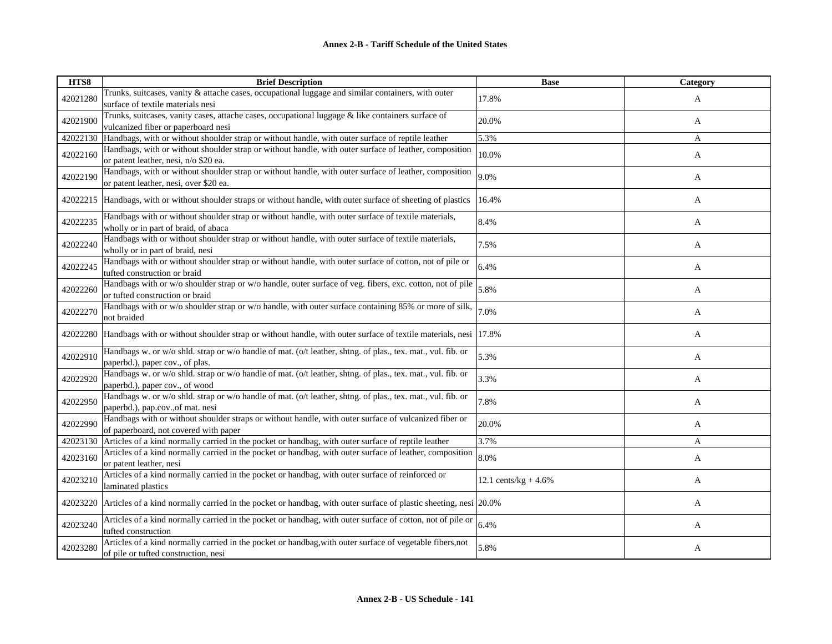| HTS8     | <b>Brief Description</b>                                                                                                                          | <b>Base</b>             | <b>Category</b> |
|----------|---------------------------------------------------------------------------------------------------------------------------------------------------|-------------------------|-----------------|
| 42021280 | Trunks, suitcases, vanity & attache cases, occupational luggage and similar containers, with outer<br>surface of textile materials nesi           | 17.8%                   | A               |
| 42021900 | Trunks, suitcases, vanity cases, attache cases, occupational luggage & like containers surface of<br>vulcanized fiber or paperboard nesi          | 20.0%                   | A               |
| 42022130 | Handbags, with or without shoulder strap or without handle, with outer surface of reptile leather                                                 | 5.3%                    | A               |
| 42022160 | Handbags, with or without shoulder strap or without handle, with outer surface of leather, composition<br>or patent leather, nesi, n/o \$20 ea.   | 10.0%                   | A               |
| 42022190 | Handbags, with or without shoulder strap or without handle, with outer surface of leather, composition<br>or patent leather, nesi, over \$20 ea.  | 9.0%                    | A               |
| 42022215 | Handbags, with or without shoulder straps or without handle, with outer surface of sheeting of plastics                                           | 16.4%                   | A               |
| 42022235 | Handbags with or without shoulder strap or without handle, with outer surface of textile materials,<br>wholly or in part of braid, of abaca       | 8.4%                    | A               |
| 42022240 | Handbags with or without shoulder strap or without handle, with outer surface of textile materials,<br>wholly or in part of braid, nesi           | 7.5%                    | A               |
| 42022245 | Handbags with or without shoulder strap or without handle, with outer surface of cotton, not of pile or<br>tufted construction or braid           | 6.4%                    | A               |
| 42022260 | Handbags with or w/o shoulder strap or w/o handle, outer surface of veg. fibers, exc. cotton, not of pile<br>or tufted construction or braid      | 5.8%                    | A               |
| 42022270 | Handbags with or w/o shoulder strap or w/o handle, with outer surface containing 85% or more of silk,<br>not braided                              | 7.0%                    | A               |
| 42022280 | Handbags with or without shoulder strap or without handle, with outer surface of textile materials, nesi 17.8%                                    |                         | A               |
| 42022910 | Handbags w. or w/o shld. strap or w/o handle of mat. (o/t leather, shtng. of plas., tex. mat., vul. fib. or<br>paperbd.), paper cov., of plas.    | 5.3%                    | A               |
| 42022920 | Handbags w. or w/o shld. strap or w/o handle of mat. (o/t leather, shtng. of plas., tex. mat., vul. fib. or<br>paperbd.), paper cov., of wood     | 3.3%                    | A               |
| 42022950 | Handbags w. or w/o shld. strap or w/o handle of mat. (o/t leather, shtng. of plas., tex. mat., vul. fib. or<br>paperbd.), pap.cov., of mat. nesi  | 7.8%                    | A               |
| 42022990 | Handbags with or without shoulder straps or without handle, with outer surface of vulcanized fiber or<br>of paperboard, not covered with paper    | 20.0%                   | A               |
| 42023130 | Articles of a kind normally carried in the pocket or handbag, with outer surface of reptile leather                                               | 3.7%                    | A               |
| 42023160 | Articles of a kind normally carried in the pocket or handbag, with outer surface of leather, composition<br>or patent leather, nesi               | 8.0%                    | A               |
| 42023210 | Articles of a kind normally carried in the pocket or handbag, with outer surface of reinforced or<br>laminated plastics                           | 12.1 cents/kg + $4.6\%$ | A               |
| 42023220 | Articles of a kind normally carried in the pocket or handbag, with outer surface of plastic sheeting, nesi 20.0%                                  |                         | A               |
| 42023240 | Articles of a kind normally carried in the pocket or handbag, with outer surface of cotton, not of pile or<br>tufted construction                 | 6.4%                    | A               |
| 42023280 | Articles of a kind normally carried in the pocket or handbag, with outer surface of vegetable fibers, not<br>of pile or tufted construction, nesi | 5.8%                    | A               |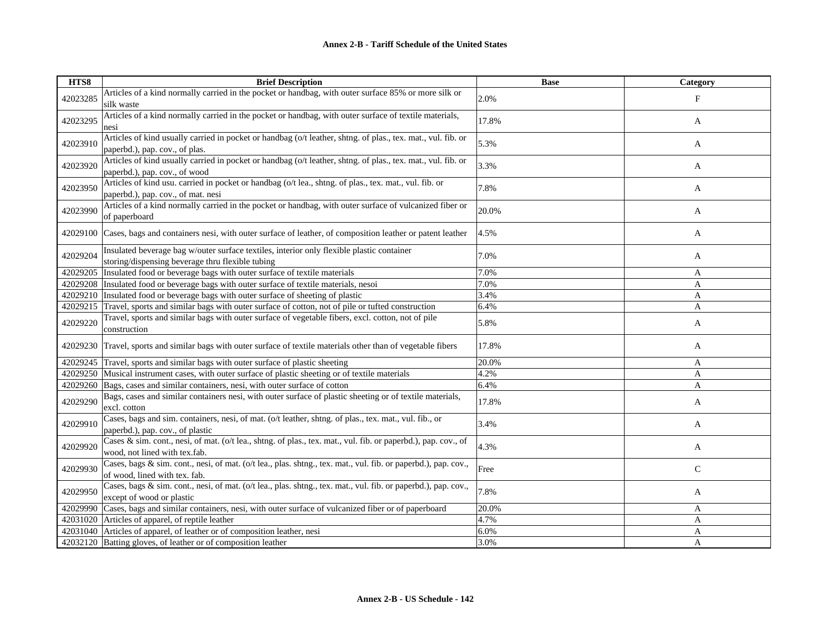| HTS8     | <b>Brief Description</b>                                                                                                                        | <b>Base</b> | <b>Category</b> |
|----------|-------------------------------------------------------------------------------------------------------------------------------------------------|-------------|-----------------|
| 42023285 | Articles of a kind normally carried in the pocket or handbag, with outer surface 85% or more silk or<br>silk waste                              | 2.0%        | $_{\rm F}$      |
| 42023295 | Articles of a kind normally carried in the pocket or handbag, with outer surface of textile materials,<br>nesi                                  | 17.8%       | A               |
| 42023910 | Articles of kind usually carried in pocket or handbag (o/t leather, shtng. of plas., tex. mat., vul. fib. or<br>paperbd.), pap. cov., of plas.  | 5.3%        | A               |
| 42023920 | Articles of kind usually carried in pocket or handbag (o/t leather, shtng. of plas., tex. mat., vul. fib. or<br>paperbd.), pap. cov., of wood   | 3.3%        | A               |
| 42023950 | Articles of kind usu. carried in pocket or handbag (o/t lea., shtng. of plas., tex. mat., vul. fib. or<br>paperbd.), pap. cov., of mat. nesi    | 7.8%        | A               |
| 42023990 | Articles of a kind normally carried in the pocket or handbag, with outer surface of vulcanized fiber or<br>of paperboard                        | 20.0%       | A               |
|          | 42029100 Cases, bags and containers nesi, with outer surface of leather, of composition leather or patent leather                               | 4.5%        | A               |
| 42029204 | Insulated beverage bag w/outer surface textiles, interior only flexible plastic container<br>storing/dispensing beverage thru flexible tubing   | 7.0%        | A               |
| 42029205 | Insulated food or beverage bags with outer surface of textile materials                                                                         | 7.0%        | A               |
|          | 42029208 Insulated food or beverage bags with outer surface of textile materials, nesoi                                                         | 7.0%        | A               |
|          | 42029210 Insulated food or beverage bags with outer surface of sheeting of plastic                                                              | 3.4%        | A               |
| 42029215 | Travel, sports and similar bags with outer surface of cotton, not of pile or tufted construction                                                | 6.4%        | A               |
| 42029220 | Travel, sports and similar bags with outer surface of vegetable fibers, excl. cotton, not of pile<br>construction                               | 5.8%        | A               |
|          | 42029230 Travel, sports and similar bags with outer surface of textile materials other than of vegetable fibers                                 | 17.8%       | A               |
|          | 42029245 Travel, sports and similar bags with outer surface of plastic sheeting                                                                 | 20.0%       | A               |
|          | 42029250 Musical instrument cases, with outer surface of plastic sheeting or of textile materials                                               | 4.2%        | A               |
|          | 42029260 Bags, cases and similar containers, nesi, with outer surface of cotton                                                                 | 6.4%        | A               |
| 42029290 | Bags, cases and similar containers nesi, with outer surface of plastic sheeting or of textile materials,<br>excl. cotton                        | 17.8%       | A               |
| 42029910 | Cases, bags and sim. containers, nesi, of mat. (o/t leather, shtng. of plas., tex. mat., vul. fib., or<br>paperbd.), pap. cov., of plastic      | 3.4%        | A               |
| 42029920 | Cases & sim. cont., nesi, of mat. (o/t lea., shtng. of plas., tex. mat., vul. fib. or paperbd.), pap. cov., of<br>wood, not lined with tex.fab. | 4.3%        | A               |
| 42029930 | Cases, bags & sim. cont., nesi, of mat. (o/t lea., plas. shtng., tex. mat., vul. fib. or paperbd.), pap. cov.,<br>of wood, lined with tex. fab. | Free        | $\mathsf{C}$    |
| 42029950 | Cases, bags & sim. cont., nesi, of mat. (o/t lea., plas. shtng., tex. mat., vul. fib. or paperbd.), pap. cov.,<br>except of wood or plastic     | 7.8%        | A               |
|          | 42029990 Cases, bags and similar containers, nesi, with outer surface of vulcanized fiber or of paperboard                                      | 20.0%       | A               |
|          | 42031020 Articles of apparel, of reptile leather                                                                                                | 4.7%        | A               |
|          | 42031040 Articles of apparel, of leather or of composition leather, nesi                                                                        | 6.0%        | A               |
|          | 42032120 Batting gloves, of leather or of composition leather                                                                                   | 3.0%        | A               |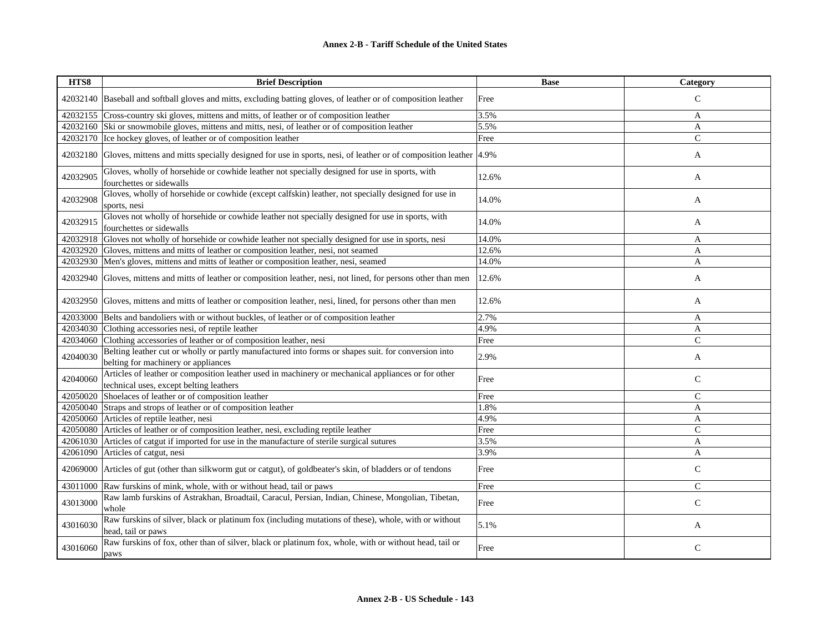## **Annex 2-B - Tariff Schedule of the United States**

| HTS8     | <b>Brief Description</b>                                                                                                                      | <b>Base</b> | Category       |
|----------|-----------------------------------------------------------------------------------------------------------------------------------------------|-------------|----------------|
| 42032140 | Baseball and softball gloves and mitts, excluding batting gloves, of leather or of composition leather                                        | Free        | $\mathsf{C}$   |
| 42032155 | Cross-country ski gloves, mittens and mitts, of leather or of composition leather                                                             | 3.5%        | A              |
|          | 42032160 Ski or snowmobile gloves, mittens and mitts, nesi, of leather or of composition leather                                              | 5.5%        | A              |
|          | 42032170 Ice hockey gloves, of leather or of composition leather                                                                              | Free        | $\overline{C}$ |
| 42032180 | Gloves, mittens and mitts specially designed for use in sports, nesi, of leather or of composition leather 4.9%                               |             | A              |
| 42032905 | Gloves, wholly of horsehide or cowhide leather not specially designed for use in sports, with<br>fourchettes or sidewalls                     | 12.6%       | A              |
| 42032908 | Gloves, wholly of horsehide or cowhide (except calfskin) leather, not specially designed for use in<br>sports, nesi                           | 14.0%       | A              |
| 42032915 | Gloves not wholly of horsehide or cowhide leather not specially designed for use in sports, with<br>fourchettes or sidewalls                  | 14.0%       | A              |
| 42032918 | Gloves not wholly of horsehide or cowhide leather not specially designed for use in sports, nesi                                              | 14.0%       | A              |
| 42032920 | Gloves, mittens and mitts of leather or composition leather, nesi, not seamed                                                                 | 12.6%       | A              |
| 42032930 | Men's gloves, mittens and mitts of leather or composition leather, nesi, seamed                                                               | 14.0%       | $\overline{A}$ |
| 42032940 | Gloves, mittens and mitts of leather or composition leather, nesi, not lined, for persons other than men                                      | 12.6%       | A              |
| 42032950 | Gloves, mittens and mitts of leather or composition leather, nesi, lined, for persons other than men                                          | 12.6%       | A              |
| 42033000 | Belts and bandoliers with or without buckles, of leather or of composition leather                                                            | 2.7%        | A              |
| 42034030 | Clothing accessories nesi, of reptile leather                                                                                                 | 4.9%        | A              |
| 42034060 | Clothing accessories of leather or of composition leather, nesi                                                                               | Free        | $\mathcal{C}$  |
| 42040030 | Belting leather cut or wholly or partly manufactured into forms or shapes suit. for conversion into<br>belting for machinery or appliances    | 2.9%        | A              |
| 42040060 | Articles of leather or composition leather used in machinery or mechanical appliances or for other<br>technical uses, except belting leathers | Free        | $\mathsf{C}$   |
| 42050020 | Shoelaces of leather or of composition leather                                                                                                | Free        | $\mathcal{C}$  |
| 42050040 | Straps and strops of leather or of composition leather                                                                                        | 1.8%        | A              |
| 42050060 | Articles of reptile leather, nesi                                                                                                             | 4.9%        | A              |
| 42050080 | Articles of leather or of composition leather, nesi, excluding reptile leather                                                                | Free        | $\mathsf{C}$   |
| 42061030 | Articles of catgut if imported for use in the manufacture of sterile surgical sutures                                                         | 3.5%        | $\mathbf{A}$   |
| 42061090 | Articles of catgut, nesi                                                                                                                      | 3.9%        | A              |
| 42069000 | Articles of gut (other than silkworm gut or catgut), of goldbeater's skin, of bladders or of tendons                                          | Free        | $\mathcal{C}$  |
| 43011000 | Raw furskins of mink, whole, with or without head, tail or paws                                                                               | Free        | $\mathsf{C}$   |
| 43013000 | Raw lamb furskins of Astrakhan, Broadtail, Caracul, Persian, Indian, Chinese, Mongolian, Tibetan,<br>whole                                    | Free        | $\mathsf{C}$   |
| 43016030 | Raw furskins of silver, black or platinum fox (including mutations of these), whole, with or without<br>head, tail or paws                    | 5.1%        | A              |
| 43016060 | Raw furskins of fox, other than of silver, black or platinum fox, whole, with or without head, tail or<br>paws                                | Free        | $\mathsf{C}$   |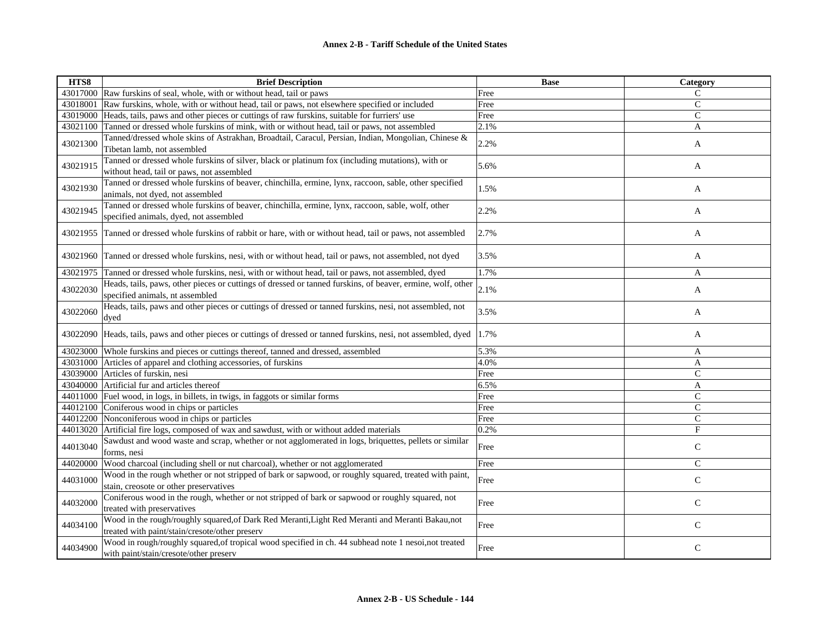| HTS8     | <b>Brief Description</b>                                                                                                                           | <b>Base</b> | Category      |
|----------|----------------------------------------------------------------------------------------------------------------------------------------------------|-------------|---------------|
|          | 43017000 Raw furskins of seal, whole, with or without head, tail or paws                                                                           | Free        | C             |
| 43018001 | Raw furskins, whole, with or without head, tail or paws, not elsewhere specified or included                                                       | Free        | $\mathsf{C}$  |
|          | 43019000 Heads, tails, paws and other pieces or cuttings of raw furskins, suitable for furriers' use                                               | Free        | $\mathsf{C}$  |
| 43021100 | Tanned or dressed whole furskins of mink, with or without head, tail or paws, not assembled                                                        | 2.1%        | A             |
| 43021300 | Tanned/dressed whole skins of Astrakhan, Broadtail, Caracul, Persian, Indian, Mongolian, Chinese &<br>Tibetan lamb, not assembled                  | 2.2%        | A             |
| 43021915 | Tanned or dressed whole furskins of silver, black or platinum fox (including mutations), with or<br>without head, tail or paws, not assembled      | 5.6%        | A             |
| 43021930 | Tanned or dressed whole furskins of beaver, chinchilla, ermine, lynx, raccoon, sable, other specified<br>animals, not dyed, not assembled          | 1.5%        | A             |
| 43021945 | Tanned or dressed whole furskins of beaver, chinchilla, ermine, lynx, raccoon, sable, wolf, other<br>specified animals, dyed, not assembled        | 2.2%        | A             |
| 43021955 | Tanned or dressed whole furskins of rabbit or hare, with or without head, tail or paws, not assembled                                              | 2.7%        | A             |
|          | 43021960 Tanned or dressed whole furskins, nesi, with or without head, tail or paws, not assembled, not dyed                                       | 3.5%        | A             |
| 43021975 | Tanned or dressed whole furskins, nesi, with or without head, tail or paws, not assembled, dyed                                                    | 1.7%        | A             |
| 43022030 | Heads, tails, paws, other pieces or cuttings of dressed or tanned furskins, of beaver, ermine, wolf, other<br>specified animals, nt assembled      | 2.1%        | A             |
| 43022060 | Heads, tails, paws and other pieces or cuttings of dressed or tanned furskins, nesi, not assembled, not<br>dyed                                    | 3.5%        | A             |
|          | 43022090 Heads, tails, paws and other pieces or cuttings of dressed or tanned furskins, nesi, not assembled, dyed                                  | 1.7%        | A             |
|          | 43023000 Whole furskins and pieces or cuttings thereof, tanned and dressed, assembled                                                              | 5.3%        | A             |
|          | 43031000 Articles of apparel and clothing accessories, of furskins                                                                                 | 4.0%        | A             |
|          | 43039000 Articles of furskin, nesi                                                                                                                 | Free        | $\mathsf{C}$  |
|          | 43040000 Artificial fur and articles thereof                                                                                                       | 6.5%        | A             |
|          | 44011000 Fuel wood, in logs, in billets, in twigs, in faggots or similar forms                                                                     | Free        | $\mathbf C$   |
|          | 44012100 Coniferous wood in chips or particles                                                                                                     | Free        | $\mathcal{C}$ |
|          | 44012200 Nonconiferous wood in chips or particles                                                                                                  | Free        | $\mathsf{C}$  |
|          | 44013020 Artificial fire logs, composed of wax and sawdust, with or without added materials                                                        | 0.2%        | $\mathbf F$   |
| 44013040 | Sawdust and wood waste and scrap, whether or not agglomerated in logs, briquettes, pellets or similar<br>forms, nesi                               | Free        | $\mathsf{C}$  |
| 44020000 | Wood charcoal (including shell or nut charcoal), whether or not agglomerated                                                                       | Free        | $\mathsf{C}$  |
| 44031000 | Wood in the rough whether or not stripped of bark or sapwood, or roughly squared, treated with paint,<br>stain, creosote or other preservatives    | Free        | $\mathbf C$   |
| 44032000 | Coniferous wood in the rough, whether or not stripped of bark or sapwood or roughly squared, not<br>treated with preservatives                     | Free        | $\mathsf{C}$  |
| 44034100 | Wood in the rough/roughly squared, of Dark Red Meranti, Light Red Meranti and Meranti Bakau, not<br>treated with paint/stain/cresote/other preserv | Free        | $\mathsf C$   |
| 44034900 | Wood in rough/roughly squared, of tropical wood specified in ch. 44 subhead note 1 nesoi, not treated<br>with paint/stain/cresote/other preserv    | Free        | $\mathsf{C}$  |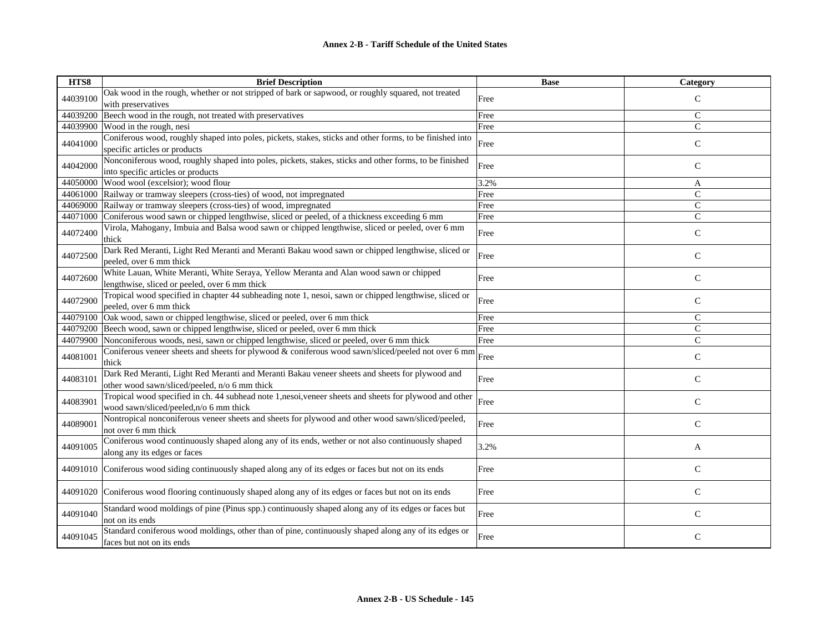| HTS8     | <b>Brief Description</b>                                                                                                                        | <b>Base</b> | Category      |
|----------|-------------------------------------------------------------------------------------------------------------------------------------------------|-------------|---------------|
| 44039100 | Oak wood in the rough, whether or not stripped of bark or sapwood, or roughly squared, not treated                                              | Free        | $\mathsf{C}$  |
|          | with preservatives                                                                                                                              |             |               |
| 44039200 | Beech wood in the rough, not treated with preservatives                                                                                         | Free        | $\mathcal{C}$ |
| 44039900 | Wood in the rough, nesi                                                                                                                         | Free        | $\mathsf{C}$  |
| 44041000 | Coniferous wood, roughly shaped into poles, pickets, stakes, sticks and other forms, to be finished into<br>specific articles or products       | Free        | $\mathbf C$   |
| 44042000 | Nonconiferous wood, roughly shaped into poles, pickets, stakes, sticks and other forms, to be finished<br>into specific articles or products    | Free        | $\mathsf{C}$  |
| 44050000 | Wood wool (excelsior); wood flour                                                                                                               | 3.2%        | A             |
| 44061000 | Railway or tramway sleepers (cross-ties) of wood, not impregnated                                                                               | Free        | $\mathcal{C}$ |
| 44069000 | Railway or tramway sleepers (cross-ties) of wood, impregnated                                                                                   | Free        | $\mathcal{C}$ |
| 44071000 | Coniferous wood sawn or chipped lengthwise, sliced or peeled, of a thickness exceeding 6 mm                                                     | Free        | $\mathcal{C}$ |
| 44072400 | Virola, Mahogany, Imbuia and Balsa wood sawn or chipped lengthwise, sliced or peeled, over 6 mm<br>thick                                        | Free        | $\mathbf C$   |
| 44072500 | Dark Red Meranti, Light Red Meranti and Meranti Bakau wood sawn or chipped lengthwise, sliced or<br>peeled, over 6 mm thick                     | Free        | $\mathsf{C}$  |
| 44072600 | White Lauan, White Meranti, White Seraya, Yellow Meranta and Alan wood sawn or chipped<br>lengthwise, sliced or peeled, over 6 mm thick         | Free        | $\mathsf{C}$  |
| 44072900 | Tropical wood specified in chapter 44 subheading note 1, nesoi, sawn or chipped lengthwise, sliced or<br>peeled, over 6 mm thick                | Free        | $\mathsf{C}$  |
| 44079100 | Oak wood, sawn or chipped lengthwise, sliced or peeled, over 6 mm thick                                                                         | Free        | C             |
| 44079200 | Beech wood, sawn or chipped lengthwise, sliced or peeled, over 6 mm thick                                                                       | Free        | $\mathsf{C}$  |
| 44079900 | Nonconiferous woods, nesi, sawn or chipped lengthwise, sliced or peeled, over 6 mm thick                                                        | Free        | $\mathsf{C}$  |
| 44081001 | Conferous veneer sheets and sheets for plywood & conferous wood sawn/sliced/peeled not over 6 mm $\left $ Free<br>thick                         |             | $\mathcal{C}$ |
| 44083101 | Dark Red Meranti, Light Red Meranti and Meranti Bakau veneer sheets and sheets for plywood and<br>other wood sawn/sliced/peeled, n/o 6 mm thick | Free        | $\mathsf{C}$  |
| 44083901 | Tropical wood specified in ch. 44 subhead note 1,nesoi,veneer sheets and sheets for plywood and other<br>wood sawn/sliced/peeled,n/o 6 mm thick | Free        | $\mathsf{C}$  |
| 44089001 | Nontropical nonconiferous veneer sheets and sheets for plywood and other wood sawn/sliced/peeled,<br>not over 6 mm thick                        | Free        | $\mathsf{C}$  |
| 44091005 | Coniferous wood continuously shaped along any of its ends, wether or not also continuously shaped<br>along any its edges or faces               | 3.2%        | A             |
| 44091010 | Coniferous wood siding continuously shaped along any of its edges or faces but not on its ends                                                  | Free        | $\mathsf{C}$  |
| 44091020 | Coniferous wood flooring continuously shaped along any of its edges or faces but not on its ends                                                | Free        | $\mathbf C$   |
| 44091040 | Standard wood moldings of pine (Pinus spp.) continuously shaped along any of its edges or faces but<br>not on its ends                          | Free        | C             |
| 44091045 | Standard coniferous wood moldings, other than of pine, continuously shaped along any of its edges or<br>faces but not on its ends               | Free        | $\mathsf{C}$  |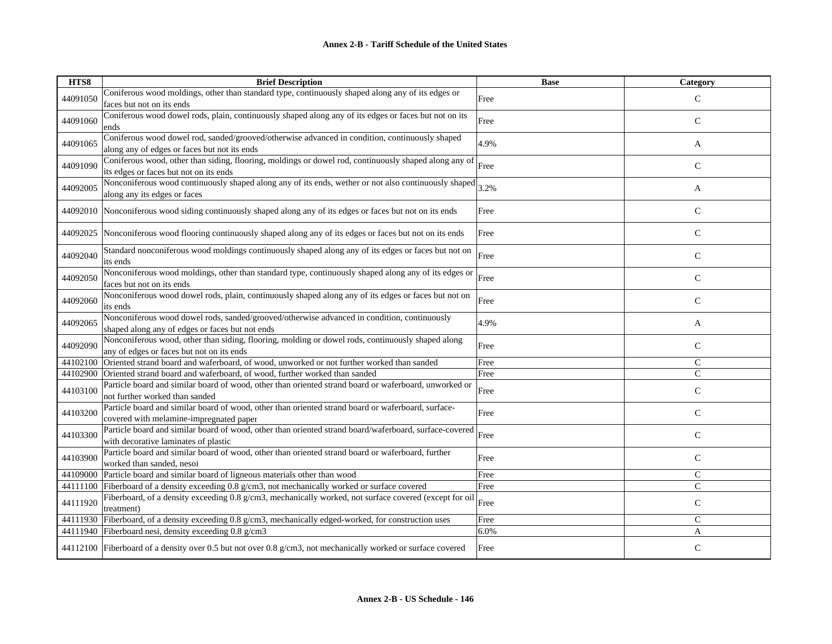| HTS8     | <b>Brief Description</b>                                                                                                                              | <b>Base</b>  | Category      |
|----------|-------------------------------------------------------------------------------------------------------------------------------------------------------|--------------|---------------|
| 44091050 | Coniferous wood moldings, other than standard type, continuously shaped along any of its edges or                                                     | Free         | $\mathcal{C}$ |
|          | faces but not on its ends                                                                                                                             |              |               |
| 44091060 | Coniferous wood dowel rods, plain, continuously shaped along any of its edges or faces but not on its                                                 | Free         | $\mathsf{C}$  |
|          | ends                                                                                                                                                  |              |               |
| 44091065 | Coniferous wood dowel rod, sanded/grooved/otherwise advanced in condition, continuously shaped                                                        | 4.9%         | A             |
|          | along any of edges or faces but not its ends<br>Coniferous wood, other than siding, flooring, moldings or dowel rod, continuously shaped along any of |              |               |
| 44091090 | its edges or faces but not on its ends                                                                                                                | Free         | $\mathsf{C}$  |
|          | Nonconiferous wood continuously shaped along any of its ends, wether or not also continuously shaped                                                  |              |               |
| 44092005 | along any its edges or faces                                                                                                                          | 3.2%         | A             |
|          |                                                                                                                                                       |              |               |
|          | 44092010 Nonconiferous wood siding continuously shaped along any of its edges or faces but not on its ends                                            | Free         | $\mathsf{C}$  |
| 44092025 | Nonconiferous wood flooring continuously shaped along any of its edges or faces but not on its ends                                                   | Free         | $\mathsf{C}$  |
|          |                                                                                                                                                       |              |               |
| 44092040 | Standard nonconiferous wood moldings continuously shaped along any of its edges or faces but not on                                                   | Free         | $\mathsf{C}$  |
|          | its ends                                                                                                                                              |              |               |
| 44092050 | Nonconiferous wood moldings, other than standard type, continuously shaped along any of its edges or                                                  | Free         | $\mathsf{C}$  |
|          | faces but not on its ends                                                                                                                             |              |               |
| 44092060 | Nonconiferous wood dowel rods, plain, continuously shaped along any of its edges or faces but not on<br>its ends                                      | Free         | $\mathsf{C}$  |
|          | Nonconiferous wood dowel rods, sanded/grooved/otherwise advanced in condition, continuously                                                           |              |               |
| 44092065 | shaped along any of edges or faces but not ends                                                                                                       | 4.9%         | A             |
|          | Nonconiferous wood, other than siding, flooring, molding or dowel rods, continuously shaped along                                                     |              |               |
| 44092090 | any of edges or faces but not on its ends                                                                                                             | Free         | $\mathcal{C}$ |
| 44102100 | Oriented strand board and waferboard, of wood, unworked or not further worked than sanded                                                             | Free         | $\mathcal{C}$ |
| 44102900 | Oriented strand board and waferboard, of wood, further worked than sanded                                                                             | Free         | $\mathsf{C}$  |
| 44103100 | Particle board and similar board of wood, other than oriented strand board or waferboard, unworked or                                                 | Free         | $\mathsf{C}$  |
|          | not further worked than sanded                                                                                                                        |              |               |
| 44103200 | Particle board and similar board of wood, other than oriented strand board or waferboard, surface-                                                    | Free         | $\mathsf{C}$  |
|          | covered with melamine-impregnated paper                                                                                                               |              |               |
| 44103300 | Particle board and similar board of wood, other than oriented strand board/waferboard, surface-covered                                                | Free         | $\mathbf C$   |
|          | with decorative laminates of plastic                                                                                                                  |              |               |
| 44103900 | Particle board and similar board of wood, other than oriented strand board or waferboard, further                                                     | Free         | $\mathsf{C}$  |
|          | worked than sanded, nesoi<br>Particle board and similar board of ligneous materials other than wood                                                   |              | $\mathcal{C}$ |
| 44109000 | 44111100 Fiberboard of a density exceeding 0.8 g/cm3, not mechanically worked or surface covered                                                      | Free<br>Free | $\mathsf{C}$  |
|          | Fiberboard, of a density exceeding 0.8 g/cm3, mechanically worked, not surface covered (except for oil                                                |              |               |
| 44111920 | treatment)                                                                                                                                            | Free         | $\mathbf C$   |
| 44111930 | Fiberboard, of a density exceeding 0.8 g/cm3, mechanically edged-worked, for construction uses                                                        | Free         | $\mathsf{C}$  |
|          | 44111940 Fiberboard nesi, density exceeding 0.8 g/cm3                                                                                                 | 6.0%         | A             |
|          |                                                                                                                                                       |              |               |
|          | 44112100 Fiberboard of a density over 0.5 but not over 0.8 g/cm3, not mechanically worked or surface covered                                          | Free         | $\mathsf{C}$  |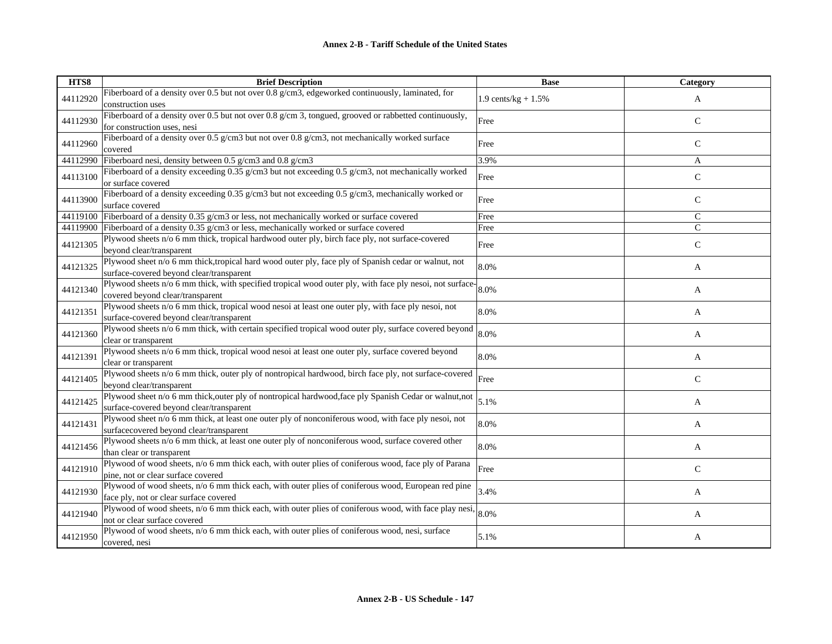| HTS8     | <b>Brief Description</b>                                                                                                                           | <b>Base</b>           | <b>Category</b> |
|----------|----------------------------------------------------------------------------------------------------------------------------------------------------|-----------------------|-----------------|
| 44112920 | Fiberboard of a density over 0.5 but not over 0.8 g/cm3, edgeworked continuously, laminated, for<br>construction uses                              | 1.9 cents/kg + $1.5%$ | A               |
| 44112930 | Fiberboard of a density over 0.5 but not over 0.8 $g/cm$ 3, tongued, grooved or rabbetted continuously,<br>for construction uses, nesi             | Free                  | C               |
| 44112960 | Fiberboard of a density over 0.5 g/cm3 but not over 0.8 g/cm3, not mechanically worked surface<br>covered                                          | Free                  | $\mathsf{C}$    |
| 44112990 | Fiberboard nesi, density between 0.5 g/cm3 and 0.8 g/cm3                                                                                           | 3.9%                  | A               |
| 44113100 | Fiberboard of a density exceeding 0.35 g/cm3 but not exceeding 0.5 g/cm3, not mechanically worked<br>or surface covered                            | Free                  | $\mathsf{C}$    |
| 44113900 | Fiberboard of a density exceeding 0.35 g/cm3 but not exceeding 0.5 g/cm3, mechanically worked or<br>surface covered                                | Free                  | $\mathsf{C}$    |
| 44119100 | Fiberboard of a density 0.35 g/cm3 or less, not mechanically worked or surface covered                                                             | Free                  | $\mathsf{C}$    |
| 44119900 | Fiberboard of a density 0.35 g/cm3 or less, mechanically worked or surface covered                                                                 | Free                  | $\mathsf{C}$    |
| 44121305 | Plywood sheets n/o 6 mm thick, tropical hardwood outer ply, birch face ply, not surface-covered<br>beyond clear/transparent                        | Free                  | $\mathsf{C}$    |
| 44121325 | Plywood sheet n/o 6 mm thick, tropical hard wood outer ply, face ply of Spanish cedar or walnut, not<br>surface-covered beyond clear/transparent   | 8.0%                  | A               |
| 44121340 | Plywood sheets n/o 6 mm thick, with specified tropical wood outer ply, with face ply nesoi, not surface-<br>covered beyond clear/transparent       | 8.0%                  | A               |
| 44121351 | Plywood sheets n/o 6 mm thick, tropical wood nesoi at least one outer ply, with face ply nesoi, not<br>surface-covered beyond clear/transparent    | 8.0%                  | A               |
| 44121360 | Plywood sheets n/o 6 mm thick, with certain specified tropical wood outer ply, surface covered beyond<br>clear or transparent                      | 8.0%                  | A               |
| 44121391 | Plywood sheets n/o 6 mm thick, tropical wood nesoi at least one outer ply, surface covered beyond<br>clear or transparent                          | 8.0%                  | A               |
| 44121405 | Plywood sheets n/o 6 mm thick, outer ply of nontropical hardwood, birch face ply, not surface-covered<br>beyond clear/transparent                  | Free                  | $\mathsf{C}$    |
| 44121425 | Plywood sheet n/o 6 mm thick, outer ply of nontropical hardwood, face ply Spanish Cedar or walnut, not<br>surface-covered beyond clear/transparent | 5.1%                  | A               |
| 44121431 | Plywood sheet n/o 6 mm thick, at least one outer ply of nonconiferous wood, with face ply nesoi, not<br>surfacecovered beyond clear/transparent    | 8.0%                  | A               |
| 44121456 | Plywood sheets n/o 6 mm thick, at least one outer ply of nonconiferous wood, surface covered other<br>than clear or transparent                    | 8.0%                  | A               |
| 44121910 | Plywood of wood sheets, n/o 6 mm thick each, with outer plies of coniferous wood, face ply of Parana<br>pine, not or clear surface covered         | Free                  | C               |
| 44121930 | Plywood of wood sheets, n/o 6 mm thick each, with outer plies of coniferous wood, European red pine<br>face ply, not or clear surface covered      | 3.4%                  | A               |
| 44121940 | Plywood of wood sheets, n/o 6 mm thick each, with outer plies of coniferous wood, with face play nesi,<br>not or clear surface covered             | 8.0%                  | A               |
| 44121950 | Plywood of wood sheets, n/o 6 mm thick each, with outer plies of coniferous wood, nesi, surface<br>covered, nesi                                   | 5.1%                  | A               |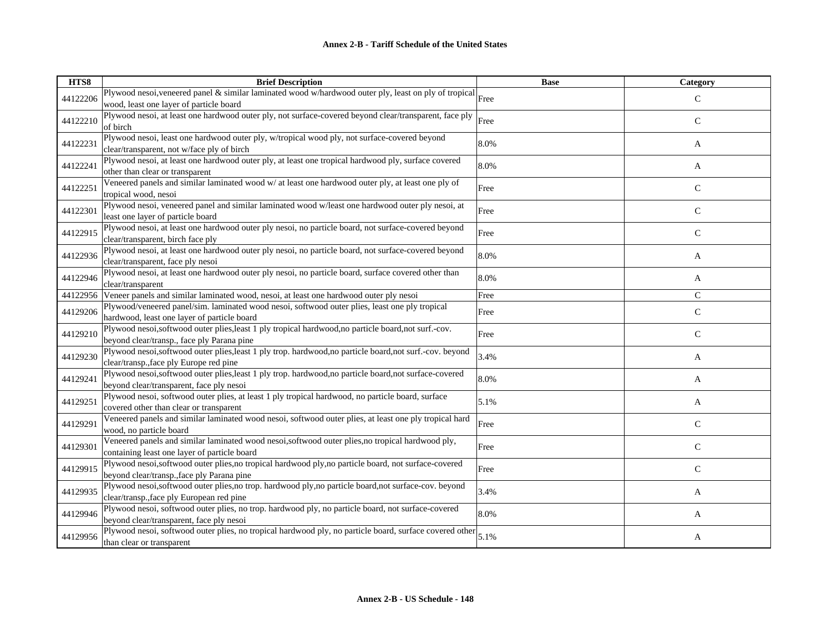| HTS8     | <b>Brief Description</b>                                                                                                                      | <b>Base</b> | <b>Category</b> |
|----------|-----------------------------------------------------------------------------------------------------------------------------------------------|-------------|-----------------|
| 44122206 | Plywood nesoi, veneered panel & similar laminated wood w/hardwood outer ply, least on ply of tropical $\vert$ Free                            |             | $\mathsf{C}$    |
|          | wood, least one layer of particle board                                                                                                       |             |                 |
| 44122210 | Plywood nesoi, at least one hardwood outer ply, not surface-covered beyond clear/transparent, face ply<br>of birch                            | Free        | C               |
| 44122231 | Plywood nesoi, least one hardwood outer ply, w/tropical wood ply, not surface-covered beyond                                                  | 8.0%        | A               |
|          | clear/transparent, not w/face ply of birch                                                                                                    |             |                 |
| 44122241 | Plywood nesoi, at least one hardwood outer ply, at least one tropical hardwood ply, surface covered<br>other than clear or transparent        | 8.0%        | A               |
|          | Veneered panels and similar laminated wood w/ at least one hardwood outer ply, at least one ply of                                            |             |                 |
| 44122251 | tropical wood, nesoi                                                                                                                          | Free        | $\mathbf C$     |
| 44122301 | Plywood nesoi, veneered panel and similar laminated wood w/least one hardwood outer ply nesoi, at                                             | Free        | $\mathsf{C}$    |
|          | least one layer of particle board                                                                                                             |             |                 |
| 44122915 | Plywood nesoi, at least one hardwood outer ply nesoi, no particle board, not surface-covered beyond                                           | Free        | $\mathsf{C}$    |
|          | clear/transparent, birch face ply                                                                                                             |             |                 |
| 44122936 | Plywood nesoi, at least one hardwood outer ply nesoi, no particle board, not surface-covered beyond                                           | 8.0%        | A               |
|          | clear/transparent, face ply nesoi                                                                                                             |             |                 |
| 44122946 | Plywood nesoi, at least one hardwood outer ply nesoi, no particle board, surface covered other than                                           | 8.0%        | A               |
|          | clear/transparent                                                                                                                             |             | $\mathcal{C}$   |
|          | 44122956 Veneer panels and similar laminated wood, nesoi, at least one hardwood outer ply nesoi                                               | Free        |                 |
| 44129206 | Plywood/veneered panel/sim. laminated wood nesoi, softwood outer plies, least one ply tropical<br>hardwood, least one layer of particle board | Free        | $\mathcal{C}$   |
|          | Plywood nesoi,softwood outer plies, least 1 ply tropical hardwood, no particle board, not surf.-cov.                                          |             |                 |
| 44129210 | beyond clear/transp., face ply Parana pine                                                                                                    | Free        | $\mathsf{C}$    |
|          | Plywood nesoi,softwood outer plies, least 1 ply trop. hardwood, no particle board, not surf.-cov. beyond                                      |             |                 |
| 44129230 | clear/transp., face ply Europe red pine                                                                                                       | 3.4%        | A               |
|          | Plywood nesoi,softwood outer plies, least 1 ply trop. hardwood, no particle board, not surface-covered                                        |             |                 |
| 44129241 | beyond clear/transparent, face ply nesoi                                                                                                      | 8.0%        | A               |
|          | Plywood nesoi, softwood outer plies, at least 1 ply tropical hardwood, no particle board, surface                                             |             |                 |
| 44129251 | covered other than clear or transparent                                                                                                       | 5.1%        | A               |
|          | Veneered panels and similar laminated wood nesoi, softwood outer plies, at least one ply tropical hard                                        | Free        |                 |
| 44129291 | wood, no particle board                                                                                                                       |             | $\mathcal{C}$   |
| 44129301 | Veneered panels and similar laminated wood nesoi,softwood outer plies,no tropical hardwood ply,                                               | Free        | $\mathsf{C}$    |
|          | containing least one layer of particle board                                                                                                  |             |                 |
| 44129915 | Plywood nesoi,softwood outer plies,no tropical hardwood ply,no particle board, not surface-covered                                            | Free        | C               |
|          | beyond clear/transp., face ply Parana pine                                                                                                    |             |                 |
| 44129935 | Plywood nesoi,softwood outer plies,no trop. hardwood ply,no particle board,not surface-cov. beyond                                            | 3.4%        | A               |
|          | clear/transp., face ply European red pine                                                                                                     |             |                 |
| 44129946 | Plywood nesoi, softwood outer plies, no trop. hardwood ply, no particle board, not surface-covered                                            | 8.0%        | A               |
|          | beyond clear/transparent, face ply nesoi                                                                                                      |             |                 |
| 44129956 | Plywood nesoi, softwood outer plies, no tropical hardwood ply, no particle board, surface covered other                                       | 5.1%        | A               |
|          | than clear or transparent                                                                                                                     |             |                 |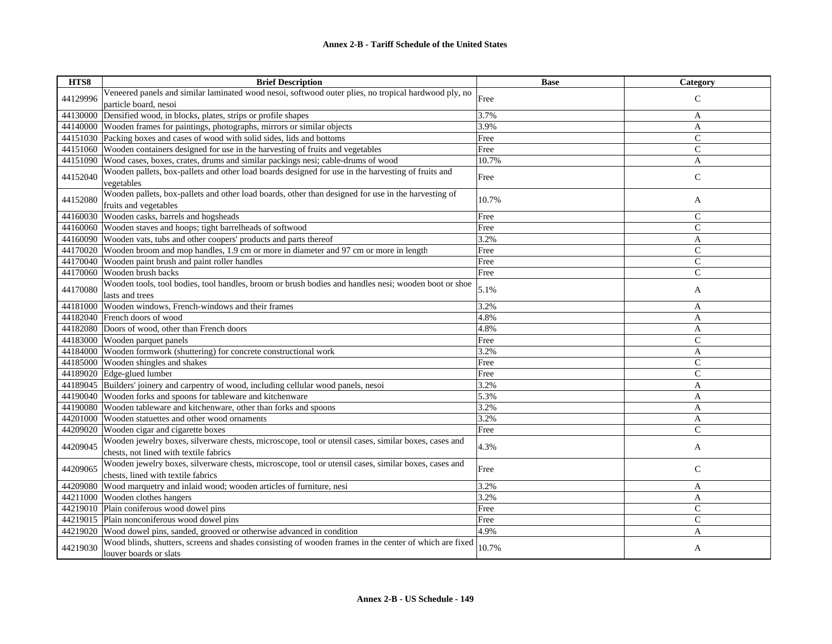| HTS8     | <b>Brief Description</b>                                                                                                                       | <b>Base</b> | Category      |
|----------|------------------------------------------------------------------------------------------------------------------------------------------------|-------------|---------------|
| 44129996 | Veneered panels and similar laminated wood nesoi, softwood outer plies, no tropical hardwood ply, no                                           | Free        | $\mathsf{C}$  |
|          | particle board, nesoi                                                                                                                          |             |               |
| 44130000 | Densified wood, in blocks, plates, strips or profile shapes                                                                                    | 3.7%        | A             |
|          | 44140000 Wooden frames for paintings, photographs, mirrors or similar objects                                                                  | 3.9%        | A             |
|          | 44151030 Packing boxes and cases of wood with solid sides, lids and bottoms                                                                    | Free        | $\mathsf{C}$  |
| 44151060 | Wooden containers designed for use in the harvesting of fruits and vegetables                                                                  | Free        | $\mathsf{C}$  |
| 44151090 | Wood cases, boxes, crates, drums and similar packings nesi; cable-drums of wood                                                                | 10.7%       | A             |
| 44152040 | Wooden pallets, box-pallets and other load boards designed for use in the harvesting of fruits and                                             | Free        | $\mathsf{C}$  |
|          | vegetables                                                                                                                                     |             |               |
| 44152080 | Wooden pallets, box-pallets and other load boards, other than designed for use in the harvesting of                                            | 10.7%       |               |
|          | fruits and vegetables                                                                                                                          |             | A             |
| 44160030 | Wooden casks, barrels and hogsheads                                                                                                            | Free        | $\mathsf{C}$  |
|          | 44160060 Wooden staves and hoops; tight barrelheads of softwood                                                                                | Free        | $\mathsf{C}$  |
|          | 44160090 Wooden vats, tubs and other coopers' products and parts thereof                                                                       | 3.2%        | A             |
| 44170020 | Wooden broom and mop handles, 1.9 cm or more in diameter and 97 cm or more in length                                                           | Free        | $\mathsf{C}$  |
|          | 44170040 Wooden paint brush and paint roller handles                                                                                           | Free        | $\mathsf{C}$  |
| 44170060 | Wooden brush backs                                                                                                                             | Free        | $\mathsf{C}$  |
| 44170080 | Wooden tools, tool bodies, tool handles, broom or brush bodies and handles nesi; wooden boot or shoe                                           | 5.1%        | A             |
|          | lasts and trees                                                                                                                                |             |               |
| 44181000 | Wooden windows, French-windows and their frames                                                                                                | 3.2%        | A             |
| 44182040 | French doors of wood                                                                                                                           | 4.8%        | A             |
| 44182080 | Doors of wood, other than French doors                                                                                                         | 4.8%        | A             |
| 44183000 | Wooden parquet panels                                                                                                                          | Free        | $\mathsf{C}$  |
| 44184000 | Wooden formwork (shuttering) for concrete constructional work                                                                                  | 3.2%        | A             |
| 44185000 | Wooden shingles and shakes                                                                                                                     | Free        | $\mathcal{C}$ |
| 44189020 | Edge-glued lumber                                                                                                                              | Free        | $\mathsf{C}$  |
|          | 44189045 Builders' joinery and carpentry of wood, including cellular wood panels, nesoi                                                        | 3.2%        | A             |
|          | 44190040 Wooden forks and spoons for tableware and kitchenware                                                                                 | 5.3%        | A             |
|          | 44190080 Wooden tableware and kitchenware, other than forks and spoons                                                                         | 3.2%        | A             |
| 44201000 | Wooden statuettes and other wood ornaments                                                                                                     | 3.2%        | A             |
| 44209020 | Wooden cigar and cigarette boxes                                                                                                               | Free        | Ċ             |
| 44209045 | Wooden jewelry boxes, silverware chests, microscope, tool or utensil cases, similar boxes, cases and<br>chests, not lined with textile fabrics | 4.3%        | A             |
|          | Wooden jewelry boxes, silverware chests, microscope, tool or utensil cases, similar boxes, cases and                                           |             |               |
| 44209065 | chests, lined with textile fabrics                                                                                                             | Free        | $\mathsf{C}$  |
| 44209080 | Wood marquetry and inlaid wood; wooden articles of furniture, nesi                                                                             | 3.2%        | A             |
| 44211000 | Wooden clothes hangers                                                                                                                         | 3.2%        | A             |
|          | 44219010 Plain coniferous wood dowel pins                                                                                                      | Free        | $\mathsf{C}$  |
|          | 44219015 Plain nonconiferous wood dowel pins                                                                                                   | Free        | $\mathsf{C}$  |
| 44219020 | Wood dowel pins, sanded, grooved or otherwise advanced in condition                                                                            | 4.9%        | A             |
| 44219030 | Wood blinds, shutters, screens and shades consisting of wooden frames in the center of which are fixed<br>louver boards or slats               | 10.7%       | A             |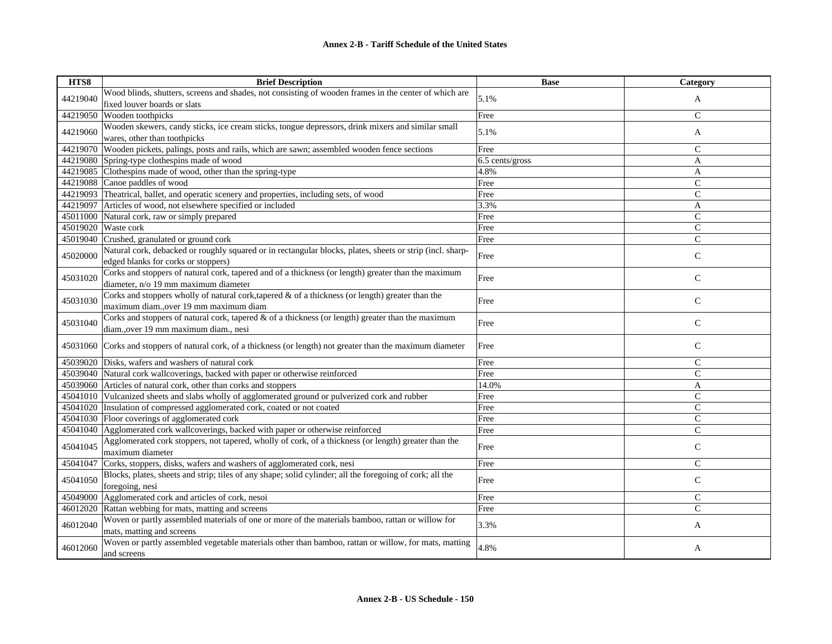| HTS8     | <b>Brief Description</b>                                                                                  | <b>Base</b>     | Category       |
|----------|-----------------------------------------------------------------------------------------------------------|-----------------|----------------|
|          | Wood blinds, shutters, screens and shades, not consisting of wooden frames in the center of which are     | 5.1%            |                |
| 44219040 | fixed louver boards or slats                                                                              |                 | A              |
| 44219050 | Wooden toothpicks                                                                                         | Free            | $\mathsf{C}$   |
|          | Wooden skewers, candy sticks, ice cream sticks, tongue depressors, drink mixers and similar small         |                 |                |
| 44219060 | wares, other than toothpicks                                                                              | 5.1%            | A              |
| 44219070 | Wooden pickets, palings, posts and rails, which are sawn; assembled wooden fence sections                 | Free            | $\mathsf{C}$   |
| 44219080 | Spring-type clothespins made of wood                                                                      | 6.5 cents/gross | A              |
| 44219085 | Clothespins made of wood, other than the spring-type                                                      | 4.8%            | A              |
|          | 44219088 Canoe paddles of wood                                                                            | Free            | $\mathsf{C}$   |
| 44219093 | Theatrical, ballet, and operatic scenery and properties, including sets, of wood                          | Free            | $\mathsf{C}$   |
| 44219097 | Articles of wood, not elsewhere specified or included                                                     | 3.3%            | A              |
| 45011000 | Natural cork, raw or simply prepared                                                                      | Free            | $\mathsf{C}$   |
| 45019020 | Waste cork                                                                                                | Free            | $\mathsf{C}$   |
| 45019040 | Crushed, granulated or ground cork                                                                        | Free            | $\mathsf{C}$   |
|          | Natural cork, debacked or roughly squared or in rectangular blocks, plates, sheets or strip (incl. sharp- |                 |                |
| 45020000 | edged blanks for corks or stoppers)                                                                       | Free            | $\mathsf{C}$   |
|          | Corks and stoppers of natural cork, tapered and of a thickness (or length) greater than the maximum       |                 |                |
| 45031020 | diameter, n/o 19 mm maximum diameter                                                                      | Free            | $\mathcal{C}$  |
|          | Corks and stoppers wholly of natural cork, tapered $\&$ of a thickness (or length) greater than the       |                 |                |
| 45031030 | maximum diam., over 19 mm maximum diam.                                                                   | Free            | $\mathbf C$    |
|          | Corks and stoppers of natural cork, tapered $\&$ of a thickness (or length) greater than the maximum      |                 |                |
| 45031040 | diam., over 19 mm maximum diam., nesi                                                                     | Free            | $\mathsf{C}$   |
|          |                                                                                                           |                 |                |
| 45031060 | Corks and stoppers of natural cork, of a thickness (or length) not greater than the maximum diameter      | Free            | $\mathsf{C}$   |
| 45039020 | Disks, wafers and washers of natural cork                                                                 | Free            | $\mathsf{C}$   |
| 45039040 | Natural cork wallcoverings, backed with paper or otherwise reinforced                                     | Free            | $\mathsf{C}$   |
| 45039060 | Articles of natural cork, other than corks and stoppers                                                   | 14.0%           | A              |
| 45041010 | Vulcanized sheets and slabs wholly of agglomerated ground or pulverized cork and rubber                   | Free            | $\mathsf{C}$   |
| 45041020 | Insulation of compressed agglomerated cork, coated or not coated                                          | Free            | $\overline{C}$ |
| 45041030 | Floor coverings of agglomerated cork                                                                      | Free            | $\mathsf{C}$   |
|          | 45041040 Agglomerated cork wallcoverings, backed with paper or otherwise reinforced                       | Free            | $\overline{C}$ |
| 45041045 | Agglomerated cork stoppers, not tapered, wholly of cork, of a thickness (or length) greater than the      |                 |                |
|          | maximum diameter                                                                                          | Free            | $\mathsf{C}$   |
| 45041047 | Corks, stoppers, disks, wafers and washers of agglomerated cork, nesi                                     | Free            | $\mathsf{C}$   |
| 45041050 | Blocks, plates, sheets and strip; tiles of any shape; solid cylinder; all the foregoing of cork; all the  |                 |                |
|          | foregoing, nesi                                                                                           | Free            | $\mathsf{C}$   |
| 45049000 | Agglomerated cork and articles of cork, nesoi                                                             | Free            | $\mathsf C$    |
| 46012020 | Rattan webbing for mats, matting and screens                                                              | Free            | $\mathsf{C}$   |
|          | Woven or partly assembled materials of one or more of the materials bamboo, rattan or willow for          |                 |                |
| 46012040 | mats, matting and screens                                                                                 | 3.3%            | A              |
|          | Woven or partly assembled vegetable materials other than bamboo, rattan or willow, for mats, matting      |                 |                |
| 46012060 | and screens                                                                                               | 4.8%            | A              |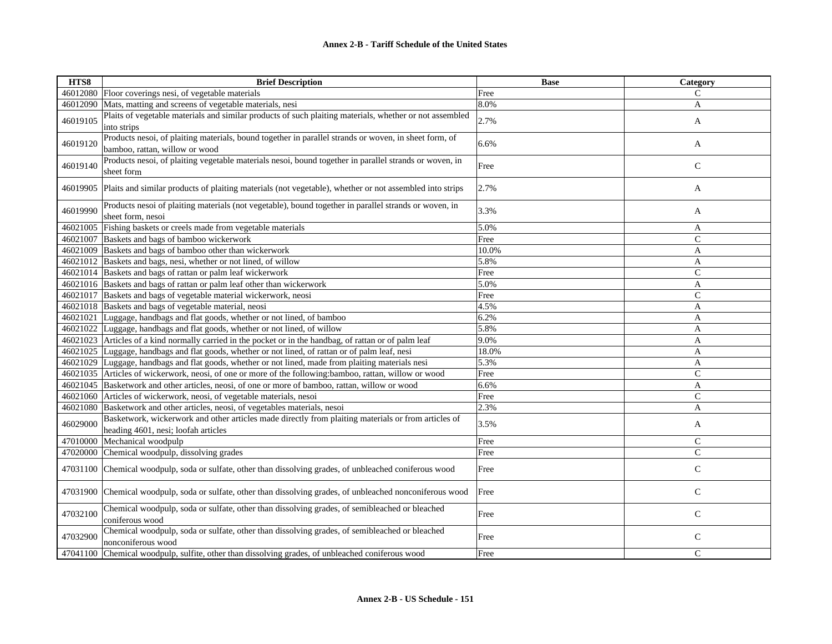| HTS8     | <b>Brief Description</b>                                                                                                                   | <b>Base</b> | Category      |
|----------|--------------------------------------------------------------------------------------------------------------------------------------------|-------------|---------------|
|          | 46012080 Floor coverings nesi, of vegetable materials                                                                                      | Free        | C             |
| 46012090 | Mats, matting and screens of vegetable materials, nesi                                                                                     | 8.0%        | A             |
| 46019105 | Plaits of vegetable materials and similar products of such plaiting materials, whether or not assembled<br>into strips                     | 2.7%        | A             |
| 46019120 | Products nesoi, of plaiting materials, bound together in parallel strands or woven, in sheet form, of<br>bamboo, rattan, willow or wood    | 6.6%        | A             |
| 46019140 | Products nesoi, of plaiting vegetable materials nesoi, bound together in parallel strands or woven, in<br>sheet form                       | Free        | $\mathsf{C}$  |
| 46019905 | Plaits and similar products of plaiting materials (not vegetable), whether or not assembled into strips                                    | 2.7%        | A             |
| 46019990 | Products nesoi of plaiting materials (not vegetable), bound together in parallel strands or woven, in<br>sheet form, nesoi                 | 3.3%        | A             |
| 46021005 | Fishing baskets or creels made from vegetable materials                                                                                    | 5.0%        | A             |
| 46021007 | Baskets and bags of bamboo wickerwork                                                                                                      | Free        | $\mathsf{C}$  |
| 46021009 | Baskets and bags of bamboo other than wickerwork                                                                                           | 10.0%       | A             |
|          | 46021012 Baskets and bags, nesi, whether or not lined, of willow                                                                           | 5.8%        | A             |
|          | 46021014 Baskets and bags of rattan or palm leaf wickerwork                                                                                | Free        | $\mathsf{C}$  |
|          | 46021016 Baskets and bags of rattan or palm leaf other than wickerwork                                                                     | 5.0%        | A             |
| 46021017 | Baskets and bags of vegetable material wickerwork, neosi                                                                                   | Free        | $\mathcal{C}$ |
|          | 46021018 Baskets and bags of vegetable material, neosi                                                                                     | 4.5%        | A             |
| 46021021 | Luggage, handbags and flat goods, whether or not lined, of bamboo                                                                          | 6.2%        | A             |
|          | 46021022 Luggage, handbags and flat goods, whether or not lined, of willow                                                                 | 5.8%        | A             |
|          | 46021023 Articles of a kind normally carried in the pocket or in the handbag, of rattan or of palm leaf                                    | 9.0%        | A             |
|          | 46021025 Luggage, handbags and flat goods, whether or not lined, of rattan or of palm leaf, nesi                                           | 18.0%       | A             |
|          | 46021029 Luggage, handbags and flat goods, whether or not lined, made from plaiting materials nesi                                         | 5.3%        | A             |
|          | 46021035 Articles of wickerwork, neosi, of one or more of the following: bamboo, rattan, willow or wood                                    | Free        | $\mathsf{C}$  |
|          | 46021045 Basketwork and other articles, neosi, of one or more of bamboo, rattan, willow or wood                                            | 6.6%        | A             |
|          | 46021060 Articles of wickerwork, neosi, of vegetable materials, nesoi                                                                      | Free        | $\mathcal{C}$ |
|          | 46021080 Basketwork and other articles, neosi, of vegetables materials, nesoi                                                              | 2.3%        | A             |
| 46029000 | Basketwork, wickerwork and other articles made directly from plaiting materials or from articles of<br>heading 4601, nesi; loofah articles | 3.5%        | A             |
| 47010000 | Mechanical woodpulp                                                                                                                        | Free        | $\mathcal{C}$ |
| 47020000 | Chemical woodpulp, dissolving grades                                                                                                       | Free        | $\mathcal{C}$ |
|          | 47031100 Chemical woodpulp, soda or sulfate, other than dissolving grades, of unbleached coniferous wood                                   | Free        | $\mathsf{C}$  |
|          | 47031900 Chemical woodpulp, soda or sulfate, other than dissolving grades, of unbleached nonconiferous wood                                | Free        | $\mathsf{C}$  |
| 47032100 | Chemical woodpulp, soda or sulfate, other than dissolving grades, of semibleached or bleached<br>coniferous wood                           | Free        | $\mathbf C$   |
| 47032900 | Chemical woodpulp, soda or sulfate, other than dissolving grades, of semibleached or bleached<br>nonconiferous wood                        | Free        | $\mathsf{C}$  |
|          | 47041100 Chemical woodpulp, sulfite, other than dissolving grades, of unbleached coniferous wood                                           | Free        | $\mathcal{C}$ |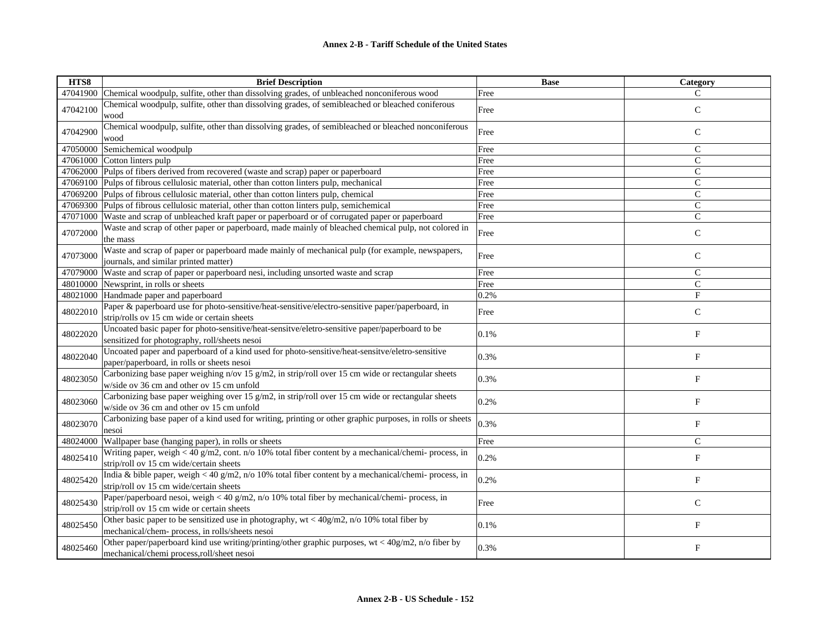| HTS8     | <b>Brief Description</b>                                                                                                                          | <b>Base</b> | Category                  |
|----------|---------------------------------------------------------------------------------------------------------------------------------------------------|-------------|---------------------------|
| 47041900 | Chemical woodpulp, sulfite, other than dissolving grades, of unbleached nonconiferous wood                                                        | Free        | $\mathcal{C}$             |
| 47042100 | Chemical woodpulp, sulfite, other than dissolving grades, of semibleached or bleached coniferous<br>wood                                          | Free        | $\mathsf{C}$              |
| 47042900 | Chemical woodpulp, sulfite, other than dissolving grades, of semibleached or bleached nonconiferous<br>wood                                       | Free        | $\mathsf{C}$              |
|          | 47050000 Semichemical woodpulp                                                                                                                    | Free        | $\mathsf{C}$              |
|          | 47061000 Cotton linters pulp                                                                                                                      | Free        | $\mathsf{C}$              |
|          | 47062000 Pulps of fibers derived from recovered (waste and scrap) paper or paperboard                                                             | Free        | $\mathsf{C}$              |
|          | 47069100 Pulps of fibrous cellulosic material, other than cotton linters pulp, mechanical                                                         | Free        | $\mathcal{C}$             |
|          | 47069200 Pulps of fibrous cellulosic material, other than cotton linters pulp, chemical                                                           | Free        | $\mathsf{C}$              |
|          | 47069300 Pulps of fibrous cellulosic material, other than cotton linters pulp, semichemical                                                       | Free        | $\mathsf{C}$              |
|          | 47071000 Waste and scrap of unbleached kraft paper or paperboard or of corrugated paper or paperboard                                             | Free        | $\overline{C}$            |
| 47072000 | Waste and scrap of other paper or paperboard, made mainly of bleached chemical pulp, not colored in<br>the mass                                   | Free        | $\mathsf{C}$              |
| 47073000 | Waste and scrap of paper or paperboard made mainly of mechanical pulp (for example, newspapers,<br>journals, and similar printed matter)          | Free        | $\mathsf{C}$              |
| 47079000 | Waste and scrap of paper or paperboard nesi, including unsorted waste and scrap                                                                   | Free        | $\mathcal{C}$             |
|          | 48010000 Newsprint, in rolls or sheets                                                                                                            | Free        | $\mathsf{C}$              |
|          | 48021000 Handmade paper and paperboard                                                                                                            | 0.2%        | F                         |
| 48022010 | Paper & paperboard use for photo-sensitive/heat-sensitive/electro-sensitive paper/paperboard, in<br>strip/rolls ov 15 cm wide or certain sheets   | Free        | $\mathsf{C}$              |
| 48022020 | Uncoated basic paper for photo-sensitive/heat-sensitve/eletro-sensitive paper/paperboard to be<br>sensitized for photography, roll/sheets nesoi   | 0.1%        | F                         |
| 48022040 | Uncoated paper and paperboard of a kind used for photo-sensitive/heat-sensitive/eletro-sensitive<br>paper/paperboard, in rolls or sheets nesoi    | 0.3%        | $\boldsymbol{\mathrm{F}}$ |
| 48023050 | Carbonizing base paper weighing n/ov 15 g/m2, in strip/roll over 15 cm wide or rectangular sheets<br>w/side ov 36 cm and other ov 15 cm unfold    | 0.3%        | F                         |
| 48023060 | Carbonizing base paper weighing over 15 g/m2, in strip/roll over 15 cm wide or rectangular sheets<br>w/side ov 36 cm and other ov 15 cm unfold    | 0.2%        | F                         |
| 48023070 | Carbonizing base paper of a kind used for writing, printing or other graphic purposes, in rolls or sheets<br>nesoi                                | 0.3%        | $\boldsymbol{\mathrm{F}}$ |
| 48024000 | Wallpaper base (hanging paper), in rolls or sheets                                                                                                | Free        | $\mathsf{C}$              |
| 48025410 | Writing paper, weigh < 40 g/m2, cont. $n/0$ 10% total fiber content by a mechanical/chemi- process, in<br>strip/roll ov 15 cm wide/certain sheets | 0.2%        | $\boldsymbol{\mathrm{F}}$ |
| 48025420 | India & bible paper, weigh < 40 g/m2, n/o 10% total fiber content by a mechanical/chemi-process, in<br>strip/roll ov 15 cm wide/certain sheets    | 0.2%        | F                         |
| 48025430 | Paper/paperboard nesoi, weigh < 40 g/m2, n/o 10% total fiber by mechanical/chemi- process, in<br>strip/roll ov 15 cm wide or certain sheets       | Free        | $\mathsf{C}$              |
| 48025450 | Other basic paper to be sensitized use in photography, $wt < 40g/m2$ , n/o 10% total fiber by<br>mechanical/chem- process, in rolls/sheets nesoi  | 0.1%        | $\boldsymbol{\mathrm{F}}$ |
| 48025460 | Other paper/paperboard kind use writing/printing/other graphic purposes, wt < 40g/m2, n/o fiber by<br>mechanical/chemi process, roll/sheet nesoi  | 0.3%        | F                         |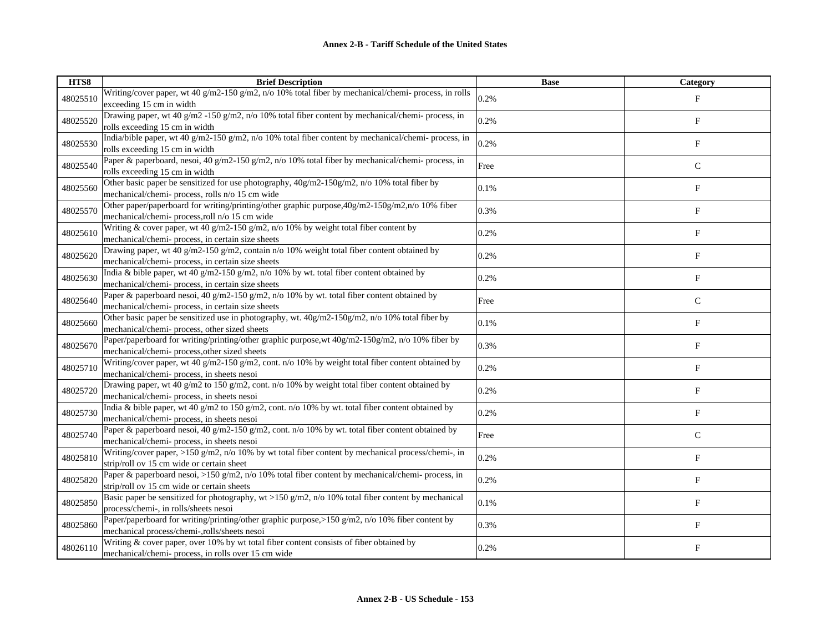| HTS8     | <b>Brief Description</b>                                                                                                                     | <b>Base</b> | Category                  |
|----------|----------------------------------------------------------------------------------------------------------------------------------------------|-------------|---------------------------|
| 48025510 | Writing/cover paper, wt 40 g/m2-150 g/m2, n/o 10% total fiber by mechanical/chemi- process, in rolls                                         | 0.2%        | $_{\rm F}$                |
|          | exceeding 15 cm in width                                                                                                                     |             |                           |
| 48025520 | Drawing paper, wt 40 g/m2 -150 g/m2, n/o 10% total fiber content by mechanical/chemi- process, in                                            | 0.2%        | $\boldsymbol{\mathrm{F}}$ |
|          | rolls exceeding 15 cm in width                                                                                                               |             |                           |
| 48025530 | India/bible paper, wt 40 g/m2-150 g/m2, n/o 10% total fiber content by mechanical/chemi- process, in                                         | 0.2%        | F                         |
|          | rolls exceeding 15 cm in width                                                                                                               |             |                           |
| 48025540 | Paper & paperboard, nesoi, 40 g/m2-150 g/m2, n/o 10% total fiber by mechanical/chemi- process, in                                            | Free        | $\mathsf{C}$              |
|          | rolls exceeding 15 cm in width<br>Other basic paper be sensitized for use photography, 40g/m2-150g/m2, n/o 10% total fiber by                |             |                           |
| 48025560 | mechanical/chemi-process, rolls n/o 15 cm wide                                                                                               | 0.1%        | $\boldsymbol{\mathrm{F}}$ |
|          | Other paper/paperboard for writing/printing/other graphic purpose, 40g/m2-150g/m2,n/o 10% fiber                                              |             |                           |
| 48025570 | mechanical/chemi-process, roll n/o 15 cm wide                                                                                                | 0.3%        | F                         |
|          | Writing & cover paper, wt 40 g/m2-150 g/m2, n/o 10% by weight total fiber content by                                                         |             |                           |
| 48025610 | mechanical/chemi- process, in certain size sheets                                                                                            | 0.2%        | $\boldsymbol{\mathrm{F}}$ |
|          | Drawing paper, wt 40 g/m2-150 g/m2, contain n/o 10% weight total fiber content obtained by                                                   |             |                           |
| 48025620 | mechanical/chemi-process, in certain size sheets                                                                                             | 0.2%        | $\boldsymbol{\mathrm{F}}$ |
|          | India & bible paper, wt 40 g/m2-150 g/m2, n/o 10% by wt. total fiber content obtained by                                                     |             |                           |
| 48025630 | mechanical/chemi- process, in certain size sheets                                                                                            | 0.2%        | F                         |
| 48025640 | Paper & paperboard nesoi, 40 g/m2-150 g/m2, n/o 10% by wt. total fiber content obtained by                                                   | Free        | $\mathbf C$               |
|          | mechanical/chemi-process, in certain size sheets                                                                                             |             |                           |
| 48025660 | Other basic paper be sensitized use in photography, wt. 40g/m2-150g/m2, n/o 10% total fiber by                                               | 0.1%        | F                         |
|          | mechanical/chemi- process, other sized sheets                                                                                                |             |                           |
| 48025670 | Paper/paperboard for writing/printing/other graphic purpose, wt 40g/m2-150g/m2, n/o 10% fiber by                                             | 0.3%        | ${\bf F}$                 |
|          | mechanical/chemi-process, other sized sheets                                                                                                 |             |                           |
| 48025710 | Writing/cover paper, wt 40 g/m2-150 g/m2, cont. n/o 10% by weight total fiber content obtained by                                            | 0.2%        | F                         |
|          | mechanical/chemi- process, in sheets nesoi                                                                                                   |             |                           |
| 48025720 | Drawing paper, wt 40 g/m2 to 150 g/m2, cont. n/o 10% by weight total fiber content obtained by<br>mechanical/chemi- process, in sheets nesoi | 0.2%        | $_{\rm F}$                |
|          | India & bible paper, wt 40 g/m2 to 150 g/m2, cont. n/o 10% by wt. total fiber content obtained by                                            |             |                           |
| 48025730 | mechanical/chemi- process, in sheets nesoi                                                                                                   | 0.2%        | $\boldsymbol{\mathrm{F}}$ |
|          | Paper & paperboard nesoi, 40 g/m2-150 g/m2, cont. n/o 10% by wt. total fiber content obtained by                                             |             |                           |
| 48025740 | mechanical/chemi- process, in sheets nesoi                                                                                                   | Free        | $\mathbf C$               |
|          | Writing/cover paper, >150 g/m2, n/o 10% by wt total fiber content by mechanical process/chemi-, in                                           |             |                           |
| 48025810 | strip/roll ov 15 cm wide or certain sheet                                                                                                    | 0.2%        | F                         |
| 48025820 | Paper & paperboard nesoi, >150 g/m2, n/o 10% total fiber content by mechanical/chemi- process, in                                            | 0.2%        | $\mathbf F$               |
|          | strip/roll ov 15 cm wide or certain sheets                                                                                                   |             |                           |
| 48025850 | Basic paper be sensitized for photography, wt >150 g/m2, n/o 10% total fiber content by mechanical                                           | 0.1%        | $_{\rm F}$                |
|          | process/chemi-, in rolls/sheets nesoi                                                                                                        |             |                           |
| 48025860 | Paper/paperboard for writing/printing/other graphic purpose,>150 g/m2, n/o 10% fiber content by                                              | 0.3%        | ${\rm F}$                 |
|          | mechanical process/chemi-,rolls/sheets nesoi                                                                                                 |             |                           |
| 48026110 | Writing & cover paper, over 10% by wt total fiber content consists of fiber obtained by                                                      | 0.2%        | F                         |
|          | mechanical/chemi- process, in rolls over 15 cm wide                                                                                          |             |                           |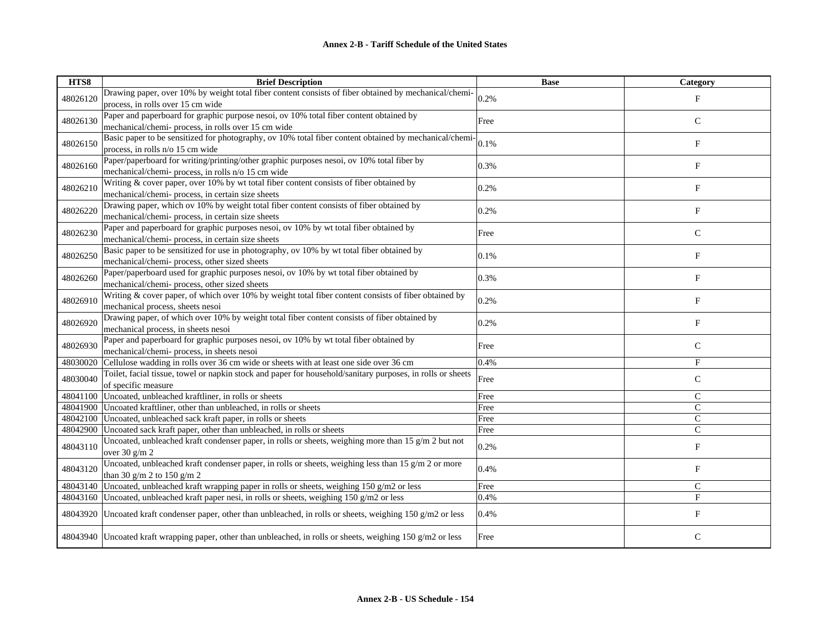| HTS8     | <b>Brief Description</b>                                                                                     | <b>Base</b> | Category     |
|----------|--------------------------------------------------------------------------------------------------------------|-------------|--------------|
| 48026120 | Drawing paper, over 10% by weight total fiber content consists of fiber obtained by mechanical/chemi-        | 0.2%        | $_{\rm F}$   |
|          | process, in rolls over 15 cm wide                                                                            |             |              |
| 48026130 | Paper and paperboard for graphic purpose nesoi, ov 10% total fiber content obtained by                       | Free        | $\mathsf{C}$ |
|          | mechanical/chemi- process, in rolls over 15 cm wide                                                          |             |              |
| 48026150 | Basic paper to be sensitized for photography, ov 10% total fiber content obtained by mechanical/chemi-       | 0.1%        | $_{\rm F}$   |
|          | process, in rolls n/o 15 cm wide                                                                             |             |              |
| 48026160 | Paper/paperboard for writing/printing/other graphic purposes nesoi, ov 10% total fiber by                    | 0.3%        | $_{\rm F}$   |
|          | mechanical/chemi- process, in rolls n/o 15 cm wide                                                           |             |              |
| 48026210 | Writing & cover paper, over 10% by wt total fiber content consists of fiber obtained by                      | 0.2%        | $_{\rm F}$   |
|          | mechanical/chemi- process, in certain size sheets                                                            |             |              |
| 48026220 | Drawing paper, which ov 10% by weight total fiber content consists of fiber obtained by                      | 0.2%        | F            |
|          | mechanical/chemi- process, in certain size sheets                                                            |             |              |
| 48026230 | Paper and paperboard for graphic purposes nesoi, ov 10% by wt total fiber obtained by                        | Free        | $\mathsf{C}$ |
|          | mechanical/chemi- process, in certain size sheets                                                            |             |              |
| 48026250 | Basic paper to be sensitized for use in photography, ov 10% by wt total fiber obtained by                    | 0.1%        | $_{\rm F}$   |
|          | mechanical/chemi- process, other sized sheets                                                                |             |              |
| 48026260 | Paper/paperboard used for graphic purposes nesoi, ov 10% by wt total fiber obtained by                       | 0.3%        | $_{\rm F}$   |
|          | mechanical/chemi- process, other sized sheets                                                                |             |              |
| 48026910 | Writing & cover paper, of which over 10% by weight total fiber content consists of fiber obtained by         | 0.2%        | $\rm F$      |
|          | mechanical process, sheets nesoi                                                                             |             |              |
| 48026920 | Drawing paper, of which over 10% by weight total fiber content consists of fiber obtained by                 | 0.2%        | $_{\rm F}$   |
|          | mechanical process, in sheets nesoi                                                                          |             |              |
| 48026930 | Paper and paperboard for graphic purposes nesoi, ov 10% by wt total fiber obtained by                        | Free        | $\mathsf{C}$ |
|          | mechanical/chemi- process, in sheets nesoi                                                                   |             |              |
| 48030020 | Cellulose wadding in rolls over 36 cm wide or sheets with at least one side over 36 cm                       | 0.4%        | $_{\rm F}$   |
| 48030040 | Toilet, facial tissue, towel or napkin stock and paper for household/sanitary purposes, in rolls or sheets   | Free        | $\mathsf{C}$ |
|          | of specific measure                                                                                          |             |              |
| 48041100 | Uncoated, unbleached kraftliner, in rolls or sheets                                                          | Free        | $\mathsf{C}$ |
| 48041900 | Uncoated kraftliner, other than unbleached, in rolls or sheets                                               | Free        | $\mathsf{C}$ |
| 48042100 | Uncoated, unbleached sack kraft paper, in rolls or sheets                                                    | Free        | $\mathsf{C}$ |
| 48042900 | Uncoated sack kraft paper, other than unbleached, in rolls or sheets                                         | Free        | $\mathsf{C}$ |
| 48043110 | Uncoated, unbleached kraft condenser paper, in rolls or sheets, weighing more than 15 g/m 2 but not          | 0.2%        | $_{\rm F}$   |
|          | over $30 \frac{\text{g}}{\text{m}}$ 2                                                                        |             |              |
| 48043120 | Uncoated, unbleached kraft condenser paper, in rolls or sheets, weighing less than 15 $g/m$ 2 or more        | 0.4%        | F            |
|          | than 30 g/m 2 to 150 g/m 2                                                                                   |             |              |
| 48043140 | Uncoated, unbleached kraft wrapping paper in rolls or sheets, weighing 150 g/m2 or less                      | Free        | $\mathsf{C}$ |
| 48043160 | Uncoated, unbleached kraft paper nesi, in rolls or sheets, weighing $150$ g/m2 or less                       | 0.4%        | $\mathbf{F}$ |
| 48043920 | Uncoated kraft condenser paper, other than unbleached, in rolls or sheets, weighing 150 g/m2 or less         | 0.4%        | F            |
|          | 48043940 Uncoated kraft wrapping paper, other than unbleached, in rolls or sheets, weighing 150 g/m2 or less | Free        | $\mathbf C$  |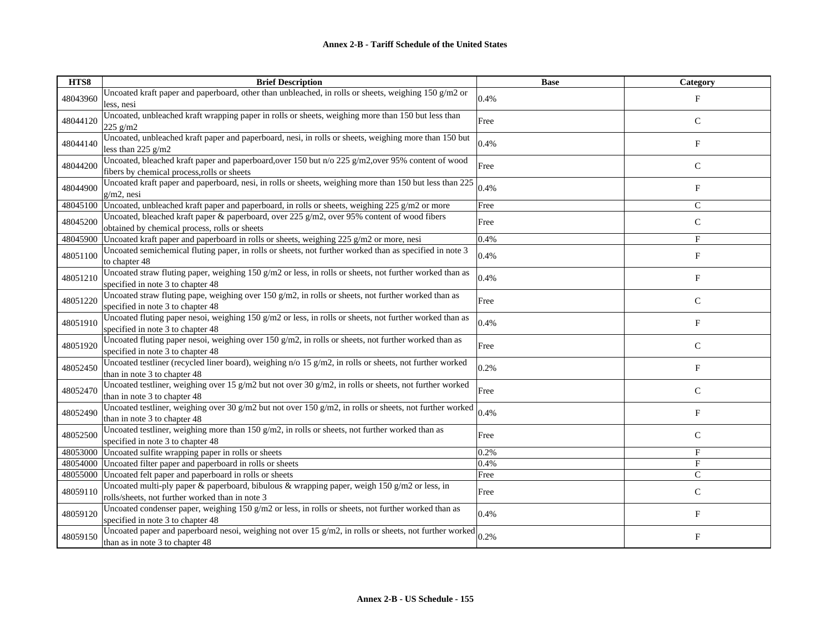| HTS8     | <b>Brief Description</b>                                                                                                                             | <b>Base</b> | Category      |
|----------|------------------------------------------------------------------------------------------------------------------------------------------------------|-------------|---------------|
| 48043960 | Uncoated kraft paper and paperboard, other than unbleached, in rolls or sheets, weighing 150 g/m2 or<br>less, nesi                                   | 0.4%        | $_{\rm F}$    |
| 48044120 | Uncoated, unbleached kraft wrapping paper in rolls or sheets, weighing more than 150 but less than<br>225 g/m2                                       | Free        | $\mathsf{C}$  |
| 48044140 | Uncoated, unbleached kraft paper and paperboard, nesi, in rolls or sheets, weighing more than 150 but<br>less than $225$ g/m2                        | 0.4%        | $_{\rm F}$    |
| 48044200 | Uncoated, bleached kraft paper and paperboard, over 150 but n/o 225 g/m2, over 95% content of wood<br>fibers by chemical process, rolls or sheets    | Free        | $\mathsf{C}$  |
| 48044900 | Uncoated kraft paper and paperboard, nesi, in rolls or sheets, weighing more than 150 but less than 225<br>$g/m2$ , nesi                             | 0.4%        | $_{\rm F}$    |
| 48045100 | Uncoated, unbleached kraft paper and paperboard, in rolls or sheets, weighing 225 g/m2 or more                                                       | Free        | $\mathcal{C}$ |
| 48045200 | Uncoated, bleached kraft paper & paperboard, over 225 $g/m2$ , over 95% content of wood fibers<br>obtained by chemical process, rolls or sheets      | Free        | $\mathsf{C}$  |
| 48045900 | Uncoated kraft paper and paperboard in rolls or sheets, weighing 225 g/m2 or more, nesi                                                              | 0.4%        | F             |
| 48051100 | Uncoated semichemical fluting paper, in rolls or sheets, not further worked than as specified in note 3<br>to chapter 48                             | 0.4%        | F             |
| 48051210 | Uncoated straw fluting paper, weighing 150 g/m2 or less, in rolls or sheets, not further worked than as<br>specified in note 3 to chapter 48         | 0.4%        | F             |
| 48051220 | Uncoated straw fluting pape, weighing over 150 g/m2, in rolls or sheets, not further worked than as<br>specified in note 3 to chapter 48             | Free        | ${\bf C}$     |
| 48051910 | Uncoated fluting paper nesoi, weighing $150 g/m2$ or less, in rolls or sheets, not further worked than as<br>specified in note 3 to chapter 48       | 0.4%        | $\mathbf F$   |
| 48051920 | Uncoated fluting paper nesoi, weighing over 150 $g/m2$ , in rolls or sheets, not further worked than as<br>specified in note 3 to chapter 48         | Free        | ${\bf C}$     |
| 48052450 | Uncoated testliner (recycled liner board), weighing $n/0$ 15 g/m2, in rolls or sheets, not further worked<br>than in note 3 to chapter 48            | 0.2%        | $_{\rm F}$    |
| 48052470 | Uncoated testliner, weighing over 15 g/m2 but not over 30 g/m2, in rolls or sheets, not further worked<br>than in note 3 to chapter 48               | Free        | $\mathsf C$   |
| 48052490 | Uncoated testliner, weighing over 30 g/m2 but not over 150 g/m2, in rolls or sheets, not further worked<br>than in note 3 to chapter 48              | 0.4%        | F             |
| 48052500 | Uncoated testliner, weighing more than 150 g/m2, in rolls or sheets, not further worked than as<br>specified in note 3 to chapter 48                 | Free        | $\mathbf C$   |
| 48053000 | Uncoated sulfite wrapping paper in rolls or sheets                                                                                                   | 0.2%        | $_{\rm F}$    |
| 48054000 | Uncoated filter paper and paperboard in rolls or sheets                                                                                              | 0.4%        | $_{\rm F}$    |
| 48055000 | Uncoated felt paper and paperboard in rolls or sheets                                                                                                | Free        | $\mathsf{C}$  |
| 48059110 | Uncoated multi-ply paper & paperboard, bibulous & wrapping paper, weigh 150 g/m2 or less, in<br>rolls/sheets, not further worked than in note 3      | Free        | $\mathbf C$   |
| 48059120 | Uncoated condenser paper, weighing $150 g/m2$ or less, in rolls or sheets, not further worked than as<br>specified in note 3 to chapter 48           | 0.4%        | $_{\rm F}$    |
| 48059150 | Uncoated paper and paperboard nesoi, weighing not over $15 \text{ g/m2}$ , in rolls or sheets, not further worked<br>than as in note 3 to chapter 48 | 0.2%        | $\mathbf F$   |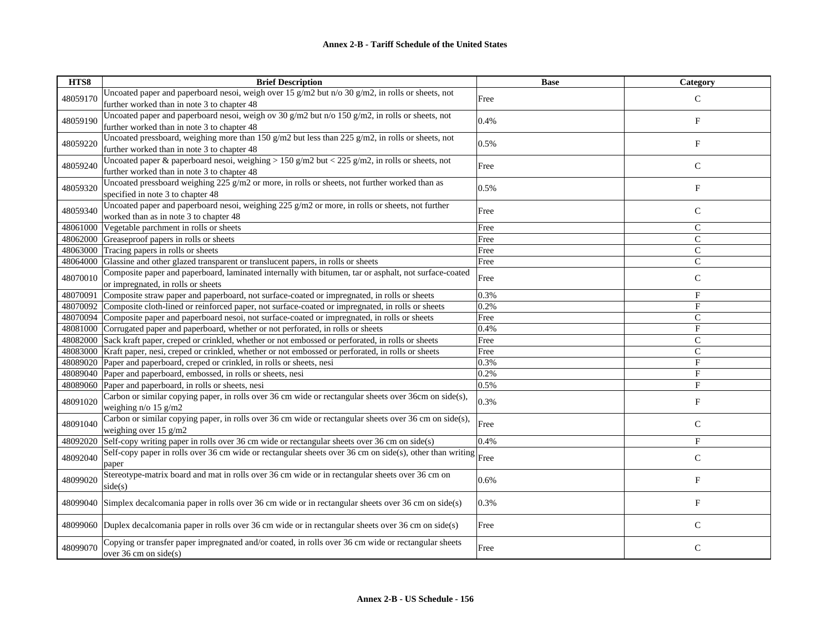| HTS8     | <b>Brief Description</b>                                                                                 | <b>Base</b> | Category      |
|----------|----------------------------------------------------------------------------------------------------------|-------------|---------------|
| 48059170 | Uncoated paper and paperboard nesoi, weigh over 15 $g/m2$ but n/o 30 $g/m2$ , in rolls or sheets, not    | Free        | $\mathcal{C}$ |
|          | further worked than in note 3 to chapter 48                                                              |             |               |
| 48059190 | Uncoated paper and paperboard nesoi, weigh ov 30 g/m2 but n/o 150 g/m2, in rolls or sheets, not          | 0.4%        | ${\bf F}$     |
|          | further worked than in note 3 to chapter 48                                                              |             |               |
| 48059220 | Uncoated pressboard, weighing more than 150 g/m2 but less than 225 g/m2, in rolls or sheets, not         | 0.5%        | $\mathbf F$   |
|          | further worked than in note 3 to chapter 48                                                              |             |               |
| 48059240 | Uncoated paper & paperboard nesoi, weighing > 150 g/m2 but < 225 g/m2, in rolls or sheets, not           | Free        | $\mathbf C$   |
|          | further worked than in note 3 to chapter 48                                                              |             |               |
| 48059320 | Uncoated pressboard weighing 225 g/m2 or more, in rolls or sheets, not further worked than as            | 0.5%        | F             |
|          | specified in note 3 to chapter 48                                                                        |             |               |
| 48059340 | Uncoated paper and paperboard nesoi, weighing 225 g/m2 or more, in rolls or sheets, not further          | Free        | $\mathbf C$   |
|          | worked than as in note 3 to chapter 48                                                                   |             |               |
| 48061000 | Vegetable parchment in rolls or sheets                                                                   | Free        | $\mathsf{C}$  |
| 48062000 | Greaseproof papers in rolls or sheets                                                                    | Free        | $\mathsf{C}$  |
| 48063000 | Tracing papers in rolls or sheets                                                                        | Free        | $\mathsf{C}$  |
| 48064000 | Glassine and other glazed transparent or translucent papers, in rolls or sheets                          | Free        | $\mathsf{C}$  |
| 48070010 | Composite paper and paperboard, laminated internally with bitumen, tar or asphalt, not surface-coated    | Free        | $\mathsf{C}$  |
|          | or impregnated, in rolls or sheets                                                                       |             |               |
| 48070091 | Composite straw paper and paperboard, not surface-coated or impregnated, in rolls or sheets              | 0.3%        | $_{\rm F}$    |
| 48070092 | Composite cloth-lined or reinforced paper, not surface-coated or impregnated, in rolls or sheets         | 0.2%        | $\mathbf F$   |
| 48070094 | Composite paper and paperboard nesoi, not surface-coated or impregnated, in rolls or sheets              | Free        | $\mathsf{C}$  |
| 48081000 | Corrugated paper and paperboard, whether or not perforated, in rolls or sheets                           | 0.4%        | $_{\rm F}$    |
| 48082000 | Sack kraft paper, creped or crinkled, whether or not embossed or perforated, in rolls or sheets          | Free        | $\mathbf C$   |
| 48083000 | Kraft paper, nesi, creped or crinkled, whether or not embossed or perforated, in rolls or sheets         | Free        | $\mathsf{C}$  |
| 48089020 | Paper and paperboard, creped or crinkled, in rolls or sheets, nesi                                       | 0.3%        | F             |
| 48089040 | Paper and paperboard, embossed, in rolls or sheets, nesi                                                 | 0.2%        | $\mathbf{F}$  |
| 48089060 | Paper and paperboard, in rolls or sheets, nesi                                                           | 0.5%        | F             |
| 48091020 | Carbon or similar copying paper, in rolls over 36 cm wide or rectangular sheets over 36cm on side(s),    | 0.3%        | ${\bf F}$     |
|          | weighing $n/o$ 15 g/m2                                                                                   |             |               |
| 48091040 | Carbon or similar copying paper, in rolls over 36 cm wide or rectangular sheets over 36 cm on side(s),   | Free        | $\mathsf{C}$  |
|          | weighing over $15$ g/m2                                                                                  |             |               |
| 48092020 | Self-copy writing paper in rolls over 36 cm wide or rectangular sheets over 36 cm on side(s)             | 0.4%        | $_{\rm F}$    |
| 48092040 | Self-copy paper in rolls over 36 cm wide or rectangular sheets over 36 cm on side(s), other than writing | Free        | $\mathsf{C}$  |
|          | paper                                                                                                    |             |               |
| 48099020 | Stereotype-matrix board and mat in rolls over 36 cm wide or in rectangular sheets over 36 cm on          | 0.6%        | ${\bf F}$     |
|          | side(s)                                                                                                  |             |               |
| 48099040 | Simplex decalcomania paper in rolls over 36 cm wide or in rectangular sheets over 36 cm on side(s)       | 0.3%        | $_{\rm F}$    |
|          |                                                                                                          |             |               |
| 48099060 | Duplex decalcomania paper in rolls over 36 cm wide or in rectangular sheets over 36 cm on side(s)        | Free        | $\mathbf C$   |
|          |                                                                                                          |             |               |
| 48099070 | Copying or transfer paper impregnated and/or coated, in rolls over 36 cm wide or rectangular sheets      | Free        | $\mathsf{C}$  |
|          | over $36 \text{ cm}$ on side(s)                                                                          |             |               |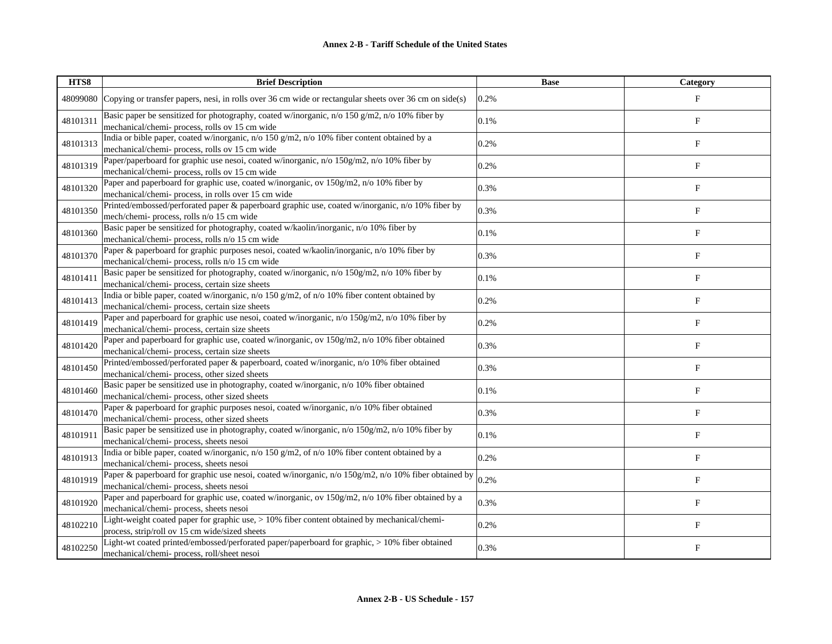| HTS8     | <b>Brief Description</b>                                                                                                                        | <b>Base</b> | Category                  |
|----------|-------------------------------------------------------------------------------------------------------------------------------------------------|-------------|---------------------------|
| 48099080 | Copying or transfer papers, nesi, in rolls over 36 cm wide or rectangular sheets over 36 cm on side(s)                                          | 0.2%        | $\mathbf{F}$              |
| 48101311 | Basic paper be sensitized for photography, coated w/inorganic, n/o 150 g/m2, n/o 10% fiber by<br>mechanical/chemi- process, rolls ov 15 cm wide | 0.1%        | $\boldsymbol{\mathrm{F}}$ |
| 48101313 | India or bible paper, coated w/inorganic, n/o 150 g/m2, n/o 10% fiber content obtained by a<br>mechanical/chemi- process, rolls ov 15 cm wide   | 0.2%        | $\boldsymbol{\mathrm{F}}$ |
| 48101319 | Paper/paperboard for graphic use nesoi, coated w/inorganic, n/o 150g/m2, n/o 10% fiber by<br>mechanical/chemi- process, rolls ov 15 cm wide     | 0.2%        | $\boldsymbol{\mathrm{F}}$ |
| 48101320 | Paper and paperboard for graphic use, coated w/inorganic, ov 150g/m2, n/o 10% fiber by<br>mechanical/chemi- process, in rolls over 15 cm wide   | 0.3%        | $\boldsymbol{\mathrm{F}}$ |
| 48101350 | Printed/embossed/perforated paper & paperboard graphic use, coated w/inorganic, n/o 10% fiber by<br>mech/chemi- process, rolls n/o 15 cm wide   | 0.3%        | F                         |
| 48101360 | Basic paper be sensitized for photography, coated w/kaolin/inorganic, n/o 10% fiber by<br>mechanical/chemi- process, rolls n/o 15 cm wide       | 0.1%        | $\boldsymbol{\mathrm{F}}$ |
| 48101370 | Paper & paperboard for graphic purposes nesoi, coated w/kaolin/inorganic, n/o 10% fiber by<br>mechanical/chemi- process, rolls n/o 15 cm wide   | 0.3%        | $_{\rm F}$                |
| 48101411 | Basic paper be sensitized for photography, coated w/inorganic, n/o 150g/m2, n/o 10% fiber by<br>mechanical/chemi- process, certain size sheets  | 0.1%        | $\boldsymbol{\mathrm{F}}$ |
| 48101413 | India or bible paper, coated w/inorganic, n/o 150 g/m2, of n/o 10% fiber content obtained by<br>mechanical/chemi- process, certain size sheets  | 0.2%        | F                         |
| 48101419 | Paper and paperboard for graphic use nesoi, coated w/inorganic, n/o 150g/m2, n/o 10% fiber by<br>mechanical/chemi- process, certain size sheets | 0.2%        | $\boldsymbol{\mathrm{F}}$ |
| 48101420 | Paper and paperboard for graphic use, coated w/inorganic, ov 150g/m2, n/o 10% fiber obtained<br>mechanical/chemi- process, certain size sheets  | 0.3%        | $_{\rm F}$                |
| 48101450 | Printed/embossed/perforated paper & paperboard, coated w/inorganic, n/o 10% fiber obtained<br>mechanical/chemi-process, other sized sheets      | 0.3%        | $\boldsymbol{\mathrm{F}}$ |
| 48101460 | Basic paper be sensitized use in photography, coated w/inorganic, n/o 10% fiber obtained<br>mechanical/chemi- process, other sized sheets       | 0.1%        | F                         |
| 48101470 | Paper & paperboard for graphic purposes nesoi, coated w/inorganic, n/o 10% fiber obtained<br>mechanical/chemi-process, other sized sheets       | 0.3%        | F                         |
| 48101911 | Basic paper be sensitized use in photography, coated w/inorganic, n/o 150g/m2, n/o 10% fiber by<br>mechanical/chemi- process, sheets nesoi      | 0.1%        | ${\bf F}$                 |
| 48101913 | India or bible paper, coated w/inorganic, n/o 150 g/m2, of n/o 10% fiber content obtained by a<br>mechanical/chemi- process, sheets nesoi       | 0.2%        | F                         |
| 48101919 | Paper & paperboard for graphic use nesoi, coated w/inorganic, n/o 150g/m2, n/o 10% fiber obtained by<br>mechanical/chemi- process, sheets nesoi | 0.2%        | $\boldsymbol{\mathrm{F}}$ |
| 48101920 | Paper and paperboard for graphic use, coated w/inorganic, ov 150g/m2, n/o 10% fiber obtained by a<br>mechanical/chemi- process, sheets nesoi    | 0.3%        | F                         |
| 48102210 | Light-weight coated paper for graphic use, > 10% fiber content obtained by mechanical/chemi-<br>process, strip/roll ov 15 cm wide/sized sheets  | 0.2%        | $\boldsymbol{\mathrm{F}}$ |
| 48102250 | Light-wt coated printed/embossed/perforated paper/paperboard for graphic, > 10% fiber obtained<br>mechanical/chemi-process, roll/sheet nesoi    | 0.3%        | F                         |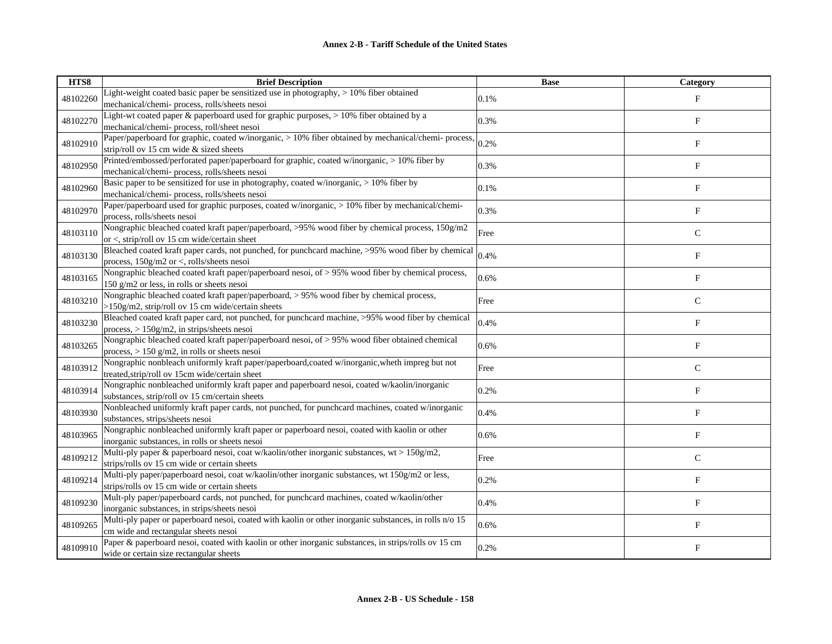| HTS8     | <b>Brief Description</b>                                                                                                                           | <b>Base</b> | Category                  |
|----------|----------------------------------------------------------------------------------------------------------------------------------------------------|-------------|---------------------------|
| 48102260 | Light-weight coated basic paper be sensitized use in photography, > 10% fiber obtained<br>mechanical/chemi-process, rolls/sheets nesoi             | 0.1%        | $_{\rm F}$                |
| 48102270 | Light-wt coated paper & paperboard used for graphic purposes, > 10% fiber obtained by a<br>mechanical/chemi-process, roll/sheet nesoi              | 0.3%        | $\boldsymbol{\mathrm{F}}$ |
| 48102910 | Paper/paperboard for graphic, coated w/inorganic, > 10% fiber obtained by mechanical/chemi-process,<br>strip/roll ov 15 cm wide & sized sheets     | 0.2%        | $\boldsymbol{\mathrm{F}}$ |
| 48102950 | Printed/embossed/perforated paper/paperboard for graphic, coated w/inorganic, > 10% fiber by<br>mechanical/chemi- process, rolls/sheets nesoi      | 0.3%        | $\boldsymbol{\mathrm{F}}$ |
| 48102960 | Basic paper to be sensitized for use in photography, coated w/inorganic, $> 10\%$ fiber by<br>mechanical/chemi-process, rolls/sheets nesoi         | 0.1%        | F                         |
| 48102970 | Paper/paperboard used for graphic purposes, coated w/inorganic, > 10% fiber by mechanical/chemi-<br>process, rolls/sheets nesoi                    | 0.3%        | $\boldsymbol{\mathrm{F}}$ |
| 48103110 | Nongraphic bleached coated kraft paper/paperboard, >95% wood fiber by chemical process, 150g/m2<br>or <, strip/roll ov 15 cm wide/certain sheet    | Free        | $\mathsf{C}$              |
| 48103130 | Bleached coated kraft paper cards, not punched, for punchcard machine, >95% wood fiber by chemical<br>process, 150g/m2 or <, rolls/sheets nesoi    | 0.4%        | $\boldsymbol{\mathrm{F}}$ |
| 48103165 | Nongraphic bleached coated kraft paper/paperboard nesoi, of > 95% wood fiber by chemical process,<br>150 g/m2 or less, in rolls or sheets nesoi    | 0.6%        | F                         |
| 48103210 | Nongraphic bleached coated kraft paper/paperboard, > 95% wood fiber by chemical process,<br>>150g/m2, strip/roll ov 15 cm wide/certain sheets      | Free        | $\mathsf{C}$              |
| 48103230 | Bleached coated kraft paper card, not punched, for punchcard machine, >95% wood fiber by chemical<br>process, $> 150$ g/m2, in strips/sheets nesoi | 0.4%        | F                         |
| 48103265 | Nongraphic bleached coated kraft paper/paperboard nesoi, of > 95% wood fiber obtained chemical<br>process, $> 150$ g/m2, in rolls or sheets nesoi  | 0.6%        | $\mathbf F$               |
| 48103912 | Nongraphic nonbleach uniformly kraft paper/paperboard, coated w/inorganic, wheth impreg but not<br>treated, strip/roll ov 15cm wide/certain sheet  | Free        | $\mathsf{C}$              |
| 48103914 | Nongraphic nonbleached uniformly kraft paper and paperboard nesoi, coated w/kaolin/inorganic<br>substances, strip/roll ov 15 cm/certain sheets     | 0.2%        | $_{\rm F}$                |
| 48103930 | Nonbleached uniformly kraft paper cards, not punched, for punchcard machines, coated w/inorganic<br>substances, strips/sheets nesoi                | 0.4%        | F                         |
| 48103965 | Nongraphic nonbleached uniformly kraft paper or paperboard nesoi, coated with kaolin or other<br>inorganic substances, in rolls or sheets nesoi    | 0.6%        | $\mathbf F$               |
| 48109212 | Multi-ply paper & paperboard nesoi, coat w/kaolin/other inorganic substances, $wt > 150g/m2$ ,<br>strips/rolls ov 15 cm wide or certain sheets     | Free        | $\mathbf C$               |
| 48109214 | Multi-ply paper/paperboard nesoi, coat w/kaolin/other inorganic substances, wt 150g/m2 or less,<br>strips/rolls ov 15 cm wide or certain sheets    | 0.2%        | $_{\rm F}$                |
| 48109230 | Mult-ply paper/paperboard cards, not punched, for punchcard machines, coated w/kaolin/other<br>inorganic substances, in strips/sheets nesoi        | 0.4%        | $_{\rm F}$                |
| 48109265 | Multi-ply paper or paperboard nesoi, coated with kaolin or other inorganic substances, in rolls n/o 15<br>cm wide and rectangular sheets nesoi     | 0.6%        | ${\rm F}$                 |
| 48109910 | Paper & paperboard nesoi, coated with kaolin or other inorganic substances, in strips/rolls ov 15 cm<br>wide or certain size rectangular sheets    | 0.2%        | F                         |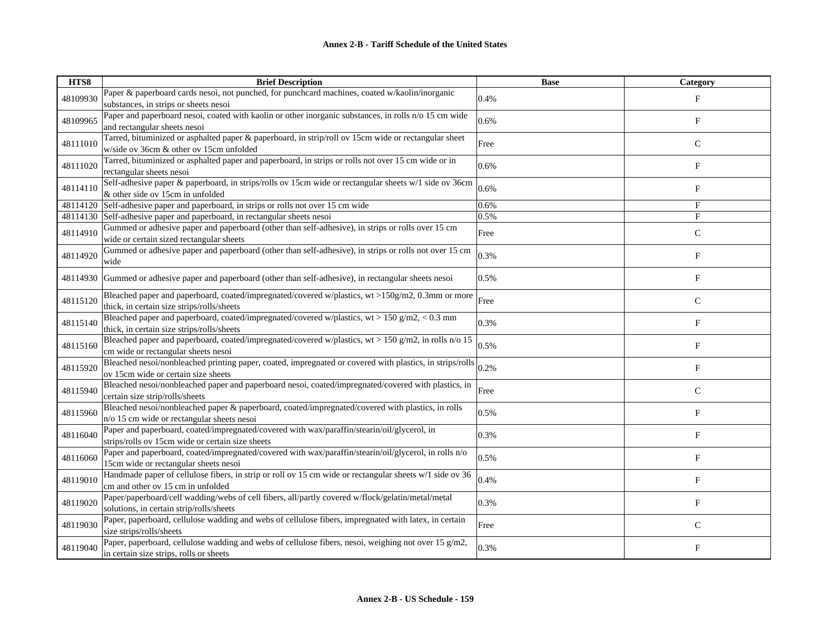| HTS8     | <b>Brief Description</b>                                                                                                                        | <b>Base</b> | Category                  |
|----------|-------------------------------------------------------------------------------------------------------------------------------------------------|-------------|---------------------------|
| 48109930 | Paper & paperboard cards nesoi, not punched, for punchcard machines, coated w/kaolin/inorganic<br>substances, in strips or sheets nesoi         | 0.4%        | $_{\rm F}$                |
| 48109965 | Paper and paperboard nesoi, coated with kaolin or other inorganic substances, in rolls n/o 15 cm wide<br>and rectangular sheets nesoi           | 0.6%        | $\boldsymbol{\mathrm{F}}$ |
| 48111010 | Tarred, bituminized or asphalted paper & paperboard, in strip/roll ov 15cm wide or rectangular sheet<br>w/side ov 36cm & other ov 15cm unfolded | Free        | $\mathsf{C}$              |
| 48111020 | Tarred, bituminized or asphalted paper and paperboard, in strips or rolls not over 15 cm wide or in<br>rectangular sheets nesoi                 | 0.6%        | $\boldsymbol{\mathrm{F}}$ |
| 48114110 | Self-adhesive paper & paperboard, in strips/rolls ov 15cm wide or rectangular sheets w/1 side ov 36cm<br>& other side ov 15cm in unfolded       | 0.6%        | F                         |
| 48114120 | Self-adhesive paper and paperboard, in strips or rolls not over 15 cm wide                                                                      | 0.6%        | F                         |
| 48114130 | Self-adhesive paper and paperboard, in rectangular sheets nesoi                                                                                 | 0.5%        | F                         |
| 48114910 | Gummed or adhesive paper and paperboard (other than self-adhesive), in strips or rolls over 15 cm<br>wide or certain sized rectangular sheets   | Free        | $\mathsf{C}$              |
| 48114920 | Gummed or adhesive paper and paperboard (other than self-adhesive), in strips or rolls not over 15 cm<br>wide                                   | 0.3%        | $\boldsymbol{\mathrm{F}}$ |
| 48114930 | Gummed or adhesive paper and paperboard (other than self-adhesive), in rectangular sheets nesoi                                                 | 0.5%        | F                         |
| 48115120 | Bleached paper and paperboard, coated/impregnated/covered w/plastics, wt >150g/m2, 0.3mm or more<br>thick, in certain size strips/rolls/sheets  | Free        | $\mathsf{C}$              |
| 48115140 | Bleached paper and paperboard, coated/impregnated/covered w/plastics, $wt > 150$ g/m2, < 0.3 mm<br>thick, in certain size strips/rolls/sheets   | 0.3%        | F                         |
| 48115160 | Bleached paper and paperboard, coated/impregnated/covered w/plastics, wt > 150 g/m2, in rolls n/o 15<br>cm wide or rectangular sheets nesoi     | 0.5%        | $\mathbf F$               |
| 48115920 | Bleached nesoi/nonbleached printing paper, coated, impregnated or covered with plastics, in strips/rolls<br>ov 15cm wide or certain size sheets | 0.2%        | F                         |
| 48115940 | Bleached nesoi/nonbleached paper and paperboard nesoi, coated/impregnated/covered with plastics, in<br>certain size strip/rolls/sheets          | Free        | $\mathsf C$               |
| 48115960 | Bleached nesoi/nonbleached paper & paperboard, coated/impregnated/covered with plastics, in rolls<br>n/o 15 cm wide or rectangular sheets nesoi | 0.5%        | F                         |
| 48116040 | Paper and paperboard, coated/impregnated/covered with wax/paraffin/stearin/oil/glycerol, in<br>strips/rolls ov 15cm wide or certain size sheets | 0.3%        | $_{\rm F}$                |
| 48116060 | Paper and paperboard, coated/impregnated/covered with wax/paraffin/stearin/oil/glycerol, in rolls n/o<br>15cm wide or rectangular sheets nesoi  | 0.5%        | F                         |
| 48119010 | Handmade paper of cellulose fibers, in strip or roll ov 15 cm wide or rectangular sheets w/1 side ov 36<br>cm and other ov 15 cm in unfolded    | 0.4%        | F                         |
| 48119020 | Paper/paperboard/cell wadding/webs of cell fibers, all/partly covered w/flock/gelatin/metal/metal<br>solutions, in certain strip/rolls/sheets   | 0.3%        | F                         |
| 48119030 | Paper, paperboard, cellulose wadding and webs of cellulose fibers, impregnated with latex, in certain<br>size strips/rolls/sheets               | Free        | $\mathsf C$               |
| 48119040 | Paper, paperboard, cellulose wadding and webs of cellulose fibers, nesoi, weighing not over 15 g/m2,<br>in certain size strips, rolls or sheets | 0.3%        | F                         |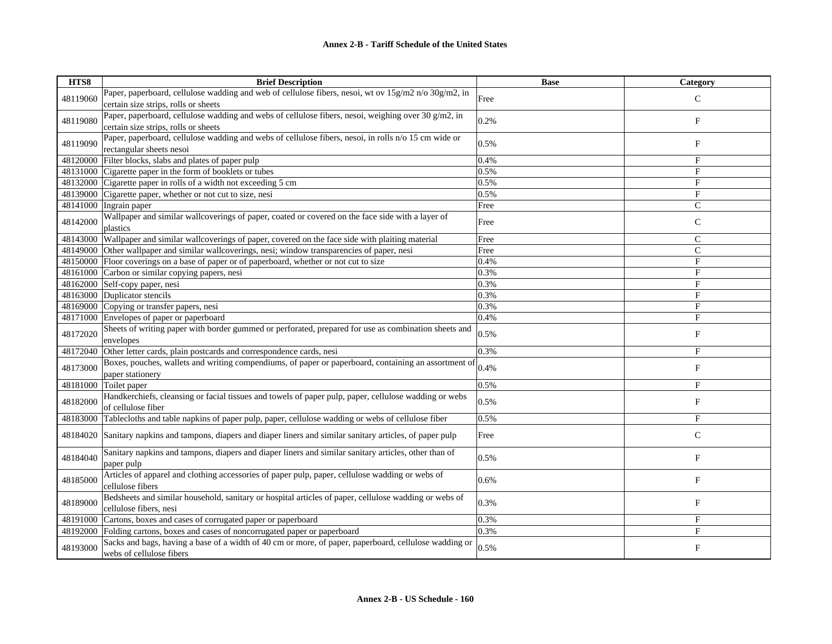| HTS8     | <b>Brief Description</b>                                                                              | <b>Base</b> | Category                  |
|----------|-------------------------------------------------------------------------------------------------------|-------------|---------------------------|
| 48119060 | Paper, paperboard, cellulose wadding and web of cellulose fibers, nesoi, wt ov 15g/m2 n/o 30g/m2, in  | Free        | $\mathcal{C}$             |
|          | certain size strips, rolls or sheets                                                                  |             |                           |
|          | Paper, paperboard, cellulose wadding and webs of cellulose fibers, nesoi, weighing over 30 g/m2, in   |             |                           |
| 48119080 | certain size strips, rolls or sheets                                                                  | 0.2%        | $\boldsymbol{\mathrm{F}}$ |
| 48119090 | Paper, paperboard, cellulose wadding and webs of cellulose fibers, nesoi, in rolls n/o 15 cm wide or  |             |                           |
|          | rectangular sheets nesoi                                                                              | 0.5%        | F                         |
| 48120000 | Filter blocks, slabs and plates of paper pulp                                                         | 0.4%        | F                         |
|          | 48131000 Cigarette paper in the form of booklets or tubes                                             | 0.5%        | $_{\rm F}$                |
|          | 48132000 Cigarette paper in rolls of a width not exceeding 5 cm                                       | 0.5%        | $\mathbf F$               |
| 48139000 | Cigarette paper, whether or not cut to size, nesi                                                     | 0.5%        | F                         |
| 48141000 | Ingrain paper                                                                                         | Free        | $\mathcal{C}$             |
| 48142000 | Wallpaper and similar wallcoverings of paper, coated or covered on the face side with a layer of      |             |                           |
|          | plastics                                                                                              | Free        | $\mathbf C$               |
| 48143000 | Wallpaper and similar wallcoverings of paper, covered on the face side with plaiting material         | Free        | $\mathsf{C}$              |
| 48149000 | Other wallpaper and similar wallcoverings, nesi; window transparencies of paper, nesi                 | Free        | $\mathsf{C}$              |
|          | 48150000 Floor coverings on a base of paper or of paperboard, whether or not cut to size              | 0.4%        | $_{\rm F}$                |
| 48161000 | Carbon or similar copying papers, nesi                                                                | 0.3%        | F                         |
| 48162000 | Self-copy paper, nesi                                                                                 | 0.3%        | F                         |
| 48163000 | Duplicator stencils                                                                                   | 0.3%        | $_{\rm F}$                |
| 48169000 | Copying or transfer papers, nesi                                                                      | 0.3%        | F                         |
| 48171000 | Envelopes of paper or paperboard                                                                      | 0.4%        | F                         |
|          | Sheets of writing paper with border gummed or perforated, prepared for use as combination sheets and  |             |                           |
| 48172020 | envelopes                                                                                             | 0.5%        | $\boldsymbol{\mathrm{F}}$ |
| 48172040 | Other letter cards, plain postcards and correspondence cards, nesi                                    | 0.3%        | $_{\rm F}$                |
| 48173000 | Boxes, pouches, wallets and writing compendiums, of paper or paperboard, containing an assortment of  | 0.4%        | F                         |
|          | paper stationery                                                                                      |             |                           |
| 48181000 | Toilet paper                                                                                          | 0.5%        | F                         |
| 48182000 | Handkerchiefs, cleansing or facial tissues and towels of paper pulp, paper, cellulose wadding or webs | 0.5%        | F                         |
|          | of cellulose fiber                                                                                    |             |                           |
| 48183000 | Tablecloths and table napkins of paper pulp, paper, cellulose wadding or webs of cellulose fiber      | 0.5%        | $_{\rm F}$                |
| 48184020 | Sanitary napkins and tampons, diapers and diaper liners and similar sanitary articles, of paper pulp  |             | $\mathsf{C}$              |
|          |                                                                                                       | Free        |                           |
| 48184040 | Sanitary napkins and tampons, diapers and diaper liners and similar sanitary articles, other than of  | 0.5%        | F                         |
|          | paper pulp                                                                                            |             |                           |
|          | Articles of apparel and clothing accessories of paper pulp, paper, cellulose wadding or webs of       |             |                           |
| 48185000 | cellulose fibers                                                                                      | 0.6%        | F                         |
|          | Bedsheets and similar household, sanitary or hospital articles of paper, cellulose wadding or webs of |             |                           |
| 48189000 | cellulose fibers, nesi                                                                                | 0.3%        | F                         |
| 48191000 | Cartons, boxes and cases of corrugated paper or paperboard                                            | 0.3%        | $_{\rm F}$                |
| 48192000 | Folding cartons, boxes and cases of noncorrugated paper or paperboard                                 | 0.3%        | $\overline{F}$            |
|          | Sacks and bags, having a base of a width of 40 cm or more, of paper, paperboard, cellulose wadding or |             | $_{\rm F}$                |
| 48193000 | webs of cellulose fibers                                                                              | 0.5%        |                           |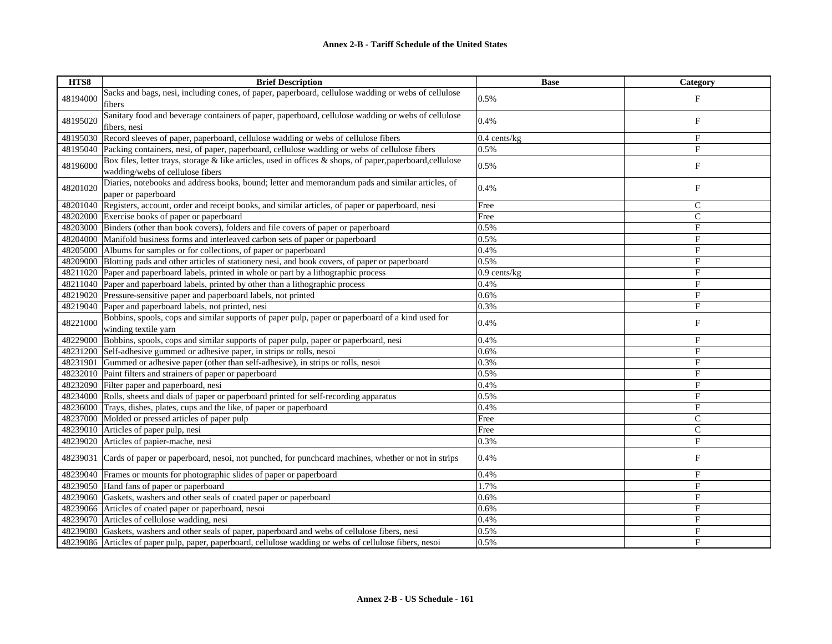| HTS8     | <b>Brief Description</b>                                                                                                                       | <b>Base</b>  | Category       |
|----------|------------------------------------------------------------------------------------------------------------------------------------------------|--------------|----------------|
| 48194000 | Sacks and bags, nesi, including cones, of paper, paperboard, cellulose wadding or webs of cellulose<br>fibers                                  | 0.5%         | F              |
| 48195020 | Sanitary food and beverage containers of paper, paperboard, cellulose wadding or webs of cellulose<br>fibers, nesi                             | 0.4%         | F              |
|          | 48195030 Record sleeves of paper, paperboard, cellulose wadding or webs of cellulose fibers                                                    | 0.4 cents/kg | F              |
|          | 48195040 Packing containers, nesi, of paper, paperboard, cellulose wadding or webs of cellulose fibers                                         | 0.5%         | $\mathbf{F}$   |
| 48196000 | Box files, letter trays, storage & like articles, used in offices & shops, of paper, paperboard, cellulose<br>wadding/webs of cellulose fibers | 0.5%         | F              |
| 48201020 | Diaries, notebooks and address books, bound; letter and memorandum pads and similar articles, of<br>paper or paperboard                        | 0.4%         | $_{\rm F}$     |
|          | 48201040 Registers, account, order and receipt books, and similar articles, of paper or paperboard, nesi                                       | Free         | $\mathsf{C}$   |
|          | 48202000 Exercise books of paper or paperboard                                                                                                 | Free         | C              |
|          | 48203000 Binders (other than book covers), folders and file covers of paper or paperboard                                                      | 0.5%         | F              |
|          | 48204000 Manifold business forms and interleaved carbon sets of paper or paperboard                                                            | 0.5%         | F              |
|          | 48205000 Albums for samples or for collections, of paper or paperboard                                                                         | 0.4%         | $\overline{F}$ |
|          | 48209000 Blotting pads and other articles of stationery nesi, and book covers, of paper or paperboard                                          | 0.5%         | F              |
|          | 48211020 Paper and paperboard labels, printed in whole or part by a lithographic process                                                       | 0.9 cents/kg | F              |
|          | 48211040 Paper and paperboard labels, printed by other than a lithographic process                                                             | 0.4%         | F              |
|          | 48219020 Pressure-sensitive paper and paperboard labels, not printed                                                                           | 0.6%         | $\mathbf{F}$   |
|          | 48219040 Paper and paperboard labels, not printed, nesi                                                                                        | 0.3%         | F              |
| 48221000 | Bobbins, spools, cops and similar supports of paper pulp, paper or paperboard of a kind used for<br>winding textile yarn                       | 0.4%         | F              |
|          | 48229000 Bobbins, spools, cops and similar supports of paper pulp, paper or paperboard, nesi                                                   | 0.4%         | F              |
|          | 48231200 Self-adhesive gummed or adhesive paper, in strips or rolls, nesoi                                                                     | 0.6%         | $\mathbf F$    |
| 48231901 | Gummed or adhesive paper (other than self-adhesive), in strips or rolls, nesoi                                                                 | 0.3%         | F              |
|          | 48232010 Paint filters and strainers of paper or paperboard                                                                                    | 0.5%         | F              |
|          | 48232090 Filter paper and paperboard, nesi                                                                                                     | 0.4%         | F              |
|          | 48234000 Rolls, sheets and dials of paper or paperboard printed for self-recording apparatus                                                   | 0.5%         | $\mathbf F$    |
|          | 48236000 Trays, dishes, plates, cups and the like, of paper or paperboard                                                                      | 0.4%         | F              |
|          | 48237000 Molded or pressed articles of paper pulp                                                                                              | Free         | $\overline{C}$ |
|          | 48239010 Articles of paper pulp, nesi                                                                                                          | Free         | $\mathsf{C}$   |
|          | 48239020 Articles of papier-mache, nesi                                                                                                        | 0.3%         | F              |
| 48239031 | Cards of paper or paperboard, nesoi, not punched, for puncheard machines, whether or not in strips                                             | 0.4%         | F              |
|          | 48239040 Frames or mounts for photographic slides of paper or paperboard                                                                       | 0.4%         | F              |
|          | 48239050 Hand fans of paper or paperboard                                                                                                      | 1.7%         | $\overline{F}$ |
|          | 48239060 Gaskets, washers and other seals of coated paper or paperboard                                                                        | 0.6%         | $\mathbf{F}$   |
|          | 48239066 Articles of coated paper or paperboard, nesoi                                                                                         | 0.6%         | $\mathbf F$    |
|          | 48239070 Articles of cellulose wadding, nesi                                                                                                   | 0.4%         | F              |
|          | 48239080 Gaskets, washers and other seals of paper, paperboard and webs of cellulose fibers, nesi                                              | 0.5%         | F              |
|          | 48239086 Articles of paper pulp, paper, paperboard, cellulose wadding or webs of cellulose fibers, nesoi                                       | 0.5%         | $\mathbf{F}$   |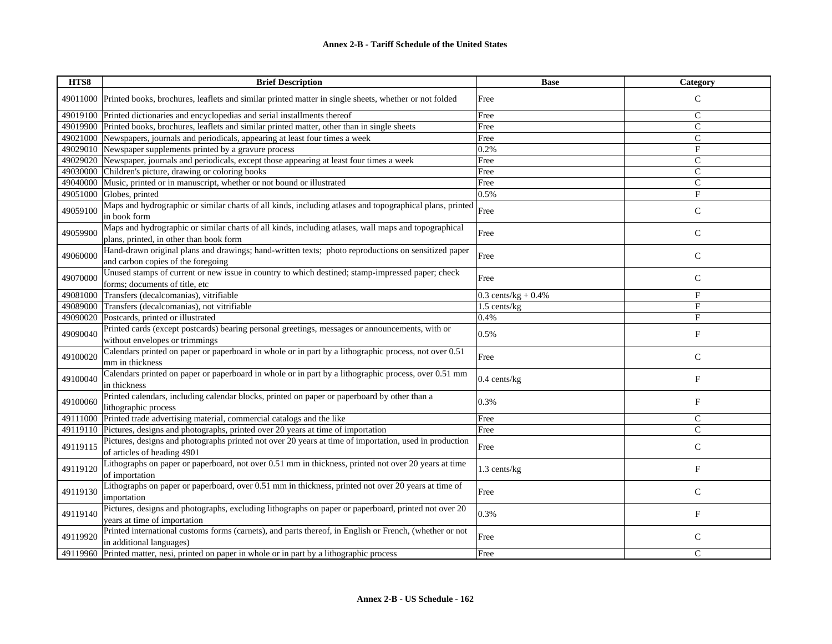## **Annex 2-B - Tariff Schedule of the United States**

| HTS8     | <b>Brief Description</b>                                                                                                                        | <b>Base</b>           | Category                  |
|----------|-------------------------------------------------------------------------------------------------------------------------------------------------|-----------------------|---------------------------|
|          | 49011000 Printed books, brochures, leaflets and similar printed matter in single sheets, whether or not folded                                  | Free                  | $\mathsf C$               |
| 49019100 | Printed dictionaries and encyclopedias and serial installments thereof                                                                          | Free                  | $\mathsf{C}$              |
|          | 49019900 Printed books, brochures, leaflets and similar printed matter, other than in single sheets                                             | Free                  | $\mathcal{C}$             |
| 49021000 | Newspapers, journals and periodicals, appearing at least four times a week                                                                      | Free                  | $\mathcal{C}$             |
| 49029010 | Newspaper supplements printed by a gravure process                                                                                              | 0.2%                  | F                         |
| 49029020 | Newspaper, journals and periodicals, except those appearing at least four times a week                                                          | Free                  | $\mathsf{C}$              |
| 49030000 | Children's picture, drawing or coloring books                                                                                                   | Free                  | $\mathsf{C}$              |
| 49040000 | Music, printed or in manuscript, whether or not bound or illustrated                                                                            | Free                  | $\mathsf{C}$              |
| 49051000 | Globes, printed                                                                                                                                 | 0.5%                  | $_{\rm F}$                |
| 49059100 | Maps and hydrographic or similar charts of all kinds, including atlases and topographical plans, printed<br>in book form                        | Free                  | $\mathsf{C}$              |
| 49059900 | Maps and hydrographic or similar charts of all kinds, including atlases, wall maps and topographical<br>plans, printed, in other than book form | Free                  | $\mathsf{C}$              |
| 49060000 | Hand-drawn original plans and drawings; hand-written texts; photo reproductions on sensitized paper<br>and carbon copies of the foregoing       | Free                  | $\mathbf C$               |
| 49070000 | Unused stamps of current or new issue in country to which destined; stamp-impressed paper; check<br>forms; documents of title, etc              | Free                  | $\mathsf{C}$              |
| 49081000 | Transfers (decalcomanias), vitrifiable                                                                                                          | $0.3$ cents/kg + 0.4% | F                         |
| 49089000 | Transfers (decalcomanias), not vitrifiable                                                                                                      | 1.5 cents/kg          | $_{\rm F}$                |
| 49090020 | Postcards, printed or illustrated                                                                                                               | 0.4%                  | $_{\rm F}$                |
| 49090040 | Printed cards (except postcards) bearing personal greetings, messages or announcements, with or<br>without envelopes or trimmings               | 0.5%                  | F                         |
| 49100020 | Calendars printed on paper or paperboard in whole or in part by a lithographic process, not over 0.51<br>mm in thickness                        | Free                  | $\mathsf C$               |
| 49100040 | Calendars printed on paper or paperboard in whole or in part by a lithographic process, over 0.51 mm<br>in thickness                            | $0.4$ cents/kg        | F                         |
| 49100060 | Printed calendars, including calendar blocks, printed on paper or paperboard by other than a<br>lithographic process                            | 0.3%                  | F                         |
| 49111000 | Printed trade advertising material, commercial catalogs and the like                                                                            | Free                  | $\mathsf{C}$              |
| 49119110 | Pictures, designs and photographs, printed over 20 years at time of importation                                                                 | Free                  | $\overline{C}$            |
| 49119115 | Pictures, designs and photographs printed not over 20 years at time of importation, used in production<br>of articles of heading 4901           | Free                  | $\mathsf{C}$              |
| 49119120 | Lithographs on paper or paperboard, not over 0.51 mm in thickness, printed not over 20 years at time<br>of importation                          | 1.3 cents/kg          | $_{\rm F}$                |
| 49119130 | Lithographs on paper or paperboard, over 0.51 mm in thickness, printed not over 20 years at time of<br>importation                              | Free                  | $\mathsf{C}$              |
| 49119140 | Pictures, designs and photographs, excluding lithographs on paper or paperboard, printed not over 20<br>years at time of importation            | 0.3%                  | $\boldsymbol{\mathrm{F}}$ |
| 49119920 | Printed international customs forms (carnets), and parts thereof, in English or French, (whether or not<br>in additional languages)             | Free                  | $\mathbf C$               |
|          | 49119960 Printed matter, nesi, printed on paper in whole or in part by a lithographic process                                                   | Free                  | $\mathsf{C}$              |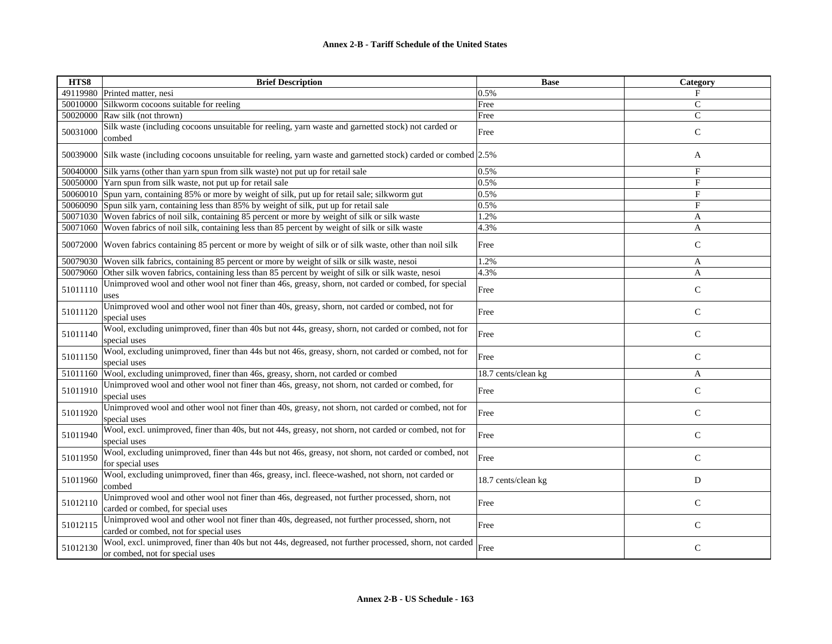| HTS8     | <b>Brief Description</b>                                                                                                                   | <b>Base</b>         | Category      |
|----------|--------------------------------------------------------------------------------------------------------------------------------------------|---------------------|---------------|
|          | 49119980 Printed matter, nesi                                                                                                              | 0.5%                | $_{\rm F}$    |
| 50010000 | Silkworm cocoons suitable for reeling                                                                                                      | Free                | $\mathbf C$   |
| 50020000 | Raw silk (not thrown)                                                                                                                      | Free                | $\mathsf{C}$  |
| 50031000 | Silk waste (including cocoons unsuitable for reeling, yarn waste and garnetted stock) not carded or<br>combed                              | Free                | $\mathsf{C}$  |
| 50039000 | Silk waste (including cocoons unsuitable for reeling, yarn waste and garnetted stock) carded or combed 2.5%                                |                     | A             |
| 50040000 | Silk yarns (other than yarn spun from silk waste) not put up for retail sale                                                               | 0.5%                | F             |
|          | 50050000 Yarn spun from silk waste, not put up for retail sale                                                                             | 0.5%                | F             |
| 50060010 | Spun yarn, containing 85% or more by weight of silk, put up for retail sale; silkworm gut                                                  | 0.5%                | F             |
| 50060090 | Spun silk yarn, containing less than 85% by weight of silk, put up for retail sale                                                         | 0.5%                | F             |
| 50071030 | Woven fabrics of noil silk, containing 85 percent or more by weight of silk or silk waste                                                  | 1.2%                | A             |
| 50071060 | Woven fabrics of noil silk, containing less than 85 percent by weight of silk or silk waste                                                | 4.3%                | A             |
| 50072000 | Woven fabrics containing 85 percent or more by weight of silk or of silk waste, other than noil silk                                       | Free                | $\mathbf C$   |
| 50079030 | Woven silk fabrics, containing 85 percent or more by weight of silk or silk waste, nesoi                                                   | 1.2%                | A             |
| 50079060 | Other silk woven fabrics, containing less than 85 percent by weight of silk or silk waste, nesoi                                           | 4.3%                | A             |
| 51011110 | Unimproved wool and other wool not finer than 46s, greasy, shorn, not carded or combed, for special<br>uses                                | Free                | $\mathsf{C}$  |
| 51011120 | Unimproved wool and other wool not finer than 40s, greasy, shorn, not carded or combed, not for<br>special uses                            | Free                | $\mathbf C$   |
| 51011140 | Wool, excluding unimproved, finer than 40s but not 44s, greasy, shorn, not carded or combed, not for<br>special uses                       | Free                | $\mathsf{C}$  |
| 51011150 | Wool, excluding unimproved, finer than 44s but not 46s, greasy, shorn, not carded or combed, not for<br>special uses                       | Free                | $\mathsf{C}$  |
| 51011160 | Wool, excluding unimproved, finer than 46s, greasy, shorn, not carded or combed                                                            | 18.7 cents/clean kg | A             |
| 51011910 | Unimproved wool and other wool not finer than 46s, greasy, not shorn, not carded or combed, for<br>special uses                            | Free                | $\mathbf C$   |
| 51011920 | Unimproved wool and other wool not finer than 40s, greasy, not shorn, not carded or combed, not for<br>special uses                        | Free                | $\mathsf{C}$  |
| 51011940 | Wool, excl. unimproved, finer than 40s, but not 44s, greasy, not shorn, not carded or combed, not for<br>special uses                      | Free                | $\mathsf{C}$  |
| 51011950 | Wool, excluding unimproved, finer than 44s but not 46s, greasy, not shorn, not carded or combed, not<br>for special uses                   | Free                | $\mathbf C$   |
| 51011960 | Wool, excluding unimproved, finer than 46s, greasy, incl. fleece-washed, not shorn, not carded or<br>combed                                | 18.7 cents/clean kg | D             |
| 51012110 | Unimproved wool and other wool not finer than 46s, degreased, not further processed, shorn, not<br>carded or combed, for special uses      | Free                | $\mathcal{C}$ |
| 51012115 | Unimproved wool and other wool not finer than 40s, degreased, not further processed, shorn, not<br>carded or combed, not for special uses  | Free                | $\mathsf C$   |
| 51012130 | Wool, excl. unimproved, finer than 40s but not 44s, degreased, not further processed, shorn, not carded<br>or combed, not for special uses | Free                | $\mathsf{C}$  |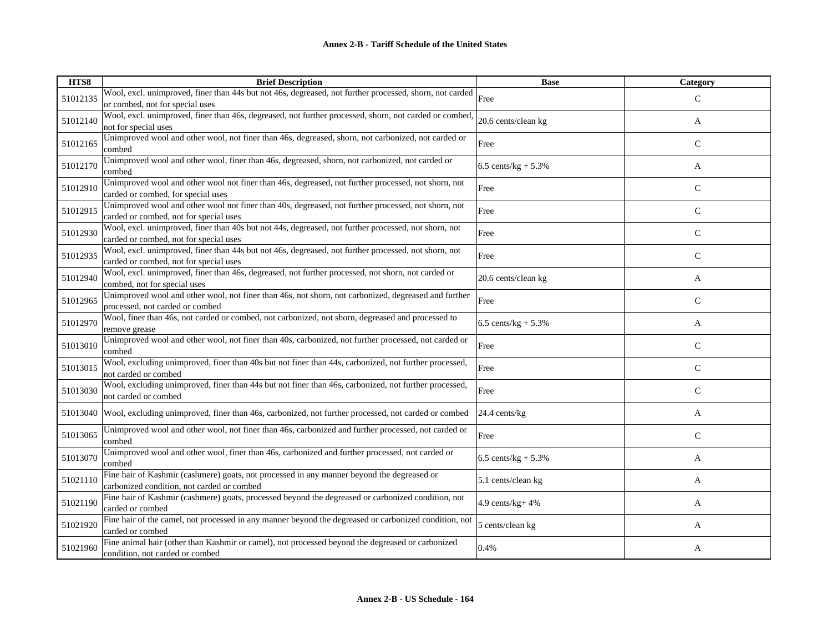| HTS8     | <b>Brief Description</b>                                                                                                                        | <b>Base</b>              | <b>Category</b> |
|----------|-------------------------------------------------------------------------------------------------------------------------------------------------|--------------------------|-----------------|
| 51012135 | Wool, excl. unimproved, finer than 44s but not 46s, degreased, not further processed, shorn, not carded Free<br>or combed, not for special uses |                          | $\mathcal{C}$   |
| 51012140 | Wool, excl. unimproved, finer than 46s, degreased, not further processed, shorn, not carded or combed,<br>not for special uses                  | 20.6 cents/clean kg      | A               |
| 51012165 | Unimproved wool and other wool, not finer than 46s, degreased, shorn, not carbonized, not carded or<br>combed                                   | Free                     | $\mathsf{C}$    |
| 51012170 | Unimproved wool and other wool, finer than 46s, degreased, shorn, not carbonized, not carded or<br>combed                                       | 6.5 cents/ $kg + 5.3%$   | A               |
| 51012910 | Unimproved wool and other wool not finer than 46s, degreased, not further processed, not shorn, not<br>carded or combed, for special uses       | Free                     | $\mathsf{C}$    |
| 51012915 | Unimproved wool and other wool not finer than 40s, degreased, not further processed, not shorn, not<br>carded or combed, not for special uses   | Free                     | $\mathsf{C}$    |
| 51012930 | Wool, excl. unimproved, finer than 40s but not 44s, degreased, not further processed, not shorn, not<br>carded or combed, not for special uses  | Free                     | $\mathsf{C}$    |
| 51012935 | Wool, excl. unimproved, finer than 44s but not 46s, degreased, not further processed, not shorn, not<br>carded or combed, not for special uses  | Free                     | $\mathsf{C}$    |
| 51012940 | Wool, excl. unimproved, finer than 46s, degreased, not further processed, not shorn, not carded or<br>combed, not for special uses              | 20.6 cents/clean kg      | A               |
| 51012965 | Unimproved wool and other wool, not finer than 46s, not shorn, not carbonized, degreased and further<br>processed, not carded or combed         | Free                     | $\mathsf{C}$    |
| 51012970 | Wool, finer than 46s, not carded or combed, not carbonized, not shorn, degreased and processed to<br>remove grease                              | 6.5 cents/kg + $5.3\%$   | A               |
| 51013010 | Unimproved wool and other wool, not finer than 40s, carbonized, not further processed, not carded or<br>combed                                  | Free                     | $\mathcal{C}$   |
| 51013015 | Wool, excluding unimproved, finer than 40s but not finer than 44s, carbonized, not further processed,<br>not carded or combed                   | Free                     | $\mathsf{C}$    |
| 51013030 | Wool, excluding unimproved, finer than 44s but not finer than 46s, carbonized, not further processed,<br>not carded or combed                   | Free                     | $\mathsf{C}$    |
| 51013040 | Wool, excluding unimproved, finer than 46s, carbonized, not further processed, not carded or combed                                             | $24.4$ cents/ $kg$       | A               |
| 51013065 | Unimproved wool and other wool, not finer than 46s, carbonized and further processed, not carded or<br>combed                                   | Free                     | $\mathsf{C}$    |
| 51013070 | Unimproved wool and other wool, finer than 46s, carbonized and further processed, not carded or<br>combed                                       | $6.5$ cents/kg + $5.3\%$ | A               |
| 51021110 | Fine hair of Kashmir (cashmere) goats, not processed in any manner beyond the degreased or<br>carbonized condition, not carded or combed        | 5.1 cents/clean kg       | A               |
| 51021190 | Fine hair of Kashmir (cashmere) goats, processed beyond the degreased or carbonized condition, not<br>carded or combed                          | 4.9 cents/kg+ 4%         | A               |
| 51021920 | Fine hair of the camel, not processed in any manner beyond the degreased or carbonized condition, not<br>carded or combed                       | 5 cents/clean kg         | A               |
| 51021960 | Fine animal hair (other than Kashmir or camel), not processed beyond the degreased or carbonized<br>condition, not carded or combed             | 0.4%                     | A               |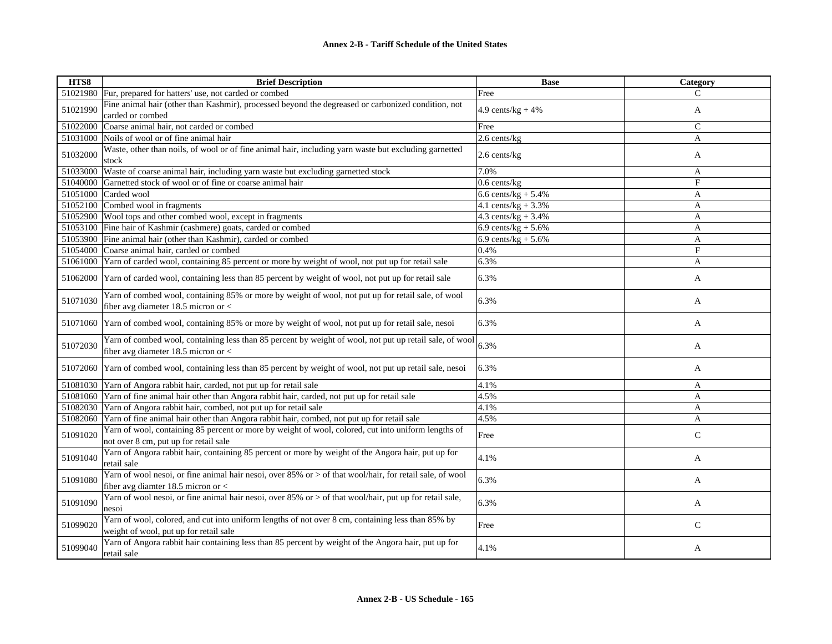| HTS8     | <b>Brief Description</b>                                                                                                                         | <b>Base</b>            | Category       |
|----------|--------------------------------------------------------------------------------------------------------------------------------------------------|------------------------|----------------|
|          | 51021980 Fur, prepared for hatters' use, not carded or combed                                                                                    | Free                   | C              |
| 51021990 | Fine animal hair (other than Kashmir), processed beyond the degreased or carbonized condition, not<br>carded or combed                           | 4.9 cents/ $kg + 4%$   | A              |
|          | 51022000 Coarse animal hair, not carded or combed                                                                                                | Free                   | $\mathsf{C}$   |
|          | 51031000 Noils of wool or of fine animal hair                                                                                                    | 2.6 cents/kg           | $\overline{A}$ |
| 51032000 | Waste, other than noils, of wool or of fine animal hair, including yarn waste but excluding garnetted<br>stock                                   | 2.6 cents/kg           | A              |
| 51033000 | Waste of coarse animal hair, including yarn waste but excluding garnetted stock                                                                  | 7.0%                   | A              |
|          | 51040000 Garnetted stock of wool or of fine or coarse animal hair                                                                                | $0.6$ cents/kg         | $\overline{F}$ |
|          | 51051000 Carded wool                                                                                                                             | 6.6 cents/ $kg + 5.4%$ | A              |
|          | 51052100 Combed wool in fragments                                                                                                                | 4.1 cents/ $kg + 3.3%$ | A              |
|          | 51052900 Wool tops and other combed wool, except in fragments                                                                                    | 4.3 cents/ $kg + 3.4%$ | $\mathbf{A}$   |
|          | 51053100 Fine hair of Kashmir (cashmere) goats, carded or combed                                                                                 | 6.9 cents/ $kg + 5.6%$ | A              |
|          | 51053900 Fine animal hair (other than Kashmir), carded or combed                                                                                 | 6.9 cents/ $kg + 5.6%$ | $\mathbf{A}$   |
|          | 51054000 Coarse animal hair, carded or combed                                                                                                    | 0.4%                   | $_{\rm F}$     |
|          | 51061000 Yarn of carded wool, containing 85 percent or more by weight of wool, not put up for retail sale                                        | 6.3%                   | $\overline{A}$ |
|          | 51062000 Yarn of carded wool, containing less than 85 percent by weight of wool, not put up for retail sale                                      | 6.3%                   | A              |
| 51071030 | Yarn of combed wool, containing 85% or more by weight of wool, not put up for retail sale, of wool<br>fiber avg diameter 18.5 micron or <        | 6.3%                   | A              |
|          | 51071060 Yarn of combed wool, containing 85% or more by weight of wool, not put up for retail sale, nesoi                                        | 6.3%                   | A              |
| 51072030 | Yarn of combed wool, containing less than 85 percent by weight of wool, not put up retail sale, of wool<br>fiber avg diameter 18.5 micron or $<$ | 6.3%                   | A              |
|          | 51072060 Yarn of combed wool, containing less than 85 percent by weight of wool, not put up retail sale, nesoi                                   | 6.3%                   | A              |
|          | 51081030 Yarn of Angora rabbit hair, carded, not put up for retail sale                                                                          | 4.1%                   | A              |
|          | 51081060 Yarn of fine animal hair other than Angora rabbit hair, carded, not put up for retail sale                                              | 4.5%                   | $\mathbf{A}$   |
|          | 51082030 Yarn of Angora rabbit hair, combed, not put up for retail sale                                                                          | 4.1%                   | A              |
|          | 51082060 Yarn of fine animal hair other than Angora rabbit hair, combed, not put up for retail sale                                              | 4.5%                   | A              |
| 51091020 | Yarn of wool, containing 85 percent or more by weight of wool, colored, cut into uniform lengths of<br>not over 8 cm, put up for retail sale     | Free                   | $\mathsf{C}$   |
| 51091040 | Yarn of Angora rabbit hair, containing 85 percent or more by weight of the Angora hair, put up for<br>retail sale                                | 4.1%                   | A              |
| 51091080 | Yarn of wool nesoi, or fine animal hair nesoi, over 85% or > of that wool/hair, for retail sale, of wool<br>fiber avg diamter 18.5 micron or $<$ | 6.3%                   | A              |
| 51091090 | Yarn of wool nesoi, or fine animal hair nesoi, over 85% or > of that wool/hair, put up for retail sale,<br>nesoi                                 | 6.3%                   | A              |
| 51099020 | Yarn of wool, colored, and cut into uniform lengths of not over 8 cm, containing less than 85% by<br>weight of wool, put up for retail sale      | Free                   | $\mathsf C$    |
| 51099040 | Yarn of Angora rabbit hair containing less than 85 percent by weight of the Angora hair, put up for<br>retail sale                               | 4.1%                   | A              |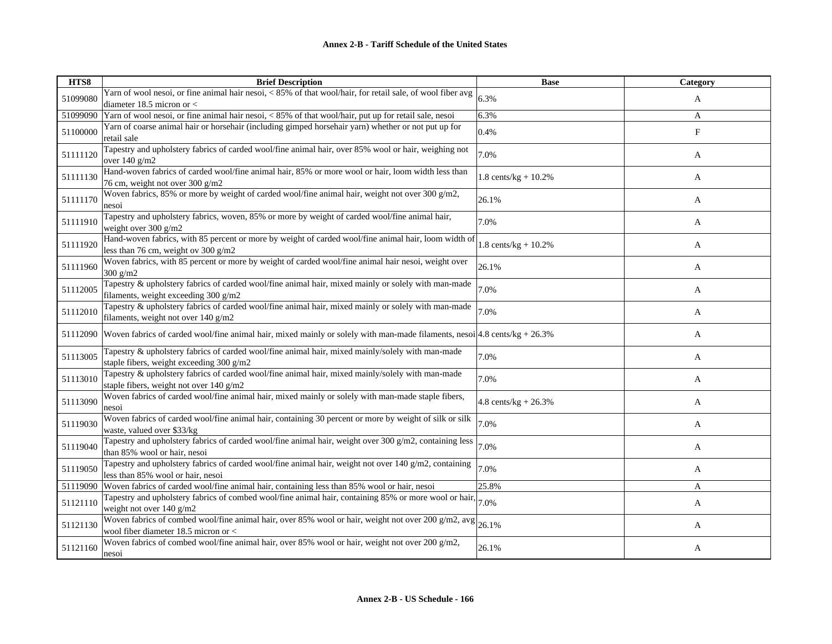| HTS8     | <b>Brief Description</b>                                                                                                                      | <b>Base</b>                     | Category |
|----------|-----------------------------------------------------------------------------------------------------------------------------------------------|---------------------------------|----------|
| 51099080 | Yarn of wool nesoi, or fine animal hair nesoi, < 85% of that wool/hair, for retail sale, of wool fiber avg<br>diameter 18.5 micron or $<$     | 6.3%                            | A        |
| 51099090 | Yarn of wool nesoi, or fine animal hair nesoi, < 85% of that wool/hair, put up for retail sale, nesoi                                         | 6.3%                            | A        |
| 51100000 | Yarn of coarse animal hair or horsehair (including gimped horsehair yarn) whether or not put up for<br>retail sale                            | 0.4%                            | F        |
| 51111120 | Tapestry and upholstery fabrics of carded wool/fine animal hair, over 85% wool or hair, weighing not<br>over $140 \text{ g/m2}$               | 7.0%                            | A        |
| 51111130 | Hand-woven fabrics of carded wool/fine animal hair, 85% or more wool or hair, loom width less than<br>76 cm, weight not over 300 g/m2         | 1.8 cents/kg + $10.2%$          | A        |
| 51111170 | Woven fabrics, 85% or more by weight of carded wool/fine animal hair, weight not over 300 $g/m2$ ,<br>nesoi                                   | 26.1%                           | A        |
| 51111910 | Tapestry and upholstery fabrics, woven, 85% or more by weight of carded wool/fine animal hair,<br>weight over 300 g/m2                        | 7.0%                            | A        |
| 51111920 | Hand-woven fabrics, with 85 percent or more by weight of carded wool/fine animal hair, loom width of<br>less than 76 cm, weight ov 300 $g/m2$ | $1.8 \text{ cents/kg} + 10.2\%$ | A        |
| 51111960 | Woven fabrics, with 85 percent or more by weight of carded wool/fine animal hair nesoi, weight over<br>$300$ g/m2                             | 26.1%                           | A        |
| 51112005 | Tapestry & upholstery fabrics of carded wool/fine animal hair, mixed mainly or solely with man-made<br>filaments, weight exceeding 300 g/m2   | 7.0%                            | A        |
| 51112010 | Tapestry & upholstery fabrics of carded wool/fine animal hair, mixed mainly or solely with man-made<br>filaments, weight not over 140 g/m2    | 7.0%                            | A        |
| 51112090 | Woven fabrics of carded wool/fine animal hair, mixed mainly or solely with man-made filaments, nesoi $ 4.8 \text{ cents/kg} + 26.3\%$         |                                 | A        |
| 51113005 | Tapestry & upholstery fabrics of carded wool/fine animal hair, mixed mainly/solely with man-made<br>staple fibers, weight exceeding 300 g/m2  | 7.0%                            | A        |
| 51113010 | Tapestry & upholstery fabrics of carded wool/fine animal hair, mixed mainly/solely with man-made<br>staple fibers, weight not over 140 g/m2   | 7.0%                            | A        |
| 51113090 | Woven fabrics of carded wool/fine animal hair, mixed mainly or solely with man-made staple fibers,<br>nesoi                                   | 4.8 cents/kg + $26.3%$          | A        |
| 51119030 | Woven fabrics of carded wool/fine animal hair, containing 30 percent or more by weight of silk or silk<br>waste, valued over \$33/kg          | 7.0%                            | A        |
| 51119040 | Tapestry and upholstery fabrics of carded wool/fine animal hair, weight over 300 g/m2, containing less<br>than 85% wool or hair, nesoi        | 7.0%                            | A        |
| 51119050 | Tapestry and upholstery fabrics of carded wool/fine animal hair, weight not over 140 g/m2, containing<br>less than 85% wool or hair, nesoi    | 7.0%                            | A        |
| 51119090 | Woven fabrics of carded wool/fine animal hair, containing less than 85% wool or hair, nesoi                                                   | 25.8%                           | A        |
| 51121110 | Tapestry and upholstery fabrics of combed wool/fine animal hair, containing 85% or more wool or hair,<br>weight not over 140 g/m2             | 7.0%                            | A        |
| 51121130 | Woven fabrics of combed wool/fine animal hair, over 85% wool or hair, weight not over 200 g/m2, avg<br>wool fiber diameter 18.5 micron or $<$ | 26.1%                           | A        |
| 51121160 | Woven fabrics of combed wool/fine animal hair, over 85% wool or hair, weight not over 200 $g/m2$ ,<br>nesoi                                   | 26.1%                           | A        |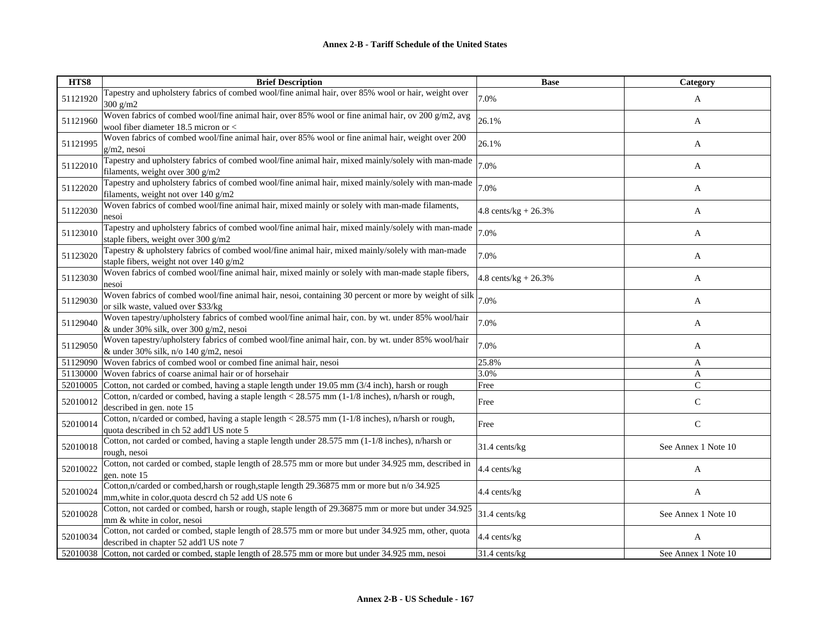| HTS8     | <b>Brief Description</b>                                                                                                                          | <b>Base</b>            | Category            |
|----------|---------------------------------------------------------------------------------------------------------------------------------------------------|------------------------|---------------------|
| 51121920 | Tapestry and upholstery fabrics of combed wool/fine animal hair, over 85% wool or hair, weight over<br>$300$ g/m2                                 | 7.0%                   | A                   |
| 51121960 | Woven fabrics of combed wool/fine animal hair, over 85% wool or fine animal hair, ov 200 g/m2, avg<br>wool fiber diameter 18.5 micron or <        | 26.1%                  | A                   |
| 51121995 | Woven fabrics of combed wool/fine animal hair, over 85% wool or fine animal hair, weight over 200<br>g/m2, nesoi                                  | 26.1%                  | A                   |
| 51122010 | Tapestry and upholstery fabrics of combed wool/fine animal hair, mixed mainly/solely with man-made<br>filaments, weight over 300 g/m2             | 7.0%                   | A                   |
| 51122020 | Tapestry and upholstery fabrics of combed wool/fine animal hair, mixed mainly/solely with man-made<br>filaments, weight not over 140 g/m2         | 7.0%                   | A                   |
| 51122030 | Woven fabrics of combed wool/fine animal hair, mixed mainly or solely with man-made filaments,<br>nesoi                                           | $4.8$ cents/kg + 26.3% | A                   |
| 51123010 | Tapestry and upholstery fabrics of combed wool/fine animal hair, mixed mainly/solely with man-made<br>staple fibers, weight over 300 g/m2         | 7.0%                   | A                   |
| 51123020 | Tapestry & upholstery fabrics of combed wool/fine animal hair, mixed mainly/solely with man-made<br>staple fibers, weight not over 140 g/m2       | 7.0%                   | A                   |
| 51123030 | Woven fabrics of combed wool/fine animal hair, mixed mainly or solely with man-made staple fibers,<br>nesoi                                       | 4.8 cents/kg + $26.3%$ | A                   |
| 51129030 | Woven fabrics of combed wool/fine animal hair, nesoi, containing 30 percent or more by weight of silk<br>or silk waste, valued over \$33/kg       | 7.0%                   | A                   |
| 51129040 | Woven tapestry/upholstery fabrics of combed wool/fine animal hair, con. by wt. under 85% wool/hair<br>& under 30% silk, over 300 g/m2, nesoi      | 7.0%                   | A                   |
| 51129050 | Woven tapestry/upholstery fabrics of combed wool/fine animal hair, con. by wt. under 85% wool/hair<br>& under 30% silk, n/o 140 g/m2, nesoi       | 7.0%                   | A                   |
|          | 51129090 Woven fabrics of combed wool or combed fine animal hair, nesoi                                                                           | 25.8%                  | A                   |
| 51130000 | Woven fabrics of coarse animal hair or of horsehair                                                                                               | 3.0%                   | A                   |
| 52010005 | Cotton, not carded or combed, having a staple length under 19.05 mm (3/4 inch), harsh or rough                                                    | Free                   | $\mathsf{C}$        |
| 52010012 | Cotton, n/carded or combed, having a staple length < 28.575 mm (1-1/8 inches), n/harsh or rough,<br>described in gen. note 15                     | Free                   | $\mathsf{C}$        |
| 52010014 | Cotton, n/carded or combed, having a staple length < 28.575 mm (1-1/8 inches), n/harsh or rough,<br>quota described in ch 52 add'l US note 5      | Free                   | $\mathbf C$         |
| 52010018 | Cotton, not carded or combed, having a staple length under 28.575 mm (1-1/8 inches), n/harsh or<br>rough, nesoi                                   | 31.4 cents/kg          | See Annex 1 Note 10 |
| 52010022 | Cotton, not carded or combed, staple length of 28.575 mm or more but under 34.925 mm, described in<br>gen. note 15                                | 4.4 cents/kg           | A                   |
| 52010024 | Cotton,n/carded or combed,harsh or rough,staple length 29.36875 mm or more but n/o 34.925<br>mm, white in color, quota descrd ch 52 add US note 6 | 4.4 cents/kg           | A                   |
| 52010028 | Cotton, not carded or combed, harsh or rough, staple length of 29.36875 mm or more but under 34.925<br>mm & white in color, nesoi                 | 31.4 cents/kg          | See Annex 1 Note 10 |
| 52010034 | Cotton, not carded or combed, staple length of 28.575 mm or more but under 34.925 mm, other, quota<br>described in chapter 52 add'l US note 7     | 4.4 cents/kg           | A                   |
|          | 52010038 Cotton, not carded or combed, staple length of 28.575 mm or more but under 34.925 mm, nesoi                                              | 31.4 cents/kg          | See Annex 1 Note 10 |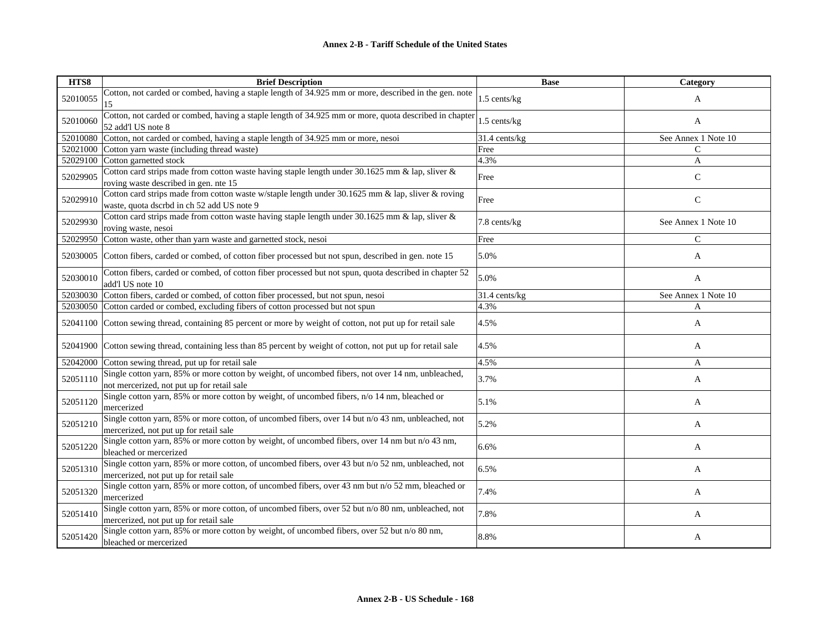| HTS8     | <b>Brief Description</b>                                                                                                                        | <b>Base</b>    | Category            |
|----------|-------------------------------------------------------------------------------------------------------------------------------------------------|----------------|---------------------|
| 52010055 | Cotton, not carded or combed, having a staple length of 34.925 mm or more, described in the gen. note<br>15                                     | 1.5 cents/kg   | A                   |
| 52010060 | Cotton, not carded or combed, having a staple length of 34.925 mm or more, quota described in chapter<br>52 add'l US note 8                     | 1.5 cents/kg   | A                   |
| 52010080 | Cotton, not carded or combed, having a staple length of 34.925 mm or more, nesoi                                                                | 31.4 cents/kg  | See Annex 1 Note 10 |
| 52021000 | Cotton yarn waste (including thread waste)                                                                                                      | Free           | $\mathcal{C}$       |
| 52029100 | Cotton garnetted stock                                                                                                                          | 4.3%           | A                   |
| 52029905 | Cotton card strips made from cotton waste having staple length under 30.1625 mm & lap, sliver &<br>roving waste described in gen. nte 15        | Free           | $\mathsf{C}$        |
| 52029910 | Cotton card strips made from cotton waste w/staple length under 30.1625 mm & lap, sliver & roving<br>waste, quota dscrbd in ch 52 add US note 9 | Free           | $\mathbf C$         |
| 52029930 | Cotton card strips made from cotton waste having staple length under 30.1625 mm $\&$ lap, sliver $\&$<br>roving waste, nesoi                    | 7.8 cents/kg   | See Annex 1 Note 10 |
| 52029950 | Cotton waste, other than yarn waste and garnetted stock, nesoi                                                                                  | Free           | $\mathsf{C}$        |
| 52030005 | Cotton fibers, carded or combed, of cotton fiber processed but not spun, described in gen. note 15                                              | 5.0%           | A                   |
| 52030010 | Cotton fibers, carded or combed, of cotton fiber processed but not spun, quota described in chapter 52<br>add'l US note 10                      | 5.0%           | A                   |
| 52030030 | Cotton fibers, carded or combed, of cotton fiber processed, but not spun, nesoi                                                                 | 31.4 cents/kg  | See Annex 1 Note 10 |
| 52030050 | Cotton carded or combed, excluding fibers of cotton processed but not spun                                                                      | 4.3%           | A                   |
| 52041100 | Cotton sewing thread, containing 85 percent or more by weight of cotton, not put up for retail sale                                             | 4.5%           | A                   |
| 52041900 | Cotton sewing thread, containing less than 85 percent by weight of cotton, not put up for retail sale                                           | 4.5%           | A                   |
| 52042000 | Cotton sewing thread, put up for retail sale                                                                                                    | $\sqrt{4.5\%}$ | A                   |
| 52051110 | Single cotton yarn, 85% or more cotton by weight, of uncombed fibers, not over 14 nm, unbleached,<br>not mercerized, not put up for retail sale | 3.7%           | A                   |
| 52051120 | Single cotton yarn, 85% or more cotton by weight, of uncombed fibers, n/o 14 nm, bleached or<br>mercerized                                      | 5.1%           | A                   |
| 52051210 | Single cotton yarn, 85% or more cotton, of uncombed fibers, over 14 but n/o 43 nm, unbleached, not<br>mercerized, not put up for retail sale    | 5.2%           | A                   |
| 52051220 | Single cotton yarn, 85% or more cotton by weight, of uncombed fibers, over 14 nm but n/o 43 nm,<br>bleached or mercerized                       | 6.6%           | A                   |
| 52051310 | Single cotton yarn, 85% or more cotton, of uncombed fibers, over 43 but n/o 52 nm, unbleached, not<br>mercerized, not put up for retail sale    | 6.5%           | A                   |
| 52051320 | Single cotton yarn, 85% or more cotton, of uncombed fibers, over 43 nm but n/o 52 mm, bleached or<br>mercerized                                 | 7.4%           | A                   |
| 52051410 | Single cotton yarn, 85% or more cotton, of uncombed fibers, over 52 but n/o 80 nm, unbleached, not<br>mercerized, not put up for retail sale    | 7.8%           | A                   |
| 52051420 | Single cotton yarn, 85% or more cotton by weight, of uncombed fibers, over 52 but n/o 80 nm,<br>bleached or mercerized                          | 8.8%           | A                   |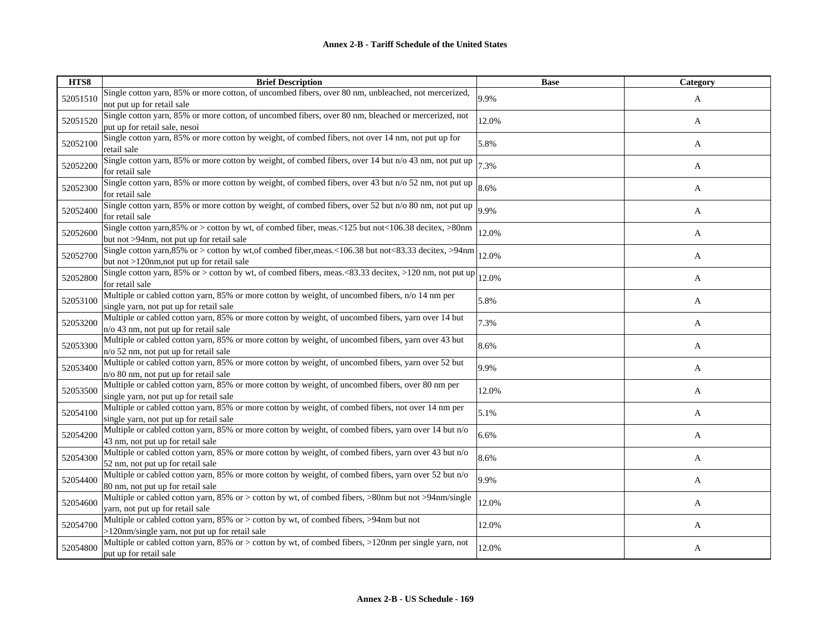| HTS8     | <b>Brief Description</b>                                                                                                                              | <b>Base</b> | Category |
|----------|-------------------------------------------------------------------------------------------------------------------------------------------------------|-------------|----------|
| 52051510 | Single cotton yarn, 85% or more cotton, of uncombed fibers, over 80 nm, unbleached, not mercerized,<br>not put up for retail sale                     | 9.9%        | A        |
| 52051520 | Single cotton yarn, 85% or more cotton, of uncombed fibers, over 80 nm, bleached or mercerized, not<br>put up for retail sale, nesoi                  | 12.0%       | A        |
| 52052100 | Single cotton yarn, 85% or more cotton by weight, of combed fibers, not over 14 nm, not put up for<br>retail sale                                     | 5.8%        | A        |
| 52052200 | Single cotton yarn, 85% or more cotton by weight, of combed fibers, over 14 but n/o 43 nm, not put up<br>for retail sale                              | 7.3%        | A        |
| 52052300 | Single cotton yarn, 85% or more cotton by weight, of combed fibers, over 43 but n/o 52 nm, not put up<br>for retail sale                              | 8.6%        | A        |
| 52052400 | Single cotton yarn, 85% or more cotton by weight, of combed fibers, over 52 but n/o 80 nm, not put up<br>for retail sale                              | 9.9%        | A        |
| 52052600 | Single cotton yarn, 85% or > cotton by wt, of combed fiber, meas. <125 but not <106.38 decitex, >80nm<br>but not >94nm, not put up for retail sale    | 12.0%       | A        |
| 52052700 | Single cotton yarn, 85% or > cotton by wt, of combed fiber, meas. <106.38 but not <83.33 decitex, >94nm<br>but not >120nm, not put up for retail sale | 12.0%       | A        |
| 52052800 | Single cotton yarn, 85% or > cotton by wt, of combed fibers, meas.<83.33 decitex, >120 nm, not put up<br>for retail sale                              | 12.0%       | A        |
| 52053100 | Multiple or cabled cotton yarn, 85% or more cotton by weight, of uncombed fibers, n/o 14 nm per<br>single yarn, not put up for retail sale            | 5.8%        | A        |
| 52053200 | Multiple or cabled cotton yarn, 85% or more cotton by weight, of uncombed fibers, yarn over 14 but<br>$n/\sigma$ 43 nm, not put up for retail sale    | 7.3%        | A        |
| 52053300 | Multiple or cabled cotton yarn, 85% or more cotton by weight, of uncombed fibers, yarn over 43 but<br>$n$ /o 52 nm, not put up for retail sale        | 8.6%        | A        |
| 52053400 | Multiple or cabled cotton yarn, 85% or more cotton by weight, of uncombed fibers, yarn over 52 but<br>n/o 80 nm, not put up for retail sale           | 9.9%        | A        |
| 52053500 | Multiple or cabled cotton yarn, 85% or more cotton by weight, of uncombed fibers, over 80 nm per<br>single yarn, not put up for retail sale           | 12.0%       | A        |
| 52054100 | Multiple or cabled cotton yarn, 85% or more cotton by weight, of combed fibers, not over 14 nm per<br>single yarn, not put up for retail sale         | 5.1%        | A        |
| 52054200 | Multiple or cabled cotton yarn, 85% or more cotton by weight, of combed fibers, yarn over 14 but n/o<br>43 nm, not put up for retail sale             | 6.6%        | A        |
| 52054300 | Multiple or cabled cotton yarn, 85% or more cotton by weight, of combed fibers, yarn over 43 but n/o<br>52 nm, not put up for retail sale             | 8.6%        | A        |
| 52054400 | Multiple or cabled cotton yarn, 85% or more cotton by weight, of combed fibers, yarn over 52 but n/o<br>80 nm, not put up for retail sale             | 9.9%        | A        |
| 52054600 | Multiple or cabled cotton yarn, 85% or > cotton by wt, of combed fibers, >80nm but not >94nm/single<br>yarn, not put up for retail sale               | 12.0%       | A        |
| 52054700 | Multiple or cabled cotton yarn, 85% or > cotton by wt, of combed fibers, >94nm but not<br>>120nm/single yarn, not put up for retail sale              | 12.0%       | A        |
| 52054800 | Multiple or cabled cotton yarn, 85% or > cotton by wt, of combed fibers, >120nm per single yarn, not<br>put up for retail sale                        | 12.0%       | A        |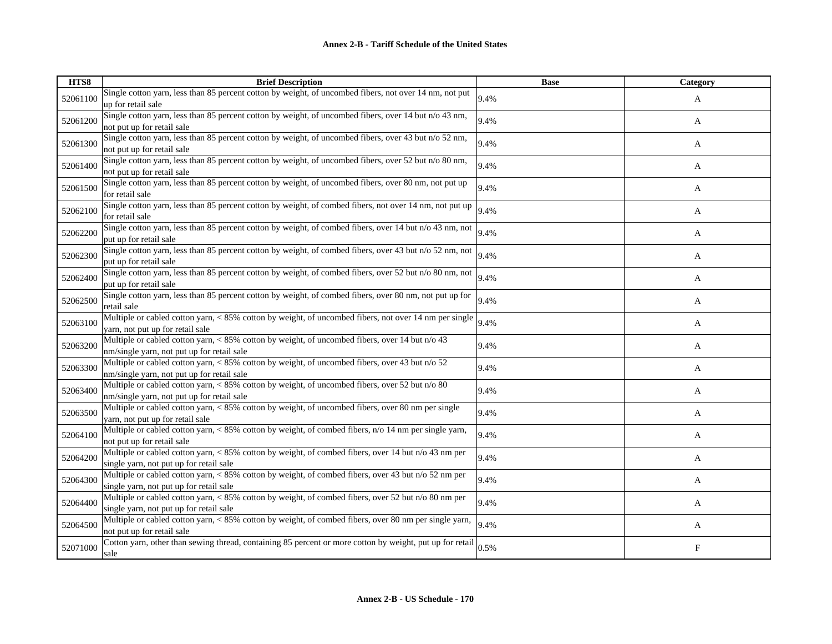| HTS8     | <b>Brief Description</b>                                                                                                                       | <b>Base</b> | Category |
|----------|------------------------------------------------------------------------------------------------------------------------------------------------|-------------|----------|
| 52061100 | Single cotton yarn, less than 85 percent cotton by weight, of uncombed fibers, not over 14 nm, not put<br>up for retail sale                   | 9.4%        | A        |
| 52061200 | Single cotton yarn, less than 85 percent cotton by weight, of uncombed fibers, over 14 but n/o 43 nm,<br>not put up for retail sale            | 9.4%        | A        |
| 52061300 | Single cotton yarn, less than 85 percent cotton by weight, of uncombed fibers, over 43 but n/o 52 nm,<br>not put up for retail sale            | 9.4%        | A        |
| 52061400 | Single cotton yarn, less than 85 percent cotton by weight, of uncombed fibers, over 52 but n/o 80 nm,<br>not put up for retail sale            | 9.4%        | A        |
| 52061500 | Single cotton yarn, less than 85 percent cotton by weight, of uncombed fibers, over 80 nm, not put up<br>for retail sale                       | 9.4%        | A        |
| 52062100 | Single cotton yarn, less than 85 percent cotton by weight, of combed fibers, not over 14 nm, not put up<br>for retail sale                     | 9.4%        | A        |
| 52062200 | Single cotton yarn, less than 85 percent cotton by weight, of combed fibers, over 14 but n/o 43 nm, not<br>put up for retail sale              | 9.4%        | A        |
| 52062300 | Single cotton yarn, less than 85 percent cotton by weight, of combed fibers, over 43 but n/o 52 nm, not<br>put up for retail sale              | 9.4%        | A        |
| 52062400 | Single cotton yarn, less than 85 percent cotton by weight, of combed fibers, over 52 but n/o 80 nm, not<br>put up for retail sale              | 9.4%        | A        |
| 52062500 | Single cotton yarn, less than 85 percent cotton by weight, of combed fibers, over 80 nm, not put up for<br>retail sale                         | 9.4%        | A        |
| 52063100 | Multiple or cabled cotton yarn, < 85% cotton by weight, of uncombed fibers, not over 14 nm per single<br>yarn, not put up for retail sale      | 9.4%        | A        |
| 52063200 | Multiple or cabled cotton yarn, < 85% cotton by weight, of uncombed fibers, over 14 but n/o 43<br>nm/single yarn, not put up for retail sale   | 9.4%        | A        |
| 52063300 | Multiple or cabled cotton yarn, < 85% cotton by weight, of uncombed fibers, over 43 but n/o 52<br>nm/single yarn, not put up for retail sale   | 9.4%        | A        |
| 52063400 | Multiple or cabled cotton yarn, < 85% cotton by weight, of uncombed fibers, over 52 but n/o 80<br>nm/single yarn, not put up for retail sale   | 9.4%        | A        |
| 52063500 | Multiple or cabled cotton yarn, < 85% cotton by weight, of uncombed fibers, over 80 nm per single<br>varn, not put up for retail sale          | 9.4%        | A        |
| 52064100 | Multiple or cabled cotton yarn, < 85% cotton by weight, of combed fibers, n/o 14 nm per single yarn,<br>not put up for retail sale             | 9.4%        | A        |
| 52064200 | Multiple or cabled cotton yarn, < 85% cotton by weight, of combed fibers, over 14 but n/o 43 nm per<br>single yarn, not put up for retail sale | 9.4%        | A        |
| 52064300 | Multiple or cabled cotton yarn, < 85% cotton by weight, of combed fibers, over 43 but n/o 52 nm per<br>single yarn, not put up for retail sale | 9.4%        | A        |
| 52064400 | Multiple or cabled cotton yarn, < 85% cotton by weight, of combed fibers, over 52 but n/o 80 nm per<br>single yarn, not put up for retail sale | 9.4%        | A        |
| 52064500 | Multiple or cabled cotton yarn, < 85% cotton by weight, of combed fibers, over 80 nm per single yarn,<br>not put up for retail sale            | 9.4%        | A        |
| 52071000 | Cotton yarn, other than sewing thread, containing 85 percent or more cotton by weight, put up for retail<br>sale                               | 0.5%        | F        |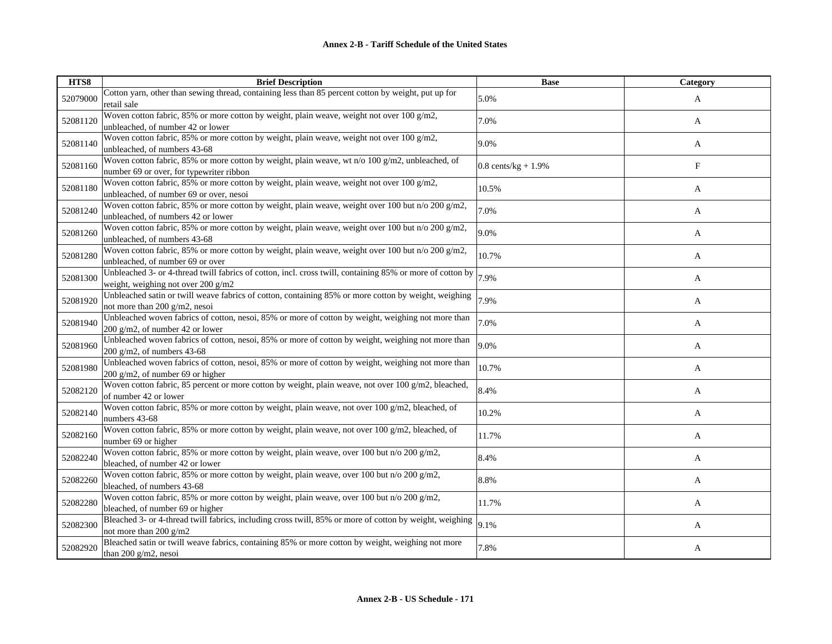| HTS8     | <b>Brief Description</b>                                                                                                                        | <b>Base</b>           | Category   |
|----------|-------------------------------------------------------------------------------------------------------------------------------------------------|-----------------------|------------|
| 52079000 | Cotton yarn, other than sewing thread, containing less than 85 percent cotton by weight, put up for<br>retail sale                              | 5.0%                  | A          |
| 52081120 | Woven cotton fabric, 85% or more cotton by weight, plain weave, weight not over 100 g/m2,<br>unbleached, of number 42 or lower                  | 7.0%                  | A          |
| 52081140 | Woven cotton fabric, 85% or more cotton by weight, plain weave, weight not over 100 g/m2,<br>unbleached, of numbers 43-68                       | 9.0%                  | A          |
| 52081160 | Woven cotton fabric, 85% or more cotton by weight, plain weave, wt n/o 100 $g/m2$ , unbleached, of<br>number 69 or over, for typewriter ribbon  | $0.8$ cents/kg + 1.9% | $_{\rm F}$ |
| 52081180 | Woven cotton fabric, 85% or more cotton by weight, plain weave, weight not over 100 g/m2,<br>unbleached, of number 69 or over, nesoi            | 10.5%                 | A          |
| 52081240 | Woven cotton fabric, 85% or more cotton by weight, plain weave, weight over 100 but n/o 200 g/m2,<br>unbleached, of numbers 42 or lower         | 7.0%                  | A          |
| 52081260 | Woven cotton fabric, 85% or more cotton by weight, plain weave, weight over 100 but n/o 200 g/m2,<br>unbleached, of numbers 43-68               | 9.0%                  | A          |
| 52081280 | Woven cotton fabric, 85% or more cotton by weight, plain weave, weight over 100 but n/o 200 g/m2,<br>unbleached, of number 69 or over           | 10.7%                 | A          |
| 52081300 | Unbleached 3- or 4-thread twill fabrics of cotton, incl. cross twill, containing 85% or more of cotton by<br>weight, weighing not over 200 g/m2 | 7.9%                  | A          |
| 52081920 | Unbleached satin or twill weave fabrics of cotton, containing 85% or more cotton by weight, weighing<br>not more than 200 g/m2, nesoi           | 7.9%                  | A          |
| 52081940 | Unbleached woven fabrics of cotton, nesoi, 85% or more of cotton by weight, weighing not more than<br>200 g/m2, of number 42 or lower           | 7.0%                  | A          |
| 52081960 | Unbleached woven fabrics of cotton, nesoi, 85% or more of cotton by weight, weighing not more than<br>200 g/m2, of numbers $43-68$              | 9.0%                  | A          |
| 52081980 | Unbleached woven fabrics of cotton, nesoi, 85% or more of cotton by weight, weighing not more than<br>200 $g/m2$ , of number 69 or higher       | 10.7%                 | A          |
| 52082120 | Woven cotton fabric, 85 percent or more cotton by weight, plain weave, not over 100 g/m2, bleached,<br>of number 42 or lower                    | 8.4%                  | A          |
| 52082140 | Woven cotton fabric, 85% or more cotton by weight, plain weave, not over 100 $g/m2$ , bleached, of<br>numbers 43-68                             | 10.2%                 | A          |
| 52082160 | Woven cotton fabric, 85% or more cotton by weight, plain weave, not over 100 g/m2, bleached, of<br>number 69 or higher                          | 11.7%                 | A          |
| 52082240 | Woven cotton fabric, 85% or more cotton by weight, plain weave, over 100 but n/o 200 g/m2,<br>bleached, of number 42 or lower                   | 8.4%                  | A          |
| 52082260 | Woven cotton fabric, 85% or more cotton by weight, plain weave, over 100 but n/o 200 g/m2,<br>bleached, of numbers 43-68                        | 8.8%                  | A          |
| 52082280 | Woven cotton fabric, 85% or more cotton by weight, plain weave, over 100 but n/o 200 g/m2,<br>bleached, of number 69 or higher                  | 11.7%                 | A          |
| 52082300 | Bleached 3- or 4-thread twill fabrics, including cross twill, 85% or more of cotton by weight, weighing<br>not more than 200 g/m2               | 9.1%                  | A          |
| 52082920 | Bleached satin or twill weave fabrics, containing 85% or more cotton by weight, weighing not more<br>than 200 g/m2, nesoi                       | 7.8%                  | A          |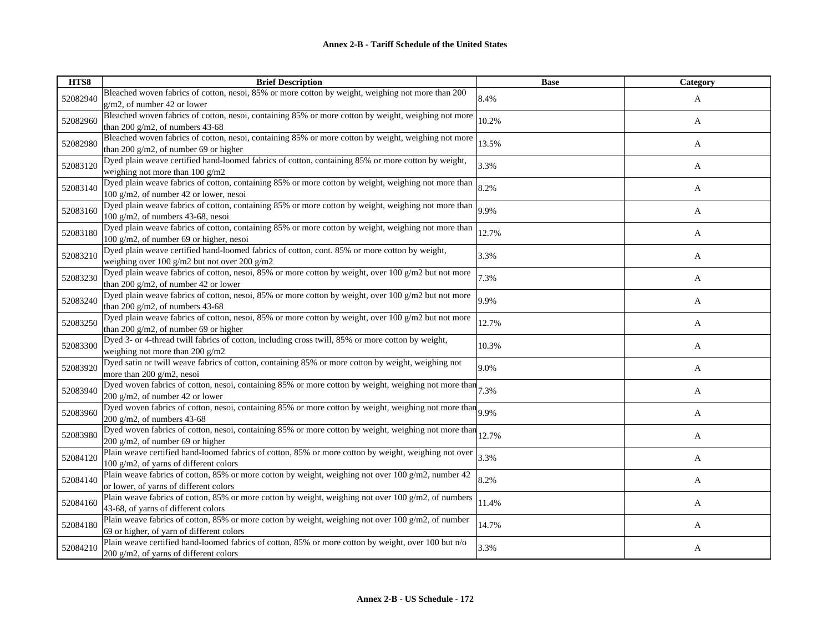| HTS8     | <b>Brief Description</b>                                                                                                                         | <b>Base</b> | Category |
|----------|--------------------------------------------------------------------------------------------------------------------------------------------------|-------------|----------|
| 52082940 | Bleached woven fabrics of cotton, nesoi, 85% or more cotton by weight, weighing not more than 200<br>$g/m2$ , of number 42 or lower              | 8.4%        | A        |
| 52082960 | Bleached woven fabrics of cotton, nesoi, containing 85% or more cotton by weight, weighing not more<br>than 200 $g/m2$ , of numbers 43-68        | 10.2%       | A        |
| 52082980 | Bleached woven fabrics of cotton, nesoi, containing 85% or more cotton by weight, weighing not more<br>than 200 g/m2, of number 69 or higher     | 13.5%       | A        |
| 52083120 | Dyed plain weave certified hand-loomed fabrics of cotton, containing 85% or more cotton by weight,<br>weighing not more than $100$ g/m2          | 3.3%        | A        |
| 52083140 | Dyed plain weave fabrics of cotton, containing 85% or more cotton by weight, weighing not more than<br>100 g/m2, of number 42 or lower, nesoi    | 8.2%        | A        |
| 52083160 | Dyed plain weave fabrics of cotton, containing 85% or more cotton by weight, weighing not more than<br>100 g/m2, of numbers 43-68, nesoi         | 9.9%        | A        |
| 52083180 | Dyed plain weave fabrics of cotton, containing 85% or more cotton by weight, weighing not more than<br>$100$ g/m2, of number 69 or higher, nesoi | 12.7%       | A        |
| 52083210 | Dyed plain weave certified hand-loomed fabrics of cotton, cont. 85% or more cotton by weight,<br>weighing over 100 g/m2 but not over 200 g/m2    | 3.3%        | A        |
| 52083230 | Dyed plain weave fabrics of cotton, nesoi, 85% or more cotton by weight, over 100 $g/m2$ but not more<br>than 200 g/m2, of number 42 or lower    | 7.3%        | A        |
| 52083240 | Dyed plain weave fabrics of cotton, nesoi, 85% or more cotton by weight, over 100 g/m2 but not more<br>than 200 g/m2, of numbers $43-68$         | 9.9%        | A        |
| 52083250 | Dyed plain weave fabrics of cotton, nesoi, 85% or more cotton by weight, over 100 $g/m2$ but not more<br>than 200 g/m2, of number 69 or higher   | 12.7%       | A        |
| 52083300 | Dyed 3- or 4-thread twill fabrics of cotton, including cross twill, 85% or more cotton by weight,<br>weighing not more than 200 g/m2             | 10.3%       | A        |
| 52083920 | Dyed satin or twill weave fabrics of cotton, containing 85% or more cotton by weight, weighing not<br>more than 200 g/m2, nesoi                  | 9.0%        | A        |
| 52083940 | Dyed woven fabrics of cotton, nesoi, containing 85% or more cotton by weight, weighing not more than $7.3\%$<br>200 g/m2, of number 42 or lower  |             | A        |
| 52083960 | Dyed woven fabrics of cotton, nesoi, containing 85% or more cotton by weight, weighing not more than $9.9\%$<br>$200$ g/m2, of numbers 43-68     |             | A        |
| 52083980 | Dyed woven fabrics of cotton, nesoi, containing 85% or more cotton by weight, weighing not more than<br>200 g/m2, of number 69 or higher         | 12.7%       | A        |
| 52084120 | Plain weave certified hand-loomed fabrics of cotton, 85% or more cotton by weight, weighing not over<br>100 g/m2, of yarns of different colors   | 3.3%        | A        |
| 52084140 | Plain weave fabrics of cotton, 85% or more cotton by weight, weighing not over 100 g/m2, number 42<br>or lower, of yarns of different colors     | 8.2%        | A        |
| 52084160 | Plain weave fabrics of cotton, 85% or more cotton by weight, weighing not over 100 g/m2, of numbers<br>43-68, of yarns of different colors       | 11.4%       | A        |
| 52084180 | Plain weave fabrics of cotton, 85% or more cotton by weight, weighing not over 100 g/m2, of number<br>69 or higher, of yarn of different colors  | 14.7%       | A        |
| 52084210 | Plain weave certified hand-loomed fabrics of cotton, 85% or more cotton by weight, over 100 but n/o<br>200 $g/m2$ , of varns of different colors | 3.3%        | A        |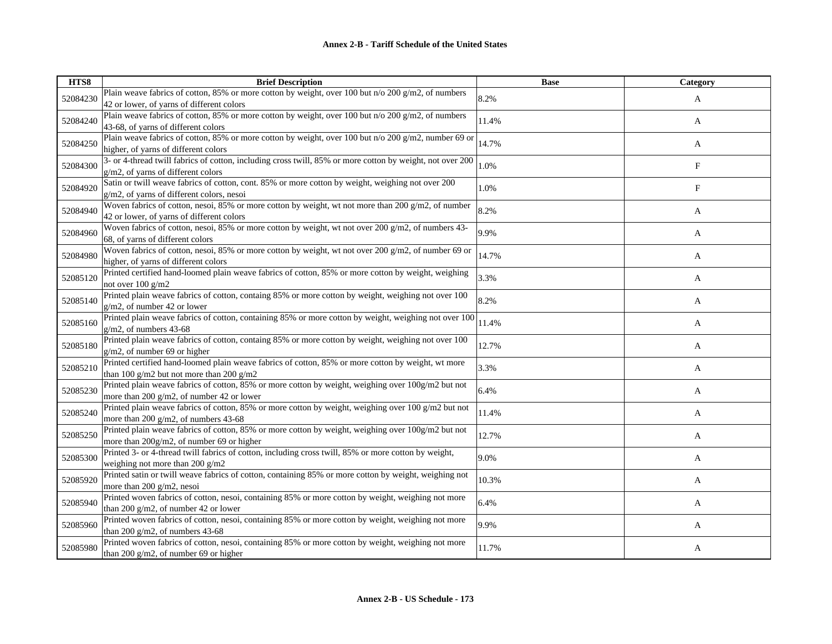| HTS8     | <b>Brief Description</b>                                                                                                                           | <b>Base</b> | Category |
|----------|----------------------------------------------------------------------------------------------------------------------------------------------------|-------------|----------|
| 52084230 | Plain weave fabrics of cotton, 85% or more cotton by weight, over 100 but n/o 200 g/m2, of numbers<br>42 or lower, of yarns of different colors    | 8.2%        | A        |
| 52084240 | Plain weave fabrics of cotton, 85% or more cotton by weight, over 100 but n/o 200 g/m2, of numbers<br>43-68, of yarns of different colors          | 11.4%       | A        |
| 52084250 | Plain weave fabrics of cotton, 85% or more cotton by weight, over 100 but n/o 200 g/m2, number 69 or<br>higher, of yarns of different colors       | 14.7%       | A        |
| 52084300 | 3- or 4-thread twill fabrics of cotton, including cross twill, 85% or more cotton by weight, not over 200<br>g/m2, of yarns of different colors    | 1.0%        | F        |
| 52084920 | Satin or twill weave fabrics of cotton, cont. 85% or more cotton by weight, weighing not over 200<br>g/m2, of yarns of different colors, nesoi     | 1.0%        | F        |
| 52084940 | Woven fabrics of cotton, nesoi, 85% or more cotton by weight, wt not more than 200 $g/m2$ , of number<br>42 or lower, of yarns of different colors | 8.2%        | A        |
| 52084960 | Woven fabrics of cotton, nesoi, 85% or more cotton by weight, wt not over 200 g/m2, of numbers 43-<br>68, of yarns of different colors             | 9.9%        | A        |
| 52084980 | Woven fabrics of cotton, nesoi, 85% or more cotton by weight, wt not over 200 g/m2, of number 69 or<br>higher, of yarns of different colors        | 14.7%       | A        |
| 52085120 | Printed certified hand-loomed plain weave fabrics of cotton, 85% or more cotton by weight, weighing<br>not over 100 g/m2                           | 3.3%        | A        |
| 52085140 | Printed plain weave fabrics of cotton, containg 85% or more cotton by weight, weighing not over 100<br>$g/m2$ , of number 42 or lower              | 8.2%        | A        |
| 52085160 | Printed plain weave fabrics of cotton, containing 85% or more cotton by weight, weighing not over 100<br>$g/m2$ , of numbers 43-68                 | 11.4%       | A        |
| 52085180 | Printed plain weave fabrics of cotton, containg 85% or more cotton by weight, weighing not over 100<br>$g/m2$ , of number 69 or higher             | 12.7%       | A        |
| 52085210 | Printed certified hand-loomed plain weave fabrics of cotton, 85% or more cotton by weight, wt more<br>than 100 g/m2 but not more than 200 g/m2     | 3.3%        | A        |
| 52085230 | Printed plain weave fabrics of cotton, 85% or more cotton by weight, weighing over 100g/m2 but not<br>more than 200 g/m2, of number 42 or lower    | 6.4%        | A        |
| 52085240 | Printed plain weave fabrics of cotton, 85% or more cotton by weight, weighing over 100 g/m2 but not<br>more than 200 g/m2, of numbers 43-68        | 11.4%       | A        |
| 52085250 | Printed plain weave fabrics of cotton, 85% or more cotton by weight, weighing over 100g/m2 but not<br>more than $200g/m2$ , of number 69 or higher | 12.7%       | A        |
| 52085300 | Printed 3- or 4-thread twill fabrics of cotton, including cross twill, 85% or more cotton by weight,<br>weighing not more than 200 $g/m2$          | 9.0%        | A        |
| 52085920 | Printed satin or twill weave fabrics of cotton, containing 85% or more cotton by weight, weighing not<br>more than 200 $g/m2$ , nesoi              | 10.3%       | A        |
| 52085940 | Printed woven fabrics of cotton, nesoi, containing 85% or more cotton by weight, weighing not more<br>than 200 g/m2, of number 42 or lower         | 6.4%        | A        |
| 52085960 | Printed woven fabrics of cotton, nesoi, containing 85% or more cotton by weight, weighing not more<br>than 200 g/m2, of numbers 43-68              | 9.9%        | A        |
| 52085980 | Printed woven fabrics of cotton, nesoi, containing 85% or more cotton by weight, weighing not more<br>than 200 $g/m2$ , of number 69 or higher     | 11.7%       | A        |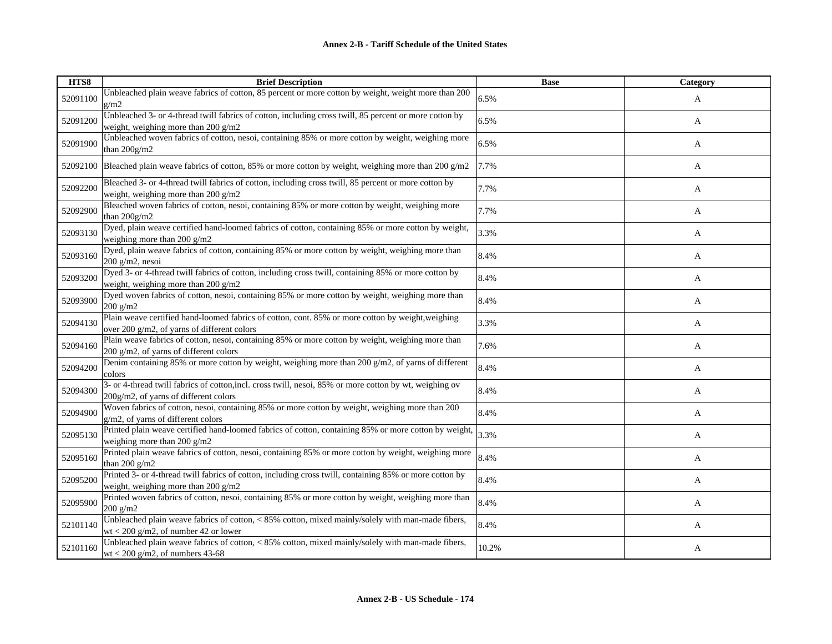| HTS8     | <b>Brief Description</b>                                                                                                                         | <b>Base</b> | Category |
|----------|--------------------------------------------------------------------------------------------------------------------------------------------------|-------------|----------|
| 52091100 | Unbleached plain weave fabrics of cotton, 85 percent or more cotton by weight, weight more than 200<br>g/m2                                      | 6.5%        | A        |
| 52091200 | Unbleached 3- or 4-thread twill fabrics of cotton, including cross twill, 85 percent or more cotton by<br>weight, weighing more than 200 g/m2    | 6.5%        | A        |
| 52091900 | Unbleached woven fabrics of cotton, nesoi, containing 85% or more cotton by weight, weighing more<br>than $200g/m2$                              | 6.5%        | A        |
| 52092100 | Bleached plain weave fabrics of cotton, 85% or more cotton by weight, weighing more than 200 g/m2                                                | 7.7%        | A        |
| 52092200 | Bleached 3- or 4-thread twill fabrics of cotton, including cross twill, 85 percent or more cotton by<br>weight, weighing more than 200 g/m2      | 7.7%        | A        |
| 52092900 | Bleached woven fabrics of cotton, nesoi, containing 85% or more cotton by weight, weighing more<br>than 200g/m2                                  | 7.7%        | A        |
| 52093130 | Dyed, plain weave certified hand-loomed fabrics of cotton, containing 85% or more cotton by weight,<br>weighing more than 200 g/m2               | 3.3%        | A        |
| 52093160 | Dyed, plain weave fabrics of cotton, containing 85% or more cotton by weight, weighing more than<br>$200$ g/m2, nesoi                            | 8.4%        | A        |
| 52093200 | Dyed 3- or 4-thread twill fabrics of cotton, including cross twill, containing 85% or more cotton by<br>weight, weighing more than 200 g/m2      | 8.4%        | A        |
| 52093900 | Dyed woven fabrics of cotton, nesoi, containing 85% or more cotton by weight, weighing more than<br>$200$ g/m2                                   | 8.4%        | A        |
| 52094130 | Plain weave certified hand-loomed fabrics of cotton, cont. 85% or more cotton by weight, weighing<br>over 200 g/m2, of yarns of different colors | 3.3%        | A        |
| 52094160 | Plain weave fabrics of cotton, nesoi, containing 85% or more cotton by weight, weighing more than<br>200 g/m2, of yarns of different colors      | 7.6%        | A        |
| 52094200 | Denim containing 85% or more cotton by weight, weighing more than 200 g/m2, of yarns of different<br>colors                                      | 8.4%        | A        |
| 52094300 | 3- or 4-thread twill fabrics of cotton, incl. cross twill, nesoi, 85% or more cotton by wt, weighing ov<br>200g/m2, of yarns of different colors | 8.4%        | A        |
| 52094900 | Woven fabrics of cotton, nesoi, containing 85% or more cotton by weight, weighing more than 200<br>g/m2, of varns of different colors            | 8.4%        | A        |
| 52095130 | Printed plain weave certified hand-loomed fabrics of cotton, containing 85% or more cotton by weight,<br>weighing more than 200 $g/m2$           | 3.3%        | A        |
| 52095160 | Printed plain weave fabrics of cotton, nesoi, containing 85% or more cotton by weight, weighing more<br>than 200 $g/m2$                          | 8.4%        | A        |
| 52095200 | Printed 3- or 4-thread twill fabrics of cotton, including cross twill, containing 85% or more cotton by<br>weight, weighing more than 200 $g/m2$ | 8.4%        | A        |
| 52095900 | Printed woven fabrics of cotton, nesoi, containing 85% or more cotton by weight, weighing more than<br>$200$ g/m2                                | 8.4%        | A        |
| 52101140 | Unbleached plain weave fabrics of cotton, < 85% cotton, mixed mainly/solely with man-made fibers,<br>wt < 200 g/m2, of number 42 or lower        | 8.4%        | A        |
| 52101160 | Unbleached plain weave fabrics of cotton, < 85% cotton, mixed mainly/solely with man-made fibers,<br>wt < 200 g/m2, of numbers 43-68             | 10.2%       | A        |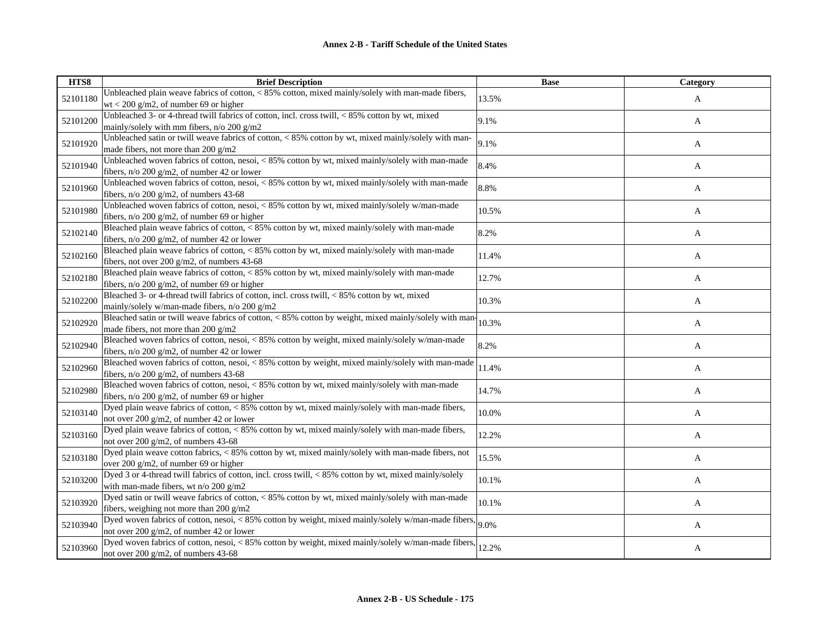| HTS8     | <b>Brief Description</b>                                                                                                                                     | <b>Base</b> | Category |
|----------|--------------------------------------------------------------------------------------------------------------------------------------------------------------|-------------|----------|
| 52101180 | Unbleached plain weave fabrics of cotton, < 85% cotton, mixed mainly/solely with man-made fibers,<br>$wt < 200$ g/m2, of number 69 or higher                 | 13.5%       | A        |
| 52101200 | Unbleached 3- or 4-thread twill fabrics of cotton, incl. cross twill, < 85% cotton by wt, mixed<br>mainly/solely with mm fibers, $n/o 200 g/m2$              | 9.1%        | A        |
| 52101920 | Unbleached satin or twill weave fabrics of cotton, < 85% cotton by wt, mixed mainly/solely with man-<br>made fibers, not more than 200 $g/m2$                | 9.1%        | A        |
| 52101940 | Unbleached woven fabrics of cotton, nesoi, < 85% cotton by wt, mixed mainly/solely with man-made<br>fibers, $n/\sigma$ 200 g/m2, of number 42 or lower       | 8.4%        | A        |
| 52101960 | Unbleached woven fabrics of cotton, nesoi, < 85% cotton by wt, mixed mainly/solely with man-made<br>fibers, $n/o 200 g/m2$ , of numbers 43-68                | 8.8%        | A        |
| 52101980 | Unbleached woven fabrics of cotton, nesoi, < 85% cotton by wt, mixed mainly/solely w/man-made<br>fibers, $n/\sigma$ 200 g/m2, of number 69 or higher         | 10.5%       | A        |
| 52102140 | Bleached plain weave fabrics of cotton, < 85% cotton by wt, mixed mainly/solely with man-made<br>fibers, $n/\sigma$ 200 g/m2, of number 42 or lower          | 8.2%        | A        |
| 52102160 | Bleached plain weave fabrics of cotton, < 85% cotton by wt, mixed mainly/solely with man-made<br>fibers, not over 200 g/m2, of numbers 43-68                 | 11.4%       | A        |
| 52102180 | Bleached plain weave fabrics of cotton, < 85% cotton by wt, mixed mainly/solely with man-made<br>fibers, $n$ /o 200 g/m2, of number 69 or higher             | 12.7%       | A        |
| 52102200 | Bleached 3- or 4-thread twill fabrics of cotton, incl. cross twill, < 85% cotton by wt, mixed<br>mainly/solely w/man-made fibers, n/o 200 g/m2               | 10.3%       | A        |
| 52102920 | Bleached satin or twill weave fabrics of cotton, < 85% cotton by weight, mixed mainly/solely with man-<br>made fibers, not more than 200 g/m2                | 10.3%       | A        |
| 52102940 | Bleached woven fabrics of cotton, nesoi, < 85% cotton by weight, mixed mainly/solely w/man-made<br>fibers, $n/\sigma$ 200 g/m2, of number 42 or lower        | 8.2%        | A        |
| 52102960 | Bleached woven fabrics of cotton, nesoi, < 85% cotton by weight, mixed mainly/solely with man-made<br>fibers, n/o 200 g/m2, of numbers 43-68                 | 11.4%       | A        |
| 52102980 | Bleached woven fabrics of cotton, nesoi, < 85% cotton by wt, mixed mainly/solely with man-made<br>fibers, $n/\sigma$ 200 g/m2, of number 69 or higher        | 14.7%       | A        |
| 52103140 | Dyed plain weave fabrics of cotton, < 85% cotton by wt, mixed mainly/solely with man-made fibers,<br>not over 200 $g/m2$ , of number 42 or lower             | 10.0%       | A        |
| 52103160 | Dyed plain weave fabrics of cotton, < 85% cotton by wt, mixed mainly/solely with man-made fibers,<br>not over 200 $g/m2$ , of numbers 43-68                  | 12.2%       | A        |
| 52103180 | Dyed plain weave cotton fabrics, < 85% cotton by wt, mixed mainly/solely with man-made fibers, not<br>over 200 $g/m2$ , of number 69 or higher               | 15.5%       | A        |
| 52103200 | Dyed 3 or 4-thread twill fabrics of cotton, incl. cross twill, <85% cotton by wt, mixed mainly/solely<br>with man-made fibers, wt n/o 200 g/m2               | 10.1%       | A        |
| 52103920 | Dyed satin or twill weave fabrics of cotton, < 85% cotton by wt, mixed mainly/solely with man-made<br>fibers, weighing not more than 200 $g/m2$              | 10.1%       | A        |
| 52103940 | Dyed woven fabrics of cotton, nesoi, $\lt 85\%$ cotton by weight, mixed mainly/solely w/man-made fibers, $9.0\%$<br>not over 200 g/m2, of number 42 or lower |             | A        |
| 52103960 | Dyed woven fabrics of cotton, nesoi, < 85% cotton by weight, mixed mainly/solely w/man-made fibers, 12.2%<br>not over 200 $g/m2$ , of numbers 43-68          |             | A        |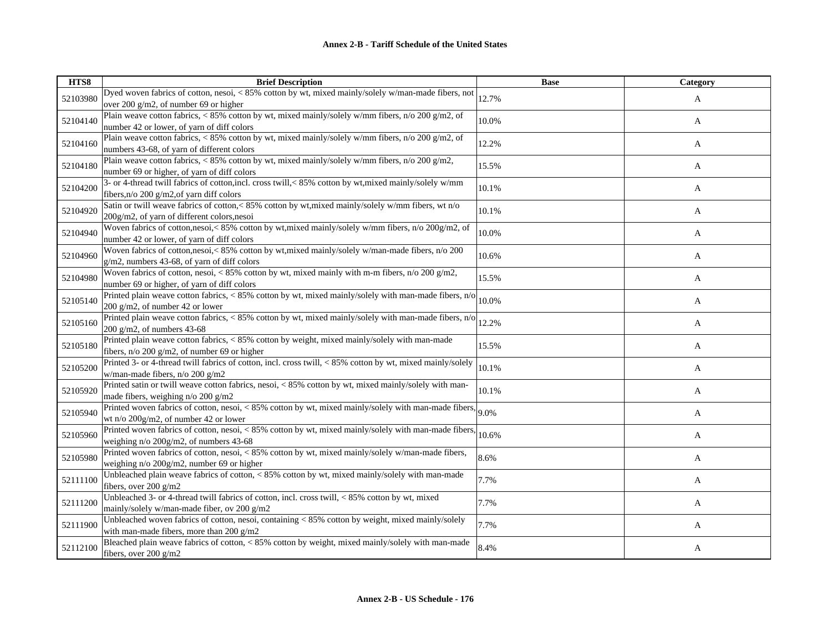| HTS8     | <b>Brief Description</b>                                                                                                                   | <b>Base</b> | Category |
|----------|--------------------------------------------------------------------------------------------------------------------------------------------|-------------|----------|
| 52103980 | Dyed woven fabrics of cotton, nesoi, < 85% cotton by wt, mixed mainly/solely w/man-made fibers, not                                        | 12.7%       | A        |
|          | over 200 $g/m2$ , of number 69 or higher                                                                                                   |             |          |
| 52104140 | Plain weave cotton fabrics, $< 85\%$ cotton by wt, mixed mainly/solely w/mm fibers, n/o 200 g/m2, of                                       | 10.0%       | A        |
|          | number 42 or lower, of yarn of diff colors                                                                                                 |             |          |
| 52104160 | Plain weave cotton fabrics, < 85% cotton by wt, mixed mainly/solely w/mm fibers, n/o 200 g/m2, of                                          | 12.2%       | A        |
|          | numbers 43-68, of yarn of different colors                                                                                                 |             |          |
| 52104180 | Plain weave cotton fabrics, < 85% cotton by wt, mixed mainly/solely w/mm fibers, n/o 200 g/m2,                                             | 15.5%       | A        |
|          | number 69 or higher, of yarn of diff colors                                                                                                |             |          |
| 52104200 | 3- or 4-thread twill fabrics of cotton, incl. cross twill, < 85% cotton by wt, mixed mainly/solely w/mm                                    | 10.1%       | A        |
|          | fibers, n/o 200 g/m2, of yarn diff colors                                                                                                  |             |          |
| 52104920 | Satin or twill weave fabrics of cotton,< 85% cotton by wt, mixed mainly/solely w/mm fibers, wt n/o                                         | 10.1%       | A        |
|          | 200g/m2, of yarn of different colors, nesoi                                                                                                |             |          |
| 52104940 | Woven fabrics of cotton, nesoi, < 85% cotton by wt, mixed mainly/solely w/mm fibers, n/o 200g/m2, of                                       | 10.0%       | A        |
|          | number 42 or lower, of yarn of diff colors                                                                                                 |             |          |
| 52104960 | Woven fabrics of cotton,nesoi, < 85% cotton by wt, mixed mainly/solely w/man-made fibers, n/o 200                                          | 10.6%       | A        |
|          | $g/m2$ , numbers 43-68, of yarn of diff colors                                                                                             |             |          |
| 52104980 | Woven fabrics of cotton, nesoi, < 85% cotton by wt, mixed mainly with m-m fibers, $n/0.200 g/m2$ ,                                         | 15.5%       | A        |
|          | number 69 or higher, of yarn of diff colors                                                                                                |             |          |
| 52105140 | Printed plain weave cotton fabrics, < 85% cotton by wt, mixed mainly/solely with man-made fibers, n/o                                      | 10.0%       | A        |
|          | $200$ g/m2, of number 42 or lower<br>Printed plain weave cotton fabrics, < 85% cotton by wt, mixed mainly/solely with man-made fibers, n/o |             |          |
| 52105160 | $200$ g/m2, of numbers 43-68                                                                                                               | 12.2%       | A        |
|          | Printed plain weave cotton fabrics, < 85% cotton by weight, mixed mainly/solely with man-made                                              |             |          |
| 52105180 | fibers, $n/o$ 200 g/m2, of number 69 or higher                                                                                             | 15.5%       | A        |
|          | Printed 3- or 4-thread twill fabrics of cotton, incl. cross twill, < 85% cotton by wt, mixed mainly/solely                                 |             |          |
| 52105200 | w/man-made fibers, n/o 200 g/m2                                                                                                            | 10.1%       | A        |
|          | Printed satin or twill weave cotton fabrics, nesoi, < 85% cotton by wt, mixed mainly/solely with man-                                      |             |          |
| 52105920 | made fibers, weighing n/o 200 g/m2                                                                                                         | 10.1%       | A        |
|          | Printed woven fabrics of cotton, nesoi, < 85% cotton by wt, mixed mainly/solely with man-made fibers,                                      |             |          |
| 52105940 | wt n/o 200g/m2, of number 42 or lower                                                                                                      | 9.0%        | A        |
|          | Printed woven fabrics of cotton, nesoi, < 85% cotton by wt, mixed mainly/solely with man-made fibers,                                      |             |          |
| 52105960 | weighing $n/o 200g/m2$ , of numbers 43-68                                                                                                  | 10.6%       | A        |
|          | Printed woven fabrics of cotton, nesoi, < 85% cotton by wt, mixed mainly/solely w/man-made fibers,                                         |             |          |
| 52105980 | weighing n/o 200g/m2, number 69 or higher                                                                                                  | 8.6%        | A        |
|          | Unbleached plain weave fabrics of cotton, < 85% cotton by wt, mixed mainly/solely with man-made                                            |             |          |
| 52111100 | fibers, over $200 \frac{g}{m^2}$                                                                                                           | 7.7%        | A        |
|          | Unbleached 3- or 4-thread twill fabrics of cotton, incl. cross twill, < 85% cotton by wt, mixed                                            |             |          |
| 52111200 | mainly/solely w/man-made fiber, ov 200 g/m2                                                                                                | 7.7%        | A        |
|          | Unbleached woven fabrics of cotton, nesoi, containing $<$ 85% cotton by weight, mixed mainly/solely                                        | 7.7%        |          |
| 52111900 | with man-made fibers, more than 200 g/m2                                                                                                   |             | A        |
|          | Bleached plain weave fabrics of cotton, < 85% cotton by weight, mixed mainly/solely with man-made                                          | 8.4%        |          |
| 52112100 | fibers, over 200 g/m2                                                                                                                      |             | A        |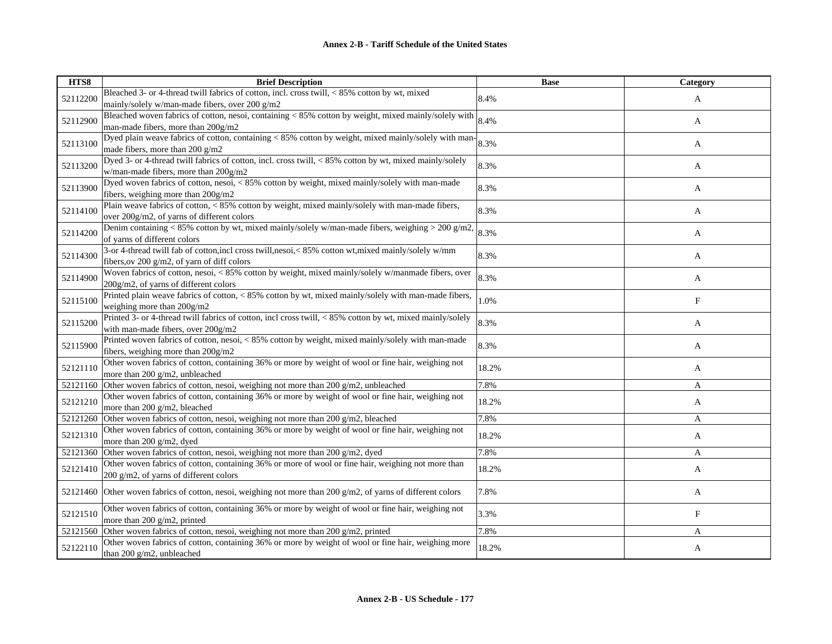| HTS8     | <b>Brief Description</b>                                                                                                                 | <b>Base</b> | Category    |
|----------|------------------------------------------------------------------------------------------------------------------------------------------|-------------|-------------|
| 52112200 | Bleached 3- or 4-thread twill fabrics of cotton, incl. cross twill, < 85% cotton by wt, mixed                                            | 8.4%        | A           |
|          | mainly/solely w/man-made fibers, over 200 g/m2                                                                                           |             |             |
| 52112900 | Bleached woven fabrics of cotton, nesoi, containing < 85% cotton by weight, mixed mainly/solely with                                     | 8.4%        | A           |
|          | man-made fibers, more than 200g/m2                                                                                                       |             |             |
| 52113100 | Dyed plain weave fabrics of cotton, containing < 85% cotton by weight, mixed mainly/solely with man-                                     | 8.3%        | A           |
|          | made fibers, more than 200 g/m2                                                                                                          |             |             |
| 52113200 | Dyed 3- or 4-thread twill fabrics of cotton, incl. cross twill, < 85% cotton by wt, mixed mainly/solely                                  | 8.3%        | A           |
|          | w/man-made fibers, more than 200g/m2                                                                                                     |             |             |
| 52113900 | Dyed woven fabrics of cotton, nesoi, < 85% cotton by weight, mixed mainly/solely with man-made                                           | 8.3%        | A           |
|          | fibers, weighing more than 200g/m2                                                                                                       |             |             |
| 52114100 | Plain weave fabrics of cotton, < 85% cotton by weight, mixed mainly/solely with man-made fibers,                                         | 8.3%        | A           |
|          | over 200g/m2, of yarns of different colors                                                                                               |             |             |
| 52114200 | Denim containing < 85% cotton by wt, mixed mainly/solely w/man-made fibers, weighing > 200 g/m2,                                         | 8.3%        | A           |
|          | of yarns of different colors                                                                                                             |             |             |
| 52114300 | 3-or 4-thread twill fab of cotton, incl cross twill, nesoi, < 85% cotton wt, mixed mainly/solely w/mm                                    | 8.3%        | A           |
|          | fibers, ov 200 g/m2, of yarn of diff colors                                                                                              |             |             |
| 52114900 | Woven fabrics of cotton, nesoi, < 85% cotton by weight, mixed mainly/solely w/manmade fibers, over                                       | 8.3%        | A           |
|          | 200g/m2, of yarns of different colors                                                                                                    |             |             |
| 52115100 | Printed plain weave fabrics of cotton, < 85% cotton by wt, mixed mainly/solely with man-made fibers,                                     | 1.0%        | F           |
|          | weighing more than 200g/m2                                                                                                               |             |             |
| 52115200 | Printed 3- or 4-thread twill fabrics of cotton, incl cross twill, < 85% cotton by wt, mixed mainly/solely                                | 8.3%        | A           |
|          | with man-made fibers, over 200g/m2<br>Printed woven fabrics of cotton, nesoi, < 85% cotton by weight, mixed mainly/solely with man-made  |             |             |
| 52115900 |                                                                                                                                          | 8.3%        | A           |
|          | fibers, weighing more than 200g/m2<br>Other woven fabrics of cotton, containing 36% or more by weight of wool or fine hair, weighing not |             |             |
| 52121110 | more than 200 g/m2, unbleached                                                                                                           | 18.2%       | A           |
| 52121160 | Other woven fabrics of cotton, nesoi, weighing not more than 200 g/m2, unbleached                                                        | 7.8%        | A           |
|          | Other woven fabrics of cotton, containing 36% or more by weight of wool or fine hair, weighing not                                       |             |             |
| 52121210 | more than 200 g/m2, bleached                                                                                                             | 18.2%       | A           |
|          | 52121260 Other woven fabrics of cotton, nesoi, weighing not more than 200 g/m2, bleached                                                 | 7.8%        | A           |
|          | Other woven fabrics of cotton, containing 36% or more by weight of wool or fine hair, weighing not                                       |             |             |
| 52121310 | more than 200 g/m2, dyed                                                                                                                 | 18.2%       | A           |
| 52121360 | Other woven fabrics of cotton, nesoi, weighing not more than 200 g/m2, dyed                                                              | 7.8%        | A           |
|          | Other woven fabrics of cotton, containing 36% or more of wool or fine hair, weighing not more than                                       |             |             |
| 52121410 | 200 g/m2, of yarns of different colors                                                                                                   | 18.2%       | A           |
|          |                                                                                                                                          |             |             |
|          | 52121460 Other woven fabrics of cotton, nesoi, weighing not more than 200 $g/m2$ , of yarns of different colors                          | 7.8%        | A           |
|          | Other woven fabrics of cotton, containing 36% or more by weight of wool or fine hair, weighing not                                       |             |             |
| 52121510 | more than 200 g/m2, printed                                                                                                              | 3.3%        | $\mathbf F$ |
| 52121560 | Other woven fabrics of cotton, nesoi, weighing not more than 200 g/m2, printed                                                           | 7.8%        | A           |
|          | Other woven fabrics of cotton, containing 36% or more by weight of wool or fine hair, weighing more                                      |             |             |
| 52122110 | than 200 g/m2, unbleached                                                                                                                | 18.2%       | A           |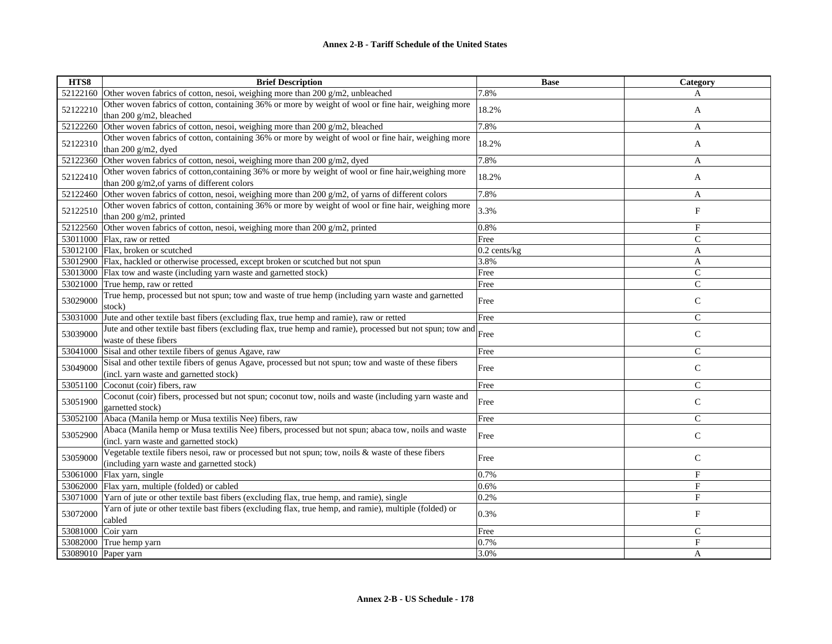| HTS8     | <b>Brief Description</b>                                                                                                                           | <b>Base</b>    | Category     |
|----------|----------------------------------------------------------------------------------------------------------------------------------------------------|----------------|--------------|
| 52122160 | Other woven fabrics of cotton, nesoi, weighing more than 200 g/m2, unbleached                                                                      | 7.8%           | A            |
| 52122210 | Other woven fabrics of cotton, containing 36% or more by weight of wool or fine hair, weighing more<br>than 200 g/m2, bleached                     | 18.2%          | A            |
| 52122260 | Other woven fabrics of cotton, nesoi, weighing more than 200 g/m2, bleached                                                                        | 7.8%           | A            |
| 52122310 | Other woven fabrics of cotton, containing 36% or more by weight of wool or fine hair, weighing more<br>than 200 g/m2, dyed                         | 18.2%          | A            |
| 52122360 | Other woven fabrics of cotton, nesoi, weighing more than 200 g/m2, dyed                                                                            | 7.8%           | A            |
| 52122410 | Other woven fabrics of cotton, containing 36% or more by weight of wool or fine hair, weighing more<br>than 200 g/m2, of yarns of different colors | 18.2%          | A            |
| 52122460 | Other woven fabrics of cotton, nesoi, weighing more than 200 g/m2, of yarns of different colors                                                    | 7.8%           | A            |
| 52122510 | Other woven fabrics of cotton, containing 36% or more by weight of wool or fine hair, weighing more<br>than 200 g/m2, printed                      | 3.3%           | $_{\rm F}$   |
| 52122560 | Other woven fabrics of cotton, nesoi, weighing more than 200 g/m2, printed                                                                         | 0.8%           | F            |
|          | 53011000 Flax, raw or retted                                                                                                                       | Free           | $\mathsf{C}$ |
|          | 53012100 Flax, broken or scutched                                                                                                                  | $0.2$ cents/kg | A            |
|          | 53012900 Flax, hackled or otherwise processed, except broken or scutched but not spun                                                              | 3.8%           | A            |
| 53013000 | Flax tow and waste (including yarn waste and garnetted stock)                                                                                      | Free           | $\mathsf{C}$ |
| 53021000 | True hemp, raw or retted                                                                                                                           | Free           | $\mathsf{C}$ |
| 53029000 | True hemp, processed but not spun; tow and waste of true hemp (including yarn waste and garnetted<br>stock)                                        | Free           | $\mathsf{C}$ |
| 53031000 | Jute and other textile bast fibers (excluding flax, true hemp and ramie), raw or retted                                                            | Free           | $\mathsf{C}$ |
| 53039000 | Jute and other textile bast fibers (excluding flax, true hemp and ramie), processed but not spun; tow and<br>waste of these fibers                 | Free           | $\mathbf C$  |
| 53041000 | Sisal and other textile fibers of genus Agave, raw                                                                                                 | Free           | $\mathsf{C}$ |
| 53049000 | Sisal and other textile fibers of genus Agave, processed but not spun; tow and waste of these fibers<br>(incl. yarn waste and garnetted stock)     | Free           | $\mathsf{C}$ |
| 53051100 | Coconut (coir) fibers, raw                                                                                                                         | Free           | $\mathsf{C}$ |
| 53051900 | Coconut (coir) fibers, processed but not spun; coconut tow, noils and waste (including yarn waste and<br>garnetted stock)                          | Free           | $\mathsf{C}$ |
| 53052100 | Abaca (Manila hemp or Musa textilis Nee) fibers, raw                                                                                               | Free           | $\mathsf{C}$ |
| 53052900 | Abaca (Manila hemp or Musa textilis Nee) fibers, processed but not spun; abaca tow, noils and waste<br>(incl. yarn waste and garnetted stock)      | Free           | $\mathbf C$  |
| 53059000 | Vegetable textile fibers nesoi, raw or processed but not spun; tow, noils & waste of these fibers<br>(including yarn waste and garnetted stock)    | Free           | $\mathsf C$  |
| 53061000 | Flax yarn, single                                                                                                                                  | 0.7%           | F            |
| 53062000 | Flax yarn, multiple (folded) or cabled                                                                                                             | 0.6%           | $_{\rm F}$   |
| 53071000 | Yarn of jute or other textile bast fibers (excluding flax, true hemp, and ramie), single                                                           | 0.2%           | F            |
| 53072000 | Yarn of jute or other textile bast fibers (excluding flax, true hemp, and ramie), multiple (folded) or<br>cabled                                   | 0.3%           | F            |
| 53081000 | Coir yarn                                                                                                                                          | Free           | $\mathsf{C}$ |
| 53082000 | True hemp yarn                                                                                                                                     | 0.7%           | F            |
| 53089010 | Paper yarn                                                                                                                                         | 3.0%           | A            |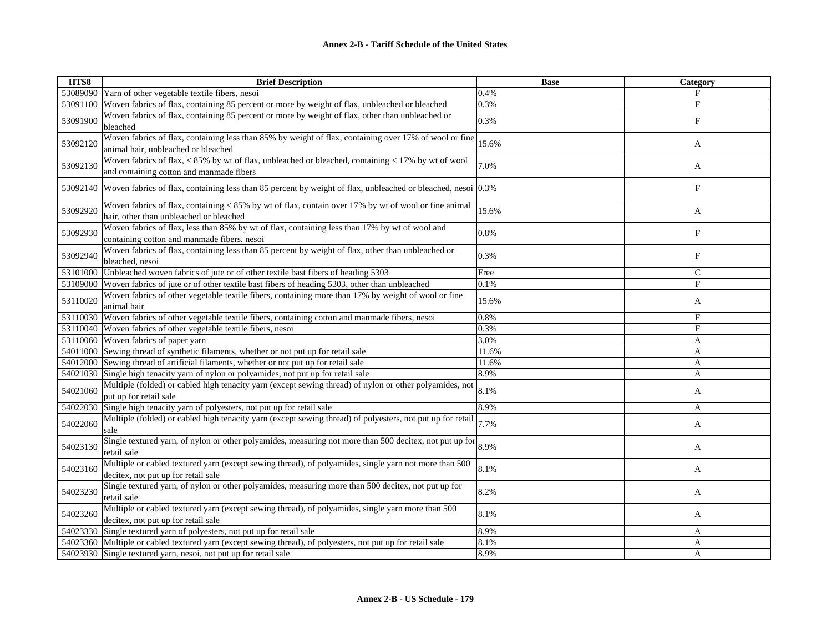| HTS8     | <b>Brief Description</b>                                                                                                                                         | <b>Base</b> | Category                  |
|----------|------------------------------------------------------------------------------------------------------------------------------------------------------------------|-------------|---------------------------|
|          | 53089090 Yarn of other vegetable textile fibers, nesoi                                                                                                           | 0.4%        | $_{\rm F}$                |
| 53091100 | Woven fabrics of flax, containing 85 percent or more by weight of flax, unbleached or bleached                                                                   | 0.3%        | $\mathbf F$               |
| 53091900 | Woven fabrics of flax, containing 85 percent or more by weight of flax, other than unbleached or<br>bleached                                                     | 0.3%        | $\boldsymbol{\mathrm{F}}$ |
| 53092120 | Woven fabrics of flax, containing less than 85% by weight of flax, containing over 17% of wool or fine<br>animal hair, unbleached or bleached                    | 15.6%       | A                         |
| 53092130 | Woven fabrics of flax, $\langle 85\%$ by wt of flax, unbleached or bleached, containing $\langle 17\%$ by wt of wool<br>and containing cotton and manmade fibers | 7.0%        | A                         |
|          | 53092140 Woven fabrics of flax, containing less than 85 percent by weight of flax, unbleached or bleached, nesoi 0.3%                                            |             | F                         |
| 53092920 | Woven fabrics of flax, containing $< 85\%$ by wt of flax, contain over 17% by wt of wool or fine animal<br>hair, other than unbleached or bleached               | 15.6%       | A                         |
| 53092930 | Woven fabrics of flax, less than 85% by wt of flax, containing less than 17% by wt of wool and<br>containing cotton and manmade fibers, nesoi                    | 0.8%        | $\boldsymbol{\mathrm{F}}$ |
| 53092940 | Woven fabrics of flax, containing less than 85 percent by weight of flax, other than unbleached or<br>bleached, nesoi                                            | 0.3%        | $_{\rm F}$                |
| 53101000 | Unbleached woven fabrics of jute or of other textile bast fibers of heading 5303                                                                                 | Free        | $\mathsf{C}$              |
| 53109000 | Woven fabrics of jute or of other textile bast fibers of heading 5303, other than unbleached                                                                     | 0.1%        | F                         |
| 53110020 | Woven fabrics of other vegetable textile fibers, containing more than 17% by weight of wool or fine<br>animal hair                                               | 15.6%       | A                         |
|          | 53110030 Woven fabrics of other vegetable textile fibers, containing cotton and manmade fibers, nesoi                                                            | 0.8%        | F                         |
|          | 53110040 Woven fabrics of other vegetable textile fibers, nesoi                                                                                                  | 0.3%        | F                         |
|          | 53110060 Woven fabrics of paper yarn                                                                                                                             | 3.0%        | A                         |
|          | 54011000 Sewing thread of synthetic filaments, whether or not put up for retail sale                                                                             | 11.6%       | $\mathbf{A}$              |
|          | 54012000 Sewing thread of artificial filaments, whether or not put up for retail sale                                                                            | 11.6%       | A                         |
| 54021030 | Single high tenacity yarn of nylon or polyamides, not put up for retail sale                                                                                     | 8.9%        | A                         |
| 54021060 | Multiple (folded) or cabled high tenacity yarn (except sewing thread) of nylon or other polyamides, not<br>put up for retail sale                                | 8.1%        | A                         |
|          | 54022030 Single high tenacity yarn of polyesters, not put up for retail sale                                                                                     | 8.9%        | A                         |
| 54022060 | Multiple (folded) or cabled high tenacity yarn (except sewing thread) of polyesters, not put up for retail<br>sale                                               | 7.7%        | A                         |
| 54023130 | Single textured yarn, of nylon or other polyamides, measuring not more than 500 decitex, not put up for<br>retail sale                                           | 8.9%        | A                         |
| 54023160 | Multiple or cabled textured yarn (except sewing thread), of polyamides, single yarn not more than 500<br>decitex, not put up for retail sale                     | 8.1%        | A                         |
| 54023230 | Single textured yarn, of nylon or other polyamides, measuring more than 500 decitex, not put up for<br>retail sale                                               | 8.2%        | A                         |
| 54023260 | Multiple or cabled textured yarn (except sewing thread), of polyamides, single yarn more than 500<br>decitex, not put up for retail sale                         | 8.1%        | A                         |
|          | 54023330 Single textured yarn of polyesters, not put up for retail sale                                                                                          | 8.9%        | A                         |
|          | 54023360 Multiple or cabled textured yarn (except sewing thread), of polyesters, not put up for retail sale                                                      | 8.1%        | A                         |
|          | 54023930 Single textured yarn, nesoi, not put up for retail sale                                                                                                 | 8.9%        | A                         |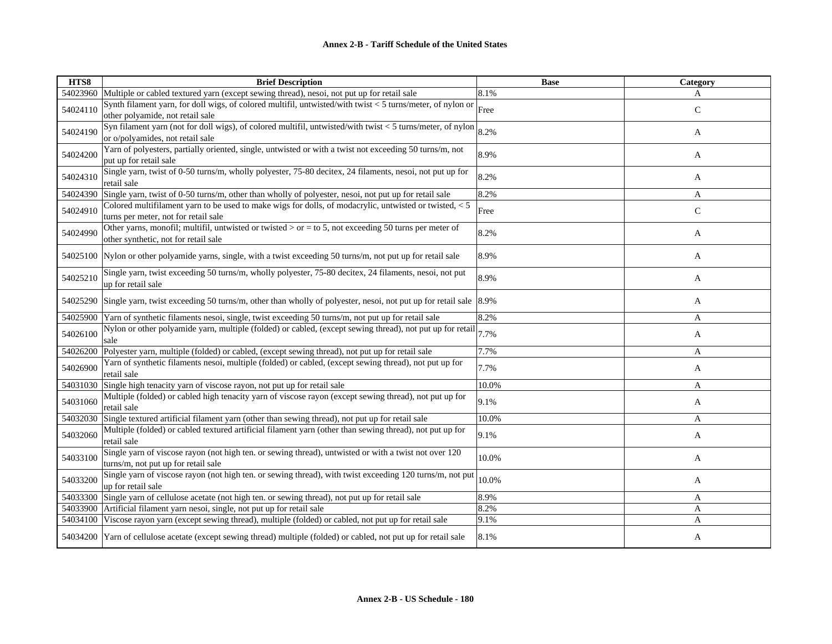| HTS8     | <b>Brief Description</b>                                                                                                                         | <b>Base</b> | Category     |
|----------|--------------------------------------------------------------------------------------------------------------------------------------------------|-------------|--------------|
|          | 54023960 Multiple or cabled textured yarn (except sewing thread), nesoi, not put up for retail sale                                              | 8.1%        | A            |
| 54024110 | Synth filament yarn, for doll wigs, of colored multifil, untwisted/with twist $<$ 5 turns/meter, of nylon or<br>other polyamide, not retail sale | Free        | $\mathsf{C}$ |
| 54024190 | Syn filament yarn (not for doll wigs), of colored multifil, untwisted/with twist < 5 turns/meter, of nylon<br>or o/polyamides, not retail sale   | 8.2%        | A            |
| 54024200 | Yarn of polyesters, partially oriented, single, untwisted or with a twist not exceeding 50 turns/m, not<br>put up for retail sale                | 8.9%        | A            |
| 54024310 | Single yarn, twist of 0-50 turns/m, wholly polyester, 75-80 decitex, 24 filaments, nesoi, not put up for<br>retail sale                          | 8.2%        | A            |
|          | 54024390 Single yarn, twist of 0-50 turns/m, other than wholly of polyester, nesoi, not put up for retail sale                                   | 8.2%        | A            |
| 54024910 | Colored multifilament yarn to be used to make wigs for dolls, of modacrylic, untwisted or twisted, $< 5$<br>turns per meter, not for retail sale | Free        | $\mathsf{C}$ |
| 54024990 | Other yarns, monofil; multifil, untwisted or twisted $>$ or = to 5, not exceeding 50 turns per meter of<br>other synthetic, not for retail sale  | 8.2%        | A            |
|          | 54025100 Nylon or other polyamide yarns, single, with a twist exceeding 50 turns/m, not put up for retail sale                                   | 8.9%        | A            |
| 54025210 | Single yarn, twist exceeding 50 turns/m, wholly polyester, 75-80 decitex, 24 filaments, nesoi, not put<br>up for retail sale                     | 8.9%        | A            |
|          | 54025290 Single yarn, twist exceeding 50 turns/m, other than wholly of polyester, nesoi, not put up for retail sale 8.9%                         |             | A            |
| 54025900 | Yarn of synthetic filaments nesoi, single, twist exceeding 50 turns/m, not put up for retail sale                                                | 8.2%        | A            |
| 54026100 | Nylon or other polyamide yarn, multiple (folded) or cabled, (except sewing thread), not put up for retail<br>sale                                | 7.7%        | A            |
| 54026200 | Polyester yarn, multiple (folded) or cabled, (except sewing thread), not put up for retail sale                                                  | 7.7%        | A            |
| 54026900 | Yarn of synthetic filaments nesoi, multiple (folded) or cabled, (except sewing thread), not put up for<br>retail sale                            | 7.7%        | A            |
|          | 54031030 Single high tenacity yarn of viscose rayon, not put up for retail sale                                                                  | 10.0%       | A            |
| 54031060 | Multiple (folded) or cabled high tenacity yarn of viscose rayon (except sewing thread), not put up for<br>retail sale                            | 9.1%        | A            |
| 54032030 | Single textured artificial filament yarn (other than sewing thread), not put up for retail sale                                                  | 10.0%       | A            |
| 54032060 | Multiple (folded) or cabled textured artificial filament yarn (other than sewing thread), not put up for<br>retail sale                          | 9.1%        | A            |
| 54033100 | Single yarn of viscose rayon (not high ten. or sewing thread), untwisted or with a twist not over 120<br>turns/m, not put up for retail sale     | 10.0%       | A            |
| 54033200 | Single yarn of viscose rayon (not high ten. or sewing thread), with twist exceeding 120 turns/m, not put<br>up for retail sale                   | 10.0%       | A            |
|          | 54033300 Single yarn of cellulose acetate (not high ten. or sewing thread), not put up for retail sale                                           | 8.9%        | $\mathbf{A}$ |
|          | 54033900 Artificial filament yarn nesoi, single, not put up for retail sale                                                                      | 8.2%        | A            |
|          | 54034100 Viscose rayon yarn (except sewing thread), multiple (folded) or cabled, not put up for retail sale                                      | 9.1%        | A            |
|          | 54034200 Yarn of cellulose acetate (except sewing thread) multiple (folded) or cabled, not put up for retail sale                                | 8.1%        | A            |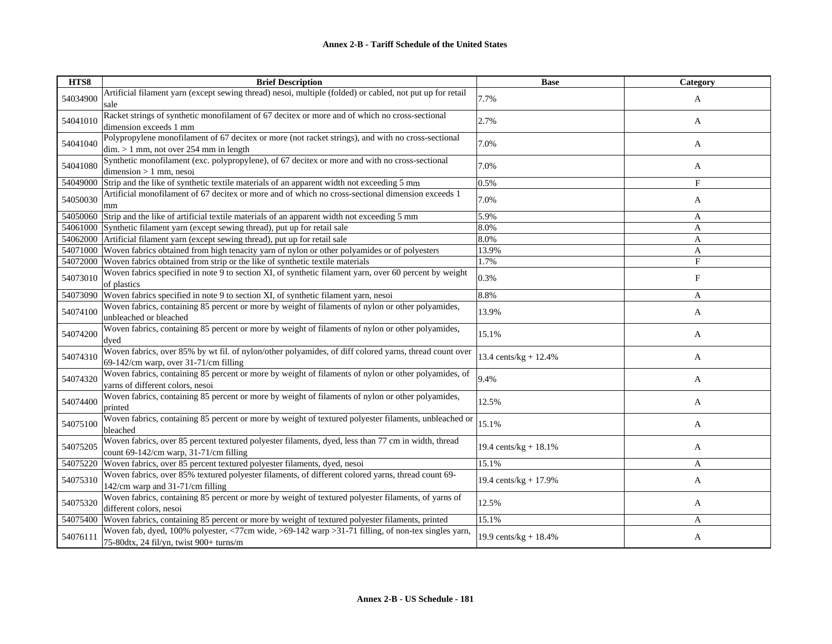| HTS8     | <b>Brief Description</b>                                                                                                                        | <b>Base</b>              | Category   |
|----------|-------------------------------------------------------------------------------------------------------------------------------------------------|--------------------------|------------|
| 54034900 | Artificial filament yarn (except sewing thread) nesoi, multiple (folded) or cabled, not put up for retail<br>sale                               | 7.7%                     | A          |
| 54041010 | Racket strings of synthetic monofilament of 67 decitex or more and of which no cross-sectional<br>dimension exceeds 1 mm                        | 2.7%                     | A          |
| 54041040 | Polypropylene monofilament of 67 decitex or more (not racket strings), and with no cross-sectional<br>$\dim$ > 1 mm, not over 254 mm in length  | 7.0%                     | A          |
| 54041080 | Synthetic monofilament (exc. polypropylene), of 67 decitex or more and with no cross-sectional<br>$dimension > 1$ mm, nesoi                     | 7.0%                     | A          |
| 54049000 | Strip and the like of synthetic textile materials of an apparent width not exceeding 5 mm                                                       | 0.5%                     | F          |
| 54050030 | Artificial monofilament of 67 decitex or more and of which no cross-sectional dimension exceeds 1<br>mm                                         | 7.0%                     | A          |
| 54050060 | Strip and the like of artificial textile materials of an apparent width not exceeding 5 mm                                                      | 5.9%                     | A          |
| 54061000 | Synthetic filament yarn (except sewing thread), put up for retail sale                                                                          | 8.0%                     | A          |
| 54062000 | Artificial filament yarn (except sewing thread), put up for retail sale                                                                         | 8.0%                     | A          |
| 54071000 | Woven fabrics obtained from high tenacity yarn of nylon or other polyamides or of polyesters                                                    | 13.9%                    | A          |
| 54072000 | Woven fabrics obtained from strip or the like of synthetic textile materials                                                                    | 1.7%                     | $_{\rm F}$ |
| 54073010 | Woven fabrics specified in note 9 to section XI, of synthetic filament yarn, over 60 percent by weight<br>of plastics                           | 0.3%                     | F          |
| 54073090 | Woven fabrics specified in note 9 to section XI, of synthetic filament yarn, nesoi                                                              | 8.8%                     | A          |
| 54074100 | Woven fabrics, containing 85 percent or more by weight of filaments of nylon or other polyamides,<br>unbleached or bleached                     | 13.9%                    | A          |
| 54074200 | Woven fabrics, containing 85 percent or more by weight of filaments of nylon or other polyamides,<br>dyed                                       | 15.1%                    | A          |
| 54074310 | Woven fabrics, over 85% by wt fil. of nylon/other polyamides, of diff colored yarns, thread count over<br>69-142/cm warp, over 31-71/cm filling | 13.4 cents/kg + $12.4%$  | A          |
| 54074320 | Woven fabrics, containing 85 percent or more by weight of filaments of nylon or other polyamides, of<br>varns of different colors, nesoi        | 9.4%                     | A          |
| 54074400 | Woven fabrics, containing 85 percent or more by weight of filaments of nylon or other polyamides,<br>printed                                    | 12.5%                    | A          |
| 54075100 | Woven fabrics, containing 85 percent or more by weight of textured polyester filaments, unbleached or<br>bleached                               | 15.1%                    | A          |
| 54075205 | Woven fabrics, over 85 percent textured polyester filaments, dyed, less than 77 cm in width, thread<br>count 69-142/cm warp, 31-71/cm filling   | 19.4 cents/kg + 18.1%    | A          |
| 54075220 | Woven fabrics, over 85 percent textured polyester filaments, dyed, nesoi                                                                        | 15.1%                    | A          |
| 54075310 | Woven fabrics, over 85% textured polyester filaments, of different colored yarns, thread count 69-<br>142/cm warp and 31-71/cm filling          | 19.4 cents/ $kg + 17.9%$ | A          |
| 54075320 | Woven fabrics, containing 85 percent or more by weight of textured polyester filaments, of yarns of<br>different colors, nesoi                  | 12.5%                    | A          |
| 54075400 | Woven fabrics, containing 85 percent or more by weight of textured polyester filaments, printed                                                 | 15.1%                    | A          |
| 54076111 | Woven fab, dyed, 100% polyester, <77cm wide, >69-142 warp > 31-71 filling, of non-tex singles yarn,<br>75-80dtx, 24 fil/yn, twist 900+ turns/m  | 19.9 cents/kg + $18.4%$  | A          |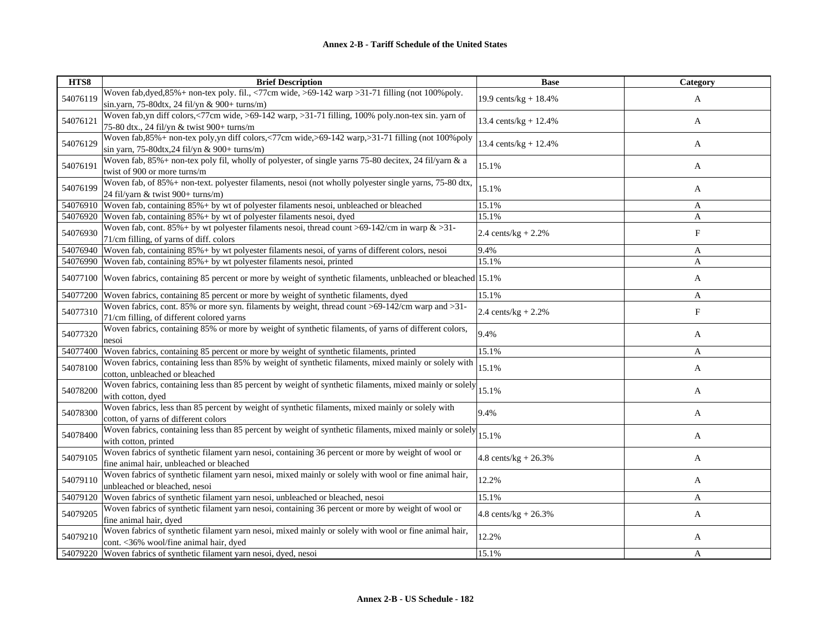| HTS8     | <b>Brief Description</b>                                                                                                                                | <b>Base</b>             | Category   |
|----------|---------------------------------------------------------------------------------------------------------------------------------------------------------|-------------------------|------------|
| 54076119 | Woven fab, dyed, 85% + non-tex poly. fil., <77cm wide, >69-142 warp > 31-71 filling (not 100% poly.<br>sin.yarn, 75-80dtx, 24 fil/yn & 900+ turns/m)    | 19.9 cents/kg + $18.4%$ | A          |
| 54076121 | Woven fab,yn diff colors,<77cm wide, >69-142 warp, >31-71 filling, 100% poly.non-tex sin. yarn of<br>75-80 dtx., 24 fil/yn & twist 900+ turns/m         | 13.4 cents/kg + 12.4%   | A          |
| 54076129 | Woven fab, 85% + non-tex poly, yn diff colors, <77cm wide, >69-142 warp, >31-71 filling (not 100% poly<br>sin yarn, 75-80dtx, 24 fil/yn & 900+ turns/m) | 13.4 cents/kg + $12.4%$ | A          |
| 54076191 | Woven fab, 85% + non-tex poly fil, wholly of polyester, of single yarns 75-80 decitex, 24 fil/yarn & a<br>twist of 900 or more turns/m                  | 15.1%                   | A          |
| 54076199 | Woven fab, of 85%+ non-text. polyester filaments, nesoi (not wholly polyester single yarns, 75-80 dtx,<br>24 fil/yarn & twist 900+ turns/m)             | 15.1%                   | A          |
| 54076910 | Woven fab, containing 85%+ by wt of polyester filaments nesoi, unbleached or bleached                                                                   | 15.1%                   | A          |
| 54076920 | Woven fab, containing $85\% + by$ wt of polyester filaments nesoi, dyed                                                                                 | 15.1%                   | A          |
| 54076930 | Woven fab, cont. 85% + by wt polyester filaments nesoi, thread count >69-142/cm in warp $\&$ >31-<br>71/cm filling, of yarns of diff. colors            | 2.4 cents/kg + $2.2\%$  | $_{\rm F}$ |
| 54076940 | Woven fab, containing 85% + by wt polyester filaments nesoi, of yarns of different colors, nesoi                                                        | 9.4%                    | A          |
| 54076990 | Woven fab, containing $85\% + by$ wt polyester filaments nesoi, printed                                                                                 | 15.1%                   | A          |
| 54077100 | Woven fabrics, containing 85 percent or more by weight of synthetic filaments, unbleached or bleached 15.1%                                             |                         | A          |
| 54077200 | Woven fabrics, containing 85 percent or more by weight of synthetic filaments, dyed                                                                     | 15.1%                   | A          |
| 54077310 | Woven fabrics, cont. 85% or more syn. filaments by weight, thread count > 69-142/cm warp and > 31-<br>71/cm filling, of different colored yarns         | 2.4 cents/ $kg + 2.2%$  | $_{\rm F}$ |
| 54077320 | Woven fabrics, containing 85% or more by weight of synthetic filaments, of yarns of different colors,<br>nesoi                                          | 9.4%                    | A          |
| 54077400 | Woven fabrics, containing 85 percent or more by weight of synthetic filaments, printed                                                                  | 15.1%                   | A          |
| 54078100 | Woven fabrics, containing less than 85% by weight of synthetic filaments, mixed mainly or solely with<br>cotton, unbleached or bleached                 | 15.1%                   | A          |
| 54078200 | Woven fabrics, containing less than 85 percent by weight of synthetic filaments, mixed mainly or solely<br>with cotton, dyed                            | 15.1%                   | A          |
| 54078300 | Woven fabrics, less than 85 percent by weight of synthetic filaments, mixed mainly or solely with<br>cotton, of yarns of different colors               | 9.4%                    | A          |
| 54078400 | Woven fabrics, containing less than 85 percent by weight of synthetic filaments, mixed mainly or solely<br>with cotton, printed                         | 15.1%                   | A          |
| 54079105 | Woven fabrics of synthetic filament yarn nesoi, containing 36 percent or more by weight of wool or<br>fine animal hair, unbleached or bleached          | 4.8 cents/kg + $26.3%$  | A          |
| 54079110 | Woven fabrics of synthetic filament yarn nesoi, mixed mainly or solely with wool or fine animal hair,<br>unbleached or bleached, nesoi                  | 12.2%                   | A          |
| 54079120 | Woven fabrics of synthetic filament yarn nesoi, unbleached or bleached, nesoi                                                                           | 15.1%                   | A          |
| 54079205 | Woven fabrics of synthetic filament yarn nesoi, containing 36 percent or more by weight of wool or<br>fine animal hair, dyed                            | $4.8$ cents/kg + 26.3%  | A          |
| 54079210 | Woven fabrics of synthetic filament yarn nesoi, mixed mainly or solely with wool or fine animal hair,<br>cont. < 36% wool/fine animal hair, dyed        | 12.2%                   | A          |
| 54079220 | Woven fabrics of synthetic filament varn nesoi, dyed, nesoi                                                                                             | 15.1%                   | A          |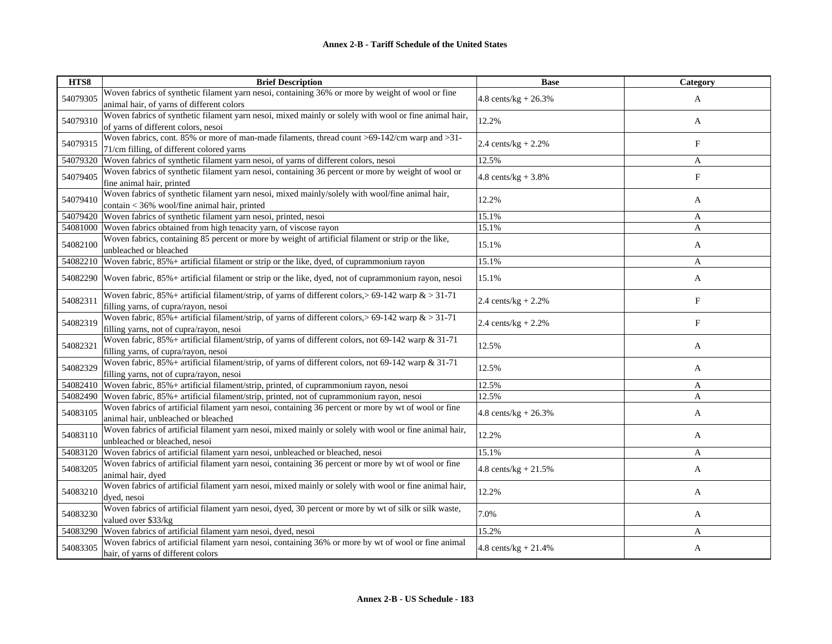| HTS8     | <b>Brief Description</b>                                                                                                                            | <b>Base</b>                     | Category   |
|----------|-----------------------------------------------------------------------------------------------------------------------------------------------------|---------------------------------|------------|
| 54079305 | Woven fabrics of synthetic filament yarn nesoi, containing 36% or more by weight of wool or fine<br>animal hair, of yarns of different colors       | $4.8 \text{ cents/kg} + 26.3\%$ | A          |
| 54079310 | Woven fabrics of synthetic filament yarn nesoi, mixed mainly or solely with wool or fine animal hair,<br>of yarns of different colors, nesoi        | 12.2%                           | A          |
| 54079315 | Woven fabrics, cont. 85% or more of man-made filaments, thread count >69-142/cm warp and >31-<br>71/cm filling, of different colored yarns          | 2.4 cents/ $kg + 2.2%$          | F          |
| 54079320 | Woven fabrics of synthetic filament yarn nesoi, of yarns of different colors, nesoi                                                                 | 12.5%                           | A          |
| 54079405 | Woven fabrics of synthetic filament yarn nesoi, containing 36 percent or more by weight of wool or<br>fine animal hair, printed                     | $4.8 \text{ cents/kg} + 3.8\%$  | $_{\rm F}$ |
| 54079410 | Woven fabrics of synthetic filament yarn nesoi, mixed mainly/solely with wool/fine animal hair,<br>contain < 36% wool/fine animal hair, printed     | 12.2%                           | A          |
| 54079420 | Woven fabrics of synthetic filament yarn nesoi, printed, nesoi                                                                                      | 15.1%                           | A          |
| 54081000 | Woven fabrics obtained from high tenacity yarn, of viscose rayon                                                                                    | 15.1%                           | A          |
| 54082100 | Woven fabrics, containing 85 percent or more by weight of artificial filament or strip or the like,<br>unbleached or bleached                       | 15.1%                           | A          |
| 54082210 | Woven fabric, 85% + artificial filament or strip or the like, dyed, of cuprammonium rayon                                                           | 15.1%                           | A          |
| 54082290 | Woven fabric, 85% + artificial filament or strip or the like, dyed, not of cuprammonium rayon, nesoi                                                | 15.1%                           | A          |
| 54082311 | Woven fabric, $85\%$ + artificial filament/strip, of yarns of different colors, > 69-142 warp $\&$ > 31-71<br>filling yarns, of cupra/rayon, nesoi  | 2.4 cents/ $kg + 2.2%$          | $_{\rm F}$ |
| 54082319 | Woven fabric, $85\%$ + artificial filament/strip, of yarns of different colors, > 69-142 warp & > 31-71<br>filling yarns, not of cupra/rayon, nesoi | 2.4 cents/kg + $2.2\%$          | F          |
| 54082321 | Woven fabric, 85%+ artificial filament/strip, of yarns of different colors, not 69-142 warp & 31-71<br>filling yarns, of cupra/rayon, nesoi         | 12.5%                           | A          |
| 54082329 | Woven fabric, 85%+ artificial filament/strip, of yarns of different colors, not 69-142 warp & 31-71<br>filling yarns, not of cupra/rayon, nesoi     | 12.5%                           | A          |
| 54082410 | Woven fabric, 85%+ artificial filament/strip, printed, of cuprammonium rayon, nesoi                                                                 | 12.5%                           | A          |
| 54082490 | Woven fabric, 85%+ artificial filament/strip, printed, not of cuprammonium rayon, nesoi                                                             | 12.5%                           | A          |
| 54083105 | Woven fabrics of artificial filament yarn nesoi, containing 36 percent or more by wt of wool or fine<br>animal hair, unbleached or bleached         | $4.8$ cents/kg + 26.3%          | A          |
| 54083110 | Woven fabrics of artificial filament yarn nesoi, mixed mainly or solely with wool or fine animal hair,<br>unbleached or bleached, nesoi             | 12.2%                           | A          |
| 54083120 | Woven fabrics of artificial filament yarn nesoi, unbleached or bleached, nesoi                                                                      | 15.1%                           | A          |
| 54083205 | Woven fabrics of artificial filament yarn nesoi, containing 36 percent or more by wt of wool or fine<br>animal hair, dyed                           | 4.8 cents/kg + $21.5%$          | A          |
| 54083210 | Woven fabrics of artificial filament yarn nesoi, mixed mainly or solely with wool or fine animal hair,<br>dyed, nesoi                               | 12.2%                           | A          |
| 54083230 | Woven fabrics of artificial filament yarn nesoi, dyed, 30 percent or more by wt of silk or silk waste,<br>valued over \$33/kg                       | 7.0%                            | A          |
| 54083290 | Woven fabrics of artificial filament yarn nesoi, dyed, nesoi                                                                                        | 15.2%                           | A          |
| 54083305 | Woven fabrics of artificial filament yarn nesoi, containing 36% or more by wt of wool or fine animal<br>hair, of yarns of different colors          | 4.8 cents/ $kg + 21.4%$         | A          |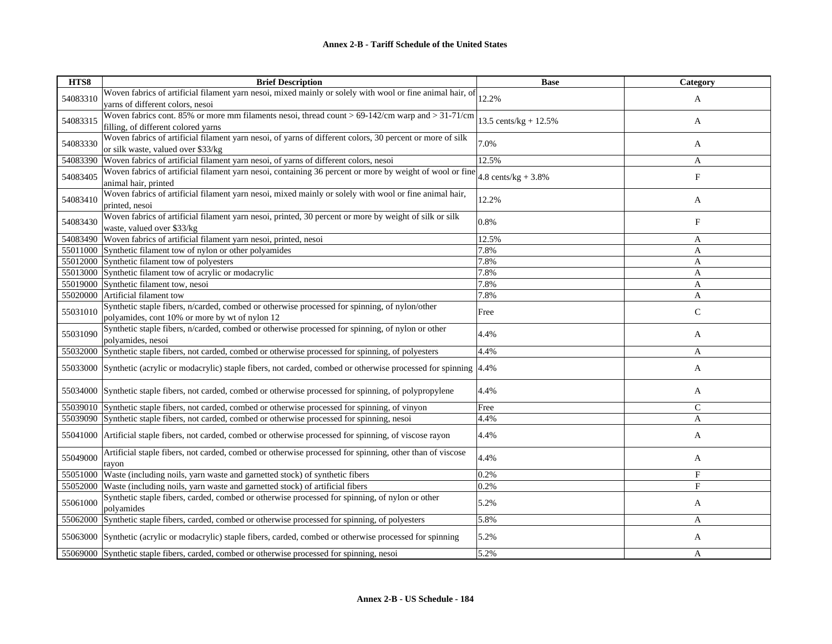| HTS8     | <b>Brief Description</b>                                                                                                                        | <b>Base</b>             | Category     |
|----------|-------------------------------------------------------------------------------------------------------------------------------------------------|-------------------------|--------------|
| 54083310 | Woven fabrics of artificial filament yarn nesoi, mixed mainly or solely with wool or fine animal hair, of<br>yarns of different colors, nesoi   | 12.2%                   | A            |
| 54083315 | Woven fabrics cont. 85% or more mm filaments nesoi, thread count > 69-142/cm warp and > 31-71/cm<br>filling, of different colored yarns         | 13.5 cents/kg + $12.5%$ | A            |
| 54083330 | Woven fabrics of artificial filament yarn nesoi, of yarns of different colors, 30 percent or more of silk<br>or silk waste, valued over \$33/kg | 7.0%                    | A            |
| 54083390 | Woven fabrics of artificial filament yarn nesoi, of yarns of different colors, nesoi                                                            | 12.5%                   | A            |
| 54083405 | Woven fabrics of artificial filament yarn nesoi, containing 36 percent or more by weight of wool or fine<br>animal hair, printed                | 4.8 cents/kg + $3.8\%$  | $_{\rm F}$   |
| 54083410 | Woven fabrics of artificial filament yarn nesoi, mixed mainly or solely with wool or fine animal hair,<br>printed, nesoi                        | 12.2%                   | A            |
| 54083430 | Woven fabrics of artificial filament yarn nesoi, printed, 30 percent or more by weight of silk or silk<br>waste, valued over \$33/kg            | 0.8%                    | F            |
|          | 54083490 Woven fabrics of artificial filament yarn nesoi, printed, nesoi                                                                        | 12.5%                   | A            |
|          | 55011000 Synthetic filament tow of nylon or other polyamides                                                                                    | 7.8%                    | A            |
|          | 55012000 Synthetic filament tow of polyesters                                                                                                   | 7.8%                    | A            |
|          | 55013000 Synthetic filament tow of acrylic or modacrylic                                                                                        | 7.8%                    | A            |
|          | 55019000 Synthetic filament tow, nesoi                                                                                                          | 7.8%                    | $\mathbf{A}$ |
|          | 55020000 Artificial filament tow                                                                                                                | 7.8%                    | $\mathbf{A}$ |
| 55031010 | Synthetic staple fibers, n/carded, combed or otherwise processed for spinning, of nylon/other<br>polyamides, cont 10% or more by wt of nylon 12 | Free                    | $\mathsf{C}$ |
| 55031090 | Synthetic staple fibers, n/carded, combed or otherwise processed for spinning, of nylon or other<br>polyamides, nesoi                           | 4.4%                    | A            |
|          | 55032000 Synthetic staple fibers, not carded, combed or otherwise processed for spinning, of polyesters                                         | 4.4%                    | A            |
|          | 55033000 Synthetic (acrylic or modacrylic) staple fibers, not carded, combed or otherwise processed for spinning 4.4%                           |                         | A            |
|          | 55034000 Synthetic staple fibers, not carded, combed or otherwise processed for spinning, of polypropylene                                      | 4.4%                    | A            |
|          | 55039010 Synthetic staple fibers, not carded, combed or otherwise processed for spinning, of vinyon                                             | Free                    | $\mathsf{C}$ |
|          | 55039090 Synthetic staple fibers, not carded, combed or otherwise processed for spinning, nesoi                                                 | 4.4%                    | A            |
|          | 55041000 Artificial staple fibers, not carded, combed or otherwise processed for spinning, of viscose rayon                                     | 4.4%                    | A            |
| 55049000 | Artificial staple fibers, not carded, combed or otherwise processed for spinning, other than of viscose<br>rayon                                | 4.4%                    | A            |
|          | 55051000 Waste (including noils, yarn waste and garnetted stock) of synthetic fibers                                                            | 0.2%                    | $_{\rm F}$   |
| 55052000 | Waste (including noils, yarn waste and garnetted stock) of artificial fibers                                                                    | 0.2%                    | F            |
| 55061000 | Synthetic staple fibers, carded, combed or otherwise processed for spinning, of nylon or other<br>polyamides                                    | 5.2%                    | A            |
|          | 55062000 Synthetic staple fibers, carded, combed or otherwise processed for spinning, of polyesters                                             | 5.8%                    | A            |
|          | 55063000 Synthetic (acrylic or modacrylic) staple fibers, carded, combed or otherwise processed for spinning                                    | 5.2%                    | A            |
|          | 55069000 Synthetic staple fibers, carded, combed or otherwise processed for spinning, nesoi                                                     | 5.2%                    | A            |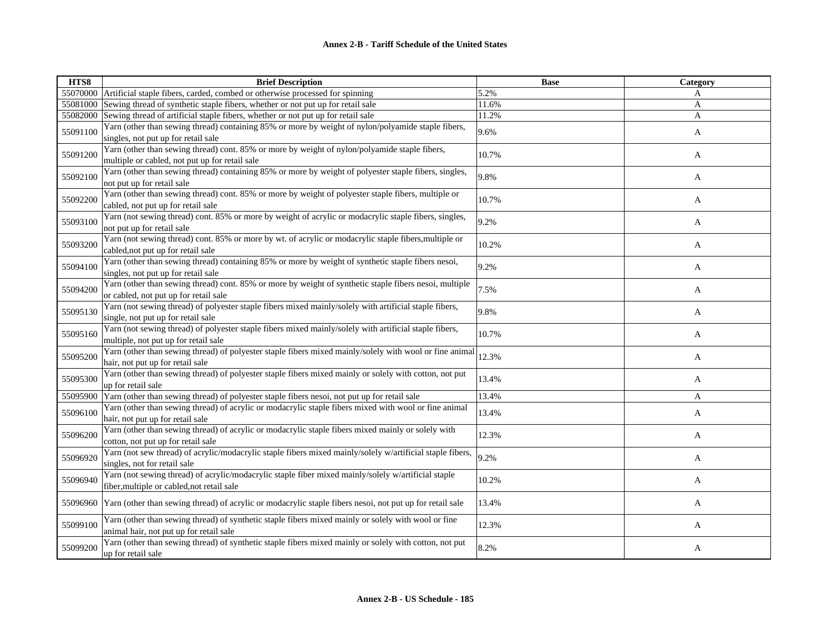| HTS8     | <b>Brief Description</b>                                                                                                                          | <b>Base</b> | Category     |
|----------|---------------------------------------------------------------------------------------------------------------------------------------------------|-------------|--------------|
|          | 55070000 Artificial staple fibers, carded, combed or otherwise processed for spinning                                                             | 5.2%        | A            |
| 55081000 | Sewing thread of synthetic staple fibers, whether or not put up for retail sale                                                                   | 11.6%       | $\mathbf{A}$ |
| 55082000 | Sewing thread of artificial staple fibers, whether or not put up for retail sale                                                                  | 11.2%       | A            |
| 55091100 | Yarn (other than sewing thread) containing 85% or more by weight of nylon/polyamide staple fibers,<br>singles, not put up for retail sale         | 9.6%        | A            |
| 55091200 | Yarn (other than sewing thread) cont. 85% or more by weight of nylon/polyamide staple fibers,<br>multiple or cabled, not put up for retail sale   | 10.7%       | A            |
| 55092100 | Yarn (other than sewing thread) containing 85% or more by weight of polyester staple fibers, singles,<br>not put up for retail sale               | 9.8%        | A            |
| 55092200 | Yarn (other than sewing thread) cont. 85% or more by weight of polyester staple fibers, multiple or<br>cabled, not put up for retail sale         | 10.7%       | A            |
| 55093100 | Yarn (not sewing thread) cont. 85% or more by weight of acrylic or modacrylic staple fibers, singles,<br>not put up for retail sale               | 9.2%        | A            |
| 55093200 | Yarn (not sewing thread) cont. 85% or more by wt. of acrylic or modacrylic staple fibers, multiple or<br>cabled, not put up for retail sale       | 10.2%       | A            |
| 55094100 | Yarn (other than sewing thread) containing 85% or more by weight of synthetic staple fibers nesoi,<br>singles, not put up for retail sale         | 9.2%        | A            |
| 55094200 | Yarn (other than sewing thread) cont. 85% or more by weight of synthetic staple fibers nesoi, multiple<br>or cabled, not put up for retail sale   | 7.5%        | A            |
| 55095130 | Yarn (not sewing thread) of polyester staple fibers mixed mainly/solely with artificial staple fibers,<br>single, not put up for retail sale      | 9.8%        | A            |
| 55095160 | Yarn (not sewing thread) of polyester staple fibers mixed mainly/solely with artificial staple fibers,<br>multiple, not put up for retail sale    | 10.7%       | A            |
| 55095200 | Yarn (other than sewing thread) of polyester staple fibers mixed mainly/solely with wool or fine animal<br>hair, not put up for retail sale       | 12.3%       | A            |
| 55095300 | Yarn (other than sewing thread) of polyester staple fibers mixed mainly or solely with cotton, not put<br>up for retail sale                      | 13.4%       | A            |
| 55095900 | Yarn (other than sewing thread) of polyester staple fibers nesoi, not put up for retail sale                                                      | 13.4%       | A            |
| 55096100 | Yarn (other than sewing thread) of acrylic or modacrylic staple fibers mixed with wool or fine animal<br>hair, not put up for retail sale         | 13.4%       | A            |
| 55096200 | Yarn (other than sewing thread) of acrylic or modacrylic staple fibers mixed mainly or solely with<br>cotton, not put up for retail sale          | 12.3%       | A            |
| 55096920 | Yarn (not sew thread) of acrylic/modacrylic staple fibers mixed mainly/solely w/artificial staple fibers,<br>singles, not for retail sale         | 9.2%        | A            |
| 55096940 | Yarn (not sewing thread) of acrylic/modacrylic staple fiber mixed mainly/solely w/artificial staple<br>fiber, multiple or cabled, not retail sale | 10.2%       | A            |
| 55096960 | Yarn (other than sewing thread) of acrylic or modacrylic staple fibers nesoi, not put up for retail sale                                          | 13.4%       | A            |
| 55099100 | Yarn (other than sewing thread) of synthetic staple fibers mixed mainly or solely with wool or fine<br>animal hair, not put up for retail sale    | 12.3%       | A            |
| 55099200 | Yarn (other than sewing thread) of synthetic staple fibers mixed mainly or solely with cotton, not put<br>up for retail sale                      | 8.2%        | A            |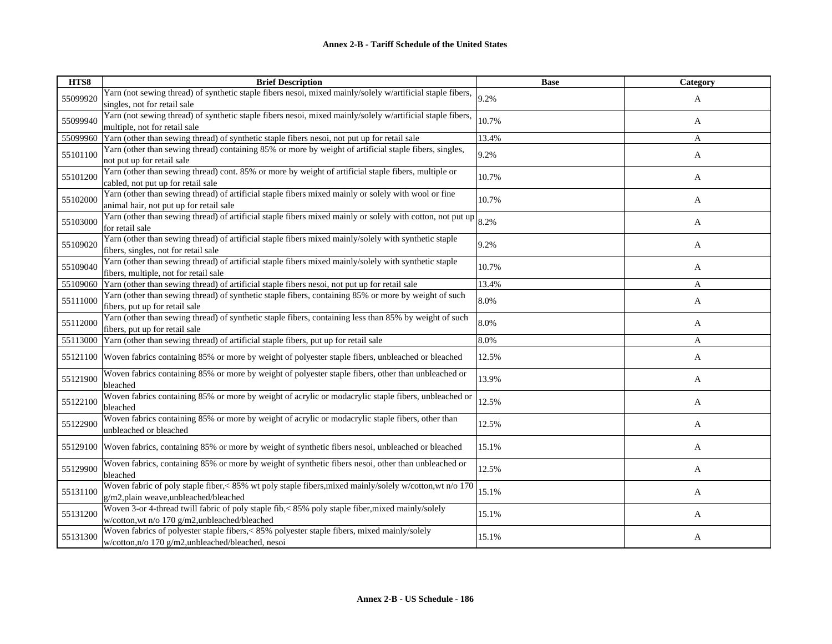| HTS8     | <b>Brief Description</b>                                                                                                                            | <b>Base</b> | <b>Category</b> |
|----------|-----------------------------------------------------------------------------------------------------------------------------------------------------|-------------|-----------------|
| 55099920 | Yarn (not sewing thread) of synthetic staple fibers nesoi, mixed mainly/solely w/artificial staple fibers,<br>singles, not for retail sale          | 9.2%        | A               |
| 55099940 | Yarn (not sewing thread) of synthetic staple fibers nesoi, mixed mainly/solely w/artificial staple fibers,<br>multiple, not for retail sale         | 10.7%       | A               |
| 55099960 | Yarn (other than sewing thread) of synthetic staple fibers nesoi, not put up for retail sale                                                        | 13.4%       | A               |
| 55101100 | Yarn (other than sewing thread) containing 85% or more by weight of artificial staple fibers, singles,<br>not put up for retail sale                | 9.2%        | A               |
| 55101200 | Yarn (other than sewing thread) cont. 85% or more by weight of artificial staple fibers, multiple or<br>cabled, not put up for retail sale          | 10.7%       | A               |
| 55102000 | Yarn (other than sewing thread) of artificial staple fibers mixed mainly or solely with wool or fine<br>animal hair, not put up for retail sale     | 10.7%       | A               |
| 55103000 | Yarn (other than sewing thread) of artificial staple fibers mixed mainly or solely with cotton, not put up<br>for retail sale                       | 8.2%        | A               |
| 55109020 | Yarn (other than sewing thread) of artificial staple fibers mixed mainly/solely with synthetic staple<br>fibers, singles, not for retail sale       | 9.2%        | A               |
| 55109040 | Yarn (other than sewing thread) of artificial staple fibers mixed mainly/solely with synthetic staple<br>fibers, multiple, not for retail sale      | 10.7%       | A               |
| 55109060 | Yarn (other than sewing thread) of artificial staple fibers nesoi, not put up for retail sale                                                       | 13.4%       | A               |
| 55111000 | Yarn (other than sewing thread) of synthetic staple fibers, containing 85% or more by weight of such<br>fibers, put up for retail sale              | 8.0%        | A               |
| 55112000 | Yarn (other than sewing thread) of synthetic staple fibers, containing less than 85% by weight of such<br>fibers, put up for retail sale            | 8.0%        | A               |
| 55113000 | Yarn (other than sewing thread) of artificial staple fibers, put up for retail sale                                                                 | 8.0%        | A               |
| 55121100 | Woven fabrics containing 85% or more by weight of polyester staple fibers, unbleached or bleached                                                   | 12.5%       | A               |
| 55121900 | Woven fabrics containing 85% or more by weight of polyester staple fibers, other than unbleached or<br>bleached                                     | 13.9%       | A               |
| 55122100 | Woven fabrics containing 85% or more by weight of acrylic or modacrylic staple fibers, unbleached or<br>bleached                                    | 12.5%       | A               |
| 55122900 | Woven fabrics containing 85% or more by weight of acrylic or modacrylic staple fibers, other than<br>unbleached or bleached                         | 12.5%       | A               |
| 55129100 | Woven fabrics, containing 85% or more by weight of synthetic fibers nesoi, unbleached or bleached                                                   | 15.1%       | A               |
| 55129900 | Woven fabrics, containing 85% or more by weight of synthetic fibers nesoi, other than unbleached or<br>bleached                                     | 12.5%       | A               |
| 55131100 | Woven fabric of poly staple fiber, < 85% wt poly staple fibers, mixed mainly/solely w/cotton, wt n/o 170<br>g/m2,plain weave,unbleached/bleached    | 15.1%       | A               |
| 55131200 | Woven 3-or 4-thread twill fabric of poly staple fib, < 85% poly staple fiber, mixed mainly/solely<br>w/cotton, wt n/o 170 g/m2, unbleached/bleached | 15.1%       | A               |
| 55131300 | Woven fabrics of polyester staple fibers,<85% polyester staple fibers, mixed mainly/solely<br>w/cotton,n/o 170 g/m2,unbleached/bleached, nesoi      | 15.1%       | A               |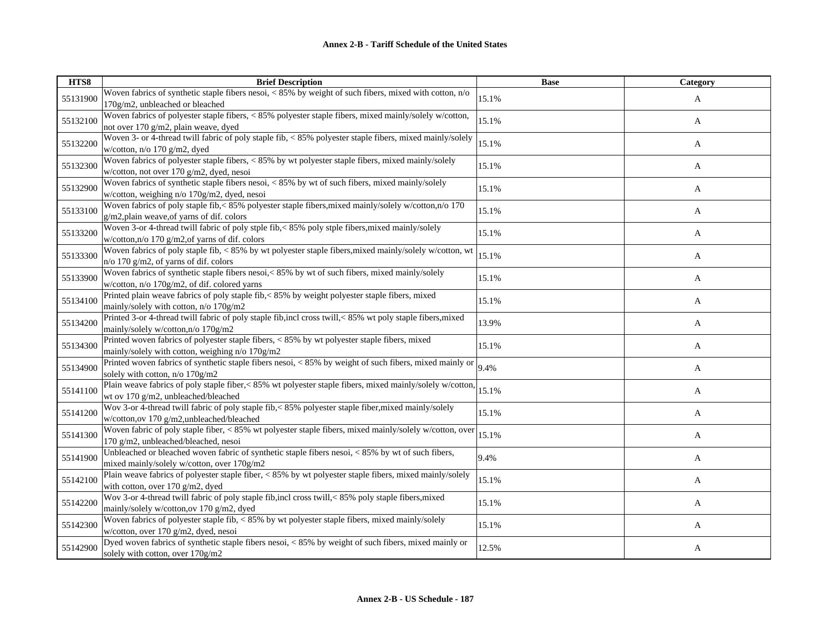| HTS8     | <b>Brief Description</b>                                                                                                                             | <b>Base</b> | Category |
|----------|------------------------------------------------------------------------------------------------------------------------------------------------------|-------------|----------|
| 55131900 | Woven fabrics of synthetic staple fibers nesoi, < 85% by weight of such fibers, mixed with cotton, n/o<br>170g/m2, unbleached or bleached            | 15.1%       | A        |
| 55132100 | Woven fabrics of polyester staple fibers, < 85% polyester staple fibers, mixed mainly/solely w/cotton,<br>not over 170 g/m2, plain weave, dyed       | 15.1%       | A        |
| 55132200 | Woven 3- or 4-thread twill fabric of poly staple fib, < 85% polyester staple fibers, mixed mainly/solely<br>w/cotton, n/o 170 g/m2, dyed             | 15.1%       | A        |
| 55132300 | Woven fabrics of polyester staple fibers, < 85% by wt polyester staple fibers, mixed mainly/solely<br>w/cotton, not over 170 g/m2, dyed, nesoi       | 15.1%       | A        |
| 55132900 | Woven fabrics of synthetic staple fibers nesoi, < 85% by wt of such fibers, mixed mainly/solely<br>w/cotton, weighing n/o 170g/m2, dyed, nesoi       | 15.1%       | A        |
| 55133100 | Woven fabrics of poly staple fib,< 85% polyester staple fibers, mixed mainly/solely w/cotton, n/o 170<br>g/m2,plain weave, of yarns of dif. colors   | 15.1%       | A        |
| 55133200 | Woven 3-or 4-thread twill fabric of poly stple fib,< 85% poly stple fibers, mixed mainly/solely<br>w/cotton, $n/0$ 170 g/m2, of varns of dif. colors | 15.1%       | A        |
| 55133300 | Woven fabrics of poly staple fib, < 85% by wt polyester staple fibers, mixed mainly/solely w/cotton, wt<br>n/o 170 g/m2, of yarns of dif. colors     | 15.1%       | A        |
| 55133900 | Woven fabrics of synthetic staple fibers nesoi,<85% by wt of such fibers, mixed mainly/solely<br>w/cotton, n/o 170g/m2, of dif. colored yarns        | 15.1%       | A        |
| 55134100 | Printed plain weave fabrics of poly staple fib,< 85% by weight polyester staple fibers, mixed<br>mainly/solely with cotton, n/o 170g/m2              | 15.1%       | A        |
| 55134200 | Printed 3-or 4-thread twill fabric of poly staple fib, incl cross twill, < 85% wt poly staple fibers, mixed<br>mainly/solely w/cotton,n/o 170g/m2    | 13.9%       | A        |
| 55134300 | Printed woven fabrics of polyester staple fibers, < 85% by wt polyester staple fibers, mixed<br>mainly/solely with cotton, weighing n/o 170g/m2      | 15.1%       | A        |
| 55134900 | Printed woven fabrics of synthetic staple fibers nesoi, < 85% by weight of such fibers, mixed mainly or<br>solely with cotton, n/o 170g/m2           | 9.4%        | A        |
| 55141100 | Plain weave fabrics of poly staple fiber, < 85% wt polyester staple fibers, mixed mainly/solely w/cotton,<br>wt ov 170 g/m2, unbleached/bleached     | 15.1%       | A        |
| 55141200 | Wov 3-or 4-thread twill fabric of poly staple fib,<85% polyester staple fiber, mixed mainly/solely<br>w/cotton,ov 170 g/m2,unbleached/bleached       | 15.1%       | A        |
| 55141300 | Woven fabric of poly staple fiber, < 85% wt polyester staple fibers, mixed mainly/solely w/cotton, over<br>170 g/m2, unbleached/bleached, nesoi      | 15.1%       | A        |
| 55141900 | Unbleached or bleached woven fabric of synthetic staple fibers nesoi, <85% by wt of such fibers,<br>mixed mainly/solely w/cotton, over 170g/m2       | 9.4%        | A        |
| 55142100 | Plain weave fabrics of polyester staple fiber, < 85% by wt polyester staple fibers, mixed mainly/solely<br>with cotton, over 170 g/m2, dyed          | 15.1%       | A        |
| 55142200 | Wov 3-or 4-thread twill fabric of poly staple fib, incl cross twill, < 85% poly staple fibers, mixed<br>mainly/solely w/cotton,ov 170 g/m2, dyed     | 15.1%       | A        |
| 55142300 | Woven fabrics of polyester staple fib, < 85% by wt polyester staple fibers, mixed mainly/solely<br>w/cotton, over 170 g/m2, dyed, nesoi              | 15.1%       | A        |
| 55142900 | Dyed woven fabrics of synthetic staple fibers nesoi, < 85% by weight of such fibers, mixed mainly or<br>solely with cotton, over 170g/m2             | 12.5%       | A        |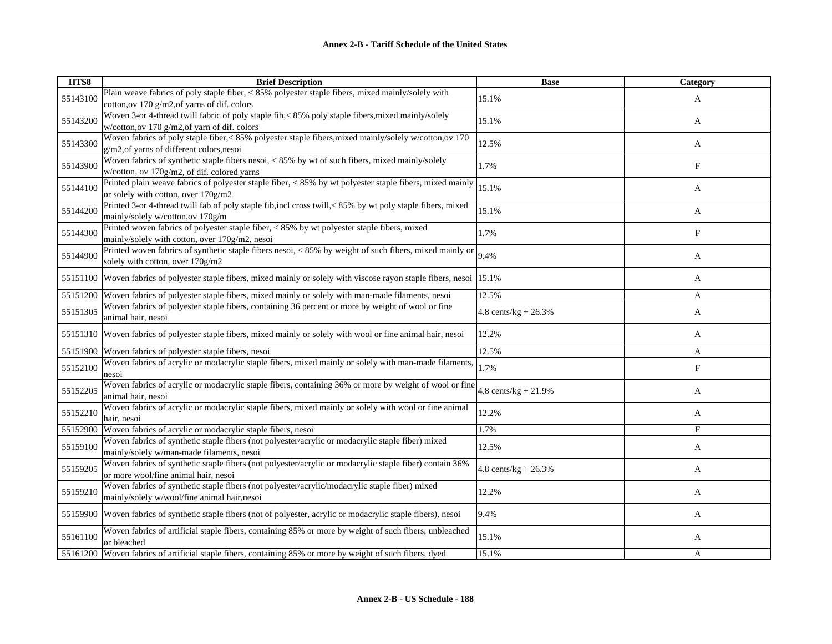| HTS8     | <b>Brief Description</b>                                                                                                                              | <b>Base</b>             | Category |
|----------|-------------------------------------------------------------------------------------------------------------------------------------------------------|-------------------------|----------|
| 55143100 | Plain weave fabrics of poly staple fiber, < 85% polyester staple fibers, mixed mainly/solely with<br>cotton, ov 170 g/m2, of yarns of dif. colors     | 15.1%                   | A        |
| 55143200 | Woven 3-or 4-thread twill fabric of poly staple fib,< 85% poly staple fibers, mixed mainly/solely<br>w/cotton, ov 170 $g/m2$ , of yarn of dif. colors | 15.1%                   | A        |
| 55143300 | Woven fabrics of poly staple fiber,< 85% polyester staple fibers, mixed mainly/solely w/cotton, ov 170<br>g/m2, of yarns of different colors, nesoi   | 12.5%                   | A        |
| 55143900 | Woven fabrics of synthetic staple fibers nesoi, < 85% by wt of such fibers, mixed mainly/solely<br>w/cotton, ov 170g/m2, of dif. colored yarns        | 1.7%                    | F        |
| 55144100 | Printed plain weave fabrics of polyester staple fiber, < 85% by wt polyester staple fibers, mixed mainly<br>or solely with cotton, over 170g/m2       | 15.1%                   | A        |
| 55144200 | Printed 3-or 4-thread twill fab of poly staple fib, incl cross twill, < 85% by wt poly staple fibers, mixed<br>mainly/solely w/cotton,ov 170g/m       | 15.1%                   | A        |
| 55144300 | Printed woven fabrics of polyester staple fiber, < 85% by wt polyester staple fibers, mixed<br>mainly/solely with cotton, over 170g/m2, nesoi         | 1.7%                    | F        |
| 55144900 | Printed woven fabrics of synthetic staple fibers nesoi, < 85% by weight of such fibers, mixed mainly or<br>solely with cotton, over 170g/m2           | 9.4%                    | A        |
| 55151100 | Woven fabrics of polyester staple fibers, mixed mainly or solely with viscose rayon staple fibers, nesoi 15.1%                                        |                         | A        |
| 55151200 | Woven fabrics of polyester staple fibers, mixed mainly or solely with man-made filaments, nesoi                                                       | 12.5%                   | A        |
| 55151305 | Woven fabrics of polyester staple fibers, containing 36 percent or more by weight of wool or fine<br>animal hair, nesoi                               | 4.8 cents/kg + $26.3%$  | A        |
| 55151310 | Woven fabrics of polyester staple fibers, mixed mainly or solely with wool or fine animal hair, nesoi                                                 | 12.2%                   | A        |
| 55151900 | Woven fabrics of polyester staple fibers, nesoi                                                                                                       | 12.5%                   | A        |
| 55152100 | Woven fabrics of acrylic or modacrylic staple fibers, mixed mainly or solely with man-made filaments,<br>nesoi                                        | 1.7%                    | F        |
| 55152205 | Woven fabrics of acrylic or modacrylic staple fibers, containing 36% or more by weight of wool or fine<br>animal hair, nesoi                          | 4.8 cents/ $kg + 21.9%$ | A        |
| 55152210 | Woven fabrics of acrylic or modacrylic staple fibers, mixed mainly or solely with wool or fine animal<br>hair, nesoi                                  | 12.2%                   | A        |
| 55152900 | Woven fabrics of acrylic or modacrylic staple fibers, nesoi                                                                                           | 1.7%                    | F        |
| 55159100 | Woven fabrics of synthetic staple fibers (not polyester/acrylic or modacrylic staple fiber) mixed<br>mainly/solely w/man-made filaments, nesoi        | 12.5%                   | A        |
| 55159205 | Woven fabrics of synthetic staple fibers (not polyester/acrylic or modacrylic staple fiber) contain 36%<br>or more wool/fine animal hair, nesoi       | 4.8 cents/kg + $26.3%$  | A        |
| 55159210 | Woven fabrics of synthetic staple fibers (not polyester/acrylic/modacrylic staple fiber) mixed<br>mainly/solely w/wool/fine animal hair,nesoi         | 12.2%                   | A        |
| 55159900 | Woven fabrics of synthetic staple fibers (not of polyester, acrylic or modacrylic staple fibers), nesoi                                               | 9.4%                    | A        |
| 55161100 | Woven fabrics of artificial staple fibers, containing 85% or more by weight of such fibers, unbleached<br>or bleached                                 | 15.1%                   | A        |
| 55161200 | Woven fabrics of artificial staple fibers, containing 85% or more by weight of such fibers, dyed                                                      | 15.1%                   | A        |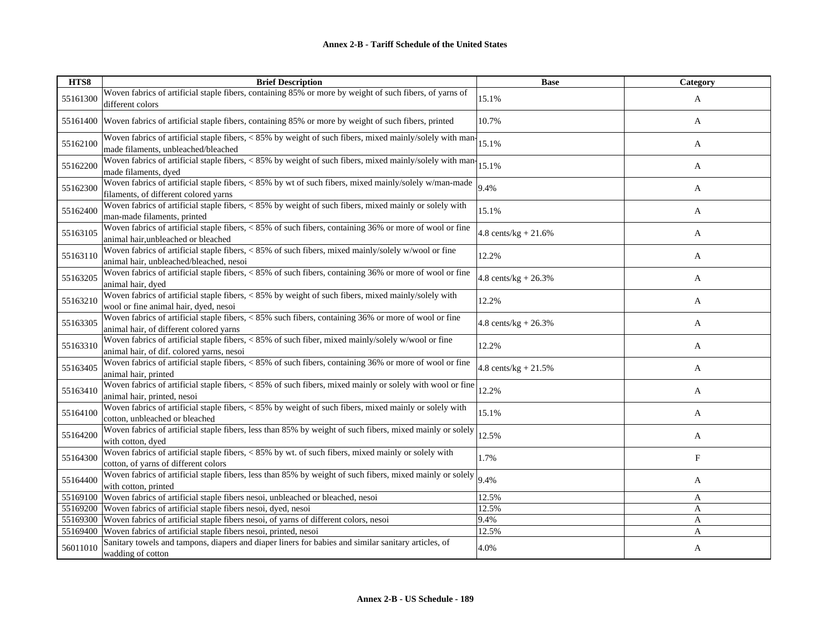| HTS8     | <b>Brief Description</b>                                                                                                                         | <b>Base</b>                     | Category   |
|----------|--------------------------------------------------------------------------------------------------------------------------------------------------|---------------------------------|------------|
| 55161300 | Woven fabrics of artificial staple fibers, containing 85% or more by weight of such fibers, of yarns of<br>different colors                      | 15.1%                           | A          |
| 55161400 | Woven fabrics of artificial staple fibers, containing 85% or more by weight of such fibers, printed                                              | 10.7%                           | A          |
| 55162100 | Woven fabrics of artificial staple fibers, < 85% by weight of such fibers, mixed mainly/solely with man-<br>made filaments, unbleached/bleached  | 15.1%                           | A          |
| 55162200 | Woven fabrics of artificial staple fibers, < 85% by weight of such fibers, mixed mainly/solely with man-<br>made filaments, dyed                 | 15.1%                           | A          |
| 55162300 | Woven fabrics of artificial staple fibers, < 85% by wt of such fibers, mixed mainly/solely w/man-made<br>filaments, of different colored yarns   | 9.4%                            | A          |
| 55162400 | Woven fabrics of artificial staple fibers, < 85% by weight of such fibers, mixed mainly or solely with<br>man-made filaments, printed            | 15.1%                           | A          |
| 55163105 | Woven fabrics of artificial staple fibers, < 85% of such fibers, containing 36% or more of wool or fine<br>animal hair, unbleached or bleached   | $4.8$ cents/kg + $21.6%$        | A          |
| 55163110 | Woven fabrics of artificial staple fibers, < 85% of such fibers, mixed mainly/solely w/wool or fine<br>animal hair, unbleached/bleached, nesoi   | 12.2%                           | A          |
| 55163205 | Woven fabrics of artificial staple fibers, < 85% of such fibers, containing 36% or more of wool or fine<br>animal hair, dyed                     | $4.8$ cents/kg + 26.3%          | A          |
| 55163210 | Woven fabrics of artificial staple fibers, < 85% by weight of such fibers, mixed mainly/solely with<br>wool or fine animal hair, dyed, nesoi     | 12.2%                           | A          |
| 55163305 | Woven fabrics of artificial staple fibers, < 85% such fibers, containing 36% or more of wool or fine<br>animal hair, of different colored yarns  | $4.8 \text{ cents/kg} + 26.3\%$ | A          |
| 55163310 | Woven fabrics of artificial staple fibers, < 85% of such fiber, mixed mainly/solely w/wool or fine<br>animal hair, of dif. colored yarns, nesoi  | 12.2%                           | A          |
| 55163405 | Woven fabrics of artificial staple fibers, $\langle 85\% \rangle$ of such fibers, containing 36% or more of wool or fine<br>animal hair, printed | 4.8 cents/kg + $21.5%$          | A          |
| 55163410 | Woven fabrics of artificial staple fibers, < 85% of such fibers, mixed mainly or solely with wool or fine<br>animal hair, printed, nesoi         | 12.2%                           | A          |
| 55164100 | Woven fabrics of artificial staple fibers, < 85% by weight of such fibers, mixed mainly or solely with<br>cotton, unbleached or bleached         | 15.1%                           | A          |
| 55164200 | Woven fabrics of artificial staple fibers, less than 85% by weight of such fibers, mixed mainly or solely<br>with cotton, dyed                   | 12.5%                           | A          |
| 55164300 | Woven fabrics of artificial staple fibers, < 85% by wt. of such fibers, mixed mainly or solely with<br>cotton, of yarns of different colors      | 1.7%                            | $_{\rm F}$ |
| 55164400 | Woven fabrics of artificial staple fibers, less than 85% by weight of such fibers, mixed mainly or solely<br>with cotton, printed                | 9.4%                            | A          |
|          | 55169100 Woven fabrics of artificial staple fibers nesoi, unbleached or bleached, nesoi                                                          | 12.5%                           | A          |
|          | 55169200 Woven fabrics of artificial staple fibers nesoi, dyed, nesoi                                                                            | 12.5%                           | A          |
|          | 55169300 Woven fabrics of artificial staple fibers nesoi, of yarns of different colors, nesoi                                                    | 9.4%                            | A          |
| 55169400 | Woven fabrics of artificial staple fibers nesoi, printed, nesoi                                                                                  | 12.5%                           | A          |
| 56011010 | Sanitary towels and tampons, diapers and diaper liners for babies and similar sanitary articles, of<br>wadding of cotton                         | 4.0%                            | A          |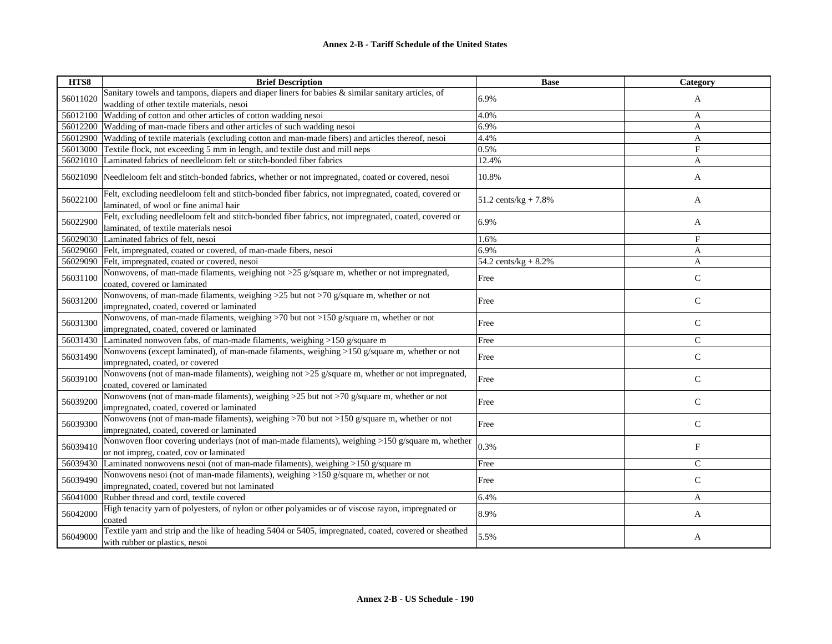| HTS8     | <b>Brief Description</b>                                                                                                                       | <b>Base</b>                     | Category      |
|----------|------------------------------------------------------------------------------------------------------------------------------------------------|---------------------------------|---------------|
| 56011020 | Sanitary towels and tampons, diapers and diaper liners for babies & similar sanitary articles, of                                              | 6.9%                            | A             |
|          | wadding of other textile materials, nesoi                                                                                                      |                                 |               |
| 56012100 | Wadding of cotton and other articles of cotton wadding nesoi                                                                                   | 4.0%                            | A             |
| 56012200 | Wadding of man-made fibers and other articles of such wadding nesoi                                                                            | 6.9%                            | A             |
| 56012900 | Wadding of textile materials (excluding cotton and man-made fibers) and articles thereof, nesoi                                                | 4.4%                            | A             |
| 56013000 | Textile flock, not exceeding 5 mm in length, and textile dust and mill neps                                                                    | 0.5%                            | F             |
| 56021010 | Laminated fabrics of needleloom felt or stitch-bonded fiber fabrics                                                                            | 12.4%                           | A             |
| 56021090 | Needleloom felt and stitch-bonded fabrics, whether or not impregnated, coated or covered, nesoi                                                | 10.8%                           | A             |
| 56022100 | Felt, excluding needleloom felt and stitch-bonded fiber fabrics, not impregnated, coated, covered or<br>laminated, of wool or fine animal hair | $51.2 \text{ cents/kg} + 7.8\%$ | A             |
| 56022900 | Felt, excluding needleloom felt and stitch-bonded fiber fabrics, not impregnated, coated, covered or<br>laminated, of textile materials nesoi  | 6.9%                            | A             |
| 56029030 | Laminated fabrics of felt, nesoi                                                                                                               | 1.6%                            | F             |
| 56029060 | Felt, impregnated, coated or covered, of man-made fibers, nesoi                                                                                | 6.9%                            | A             |
| 56029090 | Felt, impregnated, coated or covered, nesoi                                                                                                    | 54.2 cents/ $kg + 8.2%$         | A             |
| 56031100 | Nonwovens, of man-made filaments, weighing not >25 g/square m, whether or not impregnated,<br>coated, covered or laminated                     | Free                            | $\mathbf C$   |
| 56031200 | Nonwovens, of man-made filaments, weighing >25 but not >70 g/square m, whether or not<br>impregnated, coated, covered or laminated             | Free                            | $\mathsf{C}$  |
| 56031300 | Nonwovens, of man-made filaments, weighing >70 but not >150 g/square m, whether or not<br>impregnated, coated, covered or laminated            | Free                            | $\mathsf{C}$  |
| 56031430 | Laminated nonwoven fabs, of man-made filaments, weighing >150 g/square m                                                                       | Free                            | $\mathcal{C}$ |
| 56031490 | Nonwovens (except laminated), of man-made filaments, weighing >150 g/square m, whether or not<br>impregnated, coated, or covered               | Free                            | ${\bf C}$     |
| 56039100 | Nonwovens (not of man-made filaments), weighing not >25 g/square m, whether or not impregnated,<br>coated, covered or laminated                | Free                            | $\mathsf{C}$  |
| 56039200 | Nonwovens (not of man-made filaments), weighing >25 but not >70 g/square m, whether or not<br>impregnated, coated, covered or laminated        | Free                            | $\mathbf C$   |
| 56039300 | Nonwovens (not of man-made filaments), weighing >70 but not >150 g/square m, whether or not<br>impregnated, coated, covered or laminated       | Free                            | $\mathsf{C}$  |
| 56039410 | Nonwoven floor covering underlays (not of man-made filaments), weighing >150 g/square m, whether<br>or not impreg, coated, cov or laminated    | 0.3%                            | $_{\rm F}$    |
| 56039430 | Laminated nonwovens nesoi (not of man-made filaments), weighing >150 g/square m                                                                | Free                            | $\mathcal{C}$ |
| 56039490 | Nonwovens nesoi (not of man-made filaments), weighing >150 g/square m, whether or not<br>impregnated, coated, covered but not laminated        | Free                            | $\mathsf{C}$  |
| 56041000 | Rubber thread and cord, textile covered                                                                                                        | 6.4%                            | A             |
| 56042000 | High tenacity yarn of polyesters, of nylon or other polyamides or of viscose rayon, impregnated or<br>coated                                   | 8.9%                            | A             |
| 56049000 | Textile yarn and strip and the like of heading 5404 or 5405, impregnated, coated, covered or sheathed<br>with rubber or plastics, nesoi        | 5.5%                            | A             |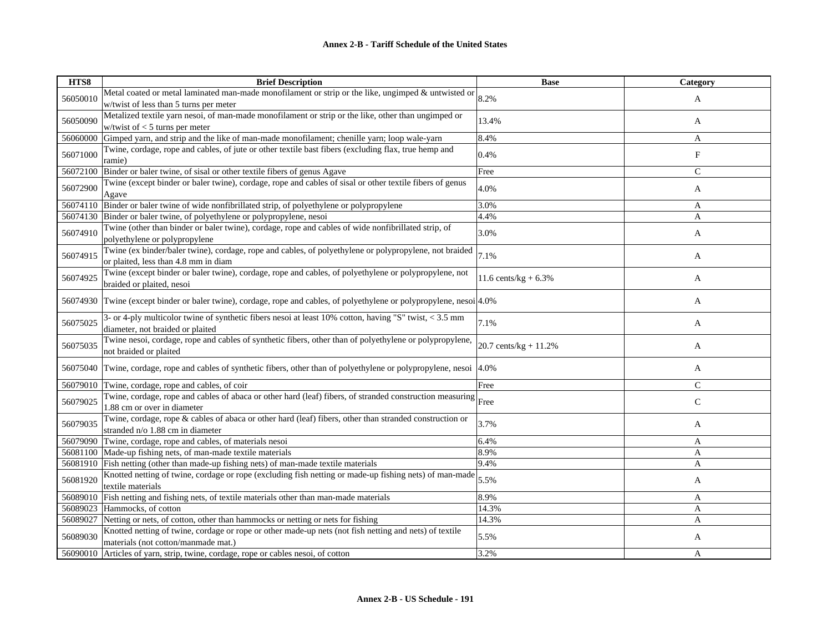| HTS8     | <b>Brief Description</b>                                                                                                                       | <b>Base</b>              | Category     |
|----------|------------------------------------------------------------------------------------------------------------------------------------------------|--------------------------|--------------|
| 56050010 | Metal coated or metal laminated man-made monofilament or strip or the like, ungimped & untwisted or                                            | 8.2%                     | A            |
|          | w/twist of less than 5 turns per meter                                                                                                         |                          |              |
| 56050090 | Metalized textile yarn nesoi, of man-made monofilament or strip or the like, other than ungimped or                                            | 13.4%                    | A            |
|          | w/twist of $<$ 5 turns per meter                                                                                                               |                          |              |
| 56060000 | Gimped yarn, and strip and the like of man-made monofilament; chenille yarn; loop wale-yarn                                                    | 8.4%                     | A            |
| 56071000 | Twine, cordage, rope and cables, of jute or other textile bast fibers (excluding flax, true hemp and<br>ramie)                                 | 0.4%                     | F            |
| 56072100 | Binder or baler twine, of sisal or other textile fibers of genus Agave                                                                         | Free                     | $\mathbf C$  |
| 56072900 | Twine (except binder or baler twine), cordage, rope and cables of sisal or other textile fibers of genus<br>Agave                              | 4.0%                     | A            |
| 56074110 | Binder or baler twine of wide nonfibrillated strip, of polyethylene or polypropylene                                                           | 3.0%                     | A            |
|          | 56074130 Binder or baler twine, of polyethylene or polypropylene, nesoi                                                                        | 4.4%                     | A            |
| 56074910 | Twine (other than binder or baler twine), cordage, rope and cables of wide nonfibrillated strip, of<br>polyethylene or polypropylene           | 3.0%                     | A            |
| 56074915 | Twine (ex binder/baler twine), cordage, rope and cables, of polyethylene or polypropylene, not braided<br>or plaited, less than 4.8 mm in diam | 7.1%                     | A            |
| 56074925 | Twine (except binder or baler twine), cordage, rope and cables, of polyethylene or polypropylene, not<br>braided or plaited, nesoi             | 11.6 cents/kg + $6.3\%$  | A            |
|          | 56074930 Twine (except binder or baler twine), cordage, rope and cables, of polyethylene or polypropylene, nesoi $ 4.0\% $                     |                          | A            |
| 56075025 | $3$ - or 4-ply multicolor twine of synthetic fibers nesoi at least 10% cotton, having "S" twist, < 3.5 mm<br>diameter, not braided or plaited  | 7.1%                     | A            |
| 56075035 | Twine nesoi, cordage, rope and cables of synthetic fibers, other than of polyethylene or polypropylene,<br>not braided or plaited              | 20.7 cents/ $kg + 11.2%$ | A            |
| 56075040 | Twine, cordage, rope and cables of synthetic fibers, other than of polyethylene or polypropylene, nesoi                                        | 4.0%                     | A            |
|          | 56079010 Twine, cordage, rope and cables, of coir                                                                                              | Free                     | $\mathsf{C}$ |
| 56079025 | Twine, cordage, rope and cables of abaca or other hard (leaf) fibers, of stranded construction measuring<br>1.88 cm or over in diameter        | Free                     | $\mathsf{C}$ |
| 56079035 | Twine, cordage, rope & cables of abaca or other hard (leaf) fibers, other than stranded construction or<br>stranded n/o 1.88 cm in diameter    | 3.7%                     | A            |
|          | 56079090 Twine, cordage, rope and cables, of materials nesoi                                                                                   | 6.4%                     | A            |
|          | 56081100 Made-up fishing nets, of man-made textile materials                                                                                   | 8.9%                     | $\mathbf{A}$ |
|          | 56081910 Fish netting (other than made-up fishing nets) of man-made textile materials                                                          | 9.4%                     | A            |
| 56081920 | Knotted netting of twine, cordage or rope (excluding fish netting or made-up fishing nets) of man-made<br>textile materials                    | 5.5%                     | A            |
| 56089010 | Fish netting and fishing nets, of textile materials other than man-made materials                                                              | 8.9%                     | A            |
| 56089023 | Hammocks, of cotton                                                                                                                            | 14.3%                    | A            |
| 56089027 | Netting or nets, of cotton, other than hammocks or netting or nets for fishing                                                                 | 14.3%                    | A            |
| 56089030 | Knotted netting of twine, cordage or rope or other made-up nets (not fish netting and nets) of textile<br>materials (not cotton/manmade mat.)  | 5.5%                     | A            |
|          | 56090010 Articles of yarn, strip, twine, cordage, rope or cables nesoi, of cotton                                                              | 3.2%                     | A            |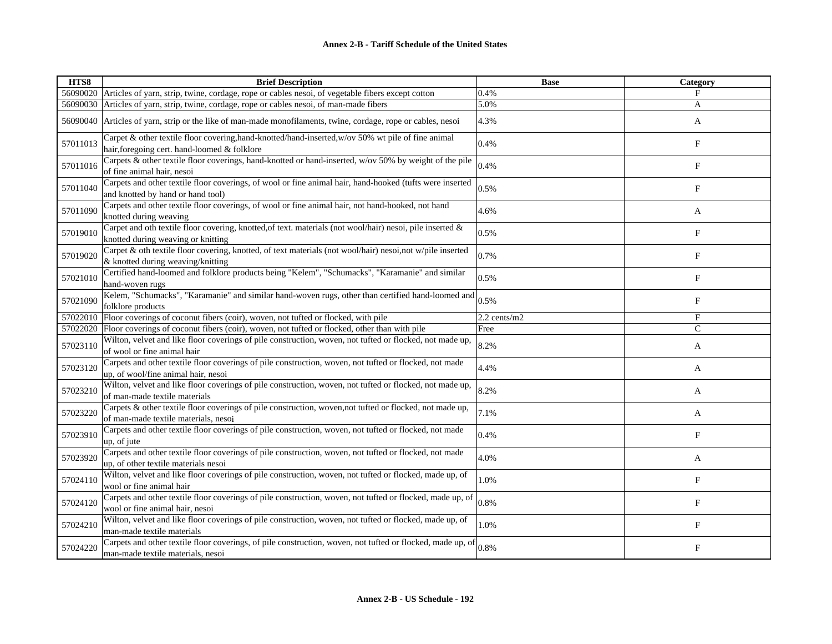| HTS8     | <b>Brief Description</b>                                                                                                                           | <b>Base</b>  | Category                  |
|----------|----------------------------------------------------------------------------------------------------------------------------------------------------|--------------|---------------------------|
|          | 56090020 Articles of yarn, strip, twine, cordage, rope or cables nesoi, of vegetable fibers except cotton                                          | 0.4%         | F                         |
|          | 56090030 Articles of yarn, strip, twine, cordage, rope or cables nesoi, of man-made fibers                                                         | 5.0%         | A                         |
| 56090040 | Articles of yarn, strip or the like of man-made monofilaments, twine, cordage, rope or cables, nesoi                                               | 4.3%         | A                         |
| 57011013 | Carpet & other textile floor covering, hand-knotted/hand-inserted, w/ov 50% wt pile of fine animal<br>hair, foregoing cert. hand-loomed & folklore | 0.4%         | F                         |
| 57011016 | Carpets & other textile floor coverings, hand-knotted or hand-inserted, w/ov 50% by weight of the pile<br>of fine animal hair, nesoi               | 0.4%         | $_{\rm F}$                |
| 57011040 | Carpets and other textile floor coverings, of wool or fine animal hair, hand-hooked (tufts were inserted<br>and knotted by hand or hand tool)      | 0.5%         | $_{\rm F}$                |
| 57011090 | Carpets and other textile floor coverings, of wool or fine animal hair, not hand-hooked, not hand<br>knotted during weaving                        | 4.6%         | A                         |
| 57019010 | Carpet and oth textile floor covering, knotted, of text. materials (not wool/hair) nesoi, pile inserted &<br>knotted during weaving or knitting    | 0.5%         | F                         |
| 57019020 | Carpet & oth textile floor covering, knotted, of text materials (not wool/hair) nesoi,not w/pile inserted<br>& knotted during weaving/knitting     | 0.7%         | $\boldsymbol{\mathrm{F}}$ |
| 57021010 | Certified hand-loomed and folklore products being "Kelem", "Schumacks", "Karamanie" and similar<br>hand-woven rugs                                 | 0.5%         | F                         |
| 57021090 | Kelem, "Schumacks", "Karamanie" and similar hand-woven rugs, other than certified hand-loomed and<br>folklore products                             | 0.5%         | $_{\rm F}$                |
| 57022010 | Floor coverings of coconut fibers (coir), woven, not tufted or flocked, with pile                                                                  | 2.2 cents/m2 | $_{\rm F}$                |
| 57022020 | Floor coverings of coconut fibers (coir), woven, not tufted or flocked, other than with pile                                                       | Free         | $\mathsf{C}$              |
| 57023110 | Wilton, velvet and like floor coverings of pile construction, woven, not tufted or flocked, not made up,<br>of wool or fine animal hair            | 8.2%         | A                         |
| 57023120 | Carpets and other textile floor coverings of pile construction, woven, not tufted or flocked, not made<br>up, of wool/fine animal hair, nesoi      | 4.4%         | A                         |
| 57023210 | Wilton, velvet and like floor coverings of pile construction, woven, not tufted or flocked, not made up,<br>of man-made textile materials          | 8.2%         | A                         |
| 57023220 | Carpets & other textile floor coverings of pile construction, woven, not tufted or flocked, not made up,<br>of man-made textile materials, nesoi   | 7.1%         | A                         |
| 57023910 | Carpets and other textile floor coverings of pile construction, woven, not tufted or flocked, not made<br>up, of jute                              | 0.4%         | $_{\rm F}$                |
| 57023920 | Carpets and other textile floor coverings of pile construction, woven, not tufted or flocked, not made<br>up, of other textile materials nesoi     | 4.0%         | A                         |
| 57024110 | Wilton, velvet and like floor coverings of pile construction, woven, not tufted or flocked, made up, of<br>wool or fine animal hair                | 1.0%         | $_{\rm F}$                |
| 57024120 | Carpets and other textile floor coverings of pile construction, woven, not tufted or flocked, made up, of<br>wool or fine animal hair, nesoi       | 0.8%         | F                         |
| 57024210 | Wilton, velvet and like floor coverings of pile construction, woven, not tufted or flocked, made up, of<br>man-made textile materials              | 1.0%         | $\boldsymbol{\mathrm{F}}$ |
| 57024220 | Carpets and other textile floor coverings, of pile construction, woven, not tufted or flocked, made up, of<br>man-made textile materials, nesoi    | 0.8%         | F                         |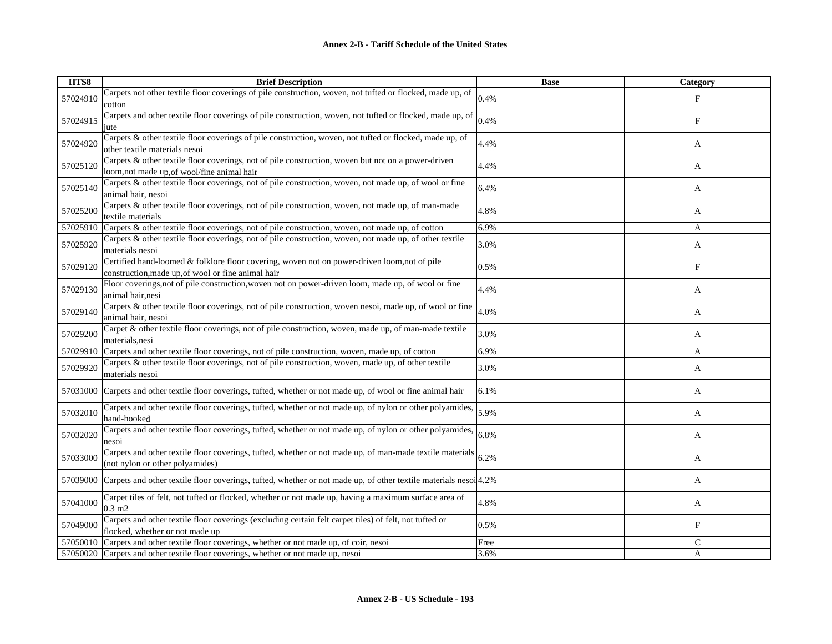| HTS8     | <b>Brief Description</b>                                                                                                                          | <b>Base</b> | Category                  |
|----------|---------------------------------------------------------------------------------------------------------------------------------------------------|-------------|---------------------------|
| 57024910 | Carpets not other textile floor coverings of pile construction, woven, not tufted or flocked, made up, of<br>cotton                               | 0.4%        | F                         |
| 57024915 | Carpets and other textile floor coverings of pile construction, woven, not tufted or flocked, made up, of<br>jute                                 | 0.4%        | $\boldsymbol{\mathrm{F}}$ |
| 57024920 | Carpets & other textile floor coverings of pile construction, woven, not tufted or flocked, made up, of<br>other textile materials nesoi          | 4.4%        | A                         |
| 57025120 | Carpets & other textile floor coverings, not of pile construction, woven but not on a power-driven<br>loom, not made up, of wool/fine animal hair | 4.4%        | A                         |
| 57025140 | Carpets & other textile floor coverings, not of pile construction, woven, not made up, of wool or fine<br>animal hair, nesoi                      | 6.4%        | A                         |
| 57025200 | Carpets & other textile floor coverings, not of pile construction, woven, not made up, of man-made<br>textile materials                           | 4.8%        | A                         |
| 57025910 | Carpets & other textile floor coverings, not of pile construction, woven, not made up, of cotton                                                  | 6.9%        | A                         |
| 57025920 | Carpets & other textile floor coverings, not of pile construction, woven, not made up, of other textile<br>materials nesoi                        | 3.0%        | A                         |
| 57029120 | Certified hand-loomed & folklore floor covering, woven not on power-driven loom,not of pile<br>construction, made up, of wool or fine animal hair | 0.5%        | $_{\rm F}$                |
| 57029130 | Floor coverings, not of pile construction, woven not on power-driven loom, made up, of wool or fine<br>animal hair, nesi                          | 4.4%        | A                         |
| 57029140 | Carpets & other textile floor coverings, not of pile construction, woven nesoi, made up, of wool or fine<br>animal hair, nesoi                    | 4.0%        | A                         |
| 57029200 | Carpet & other textile floor coverings, not of pile construction, woven, made up, of man-made textile<br>materials, nesi                          | 3.0%        | A                         |
| 57029910 | Carpets and other textile floor coverings, not of pile construction, woven, made up, of cotton                                                    | 6.9%        | A                         |
| 57029920 | Carpets & other textile floor coverings, not of pile construction, woven, made up, of other textile<br>materials nesoi                            | 3.0%        | A                         |
| 57031000 | Carpets and other textile floor coverings, tufted, whether or not made up, of wool or fine animal hair                                            | 6.1%        | A                         |
| 57032010 | Carpets and other textile floor coverings, tufted, whether or not made up, of nylon or other polyamides,<br>hand-hooked                           | 5.9%        | A                         |
| 57032020 | Carpets and other textile floor coverings, tufted, whether or not made up, of nylon or other polyamides,<br>nesoi                                 | 6.8%        | A                         |
| 57033000 | Carpets and other textile floor coverings, tufted, whether or not made up, of man-made textile materials<br>(not nylon or other polyamides)       | 6.2%        | A                         |
| 57039000 | Carpets and other textile floor coverings, tufted, whether or not made up, of other textile materials nesoi $ 4.2\%$                              |             | A                         |
| 57041000 | Carpet tiles of felt, not tufted or flocked, whether or not made up, having a maximum surface area of<br>$0.3 \text{ m2}$                         | 4.8%        | A                         |
| 57049000 | Carpets and other textile floor coverings (excluding certain felt carpet tiles) of felt, not tufted or<br>flocked, whether or not made up         | 0.5%        | $\boldsymbol{\mathrm{F}}$ |
|          | 57050010 Carpets and other textile floor coverings, whether or not made up, of coir, nesoi                                                        | Free        | $\mathsf{C}$              |
|          | 57050020 Carpets and other textile floor coverings, whether or not made up, nesoi                                                                 | 3.6%        | A                         |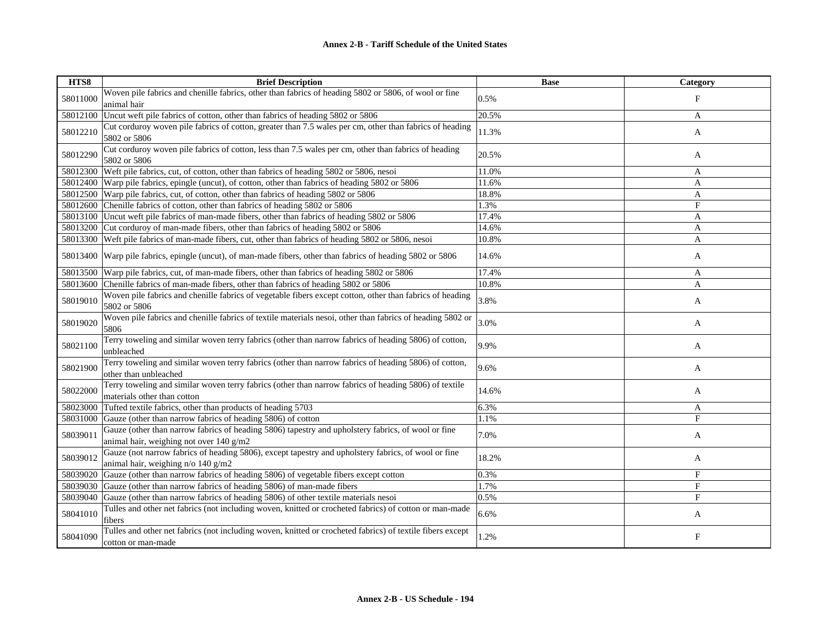| HTS8     | <b>Brief Description</b>                                                                                                                      | <b>Base</b> | Category     |
|----------|-----------------------------------------------------------------------------------------------------------------------------------------------|-------------|--------------|
| 58011000 | Woven pile fabrics and chenille fabrics, other than fabrics of heading 5802 or 5806, of wool or fine<br>animal hair                           | 0.5%        | F            |
| 58012100 | Uncut weft pile fabrics of cotton, other than fabrics of heading 5802 or 5806                                                                 | 20.5%       | A            |
| 58012210 | Cut corduroy woven pile fabrics of cotton, greater than 7.5 wales per cm, other than fabrics of heading<br>5802 or 5806                       | 11.3%       | A            |
| 58012290 | Cut corduroy woven pile fabrics of cotton, less than 7.5 wales per cm, other than fabrics of heading<br>5802 or 5806                          | 20.5%       | A            |
| 58012300 | Weft pile fabrics, cut, of cotton, other than fabrics of heading 5802 or 5806, nesoi                                                          | 11.0%       | A            |
| 58012400 | Warp pile fabrics, epingle (uncut), of cotton, other than fabrics of heading 5802 or 5806                                                     | 11.6%       | A            |
| 58012500 | Warp pile fabrics, cut, of cotton, other than fabrics of heading 5802 or 5806                                                                 | 18.8%       | A            |
| 58012600 | Chenille fabrics of cotton, other than fabrics of heading 5802 or 5806                                                                        | 1.3%        | $_{\rm F}$   |
| 58013100 | Uncut weft pile fabrics of man-made fibers, other than fabrics of heading 5802 or 5806                                                        | 17.4%       | A            |
| 58013200 | Cut corduroy of man-made fibers, other than fabrics of heading 5802 or 5806                                                                   | 14.6%       | A            |
| 58013300 | Weft pile fabrics of man-made fibers, cut, other than fabrics of heading 5802 or 5806, nesoi                                                  | 10.8%       | A            |
| 58013400 | Warp pile fabrics, epingle (uncut), of man-made fibers, other than fabrics of heading 5802 or 5806                                            | 14.6%       | A            |
| 58013500 | Warp pile fabrics, cut, of man-made fibers, other than fabrics of heading 5802 or 5806                                                        | 17.4%       | A            |
| 58013600 | Chenille fabrics of man-made fibers, other than fabrics of heading 5802 or 5806                                                               | 10.8%       | A            |
| 58019010 | Woven pile fabrics and chenille fabrics of vegetable fibers except cotton, other than fabrics of heading<br>5802 or 5806                      | 3.8%        | A            |
| 58019020 | Woven pile fabrics and chenille fabrics of textile materials nesoi, other than fabrics of heading 5802 or<br>5806                             | 3.0%        | A            |
| 58021100 | Terry toweling and similar woven terry fabrics (other than narrow fabrics of heading 5806) of cotton,<br>unbleached                           | 9.9%        | A            |
| 58021900 | Terry toweling and similar woven terry fabrics (other than narrow fabrics of heading 5806) of cotton,<br>other than unbleached                | 9.6%        | A            |
| 58022000 | Terry toweling and similar woven terry fabrics (other than narrow fabrics of heading 5806) of textile<br>materials other than cotton          | 14.6%       | A            |
| 58023000 | Tufted textile fabrics, other than products of heading 5703                                                                                   | 6.3%        | A            |
| 58031000 | Gauze (other than narrow fabrics of heading 5806) of cotton                                                                                   | 1.1%        | F            |
| 58039011 | Gauze (other than narrow fabrics of heading 5806) tapestry and upholstery fabrics, of wool or fine<br>animal hair, weighing not over 140 g/m2 | 7.0%        | A            |
| 58039012 | Gauze (not narrow fabrics of heading 5806), except tapestry and upholstery fabrics, of wool or fine<br>animal hair, weighing n/o 140 g/m2     | 18.2%       | A            |
| 58039020 | Gauze (other than narrow fabrics of heading 5806) of vegetable fibers except cotton                                                           | 0.3%        | F            |
| 58039030 | Gauze (other than narrow fabrics of heading 5806) of man-made fibers                                                                          | 1.7%        | $_{\rm F}$   |
| 58039040 | Gauze (other than narrow fabrics of heading 5806) of other textile materials nesoi                                                            | 0.5%        | F            |
| 58041010 | Tulles and other net fabrics (not including woven, knitted or crocheted fabrics) of cotton or man-made<br>fibers                              | 6.6%        | A            |
| 58041090 | Tulles and other net fabrics (not including woven, knitted or crocheted fabrics) of textile fibers except<br>cotton or man-made               | 1.2%        | $\mathbf{F}$ |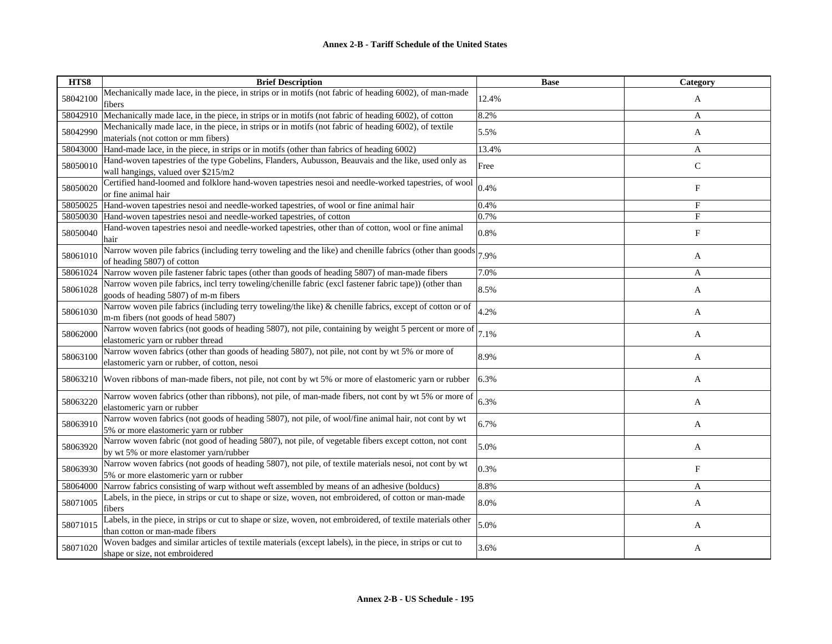| HTS8     | <b>Brief Description</b>                                                                                                                        | <b>Base</b> | Category                  |
|----------|-------------------------------------------------------------------------------------------------------------------------------------------------|-------------|---------------------------|
| 58042100 | Mechanically made lace, in the piece, in strips or in motifs (not fabric of heading 6002), of man-made<br>fibers                                | 12.4%       | A                         |
| 58042910 | Mechanically made lace, in the piece, in strips or in motifs (not fabric of heading 6002), of cotton                                            | 8.2%        | A                         |
| 58042990 | Mechanically made lace, in the piece, in strips or in motifs (not fabric of heading 6002), of textile<br>materials (not cotton or mm fibers)    | 5.5%        | A                         |
| 58043000 | Hand-made lace, in the piece, in strips or in motifs (other than fabrics of heading 6002)                                                       | 13.4%       | A                         |
| 58050010 | Hand-woven tapestries of the type Gobelins, Flanders, Aubusson, Beauvais and the like, used only as<br>wall hangings, valued over \$215/m2      | Free        | $\mathbf C$               |
| 58050020 | Certified hand-loomed and folklore hand-woven tapestries nesoi and needle-worked tapestries, of wool<br>or fine animal hair                     | 0.4%        | F                         |
| 58050025 | Hand-woven tapestries nesoi and needle-worked tapestries, of wool or fine animal hair                                                           | 0.4%        | F                         |
| 58050030 | Hand-woven tapestries nesoi and needle-worked tapestries, of cotton                                                                             | 0.7%        | $\mathbf{F}$              |
| 58050040 | Hand-woven tapestries nesoi and needle-worked tapestries, other than of cotton, wool or fine animal<br>hair                                     | 0.8%        | $\boldsymbol{\mathrm{F}}$ |
| 58061010 | Narrow woven pile fabrics (including terry toweling and the like) and chenille fabrics (other than goods)<br>of heading 5807) of cotton         | 7.9%        | A                         |
| 58061024 | Narrow woven pile fastener fabric tapes (other than goods of heading 5807) of man-made fibers                                                   | 7.0%        | A                         |
| 58061028 | Narrow woven pile fabrics, incl terry toweling/chenille fabric (excl fastener fabric tape)) (other than<br>goods of heading 5807) of m-m fibers | 8.5%        | A                         |
| 58061030 | Narrow woven pile fabrics (including terry toweling/the like) & chenille fabrics, except of cotton or of<br>m-m fibers (not goods of head 5807) | 4.2%        | A                         |
| 58062000 | Narrow woven fabrics (not goods of heading 5807), not pile, containing by weight 5 percent or more of<br>elastomeric yarn or rubber thread      | 7.1%        | A                         |
| 58063100 | Narrow woven fabrics (other than goods of heading 5807), not pile, not cont by wt 5% or more of<br>elastomeric yarn or rubber, of cotton, nesoi | 8.9%        | A                         |
| 58063210 | Woven ribbons of man-made fibers, not pile, not cont by wt 5% or more of elastomeric yarn or rubber                                             | 6.3%        | A                         |
| 58063220 | Narrow woven fabrics (other than ribbons), not pile, of man-made fibers, not cont by wt 5% or more of<br>elastomeric varn or rubber             | 6.3%        | A                         |
| 58063910 | Narrow woven fabrics (not goods of heading 5807), not pile, of wool/fine animal hair, not cont by wt<br>5% or more elastomeric yarn or rubber   | 6.7%        | A                         |
| 58063920 | Narrow woven fabric (not good of heading 5807), not pile, of vegetable fibers except cotton, not cont<br>by wt 5% or more elastomer yarn/rubber | 5.0%        | A                         |
| 58063930 | Narrow woven fabrics (not goods of heading 5807), not pile, of textile materials nesoi, not cont by wt<br>5% or more elastomeric yarn or rubber | 0.3%        | F                         |
| 58064000 | Narrow fabrics consisting of warp without weft assembled by means of an adhesive (bolducs)                                                      | 8.8%        | A                         |
| 58071005 | Labels, in the piece, in strips or cut to shape or size, woven, not embroidered, of cotton or man-made<br>fibers                                | 8.0%        | A                         |
| 58071015 | Labels, in the piece, in strips or cut to shape or size, woven, not embroidered, of textile materials other<br>than cotton or man-made fibers   | 5.0%        | A                         |
| 58071020 | Woven badges and similar articles of textile materials (except labels), in the piece, in strips or cut to<br>shape or size, not embroidered     | 3.6%        | A                         |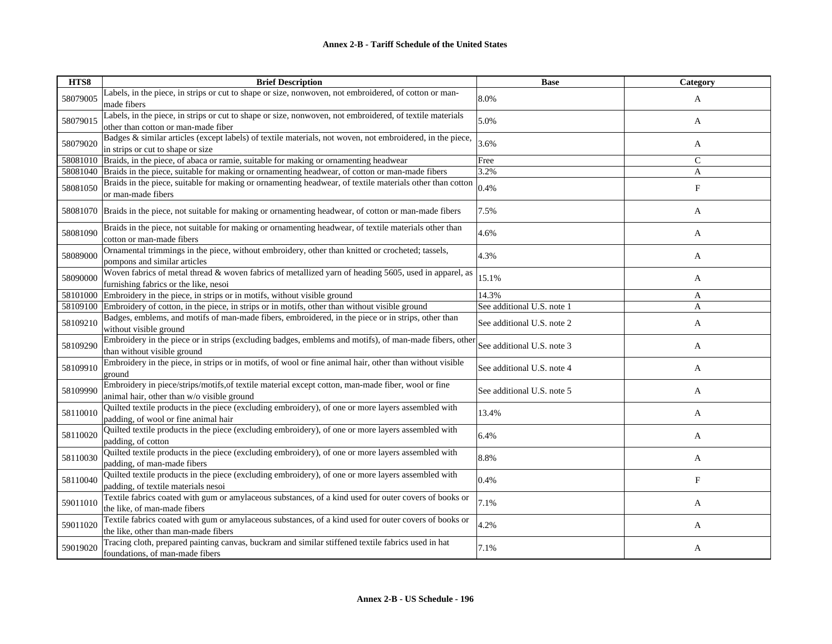| HTS8     | <b>Brief Description</b>                                                                                                                         | <b>Base</b>                | Category     |
|----------|--------------------------------------------------------------------------------------------------------------------------------------------------|----------------------------|--------------|
| 58079005 | Labels, in the piece, in strips or cut to shape or size, nonwoven, not embroidered, of cotton or man-<br>made fibers                             | 8.0%                       | A            |
| 58079015 | Labels, in the piece, in strips or cut to shape or size, nonwoven, not embroidered, of textile materials<br>other than cotton or man-made fiber  | 5.0%                       | A            |
| 58079020 | Badges & similar articles (except labels) of textile materials, not woven, not embroidered, in the piece,<br>in strips or cut to shape or size   | 3.6%                       | A            |
| 58081010 | Braids, in the piece, of abaca or ramie, suitable for making or ornamenting headwear                                                             | Free                       | $\mathsf{C}$ |
| 58081040 | Braids in the piece, suitable for making or ornamenting headwear, of cotton or man-made fibers                                                   | 3.2%                       | A            |
| 58081050 | Braids in the piece, suitable for making or ornamenting headwear, of textile materials other than cotton<br>or man-made fibers                   | 0.4%                       | F            |
| 58081070 | Braids in the piece, not suitable for making or ornamenting headwear, of cotton or man-made fibers                                               | 7.5%                       | A            |
| 58081090 | Braids in the piece, not suitable for making or ornamenting headwear, of textile materials other than<br>cotton or man-made fibers               | 4.6%                       | A            |
| 58089000 | Ornamental trimmings in the piece, without embroidery, other than knitted or crocheted; tassels,<br>pompons and similar articles                 | 4.3%                       | A            |
| 58090000 | Woven fabrics of metal thread & woven fabrics of metallized yarn of heading 5605, used in apparel, as<br>furnishing fabrics or the like, nesoi   | 15.1%                      | A            |
| 58101000 | Embroidery in the piece, in strips or in motifs, without visible ground                                                                          | 14.3%                      | A            |
| 58109100 | Embroidery of cotton, in the piece, in strips or in motifs, other than without visible ground                                                    | See additional U.S. note 1 | A            |
| 58109210 | Badges, emblems, and motifs of man-made fibers, embroidered, in the piece or in strips, other than<br>without visible ground                     | See additional U.S. note 2 | A            |
| 58109290 | Embroidery in the piece or in strips (excluding badges, emblems and motifs), of man-made fibers, other<br>than without visible ground            | See additional U.S. note 3 | A            |
| 58109910 | Embroidery in the piece, in strips or in motifs, of wool or fine animal hair, other than without visible<br>ground                               | See additional U.S. note 4 | A            |
| 58109990 | Embroidery in piece/strips/motifs, of textile material except cotton, man-made fiber, wool or fine<br>animal hair, other than w/o visible ground | See additional U.S. note 5 | A            |
| 58110010 | Quilted textile products in the piece (excluding embroidery), of one or more layers assembled with<br>padding, of wool or fine animal hair       | 13.4%                      | A            |
| 58110020 | Quilted textile products in the piece (excluding embroidery), of one or more layers assembled with<br>padding, of cotton                         | 6.4%                       | A            |
| 58110030 | Quilted textile products in the piece (excluding embroidery), of one or more layers assembled with<br>padding, of man-made fibers                | 8.8%                       | A            |
| 58110040 | Quilted textile products in the piece (excluding embroidery), of one or more layers assembled with<br>padding, of textile materials nesoi        | 0.4%                       | F            |
| 59011010 | Textile fabrics coated with gum or amylaceous substances, of a kind used for outer covers of books or<br>the like, of man-made fibers            | 7.1%                       | A            |
| 59011020 | Textile fabrics coated with gum or amylaceous substances, of a kind used for outer covers of books or<br>the like, other than man-made fibers    | 4.2%                       | A            |
| 59019020 | Tracing cloth, prepared painting canvas, buckram and similar stiffened textile fabrics used in hat<br>foundations, of man-made fibers            | 7.1%                       | A            |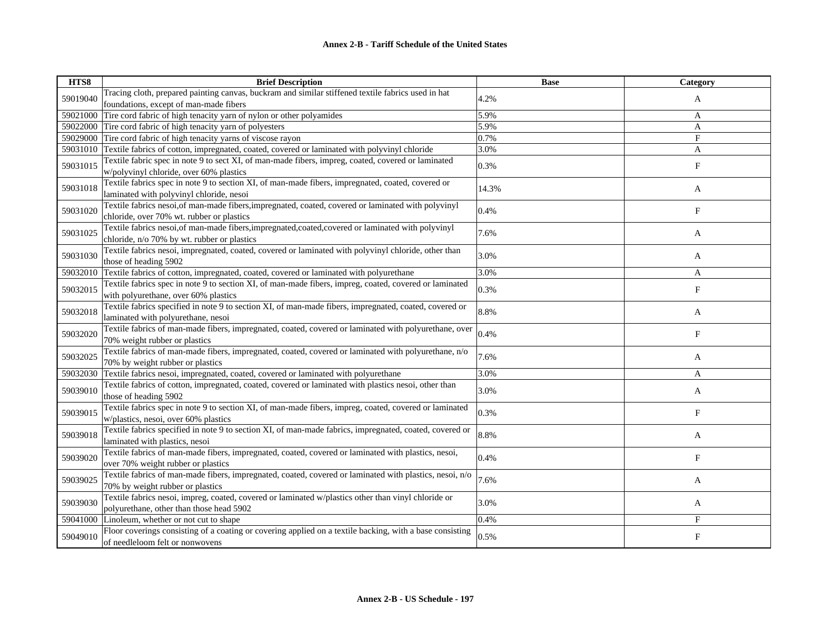| HTS8     | <b>Brief Description</b>                                                                                                                      | <b>Base</b> | Category                  |
|----------|-----------------------------------------------------------------------------------------------------------------------------------------------|-------------|---------------------------|
| 59019040 | Tracing cloth, prepared painting canvas, buckram and similar stiffened textile fabrics used in hat                                            | 4.2%        | A                         |
|          | foundations, except of man-made fibers                                                                                                        |             |                           |
| 59021000 | Tire cord fabric of high tenacity yarn of nylon or other polyamides                                                                           | 5.9%        | A                         |
| 59022000 | Tire cord fabric of high tenacity yarn of polyesters                                                                                          | 5.9%        | A                         |
| 59029000 | Tire cord fabric of high tenacity yarns of viscose rayon                                                                                      | 0.7%        | $\mathbf{F}$              |
| 59031010 | Textile fabrics of cotton, impregnated, coated, covered or laminated with polyvinyl chloride                                                  | 3.0%        | A                         |
| 59031015 | Textile fabric spec in note 9 to sect XI, of man-made fibers, impreg, coated, covered or laminated<br>w/polyvinyl chloride, over 60% plastics | 0.3%        | $\boldsymbol{\mathrm{F}}$ |
|          | Textile fabrics spec in note 9 to section XI, of man-made fibers, impregnated, coated, covered or                                             |             |                           |
| 59031018 | laminated with polyvinyl chloride, nesoi                                                                                                      | 14.3%       | A                         |
|          | Textile fabrics nesoi, of man-made fibers, impregnated, coated, covered or laminated with polyvinyl                                           |             |                           |
| 59031020 | chloride, over 70% wt. rubber or plastics                                                                                                     | 0.4%        | F                         |
|          | Textile fabrics nesoi, of man-made fibers, impregnated, coated, covered or laminated with polyvinyl                                           |             |                           |
| 59031025 | chloride, n/o 70% by wt. rubber or plastics                                                                                                   | 7.6%        | A                         |
|          | Textile fabrics nesoi, impregnated, coated, covered or laminated with polyvinyl chloride, other than                                          |             |                           |
| 59031030 | those of heading 5902                                                                                                                         | 3.0%        | A                         |
| 59032010 | Textile fabrics of cotton, impregnated, coated, covered or laminated with polyurethane                                                        | 3.0%        | A                         |
|          | Textile fabrics spec in note 9 to section XI, of man-made fibers, impreg, coated, covered or laminated                                        |             |                           |
| 59032015 | with polyurethane, over 60% plastics                                                                                                          | 0.3%        | ${\rm F}$                 |
|          | Textile fabrics specified in note 9 to section XI, of man-made fibers, impregnated, coated, covered or                                        | 8.8%        |                           |
| 59032018 | laminated with polyurethane, nesoi                                                                                                            |             | A                         |
|          | Textile fabrics of man-made fibers, impregnated, coated, covered or laminated with polyurethane, over                                         |             |                           |
| 59032020 | 70% weight rubber or plastics                                                                                                                 | 0.4%        | F                         |
| 59032025 | Textile fabrics of man-made fibers, impregnated, coated, covered or laminated with polyurethane, n/o                                          | 7.6%        |                           |
|          | 70% by weight rubber or plastics                                                                                                              |             | A                         |
| 59032030 | Textile fabrics nesoi, impregnated, coated, covered or laminated with polyurethane                                                            | 3.0%        | A                         |
| 59039010 | Textile fabrics of cotton, impregnated, coated, covered or laminated with plastics nesoi, other than                                          | 3.0%        |                           |
|          | those of heading 5902                                                                                                                         |             | A                         |
| 59039015 | Textile fabrics spec in note 9 to section XI, of man-made fibers, impreg, coated, covered or laminated                                        | 0.3%        | F                         |
|          | w/plastics, nesoi, over 60% plastics                                                                                                          |             |                           |
| 59039018 | Textile fabrics specified in note 9 to section XI, of man-made fabrics, impregnated, coated, covered or                                       | 8.8%        | A                         |
|          | laminated with plastics, nesoi                                                                                                                |             |                           |
| 59039020 | Textile fabrics of man-made fibers, impregnated, coated, covered or laminated with plastics, nesoi,                                           | 0.4%        | F                         |
|          | over 70% weight rubber or plastics                                                                                                            |             |                           |
|          | Textile fabrics of man-made fibers, impregnated, coated, covered or laminated with plastics, nesoi, n/o                                       | 7.6%        |                           |
| 59039025 | 70% by weight rubber or plastics                                                                                                              |             | A                         |
| 59039030 | Textile fabrics nesoi, impreg, coated, covered or laminated w/plastics other than vinyl chloride or                                           | 3.0%        |                           |
|          | polyurethane, other than those head 5902                                                                                                      |             | A                         |
| 59041000 | Linoleum, whether or not cut to shape                                                                                                         | 0.4%        | F                         |
| 59049010 | Floor coverings consisting of a coating or covering applied on a textile backing, with a base consisting<br>of needleloom felt or nonwovens   | 0.5%        | F                         |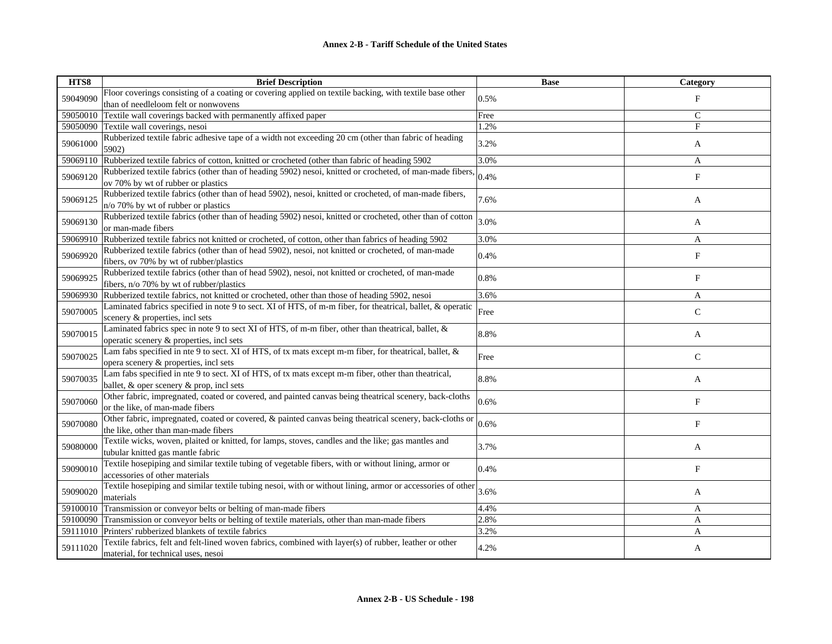| HTS8     | <b>Brief Description</b>                                                                                                                        | <b>Base</b> | Category                  |
|----------|-------------------------------------------------------------------------------------------------------------------------------------------------|-------------|---------------------------|
| 59049090 | Floor coverings consisting of a coating or covering applied on textile backing, with textile base other                                         | 0.5%        | $_{\rm F}$                |
|          | than of needleloom felt or nonwovens                                                                                                            |             |                           |
| 59050010 | Textile wall coverings backed with permanently affixed paper                                                                                    | Free        | $\mathsf{C}$              |
| 59050090 | Textile wall coverings, nesoi                                                                                                                   | 1.2%        | $\overline{F}$            |
| 59061000 | Rubberized textile fabric adhesive tape of a width not exceeding 20 cm (other than fabric of heading<br>5902)                                   | 3.2%        | A                         |
| 59069110 | Rubberized textile fabrics of cotton, knitted or crocheted (other than fabric of heading 5902                                                   | 3.0%        | A                         |
| 59069120 | Rubberized textile fabrics (other than of heading 5902) nesoi, knitted or crocheted, of man-made fibers,<br>ov 70% by wt of rubber or plastics  | 0.4%        | $_{\rm F}$                |
| 59069125 | Rubberized textile fabrics (other than of head 5902), nesoi, knitted or crocheted, of man-made fibers,<br>n/o 70% by wt of rubber or plastics   | 7.6%        | A                         |
| 59069130 | Rubberized textile fabrics (other than of heading 5902) nesoi, knitted or crocheted, other than of cotton<br>or man-made fibers                 | 3.0%        | A                         |
| 59069910 | Rubberized textile fabrics not knitted or crocheted, of cotton, other than fabrics of heading 5902                                              | 3.0%        | A                         |
| 59069920 | Rubberized textile fabrics (other than of head 5902), nesoi, not knitted or crocheted, of man-made<br>fibers, ov 70% by wt of rubber/plastics   | 0.4%        | $\boldsymbol{\mathrm{F}}$ |
| 59069925 | Rubberized textile fabrics (other than of head 5902), nesoi, not knitted or crocheted, of man-made<br>fibers, n/o 70% by wt of rubber/plastics  | 0.8%        | F                         |
| 59069930 | Rubberized textile fabrics, not knitted or crocheted, other than those of heading 5902, nesoi                                                   | 3.6%        | A                         |
| 59070005 | Laminated fabrics specified in note 9 to sect. XI of HTS, of m-m fiber, for theatrical, ballet, & operatic<br>scenery & properties, incl sets   | Free        | $\mathsf{C}$              |
| 59070015 | Laminated fabrics spec in note 9 to sect XI of HTS, of m-m fiber, other than theatrical, ballet, &<br>operatic scenery & properties, incl sets  | 8.8%        | A                         |
| 59070025 | Lam fabs specified in nte 9 to sect. XI of HTS, of tx mats except m-m fiber, for theatrical, ballet, &<br>opera scenery & properties, incl sets | Free        | $\mathsf{C}$              |
| 59070035 | Lam fabs specified in nte 9 to sect. XI of HTS, of tx mats except m-m fiber, other than theatrical,<br>ballet, & oper scenery & prop, incl sets | 8.8%        | A                         |
| 59070060 | Other fabric, impregnated, coated or covered, and painted canvas being theatrical scenery, back-cloths<br>or the like, of man-made fibers       | 0.6%        | F                         |
| 59070080 | Other fabric, impregnated, coated or covered, & painted canvas being theatrical scenery, back-cloths or<br>the like, other than man-made fibers | 0.6%        | $_{\rm F}$                |
| 59080000 | Textile wicks, woven, plaited or knitted, for lamps, stoves, candles and the like; gas mantles and<br>tubular knitted gas mantle fabric         | 3.7%        | A                         |
| 59090010 | Textile hosepiping and similar textile tubing of vegetable fibers, with or without lining, armor or<br>accessories of other materials           | 0.4%        | F                         |
| 59090020 | Textile hosepiping and similar textile tubing nesoi, with or without lining, armor or accessories of other<br>materials                         | 3.6%        | A                         |
| 59100010 | Transmission or conveyor belts or belting of man-made fibers                                                                                    | 4.4%        | A                         |
| 59100090 | Transmission or conveyor belts or belting of textile materials, other than man-made fibers                                                      | 2.8%        | A                         |
| 59111010 | Printers' rubberized blankets of textile fabrics                                                                                                | 3.2%        | A                         |
| 59111020 | Textile fabrics, felt and felt-lined woven fabrics, combined with layer(s) of rubber, leather or other<br>material, for technical uses, nesoi   | 4.2%        | A                         |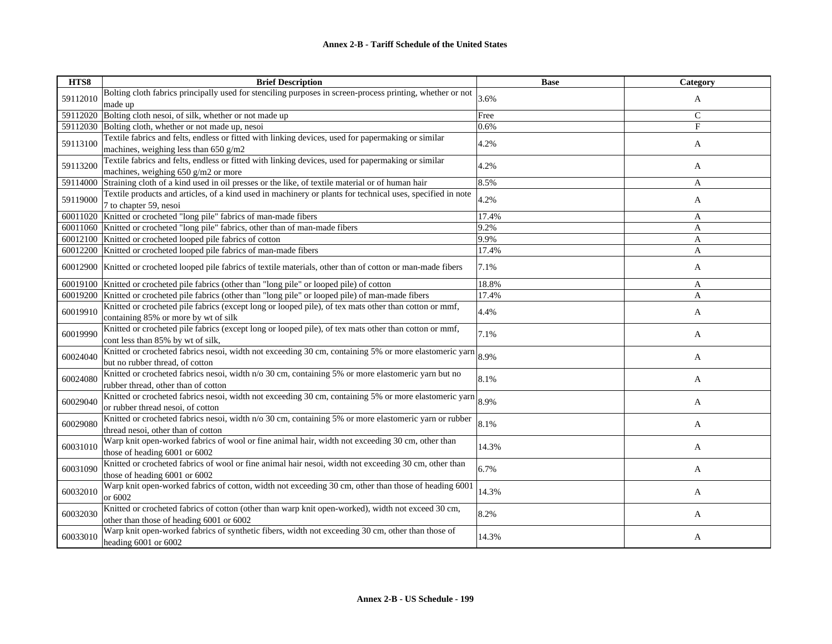| HTS8     | <b>Brief Description</b>                                                                                   | <b>Base</b> | <b>Category</b> |
|----------|------------------------------------------------------------------------------------------------------------|-------------|-----------------|
| 59112010 | Bolting cloth fabrics principally used for stenciling purposes in screen-process printing, whether or not  | 3.6%        | A               |
|          | made up                                                                                                    |             |                 |
| 59112020 | Bolting cloth nesoi, of silk, whether or not made up                                                       | Free        | $\mathsf{C}$    |
| 59112030 | Bolting cloth, whether or not made up, nesoi                                                               | 0.6%        | $\mathbf{F}$    |
| 59113100 | Textile fabrics and felts, endless or fitted with linking devices, used for papermaking or similar         | 4.2%        | A               |
|          | machines, weighing less than $650$ g/m2                                                                    |             |                 |
| 59113200 | Textile fabrics and felts, endless or fitted with linking devices, used for papermaking or similar         | 4.2%        | A               |
|          | machines, weighing 650 g/m2 or more                                                                        |             |                 |
| 59114000 | Straining cloth of a kind used in oil presses or the like, of textile material or of human hair            | 8.5%        | A               |
| 59119000 | Textile products and articles, of a kind used in machinery or plants for technical uses, specified in note | 4.2%        | A               |
|          | 7 to chapter 59, nesoi                                                                                     |             |                 |
| 60011020 | Knitted or crocheted "long pile" fabrics of man-made fibers                                                | 17.4%       | A               |
| 60011060 | Knitted or crocheted "long pile" fabrics, other than of man-made fibers                                    | 9.2%        | A               |
| 60012100 | Knitted or crocheted looped pile fabrics of cotton                                                         | 9.9%        | $\mathbf{A}$    |
|          | 60012200 Knitted or crocheted looped pile fabrics of man-made fibers                                       | 17.4%       | A               |
| 60012900 | Knitted or crocheted looped pile fabrics of textile materials, other than of cotton or man-made fibers     | 7.1%        | A               |
| 60019100 | Knitted or crocheted pile fabrics (other than "long pile" or looped pile) of cotton                        | 18.8%       | A               |
| 60019200 | Knitted or crocheted pile fabrics (other than "long pile" or looped pile) of man-made fibers               | 17.4%       | A               |
|          | Knitted or crocheted pile fabrics (except long or looped pile), of tex mats other than cotton or mmf,      |             |                 |
| 60019910 | containing 85% or more by wt of silk                                                                       | 4.4%        | A               |
|          | Knitted or crocheted pile fabrics (except long or looped pile), of tex mats other than cotton or mmf,      |             |                 |
| 60019990 | cont less than 85% by wt of silk,                                                                          | 7.1%        | A               |
|          | Knitted or crocheted fabrics nesoi, width not exceeding 30 cm, containing 5% or more elastomeric yarn      |             |                 |
| 60024040 | but no rubber thread, of cotton                                                                            | 8.9%        | A               |
|          | Knitted or crocheted fabrics nesoi, width n/o 30 cm, containing 5% or more elastomeric yarn but no         |             |                 |
| 60024080 | rubber thread, other than of cotton                                                                        | 8.1%        | A               |
|          | Knitted or crocheted fabrics nesoi, width not exceeding 30 cm, containing 5% or more elastomeric yarn      |             |                 |
| 60029040 | or rubber thread nesoi, of cotton                                                                          | 8.9%        | A               |
|          | Knitted or crocheted fabrics nesoi, width n/o 30 cm, containing 5% or more elastomeric yarn or rubber      |             |                 |
| 60029080 | thread nesoi, other than of cotton                                                                         | 8.1%        | A               |
|          | Warp knit open-worked fabrics of wool or fine animal hair, width not exceeding 30 cm, other than           |             |                 |
| 60031010 | those of heading 6001 or 6002                                                                              | 14.3%       | A               |
|          | Knitted or crocheted fabrics of wool or fine animal hair nesoi, width not exceeding 30 cm, other than      |             |                 |
| 60031090 | those of heading 6001 or 6002                                                                              | 6.7%        | A               |
|          | Warp knit open-worked fabrics of cotton, width not exceeding 30 cm, other than those of heading 600        |             |                 |
| 60032010 | or 6002                                                                                                    | 14.3%       | A               |
|          | Knitted or crocheted fabrics of cotton (other than warp knit open-worked), width not exceed 30 cm,         |             |                 |
| 60032030 | other than those of heading 6001 or 6002                                                                   | 8.2%        | A               |
|          | Warp knit open-worked fabrics of synthetic fibers, width not exceeding 30 cm, other than those of          |             |                 |
| 60033010 | heading $6001$ or $6002$                                                                                   | 14.3%       | A               |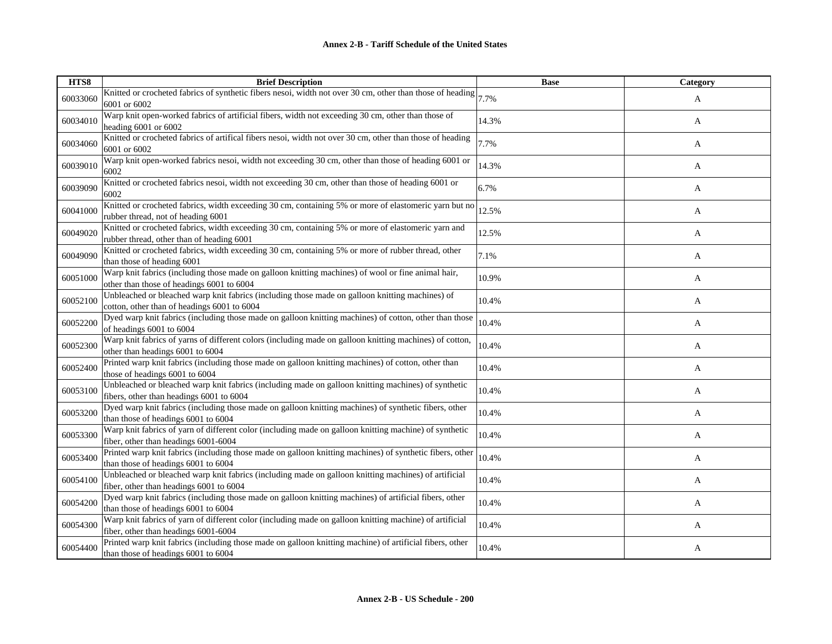| HTS8     | <b>Brief Description</b>                                                                                                                        | <b>Base</b> | Category |
|----------|-------------------------------------------------------------------------------------------------------------------------------------------------|-------------|----------|
| 60033060 | Knitted or crocheted fabrics of synthetic fibers nesoi, width not over 30 cm, other than those of heading $ 7.7\%$<br>6001 or 6002              |             | A        |
| 60034010 | Warp knit open-worked fabrics of artificial fibers, width not exceeding 30 cm, other than those of<br>heading 6001 or 6002                      | 14.3%       | A        |
| 60034060 | Knitted or crocheted fabrics of artifical fibers nesoi, width not over 30 cm, other than those of heading<br>6001 or 6002                       | 7.7%        | A        |
| 60039010 | Warp knit open-worked fabrics nesoi, width not exceeding 30 cm, other than those of heading 6001 or<br>6002                                     | 14.3%       | A        |
| 60039090 | Knitted or crocheted fabrics nesoi, width not exceeding 30 cm, other than those of heading 6001 or<br>6002                                      | 6.7%        | A        |
| 60041000 | Knitted or crocheted fabrics, width exceeding 30 cm, containing 5% or more of elastomeric yarn but no<br>rubber thread, not of heading 6001     | 12.5%       | A        |
| 60049020 | Knitted or crocheted fabrics, width exceeding 30 cm, containing 5% or more of elastomeric yarn and<br>rubber thread, other than of heading 6001 | 12.5%       | A        |
| 60049090 | Knitted or crocheted fabrics, width exceeding 30 cm, containing 5% or more of rubber thread, other<br>than those of heading 6001                | 7.1%        | A        |
| 60051000 | Warp knit fabrics (including those made on galloon knitting machines) of wool or fine animal hair,<br>other than those of headings 6001 to 6004 | 10.9%       | A        |
| 60052100 | Unbleached or bleached warp knit fabrics (including those made on galloon knitting machines) of<br>cotton, other than of headings 6001 to 6004  | 10.4%       | A        |
| 60052200 | Dyed warp knit fabrics (including those made on galloon knitting machines) of cotton, other than those<br>of headings 6001 to 6004              | 10.4%       | A        |
| 60052300 | Warp knit fabrics of yarns of different colors (including made on galloon knitting machines) of cotton,<br>other than headings 6001 to 6004     | 10.4%       | A        |
| 60052400 | Printed warp knit fabrics (including those made on galloon knitting machines) of cotton, other than<br>those of headings 6001 to 6004           | 10.4%       | A        |
| 60053100 | Unbleached or bleached warp knit fabrics (including made on galloon knitting machines) of synthetic<br>fibers, other than headings 6001 to 6004 | 10.4%       | A        |
| 60053200 | Dyed warp knit fabrics (including those made on galloon knitting machines) of synthetic fibers, other<br>than those of headings 6001 to 6004    | 10.4%       | A        |
| 60053300 | Warp knit fabrics of yarn of different color (including made on galloon knitting machine) of synthetic<br>fiber, other than headings 6001-6004  | 10.4%       | A        |
| 60053400 | Printed warp knit fabrics (including those made on galloon knitting machines) of synthetic fibers, other<br>than those of headings 6001 to 6004 | 10.4%       | A        |
| 60054100 | Unbleached or bleached warp knit fabrics (including made on galloon knitting machines) of artificial<br>fiber, other than headings 6001 to 6004 | 10.4%       | A        |
| 60054200 | Dyed warp knit fabrics (including those made on galloon knitting machines) of artificial fibers, other<br>than those of headings 6001 to 6004   | 10.4%       | A        |
| 60054300 | Warp knit fabrics of yarn of different color (including made on galloon knitting machine) of artificial<br>fiber, other than headings 6001-6004 | 10.4%       | A        |
| 60054400 | Printed warp knit fabrics (including those made on galloon knitting machine) of artificial fibers, other<br>than those of headings 6001 to 6004 | 10.4%       | A        |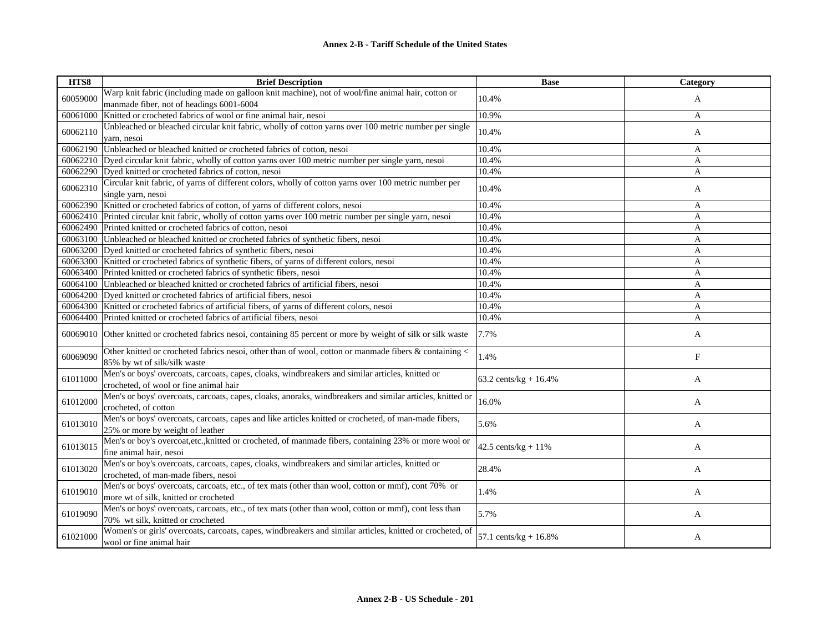| HTS8     | <b>Brief Description</b>                                                                                                                     | <b>Base</b>              | Category   |
|----------|----------------------------------------------------------------------------------------------------------------------------------------------|--------------------------|------------|
| 60059000 | Warp knit fabric (including made on galloon knit machine), not of wool/fine animal hair, cotton or                                           | 10.4%                    | A          |
|          | manmade fiber, not of headings 6001-6004                                                                                                     |                          |            |
| 60061000 | Knitted or crocheted fabrics of wool or fine animal hair, nesoi                                                                              | 10.9%                    | A          |
| 60062110 | Unbleached or bleached circular knit fabric, wholly of cotton yarns over 100 metric number per single                                        | 10.4%                    | A          |
|          | yarn, nesoi                                                                                                                                  |                          |            |
| 60062190 | Unbleached or bleached knitted or crocheted fabrics of cotton, nesoi                                                                         | 10.4%                    | A          |
| 60062210 | Dyed circular knit fabric, wholly of cotton yarns over 100 metric number per single yarn, nesoi                                              | 10.4%                    | A          |
| 60062290 | Dyed knitted or crocheted fabrics of cotton, nesoi                                                                                           | 10.4%                    | A          |
| 60062310 | Circular knit fabric, of yarns of different colors, wholly of cotton yarns over 100 metric number per<br>single yarn, nesoi                  | 10.4%                    | A          |
|          | 60062390 Knitted or crocheted fabrics of cotton, of yarns of different colors, nesoi                                                         | 10.4%                    | A          |
| 60062410 | Printed circular knit fabric, wholly of cotton yarns over 100 metric number per single yarn, nesoi                                           | 10.4%                    | A          |
| 60062490 | Printed knitted or crocheted fabrics of cotton, nesoi                                                                                        | 10.4%                    | A          |
|          | 60063100 Unbleached or bleached knitted or crocheted fabrics of synthetic fibers, nesoi                                                      | 10.4%                    | A          |
|          | 60063200 Dyed knitted or crocheted fabrics of synthetic fibers, nesoi                                                                        | 10.4%                    | A          |
| 60063300 | Knitted or crocheted fabrics of synthetic fibers, of yarns of different colors, nesoi                                                        | 10.4%                    | A          |
| 60063400 | Printed knitted or crocheted fabrics of synthetic fibers, nesoi                                                                              | 10.4%                    | A          |
| 60064100 | Unbleached or bleached knitted or crocheted fabrics of artificial fibers, nesoi                                                              | 10.4%                    | A          |
|          | 60064200 Dyed knitted or crocheted fabrics of artificial fibers, nesoi                                                                       | 10.4%                    | A          |
| 60064300 | Knitted or crocheted fabrics of artificial fibers, of yarns of different colors, nesoi                                                       | 10.4%                    | A          |
| 60064400 | Printed knitted or crocheted fabrics of artificial fibers, nesoi                                                                             | 10.4%                    | A          |
| 60069010 | Other knitted or crocheted fabrics nesoi, containing 85 percent or more by weight of silk or silk waste                                      | 7.7%                     | A          |
| 60069090 | Other knitted or crocheted fabrics nesoi, other than of wool, cotton or manmade fibers $\&$ containing $\&$<br>85% by wt of silk/silk waste  | 1.4%                     | $_{\rm F}$ |
| 61011000 | Men's or boys' overcoats, carcoats, capes, cloaks, windbreakers and similar articles, knitted or<br>crocheted, of wool or fine animal hair   | 63.2 cents/kg + $16.4%$  | A          |
| 61012000 | Men's or boys' overcoats, carcoats, capes, cloaks, anoraks, windbreakers and similar articles, knitted or<br>crocheted, of cotton            | 16.0%                    | A          |
| 61013010 | Men's or boys' overcoats, carcoats, capes and like articles knitted or crocheted, of man-made fibers,<br>25% or more by weight of leather    | 5.6%                     | A          |
| 61013015 | Men's or boy's overcoat, etc., knitted or crocheted, of manmade fibers, containing 23% or more wool or<br>fine animal hair, nesoi            | 42.5 cents/ $kg + 11\%$  | A          |
| 61013020 | Men's or boy's overcoats, carcoats, capes, cloaks, windbreakers and similar articles, knitted or<br>crocheted, of man-made fibers, nesoi     | 28.4%                    | A          |
| 61019010 | Men's or boys' overcoats, carcoats, etc., of tex mats (other than wool, cotton or mmf), cont 70% or<br>more wt of silk, knitted or crocheted | 1.4%                     | A          |
| 61019090 | Men's or boys' overcoats, carcoats, etc., of tex mats (other than wool, cotton or mmf), cont less than<br>70% wt silk, knitted or crocheted  | 5.7%                     | A          |
| 61021000 | Women's or girls' overcoats, carcoats, capes, windbreakers and similar articles, knitted or crocheted, of<br>wool or fine animal hair        | 57.1 cents/kg + $16.8\%$ | A          |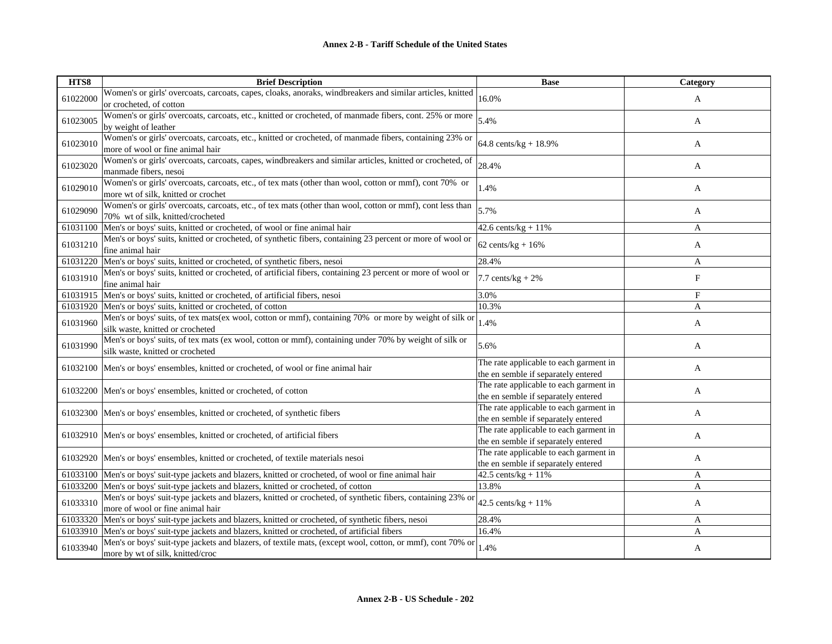| HTS8     | <b>Brief Description</b>                                                                                                                       | <b>Base</b>                                                                   | Category |
|----------|------------------------------------------------------------------------------------------------------------------------------------------------|-------------------------------------------------------------------------------|----------|
| 61022000 | Women's or girls' overcoats, carcoats, capes, cloaks, anoraks, windbreakers and similar articles, knitted<br>or crocheted, of cotton           | 16.0%                                                                         | A        |
| 61023005 | Women's or girls' overcoats, carcoats, etc., knitted or crocheted, of manmade fibers, cont. 25% or more<br>by weight of leather                | 5.4%                                                                          | A        |
| 61023010 | Women's or girls' overcoats, carcoats, etc., knitted or crocheted, of manmade fibers, containing 23% or<br>more of wool or fine animal hair    | 64.8 cents/ $kg + 18.9%$                                                      | A        |
| 61023020 | Women's or girls' overcoats, carcoats, capes, windbreakers and similar articles, knitted or crocheted, of<br>manmade fibers, nesoi             | 28.4%                                                                         | A        |
| 61029010 | Women's or girls' overcoats, carcoats, etc., of tex mats (other than wool, cotton or mmf), cont 70% or<br>more wt of silk, knitted or crochet  | 1.4%                                                                          | A        |
| 61029090 | Women's or girls' overcoats, carcoats, etc., of tex mats (other than wool, cotton or mmf), cont less than<br>70% wt of silk, knitted/crocheted | 5.7%                                                                          | A        |
|          | 61031100 Men's or boys' suits, knitted or crocheted, of wool or fine animal hair                                                               | 42.6 cents/ $kg + 11%$                                                        | A        |
| 61031210 | Men's or boys' suits, knitted or crocheted, of synthetic fibers, containing 23 percent or more of wool or<br>fine animal hair                  | $62 \text{ cents/kg} + 16\%$                                                  | A        |
|          | 61031220 Men's or boys' suits, knitted or crocheted, of synthetic fibers, nesoi                                                                | 28.4%                                                                         | A        |
| 61031910 | Men's or boys' suits, knitted or crocheted, of artificial fibers, containing 23 percent or more of wool or<br>fine animal hair                 | 7.7 cents/ $kg + 2%$                                                          | F        |
| 61031915 | Men's or boys' suits, knitted or crocheted, of artificial fibers, nesoi                                                                        | 3.0%                                                                          | F        |
|          | 61031920 Men's or boys' suits, knitted or crocheted, of cotton                                                                                 | 10.3%                                                                         | A        |
| 61031960 | Men's or boys' suits, of tex mats(ex wool, cotton or mmf), containing 70% or more by weight of silk or<br>silk waste, knitted or crocheted     | 1.4%                                                                          | A        |
| 61031990 | Men's or boys' suits, of tex mats (ex wool, cotton or mmf), containing under 70% by weight of silk or<br>silk waste, knitted or crocheted      | 5.6%                                                                          | A        |
| 61032100 | Men's or boys' ensembles, knitted or crocheted, of wool or fine animal hair                                                                    | The rate applicable to each garment in<br>the en semble if separately entered | A        |
|          | 61032200 Men's or boys' ensembles, knitted or crocheted, of cotton                                                                             | The rate applicable to each garment in<br>the en semble if separately entered | A        |
|          | 61032300 Men's or boys' ensembles, knitted or crocheted, of synthetic fibers                                                                   | The rate applicable to each garment in<br>the en semble if separately entered | A        |
|          | 61032910 Men's or boys' ensembles, knitted or crocheted, of artificial fibers                                                                  | The rate applicable to each garment in<br>the en semble if separately entered | A        |
|          | 61032920 Men's or boys' ensembles, knitted or crocheted, of textile materials nesoi                                                            | The rate applicable to each garment in<br>the en semble if separately entered | A        |
|          | 61033100 Men's or boys' suit-type jackets and blazers, knitted or crocheted, of wool or fine animal hair                                       | 42.5 cents/ $kg + 11\%$                                                       | A        |
|          | 61033200 Men's or boys' suit-type jackets and blazers, knitted or crocheted, of cotton                                                         | 13.8%                                                                         | A        |
| 61033310 | Men's or boys' suit-type jackets and blazers, knitted or crocheted, of synthetic fibers, containing 23% or<br>more of wool or fine animal hair | 42.5 cents/kg + $11\%$                                                        | A        |
|          | 61033320 Men's or boys' suit-type jackets and blazers, knitted or crocheted, of synthetic fibers, nesoi                                        | 28.4%                                                                         | A        |
|          | 61033910 Men's or boys' suit-type jackets and blazers, knitted or crocheted, of artificial fibers                                              | 16.4%                                                                         | A        |
| 61033940 | Men's or boys' suit-type jackets and blazers, of textile mats, (except wool, cotton, or mmf), cont 70% or<br>more by wt of silk, knitted/croc  | 1.4%                                                                          | A        |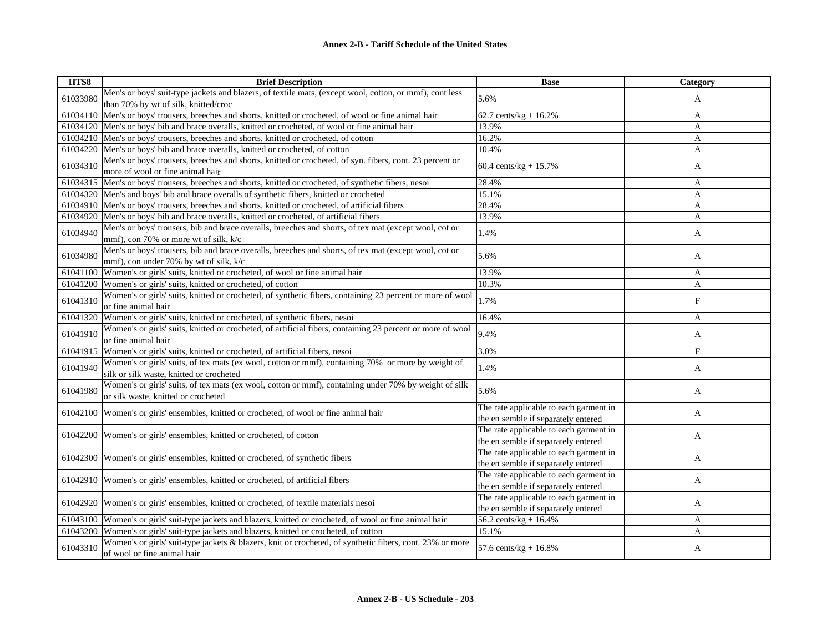| HTS8     | <b>Brief Description</b>                                                                                                                        | <b>Base</b>                                                                   | Category     |
|----------|-------------------------------------------------------------------------------------------------------------------------------------------------|-------------------------------------------------------------------------------|--------------|
| 61033980 | Men's or boys' suit-type jackets and blazers, of textile mats, (except wool, cotton, or mmf), cont less<br>than 70% by wt of silk, knitted/croc | 5.6%                                                                          | A            |
| 61034110 | Men's or boys' trousers, breeches and shorts, knitted or crocheted, of wool or fine animal hair                                                 | 62.7 cents/kg + $16.2%$                                                       | A            |
| 61034120 | Men's or boys' bib and brace overalls, knitted or crocheted, of wool or fine animal hair                                                        | 13.9%                                                                         | A            |
|          | 61034210 Men's or boys' trousers, breeches and shorts, knitted or crocheted, of cotton                                                          | 16.2%                                                                         | A            |
| 61034220 | Men's or boys' bib and brace overalls, knitted or crocheted, of cotton                                                                          | 10.4%                                                                         | A            |
| 61034310 | Men's or boys' trousers, breeches and shorts, knitted or crocheted, of syn. fibers, cont. 23 percent or<br>more of wool or fine animal hair     | 60.4 cents/kg + $15.7%$                                                       | A            |
| 61034315 | Men's or boys' trousers, breeches and shorts, knitted or crocheted, of synthetic fibers, nesoi                                                  | 28.4%                                                                         | A            |
| 61034320 | Men's and boys' bib and brace overalls of synthetic fibers, knitted or crocheted                                                                | 15.1%                                                                         | A            |
| 61034910 | Men's or boys' trousers, breeches and shorts, knitted or crocheted, of artificial fibers                                                        | 28.4%                                                                         | A            |
| 61034920 | Men's or boys' bib and brace overalls, knitted or crocheted, of artificial fibers                                                               | 13.9%                                                                         | A            |
| 61034940 | Men's or boys' trousers, bib and brace overalls, breeches and shorts, of tex mat (except wool, cot or<br>mmf), con 70% or more wt of silk, k/c  | 1.4%                                                                          | A            |
| 61034980 | Men's or boys' trousers, bib and brace overalls, breeches and shorts, of tex mat (except wool, cot or<br>mmf), con under 70% by wt of silk, k/c | 5.6%                                                                          | A            |
| 61041100 | Women's or girls' suits, knitted or crocheted, of wool or fine animal hair                                                                      | 13.9%                                                                         | A            |
| 61041200 | Women's or girls' suits, knitted or crocheted, of cotton                                                                                        | 10.3%                                                                         | A            |
| 61041310 | Women's or girls' suits, knitted or crocheted, of synthetic fibers, containing 23 percent or more of wool<br>or fine animal hair                | 1.7%                                                                          | F            |
| 61041320 | Women's or girls' suits, knitted or crocheted, of synthetic fibers, nesoi                                                                       | 16.4%                                                                         | A            |
| 61041910 | Women's or girls' suits, knitted or crocheted, of artificial fibers, containing 23 percent or more of wool<br>or fine animal hair               | 9.4%                                                                          | A            |
| 61041915 | Women's or girls' suits, knitted or crocheted, of artificial fibers, nesoi                                                                      | 3.0%                                                                          | $\mathbf{F}$ |
| 61041940 | Women's or girls' suits, of tex mats (ex wool, cotton or mmf), containing 70% or more by weight of<br>silk or silk waste, knitted or crocheted  | 1.4%                                                                          | A            |
| 61041980 | Women's or girls' suits, of tex mats (ex wool, cotton or mmf), containing under 70% by weight of silk<br>or silk waste, knitted or crocheted    | 5.6%                                                                          | A            |
| 61042100 | Women's or girls' ensembles, knitted or crocheted, of wool or fine animal hair                                                                  | The rate applicable to each garment in<br>the en semble if separately entered | A            |
| 61042200 | Women's or girls' ensembles, knitted or crocheted, of cotton                                                                                    | The rate applicable to each garment in<br>the en semble if separately entered | A            |
| 61042300 | Women's or girls' ensembles, knitted or crocheted, of synthetic fibers                                                                          | The rate applicable to each garment in<br>the en semble if separately entered | A            |
| 61042910 | Women's or girls' ensembles, knitted or crocheted, of artificial fibers                                                                         | The rate applicable to each garment in<br>the en semble if separately entered | A            |
| 61042920 | Women's or girls' ensembles, knitted or crocheted, of textile materials nesoi                                                                   | The rate applicable to each garment in<br>the en semble if separately entered | A            |
| 61043100 | Women's or girls' suit-type jackets and blazers, knitted or crocheted, of wool or fine animal hair                                              | 56.2 cents/kg + 16.4%                                                         | A            |
| 61043200 | Women's or girls' suit-type jackets and blazers, knitted or crocheted, of cotton                                                                | 15.1%                                                                         | A            |
| 61043310 | Women's or girls' suit-type jackets & blazers, knit or crocheted, of synthetic fibers, cont. 23% or more<br>of wool or fine animal hair         | 57.6 cents/ $kg + 16.8%$                                                      | A            |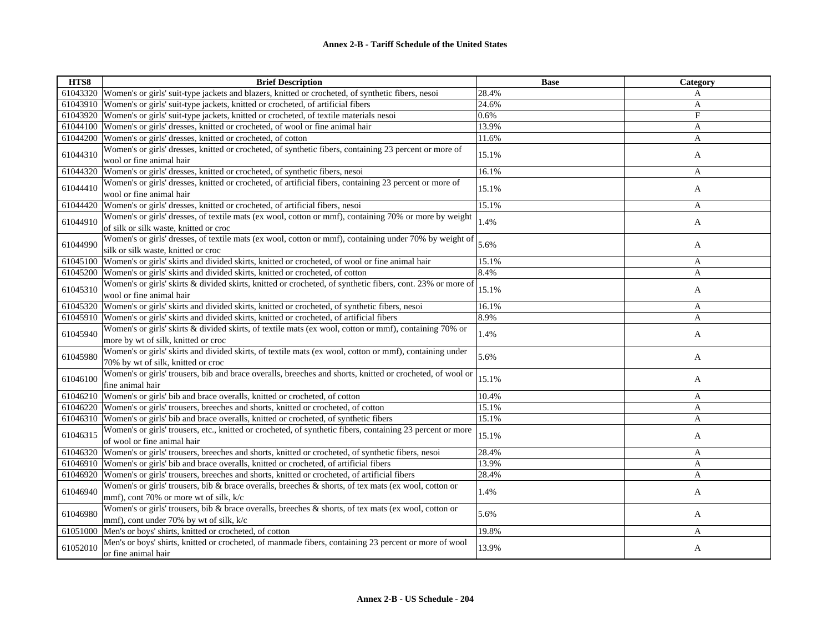| HTS8     | <b>Brief Description</b>                                                                                                                          | <b>Base</b> | Category |
|----------|---------------------------------------------------------------------------------------------------------------------------------------------------|-------------|----------|
|          | 61043320 Women's or girls' suit-type jackets and blazers, knitted or crocheted, of synthetic fibers, nesoi                                        | 28.4%       | A        |
|          | 61043910 Women's or girls' suit-type jackets, knitted or crocheted, of artificial fibers                                                          | 24.6%       | A        |
|          | 61043920 Women's or girls' suit-type jackets, knitted or crocheted, of textile materials nesoi                                                    | 0.6%        | F        |
| 61044100 | Women's or girls' dresses, knitted or crocheted, of wool or fine animal hair                                                                      | 13.9%       | A        |
|          | 61044200 Women's or girls' dresses, knitted or crocheted, of cotton                                                                               | 11.6%       | A        |
| 61044310 | Women's or girls' dresses, knitted or crocheted, of synthetic fibers, containing 23 percent or more of<br>wool or fine animal hair                | 15.1%       | A        |
|          | 61044320 Women's or girls' dresses, knitted or crocheted, of synthetic fibers, nesoi                                                              | 16.1%       | A        |
| 61044410 | Women's or girls' dresses, knitted or crocheted, of artificial fibers, containing 23 percent or more of<br>wool or fine animal hair               | 15.1%       | A        |
| 61044420 | Women's or girls' dresses, knitted or crocheted, of artificial fibers, nesoi                                                                      | 15.1%       | A        |
| 61044910 | Women's or girls' dresses, of textile mats (ex wool, cotton or mmf), containing 70% or more by weight<br>of silk or silk waste, knitted or croc   | 1.4%        | A        |
| 61044990 | Women's or girls' dresses, of textile mats (ex wool, cotton or mmf), containing under 70% by weight of<br>silk or silk waste, knitted or croc     | 5.6%        | A        |
|          | 61045100 Women's or girls' skirts and divided skirts, knitted or crocheted, of wool or fine animal hair                                           | 15.1%       | A        |
|          | 61045200 Women's or girls' skirts and divided skirts, knitted or crocheted, of cotton                                                             | 8.4%        | A        |
| 61045310 | Women's or girls' skirts & divided skirts, knitted or crocheted, of synthetic fibers, cont. 23% or more of<br>wool or fine animal hair            | 15.1%       | A        |
|          | 61045320 Women's or girls' skirts and divided skirts, knitted or crocheted, of synthetic fibers, nesoi                                            | 16.1%       | A        |
| 61045910 | Women's or girls' skirts and divided skirts, knitted or crocheted, of artificial fibers                                                           | 8.9%        | A        |
| 61045940 | Women's or girls' skirts & divided skirts, of textile mats (ex wool, cotton or mmf), containing 70% or<br>more by wt of silk, knitted or croc     | 1.4%        | A        |
| 61045980 | Women's or girls' skirts and divided skirts, of textile mats (ex wool, cotton or mmf), containing under<br>70% by wt of silk, knitted or croc     | 5.6%        | A        |
| 61046100 | Women's or girls' trousers, bib and brace overalls, breeches and shorts, knitted or crocheted, of wool or<br>fine animal hair                     | 15.1%       | A        |
|          | 61046210 Women's or girls' bib and brace overalls, knitted or crocheted, of cotton                                                                | 10.4%       | A        |
|          | 61046220 Women's or girls' trousers, breeches and shorts, knitted or crocheted, of cotton                                                         | 15.1%       | A        |
|          | 61046310 Women's or girls' bib and brace overalls, knitted or crocheted, of synthetic fibers                                                      | 15.1%       | A        |
| 61046315 | Women's or girls' trousers, etc., knitted or crocheted, of synthetic fibers, containing 23 percent or more<br>of wool or fine animal hair         | 15.1%       | A        |
|          | 61046320 Women's or girls' trousers, breeches and shorts, knitted or crocheted, of synthetic fibers, nesoi                                        | 28.4%       | A        |
|          | 61046910 Women's or girls' bib and brace overalls, knitted or crocheted, of artificial fibers                                                     | 13.9%       | A        |
|          | 61046920 Women's or girls' trousers, breeches and shorts, knitted or crocheted, of artificial fibers                                              | 28.4%       | A        |
| 61046940 | Women's or girls' trousers, bib & brace overalls, breeches & shorts, of tex mats (ex wool, cotton or<br>mmf), cont 70% or more wt of silk, k/c    | 1.4%        | A        |
| 61046980 | Women's or girls' trousers, bib & brace overalls, breeches & shorts, of tex mats (ex wool, cotton or<br>mmf), cont under 70% by wt of silk, $k/c$ | 5.6%        | A        |
|          | 61051000 Men's or boys' shirts, knitted or crocheted, of cotton                                                                                   | 19.8%       | A        |
| 61052010 | Men's or boys' shirts, knitted or crocheted, of manmade fibers, containing 23 percent or more of wool<br>or fine animal hair                      | 13.9%       | A        |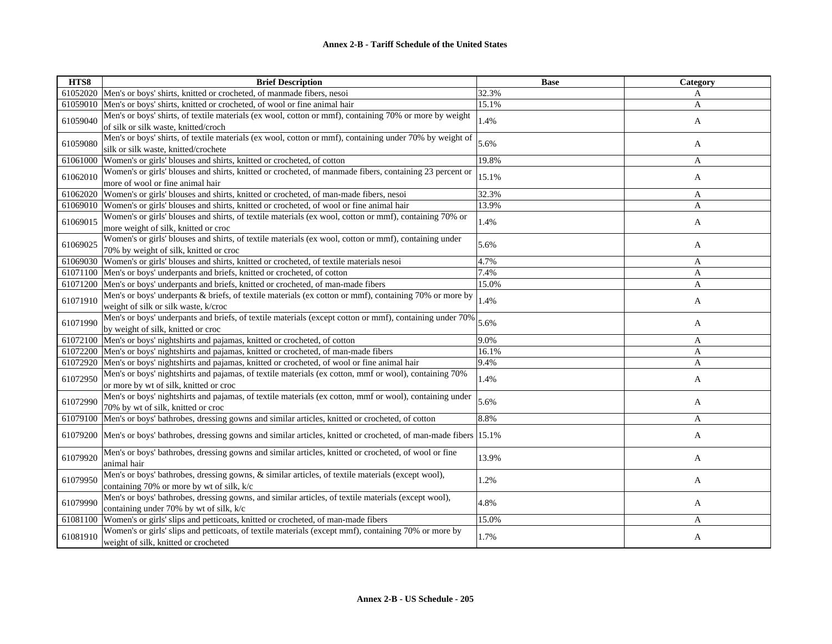| HTS8     | <b>Brief Description</b>                                                                                      | <b>Base</b> | Category     |
|----------|---------------------------------------------------------------------------------------------------------------|-------------|--------------|
|          | 61052020 Men's or boys' shirts, knitted or crocheted, of manmade fibers, nesoi                                | 32.3%       | A            |
| 61059010 | Men's or boys' shirts, knitted or crocheted, of wool or fine animal hair                                      | 15.1%       | A            |
| 61059040 | Men's or boys' shirts, of textile materials (ex wool, cotton or mmf), containing 70% or more by weight        | 1.4%        |              |
|          | of silk or silk waste, knitted/croch                                                                          |             | A            |
| 61059080 | Men's or boys' shirts, of textile materials (ex wool, cotton or mmf), containing under 70% by weight of       | 5.6%        | A            |
|          | silk or silk waste, knitted/crochete                                                                          |             |              |
| 61061000 | Women's or girls' blouses and shirts, knitted or crocheted, of cotton                                         | 19.8%       | A            |
| 61062010 | Women's or girls' blouses and shirts, knitted or crocheted, of manmade fibers, containing 23 percent or       | 15.1%       | A            |
|          | more of wool or fine animal hair                                                                              |             |              |
| 61062020 | Women's or girls' blouses and shirts, knitted or crocheted, of man-made fibers, nesoi                         | 32.3%       | A            |
| 61069010 | Women's or girls' blouses and shirts, knitted or crocheted, of wool or fine animal hair                       | 13.9%       | A            |
| 61069015 | Women's or girls' blouses and shirts, of textile materials (ex wool, cotton or mmf), containing 70% or        | 1.4%        | A            |
|          | more weight of silk, knitted or croc                                                                          |             |              |
| 61069025 | Women's or girls' blouses and shirts, of textile materials (ex wool, cotton or mmf), containing under         | 5.6%        | A            |
|          | 70% by weight of silk, knitted or croc                                                                        |             |              |
| 61069030 | Women's or girls' blouses and shirts, knitted or crocheted, of textile materials nesoi                        | 4.7%        | A            |
| 61071100 | Men's or boys' underpants and briefs, knitted or crocheted, of cotton                                         | 7.4%        | A            |
| 61071200 | Men's or boys' underpants and briefs, knitted or crocheted, of man-made fibers                                | 15.0%       | A            |
| 61071910 | Men's or boys' underpants & briefs, of textile materials (ex cotton or mmf), containing 70% or more by        | 1.4%        | $\mathbf{A}$ |
|          | weight of silk or silk waste, k/croc                                                                          |             |              |
| 61071990 | Men's or boys' underpants and briefs, of textile materials (except cotton or mmf), containing under 70%       | 5.6%        | A            |
|          | by weight of silk, knitted or croc                                                                            |             |              |
| 61072100 | Men's or boys' nightshirts and pajamas, knitted or crocheted, of cotton                                       | 9.0%        | A            |
|          | 61072200 Men's or boys' nightshirts and pajamas, knitted or crocheted, of man-made fibers                     | 16.1%       | A            |
| 61072920 | Men's or boys' nightshirts and pajamas, knitted or crocheted, of wool or fine animal hair                     | 9.4%        | A            |
| 61072950 | Men's or boys' nightshirts and pajamas, of textile materials (ex cotton, mmf or wool), containing 70%         | 1.4%        | A            |
|          | or more by wt of silk, knitted or croc                                                                        |             |              |
| 61072990 | Men's or boys' nightshirts and pajamas, of textile materials (ex cotton, mmf or wool), containing under       | 5.6%        | A            |
|          | 70% by wt of silk, knitted or croc                                                                            |             |              |
| 61079100 | Men's or boys' bathrobes, dressing gowns and similar articles, knitted or crocheted, of cotton                | 8.8%        | A            |
| 61079200 | Men's or boys' bathrobes, dressing gowns and similar articles, knitted or crocheted, of man-made fibers 15.1% |             | A            |
| 61079920 | Men's or boys' bathrobes, dressing gowns and similar articles, knitted or crocheted, of wool or fine          | 13.9%       | A            |
|          | animal hair                                                                                                   |             |              |
| 61079950 | Men's or boys' bathrobes, dressing gowns, & similar articles, of textile materials (except wool),             | 1.2%        | A            |
|          | containing 70% or more by wt of silk, k/c                                                                     |             |              |
| 61079990 | Men's or boys' bathrobes, dressing gowns, and similar articles, of textile materials (except wool),           | 4.8%        | A            |
|          | containing under 70% by wt of silk, k/c                                                                       |             |              |
| 61081100 | Women's or girls' slips and petticoats, knitted or crocheted, of man-made fibers                              | 15.0%       | A            |
| 61081910 | Women's or girls' slips and petticoats, of textile materials (except mmf), containing 70% or more by          | 1.7%        | A            |
|          | weight of silk, knitted or crocheted                                                                          |             |              |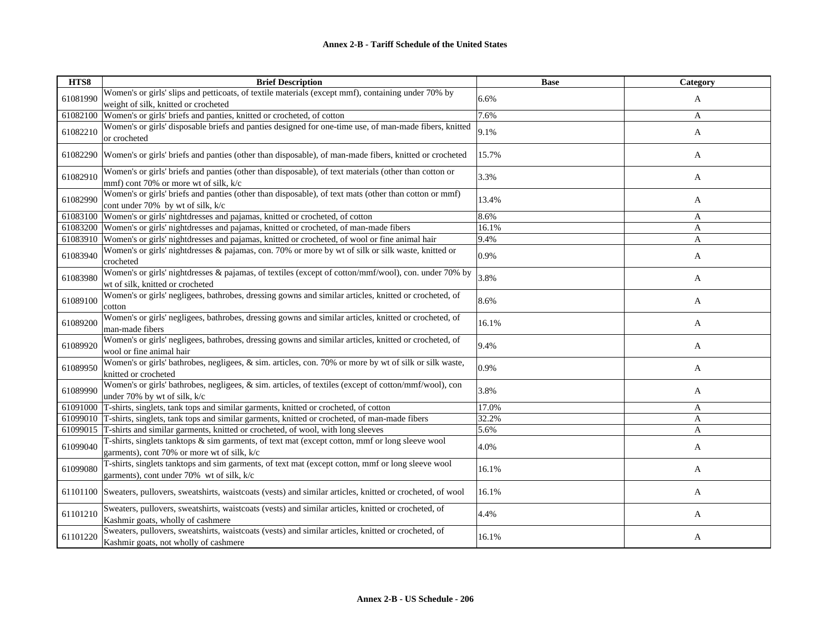| HTS8     | <b>Brief Description</b>                                                                                                                       | <b>Base</b> | Category     |
|----------|------------------------------------------------------------------------------------------------------------------------------------------------|-------------|--------------|
| 61081990 | Women's or girls' slips and petticoats, of textile materials (except mmf), containing under 70% by                                             | 6.6%        | A            |
|          | weight of silk, knitted or crocheted                                                                                                           |             |              |
| 61082100 | Women's or girls' briefs and panties, knitted or crocheted, of cotton                                                                          | 7.6%        | $\mathbf{A}$ |
| 61082210 | Women's or girls' disposable briefs and panties designed for one-time use, of man-made fibers, knitted<br>or crocheted                         | 9.1%        | A            |
| 61082290 | Women's or girls' briefs and panties (other than disposable), of man-made fibers, knitted or crocheted                                         | 15.7%       | A            |
| 61082910 | Women's or girls' briefs and panties (other than disposable), of text materials (other than cotton or<br>mmf) cont 70% or more wt of silk, k/c | 3.3%        | $\mathbf{A}$ |
| 61082990 | Women's or girls' briefs and panties (other than disposable), of text mats (other than cotton or mmf)<br>cont under 70% by wt of silk, k/c     | 13.4%       | A            |
| 61083100 | Women's or girls' nightdresses and pajamas, knitted or crocheted, of cotton                                                                    | 8.6%        | A            |
| 61083200 | Women's or girls' nightdresses and pajamas, knitted or crocheted, of man-made fibers                                                           | 16.1%       | A            |
|          | 61083910 Women's or girls' nightdresses and pajamas, knitted or crocheted, of wool or fine animal hair                                         | 9.4%        | A            |
| 61083940 | Women's or girls' nightdresses & pajamas, con. 70% or more by wt of silk or silk waste, knitted or<br>crocheted                                | 0.9%        | A            |
| 61083980 | Women's or girls' nightdresses & pajamas, of textiles (except of cotton/mmf/wool), con. under 70% by<br>wt of silk, knitted or crocheted       | 3.8%        | $\mathbf{A}$ |
| 61089100 | Women's or girls' negligees, bathrobes, dressing gowns and similar articles, knitted or crocheted, of<br>cotton                                | 8.6%        | A            |
| 61089200 | Women's or girls' negligees, bathrobes, dressing gowns and similar articles, knitted or crocheted, of<br>man-made fibers                       | 16.1%       | A            |
| 61089920 | Women's or girls' negligees, bathrobes, dressing gowns and similar articles, knitted or crocheted, of<br>wool or fine animal hair              | 9.4%        | A            |
| 61089950 | Women's or girls' bathrobes, negligees, & sim. articles, con. 70% or more by wt of silk or silk waste,<br>knitted or crocheted                 | 0.9%        | A            |
| 61089990 | Women's or girls' bathrobes, negligees, & sim. articles, of textiles (except of cotton/mmf/wool), con<br>under 70% by wt of silk, k/c          | 3.8%        | A            |
|          | 61091000 T-shirts, singlets, tank tops and similar garments, knitted or crocheted, of cotton                                                   | 17.0%       | A            |
|          | 61099010 T-shirts, singlets, tank tops and similar garments, knitted or crocheted, of man-made fibers                                          | 32.2%       | $\mathbf{A}$ |
|          | 61099015 T-shirts and similar garments, knitted or crocheted, of wool, with long sleeves                                                       | 5.6%        | A            |
| 61099040 | T-shirts, singlets tanktops & sim garments, of text mat (except cotton, mmf or long sleeve wool<br>garments), cont 70% or more wt of silk, k/c | 4.0%        | A            |
| 61099080 | T-shirts, singlets tanktops and sim garments, of text mat (except cotton, mmf or long sleeve wool<br>garments), cont under 70% wt of silk, k/c | 16.1%       | A            |
|          | 61101100 Sweaters, pullovers, sweatshirts, waistcoats (vests) and similar articles, knitted or crocheted, of wool                              | 16.1%       | A            |
| 61101210 | Sweaters, pullovers, sweatshirts, waistcoats (vests) and similar articles, knitted or crocheted, of<br>Kashmir goats, wholly of cashmere       | 4.4%        | A            |
| 61101220 | Sweaters, pullovers, sweatshirts, waistcoats (vests) and similar articles, knitted or crocheted, of<br>Kashmir goats, not wholly of cashmere   | 16.1%       | A            |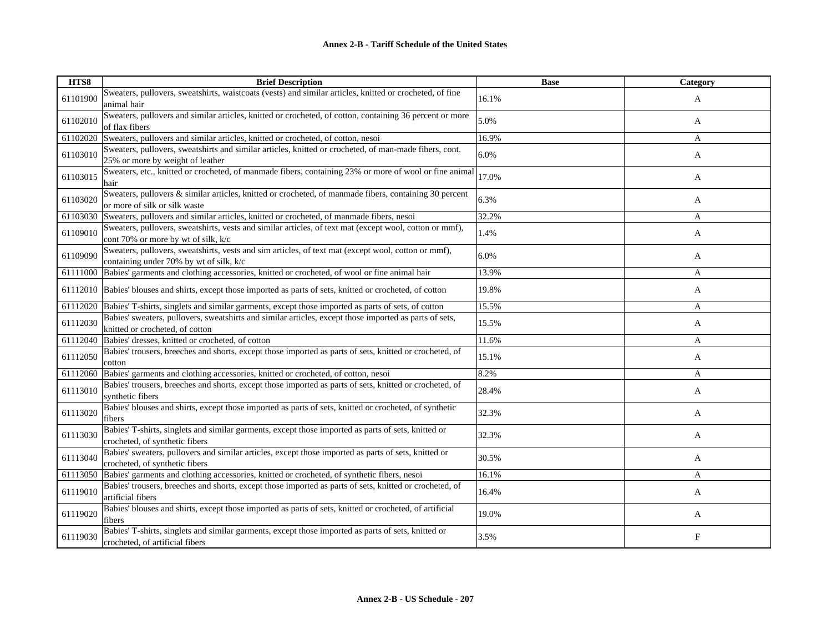| HTS8     | <b>Brief Description</b>                                                                                                                       | <b>Base</b> | Category     |
|----------|------------------------------------------------------------------------------------------------------------------------------------------------|-------------|--------------|
| 61101900 | Sweaters, pullovers, sweatshirts, waistcoats (vests) and similar articles, knitted or crocheted, of fine<br>animal hair                        | 16.1%       | A            |
| 61102010 | Sweaters, pullovers and similar articles, knitted or crocheted, of cotton, containing 36 percent or more<br>of flax fibers                     | 5.0%        | A            |
| 61102020 | Sweaters, pullovers and similar articles, knitted or crocheted, of cotton, nesoi                                                               | 16.9%       | A            |
| 61103010 | Sweaters, pullovers, sweatshirts and similar articles, knitted or crocheted, of man-made fibers, cont.<br>25% or more by weight of leather     | 6.0%        | A            |
| 61103015 | Sweaters, etc., knitted or crocheted, of manmade fibers, containing 23% or more of wool or fine animal<br>hair                                 | 17.0%       | A            |
| 61103020 | Sweaters, pullovers & similar articles, knitted or crocheted, of manmade fibers, containing 30 percent<br>or more of silk or silk waste        | 6.3%        | A            |
| 61103030 | Sweaters, pullovers and similar articles, knitted or crocheted, of manmade fibers, nesoi                                                       | 32.2%       | A            |
| 61109010 | Sweaters, pullovers, sweatshirts, vests and similar articles, of text mat (except wool, cotton or mmf),<br>cont 70% or more by wt of silk, k/c | 1.4%        | A            |
| 61109090 | Sweaters, pullovers, sweatshirts, vests and sim articles, of text mat (except wool, cotton or mmf),<br>containing under 70% by wt of silk, k/c | 6.0%        | A            |
|          | 61111000 Babies' garments and clothing accessories, knitted or crocheted, of wool or fine animal hair                                          | 13.9%       | A            |
|          | 61112010 Babies' blouses and shirts, except those imported as parts of sets, knitted or crocheted, of cotton                                   | 19.8%       | A            |
|          | 61112020 Babies' T-shirts, singlets and similar garments, except those imported as parts of sets, of cotton                                    | 15.5%       | $\mathbf{A}$ |
| 61112030 | Babies' sweaters, pullovers, sweatshirts and similar articles, except those imported as parts of sets,<br>knitted or crocheted, of cotton      | 15.5%       | A            |
| 61112040 | Babies' dresses, knitted or crocheted, of cotton                                                                                               | 11.6%       | A            |
| 61112050 | Babies' trousers, breeches and shorts, except those imported as parts of sets, knitted or crocheted, of<br>cotton                              | 15.1%       | A            |
| 61112060 | Babies' garments and clothing accessories, knitted or crocheted, of cotton, nesoi                                                              | 8.2%        | A            |
| 61113010 | Babies' trousers, breeches and shorts, except those imported as parts of sets, knitted or crocheted, of<br>synthetic fibers                    | 28.4%       | A            |
| 61113020 | Babies' blouses and shirts, except those imported as parts of sets, knitted or crocheted, of synthetic<br>fibers                               | 32.3%       | A            |
| 61113030 | Babies' T-shirts, singlets and similar garments, except those imported as parts of sets, knitted or<br>crocheted, of synthetic fibers          | 32.3%       | A            |
| 61113040 | Babies' sweaters, pullovers and similar articles, except those imported as parts of sets, knitted or<br>crocheted, of synthetic fibers         | 30.5%       | A            |
| 61113050 | Babies' garments and clothing accessories, knitted or crocheted, of synthetic fibers, nesoi                                                    | 16.1%       | A            |
| 61119010 | Babies' trousers, breeches and shorts, except those imported as parts of sets, knitted or crocheted, of<br>artificial fibers                   | 16.4%       | A            |
| 61119020 | Babies' blouses and shirts, except those imported as parts of sets, knitted or crocheted, of artificial<br>fibers                              | 19.0%       | A            |
| 61119030 | Babies' T-shirts, singlets and similar garments, except those imported as parts of sets, knitted or<br>crocheted, of artificial fibers         | 3.5%        | F            |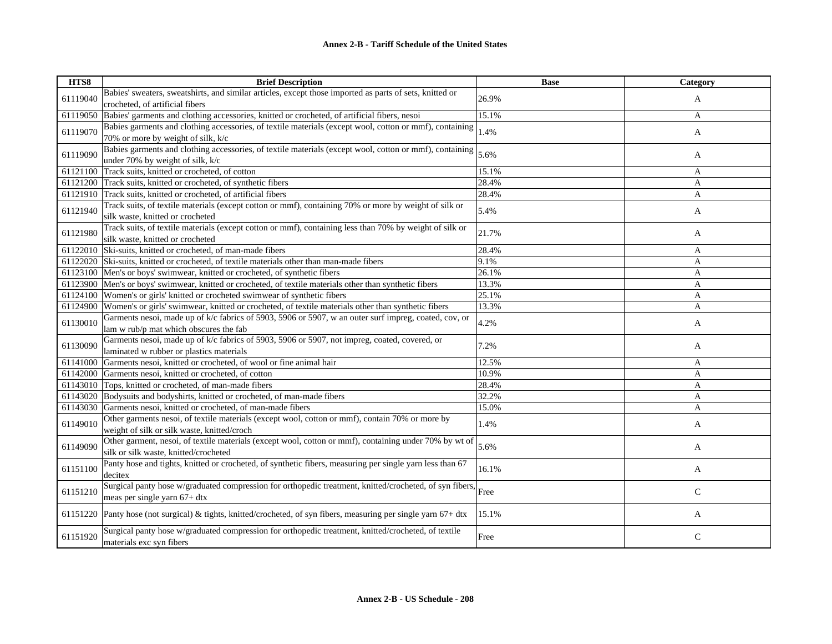| HTS8     | <b>Brief Description</b>                                                                                         | <b>Base</b> | Category     |
|----------|------------------------------------------------------------------------------------------------------------------|-------------|--------------|
| 61119040 | Babies' sweaters, sweatshirts, and similar articles, except those imported as parts of sets, knitted or          | 26.9%       | A            |
|          | crocheted, of artificial fibers                                                                                  |             |              |
| 61119050 | Babies' garments and clothing accessories, knitted or crocheted, of artificial fibers, nesoi                     | 15.1%       | A            |
| 61119070 | Babies garments and clothing accessories, of textile materials (except wool, cotton or mmf), containing          | 1.4%        | A            |
|          | 70% or more by weight of silk, k/c                                                                               |             |              |
| 61119090 | Babies garments and clothing accessories, of textile materials (except wool, cotton or mmf), containing          | 5.6%        | A            |
|          | under 70% by weight of silk, k/c                                                                                 |             |              |
| 61121100 | Track suits, knitted or crocheted, of cotton                                                                     | 15.1%       | A            |
| 61121200 | Track suits, knitted or crocheted, of synthetic fibers                                                           | 28.4%       | A            |
|          | 61121910 Track suits, knitted or crocheted, of artificial fibers                                                 | 28.4%       | A            |
| 61121940 | Track suits, of textile materials (except cotton or mmf), containing 70% or more by weight of silk or            |             |              |
|          | silk waste, knitted or crocheted                                                                                 | 5.4%        | A            |
|          | Track suits, of textile materials (except cotton or mmf), containing less than 70% by weight of silk or          |             |              |
| 61121980 | silk waste, knitted or crocheted                                                                                 | 21.7%       | A            |
| 61122010 | Ski-suits, knitted or crocheted, of man-made fibers                                                              | 28.4%       | A            |
| 61122020 | Ski-suits, knitted or crocheted, of textile materials other than man-made fibers                                 | 9.1%        | A            |
|          | 61123100 Men's or boys' swimwear, knitted or crocheted, of synthetic fibers                                      | 26.1%       | A            |
| 61123900 | Men's or boys' swimwear, knitted or crocheted, of textile materials other than synthetic fibers                  | 13.3%       | A            |
| 61124100 | Women's or girls' knitted or crocheted swimwear of synthetic fibers                                              | 25.1%       | A            |
| 61124900 | Women's or girls' swimwear, knitted or crocheted, of textile materials other than synthetic fibers               | 13.3%       | A            |
|          | Garments nesoi, made up of k/c fabrics of 5903, 5906 or 5907, w an outer surf impreg, coated, cov, or            |             |              |
| 61130010 | lam w rub/p mat which obscures the fab                                                                           | 4.2%        | A            |
|          | Garments nesoi, made up of k/c fabrics of 5903, 5906 or 5907, not impreg, coated, covered, or                    | 7.2%        |              |
| 61130090 | laminated w rubber or plastics materials                                                                         |             | A            |
| 61141000 | Garments nesoi, knitted or crocheted, of wool or fine animal hair                                                | 12.5%       | A            |
| 61142000 | Garments nesoi, knitted or crocheted, of cotton                                                                  | 10.9%       | A            |
| 61143010 | Tops, knitted or crocheted, of man-made fibers                                                                   | 28.4%       | A            |
| 61143020 | Bodysuits and bodyshirts, knitted or crocheted, of man-made fibers                                               | 32.2%       | A            |
| 61143030 | Garments nesoi, knitted or crocheted, of man-made fibers                                                         | 15.0%       | A            |
| 61149010 | Other garments nesoi, of textile materials (except wool, cotton or mmf), contain 70% or more by                  | 1.4%        |              |
|          | weight of silk or silk waste, knitted/croch                                                                      |             | A            |
| 61149090 | Other garment, nesoi, of textile materials (except wool, cotton or mmf), containing under 70% by wt of           | 5.6%        | A            |
|          | silk or silk waste, knitted/crocheted                                                                            |             |              |
|          | Panty hose and tights, knitted or crocheted, of synthetic fibers, measuring per single yarn less than 67         | 16.1%       |              |
| 61151100 | decitex                                                                                                          |             | A            |
|          | Surgical panty hose w/graduated compression for orthopedic treatment, knitted/crocheted, of syn fibers,          |             |              |
| 61151210 | meas per single yarn 67+ dtx                                                                                     | Free        | $\mathbf C$  |
|          |                                                                                                                  | 15.1%       |              |
|          | 61151220 Panty hose (not surgical) & tights, knitted/crocheted, of syn fibers, measuring per single yarn 67+ dtx |             | A            |
|          | Surgical panty hose w/graduated compression for orthopedic treatment, knitted/crocheted, of textile              | Free        | $\mathsf{C}$ |
| 61151920 | materials exc syn fibers                                                                                         |             |              |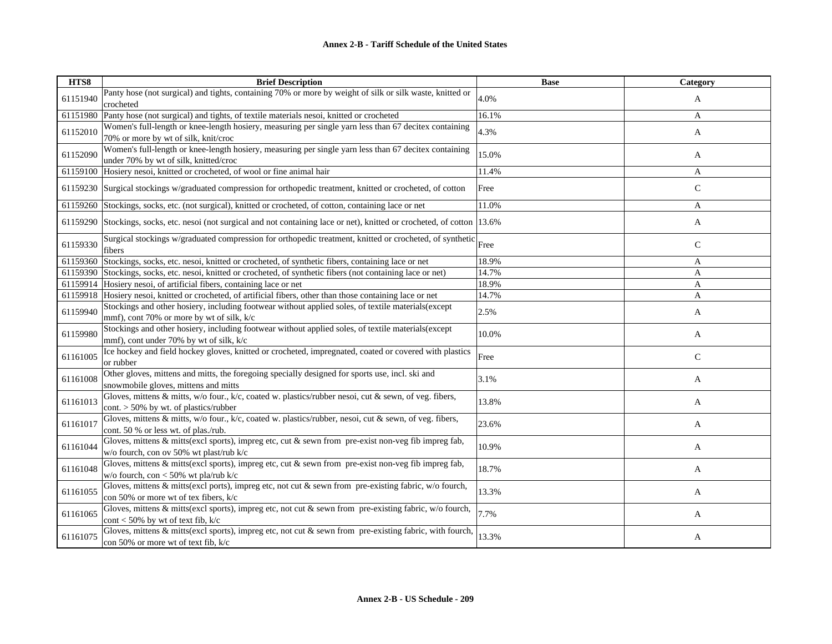| HTS8     | <b>Brief Description</b>                                                                                                                          | <b>Base</b> | Category     |
|----------|---------------------------------------------------------------------------------------------------------------------------------------------------|-------------|--------------|
| 61151940 | Panty hose (not surgical) and tights, containing 70% or more by weight of silk or silk waste, knitted or<br>crocheted                             | 4.0%        | A            |
| 61151980 | Panty hose (not surgical) and tights, of textile materials nesoi, knitted or crocheted                                                            | 16.1%       | A            |
| 61152010 | Women's full-length or knee-length hosiery, measuring per single yarn less than 67 decitex containing<br>70% or more by wt of silk, knit/croc     | 4.3%        | A            |
| 61152090 | Women's full-length or knee-length hosiery, measuring per single yarn less than 67 decitex containing<br>under 70% by wt of silk, knitted/croc    | 15.0%       | A            |
| 61159100 | Hosiery nesoi, knitted or crocheted, of wool or fine animal hair                                                                                  | 11.4%       | A            |
| 61159230 | Surgical stockings w/graduated compression for orthopedic treatment, knitted or crocheted, of cotton                                              | Free        | $\mathbf C$  |
| 61159260 | Stockings, socks, etc. (not surgical), knitted or crocheted, of cotton, containing lace or net                                                    | 11.0%       | A            |
| 61159290 | Stockings, socks, etc. nesoi (not surgical and not containing lace or net), knitted or crocheted, of cotton 13.6%                                 |             | A            |
| 61159330 | Surgical stockings w/graduated compression for orthopedic treatment, knitted or crocheted, of synthetic Free<br>fibers                            |             | $\mathbf C$  |
| 61159360 | Stockings, socks, etc. nesoi, knitted or crocheted, of synthetic fibers, containing lace or net                                                   | 18.9%       | A            |
| 61159390 | Stockings, socks, etc. nesoi, knitted or crocheted, of synthetic fibers (not containing lace or net)                                              | 14.7%       | A            |
| 61159914 | Hosiery nesoi, of artificial fibers, containing lace or net                                                                                       | 18.9%       | A            |
|          | 61159918 Hosiery nesoi, knitted or crocheted, of artificial fibers, other than those containing lace or net                                       | 14.7%       | A            |
| 61159940 | Stockings and other hosiery, including footwear without applied soles, of textile materials (except<br>mmf), cont 70% or more by wt of silk, k/c  | 2.5%        | A            |
| 61159980 | Stockings and other hosiery, including footwear without applied soles, of textile materials(except<br>mmf), cont under 70% by wt of silk, k/c     | 10.0%       | A            |
| 61161005 | Ice hockey and field hockey gloves, knitted or crocheted, impregnated, coated or covered with plastics<br>or rubber                               | Free        | $\mathsf{C}$ |
| 61161008 | Other gloves, mittens and mitts, the foregoing specially designed for sports use, incl. ski and<br>snowmobile gloves, mittens and mitts           | 3.1%        | A            |
| 61161013 | Gloves, mittens & mitts, w/o four., k/c, coated w. plastics/rubber nesoi, cut & sewn, of veg. fibers,<br>cont. $> 50\%$ by wt. of plastics/rubber | 13.8%       | A            |
| 61161017 | Gloves, mittens & mitts, w/o four., k/c, coated w. plastics/rubber, nesoi, cut & sewn, of veg. fibers,<br>cont. 50 % or less wt. of plas./rub.    | 23.6%       | A            |
| 61161044 | Gloves, mittens & mitts(excl sports), impreg etc, cut & sewn from pre-exist non-veg fib impreg fab,<br>w/o fourch, con ov 50% wt plast/rub k/c    | 10.9%       | A            |
| 61161048 | Gloves, mittens & mitts(excl sports), impreg etc, cut & sewn from pre-exist non-veg fib impreg fab,<br>w/o fourch, con < 50% wt pla/rub k/c       | 18.7%       | A            |
| 61161055 | Gloves, mittens & mitts(excl ports), impreg etc, not cut & sewn from pre-existing fabric, w/o fourch,<br>con 50% or more wt of tex fibers, k/c    | 13.3%       | A            |
| 61161065 | Gloves, mittens & mitts(excl sports), impreg etc, not cut & sewn from pre-existing fabric, w/o fourch,<br>cont < 50% by wt of text fib, $k/c$     | 7.7%        | A            |
| 61161075 | Gloves, mittens & mitts(excl sports), impreg etc, not cut & sewn from pre-existing fabric, with fourch,<br>con 50% or more wt of text fib, k/c    | 13.3%       | A            |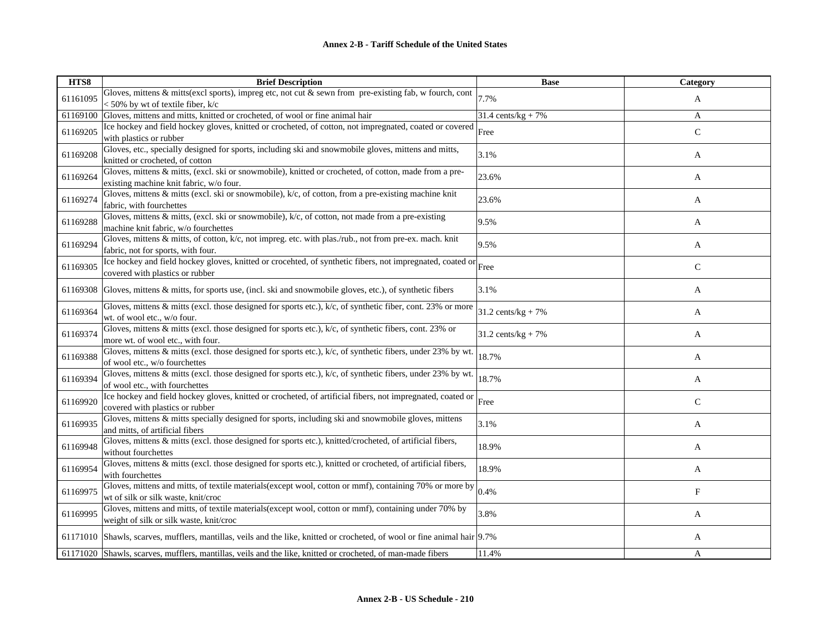| HTS8     | <b>Brief Description</b>                                                                                                                                        | <b>Base</b>                   | Category      |
|----------|-----------------------------------------------------------------------------------------------------------------------------------------------------------------|-------------------------------|---------------|
| 61161095 | Gloves, mittens & mitts(excl sports), impreg etc, not cut & sewn from pre-existing fab, w fourch, cont $\vert_{7.7\%}$<br>$<$ 50% by wt of textile fiber, $k/c$ |                               | A             |
| 61169100 | Gloves, mittens and mitts, knitted or crocheted, of wool or fine animal hair                                                                                    | $31.4 \text{ cents/kg} + 7\%$ | A             |
| 61169205 | Ice hockey and field hockey gloves, knitted or crocheted, of cotton, not impregnated, coated or covered<br>with plastics or rubber                              | Free                          | $\mathbf C$   |
| 61169208 | Gloves, etc., specially designed for sports, including ski and snowmobile gloves, mittens and mitts,<br>knitted or crocheted, of cotton                         | 3.1%                          | A             |
| 61169264 | Gloves, mittens & mitts, (excl. ski or snowmobile), knitted or crocheted, of cotton, made from a pre-<br>existing machine knit fabric, w/o four.                | 23.6%                         | A             |
| 61169274 | Gloves, mittens & mitts (excl. ski or snowmobile), k/c, of cotton, from a pre-existing machine knit<br>fabric, with fourchettes                                 | 23.6%                         | A             |
| 61169288 | Gloves, mittens & mitts, (excl. ski or snowmobile), $k/c$ , of cotton, not made from a pre-existing<br>machine knit fabric, w/o fourchettes                     | 9.5%                          | A             |
| 61169294 | Gloves, mittens & mitts, of cotton, k/c, not impreg. etc. with plas./rub., not from pre-ex. mach. knit<br>fabric, not for sports, with four.                    | 9.5%                          | A             |
| 61169305 | Ice hockey and field hockey gloves, knitted or crocehted, of synthetic fibers, not impregnated, coated or Free<br>covered with plastics or rubber               |                               | $\mathbf C$   |
| 61169308 | Gloves, mittens & mitts, for sports use, (incl. ski and snowmobile gloves, etc.), of synthetic fibers                                                           | 3.1%                          | A             |
| 61169364 | Gloves, mittens & mitts (excl. those designed for sports etc.), $k/c$ , of synthetic fiber, cont. 23% or more<br>wt. of wool etc., w/o four.                    | $31.2 \text{ cents/kg} + 7\%$ | A             |
| 61169374 | Gloves, mittens & mitts (excl. those designed for sports etc.), $k/c$ , of synthetic fibers, cont. 23% or<br>more wt. of wool etc., with four.                  | $31.2 \text{ cents/kg} + 7\%$ | A             |
| 61169388 | Gloves, mittens & mitts (excl. those designed for sports etc.), k/c, of synthetic fibers, under 23% by wt.<br>of wool etc., w/o fourchettes                     | 18.7%                         | A             |
| 61169394 | Gloves, mittens & mitts (excl. those designed for sports etc.), k/c, of synthetic fibers, under 23% by wt.<br>of wool etc., with fourchettes                    | 18.7%                         | A             |
| 61169920 | Ice hockey and field hockey gloves, knitted or crocheted, of artificial fibers, not impregnated, coated or<br>covered with plastics or rubber                   | Free                          | $\mathcal{C}$ |
| 61169935 | Gloves, mittens & mitts specially designed for sports, including ski and snowmobile gloves, mittens<br>and mitts, of artificial fibers                          | 3.1%                          | A             |
| 61169948 | Gloves, mittens & mitts (excl. those designed for sports etc.), knitted/crocheted, of artificial fibers,<br>without fourchettes                                 | 18.9%                         | A             |
| 61169954 | Gloves, mittens & mitts (excl. those designed for sports etc.), knitted or crocheted, of artificial fibers,<br>with fourchettes                                 | 18.9%                         | A             |
| 61169975 | Gloves, mittens and mitts, of textile materials (except wool, cotton or mmf), containing 70% or more by<br>wt of silk or silk waste, knit/croc                  | 0.4%                          | F             |
| 61169995 | Gloves, mittens and mitts, of textile materials (except wool, cotton or mmf), containing under 70% by<br>weight of silk or silk waste, knit/croc                | 3.8%                          | A             |
|          | 61171010 Shawls, scarves, mufflers, mantillas, veils and the like, knitted or crocheted, of wool or fine animal hair 9.7%                                       |                               | A             |
|          | 61171020 Shawls, scarves, mufflers, mantillas, veils and the like, knitted or crocheted, of man-made fibers                                                     | 11.4%                         | A             |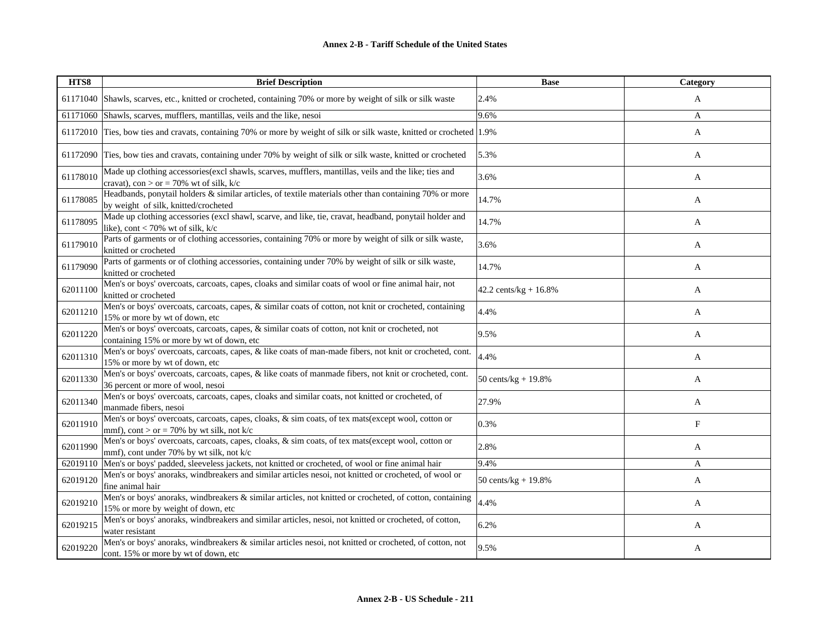| HTS8     | <b>Brief Description</b>                                                                                                                           | <b>Base</b>             | Category     |
|----------|----------------------------------------------------------------------------------------------------------------------------------------------------|-------------------------|--------------|
|          | 61171040 Shawls, scarves, etc., knitted or crocheted, containing 70% or more by weight of silk or silk waste                                       | 2.4%                    | A            |
|          | 61171060 Shawls, scarves, mufflers, mantillas, veils and the like, nesoi                                                                           | 9.6%                    | A            |
|          | 61172010 Ties, bow ties and cravats, containing 70% or more by weight of silk or silk waste, knitted or crocheted 1.9%                             |                         | $\mathbf{A}$ |
| 61172090 | Ties, bow ties and cravats, containing under 70% by weight of silk or silk waste, knitted or crocheted                                             | 5.3%                    | A            |
| 61178010 | Made up clothing accessories (excl shawls, scarves, mufflers, mantillas, veils and the like; ties and<br>cravat), con > or = 70% wt of silk, $k/c$ | 3.6%                    | A            |
| 61178085 | Headbands, ponytail holders & similar articles, of textile materials other than containing 70% or more<br>by weight of silk, knitted/crocheted     | 14.7%                   | A            |
| 61178095 | Made up clothing accessories (excl shawl, scarve, and like, tie, cravat, headband, ponytail holder and<br>like), cont < 70% wt of silk, $k/c$      | 14.7%                   | A            |
| 61179010 | Parts of garments or of clothing accessories, containing 70% or more by weight of silk or silk waste,<br>knitted or crocheted                      | 3.6%                    | A            |
| 61179090 | Parts of garments or of clothing accessories, containing under 70% by weight of silk or silk waste,<br>knitted or crocheted                        | 14.7%                   | A            |
| 62011100 | Men's or boys' overcoats, carcoats, capes, cloaks and similar coats of wool or fine animal hair, not<br>knitted or crocheted                       | 42.2 cents/kg + 16.8%   | A            |
| 62011210 | Men's or boys' overcoats, carcoats, capes, & similar coats of cotton, not knit or crocheted, containing<br>15% or more by wt of down, etc          | 4.4%                    | A            |
| 62011220 | Men's or boys' overcoats, carcoats, capes, & similar coats of cotton, not knit or crocheted, not<br>containing 15% or more by wt of down, etc      | 9.5%                    | A            |
| 62011310 | Men's or boys' overcoats, carcoats, capes, & like coats of man-made fibers, not knit or crocheted, cont.<br>15% or more by wt of down, etc         | 4.4%                    | A            |
| 62011330 | Men's or boys' overcoats, carcoats, capes, & like coats of manmade fibers, not knit or crocheted, cont.<br>36 percent or more of wool, nesoi       | 50 cents/ $kg + 19.8\%$ | A            |
| 62011340 | Men's or boys' overcoats, carcoats, capes, cloaks and similar coats, not knitted or crocheted, of<br>manmade fibers, nesoi                         | 27.9%                   | A            |
| 62011910 | Men's or boys' overcoats, carcoats, capes, cloaks, & sim coats, of tex mats(except wool, cotton or<br>mmf), cont > or = 70% by wt silk, not k/c    | 0.3%                    | F            |
| 62011990 | Men's or boys' overcoats, carcoats, capes, cloaks, & sim coats, of tex mats(except wool, cotton or<br>mmf), cont under 70% by wt silk, not k/c     | 2.8%                    | A            |
| 62019110 | Men's or boys' padded, sleeveless jackets, not knitted or crocheted, of wool or fine animal hair                                                   | 9.4%                    | A            |
| 62019120 | Men's or boys' anoraks, windbreakers and similar articles nesoi, not knitted or crocheted, of wool or<br>fine animal hair                          | 50 cents/kg + 19.8%     | A            |
| 62019210 | Men's or boys' anoraks, windbreakers & similar articles, not knitted or crocheted, of cotton, containing<br>15% or more by weight of down, etc     | 4.4%                    | A            |
| 62019215 | Men's or boys' anoraks, windbreakers and similar articles, nesoi, not knitted or crocheted, of cotton,<br>water resistant                          | 6.2%                    | A            |
| 62019220 | Men's or boys' anoraks, windbreakers & similar articles nesoi, not knitted or crocheted, of cotton, not<br>cont. 15% or more by wt of down, etc    | 9.5%                    | A            |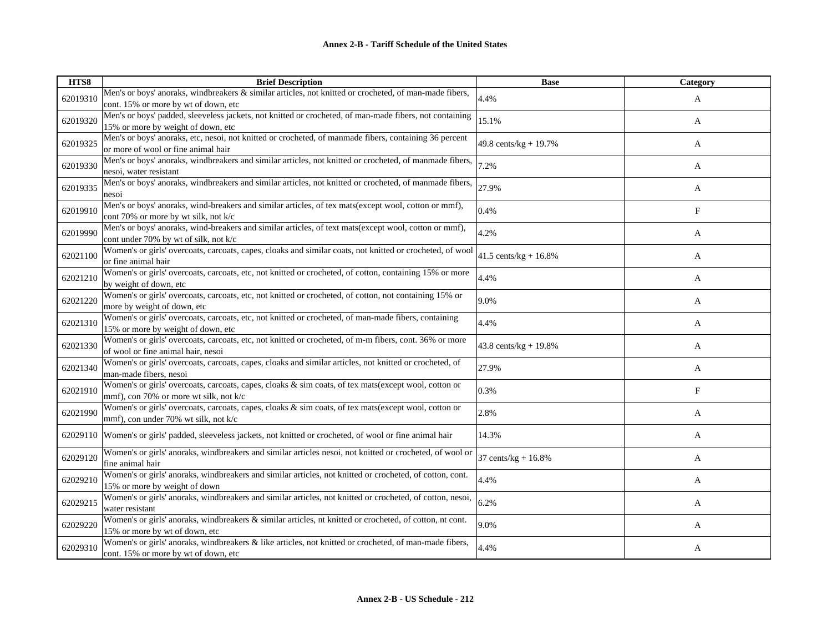| HTS8     | <b>Brief Description</b>                                                                                                                         | <b>Base</b>                | Category     |
|----------|--------------------------------------------------------------------------------------------------------------------------------------------------|----------------------------|--------------|
| 62019310 | Men's or boys' anoraks, windbreakers & similar articles, not knitted or crocheted, of man-made fibers,<br>cont. 15% or more by wt of down, etc   | 4.4%                       | A            |
| 62019320 | Men's or boys' padded, sleeveless jackets, not knitted or crocheted, of man-made fibers, not containing<br>15% or more by weight of down, etc    | 15.1%                      | A            |
| 62019325 | Men's or boys' anoraks, etc, nesoi, not knitted or crocheted, of manmade fibers, containing 36 percent<br>or more of wool or fine animal hair    | 49.8 cents/kg + 19.7%      | A            |
| 62019330 | Men's or boys' anoraks, windbreakers and similar articles, not knitted or crocheted, of manmade fibers,<br>nesoi, water resistant                | 7.2%                       | A            |
| 62019335 | Men's or boys' anoraks, windbreakers and similar articles, not knitted or crocheted, of manmade fibers,<br>nesoi                                 | 27.9%                      | A            |
| 62019910 | Men's or boys' anoraks, wind-breakers and similar articles, of tex mats(except wool, cotton or mmf),<br>cont 70% or more by wt silk, not k/c     | 0.4%                       | $\mathbf{F}$ |
| 62019990 | Men's or boys' anoraks, wind-breakers and similar articles, of text mats(except wool, cotton or mmf),<br>cont under 70% by wt of silk, not k/c   | 4.2%                       | A            |
| 62021100 | Women's or girls' overcoats, carcoats, capes, cloaks and similar coats, not knitted or crocheted, of wool<br>or fine animal hair                 | $41.5$ cents/kg + $16.8\%$ | A            |
| 62021210 | Women's or girls' overcoats, carcoats, etc, not knitted or crocheted, of cotton, containing 15% or more<br>by weight of down, etc                | 4.4%                       | A            |
| 62021220 | Women's or girls' overcoats, carcoats, etc, not knitted or crocheted, of cotton, not containing 15% or<br>more by weight of down, etc            | 9.0%                       | A            |
| 62021310 | Women's or girls' overcoats, carcoats, etc, not knitted or crocheted, of man-made fibers, containing<br>15% or more by weight of down, etc       | 4.4%                       | A            |
| 62021330 | Women's or girls' overcoats, carcoats, etc, not knitted or crocheted, of m-m fibers, cont. 36% or more<br>of wool or fine animal hair, nesoi     | 43.8 cents/kg + $19.8%$    | A            |
| 62021340 | Women's or girls' overcoats, carcoats, capes, cloaks and similar articles, not knitted or crocheted, of<br>man-made fibers, nesoi                | 27.9%                      | A            |
| 62021910 | Women's or girls' overcoats, carcoats, capes, cloaks & sim coats, of tex mats(except wool, cotton or<br>mmf), con 70% or more wt silk, not $k/c$ | 0.3%                       | $_{\rm F}$   |
| 62021990 | Women's or girls' overcoats, carcoats, capes, cloaks & sim coats, of tex mats(except wool, cotton or<br>mmf), con under 70% wt silk, not k/c     | 2.8%                       | A            |
| 62029110 | Women's or girls' padded, sleeveless jackets, not knitted or crocheted, of wool or fine animal hair                                              | 14.3%                      | A            |
| 62029120 | Women's or girls' anoraks, windbreakers and similar articles nesoi, not knitted or crocheted, of wool or<br>fine animal hair                     | 37 cents/ $kg + 16.8%$     | A            |
| 62029210 | Women's or girls' anoraks, windbreakers and similar articles, not knitted or crocheted, of cotton, cont.<br>15% or more by weight of down        | 4.4%                       | A            |
| 62029215 | Women's or girls' anoraks, windbreakers and similar articles, not knitted or crocheted, of cotton, nesoi,<br>water resistant                     | 6.2%                       | A            |
| 62029220 | Women's or girls' anoraks, windbreakers & similar articles, nt knitted or crocheted, of cotton, nt cont.<br>15% or more by wt of down, etc       | 9.0%                       | A            |
| 62029310 | Women's or girls' anoraks, windbreakers & like articles, not knitted or crocheted, of man-made fibers,<br>cont. 15% or more by wt of down, etc   | 4.4%                       | A            |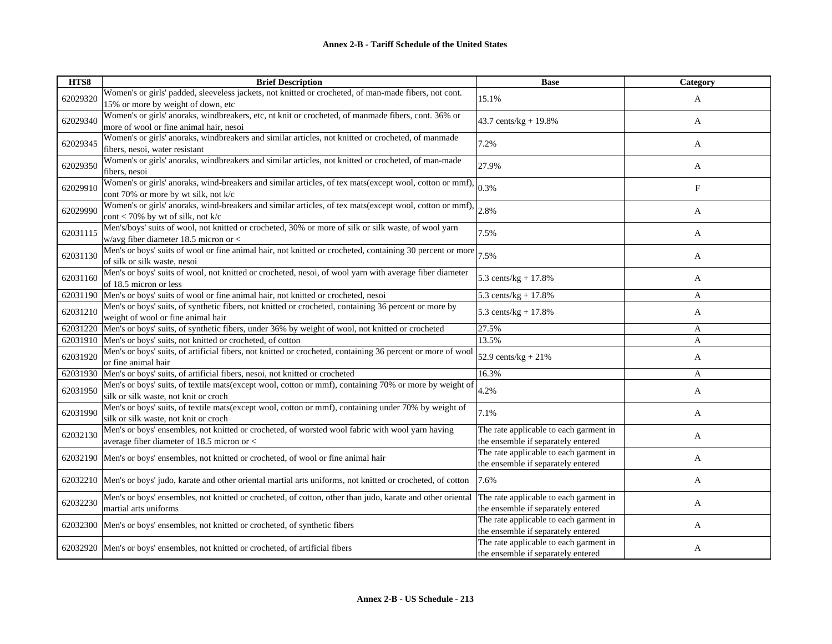| HTS8     | <b>Brief Description</b>                                                                                                                              | <b>Base</b>                                                                  | Category   |
|----------|-------------------------------------------------------------------------------------------------------------------------------------------------------|------------------------------------------------------------------------------|------------|
| 62029320 | Women's or girls' padded, sleeveless jackets, not knitted or crocheted, of man-made fibers, not cont.<br>15% or more by weight of down, etc           | 15.1%                                                                        | A          |
| 62029340 | Women's or girls' anoraks, windbreakers, etc, nt knit or crocheted, of manmade fibers, cont. 36% or<br>more of wool or fine animal hair, nesoi        | 43.7 cents/kg + 19.8%                                                        | A          |
| 62029345 | Women's or girls' anoraks, windbreakers and similar articles, not knitted or crocheted, of manmade<br>fibers, nesoi, water resistant                  | 7.2%                                                                         | A          |
| 62029350 | Women's or girls' anoraks, windbreakers and similar articles, not knitted or crocheted, of man-made<br>fibers, nesoi                                  | 27.9%                                                                        | A          |
| 62029910 | Women's or girls' anoraks, wind-breakers and similar articles, of tex mats(except wool, cotton or mmf),<br>cont 70% or more by wt silk, not k/c       | 0.3%                                                                         | $_{\rm F}$ |
| 62029990 | Women's or girls' anoraks, wind-breakers and similar articles, of tex mats(except wool, cotton or mmf).<br>$\text{cont}$ < 70% by wt of silk, not k/c | 2.8%                                                                         | A          |
| 62031115 | Men's/boys' suits of wool, not knitted or crocheted, 30% or more of silk or silk waste, of wool yarn<br>w/avg fiber diameter 18.5 micron or $<$       | 7.5%                                                                         | A          |
| 62031130 | Men's or boys' suits of wool or fine animal hair, not knitted or crocheted, containing 30 percent or more<br>of silk or silk waste, nesoi             | 7.5%                                                                         | A          |
| 62031160 | Men's or boys' suits of wool, not knitted or crocheted, nesoi, of wool yarn with average fiber diameter<br>of 18.5 micron or less                     | 5.3 cents/ $kg + 17.8%$                                                      | A          |
| 62031190 | Men's or boys' suits of wool or fine animal hair, not knitted or crocheted, nesoi                                                                     | 5.3 cents/kg + $17.8%$                                                       | A          |
| 62031210 | Men's or boys' suits, of synthetic fibers, not knitted or crocheted, containing 36 percent or more by<br>weight of wool or fine animal hair           | 5.3 cents/ $kg + 17.8%$                                                      | A          |
| 62031220 | Men's or boys' suits, of synthetic fibers, under 36% by weight of wool, not knitted or crocheted                                                      | 27.5%                                                                        | A          |
| 62031910 | Men's or boys' suits, not knitted or crocheted, of cotton                                                                                             | 13.5%                                                                        | A          |
| 62031920 | Men's or boys' suits, of artificial fibers, not knitted or crocheted, containing 36 percent or more of wool<br>or fine animal hair                    | 52.9 cents/ $kg + 21%$                                                       | A          |
| 62031930 | Men's or boys' suits, of artificial fibers, nesoi, not knitted or crocheted                                                                           | 16.3%                                                                        | A          |
| 62031950 | Men's or boys' suits, of textile mats(except wool, cotton or mmf), containing 70% or more by weight of<br>silk or silk waste, not knit or croch       | 4.2%                                                                         | A          |
| 62031990 | Men's or boys' suits, of textile mats(except wool, cotton or mmf), containing under 70% by weight of<br>silk or silk waste, not knit or croch         | 7.1%                                                                         | A          |
| 62032130 | Men's or boys' ensembles, not knitted or crocheted, of worsted wool fabric with wool yarn having<br>average fiber diameter of 18.5 micron or <        | The rate applicable to each garment in<br>the ensemble if separately entered | A          |
| 62032190 | Men's or boys' ensembles, not knitted or crocheted, of wool or fine animal hair                                                                       | The rate applicable to each garment in<br>the ensemble if separately entered | A          |
| 62032210 | Men's or boys' judo, karate and other oriental martial arts uniforms, not knitted or crocheted, of cotton                                             | 7.6%                                                                         | A          |
| 62032230 | Men's or boys' ensembles, not knitted or crocheted, of cotton, other than judo, karate and other oriental<br>martial arts uniforms                    | The rate applicable to each garment in<br>the ensemble if separately entered | A          |
| 62032300 | Men's or boys' ensembles, not knitted or crocheted, of synthetic fibers                                                                               | The rate applicable to each garment in<br>the ensemble if separately entered | A          |
|          | 62032920 Men's or boys' ensembles, not knitted or crocheted, of artificial fibers                                                                     | The rate applicable to each garment in<br>the ensemble if separately entered | A          |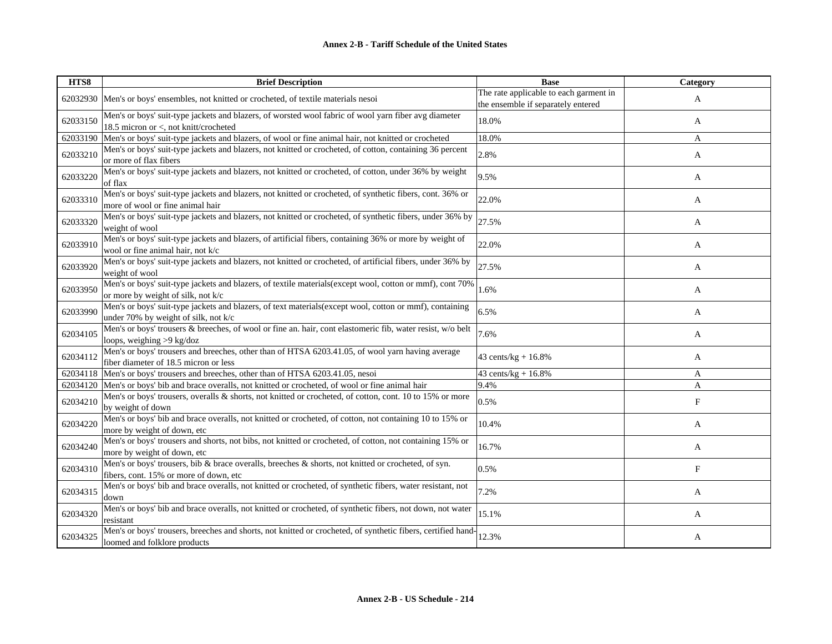| HTS8     | <b>Brief Description</b>                                                                                                                        | <b>Base</b>                                                                  | Category                  |
|----------|-------------------------------------------------------------------------------------------------------------------------------------------------|------------------------------------------------------------------------------|---------------------------|
|          | 62032930 Men's or boys' ensembles, not knitted or crocheted, of textile materials nesoi                                                         | The rate applicable to each garment in<br>the ensemble if separately entered | A                         |
| 62033150 | Men's or boys' suit-type jackets and blazers, of worsted wool fabric of wool yarn fiber avg diameter<br>18.5 micron or <, not knitt/crocheted   | 18.0%                                                                        | A                         |
| 62033190 | Men's or boys' suit-type jackets and blazers, of wool or fine animal hair, not knitted or crocheted                                             | 18.0%                                                                        | A                         |
| 62033210 | Men's or boys' suit-type jackets and blazers, not knitted or crocheted, of cotton, containing 36 percent<br>or more of flax fibers              | 2.8%                                                                         | A                         |
| 62033220 | Men's or boys' suit-type jackets and blazers, not knitted or crocheted, of cotton, under 36% by weight<br>of flax                               | 9.5%                                                                         | A                         |
| 62033310 | Men's or boys' suit-type jackets and blazers, not knitted or crocheted, of synthetic fibers, cont. 36% or<br>more of wool or fine animal hair   | 22.0%                                                                        | A                         |
| 62033320 | Men's or boys' suit-type jackets and blazers, not knitted or crocheted, of synthetic fibers, under 36% by<br>weight of wool                     | 27.5%                                                                        | A                         |
| 62033910 | Men's or boys' suit-type jackets and blazers, of artificial fibers, containing 36% or more by weight of<br>wool or fine animal hair, not k/c    | 22.0%                                                                        | A                         |
| 62033920 | Men's or boys' suit-type jackets and blazers, not knitted or crocheted, of artificial fibers, under 36% by<br>weight of wool                    | 27.5%                                                                        | A                         |
| 62033950 | Men's or boys' suit-type jackets and blazers, of textile materials(except wool, cotton or mmf), cont 70%<br>or more by weight of silk, not k/c  | 1.6%                                                                         | A                         |
| 62033990 | Men's or boys' suit-type jackets and blazers, of text materials(except wool, cotton or mmf), containing<br>under 70% by weight of silk, not k/c | 6.5%                                                                         | A                         |
| 62034105 | Men's or boys' trousers & breeches, of wool or fine an. hair, cont elastomeric fib, water resist, w/o belt<br>loops, weighing >9 kg/doz         | 7.6%                                                                         | A                         |
| 62034112 | Men's or boys' trousers and breeches, other than of HTSA 6203.41.05, of wool yarn having average<br>fiber diameter of 18.5 micron or less       | 43 cents/ $kg + 16.8%$                                                       | A                         |
| 62034118 | Men's or boys' trousers and breeches, other than of HTSA 6203.41.05, nesoi                                                                      | 43 cents/ $kg + 16.8%$                                                       | A                         |
| 62034120 | Men's or boys' bib and brace overalls, not knitted or crocheted, of wool or fine animal hair                                                    | 9.4%                                                                         | A                         |
| 62034210 | Men's or boys' trousers, overalls & shorts, not knitted or crocheted, of cotton, cont. 10 to 15% or more<br>by weight of down                   | 0.5%                                                                         | $\boldsymbol{\mathrm{F}}$ |
| 62034220 | Men's or boys' bib and brace overalls, not knitted or crocheted, of cotton, not containing 10 to 15% or<br>more by weight of down, etc          | 10.4%                                                                        | A                         |
| 62034240 | Men's or boys' trousers and shorts, not bibs, not knitted or crocheted, of cotton, not containing 15% or<br>more by weight of down, etc         | 16.7%                                                                        | A                         |
| 62034310 | Men's or boys' trousers, bib & brace overalls, breeches & shorts, not knitted or crocheted, of syn.<br>fibers, cont. 15% or more of down, etc   | 0.5%                                                                         | F                         |
| 62034315 | Men's or boys' bib and brace overalls, not knitted or crocheted, of synthetic fibers, water resistant, not<br>down                              | 7.2%                                                                         | A                         |
| 62034320 | Men's or boys' bib and brace overalls, not knitted or crocheted, of synthetic fibers, not down, not water<br>resistant                          | 15.1%                                                                        | A                         |
| 62034325 | Men's or boys' trousers, breeches and shorts, not knitted or crocheted, of synthetic fibers, certified hand-<br>loomed and folklore products    | 12.3%                                                                        | A                         |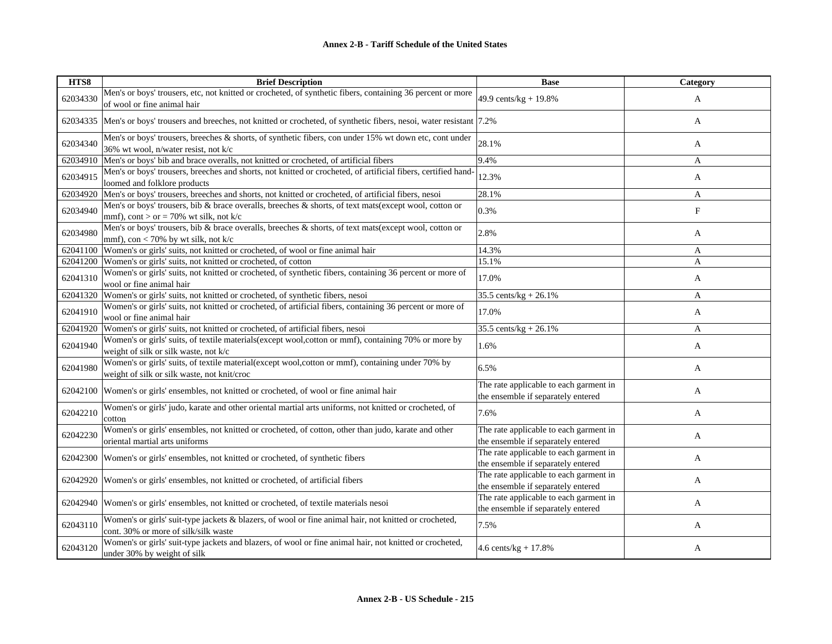| HTS8     | <b>Brief Description</b>                                                                                                                         | <b>Base</b>                                                                  | Category                  |
|----------|--------------------------------------------------------------------------------------------------------------------------------------------------|------------------------------------------------------------------------------|---------------------------|
| 62034330 | Men's or boys' trousers, etc, not knitted or crocheted, of synthetic fibers, containing 36 percent or more<br>of wool or fine animal hair        | 49.9 cents/kg + 19.8%                                                        | A                         |
| 62034335 | Men's or boys' trousers and breeches, not knitted or crocheted, of synthetic fibers, nesoi, water resistant  7.2%                                |                                                                              | A                         |
| 62034340 | Men's or boys' trousers, breeches & shorts, of synthetic fibers, con under 15% wt down etc, cont under<br>36% wt wool, n/water resist, not k/c   | 28.1%                                                                        | A                         |
| 62034910 | Men's or boys' bib and brace overalls, not knitted or crocheted, of artificial fibers                                                            | 9.4%                                                                         | A                         |
| 62034915 | Men's or boys' trousers, breeches and shorts, not knitted or crocheted, of artificial fibers, certified hand-<br>loomed and folklore products    | 12.3%                                                                        | A                         |
| 62034920 | Men's or boys' trousers, breeches and shorts, not knitted or crocheted, of artificial fibers, nesoi                                              | 28.1%                                                                        | A                         |
| 62034940 | Men's or boys' trousers, bib & brace overalls, breeches & shorts, of text mats(except wool, cotton or<br>mmf), cont > or = 70% wt silk, not k/c  | 0.3%                                                                         | $\boldsymbol{\mathrm{F}}$ |
| 62034980 | Men's or boys' trousers, bib & brace overalls, breeches & shorts, of text mats(except wool, cotton or<br>mmf), con < 70% by wt silk, not $k/c$   | 2.8%                                                                         | A                         |
| 62041100 | Women's or girls' suits, not knitted or crocheted, of wool or fine animal hair                                                                   | 14.3%                                                                        | A                         |
| 62041200 | Women's or girls' suits, not knitted or crocheted, of cotton                                                                                     | 15.1%                                                                        | A                         |
| 62041310 | Women's or girls' suits, not knitted or crocheted, of synthetic fibers, containing 36 percent or more of<br>wool or fine animal hair             | 17.0%                                                                        | A                         |
| 62041320 | Women's or girls' suits, not knitted or crocheted, of synthetic fibers, nesoi                                                                    | 35.5 cents/kg + $26.1\%$                                                     | A                         |
| 62041910 | Women's or girls' suits, not knitted or crocheted, of artificial fibers, containing 36 percent or more of<br>wool or fine animal hair            | 17.0%                                                                        | A                         |
| 62041920 | Women's or girls' suits, not knitted or crocheted, of artificial fibers, nesoi                                                                   | 35.5 cents/kg + $26.1\%$                                                     | A                         |
| 62041940 | Women's or girls' suits, of textile materials(except wool, cotton or mmf), containing 70% or more by<br>weight of silk or silk waste, not k/c    | 1.6%                                                                         | A                         |
| 62041980 | Women's or girls' suits, of textile material(except wool, cotton or mmf), containing under 70% by<br>weight of silk or silk waste, not knit/croc | 6.5%                                                                         | A                         |
| 62042100 | Women's or girls' ensembles, not knitted or crocheted, of wool or fine animal hair                                                               | The rate applicable to each garment in<br>the ensemble if separately entered | A                         |
| 62042210 | Women's or girls' judo, karate and other oriental martial arts uniforms, not knitted or crocheted, of<br>cotton                                  | 7.6%                                                                         | A                         |
| 62042230 | Women's or girls' ensembles, not knitted or crocheted, of cotton, other than judo, karate and other<br>oriental martial arts uniforms            | The rate applicable to each garment in<br>the ensemble if separately entered | A                         |
| 62042300 | Women's or girls' ensembles, not knitted or crocheted, of synthetic fibers                                                                       | The rate applicable to each garment in<br>the ensemble if separately entered | A                         |
| 62042920 | Women's or girls' ensembles, not knitted or crocheted, of artificial fibers                                                                      | The rate applicable to each garment in<br>the ensemble if separately entered | A                         |
| 62042940 | Women's or girls' ensembles, not knitted or crocheted, of textile materials nesoi                                                                | The rate applicable to each garment in<br>the ensemble if separately entered | A                         |
| 62043110 | Women's or girls' suit-type jackets & blazers, of wool or fine animal hair, not knitted or crocheted,<br>cont. 30% or more of silk/silk waste    | 7.5%                                                                         | A                         |
| 62043120 | Women's or girls' suit-type jackets and blazers, of wool or fine animal hair, not knitted or crocheted,<br>under 30% by weight of silk           | $4.6$ cents/kg + 17.8%                                                       | A                         |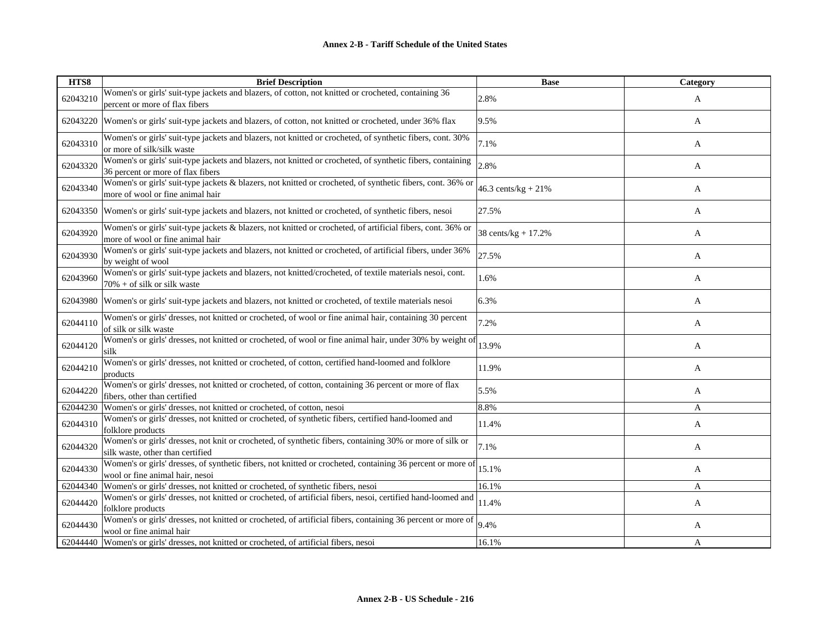| HTS8     | <b>Brief Description</b>                                                                                                                        | <b>Base</b>           | Category |
|----------|-------------------------------------------------------------------------------------------------------------------------------------------------|-----------------------|----------|
| 62043210 | Women's or girls' suit-type jackets and blazers, of cotton, not knitted or crocheted, containing 36<br>percent or more of flax fibers           | 2.8%                  | A        |
| 62043220 | Women's or girls' suit-type jackets and blazers, of cotton, not knitted or crocheted, under 36% flax                                            | 9.5%                  | A        |
| 62043310 | Women's or girls' suit-type jackets and blazers, not knitted or crocheted, of synthetic fibers, cont. 30%<br>or more of silk/silk waste         | 7.1%                  | A        |
| 62043320 | Women's or girls' suit-type jackets and blazers, not knitted or crocheted, of synthetic fibers, containing<br>36 percent or more of flax fibers | 2.8%                  | A        |
| 62043340 | Women's or girls' suit-type jackets & blazers, not knitted or crocheted, of synthetic fibers, cont. 36% or<br>more of wool or fine animal hair  | 46.3 cents/kg + $21%$ | A        |
| 62043350 | Women's or girls' suit-type jackets and blazers, not knitted or crocheted, of synthetic fibers, nesoi                                           | 27.5%                 | A        |
| 62043920 | Women's or girls' suit-type jackets & blazers, not knitted or crocheted, of artificial fibers, cont. 36% or<br>more of wool or fine animal hair | 38 cents/kg + 17.2%   | A        |
| 62043930 | Women's or girls' suit-type jackets and blazers, not knitted or crocheted, of artificial fibers, under 36%<br>by weight of wool                 | 27.5%                 | A        |
| 62043960 | Women's or girls' suit-type jackets and blazers, not knitted/crocheted, of textile materials nesoi, cont.<br>$70\%$ + of silk or silk waste     | 1.6%                  | A        |
| 62043980 | Women's or girls' suit-type jackets and blazers, not knitted or crocheted, of textile materials nesoi                                           | 6.3%                  | A        |
| 62044110 | Women's or girls' dresses, not knitted or crocheted, of wool or fine animal hair, containing 30 percent<br>of silk or silk waste                | 7.2%                  | A        |
| 62044120 | Women's or girls' dresses, not knitted or crocheted, of wool or fine animal hair, under 30% by weight of<br>silk                                | 13.9%                 | A        |
| 62044210 | Women's or girls' dresses, not knitted or crocheted, of cotton, certified hand-loomed and folklore<br>products                                  | 11.9%                 | A        |
| 62044220 | Women's or girls' dresses, not knitted or crocheted, of cotton, containing 36 percent or more of flax<br>fibers, other than certified           | 5.5%                  | A        |
| 62044230 | Women's or girls' dresses, not knitted or crocheted, of cotton, nesoi                                                                           | 8.8%                  | A        |
| 62044310 | Women's or girls' dresses, not knitted or crocheted, of synthetic fibers, certified hand-loomed and<br>folklore products                        | 11.4%                 | A        |
| 62044320 | Women's or girls' dresses, not knit or crocheted, of synthetic fibers, containing 30% or more of silk or<br>silk waste, other than certified    | 7.1%                  | A        |
| 62044330 | Women's or girls' dresses, of synthetic fibers, not knitted or crocheted, containing 36 percent or more of<br>wool or fine animal hair, nesoi   | 15.1%                 | A        |
| 62044340 | Women's or girls' dresses, not knitted or crocheted, of synthetic fibers, nesoi                                                                 | 16.1%                 | A        |
| 62044420 | Women's or girls' dresses, not knitted or crocheted, of artificial fibers, nesoi, certified hand-loomed and<br>folklore products                | 11.4%                 | A        |
| 62044430 | Women's or girls' dresses, not knitted or crocheted, of artificial fibers, containing 36 percent or more of<br>wool or fine animal hair         | 9.4%                  | A        |
| 62044440 | Women's or girls' dresses, not knitted or crocheted, of artificial fibers, nesoi                                                                | 16.1%                 | A        |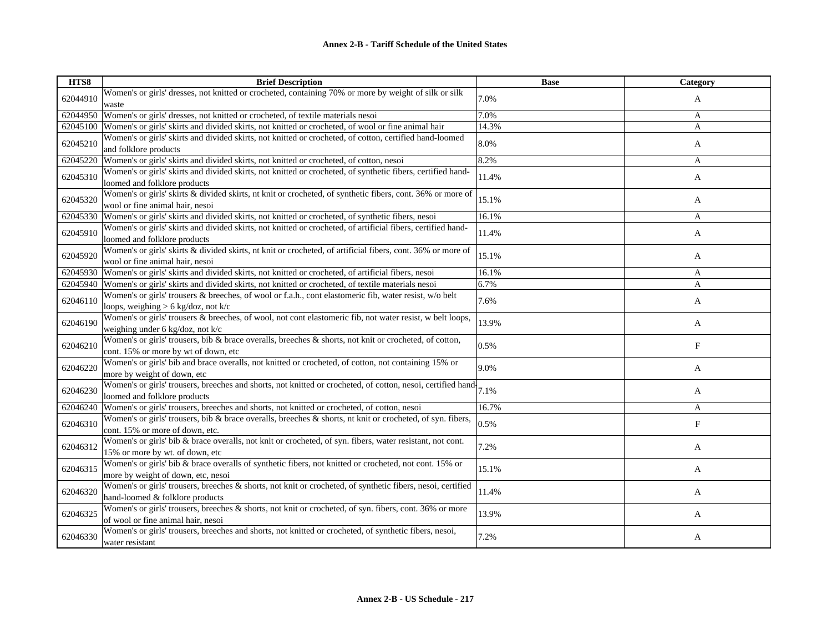| HTS8     | <b>Brief Description</b>                                                                                                                            | <b>Base</b> | Category     |
|----------|-----------------------------------------------------------------------------------------------------------------------------------------------------|-------------|--------------|
| 62044910 | Women's or girls' dresses, not knitted or crocheted, containing 70% or more by weight of silk or silk<br>waste                                      | 7.0%        | A            |
| 62044950 | Women's or girls' dresses, not knitted or crocheted, of textile materials nesoi                                                                     | 7.0%        | A            |
| 62045100 | Women's or girls' skirts and divided skirts, not knitted or crocheted, of wool or fine animal hair                                                  | 14.3%       | $\mathbf{A}$ |
| 62045210 | Women's or girls' skirts and divided skirts, not knitted or crocheted, of cotton, certified hand-loomed<br>and folklore products                    | 8.0%        | A            |
| 62045220 | Women's or girls' skirts and divided skirts, not knitted or crocheted, of cotton, nesoi                                                             | 8.2%        | $\mathbf{A}$ |
| 62045310 | Women's or girls' skirts and divided skirts, not knitted or crocheted, of synthetic fibers, certified hand-<br>loomed and folklore products         | 11.4%       | A            |
| 62045320 | Women's or girls' skirts & divided skirts, nt knit or crocheted, of synthetic fibers, cont. 36% or more of<br>wool or fine animal hair, nesoi       | 15.1%       | A            |
| 62045330 | Women's or girls' skirts and divided skirts, not knitted or crocheted, of synthetic fibers, nesoi                                                   | 16.1%       | $\mathbf{A}$ |
| 62045910 | Women's or girls' skirts and divided skirts, not knitted or crocheted, of artificial fibers, certified hand-<br>loomed and folklore products        | 11.4%       | A            |
| 62045920 | Women's or girls' skirts & divided skirts, nt knit or crocheted, of artificial fibers, cont. 36% or more of<br>wool or fine animal hair, nesoi      | 15.1%       | A            |
|          | 62045930 Women's or girls' skirts and divided skirts, not knitted or crocheted, of artificial fibers, nesoi                                         | 16.1%       | A            |
|          | 62045940 Women's or girls' skirts and divided skirts, not knitted or crocheted, of textile materials nesoi                                          | 6.7%        | A            |
| 62046110 | Women's or girls' trousers & breeches, of wool or f.a.h., cont elastomeric fib, water resist, w/o belt<br>loops, weighing $> 6$ kg/doz, not k/c     | 7.6%        | A            |
| 62046190 | Women's or girls' trousers & breeches, of wool, not cont elastomeric fib, not water resist, w belt loops,<br>weighing under 6 kg/doz, not k/c       | 13.9%       | A            |
| 62046210 | Women's or girls' trousers, bib & brace overalls, breeches & shorts, not knit or crocheted, of cotton,<br>cont. 15% or more by wt of down, etc      | 0.5%        | $_{\rm F}$   |
| 62046220 | Women's or girls' bib and brace overalls, not knitted or crocheted, of cotton, not containing 15% or<br>more by weight of down, etc                 | 9.0%        | A            |
| 62046230 | Women's or girls' trousers, breeches and shorts, not knitted or crocheted, of cotton, nesoi, certified hand $7.1\%$<br>loomed and folklore products |             | A            |
| 62046240 | Women's or girls' trousers, breeches and shorts, not knitted or crocheted, of cotton, nesoi                                                         | 16.7%       | $\mathbf{A}$ |
| 62046310 | Women's or girls' trousers, bib & brace overalls, breeches & shorts, nt knit or crocheted, of syn. fibers,<br>cont. 15% or more of down, etc.       | 0.5%        | F            |
| 62046312 | Women's or girls' bib & brace overalls, not knit or crocheted, of syn. fibers, water resistant, not cont.<br>15% or more by wt. of down, etc        | 7.2%        | A            |
| 62046315 | Women's or girls' bib & brace overalls of synthetic fibers, not knitted or crocheted, not cont. 15% or<br>more by weight of down, etc, nesoi        | 15.1%       | A            |
| 62046320 | Women's or girls' trousers, breeches & shorts, not knit or crocheted, of synthetic fibers, nesoi, certified<br>hand-loomed & folklore products      | 11.4%       | A            |
| 62046325 | Women's or girls' trousers, breeches & shorts, not knit or crocheted, of syn. fibers, cont. 36% or more<br>of wool or fine animal hair, nesoi       | 13.9%       | A            |
| 62046330 | Women's or girls' trousers, breeches and shorts, not knitted or crocheted, of synthetic fibers, nesoi,<br>water resistant                           | 7.2%        | A            |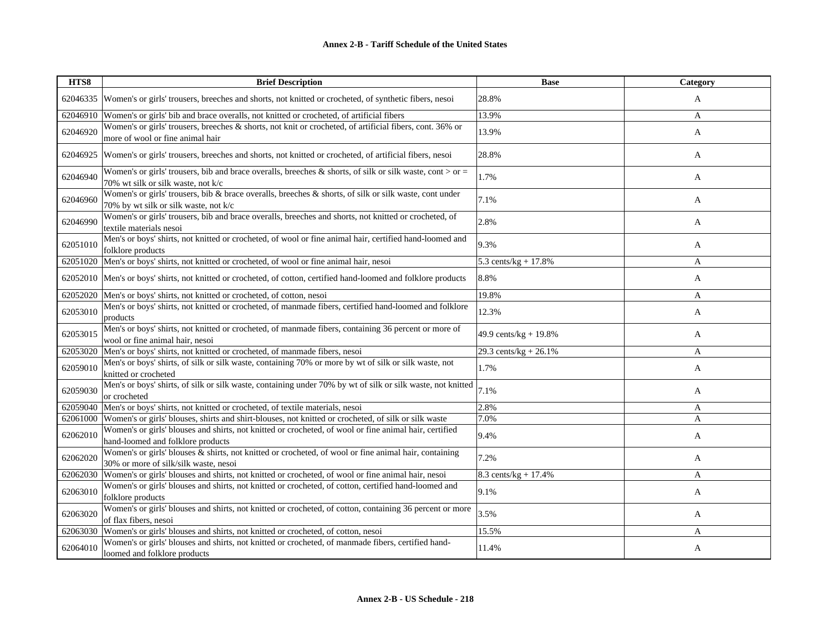| HTS8     | <b>Brief Description</b>                                                                                                                        | <b>Base</b>              | Category |
|----------|-------------------------------------------------------------------------------------------------------------------------------------------------|--------------------------|----------|
| 62046335 | Women's or girls' trousers, breeches and shorts, not knitted or crocheted, of synthetic fibers, nesoi                                           | 28.8%                    | A        |
| 62046910 | Women's or girls' bib and brace overalls, not knitted or crocheted, of artificial fibers                                                        | 13.9%                    | A        |
| 62046920 | Women's or girls' trousers, breeches & shorts, not knit or crocheted, of artificial fibers, cont. 36% or<br>more of wool or fine animal hair    | 13.9%                    | A        |
| 62046925 | Women's or girls' trousers, breeches and shorts, not knitted or crocheted, of artificial fibers, nesoi                                          | 28.8%                    | A        |
| 62046940 | Women's or girls' trousers, bib and brace overalls, breeches & shorts, of silk or silk waste, cont > or =<br>70% wt silk or silk waste, not k/c | 1.7%                     | A        |
| 62046960 | Women's or girls' trousers, bib & brace overalls, breeches & shorts, of silk or silk waste, cont under<br>70% by wt silk or silk waste, not k/c | 7.1%                     | A        |
| 62046990 | Women's or girls' trousers, bib and brace overalls, breeches and shorts, not knitted or crocheted, of<br>textile materials nesoi                | 2.8%                     | A        |
| 62051010 | Men's or boys' shirts, not knitted or crocheted, of wool or fine animal hair, certified hand-loomed and<br>folklore products                    | 9.3%                     | A        |
| 62051020 | Men's or boys' shirts, not knitted or crocheted, of wool or fine animal hair, nesoi                                                             | 5.3 cents/ $kg + 17.8%$  | A        |
| 62052010 | Men's or boys' shirts, not knitted or crocheted, of cotton, certified hand-loomed and folklore products                                         | 8.8%                     | A        |
| 62052020 | Men's or boys' shirts, not knitted or crocheted, of cotton, nesoi                                                                               | 19.8%                    | A        |
| 62053010 | Men's or boys' shirts, not knitted or crocheted, of manmade fibers, certified hand-loomed and folklore<br>products                              | 12.3%                    | A        |
| 62053015 | Men's or boys' shirts, not knitted or crocheted, of manmade fibers, containing 36 percent or more of<br>wool or fine animal hair, nesoi         | 49.9 cents/ $kg + 19.8%$ | A        |
| 62053020 | Men's or boys' shirts, not knitted or crocheted, of manmade fibers, nesoi                                                                       | 29.3 cents/kg + 26.1%    | A        |
| 62059010 | Men's or boys' shirts, of silk or silk waste, containing 70% or more by wt of silk or silk waste, not<br>knitted or crocheted                   | 1.7%                     | A        |
| 62059030 | Men's or boys' shirts, of silk or silk waste, containing under 70% by wt of silk or silk waste, not knitted<br>or crocheted                     | 7.1%                     | A        |
| 62059040 | Men's or boys' shirts, not knitted or crocheted, of textile materials, nesoi                                                                    | 2.8%                     | A        |
| 62061000 | Women's or girls' blouses, shirts and shirt-blouses, not knitted or crocheted, of silk or silk waste                                            | 7.0%                     | A        |
| 62062010 | Women's or girls' blouses and shirts, not knitted or crocheted, of wool or fine animal hair, certified<br>hand-loomed and folklore products     | 9.4%                     | A        |
| 62062020 | Women's or girls' blouses & shirts, not knitted or crocheted, of wool or fine animal hair, containing<br>30% or more of silk/silk waste, nesoi  | 7.2%                     | A        |
| 62062030 | Women's or girls' blouses and shirts, not knitted or crocheted, of wool or fine animal hair, nesoi                                              | 8.3 cents/kg + 17.4%     | A        |
| 62063010 | Women's or girls' blouses and shirts, not knitted or crocheted, of cotton, certified hand-loomed and<br>folklore products                       | 9.1%                     | A        |
| 62063020 | Women's or girls' blouses and shirts, not knitted or crocheted, of cotton, containing 36 percent or more<br>of flax fibers, nesoi               | 3.5%                     | A        |
| 62063030 | Women's or girls' blouses and shirts, not knitted or crocheted, of cotton, nesoi                                                                | 15.5%                    | A        |
| 62064010 | Women's or girls' blouses and shirts, not knitted or crocheted, of manmade fibers, certified hand-<br>loomed and folklore products              | 11.4%                    | A        |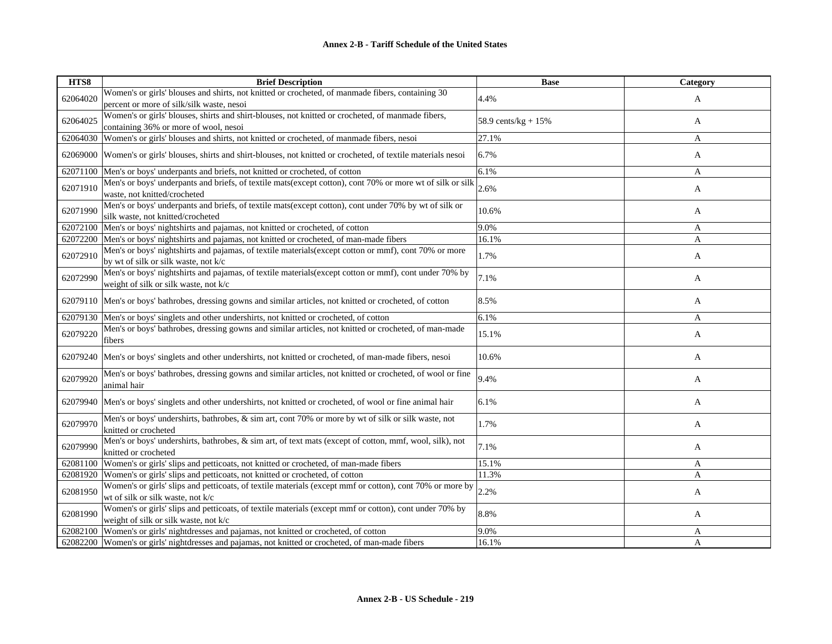| HTS8     | <b>Brief Description</b>                                                                                                                        | <b>Base</b>         | Category |
|----------|-------------------------------------------------------------------------------------------------------------------------------------------------|---------------------|----------|
| 62064020 | Women's or girls' blouses and shirts, not knitted or crocheted, of manmade fibers, containing 30<br>percent or more of silk/silk waste, nesoi   | 4.4%                | A        |
| 62064025 | Women's or girls' blouses, shirts and shirt-blouses, not knitted or crocheted, of manmade fibers,<br>containing 36% or more of wool, nesoi      | 58.9 cents/kg + 15% | A        |
| 62064030 | Women's or girls' blouses and shirts, not knitted or crocheted, of manmade fibers, nesoi                                                        | 27.1%               | A        |
| 62069000 | Women's or girls' blouses, shirts and shirt-blouses, not knitted or crocheted, of textile materials nesoi                                       | 6.7%                | A        |
| 62071100 | Men's or boys' underpants and briefs, not knitted or crocheted, of cotton                                                                       | 6.1%                | A        |
| 62071910 | Men's or boys' underpants and briefs, of textile mats(except cotton), cont 70% or more wt of silk or silk<br>waste, not knitted/crocheted       | 2.6%                | A        |
| 62071990 | Men's or boys' underpants and briefs, of textile mats(except cotton), cont under 70% by wt of silk or<br>silk waste, not knitted/crocheted      | 10.6%               | A        |
| 62072100 | Men's or boys' nightshirts and pajamas, not knitted or crocheted, of cotton                                                                     | 9.0%                | A        |
| 62072200 | Men's or boys' nightshirts and pajamas, not knitted or crocheted, of man-made fibers                                                            | 16.1%               | A        |
| 62072910 | Men's or boys' nightshirts and pajamas, of textile materials(except cotton or mmf), cont 70% or more<br>by wt of silk or silk waste, not k/c    | 1.7%                | A        |
| 62072990 | Men's or boys' nightshirts and pajamas, of textile materials(except cotton or mmf), cont under 70% by<br>weight of silk or silk waste, not k/c  | 7.1%                | A        |
|          | 62079110 Men's or boys' bathrobes, dressing gowns and similar articles, not knitted or crocheted, of cotton                                     | 8.5%                | A        |
| 62079130 | Men's or boys' singlets and other undershirts, not knitted or crocheted, of cotton                                                              | 6.1%                | A        |
| 62079220 | Men's or boys' bathrobes, dressing gowns and similar articles, not knitted or crocheted, of man-made<br>fibers                                  | 15.1%               | A        |
| 62079240 | Men's or boys' singlets and other undershirts, not knitted or crocheted, of man-made fibers, nesoi                                              | 10.6%               | A        |
| 62079920 | Men's or boys' bathrobes, dressing gowns and similar articles, not knitted or crocheted, of wool or fine<br>animal hair                         | 9.4%                | A        |
| 62079940 | Men's or boys' singlets and other undershirts, not knitted or crocheted, of wool or fine animal hair                                            | 6.1%                | A        |
| 62079970 | Men's or boys' undershirts, bathrobes, & sim art, cont 70% or more by wt of silk or silk waste, not<br>knitted or crocheted                     | 1.7%                | A        |
| 62079990 | Men's or boys' undershirts, bathrobes, & sim art, of text mats (except of cotton, mmf, wool, silk), not<br>knitted or crocheted                 | 7.1%                | A        |
| 62081100 | Women's or girls' slips and petticoats, not knitted or crocheted, of man-made fibers                                                            | 15.1%               | A        |
| 62081920 | Women's or girls' slips and petticoats, not knitted or crocheted, of cotton                                                                     | 11.3%               | A        |
| 62081950 | Women's or girls' slips and petticoats, of textile materials (except mmf or cotton), cont 70% or more by<br>wt of silk or silk waste, not k/c   | 2.2%                | A        |
| 62081990 | Women's or girls' slips and petticoats, of textile materials (except mmf or cotton), cont under 70% by<br>weight of silk or silk waste, not k/c | 8.8%                | A        |
| 62082100 | Women's or girls' nightdresses and pajamas, not knitted or crocheted, of cotton                                                                 | 9.0%                | A        |
|          | 62082200 Women's or girls' nightdresses and pajamas, not knitted or crocheted, of man-made fibers                                               | 16.1%               | A        |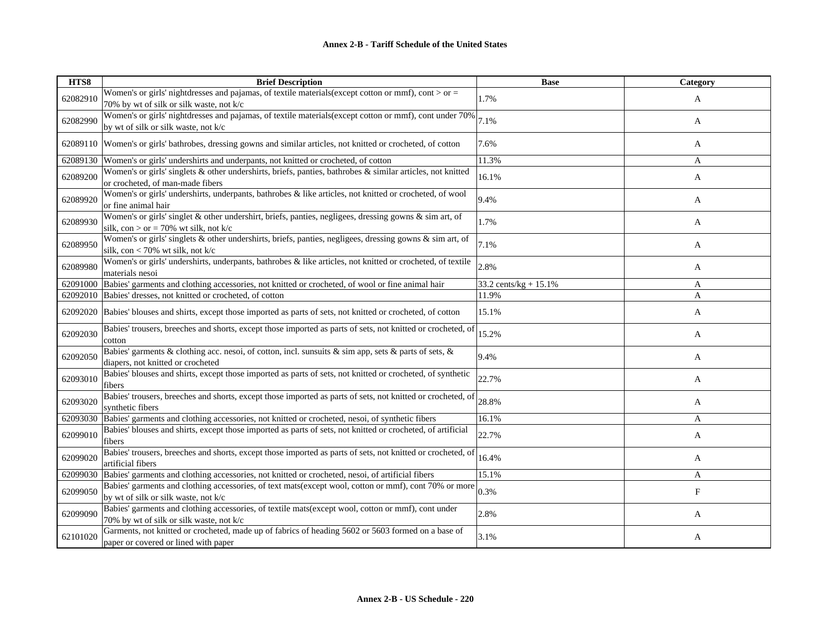| HTS8     | <b>Brief Description</b>                                                                                                                          | <b>Base</b>               | Category   |
|----------|---------------------------------------------------------------------------------------------------------------------------------------------------|---------------------------|------------|
| 62082910 | Women's or girls' nightdresses and pajamas, of textile materials (except cotton or mmf), cont > or =<br>70% by wt of silk or silk waste, not k/c  | 1.7%                      | A          |
| 62082990 | Women's or girls' nightdresses and pajamas, of textile materials (except cotton or mmf), cont under 70%<br>by wt of silk or silk waste, not k/c   | 7.1%                      | A          |
|          | 62089110 Women's or girls' bathrobes, dressing gowns and similar articles, not knitted or crocheted, of cotton                                    | 7.6%                      | A          |
| 62089130 | Women's or girls' undershirts and underpants, not knitted or crocheted, of cotton                                                                 | 11.3%                     | A          |
| 62089200 | Women's or girls' singlets & other undershirts, briefs, panties, bathrobes & similar articles, not knitted<br>or crocheted, of man-made fibers    | 16.1%                     | A          |
| 62089920 | Women's or girls' undershirts, underpants, bathrobes & like articles, not knitted or crocheted, of wool<br>or fine animal hair                    | 9.4%                      | A          |
| 62089930 | Women's or girls' singlet & other undershirt, briefs, panties, negligees, dressing gowns & sim art, of<br>silk, con > or = 70% wt silk, not $k/c$ | 1.7%                      | A          |
| 62089950 | Women's or girls' singlets & other undershirts, briefs, panties, negligees, dressing gowns & sim art, of<br>silk, con < 70% wt silk, not $k/c$    | 7.1%                      | A          |
| 62089980 | Women's or girls' undershirts, underpants, bathrobes & like articles, not knitted or crocheted, of textile<br>materials nesoi                     | 2.8%                      | A          |
| 62091000 | Babies' garments and clothing accessories, not knitted or crocheted, of wool or fine animal hair                                                  | 33.2 cents/ $kg + 15.1\%$ | A          |
|          | 62092010 Babies' dresses, not knitted or crocheted, of cotton                                                                                     | 11.9%                     | A          |
|          | 62092020 Babies' blouses and shirts, except those imported as parts of sets, not knitted or crocheted, of cotton                                  | 15.1%                     | A          |
| 62092030 | Babies' trousers, breeches and shorts, except those imported as parts of sets, not knitted or crocheted, of<br>cotton                             | 15.2%                     | A          |
| 62092050 | Babies' garments & clothing acc. nesoi, of cotton, incl. sunsuits & sim app, sets & parts of sets, &<br>diapers, not knitted or crocheted         | 9.4%                      | A          |
| 62093010 | Babies' blouses and shirts, except those imported as parts of sets, not knitted or crocheted, of synthetic<br>fibers                              | 22.7%                     | A          |
| 62093020 | Babies' trousers, breeches and shorts, except those imported as parts of sets, not knitted or crocheted, of<br>synthetic fibers                   | 28.8%                     | A          |
| 62093030 | Babies' garments and clothing accessories, not knitted or crocheted, nesoi, of synthetic fibers                                                   | 16.1%                     | A          |
| 62099010 | Babies' blouses and shirts, except those imported as parts of sets, not knitted or crocheted, of artificial<br>fibers                             | 22.7%                     | A          |
| 62099020 | Babies' trousers, breeches and shorts, except those imported as parts of sets, not knitted or crocheted, of<br>artificial fibers                  | 16.4%                     | A          |
| 62099030 | Babies' garments and clothing accessories, not knitted or crocheted, nesoi, of artificial fibers                                                  | 15.1%                     | A          |
| 62099050 | Babies' garments and clothing accessories, of text mats(except wool, cotton or mmf), cont 70% or more<br>by wt of silk or silk waste, not k/c     | 0.3%                      | $_{\rm F}$ |
| 62099090 | Babies' garments and clothing accessories, of textile mats(except wool, cotton or mmf), cont under<br>70% by wt of silk or silk waste, not k/c    | 2.8%                      | A          |
| 62101020 | Garments, not knitted or crocheted, made up of fabrics of heading 5602 or 5603 formed on a base of<br>paper or covered or lined with paper        | 3.1%                      | A          |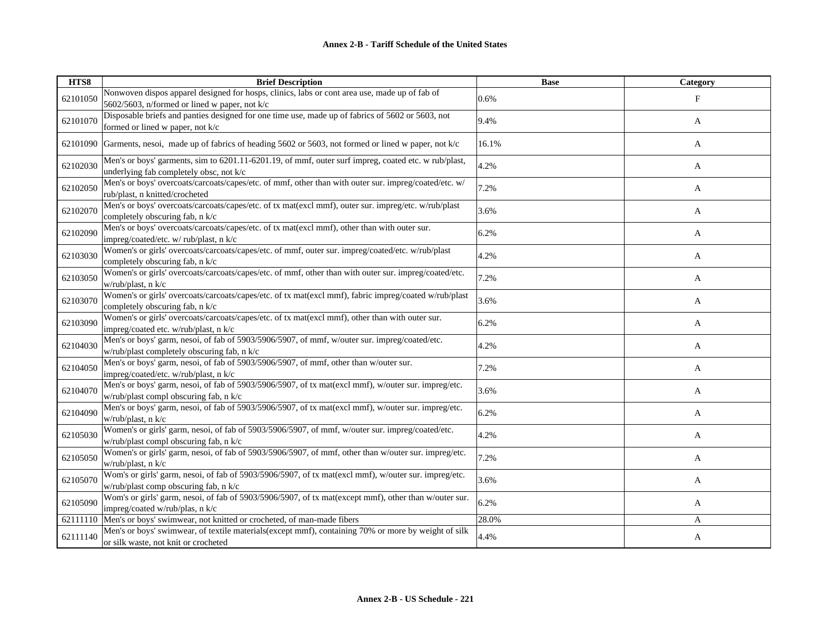| HTS8     | <b>Brief Description</b>                                                                                                                        | <b>Base</b> | <b>Category</b> |
|----------|-------------------------------------------------------------------------------------------------------------------------------------------------|-------------|-----------------|
| 62101050 | Nonwoven dispos apparel designed for hosps, clinics, labs or cont area use, made up of fab of<br>5602/5603, n/formed or lined w paper, not k/c  | 0.6%        | $_{\rm F}$      |
| 62101070 | Disposable briefs and panties designed for one time use, made up of fabrics of 5602 or 5603, not<br>formed or lined w paper, not k/c            | 9.4%        | A               |
| 62101090 | Garments, nesoi, made up of fabrics of heading 5602 or 5603, not formed or lined w paper, not k/c                                               | 16.1%       | A               |
| 62102030 | Men's or boys' garments, sim to 6201.11-6201.19, of mmf, outer surf impreg, coated etc. w rub/plast,<br>underlying fab completely obsc, not k/c | 4.2%        | A               |
| 62102050 | Men's or boys' overcoats/carcoats/capes/etc. of mmf, other than with outer sur. impreg/coated/etc. w/<br>rub/plast, n knitted/crocheted         | 7.2%        | A               |
| 62102070 | Men's or boys' overcoats/carcoats/capes/etc. of tx mat(excl mmf), outer sur. impreg/etc. w/rub/plast<br>completely obscuring fab, n k/c         | 3.6%        | A               |
| 62102090 | Men's or boys' overcoats/carcoats/capes/etc. of tx mat(excl mmf), other than with outer sur.<br>impreg/coated/etc. w/ rub/plast, n k/c          | 6.2%        | A               |
| 62103030 | Women's or girls' overcoats/carcoats/capes/etc. of mmf, outer sur. impreg/coated/etc. w/rub/plast<br>completely obscuring fab, n k/c            | 4.2%        | A               |
| 62103050 | Women's or girls' overcoats/carcoats/capes/etc. of mmf, other than with outer sur. impreg/coated/etc.<br>w/rub/plast, n k/c                     | 7.2%        | A               |
| 62103070 | Women's or girls' overcoats/carcoats/capes/etc. of tx mat(excl mmf), fabric impreg/coated w/rub/plast<br>completely obscuring fab, n k/c        | 3.6%        | A               |
| 62103090 | Women's or girls' overcoats/carcoats/capes/etc. of tx mat(excl mmf), other than with outer sur.<br>impreg/coated etc. w/rub/plast, n k/c        | 6.2%        | A               |
| 62104030 | Men's or boys' garm, nesoi, of fab of 5903/5906/5907, of mmf, w/outer sur. impreg/coated/etc.<br>w/rub/plast completely obscuring fab, n k/c    | 4.2%        | A               |
| 62104050 | Men's or boys' garm, nesoi, of fab of 5903/5906/5907, of mmf, other than w/outer sur.<br>impreg/coated/etc. w/rub/plast, n k/c                  | 7.2%        | A               |
| 62104070 | Men's or boys' garm, nesoi, of fab of 5903/5906/5907, of tx mat(excl mmf), w/outer sur. impreg/etc.<br>w/rub/plast compl obscuring fab, n k/c   | 3.6%        | A               |
| 62104090 | Men's or boys' garm, nesoi, of fab of 5903/5906/5907, of tx mat(excl mmf), w/outer sur. impreg/etc.<br>w/rub/plast, n k/c                       | 6.2%        | A               |
| 62105030 | Women's or girls' garm, nesoi, of fab of 5903/5906/5907, of mmf, w/outer sur. impreg/coated/etc.<br>w/rub/plast compl obscuring fab, n k/c      | 4.2%        | A               |
| 62105050 | Women's or girls' garm, nesoi, of fab of 5903/5906/5907, of mmf, other than w/outer sur. impreg/etc.<br>w/rub/plast, n k/c                      | 7.2%        | A               |
| 62105070 | Wom's or girls' garm, nesoi, of fab of 5903/5906/5907, of tx mat(excl mmf), w/outer sur. impreg/etc.<br>w/rub/plast comp obscuring fab, n k/c   | 3.6%        | A               |
| 62105090 | Wom's or girls' garm, nesoi, of fab of 5903/5906/5907, of tx mat(except mmf), other than w/outer sur.<br>impreg/coated w/rub/plas, n k/c        | 6.2%        | A               |
| 62111110 | Men's or boys' swimwear, not knitted or crocheted, of man-made fibers                                                                           | 28.0%       | A               |
| 62111140 | Men's or boys' swimwear, of textile materials(except mmf), containing 70% or more by weight of silk<br>or silk waste, not knit or crocheted     | 4.4%        | A               |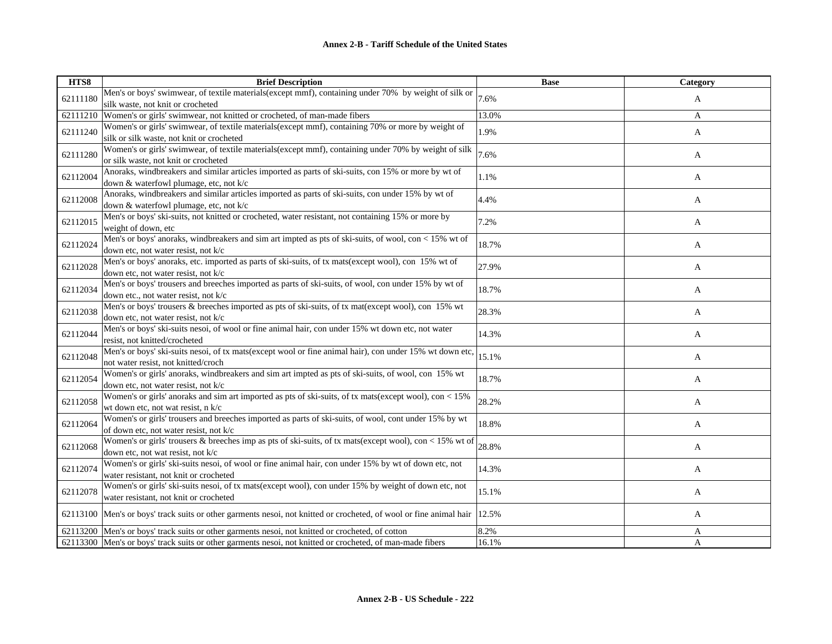| HTS8     | <b>Brief Description</b>                                                                                           | <b>Base</b> | Category |
|----------|--------------------------------------------------------------------------------------------------------------------|-------------|----------|
| 62111180 | Men's or boys' swimwear, of textile materials(except mmf), containing under 70% by weight of silk or               | 7.6%        | A        |
|          | silk waste, not knit or crocheted                                                                                  |             |          |
| 62111210 | Women's or girls' swimwear, not knitted or crocheted, of man-made fibers                                           | 13.0%       | A        |
| 62111240 | Women's or girls' swimwear, of textile materials(except mmf), containing 70% or more by weight of                  | 1.9%        | A        |
|          | silk or silk waste, not knit or crocheted                                                                          |             |          |
| 62111280 | Women's or girls' swimwear, of textile materials(except mmf), containing under 70% by weight of silk               | 7.6%        | A        |
|          | or silk waste, not knit or crocheted                                                                               |             |          |
| 62112004 | Anoraks, windbreakers and similar articles imported as parts of ski-suits, con 15% or more by wt of                | 1.1%        | A        |
|          | down & waterfowl plumage, etc, not k/c                                                                             |             |          |
| 62112008 | Anoraks, windbreakers and similar articles imported as parts of ski-suits, con under 15% by wt of                  | 4.4%        | A        |
|          | down & waterfowl plumage, etc, not k/c                                                                             |             |          |
| 62112015 | Men's or boys' ski-suits, not knitted or crocheted, water resistant, not containing 15% or more by                 | 7.2%        | A        |
|          | weight of down, etc                                                                                                |             |          |
| 62112024 | Men's or boys' anoraks, windbreakers and sim art impted as pts of ski-suits, of wool, con $< 15\%$ wt of           | 18.7%       | A        |
|          | down etc, not water resist, not k/c                                                                                |             |          |
| 62112028 | Men's or boys' anoraks, etc. imported as parts of ski-suits, of tx mats(except wool), con 15% wt of                | 27.9%       | A        |
|          | down etc, not water resist, not k/c                                                                                |             |          |
| 62112034 | Men's or boys' trousers and breeches imported as parts of ski-suits, of wool, con under 15% by wt of               | 18.7%       | A        |
|          | down etc., not water resist, not k/c                                                                               |             |          |
| 62112038 | Men's or boys' trousers & breeches imported as pts of ski-suits, of tx mat(except wool), con 15% wt                | 28.3%       | A        |
|          | down etc, not water resist, not k/c                                                                                |             |          |
| 62112044 | Men's or boys' ski-suits nesoi, of wool or fine animal hair, con under 15% wt down etc, not water                  | 14.3%       | A        |
|          | resist, not knitted/crocheted                                                                                      |             |          |
| 62112048 | Men's or boys' ski-suits nesoi, of tx mats(except wool or fine animal hair), con under 15% wt down etc,            | 15.1%       | A        |
|          | not water resist, not knitted/croch                                                                                |             |          |
| 62112054 | Women's or girls' anoraks, windbreakers and sim art impted as pts of ski-suits, of wool, con 15% wt                | 18.7%       | A        |
|          | down etc, not water resist, not k/c                                                                                |             |          |
| 62112058 | Women's or girls' anoraks and sim art imported as pts of ski-suits, of tx mats(except wool), con < 15%             | 28.2%       | A        |
|          | wt down etc, not wat resist, n k/c                                                                                 |             |          |
| 62112064 | Women's or girls' trousers and breeches imported as parts of ski-suits, of wool, cont under 15% by wt              | 18.8%       | A        |
|          | of down etc, not water resist, not k/c                                                                             |             |          |
| 62112068 | Women's or girls' trousers & breeches imp as pts of ski-suits, of tx mats(except wool), con < 15% wt of            | 28.8%       | A        |
|          | down etc, not wat resist, not k/c                                                                                  |             |          |
| 62112074 | Women's or girls' ski-suits nesoi, of wool or fine animal hair, con under 15% by wt of down etc, not               | 14.3%       | A        |
|          | water resistant, not knit or crocheted                                                                             |             |          |
| 62112078 | Women's or girls' ski-suits nesoi, of tx mats(except wool), con under 15% by weight of down etc, not               | 15.1%       | A        |
|          | water resistant, not knit or crocheted                                                                             |             |          |
|          | 62113100 Men's or boys' track suits or other garments nesoi, not knitted or crocheted, of wool or fine animal hair | 12.5%       | A        |
|          |                                                                                                                    |             |          |
|          | 62113200 Men's or boys' track suits or other garments nesoi, not knitted or crocheted, of cotton                   | 8.2%        | A        |
|          | 62113300 Men's or boys' track suits or other garments nesoi, not knitted or crocheted, of man-made fibers          | 16.1%       | A        |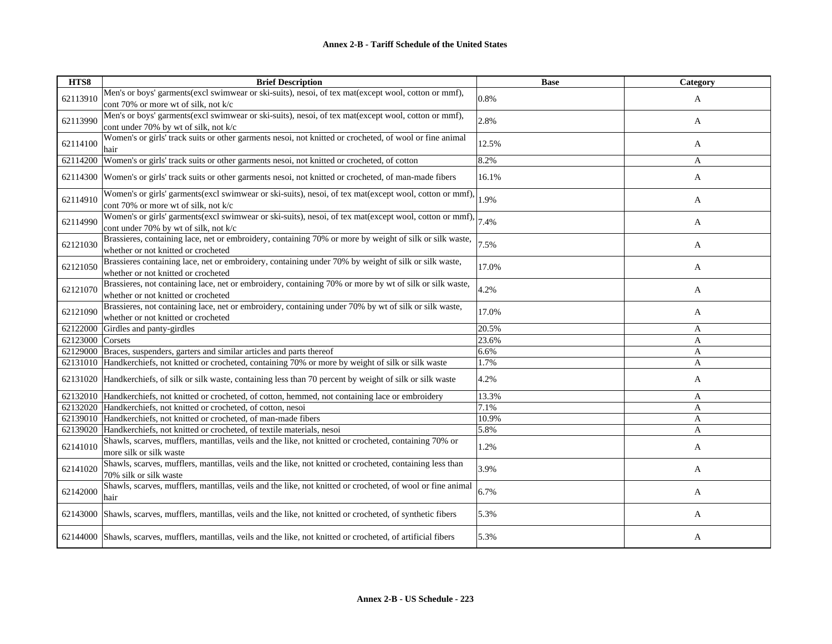| HTS8             | <b>Brief Description</b>                                                                                                                        | <b>Base</b> | Category |
|------------------|-------------------------------------------------------------------------------------------------------------------------------------------------|-------------|----------|
| 62113910         | Men's or boys' garments(excl swimwear or ski-suits), nesoi, of tex mat(except wool, cotton or mmf),<br>cont 70% or more wt of silk, not k/c     | 0.8%        | A        |
| 62113990         | Men's or boys' garments(excl swimwear or ski-suits), nesoi, of tex mat(except wool, cotton or mmf),<br>cont under 70% by wt of silk, not k/c    | 2.8%        | A        |
| 62114100         | Women's or girls' track suits or other garments nesoi, not knitted or crocheted, of wool or fine animal<br>hair                                 | 12.5%       | A        |
| 62114200         | Women's or girls' track suits or other garments nesoi, not knitted or crocheted, of cotton                                                      | 8.2%        | A        |
| 62114300         | Women's or girls' track suits or other garments nesoi, not knitted or crocheted, of man-made fibers                                             | 16.1%       | A        |
| 62114910         | Women's or girls' garments(excl swimwear or ski-suits), nesoi, of tex mat(except wool, cotton or mmf),<br>cont 70% or more wt of silk, not k/c  | 1.9%        | A        |
| 62114990         | Women's or girls' garments(excl swimwear or ski-suits), nesoi, of tex mat(except wool, cotton or mmf),<br>cont under 70% by wt of silk, not k/c | 7.4%        | A        |
| 62121030         | Brassieres, containing lace, net or embroidery, containing 70% or more by weight of silk or silk waste,<br>whether or not knitted or crocheted  | 7.5%        | A        |
| 62121050         | Brassieres containing lace, net or embroidery, containing under 70% by weight of silk or silk waste,<br>whether or not knitted or crocheted     | 17.0%       | A        |
| 62121070         | Brassieres, not containing lace, net or embroidery, containing 70% or more by wt of silk or silk waste,<br>whether or not knitted or crocheted  | 4.2%        | A        |
| 62121090         | Brassieres, not containing lace, net or embroidery, containing under 70% by wt of silk or silk waste,<br>whether or not knitted or crocheted    | 17.0%       | A        |
| 62122000         | Girdles and panty-girdles                                                                                                                       | 20.5%       | A        |
| 62123000 Corsets |                                                                                                                                                 | 23.6%       | A        |
|                  | 62129000 Braces, suspenders, garters and similar articles and parts thereof                                                                     | 6.6%        | A        |
|                  | 62131010 Handkerchiefs, not knitted or crocheted, containing 70% or more by weight of silk or silk waste                                        | 1.7%        | A        |
|                  | 62131020 Handkerchiefs, of silk or silk waste, containing less than 70 percent by weight of silk or silk waste                                  | 4.2%        | A        |
|                  | 62132010 Handkerchiefs, not knitted or crocheted, of cotton, hemmed, not containing lace or embroidery                                          | 13.3%       | A        |
|                  | 62132020 Handkerchiefs, not knitted or crocheted, of cotton, nesoi                                                                              | 7.1%        | A        |
|                  | 62139010 Handkerchiefs, not knitted or crocheted, of man-made fibers                                                                            | 10.9%       | A        |
|                  | 62139020 Handkerchiefs, not knitted or crocheted, of textile materials, nesoi                                                                   | 5.8%        | A        |
| 62141010         | Shawls, scarves, mufflers, mantillas, veils and the like, not knitted or crocheted, containing 70% or<br>more silk or silk waste                | 1.2%        | A        |
| 62141020         | Shawls, scarves, mufflers, mantillas, veils and the like, not knitted or crocheted, containing less than<br>70% silk or silk waste              | 3.9%        | A        |
| 62142000         | Shawls, scarves, mufflers, mantillas, veils and the like, not knitted or crocheted, of wool or fine animal<br>hair                              | 6.7%        | A        |
|                  | 62143000 Shawls, scarves, mufflers, mantillas, veils and the like, not knitted or crocheted, of synthetic fibers                                | 5.3%        | A        |
|                  | 62144000 Shawls, scarves, mufflers, mantillas, veils and the like, not knitted or crocheted, of artificial fibers                               | 5.3%        | A        |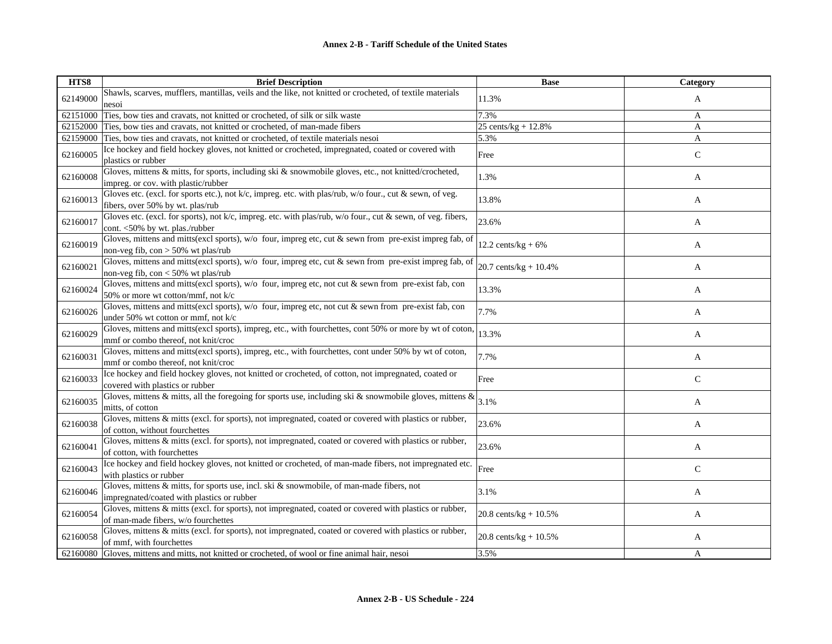| HTS8     | <b>Brief Description</b>                                                                                                                        | <b>Base</b>              | Category     |
|----------|-------------------------------------------------------------------------------------------------------------------------------------------------|--------------------------|--------------|
| 62149000 | Shawls, scarves, mufflers, mantillas, veils and the like, not knitted or crocheted, of textile materials                                        | 11.3%                    | A            |
|          | nesoi                                                                                                                                           |                          |              |
| 62151000 | Ties, bow ties and cravats, not knitted or crocheted, of silk or silk waste                                                                     | 7.3%                     | A            |
| 62152000 | Ties, bow ties and cravats, not knitted or crocheted, of man-made fibers                                                                        | 25 cents/ $kg + 12.8%$   | A            |
|          | 62159000 Ties, bow ties and cravats, not knitted or crocheted, of textile materials nesoi                                                       | 5.3%                     | A            |
| 62160005 | Ice hockey and field hockey gloves, not knitted or crocheted, impregnated, coated or covered with<br>plastics or rubber                         | Free                     | $\mathsf C$  |
| 62160008 | Gloves, mittens & mitts, for sports, including ski & snowmobile gloves, etc., not knitted/crocheted,<br>impreg. or cov. with plastic/rubber     | 1.3%                     | A            |
| 62160013 | Gloves etc. (excl. for sports etc.), not k/c, impreg. etc. with plas/rub, w/o four., cut & sewn, of veg.<br>fibers, over 50% by wt. plas/rub    | 13.8%                    | A            |
| 62160017 | Gloves etc. (excl. for sports), not k/c, impreg. etc. with plas/rub, w/o four., cut & sewn, of veg. fibers,<br>cont. <50% by wt. plas./rubber   | 23.6%                    | A            |
| 62160019 | Gloves, mittens and mitts(excl sports), w/o four, impreg etc, cut & sewn from pre-exist impreg fab, of<br>non-veg fib, $con > 50\%$ wt plas/rub | 12.2 cents/kg + $6\%$    | A            |
| 62160021 | Gloves, mittens and mitts(excl sports), w/o four, impreg etc, cut & sewn from pre-exist impreg fab, of<br>non-veg fib, $con < 50\%$ wt plas/rub | 20.7 cents/kg + 10.4%    | A            |
| 62160024 | Gloves, mittens and mitts(excl sports), w/o four, impreg etc, not cut & sewn from pre-exist fab, con<br>50% or more wt cotton/mmf, not $k/c$    | 13.3%                    | A            |
| 62160026 | Gloves, mittens and mitts(excl sports), w/o four, impreg etc, not cut & sewn from pre-exist fab, con<br>under 50% wt cotton or mmf, not k/c     | 7.7%                     | A            |
| 62160029 | Gloves, mittens and mitts(excl sports), impreg, etc., with fourchettes, cont 50% or more by wt of coton,<br>mmf or combo thereof, not knit/croc | 13.3%                    | A            |
| 62160031 | Gloves, mittens and mitts(excl sports), impreg, etc., with fourchettes, cont under 50% by wt of coton,<br>mmf or combo thereof, not knit/croc   | 7.7%                     | A            |
| 62160033 | Ice hockey and field hockey gloves, not knitted or crocheted, of cotton, not impregnated, coated or<br>covered with plastics or rubber          | Free                     | $\mathsf{C}$ |
| 62160035 | Gloves, mittens & mitts, all the foregoing for sports use, including ski & snowmobile gloves, mittens &<br>mitts, of cotton                     | 3.1%                     | A            |
| 62160038 | Gloves, mittens & mitts (excl. for sports), not impregnated, coated or covered with plastics or rubber,<br>of cotton, without fourchettes       | 23.6%                    | A            |
| 62160041 | Gloves, mittens & mitts (excl. for sports), not impregnated, coated or covered with plastics or rubber,<br>of cotton, with fourchettes          | 23.6%                    | A            |
| 62160043 | Ice hockey and field hockey gloves, not knitted or crocheted, of man-made fibers, not impregnated etc.<br>with plastics or rubber               | Free                     | $\mathsf{C}$ |
| 62160046 | Gloves, mittens & mitts, for sports use, incl. ski & snowmobile, of man-made fibers, not<br>impregnated/coated with plastics or rubber          | 3.1%                     | A            |
| 62160054 | Gloves, mittens & mitts (excl. for sports), not impregnated, coated or covered with plastics or rubber,<br>of man-made fibers, w/o fourchettes  | 20.8 cents/ $kg + 10.5%$ | A            |
| 62160058 | Gloves, mittens & mitts (excl. for sports), not impregnated, coated or covered with plastics or rubber,<br>of mmf, with fourchettes             | 20.8 cents/kg + $10.5%$  | A            |
|          | 62160080 Gloves, mittens and mitts, not knitted or crocheted, of wool or fine animal hair, nesoi                                                | 3.5%                     | A            |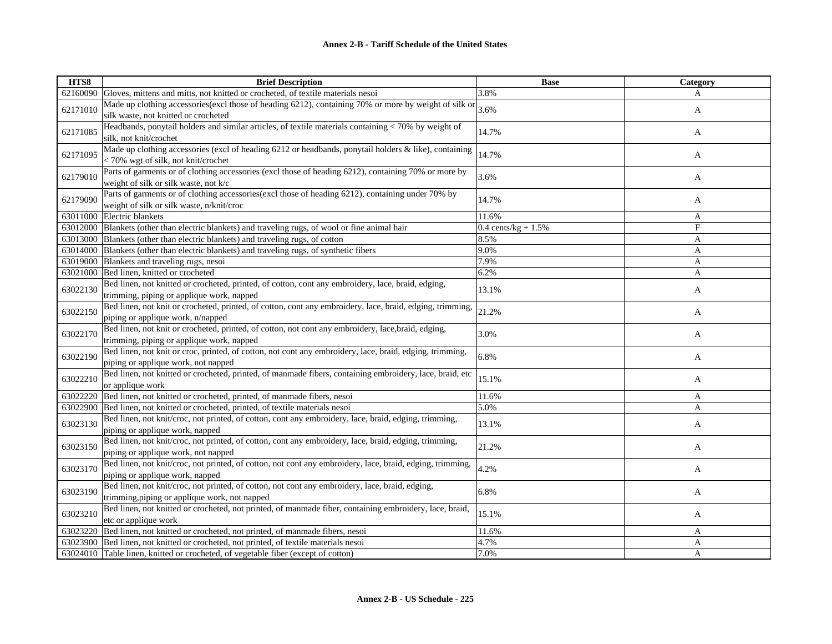| HTS8     | <b>Brief Description</b>                                                                                                                         | <b>Base</b>            | Category |
|----------|--------------------------------------------------------------------------------------------------------------------------------------------------|------------------------|----------|
|          | 62160090 Gloves, mittens and mitts, not knitted or crocheted, of textile materials nesoi                                                         | 3.8%                   | A        |
| 62171010 | Made up clothing accessories(excl those of heading 6212), containing 70% or more by weight of silk or<br>silk waste, not knitted or crocheted    | 3.6%                   | A        |
| 62171085 | Headbands, ponytail holders and similar articles, of textile materials containing < 70% by weight of<br>silk, not knit/crochet                   | 14.7%                  | A        |
| 62171095 | Made up clothing accessories (excl of heading 6212 or headbands, ponytail holders & like), containing<br>< 70% wgt of silk, not knit/crochet     | 14.7%                  | A        |
| 62179010 | Parts of garments or of clothing accessories (excl those of heading 6212), containing 70% or more by<br>weight of silk or silk waste, not k/c    | 3.6%                   | A        |
| 62179090 | Parts of garments or of clothing accessories(excl those of heading 6212), containing under 70% by<br>weight of silk or silk waste, n/knit/croc   | 14.7%                  | A        |
|          | 63011000 Electric blankets                                                                                                                       | 11.6%                  | A        |
|          | 63012000 Blankets (other than electric blankets) and traveling rugs, of wool or fine animal hair                                                 | 0.4 cents/ $kg + 1.5%$ | F        |
|          | 63013000 Blankets (other than electric blankets) and traveling rugs, of cotton                                                                   | 8.5%                   | A        |
| 63014000 | Blankets (other than electric blankets) and traveling rugs, of synthetic fibers                                                                  | 9.0%                   | A        |
|          | 63019000 Blankets and traveling rugs, nesoi                                                                                                      | 7.9%                   | A        |
| 63021000 | Bed linen, knitted or crocheted                                                                                                                  | 6.2%                   | A        |
| 63022130 | Bed linen, not knitted or crocheted, printed, of cotton, cont any embroidery, lace, braid, edging,<br>trimming, piping or applique work, napped  | 13.1%                  | A        |
| 63022150 | Bed linen, not knit or crocheted, printed, of cotton, cont any embroidery, lace, braid, edging, trimming,<br>piping or applique work, n/napped   | 21.2%                  | A        |
| 63022170 | Bed linen, not knit or crocheted, printed, of cotton, not cont any embroidery, lace, braid, edging,<br>trimming, piping or applique work, napped | 3.0%                   | A        |
| 63022190 | Bed linen, not knit or croc, printed, of cotton, not cont any embroidery, lace, braid, edging, trimming,<br>piping or applique work, not napped  | 6.8%                   | A        |
| 63022210 | Bed linen, not knitted or crocheted, printed, of manmade fibers, containing embroidery, lace, braid, etc<br>or applique work                     | 15.1%                  | A        |
| 63022220 | Bed linen, not knitted or crocheted, printed, of manmade fibers, nesoi                                                                           | 11.6%                  | A        |
| 63022900 | Bed linen, not knitted or crocheted, printed, of textile materials nesoi                                                                         | 5.0%                   | A        |
| 63023130 | Bed linen, not knit/croc, not printed, of cotton, cont any embroidery, lace, braid, edging, trimming,<br>piping or applique work, napped         | 13.1%                  | A        |
| 63023150 | Bed linen, not knit/croc, not printed, of cotton, cont any embroidery, lace, braid, edging, trimming,<br>piping or applique work, not napped     | 21.2%                  | A        |
| 63023170 | Bed linen, not knit/croc, not printed, of cotton, not cont any embroidery, lace, braid, edging, trimming,<br>piping or applique work, napped     | 4.2%                   | A        |
| 63023190 | Bed linen, not knit/croc, not printed, of cotton, not cont any embroidery, lace, braid, edging,<br>trimming, piping or applique work, not napped | 6.8%                   | A        |
| 63023210 | Bed linen, not knitted or crocheted, not printed, of manmade fiber, containing embroidery, lace, braid,<br>etc or applique work                  | 15.1%                  | A        |
|          | 63023220 Bed linen, not knitted or crocheted, not printed, of manmade fibers, nesoi                                                              | 11.6%                  | A        |
|          | 63023900 Bed linen, not knitted or crocheted, not printed, of textile materials nesoi                                                            | 4.7%                   | A        |
|          | 63024010 Table linen, knitted or crocheted, of vegetable fiber (except of cotton)                                                                | 7.0%                   | A        |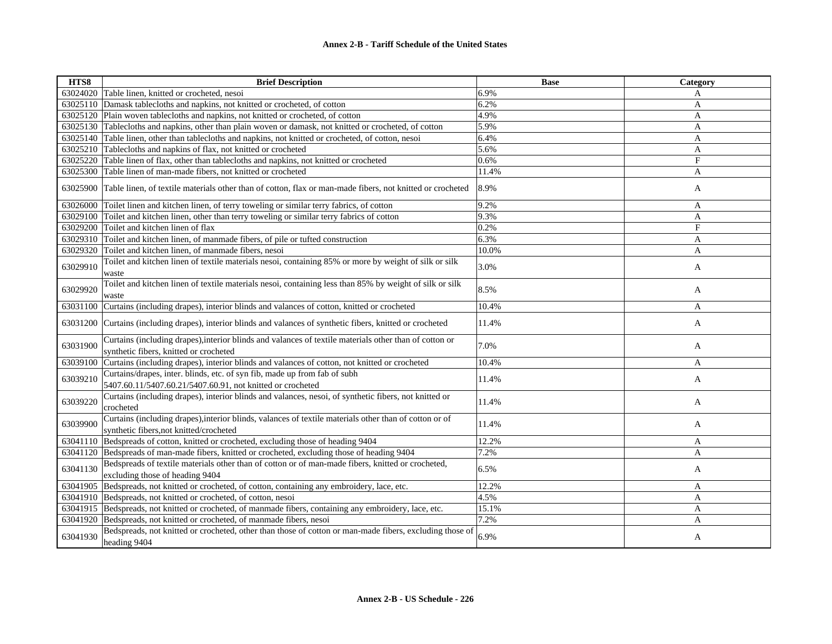| HTS8     | <b>Brief Description</b>                                                                                                                          | <b>Base</b> | Category       |
|----------|---------------------------------------------------------------------------------------------------------------------------------------------------|-------------|----------------|
|          | 63024020 Table linen, knitted or crocheted, nesoi                                                                                                 | 6.9%        | A              |
| 63025110 | Damask tablecloths and napkins, not knitted or crocheted, of cotton                                                                               | 6.2%        | A              |
| 63025120 | Plain woven tablecloths and napkins, not knitted or crocheted, of cotton                                                                          | 4.9%        | A              |
| 63025130 | Tablecloths and napkins, other than plain woven or damask, not knitted or crocheted, of cotton                                                    | 5.9%        | A              |
| 63025140 | Table linen, other than tablecloths and napkins, not knitted or crocheted, of cotton, nesoi                                                       | 6.4%        | $\overline{A}$ |
| 63025210 | Tablecloths and napkins of flax, not knitted or crocheted                                                                                         | 5.6%        | A              |
| 63025220 | Table linen of flax, other than tablecloths and napkins, not knitted or crocheted                                                                 | 0.6%        | F              |
| 63025300 | Table linen of man-made fibers, not knitted or crocheted                                                                                          | 11.4%       | A              |
| 63025900 | Table linen, of textile materials other than of cotton, flax or man-made fibers, not knitted or crocheted                                         | 8.9%        | A              |
| 63026000 | Toilet linen and kitchen linen, of terry toweling or similar terry fabrics, of cotton                                                             | 9.2%        | $\mathbf{A}$   |
| 63029100 | Toilet and kitchen linen, other than terry toweling or similar terry fabrics of cotton                                                            | 9.3%        | $\overline{A}$ |
| 63029200 | Toilet and kitchen linen of flax                                                                                                                  | 0.2%        | F              |
|          | 63029310 Toilet and kitchen linen, of manmade fibers, of pile or tufted construction                                                              | 6.3%        | A              |
| 63029320 | Toilet and kitchen linen, of manmade fibers, nesoi                                                                                                | 10.0%       | A              |
| 63029910 | Toilet and kitchen linen of textile materials nesoi, containing 85% or more by weight of silk or silk<br>waste                                    | 3.0%        | A              |
| 63029920 | Toilet and kitchen linen of textile materials nesoi, containing less than 85% by weight of silk or silk<br>waste                                  | 8.5%        | A              |
| 63031100 | Curtains (including drapes), interior blinds and valances of cotton, knitted or crocheted                                                         | 10.4%       | A              |
| 63031200 | Curtains (including drapes), interior blinds and valances of synthetic fibers, knitted or crocheted                                               | 11.4%       | A              |
| 63031900 | Curtains (including drapes), interior blinds and valances of textile materials other than of cotton or<br>synthetic fibers, knitted or crocheted  | 7.0%        | A              |
| 63039100 | Curtains (including drapes), interior blinds and valances of cotton, not knitted or crocheted                                                     | 10.4%       | A              |
| 63039210 | Curtains/drapes, inter. blinds, etc. of syn fib, made up from fab of subh<br>5407.60.11/5407.60.21/5407.60.91, not knitted or crocheted           | 11.4%       | A              |
| 63039220 | Curtains (including drapes), interior blinds and valances, nesoi, of synthetic fibers, not knitted or<br>crocheted                                | 11.4%       | A              |
| 63039900 | Curtains (including drapes), interior blinds, valances of textile materials other than of cotton or of<br>synthetic fibers, not knitted/crocheted | 11.4%       | A              |
| 63041110 | Bedspreads of cotton, knitted or crocheted, excluding those of heading 9404                                                                       | 12.2%       | A              |
| 63041120 | Bedspreads of man-made fibers, knitted or crocheted, excluding those of heading 9404                                                              | 7.2%        | A              |
| 63041130 | Bedspreads of textile materials other than of cotton or of man-made fibers, knitted or crocheted,<br>excluding those of heading 9404              | 6.5%        | A              |
| 63041905 | Bedspreads, not knitted or crocheted, of cotton, containing any embroidery, lace, etc.                                                            | 12.2%       | A              |
|          | 63041910 Bedspreads, not knitted or crocheted, of cotton, nesoi                                                                                   | 4.5%        | A              |
| 63041915 | Bedspreads, not knitted or crocheted, of manmade fibers, containing any embroidery, lace, etc.                                                    | 15.1%       | A              |
| 63041920 | Bedspreads, not knitted or crocheted, of manmade fibers, nesoi                                                                                    | 7.2%        | A              |
| 63041930 | Bedspreads, not knitted or crocheted, other than those of cotton or man-made fibers, excluding those of<br>heading 9404                           | 6.9%        | A              |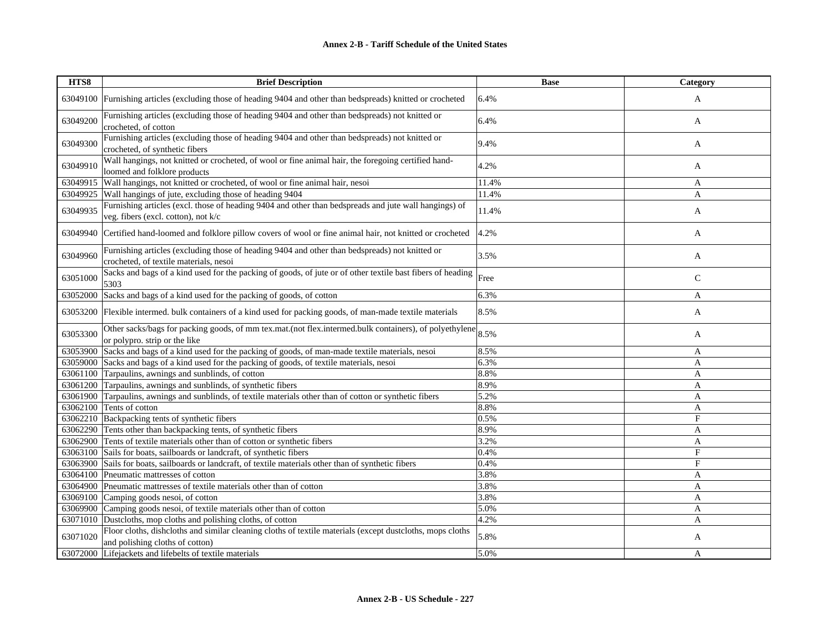| HTS8     | <b>Brief Description</b>                                                                                                                     | <b>Base</b> | Category     |
|----------|----------------------------------------------------------------------------------------------------------------------------------------------|-------------|--------------|
| 63049100 | Furnishing articles (excluding those of heading 9404 and other than bedspreads) knitted or crocheted                                         | 6.4%        | A            |
| 63049200 | Furnishing articles (excluding those of heading 9404 and other than bedspreads) not knitted or<br>crocheted, of cotton                       | 6.4%        | A            |
| 63049300 | Furnishing articles (excluding those of heading 9404 and other than bedspreads) not knitted or<br>crocheted, of synthetic fibers             | 9.4%        | A            |
| 63049910 | Wall hangings, not knitted or crocheted, of wool or fine animal hair, the foregoing certified hand-<br>loomed and folklore products          | 4.2%        | A            |
| 63049915 | Wall hangings, not knitted or crocheted, of wool or fine animal hair, nesoi                                                                  | 11.4%       | A            |
| 63049925 | Wall hangings of jute, excluding those of heading 9404                                                                                       | 11.4%       | A            |
| 63049935 | Furnishing articles (excl. those of heading 9404 and other than bedspreads and jute wall hangings) of<br>veg. fibers (excl. cotton), not k/c | 11.4%       | A            |
| 63049940 | Certified hand-loomed and folklore pillow covers of wool or fine animal hair, not knitted or crocheted                                       | 4.2%        | A            |
| 63049960 | Furnishing articles (excluding those of heading 9404 and other than bedspreads) not knitted or<br>crocheted, of textile materials, nesoi     | 3.5%        | A            |
| 63051000 | Sacks and bags of a kind used for the packing of goods, of jute or of other textile bast fibers of heading<br>5303                           | Free        | $\mathsf{C}$ |
| 63052000 | Sacks and bags of a kind used for the packing of goods, of cotton                                                                            | 6.3%        | A            |
| 63053200 | Flexible intermed. bulk containers of a kind used for packing goods, of man-made textile materials                                           | 8.5%        | A            |
| 63053300 | Other sacks/bags for packing goods, of mm tex.mat.(not flex.intermed.bulk containers), of polyethylene<br>or polypro. strip or the like      | 8.5%        | A            |
| 63053900 | Sacks and bags of a kind used for the packing of goods, of man-made textile materials, nesoi                                                 | 8.5%        | A            |
| 63059000 | Sacks and bags of a kind used for the packing of goods, of textile materials, nesoi                                                          | 6.3%        | A            |
| 63061100 | Tarpaulins, awnings and sunblinds, of cotton                                                                                                 | 8.8%        | A            |
| 63061200 | Tarpaulins, awnings and sunblinds, of synthetic fibers                                                                                       | 8.9%        | A            |
| 63061900 | Tarpaulins, awnings and sunblinds, of textile materials other than of cotton or synthetic fibers                                             | 5.2%        | A            |
| 63062100 | Tents of cotton                                                                                                                              | 8.8%        | A            |
| 63062210 | Backpacking tents of synthetic fibers                                                                                                        | 0.5%        | $_{\rm F}$   |
| 63062290 | Tents other than backpacking tents, of synthetic fibers                                                                                      | 8.9%        | $\mathbf{A}$ |
| 63062900 | Tents of textile materials other than of cotton or synthetic fibers                                                                          | 3.2%        | A            |
| 63063100 | Sails for boats, sailboards or landcraft, of synthetic fibers                                                                                | 0.4%        | F            |
| 63063900 | Sails for boats, sailboards or landcraft, of textile materials other than of synthetic fibers                                                | 0.4%        | $_{\rm F}$   |
| 63064100 | Pneumatic mattresses of cotton                                                                                                               | 3.8%        | A            |
| 63064900 | Pneumatic mattresses of textile materials other than of cotton                                                                               | 3.8%        | A            |
| 63069100 | Camping goods nesoi, of cotton                                                                                                               | 3.8%        | A            |
| 63069900 | Camping goods nesoi, of textile materials other than of cotton                                                                               | 5.0%        | A            |
| 63071010 | Dustcloths, mop cloths and polishing cloths, of cotton                                                                                       | 4.2%        | A            |
| 63071020 | Floor cloths, dishcloths and similar cleaning cloths of textile materials (except dustcloths, mops cloths<br>and polishing cloths of cotton) | 5.8%        | A            |
|          | 63072000 Lifejackets and lifebelts of textile materials                                                                                      | 5.0%        | A            |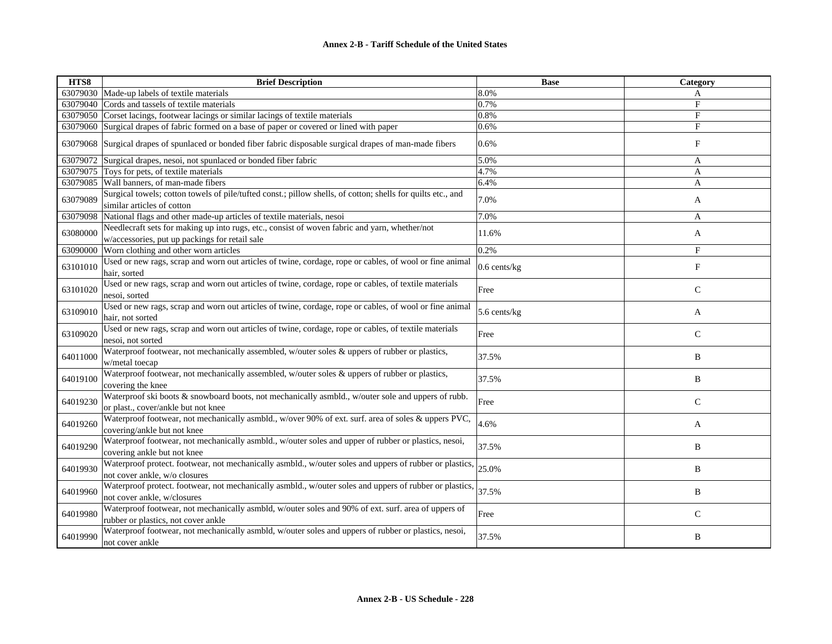| HTS8     | <b>Brief Description</b>                                                                                                                        | <b>Base</b>  | Category     |
|----------|-------------------------------------------------------------------------------------------------------------------------------------------------|--------------|--------------|
|          | 63079030 Made-up labels of textile materials                                                                                                    | 8.0%         | A            |
| 63079040 | Cords and tassels of textile materials                                                                                                          | 0.7%         | F            |
| 63079050 | Corset lacings, footwear lacings or similar lacings of textile materials                                                                        | 0.8%         | F            |
| 63079060 | Surgical drapes of fabric formed on a base of paper or covered or lined with paper                                                              | 0.6%         | $_{\rm F}$   |
| 63079068 | Surgical drapes of spunlaced or bonded fiber fabric disposable surgical drapes of man-made fibers                                               | 0.6%         | $_{\rm F}$   |
| 63079072 | Surgical drapes, nesoi, not spunlaced or bonded fiber fabric                                                                                    | 5.0%         | A            |
| 63079075 | Toys for pets, of textile materials                                                                                                             | 4.7%         | A            |
| 63079085 | Wall banners, of man-made fibers                                                                                                                | 6.4%         | A            |
| 63079089 | Surgical towels; cotton towels of pile/tufted const.; pillow shells, of cotton; shells for quilts etc., and<br>similar articles of cotton       | 7.0%         | A            |
| 63079098 | National flags and other made-up articles of textile materials, nesoi                                                                           | 7.0%         | A            |
| 63080000 | Needlecraft sets for making up into rugs, etc., consist of woven fabric and yarn, whether/not<br>w/accessories, put up packings for retail sale | 11.6%        | A            |
| 63090000 | Worn clothing and other worn articles                                                                                                           | 0.2%         | $_{\rm F}$   |
| 63101010 | Used or new rags, scrap and worn out articles of twine, cordage, rope or cables, of wool or fine animal<br>hair, sorted                         | 0.6 cents/kg | F            |
| 63101020 | Used or new rags, scrap and worn out articles of twine, cordage, rope or cables, of textile materials<br>nesoi, sorted                          | Free         | $\mathsf{C}$ |
| 63109010 | Used or new rags, scrap and worn out articles of twine, cordage, rope or cables, of wool or fine animal<br>hair, not sorted                     | 5.6 cents/kg | A            |
| 63109020 | Used or new rags, scrap and worn out articles of twine, cordage, rope or cables, of textile materials<br>nesoi, not sorted                      | Free         | $\mathsf{C}$ |
| 64011000 | Waterproof footwear, not mechanically assembled, w/outer soles & uppers of rubber or plastics,<br>w/metal toecap                                | 37.5%        | B            |
| 64019100 | Waterproof footwear, not mechanically assembled, w/outer soles $\&$ uppers of rubber or plastics,<br>covering the knee                          | 37.5%        | B            |
| 64019230 | Waterproof ski boots & snowboard boots, not mechanically asmbld., w/outer sole and uppers of rubb.<br>or plast., cover/ankle but not knee       | Free         | $\mathbf C$  |
| 64019260 | Waterproof footwear, not mechanically asmbld., w/over 90% of ext. surf. area of soles & uppers PVC,<br>covering/ankle but not knee              | 4.6%         | A            |
| 64019290 | Waterproof footwear, not mechanically asmbld., w/outer soles and upper of rubber or plastics, nesoi,<br>covering ankle but not knee             | 37.5%        | B            |
| 64019930 | Waterproof protect. footwear, not mechanically asmbld., w/outer soles and uppers of rubber or plastics,<br>not cover ankle, w/o closures        | 25.0%        | B            |
| 64019960 | Waterproof protect. footwear, not mechanically asmbld., w/outer soles and uppers of rubber or plastics,<br>not cover ankle, w/closures          | 37.5%        | B            |
| 64019980 | Waterproof footwear, not mechanically asmbld, w/outer soles and 90% of ext. surf. area of uppers of<br>rubber or plastics, not cover ankle      | Free         | $\mathsf{C}$ |
| 64019990 | Waterproof footwear, not mechanically asmbld, w/outer soles and uppers of rubber or plastics, nesoi,<br>not cover ankle                         | 37.5%        | B            |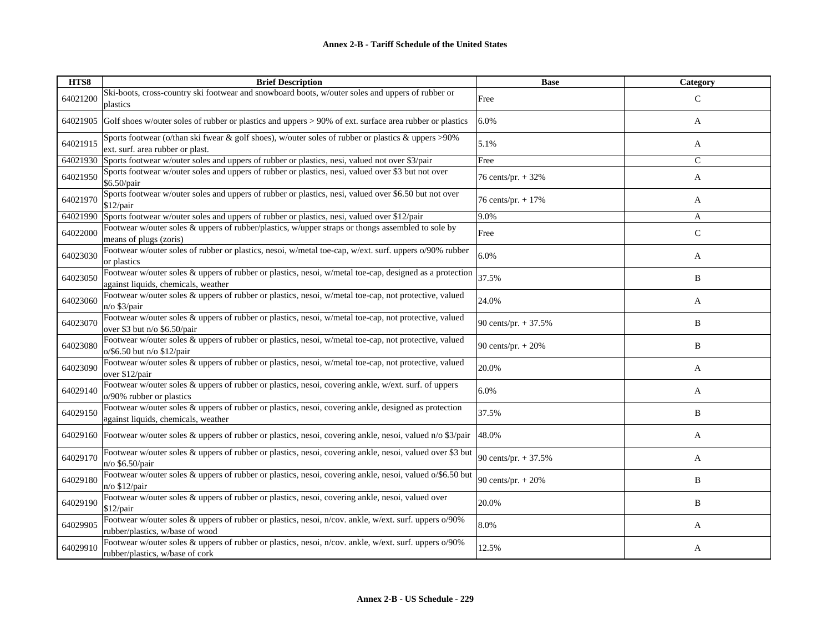| HTS8     | <b>Brief Description</b>                                                                                                                       | <b>Base</b>           | <b>Category</b> |
|----------|------------------------------------------------------------------------------------------------------------------------------------------------|-----------------------|-----------------|
| 64021200 | Ski-boots, cross-country ski footwear and snowboard boots, w/outer soles and uppers of rubber or<br>plastics                                   | Free                  | $\mathcal{C}$   |
| 64021905 | Golf shoes w/outer soles of rubber or plastics and uppers > 90% of ext. surface area rubber or plastics                                        | 6.0%                  | A               |
| 64021915 | Sports footwear (o/than ski fwear & golf shoes), w/outer soles of rubber or plastics & uppers >90%<br>ext. surf. area rubber or plast.         | 5.1%                  | A               |
| 64021930 | Sports footwear w/outer soles and uppers of rubber or plastics, nesi, valued not over \$3/pair                                                 | Free                  | $\mathsf{C}$    |
| 64021950 | Sports footwear w/outer soles and uppers of rubber or plastics, nesi, valued over \$3 but not over<br>\$6.50/pair                              | 76 cents/pr. + 32%    | A               |
| 64021970 | Sports footwear w/outer soles and uppers of rubber or plastics, nesi, valued over \$6.50 but not over<br>\$12/pair                             | 76 cents/pr. + 17%    | A               |
| 64021990 | Sports footwear w/outer soles and uppers of rubber or plastics, nesi, valued over \$12/pair                                                    | 9.0%                  | A               |
| 64022000 | Footwear w/outer soles & uppers of rubber/plastics, w/upper straps or thongs assembled to sole by<br>means of plugs (zoris)                    | Free                  | $\mathsf{C}$    |
| 64023030 | Footwear w/outer soles of rubber or plastics, nesoi, w/metal toe-cap, w/ext. surf. uppers o/90% rubber<br>or plastics                          | 6.0%                  | A               |
| 64023050 | Footwear w/outer soles & uppers of rubber or plastics, nesoi, w/metal toe-cap, designed as a protection<br>against liquids, chemicals, weather | 37.5%                 | B               |
| 64023060 | Footwear w/outer soles & uppers of rubber or plastics, nesoi, w/metal toe-cap, not protective, valued<br>$n$ o \$3/pair                        | 24.0%                 | A               |
| 64023070 | Footwear w/outer soles & uppers of rubber or plastics, nesoi, w/metal toe-cap, not protective, valued<br>over \$3 but n/o \$6.50/pair          | 90 cents/pr. $+37.5%$ | B               |
| 64023080 | Footwear w/outer soles & uppers of rubber or plastics, nesoi, w/metal toe-cap, not protective, valued<br>o/\$6.50 but n/o \$12/pair            | 90 cents/pr. $+ 20%$  | B               |
| 64023090 | Footwear w/outer soles & uppers of rubber or plastics, nesoi, w/metal toe-cap, not protective, valued<br>over \$12/pair                        | 20.0%                 | A               |
| 64029140 | Footwear w/outer soles & uppers of rubber or plastics, nesoi, covering ankle, w/ext. surf. of uppers<br>o/90% rubber or plastics               | 6.0%                  | A               |
| 64029150 | Footwear w/outer soles & uppers of rubber or plastics, nesoi, covering ankle, designed as protection<br>against liquids, chemicals, weather    | 37.5%                 | B               |
|          | 64029160 Footwear w/outer soles & uppers of rubber or plastics, nesoi, covering ankle, nesoi, valued n/o \$3/pair                              | 48.0%                 | A               |
| 64029170 | Footwear w/outer soles & uppers of rubber or plastics, nesoi, covering ankle, nesoi, valued over \$3 but<br>n/o \$6.50/pair                    | 90 cents/pr. + 37.5%  | A               |
| 64029180 | Footwear w/outer soles & uppers of rubber or plastics, nesoi, covering ankle, nesoi, valued o/\$6.50 but<br>$n$ /o \$12/pair                   | 90 cents/pr. + 20%    | B               |
| 64029190 | Footwear w/outer soles & uppers of rubber or plastics, nesoi, covering ankle, nesoi, valued over<br>$$12$ /pair                                | 20.0%                 | B               |
| 64029905 | Footwear w/outer soles & uppers of rubber or plastics, nesoi, n/cov. ankle, w/ext. surf. uppers o/90%<br>rubber/plastics, w/base of wood       | 8.0%                  | A               |
| 64029910 | Footwear w/outer soles & uppers of rubber or plastics, nesoi, n/cov. ankle, w/ext. surf. uppers o/90%<br>rubber/plastics, w/base of cork       | 12.5%                 | A               |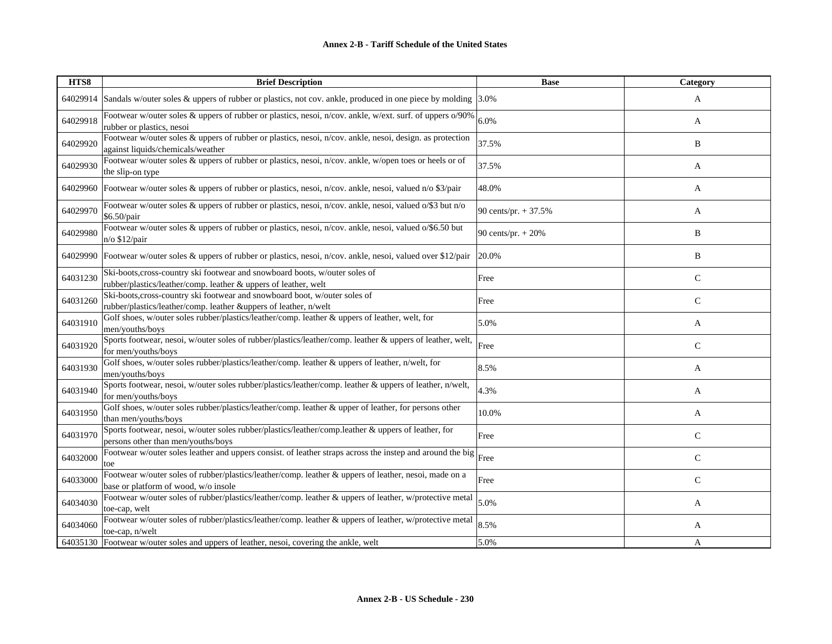| HTS8     | <b>Brief Description</b>                                                                                                                       | <b>Base</b>          | Category     |
|----------|------------------------------------------------------------------------------------------------------------------------------------------------|----------------------|--------------|
| 64029914 | Sandals w/outer soles & uppers of rubber or plastics, not cov. ankle, produced in one piece by molding 3.0%                                    |                      | A            |
| 64029918 | Footwear w/outer soles & uppers of rubber or plastics, nesoi, n/cov. ankle, w/ext. surf. of uppers o/90%<br>rubber or plastics, nesoi          | 6.0%                 | A            |
| 64029920 | Footwear w/outer soles & uppers of rubber or plastics, nesoi, n/cov. ankle, nesoi, design. as protection<br>against liquids/chemicals/weather  | 37.5%                | B            |
| 64029930 | Footwear w/outer soles & uppers of rubber or plastics, nesoi, n/cov. ankle, w/open toes or heels or of<br>the slip-on type                     | 37.5%                | A            |
| 64029960 | Footwear w/outer soles & uppers of rubber or plastics, nesoi, n/cov. ankle, nesoi, valued n/o \$3/pair                                         | 48.0%                | A            |
| 64029970 | Footwear w/outer soles & uppers of rubber or plastics, nesoi, n/cov. ankle, nesoi, valued o/\$3 but n/o<br>\$6.50/pair                         | 90 cents/pr. + 37.5% | A            |
| 64029980 | Footwear w/outer soles & uppers of rubber or plastics, nesoi, n/cov. ankle, nesoi, valued o/\$6.50 but<br>$n$ o \$12/pair                      | 90 cents/pr. + 20%   | B            |
|          | 64029990 Footwear w/outer soles & uppers of rubber or plastics, nesoi, n/cov. ankle, nesoi, valued over \$12/pair                              | 20.0%                | B            |
| 64031230 | Ski-boots, cross-country ski footwear and snowboard boots, w/outer soles of<br>rubber/plastics/leather/comp. leather & uppers of leather, welt | Free                 | $\mathsf{C}$ |
| 64031260 | Ski-boots, cross-country ski footwear and snowboard boot, w/outer soles of<br>rubber/plastics/leather/comp. leather &uppers of leather, n/welt | Free                 | $\mathsf{C}$ |
| 64031910 | Golf shoes, w/outer soles rubber/plastics/leather/comp. leather & uppers of leather, welt, for<br>men/youths/boys                              | 5.0%                 | A            |
| 64031920 | Sports footwear, nesoi, w/outer soles of rubber/plastics/leather/comp. leather & uppers of leather, welt,<br>for men/youths/boys               | Free                 | $\mathsf{C}$ |
| 64031930 | Golf shoes, w/outer soles rubber/plastics/leather/comp. leather & uppers of leather, n/welt, for<br>men/youths/boys                            | 8.5%                 | A            |
| 64031940 | Sports footwear, nesoi, w/outer soles rubber/plastics/leather/comp. leather & uppers of leather, n/welt,<br>for men/youths/boys                | 4.3%                 | A            |
| 64031950 | Golf shoes, w/outer soles rubber/plastics/leather/comp. leather & upper of leather, for persons other<br>than men/youths/boys                  | 10.0%                | A            |
| 64031970 | Sports footwear, nesoi, w/outer soles rubber/plastics/leather/comp.leather & uppers of leather, for<br>persons other than men/youths/boys      | Free                 | $\mathsf{C}$ |
| 64032000 | Footwear w/outer soles leather and uppers consist. of leather straps across the instep and around the big<br>toe                               | Free                 | $\mathsf{C}$ |
| 64033000 | Footwear w/outer soles of rubber/plastics/leather/comp. leather & uppers of leather, nesoi, made on a<br>base or platform of wood, w/o insole  | Free                 | $\mathsf{C}$ |
| 64034030 | Footwear w/outer soles of rubber/plastics/leather/comp. leather & uppers of leather, w/protective metal<br>toe-cap, welt                       | 5.0%                 | A            |
| 64034060 | Footwear w/outer soles of rubber/plastics/leather/comp. leather & uppers of leather, w/protective metal<br>toe-cap, n/welt                     | 8.5%                 | A            |
|          | 64035130 Footwear w/outer soles and uppers of leather, nesoi, covering the ankle, welt                                                         | 5.0%                 | A            |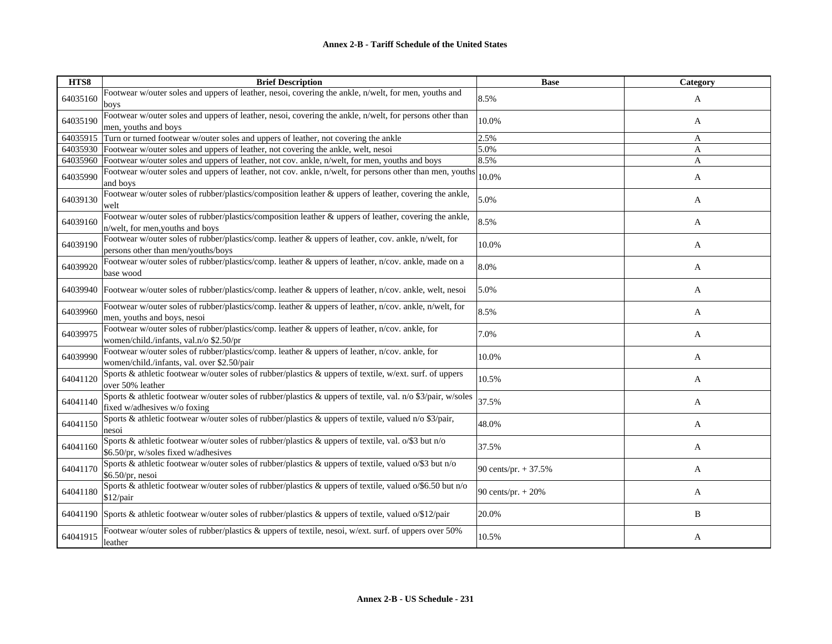| HTS8     | <b>Brief Description</b>                                                                                                                      | <b>Base</b>           | <b>Category</b> |
|----------|-----------------------------------------------------------------------------------------------------------------------------------------------|-----------------------|-----------------|
| 64035160 | Footwear w/outer soles and uppers of leather, nesoi, covering the ankle, n/welt, for men, youths and<br>boys                                  | 8.5%                  | A               |
| 64035190 | Footwear w/outer soles and uppers of leather, nesoi, covering the ankle, n/welt, for persons other than<br>men, youths and boys               | 10.0%                 | A               |
| 64035915 | Turn or turned footwear w/outer soles and uppers of leather, not covering the ankle                                                           | 2.5%                  | A               |
|          | 64035930 Footwear w/outer soles and uppers of leather, not covering the ankle, welt, nesoi                                                    | 5.0%                  | A               |
| 64035960 | Footwear w/outer soles and uppers of leather, not cov. ankle, n/welt, for men, youths and boys                                                | 8.5%                  | A               |
| 64035990 | Footwear w/outer soles and uppers of leather, not cov. ankle, n/welt, for persons other than men, youths<br>and boys                          | 10.0%                 | A               |
| 64039130 | Footwear w/outer soles of rubber/plastics/composition leather & uppers of leather, covering the ankle,<br>welt                                | 5.0%                  | A               |
| 64039160 | Footwear w/outer soles of rubber/plastics/composition leather & uppers of leather, covering the ankle,<br>n/welt, for men, youths and boys    | 8.5%                  | A               |
| 64039190 | Footwear w/outer soles of rubber/plastics/comp. leather & uppers of leather, cov. ankle, n/welt, for<br>persons other than men/youths/boys    | 10.0%                 | A               |
| 64039920 | Footwear w/outer soles of rubber/plastics/comp. leather & uppers of leather, n/cov. ankle, made on a<br>base wood                             | 8.0%                  | A               |
|          | 64039940   Footwear w/outer soles of rubber/plastics/comp. leather & uppers of leather, n/cov. ankle, welt, nesoi                             | 5.0%                  | A               |
| 64039960 | Footwear w/outer soles of rubber/plastics/comp. leather & uppers of leather, n/cov. ankle, n/welt, for<br>men, youths and boys, nesoi         | 8.5%                  | A               |
| 64039975 | Footwear w/outer soles of rubber/plastics/comp. leather & uppers of leather, n/cov. ankle, for<br>women/child./infants, val.n/o \$2.50/pr     | 7.0%                  | A               |
| 64039990 | Footwear w/outer soles of rubber/plastics/comp. leather & uppers of leather, n/cov. ankle, for<br>women/child./infants, val. over \$2.50/pair | 10.0%                 | A               |
| 64041120 | Sports & athletic footwear w/outer soles of rubber/plastics & uppers of textile, w/ext. surf. of uppers<br>over 50% leather                   | 10.5%                 | A               |
| 64041140 | Sports & athletic footwear w/outer soles of rubber/plastics & uppers of textile, val. n/o \$3/pair, w/soles<br>fixed w/adhesives w/o foxing   | 37.5%                 | A               |
| 64041150 | Sports & athletic footwear w/outer soles of rubber/plastics & uppers of textile, valued n/o \$3/pair,<br>nesoi                                | 48.0%                 | A               |
| 64041160 | Sports & athletic footwear w/outer soles of rubber/plastics & uppers of textile, val. o/\$3 but n/o<br>\$6.50/pr, w/soles fixed w/adhesives   | 37.5%                 | A               |
| 64041170 | Sports & athletic footwear w/outer soles of rubber/plastics & uppers of textile, valued o/\$3 but n/o<br>$$6.50/pr$ , nesoi                   | 90 cents/pr. $+37.5%$ | A               |
| 64041180 | Sports & athletic footwear w/outer soles of rubber/plastics & uppers of textile, valued o/\$6.50 but n/o<br>$$12$ /pair                       | 90 cents/pr. $+ 20%$  | A               |
|          | 64041190 Sports & athletic footwear w/outer soles of rubber/plastics & uppers of textile, valued o/\$12/pair                                  | 20.0%                 | B               |
| 64041915 | Footwear w/outer soles of rubber/plastics & uppers of textile, nesoi, w/ext. surf. of uppers over 50%<br>leather                              | 10.5%                 | A               |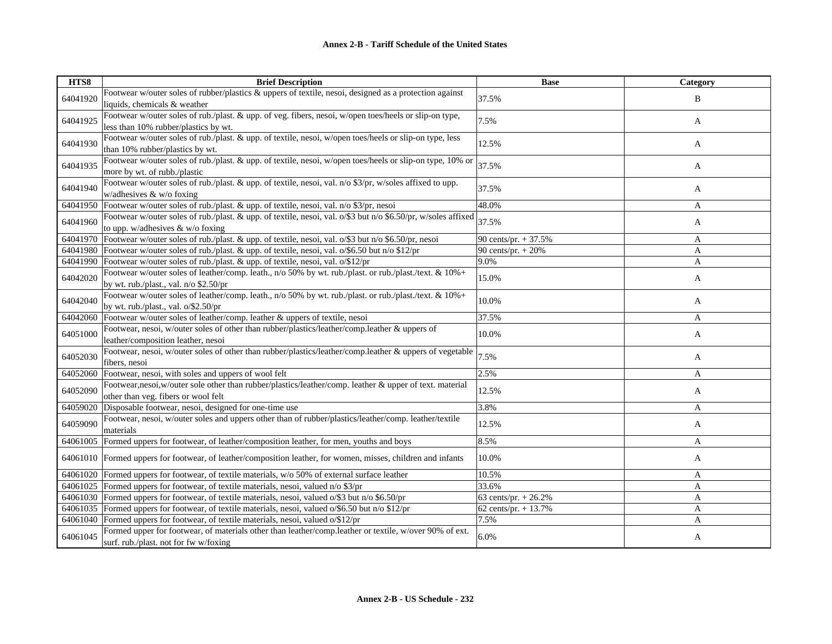| HTS8     | <b>Brief Description</b>                                                                                                                          | <b>Base</b>            | Category |
|----------|---------------------------------------------------------------------------------------------------------------------------------------------------|------------------------|----------|
| 64041920 | Footwear w/outer soles of rubber/plastics & uppers of textile, nesoi, designed as a protection against<br>liquids, chemicals & weather            | 37.5%                  | B        |
| 64041925 | Footwear w/outer soles of rub./plast. & upp. of veg. fibers, nesoi, w/open toes/heels or slip-on type,<br>less than 10% rubber/plastics by wt.    | 7.5%                   | A        |
| 64041930 | Footwear w/outer soles of rub./plast. & upp. of textile, nesoi, w/open toes/heels or slip-on type, less<br>than 10% rubber/plastics by wt.        | 12.5%                  | A        |
| 64041935 | Footwear w/outer soles of rub./plast. & upp. of textile, nesoi, w/open toes/heels or slip-on type, 10% or<br>more by wt. of rubb./plastic         | 37.5%                  | A        |
| 64041940 | Footwear w/outer soles of rub./plast. & upp. of textile, nesoi, val. n/o \$3/pr, w/soles affixed to upp.<br>w/adhesives $&$ w/o foxing            | 37.5%                  | A        |
|          | 64041950 Footwear w/outer soles of rub./plast. & upp. of textile, nesoi, val. n/o \$3/pr, nesoi                                                   | 48.0%                  | A        |
| 64041960 | Footwear w/outer soles of rub./plast. & upp. of textile, nesoi, val. o/\$3 but n/o \$6.50/pr, w/soles affixed<br>to upp. w/adhesives & w/o foxing | 37.5%                  | A        |
| 64041970 | Footwear w/outer soles of rub./plast. & upp. of textile, nesoi, val. o/\$3 but n/o \$6.50/pr, nesoi                                               | 90 cents/pr. + 37.5%   | A        |
|          | 64041980 Footwear w/outer soles of rub./plast. & upp. of textile, nesoi, val. o/\$6.50 but n/o \$12/pr                                            | 90 cents/pr. $+ 20%$   | A        |
|          | 64041990 Footwear w/outer soles of rub./plast. & upp. of textile, nesoi, val. o/\$12/pr                                                           | 9.0%                   | A        |
| 64042020 | Footwear w/outer soles of leather/comp. leath., n/o 50% by wt. rub./plast. or rub./plast./text. & 10%+<br>by wt. rub./plast., val. n/o \$2.50/pr  | 15.0%                  | A        |
| 64042040 | Footwear w/outer soles of leather/comp. leath., n/o 50% by wt. rub./plast. or rub./plast./text. & 10%+<br>by wt. rub./plast., val. o/\$2.50/pr    | 10.0%                  | A        |
| 64042060 | Footwear w/outer soles of leather/comp. leather & uppers of textile, nesoi                                                                        | 37.5%                  | A        |
| 64051000 | Footwear, nesoi, w/outer soles of other than rubber/plastics/leather/comp.leather & uppers of<br>leather/composition leather, nesoi               | 10.0%                  | A        |
| 64052030 | Footwear, nesoi, w/outer soles of other than rubber/plastics/leather/comp.leather & uppers of vegetable<br>fibers, nesoi                          | 7.5%                   | A        |
| 64052060 | Footwear, nesoi, with soles and uppers of wool felt                                                                                               | 2.5%                   | A        |
| 64052090 | Footwear,nesoi,w/outer sole other than rubber/plastics/leather/comp. leather & upper of text. material<br>other than veg. fibers or wool felt     | 12.5%                  | A        |
| 64059020 | Disposable footwear, nesoi, designed for one-time use                                                                                             | 3.8%                   | A        |
| 64059090 | Footwear, nesoi, w/outer soles and uppers other than of rubber/plastics/leather/comp. leather/textile<br>materials                                | 12.5%                  | A        |
| 64061005 | Formed uppers for footwear, of leather/composition leather, for men, youths and boys                                                              | 8.5%                   | A        |
|          | 64061010 Formed uppers for footwear, of leather/composition leather, for women, misses, children and infants                                      | 10.0%                  | A        |
|          | 64061020 Formed uppers for footwear, of textile materials, w/o 50% of external surface leather                                                    | 10.5%                  | A        |
| 64061025 | Formed uppers for footwear, of textile materials, nesoi, valued n/o \$3/pr                                                                        | 33.6%                  | A        |
|          | 64061030 Formed uppers for footwear, of textile materials, nesoi, valued o/\$3 but n/o \$6.50/pr                                                  | 63 cents/pr. + 26.2%   | A        |
| 64061035 | Formed uppers for footwear, of textile materials, nesoi, valued $\alpha$ /\$6.50 but n/o \$12/pr                                                  | 62 cents/pr. $+ 13.7%$ | A        |
|          | 64061040 Formed uppers for footwear, of textile materials, nesoi, valued o/\$12/pr                                                                | 7.5%                   | A        |
| 64061045 | Formed upper for footwear, of materials other than leather/comp.leather or textile, w/over 90% of ext.<br>surf. rub./plast. not for fw w/foxing   | 6.0%                   | A        |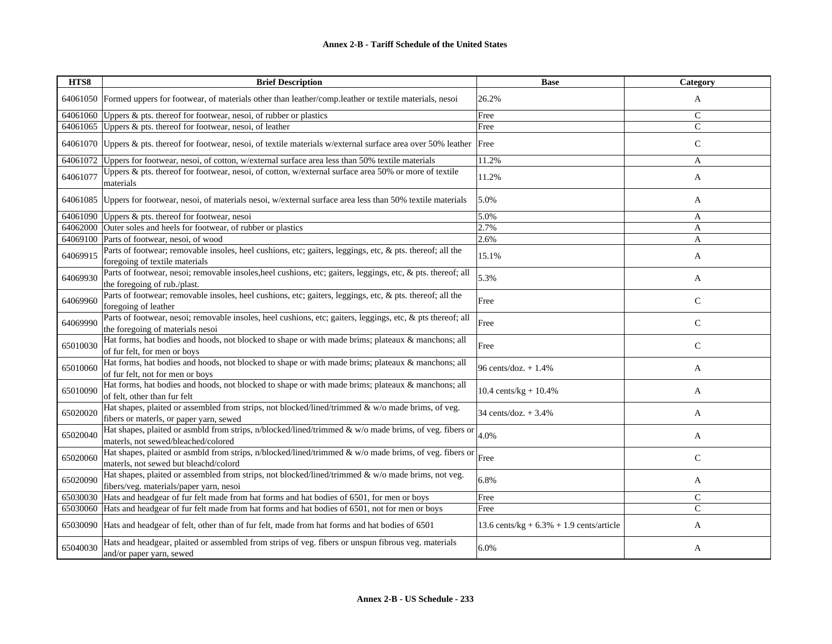| HTS8     | <b>Brief Description</b>                                                                                                                        | <b>Base</b>                                 | Category      |
|----------|-------------------------------------------------------------------------------------------------------------------------------------------------|---------------------------------------------|---------------|
| 64061050 | Formed uppers for footwear, of materials other than leather/comp.leather or textile materials, nesoi                                            | 26.2%                                       | A             |
| 64061060 | Uppers & pts. thereof for footwear, nesoi, of rubber or plastics                                                                                | Free                                        | $\mathsf{C}$  |
| 64061065 | Uppers & pts. thereof for footwear, nesoi, of leather                                                                                           | Free                                        | $\mathcal{C}$ |
| 64061070 | Uppers & pts. thereof for footwear, nesoi, of textile materials w/external surface area over 50% leather  Free                                  |                                             | $\mathsf{C}$  |
| 64061072 | Uppers for footwear, nesoi, of cotton, w/external surface area less than 50% textile materials                                                  | 11.2%                                       | A             |
| 64061077 | Uppers & pts. thereof for footwear, nesoi, of cotton, w/external surface area 50% or more of textile<br>materials                               | 11.2%                                       | A             |
| 64061085 | Uppers for footwear, nesoi, of materials nesoi, w/external surface area less than 50% textile materials                                         | 5.0%                                        | A             |
| 64061090 | Uppers & pts. thereof for footwear, nesoi                                                                                                       | 5.0%                                        | A             |
| 64062000 | Outer soles and heels for footwear, of rubber or plastics                                                                                       | 2.7%                                        | A             |
| 64069100 | Parts of footwear, nesoi, of wood                                                                                                               | 2.6%                                        | A             |
| 64069915 | Parts of footwear; removable insoles, heel cushions, etc; gaiters, leggings, etc, & pts. thereof; all the<br>foregoing of textile materials     | 15.1%                                       | A             |
| 64069930 | Parts of footwear, nesoi; removable insoles, heel cushions, etc; gaiters, leggings, etc, & pts. thereof; all<br>the foregoing of rub./plast.    | 5.3%                                        | A             |
| 64069960 | Parts of footwear; removable insoles, heel cushions, etc; gaiters, leggings, etc, & pts. thereof; all the<br>foregoing of leather               | Free                                        | $\mathsf{C}$  |
| 64069990 | Parts of footwear, nesoi; removable insoles, heel cushions, etc; gaiters, leggings, etc, & pts thereof; all<br>the foregoing of materials nesoi | Free                                        | $\mathcal{C}$ |
| 65010030 | Hat forms, hat bodies and hoods, not blocked to shape or with made brims; plateaux & manchons; all<br>of fur felt, for men or boys              | Free                                        | $\mathsf{C}$  |
| 65010060 | Hat forms, hat bodies and hoods, not blocked to shape or with made brims; plateaux & manchons; all<br>of fur felt, not for men or boys          | 96 cents/doz. + 1.4%                        | A             |
| 65010090 | Hat forms, hat bodies and hoods, not blocked to shape or with made brims; plateaux & manchons; all<br>of felt, other than fur felt              | $10.4 \text{ cents/kg} + 10.4\%$            | A             |
| 65020020 | Hat shapes, plaited or assembled from strips, not blocked/lined/trimmed & w/o made brims, of veg.<br>fibers or materls, or paper yarn, sewed    | 34 cents/doz. $+3.4%$                       | A             |
| 65020040 | Hat shapes, plaited or asmbld from strips, n/blocked/lined/trimmed & w/o made brims, of veg. fibers or<br>materls, not sewed/bleached/colored   | 4.0%                                        | A             |
| 65020060 | Hat shapes, plaited or asmbld from strips, n/blocked/lined/trimmed & w/o made brims, of veg. fibers or<br>materls, not sewed but bleachd/colord | Free                                        | $\mathsf{C}$  |
| 65020090 | Hat shapes, plaited or assembled from strips, not blocked/lined/trimmed & w/o made brims, not veg.<br>fibers/veg. materials/paper yarn, nesoi   | 6.8%                                        | A             |
| 65030030 | Hats and headgear of fur felt made from hat forms and hat bodies of 6501, for men or boys                                                       | Free                                        | $\mathsf{C}$  |
| 65030060 | Hats and headgear of fur felt made from hat forms and hat bodies of 6501, not for men or boys                                                   | Free                                        | $\mathsf{C}$  |
| 65030090 | Hats and headgear of felt, other than of fur felt, made from hat forms and hat bodies of 6501                                                   | 13.6 cents/kg + $6.3\%$ + 1.9 cents/article | A             |
| 65040030 | Hats and headgear, plaited or assembled from strips of veg. fibers or unspun fibrous veg. materials<br>and/or paper yarn, sewed                 | 6.0%                                        | A             |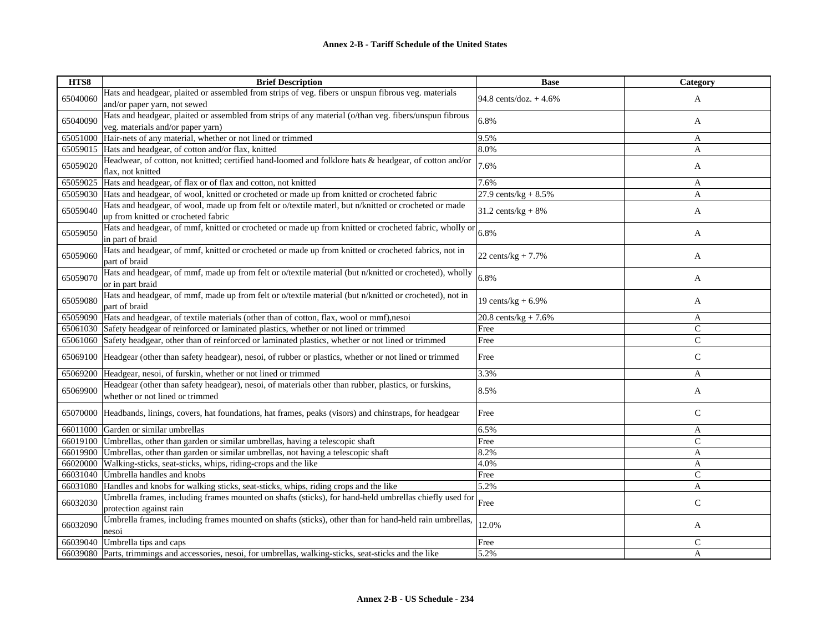| HTS8     | <b>Brief Description</b>                                                                                | <b>Base</b>             | Category      |
|----------|---------------------------------------------------------------------------------------------------------|-------------------------|---------------|
| 65040060 | Hats and headgear, plaited or assembled from strips of veg. fibers or unspun fibrous veg. materials     | 94.8 cents/doz. + 4.6%  |               |
|          | and/or paper yarn, not sewed                                                                            |                         | A             |
|          | Hats and headgear, plaited or assembled from strips of any material (o/than veg. fibers/unspun fibrous  |                         |               |
| 65040090 | veg. materials and/or paper yarn)                                                                       | 6.8%                    | A             |
| 65051000 | Hair-nets of any material, whether or not lined or trimmed                                              | 9.5%                    | A             |
| 65059015 | Hats and headgear, of cotton and/or flax, knitted                                                       | 8.0%                    | A             |
|          | Headwear, of cotton, not knitted; certified hand-loomed and folklore hats & headgear, of cotton and/or  |                         |               |
| 65059020 | flax, not knitted                                                                                       | 7.6%                    | A             |
| 65059025 | Hats and headgear, of flax or of flax and cotton, not knitted                                           | 7.6%                    | A             |
| 65059030 | Hats and headgear, of wool, knitted or crocheted or made up from knitted or crocheted fabric            | 27.9 cents/ $kg + 8.5%$ | A             |
|          | Hats and headgear, of wool, made up from felt or o/textile materl, but n/knitted or crocheted or made   |                         |               |
| 65059040 | up from knitted or crocheted fabric                                                                     | $31.2$ cents/kg + 8%    | A             |
|          | Hats and headgear, of mmf, knitted or crocheted or made up from knitted or crocheted fabric, wholly or  |                         |               |
| 65059050 | in part of braid                                                                                        | 6.8%                    | A             |
|          | Hats and headgear, of mmf, knitted or crocheted or made up from knitted or crocheted fabrics, not in    |                         |               |
| 65059060 | part of braid                                                                                           | 22 cents/ $kg + 7.7%$   | A             |
|          | Hats and headgear, of mmf, made up from felt or o/textile material (but n/knitted or crocheted), wholly |                         |               |
| 65059070 | or in part braid                                                                                        | 6.8%                    | A             |
|          | Hats and headgear, of mmf, made up from felt or o/textile material (but n/knitted or crocheted), not in |                         |               |
| 65059080 | part of braid                                                                                           | 19 cents/ $kg + 6.9%$   | A             |
| 65059090 | Hats and headgear, of textile materials (other than of cotton, flax, wool or mmf), nesoi                | 20.8 cents/kg + $7.6%$  | A             |
| 65061030 | Safety headgear of reinforced or laminated plastics, whether or not lined or trimmed                    | Free                    | $\mathsf{C}$  |
| 65061060 | Safety headgear, other than of reinforced or laminated plastics, whether or not lined or trimmed        | Free                    | $\mathcal{C}$ |
|          |                                                                                                         |                         |               |
| 65069100 | Headgear (other than safety headgear), nesoi, of rubber or plastics, whether or not lined or trimmed    | Free                    | $\mathcal{C}$ |
| 65069200 | Headgear, nesoi, of furskin, whether or not lined or trimmed                                            | 3.3%                    | A             |
| 65069900 | Headgear (other than safety headgear), nesoi, of materials other than rubber, plastics, or furskins,    | 8.5%                    |               |
|          | whether or not lined or trimmed                                                                         |                         | A             |
| 65070000 |                                                                                                         | Free                    | $\mathsf{C}$  |
|          | Headbands, linings, covers, hat foundations, hat frames, peaks (visors) and chinstraps, for headgear    |                         |               |
| 66011000 | Garden or similar umbrellas                                                                             | 6.5%                    | A             |
| 66019100 | Umbrellas, other than garden or similar umbrellas, having a telescopic shaft                            | Free                    | $\mathcal{C}$ |
| 66019900 | Umbrellas, other than garden or similar umbrellas, not having a telescopic shaft                        | 8.2%                    | A             |
| 66020000 | Walking-sticks, seat-sticks, whips, riding-crops and the like                                           | 4.0%                    | A             |
| 66031040 | Umbrella handles and knobs                                                                              | Free                    | $\mathbf C$   |
| 66031080 | Handles and knobs for walking sticks, seat-sticks, whips, riding crops and the like                     | 5.2%                    | A             |
| 66032030 | Umbrella frames, including frames mounted on shafts (sticks), for hand-held umbrellas chiefly used for  | Free                    | $\mathsf{C}$  |
|          | protection against rain                                                                                 |                         |               |
| 66032090 | Umbrella frames, including frames mounted on shafts (sticks), other than for hand-held rain umbrellas,  | 12.0%                   |               |
|          | nesoi                                                                                                   |                         | A             |
| 66039040 | Umbrella tips and caps                                                                                  | Free                    | C             |
| 66039080 | Parts, trimmings and accessories, nesoi, for umbrellas, walking-sticks, seat-sticks and the like        | 5.2%                    | A             |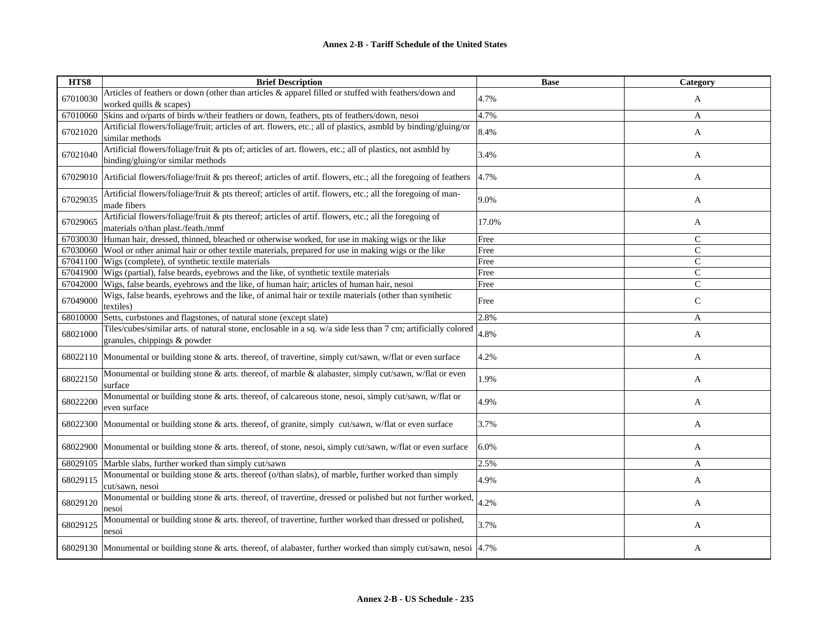| HTS8     | <b>Brief Description</b>                                                                                                                       | <b>Base</b> | Category      |
|----------|------------------------------------------------------------------------------------------------------------------------------------------------|-------------|---------------|
| 67010030 | Articles of feathers or down (other than articles & apparel filled or stuffed with feathers/down and<br>worked quills & scapes)                | 4.7%        | A             |
| 67010060 | Skins and o/parts of birds w/their feathers or down, feathers, pts of feathers/down, nesoi                                                     | 4.7%        | A             |
| 67021020 | Artificial flowers/foliage/fruit; articles of art. flowers, etc.; all of plastics, asmbld by binding/gluing/or<br>similar methods              | 8.4%        | A             |
| 67021040 | Artificial flowers/foliage/fruit & pts of; articles of art. flowers, etc.; all of plastics, not asmbld by<br>binding/gluing/or similar methods | 3.4%        | A             |
| 67029010 | Artificial flowers/foliage/fruit & pts thereof; articles of artif. flowers, etc.; all the foregoing of feathers                                | 4.7%        | A             |
| 67029035 | Artificial flowers/foliage/fruit & pts thereof; articles of artif. flowers, etc.; all the foregoing of man-<br>made fibers                     | 9.0%        | A             |
| 67029065 | Artificial flowers/foliage/fruit & pts thereof; articles of artif. flowers, etc.; all the foregoing of<br>materials o/than plast./feath./mmf   | 17.0%       | A             |
| 67030030 | Human hair, dressed, thinned, bleached or otherwise worked, for use in making wigs or the like                                                 | Free        | $\mathsf{C}$  |
| 67030060 | Wool or other animal hair or other textile materials, prepared for use in making wigs or the like                                              | Free        | $\mathsf{C}$  |
| 67041100 | Wigs (complete), of synthetic textile materials                                                                                                | Free        | $\mathsf{C}$  |
| 67041900 | Wigs (partial), false beards, eyebrows and the like, of synthetic textile materials                                                            | Free        | $\mathbf{C}$  |
| 67042000 | Wigs, false beards, eyebrows and the like, of human hair; articles of human hair, nesoi                                                        | Free        | $\mathcal{C}$ |
| 67049000 | Wigs, false beards, eyebrows and the like, of animal hair or textile materials (other than synthetic<br>textiles)                              | Free        | C             |
| 68010000 | Setts, curbstones and flagstones, of natural stone (except slate)                                                                              | 2.8%        | A             |
| 68021000 | Tiles/cubes/similar arts. of natural stone, enclosable in a sq. w/a side less than 7 cm; artificially colored<br>granules, chippings & powder  | 4.8%        | A             |
| 68022110 | Monumental or building stone & arts. thereof, of travertine, simply cut/sawn, w/flat or even surface                                           | 4.2%        | A             |
| 68022150 | Monumental or building stone & arts. thereof, of marble & alabaster, simply cut/sawn, w/flat or even<br>surface                                | 1.9%        | A             |
| 68022200 | Monumental or building stone & arts. thereof, of calcareous stone, nesoi, simply cut/sawn, w/flat or<br>even surface                           | 4.9%        | A             |
| 68022300 | Monumental or building stone & arts. thereof, of granite, simply cut/sawn, w/flat or even surface                                              | 3.7%        | A             |
| 68022900 | Monumental or building stone & arts. thereof, of stone, nesoi, simply cut/sawn, w/flat or even surface                                         | 6.0%        | A             |
| 68029105 | Marble slabs, further worked than simply cut/sawn                                                                                              | 2.5%        | A             |
| 68029115 | Monumental or building stone & arts. thereof (o/than slabs), of marble, further worked than simply<br>cut/sawn, nesoi                          | 4.9%        | A             |
| 68029120 | Monumental or building stone & arts. thereof, of travertine, dressed or polished but not further worked,<br>nesoi                              | 4.2%        | A             |
| 68029125 | Monumental or building stone & arts. thereof, of travertine, further worked than dressed or polished,<br>nesoi                                 | 3.7%        | A             |
|          | 68029130 Monumental or building stone & arts. thereof, of alabaster, further worked than simply cut/sawn, nesoi 4.7%                           |             | A             |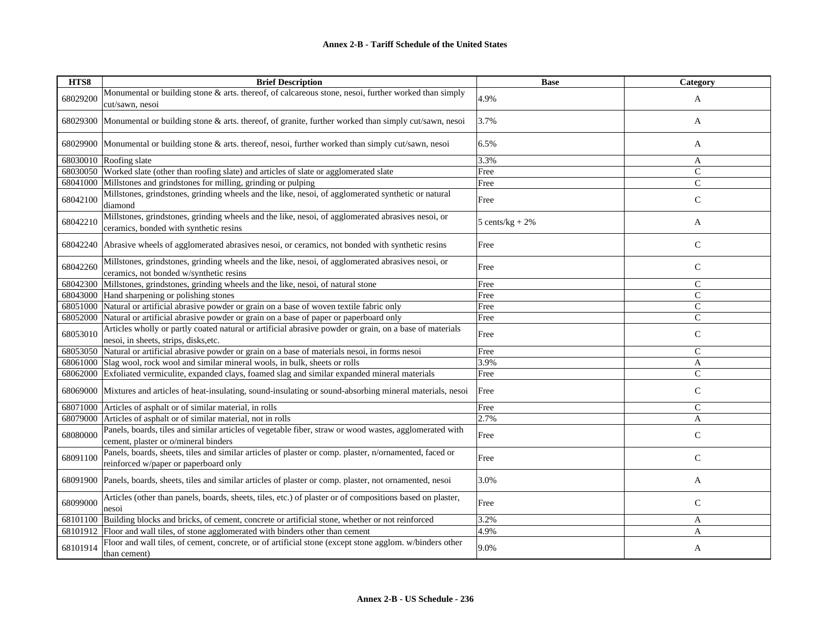| HTS8     | <b>Brief Description</b>                                                                                                                         | <b>Base</b>       | Category      |
|----------|--------------------------------------------------------------------------------------------------------------------------------------------------|-------------------|---------------|
| 68029200 | Monumental or building stone & arts. thereof, of calcareous stone, nesoi, further worked than simply<br>cut/sawn, nesoi                          | 4.9%              | A             |
| 68029300 | Monumental or building stone & arts. thereof, of granite, further worked than simply cut/sawn, nesoi                                             | 3.7%              | A             |
| 68029900 | Monumental or building stone & arts. thereof, nesoi, further worked than simply cut/sawn, nesoi                                                  | 6.5%              | A             |
| 68030010 | Roofing slate                                                                                                                                    | 3.3%              | A             |
| 68030050 | Worked slate (other than roofing slate) and articles of slate or agglomerated slate                                                              | Free              | $\mathsf{C}$  |
| 68041000 | Millstones and grindstones for milling, grinding or pulping                                                                                      | Free              | $\mathcal{C}$ |
| 68042100 | Millstones, grindstones, grinding wheels and the like, nesoi, of agglomerated synthetic or natural<br>diamond                                    | Free              | $\mathbf C$   |
| 68042210 | Millstones, grindstones, grinding wheels and the like, nesoi, of agglomerated abrasives nesoi, or<br>ceramics, bonded with synthetic resins      | $5 cents/kg + 2%$ | A             |
| 68042240 | Abrasive wheels of agglomerated abrasives nesoi, or ceramics, not bonded with synthetic resins                                                   | Free              | $\mathsf{C}$  |
| 68042260 | Millstones, grindstones, grinding wheels and the like, nesoi, of agglomerated abrasives nesoi, or<br>ceramics, not bonded w/synthetic resins     | Free              | $\mathsf C$   |
| 68042300 | Millstones, grindstones, grinding wheels and the like, nesoi, of natural stone                                                                   | Free              | $\mathsf C$   |
| 68043000 | Hand sharpening or polishing stones                                                                                                              | Free              | $\mathsf{C}$  |
| 68051000 | Natural or artificial abrasive powder or grain on a base of woven textile fabric only                                                            | Free              | $\mathsf{C}$  |
| 68052000 | Natural or artificial abrasive powder or grain on a base of paper or paperboard only                                                             | Free              | $\mathsf{C}$  |
| 68053010 | Articles wholly or partly coated natural or artificial abrasive powder or grain, on a base of materials<br>nesoi, in sheets, strips, disks, etc. | Free              | $\mathbf C$   |
| 68053050 | Natural or artificial abrasive powder or grain on a base of materials nesoi, in forms nesoi                                                      | Free              | $\mathsf{C}$  |
| 68061000 | Slag wool, rock wool and similar mineral wools, in bulk, sheets or rolls                                                                         | 3.9%              | A             |
| 68062000 | Exfoliated vermiculite, expanded clays, foamed slag and similar expanded mineral materials                                                       | Free              | $\mathsf{C}$  |
| 68069000 | Mixtures and articles of heat-insulating, sound-insulating or sound-absorbing mineral materials, nesoi                                           | Free              | $\mathsf{C}$  |
| 68071000 | Articles of asphalt or of similar material, in rolls                                                                                             | Free              | $\mathcal{C}$ |
| 68079000 | Articles of asphalt or of similar material, not in rolls                                                                                         | 2.7%              | A             |
| 68080000 | Panels, boards, tiles and similar articles of vegetable fiber, straw or wood wastes, agglomerated with<br>cement, plaster or o/mineral binders   | Free              | $\mathsf{C}$  |
| 68091100 | Panels, boards, sheets, tiles and similar articles of plaster or comp. plaster, n/ornamented, faced or<br>reinforced w/paper or paperboard only  | Free              | $\mathsf{C}$  |
| 68091900 | Panels, boards, sheets, tiles and similar articles of plaster or comp. plaster, not ornamented, nesoi                                            | 3.0%              | A             |
| 68099000 | Articles (other than panels, boards, sheets, tiles, etc.) of plaster or of compositions based on plaster,<br>nesoi                               | Free              | $\mathsf{C}$  |
| 68101100 | Building blocks and bricks, of cement, concrete or artificial stone, whether or not reinforced                                                   | 3.2%              | A             |
| 68101912 | Floor and wall tiles, of stone agglomerated with binders other than cement                                                                       | 4.9%              | A             |
| 68101914 | Floor and wall tiles, of cement, concrete, or of artificial stone (except stone agglom. w/binders other<br>than cement)                          | 9.0%              | A             |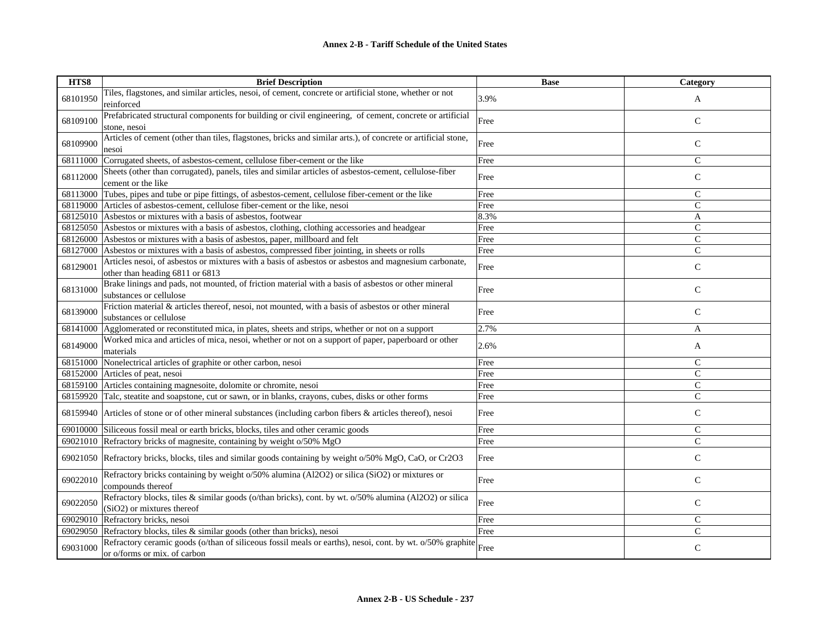| HTS8     | <b>Brief Description</b>                                                                                                                  | <b>Base</b> | Category      |
|----------|-------------------------------------------------------------------------------------------------------------------------------------------|-------------|---------------|
| 68101950 | Tiles, flagstones, and similar articles, nesoi, of cement, concrete or artificial stone, whether or not<br>reinforced                     | 3.9%        | A             |
| 68109100 | Prefabricated structural components for building or civil engineering, of cement, concrete or artificial<br>stone, nesoi                  | Free        | $\mathsf C$   |
| 68109900 | Articles of cement (other than tiles, flagstones, bricks and similar arts.), of concrete or artificial stone,<br>nesoi                    | Free        | $\mathsf{C}$  |
| 68111000 | Corrugated sheets, of asbestos-cement, cellulose fiber-cement or the like                                                                 | Free        | $\mathsf{C}$  |
| 68112000 | Sheets (other than corrugated), panels, tiles and similar articles of asbestos-cement, cellulose-fiber<br>cement or the like              | Free        | $\mathsf{C}$  |
| 68113000 | Tubes, pipes and tube or pipe fittings, of asbestos-cement, cellulose fiber-cement or the like                                            | Free        | $\mathsf{C}$  |
|          | 68119000 Articles of asbestos-cement, cellulose fiber-cement or the like, nesoi                                                           | Free        | $\mathsf{C}$  |
|          | 68125010 Asbestos or mixtures with a basis of asbestos, footwear                                                                          | 8.3%        | A             |
|          | 68125050 Asbestos or mixtures with a basis of asbestos, clothing, clothing accessories and headgear                                       | Free        | $\mathcal{C}$ |
|          | 68126000 Asbestos or mixtures with a basis of asbestos, paper, millboard and felt                                                         | Free        | $\mathsf{C}$  |
| 68127000 | Asbestos or mixtures with a basis of asbestos, compressed fiber jointing, in sheets or rolls                                              | Free        | $\mathsf{C}$  |
| 68129001 | Articles nesoi, of asbestos or mixtures with a basis of asbestos or asbestos and magnesium carbonate,<br>other than heading 6811 or 6813  | Free        | $\mathsf{C}$  |
| 68131000 | Brake linings and pads, not mounted, of friction material with a basis of asbestos or other mineral<br>substances or cellulose            | Free        | $\mathsf{C}$  |
| 68139000 | Friction material & articles thereof, nesoi, not mounted, with a basis of asbestos or other mineral<br>substances or cellulose            | Free        | $\mathcal{C}$ |
| 68141000 | Agglomerated or reconstituted mica, in plates, sheets and strips, whether or not on a support                                             | 2.7%        | A             |
| 68149000 | Worked mica and articles of mica, nesoi, whether or not on a support of paper, paperboard or other<br>materials                           | 2.6%        | A             |
| 68151000 | Nonelectrical articles of graphite or other carbon, nesoi                                                                                 | Free        | $\mathsf{C}$  |
|          | 68152000 Articles of peat, nesoi                                                                                                          | Free        | $\mathcal{C}$ |
|          | 68159100 Articles containing magnesoite, dolomite or chromite, nesoi                                                                      | Free        | $\mathsf{C}$  |
|          | 68159920 Talc, steatite and soapstone, cut or sawn, or in blanks, crayons, cubes, disks or other forms                                    | Free        | $\mathbf C$   |
| 68159940 | Articles of stone or of other mineral substances (including carbon fibers & articles thereof), nesoi                                      | Free        | $\mathbf C$   |
| 69010000 | Siliceous fossil meal or earth bricks, blocks, tiles and other ceramic goods                                                              | Free        | $\mathsf{C}$  |
| 69021010 | Refractory bricks of magnesite, containing by weight o/50% MgO                                                                            | Free        | $\mathcal{C}$ |
| 69021050 | Refractory bricks, blocks, tiles and similar goods containing by weight o/50% MgO, CaO, or Cr2O3                                          | Free        | $\mathsf{C}$  |
| 69022010 | Refractory bricks containing by weight o/50% alumina (Al2O2) or silica (SiO2) or mixtures or<br>compounds thereof                         | Free        | $\mathsf{C}$  |
| 69022050 | Refractory blocks, tiles & similar goods (o/than bricks), cont. by wt. o/50% alumina (Al2O2) or silica<br>(SiO2) or mixtures thereof      | Free        | $\mathsf{C}$  |
| 69029010 | Refractory bricks, nesoi                                                                                                                  | Free        | $\mathsf{C}$  |
| 69029050 | Refractory blocks, tiles & similar goods (other than bricks), nesoi                                                                       | Free        | $\mathsf{C}$  |
| 69031000 | Refractory ceramic goods (o/than of siliceous fossil meals or earths), nesoi, cont. by wt. o/50% graphite<br>or o/forms or mix. of carbon | Free        | $\mathsf{C}$  |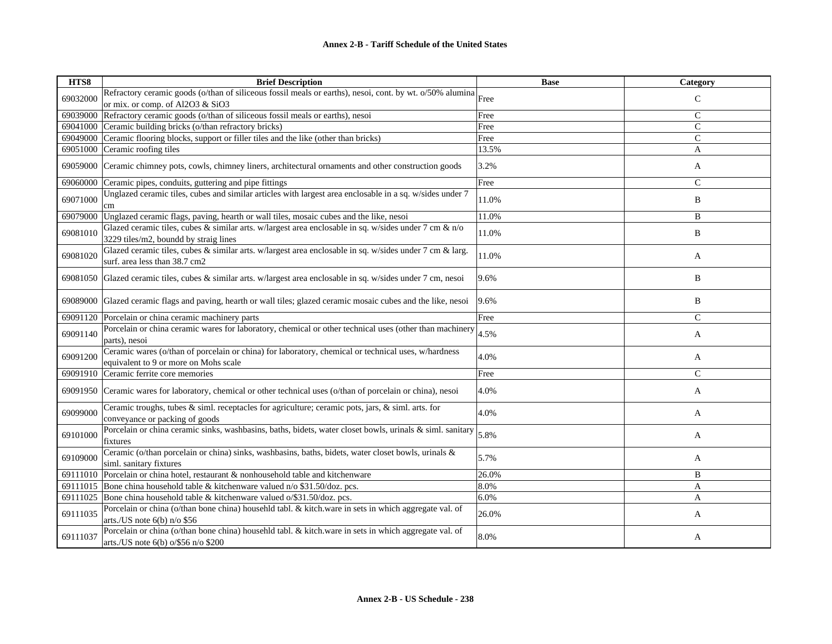| HTS8     | <b>Brief Description</b>                                                                                                                          | <b>Base</b> | <b>Category</b> |
|----------|---------------------------------------------------------------------------------------------------------------------------------------------------|-------------|-----------------|
| 69032000 | Refractory ceramic goods (o/than of siliceous fossil meals or earths), nesoi, cont. by wt. o/50% alumina                                          |             | $\mathsf{C}$    |
|          | or mix. or comp. of Al2O3 & SiO3                                                                                                                  |             |                 |
| 69039000 | Refractory ceramic goods (o/than of siliceous fossil meals or earths), nesoi                                                                      | Free        | $\mathcal{C}$   |
| 69041000 | Ceramic building bricks (o/than refractory bricks)                                                                                                | Free        | $\mathsf{C}$    |
| 69049000 | Ceramic flooring blocks, support or filler tiles and the like (other than bricks)                                                                 | Free        | $\overline{C}$  |
| 69051000 | Ceramic roofing tiles                                                                                                                             | 13.5%       | A               |
| 69059000 | Ceramic chimney pots, cowls, chimney liners, architectural ornaments and other construction goods                                                 | 3.2%        | A               |
| 69060000 | Ceramic pipes, conduits, guttering and pipe fittings                                                                                              | Free        | $\mathsf{C}$    |
| 69071000 | Unglazed ceramic tiles, cubes and similar articles with largest area enclosable in a sq. w/sides under 7<br>cm                                    | 11.0%       | B               |
| 69079000 | Unglazed ceramic flags, paving, hearth or wall tiles, mosaic cubes and the like, nesoi                                                            | 11.0%       | B               |
| 69081010 | Glazed ceramic tiles, cubes & similar arts. w/largest area enclosable in sq. w/sides under 7 cm $\&$ n/o<br>3229 tiles/m2, boundd by straig lines | 11.0%       | B               |
| 69081020 | Glazed ceramic tiles, cubes & similar arts. w/largest area enclosable in sq. w/sides under 7 cm & larg.<br>surf. area less than 38.7 cm2          | 11.0%       | A               |
| 69081050 | Glazed ceramic tiles, cubes & similar arts. w/largest area enclosable in sq. w/sides under 7 cm, nesoi                                            | 9.6%        | B               |
| 69089000 | Glazed ceramic flags and paving, hearth or wall tiles; glazed ceramic mosaic cubes and the like, nesoi                                            | 9.6%        | B               |
| 69091120 | Porcelain or china ceramic machinery parts                                                                                                        | Free        | $\mathbf C$     |
| 69091140 | Porcelain or china ceramic wares for laboratory, chemical or other technical uses (other than machinery<br>parts), nesoi                          | 4.5%        | A               |
| 69091200 | Ceramic wares (o/than of porcelain or china) for laboratory, chemical or technical uses, w/hardness<br>equivalent to 9 or more on Mohs scale      | 4.0%        | A               |
| 69091910 | Ceramic ferrite core memories                                                                                                                     | Free        | $\mathsf{C}$    |
| 69091950 | Ceramic wares for laboratory, chemical or other technical uses (o/than of porcelain or china), nesoi                                              | 4.0%        | A               |
| 69099000 | Ceramic troughs, tubes & siml. receptacles for agriculture; ceramic pots, jars, & siml. arts. for<br>conveyance or packing of goods               | 4.0%        | A               |
| 69101000 | Porcelain or china ceramic sinks, washbasins, baths, bidets, water closet bowls, urinals & siml. sanitary<br>fixtures                             | 5.8%        | A               |
| 69109000 | Ceramic (o/than porcelain or china) sinks, washbasins, baths, bidets, water closet bowls, urinals &<br>siml. sanitary fixtures                    | 5.7%        | A               |
| 69111010 | Porcelain or china hotel, restaurant & nonhousehold table and kitchenware                                                                         | 26.0%       | B               |
| 69111015 | Bone china household table & kitchenware valued n/o \$31.50/doz. pcs.                                                                             | 8.0%        | A               |
| 69111025 | Bone china household table & kitchenware valued o/\$31.50/doz. pcs.                                                                               | 6.0%        | A               |
| 69111035 | Porcelain or china (o/than bone china) househld tabl. & kitch.ware in sets in which aggregate val. of<br>arts./US note $6(b)$ n/o \$56            | 26.0%       | A               |
| 69111037 | Porcelain or china (o/than bone china) househld tabl. & kitch.ware in sets in which aggregate val. of<br>arts./US note 6(b) o/\$56 n/o \$200      | 8.0%        | A               |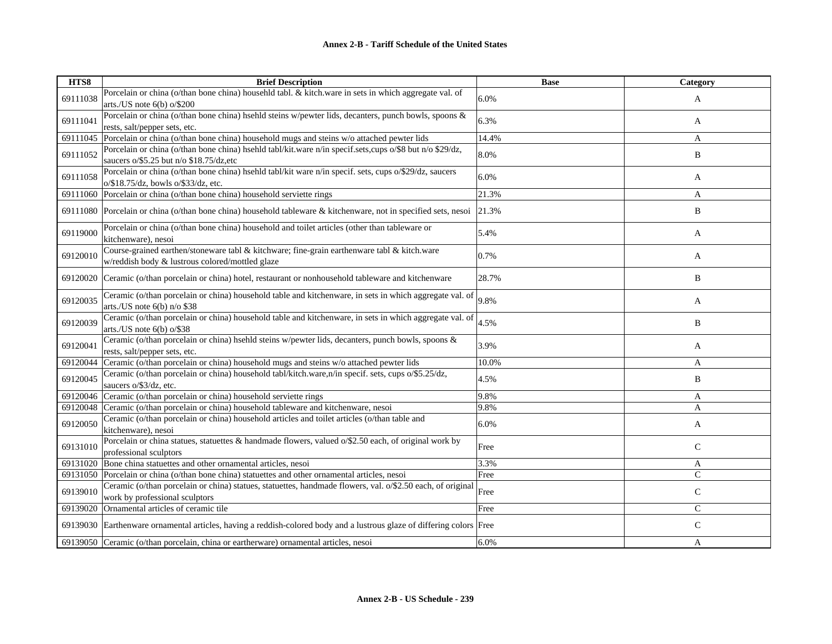| HTS8     | <b>Brief Description</b>                                                                                                                            | <b>Base</b> | Category     |
|----------|-----------------------------------------------------------------------------------------------------------------------------------------------------|-------------|--------------|
| 69111038 | Porcelain or china (o/than bone china) househld tabl. & kitch ware in sets in which aggregate val. of<br>arts./US note $6(b)$ o/\$200               | 6.0%        | A            |
| 69111041 | Porcelain or china (o/than bone china) hsehld steins w/pewter lids, decanters, punch bowls, spoons &<br>rests, salt/pepper sets, etc.               | 6.3%        | A            |
| 69111045 | Porcelain or china (o/than bone china) household mugs and steins w/o attached pewter lids                                                           | 14.4%       | A            |
| 69111052 | Porcelain or china (o/than bone china) hsehld tabl/kit.ware n/in specif.sets,cups o/\$8 but n/o \$29/dz,<br>saucers o/\$5.25 but n/o \$18.75/dz,etc | 8.0%        | B            |
| 69111058 | Porcelain or china (o/than bone china) hsehld tabl/kit ware n/in specif. sets, cups o/\$29/dz, saucers<br>o/\$18.75/dz, bowls o/\$33/dz, etc.       | 6.0%        | A            |
|          | 69111060 Porcelain or china (o/than bone china) household serviette rings                                                                           | 21.3%       | A            |
|          | 69111080 Porcelain or china (o/than bone china) household tableware & kitchenware, not in specified sets, nesoi                                     | 21.3%       | B            |
| 69119000 | Porcelain or china (o/than bone china) household and toilet articles (other than tableware or<br>kitchenware), nesoi                                | 5.4%        | A            |
| 69120010 | Course-grained earthen/stoneware tabl & kitchware; fine-grain earthenware tabl & kitch.ware<br>w/reddish body & lustrous colored/mottled glaze      | 0.7%        | A            |
|          | 69120020 Ceramic (o/than porcelain or china) hotel, restaurant or nonhousehold tableware and kitchenware                                            | 28.7%       | B            |
| 69120035 | Ceramic (o/than porcelain or china) household table and kitchenware, in sets in which aggregate val. of<br>arts./US note $6(b)$ n/o \$38            | 9.8%        | $\mathbf{A}$ |
| 69120039 | Ceramic (o/than porcelain or china) household table and kitchenware, in sets in which aggregate val. of<br>arts./US note $6(b)$ o/\$38              | 4.5%        | B            |
| 69120041 | Ceramic (o/than porcelain or china) hsehld steins w/pewter lids, decanters, punch bowls, spoons &<br>rests, salt/pepper sets, etc.                  | 3.9%        | A            |
| 69120044 | Ceramic (o/than porcelain or china) household mugs and steins w/o attached pewter lids                                                              | 10.0%       | A            |
| 69120045 | Ceramic (o/than porcelain or china) household tabl/kitch.ware,n/in specif. sets, cups o/\$5.25/dz,<br>saucers o/\$3/dz, etc.                        | 4.5%        | B            |
|          | 69120046 Ceramic (o/than porcelain or china) household serviette rings                                                                              | 9.8%        | A            |
|          | 69120048 Ceramic (o/than porcelain or china) household tableware and kitchenware, nesoi                                                             | 9.8%        | A            |
| 69120050 | Ceramic (o/than porcelain or china) household articles and toilet articles (o/than table and<br>kitchenware), nesoi                                 | 6.0%        | A            |
| 69131010 | Porcelain or china statues, statuettes & handmade flowers, valued o/\$2.50 each, of original work by<br>professional sculptors                      | Free        | $\mathsf{C}$ |
|          | 69131020 Bone china statuettes and other ornamental articles, nesoi                                                                                 | 3.3%        | A            |
|          | 69131050 Porcelain or china (o/than bone china) statuettes and other ornamental articles, nesoi                                                     | Free        | $\mathsf{C}$ |
| 69139010 | Ceramic (o/than porcelain or china) statues, statuettes, handmade flowers, val. o/\$2.50 each, of original<br>work by professional sculptors        | Free        | $\mathsf{C}$ |
|          | 69139020 Ornamental articles of ceramic tile                                                                                                        | Free        | $\mathsf{C}$ |
|          | 69139030 Earthenware ornamental articles, having a reddish-colored body and a lustrous glaze of differing colors Free                               |             | $\mathsf{C}$ |
|          | 69139050 Ceramic (o/than porcelain, china or eartherware) ornamental articles, nesoi                                                                | 6.0%        | A            |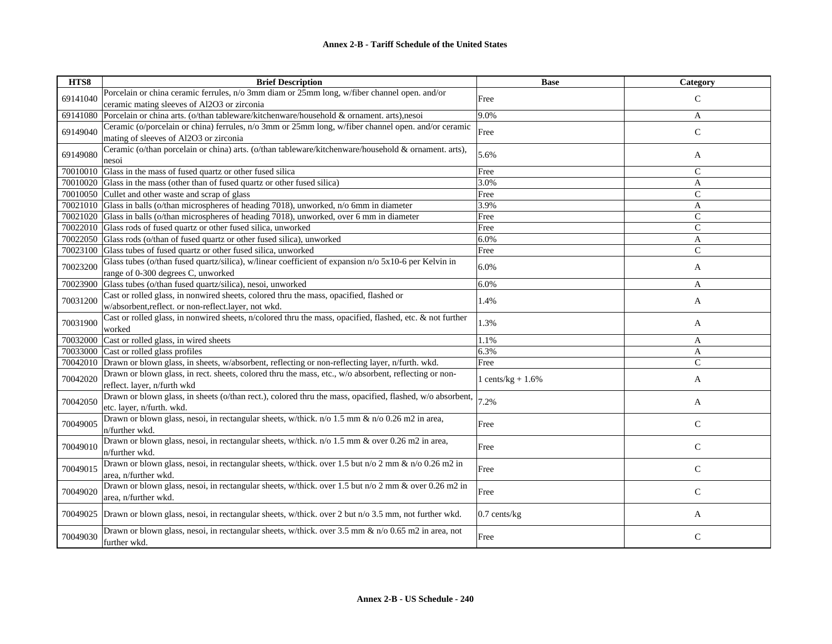| HTS8     | <b>Brief Description</b>                                                                                                                      | <b>Base</b>          | <b>Category</b> |
|----------|-----------------------------------------------------------------------------------------------------------------------------------------------|----------------------|-----------------|
| 69141040 | Porcelain or china ceramic ferrules, n/o 3mm diam or 25mm long, w/fiber channel open. and/or                                                  | Free                 | $\mathsf{C}$    |
|          | ceramic mating sleeves of Al2O3 or zirconia                                                                                                   |                      |                 |
| 69141080 | Porcelain or china arts. (o/than tableware/kitchenware/household & ornament. arts), nesoi                                                     | 9.0%                 | A               |
| 69149040 | Ceramic (o/porcelain or china) ferrules, n/o 3mm or 25mm long, w/fiber channel open. and/or ceramic<br>mating of sleeves of Al2O3 or zirconia | Free                 | $\mathsf{C}$    |
| 69149080 | Ceramic (o/than porcelain or china) arts. (o/than tableware/kitchenware/household & ornament. arts),<br>nesoi                                 | 5.6%                 | A               |
| 70010010 | Glass in the mass of fused quartz or other fused silical                                                                                      | Free                 | $\mathcal{C}$   |
| 70010020 | Glass in the mass (other than of fused quartz or other fused silica)                                                                          | 3.0%                 | A               |
|          | 70010050 Cullet and other waste and scrap of glass                                                                                            | Free                 | $\mathbf C$     |
| 70021010 | Glass in balls (o/than microspheres of heading 7018), unworked, n/o 6mm in diameter                                                           | 3.9%                 | A               |
| 70021020 | Glass in balls (o/than microspheres of heading 7018), unworked, over 6 mm in diameter                                                         | Free                 | $\mathsf{C}$    |
| 70022010 | Glass rods of fused quartz or other fused silica, unworked                                                                                    | Free                 | $\mathcal{C}$   |
| 70022050 | Glass rods (o/than of fused quartz or other fused silica), unworked                                                                           | 6.0%                 | $\mathbf{A}$    |
| 70023100 | Glass tubes of fused quartz or other fused silica, unworked                                                                                   | Free                 | $\overline{C}$  |
| 70023200 | Glass tubes (o/than fused quartz/silica), w/linear coefficient of expansion n/o 5x10-6 per Kelvin in<br>range of 0-300 degrees C, unworked    | 6.0%                 | A               |
| 70023900 | Glass tubes (o/than fused quartz/silica), nesoi, unworked                                                                                     | 6.0%                 | A               |
| 70031200 | Cast or rolled glass, in nonwired sheets, colored thru the mass, opacified, flashed or<br>w/absorbent,reflect.or non-reflect.layer, not wkd.  | 1.4%                 | A               |
| 70031900 | Cast or rolled glass, in nonwired sheets, n/colored thru the mass, opacified, flashed, etc. & not further<br>worked                           | 1.3%                 | A               |
| 70032000 | Cast or rolled glass, in wired sheets                                                                                                         | 1.1%                 | A               |
| 70033000 | Cast or rolled glass profiles                                                                                                                 | 6.3%                 | A               |
| 70042010 | Drawn or blown glass, in sheets, w/absorbent, reflecting or non-reflecting layer, n/furth. wkd.                                               | Free                 | $\mathcal{C}$   |
| 70042020 | Drawn or blown glass, in rect. sheets, colored thru the mass, etc., w/o absorbent, reflecting or non-<br>reflect. layer, n/furth wkd          | 1 cents/ $kg + 1.6%$ | A               |
| 70042050 | Drawn or blown glass, in sheets (o/than rect.), colored thru the mass, opacified, flashed, w/o absorbent,<br>etc. laver, n/furth. wkd.        | 7.2%                 | A               |
| 70049005 | Drawn or blown glass, nesoi, in rectangular sheets, w/thick. n/o 1.5 mm & n/o 0.26 m2 in area,<br>n/further wkd.                              | Free                 | $\mathcal{C}$   |
| 70049010 | Drawn or blown glass, nesoi, in rectangular sheets, w/thick. n/o 1.5 mm & over 0.26 m2 in area,<br>n/further wkd.                             | Free                 | $\mathsf{C}$    |
| 70049015 | Drawn or blown glass, nesoi, in rectangular sheets, w/thick. over 1.5 but n/o 2 mm & n/o 0.26 m2 in<br>area, n/further wkd.                   | Free                 | $\mathsf{C}$    |
| 70049020 | Drawn or blown glass, nesoi, in rectangular sheets, w/thick. over 1.5 but n/o 2 mm & over 0.26 m2 in<br>area, n/further wkd.                  | Free                 | $\mathsf{C}$    |
| 70049025 | Drawn or blown glass, nesoi, in rectangular sheets, w/thick. over 2 but n/o 3.5 mm, not further wkd.                                          | $0.7$ cents/kg       | A               |
| 70049030 | Drawn or blown glass, nesoi, in rectangular sheets, w/thick. over 3.5 mm & n/o 0.65 m2 in area, not<br>further wkd.                           | Free                 | $\mathsf{C}$    |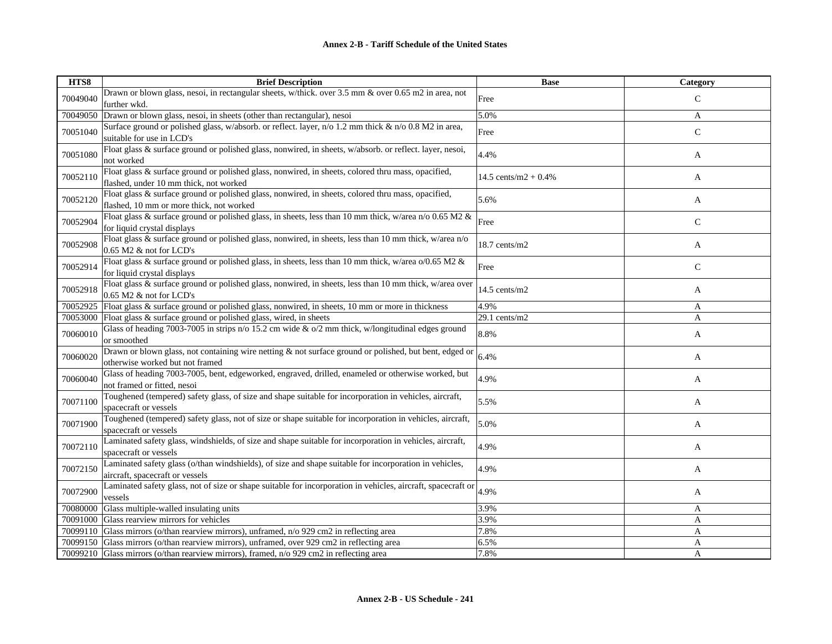| HTS8     | <b>Brief Description</b>                                                                                                                       | <b>Base</b>             | Category      |
|----------|------------------------------------------------------------------------------------------------------------------------------------------------|-------------------------|---------------|
| 70049040 | Drawn or blown glass, nesoi, in rectangular sheets, w/thick. over 3.5 mm & over 0.65 m2 in area, not                                           | Free                    | $\mathcal{C}$ |
|          | further wkd.                                                                                                                                   |                         |               |
| 70049050 | Drawn or blown glass, nesoi, in sheets (other than rectangular), nesoi                                                                         | 5.0%                    | A             |
| 70051040 | Surface ground or polished glass, w/absorb. or reflect. layer, n/o 1.2 mm thick & n/o 0.8 M2 in area,                                          | Free                    | ${\bf C}$     |
|          | suitable for use in LCD's                                                                                                                      |                         |               |
| 70051080 | Float glass & surface ground or polished glass, nonwired, in sheets, w/absorb. or reflect. layer, nesoi,                                       | 4.4%                    | A             |
|          | not worked                                                                                                                                     |                         |               |
| 70052110 | Float glass & surface ground or polished glass, nonwired, in sheets, colored thru mass, opacified,                                             | 14.5 cents/m2 + $0.4\%$ | A             |
|          | flashed, under 10 mm thick, not worked                                                                                                         |                         |               |
| 70052120 | Float glass & surface ground or polished glass, nonwired, in sheets, colored thru mass, opacified,<br>flashed, 10 mm or more thick, not worked | 5.6%                    | A             |
|          | Float glass & surface ground or polished glass, in sheets, less than 10 mm thick, w/area n/o 0.65 M2 &                                         |                         |               |
| 70052904 | for liquid crystal displays                                                                                                                    | Free                    | $\mathsf{C}$  |
|          | Float glass & surface ground or polished glass, nonwired, in sheets, less than 10 mm thick, w/area n/o                                         |                         |               |
| 70052908 | 0.65 M2 & not for LCD's                                                                                                                        | $18.7$ cents/m2         | A             |
|          | Float glass & surface ground or polished glass, in sheets, less than 10 mm thick, w/area $o/0.65$ M2 &                                         |                         |               |
| 70052914 | for liquid crystal displays                                                                                                                    | Free                    | $\mathsf{C}$  |
|          | Float glass & surface ground or polished glass, nonwired, in sheets, less than 10 mm thick, w/area over                                        |                         |               |
| 70052918 | 0.65 M2 & not for LCD's                                                                                                                        | $14.5$ cents/m2         | A             |
| 70052925 | Float glass & surface ground or polished glass, nonwired, in sheets, 10 mm or more in thickness                                                | 4.9%                    | A             |
| 70053000 | Float glass & surface ground or polished glass, wired, in sheets                                                                               | 29.1 cents/m2           | A             |
| 70060010 | Glass of heading 7003-7005 in strips $n/0$ 15.2 cm wide & $o/2$ mm thick, w/longitudinal edges ground                                          | 8.8%                    | A             |
|          | or smoothed                                                                                                                                    |                         |               |
| 70060020 | Drawn or blown glass, not containing wire netting & not surface ground or polished, but bent, edged or                                         | 6.4%                    | A             |
|          | otherwise worked but not framed                                                                                                                |                         |               |
| 70060040 | Glass of heading 7003-7005, bent, edgeworked, engraved, drilled, enameled or otherwise worked, but                                             | 4.9%                    | A             |
|          | not framed or fitted, nesoi<br>Toughened (tempered) safety glass, of size and shape suitable for incorporation in vehicles, aircraft,          |                         |               |
| 70071100 | spacecraft or vessels                                                                                                                          | 5.5%                    | A             |
|          | Toughened (tempered) safety glass, not of size or shape suitable for incorporation in vehicles, aircraft,                                      |                         |               |
| 70071900 | spacecraft or vessels                                                                                                                          | 5.0%                    | A             |
|          | Laminated safety glass, windshields, of size and shape suitable for incorporation in vehicles, aircraft,                                       |                         |               |
| 70072110 | spacecraft or vessels                                                                                                                          | 4.9%                    | A             |
|          | Laminated safety glass (o/than windshields), of size and shape suitable for incorporation in vehicles,                                         | 4.9%                    |               |
| 70072150 | aircraft, spacecraft or vessels                                                                                                                |                         | A             |
| 70072900 | Laminated safety glass, not of size or shape suitable for incorporation in vehicles, aircraft, spacecraft or                                   | 4.9%                    | A             |
|          | vessels                                                                                                                                        |                         |               |
| 70080000 | Glass multiple-walled insulating units                                                                                                         | 3.9%                    | A             |
| 70091000 | Glass rearview mirrors for vehicles                                                                                                            | 3.9%                    | A             |
| 70099110 | Glass mirrors (o/than rearview mirrors), unframed, n/o 929 cm2 in reflecting area                                                              | 7.8%                    | A             |
| 70099150 | Glass mirrors (o/than rearview mirrors), unframed, over 929 cm2 in reflecting area                                                             | 6.5%                    | A             |
| 70099210 | Glass mirrors (o/than rearview mirrors), framed, n/o 929 cm2 in reflecting area                                                                | 7.8%                    | A             |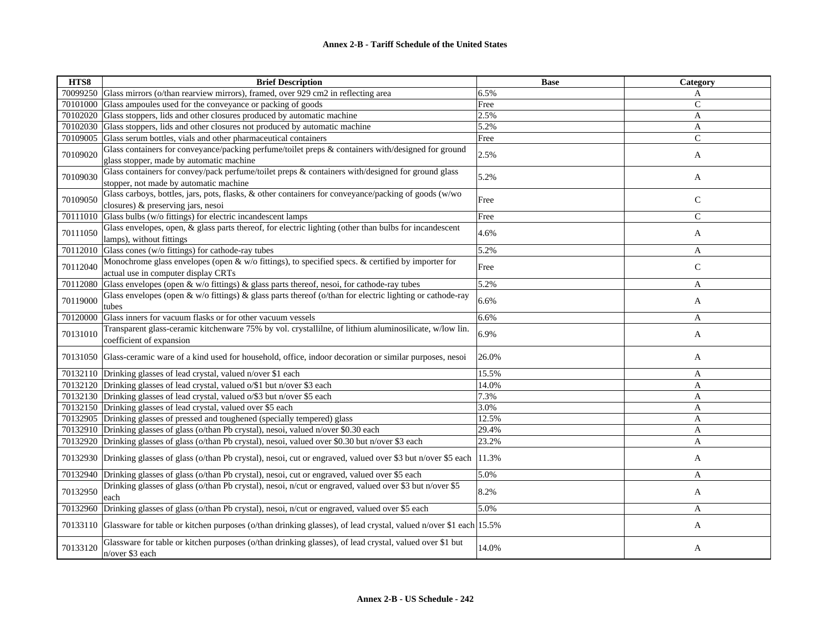| HTS8     | <b>Brief Description</b>                                                                                                                       | <b>Base</b> | Category     |
|----------|------------------------------------------------------------------------------------------------------------------------------------------------|-------------|--------------|
|          | 70099250 Glass mirrors (o/than rearview mirrors), framed, over 929 cm2 in reflecting area                                                      | 6.5%        | A            |
|          | 70101000 Glass ampoules used for the conveyance or packing of goods                                                                            | Free        | $\mathbf C$  |
|          | 70102020 Glass stoppers, lids and other closures produced by automatic machine                                                                 | 2.5%        | A            |
|          | 70102030 Glass stoppers, lids and other closures not produced by automatic machine                                                             | 5.2%        | A            |
| 70109005 | Glass serum bottles, vials and other pharmaceutical containers                                                                                 | Free        | $\mathsf{C}$ |
| 70109020 | Glass containers for conveyance/packing perfume/toilet preps & containers with/designed for ground<br>glass stopper, made by automatic machine | 2.5%        | A            |
| 70109030 | Glass containers for convey/pack perfume/toilet preps & containers with/designed for ground glass<br>stopper, not made by automatic machine    | 5.2%        | A            |
| 70109050 | Glass carboys, bottles, jars, pots, flasks, & other containers for conveyance/packing of goods (w/wo<br>closures) & preserving jars, nesoi     | Free        | $\mathsf{C}$ |
|          | 70111010 Glass bulbs (w/o fittings) for electric incandescent lamps                                                                            | Free        | $\mathsf{C}$ |
| 70111050 | Glass envelopes, open, $\&$ glass parts thereof, for electric lighting (other than bulbs for incandescent<br>lamps), without fittings          | 4.6%        | A            |
|          | 70112010 Glass cones (w/o fittings) for cathode-ray tubes                                                                                      | 5.2%        | A            |
| 70112040 | Monochrome glass envelopes (open & w/o fittings), to specified specs. & certified by importer for<br>actual use in computer display CRTs       | Free        | $\mathsf{C}$ |
| 70112080 | Glass envelopes (open $\&$ w/o fittings) $\&$ glass parts thereof, nesoi, for cathode-ray tubes                                                | 5.2%        | A            |
| 70119000 | Glass envelopes (open & w/o fittings) & glass parts thereof (o/than for electric lighting or cathode-ray<br>tubes                              | 6.6%        | A            |
| 70120000 | Glass inners for vacuum flasks or for other vacuum vessels                                                                                     | 6.6%        | $\mathbf{A}$ |
| 70131010 | Transparent glass-ceramic kitchenware 75% by vol. crystallilne, of lithium aluminosilicate, w/low lin.<br>coefficient of expansion             | 6.9%        | A            |
|          | 70131050 Glass-ceramic ware of a kind used for household, office, indoor decoration or similar purposes, nesoi                                 | 26.0%       | A            |
|          | 70132110 Drinking glasses of lead crystal, valued n/over \$1 each                                                                              | 15.5%       | A            |
|          | 70132120 Drinking glasses of lead crystal, valued o/\$1 but n/over \$3 each                                                                    | 14.0%       | A            |
|          | 70132130 Drinking glasses of lead crystal, valued o/\$3 but n/over \$5 each                                                                    | 7.3%        | $\mathbf{A}$ |
|          | 70132150 Drinking glasses of lead crystal, valued over \$5 each                                                                                | 3.0%        | A            |
|          | 70132905 Drinking glasses of pressed and toughened (specially tempered) glass                                                                  | 12.5%       | A            |
|          | 70132910 Drinking glasses of glass (o/than Pb crystal), nesoi, valued n/over \$0.30 each                                                       | 29.4%       | $\mathbf{A}$ |
|          | 70132920 Drinking glasses of glass (o/than Pb crystal), nesoi, valued over \$0.30 but n/over \$3 each                                          | 23.2%       | A            |
|          | 70132930 Drinking glasses of glass (o/than Pb crystal), nesoi, cut or engraved, valued over \$3 but n/over \$5 each                            | 11.3%       | A            |
|          | 70132940 Drinking glasses of glass (o/than Pb crystal), nesoi, cut or engraved, valued over \$5 each                                           | 5.0%        | A            |
| 70132950 | Drinking glasses of glass (o/than Pb crystal), nesoi, n/cut or engraved, valued over \$3 but n/over \$5<br>each                                | 8.2%        | A            |
| 70132960 | Drinking glasses of glass (o/than Pb crystal), nesoi, n/cut or engraved, valued over \$5 each                                                  | 5.0%        | A            |
|          | 70133110 Glassware for table or kitchen purposes (o/than drinking glasses), of lead crystal, valued n/over \$1 each 15.5%                      |             | A            |
| 70133120 | Glassware for table or kitchen purposes (o/than drinking glasses), of lead crystal, valued over \$1 but<br>n/over \$3 each                     | 14.0%       | A            |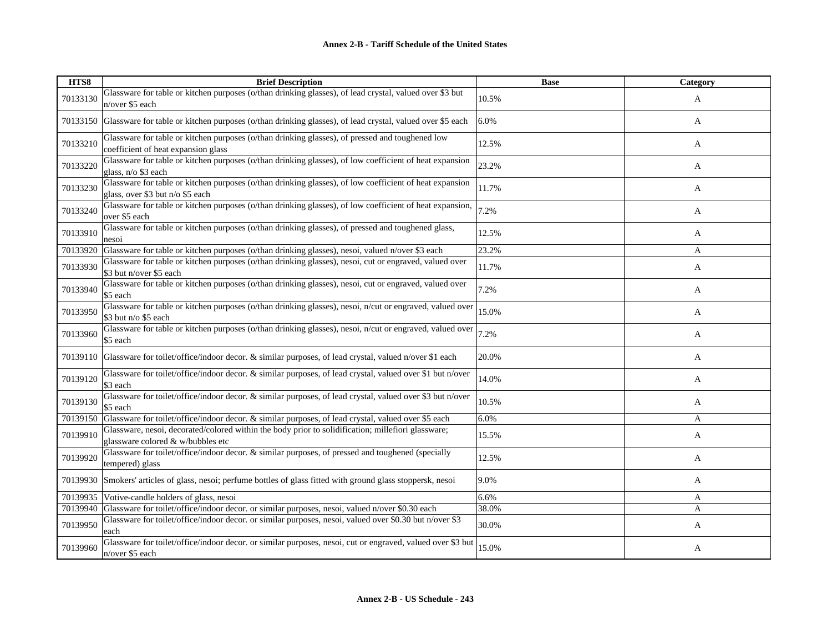| HTS8     | <b>Brief Description</b>                                                                                                                    | <b>Base</b> | Category |
|----------|---------------------------------------------------------------------------------------------------------------------------------------------|-------------|----------|
| 70133130 | Glassware for table or kitchen purposes (o/than drinking glasses), of lead crystal, valued over \$3 but<br>n/over \$5 each                  | 10.5%       | A        |
|          | 70133150 Glassware for table or kitchen purposes (o/than drinking glasses), of lead crystal, valued over \$5 each                           | 6.0%        | A        |
| 70133210 | Glassware for table or kitchen purposes (o/than drinking glasses), of pressed and toughened low<br>coefficient of heat expansion glass      | 12.5%       | A        |
| 70133220 | Glassware for table or kitchen purposes (o/than drinking glasses), of low coefficient of heat expansion<br>glass, n/o \$3 each              | 23.2%       | A        |
| 70133230 | Glassware for table or kitchen purposes (o/than drinking glasses), of low coefficient of heat expansion<br>glass, over \$3 but n/o \$5 each | 11.7%       | A        |
| 70133240 | Glassware for table or kitchen purposes (o/than drinking glasses), of low coefficient of heat expansion,<br>over \$5 each                   | 7.2%        | A        |
| 70133910 | Glassware for table or kitchen purposes (o/than drinking glasses), of pressed and toughened glass,<br>nesoi                                 | 12.5%       | A        |
| 70133920 | Glassware for table or kitchen purposes (o/than drinking glasses), nesoi, valued n/over \$3 each                                            | 23.2%       | A        |
| 70133930 | Glassware for table or kitchen purposes (o/than drinking glasses), nesoi, cut or engraved, valued over<br>\$3 but n/over \$5 each           | 11.7%       | A        |
| 70133940 | Glassware for table or kitchen purposes (o/than drinking glasses), nesoi, cut or engraved, valued over<br>\$5 each                          | 7.2%        | A        |
| 70133950 | Glassware for table or kitchen purposes (o/than drinking glasses), nesoi, n/cut or engraved, valued over<br>\$3 but n/o \$5 each            | 15.0%       | A        |
| 70133960 | Glassware for table or kitchen purposes (o/than drinking glasses), nesoi, n/cut or engraved, valued over<br>\$5 each                        | 7.2%        | A        |
|          | 70139110 Glassware for toilet/office/indoor decor. & similar purposes, of lead crystal, valued n/over \$1 each                              | 20.0%       | A        |
| 70139120 | Glassware for toilet/office/indoor decor. & similar purposes, of lead crystal, valued over \$1 but n/over<br>\$3 each                       | 14.0%       | A        |
| 70139130 | Glassware for toilet/office/indoor decor. & similar purposes, of lead crystal, valued over \$3 but n/over<br>\$5 each                       | 10.5%       | A        |
|          | 70139150 Glassware for toilet/office/indoor decor. & similar purposes, of lead crystal, valued over \$5 each                                | 6.0%        | A        |
| 70139910 | Glassware, nesoi, decorated/colored within the body prior to solidification; millefiori glassware;<br>glassware colored & w/bubbles etc     | 15.5%       | A        |
| 70139920 | Glassware for toilet/office/indoor decor. & similar purposes, of pressed and toughened (specially<br>tempered) glass                        | 12.5%       | A        |
|          | 70139930 Smokers' articles of glass, nesoi; perfume bottles of glass fitted with ground glass stoppersk, nesoi                              | 9.0%        | A        |
| 70139935 | Votive-candle holders of glass, nesoi                                                                                                       | 6.6%        | A        |
|          | 70139940 Glassware for toilet/office/indoor decor. or similar purposes, nesoi, valued n/over \$0.30 each                                    | 38.0%       | A        |
| 70139950 | Glassware for toilet/office/indoor decor. or similar purposes, nesoi, valued over \$0.30 but n/over \$3<br>each                             | 30.0%       | A        |
| 70139960 | Glassware for toilet/office/indoor decor. or similar purposes, nesoi, cut or engraved, valued over \$3 but<br>n/over \$5 each               | 15.0%       | A        |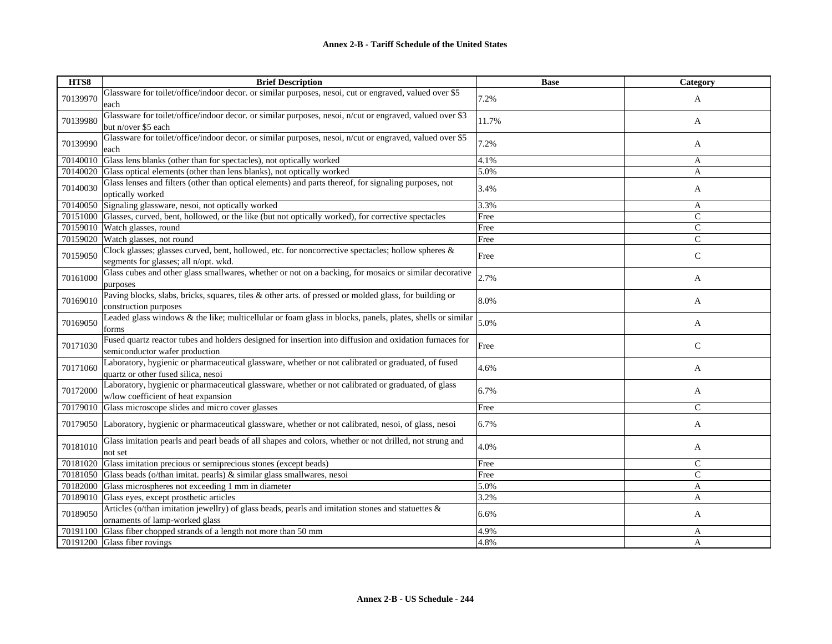| HTS8     | <b>Brief Description</b>                                                                                                                    | <b>Base</b> | Category      |
|----------|---------------------------------------------------------------------------------------------------------------------------------------------|-------------|---------------|
| 70139970 | Glassware for toilet/office/indoor decor. or similar purposes, nesoi, cut or engraved, valued over \$5<br>each                              | 7.2%        | A             |
| 70139980 | Glassware for toilet/office/indoor decor. or similar purposes, nesoi, n/cut or engraved, valued over \$3<br>but n/over \$5 each             | 11.7%       | A             |
| 70139990 | Glassware for toilet/office/indoor decor. or similar purposes, nesoi, n/cut or engraved, valued over \$5<br>each                            | 7.2%        | A             |
|          | 70140010 Glass lens blanks (other than for spectacles), not optically worked                                                                | 4.1%        | A             |
|          | 70140020 Glass optical elements (other than lens blanks), not optically worked                                                              | 5.0%        | A             |
| 70140030 | Glass lenses and filters (other than optical elements) and parts thereof, for signaling purposes, not<br>optically worked                   | 3.4%        | $\mathbf{A}$  |
|          | 70140050 Signaling glassware, nesoi, not optically worked                                                                                   | 3.3%        | A             |
|          | 70151000 Glasses, curved, bent, hollowed, or the like (but not optically worked), for corrective spectacles                                 | Free        | $\mathcal{C}$ |
|          | 70159010 Watch glasses, round                                                                                                               | Free        | $\mathsf{C}$  |
|          | 70159020 Watch glasses, not round                                                                                                           | Free        | $\mathsf{C}$  |
| 70159050 | Clock glasses; glasses curved, bent, hollowed, etc. for noncorrective spectacles; hollow spheres &<br>segments for glasses; all n/opt. wkd. | Free        | $\mathsf{C}$  |
| 70161000 | Glass cubes and other glass smallwares, whether or not on a backing, for mosaics or similar decorative<br>purposes                          | 2.7%        | A             |
| 70169010 | Paving blocks, slabs, bricks, squares, tiles & other arts. of pressed or molded glass, for building or<br>construction purposes             | 8.0%        | A             |
| 70169050 | Leaded glass windows & the like; multicellular or foam glass in blocks, panels, plates, shells or similar<br>forms                          | 5.0%        | A             |
| 70171030 | Fused quartz reactor tubes and holders designed for insertion into diffusion and oxidation furnaces for<br>semiconductor wafer production   | Free        | $\mathsf{C}$  |
| 70171060 | Laboratory, hygienic or pharmaceutical glassware, whether or not calibrated or graduated, of fused<br>quartz or other fused silica, nesoi   | 4.6%        | A             |
| 70172000 | Laboratory, hygienic or pharmaceutical glassware, whether or not calibrated or graduated, of glass<br>w/low coefficient of heat expansion   | 6.7%        | A             |
|          | 70179010 Glass microscope slides and micro cover glasses                                                                                    | Free        | $\mathsf{C}$  |
|          | 70179050 Laboratory, hygienic or pharmaceutical glassware, whether or not calibrated, nesoi, of glass, nesoi                                | 6.7%        | A             |
| 70181010 | Glass imitation pearls and pearl beads of all shapes and colors, whether or not drilled, not strung and<br>not set                          | 4.0%        | A             |
|          | 70181020 Glass imitation precious or semiprecious stones (except beads)                                                                     | Free        | $\mathcal{C}$ |
|          | 70181050 Glass beads (o/than imitat. pearls) & similar glass smallwares, nesoi                                                              | Free        | $\mathsf{C}$  |
|          | 70182000 Glass microspheres not exceeding 1 mm in diameter                                                                                  | 5.0%        | A             |
|          | 70189010 Glass eyes, except prosthetic articles                                                                                             | 3.2%        | A             |
| 70189050 | Articles (o/than imitation jewellry) of glass beads, pearls and imitation stones and statuettes $\&$<br>ornaments of lamp-worked glass      | 6.6%        | A             |
|          | 70191100 Glass fiber chopped strands of a length not more than 50 mm                                                                        | 4.9%        | A             |
|          | 70191200 Glass fiber rovings                                                                                                                | 4.8%        | A             |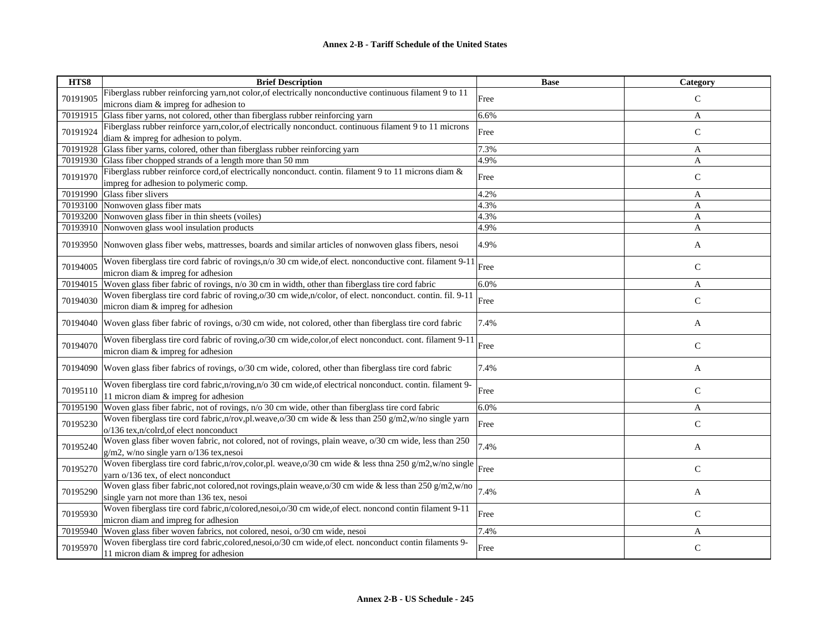| HTS8     | <b>Brief Description</b>                                                                                                                                                                                       | <b>Base</b> | Category      |
|----------|----------------------------------------------------------------------------------------------------------------------------------------------------------------------------------------------------------------|-------------|---------------|
| 70191905 | Fiberglass rubber reinforcing yarn, not color, of electrically nonconductive continuous filament 9 to 11                                                                                                       | Free        | $\mathsf{C}$  |
|          | microns diam & impreg for adhesion to                                                                                                                                                                          |             |               |
| 70191915 | Glass fiber yarns, not colored, other than fiberglass rubber reinforcing yarn                                                                                                                                  | 6.6%        | A             |
| 70191924 | Fiberglass rubber reinforce yarn, color, of electrically nonconduct. continuous filament 9 to 11 microns                                                                                                       | Free        | $\mathcal{C}$ |
|          | diam & impreg for adhesion to polym.                                                                                                                                                                           |             |               |
| 70191928 | Glass fiber yarns, colored, other than fiberglass rubber reinforcing yarn                                                                                                                                      | 7.3%        | A             |
|          | 70191930 Glass fiber chopped strands of a length more than 50 mm                                                                                                                                               | 4.9%        | A             |
| 70191970 | Fiberglass rubber reinforce cord, of electrically nonconduct. contin. filament 9 to 11 microns diam &                                                                                                          | Free        | $\mathsf{C}$  |
|          | impreg for adhesion to polymeric comp.                                                                                                                                                                         |             |               |
|          | 70191990 Glass fiber slivers                                                                                                                                                                                   | 4.2%        | A             |
|          | 70193100 Nonwoven glass fiber mats                                                                                                                                                                             | 4.3%        | A             |
|          | 70193200 Nonwoven glass fiber in thin sheets (voiles)                                                                                                                                                          | 4.3%        | A             |
|          | 70193910 Nonwoven glass wool insulation products                                                                                                                                                               | 4.9%        | A             |
|          | 70193950 Nonwoven glass fiber webs, mattresses, boards and similar articles of nonwoven glass fibers, nesoi                                                                                                    | 4.9%        | A             |
| 70194005 | Woven fiberglass tire cord fabric of rovings, n/o 30 cm wide, of elect. nonconductive cont. filament 9-11                                                                                                      | Free        | $\mathsf{C}$  |
|          | micron diam & impreg for adhesion                                                                                                                                                                              |             |               |
| 70194015 | Woven glass fiber fabric of rovings, n/o 30 cm in width, other than fiberglass tire cord fabric<br>Woven fiberglass tire cord fabric of roving, o/30 cm wide, n/color, of elect. nonconduct. contin. fil. 9-11 | 6.0%        | A             |
| 70194030 | micron diam & impreg for adhesion                                                                                                                                                                              | Free        | $\mathsf{C}$  |
|          |                                                                                                                                                                                                                |             |               |
| 70194040 | Woven glass fiber fabric of rovings, o/30 cm wide, not colored, other than fiberglass tire cord fabric                                                                                                         | 7.4%        | A             |
| 70194070 | Woven fiberglass tire cord fabric of roving, o/30 cm wide, color, of elect nonconduct. cont. filament 9-11<br>micron diam & impreg for adhesion                                                                | Free        | $\mathsf{C}$  |
| 70194090 | Woven glass fiber fabrics of rovings, o/30 cm wide, colored, other than fiberglass tire cord fabric                                                                                                            | 7.4%        | A             |
|          |                                                                                                                                                                                                                |             |               |
| 70195110 | Woven fiberglass tire cord fabric, n/roving, n/o 30 cm wide, of electrical nonconduct. contin. filament 9-                                                                                                     | Free        | $\mathbf C$   |
|          | 11 micron diam & impreg for adhesion                                                                                                                                                                           |             |               |
| 70195190 | Woven glass fiber fabric, not of rovings, $n/0$ 30 cm wide, other than fiberglass tire cord fabric                                                                                                             | 6.0%        | A             |
| 70195230 | Woven fiberglass tire cord fabric, n/rov, pl.weave, o/30 cm wide & less than 250 g/m2, w/no single yarn                                                                                                        | Free        | $\mathsf{C}$  |
|          | o/136 tex,n/colrd,of elect nonconduct<br>Woven glass fiber woven fabric, not colored, not of rovings, plain weave, o/30 cm wide, less than 250                                                                 |             |               |
| 70195240 | g/m2, w/no single yarn o/136 tex, nesoi                                                                                                                                                                        | 7.4%        | A             |
| 70195270 | Woven fiberglass tire cord fabric,n/rov,color,pl. weave,o/30 cm wide & less thna 250 g/m2,w/no single                                                                                                          | Free        | $\mathsf{C}$  |
|          | yarn o/136 tex, of elect nonconduct                                                                                                                                                                            |             |               |
| 70195290 | Woven glass fiber fabric, not colored, not rovings, plain weave, $o/30$ cm wide & less than 250 g/m2, w/no                                                                                                     | 7.4%        |               |
|          | single yarn not more than 136 tex, nesoi                                                                                                                                                                       |             | A             |
| 70195930 | Woven fiberglass tire cord fabric,n/colored,nesoi,o/30 cm wide,of elect. noncond contin filament 9-11                                                                                                          |             | ${\bf C}$     |
|          | micron diam and impreg for adhesion                                                                                                                                                                            | Free        |               |
|          | 70195940 Woven glass fiber woven fabrics, not colored, nesoi, o/30 cm wide, nesoi                                                                                                                              | 7.4%        | A             |
| 70195970 | Woven fiberglass tire cord fabric, colored, nesoi, o/30 cm wide, of elect. nonconduct contin filaments 9-                                                                                                      | Free        | $\mathsf{C}$  |
|          | 11 micron diam $&$ impreg for adhesion                                                                                                                                                                         |             |               |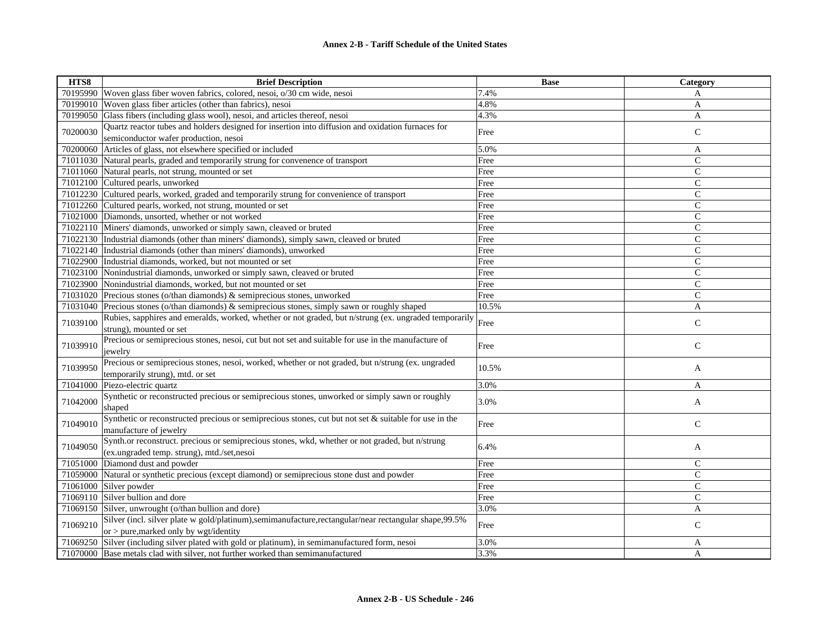| HTS8     | <b>Brief Description</b>                                                                                | <b>Base</b> | Category       |
|----------|---------------------------------------------------------------------------------------------------------|-------------|----------------|
| 70195990 | Woven glass fiber woven fabrics, colored, nesoi, o/30 cm wide, nesoi                                    | 7.4%        | A              |
| 70199010 | Woven glass fiber articles (other than fabrics), nesoi                                                  | 4.8%        | A              |
| 70199050 | Glass fibers (including glass wool), nesoi, and articles thereof, nesoi                                 | 4.3%        | A              |
| 70200030 | Quartz reactor tubes and holders designed for insertion into diffusion and oxidation furnaces for       |             |                |
|          | semiconductor wafer production, nesoi                                                                   | Free        | $\mathsf{C}$   |
|          | 70200060 Articles of glass, not elsewhere specified or included                                         | 5.0%        | A              |
|          | 71011030 Natural pearls, graded and temporarily strung for convenence of transport                      | Free        | $\mathsf{C}$   |
| 71011060 | Natural pearls, not strung, mounted or set                                                              | Free        | $\mathsf{C}$   |
|          | 71012100 Cultured pearls, unworked                                                                      | Free        | $\mathsf{C}$   |
| 71012230 | Cultured pearls, worked, graded and temporarily strung for convenience of transport                     | Free        | $\overline{C}$ |
| 71012260 | Cultured pearls, worked, not strung, mounted or set                                                     | Free        | $\mathsf{C}$   |
|          | 71021000 Diamonds, unsorted, whether or not worked                                                      | Free        | $\mathsf{C}$   |
| 71022110 | Miners' diamonds, unworked or simply sawn, cleaved or bruted                                            | Free        | $\mathsf{C}$   |
|          | 71022130  Industrial diamonds (other than miners' diamonds), simply sawn, cleaved or bruted             | Free        | $\mathsf{C}$   |
| 71022140 | Industrial diamonds (other than miners' diamonds), unworked                                             | Free        | $\mathsf{C}$   |
|          | 71022900 Industrial diamonds, worked, but not mounted or set                                            | Free        | $\overline{C}$ |
| 71023100 | Nonindustrial diamonds, unworked or simply sawn, cleaved or bruted                                      | Free        | $\mathcal{C}$  |
| 71023900 | Nonindustrial diamonds, worked, but not mounted or set                                                  | Free        | $\mathsf{C}$   |
|          | 71031020 Precious stones (o/than diamonds) & semiprecious stones, unworked                              | Free        | $\mathsf{C}$   |
| 71031040 | Precious stones (o/than diamonds) & semiprecious stones, simply sawn or roughly shaped                  | 10.5%       | A              |
| 71039100 | Rubies, sapphires and emeralds, worked, whether or not graded, but n/strung (ex. ungraded temporarily   | Free        | $\mathsf{C}$   |
|          | strung), mounted or set                                                                                 |             |                |
| 71039910 | Precious or semiprecious stones, nesoi, cut but not set and suitable for use in the manufacture of      | Free        | $\mathsf{C}$   |
|          | jewelry                                                                                                 |             |                |
| 71039950 | Precious or semiprecious stones, nesoi, worked, whether or not graded, but n/strung (ex. ungraded)      | 10.5%       | A              |
|          | temporarily strung), mtd. or set                                                                        |             |                |
| 71041000 | Piezo-electric quartz                                                                                   | 3.0%        | A              |
| 71042000 | Synthetic or reconstructed precious or semiprecious stones, unworked or simply sawn or roughly          | 3.0%        | A              |
|          | shaped                                                                                                  |             |                |
| 71049010 | Synthetic or reconstructed precious or semiprecious stones, cut but not set & suitable for use in the   | Free        | $\mathsf{C}$   |
|          | manufacture of jewelry                                                                                  |             |                |
| 71049050 | Synth.or reconstruct. precious or semiprecious stones, wkd, whether or not graded, but n/strung         | 6.4%        | A              |
|          | (ex.ungraded temp. strung), mtd./set,nesoi                                                              |             |                |
| 71051000 | Diamond dust and powder                                                                                 | Free        | $\mathsf{C}$   |
| 71059000 | Natural or synthetic precious (except diamond) or semiprecious stone dust and powder                    | Free        | $\mathsf{C}$   |
| 71061000 | Silver powder                                                                                           | Free        | $\mathsf{C}$   |
| 71069110 | Silver bullion and dore                                                                                 | Free        | $\mathsf{C}$   |
| 71069150 | Silver, unwrought (o/than bullion and dore)                                                             | 3.0%        | A              |
| 71069210 | Silver (incl. silver plate w gold/platinum), semimanufacture, rectangular/near rectangular shape, 99.5% | Free        | $\mathsf{C}$   |
|          | or $>$ pure, marked only by wgt/identity                                                                |             |                |
| 71069250 | Silver (including silver plated with gold or platinum), in semimanufactured form, nesoi                 | 3.0%        | A              |
|          | 71070000 Base metals clad with silver, not further worked than semimanufactured                         | 3.3%        | A              |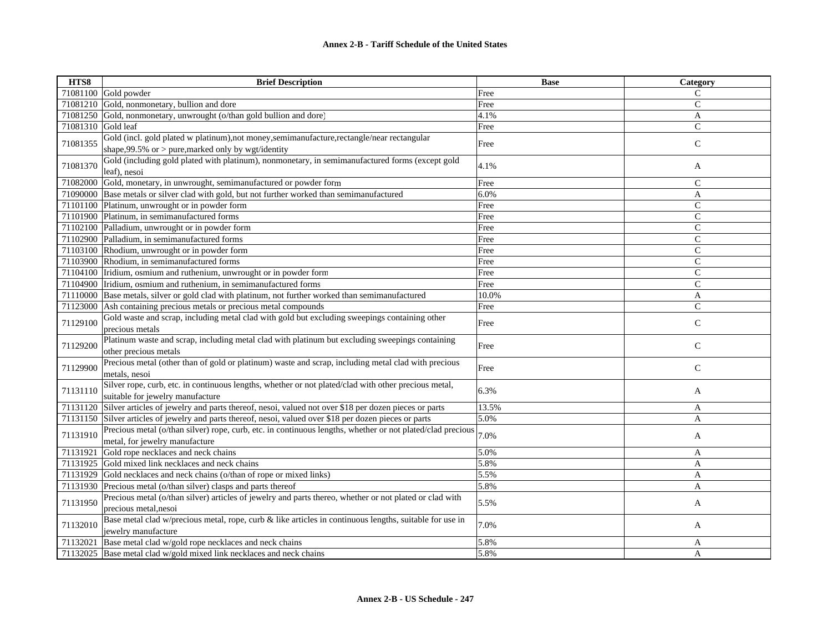| HTS8               | <b>Brief Description</b>                                                                                                                             | <b>Base</b> | Category      |
|--------------------|------------------------------------------------------------------------------------------------------------------------------------------------------|-------------|---------------|
|                    | $71081100$ Gold powder                                                                                                                               | Free        | $\mathsf{C}$  |
|                    | 71081210 Gold, nonmonetary, bullion and dore                                                                                                         | Free        | $\mathsf{C}$  |
|                    | 71081250 Gold, nonmonetary, unwrought (o/than gold bullion and dore)                                                                                 | 4.1%        | A             |
| 71081310 Gold leaf |                                                                                                                                                      | Free        | $\mathsf{C}$  |
| 71081355           | Gold (incl. gold plated w platinum), not money, semimanufacture, rectangle/near rectangular<br>shape, 99.5% or $>$ pure, marked only by wgt/identity | Free        | $\mathsf{C}$  |
| 71081370           | Gold (including gold plated with platinum), nonmonetary, in semimanufactured forms (except gold<br>leaf), nesoi                                      | 4.1%        | A             |
|                    | 71082000 Gold, monetary, in unwrought, semimanufactured or powder form                                                                               | Free        | $\mathcal{C}$ |
|                    | 71090000 Base metals or silver clad with gold, but not further worked than semimanufactured                                                          | 6.0%        | A             |
|                    | 71101100 Platinum, unwrought or in powder form                                                                                                       | Free        | $\mathsf{C}$  |
|                    | 71101900 Platinum, in semimanufactured forms                                                                                                         | Free        | $\mathsf{C}$  |
|                    | 71102100 Palladium, unwrought or in powder form                                                                                                      | Free        | $\mathcal{C}$ |
|                    | 71102900 Palladium, in semimanufactured forms                                                                                                        | Free        | $\mathsf{C}$  |
|                    | 71103100 Rhodium, unwrought or in powder form                                                                                                        | Free        | $\mathsf{C}$  |
|                    | 71103900 Rhodium, in semimanufactured forms                                                                                                          | Free        | $\mathsf{C}$  |
|                    | 71104100 Iridium, osmium and ruthenium, unwrought or in powder form                                                                                  | Free        | $\mathcal{C}$ |
|                    | 71104900 Iridium, osmium and ruthenium, in semimanufactured forms                                                                                    | Free        | $\mathsf{C}$  |
|                    | 71110000 Base metals, silver or gold clad with platinum, not further worked than semimanufactured                                                    | 10.0%       | $\mathbf{A}$  |
|                    | 71123000 Ash containing precious metals or precious metal compounds                                                                                  | Free        | $\mathsf{C}$  |
| 71129100           | Gold waste and scrap, including metal clad with gold but excluding sweepings containing other<br>precious metals                                     | Free        | $\mathsf{C}$  |
| 71129200           | Platinum waste and scrap, including metal clad with platinum but excluding sweepings containing<br>other precious metals                             | Free        | $\mathsf C$   |
| 71129900           | Precious metal (other than of gold or platinum) waste and scrap, including metal clad with precious<br>metals, nesoi                                 | Free        | $\mathsf{C}$  |
| 71131110           | Silver rope, curb, etc. in continuous lengths, whether or not plated/clad with other precious metal,<br>suitable for jewelry manufacture             | 6.3%        | A             |
|                    | 71131120 Silver articles of jewelry and parts thereof, nesoi, valued not over \$18 per dozen pieces or parts                                         | 13.5%       | A             |
|                    | 71131150 Silver articles of jewelry and parts thereof, nesoi, valued over \$18 per dozen pieces or parts                                             | 5.0%        | A             |
| 71131910           | Precious metal (o/than silver) rope, curb, etc. in continuous lengths, whether or not plated/clad precious<br>metal, for jewelry manufacture         | 7.0%        | A             |
| 71131921           | Gold rope necklaces and neck chains                                                                                                                  | 5.0%        | A             |
|                    | 71131925 Gold mixed link necklaces and neck chains                                                                                                   | 5.8%        | A             |
|                    | 71131929 Gold necklaces and neck chains (o/than of rope or mixed links)                                                                              | 5.5%        | A             |
|                    | 71131930 Precious metal (o/than silver) clasps and parts thereof                                                                                     | 5.8%        | A             |
| 71131950           | Precious metal (o/than silver) articles of jewelry and parts thereo, whether or not plated or clad with<br>precious metal, nesoi                     | 5.5%        | A             |
| 71132010           | Base metal clad w/precious metal, rope, curb & like articles in continuous lengths, suitable for use in<br>jewelry manufacture                       | 7.0%        | A             |
| 71132021           | Base metal clad w/gold rope necklaces and neck chains                                                                                                | 5.8%        | A             |
|                    | 71132025 Base metal clad w/gold mixed link necklaces and neck chains                                                                                 | 5.8%        | A             |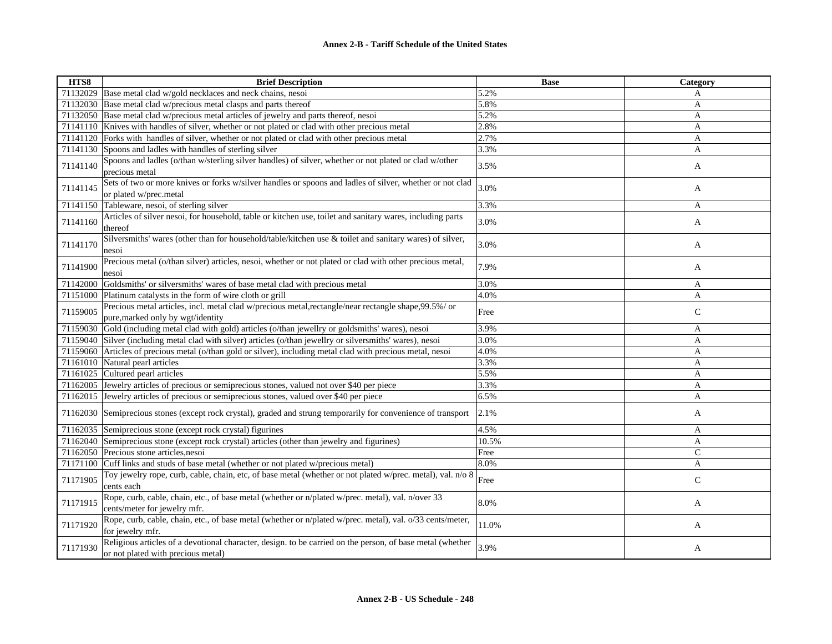| HTS8     | <b>Brief Description</b>                                                                                                                        | <b>Base</b> | Category      |
|----------|-------------------------------------------------------------------------------------------------------------------------------------------------|-------------|---------------|
| 71132029 | Base metal clad w/gold necklaces and neck chains, nesoi                                                                                         | 5.2%        | A             |
| 71132030 | Base metal clad w/precious metal clasps and parts thereof                                                                                       | 5.8%        | A             |
| 71132050 | Base metal clad w/precious metal articles of jewelry and parts thereof, nesoi                                                                   | 5.2%        | A             |
| 71141110 | Knives with handles of silver, whether or not plated or clad with other precious metal                                                          | 2.8%        | A             |
| 71141120 | Forks with handles of silver, whether or not plated or clad with other precious metal                                                           | 2.7%        | A             |
| 71141130 | Spoons and ladles with handles of sterling silver                                                                                               | 3.3%        | A             |
| 71141140 | Spoons and ladles (o/than w/sterling silver handles) of silver, whether or not plated or clad w/other<br>precious metal                         | 3.5%        | A             |
| 71141145 | Sets of two or more knives or forks w/silver handles or spoons and ladles of silver, whether or not clad<br>or plated w/prec.metal              | 3.0%        | A             |
| 71141150 | Tableware, nesoi, of sterling silver                                                                                                            | 3.3%        | A             |
| 71141160 | Articles of silver nesoi, for household, table or kitchen use, toilet and sanitary wares, including parts<br>thereof                            | 3.0%        | A             |
| 71141170 | Silversmiths' wares (other than for household/table/kitchen use & toilet and sanitary wares) of silver,<br>nesoi                                | 3.0%        | A             |
| 71141900 | Precious metal (o/than silver) articles, nesoi, whether or not plated or clad with other precious metal,<br>nesoi                               | 7.9%        | A             |
| 71142000 | Goldsmiths' or silversmiths' wares of base metal clad with precious metal                                                                       | 3.0%        | A             |
| 71151000 | Platinum catalysts in the form of wire cloth or grill                                                                                           | 4.0%        | A             |
| 71159005 | Precious metal articles, incl. metal clad w/precious metal, rectangle/near rectangle shape, 99.5%/ or<br>pure, marked only by wgt/identity      | Free        | $\mathsf{C}$  |
| 71159030 | Gold (including metal clad with gold) articles (o/than jewellry or goldsmiths' wares), nesoi                                                    | 3.9%        | A             |
| 71159040 | Silver (including metal clad with silver) articles (o/than jewellry or silversmiths' wares), nesoi                                              | 3.0%        | A             |
| 71159060 | Articles of precious metal (o/than gold or silver), including metal clad with precious metal, nesoi                                             | 4.0%        | A             |
| 71161010 | Natural pearl articles                                                                                                                          | 3.3%        | $\mathbf{A}$  |
| 71161025 | Cultured pearl articles                                                                                                                         | 5.5%        | A             |
| 71162005 | Jewelry articles of precious or semiprecious stones, valued not over \$40 per piece                                                             | 3.3%        | A             |
| 71162015 | Jewelry articles of precious or semiprecious stones, valued over \$40 per piece                                                                 | 6.5%        | A             |
| 71162030 | Semiprecious stones (except rock crystal), graded and strung temporarily for convenience of transport                                           | 2.1%        | A             |
| 71162035 | Semiprecious stone (except rock crystal) figurines                                                                                              | 4.5%        | A             |
| 71162040 | Semiprecious stone (except rock crystal) articles (other than jewelry and figurines)                                                            | 10.5%       | $\mathbf{A}$  |
| 71162050 | Precious stone articles, nesoi                                                                                                                  | Free        | $\mathcal{C}$ |
| 71171100 | Cuff links and studs of base metal (whether or not plated w/precious metal)                                                                     | 8.0%        | A             |
| 71171905 | Toy jewelry rope, curb, cable, chain, etc, of base metal (whether or not plated w/prec. metal), val. n/o 8<br>cents each                        | Free        | ${\bf C}$     |
| 71171915 | Rope, curb, cable, chain, etc., of base metal (whether or n/plated w/prec. metal), val. n/over 33<br>cents/meter for jewelry mfr.               | 8.0%        | A             |
| 71171920 | Rope, curb, cable, chain, etc., of base metal (whether or n/plated w/prec. metal), val. o/33 cents/meter,<br>for jewelry mfr.                   | 11.0%       | A             |
| 71171930 | Religious articles of a devotional character, design. to be carried on the person, of base metal (whether<br>or not plated with precious metal) | 3.9%        | A             |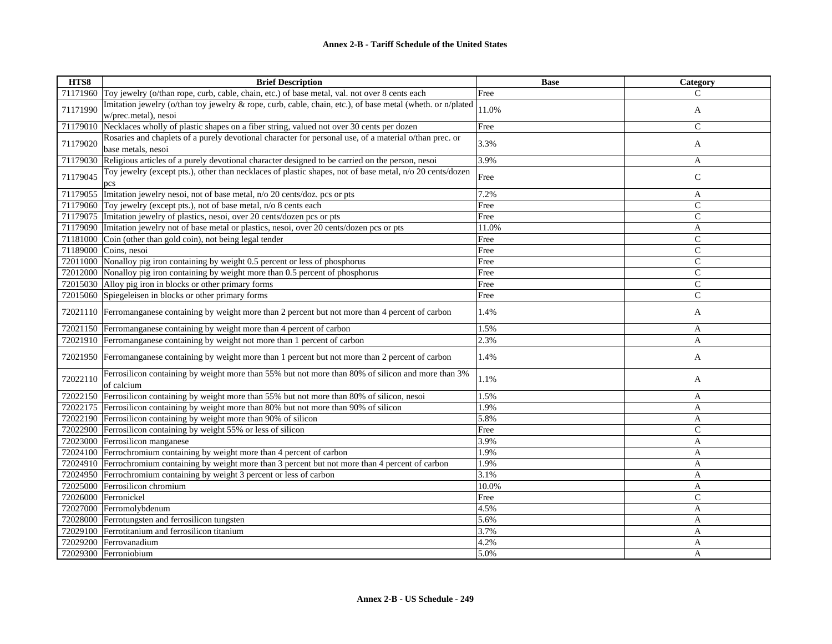| HTS8     | <b>Brief Description</b>                                                                                                           | <b>Base</b> | Category       |
|----------|------------------------------------------------------------------------------------------------------------------------------------|-------------|----------------|
|          | 71171960 Toy jewelry (o/than rope, curb, cable, chain, etc.) of base metal, val. not over 8 cents each                             | Free        | C              |
| 71171990 | Imitation jewelry (o/than toy jewelry & rope, curb, cable, chain, etc.), of base metal (wheth. or n/plated<br>w/prec.metal), nesoi | 11.0%       | A              |
| 71179010 | Necklaces wholly of plastic shapes on a fiber string, valued not over 30 cents per dozen                                           | Free        | $\mathsf{C}$   |
| 71179020 | Rosaries and chaplets of a purely devotional character for personal use, of a material o/than prec. or<br>base metals, nesoi       | 3.3%        | A              |
|          | 71179030 Religious articles of a purely devotional character designed to be carried on the person, nesoi                           | 3.9%        | A              |
| 71179045 | Toy jewelry (except pts.), other than necklaces of plastic shapes, not of base metal, n/o 20 cents/dozen<br>pcs                    | Free        | $\mathsf{C}$   |
|          | 71179055 Imitation jewelry nesoi, not of base metal, n/o 20 cents/doz. pcs or pts                                                  | 7.2%        | A              |
|          | 71179060 Toy jewelry (except pts.), not of base metal, n/o 8 cents each                                                            | Free        | $\mathbf C$    |
|          | 71179075 Imitation jewelry of plastics, nesoi, over 20 cents/dozen pcs or pts                                                      | Free        | $\mathbf C$    |
|          | 71179090 Imitation jewelry not of base metal or plastics, nesoi, over 20 cents/dozen pcs or pts                                    | 11.0%       | A              |
|          | 71181000 Coin (other than gold coin), not being legal tender                                                                       | Free        | $\mathbf C$    |
|          | 71189000 Coins, nesoi                                                                                                              | Free        | $\mathsf{C}$   |
|          | 72011000 Nonalloy pig iron containing by weight 0.5 percent or less of phosphorus                                                  | Free        | $\mathsf{C}$   |
|          | 72012000 Nonalloy pig iron containing by weight more than 0.5 percent of phosphorus                                                | Free        | $\mathsf{C}$   |
|          | 72015030 Alloy pig iron in blocks or other primary forms                                                                           | Free        | $\mathsf{C}$   |
| 72015060 | Spiegeleisen in blocks or other primary forms                                                                                      | Free        | $\overline{C}$ |
|          | 72021110 Ferromanganese containing by weight more than 2 percent but not more than 4 percent of carbon                             | 1.4%        | A              |
|          | 72021150 Ferromanganese containing by weight more than 4 percent of carbon                                                         | 1.5%        | A              |
|          | 72021910 Ferromanganese containing by weight not more than 1 percent of carbon                                                     | 2.3%        | A              |
|          | 72021950 Ferromanganese containing by weight more than 1 percent but not more than 2 percent of carbon                             | 1.4%        | A              |
| 72022110 | Ferrosilicon containing by weight more than 55% but not more than 80% of silicon and more than 3%<br>of calcium                    | 1.1%        | A              |
|          | 72022150 Ferrosilicon containing by weight more than 55% but not more than 80% of silicon, nesoi                                   | 1.5%        | A              |
|          | 72022175 Ferrosilicon containing by weight more than 80% but not more than 90% of silicon                                          | 1.9%        | A              |
|          | 72022190 Ferrosilicon containing by weight more than 90% of silicon                                                                | 5.8%        | A              |
|          | 72022900 Ferrosilicon containing by weight 55% or less of silicon                                                                  | Free        | $\mathbf C$    |
|          | 72023000 Ferrosilicon manganese                                                                                                    | 3.9%        | $\mathbf{A}$   |
|          | 72024100 Ferrochromium containing by weight more than 4 percent of carbon                                                          | 1.9%        | A              |
|          | 72024910 Ferrochromium containing by weight more than 3 percent but not more than 4 percent of carbon                              | 1.9%        | A              |
|          | 72024950 Ferrochromium containing by weight 3 percent or less of carbon                                                            | 3.1%        | A              |
|          | 72025000 Ferrosilicon chromium                                                                                                     | 10.0%       | A              |
|          | 72026000 Ferronickel                                                                                                               | Free        | $\mathsf{C}$   |
|          | 72027000 Ferromolybdenum                                                                                                           | 4.5%        | A              |
|          | 72028000 Ferrotungsten and ferrosilicon tungsten                                                                                   | 5.6%        | A              |
|          | 72029100 Ferrotitanium and ferrosilicon titanium                                                                                   | 3.7%        | A              |
|          | 72029200 Ferrovanadium                                                                                                             | 4.2%        | A              |
|          | 72029300 Ferroniobium                                                                                                              | 5.0%        | A              |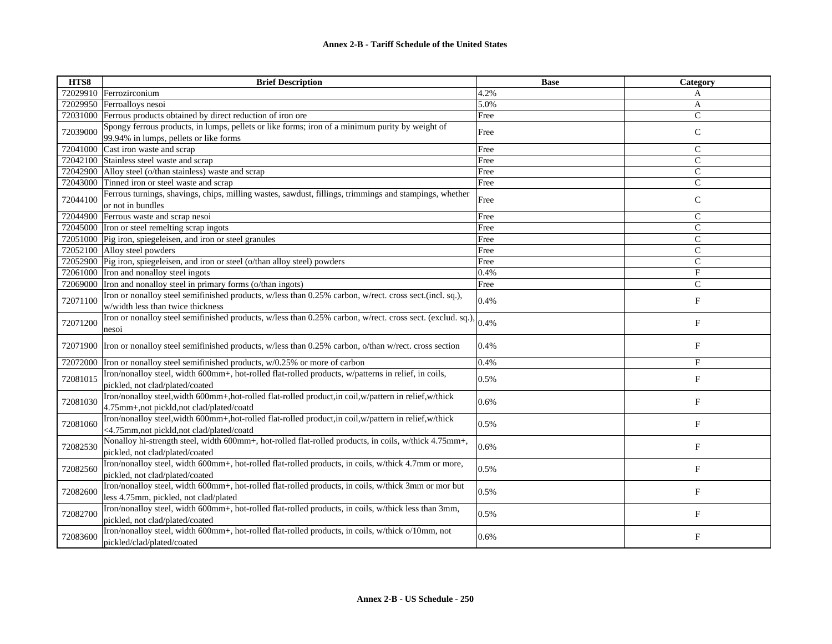| HTS8     | <b>Brief Description</b>                                                                                                                             | <b>Base</b> | Category      |
|----------|------------------------------------------------------------------------------------------------------------------------------------------------------|-------------|---------------|
|          | 72029910 Ferrozirconium                                                                                                                              | 4.2%        | A             |
|          | 72029950 Ferroalloys nesoi                                                                                                                           | 5.0%        | A             |
| 72031000 | Ferrous products obtained by direct reduction of iron ore                                                                                            | Free        | $\mathsf{C}$  |
| 72039000 | Spongy ferrous products, in lumps, pellets or like forms; iron of a minimum purity by weight of<br>99.94% in lumps, pellets or like forms            | Free        | $\mathsf{C}$  |
| 72041000 | Cast iron waste and scrap                                                                                                                            | Free        | $\mathbf C$   |
| 72042100 | Stainless steel waste and scrap                                                                                                                      | Free        | $\mathcal{C}$ |
| 72042900 | Alloy steel (o/than stainless) waste and scrap                                                                                                       | Free        | $\mathsf{C}$  |
| 72043000 | Tinned iron or steel waste and scrap                                                                                                                 | Free        | $\mathcal{C}$ |
| 72044100 | Ferrous turnings, shavings, chips, milling wastes, sawdust, fillings, trimmings and stampings, whether<br>or not in bundles                          | Free        | $\mathsf{C}$  |
| 72044900 | Ferrous waste and scrap nesoi                                                                                                                        | Free        | $\mathsf{C}$  |
| 72045000 | Iron or steel remelting scrap ingots                                                                                                                 | Free        | $\mathsf{C}$  |
|          | 72051000 Pig iron, spiegeleisen, and iron or steel granules                                                                                          | Free        | $\mathsf{C}$  |
|          | 72052100 Alloy steel powders                                                                                                                         | Free        | $\mathsf{C}$  |
| 72052900 | Pig iron, spiegeleisen, and iron or steel (o/than alloy steel) powders                                                                               | Free        | $\mathsf{C}$  |
| 72061000 | Iron and nonalloy steel ingots                                                                                                                       | 0.4%        | F             |
| 72069000 | Iron and nonalloy steel in primary forms (o/than ingots)                                                                                             | Free        | $\mathsf{C}$  |
| 72071100 | Iron or nonalloy steel semifinished products, w/less than 0.25% carbon, w/rect. cross sect.(incl. sq.),<br>w/width less than twice thickness         | 0.4%        | $_{\rm F}$    |
| 72071200 | Iron or nonalloy steel semifinished products, w/less than 0.25% carbon, w/rect. cross sect. (exclud. sq.),<br>nesoi                                  | 0.4%        | $\mathbf{F}$  |
|          | 72071900 Tron or nonalloy steel semifinished products, w/less than 0.25% carbon, o/than w/rect. cross section                                        | 0.4%        | $_{\rm F}$    |
| 72072000 | Iron or nonalloy steel semifinished products, w/0.25% or more of carbon                                                                              | 0.4%        | $_{\rm F}$    |
| 72081015 | Iron/nonalloy steel, width 600mm+, hot-rolled flat-rolled products, w/patterns in relief, in coils,<br>pickled, not clad/plated/coated               | 0.5%        | $_{\rm F}$    |
| 72081030 | Iron/nonalloy steel, width 600mm+, hot-rolled flat-rolled product, in coil, w/pattern in relief, w/thick<br>4.75mm+,not pickld,not clad/plated/coatd | 0.6%        | F             |
| 72081060 | Iron/nonalloy steel, width 600mm+, hot-rolled flat-rolled product, in coil, w/pattern in relief, w/thick<br><4.75mm,not pickld,not clad/plated/coatd | 0.5%        | $\mathbf{F}$  |
| 72082530 | Nonalloy hi-strength steel, width 600mm+, hot-rolled flat-rolled products, in coils, w/thick 4.75mm+,<br>pickled, not clad/plated/coated             | 0.6%        | F             |
| 72082560 | Iron/nonalloy steel, width 600mm+, hot-rolled flat-rolled products, in coils, w/thick 4.7mm or more,<br>pickled, not clad/plated/coated              | 0.5%        | F             |
| 72082600 | Iron/nonalloy steel, width 600mm+, hot-rolled flat-rolled products, in coils, w/thick 3mm or mor but<br>less 4.75mm, pickled, not clad/plated        | 0.5%        | F             |
| 72082700 | Iron/nonalloy steel, width 600mm+, hot-rolled flat-rolled products, in coils, w/thick less than 3mm,<br>pickled, not clad/plated/coated              | 0.5%        | F             |
| 72083600 | Iron/nonalloy steel, width 600mm+, hot-rolled flat-rolled products, in coils, w/thick o/10mm, not<br>pickled/clad/plated/coated                      | 0.6%        | $\mathbf{F}$  |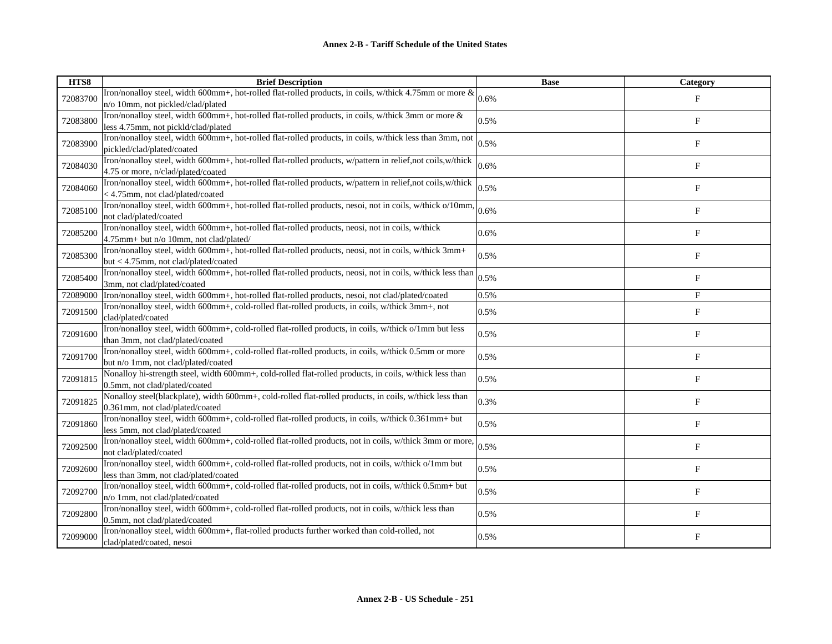| HTS8     | <b>Brief Description</b>                                                                                    | <b>Base</b> | Category    |
|----------|-------------------------------------------------------------------------------------------------------------|-------------|-------------|
| 72083700 | Iron/nonalloy steel, width 600mm+, hot-rolled flat-rolled products, in coils, w/thick 4.75mm or more &      | 0.6%        | $_{\rm F}$  |
|          | n/o 10mm, not pickled/clad/plated                                                                           |             |             |
| 72083800 | Iron/nonalloy steel, width 600mm+, hot-rolled flat-rolled products, in coils, w/thick 3mm or more &         | 0.5%        | $_{\rm F}$  |
|          | less 4.75mm, not pickld/clad/plated                                                                         |             |             |
| 72083900 | Iron/nonalloy steel, width 600mm+, hot-rolled flat-rolled products, in coils, w/thick less than 3mm, not    | 0.5%        | $\mathbf F$ |
|          | pickled/clad/plated/coated                                                                                  |             |             |
| 72084030 | Iron/nonalloy steel, width 600mm+, hot-rolled flat-rolled products, w/pattern in relief, not coils, w/thick | 0.6%        | $_{\rm F}$  |
|          | 4.75 or more, n/clad/plated/coated                                                                          |             |             |
| 72084060 | Iron/nonalloy steel, width 600mm+, hot-rolled flat-rolled products, w/pattern in relief,not coils,w/thick   | 0.5%        | $\rm F$     |
|          | < 4.75mm, not clad/plated/coated                                                                            |             |             |
| 72085100 | Iron/nonalloy steel, width 600mm+, hot-rolled flat-rolled products, nesoi, not in coils, w/thick o/10mm,    | 0.6%        | $_{\rm F}$  |
|          | not clad/plated/coated                                                                                      |             |             |
| 72085200 | Iron/nonalloy steel, width 600mm+, hot-rolled flat-rolled products, neosi, not in coils, w/thick            | 0.6%        | $\mathbf F$ |
|          | 4.75mm+ but n/o 10mm, not clad/plated/                                                                      |             |             |
| 72085300 | Iron/nonalloy steel, width 600mm+, hot-rolled flat-rolled products, neosi, not in coils, w/thick 3mm+       | 0.5%        | F           |
|          | but < 4.75mm, not clad/plated/coated                                                                        |             |             |
| 72085400 | Iron/nonalloy steel, width 600mm+, hot-rolled flat-rolled products, neosi, not in coils, w/thick less than  | 0.5%        | $_{\rm F}$  |
|          | 3mm, not clad/plated/coated                                                                                 |             |             |
| 72089000 | Iron/nonalloy steel, width 600mm+, hot-rolled flat-rolled products, nesoi, not clad/plated/coated           | 0.5%        | $_{\rm F}$  |
| 72091500 | Iron/nonalloy steel, width 600mm+, cold-rolled flat-rolled products, in coils, w/thick 3mm+, not            | 0.5%        | $_{\rm F}$  |
|          | clad/plated/coated                                                                                          |             |             |
| 72091600 | Iron/nonalloy steel, width 600mm+, cold-rolled flat-rolled products, in coils, w/thick o/1mm but less       | 0.5%        | $\mathbf F$ |
|          | than 3mm, not clad/plated/coated                                                                            |             |             |
| 72091700 | Iron/nonalloy steel, width 600mm+, cold-rolled flat-rolled products, in coils, w/thick 0.5mm or more        | 0.5%        | $_{\rm F}$  |
|          | but n/o 1mm, not clad/plated/coated                                                                         |             |             |
| 72091815 | Nonalloy hi-strength steel, width 600mm+, cold-rolled flat-rolled products, in coils, w/thick less than     | 0.5%        | $_{\rm F}$  |
|          | 0.5mm, not clad/plated/coated                                                                               |             |             |
| 72091825 | Nonalloy steel(blackplate), width 600mm+, cold-rolled flat-rolled products, in coils, w/thick less than     | 0.3%        | F           |
|          | 0.361mm, not clad/plated/coated                                                                             |             |             |
| 72091860 | Iron/nonalloy steel, width 600mm+, cold-rolled flat-rolled products, in coils, w/thick 0.361mm+ but         | 0.5%        | $_{\rm F}$  |
|          | less 5mm, not clad/plated/coated                                                                            |             |             |
| 72092500 | Iron/nonalloy steel, width 600mm+, cold-rolled flat-rolled products, not in coils, w/thick 3mm or more,     | 0.5%        | $_{\rm F}$  |
|          | not clad/plated/coated                                                                                      |             |             |
| 72092600 | Iron/nonalloy steel, width 600mm+, cold-rolled flat-rolled products, not in coils, w/thick o/1mm but        | 0.5%        | $_{\rm F}$  |
|          | less than 3mm, not clad/plated/coated                                                                       |             |             |
| 72092700 | Iron/nonalloy steel, width 600mm+, cold-rolled flat-rolled products, not in coils, w/thick 0.5mm+ but       | 0.5%        | F           |
|          | n/o 1mm, not clad/plated/coated                                                                             |             |             |
| 72092800 | Iron/nonalloy steel, width 600mm+, cold-rolled flat-rolled products, not in coils, w/thick less than        | 0.5%        | $_{\rm F}$  |
|          | 0.5mm, not clad/plated/coated                                                                               |             |             |
| 72099000 | Iron/nonalloy steel, width 600mm+, flat-rolled products further worked than cold-rolled, not                | 0.5%        | $\mathbf F$ |
|          | clad/plated/coated, nesoi                                                                                   |             |             |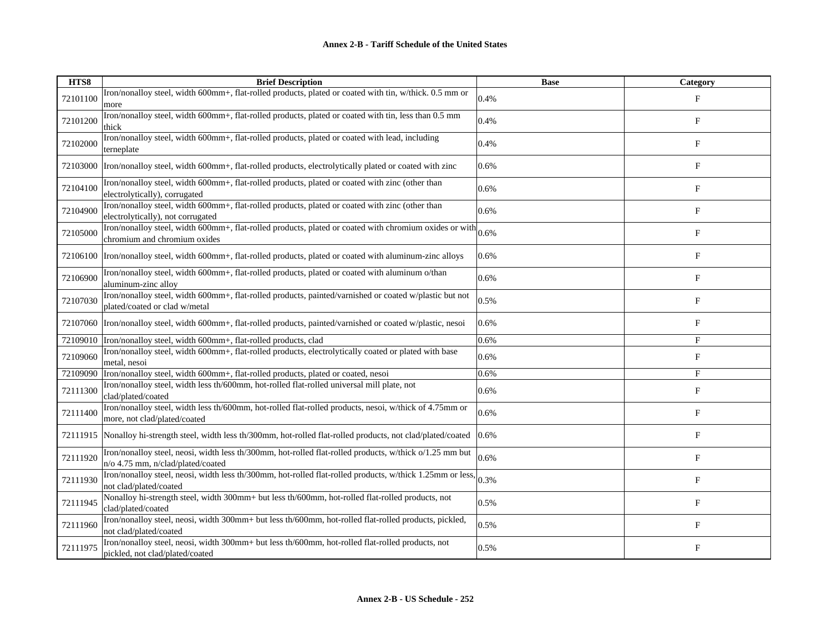| HTS8     | <b>Brief Description</b>                                                                                                                     | <b>Base</b> | Category    |
|----------|----------------------------------------------------------------------------------------------------------------------------------------------|-------------|-------------|
| 72101100 | Iron/nonalloy steel, width 600mm+, flat-rolled products, plated or coated with tin, w/thick. 0.5 mm or<br>more                               | 0.4%        | F           |
| 72101200 | Iron/nonalloy steel, width 600mm+, flat-rolled products, plated or coated with tin, less than 0.5 mm<br>thick                                | 0.4%        | $\mathbf F$ |
| 72102000 | Iron/nonalloy steel, width 600mm+, flat-rolled products, plated or coated with lead, including<br>terneplate                                 | 0.4%        | $_{\rm F}$  |
| 72103000 | Iron/nonalloy steel, width 600mm+, flat-rolled products, electrolytically plated or coated with zinc                                         | 0.6%        | $_{\rm F}$  |
| 72104100 | Iron/nonalloy steel, width 600mm+, flat-rolled products, plated or coated with zinc (other than<br>electrolytically), corrugated             | 0.6%        | F           |
| 72104900 | Iron/nonalloy steel, width 600mm+, flat-rolled products, plated or coated with zinc (other than<br>electrolytically), not corrugated         | 0.6%        | $\mathbf F$ |
| 72105000 | Iron/nonalloy steel, width 600mm+, flat-rolled products, plated or coated with chromium oxides or with<br>chromium and chromium oxides       | 0.6%        | $_{\rm F}$  |
| 72106100 | Iron/nonalloy steel, width 600mm+, flat-rolled products, plated or coated with aluminum-zinc alloys                                          | 0.6%        | $_{\rm F}$  |
| 72106900 | Iron/nonalloy steel, width 600mm+, flat-rolled products, plated or coated with aluminum o/than<br>aluminum-zinc alloy                        | 0.6%        | F           |
| 72107030 | Iron/nonalloy steel, width 600mm+, flat-rolled products, painted/varnished or coated w/plastic but not<br>plated/coated or clad w/metal      | 0.5%        | $_{\rm F}$  |
| 72107060 | Iron/nonalloy steel, width 600mm+, flat-rolled products, painted/varnished or coated w/plastic, nesoi                                        | 0.6%        | F           |
|          | 72109010  Iron/nonalloy steel, width 600mm+, flat-rolled products, clad                                                                      | 0.6%        | F           |
| 72109060 | Iron/nonalloy steel, width 600mm+, flat-rolled products, electrolytically coated or plated with base<br>metal, nesoi                         | 0.6%        | $_{\rm F}$  |
| 72109090 | Iron/nonalloy steel, width 600mm+, flat-rolled products, plated or coated, nesoi                                                             | 0.6%        | $\mathbf F$ |
| 72111300 | Iron/nonalloy steel, width less th/600mm, hot-rolled flat-rolled universal mill plate, not<br>clad/plated/coated                             | 0.6%        | $_{\rm F}$  |
| 72111400 | Iron/nonalloy steel, width less th/600mm, hot-rolled flat-rolled products, nesoi, w/thick of 4.75mm or<br>more, not clad/plated/coated       | 0.6%        | $_{\rm F}$  |
| 72111915 | Nonalloy hi-strength steel, width less th/300mm, hot-rolled flat-rolled products, not clad/plated/coated                                     | 0.6%        | $_{\rm F}$  |
| 72111920 | Iron/nonalloy steel, neosi, width less th/300mm, hot-rolled flat-rolled products, w/thick o/1.25 mm but<br>n/o 4.75 mm, n/clad/plated/coated | 0.6%        | $_{\rm F}$  |
| 72111930 | Tron/nonalloy steel, neosi, width less th/300mm, hot-rolled flat-rolled products, w/thick 1.25mm or less. 0.3%<br>not clad/plated/coated     |             | $_{\rm F}$  |
| 72111945 | Nonalloy hi-strength steel, width 300mm+ but less th/600mm, hot-rolled flat-rolled products, not<br>clad/plated/coated                       | 0.5%        | $\mathbf F$ |
| 72111960 | Iron/nonalloy steel, neosi, width 300mm+ but less th/600mm, hot-rolled flat-rolled products, pickled,<br>not clad/plated/coated              | 0.5%        | F           |
| 72111975 | Iron/nonalloy steel, neosi, width 300mm+ but less th/600mm, hot-rolled flat-rolled products, not<br>pickled, not clad/plated/coated          | 0.5%        | F           |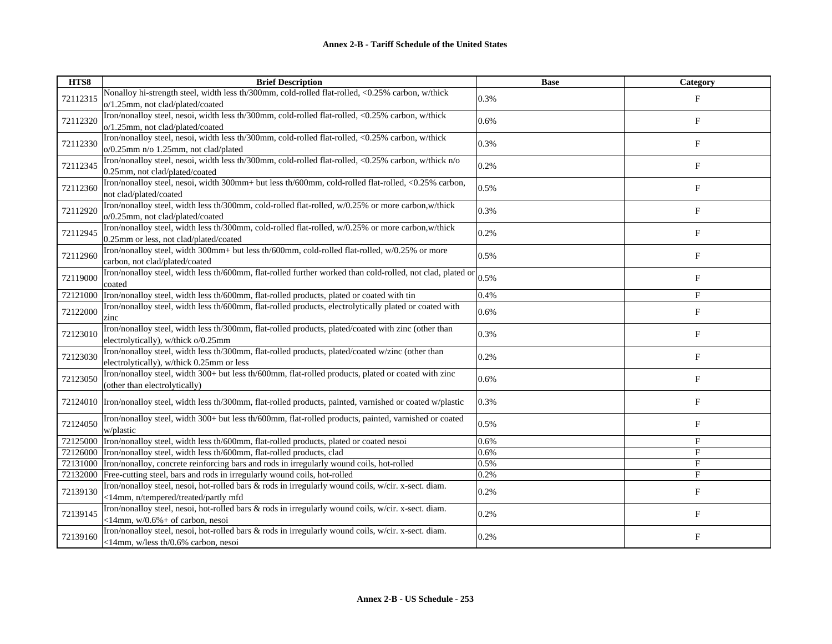| HTS8     | <b>Brief Description</b>                                                                                                                      | <b>Base</b> | Category                  |
|----------|-----------------------------------------------------------------------------------------------------------------------------------------------|-------------|---------------------------|
| 72112315 | Nonalloy hi-strength steel, width less th/300mm, cold-rolled flat-rolled, <0.25% carbon, w/thick<br>o/1.25mm, not clad/plated/coated          | 0.3%        | $_{\rm F}$                |
| 72112320 | Iron/nonalloy steel, nesoi, width less th/300mm, cold-rolled flat-rolled, <0.25% carbon, w/thick<br>o/1.25mm, not clad/plated/coated          | 0.6%        | F                         |
| 72112330 | Iron/nonalloy steel, nesoi, width less th/300mm, cold-rolled flat-rolled, <0.25% carbon, w/thick<br>o/0.25mm n/o 1.25mm, not clad/plated      | 0.3%        | $_{\rm F}$                |
| 72112345 | Iron/nonalloy steel, nesoi, width less th/300mm, cold-rolled flat-rolled, <0.25% carbon, w/thick n/o<br>0.25mm, not clad/plated/coated        | 0.2%        | F                         |
| 72112360 | Iron/nonalloy steel, nesoi, width 300mm+ but less th/600mm, cold-rolled flat-rolled, <0.25% carbon,<br>not clad/plated/coated                 | 0.5%        | F                         |
| 72112920 | Iron/nonalloy steel, width less th/300mm, cold-rolled flat-rolled, w/0.25% or more carbon, w/thick<br>o/0.25mm, not clad/plated/coated        | 0.3%        | F                         |
| 72112945 | Iron/nonalloy steel, width less th/300mm, cold-rolled flat-rolled, w/0.25% or more carbon, w/thick<br>0.25mm or less, not clad/plated/coated  | 0.2%        | F                         |
| 72112960 | Iron/nonalloy steel, width 300mm+ but less th/600mm, cold-rolled flat-rolled, w/0.25% or more<br>carbon, not clad/plated/coated               | 0.5%        | $_{\rm F}$                |
| 72119000 | Iron/nonalloy steel, width less th/600mm, flat-rolled further worked than cold-rolled, not clad, plated or<br>coated                          | 0.5%        | $\boldsymbol{\mathrm{F}}$ |
| 72121000 | Iron/nonalloy steel, width less th/600mm, flat-rolled products, plated or coated with tin                                                     | 0.4%        | F                         |
| 72122000 | Iron/nonalloy steel, width less th/600mm, flat-rolled products, electrolytically plated or coated with<br>zinc                                | 0.6%        | F                         |
| 72123010 | Iron/nonalloy steel, width less th/300mm, flat-rolled products, plated/coated with zinc (other than<br>electrolytically), w/thick o/0.25mm    | 0.3%        | F                         |
| 72123030 | Iron/nonalloy steel, width less th/300mm, flat-rolled products, plated/coated w/zinc (other than<br>electrolytically), w/thick 0.25mm or less | 0.2%        | F                         |
| 72123050 | Iron/nonalloy steel, width 300+ but less th/600mm, flat-rolled products, plated or coated with zinc<br>(other than electrolytically)          | 0.6%        | $\boldsymbol{\mathrm{F}}$ |
|          | 72124010  Iron/nonalloy steel, width less th/300mm, flat-rolled products, painted, varnished or coated w/plastic                              | 0.3%        | $\boldsymbol{\mathrm{F}}$ |
| 72124050 | Iron/nonalloy steel, width 300+ but less th/600mm, flat-rolled products, painted, varnished or coated<br>w/plastic                            | 0.5%        | F                         |
| 72125000 | Iron/nonalloy steel, width less th/600mm, flat-rolled products, plated or coated nesoi                                                        | 0.6%        | F                         |
| 72126000 | Iron/nonalloy steel, width less th/600mm, flat-rolled products, clad                                                                          | 0.6%        | F                         |
| 72131000 | Iron/nonalloy, concrete reinforcing bars and rods in irregularly wound coils, hot-rolled                                                      | 0.5%        | F                         |
| 72132000 | Free-cutting steel, bars and rods in irregularly wound coils, hot-rolled                                                                      | 0.2%        | $_{\rm F}$                |
| 72139130 | Iron/nonalloy steel, nesoi, hot-rolled bars & rods in irregularly wound coils, w/cir. x-sect. diam.<br><14mm, n/tempered/treated/partly mfd   | 0.2%        | $_{\rm F}$                |
| 72139145 | Iron/nonalloy steel, nesoi, hot-rolled bars & rods in irregularly wound coils, w/cir. x-sect. diam.<br>$\leq$ 14mm, w/0.6% + of carbon, nesoi | 0.2%        | F                         |
| 72139160 | Iron/nonalloy steel, nesoi, hot-rolled bars & rods in irregularly wound coils, w/cir. x-sect. diam.<br><14mm, w/less th/0.6% carbon, nesoi    | 0.2%        | $_{\rm F}$                |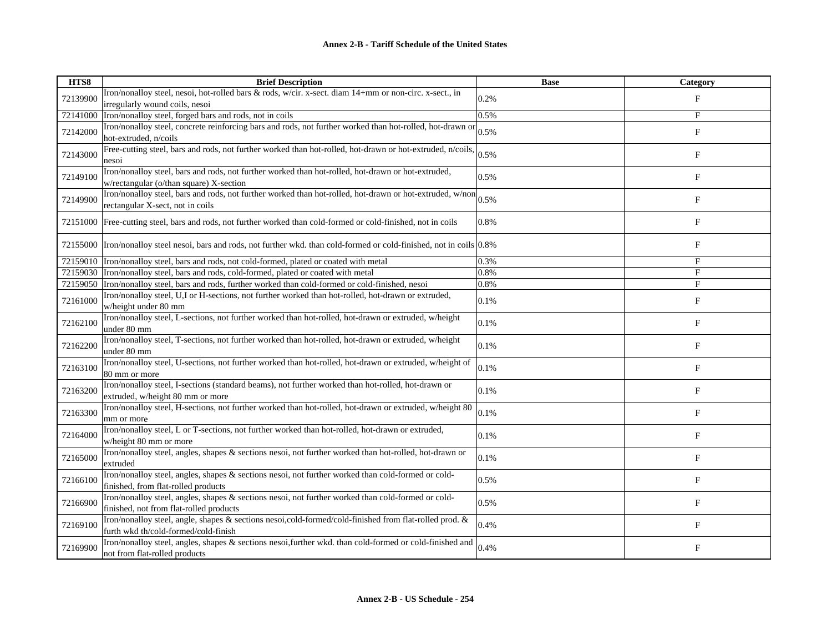| HTS8     | <b>Brief Description</b>                                                                                                                       | <b>Base</b> | <b>Category</b>           |
|----------|------------------------------------------------------------------------------------------------------------------------------------------------|-------------|---------------------------|
| 72139900 | Iron/nonalloy steel, nesoi, hot-rolled bars & rods, w/cir. x-sect. diam 14+mm or non-circ. x-sect., in                                         | 0.2%        | $_{\rm F}$                |
|          | irregularly wound coils, nesoi                                                                                                                 |             |                           |
| 72141000 | Iron/nonalloy steel, forged bars and rods, not in coils                                                                                        | 0.5%        | F                         |
| 72142000 | Iron/nonalloy steel, concrete reinforcing bars and rods, not further worked than hot-rolled, hot-drawn or<br>hot-extruded, n/coils             | 0.5%        | $_{\rm F}$                |
| 72143000 | Free-cutting steel, bars and rods, not further worked than hot-rolled, hot-drawn or hot-extruded, n/coils,<br>nesoi                            | 0.5%        | F                         |
| 72149100 | Iron/nonalloy steel, bars and rods, not further worked than hot-rolled, hot-drawn or hot-extruded,<br>w/rectangular (o/than square) X-section  | 0.5%        | F                         |
| 72149900 | Iron/nonalloy steel, bars and rods, not further worked than hot-rolled, hot-drawn or hot-extruded, w/non<br>rectangular X-sect, not in coils   | 0.5%        | F                         |
|          | 72151000 Free-cutting steel, bars and rods, not further worked than cold-formed or cold-finished, not in coils                                 | 0.8%        | $_{\rm F}$                |
|          | 72155000 Tron/nonalloy steel nesoi, bars and rods, not further wkd. than cold-formed or cold-finished, not in coils 0.8%                       |             | F                         |
|          | 72159010 Tron/nonalloy steel, bars and rods, not cold-formed, plated or coated with metal                                                      | 0.3%        | $_{\rm F}$                |
|          | 72159030 Iron/nonalloy steel, bars and rods, cold-formed, plated or coated with metal                                                          | 0.8%        | $_{\rm F}$                |
| 72159050 | Iron/nonalloy steel, bars and rods, further worked than cold-formed or cold-finished, nesoi                                                    | 0.8%        | F                         |
| 72161000 | Iron/nonalloy steel, U,I or H-sections, not further worked than hot-rolled, hot-drawn or extruded,<br>w/height under 80 mm                     | 0.1%        | $_{\rm F}$                |
| 72162100 | Iron/nonalloy steel, L-sections, not further worked than hot-rolled, hot-drawn or extruded, w/height<br>under 80 mm                            | 0.1%        | F                         |
| 72162200 | Iron/nonalloy steel, T-sections, not further worked than hot-rolled, hot-drawn or extruded, w/height<br>under 80 mm                            | 0.1%        | $\boldsymbol{\mathrm{F}}$ |
| 72163100 | Iron/nonalloy steel, U-sections, not further worked than hot-rolled, hot-drawn or extruded, w/height of<br>80 mm or more                       | 0.1%        | F                         |
| 72163200 | Iron/nonalloy steel, I-sections (standard beams), not further worked than hot-rolled, hot-drawn or<br>extruded, w/height 80 mm or more         | 0.1%        | F                         |
| 72163300 | Iron/nonalloy steel, H-sections, not further worked than hot-rolled, hot-drawn or extruded, w/height 80<br>mm or more                          | 0.1%        | F                         |
| 72164000 | Iron/nonalloy steel, L or T-sections, not further worked than hot-rolled, hot-drawn or extruded,<br>w/height 80 mm or more                     | 0.1%        | F                         |
| 72165000 | Iron/nonalloy steel, angles, shapes & sections nesoi, not further worked than hot-rolled, hot-drawn or<br>extruded                             | 0.1%        | F                         |
| 72166100 | Iron/nonalloy steel, angles, shapes & sections nesoi, not further worked than cold-formed or cold-<br>finished, from flat-rolled products      | 0.5%        | $_{\rm F}$                |
| 72166900 | Iron/nonalloy steel, angles, shapes & sections nesoi, not further worked than cold-formed or cold-<br>finished, not from flat-rolled products  | 0.5%        | F                         |
| 72169100 | Iron/nonalloy steel, angle, shapes & sections nesoi,cold-formed/cold-finished from flat-rolled prod. &<br>furth wkd th/cold-formed/cold-finish | 0.4%        | F                         |
| 72169900 | Iron/nonalloy steel, angles, shapes & sections nesoi, further wkd. than cold-formed or cold-finished and<br>not from flat-rolled products      | 0.4%        | F                         |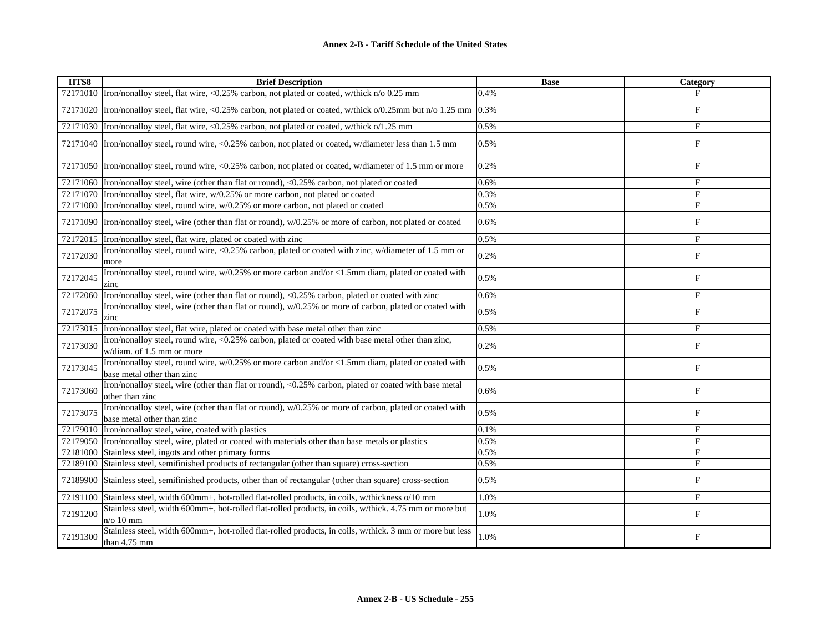| HTS8     | <b>Brief Description</b>                                                                                                             | <b>Base</b> | Category                  |
|----------|--------------------------------------------------------------------------------------------------------------------------------------|-------------|---------------------------|
|          | 72171010 Tron/nonalloy steel, flat wire, <0.25% carbon, not plated or coated, w/thick n/o 0.25 mm                                    | 0.4%        | F                         |
| 72171020 | Iron/nonalloy steel, flat wire, <0.25% carbon, not plated or coated, w/thick $o/0.25$ mm but n/o 1.25 mm $ 0.3\% $                   |             | F                         |
| 72171030 | Iron/nonalloy steel, flat wire, <0.25% carbon, not plated or coated, w/thick o/1.25 mm                                               | 0.5%        | $_{\rm F}$                |
| 72171040 | Iron/nonalloy steel, round wire, <0.25% carbon, not plated or coated, w/diameter less than 1.5 mm                                    | 0.5%        | $_{\rm F}$                |
|          | 72171050  Iron/nonalloy steel, round wire, <0.25% carbon, not plated or coated, w/diameter of 1.5 mm or more                         | 0.2%        | F                         |
| 72171060 | Iron/nonalloy steel, wire (other than flat or round), <0.25% carbon, not plated or coated                                            | 0.6%        | F                         |
|          | 72171070 Tron/nonalloy steel, flat wire, w/0.25% or more carbon, not plated or coated                                                | 0.3%        | F                         |
| 72171080 | Iron/nonalloy steel, round wire, w/0.25% or more carbon, not plated or coated                                                        | 0.5%        | $_{\rm F}$                |
| 72171090 | Iron/nonalloy steel, wire (other than flat or round), $w/0.25\%$ or more of carbon, not plated or coated                             | 0.6%        | F                         |
| 72172015 | Iron/nonalloy steel, flat wire, plated or coated with zinc                                                                           | 0.5%        | F                         |
| 72172030 | Iron/nonalloy steel, round wire, <0.25% carbon, plated or coated with zinc, w/diameter of 1.5 mm or<br>more                          | 0.2%        | $_{\rm F}$                |
| 72172045 | Iron/nonalloy steel, round wire, w/0.25% or more carbon and/or <1.5mm diam, plated or coated with<br>zinc                            | 0.5%        | F                         |
| 72172060 | Iron/nonalloy steel, wire (other than flat or round), <0.25% carbon, plated or coated with zinc                                      | 0.6%        | $_{\rm F}$                |
| 72172075 | Iron/nonalloy steel, wire (other than flat or round), w/0.25% or more of carbon, plated or coated with<br>zinc                       | 0.5%        | F                         |
| 72173015 | Iron/nonalloy steel, flat wire, plated or coated with base metal other than zinc                                                     | 0.5%        | F                         |
| 72173030 | Iron/nonalloy steel, round wire, <0.25% carbon, plated or coated with base metal other than zinc,<br>w/diam. of 1.5 mm or more       | 0.2%        | $\mathbf F$               |
| 72173045 | Iron/nonalloy steel, round wire, w/0.25% or more carbon and/or <1.5mm diam, plated or coated with<br>base metal other than zinc      | 0.5%        | F                         |
| 72173060 | Iron/nonalloy steel, wire (other than flat or round), <0.25% carbon, plated or coated with base metal<br>other than zinc             | 0.6%        | $\boldsymbol{\mathrm{F}}$ |
| 72173075 | Iron/nonalloy steel, wire (other than flat or round), w/0.25% or more of carbon, plated or coated with<br>base metal other than zinc | 0.5%        | F                         |
| 72179010 | Iron/nonalloy steel, wire, coated with plastics                                                                                      | 0.1%        | F                         |
| 72179050 | Iron/nonalloy steel, wire, plated or coated with materials other than base metals or plastics                                        | 0.5%        | F                         |
| 72181000 | Stainless steel, ingots and other primary forms                                                                                      | 0.5%        | F                         |
| 72189100 | Stainless steel, semifinished products of rectangular (other than square) cross-section                                              | 0.5%        | F                         |
| 72189900 | Stainless steel, semifinished products, other than of rectangular (other than square) cross-section                                  | 0.5%        | F                         |
| 72191100 | Stainless steel, width 600mm+, hot-rolled flat-rolled products, in coils, w/thickness o/10 mm                                        | 1.0%        | F                         |
| 72191200 | Stainless steel, width 600mm+, hot-rolled flat-rolled products, in coils, w/thick. 4.75 mm or more but<br>$n$ o 10 mm                | 1.0%        | F                         |
| 72191300 | Stainless steel, width 600mm+, hot-rolled flat-rolled products, in coils, w/thick. 3 mm or more but less<br>than 4.75 mm             | 1.0%        | F                         |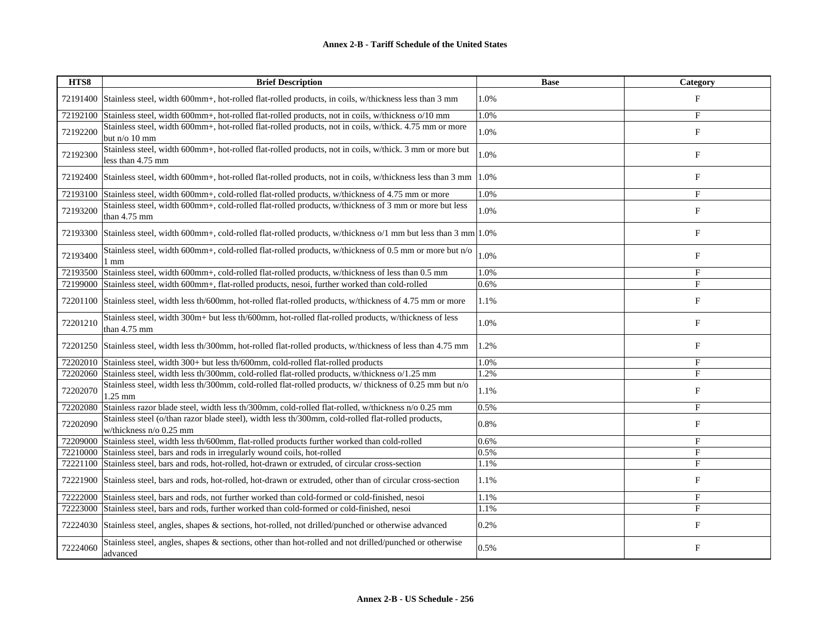| HTS8     | <b>Brief Description</b>                                                                                                      | <b>Base</b> | Category                  |
|----------|-------------------------------------------------------------------------------------------------------------------------------|-------------|---------------------------|
| 72191400 | Stainless steel, width 600mm+, hot-rolled flat-rolled products, in coils, w/thickness less than 3 mm                          | 1.0%        | $_{\rm F}$                |
| 72192100 | Stainless steel, width 600mm+, hot-rolled flat-rolled products, not in coils, w/thickness o/10 mm                             | 1.0%        | $_{\rm F}$                |
| 72192200 | Stainless steel, width 600mm+, hot-rolled flat-rolled products, not in coils, w/thick. 4.75 mm or more<br>but n/o 10 mm       | 1.0%        | ${\rm F}$                 |
| 72192300 | Stainless steel, width 600mm+, hot-rolled flat-rolled products, not in coils, w/thick. 3 mm or more but<br>less than 4.75 mm  | 1.0%        | F                         |
| 72192400 | Stainless steel, width 600mm+, hot-rolled flat-rolled products, not in coils, w/thickness less than 3 mm                      | 1.0%        | F                         |
| 72193100 | Stainless steel, width 600mm+, cold-rolled flat-rolled products, w/thickness of 4.75 mm or more                               | 1.0%        | $\mathbf F$               |
| 72193200 | Stainless steel, width 600mm+, cold-rolled flat-rolled products, w/thickness of 3 mm or more but less<br>than $4.75$ mm       | 1.0%        | $\boldsymbol{\mathrm{F}}$ |
| 72193300 | Stainless steel, width 600mm+, cold-rolled flat-rolled products, w/thickness $\omega/1$ mm but less than 3 mm 1.0%            |             | F                         |
| 72193400 | Stainless steel, width 600mm+, cold-rolled flat-rolled products, w/thickness of 0.5 mm or more but n/o<br>1 mm                | 1.0%        | F                         |
| 72193500 | Stainless steel, width 600mm+, cold-rolled flat-rolled products, w/thickness of less than 0.5 mm                              | 1.0%        | $\mathbf F$               |
| 72199000 | Stainless steel, width 600mm+, flat-rolled products, nesoi, further worked than cold-rolled                                   | 0.6%        | F                         |
| 72201100 | Stainless steel, width less th/600mm, hot-rolled flat-rolled products, w/thickness of 4.75 mm or more                         | 1.1%        | $_{\rm F}$                |
| 72201210 | Stainless steel, width 300m+ but less th/600mm, not-rolled flat-rolled products, w/thickness of less<br>than 4.75 mm          | 1.0%        | F                         |
| 72201250 | Stainless steel, width less th/300mm, hot-rolled flat-rolled products, w/thickness of less than 4.75 mm                       | 1.2%        | $\boldsymbol{\mathrm{F}}$ |
| 72202010 | Stainless steel, width 300+ but less th/600mm, cold-rolled flat-rolled products                                               | 1.0%        | $_{\rm F}$                |
| 72202060 | Stainless steel, width less th/300mm, cold-rolled flat-rolled products, w/thickness o/1.25 mm                                 | 1.2%        | $_{\rm F}$                |
| 72202070 | Stainless steel, width less th/300mm, cold-rolled flat-rolled products, w/ thickness of 0.25 mm but n/o<br>l.25 mm            | 1.1%        | $_{\rm F}$                |
| 72202080 | Stainless razor blade steel, width less th/300mm, cold-rolled flat-rolled, w/thickness n/o 0.25 mm                            | 0.5%        | $_{\rm F}$                |
| 72202090 | Stainless steel (o/than razor blade steel), width less th/300mm, cold-rolled flat-rolled products,<br>w/thickness n/o 0.25 mm | 0.8%        | $_{\rm F}$                |
| 72209000 | Stainless steel, width less th/600mm, flat-rolled products further worked than cold-rolled                                    | 0.6%        | $\mathbf F$               |
| 72210000 | Stainless steel, bars and rods in irregularly wound coils, hot-rolled                                                         | 0.5%        | F                         |
| 72221100 | Stainless steel, bars and rods, hot-rolled, hot-drawn or extruded, of circular cross-section                                  | 1.1%        | $_{\rm F}$                |
| 72221900 | Stainless steel, bars and rods, hot-rolled, hot-drawn or extruded, other than of circular cross-section                       | 1.1%        | ${\bf F}$                 |
| 72222000 | Stainless steel, bars and rods, not further worked than cold-formed or cold-finished, nesoi                                   | 1.1%        | F                         |
| 72223000 | Stainless steel, bars and rods, further worked than cold-formed or cold-finished, nesoi                                       | 1.1%        | F                         |
| 72224030 | Stainless steel, angles, shapes & sections, hot-rolled, not drilled/punched or otherwise advanced                             | 0.2%        | $\boldsymbol{\mathrm{F}}$ |
| 72224060 | Stainless steel, angles, shapes & sections, other than hot-rolled and not drilled/punched or otherwise<br>advanced            | 0.5%        | F                         |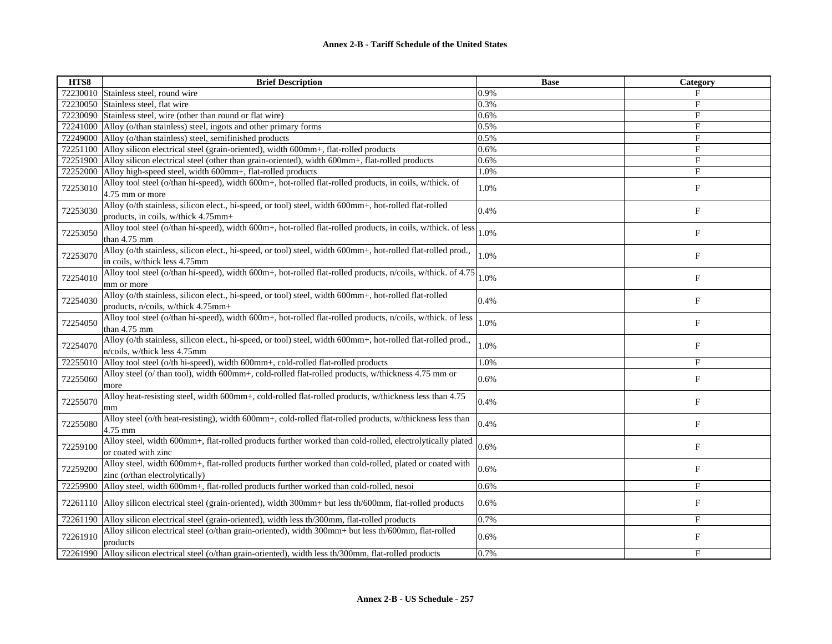| HTS8     | <b>Brief Description</b>                                                                                                                      | <b>Base</b> | Category                  |
|----------|-----------------------------------------------------------------------------------------------------------------------------------------------|-------------|---------------------------|
| 72230010 | Stainless steel, round wire                                                                                                                   | 0.9%        | F                         |
| 72230050 | Stainless steel, flat wire                                                                                                                    | 0.3%        | $\mathbf{F}$              |
| 72230090 | Stainless steel, wire (other than round or flat wire)                                                                                         | 0.6%        | F                         |
| 72241000 | Alloy (o/than stainless) steel, ingots and other primary forms                                                                                | 0.5%        | F                         |
| 72249000 | Alloy (o/than stainless) steel, semifinished products                                                                                         | 0.5%        | $\mathbf{F}$              |
| 72251100 | Alloy silicon electrical steel (grain-oriented), width 600mm+, flat-rolled products                                                           | 0.6%        | F                         |
| 72251900 | Alloy silicon electrical steel (other than grain-oriented), width 600mm+, flat-rolled products                                                | 0.6%        | F                         |
| 72252000 | Alloy high-speed steel, width 600mm+, flat-rolled products                                                                                    | 1.0%        | F                         |
| 72253010 | Alloy tool steel (o/than hi-speed), width 600m+, hot-rolled flat-rolled products, in coils, w/thick. of<br>4.75 mm or more                    | 1.0%        | F                         |
| 72253030 | Alloy (o/th stainless, silicon elect., hi-speed, or tool) steel, width 600mm+, hot-rolled flat-rolled<br>products, in coils, w/thick 4.75mm+  | 0.4%        | $_{\rm F}$                |
| 72253050 | Alloy tool steel (o/than hi-speed), width 600m+, hot-rolled flat-rolled products, in coils, w/thick. of less<br>than 4.75 mm                  | 1.0%        | F                         |
| 72253070 | Alloy (o/th stainless, silicon elect., hi-speed, or tool) steel, width 600mm+, hot-rolled flat-rolled prod.,<br>in coils, w/thick less 4.75mm | 1.0%        | $\boldsymbol{\mathrm{F}}$ |
| 72254010 | Alloy tool steel (o/than hi-speed), width 600m+, hot-rolled flat-rolled products, n/coils, w/thick. of 4.75<br>mm or more                     | 1.0%        | F                         |
| 72254030 | Alloy (o/th stainless, silicon elect., hi-speed, or tool) steel, width 600mm+, hot-rolled flat-rolled<br>products, n/coils, w/thick 4.75mm+   | 0.4%        | $\mathbf{F}$              |
| 72254050 | Alloy tool steel (o/than hi-speed), width 600m+, hot-rolled flat-rolled products, n/coils, w/thick. of less<br>than 4.75 mm                   | 1.0%        | F                         |
| 72254070 | Alloy (o/th stainless, silicon elect., hi-speed, or tool) steel, width 600mm+, hot-rolled flat-rolled prod.,<br>n/coils, w/thick less 4.75mm  | 1.0%        | $\mathbf F$               |
| 72255010 | Alloy tool steel (o/th hi-speed), width 600mm+, cold-rolled flat-rolled products                                                              | 1.0%        | F                         |
| 72255060 | Alloy steel (o/ than tool), width 600mm+, cold-rolled flat-rolled products, w/thickness 4.75 mm or<br>more                                    | 0.6%        | F                         |
| 72255070 | Alloy heat-resisting steel, width 600mm+, cold-rolled flat-rolled products, w/thickness less than 4.75                                        | 0.4%        | F                         |
| 72255080 | Alloy steel (o/th heat-resisting), width 600mm+, cold-rolled flat-rolled products, w/thickness less than<br>4.75 mm                           | 0.4%        | $\boldsymbol{\mathrm{F}}$ |
| 72259100 | Alloy steel, width 600mm+, flat-rolled products further worked than cold-rolled, electrolytically plated<br>or coated with zinc               | 0.6%        | F                         |
| 72259200 | Alloy steel, width 600mm+, flat-rolled products further worked than cold-rolled, plated or coated with<br>zinc (o/than electrolytically)      | 0.6%        | F                         |
| 72259900 | Alloy steel, width 600mm+, flat-rolled products further worked than cold-rolled, nesoi                                                        | 0.6%        | $_{\rm F}$                |
| 72261110 | Alloy silicon electrical steel (grain-oriented), width 300mm+ but less th/600mm, flat-rolled products                                         | 0.6%        | $_{\rm F}$                |
| 72261190 | Alloy silicon electrical steel (grain-oriented), width less th/300mm, flat-rolled products                                                    | 0.7%        | $_{\rm F}$                |
| 72261910 | Alloy silicon electrical steel (o/than grain-oriented), width 300mm+ but less th/600mm, flat-rolled<br>products                               | 0.6%        | F                         |
| 72261990 | Alloy silicon electrical steel (o/than grain-oriented), width less th/300mm, flat-rolled products                                             | 0.7%        | F                         |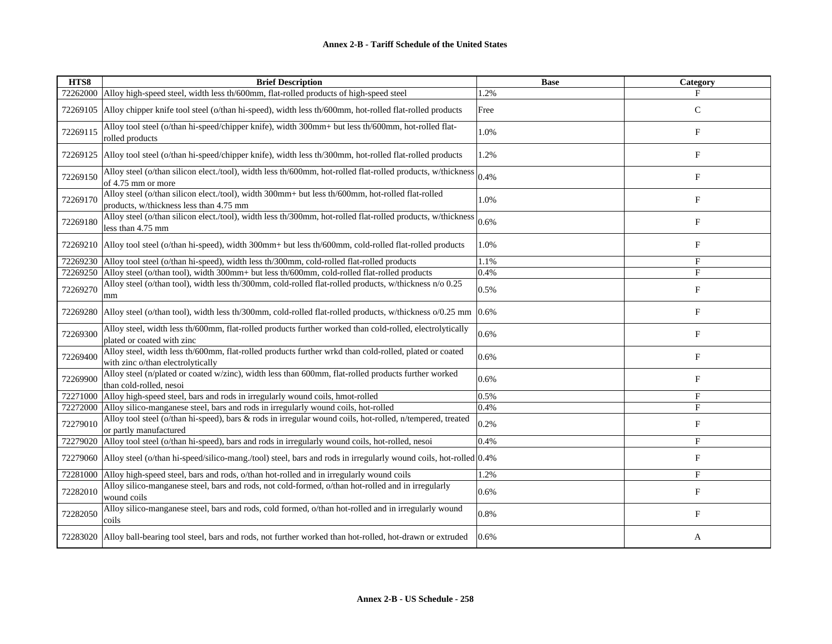| HTS8     | <b>Brief Description</b>                                                                                                                    | <b>Base</b> | Category                  |
|----------|---------------------------------------------------------------------------------------------------------------------------------------------|-------------|---------------------------|
| 72262000 | Alloy high-speed steel, width less th/600mm, flat-rolled products of high-speed steel                                                       | 1.2%        | F                         |
| 72269105 | Alloy chipper knife tool steel (o/than hi-speed), width less th/600mm, hot-rolled flat-rolled products                                      | Free        | $\mathbf C$               |
| 72269115 | Alloy tool steel (o/than hi-speed/chipper knife), width 300mm+ but less th/600mm, hot-rolled flat-<br>rolled products                       | 1.0%        | F                         |
| 72269125 | Alloy tool steel (o/than hi-speed/chipper knife), width less th/300mm, hot-rolled flat-rolled products                                      | 1.2%        | F                         |
| 72269150 | Alloy steel (o/than silicon elect./tool), width less th/600mm, hot-rolled flat-rolled products, w/thickness<br>of 4.75 mm or more           | 0.4%        | F                         |
| 72269170 | Alloy steel (o/than silicon elect./tool), width 300mm+ but less th/600mm, hot-rolled flat-rolled<br>products, w/thickness less than 4.75 mm | 1.0%        | $\boldsymbol{\mathrm{F}}$ |
| 72269180 | Alloy steel (o/than silicon elect./tool), width less th/300mm, hot-rolled flat-rolled products, w/thickness<br>less than 4.75 mm            | 0.6%        | F                         |
| 72269210 | Alloy tool steel (o/than hi-speed), width 300mm+ but less th/600mm, cold-rolled flat-rolled products                                        | 1.0%        | $_{\rm F}$                |
| 72269230 | Alloy tool steel (o/than hi-speed), width less th/300mm, cold-rolled flat-rolled products                                                   | 1.1%        | F                         |
| 72269250 | Alloy steel (o/than tool), width 300mm+ but less th/600mm, cold-rolled flat-rolled products                                                 | 0.4%        | F                         |
| 72269270 | Alloy steel (o/than tool), width less th/300mm, cold-rolled flat-rolled products, w/thickness n/o 0.25<br>mm                                | 0.5%        | $\boldsymbol{\mathrm{F}}$ |
| 72269280 | Alloy steel (o/than tool), width less th/300mm, cold-rolled flat-rolled products, w/thickness o/0.25 mm                                     | 0.6%        | F                         |
| 72269300 | Alloy steel, width less th/600mm, flat-rolled products further worked than cold-rolled, electrolytically<br>plated or coated with zinc      | 0.6%        | F                         |
| 72269400 | Alloy steel, width less th/600mm, flat-rolled products further wrkd than cold-rolled, plated or coated<br>with zinc o/than electrolytically | 0.6%        | F                         |
| 72269900 | Alloy steel (n/plated or coated w/zinc), width less than 600mm, flat-rolled products further worked<br>than cold-rolled, nesoi              | 0.6%        | F                         |
| 72271000 | Alloy high-speed steel, bars and rods in irregularly wound coils, hmot-rolled                                                               | 0.5%        | F                         |
| 72272000 | Alloy silico-manganese steel, bars and rods in irregularly wound coils, hot-rolled                                                          | 0.4%        | F                         |
| 72279010 | Alloy tool steel (o/than hi-speed), bars & rods in irregular wound coils, hot-rolled, n/tempered, treated<br>or partly manufactured         | 0.2%        | F                         |
| 72279020 | Alloy tool steel (o/than hi-speed), bars and rods in irregularly wound coils, hot-rolled, nesoi                                             | 0.4%        | F                         |
| 72279060 | Alloy steel (o/than hi-speed/silico-mang./tool) steel, bars and rods in irregularly wound coils, hot-rolled 0.4%                            |             | $\boldsymbol{\mathrm{F}}$ |
| 72281000 | Alloy high-speed steel, bars and rods, o/than hot-rolled and in irregularly wound coils                                                     | 1.2%        | F                         |
| 72282010 | Alloy silico-manganese steel, bars and rods, not cold-formed, o/than hot-rolled and in irregularly<br>wound coils                           | 0.6%        | F                         |
| 72282050 | Alloy silico-manganese steel, bars and rods, cold formed, o/than hot-rolled and in irregularly wound<br>coils                               | 0.8%        | F                         |
| 72283020 | Alloy ball-bearing tool steel, bars and rods, not further worked than hot-rolled, hot-drawn or extruded                                     | 0.6%        | A                         |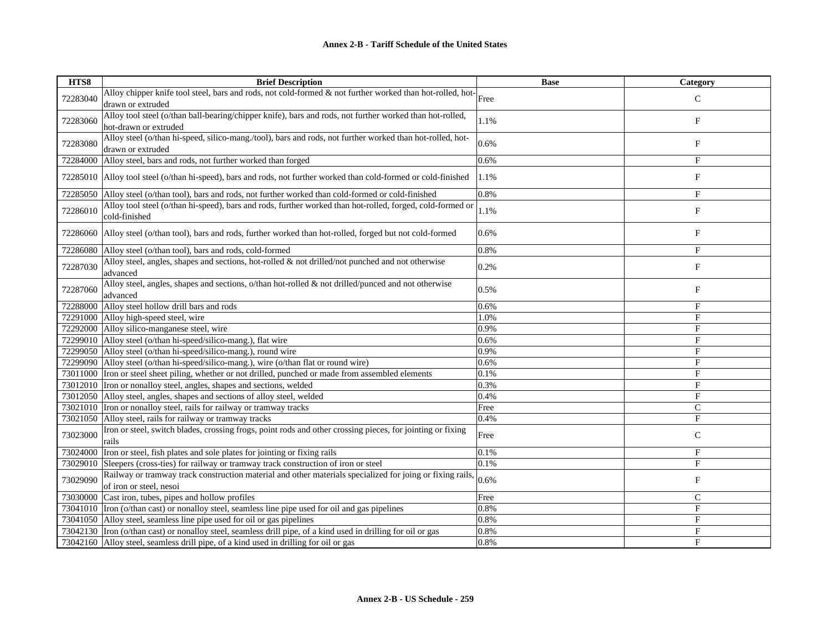| HTS8     | <b>Brief Description</b>                                                                                                             | <b>Base</b> | Category       |
|----------|--------------------------------------------------------------------------------------------------------------------------------------|-------------|----------------|
| 72283040 | Alloy chipper knife tool steel, bars and rods, not cold-formed & not further worked than hot-rolled, hot- $\vert$ Free               |             | $\mathsf{C}$   |
|          | drawn or extruded                                                                                                                    |             |                |
|          | Alloy tool steel (o/than ball-bearing/chipper knife), bars and rods, not further worked than hot-rolled,                             | 1.1%        | $\mathbf{F}$   |
| 72283060 | hot-drawn or extruded                                                                                                                |             |                |
| 72283080 | Alloy steel (o/than hi-speed, silico-mang./tool), bars and rods, not further worked than hot-rolled, hot-                            | 0.6%        | $\mathbf{F}$   |
|          | drawn or extruded                                                                                                                    |             |                |
| 72284000 | Alloy steel, bars and rods, not further worked than forged                                                                           | 0.6%        | $_{\rm F}$     |
| 72285010 | Alloy tool steel (o/than hi-speed), bars and rods, not further worked than cold-formed or cold-finished                              | 1.1%        | $\mathbf{F}$   |
| 72285050 | Alloy steel (o/than tool), bars and rods, not further worked than cold-formed or cold-finished                                       | 0.8%        | $_{\rm F}$     |
| 72286010 | Alloy tool steel (o/than hi-speed), bars and rods, further worked than hot-rolled, forged, cold-formed or                            | 1.1%        | F              |
|          | cold-finished                                                                                                                        |             |                |
| 72286060 | Alloy steel (o/than tool), bars and rods, further worked than hot-rolled, forged but not cold-formed                                 | 0.6%        | $\mathbf F$    |
| 72286080 | Alloy steel (o/than tool), bars and rods, cold-formed                                                                                | 0.8%        | $_{\rm F}$     |
| 72287030 | Alloy steel, angles, shapes and sections, hot-rolled & not drilled/not punched and not otherwise<br>advanced                         | 0.2%        | F              |
| 72287060 | Alloy steel, angles, shapes and sections, o/than hot-rolled & not drilled/punced and not otherwise<br>advanced                       | 0.5%        | $\mathbf{F}$   |
| 72288000 | Alloy steel hollow drill bars and rods                                                                                               | 0.6%        | $_{\rm F}$     |
|          | 72291000 Alloy high-speed steel, wire                                                                                                | 1.0%        | F              |
| 72292000 | Alloy silico-manganese steel, wire                                                                                                   | 0.9%        | F              |
|          | 72299010 Alloy steel (o/than hi-speed/silico-mang.), flat wire                                                                       | 0.6%        | $\overline{F}$ |
|          | 72299050 Alloy steel (o/than hi-speed/silico-mang.), round wire                                                                      | 0.9%        | $\mathbf{F}$   |
|          | 72299090 Alloy steel (o/than hi-speed/silico-mang.), wire (o/than flat or round wire)                                                | 0.6%        | F              |
|          | 73011000 Tron or steel sheet piling, whether or not drilled, punched or made from assembled elements                                 | 0.1%        | F              |
|          | 73012010 Iron or nonalloy steel, angles, shapes and sections, welded                                                                 | 0.3%        | $\mathbf{F}$   |
|          | 73012050 Alloy steel, angles, shapes and sections of alloy steel, welded                                                             | 0.4%        | $_{\rm F}$     |
|          | 73021010 Iron or nonalloy steel, rails for railway or tramway tracks                                                                 | Free        | $\mathsf{C}$   |
| 73021050 | Alloy steel, rails for railway or tramway tracks                                                                                     | 0.4%        | F              |
| 73023000 | Iron or steel, switch blades, crossing frogs, point rods and other crossing pieces, for jointing or fixing<br>rails                  | Free        | $\mathsf{C}$   |
| 73024000 | Iron or steel, fish plates and sole plates for jointing or fixing rails                                                              | 0.1%        | $_{\rm F}$     |
| 73029010 | Sleepers (cross-ties) for railway or tramway track construction of iron or steel                                                     | 0.1%        | F              |
| 73029090 | Railway or tramway track construction material and other materials specialized for joing or fixing rails,<br>of iron or steel, nesoi | 0.6%        | $\mathbf F$    |
| 73030000 | Cast iron, tubes, pipes and hollow profiles                                                                                          | Free        | $\mathsf{C}$   |
| 73041010 | Iron (o/than cast) or nonalloy steel, seamless line pipe used for oil and gas pipelines                                              | 0.8%        | $_{\rm F}$     |
|          | 73041050 Alloy steel, seamless line pipe used for oil or gas pipelines                                                               | 0.8%        | F              |
|          | 73042130 Iron (o/than cast) or nonalloy steel, seamless drill pipe, of a kind used in drilling for oil or gas                        | 0.8%        | F              |
|          | 73042160 Alloy steel, seamless drill pipe, of a kind used in drilling for oil or gas                                                 | 0.8%        | F              |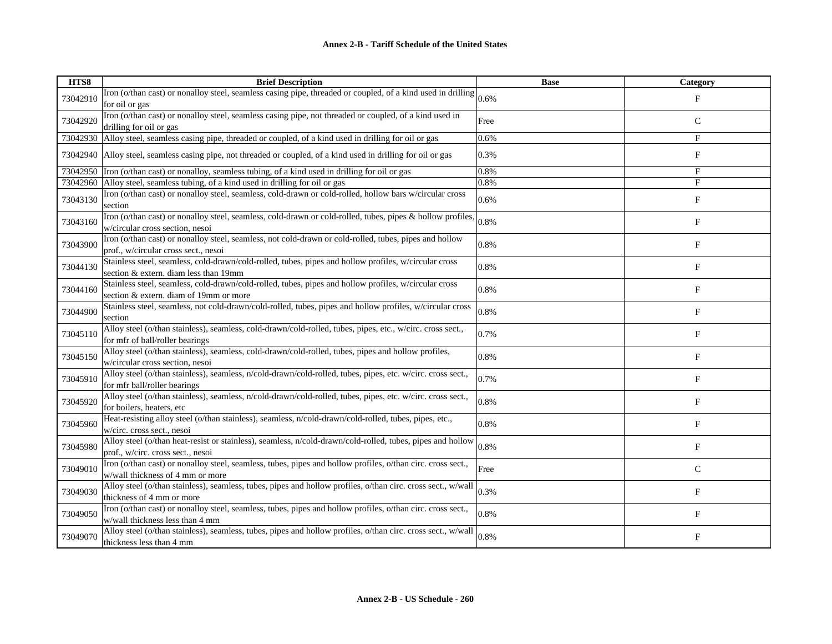| HTS8     | <b>Brief Description</b>                                                                                                                        | <b>Base</b> | Category     |
|----------|-------------------------------------------------------------------------------------------------------------------------------------------------|-------------|--------------|
| 73042910 | Iron (o/than cast) or nonalloy steel, seamless casing pipe, threaded or coupled, of a kind used in drilling $ _{0.6\%}$<br>for oil or gas       |             | $_{\rm F}$   |
| 73042920 | Iron (o/than cast) or nonalloy steel, seamless casing pipe, not threaded or coupled, of a kind used in<br>drilling for oil or gas               | Free        | $\mathsf{C}$ |
| 73042930 | Alloy steel, seamless casing pipe, threaded or coupled, of a kind used in drilling for oil or gas                                               | 0.6%        | F            |
| 73042940 | Alloy steel, seamless casing pipe, not threaded or coupled, of a kind used in drilling for oil or gas                                           | 0.3%        | $_{\rm F}$   |
| 73042950 | Iron (o/than cast) or nonalloy, seamless tubing, of a kind used in drilling for oil or gas                                                      | 0.8%        | $_{\rm F}$   |
| 73042960 | Alloy steel, seamless tubing, of a kind used in drilling for oil or gas                                                                         | 0.8%        | F            |
| 73043130 | Iron (o/than cast) or nonalloy steel, seamless, cold-drawn or cold-rolled, hollow bars w/circular cross<br>section                              | 0.6%        | $_{\rm F}$   |
| 73043160 | Iron (o/than cast) or nonalloy steel, seamless, cold-drawn or cold-rolled, tubes, pipes & hollow profiles,<br>w/circular cross section, nesoi   | 0.8%        | F            |
| 73043900 | Iron (o/than cast) or nonalloy steel, seamless, not cold-drawn or cold-rolled, tubes, pipes and hollow<br>prof., w/circular cross sect., nesoi  | 0.8%        | F            |
| 73044130 | Stainless steel, seamless, cold-drawn/cold-rolled, tubes, pipes and hollow profiles, w/circular cross<br>section & extern. diam less than 19mm  | 0.8%        | $_{\rm F}$   |
| 73044160 | Stainless steel, seamless, cold-drawn/cold-rolled, tubes, pipes and hollow profiles, w/circular cross<br>section & extern. diam of 19mm or more | 0.8%        | $_{\rm F}$   |
| 73044900 | Stainless steel, seamless, not cold-drawn/cold-rolled, tubes, pipes and hollow profiles, w/circular cross<br>section                            | 0.8%        | F            |
| 73045110 | Alloy steel (o/than stainless), seamless, cold-drawn/cold-rolled, tubes, pipes, etc., w/circ. cross sect.,<br>for mfr of ball/roller bearings   | 0.7%        | $_{\rm F}$   |
| 73045150 | Alloy steel (o/than stainless), seamless, cold-drawn/cold-rolled, tubes, pipes and hollow profiles,<br>w/circular cross section, nesoi          | 0.8%        | $_{\rm F}$   |
| 73045910 | Alloy steel (o/than stainless), seamless, n/cold-drawn/cold-rolled, tubes, pipes, etc. w/circ. cross sect.,<br>for mfr ball/roller bearings     | 0.7%        | $_{\rm F}$   |
| 73045920 | Alloy steel (o/than stainless), seamless, n/cold-drawn/cold-rolled, tubes, pipes, etc. w/circ. cross sect.,<br>for boilers, heaters, etc        | 0.8%        | F            |
| 73045960 | Heat-resisting alloy steel (o/than stainless), seamless, n/cold-drawn/cold-rolled, tubes, pipes, etc.,<br>w/circ. cross sect., nesoi            | 0.8%        | $_{\rm F}$   |
| 73045980 | Alloy steel (o/than heat-resist or stainless), seamless, n/cold-drawn/cold-rolled, tubes, pipes and hollow<br>prof., w/circ. cross sect., nesoi | 0.8%        | $_{\rm F}$   |
| 73049010 | Iron (o/than cast) or nonalloy steel, seamless, tubes, pipes and hollow profiles, o/than circ. cross sect.,<br>w/wall thickness of 4 mm or more | Free        | $\mathsf{C}$ |
| 73049030 | Alloy steel (o/than stainless), seamless, tubes, pipes and hollow profiles, o/than circ. cross sect., w/wall<br>thickness of 4 mm or more       | 0.3%        | F            |
| 73049050 | Iron (o/than cast) or nonalloy steel, seamless, tubes, pipes and hollow profiles, o/than circ. cross sect.,<br>w/wall thickness less than 4 mm  | 0.8%        | $_{\rm F}$   |
| 73049070 | Alloy steel (o/than stainless), seamless, tubes, pipes and hollow profiles, o/than circ. cross sect., w/wall<br>thickness less than 4 mm        | 0.8%        | F            |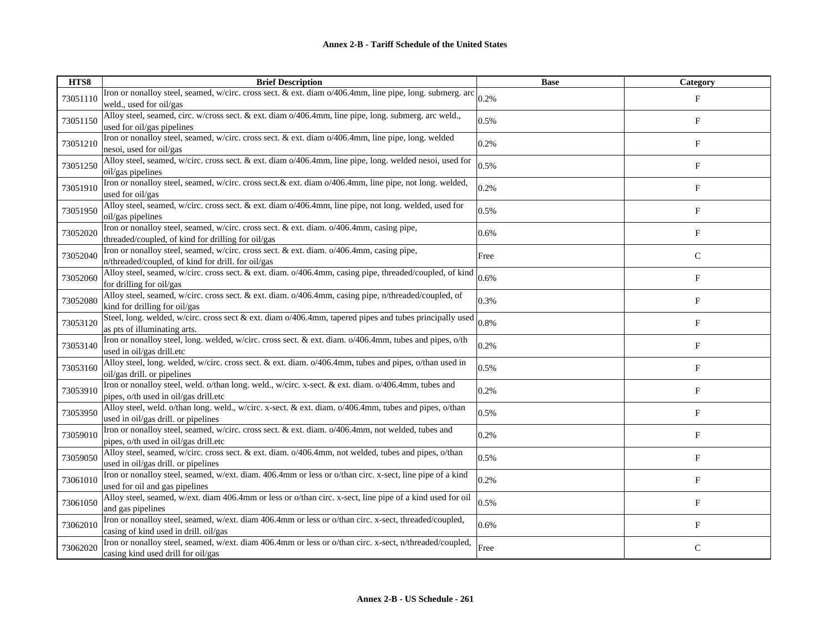| HTS8     | <b>Brief Description</b>                                                                                                                       | <b>Base</b> | Category                  |
|----------|------------------------------------------------------------------------------------------------------------------------------------------------|-------------|---------------------------|
| 73051110 | Iron or nonalloy steel, seamed, w/circ. cross sect. & ext. diam o/406.4mm, line pipe, long. submerg. arc<br>weld., used for oil/gas            | 0.2%        | $_{\rm F}$                |
| 73051150 | Alloy steel, seamed, circ. w/cross sect. & ext. diam o/406.4mm, line pipe, long. submerg. arc weld.,<br>used for oil/gas pipelines             | 0.5%        | $\boldsymbol{\mathrm{F}}$ |
| 73051210 | Iron or nonalloy steel, seamed, w/circ. cross sect. & ext. diam o/406.4mm, line pipe, long. welded<br>nesoi, used for oil/gas                  | 0.2%        | $\boldsymbol{\mathrm{F}}$ |
| 73051250 | Alloy steel, seamed, w/circ. cross sect. & ext. diam o/406.4mm, line pipe, long. welded nesoi, used for<br>oil/gas pipelines                   | 0.5%        | F                         |
| 73051910 | Iron or nonalloy steel, seamed, w/circ. cross sect. & ext. diam o/406.4mm, line pipe, not long. welded,<br>used for oil/gas                    | 0.2%        | F                         |
| 73051950 | Alloy steel, seamed, w/circ. cross sect. & ext. diam o/406.4mm, line pipe, not long. welded, used for<br>oil/gas pipelines                     | 0.5%        | F                         |
| 73052020 | Iron or nonalloy steel, seamed, w/circ. cross sect. & ext. diam. o/406.4mm, casing pipe,<br>threaded/coupled, of kind for drilling for oil/gas | 0.6%        | F                         |
| 73052040 | Iron or nonalloy steel, seamed, w/circ. cross sect. & ext. diam. o/406.4mm, casing pipe,<br>n/threaded/coupled, of kind for drill. for oil/gas | Free        | $\mathsf C$               |
| 73052060 | Alloy steel, seamed, w/circ. cross sect. & ext. diam. o/406.4mm, casing pipe, threaded/coupled, of kind<br>for drilling for oil/gas            | 0.6%        | F                         |
| 73052080 | Alloy steel, seamed, w/circ. cross sect. & ext. diam. o/406.4mm, casing pipe, n/threaded/coupled, of<br>kind for drilling for oil/gas          | 0.3%        | $_{\rm F}$                |
| 73053120 | Steel, long. welded, w/circ. cross sect & ext. diam o/406.4mm, tapered pipes and tubes principally used<br>as pts of illuminating arts.        | 0.8%        | $\boldsymbol{\mathrm{F}}$ |
| 73053140 | Iron or nonalloy steel, long. welded, w/circ. cross sect. & ext. diam. o/406.4mm, tubes and pipes, o/th<br>used in oil/gas drill.etc           | 0.2%        | $\mathbf F$               |
| 73053160 | Alloy steel, long. welded, w/circ. cross sect. & ext. diam. o/406.4mm, tubes and pipes, o/than used in<br>oil/gas drill. or pipelines          | 0.5%        | F                         |
| 73053910 | Iron or nonalloy steel, weld. o/than long. weld., w/circ. x-sect. & ext. diam. o/406.4mm, tubes and<br>pipes, o/th used in oil/gas drill.etc   | 0.2%        | F                         |
| 73053950 | Alloy steel, weld. o/than long. weld., w/circ. x-sect. & ext. diam. o/406.4mm, tubes and pipes, o/than<br>used in oil/gas drill. or pipelines  | 0.5%        | F                         |
| 73059010 | Iron or nonalloy steel, seamed, w/circ. cross sect. & ext. diam. o/406.4mm, not welded, tubes and<br>pipes, o/th used in oil/gas drill.etc     | 0.2%        | $_{\rm F}$                |
| 73059050 | Alloy steel, seamed, w/circ. cross sect. & ext. diam. o/406.4mm, not welded, tubes and pipes, o/than<br>used in oil/gas drill. or pipelines    | 0.5%        | F                         |
| 73061010 | Iron or nonalloy steel, seamed, w/ext. diam. 406.4mm or less or o/than circ. x-sect, line pipe of a kind<br>used for oil and gas pipelines     | 0.2%        | F                         |
| 73061050 | Alloy steel, seamed, w/ext. diam 406.4mm or less or o/than circ. x-sect, line pipe of a kind used for oil<br>and gas pipelines                 | 0.5%        | $_{\rm F}$                |
| 73062010 | Iron or nonalloy steel, seamed, w/ext. diam 406.4mm or less or o/than circ. x-sect, threaded/coupled,<br>casing of kind used in drill. oil/gas | 0.6%        | $\boldsymbol{\mathrm{F}}$ |
| 73062020 | Iron or nonalloy steel, seamed, w/ext. diam 406.4mm or less or o/than circ. x-sect, n/threaded/coupled,<br>casing kind used drill for oil/gas  | Free        | $\mathsf{C}$              |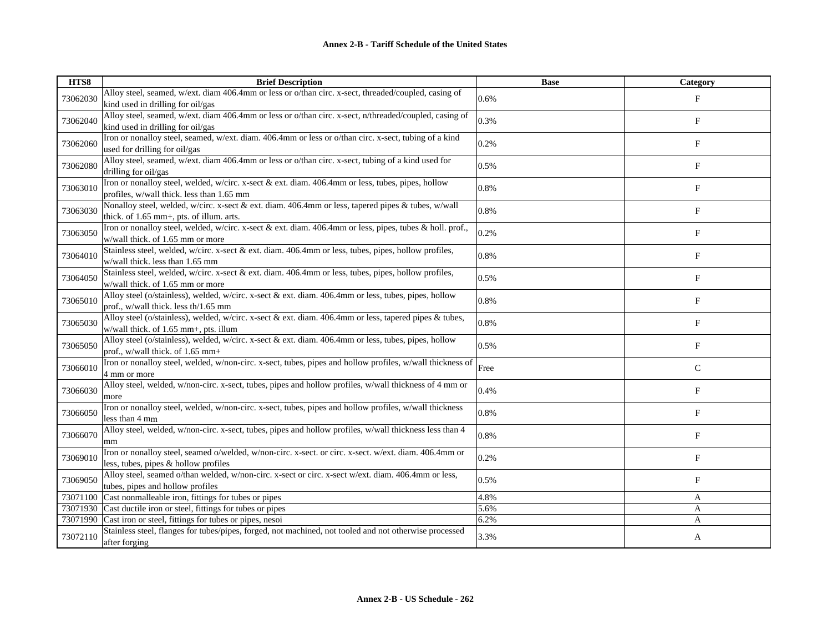| HTS8     | <b>Brief Description</b>                                                                                                                        | <b>Base</b> | Category                  |
|----------|-------------------------------------------------------------------------------------------------------------------------------------------------|-------------|---------------------------|
| 73062030 | Alloy steel, seamed, w/ext. diam 406.4mm or less or o/than circ. x-sect, threaded/coupled, casing of<br>kind used in drilling for oil/gas       | 0.6%        | $_{\rm F}$                |
| 73062040 | Alloy steel, seamed, w/ext. diam 406.4mm or less or o/than circ. x-sect, n/threaded/coupled, casing of<br>kind used in drilling for oil/gas     | 0.3%        | F                         |
| 73062060 | Iron or nonalloy steel, seamed, w/ext. diam. 406.4mm or less or o/than circ. x-sect, tubing of a kind<br>used for drilling for oil/gas          | 0.2%        | $_{\rm F}$                |
| 73062080 | Alloy steel, seamed, w/ext. diam 406.4mm or less or o/than circ. x-sect, tubing of a kind used for<br>drilling for oil/gas                      | 0.5%        | F                         |
| 73063010 | Iron or nonalloy steel, welded, w/circ. x-sect & ext. diam. 406.4mm or less, tubes, pipes, hollow<br>profiles, w/wall thick. less than 1.65 mm  | 0.8%        | $_{\rm F}$                |
| 73063030 | Nonalloy steel, welded, w/circ. x-sect & ext. diam. 406.4mm or less, tapered pipes & tubes, w/wall<br>thick. of 1.65 mm+, pts. of illum. arts.  | 0.8%        | F                         |
| 73063050 | Iron or nonalloy steel, welded, w/circ. x-sect & ext. diam. 406.4mm or less, pipes, tubes & holl. prof.,<br>w/wall thick. of 1.65 mm or more    | 0.2%        | $\mathbf{F}$              |
| 73064010 | Stainless steel, welded, w/circ. x-sect & ext. diam. 406.4mm or less, tubes, pipes, hollow profiles,<br>w/wall thick. less than 1.65 mm         | 0.8%        | F                         |
| 73064050 | Stainless steel, welded, w/circ. x-sect & ext. diam. 406.4mm or less, tubes, pipes, hollow profiles,<br>w/wall thick. of 1.65 mm or more        | 0.5%        | $\boldsymbol{\mathrm{F}}$ |
| 73065010 | Alloy steel (o/stainless), welded, w/circ. x-sect & ext. diam. 406.4mm or less, tubes, pipes, hollow<br>prof., w/wall thick. less th/1.65 mm    | 0.8%        | $_{\rm F}$                |
| 73065030 | Alloy steel (o/stainless), welded, w/circ. x-sect & ext. diam. 406.4mm or less, tapered pipes & tubes,<br>w/wall thick. of 1.65 mm+, pts. illum | 0.8%        | F                         |
| 73065050 | Alloy steel (o/stainless), welded, w/circ. x-sect & ext. diam. 406.4mm or less, tubes, pipes, hollow<br>prof., w/wall thick. of 1.65 mm+        | 0.5%        | $_{\rm F}$                |
| 73066010 | Iron or nonalloy steel, welded, w/non-circ. x-sect, tubes, pipes and hollow profiles, w/wall thickness of<br>4 mm or more                       | Free        | $\mathsf{C}$              |
| 73066030 | Alloy steel, welded, w/non-circ. x-sect, tubes, pipes and hollow profiles, w/wall thickness of 4 mm or<br>more                                  | 0.4%        | ${\bf F}$                 |
| 73066050 | Iron or nonalloy steel, welded, w/non-circ. x-sect, tubes, pipes and hollow profiles, w/wall thickness<br>less than 4 mm                        | 0.8%        | F                         |
| 73066070 | Alloy steel, welded, w/non-circ. x-sect, tubes, pipes and hollow profiles, w/wall thickness less than 4<br>mm                                   | 0.8%        | $_{\rm F}$                |
| 73069010 | Iron or nonalloy steel, seamed o/welded, w/non-circ. x-sect. or circ. x-sect. w/ext. diam. 406.4mm or<br>less, tubes, pipes & hollow profiles   | 0.2%        | F                         |
| 73069050 | Alloy steel, seamed o/than welded, w/non-circ. x-sect or circ. x-sect w/ext. diam. 406.4mm or less,<br>tubes, pipes and hollow profiles         | 0.5%        | F                         |
| 73071100 | Cast nonmalleable iron, fittings for tubes or pipes                                                                                             | 4.8%        | A                         |
| 73071930 | Cast ductile iron or steel, fittings for tubes or pipes                                                                                         | 5.6%        | A                         |
| 73071990 | Cast iron or steel, fittings for tubes or pipes, nesoi                                                                                          | 6.2%        | A                         |
| 73072110 | Stainless steel, flanges for tubes/pipes, forged, not machined, not tooled and not otherwise processed<br>after forging                         | 3.3%        | A                         |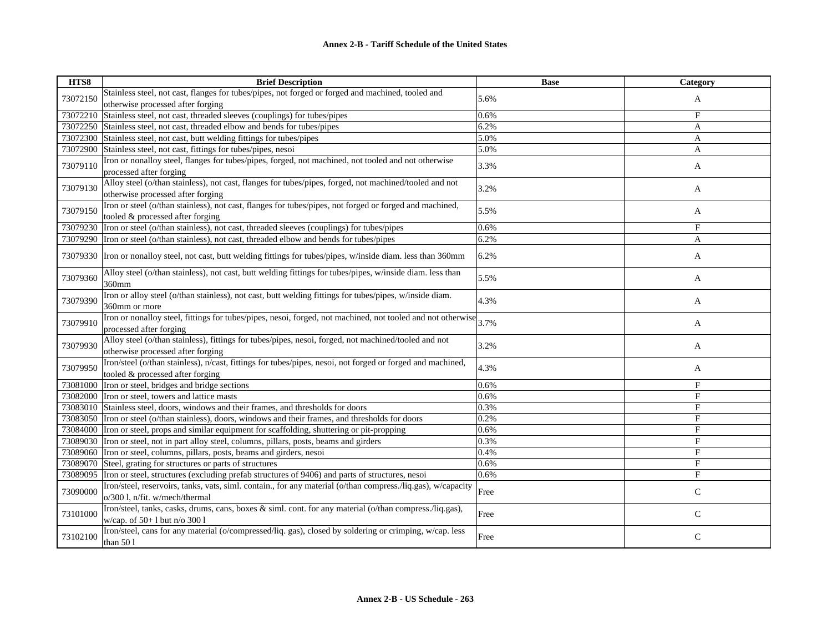| HTS8     | <b>Brief Description</b>                                                                                                                       | <b>Base</b> | Category       |
|----------|------------------------------------------------------------------------------------------------------------------------------------------------|-------------|----------------|
| 73072150 | Stainless steel, not cast, flanges for tubes/pipes, not forged or forged and machined, tooled and<br>otherwise processed after forging         | 5.6%        | A              |
| 73072210 | Stainless steel, not cast, threaded sleeves (couplings) for tubes/pipes                                                                        | 0.6%        | $_{\rm F}$     |
| 73072250 | Stainless steel, not cast, threaded elbow and bends for tubes/pipes                                                                            | 6.2%        | A              |
| 73072300 | Stainless steel, not cast, butt welding fittings for tubes/pipes                                                                               | 5.0%        | A              |
| 73072900 | Stainless steel, not cast, fittings for tubes/pipes, nesoi                                                                                     | 5.0%        | A              |
| 73079110 | Iron or nonalloy steel, flanges for tubes/pipes, forged, not machined, not tooled and not otherwise<br>processed after forging                 | 3.3%        | A              |
| 73079130 | Alloy steel (o/than stainless), not cast, flanges for tubes/pipes, forged, not machined/tooled and not<br>otherwise processed after forging    | 3.2%        | A              |
| 73079150 | Iron or steel (o/than stainless), not cast, flanges for tubes/pipes, not forged or forged and machined,<br>tooled & processed after forging    | 5.5%        | A              |
| 73079230 | Iron or steel (o/than stainless), not cast, threaded sleeves (couplings) for tubes/pipes                                                       | 0.6%        | $_{\rm F}$     |
| 73079290 | Iron or steel (o/than stainless), not cast, threaded elbow and bends for tubes/pipes                                                           | 6.2%        | $\mathbf{A}$   |
|          | 73079330 Tron or nonalloy steel, not cast, butt welding fittings for tubes/pipes, w/inside diam. less than 360mm                               | 6.2%        | A              |
| 73079360 | Alloy steel (o/than stainless), not cast, butt welding fittings for tubes/pipes, w/inside diam. less than<br>360mm                             | 5.5%        | A              |
| 73079390 | Iron or alloy steel (o/than stainless), not cast, butt welding fittings for tubes/pipes, w/inside diam.<br>360mm or more                       | 4.3%        | A              |
| 73079910 | Iron or nonalloy steel, fittings for tubes/pipes, nesoi, forged, not machined, not tooled and not otherwise<br>processed after forging         | 3.7%        | A              |
| 73079930 | Alloy steel (o/than stainless), fittings for tubes/pipes, nesoi, forged, not machined/tooled and not<br>otherwise processed after forging      | 3.2%        | A              |
| 73079950 | Iron/steel (o/than stainless), n/cast, fittings for tubes/pipes, nesoi, not forged or forged and machined,<br>tooled & processed after forging | 4.3%        | A              |
| 73081000 | Iron or steel, bridges and bridge sections                                                                                                     | 0.6%        | $_{\rm F}$     |
|          | 73082000 Iron or steel, towers and lattice masts                                                                                               | 0.6%        | F              |
| 73083010 | Stainless steel, doors, windows and their frames, and thresholds for doors                                                                     | 0.3%        | F              |
| 73083050 | Iron or steel (o/than stainless), doors, windows and their frames, and thresholds for doors                                                    | 0.2%        | F              |
| 73084000 | Iron or steel, props and similar equipment for scaffolding, shuttering or pit-propping                                                         | 0.6%        | $\mathbf{F}$   |
| 73089030 | Iron or steel, not in part alloy steel, columns, pillars, posts, beams and girders                                                             | 0.3%        | $_{\rm F}$     |
| 73089060 | Iron or steel, columns, pillars, posts, beams and girders, nesoi                                                                               | 0.4%        | $\overline{F}$ |
| 73089070 | Steel, grating for structures or parts of structures                                                                                           | 0.6%        | F              |
| 73089095 | Iron or steel, structures (excluding prefab structures of 9406) and parts of structures, nesoi                                                 | 0.6%        | F              |
| 73090000 | Iron/steel, reservoirs, tanks, vats, siml. contain., for any material (o/than compress./liq.gas), w/capacity<br>o/300 l, n/fit. w/mech/thermal | Free        | $\mathsf C$    |
| 73101000 | Iron/steel, tanks, casks, drums, cans, boxes & siml. cont. for any material (o/than compress./liq.gas),<br>w/cap. of 50+1 but n/o 3001         | Free        | $\mathsf{C}$   |
| 73102100 | Iron/steel, cans for any material (o/compressed/liq. gas), closed by soldering or crimping, w/cap. less<br>than 501                            | Free        | $\mathsf{C}$   |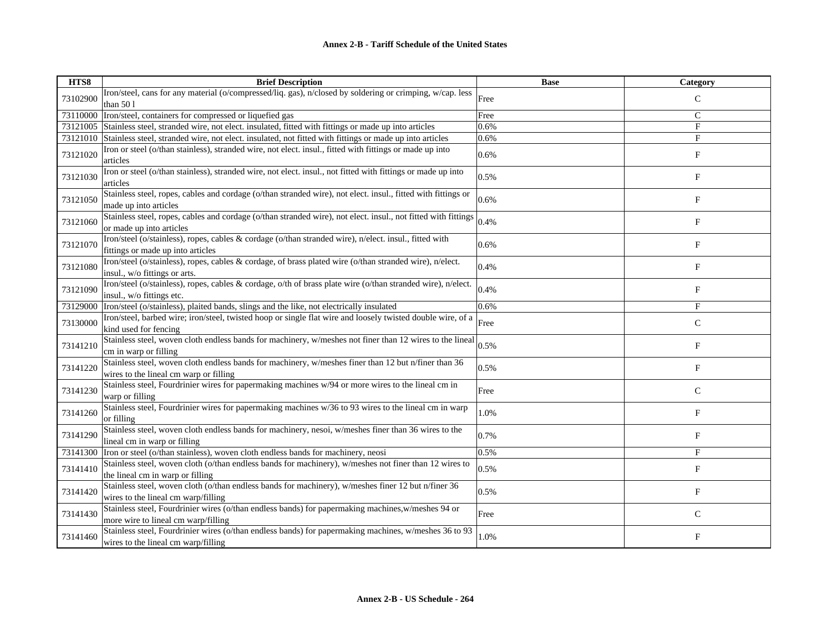| HTS8     | <b>Brief Description</b>                                                                                                                       | <b>Base</b> | <b>Category</b>           |
|----------|------------------------------------------------------------------------------------------------------------------------------------------------|-------------|---------------------------|
| 73102900 | Iron/steel, cans for any material (o/compressed/liq. gas), n/closed by soldering or crimping, w/cap. less<br>than $501$                        | Free        | $\mathsf{C}$              |
| 73110000 | Iron/steel, containers for compressed or liquefied gas                                                                                         | Free        | $\mathsf{C}$              |
| 73121005 | Stainless steel, stranded wire, not elect. insulated, fitted with fittings or made up into articles                                            | 0.6%        | F                         |
| 73121010 | Stainless steel, stranded wire, not elect. insulated, not fitted with fittings or made up into articles                                        | 0.6%        | F                         |
| 73121020 | Iron or steel (o/than stainless), stranded wire, not elect. insul., fitted with fittings or made up into<br>articles                           | 0.6%        | $\boldsymbol{\mathrm{F}}$ |
| 73121030 | Iron or steel (o/than stainless), stranded wire, not elect. insul., not fitted with fittings or made up into<br>articles                       | 0.5%        | F                         |
| 73121050 | Stainless steel, ropes, cables and cordage (o/than stranded wire), not elect. insul., fitted with fittings or<br>made up into articles         | 0.6%        | $_{\rm F}$                |
| 73121060 | Stainless steel, ropes, cables and cordage (o/than stranded wire), not elect. insul., not fitted with fittings<br>or made up into articles     | 0.4%        | F                         |
| 73121070 | Iron/steel (o/stainless), ropes, cables & cordage (o/than stranded wire), n/elect. insul., fitted with<br>fittings or made up into articles    | 0.6%        | F                         |
| 73121080 | Iron/steel (o/stainless), ropes, cables & cordage, of brass plated wire (o/than stranded wire), n/elect.<br>insul., w/o fittings or arts.      | 0.4%        | F                         |
| 73121090 | Iron/steel (o/stainless), ropes, cables & cordage, o/th of brass plate wire (o/than stranded wire), n/elect.<br>insul., w/o fittings etc.      | 0.4%        | F                         |
| 73129000 | Iron/steel (o/stainless), plaited bands, slings and the like, not electrically insulated                                                       | 0.6%        | $_{\rm F}$                |
| 73130000 | Iron/steel, barbed wire; iron/steel, twisted hoop or single flat wire and loosely twisted double wire, of a<br>kind used for fencing           | Free        | $\mathsf{C}$              |
| 73141210 | Stainless steel, woven cloth endless bands for machinery, w/meshes not finer than 12 wires to the lineal<br>cm in warp or filling              | 0.5%        | $_{\rm F}$                |
| 73141220 | Stainless steel, woven cloth endless bands for machinery, w/meshes finer than 12 but n/finer than 36<br>wires to the lineal cm warp or filling | 0.5%        | F                         |
| 73141230 | Stainless steel, Fourdrinier wires for papermaking machines w/94 or more wires to the lineal cm in<br>warp or filling                          | Free        | $\mathbf C$               |
| 73141260 | Stainless steel, Fourdrinier wires for papermaking machines w/36 to 93 wires to the lineal cm in warp<br>or filling                            | 1.0%        | F                         |
| 73141290 | Stainless steel, woven cloth endless bands for machinery, nesoi, w/meshes finer than 36 wires to the<br>lineal cm in warp or filling           | 0.7%        | F                         |
| 73141300 | Iron or steel (o/than stainless), woven cloth endless bands for machinery, neosi                                                               | 0.5%        | $\mathbf F$               |
| 73141410 | Stainless steel, woven cloth (o/than endless bands for machinery), w/meshes not finer than 12 wires to<br>the lineal cm in warp or filling     | 0.5%        | F                         |
| 73141420 | Stainless steel, woven cloth (o/than endless bands for machinery), w/meshes finer 12 but n/finer 36<br>wires to the lineal cm warp/filling     | 0.5%        | $_{\rm F}$                |
| 73141430 | Stainless steel, Fourdrinier wires (o/than endless bands) for papermaking machines, w/meshes 94 or<br>more wire to lineal cm warp/filling      | Free        | $\mathsf{C}$              |
| 73141460 | Stainless steel, Fourdrinier wires (o/than endless bands) for papermaking machines, w/meshes 36 to 93<br>wires to the lineal cm warp/filling   | 1.0%        | F                         |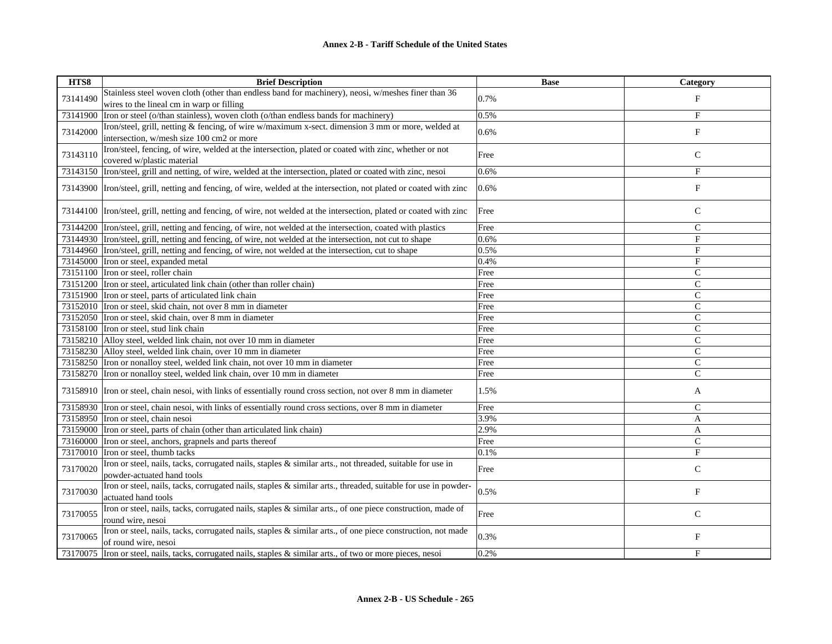| HTS8     | <b>Brief Description</b>                                                                                                            | <b>Base</b> | Category       |
|----------|-------------------------------------------------------------------------------------------------------------------------------------|-------------|----------------|
|          | Stainless steel woven cloth (other than endless band for machinery), neosi, w/meshes finer than 36                                  |             |                |
| 73141490 | wires to the lineal cm in warp or filling                                                                                           | 0.7%        | $_{\rm F}$     |
| 73141900 | Iron or steel (o/than stainless), woven cloth (o/than endless bands for machinery)                                                  | 0.5%        | F              |
|          | Iron/steel, grill, netting & fencing, of wire w/maximum x-sect. dimension 3 mm or more, welded at                                   |             |                |
| 73142000 | intersection, w/mesh size 100 cm2 or more                                                                                           | 0.6%        | $_{\rm F}$     |
|          | Iron/steel, fencing, of wire, welded at the intersection, plated or coated with zinc, whether or not                                |             |                |
| 73143110 | covered w/plastic material                                                                                                          | Free        | $\mathsf C$    |
| 73143150 | Iron/steel, grill and netting, of wire, welded at the intersection, plated or coated with zinc, nesoi                               | 0.6%        | F              |
|          | 73143900 Iron/steel, grill, netting and fencing, of wire, welded at the intersection, not plated or coated with zinc                | 0.6%        | F              |
|          |                                                                                                                                     |             |                |
|          | 73144100  Iron/steel, grill, netting and fencing, of wire, not welded at the intersection, plated or coated with zinc               | Free        | $\mathsf{C}$   |
|          | 73144200 Iron/steel, grill, netting and fencing, of wire, not welded at the intersection, coated with plastics                      | Free        | $\mathbf C$    |
|          | 73144930 Iron/steel, grill, netting and fencing, of wire, not welded at the intersection, not cut to shape                          | 0.6%        | F              |
|          | 73144960 Iron/steel, grill, netting and fencing, of wire, not welded at the intersection, cut to shape                              | 0.5%        | $_{\rm F}$     |
|          | 73145000 Iron or steel, expanded metal                                                                                              | 0.4%        | $\mathbf{F}$   |
|          | 73151100 Tron or steel, roller chain                                                                                                | Free        | $\mathsf{C}$   |
|          | 73151200 Iron or steel, articulated link chain (other than roller chain)                                                            | Free        | $\mathsf{C}$   |
|          | 73151900 Tron or steel, parts of articulated link chain                                                                             | Free        | $\mathsf{C}$   |
|          | 73152010 Iron or steel, skid chain, not over 8 mm in diameter                                                                       | Free        | $\overline{C}$ |
|          | 73152050 Iron or steel, skid chain, over 8 mm in diameter                                                                           | Free        | $\mathsf{C}$   |
|          | 73158100 Tron or steel, stud link chain                                                                                             | Free        | C              |
|          | 73158210 Alloy steel, welded link chain, not over 10 mm in diameter                                                                 | Free        | $\mathsf{C}$   |
|          | 73158230 Alloy steel, welded link chain, over 10 mm in diameter                                                                     | Free        | $\mathsf{C}$   |
|          | 73158250 Iron or nonalloy steel, welded link chain, not over 10 mm in diameter                                                      | Free        | $\mathsf{C}$   |
|          | 73158270 Iron or nonalloy steel, welded link chain, over 10 mm in diameter                                                          | Free        | $\mathsf{C}$   |
|          | 73158910 Iron or steel, chain nesoi, with links of essentially round cross section, not over 8 mm in diameter                       | 1.5%        | A              |
|          | 73158930 Tron or steel, chain nesoi, with links of essentially round cross sections, over 8 mm in diameter                          | Free        | $\mathsf{C}$   |
|          | 73158950 Iron or steel, chain nesoi                                                                                                 | 3.9%        | A              |
|          | 73159000 Iron or steel, parts of chain (other than articulated link chain)                                                          | 2.9%        | A              |
|          | 73160000 Iron or steel, anchors, grapnels and parts thereof                                                                         | Free        | $\mathbf C$    |
| 73170010 | Iron or steel, thumb tacks                                                                                                          | 0.1%        | F              |
| 73170020 | Iron or steel, nails, tacks, corrugated nails, staples & similar arts., not threaded, suitable for use in                           | Free        | $\mathsf{C}$   |
|          | powder-actuated hand tools                                                                                                          |             |                |
| 73170030 | Iron or steel, nails, tacks, corrugated nails, staples & similar arts., threaded, suitable for use in powder-                       | 0.5%        | $_{\rm F}$     |
|          | actuated hand tools                                                                                                                 |             |                |
| 73170055 | Iron or steel, nails, tacks, corrugated nails, staples & similar arts., of one piece construction, made of                          | Free        | $\mathsf{C}$   |
|          | round wire, nesoi                                                                                                                   |             |                |
| 73170065 | Iron or steel, nails, tacks, corrugated nails, staples & similar arts., of one piece construction, not made<br>of round wire, nesoi | 0.3%        | F              |
| 73170075 | Iron or steel, nails, tacks, corrugated nails, staples & similar arts., of two or more pieces, nesoi                                | 0.2%        | F              |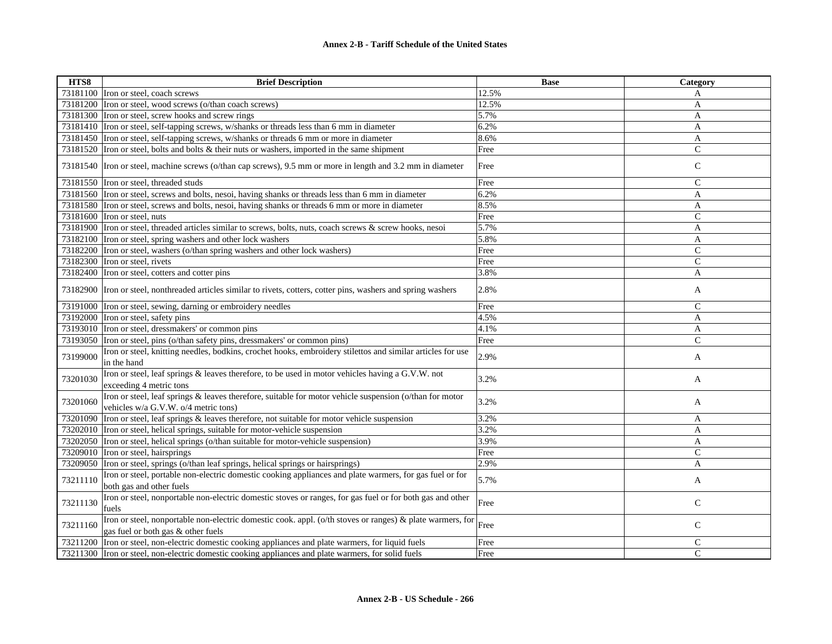| HTS8     | <b>Brief Description</b>                                                                                                                        | <b>Base</b> | Category      |
|----------|-------------------------------------------------------------------------------------------------------------------------------------------------|-------------|---------------|
|          | 73181100 Iron or steel, coach screws                                                                                                            | 12.5%       | A             |
|          | 73181200 Iron or steel, wood screws (o/than coach screws)                                                                                       | 12.5%       | A             |
|          | 73181300 Iron or steel, screw hooks and screw rings                                                                                             | 5.7%        | A             |
|          | 73181410 Iron or steel, self-tapping screws, w/shanks or threads less than 6 mm in diameter                                                     | 6.2%        | A             |
|          | 73181450 Iron or steel, self-tapping screws, w/shanks or threads 6 mm or more in diameter                                                       | 8.6%        | A             |
|          | 73181520 Iron or steel, bolts and bolts & their nuts or washers, imported in the same shipment                                                  | Free        | $\mathsf{C}$  |
|          | 73181540 Iron or steel, machine screws (o/than cap screws), 9.5 mm or more in length and 3.2 mm in diameter                                     | Free        | $\mathbf C$   |
|          | 73181550 Tron or steel, threaded studs                                                                                                          | Free        | $\mathsf{C}$  |
|          | 73181560 Tron or steel, screws and bolts, nesoi, having shanks or threads less than 6 mm in diameter                                            | 6.2%        | A             |
|          | 73181580 Iron or steel, screws and bolts, nesoi, having shanks or threads 6 mm or more in diameter                                              | 8.5%        | A             |
|          | 73181600 Iron or steel, nuts                                                                                                                    | Free        | $\mathsf{C}$  |
|          | 73181900 Tron or steel, threaded articles similar to screws, bolts, nuts, coach screws & screw hooks, nesoi                                     | 5.7%        | A             |
|          | 73182100 Iron or steel, spring washers and other lock washers                                                                                   | 5.8%        | A             |
|          | 73182200 Iron or steel, washers (o/than spring washers and other lock washers)                                                                  | Free        | $\mathsf{C}$  |
|          | 73182300 Iron or steel, rivets                                                                                                                  | Free        | $\mathsf{C}$  |
|          | 73182400 Iron or steel, cotters and cotter pins                                                                                                 | 3.8%        | A             |
|          | 73182900 Iron or steel, nonthreaded articles similar to rivets, cotters, cotter pins, washers and spring washers                                | 2.8%        | A             |
|          | 73191000 Iron or steel, sewing, darning or embroidery needles                                                                                   | Free        | $\mathsf{C}$  |
|          | 73192000 Iron or steel, safety pins                                                                                                             | 4.5%        | A             |
| 73193010 | Iron or steel, dressmakers' or common pins                                                                                                      | 4.1%        | A             |
|          | 73193050 Iron or steel, pins (o/than safety pins, dressmakers' or common pins)                                                                  | Free        | $\mathcal{C}$ |
| 73199000 | Iron or steel, knitting needles, bodkins, crochet hooks, embroidery stilettos and similar articles for use<br>in the hand                       | 2.9%        | A             |
| 73201030 | Iron or steel, leaf springs & leaves therefore, to be used in motor vehicles having a G.V.W. not<br>exceeding 4 metric tons                     | 3.2%        | A             |
| 73201060 | Iron or steel, leaf springs & leaves therefore, suitable for motor vehicle suspension (o/than for motor<br>vehicles w/a G.V.W. o/4 metric tons) | 3.2%        | A             |
| 73201090 | Iron or steel, leaf springs & leaves therefore, not suitable for motor vehicle suspension                                                       | 3.2%        | A             |
|          | 73202010 Tron or steel, helical springs, suitable for motor-vehicle suspension                                                                  | 3.2%        | $\mathbf{A}$  |
|          | 73202050 Tron or steel, helical springs (o/than suitable for motor-vehicle suspension)                                                          | 3.9%        | A             |
|          | 73209010 Tron or steel, hairsprings                                                                                                             | Free        | $\mathsf{C}$  |
| 73209050 | Iron or steel, springs (o/than leaf springs, helical springs or hairsprings)                                                                    | 2.9%        | A             |
| 73211110 | Iron or steel, portable non-electric domestic cooking appliances and plate warmers, for gas fuel or for<br>both gas and other fuels             | 5.7%        | A             |
| 73211130 | Iron or steel, nonportable non-electric domestic stoves or ranges, for gas fuel or for both gas and other<br>fuels                              | Free        | $\mathsf{C}$  |
| 73211160 | Iron or steel, nonportable non-electric domestic cook. appl. (o/th stoves or ranges) & plate warmers, for<br>gas fuel or both gas & other fuels | Free        | $\mathsf{C}$  |
| 73211200 | Iron or steel, non-electric domestic cooking appliances and plate warmers, for liquid fuels                                                     | Free        | $\mathsf{C}$  |
|          | 73211300 Iron or steel, non-electric domestic cooking appliances and plate warmers, for solid fuels                                             | Free        | $\mathcal{C}$ |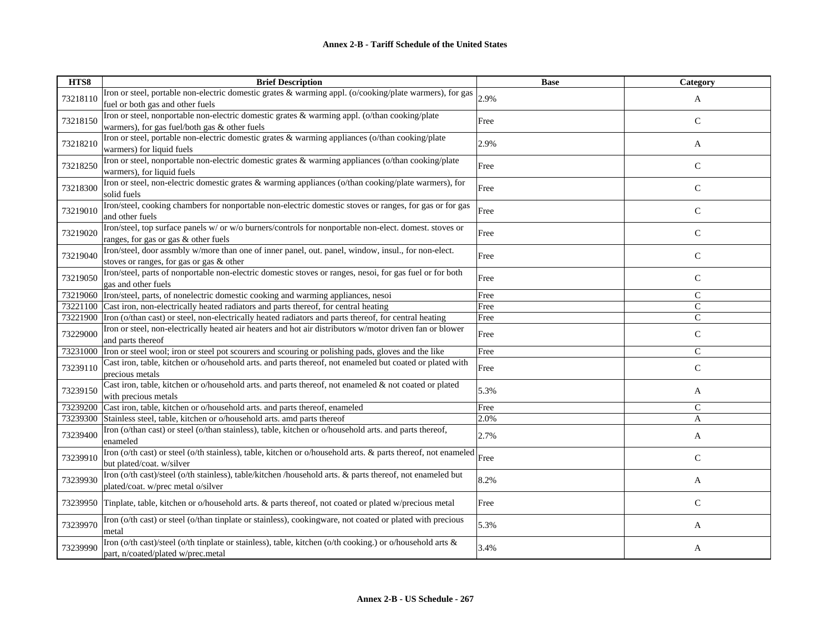| HTS8     | <b>Brief Description</b>                                                                                      | <b>Base</b> | Category      |
|----------|---------------------------------------------------------------------------------------------------------------|-------------|---------------|
| 73218110 | Iron or steel, portable non-electric domestic grates & warming appl. (o/cooking/plate warmers), for gas       | 2.9%        |               |
|          | fuel or both gas and other fuels                                                                              |             | A             |
| 73218150 | Iron or steel, nonportable non-electric domestic grates & warming appl. (o/than cooking/plate                 | Free        | $\mathsf{C}$  |
|          | warmers), for gas fuel/both gas & other fuels                                                                 |             |               |
| 73218210 | Iron or steel, portable non-electric domestic grates & warming appliances (o/than cooking/plate               | 2.9%        |               |
|          | warmers) for liquid fuels                                                                                     |             | A             |
| 73218250 | Iron or steel, nonportable non-electric domestic grates & warming appliances (o/than cooking/plate            | Free        | $\mathsf{C}$  |
|          | warmers), for liquid fuels                                                                                    |             |               |
| 73218300 | Iron or steel, non-electric domestic grates & warming appliances (o/than cooking/plate warmers), for          | Free        | $\mathsf{C}$  |
|          | solid fuels                                                                                                   |             |               |
| 73219010 | Iron/steel, cooking chambers for nonportable non-electric domestic stoves or ranges, for gas or for gas       | Free        | $\mathsf{C}$  |
|          | and other fuels                                                                                               |             |               |
| 73219020 | Iron/steel, top surface panels w/ or w/o burners/controls for nonportable non-elect. domest. stoves or        | Free        | ${\bf C}$     |
|          | ranges, for gas or gas & other fuels                                                                          |             |               |
| 73219040 | Iron/steel, door assmbly w/more than one of inner panel, out. panel, window, insul., for non-elect.           | Free        | ${\bf C}$     |
|          | stoves or ranges, for gas or gas & other                                                                      |             |               |
| 73219050 | Iron/steel, parts of nonportable non-electric domestic stoves or ranges, nesoi, for gas fuel or for both      | Free        | $\mathsf{C}$  |
|          | gas and other fuels                                                                                           |             |               |
| 73219060 | Iron/steel, parts, of nonelectric domestic cooking and warming appliances, nesoi                              | Free        | $\mathcal{C}$ |
| 73221100 | Cast iron, non-electrically heated radiators and parts thereof, for central heating                           | Free        | $\mathsf{C}$  |
| 73221900 | Iron (o/than cast) or steel, non-electrically heated radiators and parts thereof, for central heating         | Free        | $\mathsf{C}$  |
| 73229000 | Iron or steel, non-electrically heated air heaters and hot air distributors w/motor driven fan or blower      | Free        | ${\bf C}$     |
|          | and parts thereof                                                                                             |             |               |
| 73231000 | Iron or steel wool; iron or steel pot scourers and scouring or polishing pads, gloves and the like            | Free        | $\mathsf{C}$  |
| 73239110 | Cast iron, table, kitchen or o/household arts. and parts thereof, not enameled but coated or plated with      | Free        | $\mathbf C$   |
|          | precious metals                                                                                               |             |               |
| 73239150 | Cast iron, table, kitchen or o/household arts. and parts thereof, not enameled & not coated or plated         | 5.3%        | A             |
|          | with precious metals                                                                                          |             |               |
| 73239200 | Cast iron, table, kitchen or o/household arts. and parts thereof, enameled                                    | Free        | $\mathcal{C}$ |
| 73239300 | Stainless steel, table, kitchen or o/household arts. amd parts thereof                                        | 2.0%        | A             |
| 73239400 | Iron (o/than cast) or steel (o/than stainless), table, kitchen or o/household arts. and parts thereof,        | 2.7%        | A             |
|          | enameled                                                                                                      |             |               |
| 73239910 | Iron (o/th cast) or steel (o/th stainless), table, kitchen or o/household arts. & parts thereof, not enameled | Free        | $\mathsf{C}$  |
|          | but plated/coat. w/silver                                                                                     |             |               |
| 73239930 | Iron (o/th cast)/steel (o/th stainless), table/kitchen /household arts. & parts thereof, not enameled but     | 8.2%        | A             |
|          | plated/coat. w/prec metal o/silver                                                                            |             |               |
| 73239950 | Tinplate, table, kitchen or o/household arts. & parts thereof, not coated or plated w/precious metal          | Free        | $\mathcal{C}$ |
|          |                                                                                                               |             |               |
| 73239970 | Iron (o/th cast) or steel (o/than tinplate or stainless), cookingware, not coated or plated with precious     | 5.3%        | A             |
|          | metal                                                                                                         |             |               |
| 73239990 | Iron (o/th cast)/steel (o/th tinplate or stainless), table, kitchen (o/th cooking.) or o/household arts &     | 3.4%        | A             |
|          | part, n/coated/plated w/prec.metal                                                                            |             |               |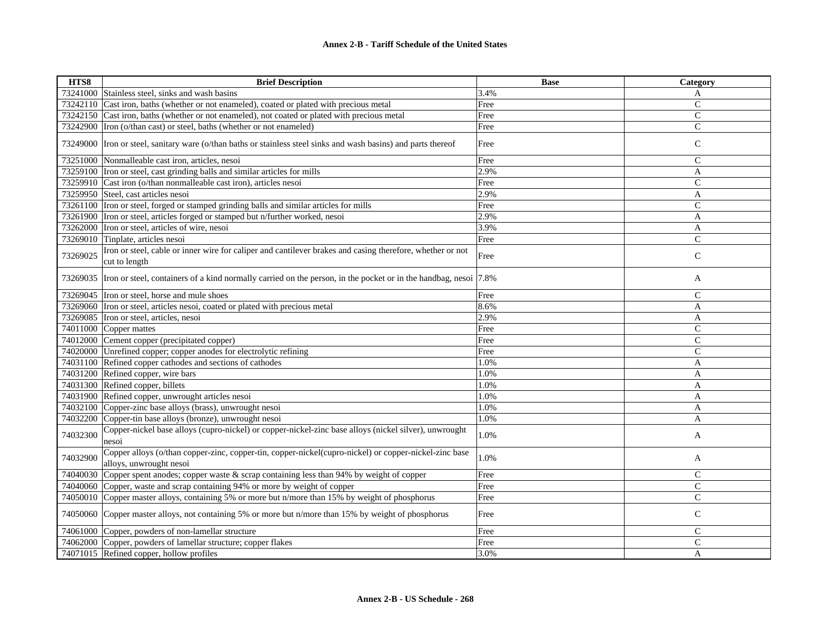| HTS8     | <b>Brief Description</b>                                                                                                         | <b>Base</b> | Category      |
|----------|----------------------------------------------------------------------------------------------------------------------------------|-------------|---------------|
| 73241000 | Stainless steel, sinks and wash basins                                                                                           | 3.4%        | A             |
| 73242110 | Cast iron, baths (whether or not enameled), coated or plated with precious metal                                                 | Free        | $\mathcal{C}$ |
| 73242150 | Cast iron, baths (whether or not enameled), not coated or plated with precious metal                                             | Free        | $\mathcal{C}$ |
| 73242900 | Iron (o/than cast) or steel, baths (whether or not enameled)                                                                     | Free        | $\mathsf{C}$  |
|          | 73249000  Iron or steel, sanitary ware (o/than baths or stainless steel sinks and wash basins) and parts thereof                 | Free        | $\mathsf{C}$  |
| 73251000 | Nonmalleable cast iron, articles, nesoi                                                                                          | Free        | $\mathsf{C}$  |
|          | 73259100  Iron or steel, cast grinding balls and similar articles for mills                                                      | 2.9%        | A             |
|          | 73259910 Cast iron (o/than nonmalleable cast iron), articles nesoi                                                               | Free        | $\mathcal{C}$ |
|          | 73259950 Steel, cast articles nesoi                                                                                              | 2.9%        | A             |
|          | 73261100 Iron or steel, forged or stamped grinding balls and similar articles for mills                                          | Free        | $\mathsf{C}$  |
|          | 73261900 Tron or steel, articles forged or stamped but n/further worked, nesoi                                                   | 2.9%        | A             |
| 73262000 | Iron or steel, articles of wire, nesoi                                                                                           | 3.9%        | A             |
| 73269010 | Tinplate, articles nesoi                                                                                                         | Free        | $\mathsf{C}$  |
| 73269025 | Iron or steel, cable or inner wire for caliper and cantilever brakes and casing therefore, whether or not<br>cut to length       | Free        | $\mathbf C$   |
|          | 73269035 Iron or steel, containers of a kind normally carried on the person, in the pocket or in the handbag, nesoi [7.8%]       |             | A             |
| 73269045 | Iron or steel, horse and mule shoes                                                                                              | Free        | $\mathsf{C}$  |
|          | 73269060 Tron or steel, articles nesoi, coated or plated with precious metal                                                     | 8.6%        | A             |
|          | 73269085 Iron or steel, articles, nesoi                                                                                          | 2.9%        | A             |
|          | 74011000 Copper mattes                                                                                                           | Free        | $\mathsf{C}$  |
| 74012000 | Cement copper (precipitated copper)                                                                                              | Free        | $\mathsf{C}$  |
|          | 74020000 Unrefined copper; copper anodes for electrolytic refining                                                               | Free        | $\mathsf{C}$  |
| 74031100 | Refined copper cathodes and sections of cathodes                                                                                 | 1.0%        | A             |
| 74031200 | Refined copper, wire bars                                                                                                        | 1.0%        | A             |
|          | 74031300 Refined copper, billets                                                                                                 | 1.0%        | $\mathbf{A}$  |
| 74031900 | Refined copper, unwrought articles nesoi                                                                                         | 1.0%        | A             |
| 74032100 | Copper-zinc base alloys (brass), unwrought nesoi                                                                                 | 1.0%        | A             |
|          | 74032200 Copper-tin base alloys (bronze), unwrought nesoi                                                                        | 1.0%        | A             |
| 74032300 | Copper-nickel base alloys (cupro-nickel) or copper-nickel-zinc base alloys (nickel silver), unwrought<br>nesoi                   | 1.0%        | A             |
| 74032900 | Copper alloys (o/than copper-zinc, copper-tin, copper-nickel(cupro-nickel) or copper-nickel-zinc base<br>alloys, unwrought nesoi | 1.0%        | A             |
| 74040030 | Copper spent anodes; copper waste $\&$ scrap containing less than 94% by weight of copper                                        | Free        | $\mathsf{C}$  |
| 74040060 | Copper, waste and scrap containing 94% or more by weight of copper                                                               | Free        | $\mathcal{C}$ |
|          | 74050010 Copper master alloys, containing 5% or more but n/more than 15% by weight of phosphorus                                 | Free        | $\mathsf{C}$  |
|          | 74050060 Copper master alloys, not containing 5% or more but n/more than 15% by weight of phosphorus                             | Free        | $\mathsf{C}$  |
|          | 74061000 Copper, powders of non-lamellar structure                                                                               | Free        | $\mathcal{C}$ |
|          | 74062000 Copper, powders of lamellar structure; copper flakes                                                                    | Free        | $\mathsf{C}$  |
|          | 74071015 Refined copper, hollow profiles                                                                                         | 3.0%        | A             |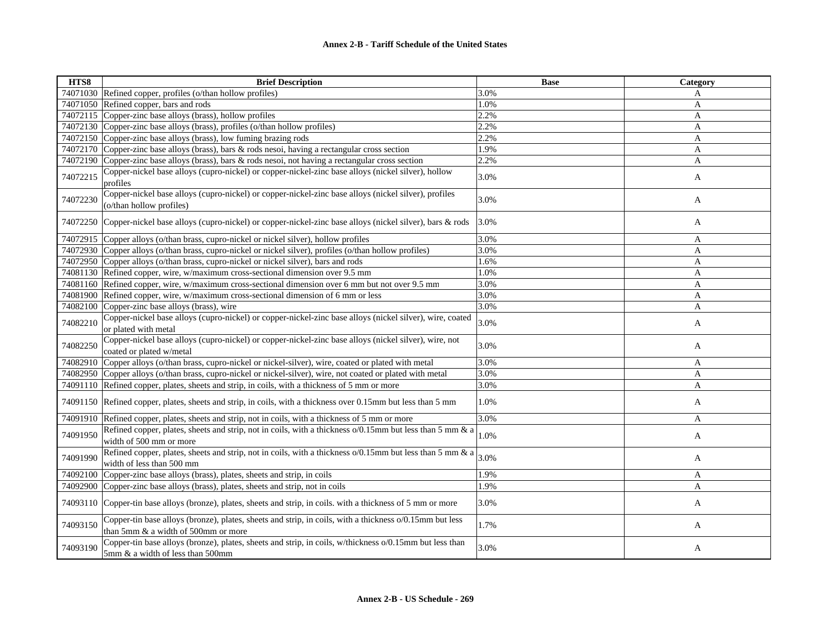| HTS8     | <b>Brief Description</b>                                                                                                                       | <b>Base</b> | Category     |
|----------|------------------------------------------------------------------------------------------------------------------------------------------------|-------------|--------------|
|          | 74071030 Refined copper, profiles (o/than hollow profiles)                                                                                     | 3.0%        | A            |
|          | 74071050 Refined copper, bars and rods                                                                                                         | 1.0%        | A            |
| 74072115 | Copper-zinc base alloys (brass), hollow profiles                                                                                               | 2.2%        | A            |
|          | 74072130 Copper-zinc base alloys (brass), profiles (o/than hollow profiles)                                                                    | 2.2%        | A            |
|          | 74072150 Copper-zinc base alloys (brass), low fuming brazing rods                                                                              | 2.2%        | A            |
| 74072170 | Copper-zinc base alloys (brass), bars $\&$ rods nesoi, having a rectangular cross section                                                      | 1.9%        | A            |
| 74072190 | Copper-zinc base alloys (brass), bars & rods nesoi, not having a rectangular cross section                                                     | 2.2%        | A            |
| 74072215 | Copper-nickel base alloys (cupro-nickel) or copper-nickel-zinc base alloys (nickel silver), hollow<br>profiles                                 | 3.0%        | A            |
| 74072230 | Copper-nickel base alloys (cupro-nickel) or copper-nickel-zinc base alloys (nickel silver), profiles<br>(o/than hollow profiles)               | 3.0%        | A            |
|          | 74072250 Copper-nickel base alloys (cupro-nickel) or copper-nickel-zinc base alloys (nickel silver), bars & rods                               | 3.0%        | A            |
|          | 74072915 Copper alloys (o/than brass, cupro-nickel or nickel silver), hollow profiles                                                          | 3.0%        | A            |
|          | 74072930 Copper alloys (o/than brass, cupro-nickel or nickel silver), profiles (o/than hollow profiles)                                        | 3.0%        | A            |
|          | 74072950 Copper alloys (o/than brass, cupro-nickel or nickel silver), bars and rods                                                            | 1.6%        | $\mathbf{A}$ |
|          | 74081130 Refined copper, wire, w/maximum cross-sectional dimension over 9.5 mm                                                                 | 1.0%        | A            |
|          | 74081160 Refined copper, wire, w/maximum cross-sectional dimension over 6 mm but not over 9.5 mm                                               | 3.0%        | A            |
|          | 74081900 Refined copper, wire, w/maximum cross-sectional dimension of 6 mm or less                                                             | 3.0%        | A            |
| 74082100 | Copper-zinc base alloys (brass), wire                                                                                                          | 3.0%        | A            |
| 74082210 | Copper-nickel base alloys (cupro-nickel) or copper-nickel-zinc base alloys (nickel silver), wire, coated<br>or plated with metal               | 3.0%        | A            |
| 74082250 | Copper-nickel base alloys (cupro-nickel) or copper-nickel-zinc base alloys (nickel silver), wire, not<br>coated or plated w/metal              | 3.0%        | A            |
| 74082910 | Copper alloys (o/than brass, cupro-nickel or nickel-silver), wire, coated or plated with metal                                                 | 3.0%        | A            |
| 74082950 | Copper alloys (o/than brass, cupro-nickel or nickel-silver), wire, not coated or plated with metal                                             | 3.0%        | A            |
| 74091110 | Refined copper, plates, sheets and strip, in coils, with a thickness of 5 mm or more                                                           | 3.0%        | A            |
|          | 74091150 Refined copper, plates, sheets and strip, in coils, with a thickness over 0.15mm but less than 5 mm                                   | 1.0%        | A            |
| 74091910 | Refined copper, plates, sheets and strip, not in coils, with a thickness of 5 mm or more                                                       | 3.0%        | A            |
| 74091950 | Refined copper, plates, sheets and strip, not in coils, with a thickness o/0.15mm but less than 5 mm & a<br>width of 500 mm or more            | 1.0%        | A            |
| 74091990 | Refined copper, plates, sheets and strip, not in coils, with a thickness $o/0.15$ mm but less than 5 mm & a<br>width of less than 500 mm       | 3.0%        | A            |
| 74092100 | Copper-zinc base alloys (brass), plates, sheets and strip, in coils                                                                            | 1.9%        | A            |
| 74092900 | Copper-zinc base alloys (brass), plates, sheets and strip, not in coils                                                                        | 1.9%        | A            |
|          | 74093110 Copper-tin base alloys (bronze), plates, sheets and strip, in coils. with a thickness of 5 mm or more                                 | 3.0%        | A            |
| 74093150 | Copper-tin base alloys (bronze), plates, sheets and strip, in coils, with a thickness o/0.15mm but less<br>than 5mm & a width of 500mm or more | 1.7%        | A            |
| 74093190 | Copper-tin base alloys (bronze), plates, sheets and strip, in coils, w/thickness o/0.15mm but less than<br>5mm & a width of less than 500mm    | 3.0%        | A            |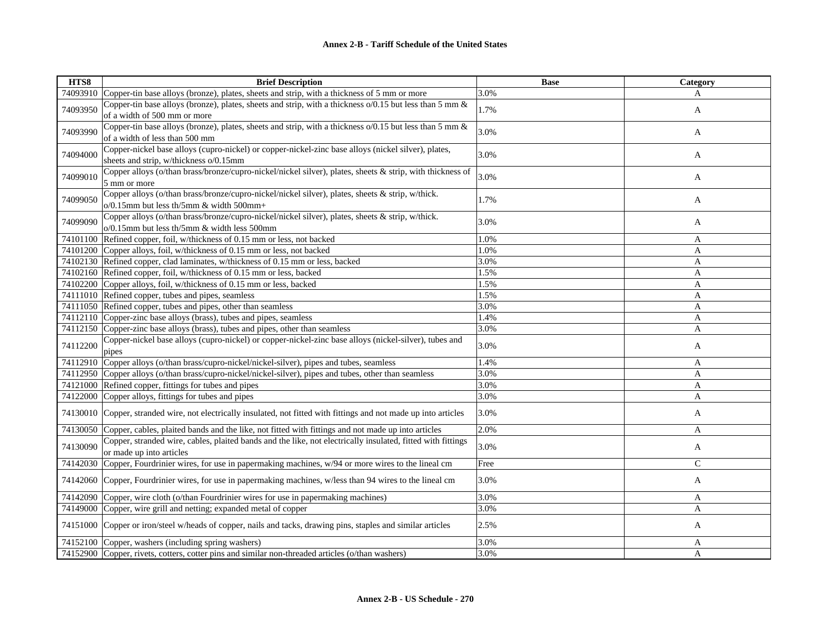| HTS8     | <b>Brief Description</b>                                                                                                                        | <b>Base</b> | Category       |
|----------|-------------------------------------------------------------------------------------------------------------------------------------------------|-------------|----------------|
|          | 74093910 Copper-tin base alloys (bronze), plates, sheets and strip, with a thickness of 5 mm or more                                            | 3.0%        | A              |
| 74093950 | Copper-tin base alloys (bronze), plates, sheets and strip, with a thickness o/0.15 but less than 5 mm &<br>of a width of 500 mm or more         | 1.7%        | $\mathbf{A}$   |
| 74093990 | Copper-tin base alloys (bronze), plates, sheets and strip, with a thickness o/0.15 but less than 5 mm &<br>of a width of less than 500 mm       | 3.0%        | A              |
| 74094000 | Copper-nickel base alloys (cupro-nickel) or copper-nickel-zinc base alloys (nickel silver), plates,<br>sheets and strip, w/thickness o/0.15mm   | 3.0%        | A              |
| 74099010 | Copper alloys (o/than brass/bronze/cupro-nickel/nickel silver), plates, sheets & strip, with thickness of<br>5 mm or more                       | 3.0%        | A              |
| 74099050 | Copper alloys (o/than brass/bronze/cupro-nickel/nickel silver), plates, sheets & strip, w/thick.<br>$o/0.15$ mm but less th/5mm & width 500mm+  | 1.7%        | A              |
| 74099090 | Copper alloys (o/than brass/bronze/cupro-nickel/nickel silver), plates, sheets & strip, w/thick.<br>o/0.15mm but less th/5mm & width less 500mm | 3.0%        | A              |
|          | 74101100 Refined copper, foil, w/thickness of 0.15 mm or less, not backed                                                                       | 1.0%        | A              |
|          | 74101200 Copper alloys, foil, w/thickness of 0.15 mm or less, not backed                                                                        | 1.0%        | A              |
|          | 74102130 Refined copper, clad laminates, w/thickness of 0.15 mm or less, backed                                                                 | 3.0%        | A              |
|          | 74102160 Refined copper, foil, w/thickness of 0.15 mm or less, backed                                                                           | 1.5%        | A              |
|          | 74102200 Copper alloys, foil, w/thickness of 0.15 mm or less, backed                                                                            | 1.5%        | A              |
|          | 74111010 Refined copper, tubes and pipes, seamless                                                                                              | 1.5%        | A              |
|          | 74111050 Refined copper, tubes and pipes, other than seamless                                                                                   | 3.0%        | A              |
|          | 74112110 Copper-zinc base alloys (brass), tubes and pipes, seamless                                                                             | 1.4%        | A              |
|          | 74112150 Copper-zinc base alloys (brass), tubes and pipes, other than seamless                                                                  | 3.0%        | A              |
| 74112200 | Copper-nickel base alloys (cupro-nickel) or copper-nickel-zinc base alloys (nickel-silver), tubes and<br>pipes                                  | 3.0%        | A              |
|          | 74112910 Copper alloys (o/than brass/cupro-nickel/nickel-silver), pipes and tubes, seamless                                                     | 1.4%        | A              |
|          | 74112950 Copper alloys (o/than brass/cupro-nickel/nickel-silver), pipes and tubes, other than seamless                                          | 3.0%        | $\mathbf{A}$   |
|          | 74121000 Refined copper, fittings for tubes and pipes                                                                                           | 3.0%        | A              |
|          | 74122000 Copper alloys, fittings for tubes and pipes                                                                                            | 3.0%        | A              |
|          | 74130010 Copper, stranded wire, not electrically insulated, not fitted with fittings and not made up into articles                              | 3.0%        | A              |
|          | 74130050 Copper, cables, plaited bands and the like, not fitted with fittings and not made up into articles                                     | 2.0%        | A              |
| 74130090 | Copper, stranded wire, cables, plaited bands and the like, not electrically insulated, fitted with fittings<br>or made up into articles         | 3.0%        | A              |
|          | 74142030 Copper, Fourdrinier wires, for use in papermaking machines, w/94 or more wires to the lineal cm                                        | Free        | $\mathsf{C}$   |
| 74142060 | Copper, Fourdrinier wires, for use in papermaking machines, w/less than 94 wires to the lineal cm                                               | 3.0%        | A              |
|          | 74142090 Copper, wire cloth (o/than Fourdrinier wires for use in papermaking machines)                                                          | 3.0%        | A              |
|          | 74149000 Copper, wire grill and netting; expanded metal of copper                                                                               | 3.0%        | $\overline{A}$ |
|          | 74151000 Copper or iron/steel w/heads of copper, nails and tacks, drawing pins, staples and similar articles                                    | 2.5%        | A              |
|          | 74152100 Copper, washers (including spring washers)                                                                                             | 3.0%        | A              |
|          | 74152900 Copper, rivets, cotters, cotter pins and similar non-threaded articles (o/than washers)                                                | 3.0%        | A              |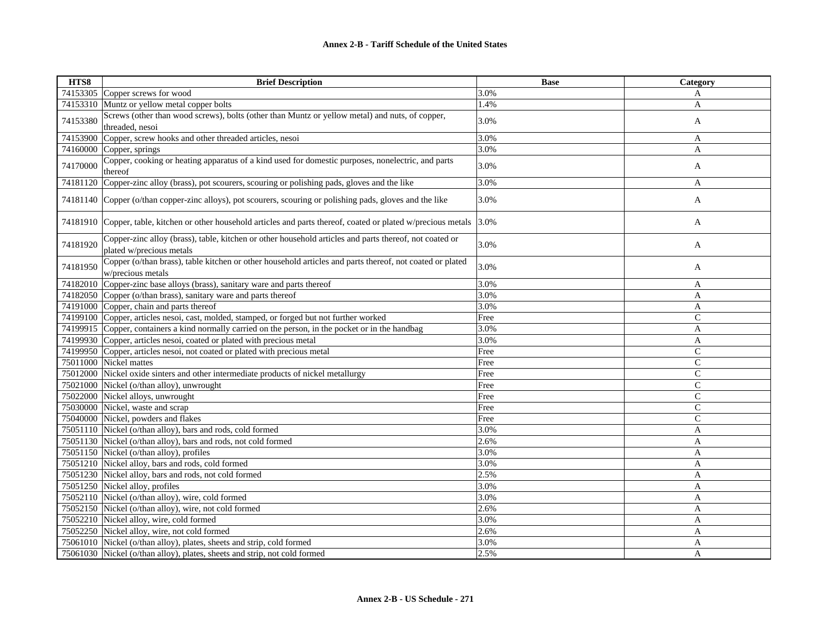| HTS8     | <b>Brief Description</b>                                                                                                           | <b>Base</b> | Category     |
|----------|------------------------------------------------------------------------------------------------------------------------------------|-------------|--------------|
|          | 74153305 Copper screws for wood                                                                                                    | 3.0%        | A            |
| 74153310 | Muntz or yellow metal copper bolts                                                                                                 | 1.4%        | A            |
| 74153380 | Screws (other than wood screws), bolts (other than Muntz or yellow metal) and nuts, of copper,<br>threaded, nesoi                  | 3.0%        | A            |
| 74153900 | Copper, screw hooks and other threaded articles, nesoi                                                                             | 3.0%        | A            |
| 74160000 | Copper, springs                                                                                                                    | 3.0%        | $\mathbf{A}$ |
| 74170000 | Copper, cooking or heating apparatus of a kind used for domestic purposes, nonelectric, and parts<br>thereof                       | 3.0%        | A            |
|          | 74181120 Copper-zinc alloy (brass), pot scourers, scouring or polishing pads, gloves and the like                                  | 3.0%        | A            |
| 74181140 | Copper (o/than copper-zinc alloys), pot scourers, scouring or polishing pads, gloves and the like                                  | 3.0%        | A            |
|          | 74181910 Copper, table, kitchen or other household articles and parts thereof, coated or plated w/precious metals 3.0%             |             | A            |
| 74181920 | Copper-zinc alloy (brass), table, kitchen or other household articles and parts thereof, not coated or<br>plated w/precious metals | 3.0%        | A            |
| 74181950 | Copper (o/than brass), table kitchen or other household articles and parts thereof, not coated or plated<br>w/precious metals      | 3.0%        | A            |
| 74182010 | Copper-zinc base alloys (brass), sanitary ware and parts thereof                                                                   | 3.0%        | A            |
|          | 74182050 Copper (o/than brass), sanitary ware and parts thereof                                                                    | 3.0%        | A            |
|          | 74191000 Copper, chain and parts thereof                                                                                           | 3.0%        | A            |
|          | 74199100 Copper, articles nesoi, cast, molded, stamped, or forged but not further worked                                           | Free        | $\mathsf{C}$ |
|          | 74199915 Copper, containers a kind normally carried on the person, in the pocket or in the handbag                                 | 3.0%        | A            |
|          | 74199930 Copper, articles nesoi, coated or plated with precious metal                                                              | 3.0%        | A            |
|          | 74199950 Copper, articles nesoi, not coated or plated with precious metal                                                          | Free        | $\mathsf{C}$ |
|          | 75011000 Nickel mattes                                                                                                             | Free        | $\mathsf{C}$ |
| 75012000 | Nickel oxide sinters and other intermediate products of nickel metallurgy                                                          | Free        | $\mathsf{C}$ |
|          | 75021000 Nickel (o/than alloy), unwrought                                                                                          | Free        | $\mathsf{C}$ |
|          | 75022000 Nickel alloys, unwrought                                                                                                  | Free        | $\mathsf{C}$ |
|          | 75030000 Nickel, waste and scrap                                                                                                   | Free        | $\mathsf{C}$ |
|          | 75040000 Nickel, powders and flakes                                                                                                | Free        | $\mathsf{C}$ |
|          | 75051110 Nickel (o/than alloy), bars and rods, cold formed                                                                         | 3.0%        | A            |
|          | 75051130 Nickel (o/than alloy), bars and rods, not cold formed                                                                     | 2.6%        | $\mathbf{A}$ |
|          | 75051150 Nickel (o/than alloy), profiles                                                                                           | 3.0%        | A            |
|          | 75051210 Nickel alloy, bars and rods, cold formed                                                                                  | 3.0%        | A            |
|          | 75051230 Nickel alloy, bars and rods, not cold formed                                                                              | 2.5%        | A            |
|          | 75051250 Nickel alloy, profiles                                                                                                    | 3.0%        | A            |
|          | 75052110 Nickel (o/than alloy), wire, cold formed                                                                                  | 3.0%        | A            |
|          | 75052150 Nickel (o/than alloy), wire, not cold formed                                                                              | 2.6%        | A            |
|          | 75052210 Nickel alloy, wire, cold formed                                                                                           | 3.0%        | A            |
|          | 75052250 Nickel alloy, wire, not cold formed                                                                                       | 2.6%        | A            |
|          | 75061010 Nickel (o/than alloy), plates, sheets and strip, cold formed                                                              | 3.0%        | A            |
|          | 75061030 Nickel (o/than alloy), plates, sheets and strip, not cold formed                                                          | 2.5%        | A            |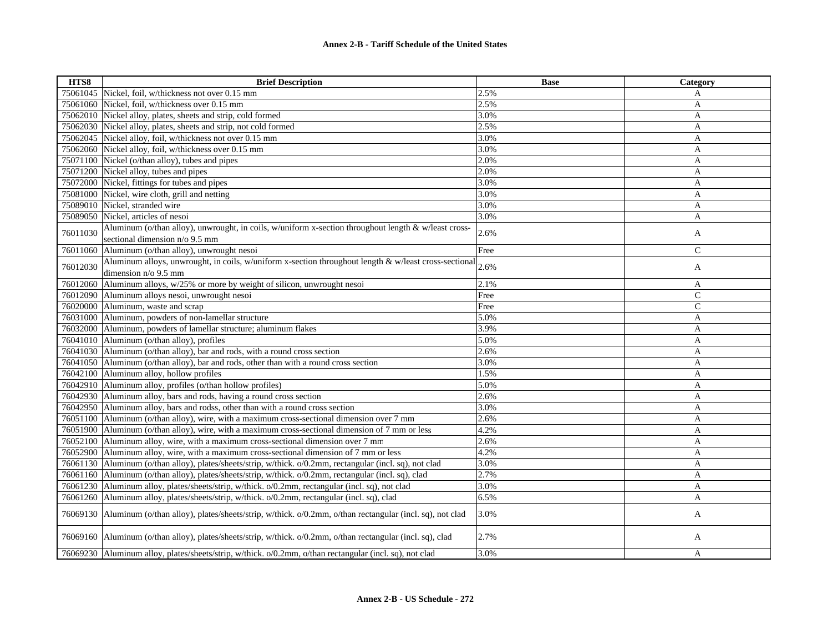| HTS8     | <b>Brief Description</b>                                                                                                               | <b>Base</b> | Category      |
|----------|----------------------------------------------------------------------------------------------------------------------------------------|-------------|---------------|
|          | 75061045 Nickel, foil, w/thickness not over 0.15 mm                                                                                    | 2.5%        | A             |
|          | 75061060 Nickel, foil, w/thickness over 0.15 mm                                                                                        | 2.5%        | A             |
| 75062010 | Nickel alloy, plates, sheets and strip, cold formed                                                                                    | 3.0%        | A             |
|          | 75062030 Nickel alloy, plates, sheets and strip, not cold formed                                                                       | 2.5%        | A             |
|          | 75062045 Nickel alloy, foil, w/thickness not over 0.15 mm                                                                              | 3.0%        | A             |
|          | 75062060 Nickel alloy, foil, w/thickness over 0.15 mm                                                                                  | 3.0%        | A             |
|          | 75071100 Nickel (o/than alloy), tubes and pipes                                                                                        | 2.0%        | A             |
|          | 75071200 Nickel alloy, tubes and pipes                                                                                                 | 2.0%        | $\mathbf{A}$  |
|          | 75072000 Nickel, fittings for tubes and pipes                                                                                          | 3.0%        | $\mathbf{A}$  |
|          | 75081000 Nickel, wire cloth, grill and netting                                                                                         | 3.0%        | A             |
| 75089010 | Nickel, stranded wire                                                                                                                  | 3.0%        | A             |
|          | 75089050 Nickel, articles of nesoi                                                                                                     | 3.0%        | $\mathbf{A}$  |
| 76011030 | Aluminum (o/than alloy), unwrought, in coils, w/uniform x-section throughout length & w/least cross-<br>sectional dimension n/o 9.5 mm | 2.6%        | A             |
| 76011060 | Aluminum (o/than alloy), unwrought nesoi                                                                                               | Free        | $\mathcal{C}$ |
|          | Aluminum alloys, unwrought, in coils, w/uniform x-section throughout length $\&$ w/least cross-sectional                               |             |               |
| 76012030 | dimension n/o 9.5 mm                                                                                                                   | 2.6%        | A             |
| 76012060 | Aluminum alloys, w/25% or more by weight of silicon, unwrought nesoi                                                                   | 2.1%        | A             |
| 76012090 | Aluminum alloys nesoi, unwrought nesoi                                                                                                 | Free        | $\mathcal{C}$ |
| 76020000 | Aluminum, waste and scrap                                                                                                              | Free        | ${\bf C}$     |
| 76031000 | Aluminum, powders of non-lamellar structure                                                                                            | 5.0%        | A             |
| 76032000 | Aluminum, powders of lamellar structure; aluminum flakes                                                                               | 3.9%        | A             |
|          | 76041010 Aluminum (o/than alloy), profiles                                                                                             | 5.0%        | A             |
|          | 76041030 Aluminum (o/than alloy), bar and rods, with a round cross section                                                             | 2.6%        | A             |
|          | 76041050 Aluminum (o/than alloy), bar and rods, other than with a round cross section                                                  | 3.0%        | A             |
|          | 76042100 Aluminum alloy, hollow profiles                                                                                               | 1.5%        | A             |
|          | 76042910 Aluminum alloy, profiles (o/than hollow profiles)                                                                             | 5.0%        | A             |
|          | 76042930 Aluminum alloy, bars and rods, having a round cross section                                                                   | 2.6%        | A             |
|          | 76042950 Aluminum alloy, bars and rodss, other than with a round cross section                                                         | 3.0%        | A             |
|          | 76051100 Aluminum (o/than alloy), wire, with a maximum cross-sectional dimension over 7 mm                                             | 2.6%        | A             |
| 76051900 | Aluminum (o/than alloy), wire, with a maximum cross-sectional dimension of 7 mm or less                                                | 4.2%        | A             |
| 76052100 | Aluminum alloy, wire, with a maximum cross-sectional dimension over 7 mm                                                               | 2.6%        | A             |
| 76052900 | Aluminum alloy, wire, with a maximum cross-sectional dimension of 7 mm or less                                                         | 4.2%        | A             |
| 76061130 | Aluminum (o/than alloy), plates/sheets/strip, w/thick. o/0.2mm, rectangular (incl. sq), not clad                                       | 3.0%        | A             |
| 76061160 | Aluminum (o/than alloy), plates/sheets/strip, w/thick. o/0.2mm, rectangular (incl. sq), clad                                           | 2.7%        | A             |
| 76061230 | Aluminum alloy, plates/sheets/strip, w/thick. o/0.2mm, rectangular (incl. sq), not clad                                                | 3.0%        | A             |
| 76061260 | Aluminum alloy, plates/sheets/strip, w/thick. o/0.2mm, rectangular (incl. sq), clad                                                    | 6.5%        | A             |
|          | 76069130 Aluminum (o/than alloy), plates/sheets/strip, w/thick. o/0.2mm, o/than rectangular (incl. sq), not clad                       | 3.0%        | A             |
|          | 76069160 Aluminum (o/than alloy), plates/sheets/strip, w/thick. o/0.2mm, o/than rectangular (incl. sq), clad                           | 2.7%        | A             |
|          | 76069230 Aluminum alloy, plates/sheets/strip, w/thick. o/0.2mm, o/than rectangular (incl. sq), not clad                                | 3.0%        | A             |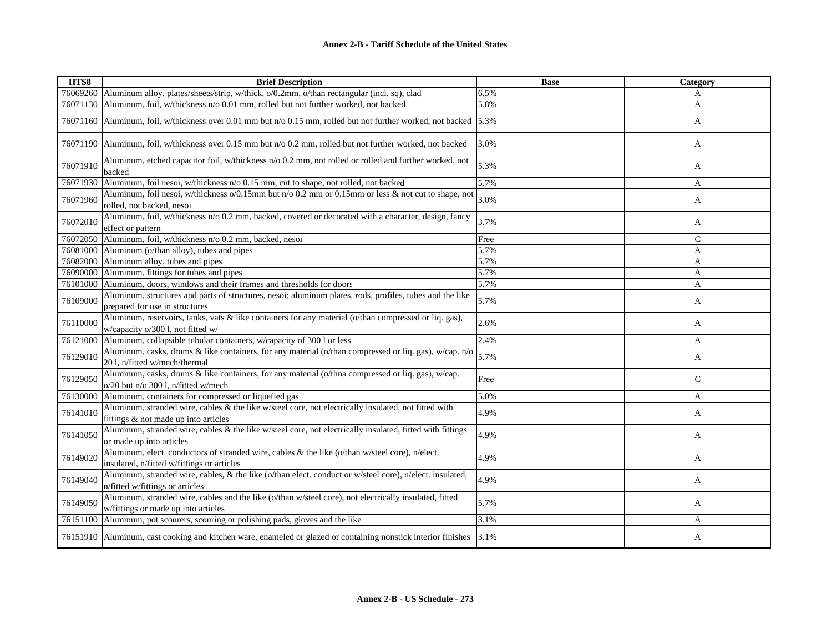| HTS8     | <b>Brief Description</b>                                                                                                                      | <b>Base</b> | <b>Category</b> |
|----------|-----------------------------------------------------------------------------------------------------------------------------------------------|-------------|-----------------|
|          | 76069260 Aluminum alloy, plates/sheets/strip, w/thick. o/0.2mm, o/than rectangular (incl. sq), clad                                           | 6.5%        | A               |
| 76071130 | Aluminum, foil, w/thickness n/o 0.01 mm, rolled but not further worked, not backed                                                            | 5.8%        | A               |
| 76071160 | Aluminum, foil, w/thickness over 0.01 mm but n/o 0.15 mm, rolled but not further worked, not backed 5.3%                                      |             | A               |
| 76071190 | Aluminum, foil, w/thickness over 0.15 mm but $n/0.2$ mm, rolled but not further worked, not backed                                            | 3.0%        | A               |
| 76071910 | Aluminum, etched capacitor foil, w/thickness n/o 0.2 mm, not rolled or rolled and further worked, not<br>backed                               | 5.3%        | A               |
| 76071930 | Aluminum, foil nesoi, w/thickness n/o 0.15 mm, cut to shape, not rolled, not backed                                                           | 5.7%        | A               |
| 76071960 | Aluminum, foil nesoi, w/thickness o/0.15mm but n/o 0.2 mm or 0.15mm or less & not cut to shape, not<br>rolled, not backed, nesoi              | 3.0%        | A               |
| 76072010 | Aluminum, foil, w/thickness n/o 0.2 mm, backed, covered or decorated with a character, design, fancy<br>effect or pattern                     | 3.7%        | A               |
| 76072050 | Aluminum, foil, w/thickness n/o 0.2 mm, backed, nesoi                                                                                         | Free        | $\mathcal{C}$   |
|          | 76081000 Aluminum (o/than alloy), tubes and pipes                                                                                             | 5.7%        | A               |
| 76082000 | Aluminum alloy, tubes and pipes                                                                                                               | 5.7%        | A               |
| 76090000 | Aluminum, fittings for tubes and pipes                                                                                                        | 5.7%        | A               |
| 76101000 | Aluminum, doors, windows and their frames and thresholds for doors                                                                            | 5.7%        | A               |
| 76109000 | Aluminum, structures and parts of structures, nesoi; aluminum plates, rods, profiles, tubes and the like<br>prepared for use in structures    | 5.7%        | A               |
| 76110000 | Aluminum, reservoirs, tanks, vats & like containers for any material (o/than compressed or liq. gas),<br>w/capacity o/300 l, not fitted w/    | 2.6%        | A               |
| 76121000 | Aluminum, collapsible tubular containers, w/capacity of 300 l or less                                                                         | 2.4%        | A               |
| 76129010 | Aluminum, casks, drums & like containers, for any material (o/than compressed or liq. gas), w/cap. n/o<br>201, n/fitted w/mech/thermal        | 5.7%        | A               |
| 76129050 | Aluminum, casks, drums & like containers, for any material (o/thna compressed or liq. gas), w/cap.<br>o/20 but n/o 300 l, n/fitted w/mech     | Free        | $\mathsf{C}$    |
| 76130000 | Aluminum, containers for compressed or liquefied gas                                                                                          | 5.0%        | A               |
| 76141010 | Aluminum, stranded wire, cables & the like w/steel core, not electrically insulated, not fitted with<br>fittings & not made up into articles  | 4.9%        | A               |
| 76141050 | Aluminum, stranded wire, cables & the like w/steel core, not electrically insulated, fitted with fittings<br>or made up into articles         | 4.9%        | A               |
| 76149020 | Aluminum, elect. conductors of stranded wire, cables & the like (o/than w/steel core), n/elect.<br>insulated, n/fitted w/fittings or articles | 4.9%        | A               |
| 76149040 | Aluminum, stranded wire, cables, & the like (o/than elect. conduct or w/steel core), n/elect. insulated,<br>n/fitted w/fittings or articles   | 4.9%        | A               |
| 76149050 | Aluminum, stranded wire, cables and the like (o/than w/steel core), not electrically insulated, fitted<br>w/fittings or made up into articles | 5.7%        | A               |
| 76151100 | Aluminum, pot scourers, scouring or polishing pads, gloves and the like                                                                       | 3.1%        | A               |
|          | 76151910 Aluminum, cast cooking and kitchen ware, enameled or glazed or containing nonstick interior finishes                                 | 3.1%        | A               |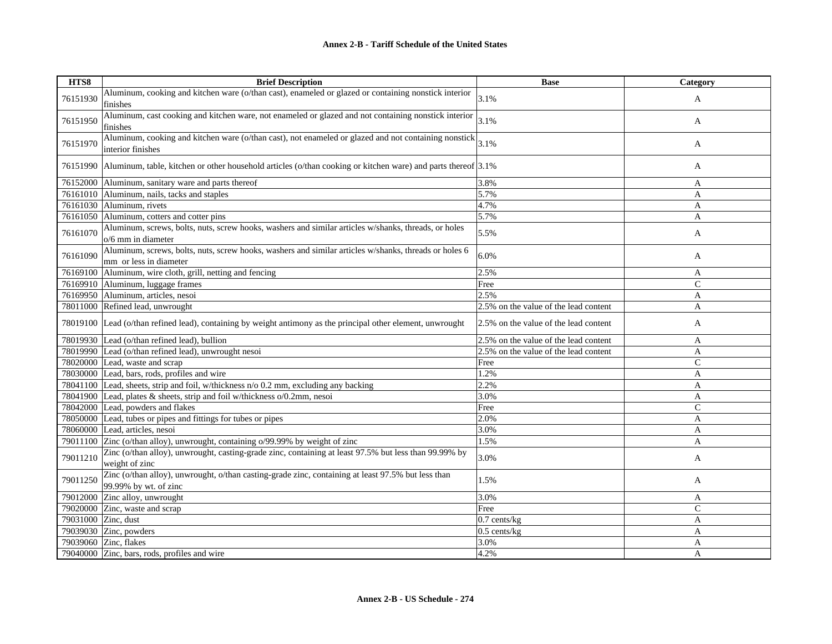| HTS8     | <b>Brief Description</b>                                                                                                        | <b>Base</b>                           | Category     |
|----------|---------------------------------------------------------------------------------------------------------------------------------|---------------------------------------|--------------|
| 76151930 | Aluminum, cooking and kitchen ware (o/than cast), enameled or glazed or containing nonstick interior<br>finishes                | 3.1%                                  | $\mathbf{A}$ |
| 76151950 | Aluminum, cast cooking and kitchen ware, not enameled or glazed and not containing nonstick interior<br>finishes                | 3.1%                                  | A            |
| 76151970 | Aluminum, cooking and kitchen ware (o/than cast), not enameled or glazed and not containing nonstick<br>interior finishes       | 3.1%                                  | A            |
|          | 76151990 Aluminum, table, kitchen or other household articles (o/than cooking or kitchen ware) and parts thereof 3.1%           |                                       | A            |
|          | 76152000 Aluminum, sanitary ware and parts thereof                                                                              | 3.8%                                  | $\mathbf{A}$ |
|          | 76161010 Aluminum, nails, tacks and staples                                                                                     | 5.7%                                  | $\mathbf{A}$ |
|          | 76161030 Aluminum, rivets                                                                                                       | 4.7%                                  | A            |
|          | 76161050 Aluminum, cotters and cotter pins                                                                                      | 5.7%                                  | A            |
| 76161070 | Aluminum, screws, bolts, nuts, screw hooks, washers and similar articles w/shanks, threads, or holes<br>o/6 mm in diameter      | 5.5%                                  | A            |
| 76161090 | Aluminum, screws, bolts, nuts, screw hooks, washers and similar articles w/shanks, threads or holes 6<br>mm or less in diameter | 6.0%                                  | A            |
|          | 76169100 Aluminum, wire cloth, grill, netting and fencing                                                                       | 2.5%                                  | A            |
|          | 76169910 Aluminum, luggage frames                                                                                               | Free                                  | $\mathsf{C}$ |
|          | 76169950 Aluminum, articles, nesoi                                                                                              | 2.5%                                  | A            |
|          | 78011000 Refined lead, unwrought                                                                                                | 2.5% on the value of the lead content | A            |
|          | 78019100 Lead (o/than refined lead), containing by weight antimony as the principal other element, unwrought                    | 2.5% on the value of the lead content | A            |
|          | 78019930 Lead (o/than refined lead), bullion                                                                                    | 2.5% on the value of the lead content | A            |
|          | 78019990 Lead (o/than refined lead), unwrought nesoi                                                                            | 2.5% on the value of the lead content | A            |
|          | 78020000 Lead, waste and scrap                                                                                                  | Free                                  | $\mathsf{C}$ |
|          | 78030000 Lead, bars, rods, profiles and wire                                                                                    | 1.2%                                  | A            |
|          | 78041100 Lead, sheets, strip and foil, w/thickness n/o 0.2 mm, excluding any backing                                            | 2.2%                                  | A            |
|          | 78041900 Lead, plates & sheets, strip and foil w/thickness o/0.2mm, nesoi                                                       | 3.0%                                  | A            |
|          | 78042000 Lead, powders and flakes                                                                                               | Free                                  | $\mathsf{C}$ |
|          | 78050000 Lead, tubes or pipes and fittings for tubes or pipes                                                                   | 2.0%                                  | A            |
|          | 78060000 Lead, articles, nesoi                                                                                                  | 3.0%                                  | A            |
|          | 79011100 Zinc (o/than alloy), unwrought, containing o/99.99% by weight of zinc                                                  | 1.5%                                  | A            |
| 79011210 | Zinc (o/than alloy), unwrought, casting-grade zinc, containing at least 97.5% but less than 99.99% by<br>weight of zinc         | 3.0%                                  | A            |
| 79011250 | Zinc (o/than alloy), unwrought, o/than casting-grade zinc, containing at least 97.5% but less than<br>99.99% by wt. of zinc     | 1.5%                                  | A            |
|          | 79012000 Zinc alloy, unwrought                                                                                                  | 3.0%                                  | A            |
|          | 79020000 Zinc, waste and scrap                                                                                                  | Free                                  | $\mathsf{C}$ |
|          | 79031000 Zinc, dust                                                                                                             | $0.7$ cents/kg                        | $\mathbf{A}$ |
|          | 79039030 Zinc, powders                                                                                                          | $0.5$ cents/kg                        | A            |
|          | 79039060 Zinc, flakes                                                                                                           | 3.0%                                  | A            |
|          | 79040000 Zinc, bars, rods, profiles and wire                                                                                    | 4.2%                                  | A            |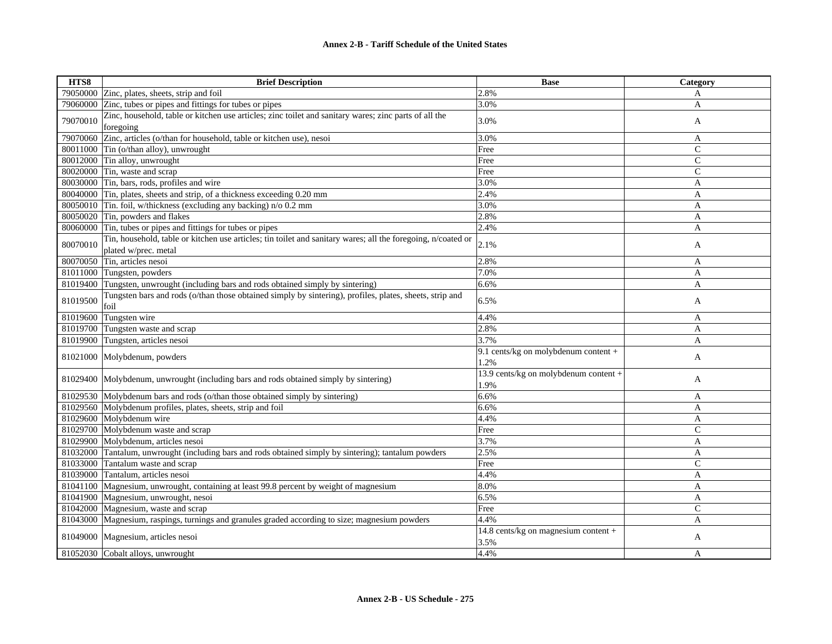| HTS8     | <b>Brief Description</b>                                                                                                             | <b>Base</b>                                   | Category       |
|----------|--------------------------------------------------------------------------------------------------------------------------------------|-----------------------------------------------|----------------|
|          | 79050000 Zinc, plates, sheets, strip and foil                                                                                        | 2.8%                                          | A              |
| 79060000 | Zinc, tubes or pipes and fittings for tubes or pipes                                                                                 | 3.0%                                          | A              |
| 79070010 | Zinc, household, table or kitchen use articles; zinc toilet and sanitary wares; zinc parts of all the<br>foregoing                   | 3.0%                                          | A              |
| 79070060 | Zinc, articles (o/than for household, table or kitchen use), nesoi                                                                   | 3.0%                                          | A              |
| 80011000 | Tin (o/than alloy), unwrought                                                                                                        | Free                                          | $\mathcal{C}$  |
| 80012000 | Tin alloy, unwrought                                                                                                                 | Free                                          | $\mathcal{C}$  |
|          | 80020000 Tin, waste and scrap                                                                                                        | Free                                          | $\overline{C}$ |
|          | 80030000 Tin, bars, rods, profiles and wire                                                                                          | 3.0%                                          | $\overline{A}$ |
|          | 80040000 Tin, plates, sheets and strip, of a thickness exceeding 0.20 mm                                                             | 2.4%                                          | A              |
| 80050010 | Tin. foil, w/thickness (excluding any backing) n/o 0.2 mm                                                                            | 3.0%                                          | A              |
|          | 80050020 Tin, powders and flakes                                                                                                     | 2.8%                                          | A              |
| 80060000 | Tin, tubes or pipes and fittings for tubes or pipes                                                                                  | 2.4%                                          | A              |
| 80070010 | Tin, household, table or kitchen use articles; tin toilet and sanitary wares; all the foregoing, n/coated or<br>plated w/prec. metal | 2.1%                                          | A              |
| 80070050 | Tin, articles nesoi                                                                                                                  | 2.8%                                          | A              |
| 81011000 | Tungsten, powders                                                                                                                    | 7.0%                                          | A              |
| 81019400 | Tungsten, unwrought (including bars and rods obtained simply by sintering)                                                           | 6.6%                                          | A              |
| 81019500 | Tungsten bars and rods (o/than those obtained simply by sintering), profiles, plates, sheets, strip and<br>foil                      | 6.5%                                          | A              |
| 81019600 | Tungsten wire                                                                                                                        | 4.4%                                          | A              |
| 81019700 | Tungsten waste and scrap                                                                                                             | 2.8%                                          | A              |
| 81019900 | Tungsten, articles nesoi                                                                                                             | 3.7%                                          | A              |
|          | 81021000 Molybdenum, powders                                                                                                         | 9.1 cents/kg on molybdenum content +<br>1.2%  | A              |
|          | 81029400 Molybdenum, unwrought (including bars and rods obtained simply by sintering)                                                | 13.9 cents/kg on molybdenum content +<br>1.9% | A              |
| 81029530 | Molybdenum bars and rods (o/than those obtained simply by sintering)                                                                 | 6.6%                                          | A              |
|          | 81029560 Molybdenum profiles, plates, sheets, strip and foil                                                                         | 6.6%                                          | A              |
| 81029600 | Molybdenum wire                                                                                                                      | 4.4%                                          | A              |
|          | 81029700 Molybdenum waste and scrap                                                                                                  | Free                                          | $\overline{C}$ |
| 81029900 | Molybdenum, articles nesoi                                                                                                           | 3.7%                                          | A              |
| 81032000 | Tantalum, unwrought (including bars and rods obtained simply by sintering); tantalum powders                                         | 2.5%                                          | A              |
| 81033000 | Tantalum waste and scrap                                                                                                             | Free                                          | $\mathcal{C}$  |
| 81039000 | Tantalum, articles nesoi                                                                                                             | 4.4%                                          | A              |
| 81041100 | Magnesium, unwrought, containing at least 99.8 percent by weight of magnesium                                                        | 8.0%                                          | A              |
|          | 81041900 Magnesium, unwrought, nesoi                                                                                                 | 6.5%                                          | A              |
| 81042000 | Magnesium, waste and scrap                                                                                                           | Free                                          | $\mathsf{C}$   |
|          | 81043000 Magnesium, raspings, turnings and granules graded according to size; magnesium powders                                      | 4.4%                                          | A              |
|          | 81049000 Magnesium, articles nesoi                                                                                                   | 14.8 cents/kg on magnesium content +<br>3.5%  | A              |
|          | 81052030 Cobalt alloys, unwrought                                                                                                    | 4.4%                                          | A              |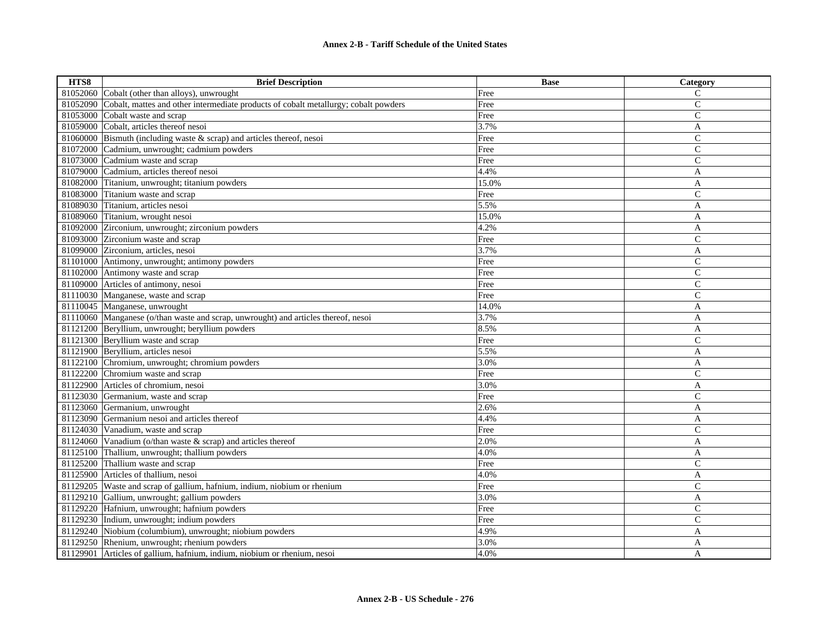| HTS8     | <b>Brief Description</b>                                                            | <b>Base</b> | Category       |
|----------|-------------------------------------------------------------------------------------|-------------|----------------|
| 81052060 | Cobalt (other than alloys), unwrought                                               | Free        | C              |
| 81052090 | Cobalt, mattes and other intermediate products of cobalt metallurgy; cobalt powders | Free        | $\mathbf{C}$   |
| 81053000 | Cobalt waste and scrap                                                              | Free        | $\mathsf{C}$   |
|          | 81059000 Cobalt, articles thereof nesoi                                             | 3.7%        | A              |
|          | 81060000 Bismuth (including waste & scrap) and articles thereof, nesoi              | Free        | $\overline{C}$ |
| 81072000 | Cadmium, unwrought; cadmium powders                                                 | Free        | $\mathsf{C}$   |
|          | 81073000 Cadmium waste and scrap                                                    | Free        | $\mathsf{C}$   |
| 81079000 | Cadmium, articles thereof nesoi                                                     | 4.4%        | A              |
| 81082000 | Titanium, unwrought; titanium powders                                               | 15.0%       | A              |
|          | 81083000 Titanium waste and scrap                                                   | Free        | $\mathbf C$    |
| 81089030 | Titanium, articles nesoi                                                            | 5.5%        | A              |
|          | 81089060 Titanium, wrought nesoi                                                    | 15.0%       | A              |
| 81092000 | Zirconium, unwrought; zirconium powders                                             | 4.2%        | A              |
|          | 81093000 Zirconium waste and scrap                                                  | Free        | $\mathsf{C}$   |
|          | 81099000 Zirconium, articles, nesoi                                                 | 3.7%        | A              |
|          | 81101000 Antimony, unwrought; antimony powders                                      | Free        | $\mathcal{C}$  |
|          | 81102000 Antimony waste and scrap                                                   | Free        | $\mathcal{C}$  |
|          | 81109000 Articles of antimony, nesoi                                                | Free        | $\mathsf{C}$   |
|          | 81110030 Manganese, waste and scrap                                                 | Free        | $\overline{C}$ |
|          | 81110045 Manganese, unwrought                                                       | 14.0%       | A              |
|          | 81110060 Manganese (o/than waste and scrap, unwrought) and articles thereof, nesoi  | 3.7%        | A              |
|          | 81121200 Beryllium, unwrought; beryllium powders                                    | 8.5%        | A              |
|          | 81121300 Beryllium waste and scrap                                                  | Free        | $\mathbf C$    |
|          | 81121900 Beryllium, articles nesoi                                                  | 5.5%        | $\overline{A}$ |
|          | 81122100 Chromium, unwrought; chromium powders                                      | 3.0%        | A              |
|          | 81122200 Chromium waste and scrap                                                   | Free        | $\mathbf C$    |
|          | 81122900 Articles of chromium, nesoi                                                | 3.0%        | A              |
|          | 81123030 Germanium, waste and scrap                                                 | Free        | $\mathsf{C}$   |
|          | 81123060 Germanium, unwrought                                                       | 2.6%        | A              |
|          | 81123090 Germanium nesoi and articles thereof                                       | 4.4%        | A              |
|          | 81124030 Vanadium, waste and scrap                                                  | Free        | $\mathcal{C}$  |
| 81124060 | Vanadium (o/than waste & scrap) and articles thereof                                | 2.0%        | A              |
| 81125100 | Thallium, unwrought; thallium powders                                               | 4.0%        | A              |
|          | 81125200 Thallium waste and scrap                                                   | Free        | $\mathbf C$    |
|          | 81125900 Articles of thallium, nesoi                                                | 4.0%        | A              |
| 81129205 | Waste and scrap of gallium, hafnium, indium, niobium or rhenium                     | Free        | $\mathsf{C}$   |
|          | 81129210 Gallium, unwrought; gallium powders                                        | 3.0%        | A              |
|          | 81129220 Hafnium, unwrought; hafnium powders                                        | Free        | $\mathcal{C}$  |
|          | 81129230 Indium, unwrought; indium powders                                          | Free        | $\mathcal{C}$  |
| 81129240 | Niobium (columbium), unwrought; niobium powders                                     | 4.9%        | A              |
|          | 81129250 Rhenium, unwrought; rhenium powders                                        | 3.0%        | A              |
| 81129901 | Articles of gallium, hafnium, indium, niobium or rhenium, nesoi                     | 4.0%        | A              |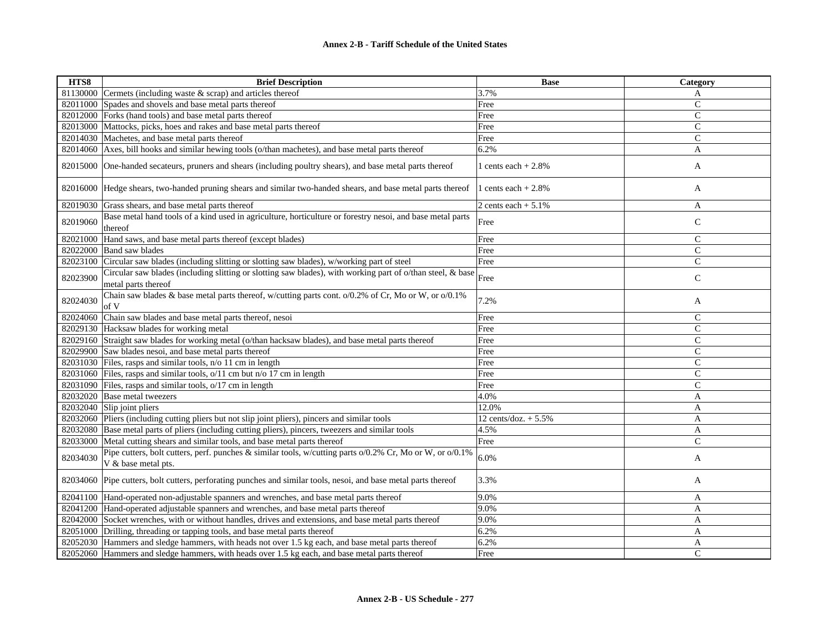| HTS8     | <b>Brief Description</b>                                                                                                              | <b>Base</b>            | Category       |
|----------|---------------------------------------------------------------------------------------------------------------------------------------|------------------------|----------------|
| 81130000 | Cermets (including waste $&$ scrap) and articles thereof                                                                              | 3.7%                   | A              |
| 82011000 | Spades and shovels and base metal parts thereof                                                                                       | Free                   | $\mathsf{C}$   |
| 82012000 | Forks (hand tools) and base metal parts thereof                                                                                       | Free                   | $\mathsf{C}$   |
| 82013000 | Mattocks, picks, hoes and rakes and base metal parts thereof                                                                          | Free                   | $\overline{C}$ |
| 82014030 | Machetes, and base metal parts thereof                                                                                                | Free                   | $\mathsf{C}$   |
|          | 82014060 Axes, bill hooks and similar hewing tools (o/than machetes), and base metal parts thereof                                    | 6.2%                   | A              |
| 82015000 | One-handed secateurs, pruners and shears (including poultry shears), and base metal parts thereof                                     | 1 cents each $+2.8%$   | A              |
|          | 82016000 Hedge shears, two-handed pruning shears and similar two-handed shears, and base metal parts thereof                          | l cents each $+2.8\%$  | A              |
| 82019030 | Grass shears, and base metal parts thereof                                                                                            | 2 cents each $+5.1\%$  | A              |
| 82019060 | Base metal hand tools of a kind used in agriculture, horticulture or forestry nesoi, and base metal parts<br>thereof                  | Free                   | $\mathsf{C}$   |
| 82021000 | Hand saws, and base metal parts thereof (except blades)                                                                               | Free                   | $\mathbf C$    |
| 82022000 | <b>Band saw blades</b>                                                                                                                | Free                   | $\mathsf{C}$   |
| 82023100 | Circular saw blades (including slitting or slotting saw blades), w/working part of steel                                              | Free                   | $\mathsf{C}$   |
| 82023900 | Circular saw blades (including slitting or slotting saw blades), with working part of o/than steel, & base<br>metal parts thereof     | Free                   | $\mathsf{C}$   |
| 82024030 | Chain saw blades & base metal parts thereof, w/cutting parts cont. $o/0.2\%$ of Cr, Mo or W, or $o/0.1\%$<br>of V                     | 7.2%                   | A              |
| 82024060 | Chain saw blades and base metal parts thereof, nesoi                                                                                  | Free                   | $\mathsf{C}$   |
| 82029130 | Hacksaw blades for working metal                                                                                                      | Free                   | $\mathcal{C}$  |
|          | 82029160 Straight saw blades for working metal (o/than hacksaw blades), and base metal parts thereof                                  | Free                   | $\mathcal{C}$  |
| 82029900 | Saw blades nesoi, and base metal parts thereof                                                                                        | Free                   | $\mathsf{C}$   |
| 82031030 | Files, rasps and similar tools, n/o 11 cm in length                                                                                   | Free                   | $\mathsf{C}$   |
| 82031060 | Files, rasps and similar tools, o/11 cm but n/o 17 cm in length                                                                       | Free                   | $\mathcal{C}$  |
| 82031090 | Files, rasps and similar tools, o/17 cm in length                                                                                     | Free                   | $\mathsf{C}$   |
| 82032020 | Base metal tweezers                                                                                                                   | 4.0%                   | A              |
| 82032040 | Slip joint pliers                                                                                                                     | 12.0%                  | A              |
| 82032060 | Pliers (including cutting pliers but not slip joint pliers), pincers and similar tools                                                | 12 cents/doz. $+ 5.5%$ | A              |
| 82032080 | Base metal parts of pliers (including cutting pliers), pincers, tweezers and similar tools                                            | 4.5%                   | A              |
| 82033000 | Metal cutting shears and similar tools, and base metal parts thereof                                                                  | Free                   | $\mathbf C$    |
| 82034030 | Pipe cutters, bolt cutters, perf. punches & similar tools, w/cutting parts $o/0.2\%$ Cr, Mo or W, or $o/0.1\%$<br>V & base metal pts. | 6.0%                   | A              |
|          | 82034060 Pipe cutters, bolt cutters, perforating punches and similar tools, nesoi, and base metal parts thereof                       | 3.3%                   | A              |
|          | 82041100 Hand-operated non-adjustable spanners and wrenches, and base metal parts thereof                                             | 9.0%                   | A              |
|          | 82041200 Hand-operated adjustable spanners and wrenches, and base metal parts thereof                                                 | 9.0%                   | $\mathbf{A}$   |
|          | 82042000 Socket wrenches, with or without handles, drives and extensions, and base metal parts thereof                                | 9.0%                   | A              |
|          | 82051000 Drilling, threading or tapping tools, and base metal parts thereof                                                           | 6.2%                   | A              |
|          | 82052030 Hammers and sledge hammers, with heads not over 1.5 kg each, and base metal parts thereof                                    | 6.2%                   | A              |
|          | 82052060 Hammers and sledge hammers, with heads over 1.5 kg each, and base metal parts thereof                                        | Free                   | $\overline{C}$ |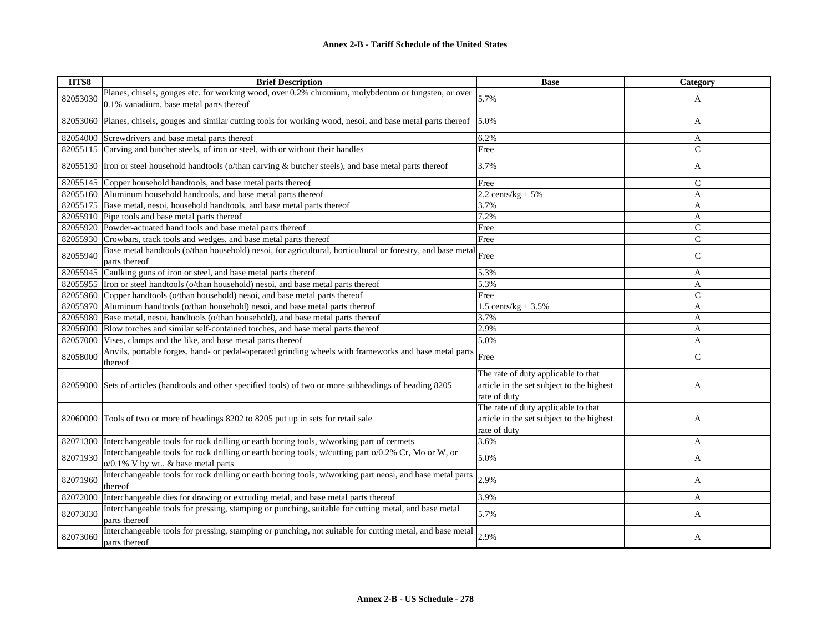| HTS8     | <b>Brief Description</b>                                                                                                                      | <b>Base</b>                                                                                      | Category       |
|----------|-----------------------------------------------------------------------------------------------------------------------------------------------|--------------------------------------------------------------------------------------------------|----------------|
| 82053030 | Planes, chisels, gouges etc. for working wood, over 0.2% chromium, molybdenum or tungsten, or over<br>0.1% vanadium, base metal parts thereof | 5.7%                                                                                             | A              |
|          | 82053060 Planes, chisels, gouges and similar cutting tools for working wood, nesoi, and base metal parts thereof                              | 5.0%                                                                                             | A              |
| 82054000 | Screwdrivers and base metal parts thereof                                                                                                     | 6.2%                                                                                             | A              |
|          | 82055115 Carving and butcher steels, of iron or steel, with or without their handles                                                          | Free                                                                                             | $\overline{C}$ |
|          | 82055130 Iron or steel household handtools (o/than carving & butcher steels), and base metal parts thereof                                    | 3.7%                                                                                             | A              |
|          | 82055145 Copper household handtools, and base metal parts thereof                                                                             | Free                                                                                             | $\mathcal{C}$  |
|          | 82055160 Aluminum household handtools, and base metal parts thereof                                                                           | $2.2$ cents/kg + 5%                                                                              | A              |
|          | 82055175 Base metal, nesoi, household handtools, and base metal parts thereof                                                                 | 3.7%                                                                                             | A              |
|          | 82055910 Pipe tools and base metal parts thereof                                                                                              | 7.2%                                                                                             | A              |
|          | 82055920 Powder-actuated hand tools and base metal parts thereof                                                                              | Free                                                                                             | $\mathsf{C}$   |
| 82055930 | Crowbars, track tools and wedges, and base metal parts thereof                                                                                | Free                                                                                             | $\mathcal{C}$  |
| 82055940 | Base metal handtools (o/than household) nesoi, for agricultural, horticultural or forestry, and base metal<br>parts thereof                   | Free                                                                                             | $\mathsf{C}$   |
| 82055945 | Caulking guns of iron or steel, and base metal parts thereof                                                                                  | 5.3%                                                                                             | A              |
| 82055955 | Iron or steel handtools (o/than household) nesoi, and base metal parts thereof                                                                | 5.3%                                                                                             | A              |
|          | 82055960 Copper handtools (o/than household) nesoi, and base metal parts thereof                                                              | Free                                                                                             | $\overline{C}$ |
|          | 82055970 Aluminum handtools (o/than household) nesoi, and base metal parts thereof                                                            | 1.5 cents/kg + $3.5\%$                                                                           | $\mathbf{A}$   |
| 82055980 | Base metal, nesoi, handtools (o/than household), and base metal parts thereof                                                                 | 3.7%                                                                                             | A              |
| 82056000 | Blow torches and similar self-contained torches, and base metal parts thereof                                                                 | 2.9%                                                                                             | A              |
| 82057000 | Vises, clamps and the like, and base metal parts thereof                                                                                      | 5.0%                                                                                             | A              |
| 82058000 | Anvils, portable forges, hand- or pedal-operated grinding wheels with frameworks and base metal parts<br>thereof                              | Free                                                                                             | $\mathsf{C}$   |
|          | 82059000 Sets of articles (handtools and other specified tools) of two or more subheadings of heading 8205                                    | The rate of duty applicable to that<br>article in the set subject to the highest<br>rate of duty | A              |
| 82060000 | Tools of two or more of headings 8202 to 8205 put up in sets for retail sale                                                                  | The rate of duty applicable to that<br>article in the set subject to the highest<br>rate of duty | A              |
| 82071300 | Interchangeable tools for rock drilling or earth boring tools, w/working part of cermets                                                      | 3.6%                                                                                             | A              |
| 82071930 | Interchangeable tools for rock drilling or earth boring tools, w/cutting part o/0.2% Cr, Mo or W, or<br>o/0.1% V by wt., & base metal parts   | 5.0%                                                                                             | A              |
| 82071960 | Interchangeable tools for rock drilling or earth boring tools, w/working part neosi, and base metal parts<br>thereof                          | 2.9%                                                                                             | A              |
| 82072000 | Interchangeable dies for drawing or extruding metal, and base metal parts thereof                                                             | 3.9%                                                                                             | A              |
| 82073030 | Interchangeable tools for pressing, stamping or punching, suitable for cutting metal, and base metal<br>parts thereof                         | 5.7%                                                                                             | A              |
| 82073060 | Interchangeable tools for pressing, stamping or punching, not suitable for cutting metal, and base metal<br>parts thereof                     | 2.9%                                                                                             | A              |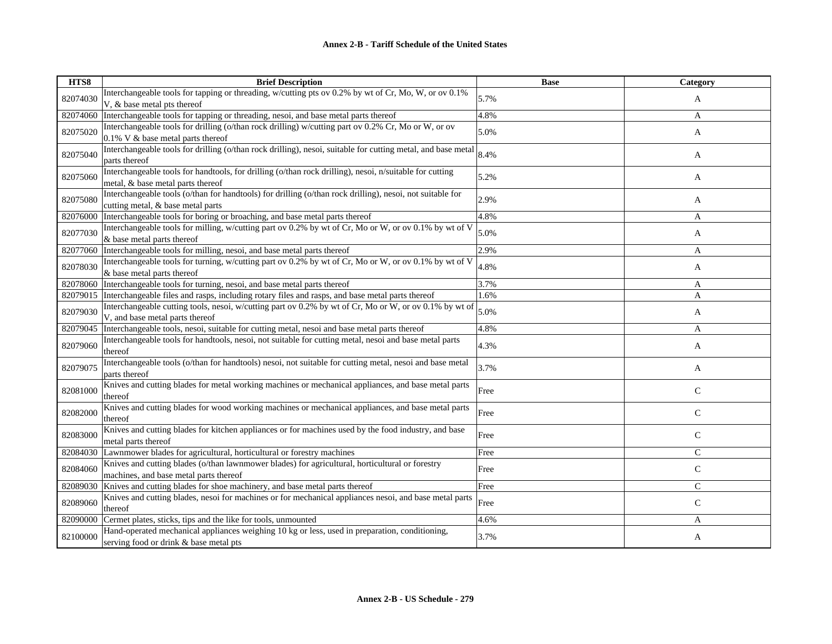| HTS8     | <b>Brief Description</b>                                                                                                                       | <b>Base</b> | <b>Category</b> |
|----------|------------------------------------------------------------------------------------------------------------------------------------------------|-------------|-----------------|
| 82074030 | Interchangeable tools for tapping or threading, w/cutting pts ov 0.2% by wt of Cr, Mo, W, or ov 0.1%<br>V, & base metal pts thereof            | 5.7%        | A               |
| 82074060 | Interchangeable tools for tapping or threading, nesoi, and base metal parts thereof                                                            | 4.8%        | A               |
| 82075020 | Interchangeable tools for drilling (o/than rock drilling) w/cutting part ov 0.2% Cr, Mo or W, or ov<br>0.1% V & base metal parts thereof       | 5.0%        | A               |
| 82075040 | Interchangeable tools for drilling (o/than rock drilling), nesoi, suitable for cutting metal, and base metal<br>parts thereof                  | 8.4%        | A               |
| 82075060 | Interchangeable tools for handtools, for drilling (o/than rock drilling), nesoi, n/suitable for cutting<br>metal, & base metal parts thereof   | 5.2%        | A               |
| 82075080 | Interchangeable tools (o/than for handtools) for drilling (o/than rock drilling), nesoi, not suitable for<br>cutting metal, & base metal parts | 2.9%        | A               |
| 82076000 | Interchangeable tools for boring or broaching, and base metal parts thereof                                                                    | 4.8%        | A               |
| 82077030 | Interchangeable tools for milling, w/cutting part ov 0.2% by wt of Cr, Mo or W, or ov 0.1% by wt of V<br>& base metal parts thereof            | 5.0%        | A               |
| 82077060 | Interchangeable tools for milling, nesoi, and base metal parts thereof                                                                         | 2.9%        | A               |
| 82078030 | Interchangeable tools for turning, w/cutting part ov 0.2% by wt of Cr, Mo or W, or ov 0.1% by wt of V<br>& base metal parts thereof            | 4.8%        | A               |
| 82078060 | Interchangeable tools for turning, nesoi, and base metal parts thereof                                                                         | 3.7%        | A               |
| 82079015 | Interchangeable files and rasps, including rotary files and rasps, and base metal parts thereof                                                | 1.6%        | A               |
| 82079030 | Interchangeable cutting tools, nesoi, w/cutting part ov 0.2% by wt of Cr, Mo or W, or ov 0.1% by wt of<br>V, and base metal parts thereof      | 5.0%        | A               |
| 82079045 | Interchangeable tools, nesoi, suitable for cutting metal, nesoi and base metal parts thereof                                                   | 4.8%        | A               |
| 82079060 | Interchangeable tools for handtools, nesoi, not suitable for cutting metal, nesoi and base metal parts<br>thereof                              | 4.3%        | A               |
| 82079075 | Interchangeable tools (o/than for handtools) nesoi, not suitable for cutting metal, nesoi and base metal<br>parts thereof                      | 3.7%        | A               |
| 82081000 | Knives and cutting blades for metal working machines or mechanical appliances, and base metal parts<br>thereof                                 | Free        | $\mathbf C$     |
| 82082000 | Knives and cutting blades for wood working machines or mechanical appliances, and base metal parts<br>thereof                                  | Free        | $\mathsf{C}$    |
| 82083000 | Knives and cutting blades for kitchen appliances or for machines used by the food industry, and base<br>metal parts thereof                    | Free        | $\mathsf{C}$    |
| 82084030 | Lawnmower blades for agricultural, horticultural or forestry machines                                                                          | Free        | $\mathsf{C}$    |
| 82084060 | Knives and cutting blades (o/than lawnmower blades) for agricultural, horticultural or forestry<br>machines, and base metal parts thereof      | Free        | $\mathsf{C}$    |
| 82089030 | Knives and cutting blades for shoe machinery, and base metal parts thereof                                                                     | Free        | $\mathsf{C}$    |
| 82089060 | Knives and cutting blades, nesoi for machines or for mechanical appliances nesoi, and base metal parts<br>thereof                              | Free        | $\mathsf{C}$    |
| 82090000 | Cermet plates, sticks, tips and the like for tools, unmounted                                                                                  | 4.6%        | A               |
| 82100000 | Hand-operated mechanical appliances weighing 10 kg or less, used in preparation, conditioning,<br>serving food or drink & base metal pts       | 3.7%        | A               |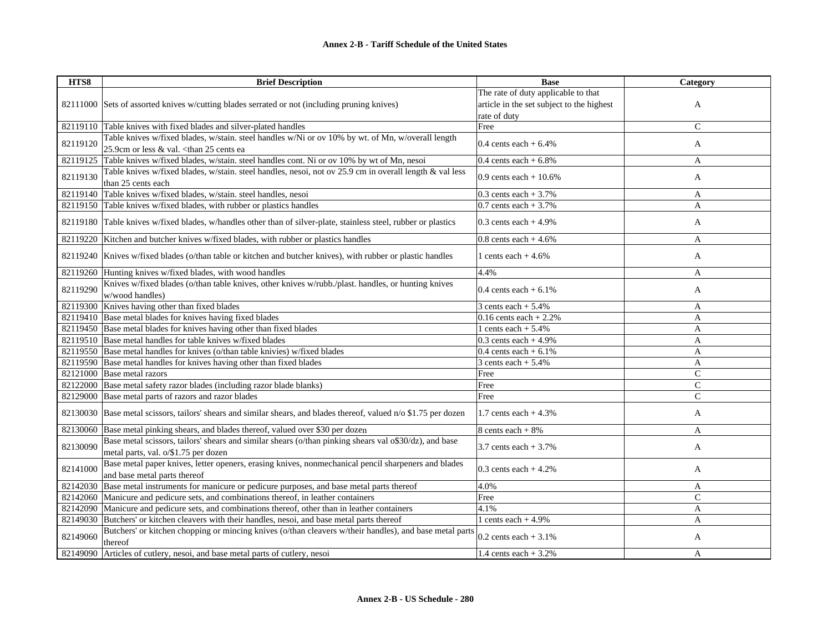| HTS8     | <b>Brief Description</b>                                                                                        | <b>Base</b>                               | Category     |
|----------|-----------------------------------------------------------------------------------------------------------------|-------------------------------------------|--------------|
|          |                                                                                                                 | The rate of duty applicable to that       |              |
|          | 82111000 Sets of assorted knives w/cutting blades serrated or not (including pruning knives)                    | article in the set subject to the highest | A            |
|          |                                                                                                                 | rate of duty                              |              |
|          | 82119110 Table knives with fixed blades and silver-plated handles                                               | Free                                      | $\mathsf{C}$ |
|          | Table knives w/fixed blades, w/stain. steel handles w/Ni or ov 10% by wt. of Mn, w/overall length               |                                           |              |
| 82119120 | 25.9cm or less & val. < than 25 cents ea                                                                        | 0.4 cents each $+6.4\%$                   | A            |
| 82119125 | Table knives w/fixed blades, w/stain. steel handles cont. Ni or ov 10% by wt of Mn, nesoi                       | 0.4 cents each $+6.8\%$                   | A            |
|          | Table knives w/fixed blades, w/stain. steel handles, nesoi, not ov 25.9 cm in overall length & val less         |                                           |              |
| 82119130 | than 25 cents each                                                                                              | 0.9 cents each $+10.6%$                   | A            |
| 82119140 | Table knives w/fixed blades, w/stain. steel handles, nesoi                                                      | 0.3 cents each $+3.7\%$                   | A            |
|          | 82119150 Table knives w/fixed blades, with rubber or plastics handles                                           | $0.7$ cents each + 3.7%                   | A            |
|          |                                                                                                                 |                                           |              |
|          | 82119180 Table knives w/fixed blades, w/handles other than of silver-plate, stainless steel, rubber or plastics | 0.3 cents each $+4.9%$                    | A            |
|          | 82119220 Kitchen and butcher knives w/fixed blades, with rubber or plastics handles                             | $0.8$ cents each + 4.6%                   | A            |
|          |                                                                                                                 |                                           |              |
|          | 82119240 Knives w/fixed blades (o/than table or kitchen and butcher knives), with rubber or plastic handles     | 1 cents each $+4.6\%$                     | A            |
|          | 82119260 Hunting knives w/fixed blades, with wood handles                                                       | 4.4%                                      | A            |
| 82119290 | Knives w/fixed blades (o/than table knives, other knives w/rubb./plast. handles, or hunting knives              | 0.4 cents each $+6.1\%$                   |              |
|          | w/wood handles)                                                                                                 |                                           | A            |
|          | 82119300 Knives having other than fixed blades                                                                  | $3 cents each + 5.4%$                     | A            |
|          | 82119410 Base metal blades for knives having fixed blades                                                       | $0.16$ cents each + 2.2%                  | A            |
|          | 82119450 Base metal blades for knives having other than fixed blades                                            | 1 cents each $+ 5.4%$                     | A            |
|          | 82119510 Base metal handles for table knives w/fixed blades                                                     | $0.3$ cents each + 4.9%                   | A            |
|          | 82119550 Base metal handles for knives (o/than table knivies) w/fixed blades                                    | 0.4 cents each $+6.1\%$                   | $\mathbf{A}$ |
|          | 82119590 Base metal handles for knives having other than fixed blades                                           | 3 cents each $+ 5.4%$                     | A            |
| 82121000 | Base metal razors                                                                                               | Free                                      | $\mathsf{C}$ |
| 82122000 | Base metal safety razor blades (including razor blade blanks)                                                   | Free                                      | $\mathsf{C}$ |
|          | 82129000 Base metal parts of razors and razor blades                                                            | Free                                      | $\mathsf{C}$ |
| 82130030 | Base metal scissors, tailors' shears and similar shears, and blades thereof, valued n/o \$1.75 per dozen        | 1.7 cents each $+4.3%$                    | A            |
|          |                                                                                                                 |                                           |              |
| 82130060 | Base metal pinking shears, and blades thereof, valued over \$30 per dozen                                       | 8 cents each $+8\%$                       | A            |
| 82130090 | Base metal scissors, tailors' shears and similar shears (o/than pinking shears val o\$30/dz), and base          | 3.7 cents each $+3.7\%$                   | A            |
|          | metal parts, val. o/\$1.75 per dozen                                                                            |                                           |              |
| 82141000 | Base metal paper knives, letter openers, erasing knives, nonmechanical pencil sharpeners and blades             | 0.3 cents each $+4.2\%$                   | A            |
|          | and base metal parts thereof                                                                                    |                                           |              |
| 82142030 | Base metal instruments for manicure or pedicure purposes, and base metal parts thereof                          | 4.0%                                      | A            |
|          | 82142060 Manicure and pedicure sets, and combinations thereof, in leather containers                            | Free                                      | $\mathsf{C}$ |
| 82142090 | Manicure and pedicure sets, and combinations thereof, other than in leather containers                          | 4.1%                                      | A            |
|          | 82149030 Butchers' or kitchen cleavers with their handles, nesoi, and base metal parts thereof                  | 1 cents each $+4.9%$                      | A            |
| 82149060 | Butchers' or kitchen chopping or mincing knives (o/than cleavers w/their handles), and base metal parts         | $0.2$ cents each $+3.1\%$                 |              |
|          | thereof                                                                                                         |                                           | A            |
| 82149090 | Articles of cutlery, nesoi, and base metal parts of cutlery, nesoi                                              | 1.4 cents each $+3.2%$                    | A            |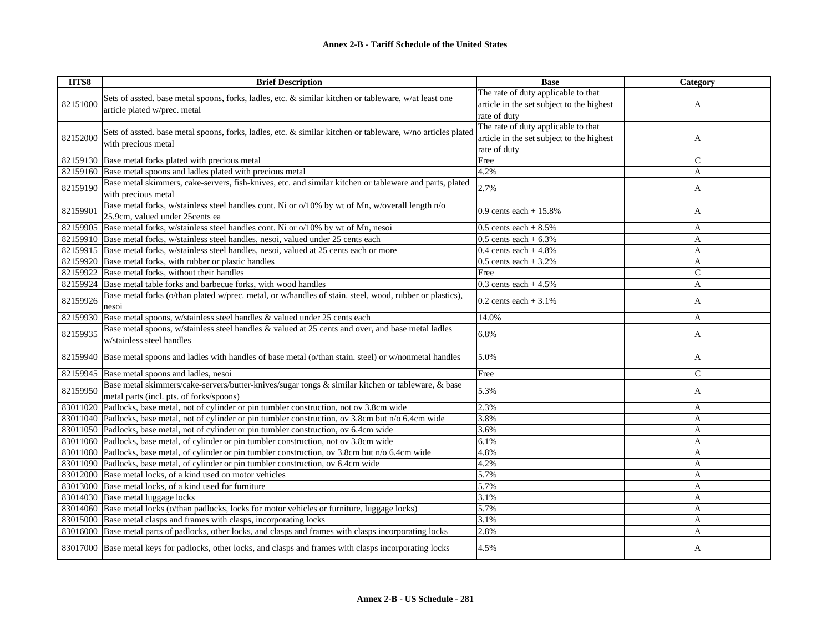| HTS8     | <b>Brief Description</b>                                                                                     | <b>Base</b>                               | Category      |
|----------|--------------------------------------------------------------------------------------------------------------|-------------------------------------------|---------------|
|          |                                                                                                              | The rate of duty applicable to that       |               |
| 82151000 | Sets of assted. base metal spoons, forks, ladles, etc. & similar kitchen or tableware, w/at least one        | article in the set subject to the highest | A             |
|          | article plated w/prec. metal                                                                                 | rate of duty                              |               |
|          |                                                                                                              | The rate of duty applicable to that       |               |
| 82152000 | Sets of assted. base metal spoons, forks, ladles, etc. & similar kitchen or tableware, w/no articles plated  | article in the set subject to the highest | A             |
|          | with precious metal                                                                                          | rate of duty                              |               |
| 82159130 | Base metal forks plated with precious metal                                                                  | Free                                      | $\mathsf{C}$  |
| 82159160 | Base metal spoons and ladles plated with precious metal                                                      | 4.2%                                      | A             |
| 82159190 | Base metal skimmers, cake-servers, fish-knives, etc. and similar kitchen or tableware and parts, plated      | 2.7%                                      |               |
|          | with precious metal                                                                                          |                                           | A             |
|          | Base metal forks, w/stainless steel handles cont. Ni or o/10% by wt of Mn, w/overall length n/o              |                                           |               |
| 82159901 | 25.9cm, valued under 25 cents ea                                                                             | 0.9 cents each $+15.8%$                   | A             |
| 82159905 | Base metal forks, w/stainless steel handles cont. Ni or o/10% by wt of Mn, nesoi                             | $0.5$ cents each + 8.5%                   | A             |
|          | 82159910 Base metal forks, w/stainless steel handles, nesoi, valued under 25 cents each                      | $0.5$ cents each + $6.3\%$                | A             |
|          | 82159915 Base metal forks, w/stainless steel handles, nesoi, valued at 25 cents each or more                 | 0.4 cents each $+4.8%$                    | A             |
|          | 82159920 Base metal forks, with rubber or plastic handles                                                    | $0.5$ cents each $+3.2%$                  | A             |
| 82159922 | Base metal forks, without their handles                                                                      | Free                                      | $\mathcal{C}$ |
| 82159924 | Base metal table forks and barbecue forks, with wood handles                                                 | 0.3 cents each $+4.5%$                    | A             |
| 82159926 | Base metal forks (o/than plated w/prec. metal, or w/handles of stain. steel, wood, rubber or plastics),      | 0.2 cents each $+3.1\%$                   | A             |
|          | nesoi                                                                                                        |                                           |               |
| 82159930 | Base metal spoons, w/stainless steel handles & valued under 25 cents each                                    | 14.0%                                     | A             |
| 82159935 | Base metal spoons, w/stainless steel handles & valued at 25 cents and over, and base metal ladles            | 6.8%                                      | A             |
|          | w/stainless steel handles                                                                                    |                                           |               |
|          | 82159940 Base metal spoons and ladles with handles of base metal (o/than stain. steel) or w/nonmetal handles | 5.0%                                      | A             |
|          |                                                                                                              |                                           |               |
| 82159945 | Base metal spoons and ladles, nesoi                                                                          | Free                                      | $\mathcal{C}$ |
| 82159950 | Base metal skimmers/cake-servers/butter-knives/sugar tongs & similar kitchen or tableware, & base            | 5.3%                                      | A             |
|          | metal parts (incl. pts. of forks/spoons)                                                                     |                                           |               |
|          | 83011020 Padlocks, base metal, not of cylinder or pin tumbler construction, not ov 3.8cm wide                | 2.3%                                      | A             |
|          | 83011040 Padlocks, base metal, not of cylinder or pin tumbler construction, ov 3.8cm but n/o 6.4cm wide      | 3.8%                                      | A             |
|          | 83011050 Padlocks, base metal, not of cylinder or pin tumbler construction, ov 6.4cm wide                    | 3.6%                                      | $\mathbf{A}$  |
|          | 83011060 Padlocks, base metal, of cylinder or pin tumbler construction, not ov 3.8cm wide                    | 6.1%                                      | A             |
|          | 83011080 Padlocks, base metal, of cylinder or pin tumbler construction, ov 3.8cm but n/o 6.4cm wide          | 4.8%                                      | A             |
| 83011090 | Padlocks, base metal, of cylinder or pin tumbler construction, ov 6.4cm wide                                 | 4.2%                                      | A             |
|          | 83012000 Base metal locks, of a kind used on motor vehicles                                                  | 5.7%                                      | A             |
| 83013000 | Base metal locks, of a kind used for furniture                                                               | 5.7%                                      | A             |
| 83014030 | Base metal luggage locks                                                                                     | 3.1%                                      | A             |
| 83014060 | Base metal locks (o/than padlocks, locks for motor vehicles or furniture, luggage locks)                     | 5.7%                                      | A             |
|          | 83015000 Base metal clasps and frames with clasps, incorporating locks                                       | 3.1%                                      | A             |
| 83016000 | Base metal parts of padlocks, other locks, and clasps and frames with clasps incorporating locks             | 2.8%                                      | A             |
|          | 83017000 Base metal keys for padlocks, other locks, and clasps and frames with clasps incorporating locks    | 4.5%                                      | A             |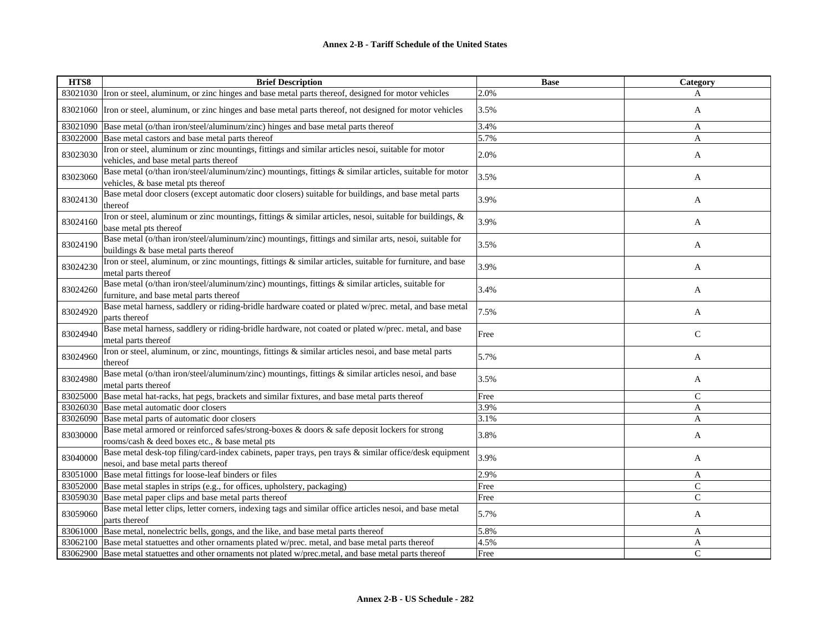| HTS8     | <b>Brief Description</b>                                                                                                                        | <b>Base</b> | Category      |
|----------|-------------------------------------------------------------------------------------------------------------------------------------------------|-------------|---------------|
|          | 83021030 Iron or steel, aluminum, or zinc hinges and base metal parts thereof, designed for motor vehicles                                      | 2.0%        | A             |
|          | 83021060 Tron or steel, aluminum, or zinc hinges and base metal parts thereof, not designed for motor vehicles                                  | 3.5%        | A             |
| 83021090 | Base metal (o/than iron/steel/aluminum/zinc) hinges and base metal parts thereof                                                                | 3.4%        | A             |
| 83022000 | Base metal castors and base metal parts thereof                                                                                                 | 5.7%        | A             |
| 83023030 | Iron or steel, aluminum or zinc mountings, fittings and similar articles nesoi, suitable for motor<br>vehicles, and base metal parts thereof    | 2.0%        | A             |
| 83023060 | Base metal (o/than iron/steel/aluminum/zinc) mountings, fittings & similar articles, suitable for motor<br>vehicles, & base metal pts thereof   | 3.5%        | A             |
| 83024130 | Base metal door closers (except automatic door closers) suitable for buildings, and base metal parts<br>thereof                                 | 3.9%        | A             |
| 83024160 | Iron or steel, aluminum or zinc mountings, fittings & similar articles, nesoi, suitable for buildings, &<br>base metal pts thereof              | 3.9%        | A             |
| 83024190 | Base metal (o/than iron/steel/aluminum/zinc) mountings, fittings and similar arts, nesoi, suitable for<br>buildings & base metal parts thereof  | 3.5%        | A             |
| 83024230 | Iron or steel, aluminum, or zinc mountings, fittings & similar articles, suitable for furniture, and base<br>metal parts thereof                | 3.9%        | A             |
| 83024260 | Base metal (o/than iron/steel/aluminum/zinc) mountings, fittings & similar articles, suitable for<br>furniture, and base metal parts thereof    | 3.4%        | A             |
| 83024920 | Base metal harness, saddlery or riding-bridle hardware coated or plated w/prec. metal, and base metal<br>parts thereof                          | 7.5%        | A             |
| 83024940 | Base metal harness, saddlery or riding-bridle hardware, not coated or plated w/prec. metal, and base<br>metal parts thereof                     | Free        | $\mathsf{C}$  |
| 83024960 | Iron or steel, aluminum, or zinc, mountings, fittings & similar articles nesoi, and base metal parts<br>thereof                                 | 5.7%        | A             |
| 83024980 | Base metal (o/than iron/steel/aluminum/zinc) mountings, fittings & similar articles nesoi, and base<br>metal parts thereof                      | 3.5%        | A             |
| 83025000 | Base metal hat-racks, hat pegs, brackets and similar fixtures, and base metal parts thereof                                                     | Free        | $\mathcal{C}$ |
| 83026030 | Base metal automatic door closers                                                                                                               | 3.9%        | A             |
| 83026090 | Base metal parts of automatic door closers                                                                                                      | 3.1%        | A             |
| 83030000 | Base metal armored or reinforced safes/strong-boxes & doors & safe deposit lockers for strong<br>rooms/cash & deed boxes etc., & base metal pts | 3.8%        | A             |
| 83040000 | Base metal desk-top filing/card-index cabinets, paper trays, pen trays & similar office/desk equipment<br>nesoi, and base metal parts thereof   | 3.9%        | A             |
| 83051000 | Base metal fittings for loose-leaf binders or files                                                                                             | 2.9%        | A             |
| 83052000 | Base metal staples in strips (e.g., for offices, upholstery, packaging)                                                                         | Free        | $\mathsf{C}$  |
| 83059030 | Base metal paper clips and base metal parts thereof                                                                                             | Free        | $\mathsf{C}$  |
| 83059060 | Base metal letter clips, letter corners, indexing tags and similar office articles nesoi, and base metal<br>parts thereof                       | 5.7%        | A             |
| 83061000 | Base metal, nonelectric bells, gongs, and the like, and base metal parts thereof                                                                | 5.8%        | A             |
|          | 83062100 Base metal statuettes and other ornaments plated w/prec. metal, and base metal parts thereof                                           | 4.5%        | A             |
|          | 83062900 Base metal statuettes and other ornaments not plated w/prec.metal, and base metal parts thereof                                        | Free        | $\mathcal{C}$ |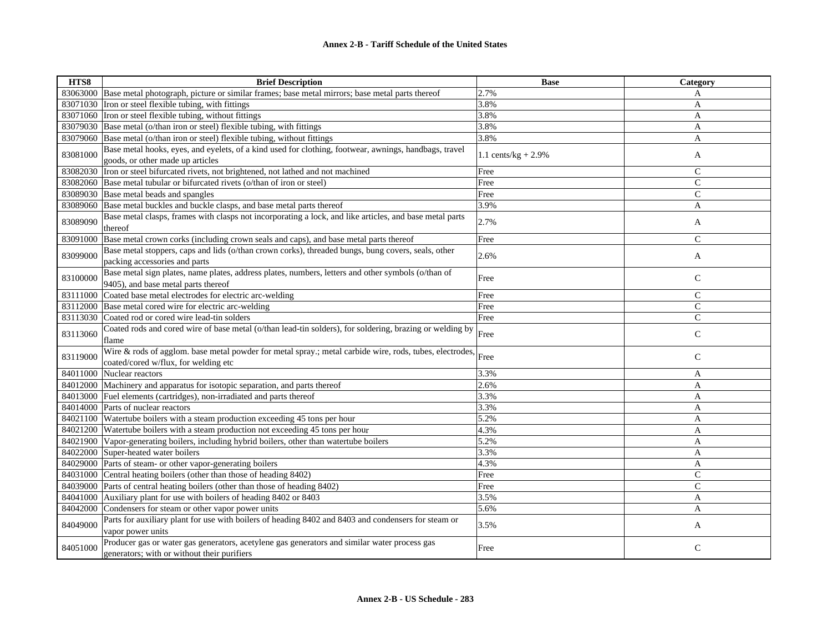| HTS8     | <b>Brief Description</b>                                                                                                                             | <b>Base</b>            | Category      |
|----------|------------------------------------------------------------------------------------------------------------------------------------------------------|------------------------|---------------|
|          | 83063000 Base metal photograph, picture or similar frames; base metal mirrors; base metal parts thereof                                              | 2.7%                   | A             |
|          | 83071030 Iron or steel flexible tubing, with fittings                                                                                                | 3.8%                   | A             |
|          | 83071060 Tron or steel flexible tubing, without fittings                                                                                             | 3.8%                   | A             |
|          | 83079030 Base metal (o/than iron or steel) flexible tubing, with fittings                                                                            | 3.8%                   | A             |
|          | 83079060 Base metal (o/than iron or steel) flexible tubing, without fittings                                                                         | 3.8%                   | A             |
| 83081000 | Base metal hooks, eyes, and eyelets, of a kind used for clothing, footwear, awnings, handbags, travel<br>goods, or other made up articles            | 1.1 cents/ $kg + 2.9%$ | A             |
| 83082030 | Iron or steel bifurcated rivets, not brightened, not lathed and not machined                                                                         | Free                   | $\mathsf{C}$  |
|          | 83082060 Base metal tubular or bifurcated rivets (o/than of iron or steel)                                                                           | Free                   | $\mathcal{C}$ |
| 83089030 | Base metal beads and spangles                                                                                                                        | Free                   | $\mathsf{C}$  |
| 83089060 | Base metal buckles and buckle clasps, and base metal parts thereof                                                                                   | 3.9%                   | A             |
| 83089090 | Base metal clasps, frames with clasps not incorporating a lock, and like articles, and base metal parts<br>thereof                                   | 2.7%                   | A             |
| 83091000 | Base metal crown corks (including crown seals and caps), and base metal parts thereof                                                                | Free                   | $\mathsf{C}$  |
| 83099000 | Base metal stoppers, caps and lids (o/than crown corks), threaded bungs, bung covers, seals, other<br>packing accessories and parts                  | 2.6%                   | A             |
| 83100000 | Base metal sign plates, name plates, address plates, numbers, letters and other symbols (o/than of<br>9405), and base metal parts thereof            | Free                   | $\mathsf{C}$  |
| 83111000 | Coated base metal electrodes for electric arc-welding                                                                                                | Free                   | $\mathsf{C}$  |
|          | 83112000 Base metal cored wire for electric arc-welding                                                                                              | Free                   | $\mathsf{C}$  |
| 83113030 | Coated rod or cored wire lead-tin solders                                                                                                            | Free                   | $\mathsf{C}$  |
| 83113060 | Coated rods and cored wire of base metal (o/than lead-tin solders), for soldering, brazing or welding by<br>flame                                    | Free                   | $\mathsf{C}$  |
| 83119000 | Wire & rods of agglom. base metal powder for metal spray.; metal carbide wire, rods, tubes, electrodes, Free<br>coated/cored w/flux, for welding etc |                        | $\mathsf{C}$  |
| 84011000 | Nuclear reactors                                                                                                                                     | 3.3%                   | A             |
| 84012000 | Machinery and apparatus for isotopic separation, and parts thereof                                                                                   | 2.6%                   | A             |
| 84013000 | Fuel elements (cartridges), non-irradiated and parts thereof                                                                                         | 3.3%                   | A             |
| 84014000 | Parts of nuclear reactors                                                                                                                            | 3.3%                   | A             |
| 84021100 | Watertube boilers with a steam production exceeding 45 tons per hour                                                                                 | 5.2%                   | A             |
|          | 84021200 Watertube boilers with a steam production not exceeding 45 tons per hour                                                                    | 4.3%                   | A             |
|          | 84021900 Vapor-generating boilers, including hybrid boilers, other than watertube boilers                                                            | 5.2%                   | A             |
|          | 84022000 Super-heated water boilers                                                                                                                  | 3.3%                   | A             |
| 84029000 | Parts of steam- or other vapor-generating boilers                                                                                                    | 4.3%                   | A             |
| 84031000 | Central heating boilers (other than those of heading 8402)                                                                                           | Free                   | $\mathsf{C}$  |
| 84039000 | Parts of central heating boilers (other than those of heading 8402)                                                                                  | Free                   | $\mathsf{C}$  |
| 84041000 | Auxiliary plant for use with boilers of heading 8402 or 8403                                                                                         | 3.5%                   | A             |
| 84042000 | Condensers for steam or other vapor power units                                                                                                      | 5.6%                   | A             |
| 84049000 | Parts for auxiliary plant for use with boilers of heading 8402 and 8403 and condensers for steam or<br>vapor power units                             | 3.5%                   | A             |
| 84051000 | Producer gas or water gas generators, acetylene gas generators and similar water process gas<br>generators; with or without their purifiers          | Free                   | $\mathsf{C}$  |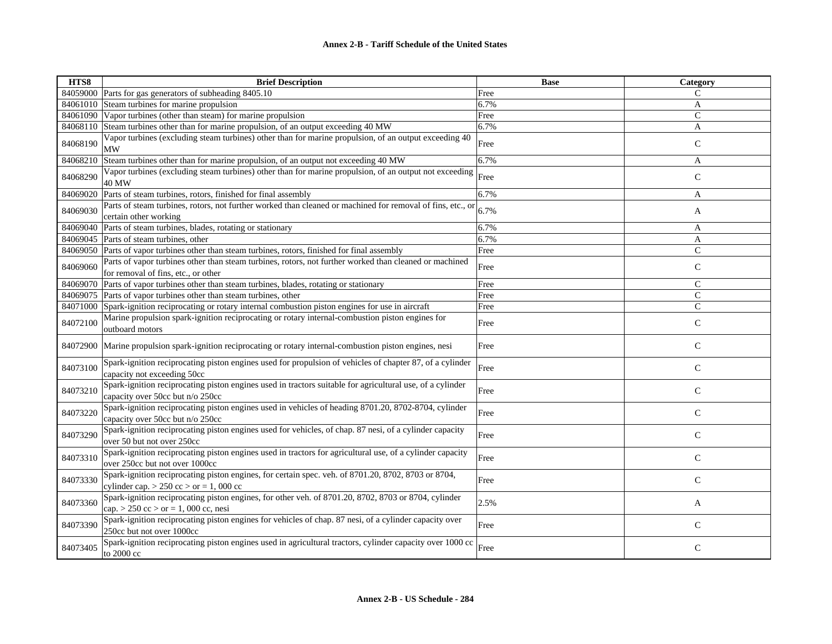| HTS8     | <b>Brief Description</b>                                                                                                                            | <b>Base</b> | Category     |
|----------|-----------------------------------------------------------------------------------------------------------------------------------------------------|-------------|--------------|
| 84059000 | Parts for gas generators of subheading 8405.10                                                                                                      | Free        | $\mathsf{C}$ |
| 84061010 | Steam turbines for marine propulsion                                                                                                                | 6.7%        | A            |
| 84061090 | Vapor turbines (other than steam) for marine propulsion                                                                                             | Free        | $\mathsf{C}$ |
| 84068110 | Steam turbines other than for marine propulsion, of an output exceeding 40 MW                                                                       | 6.7%        | A            |
| 84068190 | Vapor turbines (excluding steam turbines) other than for marine propulsion, of an output exceeding 40<br><b>MW</b>                                  | Free        | $\mathsf{C}$ |
| 84068210 | Steam turbines other than for marine propulsion, of an output not exceeding 40 MW                                                                   | 6.7%        | A            |
| 84068290 | Vapor turbines (excluding steam turbines) other than for marine propulsion, of an output not exceeding<br><b>40 MW</b>                              | Free        | $\mathsf{C}$ |
| 84069020 | Parts of steam turbines, rotors, finished for final assembly                                                                                        | 6.7%        | A            |
| 84069030 | Parts of steam turbines, rotors, not further worked than cleaned or machined for removal of fins, etc., or<br>certain other working                 | 6.7%        | A            |
| 84069040 | Parts of steam turbines, blades, rotating or stationary                                                                                             | 6.7%        | A            |
| 84069045 | Parts of steam turbines, other                                                                                                                      | 6.7%        | A            |
| 84069050 | Parts of vapor turbines other than steam turbines, rotors, finished for final assembly                                                              | Free        | $\mathsf{C}$ |
| 84069060 | Parts of vapor turbines other than steam turbines, rotors, not further worked than cleaned or machined<br>for removal of fins, etc., or other       | Free        | $\mathsf{C}$ |
| 84069070 | Parts of vapor turbines other than steam turbines, blades, rotating or stationary                                                                   | Free        | $\mathsf{C}$ |
| 84069075 | Parts of vapor turbines other than steam turbines, other                                                                                            | Free        | $\mathsf{C}$ |
| 84071000 | Spark-ignition reciprocating or rotary internal combustion piston engines for use in aircraft                                                       | Free        | $\mathbf C$  |
| 84072100 | Marine propulsion spark-ignition reciprocating or rotary internal-combustion piston engines for<br>outboard motors                                  | Free        | $\mathsf{C}$ |
| 84072900 | Marine propulsion spark-ignition reciprocating or rotary internal-combustion piston engines, nesi                                                   | Free        | $\mathsf{C}$ |
| 84073100 | Spark-ignition reciprocating piston engines used for propulsion of vehicles of chapter 87, of a cylinder<br>capacity not exceeding 50cc             | Free        | $\mathsf{C}$ |
| 84073210 | Spark-ignition reciprocating piston engines used in tractors suitable for agricultural use, of a cylinder<br>capacity over 50cc but n/o 250cc       | Free        | $\mathsf C$  |
| 84073220 | Spark-ignition reciprocating piston engines used in vehicles of heading 8701.20, 8702-8704, cylinder<br>capacity over 50cc but n/o 250cc            | Free        | $\mathsf{C}$ |
| 84073290 | Spark-ignition reciprocating piston engines used for vehicles, of chap. 87 nesi, of a cylinder capacity<br>over 50 but not over 250cc               | Free        | $\mathsf{C}$ |
| 84073310 | Spark-ignition reciprocating piston engines used in tractors for agricultural use, of a cylinder capacity<br>over 250cc but not over 1000cc         | Free        | $\mathsf{C}$ |
| 84073330 | Spark-ignition reciprocating piston engines, for certain spec. veh. of 8701.20, 8702, 8703 or 8704,<br>cylinder cap. $> 250$ cc $>$ or $= 1,000$ cc | Free        | $\mathsf{C}$ |
| 84073360 | Spark-ignition reciprocating piston engines, for other veh. of 8701.20, 8702, 8703 or 8704, cylinder<br>cap. > 250 cc > or = 1, 000 cc, nesi        | 2.5%        | A            |
| 84073390 | Spark-ignition reciprocating piston engines for vehicles of chap. 87 nesi, of a cylinder capacity over<br>250cc but not over 1000cc                 | Free        | $\mathsf{C}$ |
| 84073405 | Spark-ignition reciprocating piston engines used in agricultural tractors, cylinder capacity over 1000 cc<br>to 2000 cc                             | Free        | $\mathsf{C}$ |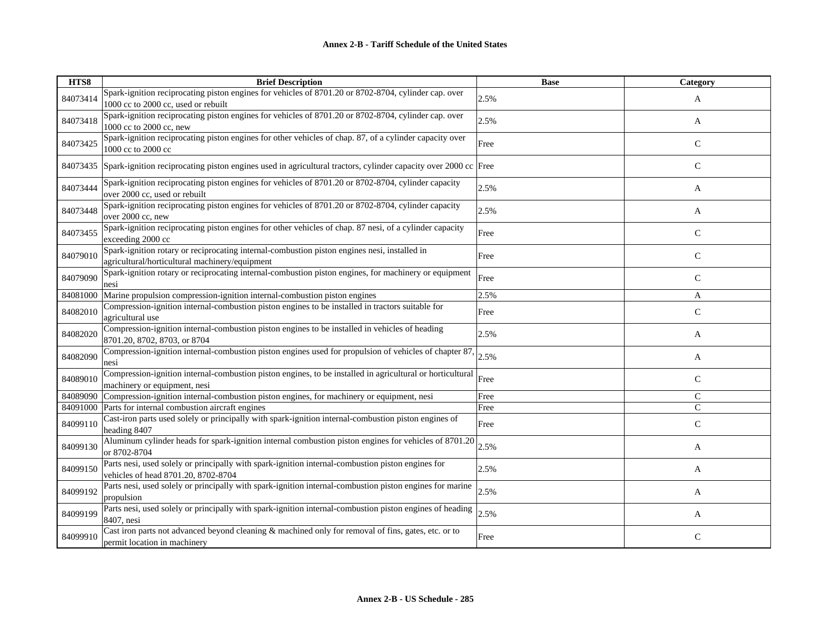| HTS8     | <b>Brief Description</b>                                                                                                                       | <b>Base</b> | Category      |
|----------|------------------------------------------------------------------------------------------------------------------------------------------------|-------------|---------------|
| 84073414 | Spark-ignition reciprocating piston engines for vehicles of 8701.20 or 8702-8704, cylinder cap. over<br>1000 cc to 2000 cc, used or rebuilt    | 2.5%        | A             |
| 84073418 | Spark-ignition reciprocating piston engines for vehicles of 8701.20 or 8702-8704, cylinder cap. over<br>1000 cc to 2000 cc, new                | 2.5%        | A             |
| 84073425 | Spark-ignition reciprocating piston engines for other vehicles of chap. 87, of a cylinder capacity over<br>1000 cc to 2000 cc                  | Free        | $\mathsf{C}$  |
| 84073435 | Spark-ignition reciprocating piston engines used in agricultural tractors, cylinder capacity over 2000 cc Free                                 |             | $\mathsf{C}$  |
| 84073444 | Spark-ignition reciprocating piston engines for vehicles of 8701.20 or 8702-8704, cylinder capacity<br>over 2000 cc, used or rebuilt           | 2.5%        | A             |
| 84073448 | Spark-ignition reciprocating piston engines for vehicles of 8701.20 or 8702-8704, cylinder capacity<br>over 2000 cc, new                       | 2.5%        | A             |
| 84073455 | Spark-ignition reciprocating piston engines for other vehicles of chap. 87 nesi, of a cylinder capacity<br>exceeding 2000 cc                   | Free        | $\mathbf C$   |
| 84079010 | Spark-ignition rotary or reciprocating internal-combustion piston engines nesi, installed in<br>agricultural/horticultural machinery/equipment | Free        | $\mathsf{C}$  |
| 84079090 | Spark-ignition rotary or reciprocating internal-combustion piston engines, for machinery or equipment<br>nesi                                  | Free        | $\mathsf{C}$  |
| 84081000 | Marine propulsion compression-ignition internal-combustion piston engines                                                                      | 2.5%        | A             |
| 84082010 | Compression-ignition internal-combustion piston engines to be installed in tractors suitable for<br>agricultural use                           | Free        | $\mathcal{C}$ |
| 84082020 | Compression-ignition internal-combustion piston engines to be installed in vehicles of heading<br>8701.20, 8702, 8703, or 8704                 | 2.5%        | A             |
| 84082090 | Compression-ignition internal-combustion piston engines used for propulsion of vehicles of chapter 87,<br>nesi                                 | 2.5%        | A             |
| 84089010 | Compression-ignition internal-combustion piston engines, to be installed in agricultural or horticultural<br>machinery or equipment, nesi      | Free        | $\mathsf{C}$  |
| 84089090 | Compression-ignition internal-combustion piston engines, for machinery or equipment, nesi                                                      | Free        | C             |
| 84091000 | Parts for internal combustion aircraft engines                                                                                                 | Free        | $\mathcal{C}$ |
| 84099110 | Cast-iron parts used solely or principally with spark-ignition internal-combustion piston engines of<br>heading 8407                           | Free        | $\mathsf{C}$  |
| 84099130 | Aluminum cylinder heads for spark-ignition internal combustion piston engines for vehicles of 8701.20<br>or 8702-8704                          | 2.5%        | A             |
| 84099150 | Parts nesi, used solely or principally with spark-ignition internal-combustion piston engines for<br>vehicles of head 8701.20, 8702-8704       | 2.5%        | A             |
| 84099192 | Parts nesi, used solely or principally with spark-ignition internal-combustion piston engines for marine<br>propulsion                         | 2.5%        | A             |
| 84099199 | Parts nesi, used solely or principally with spark-ignition internal-combustion piston engines of heading<br>8407, nesi                         | 2.5%        | A             |
| 84099910 | Cast iron parts not advanced beyond cleaning & machined only for removal of fins, gates, etc. or to<br>permit location in machinery            | Free        | $\mathsf{C}$  |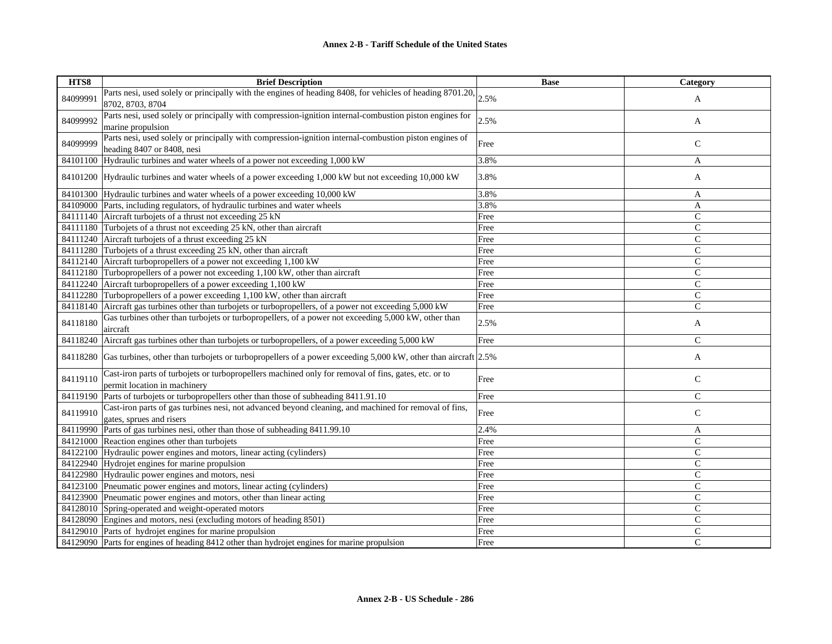| HTS8     | <b>Brief Description</b>                                                                                                                      | <b>Base</b> | Category       |
|----------|-----------------------------------------------------------------------------------------------------------------------------------------------|-------------|----------------|
| 84099991 | Parts nesi, used solely or principally with the engines of heading 8408, for vehicles of heading 8701.20, $\vert_{2.5\%}$<br>8702, 8703, 8704 |             | A              |
| 84099992 | Parts nesi, used solely or principally with compression-ignition internal-combustion piston engines for<br>marine propulsion                  | 2.5%        | A              |
| 84099999 | Parts nesi, used solely or principally with compression-ignition internal-combustion piston engines of<br>heading 8407 or 8408, nesi          | Free        | $\mathsf{C}$   |
| 84101100 | Hydraulic turbines and water wheels of a power not exceeding 1,000 kW                                                                         | 3.8%        | A              |
|          | 84101200 Hydraulic turbines and water wheels of a power exceeding 1,000 kW but not exceeding 10,000 kW                                        | 3.8%        | A              |
|          | 84101300 Hydraulic turbines and water wheels of a power exceeding 10,000 kW                                                                   | 3.8%        | A              |
|          | 84109000 Parts, including regulators, of hydraulic turbines and water wheels                                                                  | 3.8%        | $\mathbf{A}$   |
|          | 84111140 Aircraft turbojets of a thrust not exceeding 25 kN                                                                                   | Free        | $\mathsf{C}$   |
|          | 84111180 Turbojets of a thrust not exceeding 25 kN, other than aircraft                                                                       | Free        | $\mathsf{C}$   |
|          | 84111240 Aircraft turbojets of a thrust exceeding 25 kN                                                                                       | Free        | $\mathsf{C}$   |
|          | 84111280 Turbojets of a thrust exceeding 25 kN, other than aircraft                                                                           | Free        | $\mathsf{C}$   |
|          | 84112140 Aircraft turbopropellers of a power not exceeding 1,100 kW                                                                           | Free        | $\mathsf{C}$   |
|          | 84112180 Turbopropellers of a power not exceeding 1,100 kW, other than aircraft                                                               | Free        | $\mathsf{C}$   |
| 84112240 | Aircraft turbopropellers of a power exceeding 1,100 kW                                                                                        | Free        | $\mathsf{C}$   |
| 84112280 | Turbopropellers of a power exceeding 1,100 kW, other than aircraft                                                                            | Free        | $\mathsf{C}$   |
| 84118140 | Aircraft gas turbines other than turbojets or turbopropellers, of a power not exceeding 5,000 kW                                              | Free        | $\mathsf{C}$   |
| 84118180 | Gas turbines other than turbojets or turbopropellers, of a power not exceeding 5,000 kW, other than<br>aircraft                               | 2.5%        | A              |
| 84118240 | Aircraft gas turbines other than turbojets or turbopropellers, of a power exceeding 5,000 kW                                                  | Free        | $\overline{C}$ |
| 84118280 | Gas turbines, other than turbojets or turbopropellers of a power exceeding 5,000 kW, other than aircraft 2.5%                                 |             | A              |
| 84119110 | Cast-iron parts of turbojets or turbopropellers machined only for removal of fins, gates, etc. or to<br>permit location in machinery          | Free        | $\mathsf{C}$   |
| 84119190 | Parts of turbojets or turbopropellers other than those of subheading 8411.91.10                                                               | Free        | $\mathsf C$    |
| 84119910 | Cast-iron parts of gas turbines nesi, not advanced beyond cleaning, and machined for removal of fins,<br>gates, sprues and risers             | Free        | $\mathsf{C}$   |
| 84119990 | Parts of gas turbines nesi, other than those of subheading 8411.99.10                                                                         | 2.4%        | A              |
|          | 84121000 Reaction engines other than turbojets                                                                                                | Free        | $\mathsf{C}$   |
|          | 84122100 Hydraulic power engines and motors, linear acting (cylinders)                                                                        | Free        | $\mathsf{C}$   |
|          | 84122940 Hydrojet engines for marine propulsion                                                                                               | Free        | $\mathsf{C}$   |
|          | 84122980 Hydraulic power engines and motors, nesi                                                                                             | Free        | $\mathsf{C}$   |
|          | 84123100 Pneumatic power engines and motors, linear acting (cylinders)                                                                        | Free        | $\mathsf{C}$   |
|          | 84123900 Pneumatic power engines and motors, other than linear acting                                                                         | Free        | $\mathsf{C}$   |
| 84128010 | Spring-operated and weight-operated motors                                                                                                    | Free        | $\mathsf{C}$   |
|          | 84128090 Engines and motors, nesi (excluding motors of heading 8501)                                                                          | Free        | $\mathsf{C}$   |
|          | 84129010 Parts of hydrojet engines for marine propulsion                                                                                      | Free        | $\mathsf{C}$   |
|          | 84129090 Parts for engines of heading 8412 other than hydrojet engines for marine propulsion                                                  | Free        | $\overline{C}$ |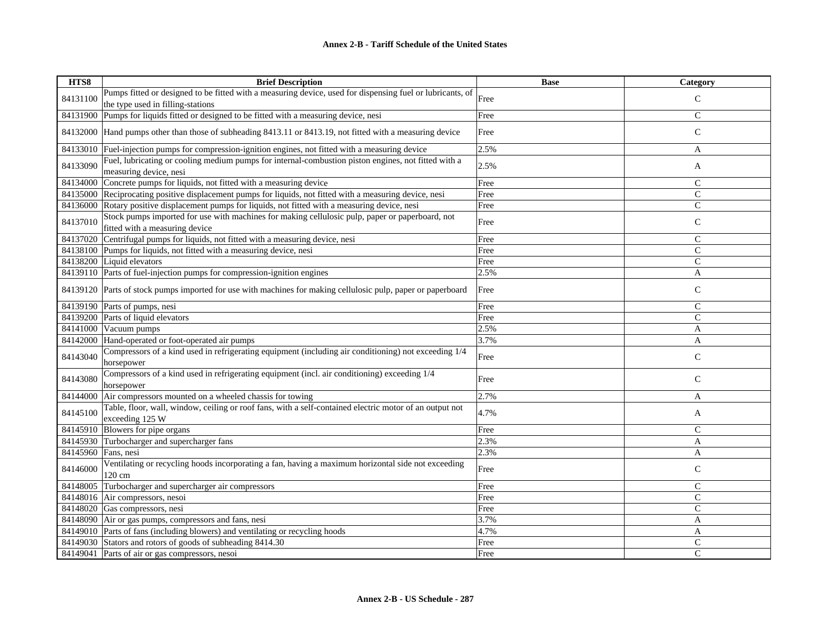| HTS8     | <b>Brief Description</b>                                                                                                          | <b>Base</b> | <b>Category</b> |
|----------|-----------------------------------------------------------------------------------------------------------------------------------|-------------|-----------------|
| 84131100 | Pumps fitted or designed to be fitted with a measuring device, used for dispensing fuel or lubricants, of                         | Free        | $\mathsf{C}$    |
|          | the type used in filling-stations                                                                                                 |             |                 |
| 84131900 | Pumps for liquids fitted or designed to be fitted with a measuring device, nesi                                                   | Free        | $\mathsf{C}$    |
|          | 84132000 Hand pumps other than those of subheading 8413.11 or 8413.19, not fitted with a measuring device                         | Free        | $\mathsf{C}$    |
| 84133010 | Fuel-injection pumps for compression-ignition engines, not fitted with a measuring device                                         | 2.5%        | A               |
| 84133090 | Fuel, lubricating or cooling medium pumps for internal-combustion piston engines, not fitted with a<br>measuring device, nesi     | 2.5%        | A               |
| 84134000 | Concrete pumps for liquids, not fitted with a measuring device                                                                    | Free        | $\mathsf{C}$    |
|          | 84135000 Reciprocating positive displacement pumps for liquids, not fitted with a measuring device, nesi                          | Free        | $\mathsf{C}$    |
|          | 84136000 Rotary positive displacement pumps for liquids, not fitted with a measuring device, nesi                                 | Free        | $\mathsf{C}$    |
| 84137010 | Stock pumps imported for use with machines for making cellulosic pulp, paper or paperboard, not<br>fitted with a measuring device | Free        | $\mathsf C$     |
| 84137020 | Centrifugal pumps for liquids, not fitted with a measuring device, nesi                                                           | Free        | $\mathsf{C}$    |
|          | 84138100 Pumps for liquids, not fitted with a measuring device, nesi                                                              | Free        | $\mathsf{C}$    |
|          | 84138200 Liquid elevators                                                                                                         | Free        | $\mathsf{C}$    |
|          | 84139110 Parts of fuel-injection pumps for compression-ignition engines                                                           | 2.5%        | A               |
| 84139120 | Parts of stock pumps imported for use with machines for making cellulosic pulp, paper or paperboard                               | Free        | $\mathbf C$     |
| 84139190 | Parts of pumps, nesi                                                                                                              | Free        | $\mathsf{C}$    |
| 84139200 | Parts of liquid elevators                                                                                                         | Free        | $\mathsf{C}$    |
| 84141000 | Vacuum pumps                                                                                                                      | 2.5%        | A               |
|          | 84142000 Hand-operated or foot-operated air pumps                                                                                 | 3.7%        | A               |
| 84143040 | Compressors of a kind used in refrigerating equipment (including air conditioning) not exceeding 1/4<br>horsepower                | Free        | $\mathsf{C}$    |
| 84143080 | Compressors of a kind used in refrigerating equipment (incl. air conditioning) exceeding 1/4<br>horsepower                        | Free        | $\mathsf{C}$    |
| 84144000 | Air compressors mounted on a wheeled chassis for towing                                                                           | 2.7%        | A               |
| 84145100 | Table, floor, wall, window, ceiling or roof fans, with a self-contained electric motor of an output not<br>exceeding 125 W        | 4.7%        | A               |
| 84145910 | Blowers for pipe organs                                                                                                           | Free        | $\mathsf{C}$    |
| 84145930 | Turbocharger and supercharger fans                                                                                                | 2.3%        | $\mathbf{A}$    |
| 84145960 | Fans, nesi                                                                                                                        | 2.3%        | A               |
| 84146000 | Ventilating or recycling hoods incorporating a fan, having a maximum horizontal side not exceeding<br>120 cm                      | Free        | $\mathsf{C}$    |
| 84148005 | Turbocharger and supercharger air compressors                                                                                     | Free        | $\mathcal{C}$   |
| 84148016 | Air compressors, nesoi                                                                                                            | Free        | $\mathsf{C}$    |
| 84148020 | Gas compressors, nesi                                                                                                             | Free        | $\mathsf{C}$    |
|          | 84148090 Air or gas pumps, compressors and fans, nesi                                                                             | 3.7%        | A               |
| 84149010 | Parts of fans (including blowers) and ventilating or recycling hoods                                                              | 4.7%        | A               |
| 84149030 | Stators and rotors of goods of subheading 8414.30                                                                                 | Free        | $\mathsf{C}$    |
| 84149041 | Parts of air or gas compressors, nesoi                                                                                            | Free        | $\mathcal{C}$   |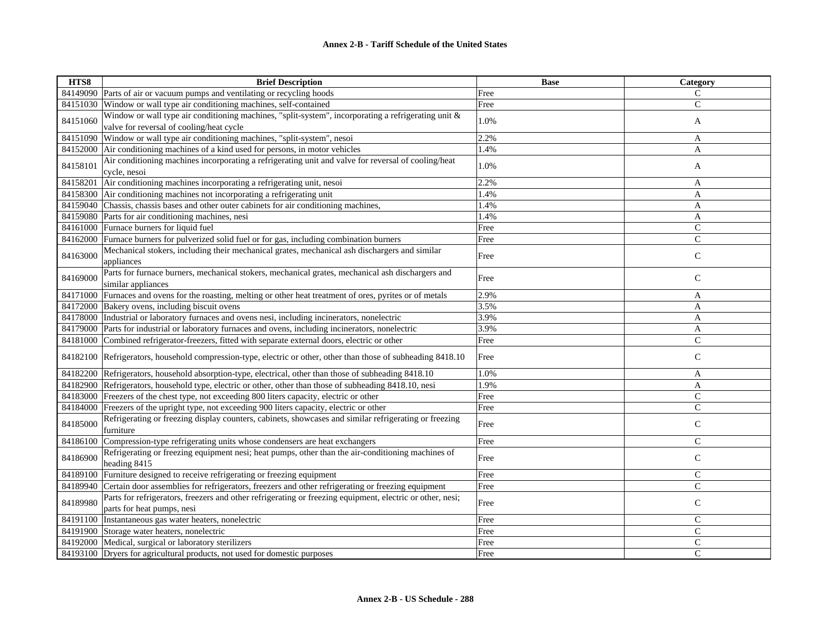| HTS8     | <b>Brief Description</b>                                                                                                                        | <b>Base</b> | Category      |
|----------|-------------------------------------------------------------------------------------------------------------------------------------------------|-------------|---------------|
|          | 84149090 Parts of air or vacuum pumps and ventilating or recycling hoods                                                                        | Free        | C             |
| 84151030 | Window or wall type air conditioning machines, self-contained                                                                                   | Free        | $\mathsf{C}$  |
| 84151060 | Window or wall type air conditioning machines, "split-system", incorporating a refrigerating unit &<br>valve for reversal of cooling/heat cycle | 1.0%        | A             |
|          | 84151090 Window or wall type air conditioning machines, "split-system", nesoi                                                                   | 2.2%        | A             |
|          | 84152000 Air conditioning machines of a kind used for persons, in motor vehicles                                                                | 1.4%        | A             |
| 84158101 | Air conditioning machines incorporating a refrigerating unit and valve for reversal of cooling/heat<br>cycle, nesoi                             | 1.0%        | A             |
| 84158201 | Air conditioning machines incorporating a refrigerating unit, nesoi                                                                             | 2.2%        | A             |
|          | 84158300 Air conditioning machines not incorporating a refrigerating unit                                                                       | 1.4%        | $\mathbf{A}$  |
|          | 84159040 Chassis, chassis bases and other outer cabinets for air conditioning machines,                                                         | 1.4%        | A             |
|          | 84159080 Parts for air conditioning machines, nesi                                                                                              | 1.4%        | $\mathbf{A}$  |
|          | 84161000 Furnace burners for liquid fuel                                                                                                        | Free        | $\mathsf{C}$  |
|          | 84162000 Furnace burners for pulverized solid fuel or for gas, including combination burners                                                    | Free        | $\mathsf{C}$  |
| 84163000 | Mechanical stokers, including their mechanical grates, mechanical ash dischargers and similar<br>appliances                                     | Free        | $\mathsf{C}$  |
| 84169000 | Parts for furnace burners, mechanical stokers, mechanical grates, mechanical ash dischargers and<br>similar appliances                          | Free        | $\mathsf{C}$  |
| 84171000 | Furnaces and ovens for the roasting, melting or other heat treatment of ores, pyrites or of metals                                              | 2.9%        | A             |
|          | 84172000 Bakery ovens, including biscuit ovens                                                                                                  | 3.5%        | A             |
|          | 84178000 Industrial or laboratory furnaces and ovens nesi, including incinerators, nonelectric                                                  | 3.9%        | A             |
| 84179000 | Parts for industrial or laboratory furnaces and ovens, including incinerators, nonelectric                                                      | 3.9%        | A             |
|          | 84181000 Combined refrigerator-freezers, fitted with separate external doors, electric or other                                                 | Free        | $\mathsf{C}$  |
|          | 84182100 Refrigerators, household compression-type, electric or other, other than those of subheading 8418.10                                   | Free        | $\mathsf{C}$  |
|          | 84182200 Refrigerators, household absorption-type, electrical, other than those of subheading 8418.10                                           | 1.0%        | A             |
|          | 84182900 Refrigerators, household type, electric or other, other than those of subheading 8418.10, nesi                                         | 1.9%        | A             |
|          | 84183000 Freezers of the chest type, not exceeding 800 liters capacity, electric or other                                                       | Free        | $\mathsf{C}$  |
|          | 84184000 Freezers of the upright type, not exceeding 900 liters capacity, electric or other                                                     | Free        | $\mathsf{C}$  |
| 84185000 | Refrigerating or freezing display counters, cabinets, showcases and similar refrigerating or freezing<br>furniture                              | Free        | $\mathsf{C}$  |
| 84186100 | Compression-type refrigerating units whose condensers are heat exchangers                                                                       | Free        | $\mathcal{C}$ |
| 84186900 | Refrigerating or freezing equipment nesi; heat pumps, other than the air-conditioning machines of<br>heading 8415                               | Free        | $\mathbf C$   |
|          | 84189100 Furniture designed to receive refrigerating or freezing equipment                                                                      | Free        | $\mathsf{C}$  |
|          | 84189940 Certain door assemblies for refrigerators, freezers and other refrigerating or freezing equipment                                      | Free        | $\mathsf{C}$  |
| 84189980 | Parts for refrigerators, freezers and other refrigerating or freezing equipment, electric or other, nesi;<br>parts for heat pumps, nesi         | Free        | $\mathbf C$   |
|          | 84191100 Instantaneous gas water heaters, nonelectric                                                                                           | Free        | $\mathsf{C}$  |
|          | 84191900 Storage water heaters, nonelectric                                                                                                     | Free        | $\mathsf{C}$  |
|          | 84192000 Medical, surgical or laboratory sterilizers                                                                                            | Free        | $\mathsf C$   |
|          | 84193100 Dryers for agricultural products, not used for domestic purposes                                                                       | Free        | $\mathcal{C}$ |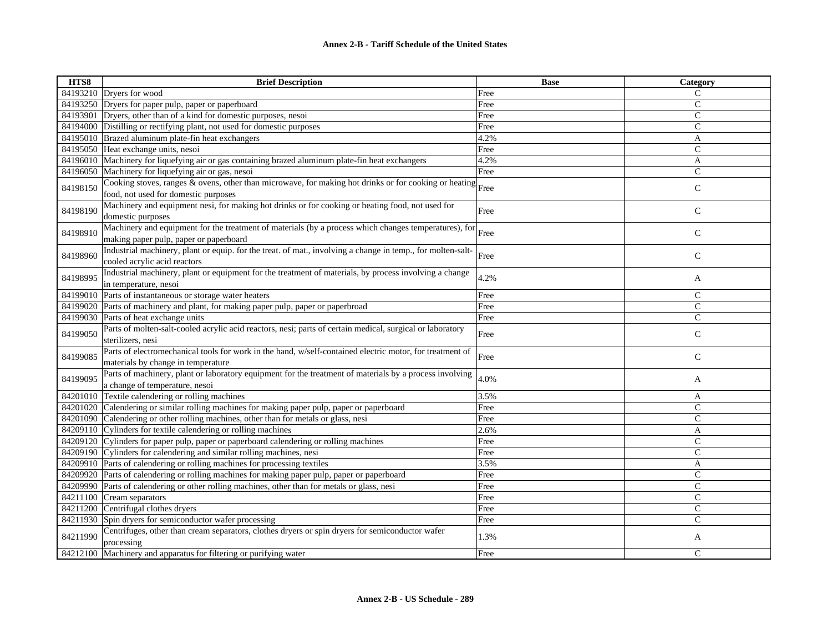| HTS8     | <b>Brief Description</b>                                                                                                                       | <b>Base</b> | Category      |
|----------|------------------------------------------------------------------------------------------------------------------------------------------------|-------------|---------------|
|          | 84193210 Dryers for wood                                                                                                                       | Free        | C             |
|          | 84193250 Dryers for paper pulp, paper or paperboard                                                                                            | Free        | $\mathsf{C}$  |
| 84193901 | Dryers, other than of a kind for domestic purposes, nesoi                                                                                      | Free        | $\mathcal{C}$ |
|          | 84194000 Distilling or rectifying plant, not used for domestic purposes                                                                        | Free        | $\mathcal{C}$ |
|          | 84195010 Brazed aluminum plate-fin heat exchangers                                                                                             | 4.2%        | A             |
|          | 84195050 Heat exchange units, nesoi                                                                                                            | Free        | $\mathbf C$   |
| 84196010 | Machinery for liquefying air or gas containing brazed aluminum plate-fin heat exchangers                                                       | 4.2%        | A             |
|          | 84196050 Machinery for liquefying air or gas, nesoi                                                                                            | Free        | $\mathsf{C}$  |
| 84198150 | Cooking stoves, ranges & ovens, other than microwave, for making hot drinks or for cooking or heating Free                                     |             | $\mathcal{C}$ |
|          | food, not used for domestic purposes                                                                                                           |             |               |
| 84198190 | Machinery and equipment nesi, for making hot drinks or for cooking or heating food, not used for<br>domestic purposes                          | Free        | $\mathcal{C}$ |
| 84198910 | Machinery and equipment for the treatment of materials (by a process which changes temperatures), for                                          | Free        | $\mathsf{C}$  |
|          | making paper pulp, paper or paperboard                                                                                                         |             |               |
| 84198960 | Industrial machinery, plant or equip. for the treat. of mat., involving a change in temp., for molten-salt-<br>cooled acrylic acid reactors    | Free        | ${\bf C}$     |
|          | Industrial machinery, plant or equipment for the treatment of materials, by process involving a change                                         |             |               |
| 84198995 | in temperature, nesoi                                                                                                                          | 4.2%        | A             |
| 84199010 | Parts of instantaneous or storage water heaters                                                                                                | Free        | $\mathsf{C}$  |
| 84199020 | Parts of machinery and plant, for making paper pulp, paper or paperbroad                                                                       | Free        | ${\bf C}$     |
| 84199030 | Parts of heat exchange units                                                                                                                   | Free        | $\mathcal{C}$ |
| 84199050 | Parts of molten-salt-cooled acrylic acid reactors, nesi; parts of certain medical, surgical or laboratory<br>sterilizers, nesi                 | Free        | $\mathsf{C}$  |
| 84199085 | Parts of electromechanical tools for work in the hand, w/self-contained electric motor, for treatment of<br>materials by change in temperature | Free        | $\mathsf{C}$  |
| 84199095 | Parts of machinery, plant or laboratory equipment for the treatment of materials by a process involving                                        | 4.0%        | A             |
|          | a change of temperature, nesoi                                                                                                                 |             |               |
| 84201010 | Textile calendering or rolling machines                                                                                                        | 3.5%        | A             |
|          | 84201020 Calendering or similar rolling machines for making paper pulp, paper or paperboard                                                    | Free        | $\mathsf{C}$  |
| 84201090 | Calendering or other rolling machines, other than for metals or glass, nesi                                                                    | Free        | $\mathsf{C}$  |
|          | 84209110 Cylinders for textile calendering or rolling machines                                                                                 | 2.6%        | $\mathbf{A}$  |
|          | 84209120 Cylinders for paper pulp, paper or paperboard calendering or rolling machines                                                         | Free        | $\mathcal{C}$ |
| 84209190 | Cylinders for calendering and similar rolling machines, nesi                                                                                   | Free        | $\mathbf C$   |
| 84209910 | Parts of calendering or rolling machines for processing textiles                                                                               | 3.5%        | A             |
| 84209920 | Parts of calendering or rolling machines for making paper pulp, paper or paperboard                                                            | Free        | $\mathcal{C}$ |
| 84209990 | Parts of calendering or other rolling machines, other than for metals or glass, nesi                                                           | Free        | $\mathcal{C}$ |
| 84211100 | Cream separators                                                                                                                               | Free        | $\mathsf{C}$  |
| 84211200 | Centrifugal clothes dryers                                                                                                                     | Free        | $\mathsf{C}$  |
| 84211930 | Spin dryers for semiconductor wafer processing                                                                                                 | Free        | $\mathcal{C}$ |
| 84211990 | Centrifuges, other than cream separators, clothes dryers or spin dryers for semiconductor wafer<br>processing                                  | 1.3%        | A             |
|          | 84212100 Machinery and apparatus for filtering or purifying water                                                                              | Free        | $\mathsf{C}$  |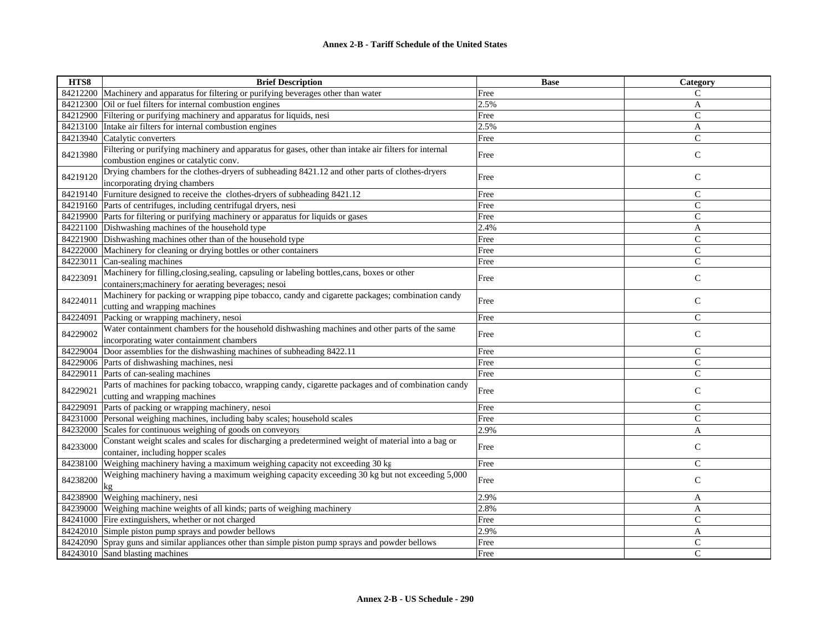| HTS8     | <b>Brief Description</b>                                                                                                                            | <b>Base</b> | Category       |
|----------|-----------------------------------------------------------------------------------------------------------------------------------------------------|-------------|----------------|
| 84212200 | Machinery and apparatus for filtering or purifying beverages other than water                                                                       | Free        | C              |
| 84212300 | Oil or fuel filters for internal combustion engines                                                                                                 | 2.5%        | A              |
| 84212900 | Filtering or purifying machinery and apparatus for liquids, nesi                                                                                    | Free        | $\mathsf{C}$   |
| 84213100 | Intake air filters for internal combustion engines                                                                                                  | 2.5%        | A              |
| 84213940 | Catalytic converters                                                                                                                                | Free        | $\mathsf{C}$   |
| 84213980 | Filtering or purifying machinery and apparatus for gases, other than intake air filters for internal                                                | Free        | $\mathbf C$    |
|          | combustion engines or catalytic conv.                                                                                                               |             |                |
| 84219120 | Drying chambers for the clothes-dryers of subheading 8421.12 and other parts of clothes-dryers                                                      | Free        | $\mathsf{C}$   |
|          | incorporating drying chambers                                                                                                                       |             |                |
| 84219140 | Furniture designed to receive the clothes-dryers of subheading 8421.12                                                                              | Free        | $\mathsf{C}$   |
| 84219160 | Parts of centrifuges, including centrifugal dryers, nesi                                                                                            | Free        | $\mathsf{C}$   |
|          | 84219900 Parts for filtering or purifying machinery or apparatus for liquids or gases                                                               | Free        | $\mathsf{C}$   |
| 84221100 | Dishwashing machines of the household type                                                                                                          | 2.4%        | A              |
| 84221900 | Dishwashing machines other than of the household type                                                                                               | Free        | $\mathsf{C}$   |
| 84222000 | Machinery for cleaning or drying bottles or other containers                                                                                        | Free        | $\mathsf{C}$   |
| 84223011 | Can-sealing machines                                                                                                                                | Free        | $\overline{C}$ |
| 84223091 | Machinery for filling, closing, sealing, capsuling or labeling bottles, cans, boxes or other<br>containers; machinery for aerating beverages; nesoi | Free        | $\mathsf{C}$   |
|          | Machinery for packing or wrapping pipe tobacco, candy and cigarette packages; combination candy                                                     |             |                |
| 84224011 |                                                                                                                                                     | Free        | $\mathsf{C}$   |
|          | cutting and wrapping machines                                                                                                                       | Free        | $\mathcal{C}$  |
| 84224091 | Packing or wrapping machinery, nesoi<br>Water containment chambers for the household dishwashing machines and other parts of the same               |             |                |
| 84229002 | incorporating water containment chambers                                                                                                            | Free        | $\mathsf{C}$   |
| 84229004 | Door assemblies for the dishwashing machines of subheading 8422.11                                                                                  | Free        | $\mathcal{C}$  |
| 84229006 | Parts of dishwashing machines, nesi                                                                                                                 | Free        | $\mathsf{C}$   |
| 84229011 | Parts of can-sealing machines                                                                                                                       | Free        | $\mathsf{C}$   |
| 84229021 | Parts of machines for packing tobacco, wrapping candy, cigarette packages and of combination candy                                                  | Free        | $\mathbf C$    |
|          | cutting and wrapping machines                                                                                                                       |             |                |
| 84229091 | Parts of packing or wrapping machinery, nesoi                                                                                                       | Free        | $\mathsf{C}$   |
| 84231000 | Personal weighing machines, including baby scales; household scales                                                                                 | Free        | $\mathsf{C}$   |
| 84232000 | Scales for continuous weighing of goods on conveyors                                                                                                | 2.9%        | $\overline{A}$ |
| 84233000 | Constant weight scales and scales for discharging a predetermined weight of material into a bag or<br>container, including hopper scales            | Free        | $\mathsf{C}$   |
| 84238100 | Weighing machinery having a maximum weighing capacity not exceeding 30 kg                                                                           | Free        | $\mathsf{C}$   |
|          |                                                                                                                                                     |             |                |
| 84238200 | Weighing machinery having a maximum weighing capacity exceeding 30 kg but not exceeding 5,000<br>kg                                                 | Free        | $\mathsf{C}$   |
| 84238900 | Weighing machinery, nesi                                                                                                                            | 2.9%        | A              |
| 84239000 | Weighing machine weights of all kinds; parts of weighing machinery                                                                                  | 2.8%        | A              |
| 84241000 | Fire extinguishers, whether or not charged                                                                                                          | Free        | $\mathcal{C}$  |
| 84242010 | Simple piston pump sprays and powder bellows                                                                                                        | 2.9%        | A              |
| 84242090 | Spray guns and similar appliances other than simple piston pump sprays and powder bellows                                                           | Free        | $\mathsf C$    |
|          | 84243010 Sand blasting machines                                                                                                                     | Free        | $\overline{C}$ |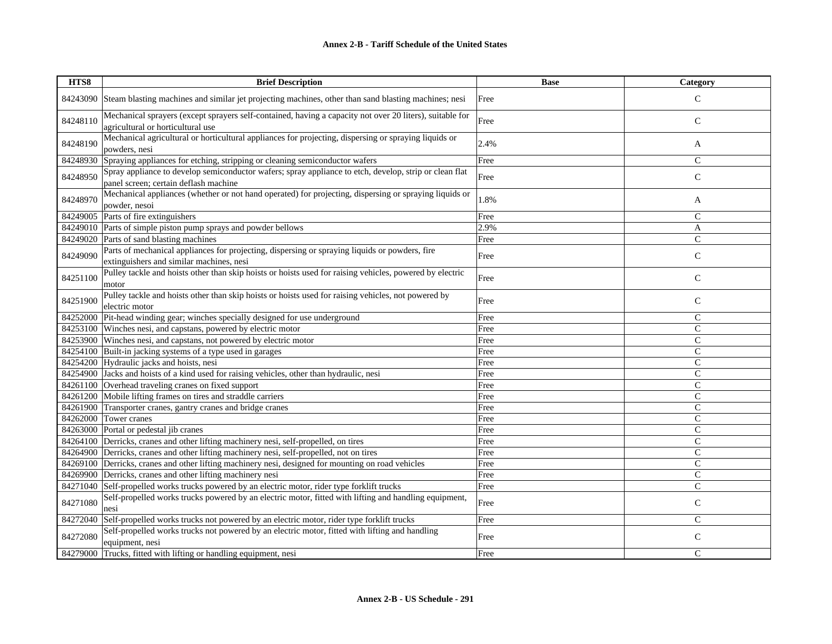| HTS8     | <b>Brief Description</b>                                                                                                                        | <b>Base</b> | Category      |
|----------|-------------------------------------------------------------------------------------------------------------------------------------------------|-------------|---------------|
| 84243090 | Steam blasting machines and similar jet projecting machines, other than sand blasting machines; nesi                                            | Free        | $\mathcal{C}$ |
| 84248110 | Mechanical sprayers (except sprayers self-contained, having a capacity not over 20 liters), suitable for<br>agricultural or horticultural use   | Free        | ${\bf C}$     |
| 84248190 | Mechanical agricultural or horticultural appliances for projecting, dispersing or spraying liquids or<br>powders, nesi                          | 2.4%        | A             |
| 84248930 | Spraying appliances for etching, stripping or cleaning semiconductor wafers                                                                     | Free        | $\mathsf{C}$  |
| 84248950 | Spray appliance to develop semiconductor wafers; spray appliance to etch, develop, strip or clean flat<br>panel screen; certain deflash machine | Free        | $\mathbf C$   |
| 84248970 | Mechanical appliances (whether or not hand operated) for projecting, dispersing or spraying liquids or<br>powder, nesoi                         | 1.8%        | A             |
| 84249005 | Parts of fire extinguishers                                                                                                                     | Free        | $\mathsf{C}$  |
| 84249010 | Parts of simple piston pump sprays and powder bellows                                                                                           | 2.9%        | A             |
| 84249020 | Parts of sand blasting machines                                                                                                                 | Free        | $\mathsf{C}$  |
| 84249090 | Parts of mechanical appliances for projecting, dispersing or spraying liquids or powders, fire<br>extinguishers and similar machines, nesi      | Free        | $\mathbf C$   |
| 84251100 | Pulley tackle and hoists other than skip hoists or hoists used for raising vehicles, powered by electric<br>motor                               | Free        | $\mathsf{C}$  |
| 84251900 | Pulley tackle and hoists other than skip hoists or hoists used for raising vehicles, not powered by<br>electric motor                           | Free        | $\mathbf C$   |
| 84252000 | Pit-head winding gear; winches specially designed for use underground                                                                           | Free        | $\mathsf{C}$  |
| 84253100 | Winches nesi, and capstans, powered by electric motor                                                                                           | Free        | $\mathbf C$   |
| 84253900 | Winches nesi, and capstans, not powered by electric motor                                                                                       | Free        | $\mathsf{C}$  |
| 84254100 | Built-in jacking systems of a type used in garages                                                                                              | Free        | $\mathsf{C}$  |
|          | 84254200 Hydraulic jacks and hoists, nesi                                                                                                       | Free        | $\mathsf{C}$  |
| 84254900 | Jacks and hoists of a kind used for raising vehicles, other than hydraulic, nesi                                                                | Free        | $\mathsf{C}$  |
|          | 84261100 Overhead traveling cranes on fixed support                                                                                             | Free        | $\mathsf{C}$  |
| 84261200 | Mobile lifting frames on tires and straddle carriers                                                                                            | Free        | $\mathsf{C}$  |
| 84261900 | Transporter cranes, gantry cranes and bridge cranes                                                                                             | Free        | $\mathsf{C}$  |
| 84262000 | Tower cranes                                                                                                                                    | Free        | $\mathsf{C}$  |
|          | 84263000 Portal or pedestal jib cranes                                                                                                          | Free        | $\mathsf{C}$  |
| 84264100 | Derricks, cranes and other lifting machinery nesi, self-propelled, on tires                                                                     | Free        | $\mathsf{C}$  |
| 84264900 | Derricks, cranes and other lifting machinery nesi, self-propelled, not on tires                                                                 | Free        | $\mathsf{C}$  |
| 84269100 | Derricks, cranes and other lifting machinery nesi, designed for mounting on road vehicles                                                       | Free        | $\mathsf{C}$  |
|          | 84269900 Derricks, cranes and other lifting machinery nesi                                                                                      | Free        | $\mathsf{C}$  |
| 84271040 | Self-propelled works trucks powered by an electric motor, rider type forklift trucks                                                            | Free        | $\mathsf{C}$  |
| 84271080 | Self-propelled works trucks powered by an electric motor, fitted with lifting and handling equipment,<br>nesi                                   | Free        | $\mathsf{C}$  |
| 84272040 | Self-propelled works trucks not powered by an electric motor, rider type forklift trucks                                                        | Free        | $\mathsf{C}$  |
| 84272080 | Self-propelled works trucks not powered by an electric motor, fitted with lifting and handling<br>equipment, nesi                               | Free        | $\mathsf{C}$  |
|          | 84279000 Trucks, fitted with lifting or handling equipment, nesi                                                                                | Free        | $\mathsf{C}$  |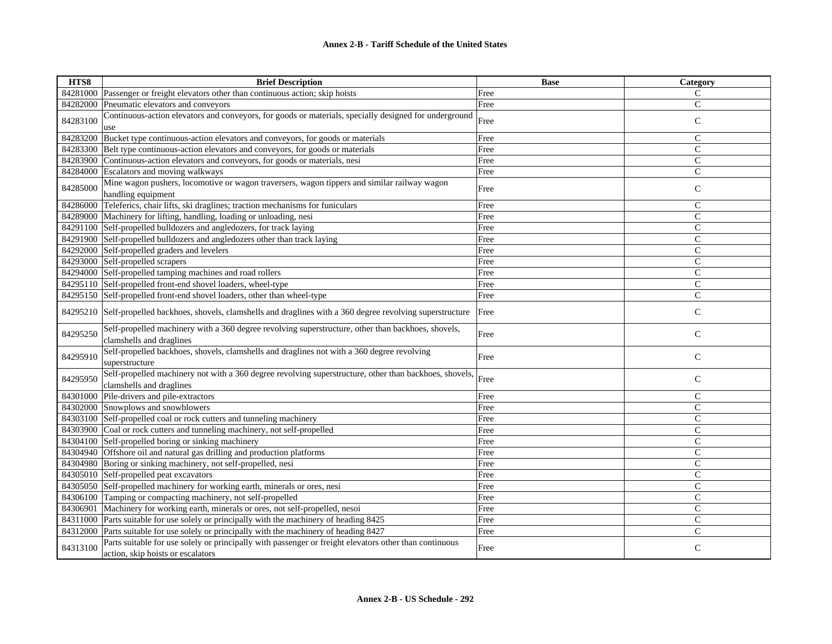| HTS8     | <b>Brief Description</b>                                                                                                                    | <b>Base</b> | Category       |
|----------|---------------------------------------------------------------------------------------------------------------------------------------------|-------------|----------------|
|          | 84281000 Passenger or freight elevators other than continuous action; skip hoists                                                           | Free        | $\mathsf{C}$   |
|          | 84282000 Pneumatic elevators and conveyors                                                                                                  | Free        | $\mathbf C$    |
| 84283100 | Continuous-action elevators and conveyors, for goods or materials, specially designed for underground<br>use                                | Free        | $\mathsf C$    |
|          | 84283200 Bucket type continuous-action elevators and conveyors, for goods or materials                                                      | Free        | $\mathsf{C}$   |
|          | 84283300 Belt type continuous-action elevators and conveyors, for goods or materials                                                        | Free        | $\mathsf{C}$   |
|          | 84283900 Continuous-action elevators and conveyors, for goods or materials, nesi                                                            | Free        | $\mathsf{C}$   |
|          | 84284000 Escalators and moving walkways                                                                                                     | Free        | $\mathsf{C}$   |
| 84285000 | Mine wagon pushers, locomotive or wagon traversers, wagon tippers and similar railway wagon<br>handling equipment                           | Free        | $\mathsf{C}$   |
|          | 84286000 Teleferics, chair lifts, ski draglines; traction mechanisms for funiculars                                                         | Free        | $\mathsf{C}$   |
|          | 84289000 Machinery for lifting, handling, loading or unloading, nesi                                                                        | Free        | $\mathsf{C}$   |
|          | 84291100 Self-propelled bulldozers and angledozers, for track laying                                                                        | Free        | $\mathsf{C}$   |
|          | 84291900 Self-propelled bulldozers and angledozers other than track laying                                                                  | Free        | $\mathbf C$    |
|          | 84292000 Self-propelled graders and levelers                                                                                                | Free        | $\mathsf{C}$   |
|          | 84293000 Self-propelled scrapers                                                                                                            | Free        | $\mathsf{C}$   |
|          | 84294000 Self-propelled tamping machines and road rollers                                                                                   | Free        | $\mathsf{C}$   |
|          | 84295110 Self-propelled front-end shovel loaders, wheel-type                                                                                | Free        | $\mathsf{C}$   |
|          | 84295150 Self-propelled front-end shovel loaders, other than wheel-type                                                                     | Free        | $\mathsf{C}$   |
|          | 84295210 Self-propelled backhoes, shovels, clamshells and draglines with a 360 degree revolving superstructure                              | Free        | $\mathsf{C}$   |
| 84295250 | Self-propelled machinery with a 360 degree revolving superstructure, other than backhoes, shovels,<br>clamshells and draglines              | Free        | $\mathsf{C}$   |
| 84295910 | Self-propelled backhoes, shovels, clamshells and draglines not with a 360 degree revolving<br>superstructure                                | Free        | $\mathsf{C}$   |
| 84295950 | Self-propelled machinery not with a 360 degree revolving superstructure, other than backhoes, shovels,<br>clamshells and draglines          | Free        | $\mathbf C$    |
|          | 84301000 Pile-drivers and pile-extractors                                                                                                   | Free        | $\mathsf{C}$   |
|          | 84302000 Snowplows and snowblowers                                                                                                          | Free        | $\mathsf{C}$   |
|          | 84303100 Self-propelled coal or rock cutters and tunneling machinery                                                                        | Free        | $\mathsf{C}$   |
|          | 84303900 Coal or rock cutters and tunneling machinery, not self-propelled                                                                   | Free        | $\mathsf{C}$   |
|          | 84304100 Self-propelled boring or sinking machinery                                                                                         | Free        | $\mathsf{C}$   |
|          | 84304940 Offshore oil and natural gas drilling and production platforms                                                                     | Free        | C              |
|          | 84304980 Boring or sinking machinery, not self-propelled, nesi                                                                              | Free        | $\mathsf{C}$   |
|          | 84305010 Self-propelled peat excavators                                                                                                     | Free        | $\overline{C}$ |
|          | 84305050 Self-propelled machinery for working earth, minerals or ores, nesi                                                                 | Free        | $\mathsf{C}$   |
|          | 84306100 Tamping or compacting machinery, not self-propelled                                                                                | Free        | $\mathsf C$    |
| 84306901 | Machinery for working earth, minerals or ores, not self-propelled, nesoi                                                                    | Free        | $\mathsf{C}$   |
|          | 84311000 Parts suitable for use solely or principally with the machinery of heading 8425                                                    | Free        | $\mathsf{C}$   |
|          | 84312000 Parts suitable for use solely or principally with the machinery of heading 8427                                                    | Free        | $\mathsf{C}$   |
| 84313100 | Parts suitable for use solely or principally with passenger or freight elevators other than continuous<br>action, skip hoists or escalators | Free        | $\mathsf{C}$   |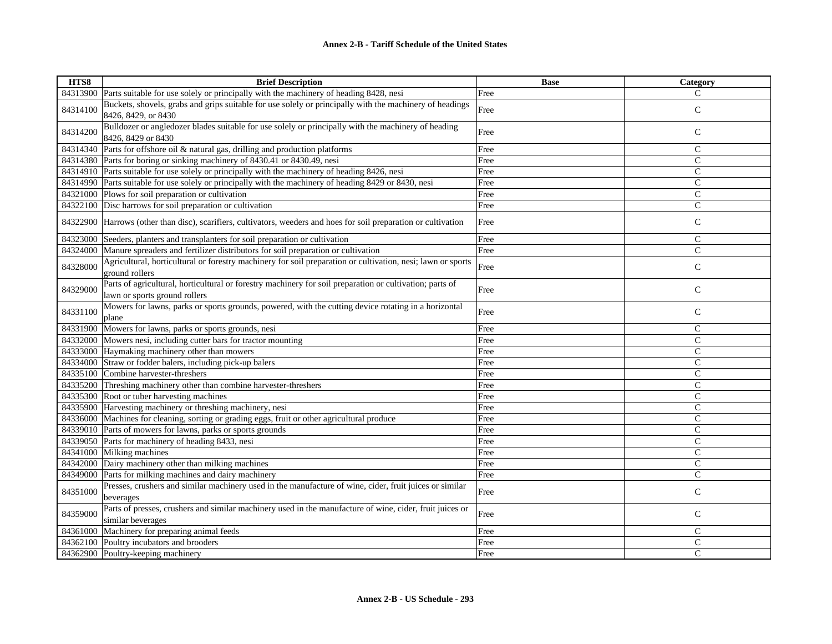| HTS8     | <b>Brief Description</b>                                                                                                                  | <b>Base</b> | Category     |
|----------|-------------------------------------------------------------------------------------------------------------------------------------------|-------------|--------------|
| 84313900 | Parts suitable for use solely or principally with the machinery of heading 8428, nesi                                                     | Free        | C            |
| 84314100 | Buckets, shovels, grabs and grips suitable for use solely or principally with the machinery of headings<br>8426, 8429, or 8430            | Free        | $\mathsf{C}$ |
| 84314200 | Bulldozer or angledozer blades suitable for use solely or principally with the machinery of heading<br>8426, 8429 or 8430                 | Free        | $\mathsf C$  |
| 84314340 | Parts for offshore oil & natural gas, drilling and production platforms                                                                   | Free        | $\mathsf{C}$ |
|          | 84314380 Parts for boring or sinking machinery of 8430.41 or 8430.49, nesi                                                                | Free        | $\mathsf{C}$ |
|          | 84314910 Parts suitable for use solely or principally with the machinery of heading 8426, nesi                                            | Free        | $\mathsf{C}$ |
|          | 84314990 Parts suitable for use solely or principally with the machinery of heading 8429 or 8430, nesi                                    | Free        | $\mathsf{C}$ |
| 84321000 | Plows for soil preparation or cultivation                                                                                                 | Free        | $\mathsf{C}$ |
| 84322100 | Disc harrows for soil preparation or cultivation                                                                                          | Free        | $\mathsf{C}$ |
| 84322900 | Harrows (other than disc), scarifiers, cultivators, weeders and hoes for soil preparation or cultivation                                  | Free        | $\mathbf C$  |
| 84323000 | Seeders, planters and transplanters for soil preparation or cultivation                                                                   | Free        | $\mathsf{C}$ |
| 84324000 | Manure spreaders and fertilizer distributors for soil preparation or cultivation                                                          | Free        | $\mathsf{C}$ |
| 84328000 | Agricultural, horticultural or forestry machinery for soil preparation or cultivation, nesi; lawn or sports<br>ground rollers             | Free        | $\mathsf{C}$ |
| 84329000 | Parts of agricultural, horticultural or forestry machinery for soil preparation or cultivation; parts of<br>lawn or sports ground rollers | Free        | $\mathsf{C}$ |
| 84331100 | Mowers for lawns, parks or sports grounds, powered, with the cutting device rotating in a horizontal<br>plane                             | Free        | $\mathsf{C}$ |
| 84331900 | Mowers for lawns, parks or sports grounds, nesi                                                                                           | Free        | $\mathbf C$  |
|          | 84332000 Mowers nesi, including cutter bars for tractor mounting                                                                          | Free        | $\mathsf{C}$ |
|          | 84333000 Haymaking machinery other than mowers                                                                                            | Free        | $\mathsf{C}$ |
|          | 84334000 Straw or fodder balers, including pick-up balers                                                                                 | Free        | $\mathsf{C}$ |
| 84335100 | Combine harvester-threshers                                                                                                               | Free        | $\mathsf{C}$ |
|          | 84335200 Threshing machinery other than combine harvester-threshers                                                                       | Free        | $\mathsf{C}$ |
| 84335300 | Root or tuber harvesting machines                                                                                                         | Free        | $\mathsf{C}$ |
| 84335900 | Harvesting machinery or threshing machinery, nesi                                                                                         | Free        | $\mathsf{C}$ |
| 84336000 | Machines for cleaning, sorting or grading eggs, fruit or other agricultural produce                                                       | Free        | $\mathsf{C}$ |
|          | 84339010 Parts of mowers for lawns, parks or sports grounds                                                                               | Free        | $\mathsf{C}$ |
| 84339050 | Parts for machinery of heading 8433, nesi                                                                                                 | Free        | $\mathsf{C}$ |
| 84341000 | Milking machines                                                                                                                          | Free        | $\mathsf{C}$ |
|          | 84342000 Dairy machinery other than milking machines                                                                                      | Free        | $\mathsf{C}$ |
| 84349000 | Parts for milking machines and dairy machinery                                                                                            | Free        | $\mathsf{C}$ |
| 84351000 | Presses, crushers and similar machinery used in the manufacture of wine, cider, fruit juices or similar<br>beverages                      | Free        | $\mathsf{C}$ |
| 84359000 | Parts of presses, crushers and similar machinery used in the manufacture of wine, cider, fruit juices or<br>similar beverages             | Free        | $\mathsf C$  |
| 84361000 | Machinery for preparing animal feeds                                                                                                      | Free        | $\mathsf{C}$ |
| 84362100 | Poultry incubators and brooders                                                                                                           | Free        | $\mathsf C$  |
|          | 84362900 Poultry-keeping machinery                                                                                                        | Free        | C            |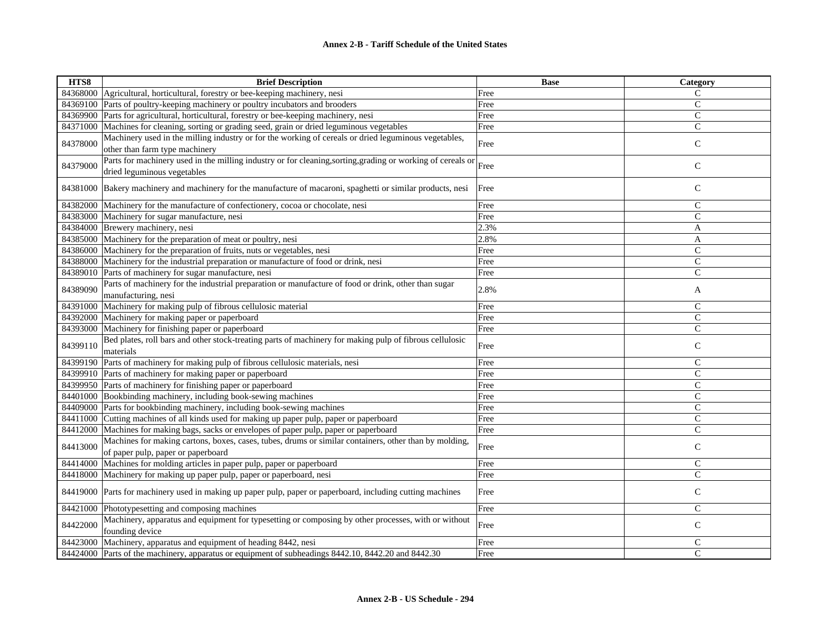| HTS8     | <b>Brief Description</b>                                                                                                                    | <b>Base</b> | Category       |
|----------|---------------------------------------------------------------------------------------------------------------------------------------------|-------------|----------------|
|          | 84368000 Agricultural, horticultural, forestry or bee-keeping machinery, nesi                                                               | Free        | C              |
|          | 84369100 Parts of poultry-keeping machinery or poultry incubators and brooders                                                              | Free        | $\mathsf{C}$   |
|          | 84369900 Parts for agricultural, horticultural, forestry or bee-keeping machinery, nesi                                                     | Free        | $\mathsf{C}$   |
|          | 84371000 Machines for cleaning, sorting or grading seed, grain or dried leguminous vegetables                                               | Free        | $\mathsf{C}$   |
| 84378000 | Machinery used in the milling industry or for the working of cereals or dried leguminous vegetables,<br>other than farm type machinery      | Free        | $\mathsf{C}$   |
| 84379000 | Parts for machinery used in the milling industry or for cleaning, sorting, grading or working of cereals or<br>dried leguminous vegetables  | Free        | $\mathsf C$    |
|          | 84381000 Bakery machinery and machinery for the manufacture of macaroni, spaghetti or similar products, nesi                                | Free        | $\mathsf{C}$   |
|          | 84382000 Machinery for the manufacture of confectionery, cocoa or chocolate, nesi                                                           | Free        | $\mathsf{C}$   |
|          | 84383000 Machinery for sugar manufacture, nesi                                                                                              | Free        | $\mathsf{C}$   |
|          | 84384000 Brewery machinery, nesi                                                                                                            | 2.3%        | A              |
|          | 84385000 Machinery for the preparation of meat or poultry, nesi                                                                             | 2.8%        | A              |
|          | 84386000 Machinery for the preparation of fruits, nuts or vegetables, nesi                                                                  | Free        | $\mathsf{C}$   |
|          | 84388000 Machinery for the industrial preparation or manufacture of food or drink, nesi                                                     | Free        | $\mathsf{C}$   |
|          | 84389010 Parts of machinery for sugar manufacture, nesi                                                                                     | Free        | $\mathcal{C}$  |
| 84389090 | Parts of machinery for the industrial preparation or manufacture of food or drink, other than sugar<br>manufacturing, nesi                  | 2.8%        | A              |
|          | 84391000 Machinery for making pulp of fibrous cellulosic material                                                                           | Free        | $\mathsf C$    |
|          | 84392000 Machinery for making paper or paperboard                                                                                           | Free        | $\mathsf{C}$   |
|          | 84393000 Machinery for finishing paper or paperboard                                                                                        | Free        | $\mathsf{C}$   |
| 84399110 | Bed plates, roll bars and other stock-treating parts of machinery for making pulp of fibrous cellulosic<br>materials                        | Free        | $\mathsf{C}$   |
|          | 84399190 Parts of machinery for making pulp of fibrous cellulosic materials, nesi                                                           | Free        | $\mathcal{C}$  |
|          | 84399910 Parts of machinery for making paper or paperboard                                                                                  | Free        | $\mathsf{C}$   |
|          | 84399950 Parts of machinery for finishing paper or paperboard                                                                               | Free        | $\mathsf{C}$   |
|          | 84401000 Bookbinding machinery, including book-sewing machines                                                                              | Free        | $\mathsf{C}$   |
|          | 84409000 Parts for bookbinding machinery, including book-sewing machines                                                                    | Free        | $\mathsf{C}$   |
|          | 84411000 Cutting machines of all kinds used for making up paper pulp, paper or paperboard                                                   | Free        | $\mathsf{C}$   |
|          | 84412000 Machines for making bags, sacks or envelopes of paper pulp, paper or paperboard                                                    | Free        | $\overline{C}$ |
| 84413000 | Machines for making cartons, boxes, cases, tubes, drums or similar containers, other than by molding,<br>of paper pulp, paper or paperboard | Free        | $\mathsf{C}$   |
| 84414000 | Machines for molding articles in paper pulp, paper or paperboard                                                                            | Free        | $\mathsf{C}$   |
|          | 84418000 Machinery for making up paper pulp, paper or paperboard, nesi                                                                      | Free        | $\overline{C}$ |
|          | 84419000 Parts for machinery used in making up paper pulp, paper or paperboard, including cutting machines                                  | Free        | $\mathsf{C}$   |
|          | 84421000 Phototypesetting and composing machines                                                                                            | Free        | $\mathsf{C}$   |
|          | Machinery, apparatus and equipment for typesetting or composing by other processes, with or without                                         |             |                |
| 84422000 | founding device                                                                                                                             | Free        | $\mathsf C$    |
|          | 84423000 Machinery, apparatus and equipment of heading 8442, nesi                                                                           | Free        | $\mathsf{C}$   |
|          | 84424000 Parts of the machinery, apparatus or equipment of subheadings 8442.10, 8442.20 and 8442.30                                         | Free        | $\mathcal{C}$  |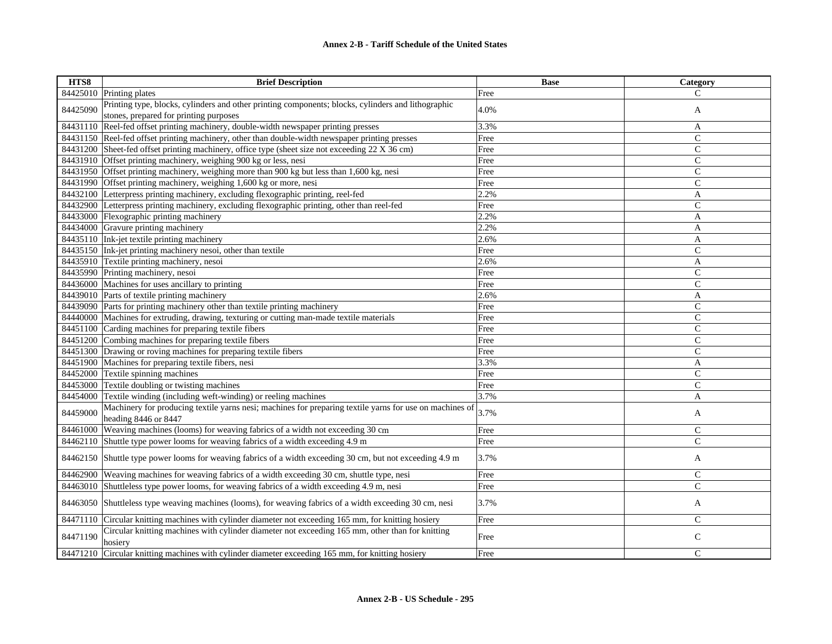| HTS8     | <b>Brief Description</b>                                                                                                                     | <b>Base</b> | Category       |
|----------|----------------------------------------------------------------------------------------------------------------------------------------------|-------------|----------------|
|          | 84425010 Printing plates                                                                                                                     | Free        | C              |
| 84425090 | Printing type, blocks, cylinders and other printing components; blocks, cylinders and lithographic<br>stones, prepared for printing purposes | 4.0%        | A              |
| 84431110 | Reel-fed offset printing machinery, double-width newspaper printing presses                                                                  | 3.3%        | A              |
|          | 84431150 Reel-fed offset printing machinery, other than double-width newspaper printing presses                                              | Free        | $\mathbf C$    |
|          | 84431200 Sheet-fed offset printing machinery, office type (sheet size not exceeding 22 X 36 cm)                                              | Free        | $\mathsf{C}$   |
| 84431910 | Offset printing machinery, weighing 900 kg or less, nesi                                                                                     | Free        | $\mathbf C$    |
|          | 84431950 Offset printing machinery, weighing more than 900 kg but less than 1,600 kg, nesi                                                   | Free        | $\mathbf{C}$   |
|          | 84431990 Offset printing machinery, weighing 1,600 kg or more, nesi                                                                          | Free        | $\mathbf C$    |
|          | 84432100 Letterpress printing machinery, excluding flexographic printing, reel-fed                                                           | 2.2%        | A              |
| 84432900 | Letterpress printing machinery, excluding flexographic printing, other than reel-fed                                                         | Free        | $\mathsf{C}$   |
|          | 84433000 Flexographic printing machinery                                                                                                     | 2.2%        | A              |
|          | 84434000 Gravure printing machinery                                                                                                          | 2.2%        | A              |
|          | 84435110 Ink-jet textile printing machinery                                                                                                  | 2.6%        | A              |
|          | 84435150 Ink-jet printing machinery nesoi, other than textile                                                                                | Free        | C              |
|          | 84435910 Textile printing machinery, nesoi                                                                                                   | 2.6%        | A              |
|          | 84435990 Printing machinery, nesoi                                                                                                           | Free        | $\mathbf C$    |
|          | 84436000 Machines for uses ancillary to printing                                                                                             | Free        | $\mathbf C$    |
|          | 84439010 Parts of textile printing machinery                                                                                                 | 2.6%        | A              |
|          | 84439090 Parts for printing machinery other than textile printing machinery                                                                  | Free        | $\overline{C}$ |
| 84440000 | Machines for extruding, drawing, texturing or cutting man-made textile materials                                                             | Free        | $\mathbf C$    |
| 84451100 | Carding machines for preparing textile fibers                                                                                                | Free        | C              |
| 84451200 | Combing machines for preparing textile fibers                                                                                                | Free        | $\mathbf C$    |
|          | 84451300 Drawing or roving machines for preparing textile fibers                                                                             | Free        | $\mathbf{C}$   |
| 84451900 | Machines for preparing textile fibers, nesi                                                                                                  | 3.3%        | A              |
| 84452000 | Textile spinning machines                                                                                                                    | Free        | $\mathsf{C}$   |
| 84453000 | Textile doubling or twisting machines                                                                                                        | Free        | $\mathbf C$    |
| 84454000 | Textile winding (including weft-winding) or reeling machines                                                                                 | 3.7%        | A              |
| 84459000 | Machinery for producing textile yarns nesi; machines for preparing textile yarns for use on machines of<br>heading 8446 or 8447              | 3.7%        | A              |
| 84461000 | Weaving machines (looms) for weaving fabrics of a width not exceeding 30 cm                                                                  | Free        | $\mathbf C$    |
| 84462110 | Shuttle type power looms for weaving fabrics of a width exceeding 4.9 m                                                                      | Free        | $\mathbf C$    |
| 84462150 | Shuttle type power looms for weaving fabrics of a width exceeding 30 cm, but not exceeding 4.9 m                                             | 3.7%        | A              |
| 84462900 | Weaving machines for weaving fabrics of a width exceeding 30 cm, shuttle type, nesi                                                          | Free        | $\mathsf{C}$   |
| 84463010 | Shuttleless type power looms, for weaving fabrics of a width exceeding 4.9 m, nesi                                                           | Free        | $\mathbf C$    |
| 84463050 | Shuttleless type weaving machines (looms), for weaving fabrics of a width exceeding 30 cm, nesi                                              | 3.7%        | A              |
| 84471110 | Circular knitting machines with cylinder diameter not exceeding 165 mm, for knitting hosiery                                                 | Free        | $\mathbf C$    |
| 84471190 | Circular knitting machines with cylinder diameter not exceeding 165 mm, other than for knitting<br>hosiery                                   | Free        | $\mathbf C$    |
| 84471210 | Circular knitting machines with cylinder diameter exceeding 165 mm, for knitting hosiery                                                     | Free        | $\mathcal{C}$  |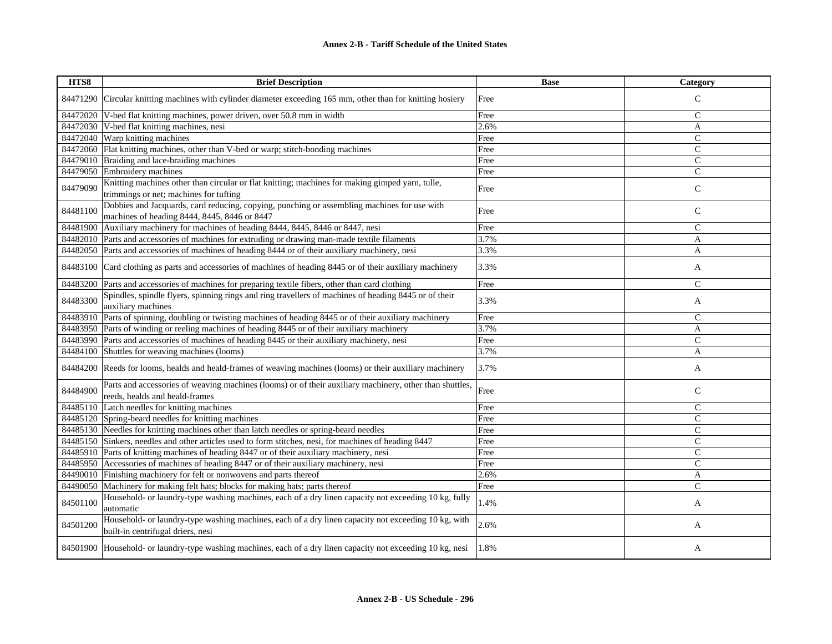| HTS8     | <b>Brief Description</b>                                                                                                                    | <b>Base</b> | Category       |
|----------|---------------------------------------------------------------------------------------------------------------------------------------------|-------------|----------------|
| 84471290 | Circular knitting machines with cylinder diameter exceeding 165 mm, other than for knitting hosiery                                         | Free        | $\mathsf{C}$   |
| 84472020 | V-bed flat knitting machines, power driven, over 50.8 mm in width                                                                           | Free        | $\mathsf{C}$   |
| 84472030 | V-bed flat knitting machines, nesi                                                                                                          | 2.6%        | A              |
|          | 84472040 Warp knitting machines                                                                                                             | Free        | $\overline{C}$ |
| 84472060 | Flat knitting machines, other than V-bed or warp; stitch-bonding machines                                                                   | Free        | $\mathcal{C}$  |
| 84479010 | Braiding and lace-braiding machines                                                                                                         | Free        | $\mathsf{C}$   |
| 84479050 | Embroidery machines                                                                                                                         | Free        | $\mathsf{C}$   |
| 84479090 | Knitting machines other than circular or flat knitting; machines for making gimped yarn, tulle,<br>trimmings or net; machines for tufting   | Free        | $\mathsf{C}$   |
| 84481100 | Dobbies and Jacquards, card reducing, copying, punching or assembling machines for use with<br>machines of heading 8444, 8445, 8446 or 8447 | Free        | $\mathbf C$    |
| 84481900 | Auxiliary machinery for machines of heading 8444, 8445, 8446 or 8447, nesi                                                                  | Free        | $\mathsf{C}$   |
| 84482010 | Parts and accessories of machines for extruding or drawing man-made textile filaments                                                       | 3.7%        | A              |
| 84482050 | Parts and accessories of machines of heading 8444 or of their auxiliary machinery, nesi                                                     | 3.3%        | A              |
| 84483100 | Card clothing as parts and accessories of machines of heading 8445 or of their auxiliary machinery                                          | 3.3%        | A              |
| 84483200 | Parts and accessories of machines for preparing textile fibers, other than card clothing                                                    | Free        | $\mathsf{C}$   |
| 84483300 | Spindles, spindle flyers, spinning rings and ring travellers of machines of heading 8445 or of their<br>auxiliary machines                  | 3.3%        | A              |
| 84483910 | Parts of spinning, doubling or twisting machines of heading 8445 or of their auxiliary machinery                                            | Free        | $\mathbf C$    |
| 84483950 | Parts of winding or reeling machines of heading 8445 or of their auxiliary machinery                                                        | 3.7%        | A              |
| 84483990 | Parts and accessories of machines of heading 8445 or their auxiliary machinery, nesi                                                        | Free        | $\mathsf{C}$   |
|          | 84484100 Shuttles for weaving machines (looms)                                                                                              | 3.7%        | A              |
|          | 84484200 Reeds for looms, healds and heald-frames of weaving machines (looms) or their auxiliary machinery                                  | 3.7%        | A              |
| 84484900 | Parts and accessories of weaving machines (looms) or of their auxiliary machinery, other than shuttles,                                     |             |                |
|          | reeds, healds and heald-frames                                                                                                              | Free        | $\mathsf{C}$   |
|          | 84485110 Latch needles for knitting machines                                                                                                | Free        | $\mathsf{C}$   |
|          | 84485120 Spring-beard needles for knitting machines                                                                                         | Free        | $\mathsf{C}$   |
|          | 84485130 Needles for knitting machines other than latch needles or spring-beard needles                                                     | Free        | $\mathsf{C}$   |
|          | 84485150 Sinkers, needles and other articles used to form stitches, nesi, for machines of heading 8447                                      | Free        | $\mathsf{C}$   |
| 84485910 | Parts of knitting machines of heading 8447 or of their auxiliary machinery, nesi                                                            | Free        | $\mathsf{C}$   |
| 84485950 | Accessories of machines of heading 8447 or of their auxiliary machinery, nesi                                                               | Free        | $\overline{C}$ |
| 84490010 | Finishing machinery for felt or nonwovens and parts thereof                                                                                 | 2.6%        | A              |
| 84490050 | Machinery for making felt hats; blocks for making hats; parts thereof                                                                       | Free        | $\overline{C}$ |
| 84501100 | Household- or laundry-type washing machines, each of a dry linen capacity not exceeding 10 kg, fully<br>automatic                           | 1.4%        | A              |
| 84501200 | Household- or laundry-type washing machines, each of a dry linen capacity not exceeding 10 kg, with<br>built-in centrifugal driers, nesi    | 2.6%        | A              |
|          | 84501900 Household- or laundry-type washing machines, each of a dry linen capacity not exceeding 10 kg, nesi                                | 1.8%        | A              |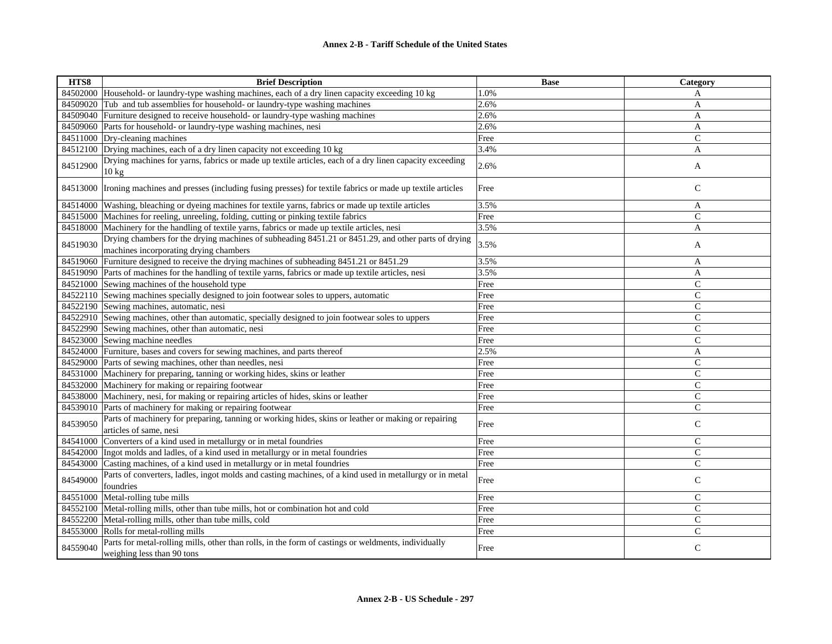| HTS8     | <b>Brief Description</b>                                                                                                                      | <b>Base</b> | Category     |
|----------|-----------------------------------------------------------------------------------------------------------------------------------------------|-------------|--------------|
|          | 84502000 Household- or laundry-type washing machines, each of a dry linen capacity exceeding 10 kg                                            | 1.0%        | A            |
|          | 84509020 Tub and tub assemblies for household- or laundry-type washing machines                                                               | 2.6%        | A            |
|          | 84509040 Furniture designed to receive household- or laundry-type washing machines                                                            | 2.6%        | A            |
|          | 84509060 Parts for household- or laundry-type washing machines, nesi                                                                          | 2.6%        | A            |
|          | 84511000 Dry-cleaning machines                                                                                                                | Free        | $\mathsf{C}$ |
|          | 84512100 Drying machines, each of a dry linen capacity not exceeding 10 kg                                                                    | 3.4%        | A            |
| 84512900 | Drying machines for yarns, fabrics or made up textile articles, each of a dry linen capacity exceeding<br>$10 \text{ kg}$                     | 2.6%        | A            |
|          | 84513000 Ironing machines and presses (including fusing presses) for textile fabrics or made up textile articles                              | Free        | $\mathsf{C}$ |
|          | 84514000 Washing, bleaching or dyeing machines for textile yarns, fabrics or made up textile articles                                         | 3.5%        | A            |
|          | 84515000 Machines for reeling, unreeling, folding, cutting or pinking textile fabrics                                                         | Free        | $\mathbf C$  |
|          | 84518000 Machinery for the handling of textile yarns, fabrics or made up textile articles, nesi                                               | 3.5%        | A            |
| 84519030 | Drying chambers for the drying machines of subheading 8451.21 or 8451.29, and other parts of drying<br>machines incorporating drying chambers | 3.5%        | A            |
|          | 84519060 Furniture designed to receive the drying machines of subheading 8451.21 or 8451.29                                                   | 3.5%        | A            |
|          | 84519090 Parts of machines for the handling of textile yarns, fabrics or made up textile articles, nesi                                       | 3.5%        | A            |
|          | 84521000 Sewing machines of the household type                                                                                                | Free        | $\mathsf{C}$ |
|          | 84522110 Sewing machines specially designed to join footwear soles to uppers, automatic                                                       | Free        | $\mathsf{C}$ |
|          | 84522190 Sewing machines, automatic, nesi                                                                                                     | Free        | $\mathbf C$  |
|          | 84522910 Sewing machines, other than automatic, specially designed to join footwear soles to uppers                                           | Free        | $\mathsf{C}$ |
|          | 84522990 Sewing machines, other than automatic, nesi                                                                                          | Free        | $\mathsf{C}$ |
|          | 84523000 Sewing machine needles                                                                                                               | Free        | $\mathsf{C}$ |
|          | 84524000 Furniture, bases and covers for sewing machines, and parts thereof                                                                   | 2.5%        | A            |
|          | 84529000 Parts of sewing machines, other than needles, nesi                                                                                   | Free        | $\mathsf{C}$ |
|          | 84531000 Machinery for preparing, tanning or working hides, skins or leather                                                                  | Free        | $\mathsf{C}$ |
|          | 84532000 Machinery for making or repairing footwear                                                                                           | Free        | $\mathsf{C}$ |
|          | 84538000 Machinery, nesi, for making or repairing articles of hides, skins or leather                                                         | Free        | $\mathsf{C}$ |
|          | 84539010 Parts of machinery for making or repairing footwear                                                                                  | Free        | $\mathsf{C}$ |
| 84539050 | Parts of machinery for preparing, tanning or working hides, skins or leather or making or repairing<br>articles of same, nesi                 | Free        | $\mathsf C$  |
|          | 84541000 Converters of a kind used in metallurgy or in metal foundries                                                                        | Free        | $\mathsf{C}$ |
|          | 84542000 Ingot molds and ladles, of a kind used in metallurgy or in metal foundries                                                           | Free        | $\mathbf C$  |
|          | 84543000 Casting machines, of a kind used in metallurgy or in metal foundries                                                                 | Free        | $\mathsf{C}$ |
| 84549000 | Parts of converters, ladles, ingot molds and casting machines, of a kind used in metallurgy or in metal<br>foundries                          | Free        | $\mathbf C$  |
|          | 84551000 Metal-rolling tube mills                                                                                                             | Free        | $\mathsf{C}$ |
|          | 84552100 Metal-rolling mills, other than tube mills, hot or combination hot and cold                                                          | Free        | $\mathsf{C}$ |
|          | 84552200 Metal-rolling mills, other than tube mills, cold                                                                                     | Free        | $\mathsf{C}$ |
|          | 84553000 Rolls for metal-rolling mills                                                                                                        | Free        | $\mathsf{C}$ |
| 84559040 | Parts for metal-rolling mills, other than rolls, in the form of castings or weldments, individually<br>weighing less than 90 tons             | Free        | $\mathsf{C}$ |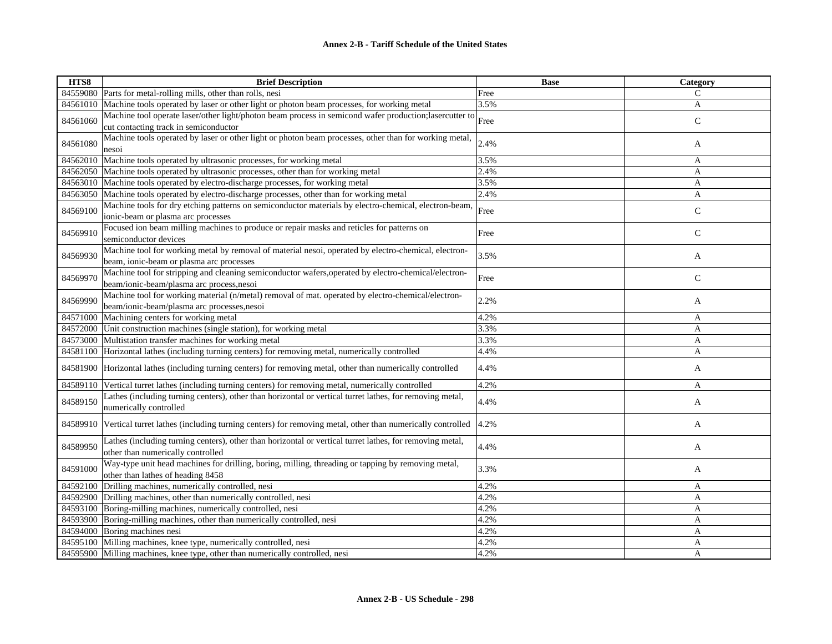| HTS8     | <b>Brief Description</b>                                                                                 | <b>Base</b> | Category     |
|----------|----------------------------------------------------------------------------------------------------------|-------------|--------------|
| 84559080 | Parts for metal-rolling mills, other than rolls, nesi                                                    | Free        | C            |
| 84561010 | Machine tools operated by laser or other light or photon beam processes, for working metal               | 3.5%        | A            |
| 84561060 | Machine tool operate laser/other light/photon beam process in semicond wafer production; lasercutter to  | Free        | $\mathbf C$  |
|          | cut contacting track in semiconductor                                                                    |             |              |
| 84561080 | Machine tools operated by laser or other light or photon beam processes, other than for working metal,   | 2.4%        | A            |
|          | nesoi                                                                                                    |             |              |
| 84562010 | Machine tools operated by ultrasonic processes, for working metal                                        | 3.5%        | A            |
| 84562050 | Machine tools operated by ultrasonic processes, other than for working metal                             | 2.4%        | A            |
| 84563010 | Machine tools operated by electro-discharge processes, for working metal                                 | 3.5%        | A            |
| 84563050 | Machine tools operated by electro-discharge processes, other than for working metal                      | 2.4%        | $\mathbf{A}$ |
| 84569100 | Machine tools for dry etching patterns on semiconductor materials by electro-chemical, electron-beam,    | Free        | $\mathbf C$  |
|          | ionic-beam or plasma arc processes                                                                       |             |              |
| 84569910 | Focused ion beam milling machines to produce or repair masks and reticles for patterns on                | Free        | $\mathsf{C}$ |
|          | semiconductor devices                                                                                    |             |              |
| 84569930 | Machine tool for working metal by removal of material nesoi, operated by electro-chemical, electron-     | 3.5%        | A            |
|          | beam, ionic-beam or plasma arc processes                                                                 |             |              |
| 84569970 | Machine tool for stripping and cleaning semiconductor wafers, operated by electro-chemical/electron-     | Free        | $\mathsf{C}$ |
|          | beam/ionic-beam/plasma arc process, nesoi                                                                |             |              |
| 84569990 | Machine tool for working material (n/metal) removal of mat. operated by electro-chemical/electron-       | 2.2%        | A            |
|          | beam/ionic-beam/plasma arc processes, nesoi                                                              |             |              |
| 84571000 | Machining centers for working metal                                                                      | 4.2%        | A            |
| 84572000 | Unit construction machines (single station), for working metal                                           | 3.3%        | A            |
| 84573000 | Multistation transfer machines for working metal                                                         | 3.3%        | A            |
|          | 84581100 Horizontal lathes (including turning centers) for removing metal, numerically controlled        | 4.4%        | A            |
| 84581900 | Horizontal lathes (including turning centers) for removing metal, other than numerically controlled      | 4.4%        | A            |
| 84589110 | Vertical turret lathes (including turning centers) for removing metal, numerically controlled            | 4.2%        | A            |
|          | Lathes (including turning centers), other than horizontal or vertical turret lathes, for removing metal, |             |              |
| 84589150 | numerically controlled                                                                                   | 4.4%        | A            |
|          |                                                                                                          |             |              |
| 84589910 | Vertical turret lathes (including turning centers) for removing metal, other than numerically controlled | 4.2%        | A            |
|          | Lathes (including turning centers), other than horizontal or vertical turret lathes, for removing metal, |             |              |
| 84589950 | other than numerically controlled                                                                        | 4.4%        | A            |
|          | Way-type unit head machines for drilling, boring, milling, threading or tapping by removing metal,       |             |              |
| 84591000 | other than lathes of heading 8458                                                                        | 3.3%        | A            |
| 84592100 | Drilling machines, numerically controlled, nesi                                                          | 4.2%        | A            |
| 84592900 | Drilling machines, other than numerically controlled, nesi                                               | 4.2%        | A            |
| 84593100 | Boring-milling machines, numerically controlled, nesi                                                    | 4.2%        | A            |
| 84593900 | Boring-milling machines, other than numerically controlled, nesi                                         | 4.2%        | A            |
| 84594000 | Boring machines nesi                                                                                     | 4.2%        | A            |
| 84595100 | Milling machines, knee type, numerically controlled, nesi                                                | 4.2%        | A            |
|          | 84595900 Milling machines, knee type, other than numerically controlled, nesi                            | 4.2%        | A            |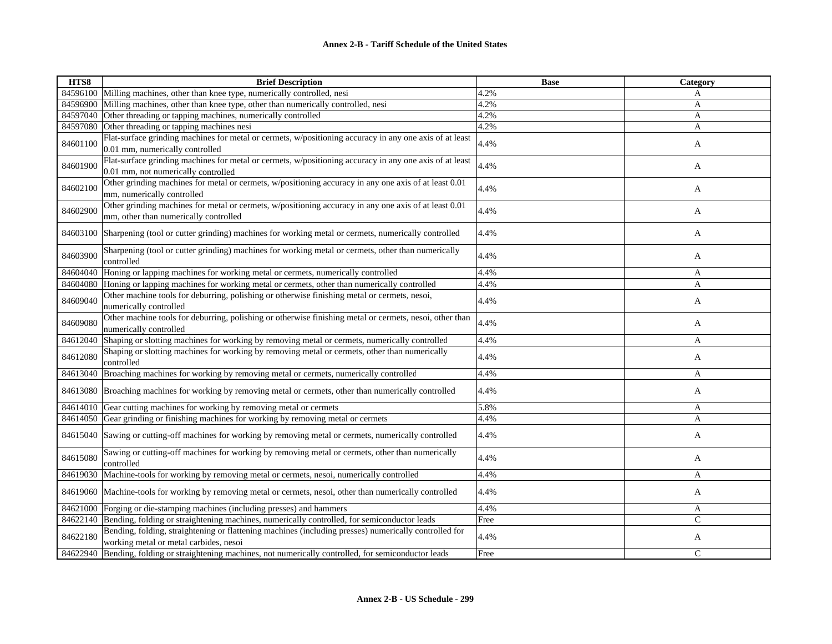| HTS8     | <b>Brief Description</b>                                                                                                                        | <b>Base</b> | Category |
|----------|-------------------------------------------------------------------------------------------------------------------------------------------------|-------------|----------|
| 84596100 | Milling machines, other than knee type, numerically controlled, nesi                                                                            | 4.2%        | A        |
| 84596900 | Milling machines, other than knee type, other than numerically controlled, nesi                                                                 | 4.2%        | A        |
| 84597040 | Other threading or tapping machines, numerically controlled                                                                                     | 4.2%        | A        |
| 84597080 | Other threading or tapping machines nesi                                                                                                        | 4.2%        | A        |
| 84601100 | Flat-surface grinding machines for metal or cermets, w/positioning accuracy in any one axis of at least<br>0.01 mm, numerically controlled      | 4.4%        | A        |
| 84601900 | Flat-surface grinding machines for metal or cermets, w/positioning accuracy in any one axis of at least<br>0.01 mm, not numerically controlled  | 4.4%        | A        |
| 84602100 | Other grinding machines for metal or cermets, w/positioning accuracy in any one axis of at least 0.01<br>mm, numerically controlled             | 4.4%        | A        |
| 84602900 | Other grinding machines for metal or cermets, w/positioning accuracy in any one axis of at least 0.01<br>mm, other than numerically controlled  | 4.4%        | A        |
| 84603100 | Sharpening (tool or cutter grinding) machines for working metal or cermets, numerically controlled                                              | 4.4%        | A        |
| 84603900 | Sharpening (tool or cutter grinding) machines for working metal or cermets, other than numerically<br>controlled                                | 4.4%        | A        |
| 84604040 | Honing or lapping machines for working metal or cermets, numerically controlled                                                                 | 4.4%        | A        |
| 84604080 | Honing or lapping machines for working metal or cermets, other than numerically controlled                                                      | 4.4%        | A        |
| 84609040 | Other machine tools for deburring, polishing or otherwise finishing metal or cermets, nesoi,<br>numerically controlled                          | 4.4%        | A        |
| 84609080 | Other machine tools for deburring, polishing or otherwise finishing metal or cermets, nesoi, other than<br>numerically controlled               | 4.4%        | A        |
| 84612040 | Shaping or slotting machines for working by removing metal or cermets, numerically controlled                                                   | 4.4%        | A        |
| 84612080 | Shaping or slotting machines for working by removing metal or cermets, other than numerically<br>controlled                                     | 4.4%        | A        |
| 84613040 | Broaching machines for working by removing metal or cermets, numerically controlled                                                             | 4.4%        | A        |
| 84613080 | Broaching machines for working by removing metal or cermets, other than numerically controlled                                                  | 4.4%        | A        |
| 84614010 | Gear cutting machines for working by removing metal or cermets                                                                                  | 5.8%        | A        |
| 84614050 | Gear grinding or finishing machines for working by removing metal or cermets                                                                    | 4.4%        | A        |
| 84615040 | Sawing or cutting-off machines for working by removing metal or cermets, numerically controlled                                                 | 4.4%        | A        |
| 84615080 | Sawing or cutting-off machines for working by removing metal or cermets, other than numerically<br>controlled                                   | 4.4%        | A        |
| 84619030 | Machine-tools for working by removing metal or cermets, nesoi, numerically controlled                                                           | 4.4%        | A        |
| 84619060 | Machine-tools for working by removing metal or cermets, nesoi, other than numerically controlled                                                | 4.4%        | A        |
| 84621000 | Forging or die-stamping machines (including presses) and hammers                                                                                | 4.4%        | A        |
| 84622140 | Bending, folding or straightening machines, numerically controlled, for semiconductor leads                                                     | Free        | Ċ        |
| 84622180 | Bending, folding, straightening or flattening machines (including presses) numerically controlled for<br>working metal or metal carbides, nesoi | 4.4%        | A        |
| 84622940 | Bending, folding or straightening machines, not numerically controlled, for semiconductor leads                                                 | Free        | C        |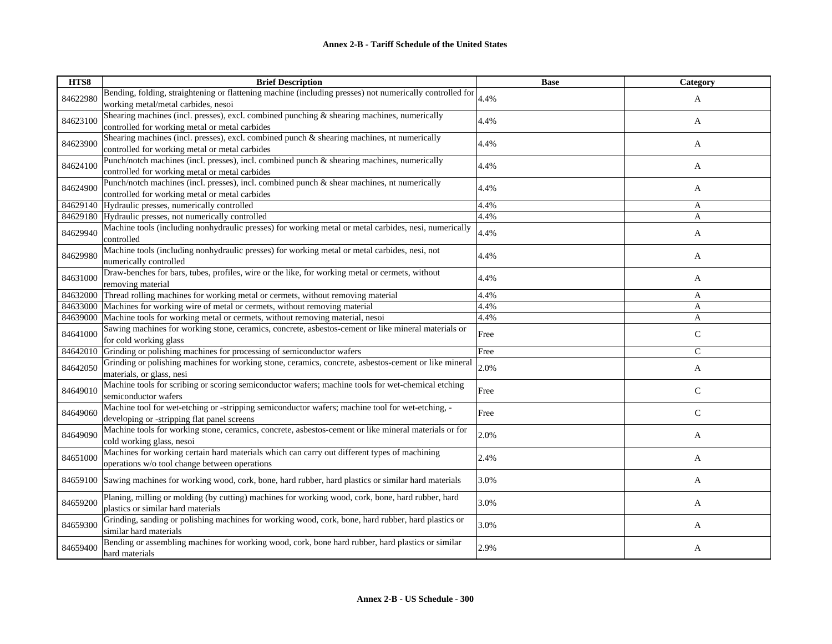| HTS8     | <b>Brief Description</b>                                                                                                  | <b>Base</b> | Category     |
|----------|---------------------------------------------------------------------------------------------------------------------------|-------------|--------------|
| 84622980 | Bending, folding, straightening or flattening machine (including presses) not numerically controlled for                  | 4.4%        | A            |
|          | working metal/metal carbides, nesoi                                                                                       |             |              |
| 84623100 | Shearing machines (incl. presses), excl. combined punching & shearing machines, numerically                               | 4.4%        | A            |
|          | controlled for working metal or metal carbides                                                                            |             |              |
| 84623900 | Shearing machines (incl. presses), excl. combined punch & shearing machines, nt numerically                               | 4.4%        | A            |
|          | controlled for working metal or metal carbides                                                                            |             |              |
| 84624100 | Punch/notch machines (incl. presses), incl. combined punch & shearing machines, numerically                               | 4.4%        | A            |
|          | controlled for working metal or metal carbides                                                                            |             |              |
| 84624900 | Punch/notch machines (incl. presses), incl. combined punch & shear machines, nt numerically                               | 4.4%        | A            |
|          | controlled for working metal or metal carbides                                                                            |             |              |
| 84629140 | Hydraulic presses, numerically controlled                                                                                 | 4.4%        | A            |
| 84629180 | Hydraulic presses, not numerically controlled                                                                             | 4.4%        | A            |
| 84629940 | Machine tools (including nonhydraulic presses) for working metal or metal carbides, nesi, numerically<br>controlled       | 4.4%        | A            |
| 84629980 | Machine tools (including nonhydraulic presses) for working metal or metal carbides, nesi, not                             | 4.4%        | A            |
|          | numerically controlled<br>Draw-benches for bars, tubes, profiles, wire or the like, for working metal or cermets, without |             |              |
| 84631000 | removing material                                                                                                         | 4.4%        | A            |
| 84632000 | Thread rolling machines for working metal or cermets, without removing material                                           | 4.4%        | A            |
| 84633000 | Machines for working wire of metal or cermets, without removing material                                                  | 4.4%        | A            |
| 84639000 | Machine tools for working metal or cermets, without removing material, nesoi                                              | 4.4%        | A            |
|          | Sawing machines for working stone, ceramics, concrete, asbestos-cement or like mineral materials or                       |             |              |
| 84641000 | for cold working glass                                                                                                    | Free        | $\mathbf C$  |
| 84642010 | Grinding or polishing machines for processing of semiconductor wafers                                                     | Free        | $\mathsf{C}$ |
| 84642050 | Grinding or polishing machines for working stone, ceramics, concrete, asbestos-cement or like mineral                     | 2.0%        | A            |
|          | materials, or glass, nesi                                                                                                 |             |              |
| 84649010 | Machine tools for scribing or scoring semiconductor wafers; machine tools for wet-chemical etching                        | Free        | $\mathsf{C}$ |
|          | semiconductor wafers                                                                                                      |             |              |
| 84649060 | Machine tool for wet-etching or -stripping semiconductor wafers; machine tool for wet-etching, -                          | Free        | $\mathsf{C}$ |
|          | developing or -stripping flat panel screens                                                                               |             |              |
| 84649090 | Machine tools for working stone, ceramics, concrete, asbestos-cement or like mineral materials or for                     | 2.0%        | A            |
|          | cold working glass, nesoi                                                                                                 |             |              |
| 84651000 | Machines for working certain hard materials which can carry out different types of machining                              | 2.4%        | A            |
|          | operations w/o tool change between operations                                                                             |             |              |
| 84659100 | Sawing machines for working wood, cork, bone, hard rubber, hard plastics or similar hard materials                        | 3.0%        | A            |
| 84659200 | Planing, milling or molding (by cutting) machines for working wood, cork, bone, hard rubber, hard                         | 3.0%        | A            |
|          | plastics or similar hard materials                                                                                        |             |              |
| 84659300 | Grinding, sanding or polishing machines for working wood, cork, bone, hard rubber, hard plastics or                       | 3.0%        | A            |
|          | similar hard materials                                                                                                    |             |              |
| 84659400 | Bending or assembling machines for working wood, cork, bone hard rubber, hard plastics or similar                         | 2.9%        | A            |
|          | hard materials                                                                                                            |             |              |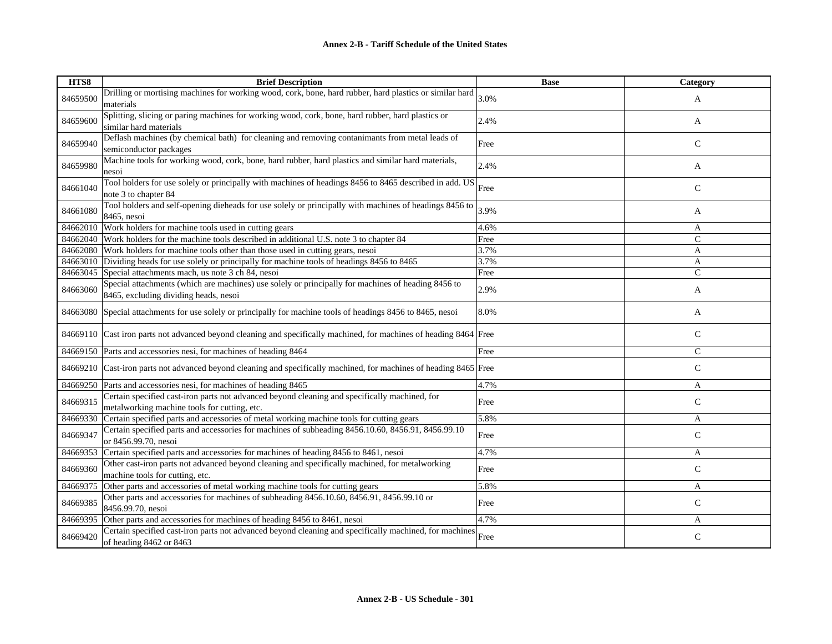| HTS8     | <b>Brief Description</b>                                                                                                                      | <b>Base</b> | Category      |
|----------|-----------------------------------------------------------------------------------------------------------------------------------------------|-------------|---------------|
| 84659500 | Drilling or mortising machines for working wood, cork, bone, hard rubber, hard plastics or similar hard<br>materials                          | 3.0%        | A             |
| 84659600 | Splitting, slicing or paring machines for working wood, cork, bone, hard rubber, hard plastics or<br>similar hard materials                   | 2.4%        | A             |
| 84659940 | Deflash machines (by chemical bath) for cleaning and removing contanimants from metal leads of<br>semiconductor packages                      | Free        | $\mathsf{C}$  |
| 84659980 | Machine tools for working wood, cork, bone, hard rubber, hard plastics and similar hard materials,<br>nesoi                                   | 2.4%        | A             |
| 84661040 | Tool holders for use solely or principally with machines of headings 8456 to 8465 described in add. US<br>note 3 to chapter 84                | Free        | ${\bf C}$     |
| 84661080 | Tool holders and self-opening dieheads for use solely or principally with machines of headings 8456 to<br>8465, nesoi                         | 3.9%        | A             |
| 84662010 | Work holders for machine tools used in cutting gears                                                                                          | 4.6%        | A             |
|          | 84662040 Work holders for the machine tools described in additional U.S. note 3 to chapter 84                                                 | Free        | $\mathbf C$   |
|          | 84662080 Work holders for machine tools other than those used in cutting gears, nesoi                                                         | 3.7%        | A             |
|          | 84663010 Dividing heads for use solely or principally for machine tools of headings 8456 to 8465                                              | 3.7%        | A             |
| 84663045 | Special attachments mach, us note 3 ch 84, nesoi                                                                                              | Free        | $\mathsf{C}$  |
| 84663060 | Special attachments (which are machines) use solely or principally for machines of heading 8456 to<br>8465, excluding dividing heads, nesoi   | 2.9%        | A             |
|          | 84663080 Special attachments for use solely or principally for machine tools of headings 8456 to 8465, nesoi                                  | 8.0%        | A             |
|          | 84669110 Cast iron parts not advanced beyond cleaning and specifically machined, for machines of heading 8464 Free                            |             | $\mathsf{C}$  |
|          | 84669150 Parts and accessories nesi, for machines of heading 8464                                                                             | Free        | $\mathsf{C}$  |
|          | 84669210 Cast-iron parts not advanced beyond cleaning and specifically machined, for machines of heading 8465 Free                            |             | $\mathsf{C}$  |
|          | 84669250 Parts and accessories nesi, for machines of heading 8465                                                                             | 4.7%        | A             |
| 84669315 | Certain specified cast-iron parts not advanced beyond cleaning and specifically machined, for<br>metalworking machine tools for cutting, etc. | Free        | $\mathsf{C}$  |
| 84669330 | Certain specified parts and accessories of metal working machine tools for cutting gears                                                      | 5.8%        | A             |
| 84669347 | Certain specified parts and accessories for machines of subheading 8456.10.60, 8456.91, 8456.99.10<br>or 8456.99.70, nesoi                    | Free        | $\mathbf C$   |
| 84669353 | Certain specified parts and accessories for machines of heading 8456 to 8461, nesoi                                                           | 4.7%        | A             |
| 84669360 | Other cast-iron parts not advanced beyond cleaning and specifically machined, for metalworking<br>machine tools for cutting, etc.             | Free        | $\mathsf{C}$  |
| 84669375 | Other parts and accessories of metal working machine tools for cutting gears                                                                  | 5.8%        | A             |
| 84669385 | Other parts and accessories for machines of subheading 8456.10.60, 8456.91, 8456.99.10 or<br>8456.99.70, nesoi                                | Free        | $\mathcal{C}$ |
| 84669395 | Other parts and accessories for machines of heading 8456 to 8461, nesoi                                                                       | 4.7%        | A             |
| 84669420 | Certain specified cast-iron parts not advanced beyond cleaning and specifically machined, for machines<br>of heading 8462 or 8463             | Free        | $\mathsf{C}$  |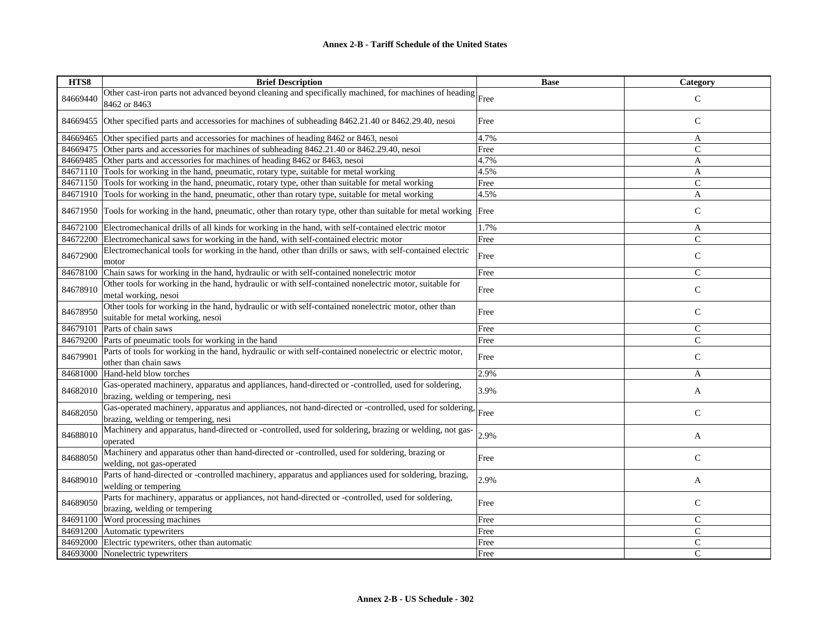| HTS8     | <b>Brief Description</b>                                                                                                                       | <b>Base</b> | Category      |
|----------|------------------------------------------------------------------------------------------------------------------------------------------------|-------------|---------------|
| 84669440 | Other cast-iron parts not advanced beyond cleaning and specifically machined, for machines of heading Free<br>8462 or 8463                     |             | $\mathcal{C}$ |
| 84669455 | Other specified parts and accessories for machines of subheading 8462.21.40 or 8462.29.40, nesoi                                               | Free        | $\mathbf C$   |
| 84669465 | Other specified parts and accessories for machines of heading 8462 or 8463, nesoi                                                              | 4.7%        | A             |
| 84669475 | Other parts and accessories for machines of subheading 8462.21.40 or 8462.29.40, nesoi                                                         | Free        | $\mathcal{C}$ |
| 84669485 | Other parts and accessories for machines of heading 8462 or 8463, nesoi                                                                        | 4.7%        | A             |
|          | 84671110 Tools for working in the hand, pneumatic, rotary type, suitable for metal working                                                     | 4.5%        | A             |
| 84671150 | Tools for working in the hand, pneumatic, rotary type, other than suitable for metal working                                                   | Free        | $\mathbf C$   |
| 84671910 | Tools for working in the hand, pneumatic, other than rotary type, suitable for metal working                                                   | 4.5%        | A             |
| 84671950 | Tools for working in the hand, pneumatic, other than rotary type, other than suitable for metal working Free                                   |             | $\mathsf{C}$  |
| 84672100 | Electromechanical drills of all kinds for working in the hand, with self-contained electric motor                                              | 1.7%        | A             |
| 84672200 | Electromechanical saws for working in the hand, with self-contained electric motor                                                             | Free        | $\mathsf{C}$  |
| 84672900 | Electromechanical tools for working in the hand, other than drills or saws, with self-contained electric<br>motor                              | Free        | $\mathsf{C}$  |
| 84678100 | Chain saws for working in the hand, hydraulic or with self-contained nonelectric motor                                                         | Free        | $\mathsf{C}$  |
| 84678910 | Other tools for working in the hand, hydraulic or with self-contained nonelectric motor, suitable for<br>metal working, nesoi                  | Free        | $\mathsf{C}$  |
| 84678950 | Other tools for working in the hand, hydraulic or with self-contained nonelectric motor, other than<br>suitable for metal working, nesoi       | Free        | $\mathsf{C}$  |
| 84679101 | Parts of chain saws                                                                                                                            | Free        | $\mathsf{C}$  |
| 84679200 | Parts of pneumatic tools for working in the hand                                                                                               | Free        | $\mathsf{C}$  |
| 84679901 | Parts of tools for working in the hand, hydraulic or with self-contained nonelectric or electric motor,<br>other than chain saws               | Free        | $\mathsf{C}$  |
| 84681000 | Hand-held blow torches                                                                                                                         | 2.9%        | A             |
| 84682010 | Gas-operated machinery, apparatus and appliances, hand-directed or -controlled, used for soldering,<br>brazing, welding or tempering, nesi     | 3.9%        | A             |
| 84682050 | Gas-operated machinery, apparatus and appliances, not hand-directed or -controlled, used for soldering,<br>brazing, welding or tempering, nesi | Free        | $\mathsf{C}$  |
| 84688010 | Machinery and apparatus, hand-directed or -controlled, used for soldering, brazing or welding, not gas-<br>operated                            | 2.9%        | A             |
| 84688050 | Machinery and apparatus other than hand-directed or -controlled, used for soldering, brazing or<br>welding, not gas-operated                   | Free        | $\mathsf{C}$  |
| 84689010 | Parts of hand-directed or -controlled machinery, apparatus and appliances used for soldering, brazing,<br>welding or tempering                 | 2.9%        | A             |
| 84689050 | Parts for machinery, apparatus or appliances, not hand-directed or -controlled, used for soldering,<br>brazing, welding or tempering           | Free        | $\mathsf{C}$  |
| 84691100 | Word processing machines                                                                                                                       | Free        | $\mathcal{C}$ |
| 84691200 | Automatic typewriters                                                                                                                          | Free        | $\mathsf{C}$  |
| 84692000 | Electric typewriters, other than automatic                                                                                                     | Free        | $\mathsf C$   |
| 84693000 | Nonelectric typewriters                                                                                                                        | Free        | C             |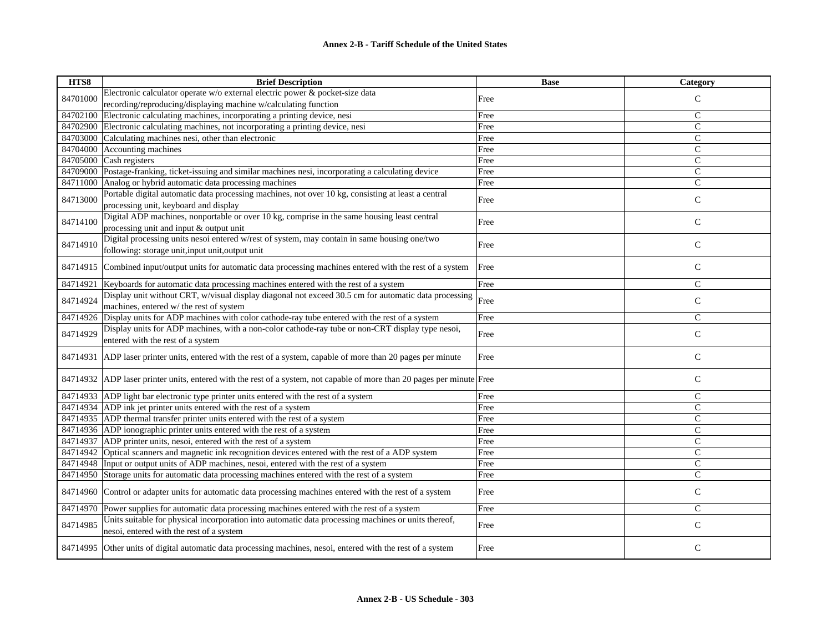| HTS8     | <b>Brief Description</b>                                                                                               | <b>Base</b> | Category      |
|----------|------------------------------------------------------------------------------------------------------------------------|-------------|---------------|
| 84701000 | Electronic calculator operate w/o external electric power & pocket-size data                                           | Free        | $\mathsf{C}$  |
|          | recording/reproducing/displaying machine w/calculating function                                                        |             |               |
| 84702100 | Electronic calculating machines, incorporating a printing device, nesi                                                 | Free        | $\mathsf{C}$  |
| 84702900 | Electronic calculating machines, not incorporating a printing device, nesi                                             | Free        | $\mathsf{C}$  |
| 84703000 | Calculating machines nesi, other than electronic                                                                       | Free        | $\mathsf{C}$  |
| 84704000 | Accounting machines                                                                                                    | Free        | $\mathsf{C}$  |
| 84705000 | Cash registers                                                                                                         | Free        | $\mathsf{C}$  |
| 84709000 | Postage-franking, ticket-issuing and similar machines nesi, incorporating a calculating device                         | Free        | $\mathcal{C}$ |
| 84711000 | Analog or hybrid automatic data processing machines                                                                    | Free        | $\mathcal{C}$ |
| 84713000 | Portable digital automatic data processing machines, not over 10 kg, consisting at least a central                     | Free        | $\mathsf{C}$  |
|          | processing unit, keyboard and display                                                                                  |             |               |
| 84714100 | Digital ADP machines, nonportable or over 10 kg, comprise in the same housing least central                            | Free        | $\mathbf C$   |
|          | processing unit and input & output unit                                                                                |             |               |
| 84714910 | Digital processing units nesoi entered w/rest of system, may contain in same housing one/two                           | Free        | $\mathsf{C}$  |
|          | following: storage unit, input unit, output unit                                                                       |             |               |
| 84714915 | Combined input/output units for automatic data processing machines entered with the rest of a system                   | Free        | $\mathsf{C}$  |
| 84714921 | Keyboards for automatic data processing machines entered with the rest of a system                                     | Free        | $\mathcal{C}$ |
|          | Display unit without CRT, w/visual display diagonal not exceed 30.5 cm for automatic data processing                   |             |               |
| 84714924 | machines, entered w/ the rest of system                                                                                | Free        | $\mathsf{C}$  |
|          | 84714926 Display units for ADP machines with color cathode-ray tube entered with the rest of a system                  | Free        | $\mathcal{C}$ |
| 84714929 | Display units for ADP machines, with a non-color cathode-ray tube or non-CRT display type nesoi,                       | Free        | $\mathsf{C}$  |
|          | entered with the rest of a system                                                                                      |             |               |
| 84714931 | ADP laser printer units, entered with the rest of a system, capable of more than 20 pages per minute                   | Free        | $\mathsf{C}$  |
|          |                                                                                                                        |             |               |
|          | 84714932 ADP laser printer units, entered with the rest of a system, not capable of more than 20 pages per minute Free |             | $\mathbf C$   |
|          | 84714933 ADP light bar electronic type printer units entered with the rest of a system                                 | Free        | $\mathsf{C}$  |
|          | 84714934 ADP ink jet printer units entered with the rest of a system                                                   | Free        | $\mathsf{C}$  |
| 84714935 | ADP thermal transfer printer units entered with the rest of a system                                                   | Free        | $\mathsf{C}$  |
|          | 84714936 ADP ionographic printer units entered with the rest of a system                                               | Free        | $\mathsf{C}$  |
|          | 84714937 ADP printer units, nesoi, entered with the rest of a system                                                   | Free        | $\mathsf{C}$  |
| 84714942 | Optical scanners and magnetic ink recognition devices entered with the rest of a ADP system                            | Free        | $\mathsf{C}$  |
| 84714948 | Input or output units of ADP machines, nesoi, entered with the rest of a system                                        | Free        | $\mathsf{C}$  |
| 84714950 | Storage units for automatic data processing machines entered with the rest of a system                                 | Free        | $\mathsf{C}$  |
|          |                                                                                                                        |             |               |
| 84714960 | Control or adapter units for automatic data processing machines entered with the rest of a system                      | Free        | $\mathsf{C}$  |
| 84714970 | Power supplies for automatic data processing machines entered with the rest of a system                                | Free        | $\mathsf{C}$  |
| 84714985 | Units suitable for physical incorporation into automatic data processing machines or units thereof,                    | Free        | $\mathbf C$   |
|          | nesoi, entered with the rest of a system                                                                               |             |               |
| 84714995 | Other units of digital automatic data processing machines, nesoi, entered with the rest of a system                    | Free        | $\mathsf{C}$  |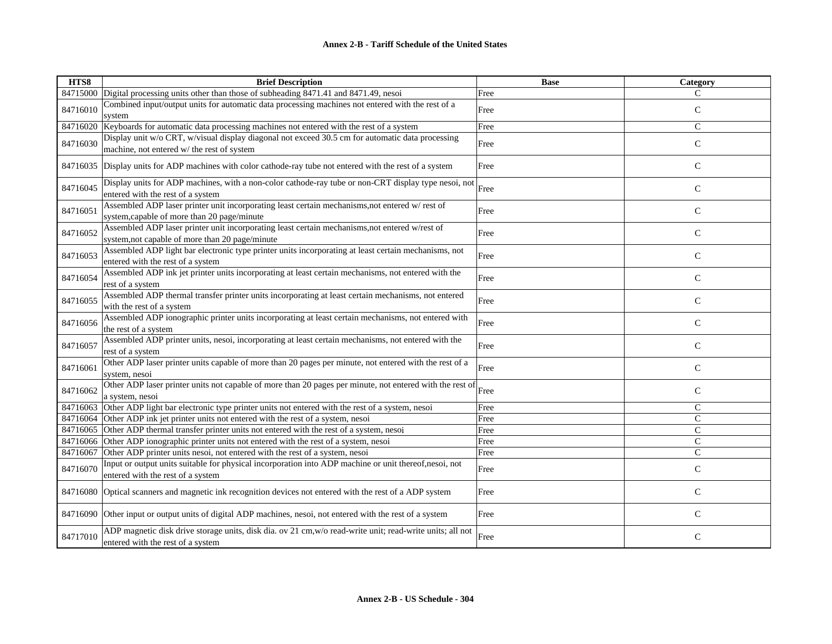| HTS8     | <b>Brief Description</b>                                                                                                                          | <b>Base</b> | Category       |
|----------|---------------------------------------------------------------------------------------------------------------------------------------------------|-------------|----------------|
| 84715000 | Digital processing units other than those of subheading 8471.41 and 8471.49, nesoi                                                                | Free        | C              |
| 84716010 | Combined input/output units for automatic data processing machines not entered with the rest of a<br>system                                       | Free        | $\mathsf{C}$   |
| 84716020 | Keyboards for automatic data processing machines not entered with the rest of a system                                                            | Free        | $\mathsf{C}$   |
| 84716030 | Display unit w/o CRT, w/visual display diagonal not exceed 30.5 cm for automatic data processing<br>machine, not entered w/ the rest of system    | Free        | ${\bf C}$      |
| 84716035 | Display units for ADP machines with color cathode-ray tube not entered with the rest of a system                                                  | Free        | $\mathsf{C}$   |
| 84716045 | Display units for ADP machines, with a non-color cathode-ray tube or non-CRT display type nesoi, not<br>entered with the rest of a system         | Free        | $\mathsf{C}$   |
| 84716051 | Assembled ADP laser printer unit incorporating least certain mechanisms, not entered w/rest of<br>system, capable of more than 20 page/minute     | Free        | $\mathcal{C}$  |
| 84716052 | Assembled ADP laser printer unit incorporating least certain mechanisms, not entered w/rest of<br>system, not capable of more than 20 page/minute | Free        | $\mathsf{C}$   |
| 84716053 | Assembled ADP light bar electronic type printer units incorporating at least certain mechanisms, not<br>entered with the rest of a system         | Free        | $\mathsf{C}$   |
| 84716054 | Assembled ADP ink jet printer units incorporating at least certain mechanisms, not entered with the<br>rest of a system                           | Free        | $\mathsf{C}$   |
| 84716055 | Assembled ADP thermal transfer printer units incorporating at least certain mechanisms, not entered<br>with the rest of a system                  | Free        | $\mathsf{C}$   |
| 84716056 | Assembled ADP ionographic printer units incorporating at least certain mechanisms, not entered with<br>the rest of a system                       | Free        | $\mathsf{C}$   |
| 84716057 | Assembled ADP printer units, nesoi, incorporating at least certain mechanisms, not entered with the<br>rest of a system                           | Free        | ${\bf C}$      |
| 84716061 | Other ADP laser printer units capable of more than 20 pages per minute, not entered with the rest of a<br>system, nesoi                           | Free        | $\mathsf{C}$   |
| 84716062 | Other ADP laser printer units not capable of more than 20 pages per minute, not entered with the rest of<br>a system, nesoi                       | Free        | $\mathsf C$    |
| 84716063 | Other ADP light bar electronic type printer units not entered with the rest of a system, nesoi                                                    | Free        | $\mathsf{C}$   |
| 84716064 | Other ADP ink jet printer units not entered with the rest of a system, nesoi                                                                      | Free        | $\mathsf{C}$   |
| 84716065 | Other ADP thermal transfer printer units not entered with the rest of a system, nesoi                                                             | Free        | $\mathsf{C}$   |
|          | 84716066 Other ADP ionographic printer units not entered with the rest of a system, nesoi                                                         | Free        | $\overline{C}$ |
| 84716067 | Other ADP printer units nesoi, not entered with the rest of a system, nesoi                                                                       | Free        | $\mathcal{C}$  |
| 84716070 | Input or output units suitable for physical incorporation into ADP machine or unit thereof,nesoi, not<br>entered with the rest of a system        | Free        | $\mathsf{C}$   |
| 84716080 | Optical scanners and magnetic ink recognition devices not entered with the rest of a ADP system                                                   | Free        | ${\bf C}$      |
| 84716090 | Other input or output units of digital ADP machines, nesoi, not entered with the rest of a system                                                 | Free        | $\mathcal{C}$  |
| 84717010 | ADP magnetic disk drive storage units, disk dia. ov 21 cm, w/o read-write unit; read-write units; all not<br>entered with the rest of a system    | Free        | $\mathsf{C}$   |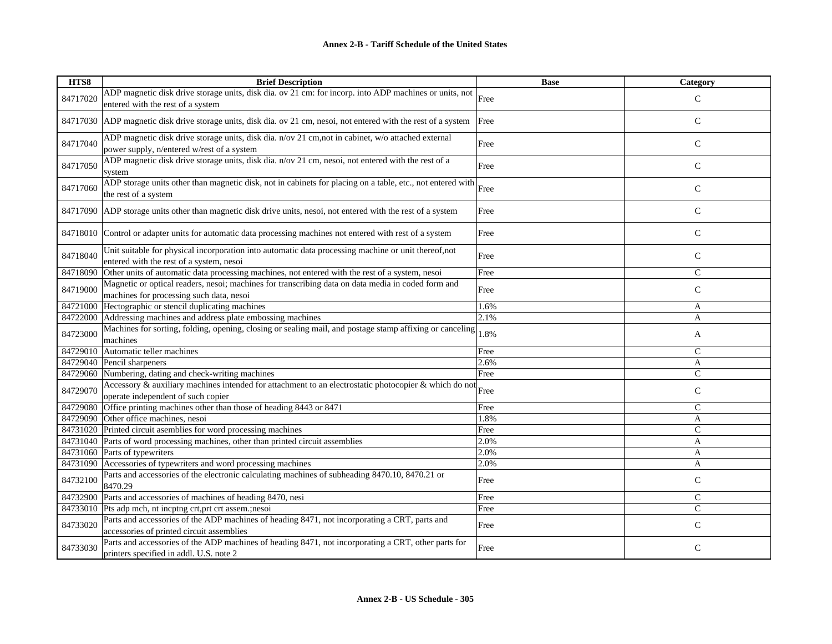| HTS8     | <b>Brief Description</b>                                                                                                                                 | <b>Base</b> | <b>Category</b> |
|----------|----------------------------------------------------------------------------------------------------------------------------------------------------------|-------------|-----------------|
| 84717020 | ADP magnetic disk drive storage units, disk dia. ov 21 cm: for incorp. into ADP machines or units, not $\vert$ Free<br>entered with the rest of a system |             | $\mathcal{C}$   |
|          | 84717030 ADP magnetic disk drive storage units, disk dia. ov 21 cm, nesoi, not entered with the rest of a system                                         | Free        | $\mathsf{C}$    |
| 84717040 | ADP magnetic disk drive storage units, disk dia. n/ov 21 cm,not in cabinet, w/o attached external<br>power supply, n/entered w/rest of a system          | Free        | $\mathsf{C}$    |
| 84717050 | ADP magnetic disk drive storage units, disk dia. n/ov 21 cm, nesoi, not entered with the rest of a<br>system                                             | Free        | $\mathsf{C}$    |
| 84717060 | ADP storage units other than magnetic disk, not in cabinets for placing on a table, etc., not entered with<br>the rest of a system                       | Free        | $\mathsf{C}$    |
|          | 84717090 ADP storage units other than magnetic disk drive units, nesoi, not entered with the rest of a system                                            | Free        | $\mathsf{C}$    |
|          | 84718010 Control or adapter units for automatic data processing machines not entered with rest of a system                                               | Free        | $\mathsf{C}$    |
| 84718040 | Unit suitable for physical incorporation into automatic data processing machine or unit thereof, not<br>entered with the rest of a system, nesoi         | Free        | $\mathsf{C}$    |
|          | 84718090 Other units of automatic data processing machines, not entered with the rest of a system, nesoi                                                 | Free        | $\mathsf{C}$    |
| 84719000 | Magnetic or optical readers, nesoi; machines for transcribing data on data media in coded form and<br>machines for processing such data, nesoi           | Free        | C               |
|          | 84721000 Hectographic or stencil duplicating machines                                                                                                    | 1.6%        | A               |
|          | 84722000 Addressing machines and address plate embossing machines                                                                                        | 2.1%        | A               |
| 84723000 | Machines for sorting, folding, opening, closing or sealing mail, and postage stamp affixing or canceling<br>machines                                     | 1.8%        | A               |
|          | 84729010 Automatic teller machines                                                                                                                       | Free        | $\mathcal{C}$   |
|          | 84729040 Pencil sharpeners                                                                                                                               | 2.6%        | A               |
| 84729060 | Numbering, dating and check-writing machines                                                                                                             | Free        | C               |
| 84729070 | Accessory & auxiliary machines intended for attachment to an electrostatic photocopier & which do not<br>operate independent of such copier              |             | $\mathbf C$     |
|          | 84729080 Office printing machines other than those of heading 8443 or 8471                                                                               | Free        | C               |
|          | 84729090 Other office machines, nesoi                                                                                                                    | 1.8%        | A               |
|          | 84731020 Printed circuit asemblies for word processing machines                                                                                          | Free        | $\mathcal{C}$   |
|          | 84731040 Parts of word processing machines, other than printed circuit assemblies                                                                        | 2.0%        | A               |
|          | 84731060 Parts of typewriters                                                                                                                            | 2.0%        | A               |
|          | 84731090 Accessories of typewriters and word processing machines                                                                                         | 2.0%        | A               |
| 84732100 | Parts and accessories of the electronic calculating machines of subheading 8470.10, 8470.21 or<br>8470.29                                                | Free        | $\mathsf{C}$    |
|          | 84732900 Parts and accessories of machines of heading 8470, nesi                                                                                         | Free        | C               |
|          | 84733010 Pts adp mch, nt incptng crt, prt crt assem.; nesoi                                                                                              | Free        | $\mathcal{C}$   |
| 84733020 | Parts and accessories of the ADP machines of heading 8471, not incorporating a CRT, parts and<br>accessories of printed circuit assemblies               | Free        | C               |
| 84733030 | Parts and accessories of the ADP machines of heading 8471, not incorporating a CRT, other parts for<br>printers specified in addl. U.S. note 2           | Free        | $\mathsf{C}$    |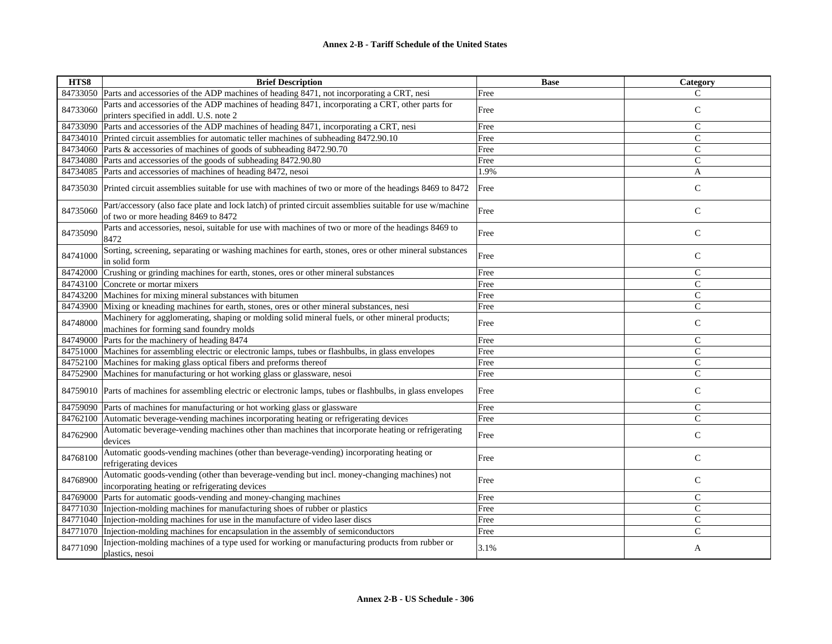| HTS8     | <b>Brief Description</b>                                                                                                                        | <b>Base</b> | Category       |
|----------|-------------------------------------------------------------------------------------------------------------------------------------------------|-------------|----------------|
|          | 84733050   Parts and accessories of the ADP machines of heading 8471, not incorporating a CRT, nesi                                             | Free        | $\mathcal{C}$  |
| 84733060 | Parts and accessories of the ADP machines of heading 8471, incorporating a CRT, other parts for                                                 | Free        | $\mathsf{C}$   |
|          | printers specified in addl. U.S. note 2                                                                                                         |             |                |
|          | 84733090 Parts and accessories of the ADP machines of heading 8471, incorporating a CRT, nesi                                                   | Free        | $\mathsf{C}$   |
|          | 84734010 Printed circuit assemblies for automatic teller machines of subheading 8472.90.10                                                      | Free        | $\mathsf{C}$   |
|          | 84734060 Parts & accessories of machines of goods of subheading 8472.90.70                                                                      | Free        | $\mathsf{C}$   |
|          | 84734080 Parts and accessories of the goods of subheading 8472.90.80                                                                            | Free        | $\mathsf{C}$   |
|          | 84734085 Parts and accessories of machines of heading 8472, nesoi                                                                               | 1.9%        | $\mathbf{A}$   |
|          | 84735030 Printed circuit assemblies suitable for use with machines of two or more of the headings 8469 to 8472                                  | Free        | $\mathsf{C}$   |
| 84735060 | Part/accessory (also face plate and lock latch) of printed circuit assemblies suitable for use w/machine<br>of two or more heading 8469 to 8472 | Free        | $\mathsf{C}$   |
| 84735090 | Parts and accessories, nesoi, suitable for use with machines of two or more of the headings 8469 to<br>8472                                     | Free        | $\mathsf{C}$   |
| 84741000 | Sorting, screening, separating or washing machines for earth, stones, ores or other mineral substances<br>in solid form                         | Free        | $\mathbf C$    |
|          | 84742000 Crushing or grinding machines for earth, stones, ores or other mineral substances                                                      | Free        | $\mathsf{C}$   |
|          | 84743100 Concrete or mortar mixers                                                                                                              | Free        | $\mathcal{C}$  |
|          | 84743200 Machines for mixing mineral substances with bitumen                                                                                    | Free        | $\mathsf{C}$   |
|          | 84743900 Mixing or kneading machines for earth, stones, ores or other mineral substances, nesi                                                  | Free        | $\overline{C}$ |
| 84748000 | Machinery for agglomerating, shaping or molding solid mineral fuels, or other mineral products;<br>machines for forming sand foundry molds      | Free        | $\mathsf{C}$   |
|          | 84749000 Parts for the machinery of heading 8474                                                                                                | Free        | $\mathsf{C}$   |
|          | 84751000 Machines for assembling electric or electronic lamps, tubes or flashbulbs, in glass envelopes                                          | Free        | $\mathsf{C}$   |
|          | 84752100 Machines for making glass optical fibers and preforms thereof                                                                          | Free        | $\mathsf{C}$   |
|          | 84752900 Machines for manufacturing or hot working glass or glassware, nesoi                                                                    | Free        | $\mathsf{C}$   |
|          | 84759010 Parts of machines for assembling electric or electronic lamps, tubes or flashbulbs, in glass envelopes                                 | Free        | $\mathsf C$    |
|          | 84759090 Parts of machines for manufacturing or hot working glass or glassware                                                                  | Free        | $\mathsf{C}$   |
|          | 84762100 Automatic beverage-vending machines incorporating heating or refrigerating devices                                                     | Free        | $\mathsf{C}$   |
| 84762900 | Automatic beverage-vending machines other than machines that incorporate heating or refrigerating<br>devices                                    | Free        | $\mathsf{C}$   |
| 84768100 | Automatic goods-vending machines (other than beverage-vending) incorporating heating or<br>refrigerating devices                                | Free        | $\mathbf C$    |
| 84768900 | Automatic goods-vending (other than beverage-vending but incl. money-changing machines) not<br>incorporating heating or refrigerating devices   | Free        | $\mathsf{C}$   |
|          | 84769000 Parts for automatic goods-vending and money-changing machines                                                                          | Free        | $\mathsf{C}$   |
|          | 84771030 Injection-molding machines for manufacturing shoes of rubber or plastics                                                               | Free        | $\mathsf{C}$   |
|          | 84771040 Injection-molding machines for use in the manufacture of video laser discs                                                             | Free        | $\mathsf{C}$   |
|          | 84771070 Injection-molding machines for encapsulation in the assembly of semiconductors                                                         | Free        | $\mathsf{C}$   |
| 84771090 | Injection-molding machines of a type used for working or manufacturing products from rubber or<br>plastics, nesoi                               | 3.1%        | A              |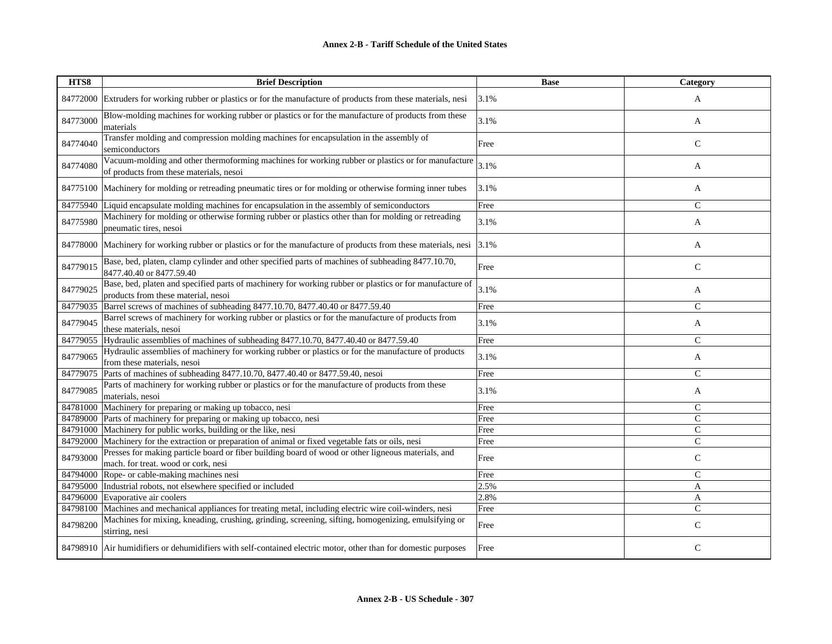## **Annex 2-B - Tariff Schedule of the United States**

| HTS8     | <b>Brief Description</b>                                                                                                                       | <b>Base</b> | Category      |
|----------|------------------------------------------------------------------------------------------------------------------------------------------------|-------------|---------------|
| 84772000 | Extruders for working rubber or plastics or for the manufacture of products from these materials, nesi                                         | 3.1%        | A             |
| 84773000 | Blow-molding machines for working rubber or plastics or for the manufacture of products from these<br>materials                                | 3.1%        | A             |
| 84774040 | Transfer molding and compression molding machines for encapsulation in the assembly of<br>semiconductors                                       | Free        | $\mathbf C$   |
| 84774080 | Vacuum-molding and other thermoforming machines for working rubber or plastics or for manufacture<br>of products from these materials, nesoi   | 3.1%        | A             |
|          | 84775100 Machinery for molding or retreading pneumatic tires or for molding or otherwise forming inner tubes                                   | 3.1%        | A             |
| 84775940 | Liquid encapsulate molding machines for encapsulation in the assembly of semiconductors                                                        | Free        | $\mathsf{C}$  |
| 84775980 | Machinery for molding or otherwise forming rubber or plastics other than for molding or retreading<br>pneumatic tires, nesoi                   | 3.1%        | A             |
| 84778000 | Machinery for working rubber or plastics or for the manufacture of products from these materials, nesi                                         | 3.1%        | A             |
| 84779015 | Base, bed, platen, clamp cylinder and other specified parts of machines of subheading 8477.10.70,<br>8477.40.40 or 8477.59.40                  | Free        | $\mathsf{C}$  |
| 84779025 | Base, bed, platen and specified parts of machinery for working rubber or plastics or for manufacture of<br>products from these material, nesoi | 3.1%        | A             |
| 84779035 | Barrel screws of machines of subheading 8477.10.70, 8477.40.40 or 8477.59.40                                                                   | Free        | $\mathsf{C}$  |
| 84779045 | Barrel screws of machinery for working rubber or plastics or for the manufacture of products from<br>these materials, nesoi                    | 3.1%        | A             |
| 84779055 | Hydraulic assemblies of machines of subheading 8477.10.70, 8477.40.40 or 8477.59.40                                                            | Free        | $\mathsf{C}$  |
| 84779065 | Hydraulic assemblies of machinery for working rubber or plastics or for the manufacture of products<br>from these materials, nesoi             | 3.1%        | A             |
| 84779075 | Parts of machines of subheading 8477.10.70, 8477.40.40 or 8477.59.40, nesoi                                                                    | Free        | $\mathsf{C}$  |
| 84779085 | Parts of machinery for working rubber or plastics or for the manufacture of products from these<br>materials, nesoi                            | 3.1%        | A             |
|          | 84781000 Machinery for preparing or making up tobacco, nesi                                                                                    | Free        | $\mathsf{C}$  |
|          | 84789000 Parts of machinery for preparing or making up tobacco, nesi                                                                           | Free        | $\mathsf{C}$  |
|          | 84791000 Machinery for public works, building or the like, nesi                                                                                | Free        | $\mathcal{C}$ |
|          | 84792000 Machinery for the extraction or preparation of animal or fixed vegetable fats or oils, nesi                                           | Free        | $\mathcal{C}$ |
| 84793000 | Presses for making particle board or fiber building board of wood or other ligneous materials, and<br>mach. for treat. wood or cork, nesi      | Free        | $\mathbf C$   |
|          | 84794000 Rope- or cable-making machines nesi                                                                                                   | Free        | $\mathsf{C}$  |
|          | 84795000 Industrial robots, not elsewhere specified or included                                                                                | 2.5%        | $\mathbf{A}$  |
|          | 84796000 Evaporative air coolers                                                                                                               | 2.8%        | A             |
|          | 84798100 Machines and mechanical appliances for treating metal, including electric wire coil-winders, nesi                                     | Free        | $\mathsf{C}$  |
| 84798200 | Machines for mixing, kneading, crushing, grinding, screening, sifting, homogenizing, emulsifying or<br>stirring, nesi                          | Free        | $\mathsf{C}$  |
|          | 84798910 Air humidifiers or dehumidifiers with self-contained electric motor, other than for domestic purposes                                 | Free        | $\mathsf{C}$  |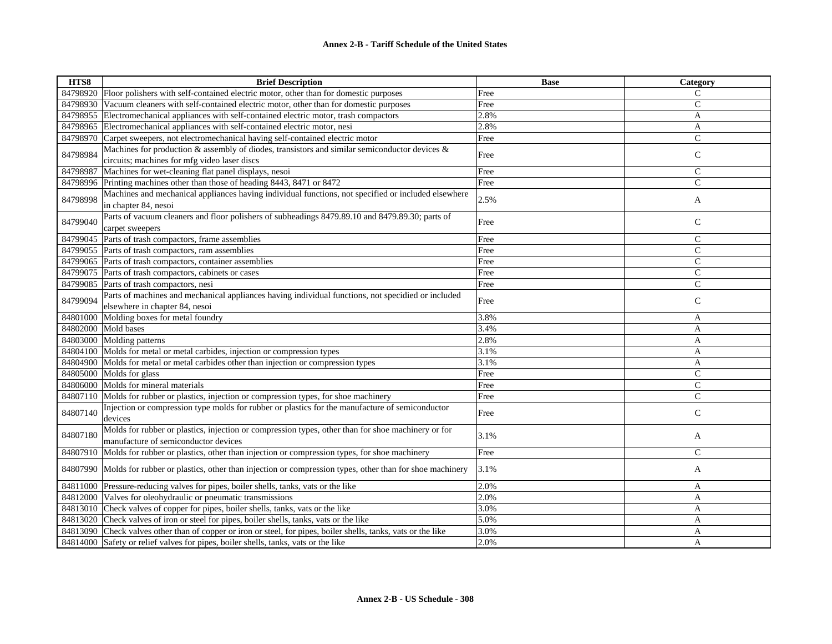| HTS8     | <b>Brief Description</b>                                                                                        | <b>Base</b> | Category       |
|----------|-----------------------------------------------------------------------------------------------------------------|-------------|----------------|
|          | 84798920 Floor polishers with self-contained electric motor, other than for domestic purposes                   | Free        | C              |
|          | 84798930 Vacuum cleaners with self-contained electric motor, other than for domestic purposes                   | Free        | $\overline{C}$ |
|          | 84798955 Electromechanical appliances with self-contained electric motor, trash compactors                      | 2.8%        | A              |
| 84798965 | Electromechanical appliances with self-contained electric motor, nesi                                           | 2.8%        | A              |
|          | 84798970 Carpet sweepers, not electromechanical having self-contained electric motor                            | Free        | $\overline{C}$ |
| 84798984 | Machines for production & assembly of diodes, transistors and similar semiconductor devices $\&$                |             |                |
|          | circuits; machines for mfg video laser discs                                                                    | Free        | $\mathsf{C}$   |
| 84798987 | Machines for wet-cleaning flat panel displays, nesoi                                                            | Free        | $\mathsf{C}$   |
|          | 84798996 Printing machines other than those of heading 8443, 8471 or 8472                                       | Free        | $\overline{C}$ |
| 84798998 | Machines and mechanical appliances having individual functions, not specified or included elsewhere             |             |                |
|          | in chapter 84, nesoi                                                                                            | 2.5%        | A              |
|          | Parts of vacuum cleaners and floor polishers of subheadings 8479.89.10 and 8479.89.30; parts of                 |             |                |
| 84799040 | carpet sweepers                                                                                                 | Free        | $\mathsf{C}$   |
| 84799045 | Parts of trash compactors, frame assemblies                                                                     | Free        | $\mathsf{C}$   |
|          | 84799055 Parts of trash compactors, ram assemblies                                                              | Free        | $\mathcal{C}$  |
|          | 84799065 Parts of trash compactors, container assemblies                                                        | Free        | C              |
|          | 84799075 Parts of trash compactors, cabinets or cases                                                           | Free        | $\mathsf{C}$   |
|          | 84799085 Parts of trash compactors, nesi                                                                        | Free        | $\mathcal{C}$  |
|          | Parts of machines and mechanical appliances having individual functions, not specidied or included              |             |                |
| 84799094 | elsewhere in chapter 84, nesoi                                                                                  | Free        | $\mathsf{C}$   |
|          | 84801000 Molding boxes for metal foundry                                                                        | 3.8%        | A              |
|          | 84802000 Mold bases                                                                                             | 3.4%        | A              |
|          | 84803000 Molding patterns                                                                                       | 2.8%        | A              |
|          | 84804100 Molds for metal or metal carbides, injection or compression types                                      | 3.1%        | A              |
|          | 84804900 Molds for metal or metal carbides other than injection or compression types                            | 3.1%        | A              |
|          | 84805000 Molds for glass                                                                                        | Free        | $\mathcal{C}$  |
|          | 84806000 Molds for mineral materials                                                                            | Free        | $\overline{C}$ |
|          | 84807110 Molds for rubber or plastics, injection or compression types, for shoe machinery                       | Free        | $\mathsf{C}$   |
| 84807140 | Injection or compression type molds for rubber or plastics for the manufacture of semiconductor                 |             |                |
|          | devices                                                                                                         | Free        | $\mathsf{C}$   |
|          | Molds for rubber or plastics, injection or compression types, other than for shoe machinery or for              |             |                |
| 84807180 | manufacture of semiconductor devices                                                                            | 3.1%        | A              |
|          | 84807910 Molds for rubber or plastics, other than injection or compression types, for shoe machinery            | Free        | $\mathcal{C}$  |
|          |                                                                                                                 |             |                |
|          | 84807990 Molds for rubber or plastics, other than injection or compression types, other than for shoe machinery | 3.1%        | A              |
|          | 84811000 Pressure-reducing valves for pipes, boiler shells, tanks, vats or the like                             | 2.0%        | A              |
|          | 84812000 Valves for oleohydraulic or pneumatic transmissions                                                    | 2.0%        | $\mathbf{A}$   |
|          | 84813010 Check valves of copper for pipes, boiler shells, tanks, vats or the like                               | 3.0%        | A              |
|          | 84813020 Check valves of iron or steel for pipes, boiler shells, tanks, vats or the like                        | 5.0%        | A              |
|          | 84813090 Check valves other than of copper or iron or steel, for pipes, boiler shells, tanks, vats or the like  | 3.0%        | A              |
|          | 84814000 Safety or relief valves for pipes, boiler shells, tanks, vats or the like                              | 2.0%        | A              |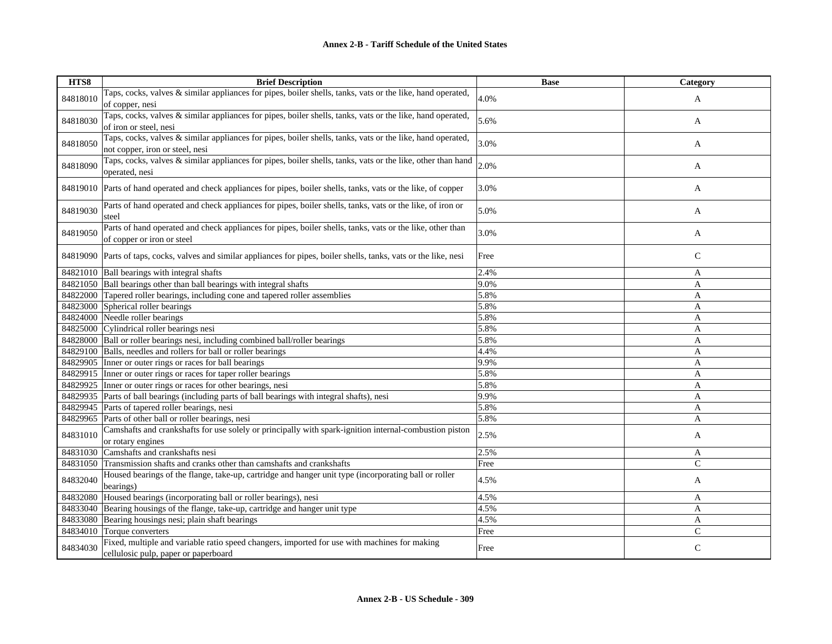| HTS8     | <b>Brief Description</b>                                                                                                                      | <b>Base</b> | Category     |
|----------|-----------------------------------------------------------------------------------------------------------------------------------------------|-------------|--------------|
| 84818010 | Taps, cocks, valves & similar appliances for pipes, boiler shells, tanks, vats or the like, hand operated,<br>of copper, nesi                 | 4.0%        | A            |
| 84818030 | Taps, cocks, valves & similar appliances for pipes, boiler shells, tanks, vats or the like, hand operated,<br>of iron or steel, nesi          | 5.6%        | A            |
| 84818050 | Taps, cocks, valves & similar appliances for pipes, boiler shells, tanks, vats or the like, hand operated,<br>not copper, iron or steel, nesi | 3.0%        | A            |
| 84818090 | Taps, cocks, valves & similar appliances for pipes, boiler shells, tanks, vats or the like, other than hand<br>operated, nesi                 | 2.0%        | A            |
|          | 84819010 Parts of hand operated and check appliances for pipes, boiler shells, tanks, vats or the like, of copper                             | 3.0%        | A            |
| 84819030 | Parts of hand operated and check appliances for pipes, boiler shells, tanks, vats or the like, of iron or<br>steel                            | 5.0%        | A            |
| 84819050 | Parts of hand operated and check appliances for pipes, boiler shells, tanks, vats or the like, other than<br>of copper or iron or steel       | 3.0%        | A            |
|          | 84819090 Parts of taps, cocks, valves and similar appliances for pipes, boiler shells, tanks, vats or the like, nesi                          | Free        | $\mathsf{C}$ |
|          | 84821010 Ball bearings with integral shafts                                                                                                   | 2.4%        | A            |
|          | 84821050 Ball bearings other than ball bearings with integral shafts                                                                          | 9.0%        | A            |
|          | 84822000 Tapered roller bearings, including cone and tapered roller assemblies                                                                | 5.8%        | $\mathbf{A}$ |
|          | 84823000 Spherical roller bearings                                                                                                            | 5.8%        | A            |
|          | 84824000 Needle roller bearings                                                                                                               | 5.8%        | A            |
|          | 84825000 Cylindrical roller bearings nesi                                                                                                     | 5.8%        | A            |
|          | 84828000 Ball or roller bearings nesi, including combined ball/roller bearings                                                                | 5.8%        | A            |
|          | 84829100 Balls, needles and rollers for ball or roller bearings                                                                               | 4.4%        | A            |
|          | 84829905 Inner or outer rings or races for ball bearings                                                                                      | 9.9%        | A            |
|          | 84829915 Inner or outer rings or races for taper roller bearings                                                                              | 5.8%        | $\mathbf{A}$ |
|          | 84829925 Inner or outer rings or races for other bearings, nesi                                                                               | 5.8%        | A            |
|          | 84829935 Parts of ball bearings (including parts of ball bearings with integral shafts), nesi                                                 | 9.9%        | $\mathbf{A}$ |
|          | 84829945 Parts of tapered roller bearings, nesi                                                                                               | 5.8%        | A            |
|          | 84829965 Parts of other ball or roller bearings, nesi                                                                                         | 5.8%        | A            |
| 84831010 | Camshafts and crankshafts for use solely or principally with spark-ignition internal-combustion piston<br>or rotary engines                   | 2.5%        | A            |
|          | 84831030 Camshafts and crankshafts nesi                                                                                                       | 2.5%        | A            |
|          | 84831050 Transmission shafts and cranks other than camshafts and crankshafts                                                                  | Free        | $\mathsf{C}$ |
| 84832040 | Housed bearings of the flange, take-up, cartridge and hanger unit type (incorporating ball or roller<br>bearings)                             | 4.5%        | A            |
| 84832080 | Housed bearings (incorporating ball or roller bearings), nesi                                                                                 | 4.5%        | A            |
|          | 84833040 Bearing housings of the flange, take-up, cartridge and hanger unit type                                                              | 4.5%        | A            |
|          | 84833080 Bearing housings nesi; plain shaft bearings                                                                                          | 4.5%        | A            |
|          | 84834010 Torque converters                                                                                                                    | Free        | $\mathsf{C}$ |
| 84834030 | Fixed, multiple and variable ratio speed changers, imported for use with machines for making<br>cellulosic pulp, paper or paperboard          | Free        | $\mathsf{C}$ |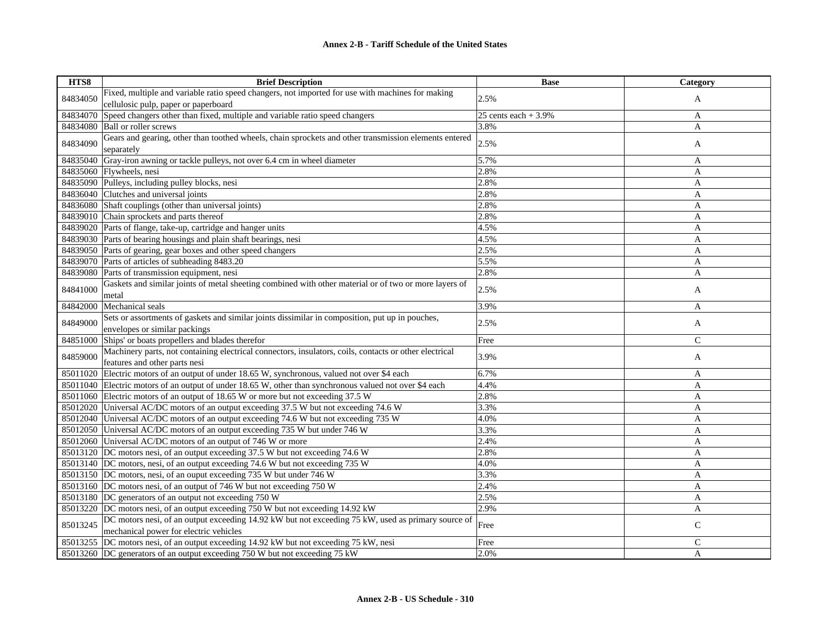| HTS8     | <b>Brief Description</b>                                                                                       | <b>Base</b>           | Category     |
|----------|----------------------------------------------------------------------------------------------------------------|-----------------------|--------------|
| 84834050 | Fixed, multiple and variable ratio speed changers, not imported for use with machines for making               | 2.5%                  | A            |
|          | cellulosic pulp, paper or paperboard                                                                           |                       |              |
| 84834070 | Speed changers other than fixed, multiple and variable ratio speed changers                                    | 25 cents each $+3.9%$ | A            |
| 84834080 | <b>Ball or roller screws</b>                                                                                   | 3.8%                  | A            |
| 84834090 | Gears and gearing, other than toothed wheels, chain sprockets and other transmission elements entered          | 2.5%                  | A            |
|          | separately                                                                                                     |                       |              |
| 84835040 | Gray-iron awning or tackle pulleys, not over 6.4 cm in wheel diameter                                          | 5.7%                  | A            |
| 84835060 | Flywheels, nesi                                                                                                | 2.8%                  | $\mathbf{A}$ |
|          | 84835090 Pulleys, including pulley blocks, nesi                                                                | 2.8%                  | $\mathbf{A}$ |
| 84836040 | Clutches and universal joints                                                                                  | 2.8%                  | A            |
| 84836080 | Shaft couplings (other than universal joints)                                                                  | 2.8%                  | A            |
| 84839010 | Chain sprockets and parts thereof                                                                              | 2.8%                  | A            |
|          | 84839020 Parts of flange, take-up, cartridge and hanger units                                                  | 4.5%                  | A            |
|          | 84839030 Parts of bearing housings and plain shaft bearings, nesi                                              | 4.5%                  | A            |
| 84839050 | Parts of gearing, gear boxes and other speed changers                                                          | 2.5%                  | A            |
|          | 84839070 Parts of articles of subheading 8483.20                                                               | 5.5%                  | A            |
| 84839080 | Parts of transmission equipment, nesi                                                                          | 2.8%                  | A            |
| 84841000 | Gaskets and similar joints of metal sheeting combined with other material or of two or more layers of<br>metal | 2.5%                  | A            |
| 84842000 | Mechanical seals                                                                                               | 3.9%                  | A            |
|          | Sets or assortments of gaskets and similar joints dissimilar in composition, put up in pouches,                |                       |              |
| 84849000 | envelopes or similar packings                                                                                  | 2.5%                  | A            |
| 84851000 | Ships' or boats propellers and blades therefor                                                                 | Free                  | $\mathsf{C}$ |
|          | Machinery parts, not containing electrical connectors, insulators, coils, contacts or other electrical         |                       |              |
| 84859000 | features and other parts nesi                                                                                  | 3.9%                  | A            |
| 85011020 | Electric motors of an output of under 18.65 W, synchronous, valued not over \$4 each                           | 6.7%                  | A            |
|          | 85011040 Electric motors of an output of under 18.65 W, other than synchronous valued not over \$4 each        | 4.4%                  | A            |
|          | 85011060 Electric motors of an output of 18.65 W or more but not exceeding 37.5 W                              | 2.8%                  | A            |
|          | 85012020 Universal AC/DC motors of an output exceeding 37.5 W but not exceeding 74.6 W                         | 3.3%                  | A            |
|          | 85012040 Universal AC/DC motors of an output exceeding 74.6 W but not exceeding 735 W                          | 4.0%                  | A            |
|          | 85012050 Universal AC/DC motors of an output exceeding 735 W but under 746 W                                   | 3.3%                  | A            |
| 85012060 | Universal AC/DC motors of an output of 746 W or more                                                           | 2.4%                  | A            |
| 85013120 | DC motors nesi, of an output exceeding 37.5 W but not exceeding 74.6 W                                         | 2.8%                  | A            |
|          | 85013140 DC motors, nesi, of an output exceeding 74.6 W but not exceeding 735 W                                | 4.0%                  | A            |
|          | 85013150 DC motors, nesi, of an ouput exceeding 735 W but under 746 W                                          | 3.3%                  | $\mathbf{A}$ |
|          | 85013160 DC motors nesi, of an output of 746 W but not exceeding 750 W                                         | 2.4%                  | A            |
|          | 85013180 DC generators of an output not exceeding 750 W                                                        | 2.5%                  | A            |
|          | 85013220 DC motors nesi, of an output exceeding 750 W but not exceeding 14.92 kW                               | 2.9%                  | A            |
|          | DC motors nesi, of an output exceeding 14.92 kW but not exceeding 75 kW, used as primary source of             |                       |              |
| 85013245 | mechanical power for electric vehicles                                                                         | Free                  | C            |
|          | 85013255 DC motors nesi, of an output exceeding 14.92 kW but not exceeding 75 kW, nesi                         | Free                  | C            |
|          | 85013260 DC generators of an output exceeding 750 W but not exceeding 75 kW                                    | 2.0%                  | A            |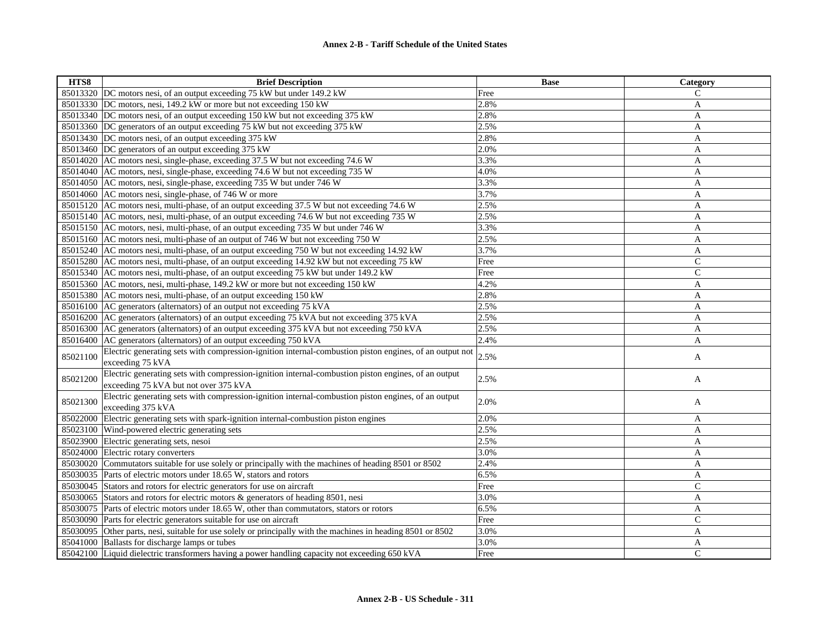| HTS8     | <b>Brief Description</b>                                                                                | <b>Base</b> | Category      |
|----------|---------------------------------------------------------------------------------------------------------|-------------|---------------|
|          | 85013320 DC motors nesi, of an output exceeding 75 kW but under 149.2 kW                                | Free        | C             |
|          | 85013330 DC motors, nesi, 149.2 kW or more but not exceeding 150 kW                                     | 2.8%        | A             |
| 85013340 | DC motors nesi, of an output exceeding 150 kW but not exceeding 375 kW                                  | 2.8%        | A             |
|          | 85013360 DC generators of an output exceeding 75 kW but not exceeding 375 kW                            | 2.5%        | A             |
|          | 85013430 DC motors nesi, of an output exceeding 375 kW                                                  | 2.8%        | A             |
|          | 85013460 DC generators of an output exceeding 375 kW                                                    | 2.0%        | A             |
|          | 85014020 AC motors nesi, single-phase, exceeding 37.5 W but not exceeding 74.6 W                        | 3.3%        | A             |
|          | 85014040 AC motors, nesi, single-phase, exceeding 74.6 W but not exceeding 735 W                        | 4.0%        | $\mathbf{A}$  |
|          | 85014050 AC motors, nesi, single-phase, exceeding 735 W but under 746 W                                 | 3.3%        | A             |
|          | 85014060 AC motors nesi, single-phase, of 746 W or more                                                 | 3.7%        | A             |
|          | 85015120 AC motors nesi, multi-phase, of an output exceeding 37.5 W but not exceeding 74.6 W            | 2.5%        | A             |
|          | 85015140 AC motors, nesi, multi-phase, of an output exceeding 74.6 W but not exceeding 735 W            | 2.5%        | A             |
|          | 85015150 AC motors, nesi, multi-phase, of an output exceeding 735 W but under 746 W                     | 3.3%        | A             |
|          | 85015160 AC motors nesi, multi-phase of an output of 746 W but not exceeding 750 W                      | 2.5%        | A             |
|          | 85015240 AC motors nesi, multi-phase, of an output exceeding 750 W but not exceeding 14.92 kW           | 3.7%        | A             |
|          | 85015280 AC motors nesi, multi-phase, of an output exceeding 14.92 kW but not exceeding 75 kW           | Free        | $\mathcal{C}$ |
|          | 85015340 AC motors nesi, multi-phase, of an output exceeding 75 kW but under 149.2 kW                   | Free        | $\mathsf{C}$  |
| 85015360 | AC motors, nesi, multi-phase, 149.2 kW or more but not exceeding 150 kW                                 | 4.2%        | A             |
|          | 85015380 AC motors nesi, multi-phase, of an output exceeding 150 kW                                     | 2.8%        | A             |
|          | 85016100 AC generators (alternators) of an output not exceeding 75 kVA                                  | 2.5%        | A             |
|          | 85016200 AC generators (alternators) of an output exceeding 75 kVA but not exceeding 375 kVA            | 2.5%        | A             |
|          | 85016300 AC generators (alternators) of an output exceeding 375 kVA but not exceeding 750 kVA           | 2.5%        | A             |
|          | 85016400 AC generators (alternators) of an output exceeding 750 kVA                                     | 2.4%        | A             |
| 85021100 | Electric generating sets with compression-ignition internal-combustion piston engines, of an output not | 2.5%        |               |
|          | exceeding 75 kVA                                                                                        |             | A             |
| 85021200 | Electric generating sets with compression-ignition internal-combustion piston engines, of an output     | 2.5%        | A             |
|          | exceeding 75 kVA but not over 375 kVA                                                                   |             |               |
| 85021300 | Electric generating sets with compression-ignition internal-combustion piston engines, of an output     | 2.0%        |               |
|          | exceeding 375 kVA                                                                                       |             | A             |
| 85022000 | Electric generating sets with spark-ignition internal-combustion piston engines                         | 2.0%        | A             |
| 85023100 | Wind-powered electric generating sets                                                                   | 2.5%        | A             |
| 85023900 | Electric generating sets, nesoi                                                                         | 2.5%        | A             |
| 85024000 | Electric rotary converters                                                                              | 3.0%        | A             |
| 85030020 | Commutators suitable for use solely or principally with the machines of heading 8501 or 8502            | 2.4%        | A             |
| 85030035 | Parts of electric motors under 18.65 W, stators and rotors                                              | 6.5%        | A             |
|          | 85030045 Stators and rotors for electric generators for use on aircraft                                 | Free        | $\mathsf{C}$  |
| 85030065 | Stators and rotors for electric motors & generators of heading 8501, nesi                               | 3.0%        | A             |
|          | 85030075 Parts of electric motors under 18.65 W, other than commutators, stators or rotors              | 6.5%        | A             |
|          | 85030090 Parts for electric generators suitable for use on aircraft                                     | Free        | $\mathcal{C}$ |
| 85030095 | Other parts, nesi, suitable for use solely or principally with the machines in heading 8501 or 8502     | 3.0%        | A             |
|          | 85041000 Ballasts for discharge lamps or tubes                                                          | 3.0%        | A             |
|          | 85042100 Liquid dielectric transformers having a power handling capacity not exceeding 650 kVA          | Free        | $\mathcal{C}$ |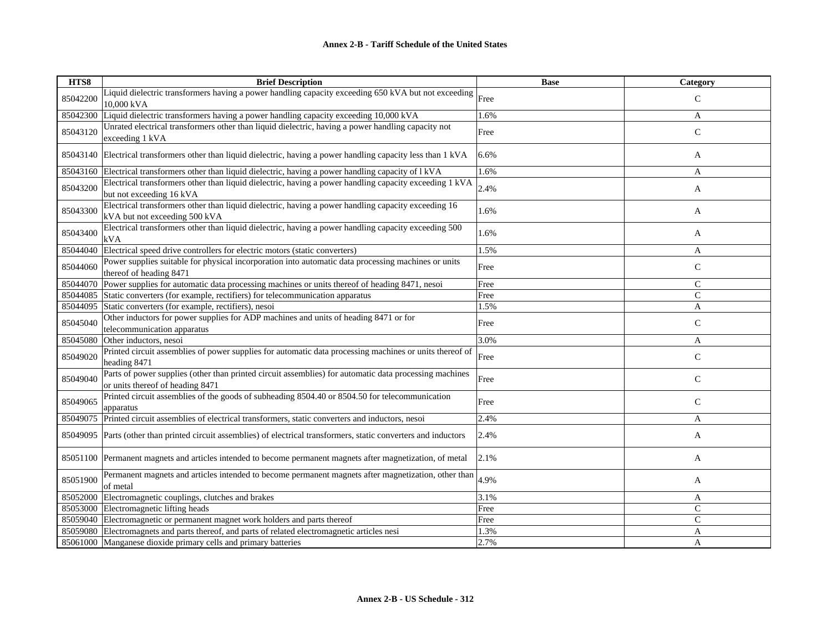| HTS8     | <b>Brief Description</b>                                                                                                                   | <b>Base</b> | Category       |
|----------|--------------------------------------------------------------------------------------------------------------------------------------------|-------------|----------------|
| 85042200 | Liquid dielectric transformers having a power handling capacity exceeding 650 kVA but not exceeding Free<br>10,000 kVA                     |             | $\mathsf{C}$   |
| 85042300 | Liquid dielectric transformers having a power handling capacity exceeding 10,000 kVA                                                       | 1.6%        | A              |
| 85043120 | Unrated electrical transformers other than liquid dielectric, having a power handling capacity not<br>exceeding 1 kVA                      | Free        | $\mathsf{C}$   |
|          | 85043140 Electrical transformers other than liquid dielectric, having a power handling capacity less than 1 kVA                            | 6.6%        | A              |
| 85043160 | Electrical transformers other than liquid dielectric, having a power handling capacity of l kVA                                            | 1.6%        | A              |
| 85043200 | Electrical transformers other than liquid dielectric, having a power handling capacity exceeding 1 kVA<br>but not exceeding 16 kVA         | 2.4%        | A              |
| 85043300 | Electrical transformers other than liquid dielectric, having a power handling capacity exceeding 16<br>kVA but not exceeding 500 kVA       | 1.6%        | A              |
| 85043400 | Electrical transformers other than liquid dielectric, having a power handling capacity exceeding 500<br>kVA                                | 1.6%        | A              |
| 85044040 | Electrical speed drive controllers for electric motors (static converters)                                                                 | 1.5%        | A              |
| 85044060 | Power supplies suitable for physical incorporation into automatic data processing machines or units<br>thereof of heading 8471             | Free        | $\mathsf{C}$   |
| 85044070 | Power supplies for automatic data processing machines or units thereof of heading 8471, nesoi                                              | Free        | $\mathsf{C}$   |
| 85044085 | Static converters (for example, rectifiers) for telecommunication apparatus                                                                | Free        | $\overline{C}$ |
| 85044095 | Static converters (for example, rectifiers), nesoi                                                                                         | 1.5%        | A              |
| 85045040 | Other inductors for power supplies for ADP machines and units of heading 8471 or for<br>telecommunication apparatus                        | Free        | $\mathsf{C}$   |
| 85045080 | Other inductors, nesoi                                                                                                                     | 3.0%        | A              |
| 85049020 | Printed circuit assemblies of power supplies for automatic data processing machines or units thereof of<br>heading 8471                    | Free        | $\mathsf{C}$   |
| 85049040 | Parts of power supplies (other than printed circuit assemblies) for automatic data processing machines<br>or units thereof of heading 8471 | Free        | $\mathsf{C}$   |
| 85049065 | Printed circuit assemblies of the goods of subheading 8504.40 or 8504.50 for telecommunication<br>apparatus                                | Free        | $\mathsf{C}$   |
| 85049075 | Printed circuit assemblies of electrical transformers, static converters and inductors, nesoi                                              | 2.4%        | A              |
| 85049095 | Parts (other than printed circuit assemblies) of electrical transformers, static converters and inductors                                  | 2.4%        | A              |
|          | 85051100 Permanent magnets and articles intended to become permanent magnets after magnetization, of metal                                 | 2.1%        | A              |
| 85051900 | Permanent magnets and articles intended to become permanent magnets after magnetization, other than<br>of metal                            | 4.9%        | A              |
| 85052000 | Electromagnetic couplings, clutches and brakes                                                                                             | 3.1%        | A              |
| 85053000 | Electromagnetic lifting heads                                                                                                              | Free        | $\mathcal{C}$  |
|          | 85059040 Electromagnetic or permanent magnet work holders and parts thereof                                                                | Free        | $\mathcal{C}$  |
| 85059080 | Electromagnets and parts thereof, and parts of related electromagnetic articles nesi                                                       | 1.3%        | A              |
|          | 85061000 Manganese dioxide primary cells and primary batteries                                                                             | 2.7%        | $\overline{A}$ |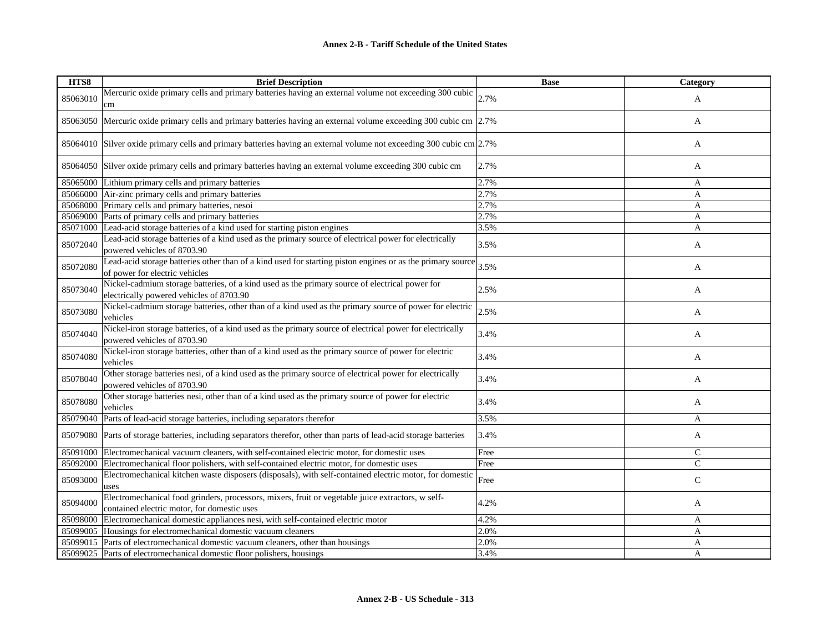| HTS8     | <b>Brief Description</b>                                                                                                                         | <b>Base</b> | Category     |
|----------|--------------------------------------------------------------------------------------------------------------------------------------------------|-------------|--------------|
| 85063010 | Mercuric oxide primary cells and primary batteries having an external volume not exceeding 300 cubic $\vert_{2.7\%}$<br>cm                       |             | A            |
| 85063050 | Mercuric oxide primary cells and primary batteries having an external volume exceeding 300 cubic cm 2.7%                                         |             | A            |
| 85064010 | Silver oxide primary cells and primary batteries having an external volume not exceeding 300 cubic cm $\left 2.7\% \right $                      |             | A            |
| 85064050 | Silver oxide primary cells and primary batteries having an external volume exceeding 300 cubic cm                                                | 2.7%        | A            |
| 85065000 | Lithium primary cells and primary batteries                                                                                                      | 2.7%        | A            |
| 85066000 | Air-zinc primary cells and primary batteries                                                                                                     | 2.7%        | $\mathbf{A}$ |
| 85068000 | Primary cells and primary batteries, nesoi                                                                                                       | 2.7%        | A            |
|          | 85069000 Parts of primary cells and primary batteries                                                                                            | 2.7%        | A            |
| 85071000 | Lead-acid storage batteries of a kind used for starting piston engines                                                                           | 3.5%        | A            |
| 85072040 | Lead-acid storage batteries of a kind used as the primary source of electrical power for electrically<br>powered vehicles of 8703.90             | 3.5%        | A            |
| 85072080 | Lead-acid storage batteries other than of a kind used for starting piston engines or as the primary source<br>of power for electric vehicles     | 3.5%        | A            |
| 85073040 | Nickel-cadmium storage batteries, of a kind used as the primary source of electrical power for<br>electrically powered vehicles of 8703.90       | 2.5%        | A            |
| 85073080 | Nickel-cadmium storage batteries, other than of a kind used as the primary source of power for electric<br>vehicles                              | 2.5%        | A            |
| 85074040 | Nickel-iron storage batteries, of a kind used as the primary source of electrical power for electrically<br>powered vehicles of 8703.90          | 3.4%        | A            |
| 85074080 | Nickel-iron storage batteries, other than of a kind used as the primary source of power for electric<br>vehicles                                 | 3.4%        | A            |
| 85078040 | Other storage batteries nesi, of a kind used as the primary source of electrical power for electrically<br>powered vehicles of 8703.90           | 3.4%        | A            |
| 85078080 | Other storage batteries nesi, other than of a kind used as the primary source of power for electric<br>vehicles                                  | 3.4%        | A            |
| 85079040 | Parts of lead-acid storage batteries, including separators therefor                                                                              | 3.5%        | A            |
| 85079080 | Parts of storage batteries, including separators therefor, other than parts of lead-acid storage batteries                                       | 3.4%        | A            |
| 85091000 | Electromechanical vacuum cleaners, with self-contained electric motor, for domestic uses                                                         | Free        | $\mathsf{C}$ |
| 85092000 | Electromechanical floor polishers, with self-contained electric motor, for domestic uses                                                         | Free        | $\mathsf{C}$ |
| 85093000 | Electromechanical kitchen waste disposers (disposals), with self-contained electric motor, for domestic<br>uses                                  | Free        | $\mathsf{C}$ |
| 85094000 | Electromechanical food grinders, processors, mixers, fruit or vegetable juice extractors, w self-<br>contained electric motor, for domestic uses | 4.2%        | A            |
| 85098000 | Electromechanical domestic appliances nesi, with self-contained electric motor                                                                   | 4.2%        | A            |
| 85099005 | Housings for electromechanical domestic vacuum cleaners                                                                                          | 2.0%        | A            |
| 85099015 | Parts of electromechanical domestic vacuum cleaners, other than housings                                                                         | 2.0%        | A            |
|          | 85099025 Parts of electromechanical domestic floor polishers, housings                                                                           | 3.4%        | A            |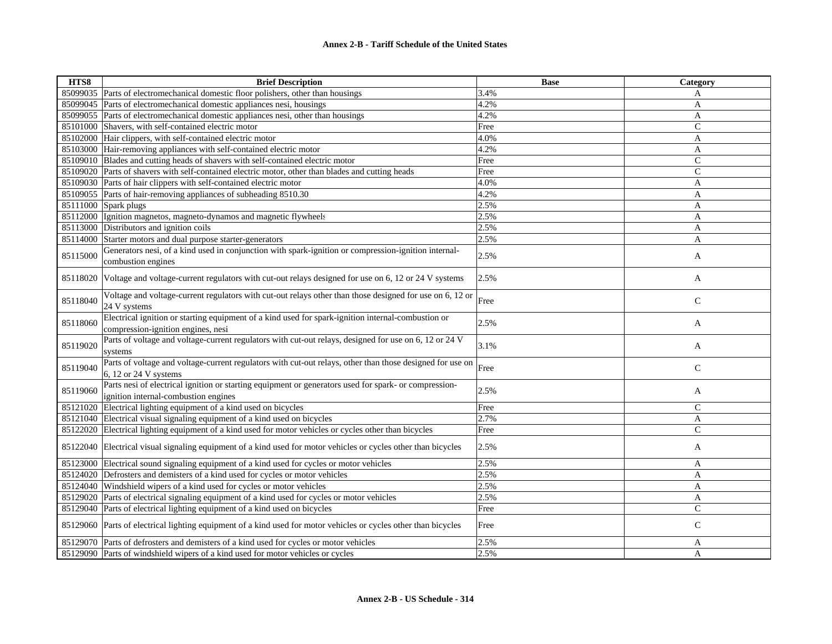| HTS8     | <b>Brief Description</b>                                                                                                                      | <b>Base</b> | Category       |
|----------|-----------------------------------------------------------------------------------------------------------------------------------------------|-------------|----------------|
|          | 85099035 Parts of electromechanical domestic floor polishers, other than housings                                                             | 3.4%        | A              |
| 85099045 | Parts of electromechanical domestic appliances nesi, housings                                                                                 | 4.2%        | A              |
| 85099055 | Parts of electromechanical domestic appliances nesi, other than housings                                                                      | 4.2%        | A              |
| 85101000 | Shavers, with self-contained electric motor                                                                                                   | Free        | $\mathsf{C}$   |
|          | 85102000 Hair clippers, with self-contained electric motor                                                                                    | 4.0%        | A              |
|          | 85103000 Hair-removing appliances with self-contained electric motor                                                                          | 4.2%        | A              |
|          | 85109010 Blades and cutting heads of shavers with self-contained electric motor                                                               | Free        | $\mathsf C$    |
|          | 85109020 Parts of shavers with self-contained electric motor, other than blades and cutting heads                                             | Free        | $\mathcal{C}$  |
| 85109030 | Parts of hair clippers with self-contained electric motor                                                                                     | 4.0%        | $\mathbf{A}$   |
| 85109055 | Parts of hair-removing appliances of subheading 8510.30                                                                                       | 4.2%        | A              |
| 85111000 | Spark plugs                                                                                                                                   | 2.5%        | A              |
|          | 85112000 Ignition magnetos, magneto-dynamos and magnetic flywheels                                                                            | 2.5%        | $\mathbf{A}$   |
| 85113000 | Distributors and ignition coils                                                                                                               | 2.5%        | A              |
| 85114000 | Starter motors and dual purpose starter-generators                                                                                            | 2.5%        | A              |
| 85115000 | Generators nesi, of a kind used in conjunction with spark-ignition or compression-ignition internal-<br>combustion engines                    | 2.5%        | A              |
| 85118020 | Voltage and voltage-current regulators with cut-out relays designed for use on 6, 12 or 24 V systems                                          | 2.5%        | A              |
| 85118040 | Voltage and voltage-current regulators with cut-out relays other than those designed for use on 6, 12 or<br>24 V systems                      | Free        | $\mathsf{C}$   |
| 85118060 | Electrical ignition or starting equipment of a kind used for spark-ignition internal-combustion or<br>compression-ignition engines, nesi      | 2.5%        | A              |
| 85119020 | Parts of voltage and voltage-current regulators with cut-out relays, designed for use on 6, 12 or 24 V<br>systems                             | 3.1%        | A              |
| 85119040 | Parts of voltage and voltage-current regulators with cut-out relays, other than those designed for use on<br>6, 12 or 24 V systems            | Free        | $\mathbf C$    |
| 85119060 | Parts nesi of electrical ignition or starting equipment or generators used for spark- or compression-<br>ignition internal-combustion engines | 2.5%        | A              |
| 85121020 | Electrical lighting equipment of a kind used on bicycles                                                                                      | Free        | $\mathsf{C}$   |
| 85121040 | Electrical visual signaling equipment of a kind used on bicycles                                                                              | 2.7%        | A              |
|          | 85122020 Electrical lighting equipment of a kind used for motor vehicles or cycles other than bicycles                                        | Free        | $\overline{C}$ |
|          | 85122040 Electrical visual signaling equipment of a kind used for motor vehicles or cycles other than bicycles                                | 2.5%        | A              |
| 85123000 | Electrical sound signaling equipment of a kind used for cycles or motor vehicles                                                              | 2.5%        | A              |
|          | 85124020 Defrosters and demisters of a kind used for cycles or motor vehicles                                                                 | 2.5%        | A              |
| 85124040 | Windshield wipers of a kind used for cycles or motor vehicles                                                                                 | 2.5%        | A              |
| 85129020 | Parts of electrical signaling equipment of a kind used for cycles or motor vehicles                                                           | 2.5%        | A              |
|          | 85129040 Parts of electrical lighting equipment of a kind used on bicycles                                                                    | Free        | $\mathcal{C}$  |
|          | 85129060 Parts of electrical lighting equipment of a kind used for motor vehicles or cycles other than bicycles                               | Free        | $\mathsf{C}$   |
|          | 85129070 Parts of defrosters and demisters of a kind used for cycles or motor vehicles                                                        | 2.5%        | A              |
|          | 85129090 Parts of windshield wipers of a kind used for motor vehicles or cycles                                                               | 2.5%        | A              |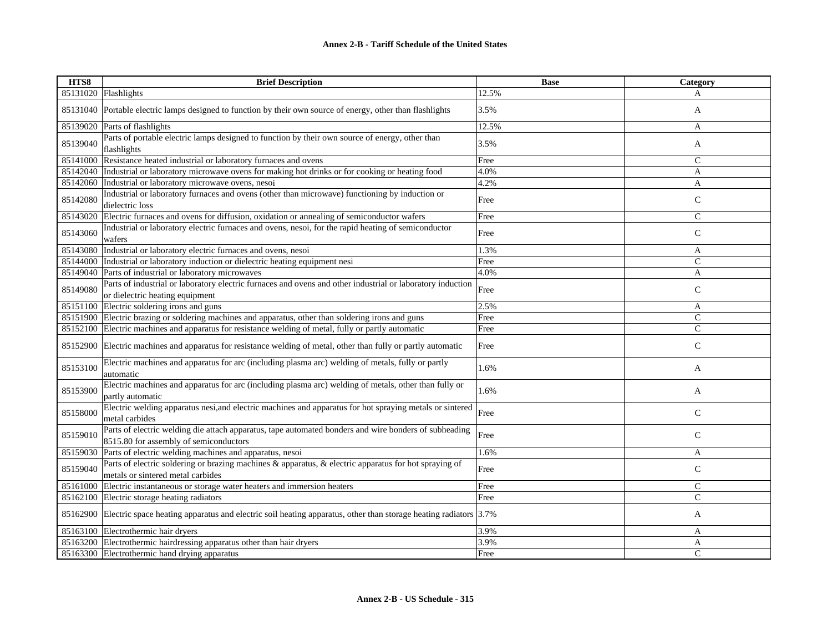| HTS8     | <b>Brief Description</b>                                                                                                                        | <b>Base</b> | Category       |
|----------|-------------------------------------------------------------------------------------------------------------------------------------------------|-------------|----------------|
|          | 85131020 Flashlights                                                                                                                            | 12.5%       | A              |
|          | 85131040 Portable electric lamps designed to function by their own source of energy, other than flashlights                                     | 3.5%        | A              |
| 85139020 | Parts of flashlights                                                                                                                            | 12.5%       | A              |
| 85139040 | Parts of portable electric lamps designed to function by their own source of energy, other than<br>flashlights                                  | 3.5%        | A              |
| 85141000 | Resistance heated industrial or laboratory furnaces and ovens                                                                                   | Free        | $\mathsf{C}$   |
| 85142040 | Industrial or laboratory microwave ovens for making hot drinks or for cooking or heating food                                                   | 4.0%        | A              |
| 85142060 | Industrial or laboratory microwave ovens, nesoi                                                                                                 | 4.2%        | A              |
| 85142080 | Industrial or laboratory furnaces and ovens (other than microwave) functioning by induction or<br>dielectric loss                               | Free        | $\mathbf C$    |
| 85143020 | Electric furnaces and ovens for diffusion, oxidation or annealing of semiconductor wafers                                                       | Free        | $\mathsf{C}$   |
| 85143060 | Industrial or laboratory electric furnaces and ovens, nesoi, for the rapid heating of semiconductor<br>wafers                                   | Free        | $\mathsf{C}$   |
| 85143080 | Industrial or laboratory electric furnaces and ovens, nesoi                                                                                     | 1.3%        | A              |
| 85144000 | Industrial or laboratory induction or dielectric heating equipment nesi                                                                         | Free        | $\overline{C}$ |
| 85149040 | Parts of industrial or laboratory microwaves                                                                                                    | 4.0%        | A              |
| 85149080 | Parts of industrial or laboratory electric furnaces and ovens and other industrial or laboratory induction<br>or dielectric heating equipment   | Free        | $\mathsf{C}$   |
|          | 85151100 Electric soldering irons and guns                                                                                                      | 2.5%        | A              |
|          | 85151900 Electric brazing or soldering machines and apparatus, other than soldering irons and guns                                              | Free        | $\mathsf{C}$   |
| 85152100 | Electric machines and apparatus for resistance welding of metal, fully or partly automatic                                                      | Free        | $\mathsf{C}$   |
| 85152900 | Electric machines and apparatus for resistance welding of metal, other than fully or partly automatic                                           | Free        | $\mathsf{C}$   |
| 85153100 | Electric machines and apparatus for arc (including plasma arc) welding of metals, fully or partly<br>automatic                                  | 1.6%        | A              |
| 85153900 | Electric machines and apparatus for arc (including plasma arc) welding of metals, other than fully or<br>partly automatic                       | 1.6%        | A              |
| 85158000 | Electric welding apparatus nesi, and electric machines and apparatus for hot spraying metals or sintered<br>metal carbides                      | Free        | $\mathsf{C}$   |
| 85159010 | Parts of electric welding die attach apparatus, tape automated bonders and wire bonders of subheading<br>8515.80 for assembly of semiconductors | Free        | $\mathsf{C}$   |
| 85159030 | Parts of electric welding machines and apparatus, nesoi                                                                                         | 1.6%        | A              |
| 85159040 | Parts of electric soldering or brazing machines & apparatus, & electric apparatus for hot spraying of<br>metals or sintered metal carbides      | Free        | $\mathsf{C}$   |
| 85161000 | Electric instantaneous or storage water heaters and immersion heaters                                                                           | Free        | $\mathsf{C}$   |
|          | 85162100 Electric storage heating radiators                                                                                                     | Free        | $\overline{C}$ |
|          | 85162900 Electric space heating apparatus and electric soil heating apparatus, other than storage heating radiators 3.7%                        |             | A              |
| 85163100 | Electrothermic hair dryers                                                                                                                      | 3.9%        | A              |
|          | 85163200 Electrothermic hairdressing apparatus other than hair dryers                                                                           | 3.9%        | A              |
|          | 85163300 Electrothermic hand drying apparatus                                                                                                   | Free        | $\mathcal{C}$  |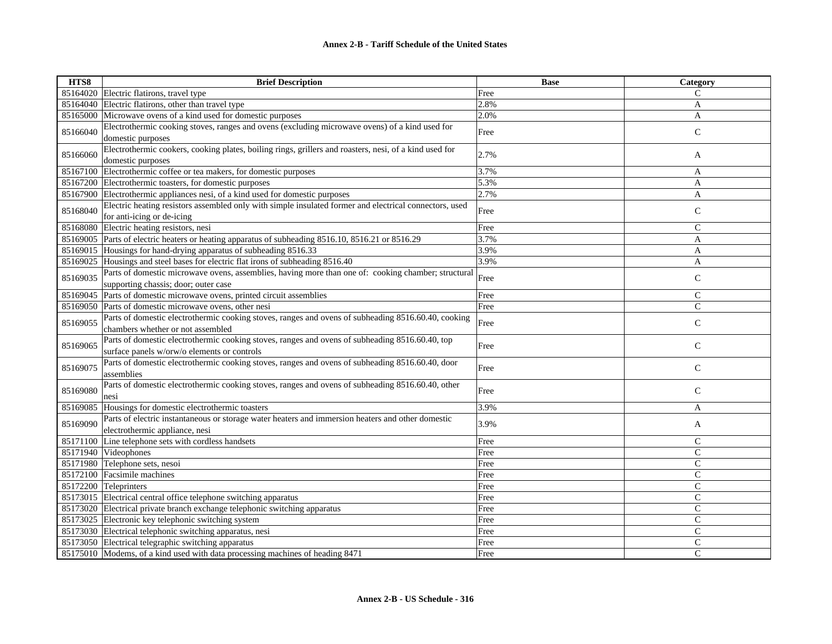| 85164020 Electric flatirons, travel type<br>C<br>Free<br>85164040<br>Electric flatirons, other than travel type<br>2.8%<br>A<br>Microwave ovens of a kind used for domestic purposes<br>2.0%<br>85165000<br>A<br>Electrothermic cooking stoves, ranges and ovens (excluding microwave ovens) of a kind used for<br>85166040<br>$\mathbf C$<br>Free<br>domestic purposes<br>Electrothermic cookers, cooking plates, boiling rings, grillers and roasters, nesi, of a kind used for<br>2.7%<br>85166060<br>A<br>domestic purposes<br>Electrothermic coffee or tea makers, for domestic purposes<br>3.7%<br>85167100<br>A<br>5.3%<br>$\overline{A}$<br>85167200 Electrothermic toasters, for domestic purposes<br>Electrothermic appliances nesi, of a kind used for domestic purposes<br>2.7%<br>85167900<br>A<br>Electric heating resistors assembled only with simple insulated former and electrical connectors, used<br>$\mathsf{C}$<br>85168040<br>Free<br>for anti-icing or de-icing<br>85168080<br>Electric heating resistors, nesi<br>Free<br>$\mathsf{C}$<br>85169005<br>Parts of electric heaters or heating apparatus of subheading 8516.10, 8516.21 or 8516.29<br>3.7%<br>A<br>3.9%<br>85169015<br>Housings for hand-drying apparatus of subheading 8516.33<br>A<br>3.9%<br>Housings and steel bases for electric flat irons of subheading 8516.40<br>85169025<br>A<br>Parts of domestic microwave ovens, assemblies, having more than one of: cooking chamber; structural<br>85169035<br>$\mathsf{C}$<br>Free<br>supporting chassis; door; outer case<br>Parts of domestic microwave ovens, printed circuit assemblies<br>$\mathsf{C}$<br>85169045<br>Free<br>$\mathsf{C}$<br>Parts of domestic microwave ovens, other nesi<br>Free<br>85169050<br>Parts of domestic electrothermic cooking stoves, ranges and ovens of subheading 8516.60.40, cooking<br>$\mathsf{C}$<br>85169055<br>Free<br>chambers whether or not assembled<br>Parts of domestic electrothermic cooking stoves, ranges and ovens of subheading 8516.60.40, top | HTS8     | <b>Brief Description</b> | <b>Base</b> | Category    |
|-----------------------------------------------------------------------------------------------------------------------------------------------------------------------------------------------------------------------------------------------------------------------------------------------------------------------------------------------------------------------------------------------------------------------------------------------------------------------------------------------------------------------------------------------------------------------------------------------------------------------------------------------------------------------------------------------------------------------------------------------------------------------------------------------------------------------------------------------------------------------------------------------------------------------------------------------------------------------------------------------------------------------------------------------------------------------------------------------------------------------------------------------------------------------------------------------------------------------------------------------------------------------------------------------------------------------------------------------------------------------------------------------------------------------------------------------------------------------------------------------------------------------------------------------------------------------------------------------------------------------------------------------------------------------------------------------------------------------------------------------------------------------------------------------------------------------------------------------------------------------------------------------------------------------------------------------------------------------------------------------------------------------------------------------|----------|--------------------------|-------------|-------------|
|                                                                                                                                                                                                                                                                                                                                                                                                                                                                                                                                                                                                                                                                                                                                                                                                                                                                                                                                                                                                                                                                                                                                                                                                                                                                                                                                                                                                                                                                                                                                                                                                                                                                                                                                                                                                                                                                                                                                                                                                                                               |          |                          |             |             |
|                                                                                                                                                                                                                                                                                                                                                                                                                                                                                                                                                                                                                                                                                                                                                                                                                                                                                                                                                                                                                                                                                                                                                                                                                                                                                                                                                                                                                                                                                                                                                                                                                                                                                                                                                                                                                                                                                                                                                                                                                                               |          |                          |             |             |
|                                                                                                                                                                                                                                                                                                                                                                                                                                                                                                                                                                                                                                                                                                                                                                                                                                                                                                                                                                                                                                                                                                                                                                                                                                                                                                                                                                                                                                                                                                                                                                                                                                                                                                                                                                                                                                                                                                                                                                                                                                               |          |                          |             |             |
|                                                                                                                                                                                                                                                                                                                                                                                                                                                                                                                                                                                                                                                                                                                                                                                                                                                                                                                                                                                                                                                                                                                                                                                                                                                                                                                                                                                                                                                                                                                                                                                                                                                                                                                                                                                                                                                                                                                                                                                                                                               |          |                          |             |             |
|                                                                                                                                                                                                                                                                                                                                                                                                                                                                                                                                                                                                                                                                                                                                                                                                                                                                                                                                                                                                                                                                                                                                                                                                                                                                                                                                                                                                                                                                                                                                                                                                                                                                                                                                                                                                                                                                                                                                                                                                                                               |          |                          |             |             |
|                                                                                                                                                                                                                                                                                                                                                                                                                                                                                                                                                                                                                                                                                                                                                                                                                                                                                                                                                                                                                                                                                                                                                                                                                                                                                                                                                                                                                                                                                                                                                                                                                                                                                                                                                                                                                                                                                                                                                                                                                                               |          |                          |             |             |
|                                                                                                                                                                                                                                                                                                                                                                                                                                                                                                                                                                                                                                                                                                                                                                                                                                                                                                                                                                                                                                                                                                                                                                                                                                                                                                                                                                                                                                                                                                                                                                                                                                                                                                                                                                                                                                                                                                                                                                                                                                               |          |                          |             |             |
|                                                                                                                                                                                                                                                                                                                                                                                                                                                                                                                                                                                                                                                                                                                                                                                                                                                                                                                                                                                                                                                                                                                                                                                                                                                                                                                                                                                                                                                                                                                                                                                                                                                                                                                                                                                                                                                                                                                                                                                                                                               |          |                          |             |             |
|                                                                                                                                                                                                                                                                                                                                                                                                                                                                                                                                                                                                                                                                                                                                                                                                                                                                                                                                                                                                                                                                                                                                                                                                                                                                                                                                                                                                                                                                                                                                                                                                                                                                                                                                                                                                                                                                                                                                                                                                                                               |          |                          |             |             |
|                                                                                                                                                                                                                                                                                                                                                                                                                                                                                                                                                                                                                                                                                                                                                                                                                                                                                                                                                                                                                                                                                                                                                                                                                                                                                                                                                                                                                                                                                                                                                                                                                                                                                                                                                                                                                                                                                                                                                                                                                                               |          |                          |             |             |
|                                                                                                                                                                                                                                                                                                                                                                                                                                                                                                                                                                                                                                                                                                                                                                                                                                                                                                                                                                                                                                                                                                                                                                                                                                                                                                                                                                                                                                                                                                                                                                                                                                                                                                                                                                                                                                                                                                                                                                                                                                               |          |                          |             |             |
|                                                                                                                                                                                                                                                                                                                                                                                                                                                                                                                                                                                                                                                                                                                                                                                                                                                                                                                                                                                                                                                                                                                                                                                                                                                                                                                                                                                                                                                                                                                                                                                                                                                                                                                                                                                                                                                                                                                                                                                                                                               |          |                          |             |             |
|                                                                                                                                                                                                                                                                                                                                                                                                                                                                                                                                                                                                                                                                                                                                                                                                                                                                                                                                                                                                                                                                                                                                                                                                                                                                                                                                                                                                                                                                                                                                                                                                                                                                                                                                                                                                                                                                                                                                                                                                                                               |          |                          |             |             |
|                                                                                                                                                                                                                                                                                                                                                                                                                                                                                                                                                                                                                                                                                                                                                                                                                                                                                                                                                                                                                                                                                                                                                                                                                                                                                                                                                                                                                                                                                                                                                                                                                                                                                                                                                                                                                                                                                                                                                                                                                                               |          |                          |             |             |
|                                                                                                                                                                                                                                                                                                                                                                                                                                                                                                                                                                                                                                                                                                                                                                                                                                                                                                                                                                                                                                                                                                                                                                                                                                                                                                                                                                                                                                                                                                                                                                                                                                                                                                                                                                                                                                                                                                                                                                                                                                               |          |                          |             |             |
|                                                                                                                                                                                                                                                                                                                                                                                                                                                                                                                                                                                                                                                                                                                                                                                                                                                                                                                                                                                                                                                                                                                                                                                                                                                                                                                                                                                                                                                                                                                                                                                                                                                                                                                                                                                                                                                                                                                                                                                                                                               |          |                          |             |             |
|                                                                                                                                                                                                                                                                                                                                                                                                                                                                                                                                                                                                                                                                                                                                                                                                                                                                                                                                                                                                                                                                                                                                                                                                                                                                                                                                                                                                                                                                                                                                                                                                                                                                                                                                                                                                                                                                                                                                                                                                                                               |          |                          |             |             |
|                                                                                                                                                                                                                                                                                                                                                                                                                                                                                                                                                                                                                                                                                                                                                                                                                                                                                                                                                                                                                                                                                                                                                                                                                                                                                                                                                                                                                                                                                                                                                                                                                                                                                                                                                                                                                                                                                                                                                                                                                                               |          |                          |             |             |
|                                                                                                                                                                                                                                                                                                                                                                                                                                                                                                                                                                                                                                                                                                                                                                                                                                                                                                                                                                                                                                                                                                                                                                                                                                                                                                                                                                                                                                                                                                                                                                                                                                                                                                                                                                                                                                                                                                                                                                                                                                               |          |                          |             |             |
|                                                                                                                                                                                                                                                                                                                                                                                                                                                                                                                                                                                                                                                                                                                                                                                                                                                                                                                                                                                                                                                                                                                                                                                                                                                                                                                                                                                                                                                                                                                                                                                                                                                                                                                                                                                                                                                                                                                                                                                                                                               |          |                          |             |             |
|                                                                                                                                                                                                                                                                                                                                                                                                                                                                                                                                                                                                                                                                                                                                                                                                                                                                                                                                                                                                                                                                                                                                                                                                                                                                                                                                                                                                                                                                                                                                                                                                                                                                                                                                                                                                                                                                                                                                                                                                                                               |          |                          |             |             |
|                                                                                                                                                                                                                                                                                                                                                                                                                                                                                                                                                                                                                                                                                                                                                                                                                                                                                                                                                                                                                                                                                                                                                                                                                                                                                                                                                                                                                                                                                                                                                                                                                                                                                                                                                                                                                                                                                                                                                                                                                                               | 85169065 |                          | Free        | $\mathsf C$ |
| surface panels w/orw/o elements or controls                                                                                                                                                                                                                                                                                                                                                                                                                                                                                                                                                                                                                                                                                                                                                                                                                                                                                                                                                                                                                                                                                                                                                                                                                                                                                                                                                                                                                                                                                                                                                                                                                                                                                                                                                                                                                                                                                                                                                                                                   |          |                          |             |             |
| Parts of domestic electrothermic cooking stoves, ranges and ovens of subheading 8516.60.40, door<br>85169075<br>$\mathsf{C}$<br>Free                                                                                                                                                                                                                                                                                                                                                                                                                                                                                                                                                                                                                                                                                                                                                                                                                                                                                                                                                                                                                                                                                                                                                                                                                                                                                                                                                                                                                                                                                                                                                                                                                                                                                                                                                                                                                                                                                                          |          |                          |             |             |
| assemblies<br>Parts of domestic electrothermic cooking stoves, ranges and ovens of subheading 8516.60.40, other                                                                                                                                                                                                                                                                                                                                                                                                                                                                                                                                                                                                                                                                                                                                                                                                                                                                                                                                                                                                                                                                                                                                                                                                                                                                                                                                                                                                                                                                                                                                                                                                                                                                                                                                                                                                                                                                                                                               |          |                          |             |             |
| 85169080<br>$\mathsf{C}$<br>Free                                                                                                                                                                                                                                                                                                                                                                                                                                                                                                                                                                                                                                                                                                                                                                                                                                                                                                                                                                                                                                                                                                                                                                                                                                                                                                                                                                                                                                                                                                                                                                                                                                                                                                                                                                                                                                                                                                                                                                                                              |          |                          |             |             |
| nesi<br>3.9%<br>85169085<br>Housings for domestic electrothermic toasters<br>A                                                                                                                                                                                                                                                                                                                                                                                                                                                                                                                                                                                                                                                                                                                                                                                                                                                                                                                                                                                                                                                                                                                                                                                                                                                                                                                                                                                                                                                                                                                                                                                                                                                                                                                                                                                                                                                                                                                                                                |          |                          |             |             |
| Parts of electric instantaneous or storage water heaters and immersion heaters and other domestic                                                                                                                                                                                                                                                                                                                                                                                                                                                                                                                                                                                                                                                                                                                                                                                                                                                                                                                                                                                                                                                                                                                                                                                                                                                                                                                                                                                                                                                                                                                                                                                                                                                                                                                                                                                                                                                                                                                                             |          |                          |             |             |
| 85169090<br>3.9%<br>A<br>electrothermic appliance, nesi                                                                                                                                                                                                                                                                                                                                                                                                                                                                                                                                                                                                                                                                                                                                                                                                                                                                                                                                                                                                                                                                                                                                                                                                                                                                                                                                                                                                                                                                                                                                                                                                                                                                                                                                                                                                                                                                                                                                                                                       |          |                          |             |             |
| Line telephone sets with cordless handsets<br>$\mathsf{C}$<br>85171100<br>Free                                                                                                                                                                                                                                                                                                                                                                                                                                                                                                                                                                                                                                                                                                                                                                                                                                                                                                                                                                                                                                                                                                                                                                                                                                                                                                                                                                                                                                                                                                                                                                                                                                                                                                                                                                                                                                                                                                                                                                |          |                          |             |             |
| 85171940<br>Videophones<br>$\mathsf{C}$<br>Free                                                                                                                                                                                                                                                                                                                                                                                                                                                                                                                                                                                                                                                                                                                                                                                                                                                                                                                                                                                                                                                                                                                                                                                                                                                                                                                                                                                                                                                                                                                                                                                                                                                                                                                                                                                                                                                                                                                                                                                               |          |                          |             |             |
| $\mathsf{C}$<br>Telephone sets, nesoi<br>85171980<br>Free                                                                                                                                                                                                                                                                                                                                                                                                                                                                                                                                                                                                                                                                                                                                                                                                                                                                                                                                                                                                                                                                                                                                                                                                                                                                                                                                                                                                                                                                                                                                                                                                                                                                                                                                                                                                                                                                                                                                                                                     |          |                          |             |             |
| 85172100 Facsimile machines<br>$\mathcal{C}$<br>Free                                                                                                                                                                                                                                                                                                                                                                                                                                                                                                                                                                                                                                                                                                                                                                                                                                                                                                                                                                                                                                                                                                                                                                                                                                                                                                                                                                                                                                                                                                                                                                                                                                                                                                                                                                                                                                                                                                                                                                                          |          |                          |             |             |
| 85172200<br>$\mathsf{C}$<br>Teleprinters<br>Free                                                                                                                                                                                                                                                                                                                                                                                                                                                                                                                                                                                                                                                                                                                                                                                                                                                                                                                                                                                                                                                                                                                                                                                                                                                                                                                                                                                                                                                                                                                                                                                                                                                                                                                                                                                                                                                                                                                                                                                              |          |                          |             |             |
| 85173015 Electrical central office telephone switching apparatus<br>$\mathsf{C}$<br>Free                                                                                                                                                                                                                                                                                                                                                                                                                                                                                                                                                                                                                                                                                                                                                                                                                                                                                                                                                                                                                                                                                                                                                                                                                                                                                                                                                                                                                                                                                                                                                                                                                                                                                                                                                                                                                                                                                                                                                      |          |                          |             |             |
| $\mathsf{C}$<br>85173020 Electrical private branch exchange telephonic switching apparatus<br>Free                                                                                                                                                                                                                                                                                                                                                                                                                                                                                                                                                                                                                                                                                                                                                                                                                                                                                                                                                                                                                                                                                                                                                                                                                                                                                                                                                                                                                                                                                                                                                                                                                                                                                                                                                                                                                                                                                                                                            |          |                          |             |             |
| $\mathsf{C}$<br>85173025 Electronic key telephonic switching system<br>Free                                                                                                                                                                                                                                                                                                                                                                                                                                                                                                                                                                                                                                                                                                                                                                                                                                                                                                                                                                                                                                                                                                                                                                                                                                                                                                                                                                                                                                                                                                                                                                                                                                                                                                                                                                                                                                                                                                                                                                   |          |                          |             |             |
| 85173030 Electrical telephonic switching apparatus, nesi<br>$\mathsf{C}$<br>Free                                                                                                                                                                                                                                                                                                                                                                                                                                                                                                                                                                                                                                                                                                                                                                                                                                                                                                                                                                                                                                                                                                                                                                                                                                                                                                                                                                                                                                                                                                                                                                                                                                                                                                                                                                                                                                                                                                                                                              |          |                          |             |             |
| 85173050 Electrical telegraphic switching apparatus<br>$\mathsf{C}$<br>Free                                                                                                                                                                                                                                                                                                                                                                                                                                                                                                                                                                                                                                                                                                                                                                                                                                                                                                                                                                                                                                                                                                                                                                                                                                                                                                                                                                                                                                                                                                                                                                                                                                                                                                                                                                                                                                                                                                                                                                   |          |                          |             |             |
| C<br>85175010 Modems, of a kind used with data processing machines of heading 8471<br>Free                                                                                                                                                                                                                                                                                                                                                                                                                                                                                                                                                                                                                                                                                                                                                                                                                                                                                                                                                                                                                                                                                                                                                                                                                                                                                                                                                                                                                                                                                                                                                                                                                                                                                                                                                                                                                                                                                                                                                    |          |                          |             |             |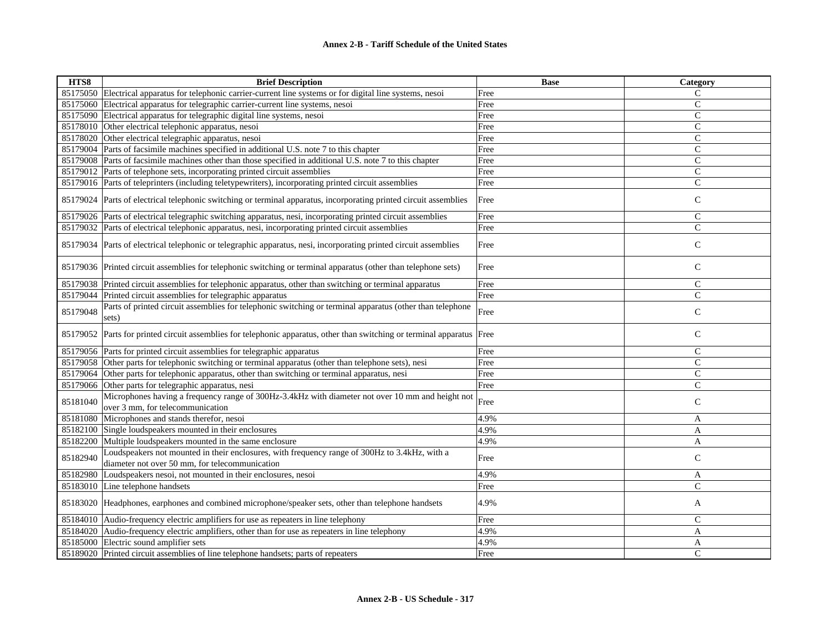| HTS8     | <b>Brief Description</b>                                                                                                                        | <b>Base</b> | Category      |
|----------|-------------------------------------------------------------------------------------------------------------------------------------------------|-------------|---------------|
|          | 85175050 Electrical apparatus for telephonic carrier-current line systems or for digital line systems, nesoi                                    | Free        | C             |
| 85175060 | Electrical apparatus for telegraphic carrier-current line systems, nesoi                                                                        | Free        | $\mathsf{C}$  |
| 85175090 | Electrical apparatus for telegraphic digital line systems, nesoi                                                                                | Free        | $\mathsf{C}$  |
| 85178010 | Other electrical telephonic apparatus, nesoi                                                                                                    | Free        | $\mathsf{C}$  |
| 85178020 | Other electrical telegraphic apparatus, nesoi                                                                                                   | Free        | $\mathsf{C}$  |
| 85179004 | Parts of facsimile machines specified in additional U.S. note 7 to this chapter                                                                 | Free        | $\mathsf{C}$  |
|          | 85179008 Parts of facsimile machines other than those specified in additional U.S. note 7 to this chapter                                       | Free        | $\mathsf{C}$  |
|          | 85179012 Parts of telephone sets, incorporating printed circuit assemblies                                                                      | Free        | $\mathsf{C}$  |
|          | 85179016 Parts of teleprinters (including teletypewriters), incorporating printed circuit assemblies                                            | Free        | $\mathsf{C}$  |
|          | 85179024 Parts of electrical telephonic switching or terminal apparatus, incorporating printed circuit assemblies                               | Free        | $\mathsf{C}$  |
|          | 85179026 Parts of electrical telegraphic switching apparatus, nesi, incorporating printed circuit assemblies                                    | Free        | $\mathsf{C}$  |
|          | 85179032 Parts of electrical telephonic apparatus, nesi, incorporating printed circuit assemblies                                               | Free        | $\mathsf{C}$  |
|          | 85179034 Parts of electrical telephonic or telegraphic apparatus, nesi, incorporating printed circuit assemblies                                | Free        | $\mathsf{C}$  |
|          | 85179036 Printed circuit assemblies for telephonic switching or terminal apparatus (other than telephone sets)                                  | Free        | $\mathsf{C}$  |
| 85179038 | Printed circuit assemblies for telephonic apparatus, other than switching or terminal apparatus                                                 | Free        | $\mathsf{C}$  |
| 85179044 | Printed circuit assemblies for telegraphic apparatus                                                                                            | Free        | $\mathsf{C}$  |
| 85179048 | Parts of printed circuit assemblies for telephonic switching or terminal apparatus (other than telephone<br>sets)                               | Free        | $\mathsf{C}$  |
|          | 85179052 Parts for printed circuit assemblies for telephonic apparatus, other than switching or terminal apparatus Free                         |             | $\mathsf{C}$  |
| 85179056 | Parts for printed circuit assemblies for telegraphic apparatus                                                                                  | Free        | $\mathsf{C}$  |
| 85179058 | Other parts for telephonic switching or terminal apparatus (other than telephone sets), nesi                                                    | Free        | $\mathsf{C}$  |
| 85179064 | Other parts for telephonic apparatus, other than switching or terminal apparatus, nesi                                                          | Free        | $\mathsf{C}$  |
| 85179066 | Other parts for telegraphic apparatus, nesi                                                                                                     | Free        | $\mathsf{C}$  |
| 85181040 | Microphones having a frequency range of 300Hz-3.4kHz with diameter not over 10 mm and height not<br>over 3 mm, for telecommunication            | Free        | $\mathsf{C}$  |
| 85181080 | Microphones and stands therefor, nesoi                                                                                                          | 4.9%        | A             |
| 85182100 | Single loudspeakers mounted in their enclosures                                                                                                 | 4.9%        | A             |
| 85182200 | Multiple loudspeakers mounted in the same enclosure                                                                                             | 4.9%        | A             |
| 85182940 | Loudspeakers not mounted in their enclosures, with frequency range of 300Hz to 3.4kHz, with a<br>diameter not over 50 mm, for telecommunication | Free        | $\mathsf{C}$  |
| 85182980 | Loudspeakers nesoi, not mounted in their enclosures, nesoi                                                                                      | 4.9%        | A             |
|          | 85183010 Line telephone handsets                                                                                                                | Free        | $\mathsf{C}$  |
|          | 85183020 Headphones, earphones and combined microphone/speaker sets, other than telephone handsets                                              | 4.9%        | A             |
| 85184010 | Audio-frequency electric amplifiers for use as repeaters in line telephony                                                                      | Free        | $\mathcal{C}$ |
| 85184020 | Audio-frequency electric amplifiers, other than for use as repeaters in line telephony                                                          | 4.9%        | A             |
| 85185000 | Electric sound amplifier sets                                                                                                                   | 4.9%        | A             |
|          | 85189020 Printed circuit assemblies of line telephone handsets; parts of repeaters                                                              | Free        | Ċ             |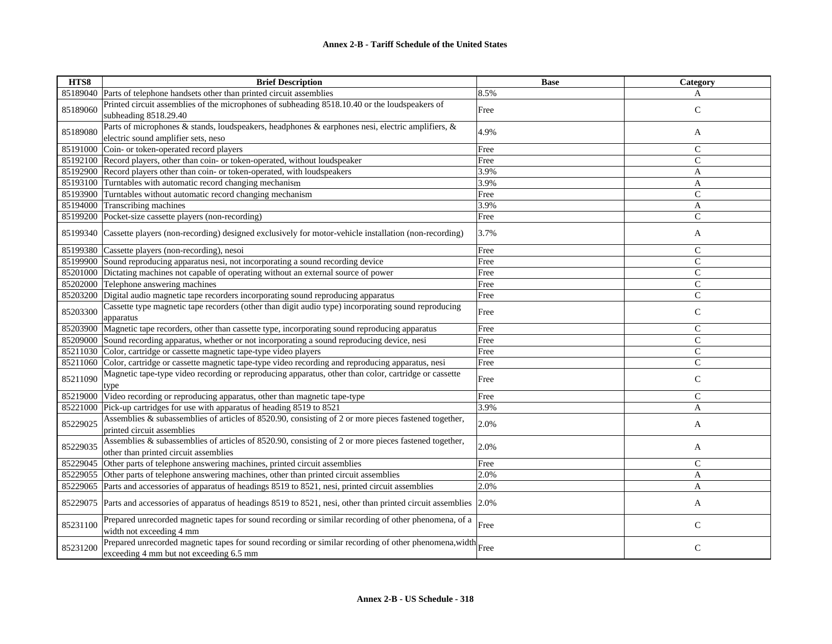| HTS8     | <b>Brief Description</b>                                                                                                                         | <b>Base</b> | Category       |
|----------|--------------------------------------------------------------------------------------------------------------------------------------------------|-------------|----------------|
| 85189040 | Parts of telephone handsets other than printed circuit assemblies                                                                                | 8.5%        | A              |
| 85189060 | Printed circuit assemblies of the microphones of subheading 8518.10.40 or the loudspeakers of<br>subheading 8518.29.40                           | Free        | $\mathsf{C}$   |
| 85189080 | Parts of microphones & stands, loudspeakers, headphones & earphones nesi, electric amplifiers, &<br>electric sound amplifier sets, neso          | 4.9%        | A              |
| 85191000 | Coin- or token-operated record players                                                                                                           | Free        | $\mathcal{C}$  |
| 85192100 | Record players, other than coin- or token-operated, without loudspeaker                                                                          | Free        | $\mathsf{C}$   |
| 85192900 | Record players other than coin- or token-operated, with loudspeakers                                                                             | 3.9%        | A              |
| 85193100 | Turntables with automatic record changing mechanism                                                                                              | 3.9%        | $\mathbf{A}$   |
| 85193900 | Turntables without automatic record changing mechanism                                                                                           | Free        | $\mathsf{C}$   |
| 85194000 | Transcribing machines                                                                                                                            | 3.9%        | A              |
| 85199200 | Pocket-size cassette players (non-recording)                                                                                                     | Free        | $\overline{C}$ |
| 85199340 | Cassette players (non-recording) designed exclusively for motor-vehicle installation (non-recording)                                             | 3.7%        | A              |
| 85199380 | Cassette players (non-recording), nesoi                                                                                                          | Free        | $\mathsf{C}$   |
| 85199900 | Sound reproducing apparatus nesi, not incorporating a sound recording device                                                                     | Free        | $\mathsf{C}$   |
| 85201000 | Dictating machines not capable of operating without an external source of power                                                                  | Free        | $\mathsf{C}$   |
| 85202000 | Telephone answering machines                                                                                                                     | Free        | $\mathsf{C}$   |
| 85203200 | Digital audio magnetic tape recorders incorporating sound reproducing apparatus                                                                  | Free        | $\mathsf{C}$   |
| 85203300 | Cassette type magnetic tape recorders (other than digit audio type) incorporating sound reproducing<br>apparatus                                 | Free        | $\mathbf C$    |
| 85203900 | Magnetic tape recorders, other than cassette type, incorporating sound reproducing apparatus                                                     | Free        | $\mathsf{C}$   |
| 85209000 | Sound recording apparatus, whether or not incorporating a sound reproducing device, nesi                                                         | Free        | $\mathcal{C}$  |
| 85211030 | Color, cartridge or cassette magnetic tape-type video players                                                                                    | Free        | $\mathsf{C}$   |
| 85211060 | Color, cartridge or cassette magnetic tape-type video recording and reproducing apparatus, nesi                                                  | Free        | $\mathsf{C}$   |
| 85211090 | Magnetic tape-type video recording or reproducing apparatus, other than color, cartridge or cassette<br>type                                     | Free        | $\mathsf{C}$   |
| 85219000 | Video recording or reproducing apparatus, other than magnetic tape-type                                                                          | Free        | $\mathcal{C}$  |
| 85221000 | Pick-up cartridges for use with apparatus of heading 8519 to 8521                                                                                | 3.9%        | A              |
| 85229025 | Assemblies & subassemblies of articles of 8520.90, consisting of 2 or more pieces fastened together,<br>printed circuit assemblies               | 2.0%        | A              |
| 85229035 | Assemblies & subassemblies of articles of 8520.90, consisting of 2 or more pieces fastened together,<br>other than printed circuit assemblies    | 2.0%        | A              |
| 85229045 | Other parts of telephone answering machines, printed circuit assemblies                                                                          | Free        | $\mathsf{C}$   |
| 85229055 | Other parts of telephone answering machines, other than printed circuit assemblies                                                               | 2.0%        | A              |
| 85229065 | Parts and accessories of apparatus of headings 8519 to 8521, nesi, printed circuit assemblies                                                    | 2.0%        | A              |
| 85229075 | Parts and accessories of apparatus of headings 8519 to 8521, nesi, other than printed circuit assemblies 2.0%                                    |             | A              |
| 85231100 | Prepared unrecorded magnetic tapes for sound recording or similar recording of other phenomena, of a<br>width not exceeding 4 mm                 | Free        | $\mathsf C$    |
| 85231200 | Prepared unrecorded magnetic tapes for sound recording or similar recording of other phenomena, width<br>exceeding 4 mm but not exceeding 6.5 mm |             | $\mathsf{C}$   |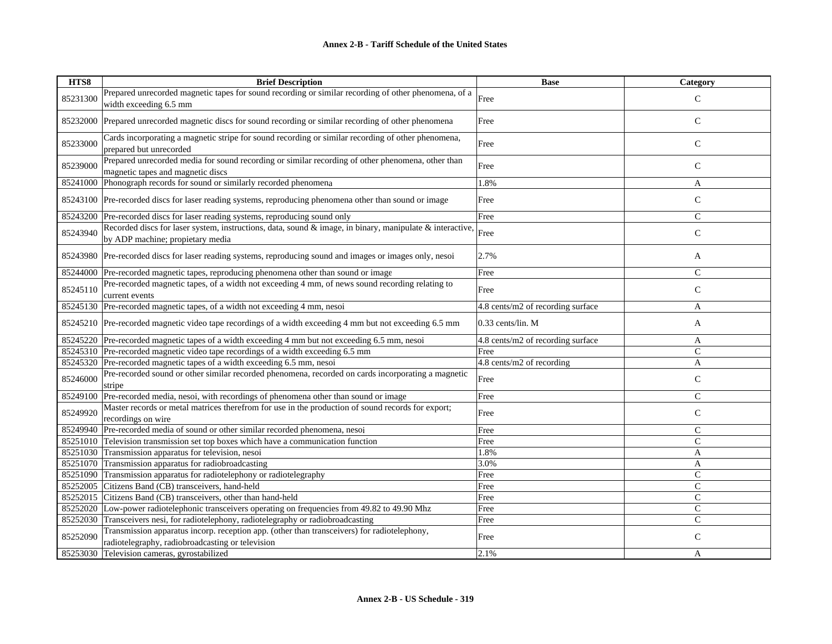| HTS8     | <b>Brief Description</b>                                                                                                                        | <b>Base</b>                       | Category       |
|----------|-------------------------------------------------------------------------------------------------------------------------------------------------|-----------------------------------|----------------|
| 85231300 | Prepared unrecorded magnetic tapes for sound recording or similar recording of other phenomena, of a<br>width exceeding 6.5 mm                  | Free                              | $\mathcal{C}$  |
| 85232000 | Prepared unrecorded magnetic discs for sound recording or similar recording of other phenomena                                                  | Free                              | $\mathsf{C}$   |
| 85233000 | Cards incorporating a magnetic stripe for sound recording or similar recording of other phenomena,<br>prepared but unrecorded                   | Free                              | $\mathsf{C}$   |
| 85239000 | Prepared unrecorded media for sound recording or similar recording of other phenomena, other than<br>magnetic tapes and magnetic discs          | Free                              | $\mathsf{C}$   |
| 85241000 | Phonograph records for sound or similarly recorded phenomena                                                                                    | 1.8%                              | A              |
|          | 85243100 Pre-recorded discs for laser reading systems, reproducing phenomena other than sound or image                                          | Free                              | $\mathsf C$    |
| 85243200 | Pre-recorded discs for laser reading systems, reproducing sound only                                                                            | Free                              | $\mathsf{C}$   |
| 85243940 | Recorded discs for laser system, instructions, data, sound & image, in binary, manipulate & interactive,<br>by ADP machine; propietary media    | Free                              | $\mathbf C$    |
|          | 85243980 Pre-recorded discs for laser reading systems, reproducing sound and images or images only, nesoi                                       | 2.7%                              | A              |
| 85244000 | Pre-recorded magnetic tapes, reproducing phenomena other than sound or image                                                                    | Free                              | $\mathsf{C}$   |
| 85245110 | Pre-recorded magnetic tapes, of a width not exceeding 4 mm, of news sound recording relating to<br>current events                               | Free                              | $\mathsf{C}$   |
|          | 85245130 Pre-recorded magnetic tapes, of a width not exceeding 4 mm, nesoi                                                                      | 4.8 cents/m2 of recording surface | A              |
|          | 85245210 Pre-recorded magnetic video tape recordings of a width exceeding 4 mm but not exceeding 6.5 mm                                         | $0.33$ cents/lin. M               | A              |
|          | 85245220 Pre-recorded magnetic tapes of a width exceeding 4 mm but not exceeding 6.5 mm, nesoi                                                  | 4.8 cents/m2 of recording surface | A              |
|          | 85245310 Pre-recorded magnetic video tape recordings of a width exceeding 6.5 mm                                                                | Free                              | $\mathsf{C}$   |
| 85245320 | Pre-recorded magnetic tapes of a width exceeding 6.5 mm, nesoi                                                                                  | 4.8 cents/m2 of recording         | A              |
| 85246000 | Pre-recorded sound or other similar recorded phenomena, recorded on cards incorporating a magnetic<br>stripe                                    | Free                              | $\mathsf{C}$   |
| 85249100 | Pre-recorded media, nesoi, with recordings of phenomena other than sound or image                                                               | Free                              | $\mathsf{C}$   |
| 85249920 | Master records or metal matrices therefrom for use in the production of sound records for export;<br>recordings on wire                         | Free                              | $\mathsf C$    |
| 85249940 | Pre-recorded media of sound or other similar recorded phenomena, nesoi                                                                          | Free                              | $\mathsf{C}$   |
| 85251010 | Television transmission set top boxes which have a communication function                                                                       | Free                              | $\mathsf{C}$   |
| 85251030 | Transmission apparatus for television, nesoi                                                                                                    | 1.8%                              | A              |
| 85251070 | Transmission apparatus for radiobroadcasting                                                                                                    | 3.0%                              | A              |
| 85251090 | Transmission apparatus for radiotelephony or radiotelegraphy                                                                                    | Free                              | $\mathsf{C}$   |
| 85252005 | Citizens Band (CB) transceivers, hand-held                                                                                                      | Free                              | $\mathsf{C}$   |
| 85252015 | Citizens Band (CB) transceivers, other than hand-held                                                                                           | Free                              | $\mathsf{C}$   |
| 85252020 | Low-power radiotelephonic transceivers operating on frequencies from 49.82 to 49.90 Mhz                                                         | Free                              | $\mathsf{C}$   |
| 85252030 | Transceivers nesi, for radiotelephony, radiotelegraphy or radiobroadcasting                                                                     | Free                              | $\overline{C}$ |
| 85252090 | Transmission apparatus incorp. reception app. (other than transceivers) for radiotelephony,<br>radiotelegraphy, radiobroadcasting or television | Free                              | $\mathsf{C}$   |
| 85253030 | Television cameras, gyrostabilized                                                                                                              | 2.1%                              | A              |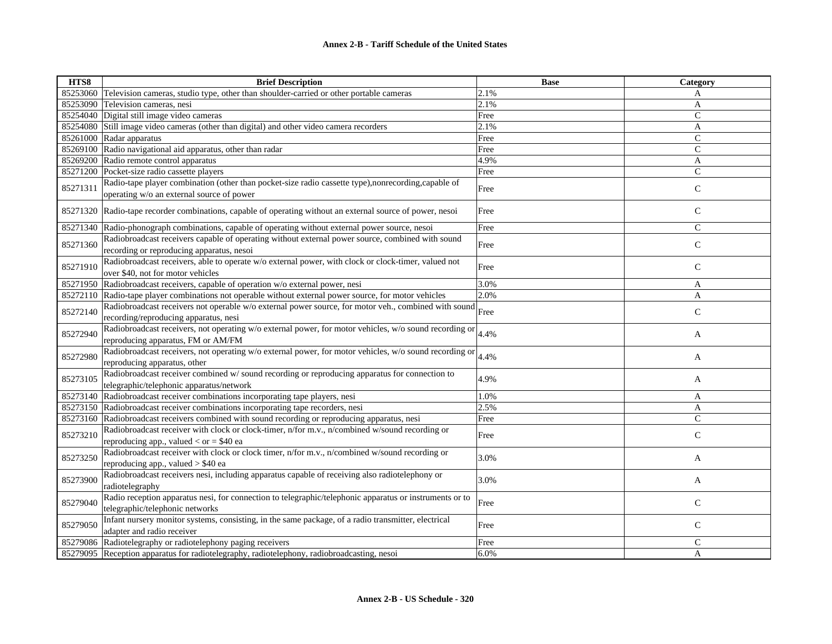| HTS8     | <b>Brief Description</b>                                                                                                                        | <b>Base</b> | Category      |
|----------|-------------------------------------------------------------------------------------------------------------------------------------------------|-------------|---------------|
| 85253060 | Television cameras, studio type, other than shoulder-carried or other portable cameras                                                          | 2.1%        | A             |
| 85253090 | Television cameras, nesi                                                                                                                        | 2.1%        | A             |
| 85254040 | Digital still image video cameras                                                                                                               | Free        | $\mathsf{C}$  |
| 85254080 | Still image video cameras (other than digital) and other video camera recorders                                                                 | 2.1%        | A             |
|          | 85261000 Radar apparatus                                                                                                                        | Free        | $\mathsf{C}$  |
| 85269100 | Radio navigational aid apparatus, other than radar                                                                                              | Free        | $\mathsf{C}$  |
| 85269200 | Radio remote control apparatus                                                                                                                  | 4.9%        | A             |
| 85271200 | Pocket-size radio cassette players                                                                                                              | Free        | $\mathsf{C}$  |
| 85271311 | Radio-tape player combination (other than pocket-size radio cassette type),nonrecording,capable of<br>operating w/o an external source of power | Free        | $\mathsf{C}$  |
|          | 85271320 Radio-tape recorder combinations, capable of operating without an external source of power, nesoi                                      | Free        | $\mathsf{C}$  |
| 85271340 | Radio-phonograph combinations, capable of operating without external power source, nesoi                                                        | Free        | $\mathcal{C}$ |
| 85271360 | Radiobroadcast receivers capable of operating without external power source, combined with sound<br>recording or reproducing apparatus, nesoi   | Free        | $\mathsf{C}$  |
| 85271910 | Radiobroadcast receivers, able to operate w/o external power, with clock or clock-timer, valued not<br>over \$40, not for motor vehicles        | Free        | $\mathsf{C}$  |
| 85271950 | Radiobroadcast receivers, capable of operation w/o external power, nesi                                                                         | 3.0%        | A             |
| 85272110 | Radio-tape player combinations not operable without external power source, for motor vehicles                                                   | 2.0%        | A             |
| 85272140 | Radiobroadcast receivers not operable w/o external power source, for motor veh., combined with sound<br>recording/reproducing apparatus, nesi   | Free        | $\mathsf{C}$  |
| 85272940 | Radiobroadcast receivers, not operating w/o external power, for motor vehicles, w/o sound recording or<br>reproducing apparatus, FM or AM/FM    | 4.4%        | A             |
| 85272980 | Radiobroadcast receivers, not operating w/o external power, for motor vehicles, w/o sound recording or<br>reproducing apparatus, other          | 4.4%        | A             |
| 85273105 | Radiobroadcast receiver combined w/ sound recording or reproducing apparatus for connection to<br>telegraphic/telephonic apparatus/network      | 4.9%        | A             |
| 85273140 | Radiobroadcast receiver combinations incorporating tape players, nesi                                                                           | 1.0%        | A             |
| 85273150 | Radiobroadcast receiver combinations incorporating tape recorders, nesi                                                                         | 2.5%        | A             |
| 85273160 | Radiobroadcast receivers combined with sound recording or reproducing apparatus, nesi                                                           | Free        | $\mathsf{C}$  |
| 85273210 | Radiobroadcast receiver with clock or clock-timer, n/for m.v., n/combined w/sound recording or<br>reproducing app., valued $<$ or $=$ \$40 ea   | Free        | $\mathsf{C}$  |
| 85273250 | Radiobroadcast receiver with clock or clock timer, n/for m.v., n/combined w/sound recording or<br>reproducing app., valued $> $40$ ea           | 3.0%        | A             |
| 85273900 | Radiobroadcast receivers nesi, including apparatus capable of receiving also radiotelephony or<br>radiotelegraphy                               | 3.0%        | A             |
| 85279040 | Radio reception apparatus nesi, for connection to telegraphic/telephonic apparatus or instruments or to<br>telegraphic/telephonic networks      | Free        | $\mathsf{C}$  |
| 85279050 | Infant nursery monitor systems, consisting, in the same package, of a radio transmitter, electrical<br>adapter and radio receiver               | Free        | $\mathsf{C}$  |
| 85279086 | Radiotelegraphy or radiotelephony paging receivers                                                                                              | Free        | $\mathsf{C}$  |
|          | 85279095 Reception apparatus for radiotelegraphy, radiotelephony, radiobroadcasting, nesoi                                                      | 6.0%        | A             |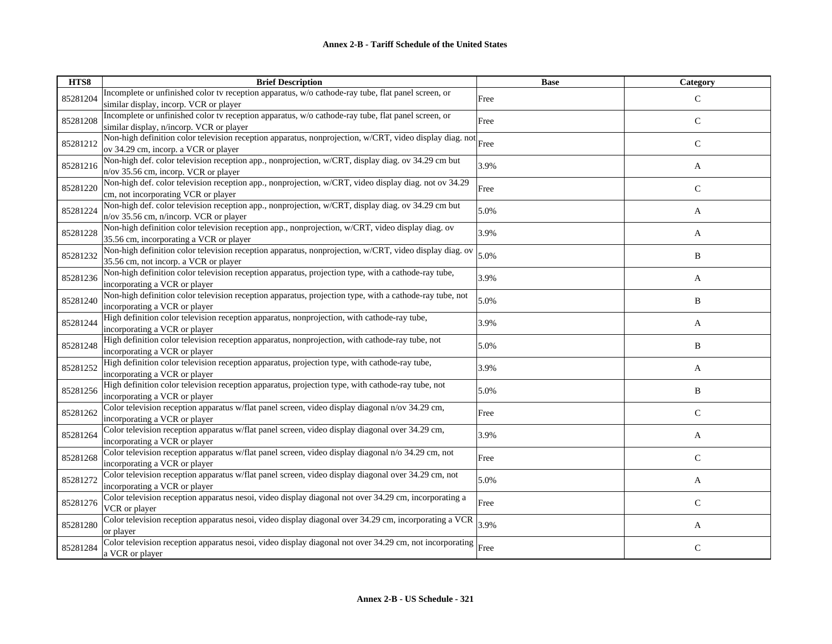| HTS8     | <b>Brief Description</b>                                                                                                                     | <b>Base</b> | Category      |
|----------|----------------------------------------------------------------------------------------------------------------------------------------------|-------------|---------------|
| 85281204 | Incomplete or unfinished color tv reception apparatus, w/o cathode-ray tube, flat panel screen, or                                           | Free        | $\mathcal{C}$ |
|          | similar display, incorp. VCR or player                                                                                                       |             |               |
| 85281208 | Incomplete or unfinished color tv reception apparatus, w/o cathode-ray tube, flat panel screen, or                                           | Free        | ${\bf C}$     |
|          | similar display, n/incorp. VCR or player                                                                                                     |             |               |
| 85281212 | Non-high definition color television reception apparatus, nonprojection, w/CRT, video display diag. not                                      | Free        | $\mathsf{C}$  |
|          | ov 34.29 cm, incorp. a VCR or player                                                                                                         |             |               |
| 85281216 | Non-high def. color television reception app., nonprojection, w/CRT, display diag. ov 34.29 cm but                                           | 3.9%        | A             |
|          | n/ov 35.56 cm, incorp. VCR or player                                                                                                         |             |               |
| 85281220 | Non-high def. color television reception app., nonprojection, w/CRT, video display diag. not ov 34.29                                        | Free        | $\mathsf{C}$  |
|          | cm, not incorporating VCR or player                                                                                                          |             |               |
| 85281224 | Non-high def. color television reception app., nonprojection, w/CRT, display diag. ov 34.29 cm but                                           | 5.0%        | A             |
|          | n/ov 35.56 cm, n/incorp. VCR or player                                                                                                       |             |               |
| 85281228 | Non-high definition color television reception app., nonprojection, w/CRT, video display diag. ov                                            | 3.9%        | A             |
|          | 35.56 cm, incorporating a VCR or player                                                                                                      |             |               |
| 85281232 | Non-high definition color television reception apparatus, nonprojection, w/CRT, video display diag. ov                                       | 5.0%        | B             |
|          | 35.56 cm, not incorp. a VCR or player<br>Non-high definition color television reception apparatus, projection type, with a cathode-ray tube, |             |               |
| 85281236 | incorporating a VCR or player                                                                                                                | 3.9%        | A             |
| 85281240 | Non-high definition color television reception apparatus, projection type, with a cathode-ray tube, not                                      |             |               |
|          | incorporating a VCR or player                                                                                                                | 5.0%        | B             |
|          | High definition color television reception apparatus, nonprojection, with cathode-ray tube,                                                  |             |               |
| 85281244 | incorporating a VCR or player                                                                                                                | 3.9%        | A             |
|          | High definition color television reception apparatus, nonprojection, with cathode-ray tube, not                                              |             |               |
| 85281248 | incorporating a VCR or player                                                                                                                | 5.0%        | B             |
|          | High definition color television reception apparatus, projection type, with cathode-ray tube,                                                |             |               |
| 85281252 | incorporating a VCR or player                                                                                                                | 3.9%        | A             |
|          | High definition color television reception apparatus, projection type, with cathode-ray tube, not                                            |             |               |
| 85281256 | incorporating a VCR or player                                                                                                                | 5.0%        | B             |
|          | Color television reception apparatus w/flat panel screen, video display diagonal n/ov 34.29 cm,                                              |             |               |
| 85281262 | incorporating a VCR or player                                                                                                                | Free        | $\mathsf{C}$  |
|          | Color television reception apparatus w/flat panel screen, video display diagonal over 34.29 cm,                                              |             |               |
| 85281264 | incorporating a VCR or player                                                                                                                | 3.9%        | A             |
| 85281268 | Color television reception apparatus w/flat panel screen, video display diagonal n/o 34.29 cm, not                                           | Free        | $\mathsf{C}$  |
|          | incorporating a VCR or player                                                                                                                |             |               |
| 85281272 | Color television reception apparatus w/flat panel screen, video display diagonal over 34.29 cm, not                                          | 5.0%        | A             |
|          | incorporating a VCR or player                                                                                                                |             |               |
| 85281276 | Color television reception apparatus nesoi, video display diagonal not over 34.29 cm, incorporating a                                        | Free        | $\mathcal{C}$ |
|          | VCR or player                                                                                                                                |             |               |
| 85281280 | Color television reception apparatus nesoi, video display diagonal over 34.29 cm, incorporating a VCR                                        | 3.9%        | A             |
|          | or player                                                                                                                                    |             |               |
| 85281284 | Color television reception apparatus nesoi, video display diagonal not over 34.29 cm, not incorporating $\vert$ Free                         |             | $\mathsf{C}$  |
|          | a VCR or player                                                                                                                              |             |               |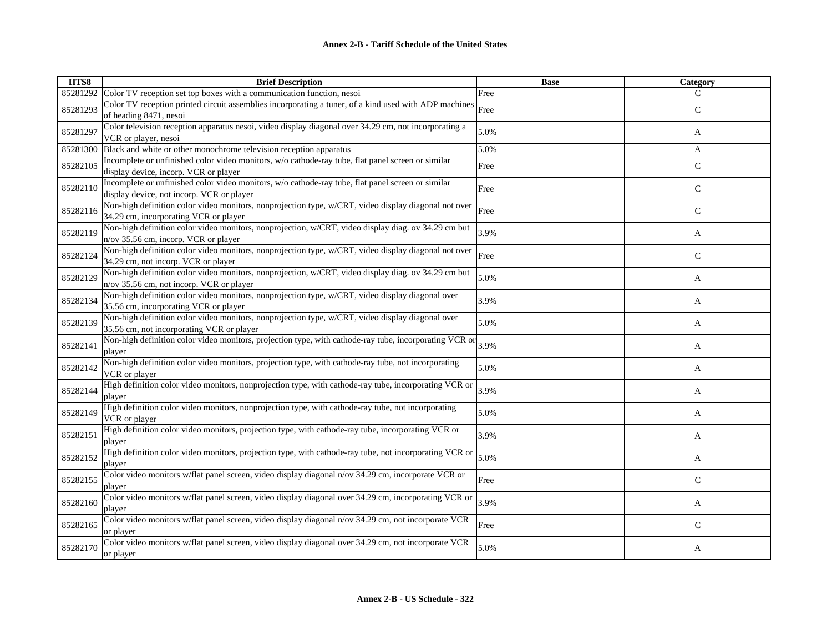| HTS8     | <b>Brief Description</b>                                                                                                                        | <b>Base</b> | Category      |
|----------|-------------------------------------------------------------------------------------------------------------------------------------------------|-------------|---------------|
| 85281292 | Color TV reception set top boxes with a communication function, nesoi                                                                           | Free        | $\mathcal{C}$ |
| 85281293 | Color TV reception printed circuit assemblies incorporating a tuner, of a kind used with ADP machines<br>of heading 8471, nesoi                 | Free        | $\mathsf{C}$  |
| 85281297 | Color television reception apparatus nesoi, video display diagonal over 34.29 cm, not incorporating a<br>VCR or player, nesoi                   | 5.0%        | A             |
| 85281300 | Black and white or other monochrome television reception apparatus                                                                              | 5.0%        | A             |
| 85282105 | Incomplete or unfinished color video monitors, w/o cathode-ray tube, flat panel screen or similar<br>display device, incorp. VCR or player      | Free        | $\mathsf{C}$  |
| 85282110 | Incomplete or unfinished color video monitors, w/o cathode-ray tube, flat panel screen or similar<br>display device, not incorp. VCR or player  | Free        | $\mathsf{C}$  |
| 85282116 | Non-high definition color video monitors, nonprojection type, w/CRT, video display diagonal not over<br>34.29 cm, incorporating VCR or player   | Free        | $\mathsf{C}$  |
| 85282119 | Non-high definition color video monitors, nonprojection, w/CRT, video display diag. ov 34.29 cm but<br>n/ov 35.56 cm, incorp. VCR or player     | 3.9%        | A             |
| 85282124 | Non-high definition color video monitors, nonprojection type, w/CRT, video display diagonal not over<br>34.29 cm, not incorp. VCR or player     | Free        | ${\bf C}$     |
| 85282129 | Non-high definition color video monitors, nonprojection, w/CRT, video display diag. ov 34.29 cm but<br>n/ov 35.56 cm, not incorp. VCR or player | 5.0%        | A             |
| 85282134 | Non-high definition color video monitors, nonprojection type, w/CRT, video display diagonal over<br>35.56 cm, incorporating VCR or player       | 3.9%        | A             |
| 85282139 | Non-high definition color video monitors, nonprojection type, w/CRT, video display diagonal over<br>35.56 cm, not incorporating VCR or player   | 5.0%        | A             |
| 85282141 | Non-high definition color video monitors, projection type, with cathode-ray tube, incorporating VCR or $3.9\%$<br>player                        |             | A             |
| 85282142 | Non-high definition color video monitors, projection type, with cathode-ray tube, not incorporating<br>VCR or player                            | 5.0%        | A             |
| 85282144 | High definition color video monitors, nonprojection type, with cathode-ray tube, incorporating VCR or<br>player                                 | 3.9%        | A             |
| 85282149 | High definition color video monitors, nonprojection type, with cathode-ray tube, not incorporating<br>VCR or player                             | 5.0%        | A             |
| 85282151 | High definition color video monitors, projection type, with cathode-ray tube, incorporating VCR or<br>player                                    | 3.9%        | A             |
| 85282152 | High definition color video monitors, projection type, with cathode-ray tube, not incorporating VCR or<br>player                                | 5.0%        | A             |
| 85282155 | Color video monitors w/flat panel screen, video display diagonal n/ov 34.29 cm, incorporate VCR or<br>player                                    | Free        | $\mathsf{C}$  |
| 85282160 | Color video monitors w/flat panel screen, video display diagonal over 34.29 cm, incorporating VCR or<br>player                                  | 3.9%        | A             |
| 85282165 | Color video monitors w/flat panel screen, video display diagonal n/ov 34.29 cm, not incorporate VCR<br>or player                                | Free        | $\mathsf{C}$  |
| 85282170 | Color video monitors w/flat panel screen, video display diagonal over 34.29 cm, not incorporate VCR<br>or player                                | 5.0%        | A             |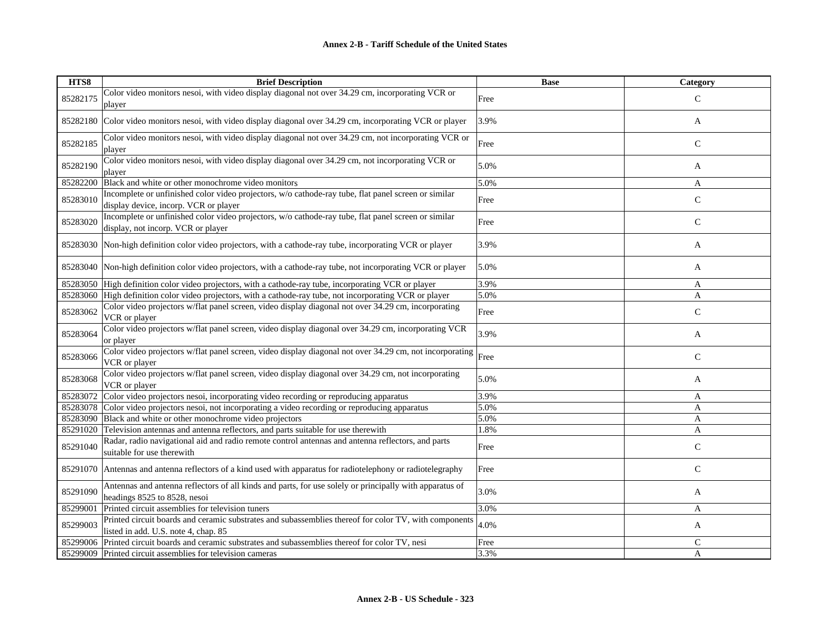| HTS8     | <b>Brief Description</b>                                                                                                                      | <b>Base</b> | Category      |
|----------|-----------------------------------------------------------------------------------------------------------------------------------------------|-------------|---------------|
| 85282175 | Color video monitors nesoi, with video display diagonal not over 34.29 cm, incorporating VCR or<br>player                                     | Free        | $\mathcal{C}$ |
| 85282180 | Color video monitors nesoi, with video display diagonal over 34.29 cm, incorporating VCR or player                                            | 3.9%        | A             |
| 85282185 | Color video monitors nesoi, with video display diagonal not over 34.29 cm, not incorporating VCR or<br>player                                 | Free        | $\mathsf{C}$  |
| 85282190 | Color video monitors nesoi, with video display diagonal over 34.29 cm, not incorporating VCR or<br>player                                     | 5.0%        | A             |
| 85282200 | Black and white or other monochrome video monitors                                                                                            | 5.0%        | $\mathbf{A}$  |
| 85283010 | Incomplete or unfinished color video projectors, w/o cathode-ray tube, flat panel screen or similar<br>display device, incorp. VCR or player  | Free        | $\mathbf C$   |
| 85283020 | Incomplete or unfinished color video projectors, w/o cathode-ray tube, flat panel screen or similar<br>display, not incorp. VCR or player     | Free        | $\mathbf C$   |
| 85283030 | Non-high definition color video projectors, with a cathode-ray tube, incorporating VCR or player                                              | 3.9%        | A             |
|          | 85283040 Non-high definition color video projectors, with a cathode-ray tube, not incorporating VCR or player                                 | 5.0%        | A             |
|          | 85283050 High definition color video projectors, with a cathode-ray tube, incorporating VCR or player                                         | 3.9%        | A             |
| 85283060 | High definition color video projectors, with a cathode-ray tube, not incorporating VCR or player                                              | 5.0%        | $\mathbf{A}$  |
| 85283062 | Color video projectors w/flat panel screen, video display diagonal not over 34.29 cm, incorporating<br>VCR or player                          | Free        | $\mathcal{C}$ |
| 85283064 | Color video projectors w/flat panel screen, video display diagonal over 34.29 cm, incorporating VCR<br>or player                              | 3.9%        | A             |
| 85283066 | Color video projectors w/flat panel screen, video display diagonal not over 34.29 cm, not incorporating<br>VCR or player                      | Free        | $\mathsf{C}$  |
| 85283068 | Color video projectors w/flat panel screen, video display diagonal over 34.29 cm, not incorporating<br>VCR or player                          | 5.0%        | A             |
| 85283072 | Color video projectors nesoi, incorporating video recording or reproducing apparatus                                                          | 3.9%        | A             |
| 85283078 | Color video projectors nesoi, not incorporating a video recording or reproducing apparatus                                                    | 5.0%        | $\mathbf{A}$  |
| 85283090 | Black and white or other monochrome video projectors                                                                                          | 5.0%        | A             |
|          | 85291020 Television antennas and antenna reflectors, and parts suitable for use therewith                                                     | 1.8%        | A             |
| 85291040 | Radar, radio navigational aid and radio remote control antennas and antenna reflectors, and parts<br>suitable for use therewith               | Free        | $\mathsf{C}$  |
|          | 85291070 Antennas and antenna reflectors of a kind used with apparatus for radiotelephony or radiotelegraphy                                  | Free        | $\mathsf{C}$  |
| 85291090 | Antennas and antenna reflectors of all kinds and parts, for use solely or principally with apparatus of<br>headings 8525 to 8528, nesoi       | 3.0%        | A             |
| 85299001 | Printed circuit assemblies for television tuners                                                                                              | 3.0%        | A             |
| 85299003 | Printed circuit boards and ceramic substrates and subassemblies thereof for color TV, with components<br>listed in add. U.S. note 4, chap. 85 | 4.0%        | A             |
| 85299006 | Printed circuit boards and ceramic substrates and subassemblies thereof for color TV, nesi                                                    | Free        | $\mathsf{C}$  |
|          | 85299009 Printed circuit assemblies for television cameras                                                                                    | 3.3%        | A             |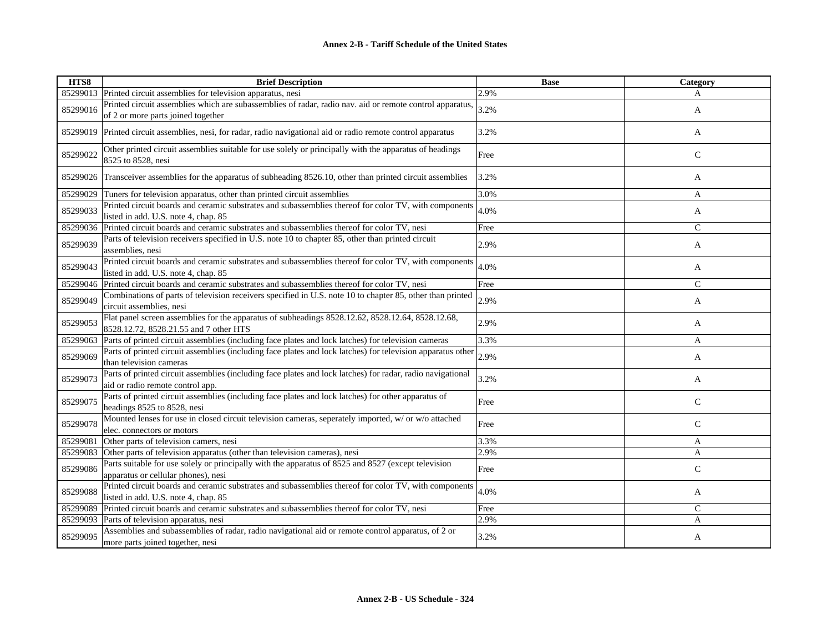| HTS8     | <b>Brief Description</b>                                                                                                                       | <b>Base</b> | Category      |
|----------|------------------------------------------------------------------------------------------------------------------------------------------------|-------------|---------------|
| 85299013 | Printed circuit assemblies for television apparatus, nesi                                                                                      | 2.9%        | A             |
| 85299016 | Printed circuit assemblies which are subassemblies of radar, radio nav. aid or remote control apparatus,<br>of 2 or more parts joined together | 3.2%        | A             |
| 85299019 | Printed circuit assemblies, nesi, for radar, radio navigational aid or radio remote control apparatus                                          | 3.2%        | A             |
| 85299022 | Other printed circuit assemblies suitable for use solely or principally with the apparatus of headings<br>8525 to 8528, nesi                   | Free        | $\mathsf{C}$  |
| 85299026 | Transceiver assemblies for the apparatus of subheading 8526.10, other than printed circuit assemblies                                          | 3.2%        | A             |
| 85299029 | Tuners for television apparatus, other than printed circuit assemblies                                                                         | 3.0%        | A             |
| 85299033 | Printed circuit boards and ceramic substrates and subassemblies thereof for color TV, with components<br>listed in add. U.S. note 4, chap. 85  | 4.0%        | A             |
| 85299036 | Printed circuit boards and ceramic substrates and subassemblies thereof for color TV, nesi                                                     | Free        | $\mathcal{C}$ |
| 85299039 | Parts of television receivers specified in U.S. note 10 to chapter 85, other than printed circuit<br>assemblies, nesi                          | 2.9%        | A             |
| 85299043 | Printed circuit boards and ceramic substrates and subassemblies thereof for color TV, with components<br>listed in add. U.S. note 4, chap. 85  | 4.0%        | A             |
| 85299046 | Printed circuit boards and ceramic substrates and subassemblies thereof for color TV, nesi                                                     | Free        | $\mathcal{C}$ |
| 85299049 | Combinations of parts of television receivers specified in U.S. note 10 to chapter 85, other than printed<br>circuit assemblies, nesi          | 2.9%        | A             |
| 85299053 | Flat panel screen assemblies for the apparatus of subheadings 8528.12.62, 8528.12.64, 8528.12.68,<br>8528.12.72, 8528.21.55 and 7 other HTS    | 2.9%        | A             |
| 85299063 | Parts of printed circuit assemblies (including face plates and lock latches) for television cameras                                            | 3.3%        | A             |
| 85299069 | Parts of printed circuit assemblies (including face plates and lock latches) for television apparatus other<br>than television cameras         | 2.9%        | A             |
| 85299073 | Parts of printed circuit assemblies (including face plates and lock latches) for radar, radio navigational<br>aid or radio remote control app. | 3.2%        | A             |
| 85299075 | Parts of printed circuit assemblies (including face plates and lock latches) for other apparatus of<br>headings 8525 to 8528, nesi             | Free        | $\mathsf{C}$  |
| 85299078 | Mounted lenses for use in closed circuit television cameras, seperately imported, w/ or w/o attached<br>elec. connectors or motors             | Free        | $\mathsf{C}$  |
| 85299081 | Other parts of television camers, nesi                                                                                                         | 3.3%        | A             |
| 85299083 | Other parts of television apparatus (other than television cameras), nesi                                                                      | 2.9%        | A             |
| 85299086 | Parts suitable for use solely or principally with the apparatus of 8525 and 8527 (except television<br>apparatus or cellular phones), nesi     | Free        | $\mathsf{C}$  |
| 85299088 | Printed circuit boards and ceramic substrates and subassemblies thereof for color TV, with components<br>listed in add. U.S. note 4, chap. 85  | 4.0%        | A             |
| 85299089 | Printed circuit boards and ceramic substrates and subassemblies thereof for color TV, nesi                                                     | Free        | $\mathcal{C}$ |
| 85299093 | Parts of television apparatus, nesi                                                                                                            | 2.9%        | A             |
| 85299095 | Assemblies and subassemblies of radar, radio navigational aid or remote control apparatus, of 2 or<br>more parts joined together, nesi         | 3.2%        | A             |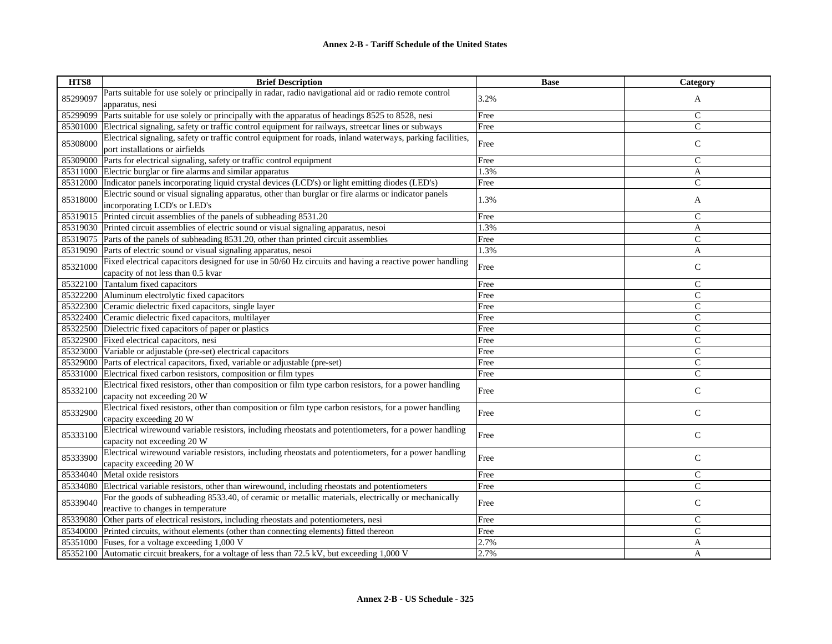| HTS8     | <b>Brief Description</b>                                                                                                                                                        | <b>Base</b> | Category       |
|----------|---------------------------------------------------------------------------------------------------------------------------------------------------------------------------------|-------------|----------------|
| 85299097 | Parts suitable for use solely or principally in radar, radio navigational aid or radio remote control                                                                           | 3.2%        | A              |
|          | apparatus, nesi                                                                                                                                                                 |             |                |
| 85299099 | Parts suitable for use solely or principally with the apparatus of headings 8525 to 8528, nesi                                                                                  | Free        | $\mathsf C$    |
| 85301000 | Electrical signaling, safety or traffic control equipment for railways, streetcar lines or subways                                                                              | Free        | $\mathsf{C}$   |
| 85308000 | Electrical signaling, safety or traffic control equipment for roads, inland waterways, parking facilities,<br>port installations or airfields                                   | Free        | $\mathsf{C}$   |
| 85309000 | Parts for electrical signaling, safety or traffic control equipment                                                                                                             | Free        | $\mathsf{C}$   |
| 85311000 | Electric burglar or fire alarms and similar apparatus                                                                                                                           | 1.3%        | A              |
|          | 85312000 Indicator panels incorporating liquid crystal devices (LCD's) or light emitting diodes (LED's)                                                                         | Free        | $\overline{C}$ |
|          | Electric sound or visual signaling apparatus, other than burglar or fire alarms or indicator panels                                                                             |             |                |
| 85318000 | incorporating LCD's or LED's                                                                                                                                                    | 1.3%        | A              |
|          | 85319015 Printed circuit assemblies of the panels of subheading 8531.20                                                                                                         | Free        | $\mathsf{C}$   |
|          | 85319030 Printed circuit assemblies of electric sound or visual signaling apparatus, nesoi                                                                                      | 1.3%        | A              |
|          | 85319075 Parts of the panels of subheading 8531.20, other than printed circuit assemblies                                                                                       | Free        | $\mathsf{C}$   |
|          |                                                                                                                                                                                 | 1.3%        | A              |
|          | 85319090 Parts of electric sound or visual signaling apparatus, nesoi<br>Fixed electrical capacitors designed for use in 50/60 Hz circuits and having a reactive power handling |             |                |
| 85321000 | capacity of not less than 0.5 kvar                                                                                                                                              | Free        | $\mathsf C$    |
| 85322100 | Tantalum fixed capacitors                                                                                                                                                       | Free        | $\mathsf{C}$   |
|          | 85322200 Aluminum electrolytic fixed capacitors                                                                                                                                 | Free        | $\mathsf{C}$   |
|          | 85322300 Ceramic dielectric fixed capacitors, single layer                                                                                                                      | Free        | $\mathsf{C}$   |
| 85322400 | Ceramic dielectric fixed capacitors, multilayer                                                                                                                                 | Free        | $\mathsf{C}$   |
| 85322500 | Dielectric fixed capacitors of paper or plastics                                                                                                                                | Free        | $\mathsf C$    |
| 85322900 | Fixed electrical capacitors, nesi                                                                                                                                               | Free        | $\mathsf{C}$   |
| 85323000 | Variable or adjustable (pre-set) electrical capacitors                                                                                                                          | Free        | $\mathsf{C}$   |
| 85329000 | Parts of electrical capacitors, fixed, variable or adjustable (pre-set)                                                                                                         | Free        | $\mathsf{C}$   |
| 85331000 | Electrical fixed carbon resistors, composition or film types                                                                                                                    | Free        | $\mathsf{C}$   |
| 85332100 | Electrical fixed resistors, other than composition or film type carbon resistors, for a power handling                                                                          | Free        | $\mathbf C$    |
|          | capacity not exceeding 20 W                                                                                                                                                     |             |                |
| 85332900 | Electrical fixed resistors, other than composition or film type carbon resistors, for a power handling<br>capacity exceeding 20 W                                               | Free        | $\mathsf{C}$   |
| 85333100 | Electrical wirewound variable resistors, including rheostats and potentiometers, for a power handling<br>capacity not exceeding 20 W                                            | Free        | $\mathbf C$    |
| 85333900 | Electrical wirewound variable resistors, including rheostats and potentiometers, for a power handling<br>capacity exceeding 20 W                                                | Free        | $\mathsf{C}$   |
| 85334040 | Metal oxide resistors                                                                                                                                                           | Free        | $\mathsf{C}$   |
| 85334080 | Electrical variable resistors, other than wirewound, including rheostats and potentiometers                                                                                     | Free        | $\mathbf C$    |
|          | For the goods of subheading 8533.40, of ceramic or metallic materials, electrically or mechanically                                                                             |             |                |
| 85339040 | reactive to changes in temperature                                                                                                                                              | Free        | $\mathsf{C}$   |
| 85339080 | Other parts of electrical resistors, including rheostats and potentiometers, nesi                                                                                               | Free        | $\mathsf{C}$   |
| 85340000 | Printed circuits, without elements (other than connecting elements) fitted thereon                                                                                              | Free        | $\mathsf{C}$   |
| 85351000 | Fuses, for a voltage exceeding 1,000 V                                                                                                                                          | 2.7%        | A              |
| 85352100 | Automatic circuit breakers, for a voltage of less than 72.5 kV, but exceeding 1,000 V                                                                                           | 2.7%        | A              |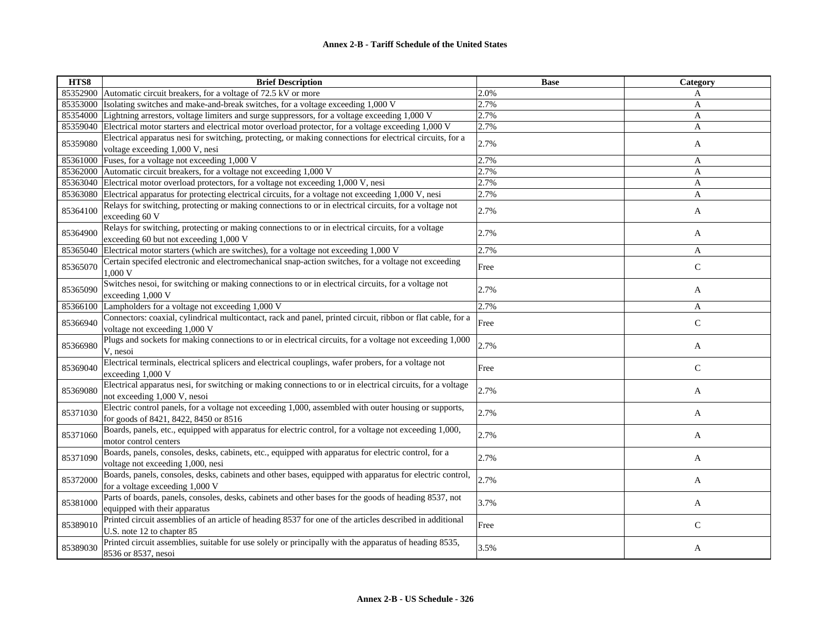| HTS8     | <b>Brief Description</b>                                                                                                                       | <b>Base</b> | Category     |
|----------|------------------------------------------------------------------------------------------------------------------------------------------------|-------------|--------------|
| 85352900 | Automatic circuit breakers, for a voltage of 72.5 kV or more                                                                                   | 2.0%        | A            |
| 85353000 | Isolating switches and make-and-break switches, for a voltage exceeding 1,000 V                                                                | 2.7%        | A            |
| 85354000 | Lightning arrestors, voltage limiters and surge suppressors, for a voltage exceeding 1,000 V                                                   | 2.7%        | A            |
| 85359040 | Electrical motor starters and electrical motor overload protector, for a voltage exceeding 1,000 V                                             | 2.7%        | A            |
| 85359080 | Electrical apparatus nesi for switching, protecting, or making connections for electrical circuits, for a<br>voltage exceeding 1,000 V, nesi   | 2.7%        | A            |
| 85361000 | Fuses, for a voltage not exceeding 1,000 V                                                                                                     | 2.7%        | A            |
| 85362000 | Automatic circuit breakers, for a voltage not exceeding 1,000 V                                                                                | 2.7%        | A            |
|          | 85363040 Electrical motor overload protectors, for a voltage not exceeding 1,000 V, nesi                                                       | 2.7%        | A            |
| 85363080 | Electrical apparatus for protecting electrical circuits, for a voltage not exceeding 1,000 V, nesi                                             | 2.7%        | A            |
| 85364100 | Relays for switching, protecting or making connections to or in electrical circuits, for a voltage not<br>exceeding 60 V                       | 2.7%        | A            |
| 85364900 | Relays for switching, protecting or making connections to or in electrical circuits, for a voltage<br>exceeding 60 but not exceeding 1,000 V   | 2.7%        | A            |
| 85365040 | Electrical motor starters (which are switches), for a voltage not exceeding 1,000 V                                                            | 2.7%        | A            |
| 85365070 | Certain specifed electronic and electromechanical snap-action switches, for a voltage not exceeding<br>1,000 V                                 | Free        | $\mathsf{C}$ |
| 85365090 | Switches nesoi, for switching or making connections to or in electrical circuits, for a voltage not<br>exceeding 1,000 V                       | 2.7%        | A            |
| 85366100 | Lampholders for a voltage not exceeding 1,000 V                                                                                                | 2.7%        | A            |
| 85366940 | Connectors: coaxial, cylindrical multicontact, rack and panel, printed circuit, ribbon or flat cable, for a<br>voltage not exceeding 1,000 V   | Free        | $\mathsf{C}$ |
| 85366980 | Plugs and sockets for making connections to or in electrical circuits, for a voltage not exceeding 1,000<br>V, nesoi                           | 2.7%        | A            |
| 85369040 | Electrical terminals, electrical splicers and electrical couplings, wafer probers, for a voltage not<br>exceeding 1,000 V                      | Free        | $\mathsf{C}$ |
| 85369080 | Electrical apparatus nesi, for switching or making connections to or in electrical circuits, for a voltage<br>not exceeding 1,000 V, nesoi     | 2.7%        | A            |
| 85371030 | Electric control panels, for a voltage not exceeding 1,000, assembled with outer housing or supports,<br>for goods of 8421, 8422, 8450 or 8516 | 2.7%        | A            |
| 85371060 | Boards, panels, etc., equipped with apparatus for electric control, for a voltage not exceeding 1,000,<br>motor control centers                | 2.7%        | A            |
| 85371090 | Boards, panels, consoles, desks, cabinets, etc., equipped with apparatus for electric control, for a<br>voltage not exceeding 1,000, nesi      | 2.7%        | A            |
| 85372000 | Boards, panels, consoles, desks, cabinets and other bases, equipped with apparatus for electric control,<br>for a voltage exceeding 1,000 V    | 2.7%        | A            |
| 85381000 | Parts of boards, panels, consoles, desks, cabinets and other bases for the goods of heading 8537, not<br>equipped with their apparatus         | 3.7%        | A            |
| 85389010 | Printed circuit assemblies of an article of heading 8537 for one of the articles described in additional<br>U.S. note 12 to chapter 85         | Free        | $\mathbf C$  |
| 85389030 | Printed circuit assemblies, suitable for use solely or principally with the apparatus of heading 8535,<br>8536 or 8537, nesoi                  | 3.5%        | A            |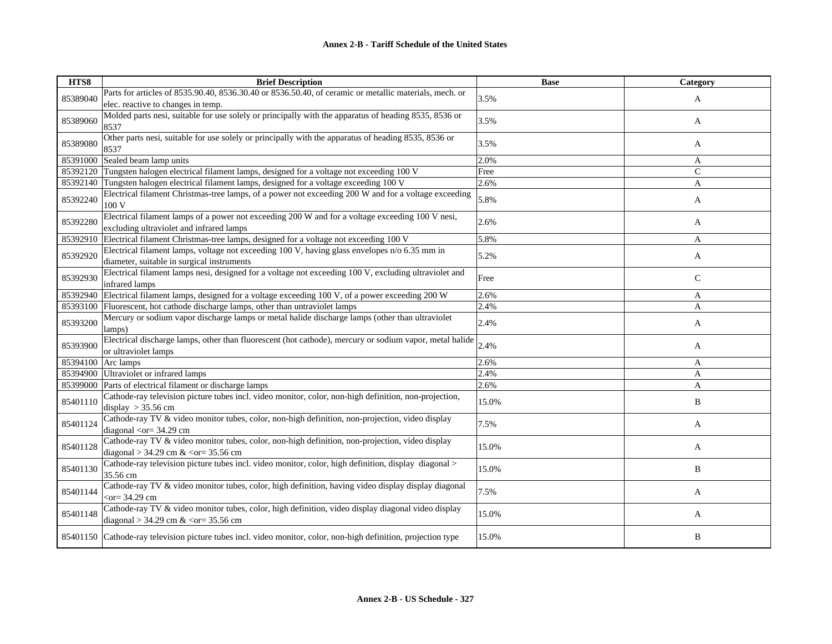| HTS8     | <b>Brief Description</b>                                                                                                                                                                 | <b>Base</b> | Category     |
|----------|------------------------------------------------------------------------------------------------------------------------------------------------------------------------------------------|-------------|--------------|
| 85389040 | Parts for articles of 8535.90.40, 8536.30.40 or 8536.50.40, of ceramic or metallic materials, mech. or<br>elec. reactive to changes in temp.                                             | 3.5%        | A            |
| 85389060 | Molded parts nesi, suitable for use solely or principally with the apparatus of heading 8535, 8536 or<br>8537                                                                            | 3.5%        | A            |
| 85389080 | Other parts nesi, suitable for use solely or principally with the apparatus of heading 8535, 8536 or<br>8537                                                                             | 3.5%        | A            |
| 85391000 | Sealed beam lamp units                                                                                                                                                                   | 2.0%        | A            |
|          | 85392120 Tungsten halogen electrical filament lamps, designed for a voltage not exceeding 100 V                                                                                          | Free        | $\mathsf{C}$ |
|          | 85392140 Tungsten halogen electrical filament lamps, designed for a voltage exceeding 100 V                                                                                              | 2.6%        | A            |
| 85392240 | Electrical filament Christmas-tree lamps, of a power not exceeding 200 W and for a voltage exceeding<br>100 V                                                                            | 5.8%        | A            |
| 85392280 | Electrical filament lamps of a power not exceeding 200 W and for a voltage exceeding 100 V nesi,<br>excluding ultraviolet and infrared lamps                                             | 2.6%        | A            |
| 85392910 | Electrical filament Christmas-tree lamps, designed for a voltage not exceeding 100 V                                                                                                     | 5.8%        | A            |
| 85392920 | Electrical filament lamps, voltage not exceeding 100 V, having glass envelopes $n/0$ 6.35 mm in<br>diameter, suitable in surgical instruments                                            | 5.2%        | A            |
| 85392930 | Electrical filament lamps nesi, designed for a voltage not exceeding 100 V, excluding ultraviolet and<br>infrared lamps                                                                  | Free        | $\mathsf{C}$ |
|          | 85392940 Electrical filament lamps, designed for a voltage exceeding 100 V, of a power exceeding 200 W                                                                                   | 2.6%        | A            |
|          | 85393100 Fluorescent, hot cathode discharge lamps, other than untraviolet lamps                                                                                                          | 2.4%        | A            |
| 85393200 | Mercury or sodium vapor discharge lamps or metal halide discharge lamps (other than ultraviolet<br>lamps)                                                                                | 2.4%        | A            |
| 85393900 | Electrical discharge lamps, other than fluorescent (hot cathode), mercury or sodium vapor, metal halide<br>or ultraviolet lamps                                                          | 2.4%        | A            |
|          | 85394100 Arc lamps                                                                                                                                                                       | 2.6%        | A            |
|          | 85394900 Ultraviolet or infrared lamps                                                                                                                                                   | 2.4%        | A            |
|          | 85399000 Parts of electrical filament or discharge lamps                                                                                                                                 | 2.6%        | A            |
| 85401110 | Cathode-ray television picture tubes incl. video monitor, color, non-high definition, non-projection,<br>display $>$ 35.56 cm                                                            | 15.0%       | B            |
| 85401124 | Cathode-ray TV & video monitor tubes, color, non-high definition, non-projection, video display<br>diagonal < $or = 34.29$ cm                                                            | 7.5%        | A            |
| 85401128 | Cathode-ray TV & video monitor tubes, color, non-high definition, non-projection, video display<br>diagonal > 34.29 cm & <or= 35.56="" cm<="" td=""><td>15.0%</td><td>A</td></or=>       | 15.0%       | A            |
| 85401130 | Cathode-ray television picture tubes incl. video monitor, color, high definition, display diagonal ><br>35.56 cm                                                                         | 15.0%       | B            |
| 85401144 | Cathode-ray TV & video monitor tubes, color, high definition, having video display display diagonal<br>$<$ or = 34.29 cm                                                                 | 7.5%        | A            |
| 85401148 | Cathode-ray TV & video monitor tubes, color, high definition, video display diagonal video display<br>diagonal > 34.29 cm $\&$ <or= 35.56="" cm<="" td=""><td>15.0%</td><td>A</td></or=> | 15.0%       | A            |
|          | 85401150 Cathode-ray television picture tubes incl. video monitor, color, non-high definition, projection type                                                                           | 15.0%       | B            |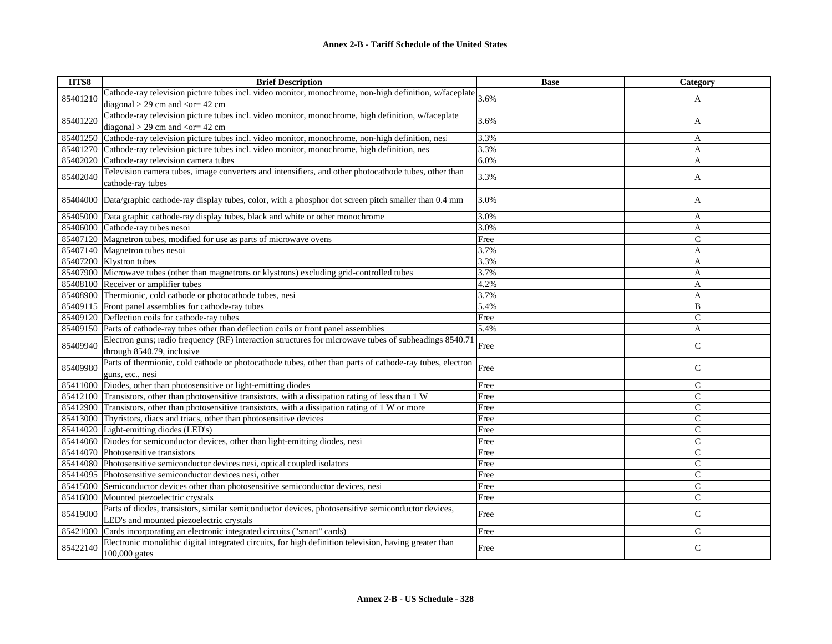| HTS8     | <b>Brief Description</b>                                                                                       | <b>Base</b> | Category       |
|----------|----------------------------------------------------------------------------------------------------------------|-------------|----------------|
|          | Cathode-ray television picture tubes incl. video monitor, monochrome, non-high definition, w/faceplate $3.6\%$ |             |                |
| 85401210 | diagonal $>$ 29 cm and $<$ or = 42 cm                                                                          |             | A              |
|          | Cathode-ray television picture tubes incl. video monitor, monochrome, high definition, w/faceplate             |             |                |
| 85401220 | diagonal $>$ 29 cm and <or= 42="" cm<="" td=""><td>3.6%</td><td>A</td></or=>                                   | 3.6%        | A              |
| 85401250 | Cathode-ray television picture tubes incl. video monitor, monochrome, non-high definition, nesi                | 3.3%        | A              |
| 85401270 | Cathode-ray television picture tubes incl. video monitor, monochrome, high definition, nesi                    | 3.3%        | A              |
| 85402020 | Cathode-ray television camera tubes                                                                            | 6.0%        | A              |
|          | Television camera tubes, image converters and intensifiers, and other photocathode tubes, other than           |             |                |
| 85402040 | cathode-ray tubes                                                                                              | 3.3%        | A              |
|          |                                                                                                                |             |                |
|          | 85404000 Data/graphic cathode-ray display tubes, color, with a phosphor dot screen pitch smaller than 0.4 mm   | 3.0%        | A              |
|          | 85405000 Data graphic cathode-ray display tubes, black and white or other monochrome                           | 3.0%        | A              |
|          | 85406000 Cathode-ray tubes nesoi                                                                               | 3.0%        | A              |
|          | 85407120 Magnetron tubes, modified for use as parts of microwave ovens                                         | Free        | $\overline{C}$ |
|          | 85407140 Magnetron tubes nesoi                                                                                 | 3.7%        | A              |
|          | 85407200 Klystron tubes                                                                                        | 3.3%        | A              |
|          | 85407900 Microwave tubes (other than magnetrons or klystrons) excluding grid-controlled tubes                  | 3.7%        | A              |
| 85408100 | Receiver or amplifier tubes                                                                                    | 4.2%        | A              |
| 85408900 | Thermionic, cold cathode or photocathode tubes, nesi                                                           | 3.7%        | A              |
|          | 85409115 Front panel assemblies for cathode-ray tubes                                                          | 5.4%        | B              |
|          | 85409120 Deflection coils for cathode-ray tubes                                                                | Free        | $\mathsf{C}$   |
|          | 85409150 Parts of cathode-ray tubes other than deflection coils or front panel assemblies                      | 5.4%        | A              |
| 85409940 | Electron guns; radio frequency (RF) interaction structures for microwave tubes of subheadings 8540.7           | Free        | $\mathsf{C}$   |
|          | through 8540.79, inclusive                                                                                     |             |                |
| 85409980 | Parts of thermionic, cold cathode or photocathode tubes, other than parts of cathode-ray tubes, electron       | Free        |                |
|          | guns, etc., nesi                                                                                               |             | $\mathsf{C}$   |
| 85411000 | Diodes, other than photosensitive or light-emitting diodes                                                     | Free        | $\mathsf{C}$   |
| 85412100 | Transistors, other than photosensitive transistors, with a dissipation rating of less than 1 W                 | Free        | $\mathsf{C}$   |
| 85412900 | Transistors, other than photosensitive transistors, with a dissipation rating of 1 W or more                   | Free        | $\mathsf{C}$   |
| 85413000 | Thyristors, diacs and triacs, other than photosensitive devices                                                | Free        | $\mathsf{C}$   |
|          | 85414020 Light-emitting diodes (LED's)                                                                         | Free        | $\mathsf{C}$   |
|          | 85414060 Diodes for semiconductor devices, other than light-emitting diodes, nesi                              | Free        | $\mathsf{C}$   |
|          | 85414070 Photosensitive transistors                                                                            | Free        | $\mathsf{C}$   |
| 85414080 | Photosensitive semiconductor devices nesi, optical coupled isolators                                           | Free        | $\mathsf{C}$   |
| 85414095 | Photosensitive semiconductor devices nesi, other                                                               | Free        | $\mathcal{C}$  |
| 85415000 | Semiconductor devices other than photosensitive semiconductor devices, nesi                                    | Free        | $\mathsf{C}$   |
| 85416000 | Mounted piezoelectric crystals                                                                                 | Free        | $\mathsf{C}$   |
| 85419000 | Parts of diodes, transistors, similar semiconductor devices, photosensitive semiconductor devices,             | Free        | $\mathsf{C}$   |
|          | LED's and mounted piezoelectric crystals                                                                       |             |                |
| 85421000 | Cards incorporating an electronic integrated circuits ("smart" cards)                                          | Free        | $\mathsf{C}$   |
| 85422140 | Electronic monolithic digital integrated circuits, for high definition television, having greater than         | Free        | $\mathsf{C}$   |
|          | 100,000 gates                                                                                                  |             |                |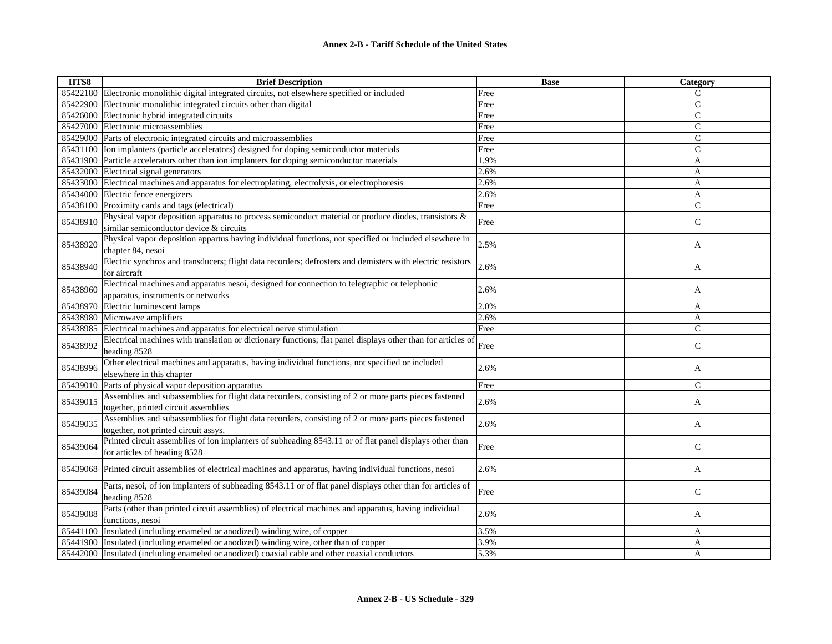| HTS8     | <b>Brief Description</b>                                                                                                                        | <b>Base</b> | Category     |
|----------|-------------------------------------------------------------------------------------------------------------------------------------------------|-------------|--------------|
|          | 85422180 Electronic monolithic digital integrated circuits, not elsewhere specified or included                                                 | Free        | C            |
| 85422900 | Electronic monolithic integrated circuits other than digital                                                                                    | Free        | $\mathsf{C}$ |
| 85426000 | Electronic hybrid integrated circuits                                                                                                           | Free        | $\mathsf{C}$ |
| 85427000 | Electronic microassemblies                                                                                                                      | Free        | $\mathsf{C}$ |
|          | 85429000 Parts of electronic integrated circuits and microassemblies                                                                            | Free        | $\mathsf{C}$ |
|          | 85431100 Ion implanters (particle accelerators) designed for doping semiconductor materials                                                     | Free        | $\mathsf{C}$ |
| 85431900 | Particle accelerators other than ion implanters for doping semiconductor materials                                                              | 1.9%        | A            |
|          | 85432000 Electrical signal generators                                                                                                           | 2.6%        | A            |
|          | 85433000 Electrical machines and apparatus for electroplating, electrolysis, or electrophoresis                                                 | 2.6%        | A            |
| 85434000 | Electric fence energizers                                                                                                                       | 2.6%        | A            |
| 85438100 | Proximity cards and tags (electrical)                                                                                                           | Free        | $\mathsf{C}$ |
| 85438910 | Physical vapor deposition apparatus to process semiconduct material or produce diodes, transistors &<br>similar semiconductor device & circuits | Free        | $\mathsf{C}$ |
| 85438920 | Physical vapor deposition appartus having individual functions, not specified or included elsewhere in<br>chapter 84, nesoi                     | 2.5%        | A            |
| 85438940 | Electric synchros and transducers; flight data recorders; defrosters and demisters with electric resistors<br>for aircraft                      | 2.6%        | A            |
| 85438960 | Electrical machines and apparatus nesoi, designed for connection to telegraphic or telephonic<br>apparatus, instruments or networks             | 2.6%        | A            |
| 85438970 | Electric luminescent lamps                                                                                                                      | 2.0%        | A            |
| 85438980 | Microwave amplifiers                                                                                                                            | 2.6%        | A            |
| 85438985 | Electrical machines and apparatus for electrical nerve stimulation                                                                              | Free        | $\mathsf{C}$ |
| 85438992 | Electrical machines with translation or dictionary functions; flat panel displays other than for articles of<br>heading 8528                    | Free        | $\mathbf C$  |
| 85438996 | Other electrical machines and apparatus, having individual functions, not specified or included<br>elsewhere in this chapter                    | 2.6%        | A            |
| 85439010 | Parts of physical vapor deposition apparatus                                                                                                    | Free        | $\mathsf{C}$ |
| 85439015 | Assemblies and subassemblies for flight data recorders, consisting of 2 or more parts pieces fastened<br>together, printed circuit assemblies   | 2.6%        | A            |
| 85439035 | Assemblies and subassemblies for flight data recorders, consisting of 2 or more parts pieces fastened<br>together, not printed circuit assys.   | 2.6%        | A            |
| 85439064 | Printed circuit assemblies of ion implanters of subheading 8543.11 or of flat panel displays other than<br>for articles of heading 8528         | Free        | $\mathsf{C}$ |
| 85439068 | Printed circuit assemblies of electrical machines and apparatus, having individual functions, nesoi                                             | 2.6%        | A            |
| 85439084 | Parts, nesoi, of ion implanters of subheading 8543.11 or of flat panel displays other than for articles of<br>heading 8528                      | Free        | $\mathsf{C}$ |
| 85439088 | Parts (other than printed circuit assemblies) of electrical machines and apparatus, having individual<br>functions, nesoi                       | 2.6%        | A            |
| 85441100 | Insulated (including enameled or anodized) winding wire, of copper                                                                              | 3.5%        | A            |
| 85441900 | Insulated (including enameled or anodized) winding wire, other than of copper                                                                   | 3.9%        | A            |
|          | 85442000 Insulated (including enameled or anodized) coaxial cable and other coaxial conductors                                                  | 5.3%        | A            |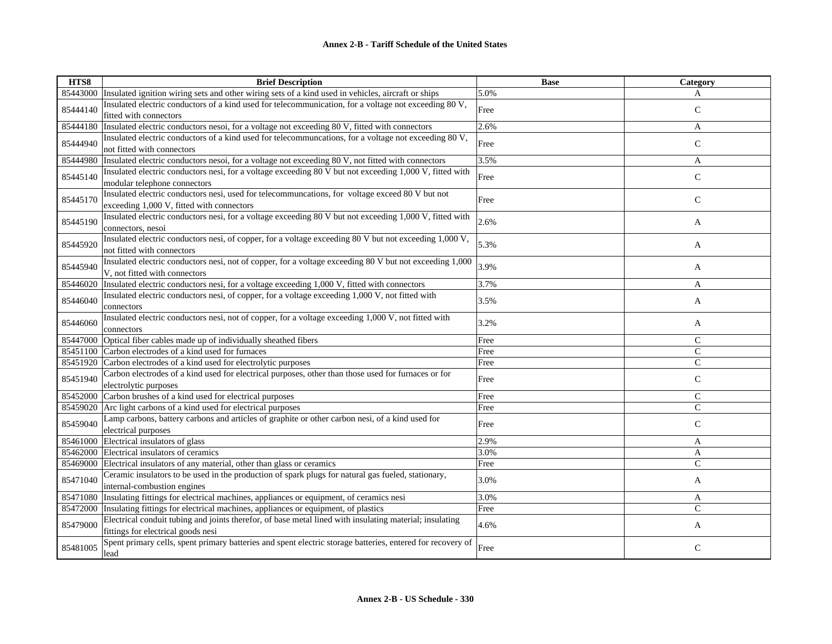| HTS8     | <b>Brief Description</b>                                                                                                                      | <b>Base</b> | Category      |
|----------|-----------------------------------------------------------------------------------------------------------------------------------------------|-------------|---------------|
| 85443000 | Insulated ignition wiring sets and other wiring sets of a kind used in vehicles, aircraft or ships                                            | 5.0%        | A             |
| 85444140 | Insulated electric conductors of a kind used for telecommunication, for a voltage not exceeding 80 V,<br>fitted with connectors               | Free        | $\mathsf{C}$  |
| 85444180 | Insulated electric conductors nesoi, for a voltage not exceeding 80 V, fitted with connectors                                                 | 2.6%        | A             |
| 85444940 | Insulated electric conductors of a kind used for telecommuncations, for a voltage not exceeding 80 V,<br>not fitted with connectors           | Free        | $\mathsf{C}$  |
| 85444980 | Insulated electric conductors nesoi, for a voltage not exceeding 80 V, not fitted with connectors                                             | 3.5%        | A             |
| 85445140 | Insulated electric conductors nesi, for a voltage exceeding 80 V but not exceeding 1,000 V, fitted with<br>modular telephone connectors       | Free        | $\mathbf C$   |
| 85445170 | Insulated electric conductors nesi, used for telecommuncations, for voltage exceed 80 V but not<br>exceeding 1,000 V, fitted with connectors  | Free        | $\mathsf{C}$  |
| 85445190 | Insulated electric conductors nesi, for a voltage exceeding 80 V but not exceeding 1,000 V, fitted with<br>connectors, nesoi                  | 2.6%        | A             |
| 85445920 | Insulated electric conductors nesi, of copper, for a voltage exceeding 80 V but not exceeding 1,000 V,<br>not fitted with connectors          | 5.3%        | A             |
| 85445940 | Insulated electric conductors nesi, not of copper, for a voltage exceeding 80 V but not exceeding 1,000<br>V, not fitted with connectors      | 3.9%        | A             |
| 85446020 | Insulated electric conductors nesi, for a voltage exceeding 1,000 V, fitted with connectors                                                   | 3.7%        | A             |
| 85446040 | Insulated electric conductors nesi, of copper, for a voltage exceeding 1,000 V, not fitted with<br>connectors                                 | 3.5%        | A             |
| 85446060 | Insulated electric conductors nesi, not of copper, for a voltage exceeding 1,000 V, not fitted with<br>connectors                             | 3.2%        | A             |
| 85447000 | Optical fiber cables made up of individually sheathed fibers                                                                                  | Free        | $\mathcal{C}$ |
|          | 85451100 Carbon electrodes of a kind used for furnaces                                                                                        | Free        | $\mathcal{C}$ |
| 85451920 | Carbon electrodes of a kind used for electrolytic purposes                                                                                    | Free        | $\mathcal{C}$ |
| 85451940 | Carbon electrodes of a kind used for electrical purposes, other than those used for furnaces or for<br>electrolytic purposes                  | Free        | $\mathsf{C}$  |
| 85452000 | Carbon brushes of a kind used for electrical purposes                                                                                         | Free        | $\mathcal{C}$ |
| 85459020 | Arc light carbons of a kind used for electrical purposes                                                                                      | Free        | $\mathcal{C}$ |
| 85459040 | Lamp carbons, battery carbons and articles of graphite or other carbon nesi, of a kind used for<br>electrical purposes                        | Free        | $\mathsf{C}$  |
| 85461000 | Electrical insulators of glass                                                                                                                | 2.9%        | A             |
|          | 85462000 Electrical insulators of ceramics                                                                                                    | 3.0%        | $\mathbf{A}$  |
| 85469000 | Electrical insulators of any material, other than glass or ceramics                                                                           | Free        | $\mathsf{C}$  |
| 85471040 | Ceramic insulators to be used in the production of spark plugs for natural gas fueled, stationary,<br>internal-combustion engines             | 3.0%        | A             |
| 85471080 | Insulating fittings for electrical machines, appliances or equipment, of ceramics nesi                                                        | 3.0%        | A             |
|          | 85472000 Insulating fittings for electrical machines, appliances or equipment, of plastics                                                    | Free        | $\mathcal{C}$ |
| 85479000 | Electrical conduit tubing and joints therefor, of base metal lined with insulating material; insulating<br>fittings for electrical goods nesi | 4.6%        | A             |
| 85481005 | Spent primary cells, spent primary batteries and spent electric storage batteries, entered for recovery of<br>lead                            | Free        | $\mathsf{C}$  |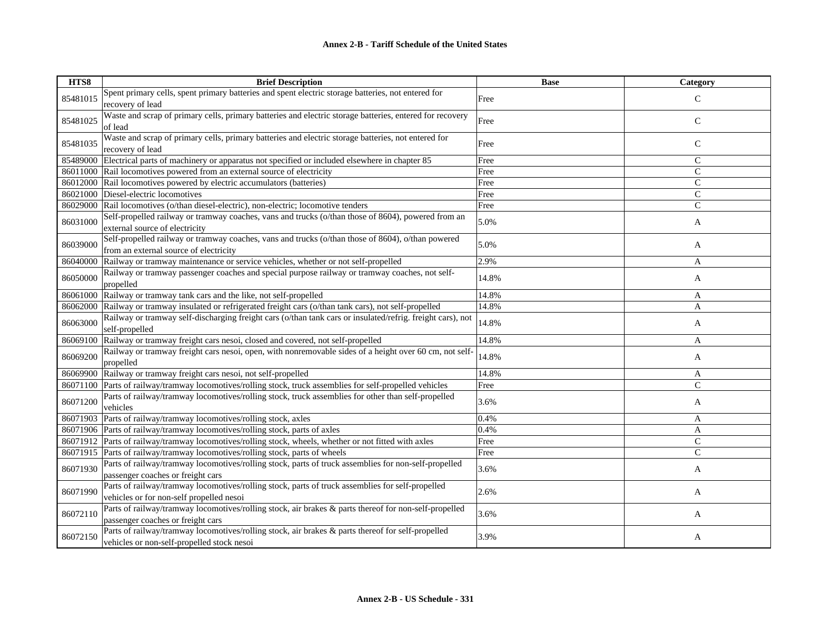| HTS8     | <b>Brief Description</b>                                                                                                                        | <b>Base</b> | Category      |
|----------|-------------------------------------------------------------------------------------------------------------------------------------------------|-------------|---------------|
| 85481015 | Spent primary cells, spent primary batteries and spent electric storage batteries, not entered for<br>recovery of lead                          | Free        | $\mathsf{C}$  |
| 85481025 | Waste and scrap of primary cells, primary batteries and electric storage batteries, entered for recovery<br>of lead                             | Free        | $\mathsf{C}$  |
| 85481035 | Waste and scrap of primary cells, primary batteries and electric storage batteries, not entered for<br>recovery of lead                         | Free        | $\mathbf C$   |
|          | 85489000 Electrical parts of machinery or apparatus not specified or included elsewhere in chapter 85                                           | Free        | $\mathsf{C}$  |
|          | 86011000 Rail locomotives powered from an external source of electricity                                                                        | Free        | $\mathsf{C}$  |
|          | 86012000 Rail locomotives powered by electric accumulators (batteries)                                                                          | Free        | $\mathsf{C}$  |
|          | 86021000 Diesel-electric locomotives                                                                                                            | Free        | $\mathsf{C}$  |
|          | 86029000 Rail locomotives (o/than diesel-electric), non-electric; locomotive tenders                                                            | Free        | $\mathsf{C}$  |
| 86031000 | Self-propelled railway or tramway coaches, vans and trucks (o/than those of 8604), powered from an<br>external source of electricity            | 5.0%        | A             |
| 86039000 | Self-propelled railway or tramway coaches, vans and trucks (o/than those of 8604), o/than powered<br>from an external source of electricity     | 5.0%        | A             |
| 86040000 | Railway or tramway maintenance or service vehicles, whether or not self-propelled                                                               | 2.9%        | A             |
| 86050000 | Railway or tramway passenger coaches and special purpose railway or tramway coaches, not self-<br>propelled                                     | 14.8%       | A             |
|          | 86061000 Railway or tramway tank cars and the like, not self-propelled                                                                          | 14.8%       | A             |
| 86062000 | Railway or tramway insulated or refrigerated freight cars (o/than tank cars), not self-propelled                                                | 14.8%       | $\mathbf{A}$  |
| 86063000 | Railway or tramway self-discharging freight cars (o/than tank cars or insulated/refrig. freight cars), not<br>self-propelled                    | 14.8%       | A             |
|          | 86069100 Railway or tramway freight cars nesoi, closed and covered, not self-propelled                                                          | 14.8%       | A             |
| 86069200 | Railway or tramway freight cars nesoi, open, with nonremovable sides of a height over 60 cm, not self-<br>propelled                             | 14.8%       | A             |
| 86069900 | Railway or tramway freight cars nesoi, not self-propelled                                                                                       | 14.8%       | A             |
|          | 86071100 Parts of railway/tramway locomotives/rolling stock, truck assemblies for self-propelled vehicles                                       | Free        | $\mathcal{C}$ |
| 86071200 | Parts of railway/tramway locomotives/rolling stock, truck assemblies for other than self-propelled<br>vehicles                                  | 3.6%        | A             |
| 86071903 | Parts of railway/tramway locomotives/rolling stock, axles                                                                                       | 0.4%        | A             |
|          | 86071906 Parts of railway/tramway locomotives/rolling stock, parts of axles                                                                     | 0.4%        | A             |
|          | 86071912 Parts of railway/tramway locomotives/rolling stock, wheels, whether or not fitted with axles                                           | Free        | $\mathsf{C}$  |
|          | 86071915 Parts of railway/tramway locomotives/rolling stock, parts of wheels                                                                    | Free        | $\mathcal{C}$ |
| 86071930 | Parts of railway/tramway locomotives/rolling stock, parts of truck assemblies for non-self-propelled<br>passenger coaches or freight cars       | 3.6%        | A             |
| 86071990 | Parts of railway/tramway locomotives/rolling stock, parts of truck assemblies for self-propelled<br>vehicles or for non-self propelled nesoi    | 2.6%        | A             |
| 86072110 | Parts of railway/tramway locomotives/rolling stock, air brakes & parts thereof for non-self-propelled<br>passenger coaches or freight cars      | 3.6%        | A             |
| 86072150 | Parts of railway/tramway locomotives/rolling stock, air brakes & parts thereof for self-propelled<br>vehicles or non-self-propelled stock nesoi | 3.9%        | A             |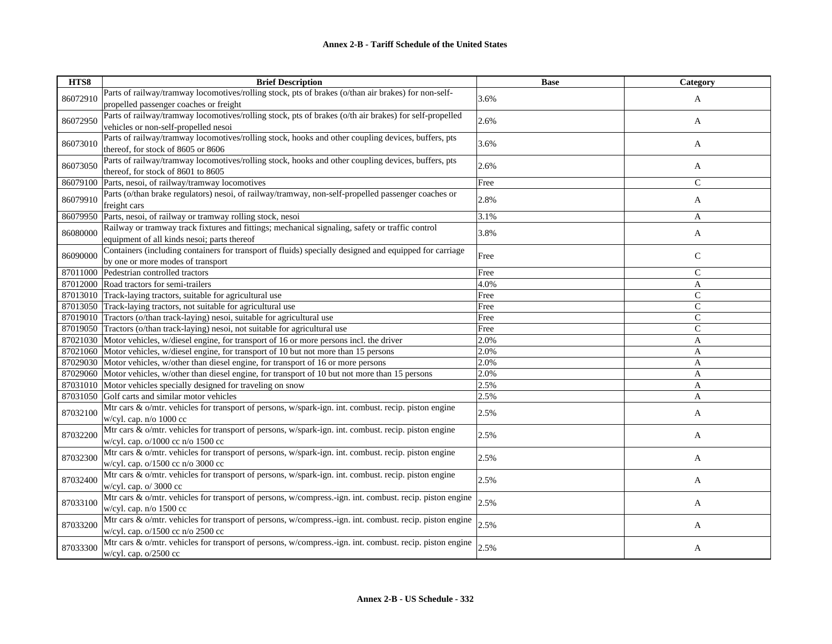| HTS8     | <b>Brief Description</b>                                                                                 | <b>Base</b> | Category      |
|----------|----------------------------------------------------------------------------------------------------------|-------------|---------------|
| 86072910 | Parts of railway/tramway locomotives/rolling stock, pts of brakes (o/than air brakes) for non-self-      | 3.6%        |               |
|          | propelled passenger coaches or freight                                                                   |             | A             |
|          | Parts of railway/tramway locomotives/rolling stock, pts of brakes (o/th air brakes) for self-propelled   |             |               |
| 86072950 | vehicles or non-self-propelled nesoi                                                                     | 2.6%        | A             |
| 86073010 | Parts of railway/tramway locomotives/rolling stock, hooks and other coupling devices, buffers, pts       | 3.6%        |               |
|          | thereof, for stock of 8605 or 8606                                                                       |             | A             |
| 86073050 | Parts of railway/tramway locomotives/rolling stock, hooks and other coupling devices, buffers, pts       | 2.6%        | A             |
|          | thereof, for stock of 8601 to 8605                                                                       |             |               |
| 86079100 | Parts, nesoi, of railway/tramway locomotives                                                             | Free        | $\mathcal{C}$ |
| 86079910 | Parts (o/than brake regulators) nesoi, of railway/tramway, non-self-propelled passenger coaches or       | 2.8%        | A             |
|          | freight cars                                                                                             |             |               |
| 86079950 | Parts, nesoi, of railway or tramway rolling stock, nesoi                                                 | 3.1%        | A             |
| 86080000 | Railway or tramway track fixtures and fittings; mechanical signaling, safety or traffic control          | 3.8%        | A             |
|          | equipment of all kinds nesoi; parts thereof                                                              |             |               |
| 86090000 | Containers (including containers for transport of fluids) specially designed and equipped for carriage   | Free        | $\mathsf{C}$  |
|          | by one or more modes of transport                                                                        |             |               |
| 87011000 | Pedestrian controlled tractors                                                                           | Free        | $\mathsf{C}$  |
| 87012000 | Road tractors for semi-trailers                                                                          | 4.0%        | A             |
| 87013010 | Track-laying tractors, suitable for agricultural use                                                     | Free        | $\mathcal{C}$ |
| 87013050 | Track-laying tractors, not suitable for agricultural use                                                 | Free        | $\mathsf{C}$  |
| 87019010 | Tractors (o/than track-laying) nesoi, suitable for agricultural use                                      | Free        | $\mathsf{C}$  |
| 87019050 | Tractors (o/than track-laying) nesoi, not suitable for agricultural use                                  | Free        | $\mathcal{C}$ |
|          | 87021030 Motor vehicles, w/diesel engine, for transport of 16 or more persons incl. the driver           | 2.0%        | A             |
| 87021060 | Motor vehicles, w/diesel engine, for transport of 10 but not more than 15 persons                        | 2.0%        | A             |
| 87029030 | Motor vehicles, w/other than diesel engine, for transport of 16 or more persons                          | 2.0%        | A             |
| 87029060 | Motor vehicles, w/other than diesel engine, for transport of 10 but not more than 15 persons             | 2.0%        | A             |
| 87031010 | Motor vehicles specially designed for traveling on snow                                                  | 2.5%        | A             |
| 87031050 | Golf carts and similar motor vehicles                                                                    | 2.5%        | A             |
| 87032100 | Mtr cars & o/mtr. vehicles for transport of persons, w/spark-ign. int. combust. recip. piston engine     | 2.5%        | A             |
|          | w/cyl. cap. $n$ /o 1000 cc                                                                               |             |               |
| 87032200 | Mtr cars & o/mtr. vehicles for transport of persons, w/spark-ign. int. combust. recip. piston engine     | 2.5%        | A             |
|          | w/cyl. cap. o/1000 cc n/o 1500 cc                                                                        |             |               |
| 87032300 | Mtr cars & o/mtr. vehicles for transport of persons, w/spark-ign. int. combust. recip. piston engine     | 2.5%        | A             |
|          | w/cyl. cap. o/1500 cc n/o 3000 cc                                                                        |             |               |
| 87032400 | Mtr cars & o/mtr. vehicles for transport of persons, w/spark-ign. int. combust. recip. piston engine     | 2.5%        | A             |
|          | w/cyl. cap. o/ 3000 cc                                                                                   |             |               |
| 87033100 | Mtr cars & o/mtr. vehicles for transport of persons, w/compress.-ign. int. combust. recip. piston engine | 2.5%        | A             |
|          | w/cyl. cap. $n/o$ 1500 cc                                                                                |             |               |
| 87033200 | Mtr cars & o/mtr. vehicles for transport of persons, w/compress.-ign. int. combust. recip. piston engine | 2.5%        | A             |
|          | w/cyl. cap. o/1500 cc n/o 2500 cc                                                                        |             |               |
| 87033300 | Mtr cars & o/mtr. vehicles for transport of persons, w/compress.-ign. int. combust. recip. piston engine | 2.5%        | A             |
|          | $w/cyl$ . cap. $o/2500$ cc                                                                               |             |               |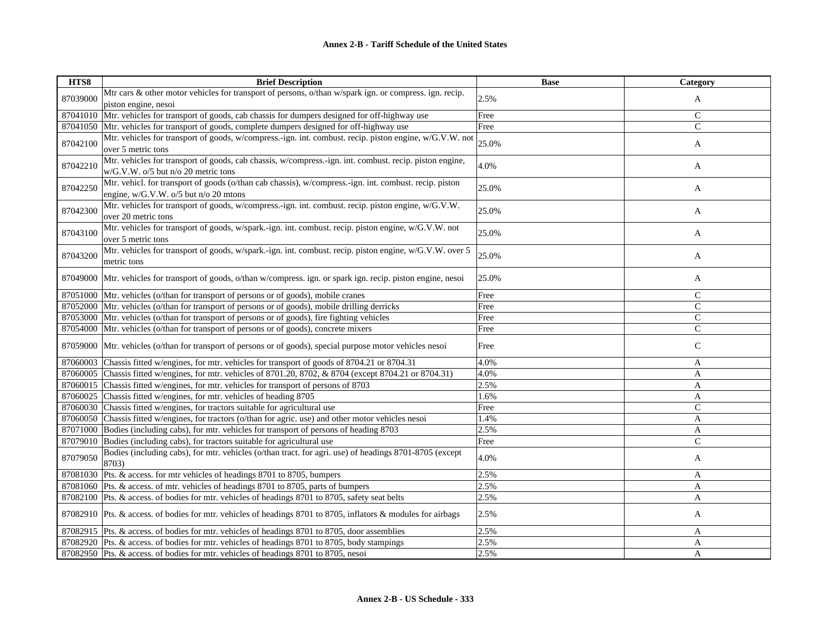| HTS8     | <b>Brief Description</b>                                                                                                                          | <b>Base</b> | Category      |
|----------|---------------------------------------------------------------------------------------------------------------------------------------------------|-------------|---------------|
| 87039000 | Mtr cars & other motor vehicles for transport of persons, o/than w/spark ign. or compress. ign. recip.                                            | 2.5%        | A             |
|          | piston engine, nesoi                                                                                                                              |             |               |
| 87041010 | Mtr. vehicles for transport of goods, cab chassis for dumpers designed for off-highway use                                                        | Free        | $\mathsf{C}$  |
| 87041050 | Mtr. vehicles for transport of goods, complete dumpers designed for off-highway use                                                               | Free        | $\mathsf{C}$  |
| 87042100 | Mtr. vehicles for transport of goods, w/compress.-ign. int. combust. recip. piston engine, w/G.V.W. not<br>over 5 metric tons                     | 25.0%       | A             |
| 87042210 | Mtr. vehicles for transport of goods, cab chassis, w/compress.-ign. int. combust. recip. piston engine,<br>w/G.V.W. o/5 but n/o 20 metric tons    | 4.0%        | A             |
| 87042250 | Mtr. vehicl. for transport of goods (o/than cab chassis), w/compress.-ign. int. combust. recip. piston<br>engine, $w/G.V.W. o/5$ but n/o 20 mtons | 25.0%       | A             |
| 87042300 | Mtr. vehicles for transport of goods, w/compress.-ign. int. combust. recip. piston engine, w/G.V.W.<br>over 20 metric tons                        | 25.0%       | A             |
| 87043100 | Mtr. vehicles for transport of goods, w/spark.-ign. int. combust. recip. piston engine, w/G.V.W. not<br>over 5 metric tons                        | 25.0%       | A             |
| 87043200 | Mtr. vehicles for transport of goods, w/spark.-ign. int. combust. recip. piston engine, w/G.V.W. over 5<br>metric tons                            | 25.0%       | A             |
| 87049000 | Mtr. vehicles for transport of goods, o/than w/compress. ign. or spark ign. recip. piston engine, nesoi                                           | 25.0%       | A             |
| 87051000 | Mtr. vehicles (o/than for transport of persons or of goods), mobile cranes                                                                        | Free        | $\mathsf{C}$  |
| 87052000 | Mtr. vehicles (o/than for transport of persons or of goods), mobile drilling derricks                                                             | Free        | $\mathbf C$   |
| 87053000 | Mtr. vehicles (o/than for transport of persons or of goods), fire fighting vehicles                                                               | Free        | $\mathsf{C}$  |
| 87054000 | Mtr. vehicles (o/than for transport of persons or of goods), concrete mixers                                                                      | Free        | $\mathsf{C}$  |
| 87059000 | Mtr. vehicles (o/than for transport of persons or of goods), special purpose motor vehicles nesoi                                                 | Free        | $\mathsf{C}$  |
| 87060003 | Chassis fitted w/engines, for mtr. vehicles for transport of goods of 8704.21 or 8704.31                                                          | 4.0%        | A             |
| 87060005 | Chassis fitted w/engines, for mtr. vehicles of 8701.20, 8702, & 8704 (except 8704.21 or 8704.31)                                                  | 4.0%        | A             |
|          | 87060015 Chassis fitted w/engines, for mtr. vehicles for transport of persons of 8703                                                             | 2.5%        | A             |
| 87060025 | Chassis fitted w/engines, for mtr. vehicles of heading 8705                                                                                       | 1.6%        | A             |
|          | 87060030 Chassis fitted w/engines, for tractors suitable for agricultural use                                                                     | Free        | $\mathsf{C}$  |
|          | 87060050 Chassis fitted w/engines, for tractors (o/than for agric. use) and other motor vehicles nesoi                                            | 1.4%        | A             |
|          | 87071000 Bodies (including cabs), for mtr. vehicles for transport of persons of heading 8703                                                      | 2.5%        | A             |
| 87079010 | Bodies (including cabs), for tractors suitable for agricultural use                                                                               | Free        | $\mathcal{C}$ |
| 87079050 | Bodies (including cabs), for mtr. vehicles (o/than tract. for agri. use) of headings 8701-8705 (except<br>8703)                                   | 4.0%        | A             |
| 87081030 | Pts. & access. for mtr vehicles of headings 8701 to 8705, bumpers                                                                                 | 2.5%        | A             |
| 87081060 | Pts. & access. of mtr. vehicles of headings 8701 to 8705, parts of bumpers                                                                        | 2.5%        | A             |
|          | 87082100 Pts. & access. of bodies for mtr. vehicles of headings 8701 to 8705, safety seat belts                                                   | 2.5%        | A             |
|          | 87082910 Pts. & access. of bodies for mtr. vehicles of headings 8701 to 8705, inflators & modules for airbags                                     | 2.5%        | A             |
|          | 87082915  Pts. & access. of bodies for mtr. vehicles of headings 8701 to 8705, door assemblies                                                    | 2.5%        | A             |
|          | 87082920 Pts. & access. of bodies for mtr. vehicles of headings 8701 to 8705, body stampings                                                      | 2.5%        | A             |
|          | 87082950 Pts. & access. of bodies for mtr. vehicles of headings 8701 to 8705, nesoi                                                               | 2.5%        | A             |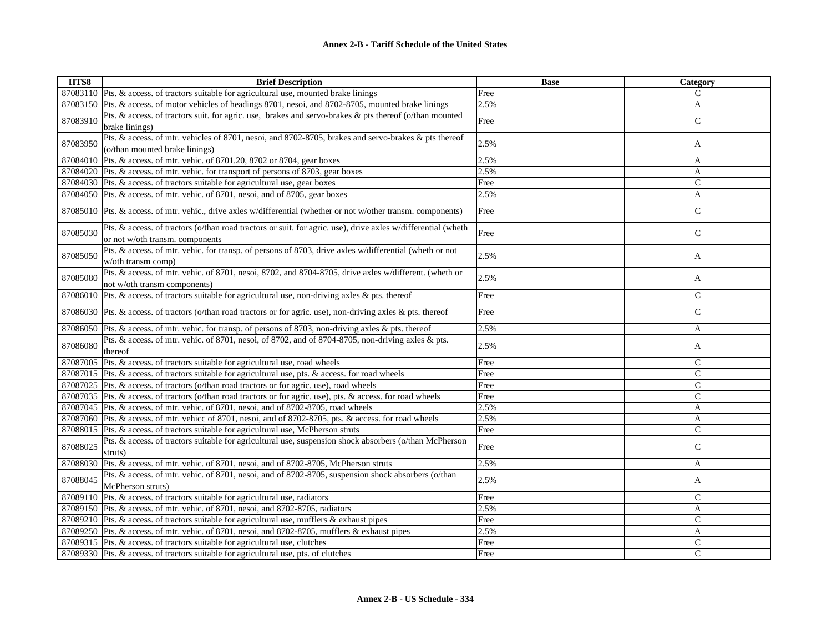| HTS8     | <b>Brief Description</b>                                                                                                                        | <b>Base</b> | Category       |
|----------|-------------------------------------------------------------------------------------------------------------------------------------------------|-------------|----------------|
|          | 87083110 Pts. & access. of tractors suitable for agricultural use, mounted brake linings                                                        | Free        | C              |
|          | 87083150 Pts. & access. of motor vehicles of headings 8701, nesoi, and 8702-8705, mounted brake linings                                         | 2.5%        | A              |
| 87083910 | Pts. & access. of tractors suit. for agric. use, brakes and servo-brakes & pts thereof (o/than mounted<br>brake linings)                        | Free        | $\mathsf{C}$   |
| 87083950 | Pts. & access. of mtr. vehicles of 8701, nesoi, and 8702-8705, brakes and servo-brakes & pts thereof<br>(o/than mounted brake linings)          | 2.5%        | A              |
|          | 87084010 Pts. & access. of mtr. vehic. of 8701.20, 8702 or 8704, gear boxes                                                                     | 2.5%        | A              |
|          | 87084020 Pts. & access. of mtr. vehic. for transport of persons of 8703, gear boxes                                                             | 2.5%        | $\mathbf{A}$   |
|          | 87084030 Pts. & access. of tractors suitable for agricultural use, gear boxes                                                                   | Free        | $\mathcal{C}$  |
|          | 87084050 Pts. & access. of mtr. vehic. of 8701, nesoi, and of 8705, gear boxes                                                                  | 2.5%        | A              |
|          | 87085010 Pts. & access. of mtr. vehic., drive axles w/differential (whether or not w/other transm. components)                                  | Free        | $\mathsf{C}$   |
| 87085030 | Pts. & access. of tractors (o/than road tractors or suit. for agric. use), drive axles w/differential (wheth<br>or not w/oth transm. components | Free        | $\mathsf{C}$   |
| 87085050 | Pts. & access. of mtr. vehic. for transp. of persons of 8703, drive axles w/differential (wheth or not<br>w/oth transm comp)                    | 2.5%        | A              |
| 87085080 | Pts. & access. of mtr. vehic. of 8701, nesoi, 8702, and 8704-8705, drive axles w/different. (wheth or<br>not w/oth transm components)           | 2.5%        | A              |
|          | 87086010 Pts. & access. of tractors suitable for agricultural use, non-driving axles & pts. thereof                                             | Free        | $\mathcal{C}$  |
|          | 87086030 Pts. & access, of tractors (o/than road tractors or for agric, use), non-driving axles & pts. thereof                                  | Free        | $\mathsf{C}$   |
|          | 87086050 Pts. & access. of mtr. vehic. for transp. of persons of 8703, non-driving axles & pts. thereof                                         | 2.5%        | A              |
| 87086080 | Pts. & access. of mtr. vehic. of 8701, nesoi, of 8702, and of 8704-8705, non-driving axles & pts.<br>thereof                                    | 2.5%        | A              |
|          | 87087005 Pts. & access. of tractors suitable for agricultural use, road wheels                                                                  | Free        | $\mathsf{C}$   |
|          | 87087015 Pts. & access. of tractors suitable for agricultural use, pts. & access. for road wheels                                               | Free        | $\mathcal{C}$  |
|          | 87087025 Pts. & access. of tractors (o/than road tractors or for agric. use), road wheels                                                       | Free        | $\mathcal{C}$  |
|          | 87087035 Pts. & access. of tractors (o/than road tractors or for agric. use), pts. & access. for road wheels                                    | Free        | $\mathcal{C}$  |
|          | 87087045 Pts. & access. of mtr. vehic. of 8701, nesoi, and of 8702-8705, road wheels                                                            | 2.5%        | A              |
|          | 87087060 Pts. & access. of mtr. vehicc of 8701, nesoi, and of 8702-8705, pts. & access. for road wheels                                         | 2.5%        | A              |
|          | 87088015 Pts. & access. of tractors suitable for agricultural use, McPherson struts                                                             | Free        | $\mathcal{C}$  |
| 87088025 | Pts. & access. of tractors suitable for agricultural use, suspension shock absorbers (o/than McPherson<br>struts)                               | Free        | $\mathsf{C}$   |
|          | 87088030 Pts. & access. of mtr. vehic. of 8701, nesoi, and of 8702-8705, McPherson struts                                                       | 2.5%        | A              |
| 87088045 | Pts. & access. of mtr. vehic. of 8701, nesoi, and of 8702-8705, suspension shock absorbers (o/than<br>McPherson struts)                         | 2.5%        | A              |
|          | 87089110 Pts. & access. of tractors suitable for agricultural use, radiators                                                                    | Free        | $\mathsf{C}$   |
|          | 87089150 Pts. & access. of mtr. vehic. of 8701, nesoi, and 8702-8705, radiators                                                                 | 2.5%        | $\overline{A}$ |
|          | 87089210 Pts. & access. of tractors suitable for agricultural use, mufflers & exhaust pipes                                                     | Free        | $\mathcal{C}$  |
|          | 87089250 Pts. & access. of mtr. vehic. of 8701, nesoi, and 8702-8705, mufflers & exhaust pipes                                                  | 2.5%        | A              |
|          | 87089315  Pts. & access. of tractors suitable for agricultural use, clutches                                                                    | Free        | $\mathsf{C}$   |
|          | 87089330 Pts. & access. of tractors suitable for agricultural use, pts. of clutches                                                             | Free        | $\mathcal{C}$  |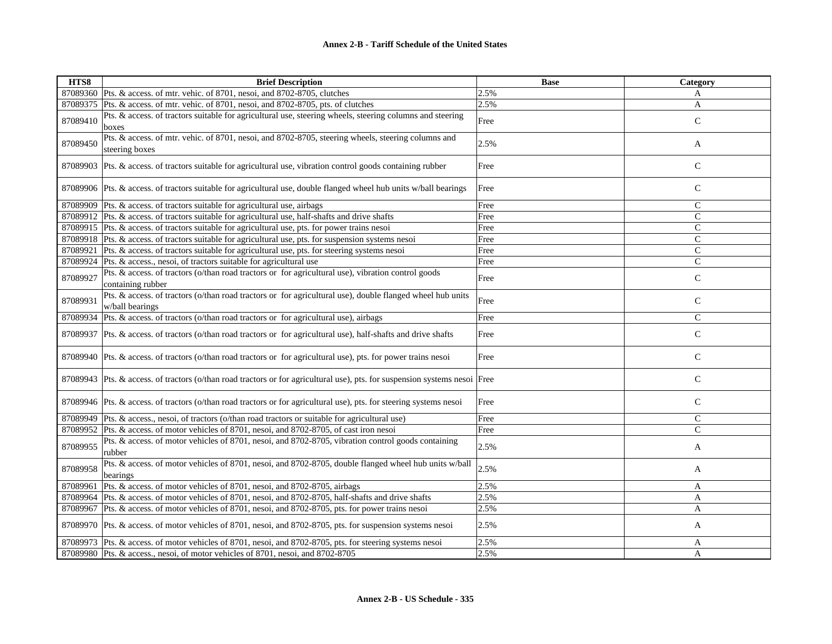| HTS8     | <b>Brief Description</b>                                                                                                     | <b>Base</b> | Category      |
|----------|------------------------------------------------------------------------------------------------------------------------------|-------------|---------------|
|          | 87089360 Pts. & access. of mtr. vehic. of 8701, nesoi, and 8702-8705, clutches                                               | 2.5%        | A             |
| 87089375 | Pts. & access. of mtr. vehic. of 8701, nesoi, and 8702-8705, pts. of clutches                                                | 2.5%        | A             |
| 87089410 | Pts. & access. of tractors suitable for agricultural use, steering wheels, steering columns and steering<br>boxes            | Free        | $\mathsf{C}$  |
| 87089450 | Pts. & access. of mtr. vehic. of 8701, nesoi, and 8702-8705, steering wheels, steering columns and<br>steering boxes         | 2.5%        | A             |
|          | 87089903 Pts. & access. of tractors suitable for agricultural use, vibration control goods containing rubber                 | Free        | ${\bf C}$     |
|          | 87089906 Pts. & access. of tractors suitable for agricultural use, double flanged wheel hub units w/ball bearings            | Free        | $\mathcal{C}$ |
|          | 87089909 Pts. & access. of tractors suitable for agricultural use, airbags                                                   | Free        | $\mathcal{C}$ |
|          | 87089912 Pts. & access. of tractors suitable for agricultural use, half-shafts and drive shafts                              | Free        | $\mathsf{C}$  |
|          | 87089915 Pts. & access. of tractors suitable for agricultural use, pts. for power trains nesoi                               | Free        | $\mathsf{C}$  |
|          | 87089918 Pts. & access. of tractors suitable for agricultural use, pts. for suspension systems nesoi                         | Free        | $\mathsf{C}$  |
|          | 87089921 Pts. & access. of tractors suitable for agricultural use, pts. for steering systems nesoi                           | Free        | $\mathcal{C}$ |
|          | 87089924 Pts. & access., nesoi, of tractors suitable for agricultural use                                                    | Free        | $\mathcal{C}$ |
| 87089927 | Pts. & access. of tractors (o/than road tractors or for agricultural use), vibration control goods<br>containing rubber      | Free        | $\mathcal{C}$ |
| 87089931 | Pts. & access. of tractors (o/than road tractors or for agricultural use), double flanged wheel hub units<br>w/ball bearings | Free        | $\mathbf C$   |
| 87089934 | Pts. & access. of tractors (o/than road tractors or for agricultural use), airbags                                           | Free        | $\mathsf{C}$  |
|          | 87089937 Pts. & access. of tractors (o/than road tractors or for agricultural use), half-shafts and drive shafts             | Free        | ${\bf C}$     |
|          | 87089940 Pts. & access. of tractors (o/than road tractors or for agricultural use), pts. for power trains nesoi              | Free        | $\mathcal{C}$ |
|          | 87089943 Pts. & access. of tractors (o/than road tractors or for agricultural use), pts. for suspension systems nesoi Free   |             | ${\bf C}$     |
|          | 87089946 Pts. & access. of tractors (o/than road tractors or for agricultural use), pts. for steering systems nesoi          | Free        | $\mathcal{C}$ |
|          | 87089949 Pts. & access., nesoi, of tractors (o/than road tractors or suitable for agricultural use)                          | Free        | $\mathsf{C}$  |
|          | 87089952 Pts. & access. of motor vehicles of 8701, nesoi, and 8702-8705, of cast iron nesoi                                  | Free        | $\mathsf{C}$  |
| 87089955 | Pts. & access. of motor vehicles of 8701, nesoi, and 8702-8705, vibration control goods containing<br>rubber                 | 2.5%        | A             |
| 87089958 | Pts. & access. of motor vehicles of 8701, nesoi, and 8702-8705, double flanged wheel hub units w/ball<br>bearings            | 2.5%        | A             |
| 87089961 | Pts. & access. of motor vehicles of 8701, nesoi, and 8702-8705, airbags                                                      | 2.5%        | A             |
|          | 87089964 Pts. & access. of motor vehicles of 8701, nesoi, and 8702-8705, half-shafts and drive shafts                        | 2.5%        | A             |
|          | 87089967 Pts. & access. of motor vehicles of 8701, nesoi, and 8702-8705, pts. for power trains nesoi                         | 2.5%        | $\mathbf{A}$  |
|          | 87089970 Pts. & access. of motor vehicles of 8701, nesoi, and 8702-8705, pts. for suspension systems nesoi                   | 2.5%        | A             |
|          | 87089973 Pts. & access. of motor vehicles of 8701, nesoi, and 8702-8705, pts. for steering systems nesoi                     | 2.5%        | A             |
|          | 87089980 Pts. & access., nesoi, of motor vehicles of 8701, nesoi, and 8702-8705                                              | 2.5%        | A             |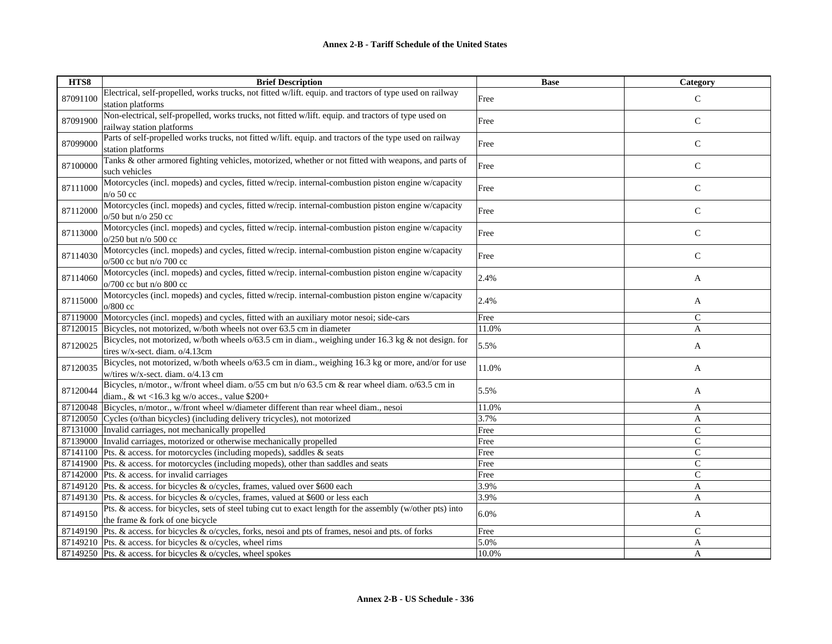| HTS8     | <b>Brief Description</b>                                                                                                          | <b>Base</b> | Category      |
|----------|-----------------------------------------------------------------------------------------------------------------------------------|-------------|---------------|
| 87091100 | Electrical, self-propelled, works trucks, not fitted w/lift. equip. and tractors of type used on railway                          | Free        | $\mathcal{C}$ |
|          | station platforms                                                                                                                 |             |               |
| 87091900 | Non-electrical, self-propelled, works trucks, not fitted w/lift. equip. and tractors of type used on<br>railway station platforms | Free        | $\mathbf C$   |
|          | Parts of self-propelled works trucks, not fitted w/lift. equip. and tractors of the type used on railway                          |             |               |
| 87099000 | station platforms                                                                                                                 | Free        | $\mathsf{C}$  |
| 87100000 | Tanks & other armored fighting vehicles, motorized, whether or not fitted with weapons, and parts of                              | Free        | $\mathbf C$   |
|          | such vehicles                                                                                                                     |             |               |
| 87111000 | Motorcycles (incl. mopeds) and cycles, fitted w/recip. internal-combustion piston engine w/capacity<br>n/o 50 cc                  | Free        | $\mathsf{C}$  |
|          | Motorcycles (incl. mopeds) and cycles, fitted w/recip. internal-combustion piston engine w/capacity                               |             |               |
| 87112000 | $o/50$ but n/o 250 cc                                                                                                             | Free        | $\mathbf C$   |
| 87113000 | Motorcycles (incl. mopeds) and cycles, fitted w/recip. internal-combustion piston engine w/capacity                               | Free        | $\mathsf{C}$  |
|          | o/250 but n/o 500 cc                                                                                                              |             |               |
| 87114030 | Motorcycles (incl. mopeds) and cycles, fitted w/recip. internal-combustion piston engine w/capacity<br>$o/500$ cc but n/o 700 cc  | Free        | ${\bf C}$     |
|          | Motorcycles (incl. mopeds) and cycles, fitted w/recip. internal-combustion piston engine w/capacity                               |             |               |
| 87114060 | o/700 cc but n/o 800 cc                                                                                                           | 2.4%        | A             |
|          | Motorcycles (incl. mopeds) and cycles, fitted w/recip. internal-combustion piston engine w/capacity                               |             |               |
| 87115000 | o/800 cc                                                                                                                          | 2.4%        | A             |
| 87119000 | Motorcycles (incl. mopeds) and cycles, fitted with an auxiliary motor nesoi; side-cars                                            | Free        | $\mathsf{C}$  |
| 87120015 | Bicycles, not motorized, w/both wheels not over 63.5 cm in diameter                                                               | 11.0%       | A             |
| 87120025 | Bicycles, not motorized, w/both wheels $o/63.5$ cm in diam., weighing under 16.3 kg $\&$ not design. for                          | 5.5%        | A             |
|          | tires w/x-sect. diam. o/4.13cm                                                                                                    |             |               |
| 87120035 | Bicycles, not motorized, w/both wheels o/63.5 cm in diam., weighing 16.3 kg or more, and/or for use                               | 11.0%       | A             |
|          | w/tires w/x-sect. diam. o/4.13 cm                                                                                                 |             |               |
| 87120044 | Bicycles, n/motor., w/front wheel diam. o/55 cm but n/o 63.5 cm & rear wheel diam. o/63.5 cm in                                   | 5.5%        | A             |
|          | diam., & wt <16.3 kg w/o acces., value $$200+$                                                                                    |             |               |
|          | 87120048 Bicycles, n/motor., w/front wheel w/diameter different than rear wheel diam., nesoi                                      | 11.0%       | A             |
|          | 87120050 Cycles (o/than bicycles) (including delivery tricycles), not motorized                                                   | 3.7%        | A             |
|          | 87131000 Invalid carriages, not mechanically propelled                                                                            | Free        | $\mathsf{C}$  |
| 87139000 | Invalid carriages, motorized or otherwise mechanically propelled                                                                  | Free        | $\mathsf{C}$  |
| 87141100 | Pts. & access. for motorcycles (including mopeds), saddles & seats                                                                | Free        | $\mathsf{C}$  |
|          | 87141900 Pts. & access. for motorcycles (including mopeds), other than saddles and seats                                          | Free        | $\mathcal{C}$ |
|          | 87142000 Pts. & access. for invalid carriages                                                                                     | Free        | $\mathcal{C}$ |
|          | 87149120 Pts. & access. for bicycles & o/cycles, frames, valued over \$600 each                                                   | 3.9%        | A             |
|          | 87149130 Pts. & access. for bicycles & o/cycles, frames, valued at \$600 or less each                                             | 3.9%        | A             |
| 87149150 | Pts. & access. for bicycles, sets of steel tubing cut to exact length for the assembly (w/other pts) into                         | 6.0%        | A             |
|          | the frame & fork of one bicycle                                                                                                   |             |               |
|          | 87149190 Pts. & access. for bicycles & o/cycles, forks, nesoi and pts of frames, nesoi and pts. of forks                          | Free        | $\mathsf{C}$  |
|          | 87149210 Pts. & access. for bicycles & o/cycles, wheel rims                                                                       | 5.0%        | A             |
|          | 87149250 Pts. & access. for bicycles & o/cycles, wheel spokes                                                                     | 10.0%       | A             |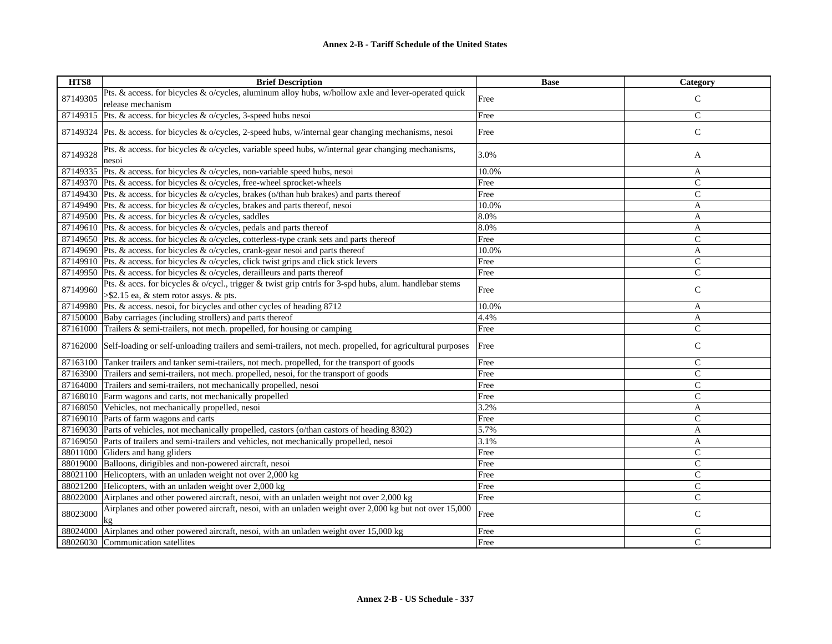| HTS8     | <b>Brief Description</b>                                                                                                                         | <b>Base</b> | Category      |
|----------|--------------------------------------------------------------------------------------------------------------------------------------------------|-------------|---------------|
| 87149305 | Pts. & access. for bicycles & o/cycles, aluminum alloy hubs, w/hollow axle and lever-operated quick                                              | Free        | ${\bf C}$     |
|          | release mechanism                                                                                                                                |             |               |
| 87149315 | Pts. & access. for bicycles & o/cycles, 3-speed hubs nesoi                                                                                       | Free        | $\mathsf{C}$  |
|          | 87149324 Pts. & access. for bicycles & o/cycles, 2-speed hubs, w/internal gear changing mechanisms, nesoi                                        | Free        | ${\bf C}$     |
| 87149328 | Pts. & access. for bicycles & o/cycles, variable speed hubs, w/internal gear changing mechanisms,<br>nesoi                                       | 3.0%        | A             |
| 87149335 | Pts. & access. for bicycles & o/cycles, non-variable speed hubs, nesoi                                                                           | 10.0%       | A             |
|          | 87149370 Pts. & access. for bicycles & o/cycles, free-wheel sprocket-wheels                                                                      | Free        | $\mathsf{C}$  |
|          | 87149430 Pts. & access. for bicycles & o/cycles, brakes (o/than hub brakes) and parts thereof                                                    | Free        | $\mathbf C$   |
|          | 87149490 Pts. & access. for bicycles & o/cycles, brakes and parts thereof, nesoi                                                                 | 10.0%       | A             |
|          | 87149500 Pts. & access. for bicycles & o/cycles, saddles                                                                                         | 8.0%        | A             |
|          | 87149610 Pts. & access. for bicycles & o/cycles, pedals and parts thereof                                                                        | 8.0%        | A             |
|          | 87149650 Pts. & access. for bicycles & o/cycles, cotterless-type crank sets and parts thereof                                                    | Free        | $\mathcal{C}$ |
|          | 87149690 Pts. & access. for bicycles & o/cycles, crank-gear nesoi and parts thereof                                                              | 10.0%       | $\mathbf{A}$  |
|          | 87149910 Pts. & access. for bicycles & o/cycles, click twist grips and click stick levers                                                        | Free        | ${\bf C}$     |
|          | 87149950 Pts. & access. for bicycles & o/cycles, derailleurs and parts thereof                                                                   | Free        | $\mathsf{C}$  |
| 87149960 | Pts. & accs. for bicycles & o/cycl., trigger & twist grip cntrls for 3-spd hubs, alum. handlebar stems<br>>\$2.15 ea, & stem rotor assys. & pts. | Free        | $\mathsf{C}$  |
| 87149980 | Pts. & access. nesoi, for bicycles and other cycles of heading 8712                                                                              | 10.0%       | A             |
| 87150000 | Baby carriages (including strollers) and parts thereof                                                                                           | 4.4%        | A             |
| 87161000 | Trailers & semi-trailers, not mech. propelled, for housing or camping                                                                            | Free        | $\mathbf C$   |
| 87162000 | Self-loading or self-unloading trailers and semi-trailers, not mech. propelled, for agricultural purposes                                        | Free        | ${\bf C}$     |
| 87163100 | Tanker trailers and tanker semi-trailers, not mech. propelled, for the transport of goods                                                        | Free        | $\mathsf{C}$  |
| 87163900 | Trailers and semi-trailers, not mech. propelled, nesoi, for the transport of goods                                                               | Free        | $\mathbf C$   |
| 87164000 | Trailers and semi-trailers, not mechanically propelled, nesoi                                                                                    | Free        | $\mathcal{C}$ |
|          | 87168010 Farm wagons and carts, not mechanically propelled                                                                                       | Free        | $\mathbf C$   |
| 87168050 | Vehicles, not mechanically propelled, nesoi                                                                                                      | 3.2%        | A             |
| 87169010 | Parts of farm wagons and carts                                                                                                                   | Free        | $\mathsf{C}$  |
|          | 87169030 Parts of vehicles, not mechanically propelled, castors (o/than castors of heading 8302)                                                 | 5.7%        | A             |
|          | 87169050 Parts of trailers and semi-trailers and vehicles, not mechanically propelled, nesoi                                                     | 3.1%        | A             |
| 88011000 | Gliders and hang gliders                                                                                                                         | Free        | $\mathsf{C}$  |
| 88019000 | Balloons, dirigibles and non-powered aircraft, nesoi                                                                                             | Free        | $\mathsf{C}$  |
| 88021100 | Helicopters, with an unladen weight not over 2,000 kg                                                                                            | Free        | $\mathsf{C}$  |
| 88021200 | Helicopters, with an unladen weight over 2,000 kg                                                                                                | Free        | $\mathsf{C}$  |
| 88022000 | Airplanes and other powered aircraft, nesoi, with an unladen weight not over 2,000 kg                                                            | Free        | $\mathcal{C}$ |
| 88023000 | Airplanes and other powered aircraft, nesoi, with an unladen weight over 2,000 kg but not over 15,000<br>kg                                      | Free        | $\mathsf{C}$  |
| 88024000 | Airplanes and other powered aircraft, nesoi, with an unladen weight over 15,000 kg                                                               | Free        | $\mathsf{C}$  |
|          | 88026030 Communication satellites                                                                                                                | Free        | $\mathsf{C}$  |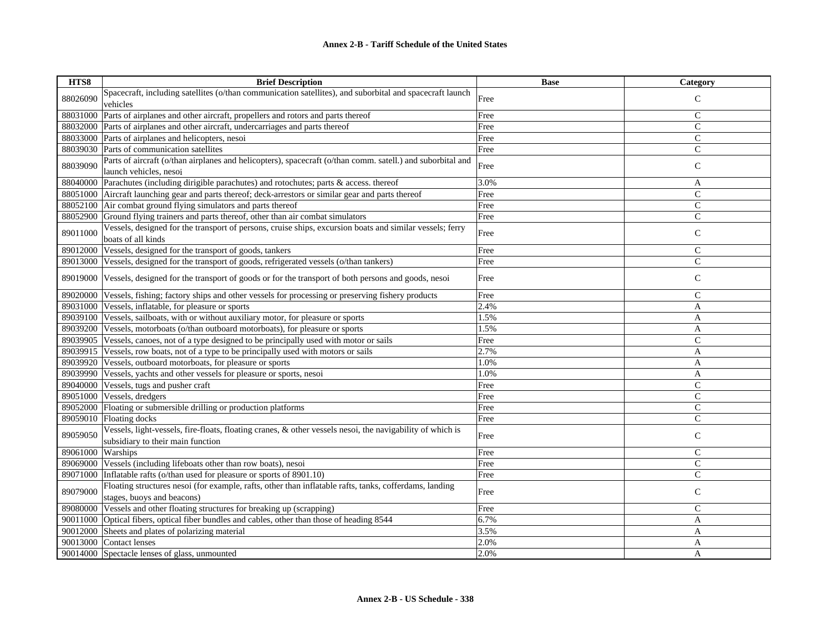| HTS8     | <b>Brief Description</b>                                                                                                                       | <b>Base</b> | <b>Category</b> |
|----------|------------------------------------------------------------------------------------------------------------------------------------------------|-------------|-----------------|
| 88026090 | Spacecraft, including satellites (o/than communication satellites), and suborbital and spacecraft launch<br>vehicles                           | Free        | $\mathcal{C}$   |
| 88031000 | Parts of airplanes and other aircraft, propellers and rotors and parts thereof                                                                 | Free        | $\mathsf{C}$    |
| 88032000 | Parts of airplanes and other aircraft, undercarriages and parts thereof                                                                        | Free        | $\mathsf{C}$    |
| 88033000 | Parts of airplanes and helicopters, nesoi                                                                                                      | Free        | $\mathsf{C}$    |
| 88039030 | Parts of communication satellites                                                                                                              | Free        | $\mathsf{C}$    |
| 88039090 | Parts of aircraft (o/than airplanes and helicopters), spacecraft (o/than comm. satell.) and suborbital and<br>launch vehicles, nesoi           | Free        | $\mathsf C$     |
| 88040000 | Parachutes (including dirigible parachutes) and rotochutes; parts & access. thereof                                                            | 3.0%        | A               |
| 88051000 | Aircraft launching gear and parts thereof; deck-arrestors or similar gear and parts thereof                                                    | Free        | $\mathcal{C}$   |
| 88052100 | Air combat ground flying simulators and parts thereof                                                                                          | Free        | $\mathsf{C}$    |
| 88052900 | Ground flying trainers and parts thereof, other than air combat simulators                                                                     | Free        | $\mathsf{C}$    |
| 89011000 | Vessels, designed for the transport of persons, cruise ships, excursion boats and similar vessels; ferry<br>boats of all kinds                 | Free        | $\mathsf{C}$    |
| 89012000 | Vessels, designed for the transport of goods, tankers                                                                                          | Free        | $\mathsf{C}$    |
| 89013000 | Vessels, designed for the transport of goods, refrigerated vessels (o/than tankers)                                                            | Free        | $\overline{C}$  |
| 89019000 | Vessels, designed for the transport of goods or for the transport of both persons and goods, nesoi                                             | Free        | $\mathsf{C}$    |
| 89020000 | Vessels, fishing; factory ships and other vessels for processing or preserving fishery products                                                | Free        | $\mathsf{C}$    |
| 89031000 | Vessels, inflatable, for pleasure or sports                                                                                                    | 2.4%        | A               |
| 89039100 | Vessels, sailboats, with or without auxiliary motor, for pleasure or sports                                                                    | 1.5%        | A               |
| 89039200 | Vessels, motorboats (o/than outboard motorboats), for pleasure or sports                                                                       | 1.5%        | A               |
| 89039905 | Vessels, canoes, not of a type designed to be principally used with motor or sails                                                             | Free        | $\mathcal{C}$   |
| 89039915 | Vessels, row boats, not of a type to be principally used with motors or sails                                                                  | 2.7%        | A               |
| 89039920 | Vessels, outboard motorboats, for pleasure or sports                                                                                           | 1.0%        | A               |
| 89039990 | Vessels, yachts and other vessels for pleasure or sports, nesoi                                                                                | 1.0%        | A               |
| 89040000 | Vessels, tugs and pusher craft                                                                                                                 | Free        | $\mathsf{C}$    |
| 89051000 | Vessels, dredgers                                                                                                                              | Free        | $\mathsf{C}$    |
| 89052000 | Floating or submersible drilling or production platforms                                                                                       | Free        | $\mathsf{C}$    |
| 89059010 | Floating docks                                                                                                                                 | Free        | $\mathsf{C}$    |
| 89059050 | Vessels, light-vessels, fire-floats, floating cranes, & other vessels nesoi, the navigability of which is<br>subsidiary to their main function | Free        | $\mathbf C$     |
| 89061000 | Warships                                                                                                                                       | Free        | $\mathsf{C}$    |
| 89069000 | Vessels (including lifeboats other than row boats), nesoi                                                                                      | Free        | $\mathsf{C}$    |
| 89071000 | Inflatable rafts (o/than used for pleasure or sports of 8901.10)                                                                               | Free        | $\overline{C}$  |
| 89079000 | Floating structures nesoi (for example, rafts, other than inflatable rafts, tanks, cofferdams, landing<br>stages, buoys and beacons)           | Free        | $\mathcal{C}$   |
| 89080000 | Vessels and other floating structures for breaking up (scrapping)                                                                              | Free        | $\mathsf{C}$    |
| 90011000 | Optical fibers, optical fiber bundles and cables, other than those of heading 8544                                                             | 6.7%        | A               |
| 90012000 | Sheets and plates of polarizing material                                                                                                       | 3.5%        | A               |
| 90013000 | Contact lenses                                                                                                                                 | 2.0%        | A               |
| 90014000 | Spectacle lenses of glass, unmounted                                                                                                           | 2.0%        | A               |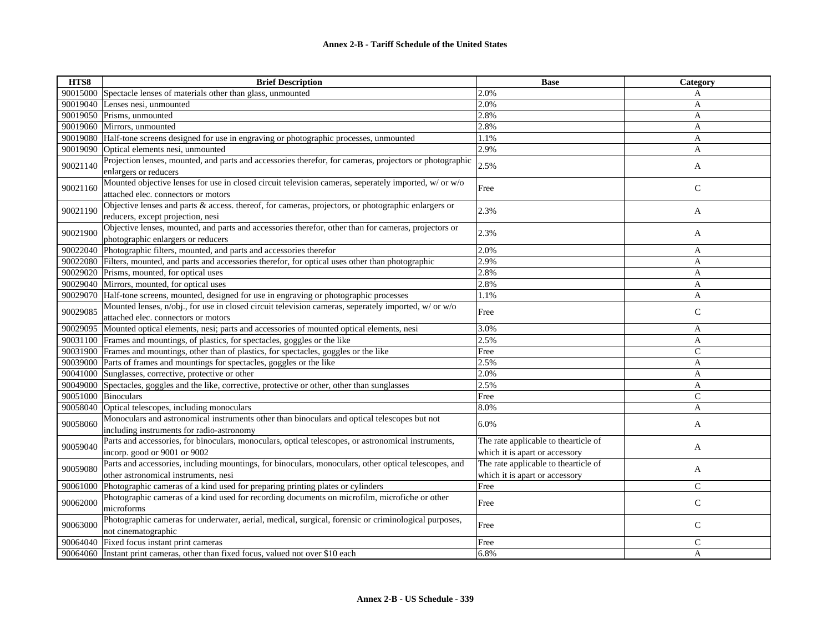| HTS8     | <b>Brief Description</b>                                                                                                                      | <b>Base</b>                                                            | Category      |
|----------|-----------------------------------------------------------------------------------------------------------------------------------------------|------------------------------------------------------------------------|---------------|
|          | 90015000 Spectacle lenses of materials other than glass, unmounted                                                                            | 2.0%                                                                   | A             |
|          | 90019040 Lenses nesi, unmounted                                                                                                               | 2.0%                                                                   | A             |
| 90019050 | Prisms, unmounted                                                                                                                             | 2.8%                                                                   | A             |
| 90019060 | Mirrors, unmounted                                                                                                                            | 2.8%                                                                   | $\mathbf{A}$  |
|          | 90019080 Half-tone screens designed for use in engraving or photographic processes, unmounted                                                 | 1.1%                                                                   | A             |
| 90019090 | Optical elements nesi, unmounted                                                                                                              | 2.9%                                                                   | $\mathbf{A}$  |
| 90021140 | Projection lenses, mounted, and parts and accessories therefor, for cameras, projectors or photographic<br>enlargers or reducers              | 2.5%                                                                   | A             |
| 90021160 | Mounted objective lenses for use in closed circuit television cameras, seperately imported, w/ or w/o<br>attached elec. connectors or motors  | Free                                                                   | $\mathsf{C}$  |
| 90021190 | Objective lenses and parts & access. thereof, for cameras, projectors, or photographic enlargers or<br>reducers, except projection, nesi      | 2.3%                                                                   | A             |
| 90021900 | Objective lenses, mounted, and parts and accessories therefor, other than for cameras, projectors or<br>photographic enlargers or reducers    | 2.3%                                                                   | A             |
| 90022040 | Photographic filters, mounted, and parts and accessories therefor                                                                             | 2.0%                                                                   | A             |
|          | 90022080 Filters, mounted, and parts and accessories therefor, for optical uses other than photographic                                       | 2.9%                                                                   | A             |
| 90029020 | Prisms, mounted, for optical uses                                                                                                             | 2.8%                                                                   | A             |
| 90029040 | Mirrors, mounted, for optical uses                                                                                                            | 2.8%                                                                   | A             |
| 90029070 | Half-tone screens, mounted, designed for use in engraving or photographic processes                                                           | 1.1%                                                                   | A             |
| 90029085 | Mounted lenses, n/obj., for use in closed circuit television cameras, seperately imported, w/ or w/o<br>attached elec. connectors or motors   | Free                                                                   | $\mathsf{C}$  |
| 90029095 | Mounted optical elements, nesi; parts and accessories of mounted optical elements, nesi                                                       | 3.0%                                                                   | A             |
|          | 90031100 Frames and mountings, of plastics, for spectacles, goggles or the like                                                               | 2.5%                                                                   | A             |
|          | 90031900 Frames and mountings, other than of plastics, for spectacles, goggles or the like                                                    | Free                                                                   | $\mathsf{C}$  |
| 90039000 | Parts of frames and mountings for spectacles, goggles or the like                                                                             | 2.5%                                                                   | A             |
| 90041000 | Sunglasses, corrective, protective or other                                                                                                   | 2.0%                                                                   | A             |
| 90049000 | Spectacles, goggles and the like, corrective, protective or other, other than sunglasses                                                      | 2.5%                                                                   | A             |
| 90051000 | <b>Binoculars</b>                                                                                                                             | Free                                                                   | $\mathsf{C}$  |
| 90058040 | Optical telescopes, including monoculars                                                                                                      | 8.0%                                                                   | A             |
| 90058060 | Monoculars and astronomical instruments other than binoculars and optical telescopes but not<br>including instruments for radio-astronomy     | 6.0%                                                                   | A             |
| 90059040 | Parts and accessories, for binoculars, monoculars, optical telescopes, or astronomical instruments,<br>incorp. good or 9001 or 9002           | The rate applicable to thearticle of<br>which it is apart or accessory | A             |
| 90059080 | Parts and accessories, including mountings, for binoculars, monoculars, other optical telescopes, and<br>other astronomical instruments, nesi | The rate applicable to thearticle of<br>which it is apart or accessory | A             |
| 90061000 | Photographic cameras of a kind used for preparing printing plates or cylinders                                                                | Free                                                                   | $\mathcal{C}$ |
| 90062000 | Photographic cameras of a kind used for recording documents on microfilm, microfiche or other<br>microforms                                   | Free                                                                   | $\mathcal{C}$ |
| 90063000 | Photographic cameras for underwater, aerial, medical, surgical, forensic or criminological purposes,<br>not cinematographic                   | Free                                                                   | $\mathsf{C}$  |
| 90064040 | Fixed focus instant print cameras                                                                                                             | Free                                                                   | $\mathsf C$   |
| 90064060 | Instant print cameras, other than fixed focus, valued not over \$10 each                                                                      | 6.8%                                                                   | A             |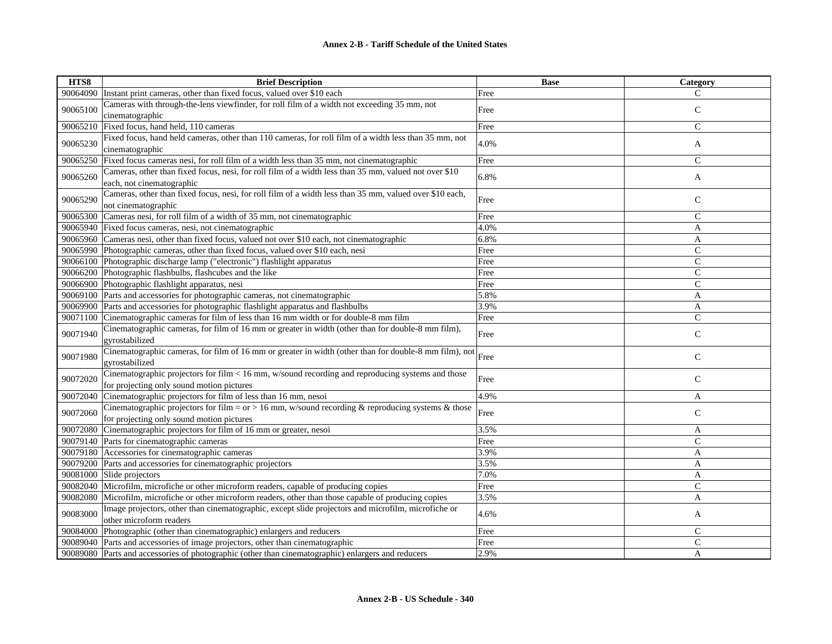| Instant print cameras, other than fixed focus, valued over \$10 each<br>90064090<br>Free<br>C<br>Cameras with through-the-lens viewfinder, for roll film of a width not exceeding 35 mm, not<br>90065100<br>$\mathsf{C}$<br>Free<br>cinematographic<br>Fixed focus, hand held, 110 cameras<br>$\mathsf{C}$<br>90065210<br>Free<br>Fixed focus, hand held cameras, other than 110 cameras, for roll film of a width less than 35 mm, not<br>90065230<br>4.0%<br>A<br>cinematographic<br>Fixed focus cameras nesi, for roll film of a width less than 35 mm, not cinematographic<br>Free<br>$\mathsf{C}$<br>90065250<br>Cameras, other than fixed focus, nesi, for roll film of a width less than 35 mm, valued not over \$10<br>90065260<br>6.8%<br>$\mathbf{A}$<br>each, not cinematographic<br>Cameras, other than fixed focus, nesi, for roll film of a width less than 35 mm, valued over \$10 each,<br>Free<br>$\mathsf{C}$<br>90065290<br>not cinematographic<br>90065300 Cameras nesi, for roll film of a width of 35 mm, not cinematographic<br>$\mathcal{C}$<br>Free<br>90065940 Fixed focus cameras, nesi, not cinematographic<br>4.0%<br>A<br>90065960 Cameras nesi, other than fixed focus, valued not over \$10 each, not cinematographic<br>6.8%<br>A<br>90065990 Photographic cameras, other than fixed focus, valued over \$10 each, nesi<br>$\mathsf{C}$<br>Free<br>$\mathsf{C}$<br>90066100 Photographic discharge lamp ("electronic") flashlight apparatus<br>Free | HTS8 | <b>Brief Description</b> | <b>Base</b> | Category |
|--------------------------------------------------------------------------------------------------------------------------------------------------------------------------------------------------------------------------------------------------------------------------------------------------------------------------------------------------------------------------------------------------------------------------------------------------------------------------------------------------------------------------------------------------------------------------------------------------------------------------------------------------------------------------------------------------------------------------------------------------------------------------------------------------------------------------------------------------------------------------------------------------------------------------------------------------------------------------------------------------------------------------------------------------------------------------------------------------------------------------------------------------------------------------------------------------------------------------------------------------------------------------------------------------------------------------------------------------------------------------------------------------------------------------------------------------------------------------------------|------|--------------------------|-------------|----------|
|                                                                                                                                                                                                                                                                                                                                                                                                                                                                                                                                                                                                                                                                                                                                                                                                                                                                                                                                                                                                                                                                                                                                                                                                                                                                                                                                                                                                                                                                                      |      |                          |             |          |
|                                                                                                                                                                                                                                                                                                                                                                                                                                                                                                                                                                                                                                                                                                                                                                                                                                                                                                                                                                                                                                                                                                                                                                                                                                                                                                                                                                                                                                                                                      |      |                          |             |          |
|                                                                                                                                                                                                                                                                                                                                                                                                                                                                                                                                                                                                                                                                                                                                                                                                                                                                                                                                                                                                                                                                                                                                                                                                                                                                                                                                                                                                                                                                                      |      |                          |             |          |
|                                                                                                                                                                                                                                                                                                                                                                                                                                                                                                                                                                                                                                                                                                                                                                                                                                                                                                                                                                                                                                                                                                                                                                                                                                                                                                                                                                                                                                                                                      |      |                          |             |          |
|                                                                                                                                                                                                                                                                                                                                                                                                                                                                                                                                                                                                                                                                                                                                                                                                                                                                                                                                                                                                                                                                                                                                                                                                                                                                                                                                                                                                                                                                                      |      |                          |             |          |
|                                                                                                                                                                                                                                                                                                                                                                                                                                                                                                                                                                                                                                                                                                                                                                                                                                                                                                                                                                                                                                                                                                                                                                                                                                                                                                                                                                                                                                                                                      |      |                          |             |          |
|                                                                                                                                                                                                                                                                                                                                                                                                                                                                                                                                                                                                                                                                                                                                                                                                                                                                                                                                                                                                                                                                                                                                                                                                                                                                                                                                                                                                                                                                                      |      |                          |             |          |
|                                                                                                                                                                                                                                                                                                                                                                                                                                                                                                                                                                                                                                                                                                                                                                                                                                                                                                                                                                                                                                                                                                                                                                                                                                                                                                                                                                                                                                                                                      |      |                          |             |          |
|                                                                                                                                                                                                                                                                                                                                                                                                                                                                                                                                                                                                                                                                                                                                                                                                                                                                                                                                                                                                                                                                                                                                                                                                                                                                                                                                                                                                                                                                                      |      |                          |             |          |
|                                                                                                                                                                                                                                                                                                                                                                                                                                                                                                                                                                                                                                                                                                                                                                                                                                                                                                                                                                                                                                                                                                                                                                                                                                                                                                                                                                                                                                                                                      |      |                          |             |          |
|                                                                                                                                                                                                                                                                                                                                                                                                                                                                                                                                                                                                                                                                                                                                                                                                                                                                                                                                                                                                                                                                                                                                                                                                                                                                                                                                                                                                                                                                                      |      |                          |             |          |
|                                                                                                                                                                                                                                                                                                                                                                                                                                                                                                                                                                                                                                                                                                                                                                                                                                                                                                                                                                                                                                                                                                                                                                                                                                                                                                                                                                                                                                                                                      |      |                          |             |          |
|                                                                                                                                                                                                                                                                                                                                                                                                                                                                                                                                                                                                                                                                                                                                                                                                                                                                                                                                                                                                                                                                                                                                                                                                                                                                                                                                                                                                                                                                                      |      |                          |             |          |
|                                                                                                                                                                                                                                                                                                                                                                                                                                                                                                                                                                                                                                                                                                                                                                                                                                                                                                                                                                                                                                                                                                                                                                                                                                                                                                                                                                                                                                                                                      |      |                          |             |          |
| 90066200 Photographic flashbulbs, flashcubes and the like<br>$\mathcal{C}$<br>Free                                                                                                                                                                                                                                                                                                                                                                                                                                                                                                                                                                                                                                                                                                                                                                                                                                                                                                                                                                                                                                                                                                                                                                                                                                                                                                                                                                                                   |      |                          |             |          |
| $\mathsf{C}$<br>90066900 Photographic flashlight apparatus, nesi<br>Free                                                                                                                                                                                                                                                                                                                                                                                                                                                                                                                                                                                                                                                                                                                                                                                                                                                                                                                                                                                                                                                                                                                                                                                                                                                                                                                                                                                                             |      |                          |             |          |
| 90069100 Parts and accessories for photographic cameras, not cinematographic<br>5.8%<br>A                                                                                                                                                                                                                                                                                                                                                                                                                                                                                                                                                                                                                                                                                                                                                                                                                                                                                                                                                                                                                                                                                                                                                                                                                                                                                                                                                                                            |      |                          |             |          |
| 3.9%<br>90069900 Parts and accessories for photographic flashlight apparatus and flashbulbs<br>A                                                                                                                                                                                                                                                                                                                                                                                                                                                                                                                                                                                                                                                                                                                                                                                                                                                                                                                                                                                                                                                                                                                                                                                                                                                                                                                                                                                     |      |                          |             |          |
| Cinematographic cameras for film of less than 16 mm width or for double-8 mm film<br>$\mathsf{C}$<br>90071100<br>Free                                                                                                                                                                                                                                                                                                                                                                                                                                                                                                                                                                                                                                                                                                                                                                                                                                                                                                                                                                                                                                                                                                                                                                                                                                                                                                                                                                |      |                          |             |          |
| Cinematographic cameras, for film of 16 mm or greater in width (other than for double-8 mm film),<br>90071940<br>$\mathsf{C}$<br>Free<br>gyrostabilized                                                                                                                                                                                                                                                                                                                                                                                                                                                                                                                                                                                                                                                                                                                                                                                                                                                                                                                                                                                                                                                                                                                                                                                                                                                                                                                              |      |                          |             |          |
| Cinematographic cameras, for film of 16 mm or greater in width (other than for double-8 mm film), not<br>90071980<br>Free<br>$\mathsf{C}$<br>gyrostabilized                                                                                                                                                                                                                                                                                                                                                                                                                                                                                                                                                                                                                                                                                                                                                                                                                                                                                                                                                                                                                                                                                                                                                                                                                                                                                                                          |      |                          |             |          |
| Cinematographic projectors for film $< 16$ mm, w/sound recording and reproducing systems and those<br>$\mathcal{C}$<br>90072020<br>Free<br>for projecting only sound motion pictures                                                                                                                                                                                                                                                                                                                                                                                                                                                                                                                                                                                                                                                                                                                                                                                                                                                                                                                                                                                                                                                                                                                                                                                                                                                                                                 |      |                          |             |          |
| Cinematographic projectors for film of less than 16 mm, nesoi<br>4.9%<br>90072040<br>A                                                                                                                                                                                                                                                                                                                                                                                                                                                                                                                                                                                                                                                                                                                                                                                                                                                                                                                                                                                                                                                                                                                                                                                                                                                                                                                                                                                               |      |                          |             |          |
| Cinematographic projectors for film = $or > 16$ mm, w/sound recording & reproducing systems & those<br>90072060<br>$\mathsf{C}$<br>Free<br>for projecting only sound motion pictures                                                                                                                                                                                                                                                                                                                                                                                                                                                                                                                                                                                                                                                                                                                                                                                                                                                                                                                                                                                                                                                                                                                                                                                                                                                                                                 |      |                          |             |          |
| 90072080 Cinematographic projectors for film of 16 mm or greater, nesoi<br>3.5%<br>A                                                                                                                                                                                                                                                                                                                                                                                                                                                                                                                                                                                                                                                                                                                                                                                                                                                                                                                                                                                                                                                                                                                                                                                                                                                                                                                                                                                                 |      |                          |             |          |
| 90079140 Parts for cinematographic cameras<br>Free<br>$\mathcal{C}$                                                                                                                                                                                                                                                                                                                                                                                                                                                                                                                                                                                                                                                                                                                                                                                                                                                                                                                                                                                                                                                                                                                                                                                                                                                                                                                                                                                                                  |      |                          |             |          |
| 90079180 Accessories for cinematographic cameras<br>3.9%<br>$\mathbf{A}$                                                                                                                                                                                                                                                                                                                                                                                                                                                                                                                                                                                                                                                                                                                                                                                                                                                                                                                                                                                                                                                                                                                                                                                                                                                                                                                                                                                                             |      |                          |             |          |
| 90079200 Parts and accessories for cinematographic projectors<br>3.5%<br>A                                                                                                                                                                                                                                                                                                                                                                                                                                                                                                                                                                                                                                                                                                                                                                                                                                                                                                                                                                                                                                                                                                                                                                                                                                                                                                                                                                                                           |      |                          |             |          |
| 90081000 Slide projectors<br>7.0%<br>$\mathbf{A}$                                                                                                                                                                                                                                                                                                                                                                                                                                                                                                                                                                                                                                                                                                                                                                                                                                                                                                                                                                                                                                                                                                                                                                                                                                                                                                                                                                                                                                    |      |                          |             |          |
| $\mathsf{C}$<br>90082040 Microfilm, microfiche or other microform readers, capable of producing copies<br>Free                                                                                                                                                                                                                                                                                                                                                                                                                                                                                                                                                                                                                                                                                                                                                                                                                                                                                                                                                                                                                                                                                                                                                                                                                                                                                                                                                                       |      |                          |             |          |
| 3.5%<br>90082080 Microfilm, microfiche or other microform readers, other than those capable of producing copies<br>A                                                                                                                                                                                                                                                                                                                                                                                                                                                                                                                                                                                                                                                                                                                                                                                                                                                                                                                                                                                                                                                                                                                                                                                                                                                                                                                                                                 |      |                          |             |          |
| Image projectors, other than cinematographic, except slide projectors and microfilm, microfiche or<br>90083000<br>4.6%<br>A<br>other microform readers                                                                                                                                                                                                                                                                                                                                                                                                                                                                                                                                                                                                                                                                                                                                                                                                                                                                                                                                                                                                                                                                                                                                                                                                                                                                                                                               |      |                          |             |          |
| 90084000 Photographic (other than cinematographic) enlargers and reducers<br>Free<br>$\mathsf{C}$                                                                                                                                                                                                                                                                                                                                                                                                                                                                                                                                                                                                                                                                                                                                                                                                                                                                                                                                                                                                                                                                                                                                                                                                                                                                                                                                                                                    |      |                          |             |          |
| 90089040 Parts and accessories of image projectors, other than cinematographic<br>$\mathsf C$<br>Free                                                                                                                                                                                                                                                                                                                                                                                                                                                                                                                                                                                                                                                                                                                                                                                                                                                                                                                                                                                                                                                                                                                                                                                                                                                                                                                                                                                |      |                          |             |          |
| 2.9%<br>90089080 Parts and accessories of photographic (other than cinematographic) enlargers and reducers<br>A                                                                                                                                                                                                                                                                                                                                                                                                                                                                                                                                                                                                                                                                                                                                                                                                                                                                                                                                                                                                                                                                                                                                                                                                                                                                                                                                                                      |      |                          |             |          |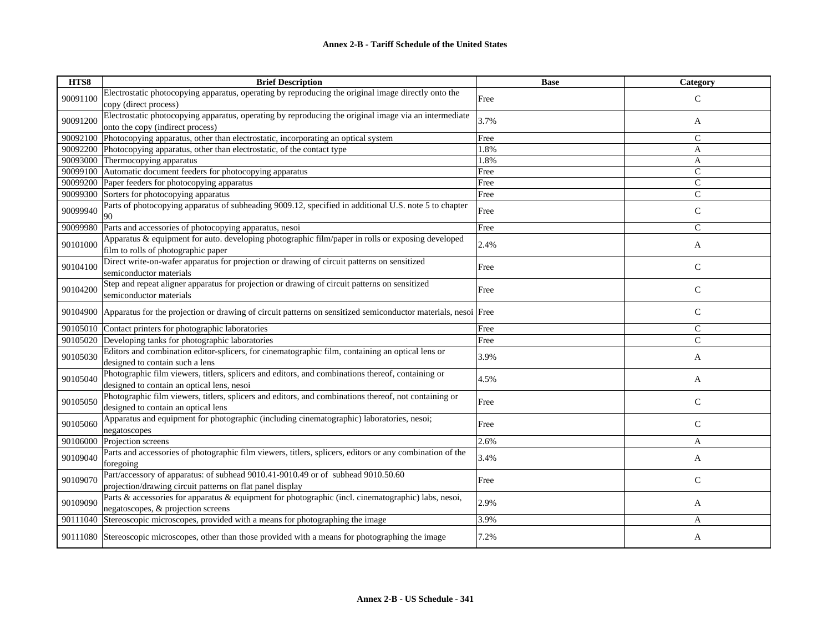| HTS8     | <b>Brief Description</b>                                                                                                                        | <b>Base</b> | Category      |
|----------|-------------------------------------------------------------------------------------------------------------------------------------------------|-------------|---------------|
| 90091100 | Electrostatic photocopying apparatus, operating by reproducing the original image directly onto the<br>copy (direct process)                    | Free        | $\mathsf{C}$  |
| 90091200 | Electrostatic photocopying apparatus, operating by reproducing the original image via an intermediate<br>onto the copy (indirect process)       | 3.7%        | A             |
| 90092100 | Photocopying apparatus, other than electrostatic, incorporating an optical system                                                               | Free        | $\mathcal{C}$ |
| 90092200 | Photocopying apparatus, other than electrostatic, of the contact type                                                                           | 1.8%        | A             |
| 90093000 | Thermocopying apparatus                                                                                                                         | 1.8%        | A             |
| 90099100 | Automatic document feeders for photocopying apparatus                                                                                           | Free        | $\mathcal{C}$ |
| 90099200 | Paper feeders for photocopying apparatus                                                                                                        | Free        | ${\bf C}$     |
|          | 90099300 Sorters for photocopying apparatus                                                                                                     | Free        | $\mathcal{C}$ |
| 90099940 | Parts of photocopying apparatus of subheading 9009.12, specified in additional U.S. note 5 to chapter<br>90                                     | Free        | $\mathsf{C}$  |
| 90099980 | Parts and accessories of photocopying apparatus, nesoi                                                                                          | Free        | $\mathsf{C}$  |
| 90101000 | Apparatus & equipment for auto. developing photographic film/paper in rolls or exposing developed<br>film to rolls of photographic paper        | 2.4%        | A             |
| 90104100 | Direct write-on-wafer apparatus for projection or drawing of circuit patterns on sensitized<br>semiconductor materials                          | Free        | $\mathcal{C}$ |
| 90104200 | Step and repeat aligner apparatus for projection or drawing of circuit patterns on sensitized<br>semiconductor materials                        | Free        | ${\bf C}$     |
| 90104900 | Apparatus for the projection or drawing of circuit patterns on sensitized semiconductor materials, nesoi Free                                   |             | $\mathsf{C}$  |
| 90105010 | Contact printers for photographic laboratories                                                                                                  | Free        | $\mathsf{C}$  |
| 90105020 | Developing tanks for photographic laboratories                                                                                                  | Free        | $\mathsf{C}$  |
| 90105030 | Editors and combination editor-splicers, for cinematographic film, containing an optical lens or<br>designed to contain such a lens             | 3.9%        | A             |
| 90105040 | Photographic film viewers, titlers, splicers and editors, and combinations thereof, containing or<br>designed to contain an optical lens, nesoi | 4.5%        | A             |
| 90105050 | Photographic film viewers, titlers, splicers and editors, and combinations thereof, not containing or<br>designed to contain an optical lens    | Free        | ${\bf C}$     |
| 90105060 | Apparatus and equipment for photographic (including cinematographic) laboratories, nesoi;<br>negatoscopes                                       | Free        | $\mathsf{C}$  |
| 90106000 | Projection screens                                                                                                                              | 2.6%        | A             |
| 90109040 | Parts and accessories of photographic film viewers, titlers, splicers, editors or any combination of the<br>foregoing                           | 3.4%        | A             |
| 90109070 | Part/accessory of apparatus: of subhead 9010.41-9010.49 or of subhead 9010.50.60<br>projection/drawing circuit patterns on flat panel display   | Free        | $\mathsf{C}$  |
| 90109090 | Parts & accessories for apparatus & equipment for photographic (incl. cinematographic) labs, nesoi,<br>negatoscopes, & projection screens       | 2.9%        | A             |
| 90111040 | Stereoscopic microscopes, provided with a means for photographing the image                                                                     | 3.9%        | A             |
|          | 90111080 Stereoscopic microscopes, other than those provided with a means for photographing the image                                           | 7.2%        | A             |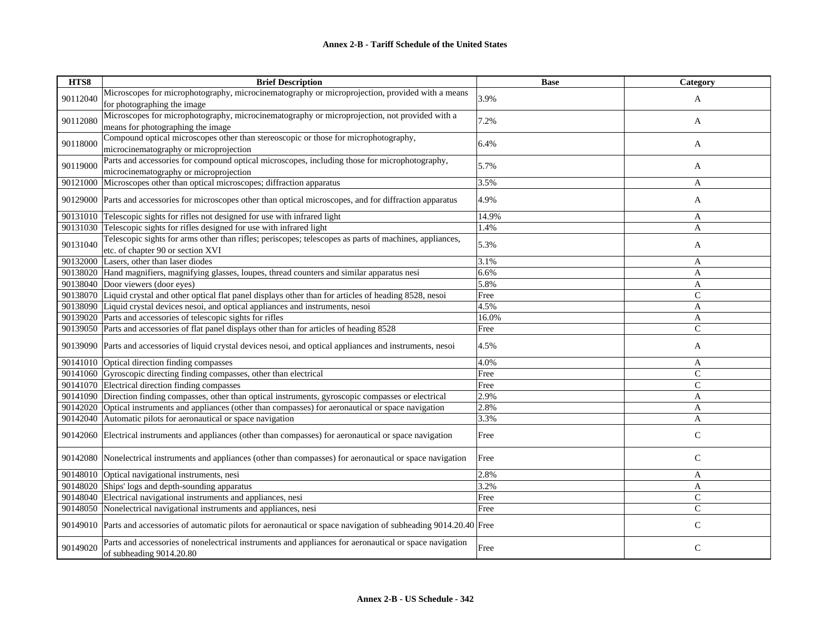| HTS8     | <b>Brief Description</b>                                                                                                           | <b>Base</b> | Category      |
|----------|------------------------------------------------------------------------------------------------------------------------------------|-------------|---------------|
| 90112040 | Microscopes for microphotography, microcinematography or microprojection, provided with a means                                    | 3.9%        | A             |
|          | for photographing the image                                                                                                        |             |               |
| 90112080 | Microscopes for microphotography, microcinematography or microprojection, not provided with a                                      | 7.2%        |               |
|          | means for photographing the image                                                                                                  |             | A             |
| 90118000 | Compound optical microscopes other than stereoscopic or those for microphotography,                                                | 6.4%        |               |
|          | microcinematography or microprojection                                                                                             |             | A             |
| 90119000 | Parts and accessories for compound optical microscopes, including those for microphotography,                                      | 5.7%        | A             |
|          | microcinematography or microprojection                                                                                             |             |               |
|          | 90121000 Microscopes other than optical microscopes; diffraction apparatus                                                         | 3.5%        | $\mathbf{A}$  |
|          | 90129000 Parts and accessories for microscopes other than optical microscopes, and for diffraction apparatus                       | 4.9%        | A             |
|          | 90131010 Telescopic sights for rifles not designed for use with infrared light                                                     | 14.9%       | A             |
|          | 90131030 Telescopic sights for rifles designed for use with infrared light                                                         | 1.4%        | A             |
| 90131040 | Telescopic sights for arms other than rifles; periscopes; telescopes as parts of machines, appliances,                             | 5.3%        |               |
|          | etc. of chapter 90 or section XVI                                                                                                  |             | A             |
|          | 90132000 Lasers, other than laser diodes                                                                                           | 3.1%        | A             |
|          | 90138020 Hand magnifiers, magnifying glasses, loupes, thread counters and similar apparatus nesi                                   | 6.6%        | A             |
|          | 90138040 Door viewers (door eyes)                                                                                                  | 5.8%        | A             |
|          | 90138070 Liquid crystal and other optical flat panel displays other than for articles of heading 8528, nesoi                       | Free        | $\mathcal{C}$ |
|          | 90138090 Liquid crystal devices nesoi, and optical appliances and instruments, nesoi                                               | 4.5%        | $\mathbf{A}$  |
|          | 90139020 Parts and accessories of telescopic sights for rifles                                                                     | 16.0%       | A             |
|          | 90139050 Parts and accessories of flat panel displays other than for articles of heading 8528                                      | Free        | $\mathsf{C}$  |
|          | 90139090 Parts and accessories of liquid crystal devices nesoi, and optical appliances and instruments, nesoi                      | 4.5%        | A             |
|          | 90141010 Optical direction finding compasses                                                                                       | 4.0%        | A             |
|          | 90141060 Gyroscopic directing finding compasses, other than electrical                                                             | Free        | $\mathcal{C}$ |
|          | 90141070 Electrical direction finding compasses                                                                                    | Free        | $\mathsf{C}$  |
|          | 90141090 Direction finding compasses, other than optical instruments, gyroscopic compasses or electrical                           | 2.9%        | $\mathbf{A}$  |
|          | 90142020 Optical instruments and appliances (other than compasses) for aeronautical or space navigation                            | 2.8%        | A             |
|          | 90142040 Automatic pilots for aeronautical or space navigation                                                                     | 3.3%        | A             |
| 90142060 | Electrical instruments and appliances (other than compasses) for aeronautical or space navigation                                  | Free        | $\mathsf C$   |
|          | 90142080 Nonelectrical instruments and appliances (other than compasses) for aeronautical or space navigation                      | Free        | $\mathsf{C}$  |
|          | 90148010 Optical navigational instruments, nesi                                                                                    | 2.8%        | A             |
|          | 90148020 Ships' logs and depth-sounding apparatus                                                                                  | 3.2%        | A             |
|          | 90148040 Electrical navigational instruments and appliances, nesi                                                                  | Free        | $\mathsf C$   |
|          | 90148050 Nonelectrical navigational instruments and appliances, nesi                                                               | Free        | $\mathsf{C}$  |
|          | 90149010 Parts and accessories of automatic pilots for aeronautical or space navigation of subheading 9014.20.40 Free              |             | $\mathsf{C}$  |
| 90149020 | Parts and accessories of nonelectrical instruments and appliances for aeronautical or space navigation<br>of subheading 9014.20.80 | Free        | $\mathsf{C}$  |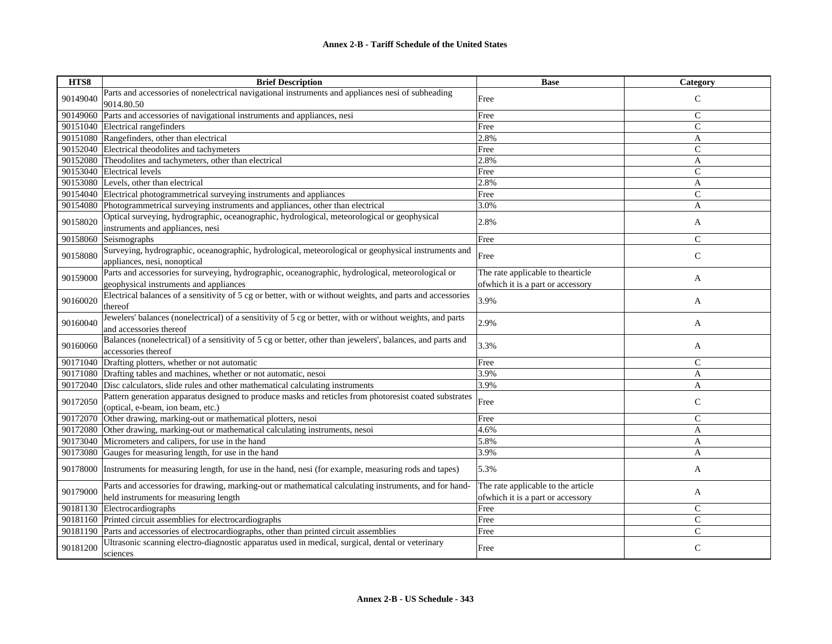| HTS8     | <b>Brief Description</b>                                                                                                                       | <b>Base</b>                                                              | <b>Category</b> |
|----------|------------------------------------------------------------------------------------------------------------------------------------------------|--------------------------------------------------------------------------|-----------------|
| 90149040 | Parts and accessories of nonelectrical navigational instruments and appliances nesi of subheading<br>9014.80.50                                | Free                                                                     | $\mathcal{C}$   |
| 90149060 | Parts and accessories of navigational instruments and appliances, nesi                                                                         | Free                                                                     | $\mathsf{C}$    |
|          | 90151040 Electrical rangefinders                                                                                                               | Free                                                                     | $\mathcal{C}$   |
|          | 90151080 Rangefinders, other than electrical                                                                                                   | 2.8%                                                                     | A               |
|          | 90152040 Electrical theodolites and tachymeters                                                                                                | Free                                                                     | $\mathsf{C}$    |
|          | 90152080 Theodolites and tachymeters, other than electrical                                                                                    | 2.8%                                                                     | A               |
|          | 90153040 Electrical levels                                                                                                                     | Free                                                                     | $\mathsf{C}$    |
|          | 90153080 Levels, other than electrical                                                                                                         | 2.8%                                                                     | A               |
| 90154040 | Electrical photogrammetrical surveying instruments and appliances                                                                              | Free                                                                     | $\mathsf{C}$    |
| 90154080 | Photogrammetrical surveying instruments and appliances, other than electrical                                                                  | 3.0%                                                                     | A               |
| 90158020 | Optical surveying, hydrographic, oceanographic, hydrological, meteorological or geophysical<br>instruments and appliances, nesi                | 2.8%                                                                     | A               |
| 90158060 | Seismographs                                                                                                                                   | Free                                                                     | C               |
| 90158080 | Surveying, hydrographic, oceanographic, hydrological, meteorological or geophysical instruments and<br>appliances, nesi, nonoptical            | Free                                                                     | $\mathsf{C}$    |
| 90159000 | Parts and accessories for surveying, hydrographic, oceanographic, hydrological, meteorological or                                              | The rate applicable to thearticle                                        | A               |
|          | geophysical instruments and appliances                                                                                                         | of which it is a part or accessory                                       |                 |
| 90160020 | Electrical balances of a sensitivity of 5 cg or better, with or without weights, and parts and accessories<br>thereof                          | 3.9%                                                                     | A               |
| 90160040 | Jewelers' balances (nonelectrical) of a sensitivity of 5 cg or better, with or without weights, and parts<br>and accessories thereof           | 2.9%                                                                     | A               |
| 90160060 | Balances (nonelectrical) of a sensitivity of 5 cg or better, other than jewelers', balances, and parts and<br>accessories thereof              | 3.3%                                                                     | A               |
| 90171040 | Drafting plotters, whether or not automatic                                                                                                    | Free                                                                     | $\mathsf{C}$    |
| 90171080 | Drafting tables and machines, whether or not automatic, nesoi                                                                                  | 3.9%                                                                     | A               |
|          | 90172040 Disc calculators, slide rules and other mathematical calculating instruments                                                          | 3.9%                                                                     | A               |
| 90172050 | Pattern generation apparatus designed to produce masks and reticles from photoresist coated substrates<br>(optical, e-beam, ion beam, etc.)    | Free                                                                     | $\mathsf{C}$    |
| 90172070 | Other drawing, marking-out or mathematical plotters, nesoi                                                                                     | Free                                                                     | $\mathsf{C}$    |
| 90172080 | Other drawing, marking-out or mathematical calculating instruments, nesoi                                                                      | 4.6%                                                                     | $\mathbf{A}$    |
| 90173040 | Micrometers and calipers, for use in the hand                                                                                                  | 5.8%                                                                     | A               |
| 90173080 | Gauges for measuring length, for use in the hand                                                                                               | 3.9%                                                                     | A               |
| 90178000 | Instruments for measuring length, for use in the hand, nesi (for example, measuring rods and tapes)                                            | 5.3%                                                                     | A               |
| 90179000 | Parts and accessories for drawing, marking-out or mathematical calculating instruments, and for hand-<br>held instruments for measuring length | The rate applicable to the article<br>of which it is a part or accessory | A               |
| 90181130 | Electrocardiographs                                                                                                                            | Free                                                                     | $\mathsf{C}$    |
|          | 90181160 Printed circuit assemblies for electrocardiographs                                                                                    | Free                                                                     | $\mathsf{C}$    |
| 90181190 | Parts and accessories of electrocardiographs, other than printed circuit assemblies                                                            | Free                                                                     | $\mathsf{C}$    |
| 90181200 | Ultrasonic scanning electro-diagnostic apparatus used in medical, surgical, dental or veterinary<br>sciences                                   | Free                                                                     | $\mathsf{C}$    |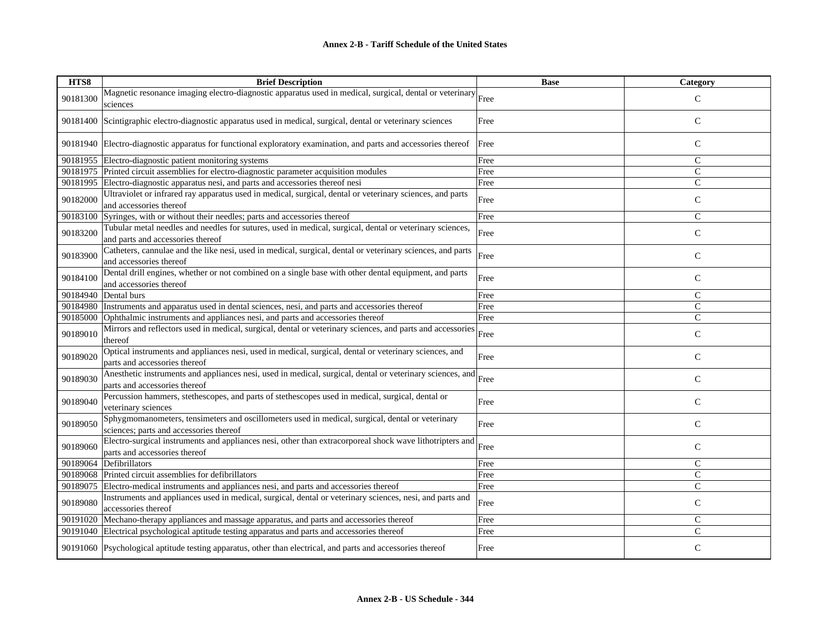| HTS8     | <b>Brief Description</b>                                                                                                                      | <b>Base</b> | Category      |
|----------|-----------------------------------------------------------------------------------------------------------------------------------------------|-------------|---------------|
| 90181300 | Magnetic resonance imaging electro-diagnostic apparatus used in medical, surgical, dental or veterinary Free<br>sciences                      |             | $\mathcal{C}$ |
|          | 90181400 Scintigraphic electro-diagnostic apparatus used in medical, surgical, dental or veterinary sciences                                  | Free        | $\mathsf{C}$  |
|          | 90181940 Electro-diagnostic apparatus for functional exploratory examination, and parts and accessories thereof                               | Free        | $\mathsf{C}$  |
|          | 90181955 Electro-diagnostic patient monitoring systems                                                                                        | Free        | $\mathsf{C}$  |
|          | 90181975 Printed circuit assemblies for electro-diagnostic parameter acquisition modules                                                      | Free        | ${\bf C}$     |
|          | 90181995 Electro-diagnostic apparatus nesi, and parts and accessories thereof nesi                                                            | Free        | $\mathsf{C}$  |
| 90182000 | Ultraviolet or infrared ray apparatus used in medical, surgical, dental or veterinary sciences, and parts<br>and accessories thereof          | Free        | $\mathsf{C}$  |
|          | 90183100 Syringes, with or without their needles; parts and accessories thereof                                                               | Free        | $\mathcal{C}$ |
| 90183200 | Tubular metal needles and needles for sutures, used in medical, surgical, dental or veterinary sciences,<br>and parts and accessories thereof | Free        | $\mathcal{C}$ |
| 90183900 | Catheters, cannulae and the like nesi, used in medical, surgical, dental or veterinary sciences, and parts<br>and accessories thereof         | Free        | $\mathbf C$   |
| 90184100 | Dental drill engines, whether or not combined on a single base with other dental equipment, and parts<br>and accessories thereof              | Free        | $\mathsf{C}$  |
| 90184940 | Dental burs                                                                                                                                   | Free        | $\mathcal{C}$ |
|          | 90184980 Instruments and apparatus used in dental sciences, nesi, and parts and accessories thereof                                           | Free        | $\mathbf C$   |
| 90185000 | Ophthalmic instruments and appliances nesi, and parts and accessories thereof                                                                 | Free        | $\mathcal{C}$ |
| 90189010 | Mirrors and reflectors used in medical, surgical, dental or veterinary sciences, and parts and accessories<br>thereof                         | Free        | $\mathsf{C}$  |
| 90189020 | Optical instruments and appliances nesi, used in medical, surgical, dental or veterinary sciences, and<br>parts and accessories thereof       | Free        | $\mathsf{C}$  |
| 90189030 | Anesthetic instruments and appliances nesi, used in medical, surgical, dental or veterinary sciences, and<br>parts and accessories thereof    | Free        | $\mathsf{C}$  |
| 90189040 | Percussion hammers, stethescopes, and parts of stethescopes used in medical, surgical, dental or<br>veterinary sciences                       | Free        | $\mathsf{C}$  |
| 90189050 | Sphygmomanometers, tensimeters and oscillometers used in medical, surgical, dental or veterinary<br>sciences; parts and accessories thereof   | Free        | $\mathsf{C}$  |
| 90189060 | Electro-surgical instruments and appliances nesi, other than extracorporeal shock wave lithotripters and<br>parts and accessories thereof     | Free        | $\mathsf{C}$  |
| 90189064 | Defibrillators                                                                                                                                | Free        | $\mathsf{C}$  |
|          | 90189068 Printed circuit assemblies for defibrillators                                                                                        | Free        | $\mathbf C$   |
|          | 90189075 Electro-medical instruments and appliances nesi, and parts and accessories thereof                                                   | Free        | $\mathcal{C}$ |
| 90189080 | Instruments and appliances used in medical, surgical, dental or veterinary sciences, nesi, and parts and<br>accessories thereof               | Free        | $\mathsf{C}$  |
|          | 90191020 Mechano-therapy appliances and massage apparatus, and parts and accessories thereof                                                  | Free        | $\mathsf{C}$  |
|          | 90191040 Electrical psychological aptitude testing apparatus and parts and accessories thereof                                                | Free        | $\mathcal{C}$ |
|          | 90191060 Psychological aptitude testing apparatus, other than electrical, and parts and accessories thereof                                   | Free        | $\mathsf{C}$  |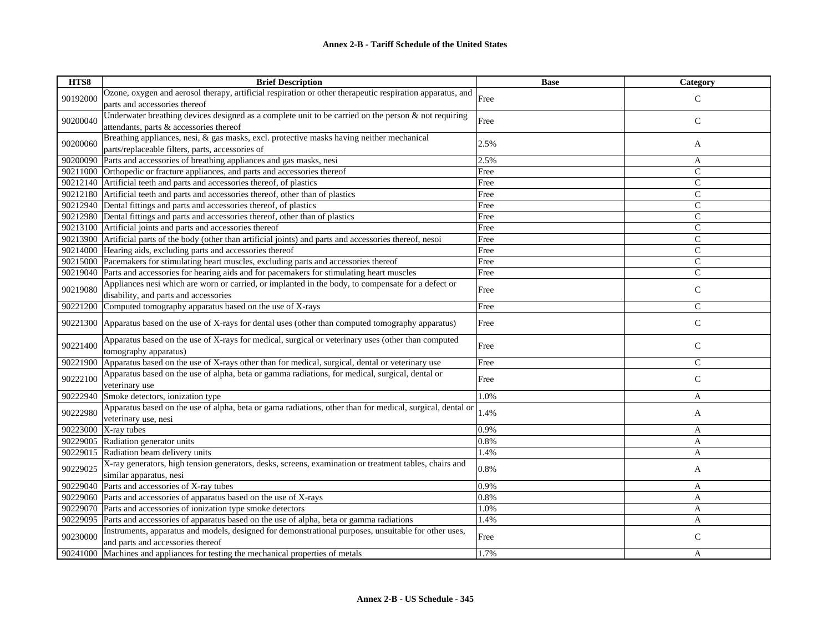| HTS8     | <b>Brief Description</b>                                                                                      | <b>Base</b> | Category     |
|----------|---------------------------------------------------------------------------------------------------------------|-------------|--------------|
|          | Ozone, oxygen and aerosol therapy, artificial respiration or other therapeutic respiration apparatus, and     |             |              |
| 90192000 | parts and accessories thereof                                                                                 | Free        | $\mathsf{C}$ |
|          | Underwater breathing devices designed as a complete unit to be carried on the person $\&$ not requiring       |             |              |
| 90200040 | attendants, parts & accessories thereof                                                                       | Free        | $\mathbf C$  |
|          | Breathing appliances, nesi, & gas masks, excl. protective masks having neither mechanical                     |             |              |
| 90200060 | parts/replaceable filters, parts, accessories of                                                              | 2.5%        | A            |
| 90200090 | Parts and accessories of breathing appliances and gas masks, nesi                                             | 2.5%        | A            |
|          | 90211000 Orthopedic or fracture appliances, and parts and accessories thereof                                 | Free        | $\mathsf{C}$ |
|          | 90212140 Artificial teeth and parts and accessories thereof, of plastics                                      | Free        | $\mathsf{C}$ |
|          | 90212180 Artificial teeth and parts and accessories thereof, other than of plastics                           | Free        | $\mathsf{C}$ |
|          | 90212940 Dental fittings and parts and accessories thereof, of plastics                                       | Free        | $\mathsf{C}$ |
|          | 90212980 Dental fittings and parts and accessories thereof, other than of plastics                            | Free        | $\mathsf{C}$ |
|          | 90213100 Artificial joints and parts and accessories thereof                                                  | Free        | $\mathsf{C}$ |
|          | 90213900 Artificial parts of the body (other than artificial joints) and parts and accessories thereof, nesoi | Free        | $\mathsf{C}$ |
|          | 90214000 Hearing aids, excluding parts and accessories thereof                                                | Free        | $\mathsf{C}$ |
|          | 90215000 Pacemakers for stimulating heart muscles, excluding parts and accessories thereof                    | Free        | $\mathsf{C}$ |
| 90219040 | Parts and accessories for hearing aids and for pacemakers for stimulating heart muscles                       | Free        | $\mathsf{C}$ |
|          | Appliances nesi which are worn or carried, or implanted in the body, to compensate for a defect or            |             |              |
| 90219080 | disability, and parts and accessories                                                                         | Free        | $\mathsf{C}$ |
| 90221200 | Computed tomography apparatus based on the use of X-rays                                                      | Free        | $\mathsf{C}$ |
|          |                                                                                                               |             |              |
| 90221300 | Apparatus based on the use of X-rays for dental uses (other than computed tomography apparatus)               | Free        | $\mathsf{C}$ |
| 90221400 | Apparatus based on the use of X-rays for medical, surgical or veterinary uses (other than computed            | Free        | $\mathsf C$  |
|          | tomography apparatus)                                                                                         |             |              |
| 90221900 | Apparatus based on the use of X-rays other than for medical, surgical, dental or veterinary use               | Free        | $\mathsf{C}$ |
| 90222100 | Apparatus based on the use of alpha, beta or gamma radiations, for medical, surgical, dental or               |             | $\mathsf{C}$ |
|          | veterinary use                                                                                                | Free        |              |
| 90222940 | Smoke detectors, ionization type                                                                              | 1.0%        | A            |
| 90222980 | Apparatus based on the use of alpha, beta or gama radiations, other than for medical, surgical, dental or     | 1.4%        |              |
|          | veterinary use, nesi                                                                                          |             | A            |
| 90223000 | X-ray tubes                                                                                                   | 0.9%        | A            |
| 90229005 | Radiation generator units                                                                                     | 0.8%        | $\mathbf{A}$ |
| 90229015 | Radiation beam delivery units                                                                                 | 1.4%        | A            |
|          | X-ray generators, high tension generators, desks, screens, examination or treatment tables, chairs and        |             |              |
| 90229025 | similar apparatus, nesi                                                                                       | 0.8%        | A            |
| 90229040 | Parts and accessories of X-ray tubes                                                                          | 0.9%        | A            |
| 90229060 | Parts and accessories of apparatus based on the use of X-rays                                                 | 0.8%        | A            |
| 90229070 | Parts and accessories of ionization type smoke detectors                                                      | 1.0%        | A            |
| 90229095 | Parts and accessories of apparatus based on the use of alpha, beta or gamma radiations                        | 1.4%        | A            |
|          | Instruments, apparatus and models, designed for demonstrational purposes, unsuitable for other uses,          |             |              |
| 90230000 | and parts and accessories thereof                                                                             | Free        | $\mathsf{C}$ |
| 90241000 | Machines and appliances for testing the mechanical properties of metals                                       | 1.7%        | A            |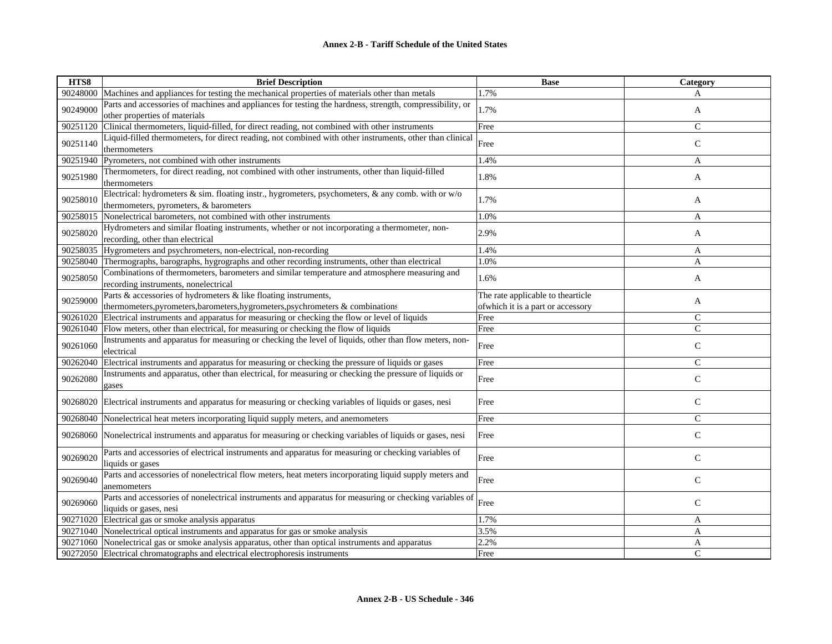| HTS8     | <b>Brief Description</b>                                                                                                                           | <b>Base</b>                                                             | Category      |
|----------|----------------------------------------------------------------------------------------------------------------------------------------------------|-------------------------------------------------------------------------|---------------|
| 90248000 | Machines and appliances for testing the mechanical properties of materials other than metals                                                       | 1.7%                                                                    | А             |
| 90249000 | Parts and accessories of machines and appliances for testing the hardness, strength, compressibility, or<br>other properties of materials          | 1.7%                                                                    | A             |
| 90251120 | Clinical thermometers, liquid-filled, for direct reading, not combined with other instruments                                                      | Free                                                                    | $\mathcal{C}$ |
| 90251140 | Liquid-filled thermometers, for direct reading, not combined with other instruments, other than clinical<br>thermometers                           | Free                                                                    | $\mathsf{C}$  |
| 90251940 | Pyrometers, not combined with other instruments                                                                                                    | 1.4%                                                                    | A             |
| 90251980 | Thermometers, for direct reading, not combined with other instruments, other than liquid-filled<br>thermometers                                    | 1.8%                                                                    | A             |
| 90258010 | Electrical: hydrometers $\&$ sim. floating instr., hygrometers, psychometers, $\&$ any comb. with or w/o<br>thermometers, pyrometers, & barometers | 1.7%                                                                    | A             |
| 90258015 | Nonelectrical barometers, not combined with other instruments                                                                                      | 1.0%                                                                    | A             |
| 90258020 | Hydrometers and similar floating instruments, whether or not incorporating a thermometer, non-<br>recording, other than electrical                 | 2.9%                                                                    | A             |
| 90258035 | Hygrometers and psychrometers, non-electrical, non-recording                                                                                       | 1.4%                                                                    | A             |
|          | 90258040 Thermographs, barographs, hygrographs and other recording instruments, other than electrical                                              | 1.0%                                                                    | A             |
| 90258050 | Combinations of thermometers, barometers and similar temperature and atmosphere measuring and<br>recording instruments, nonelectrical              | 1.6%                                                                    | A             |
| 90259000 | Parts & accessories of hydrometers & like floating instruments,<br>thermometers, pyrometers, barometers, hygrometers, psychrometers & combinations | The rate applicable to thearticle<br>of which it is a part or accessory | A             |
| 90261020 | Electrical instruments and apparatus for measuring or checking the flow or level of liquids                                                        | Free                                                                    | $\mathcal{C}$ |
| 90261040 | Flow meters, other than electrical, for measuring or checking the flow of liquids                                                                  | Free                                                                    | $\mathsf{C}$  |
| 90261060 | Instruments and apparatus for measuring or checking the level of liquids, other than flow meters, non-<br>electrical                               | Free                                                                    | $\mathsf{C}$  |
| 90262040 | Electrical instruments and apparatus for measuring or checking the pressure of liquids or gases                                                    | Free                                                                    | $\mathcal{C}$ |
| 90262080 | Instruments and apparatus, other than electrical, for measuring or checking the pressure of liquids or<br>gases                                    | Free                                                                    | $\mathsf{C}$  |
| 90268020 | Electrical instruments and apparatus for measuring or checking variables of liquids or gases, nesi                                                 | Free                                                                    | $\mathbf C$   |
| 90268040 | Nonelectrical heat meters incorporating liquid supply meters, and anemometers                                                                      | Free                                                                    | $\mathsf{C}$  |
| 90268060 | Nonelectrical instruments and apparatus for measuring or checking variables of liquids or gases, nesi                                              | Free                                                                    | $\mathsf{C}$  |
| 90269020 | Parts and accessories of electrical instruments and apparatus for measuring or checking variables of<br>liquids or gases                           | Free                                                                    | $\mathsf{C}$  |
| 90269040 | Parts and accessories of nonelectrical flow meters, heat meters incorporating liquid supply meters and<br>anemometers                              | Free                                                                    | $\mathsf{C}$  |
| 90269060 | Parts and accessories of nonelectrical instruments and apparatus for measuring or checking variables of<br>liquids or gases, nesi                  | Free                                                                    | $\mathsf{C}$  |
|          | 90271020 Electrical gas or smoke analysis apparatus                                                                                                | 1.7%                                                                    | A             |
|          | 90271040 Nonelectrical optical instruments and apparatus for gas or smoke analysis                                                                 | 3.5%                                                                    | A             |
| 90271060 | Nonelectrical gas or smoke analysis apparatus, other than optical instruments and apparatus                                                        | 2.2%                                                                    | A             |
|          | 90272050 Electrical chromatographs and electrical electrophoresis instruments                                                                      | Free                                                                    | $\mathcal{C}$ |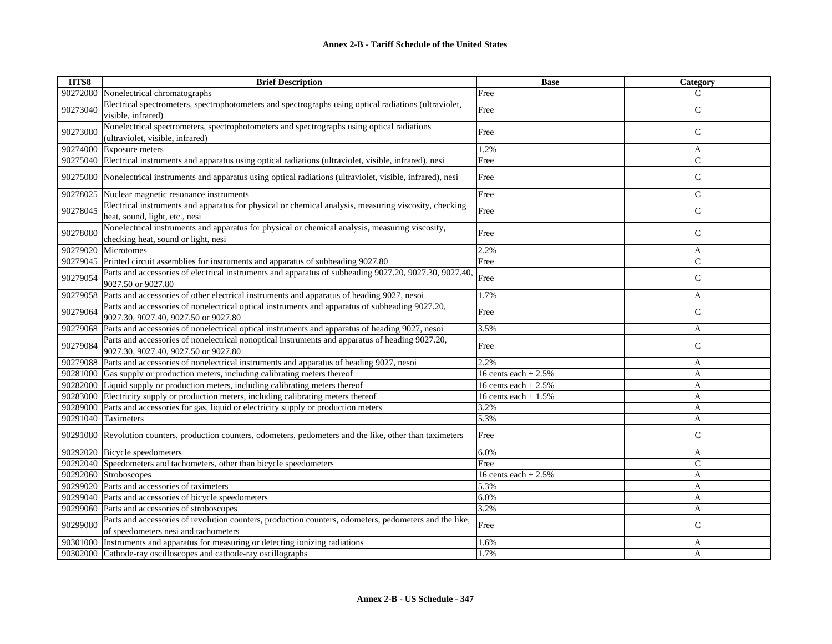| HTS8     | <b>Brief Description</b>                                                                                                                       | <b>Base</b>           | Category       |
|----------|------------------------------------------------------------------------------------------------------------------------------------------------|-----------------------|----------------|
| 90272080 | Nonelectrical chromatographs                                                                                                                   | Free                  | C              |
| 90273040 | Electrical spectrometers, spectrophotometers and spectrographs using optical radiations (ultraviolet,<br>visible, infrared)                    | Free                  | $\mathsf{C}$   |
| 90273080 | Nonelectrical spectrometers, spectrophotometers and spectrographs using optical radiations<br>(ultraviolet, visible, infrared)                 | Free                  | $\mathsf{C}$   |
| 90274000 | <b>Exposure</b> meters                                                                                                                         | 1.2%                  | A              |
| 90275040 | Electrical instruments and apparatus using optical radiations (ultraviolet, visible, infrared), nesi                                           | Free                  | $\mathsf{C}$   |
| 90275080 | Nonelectrical instruments and apparatus using optical radiations (ultraviolet, visible, infrared), nesi                                        | Free                  | $\mathbf C$    |
| 90278025 | Nuclear magnetic resonance instruments                                                                                                         | Free                  | $\mathsf{C}$   |
| 90278045 | Electrical instruments and apparatus for physical or chemical analysis, measuring viscosity, checking<br>heat, sound, light, etc., nesi        | Free                  | $\mathbf C$    |
| 90278080 | Nonelectrical instruments and apparatus for physical or chemical analysis, measuring viscosity,<br>checking heat, sound or light, nesi         | Free                  | $\mathsf{C}$   |
| 90279020 | Microtomes                                                                                                                                     | 2.2%                  | A              |
| 90279045 | Printed circuit assemblies for instruments and apparatus of subheading 9027.80                                                                 | Free                  | $\overline{C}$ |
| 90279054 | Parts and accessories of electrical instruments and apparatus of subheading 9027.20, 9027.30, 9027.40,<br>9027.50 or 9027.80                   | Free                  | $\mathsf{C}$   |
| 90279058 | Parts and accessories of other electrical instruments and apparatus of heading 9027, nesoi                                                     | 1.7%                  | A              |
| 90279064 | Parts and accessories of nonelectrical optical instruments and apparatus of subheading 9027.20,<br>9027.30, 9027.40, 9027.50 or 9027.80        | Free                  | $\mathsf{C}$   |
| 90279068 | Parts and accessories of nonelectrical optical instruments and apparatus of heading 9027, nesoi                                                | 3.5%                  | A              |
| 90279084 | Parts and accessories of nonelectrical nonoptical instruments and apparatus of heading 9027.20,<br>9027.30, 9027.40, 9027.50 or 9027.80        | Free                  | $\mathsf{C}$   |
| 90279088 | Parts and accessories of nonelectrical instruments and apparatus of heading 9027, nesoi                                                        | 2.2%                  | A              |
| 90281000 | Gas supply or production meters, including calibrating meters thereof                                                                          | 16 cents each $+2.5%$ | A              |
| 90282000 | Liquid supply or production meters, including calibrating meters thereof                                                                       | 16 cents each $+2.5%$ | A              |
| 90283000 | Electricity supply or production meters, including calibrating meters thereof                                                                  | 16 cents each $+1.5%$ | A              |
| 90289000 | Parts and accessories for gas, liquid or electricity supply or production meters                                                               | 3.2%                  | A              |
| 90291040 | Taximeters                                                                                                                                     | 5.3%                  | A              |
|          | 90291080 Revolution counters, production counters, odometers, pedometers and the like, other than taximeters                                   | Free                  | $\mathsf{C}$   |
| 90292020 | Bicycle speedometers                                                                                                                           | 6.0%                  | A              |
| 90292040 | Speedometers and tachometers, other than bicycle speedometers                                                                                  | Free                  | $\mathsf{C}$   |
|          | 90292060 Stroboscopes                                                                                                                          | 16 cents each $+2.5%$ | A              |
| 90299020 | Parts and accessories of taximeters                                                                                                            | 5.3%                  | A              |
| 90299040 | Parts and accessories of bicycle speedometers                                                                                                  | 6.0%                  | A              |
| 90299060 | Parts and accessories of stroboscopes                                                                                                          | 3.2%                  | A              |
| 90299080 | Parts and accessories of revolution counters, production counters, odometers, pedometers and the like,<br>of speedometers nesi and tachometers | Free                  | $\mathsf{C}$   |
| 90301000 | Instruments and apparatus for measuring or detecting ionizing radiations                                                                       | 1.6%                  | A              |
| 90302000 | Cathode-ray oscilloscopes and cathode-ray oscillographs                                                                                        | 1.7%                  | A              |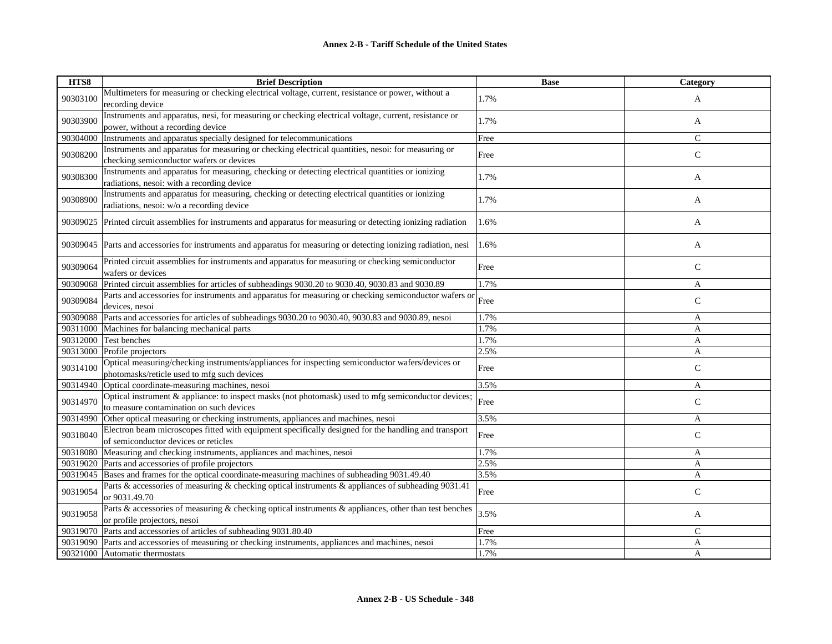| HTS8     | <b>Brief Description</b>                                                                                                                        | <b>Base</b> | Category     |
|----------|-------------------------------------------------------------------------------------------------------------------------------------------------|-------------|--------------|
| 90303100 | Multimeters for measuring or checking electrical voltage, current, resistance or power, without a<br>recording device                           | 1.7%        | A            |
| 90303900 | Instruments and apparatus, nesi, for measuring or checking electrical voltage, current, resistance or<br>power, without a recording device      | 1.7%        | A            |
| 90304000 | Instruments and apparatus specially designed for telecommunications                                                                             | Free        | $\mathsf{C}$ |
| 90308200 | Instruments and apparatus for measuring or checking electrical quantities, nesoi: for measuring or<br>checking semiconductor wafers or devices  | Free        | $\mathbf C$  |
| 90308300 | Instruments and apparatus for measuring, checking or detecting electrical quantities or ionizing<br>radiations, nesoi: with a recording device  | 1.7%        | A            |
| 90308900 | Instruments and apparatus for measuring, checking or detecting electrical quantities or ionizing<br>radiations, nesoi: w/o a recording device   | 1.7%        | A            |
| 90309025 | Printed circuit assemblies for instruments and apparatus for measuring or detecting ionizing radiation                                          | 1.6%        | A            |
| 90309045 | Parts and accessories for instruments and apparatus for measuring or detecting ionizing radiation, nesi                                         | 1.6%        | A            |
| 90309064 | Printed circuit assemblies for instruments and apparatus for measuring or checking semiconductor<br>wafers or devices                           | Free        | $\mathsf{C}$ |
| 90309068 | Printed circuit assemblies for articles of subheadings 9030.20 to 9030.40, 9030.83 and 9030.89                                                  | 1.7%        | A            |
| 90309084 | Parts and accessories for instruments and apparatus for measuring or checking semiconductor wafers or<br>devices, nesoi                         | Free        | $\mathbf C$  |
| 90309088 | Parts and accessories for articles of subheadings 9030.20 to 9030.40, 9030.83 and 9030.89, nesoi                                                | 1.7%        | A            |
| 90311000 | Machines for balancing mechanical parts                                                                                                         | 1.7%        | A            |
| 90312000 | Test benches                                                                                                                                    | 1.7%        | A            |
|          | 90313000 Profile projectors                                                                                                                     | 2.5%        | $\mathbf{A}$ |
| 90314100 | Optical measuring/checking instruments/appliances for inspecting semiconductor wafers/devices or<br>photomasks/reticle used to mfg such devices | Free        | $\mathsf{C}$ |
| 90314940 | Optical coordinate-measuring machines, nesoi                                                                                                    | 3.5%        | A            |
| 90314970 | Optical instrument & appliance: to inspect masks (not photomask) used to mfg semiconductor devices;<br>to measure contamination on such devices | Free        | $\mathsf{C}$ |
| 90314990 | Other optical measuring or checking instruments, appliances and machines, nesoi                                                                 | 3.5%        | A            |
| 90318040 | Electron beam microscopes fitted with equipment specifically designed for the handling and transport<br>of semiconductor devices or reticles    | Free        | $\mathsf{C}$ |
| 90318080 | Measuring and checking instruments, appliances and machines, nesoi                                                                              | 1.7%        | A            |
| 90319020 | Parts and accessories of profile projectors                                                                                                     | 2.5%        | A            |
| 90319045 | Bases and frames for the optical coordinate-measuring machines of subheading 9031.49.40                                                         | 3.5%        | A            |
| 90319054 | Parts & accessories of measuring & checking optical instruments & appliances of subheading 9031.41<br>or 9031.49.70                             | Free        | $\mathsf{C}$ |
| 90319058 | Parts & accessories of measuring & checking optical instruments & appliances, other than test benches<br>or profile projectors, nesoi           | 3.5%        | A            |
| 90319070 | Parts and accessories of articles of subheading 9031.80.40                                                                                      | Free        | $\mathsf{C}$ |
| 90319090 | Parts and accessories of measuring or checking instruments, appliances and machines, nesoi                                                      | 1.7%        | A            |
| 90321000 | Automatic thermostats                                                                                                                           | 1.7%        | A            |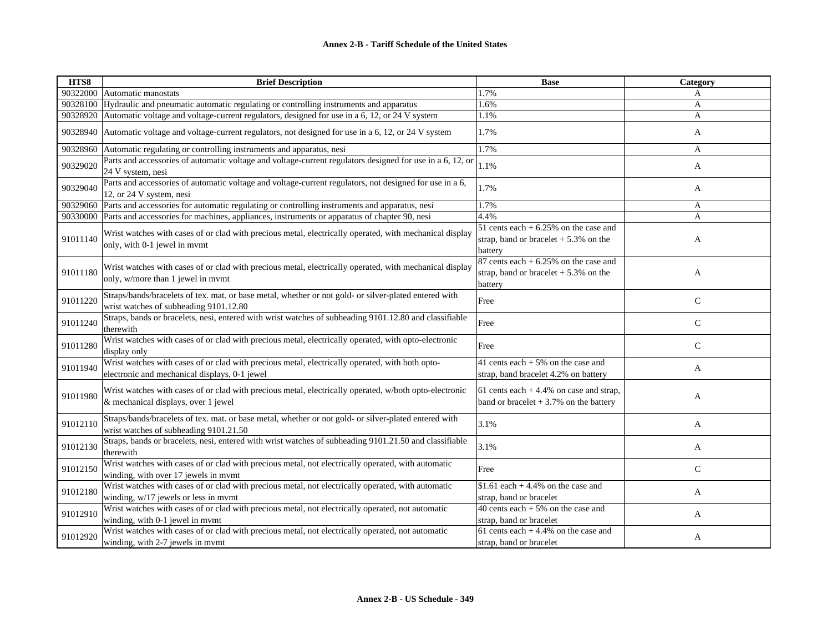| HTS8     | <b>Brief Description</b>                                                                                                                         | <b>Base</b>                                                                                  | <b>Category</b> |
|----------|--------------------------------------------------------------------------------------------------------------------------------------------------|----------------------------------------------------------------------------------------------|-----------------|
|          | 90322000 Automatic manostats                                                                                                                     | 1.7%                                                                                         | A               |
| 90328100 | Hydraulic and pneumatic automatic regulating or controlling instruments and apparatus                                                            | 1.6%                                                                                         | A               |
| 90328920 | Automatic voltage and voltage-current regulators, designed for use in a 6, 12, or 24 V system                                                    | 1.1%                                                                                         | A               |
| 90328940 | Automatic voltage and voltage-current regulators, not designed for use in a 6, 12, or 24 V system                                                | 1.7%                                                                                         | A               |
| 90328960 | Automatic regulating or controlling instruments and apparatus, nesi                                                                              | 1.7%                                                                                         | A               |
| 90329020 | Parts and accessories of automatic voltage and voltage-current regulators designed for use in a 6, 12, or<br>24 V system, nesi                   | 1.1%                                                                                         | A               |
| 90329040 | Parts and accessories of automatic voltage and voltage-current regulators, not designed for use in a 6,<br>12, or 24 V system, nesi              | 1.7%                                                                                         | A               |
| 90329060 | Parts and accessories for automatic regulating or controlling instruments and apparatus, nesi                                                    | 1.7%                                                                                         | A               |
| 90330000 | Parts and accessories for machines, appliances, instruments or apparatus of chapter 90, nesi                                                     | 4.4%                                                                                         | $\mathbf{A}$    |
| 91011140 | Wrist watches with cases of or clad with precious metal, electrically operated, with mechanical display<br>only, with 0-1 jewel in mymt          | 51 cents each $+6.25%$ on the case and<br>strap, band or bracelet $+5.3\%$ on the<br>battery | A               |
| 91011180 | Wrist watches with cases of or clad with precious metal, electrically operated, with mechanical display<br>only, w/more than 1 jewel in mymt     | 87 cents each $+6.25%$ on the case and<br>strap, band or bracelet $+5.3\%$ on the<br>battery | A               |
| 91011220 | Straps/bands/bracelets of tex. mat. or base metal, whether or not gold- or silver-plated entered with<br>wrist watches of subheading 9101.12.80  | Free                                                                                         | $\mathbf C$     |
| 91011240 | Straps, bands or bracelets, nesi, entered with wrist watches of subheading 9101.12.80 and classifiable<br>therewith                              | Free                                                                                         | $\mathsf{C}$    |
| 91011280 | Wrist watches with cases of or clad with precious metal, electrically operated, with opto-electronic<br>display only                             | Free                                                                                         | $\mathsf{C}$    |
| 91011940 | Wrist watches with cases of or clad with precious metal, electrically operated, with both opto-<br>electronic and mechanical displays, 0-1 jewel | 41 cents each $+5\%$ on the case and<br>strap, band bracelet 4.2% on battery                 | A               |
| 91011980 | Wrist watches with cases of or clad with precious metal, electrically operated, w/both opto-electronic<br>& mechanical displays, over 1 jewel    | 61 cents each $+4.4\%$ on case and strap,<br>band or bracelet $+3.7\%$ on the battery        | A               |
| 91012110 | Straps/bands/bracelets of tex. mat. or base metal, whether or not gold- or silver-plated entered with<br>wrist watches of subheading 9101.21.50  | 3.1%                                                                                         | A               |
| 91012130 | Straps, bands or bracelets, nesi, entered with wrist watches of subheading 9101.21.50 and classifiable<br>therewith                              | 3.1%                                                                                         | A               |
| 91012150 | Wrist watches with cases of or clad with precious metal, not electrically operated, with automatic<br>winding, with over 17 jewels in mymt       | Free                                                                                         | $\mathcal{C}$   |
| 91012180 | Wrist watches with cases of or clad with precious metal, not electrically operated, with automatic<br>winding, w/17 jewels or less in mvmt       | $$1.61$ each + 4.4% on the case and<br>strap, band or bracelet                               | A               |
| 91012910 | Wrist watches with cases of or clad with precious metal, not electrically operated, not automatic<br>winding, with 0-1 jewel in mymt             | 40 cents each $+5\%$ on the case and<br>strap, band or bracelet                              | A               |
| 91012920 | Wrist watches with cases of or clad with precious metal, not electrically operated, not automatic<br>winding, with 2-7 jewels in mymt            | 61 cents each $+4.4%$ on the case and<br>strap, band or bracelet                             | A               |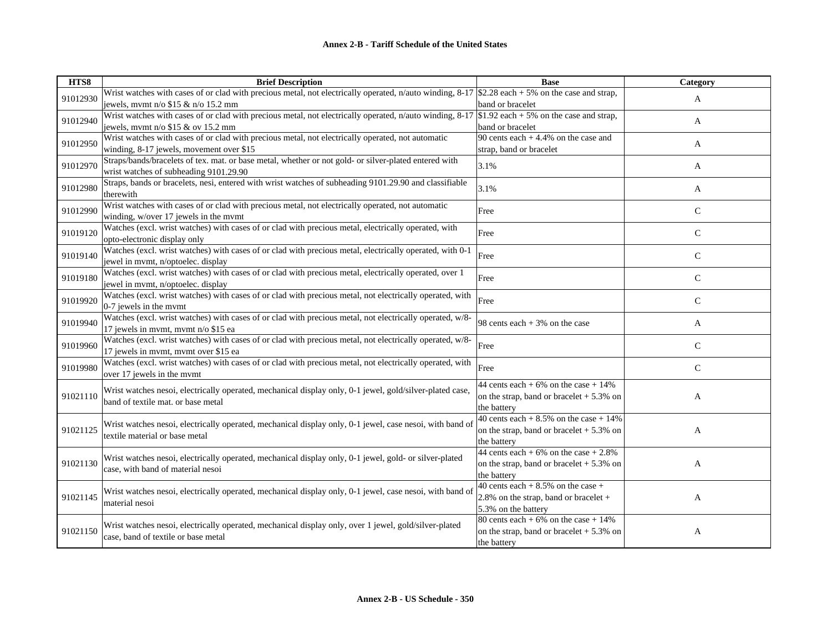| HTS8     | <b>Brief Description</b>                                                                                                                           | <b>Base</b>                                | Category      |
|----------|----------------------------------------------------------------------------------------------------------------------------------------------------|--------------------------------------------|---------------|
| 91012930 | Wrist watches with cases of or clad with precious metal, not electrically operated, n/auto winding, 8-17 \$2.28 each + 5% on the case and strap,   |                                            | A             |
|          | jewels, mvmt n/o \$15 & n/o 15.2 mm                                                                                                                | band or bracelet                           |               |
| 91012940 | Wrist watches with cases of or clad with precious metal, not electrically operated, n/auto winding, $8-17$ \$1.92 each + 5% on the case and strap, |                                            | A             |
|          | jewels, mymt $n/o$ \$15 & ov 15.2 mm                                                                                                               | band or bracelet                           |               |
| 91012950 | Wrist watches with cases of or clad with precious metal, not electrically operated, not automatic                                                  | 90 cents each $+4.4%$ on the case and      | A             |
|          | winding, 8-17 jewels, movement over \$15                                                                                                           | strap, band or bracelet                    |               |
| 91012970 | Straps/bands/bracelets of tex. mat. or base metal, whether or not gold- or silver-plated entered with                                              | 3.1%                                       |               |
|          | wrist watches of subheading 9101.29.90                                                                                                             |                                            | A             |
|          | Straps, bands or bracelets, nesi, entered with wrist watches of subheading 9101.29.90 and classifiable                                             |                                            |               |
| 91012980 | therewith                                                                                                                                          | 3.1%                                       | A             |
| 91012990 | Wrist watches with cases of or clad with precious metal, not electrically operated, not automatic                                                  |                                            | $\mathcal{C}$ |
|          | winding, w/over 17 jewels in the mymt                                                                                                              | Free                                       |               |
|          | Watches (excl. wrist watches) with cases of or clad with precious metal, electrically operated, with                                               |                                            |               |
| 91019120 | opto-electronic display only                                                                                                                       | Free                                       | $\mathbf C$   |
|          | Watches (excl. wrist watches) with cases of or clad with precious metal, electrically operated, with 0-1                                           |                                            |               |
| 91019140 | jewel in mvmt, n/optoelec. display                                                                                                                 | Free                                       | $\mathsf{C}$  |
|          | Watches (excl. wrist watches) with cases of or clad with precious metal, electrically operated, over 1                                             |                                            |               |
| 91019180 | jewel in mvmt, n/optoelec. display                                                                                                                 | Free                                       | $\mathcal{C}$ |
|          | Watches (excl. wrist watches) with cases of or clad with precious metal, not electrically operated, with                                           |                                            |               |
| 91019920 | 0-7 jewels in the mymt                                                                                                                             | Free                                       | $\mathcal{C}$ |
|          | Watches (excl. wrist watches) with cases of or clad with precious metal, not electrically operated, w/8-                                           |                                            |               |
| 91019940 | 17 jewels in mvmt, mvmt n/o \$15 ea                                                                                                                | 98 cents each $+3\%$ on the case           | A             |
|          | Watches (excl. wrist watches) with cases of or clad with precious metal, not electrically operated, w/8-                                           |                                            |               |
| 91019960 | 17 jewels in mvmt, mvmt over \$15 ea                                                                                                               | Free                                       | $\mathcal{C}$ |
| 91019980 | Watches (excl. wrist watches) with cases of or clad with precious metal, not electrically operated, with                                           |                                            |               |
|          | over 17 jewels in the mymt                                                                                                                         | Free                                       | $\mathcal{C}$ |
|          |                                                                                                                                                    | 44 cents each $+6\%$ on the case $+14\%$   |               |
| 91021110 | Wrist watches nesoi, electrically operated, mechanical display only, 0-1 jewel, gold/silver-plated case,                                           | on the strap, band or bracelet $+5.3\%$ on | A             |
|          | band of textile mat. or base metal                                                                                                                 | the battery                                |               |
|          |                                                                                                                                                    | 40 cents each $+8.5\%$ on the case $+14\%$ |               |
| 91021125 | Wrist watches nesoi, electrically operated, mechanical display only, 0-1 jewel, case nesoi, with band of                                           | on the strap, band or bracelet $+5.3\%$ on | A             |
|          | textile material or base metal                                                                                                                     | the battery                                |               |
|          |                                                                                                                                                    | 44 cents each $+6\%$ on the case $+2.8\%$  |               |
| 91021130 | Wrist watches nesoi, electrically operated, mechanical display only, 0-1 jewel, gold- or silver-plated                                             | on the strap, band or bracelet $+5.3\%$ on | A             |
|          | case, with band of material nesoi                                                                                                                  | the battery                                |               |
|          |                                                                                                                                                    | 40 cents each $+8.5\%$ on the case $+$     |               |
| 91021145 | Wrist watches nesoi, electrically operated, mechanical display only, 0-1 jewel, case nesoi, with band of                                           | 2.8% on the strap, band or bracelet +      | A             |
|          | material nesoi                                                                                                                                     | 5.3% on the battery                        |               |
|          |                                                                                                                                                    | 80 cents each + $6\%$ on the case + 14%    |               |
| 91021150 | Wrist watches nesoi, electrically operated, mechanical display only, over 1 jewel, gold/silver-plated                                              | on the strap, band or bracelet $+5.3\%$ on | A             |
|          | case, band of textile or base metal                                                                                                                | the battery                                |               |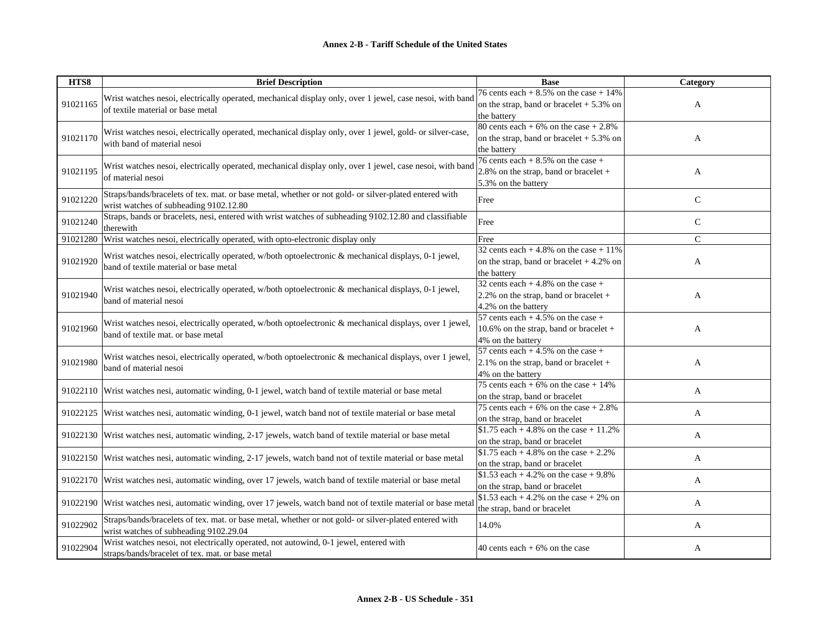| HTS8     | <b>Brief Description</b>                                                                                                                        | <b>Base</b>                                                                                              | Category      |
|----------|-------------------------------------------------------------------------------------------------------------------------------------------------|----------------------------------------------------------------------------------------------------------|---------------|
| 91021165 | Wrist watches nesoi, electrically operated, mechanical display only, over 1 jewel, case nesoi, with band<br>of textile material or base metal   | 76 cents each $+8.5\%$ on the case $+14\%$<br>on the strap, band or bracelet $+5.3\%$ on<br>the battery  | A             |
| 91021170 | Wrist watches nesoi, electrically operated, mechanical display only, over 1 jewel, gold- or silver-case,<br>with band of material nesoi         | 80 cents each + $6\%$ on the case + 2.8%<br>on the strap, band or bracelet + 5.3% on<br>the battery      | A             |
| 91021195 | Wrist watches nesoi, electrically operated, mechanical display only, over 1 jewel, case nesoi, with band<br>of material nesoi                   | 76 cents each $+8.5\%$ on the case $+$<br>2.8% on the strap, band or bracelet +<br>5.3% on the battery   | A             |
| 91021220 | Straps/bands/bracelets of tex. mat. or base metal, whether or not gold- or silver-plated entered with<br>wrist watches of subheading 9102.12.80 | Free                                                                                                     | $\mathcal{C}$ |
| 91021240 | Straps, bands or bracelets, nesi, entered with wrist watches of subheading 9102.12.80 and classifiable<br>therewith                             | Free                                                                                                     | $\mathbf C$   |
| 91021280 | Wrist watches nesoi, electrically operated, with opto-electronic display only                                                                   | Free                                                                                                     | $\mathbf{C}$  |
| 91021920 | Wrist watches nesoi, electrically operated, w/both optoelectronic & mechanical displays, 0-1 jewel,<br>band of textile material or base metal   | 32 cents each $+4.8\%$ on the case $+11\%$<br>on the strap, band or bracelet $+4.2\%$ on<br>the battery  | A             |
| 91021940 | Wrist watches nesoi, electrically operated, w/both optoelectronic & mechanical displays, 0-1 jewel,<br>band of material nesoi                   | 32 cents each $+4.8\%$ on the case $+$<br>2.2% on the strap, band or bracelet $+$<br>4.2% on the battery | A             |
| 91021960 | Wrist watches nesoi, electrically operated, w/both optoelectronic & mechanical displays, over 1 jewel,<br>band of textile mat. or base metal    | 57 cents each $+4.5\%$ on the case $+$<br>10.6% on the strap, band or bracelet +<br>4% on the battery    | A             |
| 91021980 | Wrist watches nesoi, electrically operated, w/both optoelectronic & mechanical displays, over 1 jewel,<br>band of material nesoi                | 57 cents each $+4.5\%$ on the case $+$<br>2.1% on the strap, band or bracelet $+$<br>4% on the battery   | A             |
|          | 91022110 Wrist watches nesi, automatic winding, 0-1 jewel, watch band of textile material or base metal                                         | 75 cents each + 6% on the case + $14\%$<br>on the strap, band or bracelet                                | A             |
| 91022125 | Wrist watches nesi, automatic winding, 0-1 jewel, watch band not of textile material or base metal                                              | 75 cents each + $6\%$ on the case + 2.8%<br>on the strap, band or bracelet                               | A             |
| 91022130 | Wrist watches nesi, automatic winding, 2-17 jewels, watch band of textile material or base metal                                                | \$1.75 each + 4.8% on the case + 11.2%<br>on the strap, band or bracelet                                 | A             |
|          | 91022150 Wrist watches nesi, automatic winding, 2-17 jewels, watch band not of textile material or base metal                                   | \$1.75 each + 4.8% on the case + $2.2%$<br>on the strap, band or bracelet                                | A             |
|          | 91022170 Wrist watches nesi, automatic winding, over 17 jewels, watch band of textile material or base metal                                    | \$1.53 each + 4.2% on the case + 9.8%<br>on the strap, band or bracelet                                  | A             |
| 91022190 | Wrist watches nesi, automatic winding, over 17 jewels, watch band not of textile material or base meta                                          | \$1.53 each + 4.2% on the case + 2% on<br>the strap, band or bracelet                                    | A             |
| 91022902 | Straps/bands/bracelets of tex. mat. or base metal, whether or not gold- or silver-plated entered with<br>wrist watches of subheading 9102.29.04 | 14.0%                                                                                                    | A             |
| 91022904 | Wrist watches nesoi, not electrically operated, not autowind, 0-1 jewel, entered with<br>straps/bands/bracelet of tex. mat. or base metal       | 40 cents each $+6\%$ on the case                                                                         | A             |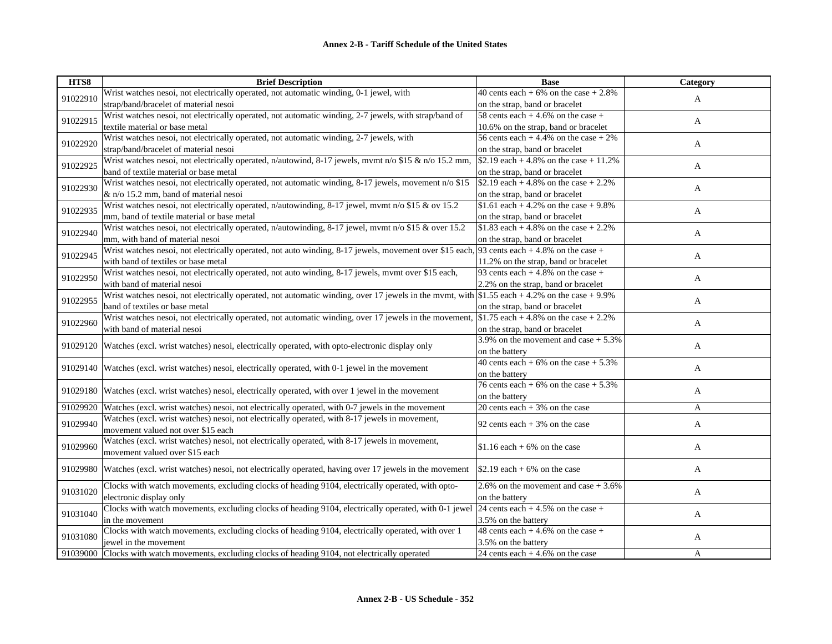| HTS8     | <b>Brief Description</b>                                                                                                                      | <b>Base</b>                               | Category     |
|----------|-----------------------------------------------------------------------------------------------------------------------------------------------|-------------------------------------------|--------------|
| 91022910 | Wrist watches nesoi, not electrically operated, not automatic winding, 0-1 jewel, with                                                        | 40 cents each $+6\%$ on the case $+2.8\%$ | $\mathbf{A}$ |
|          | strap/band/bracelet of material nesoi                                                                                                         | on the strap, band or bracelet            |              |
| 91022915 | Wrist watches nesoi, not electrically operated, not automatic winding, 2-7 jewels, with strap/band of                                         | 58 cents each $+4.6%$ on the case $+$     | A            |
|          | textile material or base metal                                                                                                                | 10.6% on the strap, band or bracelet      |              |
| 91022920 | Wrist watches nesoi, not electrically operated, not automatic winding, 2-7 jewels, with                                                       | 56 cents each $+4.4\%$ on the case $+2\%$ | A            |
|          | strap/band/bracelet of material nesoi                                                                                                         | on the strap, band or bracelet            |              |
| 91022925 | Wrist watches nesoi, not electrically operated, n/autowind, 8-17 jewels, mvmt n/o \$15 & n/o 15.2 mm,                                         | \$2.19 each + 4.8% on the case + 11.2%    | A            |
|          | band of textile material or base metal                                                                                                        | on the strap, band or bracelet            |              |
| 91022930 | Wrist watches nesoi, not electrically operated, not automatic winding, $8-17$ jewels, movement n/o \$15                                       | \$2.19 each + 4.8% on the case + 2.2%     | A            |
|          | & n/o 15.2 mm, band of material nesoi                                                                                                         | on the strap, band or bracelet            |              |
| 91022935 | Wrist watches nesoi, not electrically operated, n/autowinding, 8-17 jewel, mvmt n/o \$15 & ov 15.2                                            | \$1.61 each + 4.2% on the case + 9.8%     | A            |
|          | mm, band of textile material or base metal                                                                                                    | on the strap, band or bracelet            |              |
| 91022940 | Wrist watches nesoi, not electrically operated, n/autowinding, 8-17 jewel, mvmt n/o \$15 & over 15.2                                          | \$1.83 each + 4.8% on the case + 2.2%     |              |
|          | mm, with band of material nesoi                                                                                                               | on the strap, band or bracelet            | A            |
| 91022945 | Wrist watches nesoi, not electrically operated, not auto winding, 8-17 jewels, movement over \$15 each, 93 cents each + 4.8% on the case +    |                                           |              |
|          | with band of textiles or base metal                                                                                                           | 11.2% on the strap, band or bracelet      | A            |
|          | Wrist watches nesoi, not electrically operated, not auto winding, 8-17 jewels, mymt over \$15 each,                                           | 93 cents each $+4.8\%$ on the case $+$    |              |
| 91022950 | with band of material nesoi                                                                                                                   | 2.2% on the strap, band or bracelet       | A            |
|          | Wrist watches nesoi, not electrically operated, not automatic winding, over 17 jewels in the mvmt, with \$1.55 each + 4.2% on the case + 9.9% |                                           |              |
| 91022955 | band of textiles or base metal                                                                                                                | on the strap, band or bracelet            | A            |
|          | Wrist watches nesoi, not electrically operated, not automatic winding, over 17 jewels in the movement,                                        | \$1.75 each + 4.8% on the case + 2.2%     |              |
| 91022960 | with band of material nesoi                                                                                                                   | on the strap, band or bracelet            | A            |
|          |                                                                                                                                               | 3.9% on the movement and case $+ 5.3%$    |              |
| 91029120 | Watches (excl. wrist watches) nesoi, electrically operated, with opto-electronic display only                                                 | on the battery                            | A            |
|          |                                                                                                                                               | 40 cents each $+6\%$ on the case $+5.3\%$ |              |
| 91029140 | Watches (excl. wrist watches) nesoi, electrically operated, with 0-1 jewel in the movement                                                    | on the battery                            | A            |
|          |                                                                                                                                               | 76 cents each + $6\%$ on the case + 5.3%  |              |
| 91029180 | Watches (excl. wrist watches) nesoi, electrically operated, with over 1 jewel in the movement                                                 | on the battery                            | $\mathbf{A}$ |
| 91029920 | Watches (excl. wrist watches) nesoi, not electrically operated, with 0-7 jewels in the movement                                               | 20 cents each $+3\%$ on the case          | A            |
|          | Watches (excl. wrist watches) nesoi, not electrically operated, with 8-17 jewels in movement,                                                 |                                           |              |
| 91029940 | movement valued not over \$15 each                                                                                                            | 92 cents each $+3\%$ on the case          | A            |
|          | Watches (excl. wrist watches) nesoi, not electrically operated, with 8-17 jewels in movement,                                                 |                                           |              |
| 91029960 | movement valued over \$15 each                                                                                                                | \$1.16 each $+6\%$ on the case            | A            |
|          |                                                                                                                                               |                                           |              |
| 91029980 | Watches (excl. wrist watches) nesoi, not electrically operated, having over 17 jewels in the movement                                         | $\frac{1}{2}.19$ each + 6% on the case    | A            |
|          | Clocks with watch movements, excluding clocks of heading 9104, electrically operated, with opto-                                              | 2.6% on the movement and case $+3.6%$     |              |
| 91031020 | electronic display only                                                                                                                       | on the battery                            | A            |
|          | Clocks with watch movements, excluding clocks of heading 9104, electrically operated, with 0-1 jewel 24 cents each + 4.5% on the case +       |                                           |              |
| 91031040 | in the movement                                                                                                                               | 3.5% on the battery                       | A            |
|          | Clocks with watch movements, excluding clocks of heading 9104, electrically operated, with over 1                                             | 48 cents each $+4.6\%$ on the case +      |              |
| 91031080 | jewel in the movement                                                                                                                         | 3.5% on the battery                       | A            |
| 91039000 | Clocks with watch movements, excluding clocks of heading 9104, not electrically operated                                                      | 24 cents each $+4.6\%$ on the case        | A            |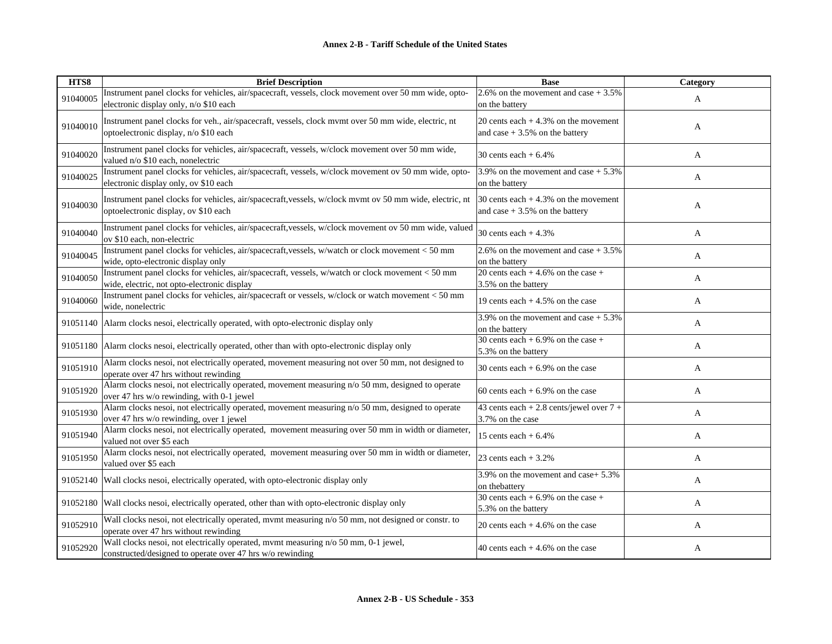| HTS8     | <b>Brief Description</b>                                                                                                                        | <b>Base</b>                                                               | Category |
|----------|-------------------------------------------------------------------------------------------------------------------------------------------------|---------------------------------------------------------------------------|----------|
| 91040005 | Instrument panel clocks for vehicles, air/spacecraft, vessels, clock movement over 50 mm wide, opto-<br>electronic display only, n/o \$10 each  | 2.6% on the movement and case $+3.5%$<br>on the battery                   | A        |
| 91040010 | Instrument panel clocks for veh., air/spacecraft, vessels, clock mvmt over 50 mm wide, electric, nt<br>optoelectronic display, n/o \$10 each    | 20 cents each $+4.3\%$ on the movement<br>and case $+3.5%$ on the battery | A        |
| 91040020 | Instrument panel clocks for vehicles, air/spacecraft, vessels, w/clock movement over 50 mm wide,<br>valued n/o \$10 each, nonelectric           | 30 cents each $+6.4%$                                                     | A        |
| 91040025 | Instrument panel clocks for vehicles, air/spacecraft, vessels, w/clock movement ov 50 mm wide, opto-<br>electronic display only, ov \$10 each   | 3.9% on the movement and case $+5.3\%$<br>on the battery                  | A        |
| 91040030 | Instrument panel clocks for vehicles, air/spacecraft, vessels, w/clock mvmt ov 50 mm wide, electric, nt<br>optoelectronic display, ov \$10 each | $30$ cents each + 4.3% on the movement<br>and case $+3.5%$ on the battery | A        |
| 91040040 | Instrument panel clocks for vehicles, air/spacecraft, vessels, w/clock movement ov 50 mm wide, valued<br>ov \$10 each, non-electric             | 30 cents each $+4.3%$                                                     | A        |
| 91040045 | Instrument panel clocks for vehicles, air/spacecraft, vessels, w/watch or clock movement < 50 mm<br>wide, opto-electronic display only          | 2.6% on the movement and case $+3.5%$<br>on the battery                   | A        |
| 91040050 | Instrument panel clocks for vehicles, air/spacecraft, vessels, w/watch or clock movement < 50 mm<br>wide, electric, not opto-electronic display | 20 cents each $+4.6\%$ on the case $+$<br>3.5% on the battery             | A        |
| 91040060 | Instrument panel clocks for vehicles, air/spacecraft or vessels, w/clock or watch movement < 50 mm<br>wide, nonelectric                         | 19 cents each $+4.5%$ on the case                                         | A        |
| 91051140 | Alarm clocks nesoi, electrically operated, with opto-electronic display only                                                                    | 3.9% on the movement and case $+ 5.3%$<br>on the battery                  | A        |
| 91051180 | Alarm clocks nesoi, electrically operated, other than with opto-electronic display only                                                         | 30 cents each + $6.9\%$ on the case +<br>5.3% on the battery              | A        |
| 91051910 | Alarm clocks nesoi, not electrically operated, movement measuring not over 50 mm, not designed to<br>operate over 47 hrs without rewinding      | 30 cents each $+6.9\%$ on the case                                        | A        |
| 91051920 | Alarm clocks nesoi, not electrically operated, movement measuring $n/0$ 50 mm, designed to operate<br>over 47 hrs w/o rewinding, with 0-1 jewel | 60 cents each $+6.9%$ on the case                                         | A        |
| 91051930 | Alarm clocks nesoi, not electrically operated, movement measuring n/o 50 mm, designed to operate<br>over 47 hrs w/o rewinding, over 1 jewel     | 43 cents each + 2.8 cents/jewel over 7 +<br>3.7% on the case              | A        |
| 91051940 | Alarm clocks nesoi, not electrically operated, movement measuring over 50 mm in width or diameter,<br>valued not over \$5 each                  | 15 cents each $+6.4\%$                                                    | A        |
| 91051950 | Alarm clocks nesoi, not electrically operated, movement measuring over 50 mm in width or diameter,<br>valued over \$5 each                      | 23 cents each $+3.2%$                                                     | A        |
| 91052140 | Wall clocks nesoi, electrically operated, with opto-electronic display only                                                                     | 3.9% on the movement and case+ 5.3%<br>on the battery                     | A        |
| 91052180 | Wall clocks nesoi, electrically operated, other than with opto-electronic display only                                                          | 30 cents each $+6.9\%$ on the case $+$<br>5.3% on the battery             | A        |
| 91052910 | Wall clocks nesoi, not electrically operated, mvmt measuring n/o 50 mm, not designed or constr. to<br>operate over 47 hrs without rewinding     | 20 cents each $+4.6\%$ on the case                                        | A        |
| 91052920 | Wall clocks nesoi, not electrically operated, mvmt measuring n/o 50 mm, 0-1 jewel,<br>constructed/designed to operate over 47 hrs w/o rewinding | 40 cents each $+4.6\%$ on the case                                        | A        |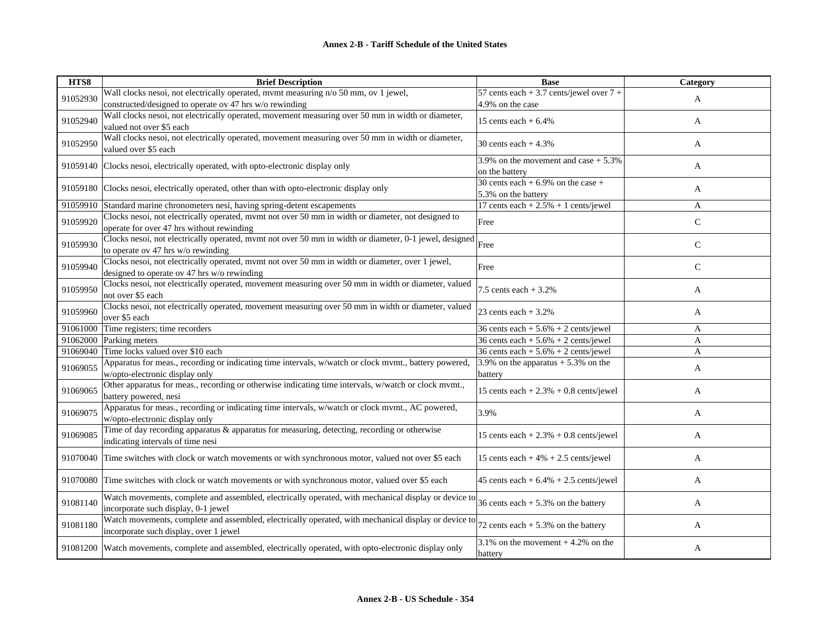| HTS8     | <b>Brief Description</b>                                                                                                                        | <b>Base</b>                                                  | Category     |
|----------|-------------------------------------------------------------------------------------------------------------------------------------------------|--------------------------------------------------------------|--------------|
| 91052930 | Wall clocks nesoi, not electrically operated, mvmt measuring n/o 50 mm, ov 1 jewel,<br>constructed/designed to operate ov 47 hrs w/o rewinding  | 57 cents each + 3.7 cents/jewel over 7 +<br>4.9% on the case | A            |
| 91052940 | Wall clocks nesoi, not electrically operated, movement measuring over 50 mm in width or diameter,<br>valued not over \$5 each                   | 15 cents each $+6.4%$                                        | A            |
| 91052950 | Wall clocks nesoi, not electrically operated, movement measuring over 50 mm in width or diameter,<br>valued over \$5 each                       | 30 cents each $+4.3\%$                                       | A            |
| 91059140 | Clocks nesoi, electrically operated, with opto-electronic display only                                                                          | $3.9\%$ on the movement and case + 5.3%<br>on the battery    | A            |
| 91059180 | Clocks nesoi, electrically operated, other than with opto-electronic display only                                                               | 30 cents each + $6.9\%$ on the case +<br>5.3% on the battery | A            |
| 91059910 | Standard marine chronometers nesi, having spring-detent escapements                                                                             | 17 cents each $+ 2.5% + 1$ cents/jewel                       | A            |
| 91059920 | Clocks nesoi, not electrically operated, mvmt not over 50 mm in width or diameter, not designed to<br>operate for over 47 hrs without rewinding | Free                                                         | $\mathsf{C}$ |
| 91059930 | Clocks nesoi, not electrically operated, mvmt not over 50 mm in width or diameter, 0-1 jewel, designed<br>to operate ov 47 hrs w/o rewinding    | Free                                                         | $\mathsf{C}$ |
| 91059940 | Clocks nesoi, not electrically operated, mvmt not over 50 mm in width or diameter, over 1 jewel,<br>designed to operate ov 47 hrs w/o rewinding | Free                                                         | $\mathsf{C}$ |
| 91059950 | Clocks nesoi, not electrically operated, movement measuring over 50 mm in width or diameter, valued<br>not over \$5 each                        | 7.5 cents each $+3.2%$                                       | A            |
| 91059960 | Clocks nesoi, not electrically operated, movement measuring over 50 mm in width or diameter, valued<br>over \$5 each                            | 23 cents each $+3.2%$                                        | A            |
| 91061000 | Time registers; time recorders                                                                                                                  | 36 cents each $+ 5.6\% + 2$ cents/jewel                      | A            |
| 91062000 | Parking meters                                                                                                                                  | 36 cents each + $5.6\%$ + 2 cents/jewel                      | A            |
| 91069040 | Time locks valued over \$10 each                                                                                                                | 36 cents each $+ 5.6\% + 2$ cents/jewel                      | A            |
| 91069055 | Apparatus for meas., recording or indicating time intervals, w/watch or clock mvmt., battery powered,<br>w/opto-electronic display only         | 3.9% on the apparatus $+$ 5.3% on the<br>battery             | A            |
| 91069065 | Other apparatus for meas., recording or otherwise indicating time intervals, w/watch or clock mvmt.,<br>battery powered, nesi                   | 15 cents each $+2.3% + 0.8$ cents/jewel                      | A            |
| 91069075 | Apparatus for meas., recording or indicating time intervals, w/watch or clock mvmt., AC powered,<br>w/opto-electronic display only              | 3.9%                                                         | A            |
| 91069085 | Time of day recording apparatus & apparatus for measuring, detecting, recording or otherwise<br>indicating intervals of time nesi               | 15 cents each $+ 2.3% + 0.8$ cents/jewel                     | A            |
| 91070040 | Time switches with clock or watch movements or with synchronous motor, valued not over \$5 each                                                 | 15 cents each $+4\% + 2.5$ cents/jewel                       | A            |
| 91070080 | Time switches with clock or watch movements or with synchronous motor, valued over \$5 each                                                     | 45 cents each $+ 6.4\% + 2.5$ cents/jewel                    | A            |
| 91081140 | Watch movements, complete and assembled, electrically operated, with mechanical display or device to<br>incorporate such display, 0-1 jewel     | 36 cents each $+ 5.3%$ on the battery                        | A            |
| 91081180 | Watch movements, complete and assembled, electrically operated, with mechanical display or device to<br>incorporate such display, over 1 jewel  | 72 cents each $+$ 5.3% on the battery                        | A            |
| 91081200 | Watch movements, complete and assembled, electrically operated, with opto-electronic display only                                               | 3.1% on the movement $+4.2%$ on the<br>battery               | A            |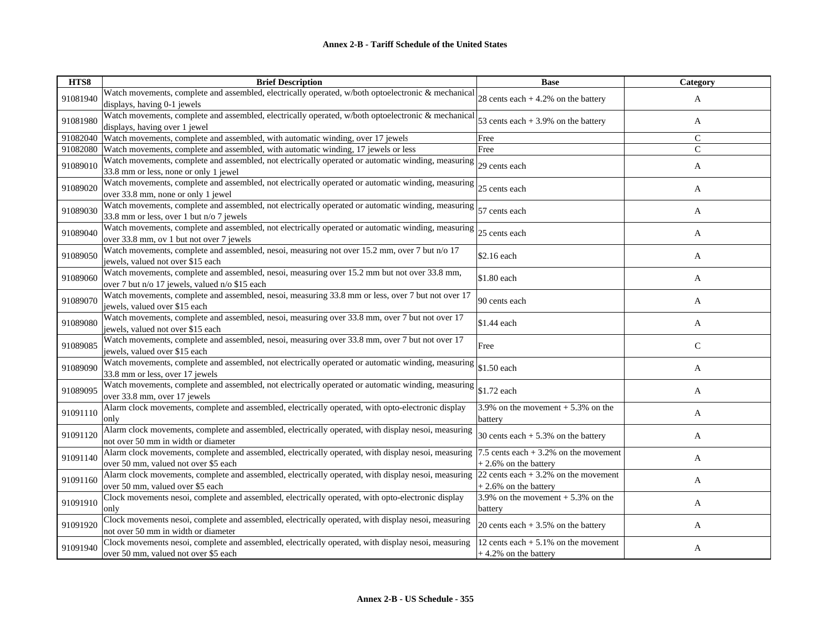| HTS8     | <b>Brief Description</b>                                                                                                                       | <b>Base</b>                                                        | Category     |
|----------|------------------------------------------------------------------------------------------------------------------------------------------------|--------------------------------------------------------------------|--------------|
| 91081940 | Watch movements, complete and assembled, electrically operated, w/both optoelectronic & mechanical<br>displays, having 0-1 jewels              | 28 cents each $+4.2%$ on the battery                               | A            |
| 91081980 | Watch movements, complete and assembled, electrically operated, w/both optoelectronic & mechanical<br>displays, having over 1 jewel            | 53 cents each $+3.9%$ on the battery                               | A            |
| 91082040 | Watch movements, complete and assembled, with automatic winding, over 17 jewels                                                                | Free                                                               | $\mathsf{C}$ |
| 91082080 | Watch movements, complete and assembled, with automatic winding, 17 jewels or less                                                             | Free                                                               | $\mathsf{C}$ |
| 91089010 | Watch movements, complete and assembled, not electrically operated or automatic winding, measuring<br>33.8 mm or less, none or only 1 jewel    | 29 cents each                                                      | A            |
| 91089020 | Watch movements, complete and assembled, not electrically operated or automatic winding, measuring<br>over 33.8 mm, none or only 1 jewel       | 25 cents each                                                      | A            |
| 91089030 | Watch movements, complete and assembled, not electrically operated or automatic winding, measuring<br>33.8 mm or less, over 1 but n/o 7 jewels | 57 cents each                                                      | A            |
| 91089040 | Watch movements, complete and assembled, not electrically operated or automatic winding, measuring<br>over 33.8 mm, ov 1 but not over 7 jewels | 25 cents each                                                      | A            |
| 91089050 | Watch movements, complete and assembled, nesoi, measuring not over 15.2 mm, over 7 but n/o 17<br>jewels, valued not over \$15 each             | \$2.16 each                                                        | A            |
| 91089060 | Watch movements, complete and assembled, nesoi, measuring over 15.2 mm but not over 33.8 mm,<br>over 7 but n/o 17 jewels, valued n/o \$15 each | \$1.80 each                                                        | A            |
| 91089070 | Watch movements, complete and assembled, nesoi, measuring 33.8 mm or less, over 7 but not over 17<br>jewels, valued over \$15 each             | 90 cents each                                                      | A            |
| 91089080 | Watch movements, complete and assembled, nesoi, measuring over 33.8 mm, over 7 but not over 17<br>jewels, valued not over \$15 each            | \$1.44 each                                                        | A            |
| 91089085 | Watch movements, complete and assembled, nesoi, measuring over 33.8 mm, over 7 but not over 17<br>jewels, valued over \$15 each                | Free                                                               | $\mathsf{C}$ |
| 91089090 | Watch movements, complete and assembled, not electrically operated or automatic winding, measuring<br>33.8 mm or less, over 17 jewels          | \$1.50 each                                                        | A            |
| 91089095 | Watch movements, complete and assembled, not electrically operated or automatic winding, measuring<br>over 33.8 mm, over 17 jewels             | \$1.72 each                                                        | A            |
| 91091110 | Alarm clock movements, complete and assembled, electrically operated, with opto-electronic display<br>only                                     | 3.9% on the movement $+$ 5.3% on the<br>battery                    | A            |
| 91091120 | Alarm clock movements, complete and assembled, electrically operated, with display nesoi, measuring<br>not over 50 mm in width or diameter     | 30 cents each $+ 5.3%$ on the battery                              | A            |
| 91091140 | Alarm clock movements, complete and assembled, electrically operated, with display nesoi, measuring<br>over 50 mm, valued not over \$5 each    | 7.5 cents each $+3.2\%$ on the movement<br>$+2.6\%$ on the battery | A            |
| 91091160 | Alarm clock movements, complete and assembled, electrically operated, with display nesoi, measuring<br>over 50 mm, valued over \$5 each        | 22 cents each $+3.2\%$ on the movement<br>$+2.6\%$ on the battery  | A            |
| 91091910 | Clock movements nesoi, complete and assembled, electrically operated, with opto-electronic display<br>only                                     | 3.9% on the movement $+$ 5.3% on the<br>battery                    | A            |
| 91091920 | Clock movements nesoi, complete and assembled, electrically operated, with display nesoi, measuring<br>not over 50 mm in width or diameter     | 20 cents each $+3.5%$ on the battery                               | A            |
| 91091940 | Clock movements nesoi, complete and assembled, electrically operated, with display nesoi, measuring<br>over 50 mm, valued not over \$5 each    | 12 cents each $+5.1\%$ on the movement<br>$+4.2%$ on the battery   | A            |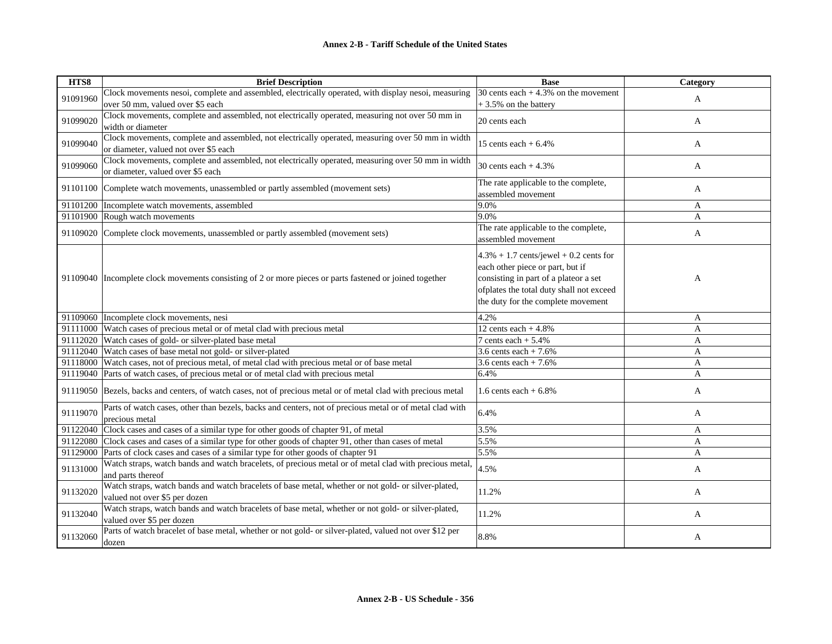| HTS8     | <b>Brief Description</b>                                                                                                    | <b>Base</b>                               | Category     |
|----------|-----------------------------------------------------------------------------------------------------------------------------|-------------------------------------------|--------------|
| 91091960 | Clock movements nesoi, complete and assembled, electrically operated, with display nesoi, measuring                         | 30 cents each $+4.3\%$ on the movement    | A            |
|          | over 50 mm, valued over \$5 each                                                                                            | +3.5% on the battery                      |              |
| 91099020 | Clock movements, complete and assembled, not electrically operated, measuring not over 50 mm in<br>width or diameter        | 20 cents each                             | A            |
|          | Clock movements, complete and assembled, not electrically operated, measuring over 50 mm in width                           |                                           |              |
| 91099040 | or diameter, valued not over \$5 each                                                                                       | 15 cents each $+6.4\%$                    | $\mathbf{A}$ |
|          | Clock movements, complete and assembled, not electrically operated, measuring over 50 mm in width                           |                                           |              |
| 91099060 | or diameter, valued over \$5 each                                                                                           | 30 cents each $+4.3%$                     | A            |
|          |                                                                                                                             | The rate applicable to the complete,      |              |
|          | 91101100 Complete watch movements, unassembled or partly assembled (movement sets)                                          | assembled movement                        | A            |
|          | 91101200   Incomplete watch movements, assembled                                                                            | 9.0%                                      | A            |
|          | 91101900 Rough watch movements                                                                                              | 9.0%                                      | A            |
|          | 91109020 Complete clock movements, unassembled or partly assembled (movement sets)                                          | The rate applicable to the complete,      |              |
|          |                                                                                                                             | assembled movement                        | A            |
|          |                                                                                                                             | $4.3\% + 1.7$ cents/jewel + 0.2 cents for |              |
|          |                                                                                                                             | each other piece or part, but if          |              |
|          | 91109040   Incomplete clock movements consisting of 2 or more pieces or parts fastened or joined together                   | consisting in part of a plateor a set     | A            |
|          |                                                                                                                             | ofplates the total duty shall not exceed  |              |
|          |                                                                                                                             | the duty for the complete movement        |              |
|          |                                                                                                                             |                                           |              |
|          | 91109060 Incomplete clock movements, nesi                                                                                   | 4.2%                                      | A            |
|          | 91111000 Watch cases of precious metal or of metal clad with precious metal                                                 | 12 cents each $+4.8%$                     | A            |
|          | 91112020 Watch cases of gold- or silver-plated base metal                                                                   | 7 cents each $+ 5.4%$                     | $\mathbf{A}$ |
|          | 91112040 Watch cases of base metal not gold- or silver-plated                                                               | 3.6 cents each $+7.6%$                    | $\mathbf{A}$ |
|          | 91118000 Watch cases, not of precious metal, of metal clad with precious metal or of base metal                             | 3.6 cents each $+ 7.6%$                   | A            |
|          | 91119040 Parts of watch cases, of precious metal or of metal clad with precious metal                                       | 6.4%                                      | A            |
|          | 91119050 Bezels, backs and centers, of watch cases, not of precious metal or of metal clad with precious metal              | 1.6 cents each $+6.8\%$                   | A            |
| 91119070 | Parts of watch cases, other than bezels, backs and centers, not of precious metal or of metal clad with                     | 6.4%                                      | A            |
|          | precious metal                                                                                                              |                                           |              |
|          | 91122040 Clock cases and cases of a similar type for other goods of chapter 91, of metal                                    | 3.5%                                      | $\mathbf{A}$ |
|          | 91122080 Clock cases and cases of a similar type for other goods of chapter 91, other than cases of metal                   | 5.5%                                      | $\mathbf{A}$ |
|          | 91129000 Parts of clock cases and cases of a similar type for other goods of chapter 91                                     | 5.5%                                      | A            |
| 91131000 | Watch straps, watch bands and watch bracelets, of precious metal or of metal clad with precious metal,<br>and parts thereof | 4.5%                                      | A            |
|          | Watch straps, watch bands and watch bracelets of base metal, whether or not gold- or silver-plated,                         |                                           |              |
| 91132020 | valued not over \$5 per dozen                                                                                               | 11.2%                                     | A            |
|          | Watch straps, watch bands and watch bracelets of base metal, whether or not gold- or silver-plated,                         |                                           |              |
| 91132040 | valued over \$5 per dozen                                                                                                   | 11.2%                                     | A            |
|          | Parts of watch bracelet of base metal, whether or not gold- or silver-plated, valued not over \$12 per                      |                                           |              |
| 91132060 | dozen                                                                                                                       | 8.8%                                      | $\mathbf{A}$ |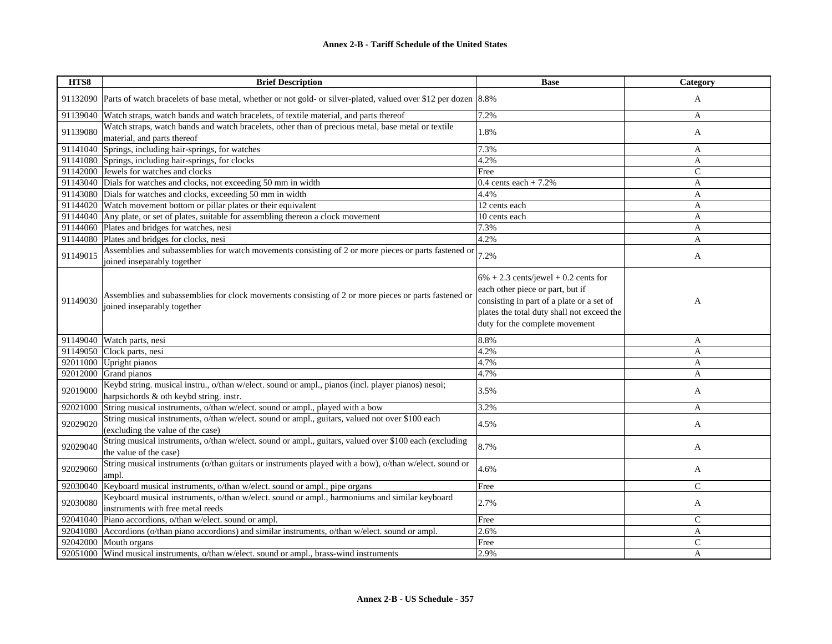| HTS8     | <b>Brief Description</b>                                                                                                                      | <b>Base</b>                                                                                                                                                                                              | Category      |
|----------|-----------------------------------------------------------------------------------------------------------------------------------------------|----------------------------------------------------------------------------------------------------------------------------------------------------------------------------------------------------------|---------------|
|          | 91132090 Parts of watch bracelets of base metal, whether or not gold- or silver-plated, valued over \$12 per dozen 8.8%                       |                                                                                                                                                                                                          | A             |
|          | 91139040 Watch straps, watch bands and watch bracelets, of textile material, and parts thereof                                                | 7.2%                                                                                                                                                                                                     | A             |
| 91139080 | Watch straps, watch bands and watch bracelets, other than of precious metal, base metal or textile<br>material, and parts thereof             | 1.8%                                                                                                                                                                                                     | A             |
|          | 91141040 Springs, including hair-springs, for watches                                                                                         | 7.3%                                                                                                                                                                                                     | A             |
|          | 91141080 Springs, including hair-springs, for clocks                                                                                          | 4.2%                                                                                                                                                                                                     | A             |
|          | 91142000 Jewels for watches and clocks                                                                                                        | Free                                                                                                                                                                                                     | $\mathcal{C}$ |
|          | 91143040 Dials for watches and clocks, not exceeding 50 mm in width                                                                           | 0.4 cents each + $7.2\%$                                                                                                                                                                                 | A             |
|          | 91143080 Dials for watches and clocks, exceeding 50 mm in width                                                                               | 4.4%                                                                                                                                                                                                     | A             |
|          | 91144020 Watch movement bottom or pillar plates or their equivalent                                                                           | 12 cents each                                                                                                                                                                                            | A             |
|          | 91144040 Any plate, or set of plates, suitable for assembling thereon a clock movement                                                        | 10 cents each                                                                                                                                                                                            | A             |
|          | 91144060 Plates and bridges for watches, nesi                                                                                                 | 7.3%                                                                                                                                                                                                     | A             |
|          | 91144080 Plates and bridges for clocks, nesi                                                                                                  | 4.2%                                                                                                                                                                                                     | A             |
| 91149015 | Assemblies and subassemblies for watch movements consisting of 2 or more pieces or parts fastened or<br>joined inseparably together           | 7.2%                                                                                                                                                                                                     | A             |
| 91149030 | Assemblies and subassemblies for clock movements consisting of 2 or more pieces or parts fastened or<br>joined inseparably together           | $6\% + 2.3$ cents/jewel + 0.2 cents for<br>each other piece or part, but if<br>consisting in part of a plate or a set of<br>plates the total duty shall not exceed the<br>duty for the complete movement | A             |
|          | 91149040 Watch parts, nesi                                                                                                                    | 8.8%                                                                                                                                                                                                     | A             |
|          | 91149050 Clock parts, nesi                                                                                                                    | 4.2%                                                                                                                                                                                                     | $\mathsf{A}$  |
|          | 92011000 Upright pianos                                                                                                                       | 4.7%                                                                                                                                                                                                     | A             |
|          | 92012000 Grand pianos                                                                                                                         | 4.7%                                                                                                                                                                                                     | A             |
| 92019000 | Keybd string. musical instru., o/than w/elect. sound or ampl., pianos (incl. player pianos) nesoi;<br>harpsichords & oth keybd string. instr. | 3.5%                                                                                                                                                                                                     | A             |
|          | 92021000 String musical instruments, o/than w/elect. sound or ampl., played with a bow                                                        | 3.2%                                                                                                                                                                                                     | A             |
| 92029020 | String musical instruments, o/than w/elect. sound or ampl., guitars, valued not over \$100 each<br>(excluding the value of the case)          | 4.5%                                                                                                                                                                                                     | A             |
| 92029040 | String musical instruments, o/than w/elect. sound or ampl., guitars, valued over \$100 each (excluding<br>the value of the case)              | 8.7%                                                                                                                                                                                                     | A             |
| 92029060 | String musical instruments (o/than guitars or instruments played with a bow), o/than w/elect. sound or<br>ampl.                               | 4.6%                                                                                                                                                                                                     | A             |
|          | 92030040 Keyboard musical instruments, o/than w/elect. sound or ampl., pipe organs                                                            | Free                                                                                                                                                                                                     | $\mathcal{C}$ |
| 92030080 | Keyboard musical instruments, o/than w/elect. sound or ampl., harmoniums and similar keyboard<br>instruments with free metal reeds            | 2.7%                                                                                                                                                                                                     | A             |
|          | 92041040 Piano accordions, o/than w/elect. sound or ampl.                                                                                     | Free                                                                                                                                                                                                     | $\mathsf{C}$  |
|          | 92041080 Accordions (o/than piano accordions) and similar instruments, o/than w/elect. sound or ampl.                                         | 2.6%                                                                                                                                                                                                     | A             |
|          | 92042000 Mouth organs                                                                                                                         | Free                                                                                                                                                                                                     | $\mathsf{C}$  |
|          | 92051000 Wind musical instruments, o/than w/elect. sound or ampl., brass-wind instruments                                                     | 2.9%                                                                                                                                                                                                     | A             |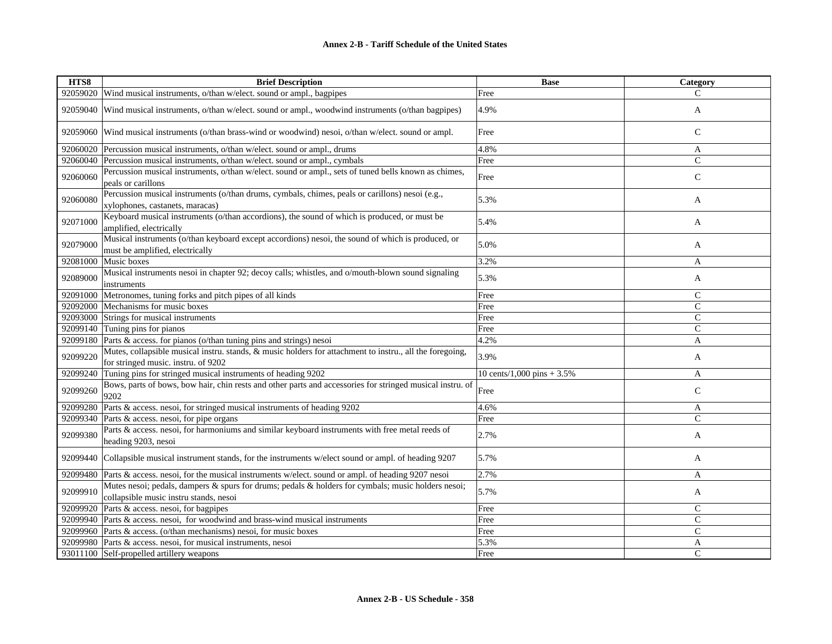| HTS8     | <b>Brief Description</b>                                                                                                                        | <b>Base</b>                 | Category      |
|----------|-------------------------------------------------------------------------------------------------------------------------------------------------|-----------------------------|---------------|
|          | 92059020 Wind musical instruments, o/than w/elect. sound or ampl., bagpipes                                                                     | Free                        | C             |
| 92059040 | Wind musical instruments, o/than w/elect. sound or ampl., woodwind instruments (o/than bagpipes)                                                | 4.9%                        | A             |
|          | 92059060 Wind musical instruments (o/than brass-wind or woodwind) nesoi, o/than w/elect. sound or ampl.                                         | Free                        | $\mathcal{C}$ |
|          | 92060020 Percussion musical instruments, o/than w/elect. sound or ampl., drums                                                                  | 4.8%                        | A             |
|          | 92060040 Percussion musical instruments, o/than w/elect. sound or ampl., cymbals                                                                | Free                        | $\mathsf{C}$  |
| 92060060 | Percussion musical instruments, o/than w/elect. sound or ampl., sets of tuned bells known as chimes,<br>peals or carillons                      | Free                        | $\mathsf{C}$  |
| 92060080 | Percussion musical instruments (o/than drums, cymbals, chimes, peals or carillons) nesoi (e.g.,<br>xylophones, castanets, maracas)              | 5.3%                        | A             |
| 92071000 | Keyboard musical instruments (o/than accordions), the sound of which is produced, or must be<br>amplified, electrically                         | 5.4%                        | A             |
| 92079000 | Musical instruments (o/than keyboard except accordions) nesoi, the sound of which is produced, or<br>must be amplified, electrically            | 5.0%                        | A             |
|          | 92081000 Music boxes                                                                                                                            | 3.2%                        | A             |
| 92089000 | Musical instruments nesoi in chapter 92; decoy calls; whistles, and o/mouth-blown sound signaling<br>instruments                                | 5.3%                        | A             |
| 92091000 | Metronomes, tuning forks and pitch pipes of all kinds                                                                                           | Free                        | $\mathsf{C}$  |
|          | 92092000 Mechanisms for music boxes                                                                                                             | Free                        | $\mathbf C$   |
|          | 92093000 Strings for musical instruments                                                                                                        | Free                        | $\mathcal{C}$ |
|          | 92099140 Tuning pins for pianos                                                                                                                 | Free                        | $\mathsf{C}$  |
|          | 92099180 Parts & access. for pianos (o/than tuning pins and strings) nesoi                                                                      | 4.2%                        | A             |
| 92099220 | Mutes, collapsible musical instru. stands, & music holders for attachment to instru., all the foregoing,<br>for stringed music. instru. of 9202 | 3.9%                        | A             |
| 92099240 | Tuning pins for stringed musical instruments of heading 9202                                                                                    | 10 cents/1,000 pins $+3.5%$ | $\mathbf{A}$  |
| 92099260 | Bows, parts of bows, bow hair, chin rests and other parts and accessories for stringed musical instru. of<br>9202                               | Free                        | $\mathsf{C}$  |
| 92099280 | Parts & access. nesoi, for stringed musical instruments of heading 9202                                                                         | 4.6%                        | A             |
|          | 92099340 Parts & access. nesoi, for pipe organs                                                                                                 | Free                        | $\mathsf{C}$  |
| 92099380 | Parts & access. nesoi, for harmoniums and similar keyboard instruments with free metal reeds of<br>heading 9203, nesoi                          | 2.7%                        | A             |
|          | 92099440 Collapsible musical instrument stands, for the instruments w/elect sound or ampl. of heading 9207                                      | 5.7%                        | A             |
|          | 92099480 Parts & access. nesoi, for the musical instruments w/elect. sound or ampl. of heading 9207 nesoi                                       | 2.7%                        | A             |
| 92099910 | Mutes nesoi; pedals, dampers & spurs for drums; pedals & holders for cymbals; music holders nesoi;<br>collapsible music instru stands, nesoi    | 5.7%                        | A             |
|          | 92099920 Parts & access. nesoi, for bagpipes                                                                                                    | Free                        | $\mathsf{C}$  |
|          | 92099940 Parts & access. nesoi, for woodwind and brass-wind musical instruments                                                                 | Free                        | $\mathsf{C}$  |
|          | 92099960 Parts & access. (o/than mechanisms) nesoi, for music boxes                                                                             | Free                        | $\mathsf{C}$  |
|          | 92099980 Parts & access. nesoi, for musical instruments, nesoi                                                                                  | 5.3%                        | A             |
|          | 93011100 Self-propelled artillery weapons                                                                                                       | Free                        | $\mathcal{C}$ |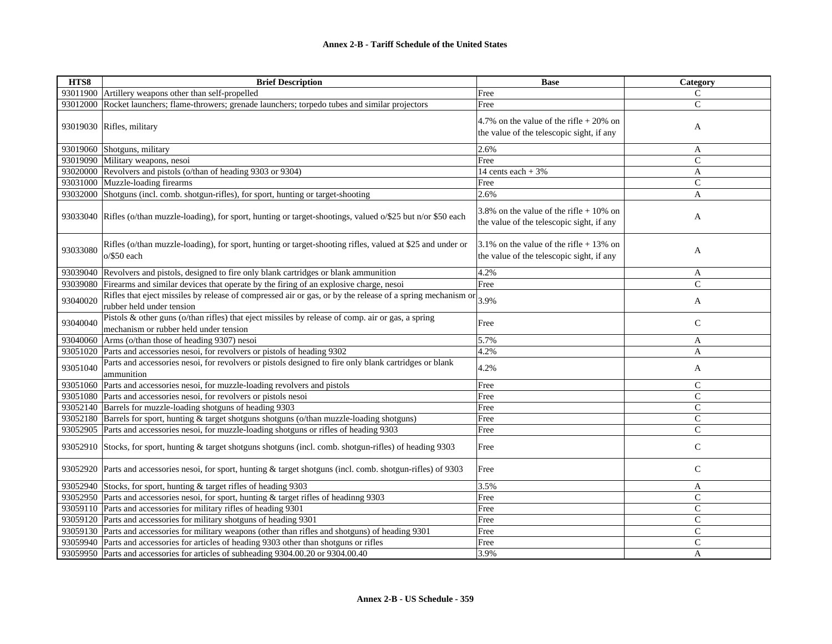| HTS8     | <b>Brief Description</b>                                                                                                                    | <b>Base</b>                                                                            | Category       |
|----------|---------------------------------------------------------------------------------------------------------------------------------------------|----------------------------------------------------------------------------------------|----------------|
|          | 93011900 Artillery weapons other than self-propelled                                                                                        | Free                                                                                   | C              |
|          | 93012000 Rocket launchers; flame-throwers; grenade launchers; torpedo tubes and similar projectors                                          | Free                                                                                   | $\mathsf{C}$   |
|          | 93019030 Rifles, military                                                                                                                   | 4.7% on the value of the rifle $+20\%$ on<br>the value of the telescopic sight, if any | A              |
|          | 93019060 Shotguns, military                                                                                                                 | 2.6%                                                                                   | A              |
|          | 93019090 Military weapons, nesoi                                                                                                            | Free                                                                                   | C              |
|          | 93020000 Revolvers and pistols (o/than of heading 9303 or 9304)                                                                             | 14 cents each $+3%$                                                                    | A              |
|          | 93031000 Muzzle-loading firearms                                                                                                            | Free                                                                                   | $\mathcal{C}$  |
|          | 93032000 Shotguns (incl. comb. shotgun-rifles), for sport, hunting or target-shooting                                                       | 2.6%                                                                                   | $\mathbf{A}$   |
|          | 93033040 Rifles (o/than muzzle-loading), for sport, hunting or target-shootings, valued o/\$25 but n/or \$50 each                           | 3.8% on the value of the rifle $+10\%$ on<br>the value of the telescopic sight, if any | A              |
| 93033080 | Rifles (o/than muzzle-loading), for sport, hunting or target-shooting rifles, valued at \$25 and under or<br>$o$ /\$50 each                 | 3.1% on the value of the rifle $+$ 13% on<br>the value of the telescopic sight, if any | A              |
|          | 93039040 Revolvers and pistols, designed to fire only blank cartridges or blank ammunition                                                  | 4.2%                                                                                   | A              |
| 93039080 | Firearms and similar devices that operate by the firing of an explosive charge, nesoi                                                       | Free                                                                                   | $\mathsf{C}$   |
| 93040020 | Rifles that eject missiles by release of compressed air or gas, or by the release of a spring mechanism or<br>rubber held under tension     | 3.9%                                                                                   | A              |
| 93040040 | Pistols & other guns (o/than rifles) that eject missiles by release of comp. air or gas, a spring<br>mechanism or rubber held under tension | Free                                                                                   | $\mathcal{C}$  |
|          | 93040060 Arms (o/than those of heading 9307) nesoi                                                                                          | 5.7%                                                                                   | A              |
|          | 93051020 Parts and accessories nesoi, for revolvers or pistols of heading 9302                                                              | 4.2%                                                                                   | A              |
| 93051040 | Parts and accessories nesoi, for revolvers or pistols designed to fire only blank cartridges or blank<br>ammunition                         | 4.2%                                                                                   | A              |
|          | 93051060 Parts and accessories nesoi, for muzzle-loading revolvers and pistols                                                              | Free                                                                                   | $\mathsf{C}$   |
|          | 93051080 Parts and accessories nesoi, for revolvers or pistols nesoi                                                                        | Free                                                                                   | $\mathsf{C}$   |
|          | 93052140 Barrels for muzzle-loading shotguns of heading 9303                                                                                | Free                                                                                   | $\overline{C}$ |
| 93052180 | Barrels for sport, hunting & target shotguns shotguns (o/than muzzle-loading shotguns)                                                      | Free                                                                                   | $\mathcal{C}$  |
|          | 93052905 Parts and accessories nesoi, for muzzle-loading shotguns or rifles of heading 9303                                                 | Free                                                                                   | $\overline{C}$ |
|          | 93052910 Stocks, for sport, hunting & target shotguns shotguns (incl. comb. shotgun-rifles) of heading 9303                                 | Free                                                                                   | $\mathsf{C}$   |
|          | 93052920 Parts and accessories nesoi, for sport, hunting & target shotguns (incl. comb. shotgun-rifles) of 9303                             | Free                                                                                   | $\mathsf{C}$   |
|          | 93052940 Stocks, for sport, hunting & target rifles of heading 9303                                                                         | 3.5%                                                                                   | A              |
|          | 93052950 Parts and accessories nesoi, for sport, hunting & target rifles of headinng 9303                                                   | Free                                                                                   | $\mathsf{C}$   |
|          | 93059110 Parts and accessories for military rifles of heading 9301                                                                          | Free                                                                                   | $\mathbf C$    |
|          | 93059120 Parts and accessories for military shotguns of heading 9301                                                                        | Free                                                                                   | $\mathcal{C}$  |
|          | 93059130 Parts and accessories for military weapons (other than rifles and shotguns) of heading 9301                                        | Free                                                                                   | $\overline{C}$ |
|          | 93059940 Parts and accessories for articles of heading 9303 other than shotguns or rifles                                                   | Free                                                                                   | $\mathsf{C}$   |
|          | 93059950 Parts and accessories for articles of subheading 9304.00.20 or 9304.00.40                                                          | 3.9%                                                                                   | A              |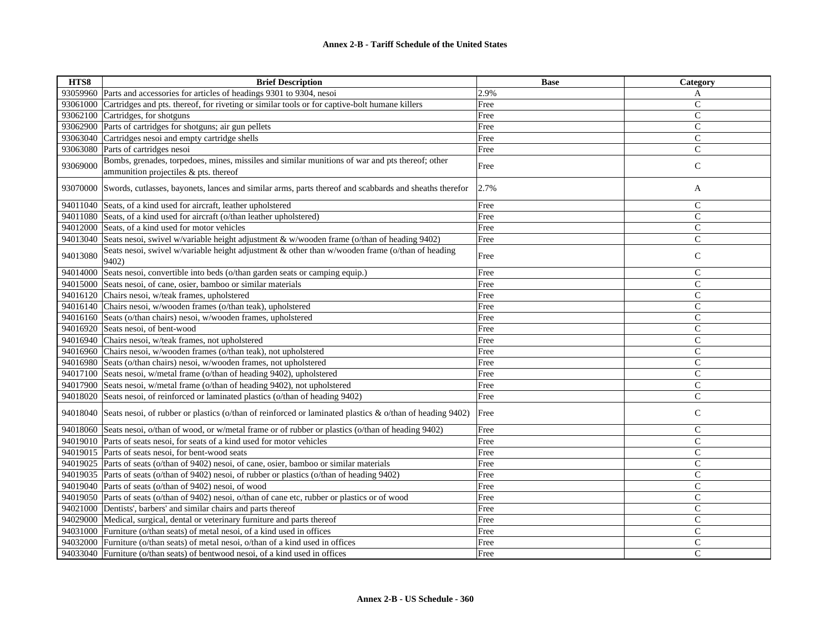| HTS8     | <b>Brief Description</b>                                                                                                                 | <b>Base</b> | Category      |
|----------|------------------------------------------------------------------------------------------------------------------------------------------|-------------|---------------|
|          | 93059960 Parts and accessories for articles of headings 9301 to 9304, nesoi                                                              | 2.9%        | A             |
| 93061000 | Cartridges and pts. thereof, for riveting or similar tools or for captive-bolt humane killers                                            | Free        | $\mathbf C$   |
| 93062100 | Cartridges, for shotguns                                                                                                                 | Free        | $\mathsf{C}$  |
| 93062900 | Parts of cartridges for shotguns; air gun pellets                                                                                        | Free        | $\mathsf{C}$  |
| 93063040 | Cartridges nesoi and empty cartridge shells                                                                                              | Free        | $\mathsf{C}$  |
| 93063080 | Parts of cartridges nesoi                                                                                                                | Free        | $\mathsf{C}$  |
| 93069000 | Bombs, grenades, torpedoes, mines, missiles and similar munitions of war and pts thereof; other<br>ammunition projectiles & pts. thereof | Free        | $\mathbf C$   |
| 93070000 | Swords, cutlasses, bayonets, lances and similar arms, parts thereof and scabbards and sheaths therefor                                   | 2.7%        | A             |
| 94011040 | Seats, of a kind used for aircraft, leather upholstered                                                                                  | Free        | $\mathsf{C}$  |
|          | 94011080 Seats, of a kind used for aircraft (o/than leather upholstered)                                                                 | Free        | $\mathsf{C}$  |
|          | 94012000 Seats, of a kind used for motor vehicles                                                                                        | Free        | $\mathsf{C}$  |
| 94013040 | Seats nesoi, swivel w/variable height adjustment & w/wooden frame (o/than of heading 9402)                                               | Free        | $\mathsf{C}$  |
| 94013080 | Seats nesoi, swivel w/variable height adjustment & other than w/wooden frame (o/than of heading<br>9402)                                 | Free        | $\mathcal{C}$ |
| 94014000 | Seats nesoi, convertible into beds (o/than garden seats or camping equip.)                                                               | Free        | $\mathsf{C}$  |
| 94015000 | Seats nesoi, of cane, osier, bamboo or similar materials                                                                                 | Free        | $\mathsf{C}$  |
| 94016120 | Chairs nesoi, w/teak frames, upholstered                                                                                                 | Free        | $\mathsf{C}$  |
| 94016140 | Chairs nesoi, w/wooden frames (o/than teak), upholstered                                                                                 | Free        | $\mathsf{C}$  |
|          | 94016160 Seats (o/than chairs) nesoi, w/wooden frames, upholstered                                                                       | Free        | $\mathsf{C}$  |
| 94016920 | Seats nesoi, of bent-wood                                                                                                                | Free        | $\mathsf{C}$  |
|          | 94016940 Chairs nesoi, w/teak frames, not upholstered                                                                                    | Free        | $\mathsf{C}$  |
|          | 94016960 Chairs nesoi, w/wooden frames (o/than teak), not upholstered                                                                    | Free        | $\mathsf{C}$  |
|          | 94016980 Seats (o/than chairs) nesoi, w/wooden frames, not upholstered                                                                   | Free        | $\mathsf{C}$  |
| 94017100 | Seats nesoi, w/metal frame (o/than of heading 9402), upholstered                                                                         | Free        | $\mathsf{C}$  |
|          | 94017900 Seats nesoi, w/metal frame (o/than of heading 9402), not upholstered                                                            | Free        | $\mathsf{C}$  |
| 94018020 | Seats nesoi, of reinforced or laminated plastics (o/than of heading 9402)                                                                | Free        | $\mathsf{C}$  |
| 94018040 | Seats nesoi, of rubber or plastics (o/than of reinforced or laminated plastics & o/than of heading 9402)                                 | Free        | $\mathsf{C}$  |
|          | 94018060 Seats nesoi, o/than of wood, or w/metal frame or of rubber or plastics (o/than of heading 9402)                                 | Free        | $\mathsf{C}$  |
| 94019010 | Parts of seats nesoi, for seats of a kind used for motor vehicles                                                                        | Free        | $\mathsf{C}$  |
| 94019015 | Parts of seats nesoi, for bent-wood seats                                                                                                | Free        | $\mathsf{C}$  |
| 94019025 | Parts of seats (o/than of 9402) nesoi, of cane, osier, bamboo or similar materials                                                       | Free        | $\mathsf{C}$  |
|          | 94019035 Parts of seats (o/than of 9402) nesoi, of rubber or plastics (o/than of heading 9402)                                           | Free        | $\mathsf{C}$  |
|          | 94019040 Parts of seats (o/than of 9402) nesoi, of wood                                                                                  | Free        | $\mathsf{C}$  |
|          | 94019050 Parts of seats (o/than of 9402) nesoi, o/than of cane etc, rubber or plastics or of wood                                        | Free        | $\mathsf{C}$  |
|          | 94021000 Dentists', barbers' and similar chairs and parts thereof                                                                        | Free        | $\mathcal{C}$ |
|          | 94029000 Medical, surgical, dental or veterinary furniture and parts thereof                                                             | Free        | $\mathsf{C}$  |
|          | 94031000 Furniture (o/than seats) of metal nesoi, of a kind used in offices                                                              | Free        | $\mathsf{C}$  |
| 94032000 | Furniture (o/than seats) of metal nesoi, o/than of a kind used in offices                                                                | Free        | $\mathsf{C}$  |
|          | 94033040 Furniture (o/than seats) of bentwood nesoi, of a kind used in offices                                                           | Free        | Ċ             |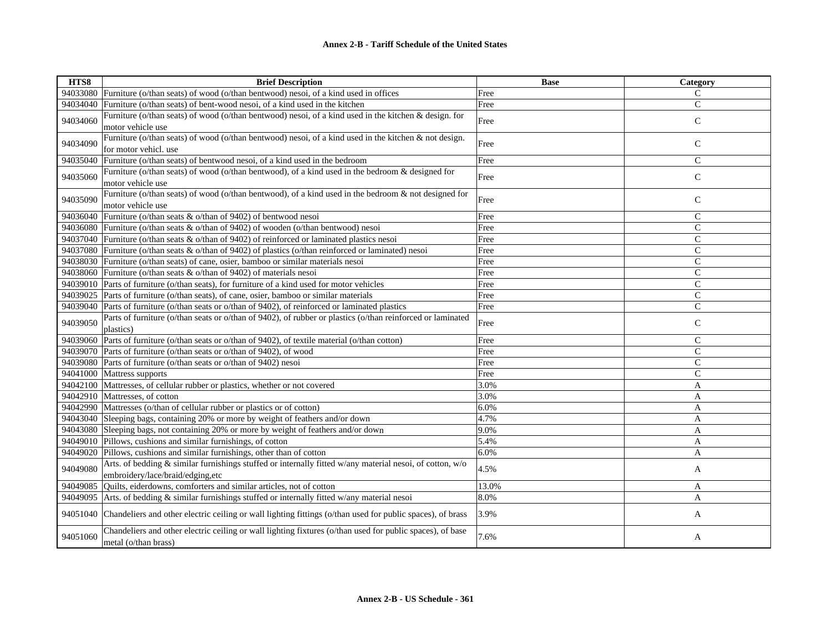| HTS8     | <b>Brief Description</b>                                                                                                                     | <b>Base</b> | Category      |
|----------|----------------------------------------------------------------------------------------------------------------------------------------------|-------------|---------------|
|          | 94033080 Furniture (o/than seats) of wood (o/than bentwood) nesoi, of a kind used in offices                                                 | Free        | C             |
| 94034040 | Furniture (o/than seats) of bent-wood nesoi, of a kind used in the kitchen                                                                   | Free        | $\mathsf{C}$  |
| 94034060 | Furniture (o/than seats) of wood (o/than bentwood) nesoi, of a kind used in the kitchen & design. for                                        | Free        | $\mathsf{C}$  |
|          | motor vehicle use                                                                                                                            |             |               |
| 94034090 | Furniture (o/than seats) of wood (o/than bentwood) nesoi, of a kind used in the kitchen & not design.<br>for motor vehicl. use               | Free        | $\mathsf{C}$  |
| 94035040 | Furniture (o/than seats) of bentwood nesoi, of a kind used in the bedroom                                                                    | Free        | $\mathcal{C}$ |
|          | Furniture (o/than seats) of wood (o/than bentwood), of a kind used in the bedroom & designed for                                             |             |               |
| 94035060 | motor vehicle use                                                                                                                            | Free        | $\mathsf{C}$  |
| 94035090 | Furniture (o/than seats) of wood (o/than bentwood), of a kind used in the bedroom & not designed for<br>motor vehicle use                    | Free        | $\mathsf{C}$  |
| 94036040 | Furniture (o/than seats & o/than of 9402) of bentwood nesoi                                                                                  | Free        | $\mathsf{C}$  |
|          | 94036080 Furniture (o/than seats & o/than of 9402) of wooden (o/than bentwood) nesoi                                                         | Free        | $\mathsf{C}$  |
|          | 94037040 Furniture (o/than seats & o/than of 9402) of reinforced or laminated plastics nesoi                                                 | Free        | $\mathsf{C}$  |
|          | 94037080 Furniture (o/than seats & o/than of 9402) of plastics (o/than reinforced or laminated) nesoi                                        | Free        | $\mathsf{C}$  |
|          | 94038030 Furniture (o/than seats) of cane, osier, bamboo or similar materials nesoi                                                          | Free        | $\mathsf{C}$  |
| 94038060 | Furniture (o/than seats $\&$ o/than of 9402) of materials nesoi                                                                              | Free        | $\mathsf{C}$  |
|          | 94039010 Parts of furniture (o/than seats), for furniture of a kind used for motor vehicles                                                  | Free        | $\mathcal{C}$ |
|          | 94039025 Parts of furniture (o/than seats), of cane, osier, bamboo or similar materials                                                      | Free        | $\mathcal{C}$ |
| 94039040 | Parts of furniture (o/than seats or o/than of 9402), of reinforced or laminated plastics                                                     | Free        | $\mathsf{C}$  |
| 94039050 | Parts of furniture (o/than seats or o/than of 9402), of rubber or plastics (o/than reinforced or laminated<br>plastics)                      | Free        | $\mathbf C$   |
|          | 94039060 Parts of furniture (o/than seats or o/than of 9402), of textile material (o/than cotton)                                            | Free        | $\mathsf{C}$  |
|          | 94039070 Parts of furniture (o/than seats or o/than of 9402), of wood                                                                        | Free        | $\mathsf{C}$  |
|          | 94039080 Parts of furniture (o/than seats or o/than of 9402) nesoi                                                                           | Free        | $\mathsf{C}$  |
| 94041000 | Mattress supports                                                                                                                            | Free        | $\mathsf{C}$  |
|          | 94042100 Mattresses, of cellular rubber or plastics, whether or not covered                                                                  | 3.0%        | $\mathbf{A}$  |
|          | 94042910 Mattresses, of cotton                                                                                                               | 3.0%        | A             |
|          | 94042990 Mattresses (o/than of cellular rubber or plastics or of cotton)                                                                     | 6.0%        | A             |
|          | 94043040 Sleeping bags, containing 20% or more by weight of feathers and/or down                                                             | 4.7%        | A             |
|          | 94043080 Sleeping bags, not containing 20% or more by weight of feathers and/or down                                                         | 9.0%        | A             |
|          | 94049010 Pillows, cushions and similar furnishings, of cotton                                                                                | 5.4%        | A             |
| 94049020 | Pillows, cushions and similar furnishings, other than of cotton                                                                              | 6.0%        | A             |
| 94049080 | Arts. of bedding & similar furnishings stuffed or internally fitted w/any material nesoi, of cotton, w/o<br>embroidery/lace/braid/edging,etc | 4.5%        | A             |
| 94049085 | Quilts, eiderdowns, comforters and similar articles, not of cotton                                                                           | 13.0%       | A             |
|          | 94049095 Arts. of bedding $\&$ similar furnishings stuffed or internally fitted w/any material nesoi                                         | 8.0%        | A             |
| 94051040 | Chandeliers and other electric ceiling or wall lighting fittings (o/than used for public spaces), of brass                                   | 3.9%        | A             |
| 94051060 | Chandeliers and other electric ceiling or wall lighting fixtures (o/than used for public spaces), of base<br>metal (o/than brass)            | 7.6%        | $\mathbf{A}$  |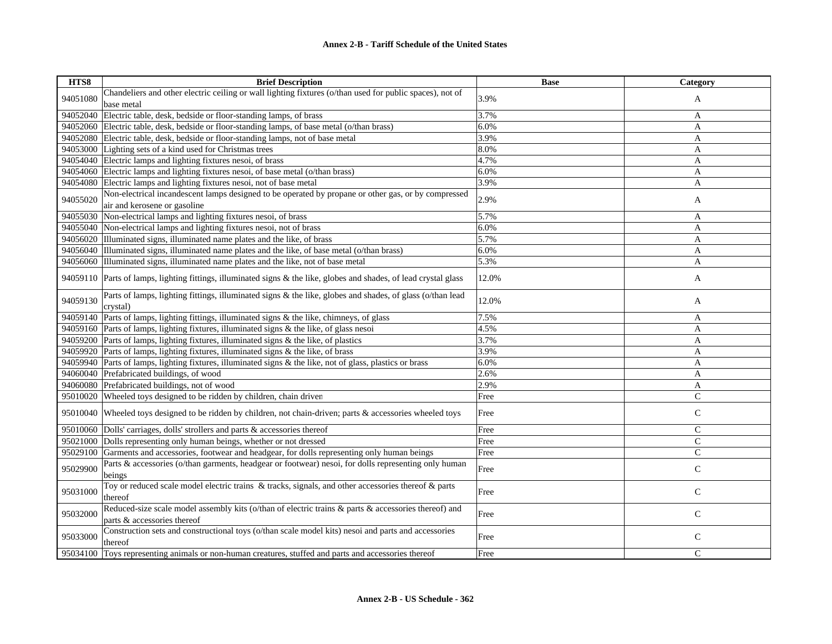| HTS8     | <b>Brief Description</b>                                                                                                            | <b>Base</b> | Category       |
|----------|-------------------------------------------------------------------------------------------------------------------------------------|-------------|----------------|
| 94051080 | Chandeliers and other electric ceiling or wall lighting fixtures (o/than used for public spaces), not of                            | 3.9%        | A              |
|          | base metal                                                                                                                          |             |                |
| 94052040 | Electric table, desk, bedside or floor-standing lamps, of brass                                                                     | 3.7%        | A              |
|          | 94052060 Electric table, desk, bedside or floor-standing lamps, of base metal (o/than brass)                                        | 6.0%        | A              |
|          | 94052080 Electric table, desk, bedside or floor-standing lamps, not of base metal                                                   | 3.9%        | A              |
| 94053000 | Lighting sets of a kind used for Christmas trees                                                                                    | 8.0%        | A              |
| 94054040 | Electric lamps and lighting fixtures nesoi, of brass                                                                                | 4.7%        | A              |
| 94054060 | Electric lamps and lighting fixtures nesoi, of base metal (o/than brass)                                                            | 6.0%        | A              |
|          | 94054080 Electric lamps and lighting fixtures nesoi, not of base metal                                                              | 3.9%        | A              |
| 94055020 | Non-electrical incandescent lamps designed to be operated by propane or other gas, or by compressed                                 | 2.9%        |                |
|          | air and kerosene or gasoline                                                                                                        |             | A              |
| 94055030 | Non-electrical lamps and lighting fixtures nesoi, of brass                                                                          | 5.7%        | A              |
| 94055040 | Non-electrical lamps and lighting fixtures nesoi, not of brass                                                                      | 6.0%        | A              |
| 94056020 | Illuminated signs, illuminated name plates and the like, of brass                                                                   | 5.7%        | A              |
| 94056040 | Illuminated signs, illuminated name plates and the like, of base metal (o/than brass)                                               | 6.0%        | A              |
| 94056060 | Illuminated signs, illuminated name plates and the like, not of base metal                                                          | 5.3%        | $\overline{A}$ |
|          | 94059110 Parts of lamps, lighting fittings, illuminated signs & the like, globes and shades, of lead crystal glass                  | 12.0%       | A              |
| 94059130 | Parts of lamps, lighting fittings, illuminated signs & the like, globes and shades, of glass (o/than lead<br>crystal)               | 12.0%       | A              |
| 94059140 | Parts of lamps, lighting fittings, illuminated signs & the like, chimneys, of glass                                                 | 7.5%        | A              |
| 94059160 | Parts of lamps, lighting fixtures, illuminated signs & the like, of glass nesoi                                                     | 4.5%        | A              |
|          | 94059200 Parts of lamps, lighting fixtures, illuminated signs & the like, of plastics                                               | 3.7%        | A              |
|          | 94059920 Parts of lamps, lighting fixtures, illuminated signs & the like, of brass                                                  | 3.9%        | A              |
| 94059940 | Parts of lamps, lighting fixtures, illuminated signs & the like, not of glass, plastics or brass                                    | 6.0%        | A              |
| 94060040 | Prefabricated buildings, of wood                                                                                                    | 2.6%        | A              |
|          | 94060080 Prefabricated buildings, not of wood                                                                                       | 2.9%        | A              |
|          | 95010020 Wheeled toys designed to be ridden by children, chain driven                                                               | Free        | $\mathbf C$    |
| 95010040 | Wheeled to ys designed to be ridden by children, not chain-driven; parts & accessories wheeled toys                                 | Free        | $\mathsf C$    |
|          | 95010060 Dolls' carriages, dolls' strollers and parts & accessories thereof                                                         | Free        | $\mathsf{C}$   |
| 95021000 | Dolls representing only human beings, whether or not dressed                                                                        | Free        | $\mathbf C$    |
| 95029100 | Garments and accessories, footwear and headgear, for dolls representing only human beings                                           | Free        | $\mathsf{C}$   |
| 95029900 | Parts & accessories (o/than garments, headgear or footwear) nesoi, for dolls representing only human<br>beings                      | Free        | $\mathbf C$    |
| 95031000 | Toy or reduced scale model electric trains & tracks, signals, and other accessories thereof & parts<br>thereof                      | Free        | $\mathcal{C}$  |
| 95032000 | Reduced-size scale model assembly kits (o/than of electric trains & parts & accessories thereof) and<br>parts & accessories thereof | Free        | $\mathbf C$    |
| 95033000 | Construction sets and constructional toys (o/than scale model kits) nesoi and parts and accessories<br>thereof                      | Free        | $\mathsf{C}$   |
| 95034100 | Toys representing animals or non-human creatures, stuffed and parts and accessories thereof                                         | Free        | $\mathcal{C}$  |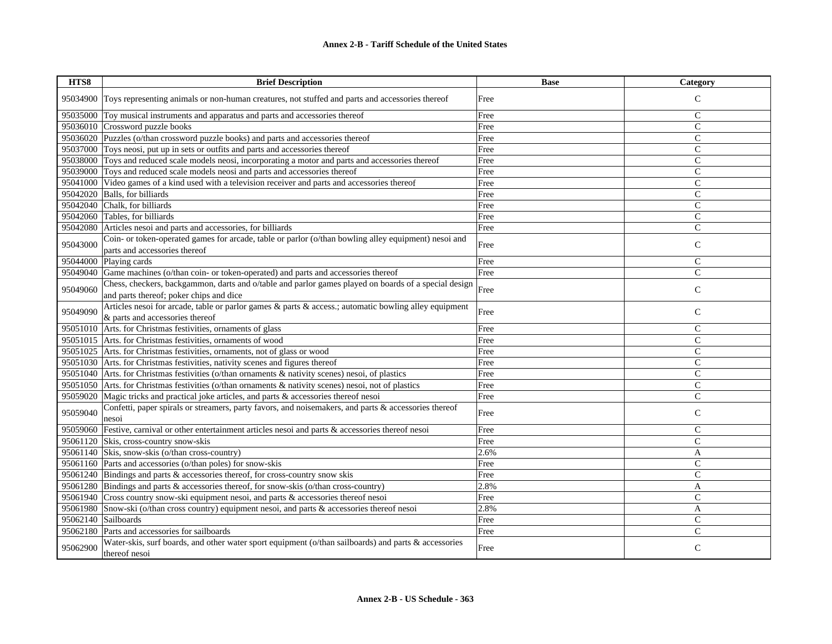| HTS8                | <b>Brief Description</b>                                                                                                                        | <b>Base</b> | <b>Category</b> |
|---------------------|-------------------------------------------------------------------------------------------------------------------------------------------------|-------------|-----------------|
| 95034900            | Toys representing animals or non-human creatures, not stuffed and parts and accessories thereof                                                 | Free        | $\mathcal{C}$   |
| 95035000            | Toy musical instruments and apparatus and parts and accessories thereof                                                                         | Free        | C               |
| 95036010            | Crossword puzzle books                                                                                                                          | Free        | $\mathcal{C}$   |
|                     | 95036020 Puzzles (o/than crossword puzzle books) and parts and accessories thereof                                                              | Free        | $\mathsf{C}$    |
| 95037000            | Toys neosi, put up in sets or outfits and parts and accessories thereof                                                                         | Free        | $\mathsf{C}$    |
|                     | 95038000 Toys and reduced scale models neosi, incorporating a motor and parts and accessories thereof                                           | Free        | $\mathsf{C}$    |
|                     | 95039000 Toys and reduced scale models neosi and parts and accessories thereof                                                                  | Free        | $\mathsf{C}$    |
| 95041000            | Video games of a kind used with a television receiver and parts and accessories thereof                                                         | Free        | $\mathsf{C}$    |
| 95042020            | Balls, for billiards                                                                                                                            | Free        | $\mathcal{C}$   |
| 95042040            | Chalk, for billiards                                                                                                                            | Free        | $\mathsf{C}$    |
|                     | 95042060 Tables, for billiards                                                                                                                  | Free        | $\overline{C}$  |
| 95042080            | Articles nesoi and parts and accessories, for billiards                                                                                         | Free        | $\mathbf C$     |
| 95043000            | Coin- or token-operated games for arcade, table or parlor (o/than bowling alley equipment) nesoi and<br>parts and accessories thereof           | Free        | $\mathsf C$     |
| 95044000            | Playing cards                                                                                                                                   | Free        | $\mathbf C$     |
| 95049040            | Game machines (o/than coin- or token-operated) and parts and accessories thereof                                                                | Free        | $\mathcal{C}$   |
| 95049060            | Chess, checkers, backgammon, darts and o/table and parlor games played on boards of a special design<br>and parts thereof; poker chips and dice | Free        | $\mathsf{C}$    |
| 95049090            | Articles nesoi for arcade, table or parlor games & parts & access.; automatic bowling alley equipment<br>& parts and accessories thereof        | Free        | $\mathsf{C}$    |
| 95051010            | Arts. for Christmas festivities, ornaments of glass                                                                                             | Free        | C               |
|                     | 95051015 Arts. for Christmas festivities, ornaments of wood                                                                                     | Free        | $\mathbf C$     |
|                     | 95051025 Arts. for Christmas festivities, ornaments, not of glass or wood                                                                       | Free        | $\mathcal{C}$   |
|                     | 95051030 Arts. for Christmas festivities, nativity scenes and figures thereof                                                                   | Free        | $\mathsf{C}$    |
| 95051040            | Arts. for Christmas festivities (o/than ornaments & nativity scenes) nesoi, of plastics                                                         | Free        | $\mathsf{C}$    |
|                     | 95051050 Arts. for Christmas festivities (o/than ornaments & nativity scenes) nesoi, not of plastics                                            | Free        | $\mathbf C$     |
| 95059020            | Magic tricks and practical joke articles, and parts & accessories thereof nesoi                                                                 | Free        | $\mathbf C$     |
| 95059040            | Confetti, paper spirals or streamers, party favors, and noisemakers, and parts & accessories thereof<br>nesoi                                   | Free        | $\mathbf C$     |
|                     | 95059060 Festive, carnival or other entertainment articles nesoi and parts & accessories thereof nesoi                                          | Free        | $\mathbf C$     |
|                     | 95061120 Skis, cross-country snow-skis                                                                                                          | Free        | $\mathbf C$     |
|                     | 95061140 Skis, snow-skis (o/than cross-country)                                                                                                 | 2.6%        | A               |
|                     | 95061160 Parts and accessories (o/than poles) for snow-skis                                                                                     | Free        | C               |
|                     | 95061240 Bindings and parts $\&$ accessories thereof, for cross-country snow skis                                                               | Free        | $\mathbf C$     |
|                     | 95061280 Bindings and parts $\&$ accessories thereof, for snow-skis (o/than cross-country)                                                      | 2.8%        | A               |
|                     | 95061940 Cross country snow-ski equipment nesoi, and parts & accessories thereof nesoi                                                          | Free        | C               |
|                     | 95061980 Snow-ski (o/than cross country) equipment nesoi, and parts & accessories thereof nesoi                                                 | 2.8%        | A               |
| 95062140 Sailboards |                                                                                                                                                 | Free        | $\mathsf{C}$    |
| 95062180            | Parts and accessories for sailboards                                                                                                            | Free        | $\mathbf C$     |
| 95062900            | Water-skis, surf boards, and other water sport equipment (o/than sailboards) and parts & accessories<br>thereof nesoi                           | Free        | $\mathsf{C}$    |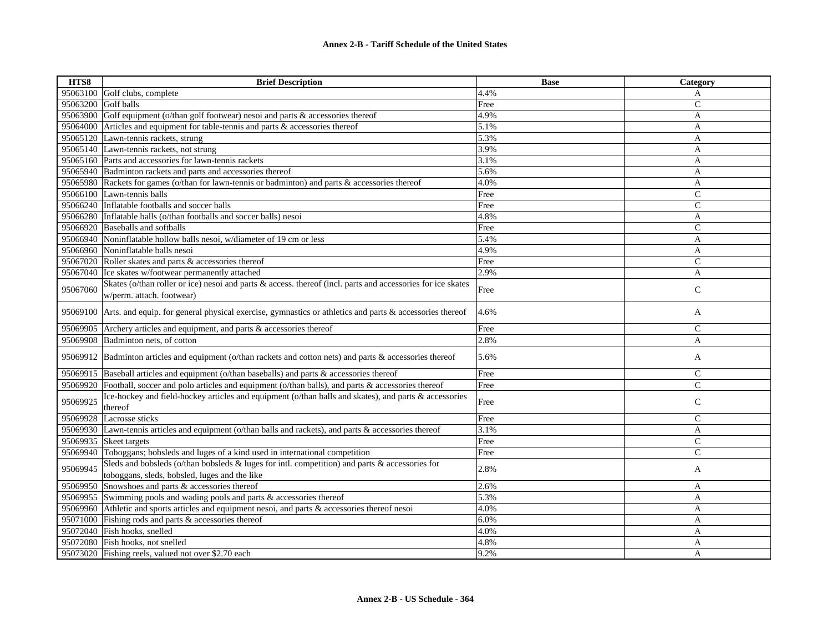| HTS8     | <b>Brief Description</b>                                                                                                                        | <b>Base</b> | Category       |
|----------|-------------------------------------------------------------------------------------------------------------------------------------------------|-------------|----------------|
|          | 95063100 Golf clubs, complete                                                                                                                   | 4.4%        | A              |
| 95063200 | Golf balls                                                                                                                                      | Free        | $\mathsf{C}$   |
| 95063900 | Golf equipment (o/than golf footwear) nesoi and parts & accessories thereof                                                                     | 4.9%        | A              |
| 95064000 | Articles and equipment for table-tennis and parts & accessories thereof                                                                         | 5.1%        | A              |
|          | 95065120 Lawn-tennis rackets, strung                                                                                                            | 5.3%        | A              |
|          | 95065140 Lawn-tennis rackets, not strung                                                                                                        | 3.9%        | A              |
|          | 95065160 Parts and accessories for lawn-tennis rackets                                                                                          | 3.1%        | A              |
|          | 95065940 Badminton rackets and parts and accessories thereof                                                                                    | 5.6%        | A              |
|          | 95065980 Rackets for games (o/than for lawn-tennis or badminton) and parts & accessories thereof                                                | 4.0%        | A              |
|          | 95066100 Lawn-tennis balls                                                                                                                      | Free        | $\mathcal{C}$  |
|          | 95066240 Inflatable footballs and soccer balls                                                                                                  | Free        | $\mathsf{C}$   |
|          | 95066280 Inflatable balls (o/than footballs and soccer balls) nesoi                                                                             | 4.8%        | A              |
|          | 95066920 Baseballs and softballs                                                                                                                | Free        | $\mathsf{C}$   |
|          | 95066940 Noninflatable hollow balls nesoi, w/diameter of 19 cm or less                                                                          | 5.4%        | A              |
|          | 95066960 Noninflatable balls nesoi                                                                                                              | 4.9%        | A              |
|          | 95067020 Roller skates and parts & accessories thereof                                                                                          | Free        | $\overline{C}$ |
|          | 95067040 Ice skates w/footwear permanently attached                                                                                             | 2.9%        | $\mathbf{A}$   |
| 95067060 | Skates (o/than roller or ice) nesoi and parts & access. thereof (incl. parts and accessories for ice skates                                     | Free        | $\mathsf{C}$   |
|          | w/perm. attach. footwear)                                                                                                                       |             |                |
|          | 95069100 Arts. and equip. for general physical exercise, gymnastics or athletics and parts & accessories thereof                                | 4.6%        | A              |
| 95069905 | Archery articles and equipment, and parts & accessories thereof                                                                                 | Free        | $\mathsf C$    |
| 95069908 | Badminton nets, of cotton                                                                                                                       | 2.8%        | A              |
|          | 95069912 Badminton articles and equipment (o/than rackets and cotton nets) and parts & accessories thereof                                      | 5.6%        | A              |
|          | 95069915 Baseball articles and equipment (o/than baseballs) and parts & accessories thereof                                                     | Free        | $\mathsf{C}$   |
| 95069920 | Football, soccer and polo articles and equipment (o/than balls), and parts & accessories thereof                                                | Free        | $\mathcal{C}$  |
| 95069925 | Ice-hockey and field-hockey articles and equipment (o/than balls and skates), and parts & accessories<br>thereof                                | Free        | $\mathsf{C}$   |
| 95069928 | Lacrosse sticks                                                                                                                                 | Free        | $\mathsf{C}$   |
|          | 95069930 Lawn-tennis articles and equipment (o/than balls and rackets), and parts & accessories thereof                                         | 3.1%        | A              |
|          | 95069935 Skeet targets                                                                                                                          | Free        | $\mathcal{C}$  |
| 95069940 | Toboggans; bobsleds and luges of a kind used in international competition                                                                       | Free        | $\mathsf{C}$   |
| 95069945 | Sleds and bobsleds (o/than bobsleds & luges for intl. competition) and parts & accessories for<br>toboggans, sleds, bobsled, luges and the like | 2.8%        | A              |
| 95069950 | Snowshoes and parts & accessories thereof                                                                                                       | 2.6%        | A              |
| 95069955 | Swimming pools and wading pools and parts & accessories thereof                                                                                 | 5.3%        | A              |
| 95069960 | Athletic and sports articles and equipment nesoi, and parts & accessories thereof nesoi                                                         | 4.0%        | A              |
|          | 95071000 Fishing rods and parts & accessories thereof                                                                                           | 6.0%        | A              |
|          | 95072040 Fish hooks, snelled                                                                                                                    | 4.0%        | A              |
|          | 95072080 Fish hooks, not snelled                                                                                                                | 4.8%        | A              |
|          | 95073020 Fishing reels, valued not over \$2.70 each                                                                                             | 9.2%        | A              |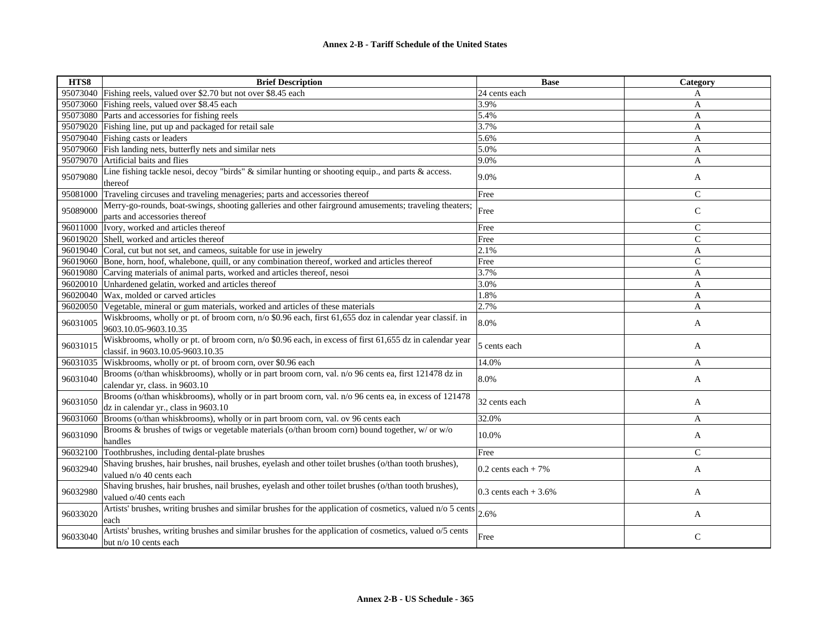| HTS8     | <b>Brief Description</b>                                                                                                                     | <b>Base</b>            | Category      |
|----------|----------------------------------------------------------------------------------------------------------------------------------------------|------------------------|---------------|
|          | 95073040 Fishing reels, valued over \$2.70 but not over \$8.45 each                                                                          | 24 cents each          | A             |
| 95073060 | Fishing reels, valued over \$8.45 each                                                                                                       | 3.9%                   | A             |
| 95073080 | Parts and accessories for fishing reels                                                                                                      | 5.4%                   | A             |
| 95079020 | Fishing line, put up and packaged for retail sale                                                                                            | 3.7%                   | A             |
| 95079040 | Fishing casts or leaders                                                                                                                     | 5.6%                   | $\mathbf{A}$  |
| 95079060 | Fish landing nets, butterfly nets and similar nets                                                                                           | 5.0%                   | A             |
| 95079070 | Artificial baits and flies                                                                                                                   | 9.0%                   | A             |
| 95079080 | Line fishing tackle nesoi, decoy "birds" & similar hunting or shooting equip., and parts & access.<br>thereof                                | 9.0%                   | A             |
| 95081000 | Traveling circuses and traveling menageries; parts and accessories thereof                                                                   | Free                   | $\mathsf{C}$  |
| 95089000 | Merry-go-rounds, boat-swings, shooting galleries and other fairground amusements; traveling theaters;<br>parts and accessories thereof       | Free                   | $\mathcal{C}$ |
| 96011000 | Ivory, worked and articles thereof                                                                                                           | Free                   | $\mathsf{C}$  |
|          | 96019020 Shell, worked and articles thereof                                                                                                  | Free                   | $\mathsf{C}$  |
|          | 96019040 Coral, cut but not set, and cameos, suitable for use in jewelry                                                                     | 2.1%                   | A             |
| 96019060 | Bone, horn, hoof, whalebone, quill, or any combination thereof, worked and articles thereof                                                  | Free                   | $\mathsf{C}$  |
| 96019080 | Carving materials of animal parts, worked and articles thereof, nesoi                                                                        | 3.7%                   | A             |
| 96020010 | Unhardened gelatin, worked and articles thereof                                                                                              | 3.0%                   | A             |
| 96020040 | Wax, molded or carved articles                                                                                                               | 1.8%                   | A             |
| 96020050 | Vegetable, mineral or gum materials, worked and articles of these materials                                                                  | 2.7%                   | A             |
| 96031005 | Wiskbrooms, wholly or pt. of broom corn, n/o \$0.96 each, first 61,655 doz in calendar year classif. in<br>9603.10.05-9603.10.35             | 8.0%                   | A             |
| 96031015 | Wiskbrooms, wholly or pt. of broom corn, n/o \$0.96 each, in excess of first 61,655 dz in calendar year<br>classif. in 9603.10.05-9603.10.35 | 5 cents each           | A             |
| 96031035 | Wiskbrooms, wholly or pt. of broom corn, over \$0.96 each                                                                                    | 14.0%                  | A             |
| 96031040 | Brooms (o/than whiskbrooms), wholly or in part broom corn, val. n/o 96 cents ea, first 121478 dz in<br>calendar yr, class. in 9603.10        | 8.0%                   | A             |
| 96031050 | Brooms (o/than whiskbrooms), wholly or in part broom corn, val. n/o 96 cents ea, in excess of 121478<br>dz in calendar yr., class in 9603.10 | 32 cents each          | A             |
| 96031060 | Brooms (o/than whiskbrooms), wholly or in part broom corn, val. ov 96 cents each                                                             | 32.0%                  | A             |
| 96031090 | Brooms & brushes of twigs or vegetable materials (o/than broom corn) bound together, w/ or w/o<br>handles                                    | 10.0%                  | A             |
| 96032100 | Toothbrushes, including dental-plate brushes                                                                                                 | Free                   | $\mathsf{C}$  |
| 96032940 | Shaving brushes, hair brushes, nail brushes, eyelash and other toilet brushes (o/than tooth brushes),<br>valued n/o 40 cents each            | $0.2$ cents each + 7%  | A             |
| 96032980 | Shaving brushes, hair brushes, nail brushes, eyelash and other toilet brushes (o/than tooth brushes),<br>valued o/40 cents each              | 0.3 cents each $+3.6%$ | A             |
| 96033020 | Artists' brushes, writing brushes and similar brushes for the application of cosmetics, valued n/o 5 cents<br>each                           | 2.6%                   | A             |
| 96033040 | Artists' brushes, writing brushes and similar brushes for the application of cosmetics, valued o/5 cents<br>but n/o 10 cents each            | Free                   | $\mathsf{C}$  |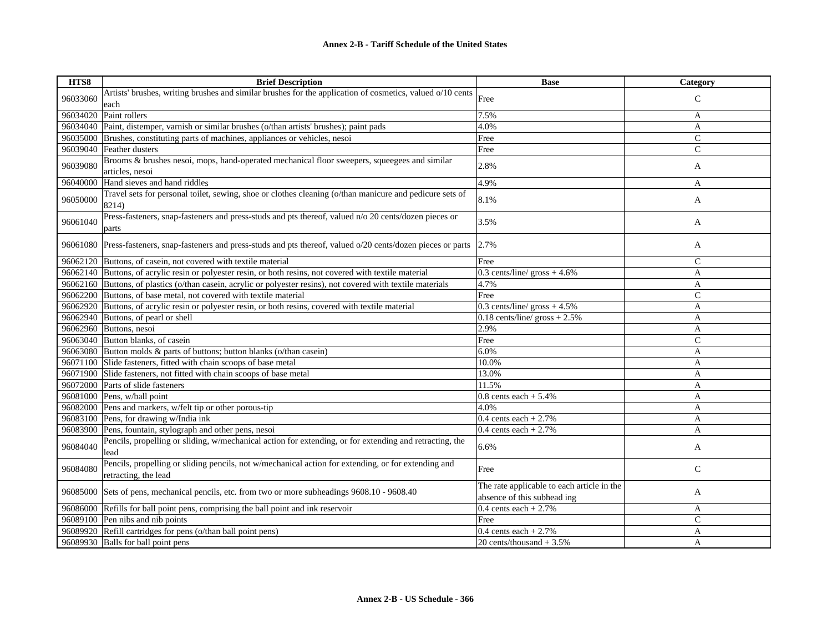| HTS8     | <b>Brief Description</b>                                                                                          | <b>Base</b>                                | Category       |
|----------|-------------------------------------------------------------------------------------------------------------------|--------------------------------------------|----------------|
| 96033060 | Artists' brushes, writing brushes and similar brushes for the application of cosmetics, valued o/10 cents         | Free                                       | $\mathsf{C}$   |
|          | each                                                                                                              |                                            |                |
| 96034020 | Paint rollers                                                                                                     | 7.5%                                       | A              |
| 96034040 | Paint, distemper, varnish or similar brushes (o/than artists' brushes); paint pads                                | 4.0%                                       | A              |
| 96035000 | Brushes, constituting parts of machines, appliances or vehicles, nesoi                                            | Free                                       | $\mathsf{C}$   |
| 96039040 | Feather dusters                                                                                                   | Free                                       | $\overline{C}$ |
| 96039080 | Brooms & brushes nesoi, mops, hand-operated mechanical floor sweepers, squeegees and similar                      | 2.8%                                       |                |
|          | articles, nesoi                                                                                                   |                                            | A              |
| 96040000 | Hand sieves and hand riddles                                                                                      | 4.9%                                       | A              |
| 96050000 | Travel sets for personal toilet, sewing, shoe or clothes cleaning (o/than manicure and pedicure sets of           | 8.1%                                       | A              |
|          | 8214)                                                                                                             |                                            |                |
| 96061040 | Press-fasteners, snap-fasteners and press-studs and pts thereof, valued n/o 20 cents/dozen pieces or              | 3.5%                                       | A              |
|          | parts                                                                                                             |                                            |                |
|          | 96061080 Press-fasteners, snap-fasteners and press-studs and pts thereof, valued o/20 cents/dozen pieces or parts | 2.7%                                       | A              |
|          |                                                                                                                   |                                            |                |
|          | 96062120 Buttons, of casein, not covered with textile material                                                    | Free                                       | $\mathcal{C}$  |
|          | 96062140 Buttons, of acrylic resin or polyester resin, or both resins, not covered with textile material          | $0.3$ cents/line/ gross + 4.6%             | A              |
|          | 96062160 Buttons, of plastics (o/than casein, acrylic or polyester resins), not covered with textile materials    | 4.7%                                       | A              |
|          | 96062200 Buttons, of base metal, not covered with textile material                                                | Free                                       | $\overline{C}$ |
|          | 96062920 Buttons, of acrylic resin or polyester resin, or both resins, covered with textile material              | $0.3$ cents/line/ gross $+4.5\%$           | $\overline{A}$ |
| 96062940 | Buttons, of pearl or shell                                                                                        | $0.18$ cents/line/ gross + 2.5%            | A              |
| 96062960 | Buttons, nesoi                                                                                                    | 2.9%                                       | A              |
|          | 96063040 Button blanks, of casein                                                                                 | Free                                       | $\mathsf{C}$   |
|          | 96063080 Button molds & parts of buttons; button blanks (o/than casein)                                           | 6.0%                                       | A              |
|          | 96071100 Slide fasteners, fitted with chain scoops of base metal                                                  | 10.0%                                      | A              |
|          | 96071900 Slide fasteners, not fitted with chain scoops of base metal                                              | 13.0%                                      | A              |
|          | 96072000 Parts of slide fasteners                                                                                 | 11.5%                                      | A              |
|          | 96081000 Pens, w/ball point                                                                                       | $0.8$ cents each + 5.4%                    | A              |
|          | 96082000 Pens and markers, w/felt tip or other porous-tip                                                         | 4.0%                                       | $\mathbf{A}$   |
|          | 96083100 Pens, for drawing w/India ink                                                                            | 0.4 cents each $+2.7\%$                    | $\mathbf{A}$   |
| 96083900 | Pens, fountain, stylograph and other pens, nesoi                                                                  | 0.4 cents each $+2.7\%$                    | A              |
| 96084040 | Pencils, propelling or sliding, w/mechanical action for extending, or for extending and retracting, the           | 6.6%                                       | A              |
|          | lead                                                                                                              |                                            |                |
| 96084080 | Pencils, propelling or sliding pencils, not w/mechanical action for extending, or for extending and               | Free                                       | $\mathsf{C}$   |
|          | retracting, the lead                                                                                              |                                            |                |
|          | 96085000 Sets of pens, mechanical pencils, etc. from two or more subheadings 9608.10 - 9608.40                    | The rate applicable to each article in the | A              |
|          |                                                                                                                   | absence of this subhead ing                |                |
|          | 96086000 Refills for ball point pens, comprising the ball point and ink reservoir                                 | 0.4 cents each $+2.7\%$                    | A              |
|          | 96089100 Pen nibs and nib points                                                                                  | Free                                       | $\mathsf{C}$   |
|          | 96089920 Refill cartridges for pens (o/than ball point pens)                                                      | 0.4 cents each $+2.7\%$                    | A              |
|          | 96089930 Balls for ball point pens                                                                                | 20 cents/thousand $+3.5%$                  | $\overline{A}$ |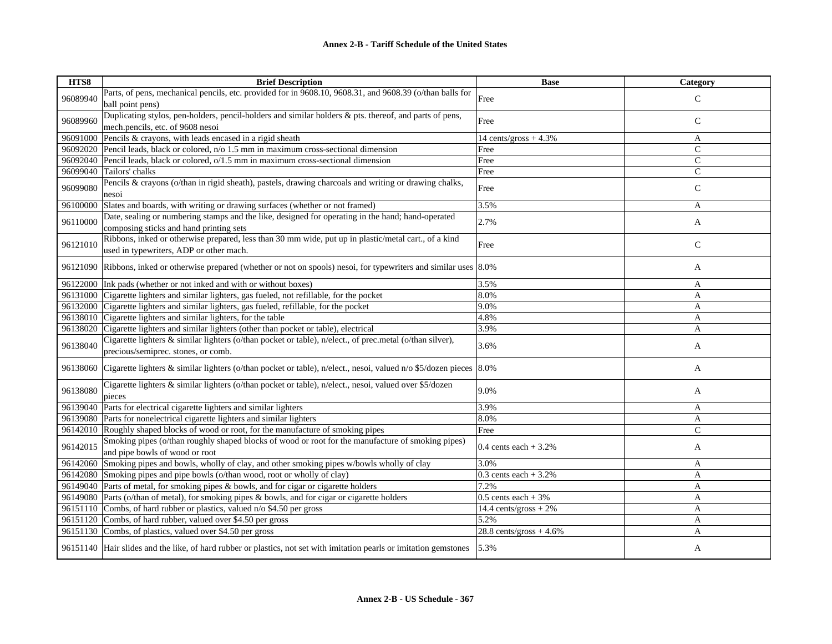| HTS8     | <b>Brief Description</b>                                                                                                   | <b>Base</b>                      | <b>Category</b> |
|----------|----------------------------------------------------------------------------------------------------------------------------|----------------------------------|-----------------|
| 96089940 | Parts, of pens, mechanical pencils, etc. provided for in 9608.10, 9608.31, and 9608.39 (o/than balls for                   | Free                             | $\mathcal{C}$   |
|          | ball point pens)                                                                                                           |                                  |                 |
|          | Duplicating stylos, pen-holders, pencil-holders and similar holders & pts. thereof, and parts of pens,                     |                                  |                 |
| 96089960 | mech.pencils, etc. of 9608 nesoi                                                                                           | Free                             | $\mathsf{C}$    |
|          | 96091000 Pencils & crayons, with leads encased in a rigid sheath                                                           | 14 cents/gross $+4.3\%$          | A               |
|          | 96092020 Pencil leads, black or colored, n/o 1.5 mm in maximum cross-sectional dimension                                   | Free                             | $\mathsf{C}$    |
|          | 96092040 Pencil leads, black or colored, o/1.5 mm in maximum cross-sectional dimension                                     | Free                             | $\mathsf{C}$    |
|          | 96099040 Tailors' chalks                                                                                                   | Free                             | $\mathsf{C}$    |
| 96099080 | Pencils & crayons (o/than in rigid sheath), pastels, drawing charcoals and writing or drawing chalks,                      |                                  |                 |
|          | nesoi                                                                                                                      | Free                             | $\mathsf{C}$    |
| 96100000 | Slates and boards, with writing or drawing surfaces (whether or not framed)                                                | 3.5%                             | A               |
| 96110000 | Date, sealing or numbering stamps and the like, designed for operating in the hand; hand-operated                          | 2.7%                             |                 |
|          | composing sticks and hand printing sets                                                                                    |                                  | A               |
|          | Ribbons, inked or otherwise prepared, less than 30 mm wide, put up in plastic/metal cart., of a kind                       |                                  |                 |
| 96121010 | used in typewriters, ADP or other mach.                                                                                    | Free                             | $\mathsf{C}$    |
|          |                                                                                                                            |                                  |                 |
|          | 96121090 Ribbons, inked or otherwise prepared (whether or not on spools) nesoi, for typewriters and similar uses 8.0%      |                                  | A               |
|          | 96122000 Ink pads (whether or not inked and with or without boxes)                                                         | 3.5%                             | $\mathbf{A}$    |
|          | 96131000 Cigarette lighters and similar lighters, gas fueled, not refillable, for the pocket                               | 8.0%                             | A               |
|          | 96132000 Cigarette lighters and similar lighters, gas fueled, refillable, for the pocket                                   | 9.0%                             | $\mathbf{A}$    |
|          | 96138010 Cigarette lighters and similar lighters, for the table                                                            | 4.8%                             | A               |
|          | 96138020 Cigarette lighters and similar lighters (other than pocket or table), electrical                                  | 3.9%                             | A               |
| 96138040 | Cigarette lighters & similar lighters (o/than pocket or table), n/elect., of prec.metal (o/than silver),                   | 3.6%                             |                 |
|          | precious/semiprec. stones, or comb.                                                                                        |                                  | A               |
|          | 96138060 Cigarette lighters & similar lighters (o/than pocket or table), n/elect., nesoi, valued n/o \$5/dozen pieces 8.0% |                                  | A               |
|          |                                                                                                                            |                                  |                 |
| 96138080 | Cigarette lighters & similar lighters (o/than pocket or table), n/elect., nesoi, valued over \$5/dozen                     | 9.0%                             | A               |
|          | pieces                                                                                                                     |                                  |                 |
|          | 96139040 Parts for electrical cigarette lighters and similar lighters                                                      | 3.9%                             | A               |
|          | 96139080 Parts for nonelectrical cigarette lighters and similar lighters                                                   | 8.0%                             | A               |
|          | 96142010 Roughly shaped blocks of wood or root, for the manufacture of smoking pipes                                       | Free                             | $\mathsf{C}$    |
| 96142015 | Smoking pipes (o/than roughly shaped blocks of wood or root for the manufacture of smoking pipes)                          | 0.4 cents each $+3.2%$           | A               |
|          | and pipe bowls of wood or root                                                                                             |                                  |                 |
|          | 96142060 Smoking pipes and bowls, wholly of clay, and other smoking pipes w/bowls wholly of clay                           | 3.0%                             | A               |
|          | 96142080 Smoking pipes and pipe bowls (o/than wood, root or wholly of clay)                                                | 0.3 cents each $+3.2%$           | A               |
|          | 96149040 Parts of metal, for smoking pipes & bowls, and for cigar or cigarette holders                                     | 7.2%                             | A               |
|          | 96149080 Parts (o/than of metal), for smoking pipes & bowls, and for cigar or cigarette holders                            | $0.5$ cents each + 3%            | A               |
|          | 96151110 Combs, of hard rubber or plastics, valued n/o \$4.50 per gross                                                    | $14.4 \text{ cents/gross} + 2\%$ | A               |
|          | 96151120 Combs, of hard rubber, valued over \$4.50 per gross                                                               | 5.2%                             | A               |
|          | 96151130 Combs, of plastics, valued over \$4.50 per gross                                                                  | $28.8$ cents/gross + 4.6%        | A               |
|          | 96151140 Hair slides and the like, of hard rubber or plastics, not set with imitation pearls or imitation gemstones        | 5.3%                             | A               |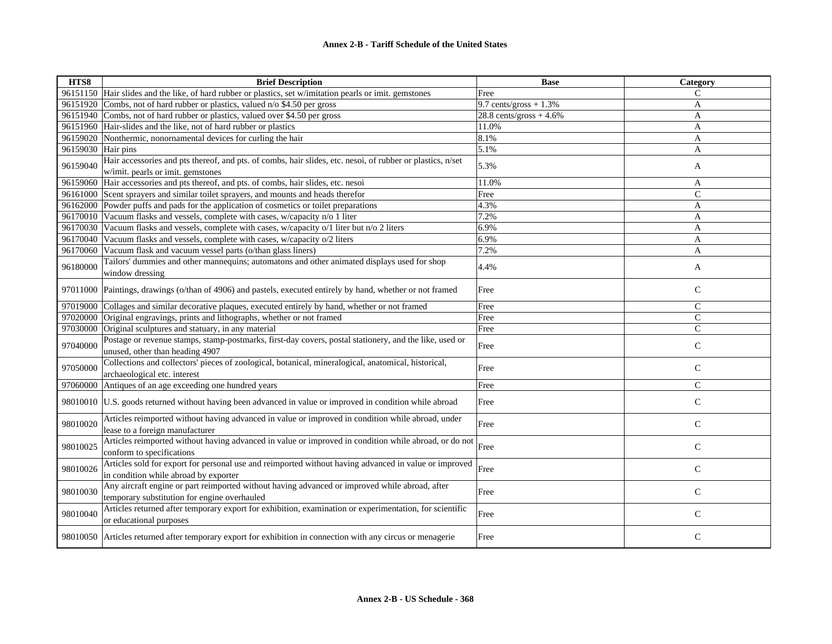| HTS8     | <b>Brief Description</b>                                                                                                                        | <b>Base</b>               | Category       |
|----------|-------------------------------------------------------------------------------------------------------------------------------------------------|---------------------------|----------------|
|          | 96151150 Hair slides and the like, of hard rubber or plastics, set w/imitation pearls or imit. gemstones                                        | Free                      | C              |
| 96151920 | Combs, not of hard rubber or plastics, valued n/o \$4.50 per gross                                                                              | 9.7 cents/gross $+1.3\%$  | A              |
| 96151940 | Combs, not of hard rubber or plastics, valued over \$4.50 per gross                                                                             | $28.8$ cents/gross + 4.6% | A              |
| 96151960 | Hair-slides and the like, not of hard rubber or plastics                                                                                        | 11.0%                     | A              |
| 96159020 | Nonthermic, nonornamental devices for curling the hair                                                                                          | 8.1%                      | A              |
| 96159030 | Hair pins                                                                                                                                       | 5.1%                      | A              |
| 96159040 | Hair accessories and pts thereof, and pts. of combs, hair slides, etc. nesoi, of rubber or plastics, n/set<br>w/imit. pearls or imit. gemstones | 5.3%                      | A              |
| 96159060 | Hair accessories and pts thereof, and pts. of combs, hair slides, etc. nesoi                                                                    | 11.0%                     | A              |
|          | 96161000 Scent sprayers and similar toilet sprayers, and mounts and heads therefor                                                              | Free                      | $\overline{C}$ |
| 96162000 | Powder puffs and pads for the application of cosmetics or toilet preparations                                                                   | 4.3%                      | $\overline{A}$ |
| 96170010 | Vacuum flasks and vessels, complete with cases, w/capacity n/o 1 liter                                                                          | 7.2%                      | A              |
| 96170030 | Vacuum flasks and vessels, complete with cases, w/capacity o/1 liter but n/o 2 liters                                                           | 6.9%                      | A              |
| 96170040 | Vacuum flasks and vessels, complete with cases, w/capacity o/2 liters                                                                           | 6.9%                      | A              |
| 96170060 | Vacuum flask and vacuum vessel parts (o/than glass liners)                                                                                      | 7.2%                      | A              |
| 96180000 | Tailors' dummies and other mannequins; automatons and other animated displays used for shop<br>window dressing                                  | 4.4%                      | A              |
| 97011000 | Paintings, drawings (o/than of 4906) and pastels, executed entirely by hand, whether or not framed                                              | Free                      | $\mathbf C$    |
| 97019000 | Collages and similar decorative plaques, executed entirely by hand, whether or not framed                                                       | Free                      | $\mathsf{C}$   |
| 97020000 | Original engravings, prints and lithographs, whether or not framed                                                                              | Free                      | $\mathsf{C}$   |
| 97030000 | Original sculptures and statuary, in any material                                                                                               | Free                      | $\mathsf{C}$   |
| 97040000 | Postage or revenue stamps, stamp-postmarks, first-day covers, postal stationery, and the like, used or<br>unused, other than heading 4907       | Free                      | $\mathsf{C}$   |
| 97050000 | Collections and collectors' pieces of zoological, botanical, mineralogical, anatomical, historical,<br>archaeological etc. interest             | Free                      | $\mathsf{C}$   |
| 97060000 | Antiques of an age exceeding one hundred years                                                                                                  | Free                      | $\mathsf{C}$   |
| 98010010 | U.S. goods returned without having been advanced in value or improved in condition while abroad                                                 | Free                      | $\mathsf C$    |
| 98010020 | Articles reimported without having advanced in value or improved in condition while abroad, under<br>lease to a foreign manufacturer            | Free                      | $\mathsf{C}$   |
| 98010025 | Articles reimported without having advanced in value or improved in condition while abroad, or do not<br>conform to specifications              | Free                      | $\mathsf{C}$   |
| 98010026 | Articles sold for export for personal use and reimported without having advanced in value or improved<br>in condition while abroad by exporter  | Free                      | $\mathsf{C}$   |
| 98010030 | Any aircraft engine or part reimported without having advanced or improved while abroad, after<br>temporary substitution for engine overhauled  | Free                      | $\mathbf C$    |
| 98010040 | Articles returned after temporary export for exhibition, examination or experimentation, for scientific<br>or educational purposes              | Free                      | $\mathsf{C}$   |
|          | 98010050 Articles returned after temporary export for exhibition in connection with any circus or menagerie                                     | Free                      | $\mathsf{C}$   |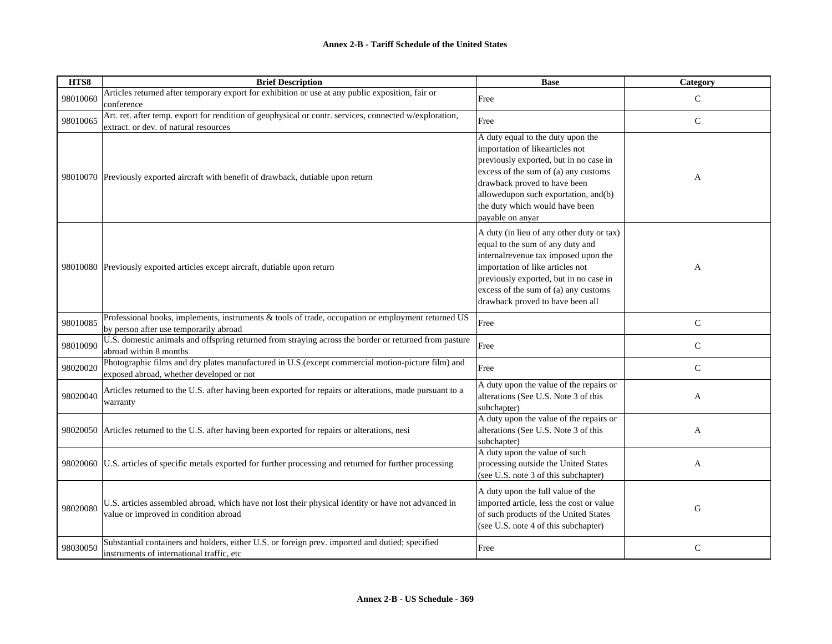| HTS8     | <b>Brief Description</b>                                                                                                                        | <b>Base</b>                                                                                                                                                                                                                                                                          | Category     |
|----------|-------------------------------------------------------------------------------------------------------------------------------------------------|--------------------------------------------------------------------------------------------------------------------------------------------------------------------------------------------------------------------------------------------------------------------------------------|--------------|
| 98010060 | Articles returned after temporary export for exhibition or use at any public exposition, fair or<br>conference                                  | Free                                                                                                                                                                                                                                                                                 | $\mathsf{C}$ |
| 98010065 | Art. ret. after temp. export for rendition of geophysical or contr. services, connected w/exploration,<br>extract. or dev. of natural resources | Free                                                                                                                                                                                                                                                                                 | $\mathsf{C}$ |
|          | 98010070 Previously exported aircraft with benefit of drawback, dutiable upon return                                                            | A duty equal to the duty upon the<br>importation of likearticles not<br>previously exported, but in no case in<br>excess of the sum of (a) any customs<br>drawback proved to have been<br>allowedupon such exportation, and(b)<br>the duty which would have been<br>payable on anyar | A            |
|          | 98010080 Previously exported articles except aircraft, dutiable upon return                                                                     | A duty (in lieu of any other duty or tax)<br>equal to the sum of any duty and<br>internalrevenue tax imposed upon the<br>importation of like articles not<br>previously exported, but in no case in<br>excess of the sum of (a) any customs<br>drawback proved to have been all      | A            |
| 98010085 | Professional books, implements, instruments & tools of trade, occupation or employment returned US<br>by person after use temporarily abroad    | Free                                                                                                                                                                                                                                                                                 | ${\bf C}$    |
| 98010090 | U.S. domestic animals and offspring returned from straying across the border or returned from pasture<br>abroad within 8 months                 | Free                                                                                                                                                                                                                                                                                 | $\mathsf{C}$ |
| 98020020 | Photographic films and dry plates manufactured in U.S.(except commercial motion-picture film) and<br>exposed abroad, whether developed or not   | Free                                                                                                                                                                                                                                                                                 | $\mathbf C$  |
| 98020040 | Articles returned to the U.S. after having been exported for repairs or alterations, made pursuant to a<br>warranty                             | A duty upon the value of the repairs or<br>alterations (See U.S. Note 3 of this<br>subchapter)                                                                                                                                                                                       | A            |
|          | 98020050 Articles returned to the U.S. after having been exported for repairs or alterations, nesi                                              | A duty upon the value of the repairs or<br>alterations (See U.S. Note 3 of this<br>subchapter)                                                                                                                                                                                       | A            |
| 98020060 | U.S. articles of specific metals exported for further processing and returned for further processing                                            | A duty upon the value of such<br>processing outside the United States<br>(see U.S. note 3 of this subchapter)                                                                                                                                                                        | A            |
| 98020080 | U.S. articles assembled abroad, which have not lost their physical identity or have not advanced in<br>value or improved in condition abroad    | A duty upon the full value of the<br>imported article, less the cost or value<br>of such products of the United States<br>(see U.S. note 4 of this subchapter)                                                                                                                       | G            |
| 98030050 | Substantial containers and holders, either U.S. or foreign prev. imported and dutied; specified<br>instruments of international traffic, etc    | Free                                                                                                                                                                                                                                                                                 | ${\bf C}$    |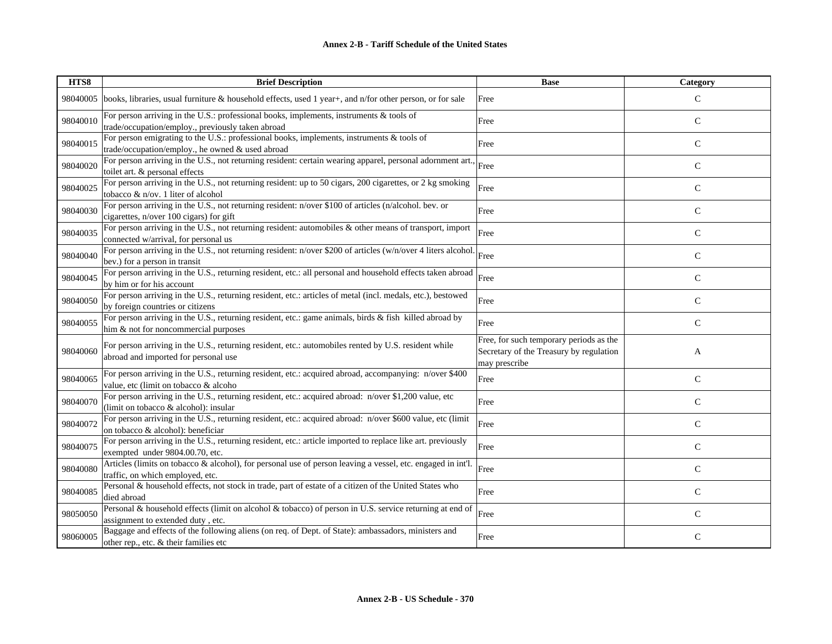| HTS8     | <b>Brief Description</b>                                                                                                                          | <b>Base</b>                                                                                         | <b>Category</b> |
|----------|---------------------------------------------------------------------------------------------------------------------------------------------------|-----------------------------------------------------------------------------------------------------|-----------------|
| 98040005 | books, libraries, usual furniture & household effects, used 1 year+, and n/for other person, or for sale                                          | Free                                                                                                | C               |
| 98040010 | For person arriving in the U.S.: professional books, implements, instruments $\&$ tools of<br>trade/occupation/employ., previously taken abroad   | Free                                                                                                | $\mathsf{C}$    |
| 98040015 | For person emigrating to the U.S.: professional books, implements, instruments & tools of<br>trade/occupation/employ., he owned & used abroad     | Free                                                                                                | $\mathsf{C}$    |
| 98040020 | For person arriving in the U.S., not returning resident: certain wearing apparel, personal adornment art.,<br>toilet art. & personal effects      | Free                                                                                                | $\mathsf{C}$    |
| 98040025 | For person arriving in the U.S., not returning resident: up to 50 cigars, 200 cigarettes, or 2 kg smoking<br>tobacco & n/ov. 1 liter of alcohol   | Free                                                                                                | $\mathsf{C}$    |
| 98040030 | For person arriving in the U.S., not returning resident: n/over \$100 of articles (n/alcohol. bev. or<br>cigarettes, n/over 100 cigars) for gift  | Free                                                                                                | C               |
| 98040035 | For person arriving in the U.S., not returning resident: automobiles & other means of transport, import<br>connected w/arrival, for personal us   | Free                                                                                                | $\mathcal{C}$   |
| 98040040 | For person arriving in the U.S., not returning resident: n/over \$200 of articles (w/n/over 4 liters alcohol<br>bev.) for a person in transit     | Free                                                                                                | $\mathcal{C}$   |
| 98040045 | For person arriving in the U.S., returning resident, etc.: all personal and household effects taken abroad<br>by him or for his account           | Free                                                                                                | $\mathsf{C}$    |
| 98040050 | For person arriving in the U.S., returning resident, etc.: articles of metal (incl. medals, etc.), bestowed<br>by foreign countries or citizens   | Free                                                                                                | $\mathsf{C}$    |
| 98040055 | For person arriving in the U.S., returning resident, etc.: game animals, birds $\&$ fish killed abroad by<br>him & not for noncommercial purposes | Free                                                                                                | C               |
| 98040060 | For person arriving in the U.S., returning resident, etc.: automobiles rented by U.S. resident while<br>abroad and imported for personal use      | Free, for such temporary periods as the<br>Secretary of the Treasury by regulation<br>may prescribe | A               |
| 98040065 | For person arriving in the U.S., returning resident, etc.: acquired abroad, accompanying: n/over \$400<br>value, etc (limit on tobacco & alcoho   | Free                                                                                                | $\mathsf{C}$    |
| 98040070 | For person arriving in the U.S., returning resident, etc.: acquired abroad: n/over \$1,200 value, etc<br>(limit on tobacco & alcohol): insular    | Free                                                                                                | $\mathsf{C}$    |
| 98040072 | For person arriving in the U.S., returning resident, etc.: acquired abroad: n/over \$600 value, etc (limit<br>on tobacco & alcohol): beneficiar   | Free                                                                                                | $\mathsf{C}$    |
| 98040075 | For person arriving in the U.S., returning resident, etc.: article imported to replace like art. previously<br>exempted under 9804.00.70, etc.    | Free                                                                                                | $\mathcal{C}$   |
| 98040080 | Articles (limits on tobacco & alcohol), for personal use of person leaving a vessel, etc. engaged in int'l.<br>traffic, on which employed, etc.   | Free                                                                                                | C               |
| 98040085 | Personal & household effects, not stock in trade, part of estate of a citizen of the United States who<br>died abroad                             | Free                                                                                                | $\mathsf{C}$    |
| 98050050 | Personal & household effects (limit on alcohol & tobacco) of person in U.S. service returning at end of<br>assignment to extended duty, etc.      | Free                                                                                                | $\mathsf{C}$    |
| 98060005 | Baggage and effects of the following aliens (on req. of Dept. of State): ambassadors, ministers and<br>other rep., etc. & their families etc      | Free                                                                                                | $\mathcal{C}$   |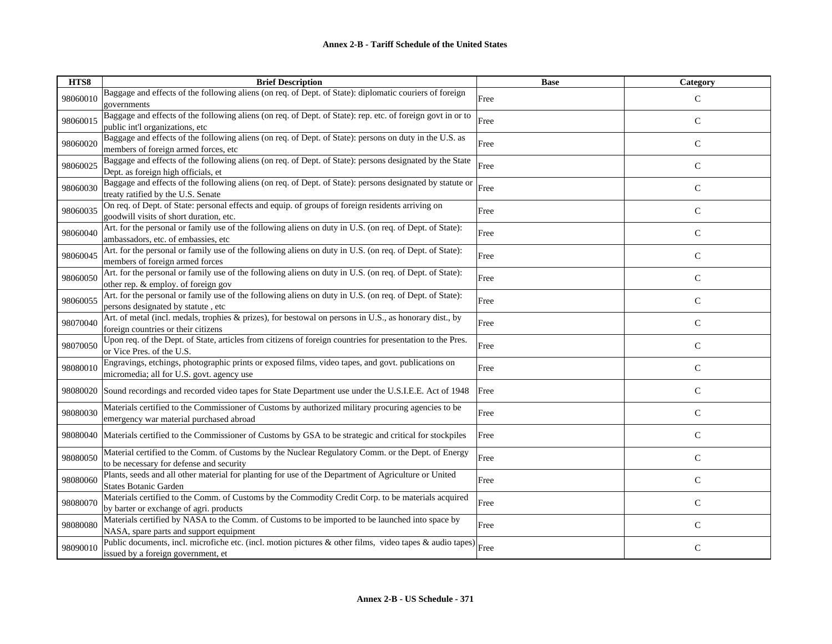| HTS8     | <b>Brief Description</b>                                                                                                                            | <b>Base</b> | Category      |
|----------|-----------------------------------------------------------------------------------------------------------------------------------------------------|-------------|---------------|
| 98060010 | Baggage and effects of the following aliens (on req. of Dept. of State): diplomatic couriers of foreign<br>governments                              | Free        | $\mathcal{C}$ |
| 98060015 | Baggage and effects of the following aliens (on req. of Dept. of State): rep. etc. of foreign govt in or to<br>public int'l organizations, etc      | Free        | $\mathbf C$   |
| 98060020 | Baggage and effects of the following aliens (on req. of Dept. of State): persons on duty in the U.S. as<br>members of foreign armed forces, etc     | Free        | $\mathsf{C}$  |
| 98060025 | Baggage and effects of the following aliens (on req. of Dept. of State): persons designated by the State<br>Dept. as foreign high officials, et     | Free        | $\mathsf{C}$  |
| 98060030 | Baggage and effects of the following aliens (on req. of Dept. of State): persons designated by statute or<br>treaty ratified by the U.S. Senate     | Free        | $\mathsf{C}$  |
| 98060035 | On req. of Dept. of State: personal effects and equip. of groups of foreign residents arriving on<br>goodwill visits of short duration, etc.        | Free        | $\mathsf{C}$  |
| 98060040 | Art. for the personal or family use of the following aliens on duty in U.S. (on req. of Dept. of State):<br>ambassadors, etc. of embassies, etc     | Free        | ${\bf C}$     |
| 98060045 | Art. for the personal or family use of the following aliens on duty in U.S. (on req. of Dept. of State):<br>members of foreign armed forces         | Free        | ${\bf C}$     |
| 98060050 | Art. for the personal or family use of the following aliens on duty in U.S. (on req. of Dept. of State):<br>other rep. & employ. of foreign gov     | Free        | $\mathcal{C}$ |
| 98060055 | Art. for the personal or family use of the following aliens on duty in U.S. (on req. of Dept. of State):<br>persons designated by statute, etc      | Free        | $\mathbf C$   |
| 98070040 | Art. of metal (incl. medals, trophies & prizes), for bestowal on persons in U.S., as honorary dist., by<br>foreign countries or their citizens      | Free        | $\mathsf{C}$  |
| 98070050 | Upon req. of the Dept. of State, articles from citizens of foreign countries for presentation to the Pres.<br>or Vice Pres. of the U.S.             | Free        | $\mathsf C$   |
| 98080010 | Engravings, etchings, photographic prints or exposed films, video tapes, and govt. publications on<br>micromedia; all for U.S. govt. agency use     | Free        | $\mathsf{C}$  |
| 98080020 | Sound recordings and recorded video tapes for State Department use under the U.S.I.E.E. Act of 1948                                                 | Free        | $\mathsf{C}$  |
| 98080030 | Materials certified to the Commissioner of Customs by authorized military procuring agencies to be<br>emergency war material purchased abroad       | Free        | $\mathsf{C}$  |
| 98080040 | Materials certified to the Commissioner of Customs by GSA to be strategic and critical for stockpiles                                               | Free        | $\mathsf{C}$  |
| 98080050 | Material certified to the Comm. of Customs by the Nuclear Regulatory Comm. or the Dept. of Energy<br>to be necessary for defense and security       | Free        | $\mathsf{C}$  |
| 98080060 | Plants, seeds and all other material for planting for use of the Department of Agriculture or United<br><b>States Botanic Garden</b>                | Free        | $\mathsf{C}$  |
| 98080070 | Materials certified to the Comm. of Customs by the Commodity Credit Corp. to be materials acquired<br>by barter or exchange of agri. products       | Free        | $\mathsf{C}$  |
| 98080080 | Materials certified by NASA to the Comm. of Customs to be imported to be launched into space by<br>NASA, spare parts and support equipment          | Free        | ${\bf C}$     |
| 98090010 | Public documents, incl. microfiche etc. (incl. motion pictures & other films, video tapes & audio tapes) Free<br>issued by a foreign government, et |             | $\mathsf{C}$  |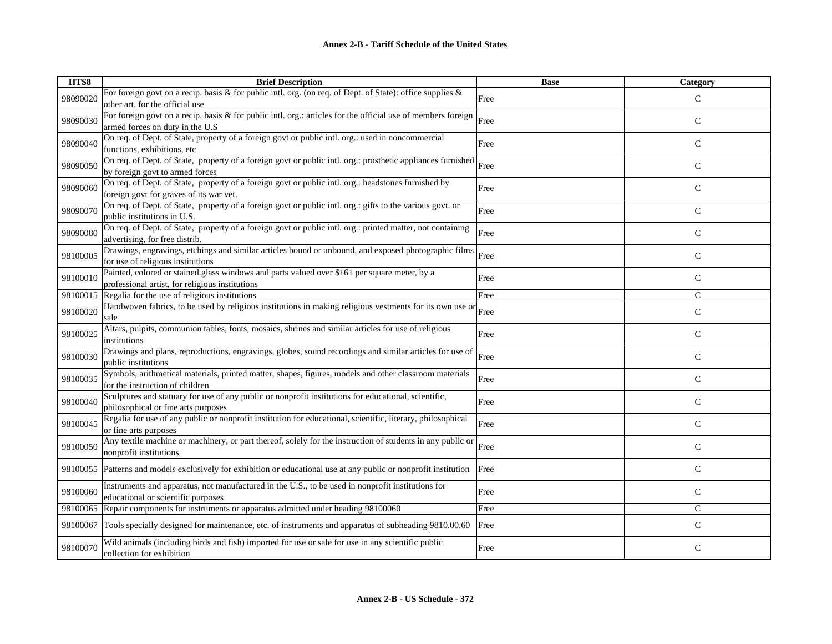| HTS8     | <b>Brief Description</b>                                                                                                                        | <b>Base</b> | Category      |
|----------|-------------------------------------------------------------------------------------------------------------------------------------------------|-------------|---------------|
| 98090020 | For foreign govt on a recip. basis & for public intl. org. (on req. of Dept. of State): office supplies &<br>other art. for the official use    | Free        | $\mathcal{C}$ |
| 98090030 | For foreign govt on a recip. basis & for public intl. org.: articles for the official use of members foreign<br>armed forces on duty in the U.S | Free        | $\mathsf{C}$  |
| 98090040 | On req. of Dept. of State, property of a foreign govt or public intl. org.: used in noncommercial<br>functions, exhibitions, etc                | Free        | $\mathsf{C}$  |
| 98090050 | On req. of Dept. of State, property of a foreign govt or public intl. org.: prosthetic appliances furnished<br>by foreign govt to armed forces  | Free        | $\mathsf{C}$  |
| 98090060 | On req. of Dept. of State, property of a foreign govt or public intl. org.: headstones furnished by<br>foreign govt for graves of its war vet.  | Free        | $\mathsf{C}$  |
| 98090070 | On req. of Dept. of State, property of a foreign govt or public intl. org.: gifts to the various govt. or<br>public institutions in U.S.        | Free        | $\mathsf{C}$  |
| 98090080 | On req. of Dept. of State, property of a foreign govt or public intl. org.: printed matter, not containing<br>advertising, for free distrib.    | Free        | $\mathsf{C}$  |
| 98100005 | Drawings, engravings, etchings and similar articles bound or unbound, and exposed photographic films<br>for use of religious institutions       | Free        | $\mathsf{C}$  |
| 98100010 | Painted, colored or stained glass windows and parts valued over \$161 per square meter, by a<br>professional artist, for religious institutions | Free        | $\mathcal{C}$ |
| 98100015 | Regalia for the use of religious institutions                                                                                                   | Free        | $\mathcal{C}$ |
| 98100020 | Handwoven fabrics, to be used by religious institutions in making religious vestments for its own use or<br>sale                                | Free        | $\mathsf{C}$  |
| 98100025 | Altars, pulpits, communion tables, fonts, mosaics, shrines and similar articles for use of religious<br>institutions                            | Free        | $\mathsf{C}$  |
| 98100030 | Drawings and plans, reproductions, engravings, globes, sound recordings and similar articles for use of<br>public institutions                  | Free        | $\mathcal{C}$ |
| 98100035 | Symbols, arithmetical materials, printed matter, shapes, figures, models and other classroom materials<br>for the instruction of children       | Free        | $\mathsf{C}$  |
| 98100040 | Sculptures and statuary for use of any public or nonprofit institutions for educational, scientific,<br>philosophical or fine arts purposes     | Free        | $\mathsf{C}$  |
| 98100045 | Regalia for use of any public or nonprofit institution for educational, scientific, literary, philosophical<br>or fine arts purposes            | Free        | $\mathsf{C}$  |
| 98100050 | Any textile machine or machinery, or part thereof, solely for the instruction of students in any public or<br>nonprofit institutions            | Free        | $\mathcal{C}$ |
| 98100055 | Patterns and models exclusively for exhibition or educational use at any public or nonprofit institution                                        | Free        | $\mathsf{C}$  |
| 98100060 | Instruments and apparatus, not manufactured in the U.S., to be used in nonprofit institutions for<br>educational or scientific purposes         | Free        | $\mathsf{C}$  |
| 98100065 | Repair components for instruments or apparatus admitted under heading 98100060                                                                  | Free        | $\mathsf{C}$  |
| 98100067 | Tools specially designed for maintenance, etc. of instruments and apparatus of subheading 9810.00.60                                            | Free        | $\mathsf{C}$  |
| 98100070 | Wild animals (including birds and fish) imported for use or sale for use in any scientific public<br>collection for exhibition                  | Free        | $\mathsf{C}$  |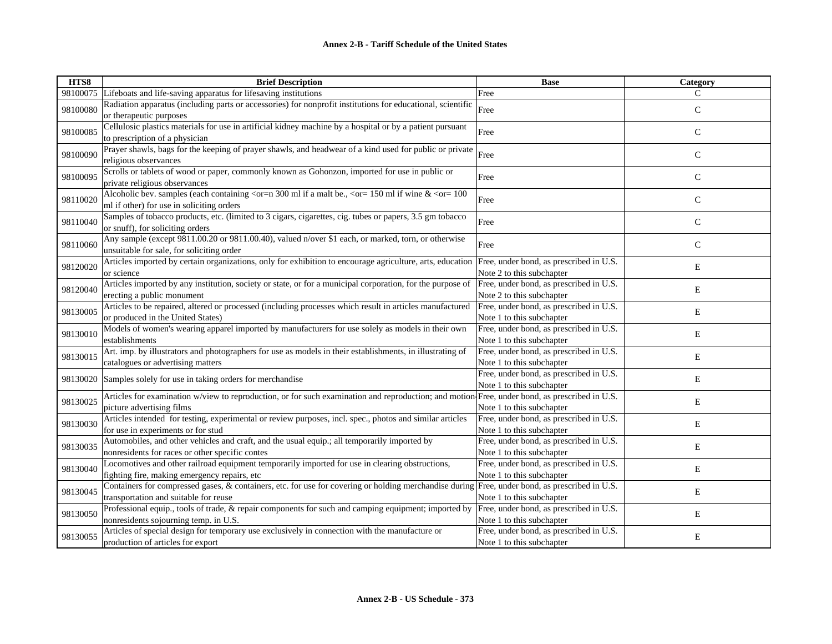| HTS8     | <b>Brief Description</b>                                                                                                                                                                       | <b>Base</b>                                                          | Category     |
|----------|------------------------------------------------------------------------------------------------------------------------------------------------------------------------------------------------|----------------------------------------------------------------------|--------------|
| 98100075 | Lifeboats and life-saving apparatus for lifesaving institutions                                                                                                                                | Free                                                                 | C            |
| 98100080 | Radiation apparatus (including parts or accessories) for nonprofit institutions for educational, scientific<br>or therapeutic purposes                                                         | Free                                                                 | $\mathsf{C}$ |
| 98100085 | Cellulosic plastics materials for use in artificial kidney machine by a hospital or by a patient pursuant<br>to prescription of a physician                                                    | Free                                                                 | $\mathsf{C}$ |
| 98100090 | Prayer shawls, bags for the keeping of prayer shawls, and headwear of a kind used for public or private<br>religious observances                                                               | Free                                                                 | $\mathsf{C}$ |
| 98100095 | Scrolls or tablets of wood or paper, commonly known as Gohonzon, imported for use in public or<br>private religious observances                                                                | Free                                                                 | $\mathbf C$  |
| 98110020 | Alcoholic bev. samples (each containing $\text{cor=n } 300 \text{ ml if a malt be.}$ , $\text{cor} = 150 \text{ ml if wine } \& \text{cor} = 100$<br>ml if other) for use in soliciting orders | Free                                                                 | $\mathsf{C}$ |
| 98110040 | Samples of tobacco products, etc. (limited to 3 cigars, cigarettes, cig. tubes or papers, 3.5 gm tobacco<br>or snuff), for soliciting orders                                                   | Free                                                                 | $\mathsf{C}$ |
| 98110060 | Any sample (except 9811.00.20 or 9811.00.40), valued n/over \$1 each, or marked, torn, or otherwise<br>unsuitable for sale, for soliciting order                                               | Free                                                                 | $\mathsf{C}$ |
| 98120020 | Articles imported by certain organizations, only for exhibition to encourage agriculture, arts, education<br>or science                                                                        | Free, under bond, as prescribed in U.S.<br>Note 2 to this subchapter | E            |
| 98120040 | Articles imported by any institution, society or state, or for a municipal corporation, for the purpose of<br>erecting a public monument                                                       | Free, under bond, as prescribed in U.S.<br>Note 2 to this subchapter | E            |
| 98130005 | Articles to be repaired, altered or processed (including processes which result in articles manufactured<br>or produced in the United States)                                                  | Free, under bond, as prescribed in U.S.<br>Note 1 to this subchapter | E            |
| 98130010 | Models of women's wearing apparel imported by manufacturers for use solely as models in their own<br>establishments                                                                            | Free, under bond, as prescribed in U.S.<br>Note 1 to this subchapter | Е            |
| 98130015 | Art. imp. by illustrators and photographers for use as models in their establishments, in illustrating of<br>catalogues or advertising matters                                                 | Free, under bond, as prescribed in U.S.<br>Note 1 to this subchapter | Е            |
| 98130020 | Samples solely for use in taking orders for merchandise                                                                                                                                        | Free, under bond, as prescribed in U.S.<br>Note 1 to this subchapter | Е            |
| 98130025 | Articles for examination w/view to reproduction, or for such examination and reproduction; and motion Free, under bond, as prescribed in U.S.<br>picture advertising films                     | Note 1 to this subchapter                                            | Е            |
| 98130030 | Articles intended for testing, experimental or review purposes, incl. spec., photos and similar articles<br>for use in experiments or for stud                                                 | Free, under bond, as prescribed in U.S.<br>Note 1 to this subchapter | Е            |
| 98130035 | Automobiles, and other vehicles and craft, and the usual equip.; all temporarily imported by<br>nonresidents for races or other specific contes                                                | Free, under bond, as prescribed in U.S.<br>Note 1 to this subchapter | E            |
| 98130040 | Locomotives and other railroad equipment temporarily imported for use in clearing obstructions,<br>fighting fire, making emergency repairs, etc                                                | Free, under bond, as prescribed in U.S.<br>Note 1 to this subchapter | E            |
| 98130045 | Containers for compressed gases, & containers, etc. for use for covering or holding merchandise during Free, under bond, as prescribed in U.S.<br>transportation and suitable for reuse        | Note 1 to this subchapter                                            | E            |
| 98130050 | Professional equip., tools of trade, & repair components for such and camping equipment; imported by<br>nonresidents sojourning temp. in U.S.                                                  | Free, under bond, as prescribed in U.S.<br>Note 1 to this subchapter | Е            |
| 98130055 | Articles of special design for temporary use exclusively in connection with the manufacture or<br>production of articles for export                                                            | Free, under bond, as prescribed in U.S.<br>Note 1 to this subchapter | E            |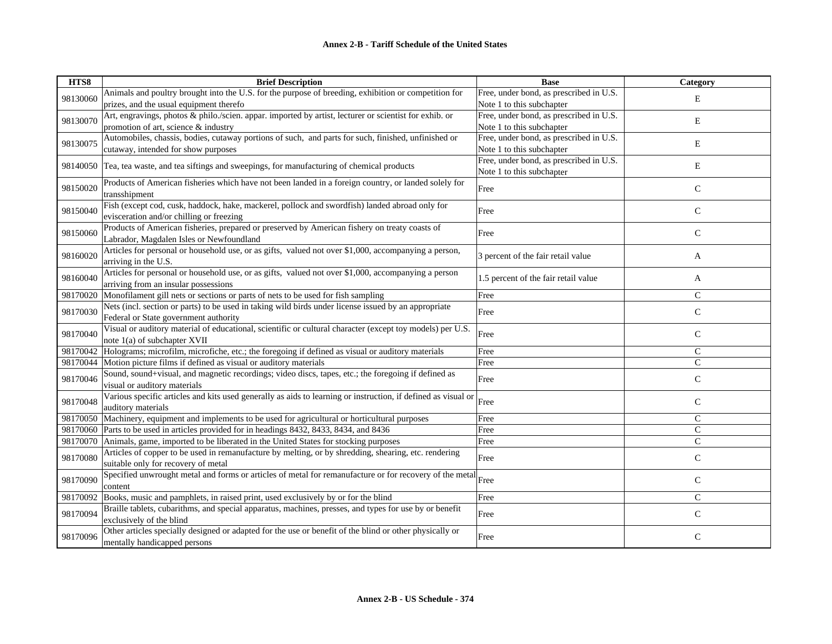| HTS8     | <b>Brief Description</b>                                                                                              | <b>Base</b>                             | <b>Category</b> |
|----------|-----------------------------------------------------------------------------------------------------------------------|-----------------------------------------|-----------------|
| 98130060 | Animals and poultry brought into the U.S. for the purpose of breeding, exhibition or competition for                  | Free, under bond, as prescribed in U.S. | E               |
|          | prizes, and the usual equipment therefo                                                                               | Note 1 to this subchapter               |                 |
| 98130070 | Art, engravings, photos & philo./scien. appar. imported by artist, lecturer or scientist for exhib. or                | Free, under bond, as prescribed in U.S. | E               |
|          | promotion of art, science & industry                                                                                  | Note 1 to this subchapter               |                 |
| 98130075 | Automobiles, chassis, bodies, cutaway portions of such, and parts for such, finished, unfinished or                   | Free, under bond, as prescribed in U.S. | E               |
|          | cutaway, intended for show purposes                                                                                   | Note 1 to this subchapter               |                 |
|          | 98140050 Tea, tea waste, and tea siftings and sweepings, for manufacturing of chemical products                       | Free, under bond, as prescribed in U.S. | E               |
|          |                                                                                                                       | Note 1 to this subchapter               |                 |
| 98150020 | Products of American fisheries which have not been landed in a foreign country, or landed solely for<br>transshipment | Free                                    | $\mathsf C$     |
|          | Fish (except cod, cusk, haddock, hake, mackerel, pollock and swordfish) landed abroad only for                        |                                         |                 |
| 98150040 | evisceration and/or chilling or freezing                                                                              | Free                                    | $\mathsf{C}$    |
|          | Products of American fisheries, prepared or preserved by American fishery on treaty coasts of                         |                                         |                 |
| 98150060 | Labrador, Magdalen Isles or Newfoundland                                                                              | Free                                    | $\mathsf{C}$    |
|          | Articles for personal or household use, or as gifts, valued not over \$1,000, accompanying a person,                  |                                         |                 |
| 98160020 | arriving in the U.S.                                                                                                  | 3 percent of the fair retail value      | A               |
|          | Articles for personal or household use, or as gifts, valued not over \$1,000, accompanying a person                   |                                         |                 |
| 98160040 | arriving from an insular possessions                                                                                  | 1.5 percent of the fair retail value    | A               |
|          | 98170020 Monofilament gill nets or sections or parts of nets to be used for fish sampling                             | Free                                    | C               |
|          | Nets (incl. section or parts) to be used in taking wild birds under license issued by an appropriate                  |                                         |                 |
| 98170030 | Federal or State government authority                                                                                 | Free                                    | $\mathsf{C}$    |
|          | Visual or auditory material of educational, scientific or cultural character (except toy models) per U.S.             |                                         |                 |
| 98170040 | note 1(a) of subchapter XVII                                                                                          | Free                                    | $\mathsf{C}$    |
| 98170042 | Holograms; microfilm, microfiche, etc.; the foregoing if defined as visual or auditory materials                      | Free                                    | $\mathsf{C}$    |
| 98170044 | Motion picture films if defined as visual or auditory materials                                                       | Free                                    | $\mathsf{C}$    |
| 98170046 | Sound, sound+visual, and magnetic recordings; video discs, tapes, etc.; the foregoing if defined as                   | Free                                    | $\mathbf C$     |
|          | visual or auditory materials                                                                                          |                                         |                 |
| 98170048 | Various specific articles and kits used generally as aids to learning or instruction, if defined as visual or         | Free                                    | $\mathsf C$     |
|          | auditory materials                                                                                                    |                                         |                 |
|          | 98170050 Machinery, equipment and implements to be used for agricultural or horticultural purposes                    | Free                                    | $\mathsf{C}$    |
|          | 98170060 Parts to be used in articles provided for in headings 8432, 8433, 8434, and 8436                             | Free                                    | $\mathsf{C}$    |
|          | 98170070 Animals, game, imported to be liberated in the United States for stocking purposes                           | Free                                    | $\overline{C}$  |
| 98170080 | Articles of copper to be used in remanufacture by melting, or by shredding, shearing, etc. rendering                  | Free                                    | $\mathsf{C}$    |
|          | suitable only for recovery of metal                                                                                   |                                         |                 |
| 98170090 | Specified unwrought metal and forms or articles of metal for remanufacture or for recovery of the metal               | Free                                    | $\mathsf C$     |
|          | content                                                                                                               |                                         |                 |
| 98170092 | Books, music and pamphlets, in raised print, used exclusively by or for the blind                                     | Free                                    | $\mathcal{C}$   |
| 98170094 | Braille tablets, cubarithms, and special apparatus, machines, presses, and types for use by or benefit                | Free                                    | $\mathsf{C}$    |
|          | exclusively of the blind                                                                                              |                                         |                 |
| 98170096 | Other articles specially designed or adapted for the use or benefit of the blind or other physically or               | Free                                    | $\mathsf{C}$    |
|          | mentally handicapped persons                                                                                          |                                         |                 |